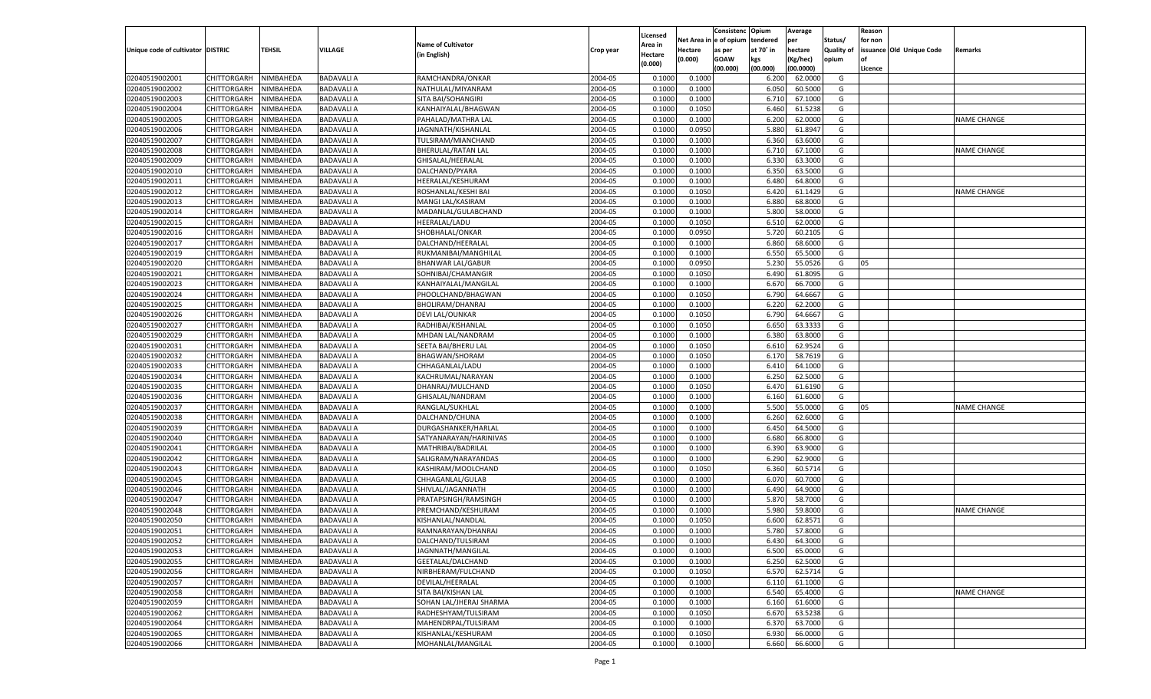|                                   |                       |                        |                   |                           |           |                     |          | Consistenc  | Opium          | Average   |                   | Reason  |                          |                    |
|-----------------------------------|-----------------------|------------------------|-------------------|---------------------------|-----------|---------------------|----------|-------------|----------------|-----------|-------------------|---------|--------------------------|--------------------|
|                                   |                       |                        |                   | <b>Name of Cultivator</b> |           | Licensed<br>\rea in | Net Area | e of opium  | tendered       | per       | Status/           | for non |                          |                    |
| Unique code of cultivator DISTRIC |                       | <b>TEHSIL</b>          | VILLAGE           | (in English)              | Crop year | Hectare             | Hectare  | as per      | at 70° in      | hectare   | <b>Quality of</b> |         | issuance Old Unique Code | Remarks            |
|                                   |                       |                        |                   |                           |           | (0.000)             | (0.000)  | <b>GOAW</b> | kgs            | (Kg/hec)  | opium             |         |                          |                    |
|                                   |                       |                        |                   |                           |           |                     |          | (00.000)    | (00.000)       | (00.0000) |                   | Licence |                          |                    |
| 02040519002001                    | CHITTORGARH           | NIMBAHEDA              | <b>BADAVALI A</b> | RAMCHANDRA/ONKAR          | 2004-05   | 0.1000              | 0.1000   |             | 6.200          | 62.0000   | G                 |         |                          |                    |
| 02040519002002                    | CHITTORGARH           | NIMBAHEDA              | <b>BADAVALI A</b> | NATHULAL/MIYANRAM         | 2004-05   | 0.1000              | 0.1000   |             | 6.050          | 60.5000   | G                 |         |                          |                    |
| 02040519002003                    | CHITTORGARH           | NIMBAHEDA              | <b>BADAVALI A</b> | SITA BAI/SOHANGIRI        | 2004-05   | 0.1000              | 0.1000   |             | 6.710          | 67.1000   | G                 |         |                          |                    |
| 02040519002004                    | CHITTORGARH           | NIMBAHEDA              | <b>BADAVALI A</b> | KANHAIYALAL/BHAGWAN       | 2004-05   | 0.1000              | 0.1050   |             | 6.460          | 61.5238   | G                 |         |                          |                    |
| 02040519002005                    | CHITTORGARH           | NIMBAHEDA              | <b>BADAVALI A</b> | PAHALAD/MATHRA LAL        | 2004-05   | 0.1000              | 0.1000   |             | 6.200          | 62.0000   | G                 |         |                          | <b>NAME CHANGE</b> |
| 02040519002006                    | CHITTORGARH           | NIMBAHEDA              | <b>BADAVALI A</b> | JAGNNATH/KISHANLAL        | 2004-05   | 0.1000              | 0.0950   |             | 5.880          | 61.8947   | G                 |         |                          |                    |
| 02040519002007                    | CHITTORGARH           | NIMBAHEDA              | <b>BADAVALI A</b> | TULSIRAM/MIANCHAND        | 2004-05   | 0.1000              | 0.1000   |             | 6.360          | 63.6000   | G                 |         |                          |                    |
| 02040519002008                    | CHITTORGARH           | NIMBAHEDA              | <b>BADAVALI A</b> | BHERULAL/RATAN LAL        | 2004-05   | 0.1000              | 0.1000   |             | 6.710          | 67.1000   | G                 |         |                          | <b>NAME CHANGE</b> |
| 02040519002009                    | CHITTORGARH           | NIMBAHEDA              | <b>BADAVALI A</b> | GHISALAL/HEERALAL         | 2004-05   | 0.1000              | 0.1000   |             | 6.330          | 63.3000   | G                 |         |                          |                    |
| 02040519002010                    | CHITTORGARH           | NIMBAHEDA              | <b>BADAVALI A</b> | DALCHAND/PYARA            | 2004-05   | 0.1000              | 0.1000   |             | 6.350          | 63.5000   | G                 |         |                          |                    |
| 02040519002011                    | CHITTORGARH           | NIMBAHEDA              | <b>BADAVALI A</b> | HEERALAL/KESHURAM         | 2004-05   | 0.1000              | 0.1000   |             | 6.480          | 64.8000   | G                 |         |                          |                    |
| 02040519002012                    | CHITTORGARH           | NIMBAHEDA              | <b>BADAVALI A</b> | ROSHANLAL/KESHI BAI       | 2004-05   | 0.1000              | 0.1050   |             | 6.420          | 61.1429   | G                 |         |                          | <b>NAME CHANGE</b> |
| 02040519002013                    | CHITTORGARH           | NIMBAHEDA              | <b>BADAVALI A</b> | MANGI LAL/KASIRAM         | 2004-05   | 0.1000              | 0.1000   |             | 6.880          | 68.8000   | G                 |         |                          |                    |
| 02040519002014                    | CHITTORGARH           | NIMBAHEDA              | <b>BADAVALI A</b> | MADANLAL/GULABCHAND       | 2004-05   | 0.1000              | 0.1000   |             | 5.800          | 58.0000   | G                 |         |                          |                    |
| 02040519002015                    | CHITTORGARH           | NIMBAHEDA              | <b>BADAVALI A</b> | HEERALAL/LADU             | 2004-05   | 0.1000              | 0.1050   |             | 6.510          | 62.0000   | G                 |         |                          |                    |
| 02040519002016                    | CHITTORGARH           | NIMBAHEDA              | <b>BADAVALI A</b> | SHOBHALAL/ONKAR           | 2004-05   | 0.1000              | 0.0950   |             | 5.720          | 60.2105   | G                 |         |                          |                    |
| 02040519002017                    | CHITTORGARH           | NIMBAHEDA              | <b>BADAVALI A</b> | DALCHAND/HEERALAL         | 2004-05   | 0.1000              | 0.1000   |             | 6.860          | 68.6000   | G                 |         |                          |                    |
| 02040519002019                    | CHITTORGARH           | NIMBAHEDA              | <b>BADAVALI A</b> | RUKMANIBAI/MANGHILAL      | 2004-05   | 0.1000              | 0.1000   |             | 6.550          | 65.5000   | G                 |         |                          |                    |
| 02040519002020                    | CHITTORGARH           | NIMBAHEDA              | <b>BADAVALI A</b> | <b>BHANWAR LAL/GABUR</b>  | 2004-05   | 0.1000              | 0.0950   |             | 5.230          | 55.0526   | G                 | 05      |                          |                    |
| 02040519002021                    | CHITTORGARH           | NIMBAHEDA              | <b>BADAVALI A</b> | SOHNIBAI/CHAMANGIR        | 2004-05   | 0.1000              | 0.1050   |             | 6.490          | 61.8095   | G                 |         |                          |                    |
| 02040519002023                    | CHITTORGARH           | NIMBAHEDA              | <b>BADAVALI A</b> | KANHAIYALAL/MANGILAL      | 2004-05   | 0.1000              | 0.1000   |             | 6.670          | 66.7000   | G                 |         |                          |                    |
| 02040519002024                    | CHITTORGARH           | NIMBAHEDA              | <b>BADAVALI A</b> | PHOOLCHAND/BHAGWAN        | 2004-05   | 0.1000              | 0.1050   |             | 6.790          | 64.6667   | G                 |         |                          |                    |
| 02040519002025                    | CHITTORGARH           | NIMBAHEDA              | <b>BADAVALI A</b> | BHOLIRAM/DHANRAJ          | 2004-05   | 0.1000              | 0.1000   |             | 6.220          | 62.2000   | G                 |         |                          |                    |
| 02040519002026                    | CHITTORGARH           | NIMBAHEDA              | <b>BADAVALI A</b> | DEVI LAL/OUNKAR           | 2004-05   | 0.1000              | 0.1050   |             | 6.790          | 64.6667   | G                 |         |                          |                    |
| 02040519002027                    | CHITTORGARH           | NIMBAHEDA              | <b>BADAVALI A</b> | RADHIBAI/KISHANLAI        | 2004-05   | 0.1000              | 0.1050   |             | 6.650          | 63.3333   | G                 |         |                          |                    |
| 02040519002029                    | CHITTORGARH           | NIMBAHEDA              | <b>BADAVALI A</b> | MHDAN LAL/NANDRAM         | 2004-05   | 0.1000              | 0.1000   |             | 6.380          | 63.8000   | G                 |         |                          |                    |
| 02040519002031                    | CHITTORGARH           | NIMBAHEDA              | <b>BADAVALI A</b> | SEETA BAI/BHERU LAI       | 2004-05   | 0.1000              | 0.1050   |             | 6.610          | 62.9524   | G                 |         |                          |                    |
| 02040519002032                    | CHITTORGARH           | NIMBAHEDA              | <b>BADAVALI A</b> | <b>BHAGWAN/SHORAM</b>     | 2004-05   | 0.1000              | 0.1050   |             | 6.170          | 58.7619   | G                 |         |                          |                    |
| 02040519002033                    | CHITTORGARH           | NIMBAHEDA              | <b>BADAVALI A</b> | CHHAGANLAL/LADU           | 2004-05   | 0.1000              | 0.1000   |             | 6.410          | 64.1000   | G                 |         |                          |                    |
| 02040519002034                    | CHITTORGARH           | NIMBAHEDA              | <b>BADAVALI A</b> | KACHRUMAL/NARAYAN         | 2004-05   | 0.1000              | 0.1000   |             | 6.250          | 62.5000   | G                 |         |                          |                    |
| 02040519002035                    | CHITTORGARH           | NIMBAHEDA              | <b>BADAVALI A</b> | DHANRAJ/MULCHAND          | 2004-05   | 0.1000              | 0.1050   |             | 6.470          | 61.6190   | G                 |         |                          |                    |
| 02040519002036                    | CHITTORGARH           | NIMBAHEDA              | <b>BADAVALI A</b> | GHISALAL/NANDRAM          | 2004-05   | 0.1000              | 0.1000   |             | 6.160          | 61.6000   | G                 |         |                          |                    |
| 02040519002037                    | CHITTORGARH           | NIMBAHEDA              | <b>BADAVALI A</b> | RANGLAL/SUKHLAL           | 2004-05   | 0.1000              | 0.1000   |             | 5.500          | 55.0000   | G                 | 05      |                          | <b>NAME CHANGE</b> |
| 02040519002038                    | CHITTORGARH           | NIMBAHEDA              | <b>BADAVALI A</b> | DALCHAND/CHUNA            | 2004-05   | 0.1000              | 0.1000   |             | 6.260          | 62.6000   | G                 |         |                          |                    |
| 02040519002039                    |                       | NIMBAHEDA              | <b>BADAVALI A</b> |                           | 2004-05   | 0.1000              | 0.1000   |             |                | 64.5000   | G                 |         |                          |                    |
| 02040519002040                    | CHITTORGARH           |                        | <b>BADAVALI A</b> | DURGASHANKER/HARLAL       | 2004-05   | 0.1000              | 0.1000   |             | 6.450<br>6.680 | 66.8000   | G                 |         |                          |                    |
|                                   | CHITTORGARH           | NIMBAHEDA<br>NIMBAHEDA | <b>BADAVALI A</b> | SATYANARAYAN/HARINIVAS    |           | 0.1000              | 0.1000   |             |                | 63.9000   |                   |         |                          |                    |
| 02040519002041                    | CHITTORGARH           |                        |                   | MATHRIBAI/BADRILAL        | 2004-05   |                     |          |             | 6.390          |           | G                 |         |                          |                    |
| 02040519002042                    | CHITTORGARH           | NIMBAHEDA<br>NIMBAHEDA | <b>BADAVALI A</b> | SALIGRAM/NARAYANDAS       | 2004-05   | 0.1000              | 0.1000   |             | 6.290          | 62.9000   | G                 |         |                          |                    |
| 02040519002043                    | CHITTORGARH           |                        | <b>BADAVALI A</b> | KASHIRAM/MOOLCHAND        | 2004-05   | 0.1000              | 0.1050   |             | 6.360          | 60.5714   | G                 |         |                          |                    |
| 02040519002045                    | CHITTORGARH           | NIMBAHEDA              | <b>BADAVALI A</b> | CHHAGANLAL/GULAB          | 2004-05   | 0.1000              | 0.1000   |             | 6.07           | 60.7000   | G                 |         |                          |                    |
| 02040519002046                    | CHITTORGARH           | NIMBAHEDA              | <b>BADAVALI A</b> | SHIVLAL/JAGANNATH         | 2004-05   | 0.1000              | 0.1000   |             | 6.490          | 64.9000   | G                 |         |                          |                    |
| 02040519002047                    | CHITTORGARH           | NIMBAHEDA              | <b>BADAVALI A</b> | PRATAPSINGH/RAMSINGH      | 2004-05   | 0.1000              | 0.1000   |             | 5.870          | 58.7000   | G                 |         |                          |                    |
| 02040519002048                    | CHITTORGARH           | NIMBAHEDA              | <b>BADAVALI A</b> | PREMCHAND/KESHURAM        | 2004-05   | 0.1000              | 0.1000   |             | 5.980          | 59.8000   | G                 |         |                          | <b>NAME CHANGE</b> |
| 02040519002050                    | CHITTORGARH           | NIMBAHEDA              | <b>BADAVALI A</b> | KISHANLAL/NANDLAL         | 2004-05   | 0.1000              | 0.1050   |             | 6.600          | 62.8571   | G                 |         |                          |                    |
| 02040519002051                    | CHITTORGARH           | NIMBAHEDA              | <b>BADAVALI A</b> | RAMNARAYAN/DHANRAJ        | 2004-05   | 0.1000              | 0.1000   |             | 5.780          | 57.8000   | G                 |         |                          |                    |
| 02040519002052                    | CHITTORGARH NIMBAHEDA |                        | <b>BADAVALI A</b> | DALCHAND/TULSIRAM         | 2004-05   | 0.1000              | 0.1000   |             | 6.430          | 64.3000   | G                 |         |                          |                    |
| 02040519002053                    | <b>CHITTORGARH</b>    | NIMBAHEDA              | <b>BADAVALI A</b> | JAGNNATH/MANGILAL         | 2004-05   | 0.1000              | 0.1000   |             | 6.500          | 65.0000   | G                 |         |                          |                    |
| 02040519002055                    | CHITTORGARH           | NIMBAHEDA              | <b>BADAVALI A</b> | GEETALAL/DALCHAND         | 2004-05   | 0.1000              | 0.1000   |             | 6.250          | 62.5000   | G                 |         |                          |                    |
| 02040519002056                    | <b>CHITTORGARH</b>    | NIMBAHEDA              | <b>BADAVALI A</b> | NIRBHERAM/FULCHAND        | 2004-05   | 0.1000              | 0.1050   |             | 6.570          | 62.5714   | G                 |         |                          |                    |
| 02040519002057                    | <b>CHITTORGARH</b>    | NIMBAHEDA              | <b>BADAVALI A</b> | DEVILAL/HEERALAL          | 2004-05   | 0.1000              | 0.1000   |             | 6.110          | 61.1000   | G                 |         |                          |                    |
| 02040519002058                    | <b>CHITTORGARH</b>    | NIMBAHEDA              | <b>BADAVALI A</b> | SITA BAI/KISHAN LAL       | 2004-05   | 0.1000              | 0.1000   |             | 6.540          | 65.4000   | G                 |         |                          | <b>NAME CHANGE</b> |
| 02040519002059                    | <b>CHITTORGARH</b>    | NIMBAHEDA              | <b>BADAVALI A</b> | SOHAN LAL/JHERAJ SHARMA   | 2004-05   | 0.1000              | 0.1000   |             | 6.160          | 61.6000   | G                 |         |                          |                    |
| 02040519002062                    | <b>CHITTORGARH</b>    | NIMBAHEDA              | <b>BADAVALI A</b> | RADHESHYAM/TULSIRAM       | 2004-05   | 0.1000              | 0.1050   |             | 6.670          | 63.5238   | G                 |         |                          |                    |
| 02040519002064                    | <b>CHITTORGARH</b>    | NIMBAHEDA              | <b>BADAVALI A</b> | MAHENDRPAL/TULSIRAM       | 2004-05   | 0.1000              | 0.1000   |             | 6.370          | 63.7000   | G                 |         |                          |                    |
| 02040519002065                    | <b>CHITTORGARH</b>    | NIMBAHEDA              | <b>BADAVALI A</b> | KISHANLAL/KESHURAM        | 2004-05   | 0.1000              | 0.1050   |             | 6.930          | 66.0000   | G                 |         |                          |                    |
| 02040519002066                    | <b>CHITTORGARH</b>    | NIMBAHEDA              | <b>BADAVALI A</b> | MOHANLAL/MANGILAL         | 2004-05   | 0.1000              | 0.1000   |             | 6.660          | 66.6000   | G                 |         |                          |                    |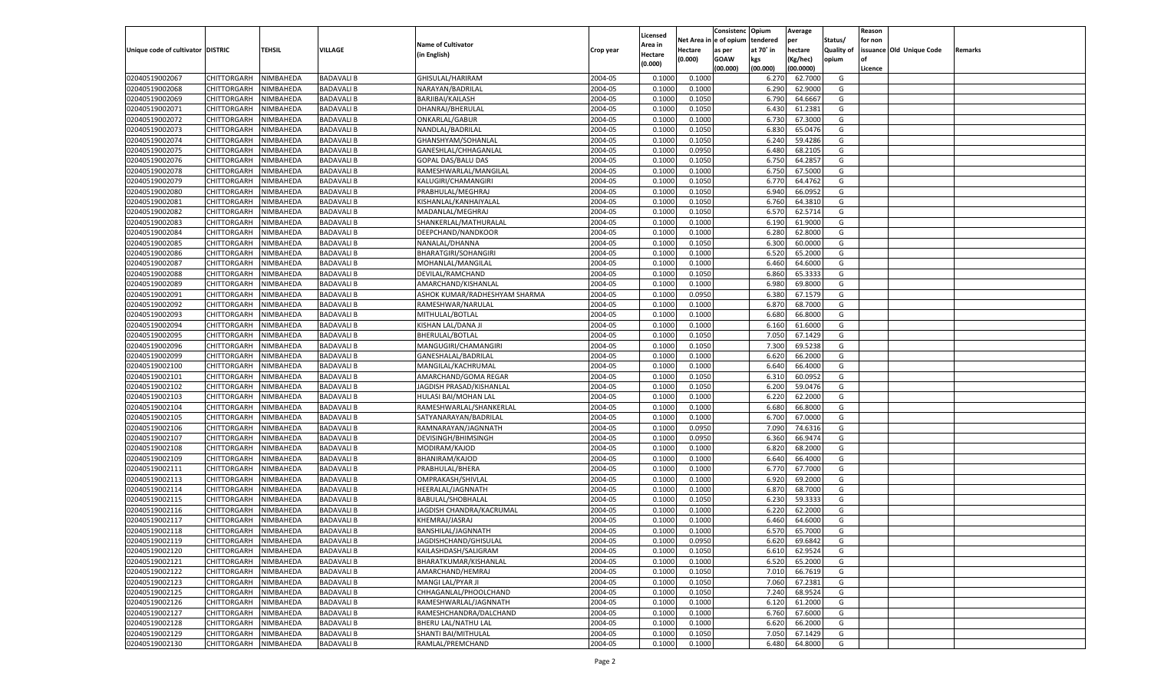|                                   |                       |               |                   |                               |           |                           |          | Consistenc  | Opium          | Average   |                   | Reason  |                          |         |
|-----------------------------------|-----------------------|---------------|-------------------|-------------------------------|-----------|---------------------------|----------|-------------|----------------|-----------|-------------------|---------|--------------------------|---------|
|                                   |                       |               |                   | <b>Name of Cultivator</b>     |           | Licensed                  | Net Area | e of opium  | tendered       | per       | Status/           | for non |                          |         |
| Unique code of cultivator DISTRIC |                       | <b>TEHSIL</b> | VILLAGE           | (in English)                  | Crop year | <b>Area in</b><br>Hectare | Hectare  | as per      | at 70° in      | hectare   | <b>Quality of</b> |         | issuance Old Unique Code | Remarks |
|                                   |                       |               |                   |                               |           | (0.000)                   | (0.000)  | <b>GOAW</b> | kgs            | (Kg/hec)  | opium             |         |                          |         |
|                                   |                       |               |                   |                               |           |                           |          | (00.000)    | (00.000)       | (00.0000) |                   | Licence |                          |         |
| 02040519002067                    | CHITTORGARH           | NIMBAHEDA     | <b>BADAVALI B</b> | GHISULAL/HARIRAM              | 2004-05   | 0.1000                    | 0.1000   |             | 6.27           | 62.7000   | G                 |         |                          |         |
| 02040519002068                    | CHITTORGARH           | NIMBAHEDA     | <b>BADAVALI B</b> | NARAYAN/BADRILAL              | 2004-05   | 0.1000                    | 0.1000   |             | 6.290          | 62.9000   | G                 |         |                          |         |
| 02040519002069                    | CHITTORGARH           | NIMBAHEDA     | <b>BADAVALI B</b> | BARJIBAI/KAILASH              | 2004-05   | 0.1000                    | 0.1050   |             | 6.790          | 64.6667   | G                 |         |                          |         |
| 02040519002071                    | CHITTORGARH           | NIMBAHEDA     | <b>BADAVALI B</b> | DHANRAJ/BHERULAL              | 2004-05   | 0.1000                    | 0.1050   |             | 6.430          | 61.2381   | G                 |         |                          |         |
| 02040519002072                    | CHITTORGARH           | NIMBAHEDA     | <b>BADAVALI B</b> | ONKARLAL/GABUR                | 2004-05   | 0.1000                    | 0.1000   |             | 6.730          | 67.3000   | G                 |         |                          |         |
| 02040519002073                    | CHITTORGARH           | NIMBAHEDA     | <b>BADAVALI B</b> | NANDLAL/BADRILAL              | 2004-05   | 0.1000                    | 0.1050   |             | 6.830          | 65.0476   | G                 |         |                          |         |
| 02040519002074                    | CHITTORGARH           | NIMBAHEDA     | <b>BADAVALI B</b> | GHANSHYAM/SOHANLAL            | 2004-05   | 0.1000                    | 0.1050   |             | 6.240          | 59.4286   | G                 |         |                          |         |
| 02040519002075                    | CHITTORGARH           | NIMBAHEDA     | <b>BADAVALI B</b> | GANESHLAL/CHHAGANLAL          | 2004-05   | 0.1000                    | 0.0950   |             | 6.480          | 68.2105   | G                 |         |                          |         |
| 02040519002076                    | CHITTORGARH           | NIMBAHEDA     | <b>BADAVALI B</b> | <b>GOPAL DAS/BALU DAS</b>     | 2004-05   | 0.1000                    | 0.1050   |             | 6.750          | 64.2857   | G                 |         |                          |         |
| 02040519002078                    | CHITTORGARH           | NIMBAHEDA     | <b>BADAVALI B</b> | RAMESHWARLAL/MANGILAL         | 2004-05   | 0.1000                    | 0.1000   |             | 6.750          | 67.5000   | G                 |         |                          |         |
| 02040519002079                    | CHITTORGARH           | NIMBAHEDA     | <b>BADAVALI B</b> | KALUGIRI/CHAMANGIRI           | 2004-05   | 0.1000                    | 0.1050   |             | 6.77           | 64.4762   | G                 |         |                          |         |
| 02040519002080                    | CHITTORGARH           | NIMBAHEDA     | <b>BADAVALI B</b> | PRABHULAL/MEGHRAJ             | 2004-05   | 0.1000                    | 0.1050   |             | 6.940          | 66.095    | G                 |         |                          |         |
| 02040519002081                    | CHITTORGARH           | NIMBAHEDA     | <b>BADAVALI B</b> | KISHANLAL/KANHAIYALAL         | 2004-05   | 0.1000                    | 0.1050   |             | 6.760          | 64.3810   | G                 |         |                          |         |
| 02040519002082                    | CHITTORGARH           | NIMBAHEDA     | <b>BADAVALI B</b> | MADANLAL/MEGHRAJ              | 2004-05   | 0.1000                    | 0.1050   |             | 6.570          | 62.5714   | G                 |         |                          |         |
| 02040519002083                    | CHITTORGARH           | NIMBAHEDA     | <b>BADAVALI B</b> | SHANKERLAL/MATHURALAL         | 2004-05   | 0.1000                    | 0.1000   |             | 6.190          | 61.9000   | G                 |         |                          |         |
| 02040519002084                    | CHITTORGARH           | NIMBAHEDA     | <b>BADAVALI B</b> | DEEPCHAND/NANDKOOR            | 2004-05   | 0.1000                    | 0.1000   |             | 6.280          | 62.8000   | G                 |         |                          |         |
| 02040519002085                    | CHITTORGARH           | NIMBAHEDA     | <b>BADAVALI B</b> | NANALAL/DHANNA                | 2004-05   | 0.1000                    | 0.1050   |             | 6.300          | 60.0000   | G                 |         |                          |         |
| 02040519002086                    | CHITTORGARH           | NIMBAHEDA     | <b>BADAVALI B</b> | <b>BHARATGIRI/SOHANGIRI</b>   | 2004-05   | 0.1000                    | 0.1000   |             | 6.520          | 65.2000   | G                 |         |                          |         |
| 02040519002087                    | CHITTORGARH           | NIMBAHEDA     | <b>BADAVALI B</b> | MOHANLAL/MANGILAL             | 2004-05   | 0.1000                    | 0.1000   |             | 6.460          | 64.6000   | G                 |         |                          |         |
| 02040519002088                    | CHITTORGARH           | NIMBAHEDA     | <b>BADAVALI B</b> | DEVILAL/RAMCHAND              | 2004-05   | 0.1000                    | 0.1050   |             | 6.860          | 65.3333   | G                 |         |                          |         |
| 02040519002089                    | CHITTORGARH           | NIMBAHEDA     | <b>BADAVALI B</b> | AMARCHAND/KISHANLAL           | 2004-05   | 0.1000                    | 0.1000   |             | 6.980          | 69.8000   | G                 |         |                          |         |
| 02040519002091                    | CHITTORGARH           | NIMBAHEDA     | <b>BADAVALI B</b> | ASHOK KUMAR/RADHESHYAM SHARMA | 2004-05   | 0.1000                    | 0.0950   |             | 6.380          | 67.1579   | G                 |         |                          |         |
| 02040519002092                    | CHITTORGARH           | NIMBAHEDA     | <b>BADAVALI B</b> | RAMESHWAR/NARULAL             | 2004-05   | 0.1000                    | 0.1000   |             | 6.870          | 68.7000   | G                 |         |                          |         |
| 02040519002093                    | CHITTORGARH           | NIMBAHEDA     | <b>BADAVALI B</b> | MITHULAL/BOTLAL               | 2004-05   | 0.1000                    | 0.1000   |             | 6.680          | 66.8000   | G                 |         |                          |         |
| 02040519002094                    | CHITTORGARH           | NIMBAHEDA     | <b>BADAVALI B</b> | KISHAN LAL/DANA JI            | 2004-05   | 0.1000                    | 0.1000   |             | 6.160          | 61.6000   | G                 |         |                          |         |
| 02040519002095                    | CHITTORGARH           | NIMBAHEDA     | <b>BADAVALI B</b> | BHERULAL/BOTLAL               | 2004-05   | 0.1000                    | 0.1050   |             | 7.050          | 67.1429   | G                 |         |                          |         |
| 02040519002096                    | CHITTORGARH           | NIMBAHEDA     | <b>BADAVALI B</b> | MANGUGIRI/CHAMANGIRI          | 2004-05   | 0.1000                    | 0.1050   |             | 7.300          | 69.5238   | G                 |         |                          |         |
| 02040519002099                    | CHITTORGARH           | NIMBAHEDA     | <b>BADAVALI B</b> | GANESHALAL/BADRILAL           | 2004-05   | 0.1000                    | 0.1000   |             | 6.620          | 66.2000   | G                 |         |                          |         |
| 02040519002100                    | CHITTORGARH           | NIMBAHEDA     | <b>BADAVALI B</b> | MANGILAL/KACHRUMAL            | 2004-05   | 0.1000                    | 0.1000   |             | 6.640          | 66.4000   | G                 |         |                          |         |
| 02040519002101                    | CHITTORGARH           | NIMBAHEDA     | <b>BADAVALI B</b> | AMARCHAND/GOMA REGAR          | 2004-05   | 0.1000                    | 0.1050   |             | 6.310          | 60.0952   | G                 |         |                          |         |
| 02040519002102                    | CHITTORGARH           | NIMBAHEDA     | <b>BADAVALI B</b> | JAGDISH PRASAD/KISHANLAL      | 2004-05   | 0.1000                    | 0.1050   |             | 6.200          | 59.0476   | G                 |         |                          |         |
| 02040519002103                    | CHITTORGARH           | NIMBAHEDA     | <b>BADAVALI B</b> | HULASI BAI/MOHAN LAL          | 2004-05   | 0.1000                    | 0.1000   |             | 6.220          | 62.2000   | G                 |         |                          |         |
| 02040519002104                    | CHITTORGARH           | NIMBAHEDA     | <b>BADAVALI B</b> | RAMESHWARLAL/SHANKERLAL       | 2004-05   | 0.1000                    | 0.1000   |             | 6.680          | 66.8000   | G                 |         |                          |         |
| 02040519002105                    | CHITTORGARH           | NIMBAHEDA     | <b>BADAVALI B</b> | SATYANARAYAN/BADRILAI         | 2004-05   | 0.1000                    | 0.1000   |             | 6.700          | 67.0000   | G                 |         |                          |         |
| 02040519002106                    |                       | NIMBAHEDA     | <b>BADAVALI B</b> |                               | 2004-05   | 0.1000                    | 0.0950   |             |                | 74.6316   | G                 |         |                          |         |
| 02040519002107                    | CHITTORGARH           |               | <b>BADAVALI B</b> | RAMNARAYAN/JAGNNATH           | 2004-05   |                           |          |             | 7.090<br>6.360 | 66.9474   | G                 |         |                          |         |
|                                   | CHITTORGARH           | NIMBAHEDA     |                   | DEVISINGH/BHIMSINGH           |           | 0.1000                    | 0.0950   |             |                | 68.2000   |                   |         |                          |         |
| 02040519002108                    | CHITTORGARH           | NIMBAHEDA     | <b>BADAVALI B</b> | MODIRAM/KAJOD                 | 2004-05   | 0.1000                    | 0.1000   |             | 6.820          |           | G                 |         |                          |         |
| 02040519002109                    | CHITTORGARH           | NIMBAHEDA     | <b>BADAVALI B</b> | BHANIRAM/KAJOD                | 2004-05   | 0.1000                    | 0.1000   |             | 6.640          | 66.4000   | G                 |         |                          |         |
| 02040519002111                    | CHITTORGARH           | NIMBAHEDA     | <b>BADAVALI B</b> | PRABHULAL/BHERA               | 2004-05   | 0.1000                    | 0.1000   |             | 6.770          | 67.7000   | G                 |         |                          |         |
| 02040519002113                    | CHITTORGARH           | NIMBAHEDA     | <b>BADAVALI B</b> | OMPRAKASH/SHIVLAL             | 2004-05   | 0.1000                    | 0.1000   |             | 6.920          | 69.2000   | G                 |         |                          |         |
| 02040519002114                    | CHITTORGARH           | NIMBAHEDA     | <b>BADAVALI B</b> | HEERALAL/JAGNNATH             | 2004-05   | 0.1000                    | 0.1000   |             | 6.870          | 68.7000   | G                 |         |                          |         |
| 02040519002115                    | CHITTORGARH           | NIMBAHEDA     | <b>BADAVALI B</b> | BABULAL/SHOBHALAL             | 2004-05   | 0.1000                    | 0.1050   |             | 6.23           | 59.3333   | G                 |         |                          |         |
| 02040519002116                    | CHITTORGARH           | NIMBAHEDA     | <b>BADAVALI B</b> | JAGDISH CHANDRA/KACRUMAL      | 2004-05   | 0.1000                    | 0.1000   |             | 6.220          | 62.2000   | G                 |         |                          |         |
| 02040519002117                    | CHITTORGARH           | NIMBAHEDA     | <b>BADAVALI B</b> | KHEMRAJ/JASRAJ                | 2004-05   | 0.1000                    | 0.1000   |             | 6.460          | 64.6000   | G                 |         |                          |         |
| 02040519002118                    | CHITTORGARH           | NIMBAHEDA     | <b>BADAVALI B</b> | BANSHILAL/JAGNNATH            | 2004-05   | 0.1000                    | 0.1000   |             | 6.570          | 65.7000   | G                 |         |                          |         |
| 02040519002119                    | CHITTORGARH NIMBAHEDA |               | <b>BADAVALIB</b>  | JAGDISHCHAND/GHISULAL         | 2004-05   | 0.1000                    | 0.0950   |             | 6.620          | 69.6842   | G                 |         |                          |         |
| 02040519002120                    | <b>CHITTORGARH</b>    | NIMBAHEDA     | <b>BADAVALI B</b> | KAILASHDASH/SALIGRAM          | 2004-05   | 0.1000                    | 0.1050   |             | 6.610          | 62.9524   | G                 |         |                          |         |
| 02040519002121                    | CHITTORGARH           | NIMBAHEDA     | <b>BADAVALI B</b> | BHARATKUMAR/KISHANLAL         | 2004-05   | 0.1000                    | 0.1000   |             | 6.520          | 65.2000   | G                 |         |                          |         |
| 02040519002122                    | <b>CHITTORGARH</b>    | NIMBAHEDA     | <b>BADAVALI B</b> | AMARCHAND/HEMRAJ              | 2004-05   | 0.1000                    | 0.1050   |             | 7.010          | 66.7619   | G                 |         |                          |         |
| 02040519002123                    | <b>CHITTORGARH</b>    | NIMBAHEDA     | <b>BADAVALI B</b> | MANGI LAL/PYAR JI             | 2004-05   | 0.1000                    | 0.1050   |             | 7.060          | 67.2381   | G                 |         |                          |         |
| 02040519002125                    | <b>CHITTORGARH</b>    | NIMBAHEDA     | <b>BADAVALI B</b> | CHHAGANLAL/PHOOLCHAND         | 2004-05   | 0.1000                    | 0.1050   |             | 7.240          | 68.9524   | G                 |         |                          |         |
| 02040519002126                    | <b>CHITTORGARH</b>    | NIMBAHEDA     | <b>BADAVALI B</b> | RAMESHWARLAL/JAGNNATH         | 2004-05   | 0.1000                    | 0.1000   |             | 6.120          | 61.2000   | G                 |         |                          |         |
| 02040519002127                    | <b>CHITTORGARH</b>    | NIMBAHEDA     | <b>BADAVALI B</b> | RAMESHCHANDRA/DALCHAND        | 2004-05   | 0.1000                    | 0.1000   |             | 6.760          | 67.6000   | G                 |         |                          |         |
| 02040519002128                    | <b>CHITTORGARH</b>    | NIMBAHEDA     | <b>BADAVALI B</b> | BHERU LAL/NATHU LAL           | 2004-05   | 0.1000                    | 0.1000   |             | 6.620          | 66.2000   | G                 |         |                          |         |
| 02040519002129                    | <b>CHITTORGARH</b>    | NIMBAHEDA     | <b>BADAVALI B</b> | SHANTI BAI/MITHULAL           | 2004-05   | 0.1000                    | 0.1050   |             | 7.050          | 67.1429   | G                 |         |                          |         |
| 02040519002130                    | CHITTORGARH           | NIMBAHEDA     | <b>BADAVALI B</b> | RAMLAL/PREMCHAND              | 2004-05   | 0.1000                    | 0.1000   |             | 6.480          | 64.8000   | G                 |         |                          |         |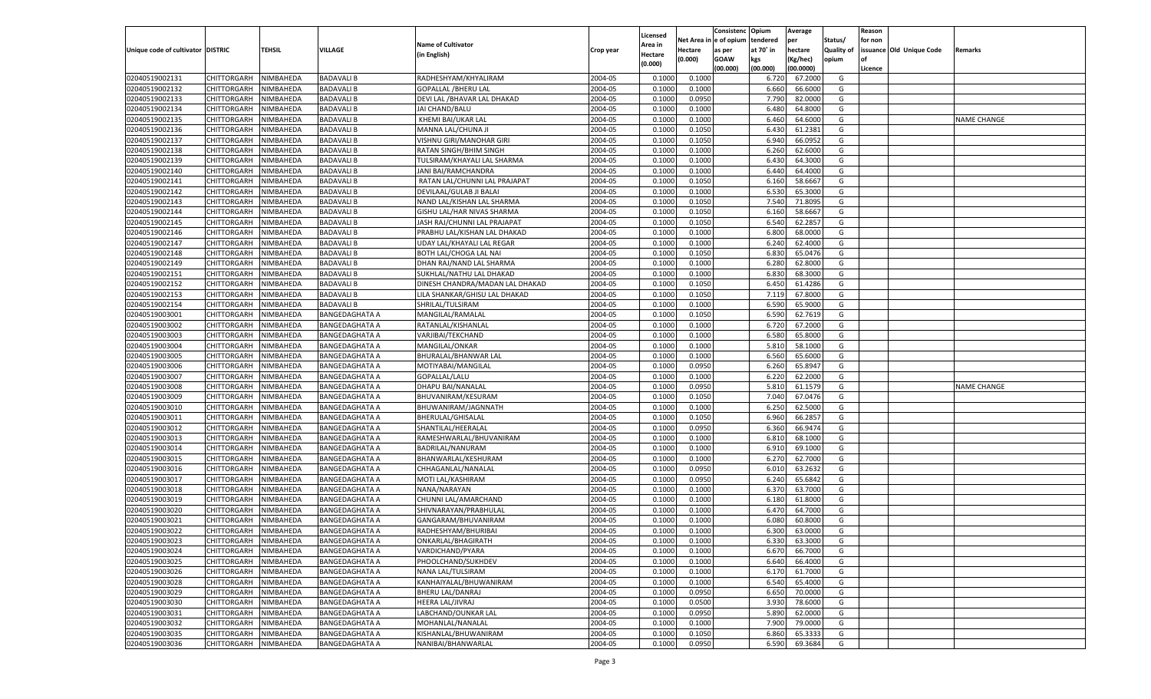|                                   |                    |           |                       |                                 |           |          |          | Consistenc Opium |           | Average   |                   | Reason    |                          |                    |
|-----------------------------------|--------------------|-----------|-----------------------|---------------------------------|-----------|----------|----------|------------------|-----------|-----------|-------------------|-----------|--------------------------|--------------------|
|                                   |                    |           |                       |                                 |           | Licensed | Net Area | e of opium       | tendered  | per       | Status/           | for non   |                          |                    |
| Unique code of cultivator DISTRIC |                    | TEHSIL    | VILLAGE               | <b>Name of Cultivator</b>       | Crop year | Area in  | Hectare  | as per           | at 70˚ in | hectare   | <b>Quality of</b> |           | issuance Old Unique Code | Remarks            |
|                                   |                    |           |                       | (in English)                    |           | Hectare  | (0.000)  | <b>GOAW</b>      | kgs       | (Kg/hec)  | opium             | <b>of</b> |                          |                    |
|                                   |                    |           |                       |                                 |           | (0.000)  |          | (00.000)         | (00.000)  | (00.0000) |                   | Licence   |                          |                    |
|                                   |                    | NIMBAHEDA | <b>BADAVALI B</b>     |                                 | 2004-05   | 0.1000   | 0.1000   |                  |           | 67.2000   | G                 |           |                          |                    |
| 02040519002131                    | CHITTORGARH        |           |                       | RADHESHYAM/KHYALIRAM            |           |          |          |                  | 6.720     |           |                   |           |                          |                    |
| 02040519002132                    | CHITTORGARH        | NIMBAHEDA | <b>BADAVALI B</b>     | <b>GOPALLAL /BHERU LAL</b>      | 2004-05   | 0.1000   | 0.1000   |                  | 6.660     | 66.6000   | G                 |           |                          |                    |
| 02040519002133                    | <b>CHITTORGARH</b> | NIMBAHEDA | <b>BADAVALI B</b>     | DEVI LAL / BHAVAR LAL DHAKAD    | 2004-05   | 0.1000   | 0.0950   |                  | 7.790     | 82.0000   | G                 |           |                          |                    |
| 02040519002134                    | CHITTORGARH        | NIMBAHEDA | <b>BADAVALI B</b>     | JAI CHAND/BALU                  | 2004-05   | 0.1000   | 0.1000   |                  | 6.480     | 64.8000   | G                 |           |                          |                    |
| 02040519002135                    | <b>CHITTORGARH</b> | NIMBAHEDA | <b>BADAVALI B</b>     | KHEMI BAI/UKAR LAL              | 2004-05   | 0.1000   | 0.1000   |                  | 6.460     | 64.6000   | G                 |           |                          | <b>NAME CHANGE</b> |
| 02040519002136                    | CHITTORGARH        | NIMBAHEDA | <b>BADAVALI B</b>     | MANNA LAL/CHUNA JI              | 2004-05   | 0.1000   | 0.1050   |                  | 6.430     | 61.2381   | G                 |           |                          |                    |
| 02040519002137                    | CHITTORGARH        | NIMBAHEDA | <b>BADAVALI B</b>     | VISHNU GIRI/MANOHAR GIRI        | 2004-05   | 0.1000   | 0.1050   |                  | 6.940     | 66.0952   | G                 |           |                          |                    |
| 02040519002138                    | CHITTORGARH        | NIMBAHEDA | <b>BADAVALI B</b>     | RATAN SINGH/BHIM SINGH          | 2004-05   | 0.1000   | 0.1000   |                  | 6.260     | 62.6000   | G                 |           |                          |                    |
| 02040519002139                    | <b>CHITTORGARH</b> | NIMBAHEDA | <b>BADAVALI B</b>     | TULSIRAM/KHAYALI LAL SHARMA     | 2004-05   | 0.1000   | 0.1000   |                  | 6.430     | 64.3000   | G                 |           |                          |                    |
| 02040519002140                    | CHITTORGARH        | NIMBAHEDA | <b>BADAVALI B</b>     | JANI BAI/RAMCHANDRA             | 2004-05   | 0.1000   | 0.1000   |                  | 6.44      | 64.4000   | G                 |           |                          |                    |
| 02040519002141                    | <b>CHITTORGARH</b> | NIMBAHEDA | <b>BADAVALI B</b>     | RATAN LAL/CHUNNI LAL PRAJAPAT   | 2004-05   | 0.1000   | 0.1050   |                  | 6.160     | 58.666    | G                 |           |                          |                    |
| 02040519002142                    | CHITTORGARH        | NIMBAHEDA | <b>BADAVALI B</b>     | DEVILAAL/GULAB JI BALAI         | 2004-05   | 0.1000   | 0.1000   |                  | 6.530     | 65.3000   | G                 |           |                          |                    |
|                                   |                    |           |                       |                                 |           |          |          |                  |           |           |                   |           |                          |                    |
| 02040519002143                    | <b>CHITTORGARH</b> | NIMBAHEDA | <b>BADAVALI B</b>     | NAND LAL/KISHAN LAL SHARMA      | 2004-05   | 0.1000   | 0.1050   |                  | 7.540     | 71.8095   | G                 |           |                          |                    |
| 02040519002144                    | CHITTORGARH        | NIMBAHEDA | <b>BADAVALI B</b>     | GISHU LAL/HAR NIVAS SHARMA      | 2004-05   | 0.1000   | 0.1050   |                  | 6.160     | 58.666    | G                 |           |                          |                    |
| 02040519002145                    | <b>CHITTORGARH</b> | NIMBAHEDA | <b>BADAVALI B</b>     | JASH RAJ/CHUNNI LAL PRAJAPAT    | 2004-05   | 0.1000   | 0.1050   |                  | 6.540     | 62.2857   | G                 |           |                          |                    |
| 02040519002146                    | CHITTORGARH        | NIMBAHEDA | <b>BADAVALI B</b>     | PRABHU LAL/KISHAN LAL DHAKAD    | 2004-05   | 0.1000   | 0.1000   |                  | 6.800     | 68.0000   | G                 |           |                          |                    |
| 02040519002147                    | <b>CHITTORGARH</b> | NIMBAHEDA | <b>BADAVALI B</b>     | UDAY LAL/KHAYALI LAL REGAR      | 2004-05   | 0.1000   | 0.1000   |                  | 6.240     | 62.4000   | G                 |           |                          |                    |
| 02040519002148                    | CHITTORGARH        | NIMBAHEDA | <b>BADAVALI B</b>     | BOTH LAL/CHOGA LAL NAI          | 2004-05   | 0.1000   | 0.1050   |                  | 6.83      | 65.0476   | G                 |           |                          |                    |
| 02040519002149                    | <b>CHITTORGARH</b> | NIMBAHEDA | <b>BADAVALI B</b>     | DHAN RAJ/NAND LAL SHARMA        | 2004-05   | 0.1000   | 0.1000   |                  | 6.280     | 62.8000   | G                 |           |                          |                    |
| 02040519002151                    | CHITTORGARH        | NIMBAHEDA | <b>BADAVALI B</b>     | SUKHLAL/NATHU LAL DHAKAD        | 2004-05   | 0.1000   | 0.1000   |                  | 6.830     | 68.3000   | G                 |           |                          |                    |
| 02040519002152                    | <b>CHITTORGARH</b> | NIMBAHEDA | <b>BADAVALI B</b>     | DINESH CHANDRA/MADAN LAL DHAKAD | 2004-05   | 0.1000   | 0.1050   |                  | 6.450     | 61.4286   | G                 |           |                          |                    |
| 02040519002153                    | CHITTORGARH        | NIMBAHEDA | <b>BADAVALI B</b>     | LILA SHANKAR/GHISU LAL DHAKAD   | 2004-05   | 0.1000   | 0.1050   |                  | 7.119     | 67.8000   | G                 |           |                          |                    |
| 02040519002154                    | <b>CHITTORGARH</b> | NIMBAHEDA | <b>BADAVALI B</b>     | SHRILAL/TULSIRAM                | 2004-05   | 0.1000   | 0.1000   |                  | 6.590     | 65.9000   | G                 |           |                          |                    |
|                                   |                    |           |                       |                                 |           |          |          |                  |           |           |                   |           |                          |                    |
| 02040519003001                    | CHITTORGARH        | NIMBAHEDA | BANGEDAGHATA A        | MANGILAL/RAMALAL                | 2004-05   | 0.1000   | 0.1050   |                  | 6.590     | 62.7619   | G                 |           |                          |                    |
| 02040519003002                    | <b>CHITTORGARH</b> | NIMBAHEDA | <b>BANGEDAGHATA A</b> | RATANLAL/KISHANLAL              | 2004-05   | 0.1000   | 0.1000   |                  | 6.720     | 67.2000   | G                 |           |                          |                    |
| 02040519003003                    | CHITTORGARH        | NIMBAHEDA | <b>BANGEDAGHATA A</b> | VARJIBAI/TEKCHAND               | 2004-05   | 0.1000   | 0.1000   |                  | 6.580     | 65.8000   | G                 |           |                          |                    |
| 02040519003004                    | <b>CHITTORGARH</b> | NIMBAHEDA | <b>BANGEDAGHATA A</b> | MANGILAL/ONKAR                  | 2004-05   | 0.1000   | 0.1000   |                  | 5.810     | 58.1000   | G                 |           |                          |                    |
| 02040519003005                    | CHITTORGARH        | NIMBAHEDA | BANGEDAGHATA A        | BHURALAL/BHANWAR LAL            | 2004-05   | 0.1000   | 0.1000   |                  | 6.560     | 65.6000   | G                 |           |                          |                    |
| 02040519003006                    | <b>CHITTORGARH</b> | NIMBAHEDA | <b>BANGEDAGHATA A</b> | MOTIYABAI/MANGILAL              | 2004-05   | 0.1000   | 0.0950   |                  | 6.260     | 65.8947   | G                 |           |                          |                    |
| 02040519003007                    | CHITTORGARH        | NIMBAHEDA | <b>BANGEDAGHATA A</b> | GOPALLAL/LALU                   | 2004-05   | 0.1000   | 0.1000   |                  | 6.220     | 62.2000   | G                 |           |                          |                    |
| 02040519003008                    | CHITTORGARH        | NIMBAHEDA | <b>BANGEDAGHATA A</b> | DHAPU BAI/NANALAL               | 2004-05   | 0.1000   | 0.0950   |                  | 5.810     | 61.1579   | G                 |           |                          | <b>NAME CHANGE</b> |
| 02040519003009                    | CHITTORGARH        | NIMBAHEDA | <b>BANGEDAGHATA A</b> | BHUVANIRAM/KESURAM              | 2004-05   | 0.1000   | 0.1050   |                  | 7.040     | 67.0476   | G                 |           |                          |                    |
| 02040519003010                    | <b>CHITTORGARH</b> | NIMBAHEDA | <b>BANGEDAGHATA A</b> | BHUWANIRAM/JAGNNATH             | 2004-05   | 0.1000   | 0.1000   |                  | 6.250     | 62.5000   | G                 |           |                          |                    |
| 02040519003011                    | CHITTORGARH        | NIMBAHEDA | <b>BANGEDAGHATA A</b> | BHERULAL/GHISALAL               | 2004-05   | 0.1000   | 0.1050   |                  | 6.960     | 66.285    | G                 |           |                          |                    |
| 02040519003012                    | CHITTORGARH        | NIMBAHEDA | <b>BANGEDAGHATA A</b> | SHANTILAL/HEERALAL              | 2004-05   | 0.1000   | 0.0950   |                  | 6.360     | 66.9474   | G                 |           |                          |                    |
| 02040519003013                    | CHITTORGARH        | NIMBAHEDA | <b>BANGEDAGHATA A</b> | RAMESHWARLAL/BHUVANIRAM         | 2004-05   | 0.1000   | 0.1000   |                  | 6.81      | 68.1000   | G                 |           |                          |                    |
|                                   |                    |           |                       |                                 |           |          |          |                  |           |           |                   |           |                          |                    |
| 02040519003014                    | <b>CHITTORGARH</b> | NIMBAHEDA | <b>BANGEDAGHATA A</b> | BADRILAL/NANURAM                | 2004-05   | 0.1000   | 0.1000   |                  | 6.910     | 69.1000   | G                 |           |                          |                    |
| 02040519003015                    | CHITTORGARH        | NIMBAHEDA | <b>BANGEDAGHATA A</b> | BHANWARLAL/KESHURAM             | 2004-05   | 0.1000   | 0.1000   |                  | 6.27      | 62.7000   | G                 |           |                          |                    |
| 02040519003016                    | <b>CHITTORGARH</b> | NIMBAHEDA | <b>BANGEDAGHATA A</b> | CHHAGANLAL/NANALAL              | 2004-05   | 0.1000   | 0.0950   |                  | 6.010     | 63.2632   | G                 |           |                          |                    |
| 02040519003017                    | CHITTORGARH        | NIMBAHEDA | <b>BANGEDAGHATA A</b> | MOTI LAL/KASHIRAM               | 2004-05   | 0.1000   | 0.0950   |                  | 6.240     | 65.6842   | G                 |           |                          |                    |
| 02040519003018                    | <b>CHITTORGARH</b> | NIMBAHEDA | <b>BANGEDAGHATA A</b> | NANA/NARAYAN                    | 2004-05   | 0.1000   | 0.1000   |                  | 6.37      | 63.7000   | G                 |           |                          |                    |
| 02040519003019                    | CHITTORGARH        | NIMBAHEDA | <b>BANGEDAGHATA A</b> | CHUNNI LAL/AMARCHAND            | 2004-05   | 0.1000   | 0.1000   |                  | 6.18      | 61.8000   | G                 |           |                          |                    |
| 02040519003020                    | CHITTORGARH        | NIMBAHEDA | <b>BANGEDAGHATA A</b> | SHIVNARAYAN/PRABHULAL           | 2004-05   | 0.1000   | 0.1000   |                  | 6.47      | 64.7000   | G                 |           |                          |                    |
| 02040519003021                    | CHITTORGARH        | NIMBAHEDA | BANGEDAGHATA A        | GANGARAM/BHUVANIRAM             | 2004-05   | 0.1000   | 0.1000   |                  | 6.08      | 60.8000   | G                 |           |                          |                    |
| 02040519003022                    | CHITTORGARH        | NIMBAHEDA | <b>BANGEDAGHATA A</b> | RADHESHYAM/BHURIBAI             | 2004-05   | 0.1000   | 0.1000   |                  | 6.300     | 63.0000   | G                 |           |                          |                    |
| 02040519003023                    | CHITTORGARH        | NIMBAHEDA | <b>BANGEDAGHATA A</b> | ONKARLAL/BHAGIRATH              | 2004-05   | 0.1000   | 0.1000   |                  | 6.330     | 63.3000   | G                 |           |                          |                    |
| 02040519003024                    | <b>CHITTORGARH</b> | NIMBAHEDA | <b>BANGEDAGHATA A</b> | VARDICHAND/PYARA                | 2004-05   | 0.1000   | 0.1000   |                  | 6.670     | 66.7000   | G                 |           |                          |                    |
| 02040519003025                    | CHITTORGARH        | NIMBAHEDA | <b>BANGEDAGHATA A</b> | PHOOLCHAND/SUKHDEV              | 2004-05   | 0.1000   | 0.1000   |                  | 6.640     | 66.4000   | G                 |           |                          |                    |
| 02040519003026                    | <b>CHITTORGARH</b> | NIMBAHEDA | <b>BANGEDAGHATA A</b> |                                 | 2004-05   | 0.1000   | 0.1000   |                  |           | 61.7000   | G                 |           |                          |                    |
|                                   |                    |           |                       | NANA LAL/TULSIRAM               |           |          |          |                  | 6.170     |           |                   |           |                          |                    |
| 02040519003028                    | <b>CHITTORGARH</b> | NIMBAHEDA | <b>BANGEDAGHATA A</b> | KANHAIYALAL/BHUWANIRAM          | 2004-05   | 0.1000   | 0.1000   |                  | 6.540     | 65.4000   | G                 |           |                          |                    |
| 02040519003029                    | <b>CHITTORGARH</b> | NIMBAHEDA | <b>BANGEDAGHATA A</b> | BHERU LAL/DANRAJ                | 2004-05   | 0.1000   | 0.0950   |                  | 6.650     | 70.0000   | G                 |           |                          |                    |
| 02040519003030                    | <b>CHITTORGARH</b> | NIMBAHEDA | <b>BANGEDAGHATA A</b> | HEERA LAL/JIVRAJ                | 2004-05   | 0.1000   | 0.0500   |                  | 3.930     | 78.6000   | G                 |           |                          |                    |
| 02040519003031                    | <b>CHITTORGARH</b> | NIMBAHEDA | <b>BANGEDAGHATA A</b> | LABCHAND/OUNKAR LAL             | 2004-05   | 0.1000   | 0.0950   |                  | 5.890     | 62.0000   | G                 |           |                          |                    |
| 02040519003032                    | <b>CHITTORGARH</b> | NIMBAHEDA | <b>BANGEDAGHATA A</b> | MOHANLAL/NANALAL                | 2004-05   | 0.1000   | 0.1000   |                  | 7.900     | 79.0000   | G                 |           |                          |                    |
| 02040519003035                    | <b>CHITTORGARH</b> | NIMBAHEDA | <b>BANGEDAGHATA A</b> | KISHANLAL/BHUWANIRAM            | 2004-05   | 0.1000   | 0.1050   |                  | 6.860     | 65.3333   | G                 |           |                          |                    |
| 02040519003036                    | CHITTORGARH        | NIMBAHEDA | <b>BANGEDAGHATA A</b> | NANIBAI/BHANWARLAL              | 2004-05   | 0.1000   | 0.0950   |                  | 6.590     | 69.3684   | G                 |           |                          |                    |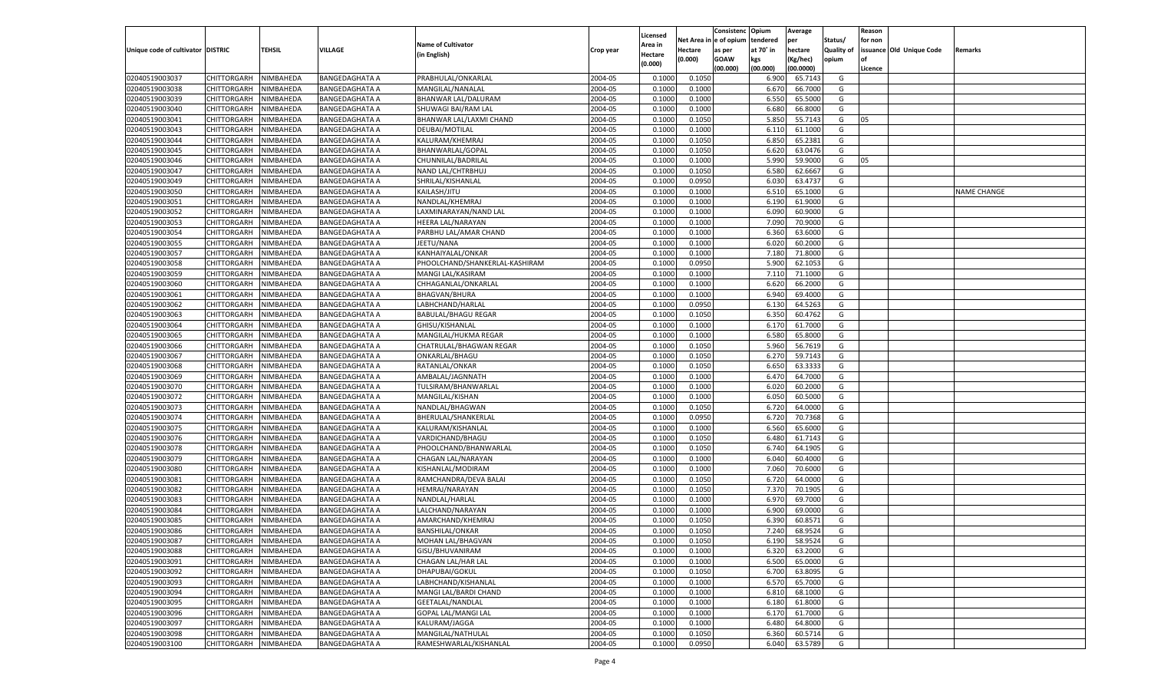|                                   |                       |               |                       |                                |           |                           |          | Consistenc  | Opium          | Average   |                   | Reason  |                          |                    |
|-----------------------------------|-----------------------|---------------|-----------------------|--------------------------------|-----------|---------------------------|----------|-------------|----------------|-----------|-------------------|---------|--------------------------|--------------------|
|                                   |                       |               |                       | <b>Name of Cultivator</b>      |           | Licensed                  | Net Area | e of opium  | tendered       | per       | Status/           | for non |                          |                    |
| Unique code of cultivator DISTRIC |                       | <b>TEHSIL</b> | VILLAGE               | (in English)                   | Crop year | <b>Area in</b><br>Hectare | Hectare  | as per      | at 70° in      | hectare   | <b>Quality of</b> |         | issuance Old Unique Code | Remarks            |
|                                   |                       |               |                       |                                |           | (0.000)                   | (0.000)  | <b>GOAW</b> | kgs            | (Kg/hec)  | opium             |         |                          |                    |
|                                   |                       |               |                       |                                |           |                           |          | (00.000)    | (00.000)       | (00.0000) |                   | Licence |                          |                    |
| 02040519003037                    | CHITTORGARH           | NIMBAHEDA     | <b>BANGEDAGHATA A</b> | PRABHULAL/ONKARLAL             | 2004-05   | 0.1000                    | 0.1050   |             | 6.900          | 65.7143   | G                 |         |                          |                    |
| 02040519003038                    | CHITTORGARH           | NIMBAHEDA     | BANGEDAGHATA A        | MANGILAL/NANALAL               | 2004-05   | 0.1000                    | 0.1000   |             | 6.67           | 66.7000   | G                 |         |                          |                    |
| 02040519003039                    | CHITTORGARH           | NIMBAHEDA     | <b>BANGEDAGHATA A</b> | BHANWAR LAL/DALURAM            | 2004-05   | 0.1000                    | 0.1000   |             | 6.550          | 65.5000   | G                 |         |                          |                    |
| 02040519003040                    | CHITTORGARH           | NIMBAHEDA     | <b>BANGEDAGHATA A</b> | SHUWAGI BAI/RAM LAI            | 2004-05   | 0.1000                    | 0.1000   |             | 6.680          | 66.8000   | G                 |         |                          |                    |
| 02040519003041                    | CHITTORGARH           | NIMBAHEDA     | <b>BANGEDAGHATA A</b> | BHANWAR LAL/LAXMI CHAND        | 2004-05   | 0.1000                    | 0.1050   |             | 5.850          | 55.7143   | G                 | 05      |                          |                    |
| 02040519003043                    | CHITTORGARH           | NIMBAHEDA     | BANGEDAGHATA A        | DEUBAI/MOTILAL                 | 2004-05   | 0.1000                    | 0.1000   |             | 6.11           | 61.1000   | G                 |         |                          |                    |
| 02040519003044                    | CHITTORGARH           | NIMBAHEDA     | <b>BANGEDAGHATA A</b> | KALURAM/KHEMRAJ                | 2004-05   | 0.1000                    | 0.1050   |             | 6.850          | 65.2381   | G                 |         |                          |                    |
| 02040519003045                    | CHITTORGARH           | NIMBAHEDA     | <b>BANGEDAGHATA A</b> | BHANWARLAL/GOPAL               | 2004-05   | 0.1000                    | 0.1050   |             | 6.620          | 63.0476   | G                 |         |                          |                    |
| 02040519003046                    | CHITTORGARH           | NIMBAHEDA     | <b>BANGEDAGHATA A</b> | CHUNNILAL/BADRILAL             | 2004-05   | 0.1000                    | 0.1000   |             | 5.990          | 59.9000   | G                 | 05      |                          |                    |
| 02040519003047                    | CHITTORGARH           | NIMBAHEDA     | BANGEDAGHATA A        | NAND LAL/CHTRBHUJ              | 2004-05   | 0.1000                    | 0.1050   |             | 6.580          | 62.6667   | G                 |         |                          |                    |
| 02040519003049                    | CHITTORGARH           | NIMBAHEDA     | <b>BANGEDAGHATA A</b> | SHRILAL/KISHANLAL              | 2004-05   | 0.1000                    | 0.0950   |             | 6.030          | 63.4737   | G                 |         |                          |                    |
| 02040519003050                    | CHITTORGARH           | NIMBAHEDA     | <b>BANGEDAGHATA A</b> | KAILASH/JITU                   | 2004-05   | 0.1000                    | 0.1000   |             | 6.510          | 65.1000   | G                 |         |                          | <b>NAME CHANGE</b> |
| 02040519003051                    | CHITTORGARH           | NIMBAHEDA     | <b>BANGEDAGHATA A</b> | NANDLAL/KHEMRAJ                | 2004-05   | 0.1000                    | 0.1000   |             | 6.190          | 61.9000   | G                 |         |                          |                    |
| 02040519003052                    | CHITTORGARH           | NIMBAHEDA     | BANGEDAGHATA A        | LAXMINARAYAN/NAND LAL          | 2004-05   | 0.1000                    | 0.1000   |             | 6.090          | 60.9000   | G                 |         |                          |                    |
| 02040519003053                    | CHITTORGARH           | NIMBAHEDA     | <b>BANGEDAGHATA A</b> | HEERA LAL/NARAYAN              | 2004-05   | 0.1000                    | 0.1000   |             | 7.090          | 70.9000   | G                 |         |                          |                    |
| 02040519003054                    | CHITTORGARH           | NIMBAHEDA     | BANGEDAGHATA A        | PARBHU LAL/AMAR CHAND          | 2004-05   | 0.1000                    | 0.1000   |             | 6.360          | 63.6000   | G                 |         |                          |                    |
| 02040519003055                    | CHITTORGARH           | NIMBAHEDA     | <b>BANGEDAGHATA A</b> | JEETU/NANA                     | 2004-05   | 0.1000                    | 0.1000   |             | 6.020          | 60.2000   | G                 |         |                          |                    |
| 02040519003057                    | CHITTORGARH           | NIMBAHEDA     | BANGEDAGHATA A        | KANHAIYALAL/ONKAR              | 2004-05   | 0.1000                    | 0.1000   |             | 7.180          | 71.8000   | G                 |         |                          |                    |
| 02040519003058                    | CHITTORGARH           | NIMBAHEDA     | <b>BANGEDAGHATA A</b> | PHOOLCHAND/SHANKERLAL-KASHIRAM | 2004-05   | 0.1000                    | 0.0950   |             | 5.900          | 62.1053   | G                 |         |                          |                    |
| 02040519003059                    | CHITTORGARH           | NIMBAHEDA     | BANGEDAGHATA A        | MANGI LAL/KASIRAM              | 2004-05   | 0.1000                    | 0.1000   |             | 7.110          | 71.1000   | G                 |         |                          |                    |
| 02040519003060                    | CHITTORGARH           | NIMBAHEDA     | <b>BANGEDAGHATA A</b> | CHHAGANLAL/ONKARLAL            | 2004-05   | 0.1000                    | 0.1000   |             | 6.620          | 66.2000   | G                 |         |                          |                    |
| 02040519003061                    | CHITTORGARH           | NIMBAHEDA     | BANGEDAGHATA A        | <b>BHAGVAN/BHURA</b>           | 2004-05   | 0.1000                    | 0.1000   |             | 6.940          | 69.4000   | G                 |         |                          |                    |
| 02040519003062                    | CHITTORGARH           | NIMBAHEDA     | <b>BANGEDAGHATA A</b> | LABHCHAND/HARLAL               | 2004-05   | 0.1000                    | 0.0950   |             | 6.130          | 64.5263   | G                 |         |                          |                    |
| 02040519003063                    | CHITTORGARH           | NIMBAHEDA     | BANGEDAGHATA A        | <b>BABULAL/BHAGU REGAR</b>     | 2004-05   | 0.1000                    | 0.1050   |             | 6.350          | 60.4762   | G                 |         |                          |                    |
| 02040519003064                    | CHITTORGARH           | NIMBAHEDA     | <b>BANGEDAGHATA A</b> | GHISU/KISHANLAL                | 2004-05   | 0.1000                    | 0.1000   |             | 6.170          | 61.7000   | G                 |         |                          |                    |
| 02040519003065                    | CHITTORGARH           | NIMBAHEDA     | BANGEDAGHATA A        | MANGILAL/HUKMA REGAR           | 2004-05   | 0.1000                    | 0.1000   |             | 6.580          | 65.8000   | G                 |         |                          |                    |
| 02040519003066                    | CHITTORGARH           | NIMBAHEDA     | <b>BANGEDAGHATA A</b> | CHATRULAL/BHAGWAN REGAR        | 2004-05   | 0.1000                    | 0.1050   |             | 5.960          | 56.7619   | G                 |         |                          |                    |
| 02040519003067                    | CHITTORGARH           | NIMBAHEDA     | BANGEDAGHATA A        | ONKARLAL/BHAGU                 | 2004-05   | 0.1000                    | 0.1050   |             | 6.27           | 59.7143   | G                 |         |                          |                    |
| 02040519003068                    | CHITTORGARH           | NIMBAHEDA     | <b>BANGEDAGHATA A</b> | RATANLAL/ONKAR                 | 2004-05   | 0.1000                    | 0.1050   |             | 6.650          | 63.3333   | G                 |         |                          |                    |
| 02040519003069                    | CHITTORGARH           | NIMBAHEDA     | <b>BANGEDAGHATA A</b> | AMBALAL/JAGNNATH               | 2004-05   | 0.1000                    | 0.1000   |             | 6.470          | 64.7000   | G                 |         |                          |                    |
| 02040519003070                    | CHITTORGARH           | NIMBAHEDA     | <b>BANGEDAGHATA A</b> | TULSIRAM/BHANWARLAL            | 2004-05   | 0.1000                    | 0.1000   |             | 6.020          | 60.2000   | G                 |         |                          |                    |
| 02040519003072                    | CHITTORGARH           | NIMBAHEDA     | <b>BANGEDAGHATA A</b> | MANGILAL/KISHAN                | 2004-05   | 0.1000                    | 0.1000   |             | 6.050          | 60.5000   | G                 |         |                          |                    |
| 02040519003073                    | CHITTORGARH           | NIMBAHEDA     | <b>BANGEDAGHATA A</b> | NANDLAL/BHAGWAN                | 2004-05   | 0.1000                    | 0.1050   |             | 6.720          | 64.0000   | G                 |         |                          |                    |
| 02040519003074                    | CHITTORGARH           | NIMBAHEDA     | <b>BANGEDAGHATA A</b> | BHERULAL/SHANKERLAL            | 2004-05   | 0.1000                    | 0.0950   |             | 6.720          | 70.7368   | G                 |         |                          |                    |
| 02040519003075                    |                       | NIMBAHEDA     |                       |                                | 2004-05   | 0.1000                    | 0.1000   |             |                | 65.6000   | G                 |         |                          |                    |
| 02040519003076                    | CHITTORGARH           |               | <b>BANGEDAGHATA A</b> | KALURAM/KISHANLAL              | 2004-05   | 0.1000                    |          |             | 6.560<br>6.480 | 61.7143   | G                 |         |                          |                    |
|                                   | CHITTORGARH           | NIMBAHEDA     | <b>BANGEDAGHATA A</b> | VARDICHAND/BHAGU               |           | 0.1000                    | 0.1050   |             |                | 64.1905   |                   |         |                          |                    |
| 02040519003078                    | CHITTORGARH           | NIMBAHEDA     | <b>BANGEDAGHATA A</b> | PHOOLCHAND/BHANWARLAL          | 2004-05   |                           | 0.1050   |             | 6.740          | 60.4000   | G                 |         |                          |                    |
| 02040519003079                    | CHITTORGARH           | NIMBAHEDA     | <b>BANGEDAGHATA A</b> | CHAGAN LAL/NARAYAN             | 2004-05   | 0.1000                    | 0.1000   |             | 6.04           |           | G                 |         |                          |                    |
| 02040519003080                    | CHITTORGARH           | NIMBAHEDA     | <b>BANGEDAGHATA A</b> | KISHANLAL/MODIRAM              | 2004-05   | 0.1000                    | 0.1000   |             | 7.060          | 70.6000   | G                 |         |                          |                    |
| 02040519003081                    | CHITTORGARH           | NIMBAHEDA     | <b>BANGEDAGHATA A</b> | RAMCHANDRA/DEVA BALAI          | 2004-05   | 0.1000                    | 0.1050   |             | 6.720          | 64.0000   | G                 |         |                          |                    |
| 02040519003082                    | CHITTORGARH           | NIMBAHEDA     | <b>BANGEDAGHATA A</b> | HEMRAJ/NARAYAN                 | 2004-05   | 0.1000                    | 0.1050   |             | 7.370          | 70.190    | G                 |         |                          |                    |
| 02040519003083                    | CHITTORGARH           | NIMBAHEDA     | <b>BANGEDAGHATA A</b> | NANDLAL/HARLAL                 | 2004-05   | 0.1000                    | 0.1000   |             | 6.970          | 69.7000   | G                 |         |                          |                    |
| 02040519003084                    | CHITTORGARH           | NIMBAHEDA     | <b>BANGEDAGHATA A</b> | LALCHAND/NARAYAN               | 2004-05   | 0.1000                    | 0.1000   |             | 6.900          | 69.0000   | G                 |         |                          |                    |
| 02040519003085                    | CHITTORGARH           | NIMBAHEDA     | <b>BANGEDAGHATA A</b> | AMARCHAND/KHEMRAJ              | 2004-05   | 0.1000                    | 0.1050   |             | 6.39           | 60.8571   | G                 |         |                          |                    |
| 02040519003086                    | CHITTORGARH           | NIMBAHEDA     | <b>BANGEDAGHATA A</b> | <b>BANSHILAL/ONKAR</b>         | 2004-05   | 0.1000                    | 0.1050   |             | 7.240          | 68.9524   | G                 |         |                          |                    |
| 02040519003087                    | CHITTORGARH NIMBAHEDA |               | <b>BANGEDAGHATA A</b> | MOHAN LAL/BHAGVAN              | 2004-05   | 0.1000                    | 0.1050   |             | 6.190          | 58.9524   | G                 |         |                          |                    |
| 02040519003088                    | <b>CHITTORGARH</b>    | NIMBAHEDA     | <b>BANGEDAGHATA A</b> | GISU/BHUVANIRAM                | 2004-05   | 0.1000                    | 0.1000   |             | 6.320          | 63.2000   | G                 |         |                          |                    |
| 02040519003091                    | CHITTORGARH           | NIMBAHEDA     | <b>BANGEDAGHATA A</b> | CHAGAN LAL/HAR LAL             | 2004-05   | 0.1000                    | 0.1000   |             | 6.500          | 65.0000   | G                 |         |                          |                    |
| 02040519003092                    | <b>CHITTORGARH</b>    | NIMBAHEDA     | <b>BANGEDAGHATA A</b> | DHAPUBAI/GOKUL                 | 2004-05   | 0.1000                    | 0.1050   |             | 6.700          | 63.8095   | G                 |         |                          |                    |
| 02040519003093                    | <b>CHITTORGARH</b>    | NIMBAHEDA     | <b>BANGEDAGHATA A</b> | LABHCHAND/KISHANLAL            | 2004-05   | 0.1000                    | 0.1000   |             | 6.570          | 65.7000   | G                 |         |                          |                    |
| 02040519003094                    | <b>CHITTORGARH</b>    | NIMBAHEDA     | <b>BANGEDAGHATA A</b> | MANGI LAL/BARDI CHAND          | 2004-05   | 0.1000                    | 0.1000   |             | 6.810          | 68.1000   | G                 |         |                          |                    |
| 02040519003095                    | <b>CHITTORGARH</b>    | NIMBAHEDA     | <b>BANGEDAGHATA A</b> | GEETALAL/NANDLAL               | 2004-05   | 0.1000                    | 0.1000   |             | 6.180          | 61.8000   | G                 |         |                          |                    |
| 02040519003096                    | <b>CHITTORGARH</b>    | NIMBAHEDA     | <b>BANGEDAGHATA A</b> | <b>GOPAL LAL/MANGI LAL</b>     | 2004-05   | 0.1000                    | 0.1000   |             | 6.170          | 61.7000   | G                 |         |                          |                    |
| 02040519003097                    | <b>CHITTORGARH</b>    | NIMBAHEDA     | <b>BANGEDAGHATA A</b> | KALURAM/JAGGA                  | 2004-05   | 0.1000                    | 0.1000   |             | 6.480          | 64.8000   | G                 |         |                          |                    |
| 02040519003098                    | <b>CHITTORGARH</b>    | NIMBAHEDA     | <b>BANGEDAGHATA A</b> | MANGILAL/NATHULAL              | 2004-05   | 0.1000                    | 0.1050   |             | 6.360          | 60.5714   | G                 |         |                          |                    |
| 02040519003100                    | CHITTORGARH           | NIMBAHEDA     | <b>BANGEDAGHATA A</b> | RAMESHWARLAL/KISHANLAL         | 2004-05   | 0.1000                    | 0.0950   |             | 6.040          | 63.5789   | G                 |         |                          |                    |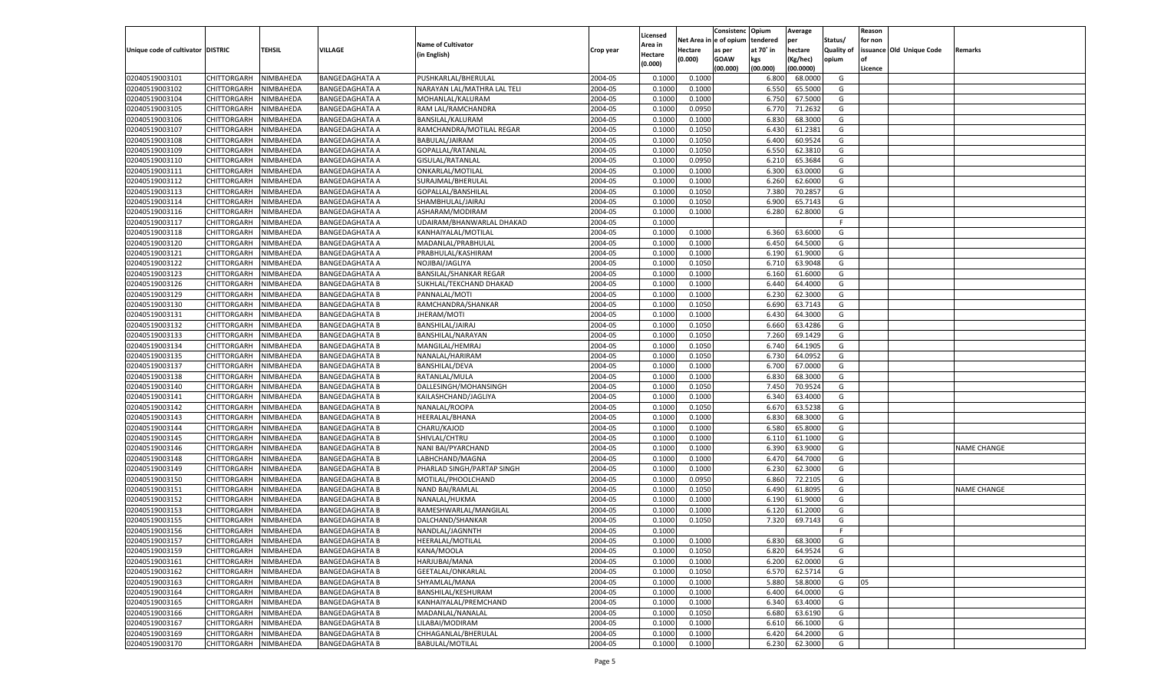|                                   |                                   |                        |                                                |                                             |           |          |          | Consistenc Opium |           | Average            |                   | Reason    |                          |                    |
|-----------------------------------|-----------------------------------|------------------------|------------------------------------------------|---------------------------------------------|-----------|----------|----------|------------------|-----------|--------------------|-------------------|-----------|--------------------------|--------------------|
|                                   |                                   |                        |                                                |                                             |           | Licensed | Net Area | e of opium       | tendered  | per                | Status/           | for non   |                          |                    |
| Unique code of cultivator DISTRIC |                                   | TEHSIL                 | VILLAGE                                        | <b>Name of Cultivator</b>                   | Crop year | Area in  | Hectare  | as per           | at 70˚ in | hectare            | <b>Quality of</b> |           | issuance Old Unique Code | Remarks            |
|                                   |                                   |                        |                                                | (in English)                                |           | Hectare  | (0.000)  | <b>GOAW</b>      | kgs       | (Kg/hec)           | opium             | <b>of</b> |                          |                    |
|                                   |                                   |                        |                                                |                                             |           | (0.000)  |          | (00.000)         | (00.000)  | (00.0000)          |                   | Licence   |                          |                    |
| 02040519003101                    | CHITTORGARH                       | NIMBAHEDA              | <b>BANGEDAGHATA A</b>                          | PUSHKARLAL/BHERULAL                         | 2004-05   | 0.1000   | 0.1000   |                  | 6.800     | 68.0000            | G                 |           |                          |                    |
| 02040519003102                    | CHITTORGARH                       | NIMBAHEDA              | <b>BANGEDAGHATA A</b>                          | NARAYAN LAL/MATHRA LAL TELI                 | 2004-05   | 0.1000   | 0.1000   |                  | 6.550     | 65.5000            | G                 |           |                          |                    |
| 02040519003104                    | <b>CHITTORGARH</b>                | NIMBAHEDA              | <b>BANGEDAGHATA A</b>                          | MOHANLAL/KALURAM                            | 2004-05   | 0.1000   | 0.1000   |                  | 6.750     | 67.5000            | G                 |           |                          |                    |
| 02040519003105                    | CHITTORGARH                       | NIMBAHEDA              | <b>BANGEDAGHATA A</b>                          | RAM LAL/RAMCHANDRA                          | 2004-05   | 0.1000   | 0.0950   |                  | 6.770     | 71.2632            | G                 |           |                          |                    |
| 02040519003106                    | CHITTORGARH                       | NIMBAHEDA              | <b>BANGEDAGHATA A</b>                          | BANSILAL/KALURAM                            | 2004-05   | 0.1000   | 0.1000   |                  | 6.83      | 68.3000            | G                 |           |                          |                    |
| 02040519003107                    | CHITTORGARH                       | NIMBAHEDA              | <b>BANGEDAGHATA A</b>                          | RAMCHANDRA/MOTILAL REGAR                    | 2004-05   | 0.1000   | 0.1050   |                  | 6.430     | 61.2381            | G                 |           |                          |                    |
| 02040519003108                    | CHITTORGARH                       | NIMBAHEDA              | <b>BANGEDAGHATA A</b>                          | BABULAL/JAIRAM                              | 2004-05   | 0.1000   | 0.1050   |                  | 6.400     | 60.9524            | G                 |           |                          |                    |
| 02040519003109                    | CHITTORGARH                       | NIMBAHEDA              | BANGEDAGHATA A                                 | GOPALLAL/RATANLAI                           | 2004-05   | 0.1000   | 0.1050   |                  | 6.550     | 62.3810            | G                 |           |                          |                    |
| 02040519003110                    | <b>CHITTORGARH</b>                | NIMBAHEDA              | <b>BANGEDAGHATA A</b>                          | GISULAL/RATANLAL                            | 2004-05   | 0.1000   | 0.0950   |                  | 6.210     | 65.3684            | G                 |           |                          |                    |
| 02040519003111                    | CHITTORGARH                       | NIMBAHEDA              | <b>BANGEDAGHATA A</b>                          | ONKARLAL/MOTILAL                            | 2004-05   | 0.1000   | 0.1000   |                  | 6.300     | 63.0000            | G                 |           |                          |                    |
| 02040519003112                    | CHITTORGARH                       | NIMBAHEDA              | <b>BANGEDAGHATA A</b>                          | SURAJMAL/BHERULAL                           | 2004-05   | 0.1000   | 0.1000   |                  | 6.260     | 62.6000            | G                 |           |                          |                    |
| 02040519003113                    | CHITTORGARH                       | NIMBAHEDA              | BANGEDAGHATA A                                 | GOPALLAL/BANSHILAL                          | 2004-05   | 0.1000   | 0.1050   |                  | 7.380     | 70.285             | G                 |           |                          |                    |
| 02040519003114                    | <b>CHITTORGARH</b>                | NIMBAHEDA              | <b>BANGEDAGHATA A</b>                          | SHAMBHULAL/JAIRAJ                           | 2004-05   | 0.1000   | 0.1050   |                  | 6.900     | 65.7143            | G                 |           |                          |                    |
| 02040519003116                    | CHITTORGARH                       | NIMBAHEDA              | BANGEDAGHATA A                                 | ASHARAM/MODIRAM                             | 2004-05   | 0.1000   | 0.1000   |                  | 6.280     | 62.8000            | G                 |           |                          |                    |
| 02040519003117                    | <b>CHITTORGARH</b>                | NIMBAHEDA              | <b>BANGEDAGHATA A</b>                          | UDAIRAM/BHANWARLAL DHAKAD                   | 2004-05   | 0.1000   |          |                  |           |                    | F                 |           |                          |                    |
| 02040519003118                    | CHITTORGARH                       | NIMBAHEDA              | <b>BANGEDAGHATA A</b>                          | KANHAIYALAL/MOTILAL                         | 2004-05   | 0.1000   | 0.1000   |                  | 6.360     | 63.6000            | G                 |           |                          |                    |
| 02040519003120                    | <b>CHITTORGARH</b>                | NIMBAHEDA              | <b>BANGEDAGHATA A</b>                          | MADANLAL/PRABHULAL                          | 2004-05   | 0.1000   | 0.1000   |                  | 6.450     | 64.5000            | G                 |           |                          |                    |
| 02040519003121                    | CHITTORGARH                       | NIMBAHEDA              | BANGEDAGHATA A                                 | PRABHULAL/KASHIRAM                          | 2004-05   | 0.1000   | 0.1000   |                  | 6.190     | 61.9000            | G                 |           |                          |                    |
| 02040519003122                    | <b>CHITTORGARH</b>                | NIMBAHEDA              | <b>BANGEDAGHATA A</b>                          | NOJIBAI/JAGLIYA                             | 2004-05   | 0.1000   | 0.1050   |                  | 6.710     | 63.9048            | G                 |           |                          |                    |
| 02040519003123                    | CHITTORGARH                       | NIMBAHEDA              | <b>BANGEDAGHATA A</b>                          | <b>BANSILAL/SHANKAR REGAR</b>               | 2004-05   | 0.1000   | 0.1000   |                  | 6.160     | 61.6000            | G                 |           |                          |                    |
| 02040519003126                    | <b>CHITTORGARH</b>                | NIMBAHEDA              | <b>BANGEDAGHATA B</b>                          | SUKHLAL/TEKCHAND DHAKAD                     | 2004-05   | 0.1000   | 0.1000   |                  | 6.440     | 64.4000            | G                 |           |                          |                    |
| 02040519003129                    | CHITTORGARH                       | NIMBAHEDA              | <b>BANGEDAGHATA B</b>                          | PANNALAL/MOTI                               | 2004-05   | 0.1000   | 0.1000   |                  | 6.23      | 62.3000            | G                 |           |                          |                    |
| 02040519003130                    | <b>CHITTORGARH</b>                | NIMBAHEDA              | <b>BANGEDAGHATA B</b>                          | RAMCHANDRA/SHANKAR                          | 2004-05   | 0.1000   | 0.1050   |                  | 6.690     | 63.7143            | G                 |           |                          |                    |
| 02040519003131                    | CHITTORGARH                       | NIMBAHEDA              | <b>BANGEDAGHATA B</b>                          | JHERAM/MOTI                                 | 2004-05   | 0.1000   | 0.1000   |                  | 6.43(     | 64.3000            | G                 |           |                          |                    |
| 02040519003132                    | <b>CHITTORGARH</b>                | NIMBAHEDA              | <b>BANGEDAGHATA B</b>                          | BANSHILAL/JAIRAJ                            | 2004-05   | 0.1000   | 0.1050   |                  | 6.660     | 63.4286            | G                 |           |                          |                    |
| 02040519003133                    | CHITTORGARH                       | NIMBAHEDA              | <b>BANGEDAGHATA B</b>                          | BANSHILAL/NARAYAN                           | 2004-05   | 0.1000   | 0.1050   |                  | 7.260     | 69.1429            | G                 |           |                          |                    |
| 02040519003134                    | <b>CHITTORGARH</b>                | NIMBAHEDA              | <b>BANGEDAGHATA B</b>                          | MANGILAL/HEMRAJ                             | 2004-05   | 0.1000   | 0.1050   |                  | 6.740     | 64.1905            | G                 |           |                          |                    |
| 02040519003135                    | CHITTORGARH                       | NIMBAHEDA              | <b>BANGEDAGHATA B</b>                          | NANALAL/HARIRAM                             | 2004-05   | 0.1000   | 0.1050   |                  | 6.730     | 64.0952            | G                 |           |                          |                    |
| 02040519003137                    | <b>CHITTORGARH</b>                | NIMBAHEDA              | <b>BANGEDAGHATA B</b>                          | <b>BANSHILAL/DEVA</b>                       | 2004-05   | 0.1000   | 0.1000   |                  | 6.700     | 67.0000            | G                 |           |                          |                    |
| 02040519003138                    | CHITTORGARH                       | NIMBAHEDA              | <b>BANGEDAGHATA B</b>                          | RATANLAL/MULA                               | 2004-05   | 0.1000   | 0.1000   |                  | 6.83      | 68.3000            | G                 |           |                          |                    |
| 02040519003140                    | CHITTORGARH                       | NIMBAHEDA              | <b>BANGEDAGHATA B</b>                          | DALLESINGH/MOHANSINGH                       | 2004-05   | 0.1000   | 0.1050   |                  | 7.450     | 70.9524            | G                 |           |                          |                    |
| 02040519003141                    | CHITTORGARH                       | NIMBAHEDA              | <b>BANGEDAGHATA B</b>                          | KAILASHCHAND/JAGLIYA                        | 2004-05   | 0.1000   | 0.1000   |                  | 6.34      | 63.4000            | G                 |           |                          |                    |
| 02040519003142                    | CHITTORGARH                       | NIMBAHEDA              | <b>BANGEDAGHATA B</b>                          | NANALAL/ROOPA                               | 2004-05   | 0.1000   | 0.1050   |                  | 6.67      | 63.5238            | G                 |           |                          |                    |
| 02040519003143                    | CHITTORGARH                       | NIMBAHEDA              | <b>BANGEDAGHATA B</b>                          | HEERALAL/BHANA                              | 2004-05   | 0.1000   | 0.1000   |                  | 6.83      | 68.3000            | G                 |           |                          |                    |
| 02040519003144                    | CHITTORGARH                       | NIMBAHEDA              | <b>BANGEDAGHATA B</b>                          | CHARU/KAJOD                                 | 2004-05   | 0.1000   | 0.1000   |                  | 6.580     | 65.8000            | G                 |           |                          |                    |
| 02040519003145                    | CHITTORGARH                       | NIMBAHEDA              | <b>BANGEDAGHATA B</b>                          | SHIVLAL/CHTRU                               | 2004-05   | 0.1000   | 0.1000   |                  | 6.11      | 61.1000            | G                 |           |                          |                    |
| 02040519003146                    | CHITTORGARH                       | NIMBAHEDA              | <b>BANGEDAGHATA B</b>                          | NANI BAI/PYARCHAND                          | 2004-05   | 0.1000   | 0.1000   |                  | 6.390     | 63.9000            | G                 |           |                          | <b>NAME CHANGE</b> |
| 02040519003148                    | CHITTORGARH                       | NIMBAHEDA              | <b>BANGEDAGHATA B</b>                          | LABHCHAND/MAGNA                             | 2004-05   | 0.1000   | 0.1000   |                  | 6.47      | 64.7000            | G                 |           |                          |                    |
| 02040519003149                    | CHITTORGARH                       | NIMBAHEDA              | <b>BANGEDAGHATA B</b>                          | PHARLAD SINGH/PARTAP SINGH                  | 2004-05   | 0.1000   | 0.1000   |                  | 6.230     | 62.3000            | G                 |           |                          |                    |
| 02040519003150                    | CHITTORGARH                       | NIMBAHEDA              | <b>BANGEDAGHATA B</b>                          | MOTILAL/PHOOLCHAND                          | 2004-05   | 0.1000   | 0.0950   |                  | 6.860     | 72.2105            | G                 |           |                          |                    |
| 02040519003151                    | CHITTORGARH                       | NIMBAHEDA              | <b>BANGEDAGHATA B</b>                          | <b>NAND BAI/RAMLAL</b>                      | 2004-05   | 0.1000   | 0.1050   |                  | 6.490     | 61.8095            | G                 |           |                          | <b>NAME CHANGE</b> |
| 02040519003152                    | CHITTORGARH                       | NIMBAHEDA              | <b>BANGEDAGHATA B</b>                          | NANALAL/HUKMA                               | 2004-05   | 0.1000   | 0.1000   |                  | 6.19      | 61.9000            | G                 |           |                          |                    |
| 02040519003153                    | CHITTORGARH                       | NIMBAHEDA              | <b>BANGEDAGHATA B</b>                          | RAMESHWARLAL/MANGILAL                       | 2004-05   | 0.1000   | 0.1000   |                  | 6.12(     | 61.2000            | G                 |           |                          |                    |
| 02040519003155                    | CHITTORGARH                       | NIMBAHEDA              | <b>BANGEDAGHATA B</b>                          | DALCHAND/SHANKAR                            | 2004-05   | 0.1000   | 0.1050   |                  | 7.320     | 69.7143            | G                 |           |                          |                    |
| 02040519003156                    | CHITTORGARH                       | NIMBAHEDA              |                                                |                                             | 2004-05   | 0.1000   |          |                  |           |                    | F                 |           |                          |                    |
|                                   |                                   |                        | <b>BANGEDAGHATA B</b>                          | NANDLAL/JAGNNTH                             | 2004-05   |          | 0.1000   |                  |           |                    | G                 |           |                          |                    |
| 02040519003157                    | CHITTORGARH   NIMBAHEDA           |                        | <b>BANGEDAGHATA B</b>                          | HEERALAL/MOTILAL                            | 2004-05   | 0.1000   |          |                  | 6.830     | 68.3000            |                   |           |                          |                    |
| 02040519003159<br>02040519003161  | <b>CHITTORGARH</b><br>CHITTORGARH | NIMBAHEDA<br>NIMBAHEDA | <b>BANGEDAGHATA B</b><br><b>BANGEDAGHATA B</b> | KANA/MOOLA<br>HARJUBAI/MANA                 | 2004-05   | 0.1000   | 0.1050   |                  | 6.820     | 64.9524<br>62.0000 | G<br>G            |           |                          |                    |
|                                   |                                   | NIMBAHEDA              |                                                |                                             |           | 0.1000   | 0.1000   |                  | 6.200     |                    |                   |           |                          |                    |
| 02040519003162<br>02040519003163  | <b>CHITTORGARH</b>                |                        | <b>BANGEDAGHATA B</b>                          | GEETALAL/ONKARLAL                           | 2004-05   | 0.1000   | 0.1050   |                  | 6.570     | 62.5714            | G                 |           |                          |                    |
|                                   | <b>CHITTORGARH</b>                | NIMBAHEDA              | <b>BANGEDAGHATA B</b>                          | SHYAMLAL/MANA                               | 2004-05   | 0.1000   | 0.1000   |                  | 5.880     | 58.8000            | G                 | 05        |                          |                    |
| 02040519003164                    | <b>CHITTORGARH</b>                | NIMBAHEDA              | <b>BANGEDAGHATA B</b>                          | BANSHILAL/KESHURAM<br>KANHAIYALAL/PREMCHAND | 2004-05   | 0.1000   | 0.1000   |                  | 6.400     | 64.0000            | G                 |           |                          |                    |
| 02040519003165                    | <b>CHITTORGARH</b>                | NIMBAHEDA              | <b>BANGEDAGHATA B</b>                          |                                             | 2004-05   | 0.1000   | 0.1000   |                  | 6.340     | 63.4000            | G                 |           |                          |                    |
| 02040519003166                    | <b>CHITTORGARH</b>                | NIMBAHEDA              | <b>BANGEDAGHATA B</b>                          | MADANLAL/NANALAL                            | 2004-05   | 0.1000   | 0.1050   |                  | 6.680     | 63.6190            | G                 |           |                          |                    |
| 02040519003167                    | <b>CHITTORGARH</b>                | NIMBAHEDA              | <b>BANGEDAGHATA B</b>                          | LILABAI/MODIRAM                             | 2004-05   | 0.1000   | 0.1000   |                  | 6.610     | 66.1000            | G                 |           |                          |                    |
| 02040519003169                    | <b>CHITTORGARH</b>                | NIMBAHEDA              | <b>BANGEDAGHATA B</b>                          | CHHAGANLAL/BHERULAL                         | 2004-05   | 0.1000   | 0.1000   |                  | 6.420     | 64.2000            | G                 |           |                          |                    |
| 02040519003170                    | CHITTORGARH                       | NIMBAHEDA              | <b>BANGEDAGHATA B</b>                          | <b>BABULAL/MOTILAL</b>                      | 2004-05   | 0.1000   | 0.1000   |                  | 6.230     | 62.3000            | G                 |           |                          |                    |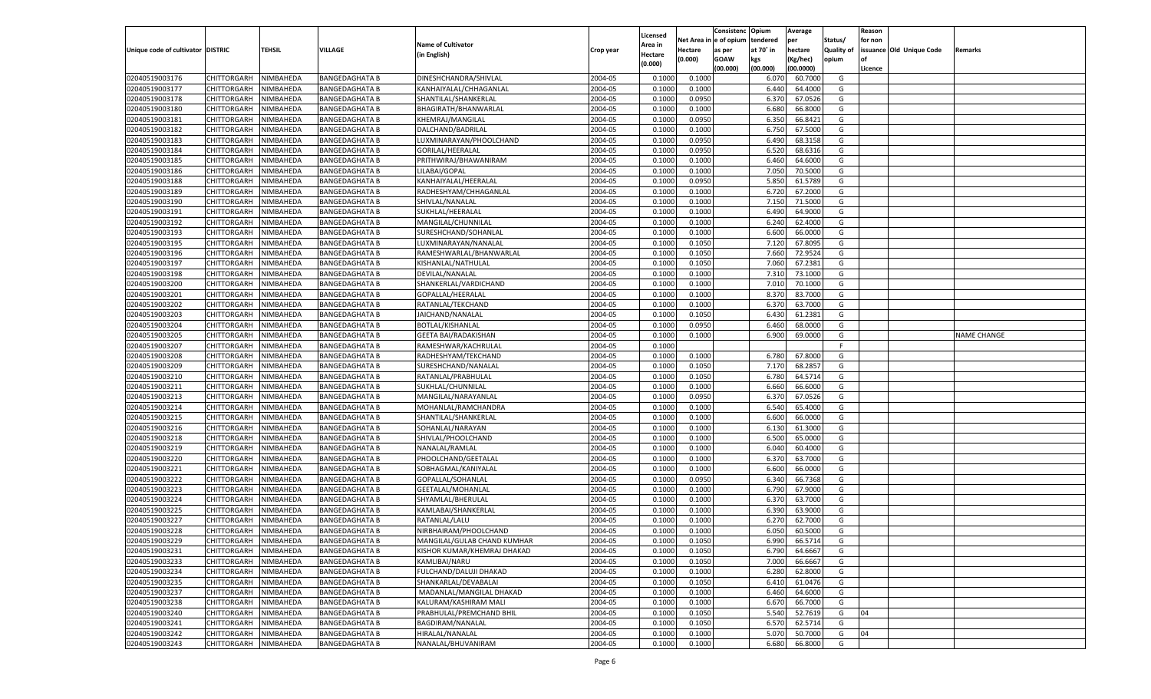|                                   |                                   |                        |                                                |                                              |                    |                           |          | Consistenc  | Opium          | Average            |                   | Reason  |                          |                    |
|-----------------------------------|-----------------------------------|------------------------|------------------------------------------------|----------------------------------------------|--------------------|---------------------------|----------|-------------|----------------|--------------------|-------------------|---------|--------------------------|--------------------|
|                                   |                                   |                        |                                                | <b>Name of Cultivator</b>                    |                    | Licensed                  | Net Area | le of opium | tendered       | per                | Status/           | for non |                          |                    |
| Unique code of cultivator DISTRIC |                                   | <b>TEHSIL</b>          | VILLAGE                                        | (in English)                                 | Crop year          | <b>Area in</b><br>Hectare | Hectare  | as per      | at 70° in      | hectare            | <b>Quality of</b> |         | issuance Old Unique Code | Remarks            |
|                                   |                                   |                        |                                                |                                              |                    | (0.000)                   | (0.000)  | <b>GOAW</b> | kgs            | (Kg/hec)           | opium             |         |                          |                    |
|                                   |                                   |                        |                                                |                                              |                    |                           |          | (00.000)    | (00.000)       | (00.0000)          |                   | Licence |                          |                    |
| 02040519003176                    | CHITTORGARH                       | NIMBAHEDA              | <b>BANGEDAGHATA B</b>                          | DINESHCHANDRA/SHIVLAL                        | 2004-05            | 0.1000                    | 0.1000   |             | 6.07           | 60.7000            | G                 |         |                          |                    |
| 02040519003177                    | CHITTORGARH                       | NIMBAHEDA              | <b>BANGEDAGHATA B</b>                          | KANHAIYALAL/CHHAGANLAL                       | 2004-05            | 0.1000                    | 0.1000   |             | 6.440          | 64.4000            | G                 |         |                          |                    |
| 02040519003178                    | CHITTORGARH                       | NIMBAHEDA              | <b>BANGEDAGHATA B</b>                          | SHANTILAL/SHANKERLAL                         | 2004-05            | 0.1000                    | 0.0950   |             | 6.37           | 67.0526            | G                 |         |                          |                    |
| 02040519003180                    | CHITTORGARH                       | NIMBAHEDA              | <b>BANGEDAGHATA B</b>                          | BHAGIRATH/BHANWARLAL                         | 2004-05            | 0.1000                    | 0.1000   |             | 6.680          | 66.8000            | G                 |         |                          |                    |
| 02040519003181                    | CHITTORGARH                       | NIMBAHEDA              | <b>BANGEDAGHATA B</b>                          | KHEMRAJ/MANGILAL                             | 2004-05            | 0.1000                    | 0.0950   |             | 6.350          | 66.8421            | G                 |         |                          |                    |
| 02040519003182                    | CHITTORGARH                       | NIMBAHEDA              | <b>BANGEDAGHATA B</b>                          | DALCHAND/BADRILAL                            | 2004-05            | 0.1000                    | 0.1000   |             | 6.750          | 67.5000            | G                 |         |                          |                    |
| 02040519003183                    | CHITTORGARH                       | NIMBAHEDA              | <b>BANGEDAGHATA B</b>                          | LUXMINARAYAN/PHOOLCHAND                      | 2004-05            | 0.1000                    | 0.0950   |             | 6.490          | 68.3158            | G                 |         |                          |                    |
| 02040519003184                    | CHITTORGARH                       | NIMBAHEDA              | <b>BANGEDAGHATA B</b>                          | GORILAL/HEERALAL                             | 2004-05            | 0.1000                    | 0.0950   |             | 6.520          | 68.6316            | G                 |         |                          |                    |
| 02040519003185                    | CHITTORGARH                       | NIMBAHEDA              | <b>BANGEDAGHATA B</b>                          | PRITHWIRAJ/BHAWANIRAM                        | 2004-05            | 0.1000                    | 0.1000   |             | 6.460          | 64.6000            | G                 |         |                          |                    |
| 02040519003186                    | CHITTORGARH                       | NIMBAHEDA              | <b>BANGEDAGHATA B</b>                          | LILABAI/GOPAL                                | 2004-05            | 0.1000                    | 0.1000   |             | 7.050          | 70.5000            | G                 |         |                          |                    |
| 02040519003188                    | CHITTORGARH                       | NIMBAHEDA              | <b>BANGEDAGHATA B</b>                          | KANHAIYALAL/HEERALAL                         | 2004-05            | 0.1000                    | 0.0950   |             | 5.850          | 61.5789            | G                 |         |                          |                    |
| 02040519003189                    | CHITTORGARH                       | NIMBAHEDA              | <b>BANGEDAGHATA B</b>                          | RADHESHYAM/CHHAGANLAL                        | 2004-05            | 0.1000                    | 0.1000   |             | 6.720          | 67.2000            | G                 |         |                          |                    |
| 02040519003190                    | CHITTORGARH                       | NIMBAHEDA              | <b>BANGEDAGHATA B</b>                          | SHIVLAL/NANALAL                              | 2004-05            | 0.1000                    | 0.1000   |             | 7.150          | 71.5000            | G                 |         |                          |                    |
| 02040519003191                    | CHITTORGARH                       | NIMBAHEDA              | <b>BANGEDAGHATA B</b>                          | SUKHLAL/HEERALAL                             | 2004-05            | 0.1000                    | 0.1000   |             | 6.490          | 64.9000            | G                 |         |                          |                    |
| 02040519003192                    | CHITTORGARH                       | NIMBAHEDA              | <b>BANGEDAGHATA B</b>                          | MANGILAL/CHUNNILAL                           | 2004-05            | 0.1000                    | 0.1000   |             | 6.240          | 62.4000            | G                 |         |                          |                    |
| 02040519003193                    | CHITTORGARH                       | NIMBAHEDA              | <b>BANGEDAGHATA B</b>                          | SURESHCHAND/SOHANLAL                         | 2004-05            | 0.1000                    | 0.1000   |             | 6.600          | 66.0000            | G                 |         |                          |                    |
| 02040519003195                    | CHITTORGARH                       | NIMBAHEDA              | <b>BANGEDAGHATA B</b>                          | LUXMINARAYAN/NANALAL                         | 2004-05            | 0.1000                    | 0.1050   |             | 7.120          | 67.8095            | G                 |         |                          |                    |
| 02040519003196                    | CHITTORGARH                       | NIMBAHEDA              | <b>BANGEDAGHATA B</b>                          | RAMESHWARLAL/BHANWARLAL                      | 2004-05            | 0.1000                    | 0.1050   |             | 7.660          | 72.9524            | G                 |         |                          |                    |
| 02040519003197                    | CHITTORGARH                       | NIMBAHEDA              | <b>BANGEDAGHATA B</b>                          | KISHANLAL/NATHULAL                           | 2004-05            | 0.1000                    | 0.1050   |             | 7.060          | 67.2381            | G                 |         |                          |                    |
| 02040519003198                    | CHITTORGARH                       | NIMBAHEDA              | <b>BANGEDAGHATA B</b>                          | DEVILAL/NANALAL                              | 2004-05            | 0.1000                    | 0.1000   |             | 7.310          | 73.1000            | G                 |         |                          |                    |
| 02040519003200                    | CHITTORGARH                       | NIMBAHEDA              | <b>BANGEDAGHATA B</b>                          | SHANKERLAL/VARDICHAND                        | 2004-05            | 0.1000                    | 0.1000   |             | 7.010          | 70.1000            | G                 |         |                          |                    |
| 02040519003201                    | CHITTORGARH                       | NIMBAHEDA              | <b>BANGEDAGHATA B</b>                          | GOPALLAL/HEERALAI                            | 2004-05            | 0.1000                    | 0.1000   |             | 8.370          | 83.7000            | G                 |         |                          |                    |
| 02040519003202                    | CHITTORGARH                       | NIMBAHEDA              | <b>BANGEDAGHATA B</b>                          | RATANLAL/TEKCHAND                            | 2004-05            | 0.1000                    | 0.1000   |             | 6.370          | 63.7000            | G                 |         |                          |                    |
| 02040519003203                    | CHITTORGARH                       | NIMBAHEDA              | <b>BANGEDAGHATA B</b>                          | JAICHAND/NANALAL                             | 2004-05            | 0.1000                    | 0.1050   |             | 6.430          | 61.2381            | G                 |         |                          |                    |
| 02040519003204                    | CHITTORGARH                       | NIMBAHEDA              | <b>BANGEDAGHATA B</b>                          | <b>BOTLAL/KISHANLAL</b>                      | 2004-05            | 0.1000                    | 0.0950   |             | 6.460          | 68.0000            | G                 |         |                          |                    |
| 02040519003205                    | CHITTORGARH                       | NIMBAHEDA              | <b>BANGEDAGHATA B</b>                          | <b>GEETA BAI/RADAKISHAN</b>                  | 2004-05            | 0.1000                    | 0.1000   |             | 6.900          | 69.0000            | G                 |         |                          | <b>NAME CHANGE</b> |
| 02040519003207                    | CHITTORGARH                       | NIMBAHEDA              | <b>BANGEDAGHATA B</b>                          | RAMESHWAR/KACHRULAL                          | 2004-05            | 0.1000                    |          |             |                |                    | F                 |         |                          |                    |
| 02040519003208                    | CHITTORGARH                       | NIMBAHEDA              | <b>BANGEDAGHATA B</b>                          | RADHESHYAM/TEKCHAND                          | 2004-05            | 0.1000                    | 0.1000   |             | 6.780          | 67.8000            | G                 |         |                          |                    |
| 02040519003209                    | CHITTORGARH                       | NIMBAHEDA              | <b>BANGEDAGHATA B</b>                          | SURESHCHAND/NANALAL                          | 2004-05            | 0.1000                    | 0.1050   |             | 7.170          | 68.2857            | G                 |         |                          |                    |
| 02040519003210                    | CHITTORGARH                       | NIMBAHEDA              | <b>BANGEDAGHATA B</b>                          | RATANLAL/PRABHULAL                           | 2004-05            | 0.1000                    | 0.1050   |             | 6.780          | 64.5714            | G                 |         |                          |                    |
| 02040519003211                    | CHITTORGARH                       | NIMBAHEDA              | <b>BANGEDAGHATA B</b>                          | SUKHLAL/CHUNNILAL                            | 2004-05            | 0.1000                    | 0.1000   |             | 6.660          | 66.6000            | G                 |         |                          |                    |
| 02040519003213                    | CHITTORGARH                       | NIMBAHEDA              | <b>BANGEDAGHATA B</b>                          | MANGILAL/NARAYANLAL                          | 2004-05            | 0.1000                    | 0.0950   |             | 6.370          | 67.0526            | G                 |         |                          |                    |
| 02040519003214                    | CHITTORGARH                       | NIMBAHEDA              | <b>BANGEDAGHATA B</b>                          | MOHANLAL/RAMCHANDRA                          | 2004-05            | 0.1000                    | 0.1000   |             | 6.540          | 65.4000            | G                 |         |                          |                    |
| 02040519003215                    | CHITTORGARH                       | NIMBAHEDA              | <b>BANGEDAGHATA B</b>                          | SHANTILAL/SHANKERLAI                         | 2004-05            | 0.1000                    | 0.1000   |             | 6.600          | 66.0000            | G                 |         |                          |                    |
| 02040519003216                    | CHITTORGARH                       | NIMBAHEDA              | <b>BANGEDAGHATA B</b>                          | SOHANLAL/NARAYAN                             | 2004-05            | 0.1000                    | 0.1000   |             | 6.130          | 61.3000            | G                 |         |                          |                    |
| 02040519003218                    | CHITTORGARH                       | NIMBAHEDA              | <b>BANGEDAGHATA B</b>                          | SHIVLAL/PHOOLCHAND                           | 2004-05            | 0.1000                    | 0.1000   |             | 6.500          | 65.0000            | G                 |         |                          |                    |
| 02040519003219                    | CHITTORGARH                       | NIMBAHEDA              | <b>BANGEDAGHATA B</b>                          | NANALAL/RAMLAL                               | 2004-05            | 0.1000                    | 0.1000   |             | 6.040          | 60.4000            | G                 |         |                          |                    |
| 02040519003220                    | CHITTORGARH                       | NIMBAHEDA              | <b>BANGEDAGHATA B</b>                          | PHOOLCHAND/GEETALAL                          | 2004-05            | 0.1000                    | 0.1000   |             | 6.370          | 63.7000            | G                 |         |                          |                    |
| 02040519003221                    | CHITTORGARH                       | NIMBAHEDA              | <b>BANGEDAGHATA B</b>                          | SOBHAGMAL/KANIYALAL                          | 2004-05            | 0.1000                    | 0.1000   |             | 6.600          | 66.0000            | G                 |         |                          |                    |
| 02040519003222                    | CHITTORGARH                       | NIMBAHEDA              | <b>BANGEDAGHATA B</b>                          | GOPALLAL/SOHANLAL                            | 2004-05            | 0.1000                    | 0.0950   |             | 6.340          | 66.7368            | G                 |         |                          |                    |
| 02040519003223                    | CHITTORGARH                       | NIMBAHEDA              | <b>BANGEDAGHATA B</b>                          | <b>GEETALAL/MOHANLAL</b>                     | 2004-05            | 0.1000                    | 0.1000   |             | 6.790          | 67.9000            | G                 |         |                          |                    |
| 02040519003224                    | CHITTORGARH                       | NIMBAHEDA              | <b>BANGEDAGHATA B</b>                          | SHYAMLAL/BHERULAL                            | 2004-05            | 0.1000                    | 0.1000   |             | 6.370          | 63.7000            | G                 |         |                          |                    |
| 02040519003225                    | CHITTORGARH                       | NIMBAHEDA              | <b>BANGEDAGHATA B</b>                          | KAMLABAI/SHANKERLAL                          | 2004-05            | 0.1000                    | 0.1000   |             | 6.390          | 63.9000            | G                 |         |                          |                    |
| 02040519003227                    | CHITTORGARH                       | NIMBAHEDA              | <b>BANGEDAGHATA B</b>                          | RATANLAL/LALU                                | 2004-05            | 0.1000                    | 0.1000   |             | 6.27           | 62.7000            | G                 |         |                          |                    |
| 02040519003228                    | CHITTORGARH                       | NIMBAHEDA              | <b>BANGEDAGHATA B</b>                          | NIRBHAIRAM/PHOOLCHAND                        | 2004-05            | 0.1000                    | 0.1000   |             | 6.050          | 60.5000            | G                 |         |                          |                    |
| 02040519003229                    | CHITTORGARH NIMBAHEDA             |                        | <b>BANGEDAGHATA B</b>                          | MANGILAL/GULAB CHAND KUMHAR                  | 2004-05            | 0.1000                    | 0.1050   |             | 6.990          | 66.5714            | G                 |         |                          |                    |
|                                   |                                   |                        | <b>BANGEDAGHATA B</b>                          |                                              |                    |                           |          |             |                |                    |                   |         |                          |                    |
| 02040519003231<br>02040519003233  | <b>CHITTORGARH</b><br>CHITTORGARH | NIMBAHEDA<br>NIMBAHEDA | <b>BANGEDAGHATA B</b>                          | KISHOR KUMAR/KHEMRAJ DHAKAD<br>KAMLIBAI/NARU | 2004-05<br>2004-05 | 0.1000                    | 0.1050   |             | 6.790<br>7.000 | 64.6667<br>66.6667 | G<br>G            |         |                          |                    |
|                                   |                                   |                        |                                                |                                              |                    | 0.1000                    | 0.1050   |             |                |                    |                   |         |                          |                    |
| 02040519003234                    | <b>CHITTORGARH</b>                | NIMBAHEDA              | <b>BANGEDAGHATA B</b><br><b>BANGEDAGHATA B</b> | FULCHAND/DALUJI DHAKAD                       | 2004-05            | 0.1000                    | 0.1000   |             | 6.280          | 62.8000            | G                 |         |                          |                    |
| 02040519003235                    | <b>CHITTORGARH</b>                | NIMBAHEDA              |                                                | SHANKARLAL/DEVABALAI                         | 2004-05            | 0.1000                    | 0.1050   |             | 6.410          | 61.0476            | G                 |         |                          |                    |
| 02040519003237                    | <b>CHITTORGARH</b>                | NIMBAHEDA              | <b>BANGEDAGHATA B</b>                          | MADANLAL/MANGILAL DHAKAD                     | 2004-05            | 0.1000                    | 0.1000   |             | 6.460          | 64.6000            | G                 |         |                          |                    |
| 02040519003238                    | <b>CHITTORGARH</b>                | NIMBAHEDA              | <b>BANGEDAGHATA B</b>                          | KALURAM/KASHIRAM MALI                        | 2004-05            | 0.1000                    | 0.1000   |             | 6.670          | 66.7000            | G                 |         |                          |                    |
| 02040519003240                    | <b>CHITTORGARH</b>                | NIMBAHEDA              | <b>BANGEDAGHATA B</b>                          | PRABHULAL/PREMCHAND BHIL                     | 2004-05            | 0.1000                    | 0.1050   |             | 5.540          | 52.7619            | G                 | 04      |                          |                    |
| 02040519003241                    | CHITTORGARH                       | NIMBAHEDA              | <b>BANGEDAGHATA B</b>                          | BAGDIRAM/NANALAL                             | 2004-05            | 0.1000                    | 0.1050   |             | 6.570          | 62.5714            | G                 |         |                          |                    |
| 02040519003242                    | <b>CHITTORGARH</b>                | NIMBAHEDA              | <b>BANGEDAGHATA B</b>                          | HIRALAL/NANALAL                              | 2004-05            | 0.1000                    | 0.1000   |             | 5.070          | 50.7000            | G                 | 04      |                          |                    |
| 02040519003243                    | <b>CHITTORGARH</b>                | NIMBAHEDA              | <b>BANGEDAGHATA B</b>                          | NANALAL/BHUVANIRAM                           | 2004-05            | 0.1000                    | 0.1000   |             | 6.680          | 66.8000            | G                 |         |                          |                    |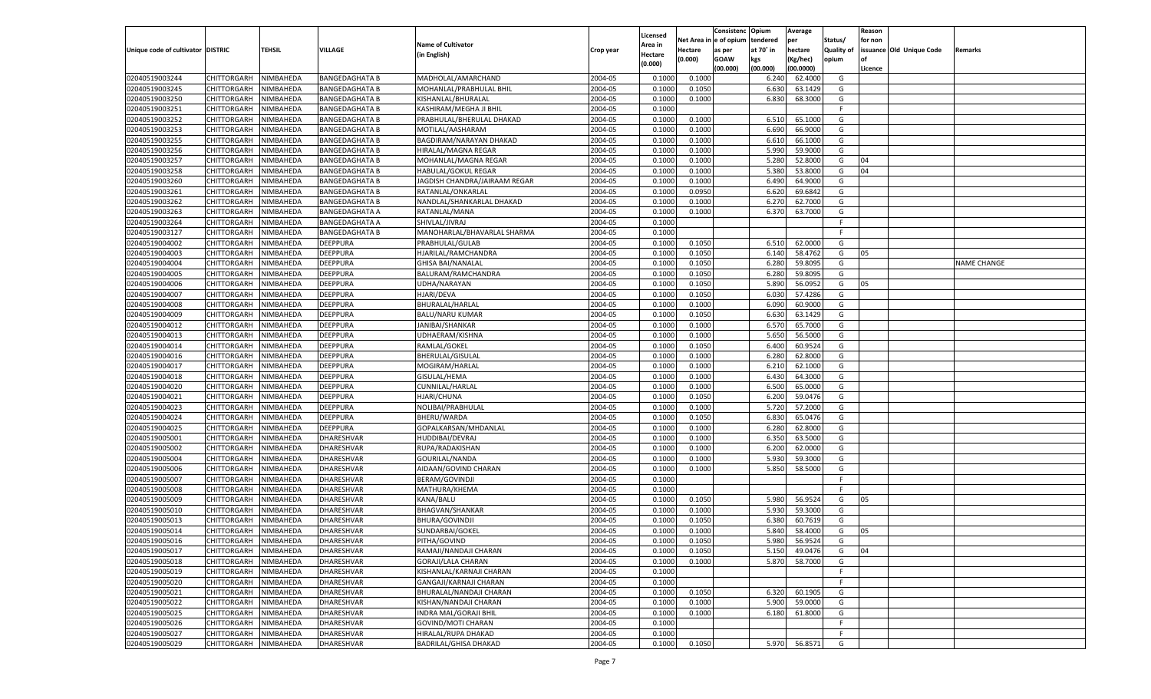|                                   |                       |                  |                       |                               |           |                     |             | Consistenc    | Opium     | Average       |            | Reason  |                          |                    |
|-----------------------------------|-----------------------|------------------|-----------------------|-------------------------------|-----------|---------------------|-------------|---------------|-----------|---------------|------------|---------|--------------------------|--------------------|
|                                   |                       |                  |                       | <b>Name of Cultivator</b>     |           | Licensed<br>Area in | Net Area iı | n  e of opium | tendered  | per           | Status/    | for non |                          |                    |
| Unique code of cultivator DISTRIC |                       | TEHSIL           | <b>VILLAGE</b>        | (in English)                  | Crop year | Hectare             | Hectare     | as per        | at 70° in | hectare       | Quality of |         | issuance Old Unique Code | Remarks            |
|                                   |                       |                  |                       |                               |           | (0.000)             | (0.000)     | <b>GOAW</b>   | kgs       | (Kg/hec)      | opium      |         |                          |                    |
|                                   |                       |                  |                       |                               |           |                     |             | (00.000)      | (00.000)  | (00.0000)     |            | Licence |                          |                    |
| 02040519003244                    | CHITTORGARH           | NIMBAHEDA        | <b>BANGEDAGHATA B</b> | MADHOLAL/AMARCHAND            | 2004-05   | 0.1000              | 0.1000      |               | 6.240     | 62.4000       | G          |         |                          |                    |
| 02040519003245                    | CHITTORGARH           | NIMBAHEDA        | <b>BANGEDAGHATA B</b> | MOHANLAL/PRABHULAL BHIL       | 2004-05   | 0.1000              | 0.1050      |               | 6.630     | 63.1429       | G          |         |                          |                    |
| 02040519003250                    | CHITTORGARH           | NIMBAHEDA        | <b>BANGEDAGHATA B</b> | KISHANLAL/BHURALAL            | 2004-05   | 0.1000              | 0.1000      |               | 6.830     | 68.3000       | G          |         |                          |                    |
| 02040519003251                    | CHITTORGARH           | NIMBAHEDA        | <b>BANGEDAGHATA B</b> | KASHIRAM/MEGHA JI BHIL        | 2004-05   | 0.1000              |             |               |           |               | E          |         |                          |                    |
| 02040519003252                    | CHITTORGARH           | NIMBAHEDA        | <b>BANGEDAGHATA B</b> | PRABHULAL/BHERULAL DHAKAD     | 2004-05   | 0.1000              | 0.1000      |               | 6.510     | 65.1000       | G          |         |                          |                    |
| 02040519003253                    | CHITTORGARH           | NIMBAHEDA        | <b>BANGEDAGHATA B</b> | MOTILAL/AASHARAM              | 2004-05   | 0.1000              | 0.1000      |               | 6.690     | 66.9000       | G          |         |                          |                    |
| 02040519003255                    | CHITTORGARH           | NIMBAHEDA        | <b>BANGEDAGHATA B</b> | BAGDIRAM/NARAYAN DHAKAD       | 2004-05   | 0.1000              | 0.1000      |               | 6.610     | 66.1000       | G          |         |                          |                    |
| 02040519003256                    | CHITTORGARH           | NIMBAHEDA        | <b>BANGEDAGHATA B</b> | HIRALAL/MAGNA REGAR           | 2004-05   | 0.1000              | 0.1000      |               | 5.990     | 59.9000       | G          |         |                          |                    |
| 02040519003257                    | CHITTORGARH           | NIMBAHEDA        | <b>BANGEDAGHATA B</b> | MOHANLAL/MAGNA REGAR          | 2004-05   | 0.1000              | 0.1000      |               | 5.280     | 52.8000       | G          | 04      |                          |                    |
| 02040519003258                    | CHITTORGARH           | NIMBAHEDA        | <b>BANGEDAGHATA B</b> | HABULAL/GOKUL REGAR           | 2004-05   | 0.1000              | 0.1000      |               | 5.380     | 53.8000       | G          | 04      |                          |                    |
| 02040519003260                    | CHITTORGARH           | NIMBAHEDA        | <b>BANGEDAGHATA B</b> | JAGDISH CHANDRA/JAIRAAM REGAR | 2004-05   | 0.1000              | 0.1000      |               | 6.490     | 64.9000       | G          |         |                          |                    |
| 02040519003261                    | CHITTORGARH           | NIMBAHEDA        | <b>BANGEDAGHATA B</b> | RATANLAL/ONKARLAL             | 2004-05   | 0.1000              | 0.0950      |               | 6.620     | 69.6842       | G          |         |                          |                    |
| 02040519003262                    | CHITTORGARH           | NIMBAHEDA        | <b>BANGEDAGHATA B</b> | NANDLAL/SHANKARLAL DHAKAD     | 2004-05   | 0.1000              | 0.1000      |               | 6.27      | 62.7000       | G          |         |                          |                    |
| 02040519003263                    | CHITTORGARH           | NIMBAHEDA        | <b>BANGEDAGHATA A</b> | RATANLAL/MANA                 | 2004-05   | 0.1000              | 0.1000      |               | 6.370     | 63.7000       | G          |         |                          |                    |
| 02040519003264                    | CHITTORGARH           | NIMBAHEDA        | <b>BANGEDAGHATA A</b> | SHIVLAL/JIVRAJ                | 2004-05   | 0.1000              |             |               |           |               | F.         |         |                          |                    |
| 02040519003127                    | CHITTORGARH           | NIMBAHEDA        | <b>BANGEDAGHATA B</b> | MANOHARLAL/BHAVARLAL SHARMA   | 2004-05   | 0.1000              |             |               |           |               | F.         |         |                          |                    |
| 02040519004002                    | CHITTORGARH           | NIMBAHEDA        | DEEPPURA              | PRABHULAL/GULAB               | 2004-05   | 0.1000              | 0.1050      |               | 6.510     | 62.0000       | G          |         |                          |                    |
| 02040519004003                    | CHITTORGARH           | NIMBAHEDA        | DEEPPURA              | HJARILAL/RAMCHANDRA           | 2004-05   | 0.1000              | 0.1050      |               | 6.140     | 58.4762       | G          | 05      |                          |                    |
| 02040519004004                    | CHITTORGARH           | NIMBAHEDA        | DEEPPURA              | <b>GHISA BAI/NANALAL</b>      | 2004-05   | 0.1000              | 0.1050      |               | 6.280     | 59.8095       | G          |         |                          | <b>NAME CHANGE</b> |
| 02040519004005                    | CHITTORGARH           | NIMBAHEDA        | DEEPPURA              | BALURAM/RAMCHANDRA            | 2004-05   | 0.1000              | 0.1050      |               | 6.280     | 59.8095       | G          |         |                          |                    |
| 02040519004006                    | CHITTORGARH           |                  | DEEPPURA              |                               | 2004-05   |                     | 0.1050      |               |           | 56.0952       | G          |         |                          |                    |
|                                   |                       | NIMBAHEDA        |                       | UDHA/NARAYAN                  |           | 0.1000              |             |               | 5.890     |               |            | 05      |                          |                    |
| 02040519004007                    | CHITTORGARH           | NIMBAHEDA        | DEEPPURA              | <b>HJARI/DEVA</b>             | 2004-05   | 0.1000              | 0.1050      |               | 6.030     | 57.4286       | G          |         |                          |                    |
| 02040519004008                    | CHITTORGARH           | NIMBAHEDA        | DEEPPURA              | BHURALAL/HARLAL               | 2004-05   | 0.1000              | 0.1000      |               | 6.090     | 60.9000       | G          |         |                          |                    |
| 02040519004009                    | CHITTORGARH           | NIMBAHEDA        | DEEPPURA              | <b>BALU/NARU KUMAR</b>        | 2004-05   | 0.1000              | 0.1050      |               | 6.630     | 63.1429       | G          |         |                          |                    |
| 02040519004012                    | CHITTORGARH           | NIMBAHEDA        | DEEPPURA              | JANIBAI/SHANKAR               | 2004-05   | 0.1000              | 0.1000      |               | 6.570     | 65.7000       | G          |         |                          |                    |
| 02040519004013                    | CHITTORGARH           | NIMBAHEDA        | DEEPPURA              | UDHAERAM/KISHNA               | 2004-05   | 0.1000              | 0.1000      |               | 5.650     | 56.5000       | G          |         |                          |                    |
| 02040519004014                    | CHITTORGARH           | NIMBAHEDA        | DEEPPURA              | RAMLAL/GOKEL                  | 2004-05   | 0.1000              | 0.1050      |               | 6.400     | 60.9524       | G          |         |                          |                    |
| 02040519004016                    | CHITTORGARH           | NIMBAHEDA        | DEEPPURA              | <b>BHERULAL/GISULAL</b>       | 2004-05   | 0.1000              | 0.1000      |               | 6.280     | 62.8000       | G          |         |                          |                    |
| 02040519004017                    | CHITTORGARH           | NIMBAHEDA        | DEEPPURA              | MOGIRAM/HARLAL                | 2004-05   | 0.1000              | 0.1000      |               | 6.210     | 62.1000       | G          |         |                          |                    |
| 02040519004018                    | CHITTORGARH           | NIMBAHEDA        | DEEPPURA              | GISULAL/HEMA                  | 2004-05   | 0.1000              | 0.1000      |               | 6.430     | 64.3000       | G          |         |                          |                    |
| 02040519004020                    | CHITTORGARH           | NIMBAHEDA        | <b>DEEPPURA</b>       | CUNNILAL/HARLAL               | 2004-05   | 0.1000              | 0.1000      |               | 6.500     | 65.0000       | G          |         |                          |                    |
| 02040519004021                    | CHITTORGARH           | NIMBAHEDA        | DEEPPURA              | HJARI/CHUNA                   | 2004-05   | 0.1000              | 0.1050      |               | 6.200     | 59.0476       | G          |         |                          |                    |
| 02040519004023                    | CHITTORGARH           | NIMBAHEDA        | DEEPPURA              | NOLIBAI/PRABHULAL             | 2004-05   | 0.1000              | 0.1000      |               | 5.720     | 57.2000       | G          |         |                          |                    |
| 02040519004024                    | CHITTORGARH           | NIMBAHEDA        | DEEPPURA              | <b>BHERU/WARDA</b>            | 2004-05   | 0.1000              | 0.1050      |               | 6.830     | 65.0476       | G          |         |                          |                    |
| 02040519004025                    | CHITTORGARH           | NIMBAHEDA        | <b>DEEPPURA</b>       | GOPALKARSAN/MHDANLAL          | 2004-05   | 0.1000              | 0.1000      |               | 6.280     | 62.8000       | G          |         |                          |                    |
| 02040519005001                    | CHITTORGARH           | NIMBAHEDA        | DHARESHVAR            | HUDDIBAI/DEVRAJ               | 2004-05   | 0.1000              | 0.1000      |               | 6.350     | 63.5000       | G          |         |                          |                    |
| 02040519005002                    | CHITTORGARH           | NIMBAHEDA        | DHARESHVAR            | RUPA/RADAKISHAN               | 2004-05   | 0.1000              | 0.1000      |               | 6.200     | 62.0000       | G          |         |                          |                    |
| 02040519005004                    | CHITTORGARH           | NIMBAHEDA        | DHARESHVAR            | GOURILAL/NANDA                | 2004-05   | 0.1000              | 0.1000      |               | 5.930     | 59.3000       | G          |         |                          |                    |
| 02040519005006                    | CHITTORGARH           | NIMBAHEDA        | <b>DHARESHVAR</b>     | AIDAAN/GOVIND CHARAN          | 2004-05   | 0.1000              | 0.1000      |               | 5.850     | 58.5000       | G          |         |                          |                    |
| 02040519005007                    | CHITTORGARH           | NIMBAHEDA        | DHARESHVAR            | <b>BERAM/GOVINDJI</b>         | 2004-05   | 0.1000              |             |               |           |               | F          |         |                          |                    |
| 02040519005008                    | CHITTORGARH           | NIMBAHEDA        | DHARESHVAR            | MATHURA/KHEMA                 | 2004-05   | 0.1000              |             |               |           |               | E          |         |                          |                    |
| 02040519005009                    | CHITTORGARH           | NIMBAHEDA        | DHARESHVAR            | KANA/BALU                     | 2004-05   | 0.1000              | 0.1050      |               | 5.980     | 56.9524       | G          | 05      |                          |                    |
| 02040519005010                    | CHITTORGARH           | NIMBAHEDA        | DHARESHVAR            | <b>BHAGVAN/SHANKAR</b>        | 2004-05   | 0.1000              | 0.1000      |               | 5.930     | 59.3000       | G          |         |                          |                    |
| 02040519005013                    | CHITTORGARH           | NIMBAHEDA        | DHARESHVAR            | <b>BHURA/GOVINDJI</b>         | 2004-05   | 0.1000              | 0.1050      |               | 6.380     | 60.7619       | G          |         |                          |                    |
| 02040519005014                    | CHITTORGARH           | NIMBAHEDA        | <b>DHARESHVAR</b>     | SUNDARBAI/GOKEL               | 2004-05   | 0.1000              | 0.1000      |               | 5.840     | 58.4000       | G          | 05      |                          |                    |
| 02040519005016                    | CHITTORGARH NIMBAHEDA |                  | DHARESHVAR            | PITHA/GOVIND                  | 2004-05   | 0.1000              | 0.1050      |               |           | 5.980 56.9524 | G          |         |                          |                    |
| 02040519005017                    | <b>CHITTORGARH</b>    | <b>NIMBAHEDA</b> | <b>DHARESHVAR</b>     | RAMAJI/NANDAJI CHARAN         | 2004-05   | 0.1000              | 0.1050      |               | 5.150     | 49.0476       | G          | 04      |                          |                    |
| 02040519005018                    | CHITTORGARH           | NIMBAHEDA        | DHARESHVAR            | <b>GORAJI/LALA CHARAN</b>     | 2004-05   | 0.1000              | 0.1000      |               | 5.870     | 58.7000       | G          |         |                          |                    |
| 02040519005019                    | CHITTORGARH           | NIMBAHEDA        | <b>DHARESHVAR</b>     | KISHANLAL/KARNAJI CHARAN      | 2004-05   | 0.1000              |             |               |           |               | F.         |         |                          |                    |
| 02040519005020                    | <b>CHITTORGARH</b>    | NIMBAHEDA        | DHARESHVAR            | GANGAJI/KARNAJI CHARAN        | 2004-05   | 0.1000              |             |               |           |               | F.         |         |                          |                    |
| 02040519005021                    | CHITTORGARH           | NIMBAHEDA        | DHARESHVAR            | BHURALAL/NANDAJI CHARAN       | 2004-05   | 0.1000              | 0.1050      |               | 6.320     | 60.1905       | G          |         |                          |                    |
| 02040519005022                    | <b>CHITTORGARH</b>    | NIMBAHEDA        | DHARESHVAR            | KISHAN/NANDAJI CHARAN         | 2004-05   | 0.1000              | 0.1000      |               | 5.900     | 59.0000       | G          |         |                          |                    |
| 02040519005025                    | CHITTORGARH           | NIMBAHEDA        | DHARESHVAR            | INDRA MAL/GORAJI BHIL         | 2004-05   | 0.1000              | 0.1000      |               | 6.180     | 61.8000       | G          |         |                          |                    |
| 02040519005026                    | <b>CHITTORGARH</b>    | NIMBAHEDA        | DHARESHVAR            | GOVIND/MOTI CHARAN            | 2004-05   | 0.1000              |             |               |           |               | F.         |         |                          |                    |
| 02040519005027                    | <b>CHITTORGARH</b>    | NIMBAHEDA        | DHARESHVAR            | HIRALAL/RUPA DHAKAD           | 2004-05   | 0.1000              |             |               |           |               | F.         |         |                          |                    |
| 02040519005029                    | <b>CHITTORGARH</b>    | NIMBAHEDA        | <b>DHARESHVAR</b>     | BADRILAL/GHISA DHAKAD         | 2004-05   | 0.1000              | 0.1050      |               |           | 5.970 56.8571 | G          |         |                          |                    |
|                                   |                       |                  |                       |                               |           |                     |             |               |           |               |            |         |                          |                    |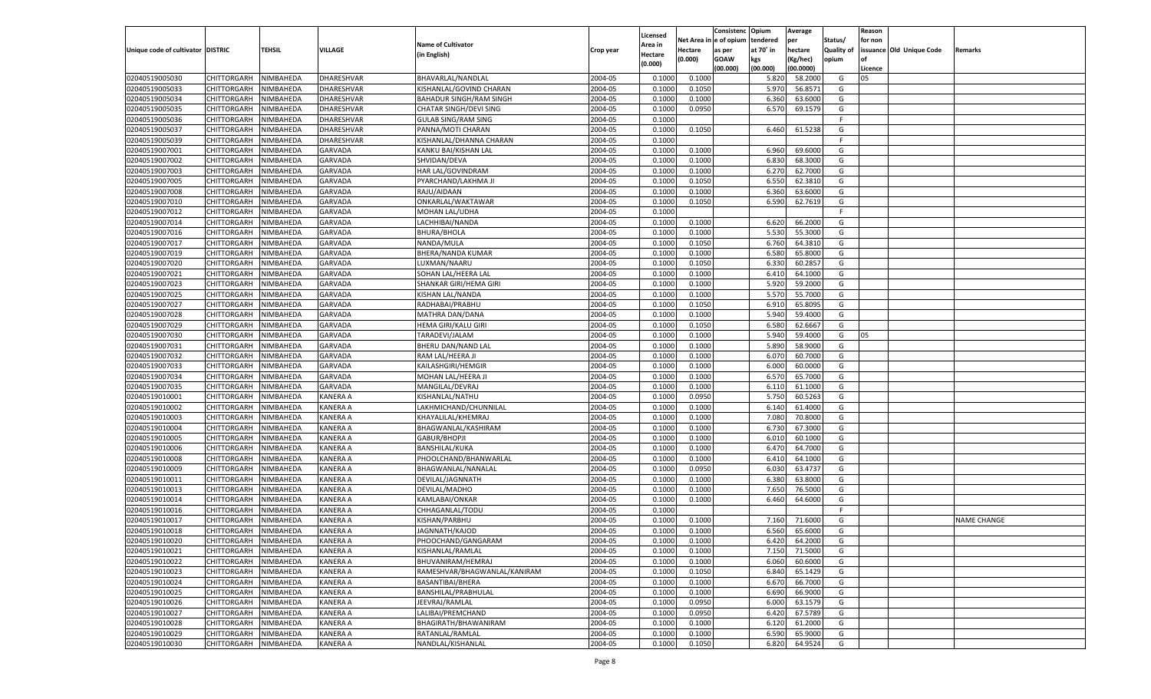|                                   |                       |                        |                 |                                |           |                     |          | Consistenc  | Opium     | Average   |                   | Reason  |                          |                    |
|-----------------------------------|-----------------------|------------------------|-----------------|--------------------------------|-----------|---------------------|----------|-------------|-----------|-----------|-------------------|---------|--------------------------|--------------------|
|                                   |                       |                        |                 | <b>Name of Cultivator</b>      |           | Licensed<br>\rea in | Net Area | e of opium  | tendered  | per       | Status/           | for non |                          |                    |
| Unique code of cultivator DISTRIC |                       | <b>TEHSIL</b>          | VILLAGE         | (in English)                   | Crop year | Hectare             | Hectare  | as per      | at 70° in | hectare   | <b>Quality of</b> |         | issuance Old Unique Code | Remarks            |
|                                   |                       |                        |                 |                                |           | (0.000)             | (0.000)  | <b>GOAW</b> | kgs       | (Kg/hec)  | opium             |         |                          |                    |
|                                   |                       |                        |                 |                                |           |                     |          | (00.000)    | (00.000)  | (00.0000) |                   | Licence |                          |                    |
| 02040519005030                    | CHITTORGARH           | NIMBAHEDA              | DHARESHVAR      | BHAVARLAL/NANDLAL              | 2004-05   | 0.1000              | 0.1000   |             | 5.820     | 58.2000   | G                 | 05      |                          |                    |
| 02040519005033                    | CHITTORGARH           | NIMBAHEDA              | DHARESHVAR      | KISHANLAL/GOVIND CHARAN        | 2004-05   | 0.1000              | 0.1050   |             | 5.970     | 56.8571   | G                 |         |                          |                    |
| 02040519005034                    | CHITTORGARH           | NIMBAHEDA              | DHARESHVAR      | <b>BAHADUR SINGH/RAM SINGH</b> | 2004-05   | 0.1000              | 0.1000   |             | 6.360     | 63.6000   | G                 |         |                          |                    |
| 02040519005035                    | CHITTORGARH           | NIMBAHEDA              | DHARESHVAR      | CHATAR SINGH/DEVI SING         | 2004-05   | 0.1000              | 0.0950   |             | 6.570     | 69.1579   | G                 |         |                          |                    |
| 02040519005036                    | CHITTORGARH           | NIMBAHEDA              | DHARESHVAR      | <b>GULAB SING/RAM SING</b>     | 2004-05   | 0.1000              |          |             |           |           | F.                |         |                          |                    |
| 02040519005037                    | CHITTORGARH           | NIMBAHEDA              | DHARESHVAR      | PANNA/MOTI CHARAN              | 2004-05   | 0.1000              | 0.1050   |             | 6.460     | 61.5238   | G                 |         |                          |                    |
| 02040519005039                    | CHITTORGARH           | NIMBAHEDA              | DHARESHVAR      | KISHANLAL/DHANNA CHARAN        | 2004-05   | 0.1000              |          |             |           |           | F.                |         |                          |                    |
| 02040519007001                    | CHITTORGARH           | NIMBAHEDA              | <b>GARVADA</b>  | KANKU BAI/KISHAN LAL           | 2004-05   | 0.1000              | 0.1000   |             | 6.960     | 69.6000   | G                 |         |                          |                    |
| 02040519007002                    | CHITTORGARH           | NIMBAHEDA              | GARVADA         | SHVIDAN/DEVA                   | 2004-05   | 0.1000              | 0.1000   |             | 6.830     | 68.3000   | G                 |         |                          |                    |
| 02040519007003                    | CHITTORGARH           | NIMBAHEDA              | <b>GARVADA</b>  | HAR LAL/GOVINDRAM              | 2004-05   | 0.1000              | 0.1000   |             | 6.27      | 62.7000   | G                 |         |                          |                    |
| 02040519007005                    | CHITTORGARH           | NIMBAHEDA              | GARVADA         | PYARCHAND/LAKHMA JI            | 2004-05   | 0.1000              | 0.1050   |             | 6.550     | 62.3810   | G                 |         |                          |                    |
| 02040519007008                    | CHITTORGARH           | NIMBAHEDA              | <b>GARVADA</b>  | RAJU/AIDAAN                    | 2004-05   | 0.1000              | 0.1000   |             | 6.360     | 63.6000   | G                 |         |                          |                    |
| 02040519007010                    | CHITTORGARH           | NIMBAHEDA              | GARVADA         | ONKARLAL/WAKTAWAR              | 2004-05   | 0.1000              | 0.1050   |             | 6.590     | 62.7619   | G                 |         |                          |                    |
| 02040519007012                    | CHITTORGARH           | NIMBAHEDA              | GARVADA         | MOHAN LAL/UDHA                 | 2004-05   | 0.1000              |          |             |           |           | F.                |         |                          |                    |
| 02040519007014                    | CHITTORGARH           | NIMBAHEDA              | GARVADA         | LACHHIBAI/NANDA                | 2004-05   | 0.1000              | 0.1000   |             | 6.620     | 66.2000   | G                 |         |                          |                    |
| 02040519007016                    | CHITTORGARH           | NIMBAHEDA              | GARVADA         | <b>BHURA/BHOLA</b>             | 2004-05   | 0.1000              | 0.1000   |             | 5.530     | 55.3000   | G                 |         |                          |                    |
| 02040519007017                    | CHITTORGARH           | NIMBAHEDA              | GARVADA         | NANDA/MULA                     | 2004-05   | 0.1000              | 0.1050   |             | 6.760     | 64.3810   | G                 |         |                          |                    |
| 02040519007019                    | CHITTORGARH           | NIMBAHEDA              | GARVADA         | BHERA/NANDA KUMAR              | 2004-05   | 0.1000              | 0.1000   |             | 6.580     | 65.8000   | G                 |         |                          |                    |
| 02040519007020                    | CHITTORGARH           | NIMBAHEDA              | GARVADA         | LUXMAN/NAARU                   | 2004-05   | 0.1000              | 0.1050   |             | 6.330     | 60.2857   | G                 |         |                          |                    |
| 02040519007021                    | CHITTORGARH           | NIMBAHEDA              | GARVADA         | SOHAN LAL/HEERA LAL            | 2004-05   | 0.1000              | 0.1000   |             | 6.410     | 64.1000   | G                 |         |                          |                    |
| 02040519007023                    | CHITTORGARH           | NIMBAHEDA              | GARVADA         | SHANKAR GIRI/HEMA GIRI         | 2004-05   | 0.1000              | 0.1000   |             | 5.920     | 59.2000   | G                 |         |                          |                    |
| 02040519007025                    | CHITTORGARH           | NIMBAHEDA              | GARVADA         | KISHAN LAL/NANDA               | 2004-05   | 0.1000              | 0.1000   |             | 5.570     | 55.7000   | G                 |         |                          |                    |
| 02040519007027                    | CHITTORGARH           | NIMBAHEDA              | GARVADA         | RADHABAI/PRABHU                | 2004-05   | 0.1000              | 0.1050   |             | 6.910     | 65.8095   | G                 |         |                          |                    |
| 02040519007028                    | CHITTORGARH           | NIMBAHEDA              | GARVADA         | MATHRA DAN/DANA                | 2004-05   | 0.1000              | 0.1000   |             | 5.940     | 59.4000   | G                 |         |                          |                    |
| 02040519007029                    | CHITTORGARH           | NIMBAHEDA              | GARVADA         | HEMA GIRI/KALU GIRI            | 2004-05   | 0.1000              | 0.1050   |             | 6.580     | 62.6667   | G                 |         |                          |                    |
| 02040519007030                    | CHITTORGARH           | NIMBAHEDA              | GARVADA         | TARADEVI/JALAM                 | 2004-05   | 0.1000              | 0.1000   |             | 5.940     | 59.4000   | G                 | 05      |                          |                    |
| 02040519007031                    | CHITTORGARH           | NIMBAHEDA              | GARVADA         | BHERU DAN/NAND LAL             | 2004-05   | 0.1000              | 0.1000   |             | 5.890     | 58.9000   | G                 |         |                          |                    |
| 02040519007032                    | CHITTORGARH           | NIMBAHEDA              | GARVADA         | RAM LAL/HEERA JI               | 2004-05   | 0.1000              | 0.1000   |             | 6.070     | 60.7000   | G                 |         |                          |                    |
| 02040519007033                    | CHITTORGARH           | NIMBAHEDA              | GARVADA         | KAILASHGIRI/HEMGIR             | 2004-05   | 0.1000              | 0.1000   |             | 6.000     | 60.0000   | G                 |         |                          |                    |
| 02040519007034                    | CHITTORGARH           | NIMBAHEDA              | GARVADA         | MOHAN LAL/HEERA JI             | 2004-05   | 0.1000              | 0.1000   |             | 6.570     | 65.7000   | G                 |         |                          |                    |
| 02040519007035                    | CHITTORGARH           | NIMBAHEDA              | GARVADA         | MANGILAL/DEVRAJ                | 2004-05   | 0.1000              | 0.1000   |             | 6.110     | 61.1000   | G                 |         |                          |                    |
| 02040519010001                    | CHITTORGARH           | NIMBAHEDA              | KANERA A        | KISHANLAL/NATHU                | 2004-05   | 0.1000              | 0.0950   |             | 5.750     | 60.5263   | G                 |         |                          |                    |
| 02040519010002                    | CHITTORGARH           | NIMBAHEDA              | KANERA A        | LAKHMICHAND/CHUNNILAL          | 2004-05   | 0.1000              | 0.1000   |             | 6.140     | 61.4000   | G                 |         |                          |                    |
| 02040519010003                    | CHITTORGARH           | NIMBAHEDA              | KANERA A        | KHAYALILAL/KHEMRAJ             | 2004-05   | 0.1000              | 0.1000   |             | 7.080     | 70.8000   | G                 |         |                          |                    |
| 02040519010004                    | <b>CHITTORGARH</b>    | NIMBAHEDA              | KANERA A        | BHAGWANLAL/KASHIRAM            | 2004-05   | 0.1000              | 0.1000   |             | 6.730     | 67.3000   | G                 |         |                          |                    |
| 02040519010005                    | CHITTORGARH           | NIMBAHEDA              | KANERA A        | GABUR/BHOPJI                   | 2004-05   | 0.1000              | 0.1000   |             | 6.010     | 60.1000   | G                 |         |                          |                    |
| 02040519010006                    | CHITTORGARH           | NIMBAHEDA              | KANERA A        | <b>BANSHILAL/KUKA</b>          | 2004-05   | 0.1000              | 0.1000   |             | 6.470     | 64.7000   | G                 |         |                          |                    |
| 02040519010008                    | CHITTORGARH           | NIMBAHEDA              | KANERA A        | PHOOLCHAND/BHANWARLAL          | 2004-05   | 0.1000              | 0.1000   |             | 6.41      | 64.1000   | G                 |         |                          |                    |
| 02040519010009                    | <b>CHITTORGARH</b>    | NIMBAHEDA              | KANERA A        | BHAGWANLAL/NANALAL             | 2004-05   | 0.1000              | 0.0950   |             | 6.030     | 63.4737   | G                 |         |                          |                    |
| 02040519010011                    |                       |                        | KANERA A        | DEVILAL/JAGNNATH               | 2004-05   | 0.1000              | 0.1000   |             | 6.380     | 63.8000   | G                 |         |                          |                    |
| 02040519010013                    | CHITTORGARH           | NIMBAHEDA<br>NIMBAHEDA | KANERA A        | DEVILAL/MADHO                  | 2004-05   | 0.1000              | 0.1000   |             | 7.650     | 76.5000   | G                 |         |                          |                    |
| 02040519010014                    | <b>CHITTORGARH</b>    |                        | KANERA A        | KAMLABAI/ONKAR                 | 2004-05   |                     |          |             |           | 64.6000   | G                 |         |                          |                    |
|                                   | CHITTORGARH           | NIMBAHEDA              | KANERA A        | CHHAGANLAL/TODU                |           | 0.1000<br>0.1000    | 0.1000   |             | 6.460     |           | F.                |         |                          |                    |
| 02040519010016                    | CHITTORGARH           | NIMBAHEDA              |                 |                                | 2004-05   |                     |          |             |           |           |                   |         |                          |                    |
| 02040519010017                    | CHITTORGARH           | NIMBAHEDA              | KANERA A        | KISHAN/PARBHU                  | 2004-05   | 0.1000              | 0.1000   |             | 7.160     | 71.6000   | G                 |         |                          | <b>NAME CHANGE</b> |
| 02040519010018                    | CHITTORGARH           | NIMBAHEDA              | <b>KANERA A</b> | JAGNNATH/KAJOD                 | 2004-05   | 0.1000              | 0.1000   |             | 6.560     | 65.6000   | G                 |         |                          |                    |
| 02040519010020                    | CHITTORGARH NIMBAHEDA |                        | <b>KANERA A</b> | PHOOCHAND/GANGARAM             | 2004-05   | 0.1000              | 0.1000   |             | 6.420     | 64.2000   | G                 |         |                          |                    |
| 02040519010021                    | <b>CHITTORGARH</b>    | NIMBAHEDA              | <b>KANERA A</b> | KISHANLAL/RAMLAL               | 2004-05   | 0.1000              | 0.1000   |             | 7.150     | 71.5000   | G                 |         |                          |                    |
| 02040519010022                    | <b>CHITTORGARH</b>    | NIMBAHEDA              | KANERA A        | BHUVANIRAM/HEMRAJ              | 2004-05   | 0.1000              | 0.1000   |             | 6.060     | 60.6000   | G                 |         |                          |                    |
| 02040519010023                    | <b>CHITTORGARH</b>    | NIMBAHEDA              | <b>KANERA A</b> | RAMESHVAR/BHAGWANLAL/KANIRAM   | 2004-05   | 0.1000              | 0.1050   |             | 6.840     | 65.1429   | G                 |         |                          |                    |
| 02040519010024                    | <b>CHITTORGARH</b>    | NIMBAHEDA              | <b>KANERA A</b> | BASANTIBAI/BHERA               | 2004-05   | 0.1000              | 0.1000   |             | 6.670     | 66.7000   | G                 |         |                          |                    |
| 02040519010025                    | <b>CHITTORGARH</b>    | NIMBAHEDA              | <b>KANERA A</b> | BANSHILAL/PRABHULAL            | 2004-05   | 0.1000              | 0.1000   |             | 6.690     | 66.9000   | G                 |         |                          |                    |
| 02040519010026                    | <b>CHITTORGARH</b>    | NIMBAHEDA              | <b>KANERA A</b> | JEEVRAJ/RAMLAL                 | 2004-05   | 0.1000              | 0.0950   |             | 6.000     | 63.1579   | G                 |         |                          |                    |
| 02040519010027                    | <b>CHITTORGARH</b>    | NIMBAHEDA              | <b>KANERA A</b> | LALIBAI/PREMCHAND              | 2004-05   | 0.1000              | 0.0950   |             | 6.420     | 67.5789   | G                 |         |                          |                    |
| 02040519010028                    | <b>CHITTORGARH</b>    | NIMBAHEDA              | KANERA A        | BHAGIRATH/BHAWANIRAM           | 2004-05   | 0.1000              | 0.1000   |             | 6.120     | 61.2000   | G                 |         |                          |                    |
| 02040519010029                    | <b>CHITTORGARH</b>    | NIMBAHEDA              | <b>KANERA A</b> | RATANLAL/RAMLAL                | 2004-05   | 0.1000              | 0.1000   |             | 6.590     | 65.9000   | G                 |         |                          |                    |
| 02040519010030                    | <b>CHITTORGARH</b>    | NIMBAHEDA              | <b>KANERA A</b> | NANDLAL/KISHANLAL              | 2004-05   | 0.1000              | 0.1050   |             | 6.820     | 64.9524   | G                 |         |                          |                    |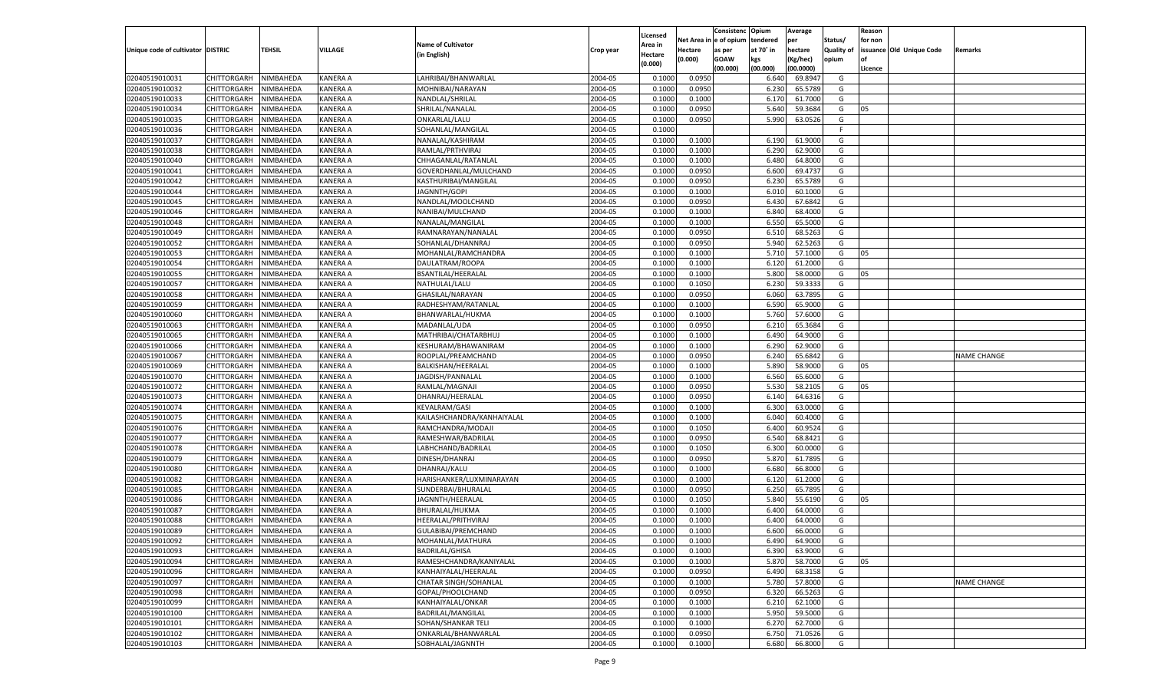|                                   |                            |               |                 |                            |           |                     |                  | Consistenc  | Opium     | Average   |                   | Reason  |                          |                    |
|-----------------------------------|----------------------------|---------------|-----------------|----------------------------|-----------|---------------------|------------------|-------------|-----------|-----------|-------------------|---------|--------------------------|--------------------|
|                                   |                            |               |                 | <b>Name of Cultivator</b>  |           | Licensed<br>\rea in | Net Area         | e of opium  | tendered  | per       | Status/           | for non |                          |                    |
| Unique code of cultivator DISTRIC |                            | <b>TEHSIL</b> | VILLAGE         | (in English)               | Crop year | Hectare             | Hectare          | as per      | at 70° in | hectare   | <b>Quality of</b> |         | issuance Old Unique Code | Remarks            |
|                                   |                            |               |                 |                            |           | (0.000)             | (0.000)          | <b>GOAW</b> | kgs       | (Kg/hec)  | opium             |         |                          |                    |
|                                   |                            |               |                 |                            |           |                     |                  | (00.000)    | (00.000)  | (00.0000) |                   | Licence |                          |                    |
| 02040519010031                    | CHITTORGARH                | NIMBAHEDA     | KANERA A        | LAHRIBAI/BHANWARLAL        | 2004-05   | 0.1000              | 0.0950           |             | 6.640     | 69.8947   | G                 |         |                          |                    |
| 02040519010032                    | CHITTORGARH                | NIMBAHEDA     | KANERA A        | MOHNIBAI/NARAYAN           | 2004-05   | 0.1000              | 0.0950           |             | 6.23      | 65.5789   | G                 |         |                          |                    |
| 02040519010033                    | CHITTORGARH                | NIMBAHEDA     | KANERA A        | NANDLAL/SHRILAL            | 2004-05   | 0.1000              | 0.1000           |             | 6.170     | 61.7000   | G                 |         |                          |                    |
| 02040519010034                    | CHITTORGARH                | NIMBAHEDA     | KANERA A        | SHRILAL/NANALAL            | 2004-05   | 0.1000              | 0.0950           |             | 5.640     | 59.3684   | G                 | 05      |                          |                    |
| 02040519010035                    | CHITTORGARH                | NIMBAHEDA     | KANERA A        | ONKARLAL/LALU              | 2004-05   | 0.1000              | 0.0950           |             | 5.990     | 63.0526   | G                 |         |                          |                    |
| 02040519010036                    | CHITTORGARH                | NIMBAHEDA     | KANERA A        | SOHANLAL/MANGILAL          | 2004-05   | 0.1000              |                  |             |           |           | F.                |         |                          |                    |
| 02040519010037                    | CHITTORGARH                | NIMBAHEDA     | KANERA A        | NANALAL/KASHIRAM           | 2004-05   | 0.1000              | 0.1000           |             | 6.190     | 61.9000   | G                 |         |                          |                    |
| 02040519010038                    | CHITTORGARH                | NIMBAHEDA     | KANERA A        | RAMLAL/PRTHVIRAJ           | 2004-05   | 0.1000              | 0.1000           |             | 6.290     | 62.9000   | G                 |         |                          |                    |
| 02040519010040                    | CHITTORGARH                | NIMBAHEDA     | KANERA A        | CHHAGANLAL/RATANLAL        | 2004-05   | 0.1000              | 0.1000           |             | 6.480     | 64.8000   | G                 |         |                          |                    |
| 02040519010041                    | CHITTORGARH                | NIMBAHEDA     | KANERA A        | GOVERDHANLAL/MULCHAND      | 2004-05   | 0.1000              | 0.0950           |             | 6.600     | 69.4737   | G                 |         |                          |                    |
| 02040519010042                    | CHITTORGARH                | NIMBAHEDA     | KANERA A        | KASTHURIBAI/MANGILAL       | 2004-05   | 0.1000              | 0.0950           |             | 6.23      | 65.5789   | G                 |         |                          |                    |
| 02040519010044                    | CHITTORGARH                | NIMBAHEDA     | KANERA A        | JAGNNTH/GOPI               | 2004-05   | 0.1000              | 0.1000           |             | 6.010     | 60.1000   | G                 |         |                          |                    |
| 02040519010045                    | CHITTORGARH                | NIMBAHEDA     | KANERA A        | NANDLAL/MOOLCHAND          | 2004-05   | 0.1000              | 0.0950           |             | 6.430     | 67.6842   | G                 |         |                          |                    |
| 02040519010046                    | CHITTORGARH                | NIMBAHEDA     | KANERA A        | NANIBAI/MULCHAND           | 2004-05   | 0.1000              | 0.1000           |             | 6.840     | 68.4000   | G                 |         |                          |                    |
| 02040519010048                    | CHITTORGARH                | NIMBAHEDA     | KANERA A        | NANALAL/MANGILAL           | 2004-05   | 0.1000              | 0.1000           |             | 6.550     | 65.5000   | G                 |         |                          |                    |
| 02040519010049                    | CHITTORGARH                | NIMBAHEDA     | KANERA A        | RAMNARAYAN/NANALAI         | 2004-05   | 0.1000              | 0.0950           |             | 6.510     | 68.5263   | G                 |         |                          |                    |
| 02040519010052                    | CHITTORGARH                | NIMBAHEDA     | KANERA A        | SOHANLAL/DHANNRAJ          | 2004-05   | 0.1000              | 0.0950           |             | 5.940     | 62.5263   | G                 |         |                          |                    |
| 02040519010053                    | CHITTORGARH                | NIMBAHEDA     | KANERA A        | MOHANLAL/RAMCHANDRA        | 2004-05   | 0.1000              | 0.1000           |             | 5.710     | 57.1000   | G                 | 05      |                          |                    |
| 02040519010054                    | CHITTORGARH                | NIMBAHEDA     | KANERA A        | DAULATRAM/ROOPA            | 2004-05   | 0.1000              | 0.1000           |             | 6.120     | 61.2000   | G                 |         |                          |                    |
| 02040519010055                    | CHITTORGARH                | NIMBAHEDA     | KANERA A        | BSANTILAL/HEERALAL         | 2004-05   | 0.1000              | 0.1000           |             | 5.800     | 58.0000   | G                 | 05      |                          |                    |
| 02040519010057                    | CHITTORGARH                | NIMBAHEDA     | KANERA A        | NATHULAL/LALU              | 2004-05   | 0.1000              | 0.1050           |             | 6.230     | 59.3333   | G                 |         |                          |                    |
| 02040519010058                    | CHITTORGARH                | NIMBAHEDA     | KANERA A        | GHASILAL/NARAYAN           | 2004-05   | 0.1000              | 0.0950           |             | 6.060     | 63.7895   | G                 |         |                          |                    |
| 02040519010059                    | CHITTORGARH                | NIMBAHEDA     | KANERA A        | RADHESHYAM/RATANLAL        | 2004-05   | 0.1000              | 0.1000           |             | 6.590     | 65.9000   | G                 |         |                          |                    |
| 02040519010060                    | CHITTORGARH                | NIMBAHEDA     | KANERA A        | BHANWARLAL/HUKMA           | 2004-05   | 0.1000              | 0.1000           |             | 5.760     | 57.6000   | G                 |         |                          |                    |
| 02040519010063                    | CHITTORGARH                | NIMBAHEDA     | KANERA A        | MADANLAL/UDA               | 2004-05   | 0.1000              | 0.0950           |             | 6.210     | 65.3684   | G                 |         |                          |                    |
| 02040519010065                    | CHITTORGARH                | NIMBAHEDA     | KANERA A        | MATHRIBAI/CHATARBHUJ       | 2004-05   | 0.1000              | 0.1000           |             | 6.490     | 64.9000   | G                 |         |                          |                    |
| 02040519010066                    |                            | NIMBAHEDA     | KANERA A        |                            | 2004-05   | 0.1000              | 0.1000           |             | 6.290     | 62.9000   | G                 |         |                          |                    |
| 02040519010067                    | CHITTORGARH<br>CHITTORGARH |               |                 | KESHURAM/BHAWANIRAM        |           |                     |                  |             |           | 65.6842   |                   |         |                          |                    |
|                                   | CHITTORGARH                | NIMBAHEDA     | KANERA A        | ROOPLAL/PREAMCHAND         | 2004-05   | 0.1000<br>0.1000    | 0.0950<br>0.1000 |             | 6.240     | 58.9000   | G<br>G            |         |                          | <b>NAME CHANGE</b> |
| 02040519010069                    |                            | NIMBAHEDA     | KANERA A        | BALKISHAN/HEERALAL         | 2004-05   |                     |                  |             | 5.890     |           |                   | 05      |                          |                    |
| 02040519010070                    | CHITTORGARH                | NIMBAHEDA     | KANERA A        | JAGDISH/PANNALAL           | 2004-05   | 0.1000              | 0.1000           |             | 6.560     | 65.6000   | G                 |         |                          |                    |
| 02040519010072                    | CHITTORGARH                | NIMBAHEDA     | KANERA A        | RAMLAL/MAGNAJI             | 2004-05   | 0.1000              | 0.0950           |             | 5.530     | 58.2105   | G                 | 05      |                          |                    |
| 02040519010073                    | CHITTORGARH                | NIMBAHEDA     | KANERA A        | DHANRAJ/HEERALAL           | 2004-05   | 0.1000              | 0.0950           |             | 6.140     | 64.6316   | G                 |         |                          |                    |
| 02040519010074                    | CHITTORGARH                | NIMBAHEDA     | KANERA A        | <b>KEVALRAM/GASI</b>       | 2004-05   | 0.1000              | 0.1000           |             | 6.300     | 63.0000   | G                 |         |                          |                    |
| 02040519010075                    | CHITTORGARH                | NIMBAHEDA     | KANERA A        | KAILASHCHANDRA/KANHAIYALAL | 2004-05   | 0.1000              | 0.1000           |             | 6.040     | 60.4000   | G                 |         |                          |                    |
| 02040519010076                    | CHITTORGARH                | NIMBAHEDA     | KANERA A        | RAMCHANDRA/MODAJI          | 2004-05   | 0.1000              | 0.1050           |             | 6.400     | 60.9524   | G                 |         |                          |                    |
| 02040519010077                    | CHITTORGARH                | NIMBAHEDA     | KANERA A        | RAMESHWAR/BADRILAL         | 2004-05   | 0.1000              | 0.0950           |             | 6.540     | 68.8421   | G                 |         |                          |                    |
| 02040519010078                    | CHITTORGARH                | NIMBAHEDA     | KANERA A        | LABHCHAND/BADRILAL         | 2004-05   | 0.1000              | 0.1050           |             | 6.300     | 60.0000   | G                 |         |                          |                    |
| 02040519010079                    | CHITTORGARH                | NIMBAHEDA     | KANERA A        | DINESH/DHANRAJ             | 2004-05   | 0.1000              | 0.0950           |             | 5.870     | 61.7895   | G                 |         |                          |                    |
| 02040519010080                    | CHITTORGARH                | NIMBAHEDA     | KANERA A        | DHANRAJ/KALU               | 2004-05   | 0.1000              | 0.1000           |             | 6.680     | 66.8000   | G                 |         |                          |                    |
| 02040519010082                    | CHITTORGARH                | NIMBAHEDA     | KANERA A        | HARISHANKER/LUXMINARAYAN   | 2004-05   | 0.1000              | 0.1000           |             | 6.120     | 61.2000   | G                 |         |                          |                    |
| 02040519010085                    | CHITTORGARH                | NIMBAHEDA     | KANERA A        | SUNDERBAI/BHURALAL         | 2004-05   | 0.1000              | 0.0950           |             | 6.250     | 65.7895   | G                 |         |                          |                    |
| 02040519010086                    | CHITTORGARH                | NIMBAHEDA     | KANERA A        | JAGNNTH/HEERALAL           | 2004-05   | 0.1000              | 0.1050           |             | 5.840     | 55.6190   | G                 | 05      |                          |                    |
| 02040519010087                    | CHITTORGARH                | NIMBAHEDA     | KANERA A        | <b>BHURALAL/HUKMA</b>      | 2004-05   | 0.1000              | 0.1000           |             | 6.400     | 64.0000   | G                 |         |                          |                    |
| 02040519010088                    | CHITTORGARH                | NIMBAHEDA     | KANERA A        | HEERALAL/PRITHVIRAJ        | 2004-05   | 0.1000              | 0.1000           |             | 6.400     | 64.0000   | G                 |         |                          |                    |
| 02040519010089                    | CHITTORGARH                | NIMBAHEDA     | KANERA A        | GULABIBAI/PREMCHAND        | 2004-05   | 0.1000              | 0.1000           |             | 6.600     | 66.0000   | G                 |         |                          |                    |
| 02040519010092                    | CHITTORGARH NIMBAHEDA      |               | <b>KANERA A</b> | MOHANLAL/MATHURA           | 2004-05   | 0.1000              | 0.1000           |             | 6.490     | 64.9000   | G                 |         |                          |                    |
| 02040519010093                    | <b>CHITTORGARH</b>         | NIMBAHEDA     | <b>KANERA A</b> | <b>BADRILAL/GHISA</b>      | 2004-05   | 0.1000              | 0.1000           |             | 6.390     | 63.9000   | G                 |         |                          |                    |
| 02040519010094                    | CHITTORGARH                | NIMBAHEDA     | KANERA A        | RAMESHCHANDRA/KANIYALAL    | 2004-05   | 0.1000              | 0.1000           |             | 5.870     | 58.7000   | G                 | 05      |                          |                    |
| 02040519010096                    | <b>CHITTORGARH</b>         | NIMBAHEDA     | <b>KANERA A</b> | KANHAIYALAL/HEERALAL       | 2004-05   | 0.1000              | 0.0950           |             | 6.490     | 68.3158   | G                 |         |                          |                    |
| 02040519010097                    | <b>CHITTORGARH</b>         | NIMBAHEDA     | KANERA A        | CHATAR SINGH/SOHANLAL      | 2004-05   | 0.1000              | 0.1000           |             | 5.780     | 57.8000   | G                 |         |                          | <b>NAME CHANGE</b> |
| 02040519010098                    | <b>CHITTORGARH</b>         | NIMBAHEDA     | <b>KANERA A</b> | GOPAL/PHOOLCHAND           | 2004-05   | 0.1000              | 0.0950           |             | 6.320     | 66.5263   | G                 |         |                          |                    |
| 02040519010099                    | CHITTORGARH                | NIMBAHEDA     | KANERA A        | KANHAIYALAL/ONKAR          | 2004-05   | 0.1000              | 0.1000           |             | 6.210     | 62.1000   | G                 |         |                          |                    |
| 02040519010100                    | <b>CHITTORGARH</b>         | NIMBAHEDA     | <b>KANERA A</b> | BADRILAL/MANGILAL          | 2004-05   | 0.1000              | 0.1000           |             | 5.950     | 59.5000   | G                 |         |                          |                    |
| 02040519010101                    | <b>CHITTORGARH</b>         | NIMBAHEDA     | KANERA A        | SOHAN/SHANKAR TELI         | 2004-05   | 0.1000              | 0.1000           |             | 6.270     | 62.7000   | G                 |         |                          |                    |
| 02040519010102                    | <b>CHITTORGARH</b>         | NIMBAHEDA     | <b>KANERA A</b> | ONKARLAL/BHANWARLAL        | 2004-05   | 0.1000              | 0.0950           |             | 6.750     | 71.0526   | G                 |         |                          |                    |
| 02040519010103                    | <b>CHITTORGARH</b>         | NIMBAHEDA     | <b>KANERA A</b> | SOBHALAL/JAGNNTH           | 2004-05   | 0.1000              | 0.1000           |             | 6.680     | 66.8000   | G                 |         |                          |                    |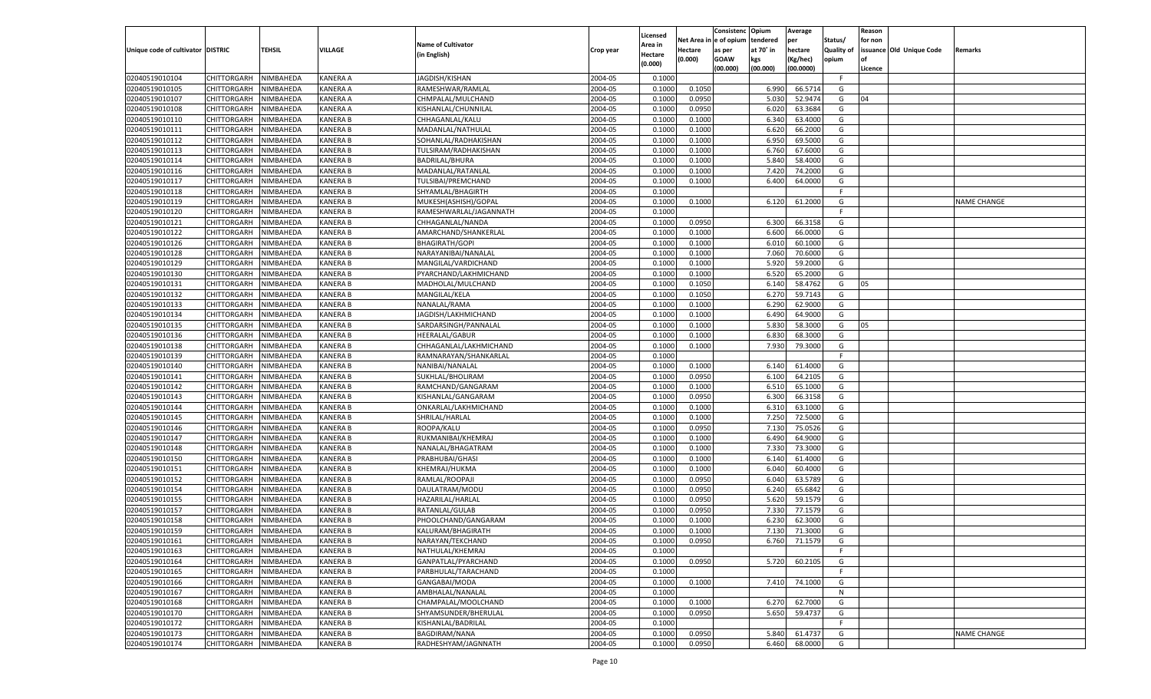|                                   |                    |           |                 |                           |           |          |         | Consistenc Opium       |                   | Average   |                   | Reason  |                          |                    |
|-----------------------------------|--------------------|-----------|-----------------|---------------------------|-----------|----------|---------|------------------------|-------------------|-----------|-------------------|---------|--------------------------|--------------------|
|                                   |                    |           |                 |                           |           | Licensed |         | Net Area in e of opium | tendered          | per       | Status/           | for non |                          |                    |
| Unique code of cultivator DISTRIC |                    | TEHSIL    | VILLAGE         | <b>Name of Cultivator</b> | Crop year | Area in  | Hectare | as per                 | at 70° in         | hectare   | <b>Quality of</b> |         | issuance Old Unique Code | <b>Remarks</b>     |
|                                   |                    |           |                 | (in English)              |           | Hectare  | (0.000) | <b>GOAW</b>            | kgs               | (Kg/hec)  | opium             |         |                          |                    |
|                                   |                    |           |                 |                           |           | (0.000)  |         | (00.000)               | (00.000)          | (00.0000) |                   | Licence |                          |                    |
| 02040519010104                    | CHITTORGARH        | NIMBAHEDA | <b>KANERA A</b> | JAGDISH/KISHAN            | 2004-05   | 0.1000   |         |                        |                   |           | -F.               |         |                          |                    |
| 02040519010105                    | CHITTORGARH        | NIMBAHEDA | <b>KANERA A</b> | RAMESHWAR/RAMLAL          | 2004-05   | 0.1000   | 0.1050  |                        | 6.990             | 66.5714   | G                 |         |                          |                    |
| 02040519010107                    | CHITTORGARH        | NIMBAHEDA | <b>KANERA A</b> | CHMPALAL/MULCHAND         | 2004-05   | 0.1000   | 0.0950  |                        | 5.030             | 52.9474   | G                 | 04      |                          |                    |
| 02040519010108                    | CHITTORGARH        | NIMBAHEDA | <b>KANERA A</b> | KISHANLAL/CHUNNILAL       | 2004-05   | 0.1000   | 0.0950  |                        | 6.020             | 63.3684   | G                 |         |                          |                    |
| 02040519010110                    | CHITTORGARH        | NIMBAHEDA | <b>KANERA B</b> | CHHAGANLAL/KALU           | 2004-05   | 0.1000   | 0.1000  |                        | 6.340             | 63.4000   | G                 |         |                          |                    |
| 02040519010111                    | CHITTORGARH        | NIMBAHEDA | <b>KANERA B</b> | MADANLAL/NATHULAL         | 2004-05   | 0.1000   | 0.1000  |                        | 6.620             | 66.2000   | G                 |         |                          |                    |
| 02040519010112                    | CHITTORGARH        | NIMBAHEDA | <b>KANERA B</b> | SOHANLAL/RADHAKISHAN      | 2004-05   | 0.1000   | 0.1000  |                        | 6.950             | 69.5000   | G                 |         |                          |                    |
| 02040519010113                    | CHITTORGARH        | NIMBAHEDA | <b>KANERA B</b> | TULSIRAM/RADHAKISHAN      | 2004-05   | 0.1000   | 0.1000  |                        | 6.760             | 67.6000   | G                 |         |                          |                    |
| 02040519010114                    | CHITTORGARH        | NIMBAHEDA | <b>KANERA B</b> | BADRILAL/BHURA            | 2004-05   | 0.1000   | 0.1000  |                        | 5.840             | 58.4000   | G                 |         |                          |                    |
|                                   |                    | NIMBAHEDA | <b>KANERA B</b> |                           | 2004-05   | 0.1000   |         |                        | 7.420             | 74.2000   | G                 |         |                          |                    |
| 02040519010116                    | CHITTORGARH        |           |                 | MADANLAL/RATANLAL         |           |          | 0.1000  |                        |                   |           |                   |         |                          |                    |
| 02040519010117                    | CHITTORGARH        | NIMBAHEDA | <b>KANERA B</b> | TULSIBAI/PREMCHAND        | 2004-05   | 0.1000   | 0.1000  |                        | 6.400             | 64.0000   | G                 |         |                          |                    |
| 02040519010118                    | CHITTORGARH        | NIMBAHEDA | <b>KANERA B</b> | SHYAMLAL/BHAGIRTH         | 2004-05   | 0.1000   |         |                        |                   |           | F.                |         |                          |                    |
| 02040519010119                    | CHITTORGARH        | NIMBAHEDA | <b>KANERA B</b> | MUKESH(ASHISH)/GOPAL      | 2004-05   | 0.1000   | 0.1000  |                        | 6.120             | 61.2000   | G                 |         |                          | <b>NAME CHANGE</b> |
| 02040519010120                    | CHITTORGARH        | NIMBAHEDA | <b>KANERA B</b> | RAMESHWARLAL/JAGANNATH    | 2004-05   | 0.1000   |         |                        |                   |           | E                 |         |                          |                    |
| 02040519010121                    | CHITTORGARH        | NIMBAHEDA | <b>KANERA B</b> | CHHAGANLAL/NANDA          | 2004-05   | 0.1000   | 0.0950  |                        | 6.300             | 66.3158   | G                 |         |                          |                    |
| 02040519010122                    | CHITTORGARH        | NIMBAHEDA | <b>KANERA B</b> | AMARCHAND/SHANKERLAL      | 2004-05   | 0.1000   | 0.1000  |                        | 6.600             | 66.0000   | G                 |         |                          |                    |
| 02040519010126                    | CHITTORGARH        | NIMBAHEDA | <b>KANERA B</b> | <b>BHAGIRATH/GOPI</b>     | 2004-05   | 0.1000   | 0.1000  |                        | 6.010             | 60.1000   | G                 |         |                          |                    |
| 02040519010128                    | CHITTORGARH        | NIMBAHEDA | <b>KANERA B</b> | NARAYANIBAI/NANALAL       | 2004-05   | 0.1000   | 0.1000  |                        | 7.060             | 70.6000   | G                 |         |                          |                    |
| 02040519010129                    | CHITTORGARH        | NIMBAHEDA | <b>KANERA B</b> | MANGILAL/VARDICHAND       | 2004-05   | 0.1000   | 0.1000  |                        | 5.920             | 59.2000   | G                 |         |                          |                    |
| 02040519010130                    | CHITTORGARH        | NIMBAHEDA | <b>KANERA B</b> | PYARCHAND/LAKHMICHAND     | 2004-05   | 0.1000   | 0.1000  |                        | 6.520             | 65.2000   | G                 |         |                          |                    |
| 02040519010131                    | CHITTORGARH        | NIMBAHEDA | <b>KANERA B</b> | MADHOLAL/MULCHAND         | 2004-05   | 0.1000   | 0.1050  |                        | 6.140             | 58.4762   | G                 | 05      |                          |                    |
| 02040519010132                    | CHITTORGARH        | NIMBAHEDA | <b>KANERA B</b> | MANGILAL/KELA             | 2004-05   | 0.1000   | 0.1050  |                        | 6.270             | 59.7143   | G                 |         |                          |                    |
| 02040519010133                    | CHITTORGARH        | NIMBAHEDA | <b>KANERA B</b> | NANALAL/RAMA              | 2004-05   | 0.1000   | 0.1000  |                        | 6.290             | 62.9000   | G                 |         |                          |                    |
| 02040519010134                    | CHITTORGARH        | NIMBAHEDA | <b>KANERA B</b> | JAGDISH/LAKHMICHAND       | 2004-05   | 0.1000   | 0.1000  |                        | 6.490             | 64.9000   | G                 |         |                          |                    |
| 02040519010135                    | CHITTORGARH        | NIMBAHEDA | <b>KANERA B</b> | SARDARSINGH/PANNALAL      | 2004-05   | 0.1000   | 0.1000  |                        | 5.830             | 58.3000   | G                 | 05      |                          |                    |
| 02040519010136                    | CHITTORGARH        | NIMBAHEDA | <b>KANERA B</b> | <b>HEERALAL/GABUR</b>     | 2004-05   | 0.1000   | 0.1000  |                        | 6.830             | 68.3000   | G                 |         |                          |                    |
| 02040519010138                    | CHITTORGARH        | NIMBAHEDA | <b>KANERA B</b> | CHHAGANLAL/LAKHMICHAND    | 2004-05   | 0.1000   | 0.1000  |                        | 7.930             | 79.3000   | G                 |         |                          |                    |
| 02040519010139                    | CHITTORGARH        | NIMBAHEDA | <b>KANERA B</b> | RAMNARAYAN/SHANKARLAL     | 2004-05   | 0.1000   |         |                        |                   |           | -F                |         |                          |                    |
| 02040519010140                    | CHITTORGARH        | NIMBAHEDA | <b>KANERA B</b> | NANIBAI/NANALAL           | 2004-05   | 0.1000   | 0.1000  |                        | 6.140             | 61.4000   | G                 |         |                          |                    |
| 02040519010141                    | CHITTORGARH        | NIMBAHEDA | <b>KANERA B</b> | SUKHLAL/BHOLIRAM          | 2004-05   | 0.1000   | 0.0950  |                        | 6.100             | 64.2105   | G                 |         |                          |                    |
|                                   |                    |           |                 |                           |           |          |         |                        |                   |           |                   |         |                          |                    |
| 02040519010142                    | CHITTORGARH        | NIMBAHEDA | <b>KANERA B</b> | RAMCHAND/GANGARAM         | 2004-05   | 0.1000   | 0.1000  |                        | 6.510             | 65.1000   | G                 |         |                          |                    |
| 02040519010143                    | CHITTORGARH        | NIMBAHEDA | <b>KANERA B</b> | KISHANLAL/GANGARAM        | 2004-05   | 0.1000   | 0.0950  |                        | 6.300             | 66.3158   | G                 |         |                          |                    |
| 02040519010144                    | CHITTORGARH        | NIMBAHEDA | <b>KANERA B</b> | ONKARLAL/LAKHMICHAND      | 2004-05   | 0.1000   | 0.1000  |                        | 6.310             | 63.1000   | G                 |         |                          |                    |
| 02040519010145                    | CHITTORGARH        | NIMBAHEDA | <b>KANERA B</b> | SHRILAL/HARLAL            | 2004-05   | 0.1000   | 0.1000  |                        | 7.250             | 72.5000   | G                 |         |                          |                    |
| 02040519010146                    | CHITTORGARH        | NIMBAHEDA | <b>KANERA B</b> | ROOPA/KALU                | 2004-05   | 0.1000   | 0.0950  |                        | 7.13(             | 75.0526   | G                 |         |                          |                    |
| 02040519010147                    | CHITTORGARH        | NIMBAHEDA | <b>KANERA B</b> | RUKMANIBAI/KHEMRAJ        | 2004-05   | 0.1000   | 0.1000  |                        | 6.490             | 64.9000   | G                 |         |                          |                    |
| 02040519010148                    | CHITTORGARH        | NIMBAHEDA | <b>KANERA B</b> | NANALAL/BHAGATRAM         | 2004-05   | 0.1000   | 0.1000  |                        | 7.330             | 73.3000   | G                 |         |                          |                    |
| 02040519010150                    | CHITTORGARH        | NIMBAHEDA | <b>KANERA B</b> | PRABHUBAI/GHASI           | 2004-05   | 0.1000   | 0.1000  |                        | 6.140             | 61.4000   | G                 |         |                          |                    |
| 02040519010151                    | CHITTORGARH        | NIMBAHEDA | <b>KANERA B</b> | KHEMRAJ/HUKMA             | 2004-05   | 0.1000   | 0.1000  |                        | 6.040             | 60.4000   | G                 |         |                          |                    |
| 02040519010152                    | CHITTORGARH        | NIMBAHEDA | <b>KANERA B</b> | RAMLAL/ROOPAJI            | 2004-05   | 0.1000   | 0.0950  |                        | 6.040             | 63.5789   | G                 |         |                          |                    |
| 02040519010154                    | CHITTORGARH        | NIMBAHEDA | <b>KANERA B</b> | DAULATRAM/MODU            | 2004-05   | 0.1000   | 0.0950  |                        | 6.240             | 65.6842   | G                 |         |                          |                    |
| 02040519010155                    | CHITTORGARH        | NIMBAHEDA | <b>KANERA B</b> | HAZARILAL/HARLAL          | 2004-05   | 0.1000   | 0.0950  |                        | 5.620             | 59.1579   | G                 |         |                          |                    |
| 02040519010157                    | CHITTORGARH        | NIMBAHEDA | <b>KANERA B</b> | RATANLAL/GULAB            | 2004-05   | 0.1000   | 0.0950  |                        | 7.330             | 77.1579   | G                 |         |                          |                    |
| 02040519010158                    | CHITTORGARH        | NIMBAHEDA | <b>KANERA B</b> | PHOOLCHAND/GANGARAM       | 2004-05   | 0.1000   | 0.1000  |                        | 6.23              | 62.3000   | G                 |         |                          |                    |
| 02040519010159                    | CHITTORGARH        | NIMBAHEDA | <b>KANERA B</b> | KALURAM/BHAGIRATH         | 2004-05   | 0.1000   | 0.1000  |                        | 7.13 <sub>0</sub> | 71.3000   | G                 |         |                          |                    |
| 02040519010161                    | CHITTORGARH        | NIMBAHEDA | <b>KANERA B</b> | NARAYAN/TEKCHAND          | 2004-05   | 0.1000   | 0.0950  |                        | 6.760             | 71.1579   | G                 |         |                          |                    |
| 02040519010163                    | <b>CHITTORGARH</b> | NIMBAHEDA | <b>KANERA B</b> | NATHULAL/KHEMRAJ          | 2004-05   | 0.1000   |         |                        |                   |           | -F                |         |                          |                    |
| 02040519010164                    | <b>CHITTORGARH</b> | NIMBAHEDA | <b>KANERA B</b> | GANPATLAL/PYARCHAND       | 2004-05   | 0.1000   | 0.0950  |                        | 5.720             | 60.2105   | G                 |         |                          |                    |
| 02040519010165                    | <b>CHITTORGARH</b> | NIMBAHEDA | <b>KANERA B</b> | PARBHULAL/TARACHAND       | 2004-05   | 0.1000   |         |                        |                   |           | F.                |         |                          |                    |
| 02040519010166                    | <b>CHITTORGARH</b> | NIMBAHEDA | <b>KANERA B</b> | GANGABAI/MODA             | 2004-05   | 0.1000   | 0.1000  |                        | 7.410             | 74.1000   | G                 |         |                          |                    |
| 02040519010167                    | <b>CHITTORGARH</b> | NIMBAHEDA | <b>KANERA B</b> | AMBHALAL/NANALAL          | 2004-05   | 0.1000   |         |                        |                   |           | N                 |         |                          |                    |
|                                   |                    |           |                 | CHAMPALAL/MOOLCHAND       | 2004-05   |          |         |                        | 6.270             | 62.7000   | G                 |         |                          |                    |
| 02040519010168                    | <b>CHITTORGARH</b> | NIMBAHEDA | <b>KANERA B</b> |                           |           | 0.1000   | 0.1000  |                        |                   |           |                   |         |                          |                    |
| 02040519010170                    | <b>CHITTORGARH</b> | NIMBAHEDA | <b>KANERA B</b> | SHYAMSUNDER/BHERULAL      | 2004-05   | 0.1000   | 0.0950  |                        | 5.650             | 59.4737   | G                 |         |                          |                    |
| 02040519010172                    | <b>CHITTORGARH</b> | NIMBAHEDA | <b>KANERA B</b> | KISHANLAL/BADRILAL        | 2004-05   | 0.1000   |         |                        |                   |           | F.                |         |                          |                    |
| 02040519010173                    | <b>CHITTORGARH</b> | NIMBAHEDA | <b>KANERA B</b> | <b>BAGDIRAM/NANA</b>      | 2004-05   | 0.1000   | 0.0950  |                        | 5.840             | 61.4737   | G                 |         |                          | NAME CHANGE        |
| 02040519010174                    | <b>CHITTORGARH</b> | NIMBAHEDA | <b>KANERA B</b> | RADHESHYAM/JAGNNATH       | 2004-05   | 0.1000   | 0.0950  |                        | 6.460             | 68.0000   | G                 |         |                          |                    |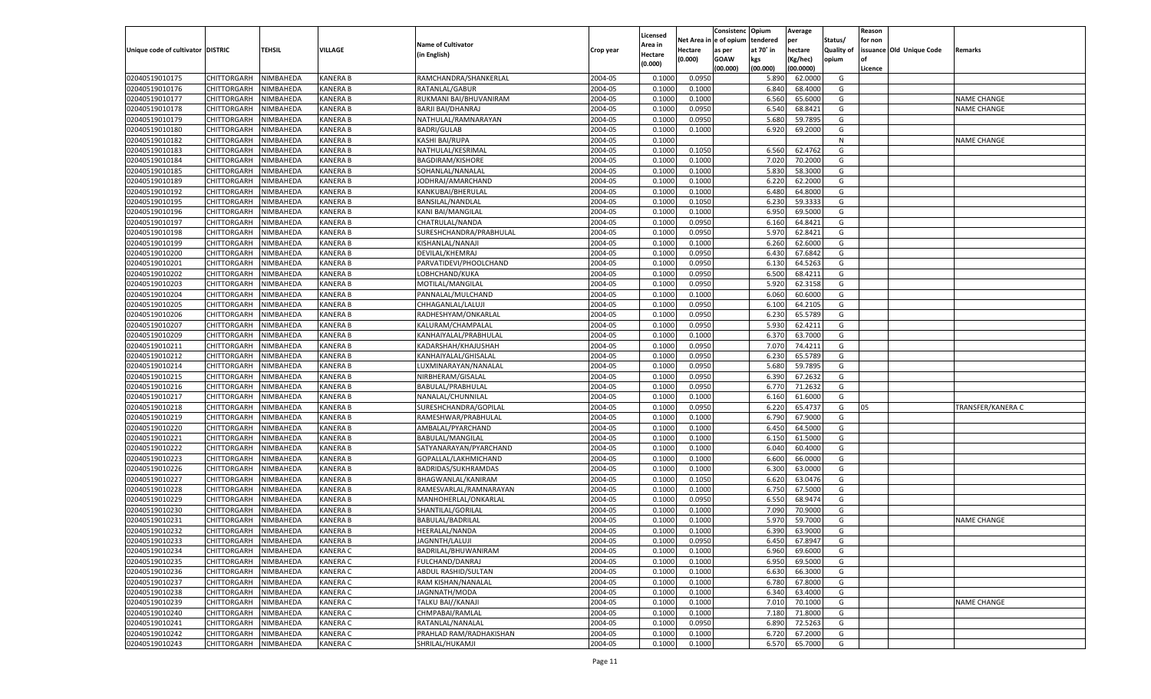|                                   |                       |                        |                 |                           |           |                     |          | Consistenc  | Opium     | Average   |                   | Reason  |                          |                    |
|-----------------------------------|-----------------------|------------------------|-----------------|---------------------------|-----------|---------------------|----------|-------------|-----------|-----------|-------------------|---------|--------------------------|--------------------|
|                                   |                       |                        |                 | <b>Name of Cultivator</b> |           | Licensed<br>\rea in | Net Area | e of opium  | tendered  | per       | Status/           | for non |                          |                    |
| Unique code of cultivator DISTRIC |                       | <b>TEHSIL</b>          | VILLAGE         | (in English)              | Crop year | Hectare             | Hectare  | as per      | at 70˚ in | hectare   | <b>Quality of</b> |         | issuance Old Unique Code | Remarks            |
|                                   |                       |                        |                 |                           |           | (0.000)             | (0.000)  | <b>GOAW</b> | kgs       | (Kg/hec)  | opium             |         |                          |                    |
|                                   |                       |                        |                 |                           |           |                     |          | (00.000)    | (00.000)  | (00.0000) |                   | Licence |                          |                    |
| 02040519010175                    | CHITTORGARH           | NIMBAHEDA              | <b>KANERA B</b> | RAMCHANDRA/SHANKERLAL     | 2004-05   | 0.1000              | 0.0950   |             | 5.890     | 62.0000   | G                 |         |                          |                    |
| 02040519010176                    | CHITTORGARH           | NIMBAHEDA              | KANERA B        | RATANLAL/GABUR            | 2004-05   | 0.1000              | 0.1000   |             | 6.840     | 68.4000   | G                 |         |                          |                    |
| 02040519010177                    | CHITTORGARH           | NIMBAHEDA              | KANERA B        | RUKMANI BAI/BHUVANIRAM    | 2004-05   | 0.1000              | 0.1000   |             | 6.560     | 65.6000   | G                 |         |                          | <b>NAME CHANGE</b> |
| 02040519010178                    | CHITTORGARH           | NIMBAHEDA              | KANERA B        | BARJI BAI/DHANRAJ         | 2004-05   | 0.1000              | 0.0950   |             | 6.540     | 68.8421   | G                 |         |                          | <b>NAME CHANGE</b> |
| 02040519010179                    | CHITTORGARH           | NIMBAHEDA              | KANERA B        | NATHULAL/RAMNARAYAN       | 2004-05   | 0.1000              | 0.0950   |             | 5.680     | 59.7895   | G                 |         |                          |                    |
| 02040519010180                    | CHITTORGARH           | NIMBAHEDA              | KANERA B        | <b>BADRI/GULAB</b>        | 2004-05   | 0.1000              | 0.1000   |             | 6.920     | 69.2000   | G                 |         |                          |                    |
| 02040519010182                    | CHITTORGARH           | NIMBAHEDA              | KANERA B        | KASHI BAI/RUPA            | 2004-05   | 0.1000              |          |             |           |           | N                 |         |                          | <b>NAME CHANGE</b> |
| 02040519010183                    | CHITTORGARH           | NIMBAHEDA              | KANERA B        | NATHULAL/KESRIMAL         | 2004-05   | 0.1000              | 0.1050   |             | 6.560     | 62.4762   | G                 |         |                          |                    |
| 02040519010184                    | CHITTORGARH           | NIMBAHEDA              | KANERA B        | <b>BAGDIRAM/KISHORE</b>   | 2004-05   | 0.1000              | 0.1000   |             | 7.02(     | 70.2000   | G                 |         |                          |                    |
| 02040519010185                    | CHITTORGARH           | NIMBAHEDA              | KANERA B        | SOHANLAL/NANALAI          | 2004-05   | 0.1000              | 0.1000   |             | 5.830     | 58.3000   | G                 |         |                          |                    |
| 02040519010189                    | CHITTORGARH           | NIMBAHEDA              | KANERA B        | JODHRAJ/AMARCHAND         | 2004-05   | 0.1000              | 0.1000   |             | 6.220     | 62.2000   | G                 |         |                          |                    |
| 02040519010192                    | CHITTORGARH           | NIMBAHEDA              | <b>KANERA B</b> | KANKUBAI/BHERULAL         | 2004-05   | 0.1000              | 0.1000   |             | 6.480     | 64.8000   | G                 |         |                          |                    |
| 02040519010195                    | CHITTORGARH           | NIMBAHEDA              | KANERA B        | <b>BANSILAL/NANDLAL</b>   | 2004-05   | 0.1000              | 0.1050   |             | 6.23      | 59.3333   | G                 |         |                          |                    |
| 02040519010196                    | CHITTORGARH           | NIMBAHEDA              | KANERA B        | <b>KANI BAI/MANGILAL</b>  | 2004-05   | 0.1000              | 0.1000   |             | 6.950     | 69.5000   | G                 |         |                          |                    |
| 02040519010197                    | CHITTORGARH           | NIMBAHEDA              | KANERA B        | CHATRULAL/NANDA           | 2004-05   | 0.1000              | 0.0950   |             | 6.160     | 64.8421   | G                 |         |                          |                    |
| 02040519010198                    | CHITTORGARH           | NIMBAHEDA              | KANERA B        | SURESHCHANDRA/PRABHULAL   | 2004-05   | 0.1000              | 0.0950   |             | 5.970     | 62.8421   | G                 |         |                          |                    |
| 02040519010199                    | CHITTORGARH           | NIMBAHEDA              | KANERA B        | KISHANLAL/NANAJI          | 2004-05   | 0.1000              | 0.1000   |             | 6.260     | 62.6000   | G                 |         |                          |                    |
| 02040519010200                    | CHITTORGARH           | NIMBAHEDA              | KANERA B        | DEVILAL/KHEMRAJ           | 2004-05   | 0.1000              | 0.0950   |             | 6.43(     | 67.6842   | G                 |         |                          |                    |
| 02040519010201                    | CHITTORGARH           | NIMBAHEDA              | KANERA B        | PARVATIDEVI/PHOOLCHAND    | 2004-05   | 0.1000              | 0.0950   |             | 6.130     | 64.5263   | G                 |         |                          |                    |
| 02040519010202                    | CHITTORGARH           | NIMBAHEDA              | KANERA B        | LOBHCHAND/KUKA            | 2004-05   | 0.1000              | 0.0950   |             | 6.500     | 68.4211   | G                 |         |                          |                    |
| 02040519010203                    | CHITTORGARH           | NIMBAHEDA              | KANERA B        | MOTILAL/MANGILAL          | 2004-05   | 0.1000              | 0.0950   |             | 5.920     | 62.3158   | G                 |         |                          |                    |
| 02040519010204                    | CHITTORGARH           | NIMBAHEDA              | KANERA B        | PANNALAL/MULCHAND         | 2004-05   | 0.1000              | 0.1000   |             | 6.060     | 60.6000   | G                 |         |                          |                    |
| 02040519010205                    | CHITTORGARH           | NIMBAHEDA              | KANERA B        | CHHAGANLAL/LALUJI         | 2004-05   | 0.1000              | 0.0950   |             | 6.100     | 64.2105   | G                 |         |                          |                    |
| 02040519010206                    | CHITTORGARH           | NIMBAHEDA              | KANERA B        | RADHESHYAM/ONKARLAL       | 2004-05   | 0.1000              | 0.0950   |             | 6.23      | 65.5789   | G                 |         |                          |                    |
| 02040519010207                    | CHITTORGARH           | NIMBAHEDA              | KANERA B        | KALURAM/CHAMPALAL         | 2004-05   | 0.1000              | 0.0950   |             | 5.930     | 62.4211   | G                 |         |                          |                    |
| 02040519010209                    | CHITTORGARH           | NIMBAHEDA              | KANERA B        | KANHAIYALAL/PRABHULAI     | 2004-05   | 0.1000              | 0.1000   |             | 6.37      | 63.7000   | G                 |         |                          |                    |
| 02040519010211                    | CHITTORGARH           | NIMBAHEDA              | KANERA B        | KADARSHAH/KHAJUSHAH       | 2004-05   | 0.1000              | 0.0950   |             | 7.070     | 74.4211   | G                 |         |                          |                    |
| 02040519010212                    | CHITTORGARH           | NIMBAHEDA              | KANERA B        | KANHAIYALAL/GHISALAL      | 2004-05   | 0.1000              | 0.0950   |             | 6.23      | 65.5789   | G                 |         |                          |                    |
| 02040519010214                    | CHITTORGARH           | NIMBAHEDA              | KANERA B        | LUXMINARAYAN/NANALAL      | 2004-05   | 0.1000              | 0.0950   |             | 5.680     | 59.7895   | G                 |         |                          |                    |
| 02040519010215                    | CHITTORGARH           | NIMBAHEDA              | KANERA B        | NIRBHERAM/GISALAL         | 2004-05   | 0.1000              | 0.0950   |             | 6.390     | 67.2632   | G                 |         |                          |                    |
| 02040519010216                    | CHITTORGARH           | NIMBAHEDA              | KANERA B        | BABULAL/PRABHULAL         | 2004-05   | 0.1000              | 0.0950   |             | 6.770     | 71.2632   | G                 |         |                          |                    |
| 02040519010217                    | CHITTORGARH           | NIMBAHEDA              | KANERA B        | NANALAL/CHUNNILAL         | 2004-05   | 0.1000              | 0.1000   |             | 6.160     | 61.6000   | G                 |         |                          |                    |
| 02040519010218                    | CHITTORGARH           | NIMBAHEDA              | KANERA B        | SURESHCHANDRA/GOPILAL     | 2004-05   | 0.1000              | 0.0950   |             | 6.220     | 65.4737   | G                 | 05      |                          | TRANSFER/KANERA C  |
| 02040519010219                    | CHITTORGARH           | NIMBAHEDA              | KANERA B        | RAMESHWAR/PRABHULAL       | 2004-05   | 0.1000              | 0.1000   |             | 6.790     | 67.9000   | G                 |         |                          |                    |
| 02040519010220                    | CHITTORGARH           | NIMBAHEDA              | KANERA B        | AMBALAL/PYARCHAND         | 2004-05   | 0.1000              | 0.1000   |             | 6.450     | 64.5000   | G                 |         |                          |                    |
| 02040519010221                    | CHITTORGARH           | NIMBAHEDA              | KANERA B        | BABULAL/MANGILAL          | 2004-05   | 0.1000              | 0.1000   |             | 6.150     | 61.5000   | G                 |         |                          |                    |
| 02040519010222                    |                       | NIMBAHEDA              | KANERA B        |                           | 2004-05   | 0.1000              | 0.1000   |             |           | 60.4000   | G                 |         |                          |                    |
|                                   | CHITTORGARH           |                        |                 | SATYANARAYAN/PYARCHAND    |           |                     |          |             | 6.040     | 66.0000   |                   |         |                          |                    |
| 02040519010223                    | CHITTORGARH           | NIMBAHEDA              | KANERA B        | GOPALLAL/LAKHMICHAND      | 2004-05   | 0.1000              | 0.1000   |             | 6.600     |           | G                 |         |                          |                    |
| 02040519010226                    | CHITTORGARH           | NIMBAHEDA              | KANERA B        | BADRIDAS/SUKHRAMDAS       | 2004-05   | 0.1000              | 0.1000   |             | 6.300     | 63.0000   | G                 |         |                          |                    |
| 02040519010227                    | CHITTORGARH           | NIMBAHEDA<br>NIMBAHEDA | KANERA B        | BHAGWANLAL/KANIRAM        | 2004-05   | 0.1000              | 0.1050   |             | 6.620     | 63.0476   | G                 |         |                          |                    |
| 02040519010228                    | CHITTORGARH           |                        | KANERA B        | RAMESVARLAL/RAMNARAYAN    | 2004-05   | 0.1000              | 0.1000   |             | 6.750     | 67.5000   | G                 |         |                          |                    |
| 02040519010229                    | CHITTORGARH           | NIMBAHEDA              | KANERA B        | MANHOHERLAL/ONKARLAL      | 2004-05   | 0.1000              | 0.0950   |             | 6.550     | 68.9474   | G                 |         |                          |                    |
| 02040519010230                    | CHITTORGARH           | NIMBAHEDA              | KANERA B        | SHANTILAL/GORILAL         | 2004-05   | 0.1000              | 0.1000   |             | 7.09      | 70.9000   | G                 |         |                          |                    |
| 02040519010231                    | CHITTORGARH           | NIMBAHEDA              | KANERA B        | BABULAL/BADRILAL          | 2004-05   | 0.1000              | 0.1000   |             | 5.97      | 59.7000   | G                 |         |                          | <b>NAME CHANGE</b> |
| 02040519010232                    | CHITTORGARH           | NIMBAHEDA              | KANERA B        | HEERALAL/NANDA            | 2004-05   | 0.1000              | 0.1000   |             | 6.390     | 63.9000   | G                 |         |                          |                    |
| 02040519010233                    | CHITTORGARH NIMBAHEDA |                        | <b>KANERA B</b> | JAGNNTH/LALUJI            | 2004-05   | 0.1000              | 0.0950   |             | 6.450     | 67.8947   | G                 |         |                          |                    |
| 02040519010234                    | <b>CHITTORGARH</b>    | NIMBAHEDA              | <b>KANERA C</b> | BADRILAL/BHUWANIRAM       | 2004-05   | 0.1000              | 0.1000   |             | 6.960     | 69.6000   | G                 |         |                          |                    |
| 02040519010235                    | <b>CHITTORGARH</b>    | NIMBAHEDA              | <b>KANERA C</b> | FULCHAND/DANRAJ           | 2004-05   | 0.1000              | 0.1000   |             | 6.950     | 69.5000   | G                 |         |                          |                    |
| 02040519010236                    | <b>CHITTORGARH</b>    | NIMBAHEDA              | <b>KANERA C</b> | ABDUL RASHID/SULTAN       | 2004-05   | 0.1000              | 0.1000   |             | 6.630     | 66.3000   | G                 |         |                          |                    |
| 02040519010237                    | <b>CHITTORGARH</b>    | NIMBAHEDA              | <b>KANERA C</b> | RAM KISHAN/NANALAL        | 2004-05   | 0.1000              | 0.1000   |             | 6.780     | 67.8000   | G                 |         |                          |                    |
| 02040519010238                    | <b>CHITTORGARH</b>    | NIMBAHEDA              | <b>KANERA C</b> | JAGNNATH/MODA             | 2004-05   | 0.1000              | 0.1000   |             | 6.340     | 63.4000   | G                 |         |                          |                    |
| 02040519010239                    | <b>CHITTORGARH</b>    | NIMBAHEDA              | <b>KANERA C</b> | TALKU BAI//KANAJI         | 2004-05   | 0.1000              | 0.1000   |             | 7.010     | 70.1000   | G                 |         |                          | NAME CHANGE        |
| 02040519010240                    | <b>CHITTORGARH</b>    | NIMBAHEDA              | <b>KANERA C</b> | CHMPABAI/RAMLAL           | 2004-05   | 0.1000              | 0.1000   |             | 7.180     | 71.8000   | G                 |         |                          |                    |
| 02040519010241                    | <b>CHITTORGARH</b>    | NIMBAHEDA              | <b>KANERA C</b> | RATANLAL/NANALAL          | 2004-05   | 0.1000              | 0.0950   |             | 6.890     | 72.5263   | G                 |         |                          |                    |
| 02040519010242                    | <b>CHITTORGARH</b>    | NIMBAHEDA              | <b>KANERA C</b> | PRAHLAD RAM/RADHAKISHAN   | 2004-05   | 0.1000              | 0.1000   |             | 6.720     | 67.2000   | G                 |         |                          |                    |
| 02040519010243                    | CHITTORGARH           | NIMBAHEDA              | <b>KANERA C</b> | SHRILAL/HUKAMJI           | 2004-05   | 0.1000              | 0.1000   |             | 6.570     | 65.7000   | G                 |         |                          |                    |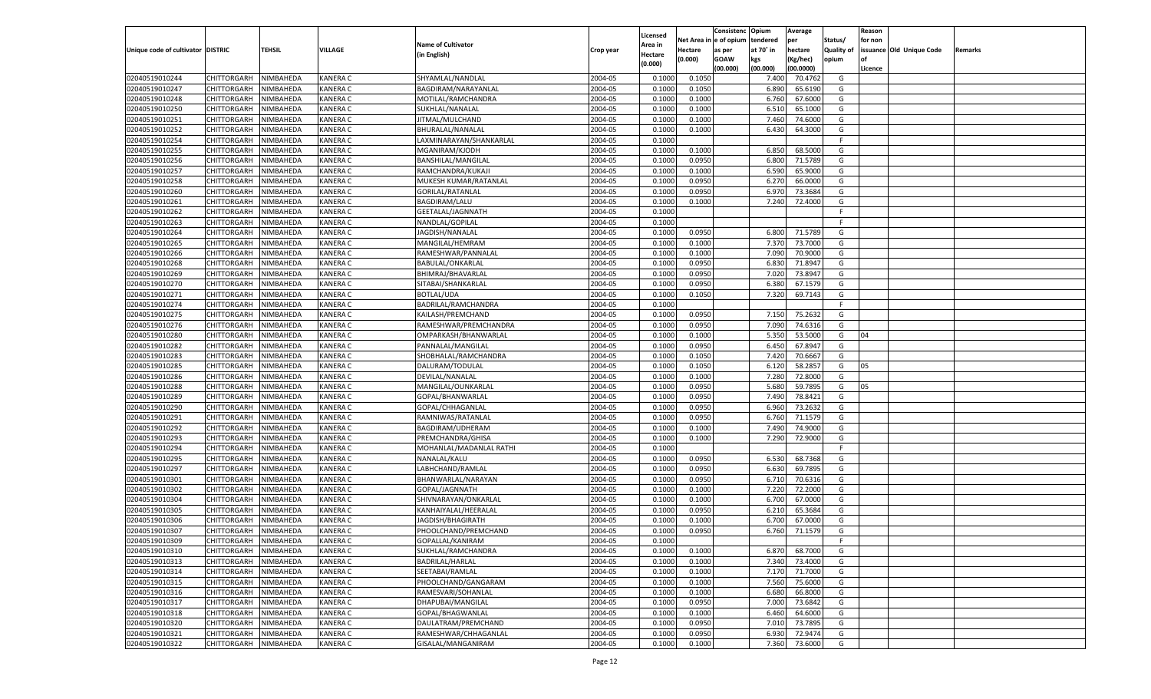|                                   |                                   |                        |                 |                           |                    |                    |                  | Consistenc    | Opium     | Average   |            | Reason  |                          |         |
|-----------------------------------|-----------------------------------|------------------------|-----------------|---------------------------|--------------------|--------------------|------------------|---------------|-----------|-----------|------------|---------|--------------------------|---------|
|                                   |                                   |                        |                 | <b>Name of Cultivator</b> |                    | Licensed           | Net Area iı      | n  e of opium | tendered  | per       | Status/    | for non |                          |         |
| Unique code of cultivator DISTRIC |                                   | TEHSIL                 | VILLAGE         | (in English)              | Crop year          | Area in<br>Hectare | Hectare          | as per        | at 70° in | hectare   | Quality of |         | issuance Old Unique Code | Remarks |
|                                   |                                   |                        |                 |                           |                    | (0.000)            | (0.000)          | <b>GOAW</b>   | kgs       | (Kg/hec)  | opium      |         |                          |         |
|                                   |                                   |                        |                 |                           |                    |                    |                  | (00.000)      | (00.000)  | (00.0000) |            | Licence |                          |         |
| 02040519010244                    | CHITTORGARH                       | NIMBAHEDA              | <b>KANERA C</b> | SHYAMLAL/NANDLAL          | 2004-05            | 0.1000             | 0.1050           |               | 7.400     | 70.4762   | G          |         |                          |         |
| 02040519010247                    | CHITTORGARH                       | NIMBAHEDA              | <b>KANERA C</b> | BAGDIRAM/NARAYANLAL       | 2004-05            | 0.1000             | 0.1050           |               | 6.890     | 65.6190   | G          |         |                          |         |
| 02040519010248                    | CHITTORGARH                       | NIMBAHEDA              | <b>KANERA C</b> | MOTILAL/RAMCHANDRA        | 2004-05            | 0.1000             | 0.1000           |               | 6.760     | 67.6000   | G          |         |                          |         |
| 02040519010250                    | CHITTORGARH                       | NIMBAHEDA              | <b>KANERA C</b> | SUKHLAL/NANALAL           | 2004-05            | 0.1000             | 0.1000           |               | 6.510     | 65.1000   | G          |         |                          |         |
| 02040519010251                    | CHITTORGARH                       | NIMBAHEDA              | <b>KANERA C</b> | JITMAL/MULCHAND           | 2004-05            | 0.1000             | 0.1000           |               | 7.460     | 74.6000   | G          |         |                          |         |
| 02040519010252                    | CHITTORGARH                       | NIMBAHEDA              | <b>KANERA C</b> | BHURALAL/NANALAL          | 2004-05            | 0.1000             | 0.1000           |               | 6.430     | 64.3000   | G          |         |                          |         |
| 02040519010254                    | CHITTORGARH                       | NIMBAHEDA              | <b>KANERA C</b> | LAXMINARAYAN/SHANKARLAL   | 2004-05            | 0.1000             |                  |               |           |           | F.         |         |                          |         |
| 02040519010255                    | CHITTORGARH                       | NIMBAHEDA              | <b>KANERA C</b> | MGANIRAM/KJODH            | 2004-05            | 0.1000             | 0.1000           |               | 6.850     | 68.5000   | G          |         |                          |         |
| 02040519010256                    | CHITTORGARH                       | NIMBAHEDA              | <b>KANERA C</b> | BANSHILAL/MANGILAL        | 2004-05            | 0.1000             | 0.0950           |               | 6.800     | 71.5789   | G          |         |                          |         |
| 02040519010257                    | CHITTORGARH                       | NIMBAHEDA              | <b>KANERA C</b> | RAMCHANDRA/KUKAJI         | 2004-05            | 0.1000             | 0.1000           |               | 6.590     | 65.9000   | G          |         |                          |         |
| 02040519010258                    | CHITTORGARH                       | NIMBAHEDA              | <b>KANERA C</b> | MUKESH KUMAR/RATANLAL     | 2004-05            | 0.1000             | 0.0950           |               | 6.27      | 66.0000   | G          |         |                          |         |
| 02040519010260                    | CHITTORGARH                       | NIMBAHEDA              | <b>KANERA C</b> | <b>GORILAL/RATANLAL</b>   | 2004-05            | 0.1000             | 0.0950           |               | 6.970     | 73.3684   | G          |         |                          |         |
| 02040519010261                    | CHITTORGARH                       | NIMBAHEDA              | <b>KANERA C</b> | <b>BAGDIRAM/LALU</b>      | 2004-05            | 0.1000             | 0.1000           |               | 7.240     | 72.4000   | G          |         |                          |         |
| 02040519010262                    | CHITTORGARH                       | NIMBAHEDA              | KANERA C        | GEETALAL/JAGNNATH         | 2004-05            | 0.1000             |                  |               |           |           | F.         |         |                          |         |
| 02040519010263                    | CHITTORGARH                       | NIMBAHEDA              | KANERA C        | NANDLAL/GOPILAL           | 2004-05            | 0.1000             |                  |               |           |           | F.         |         |                          |         |
| 02040519010264                    | CHITTORGARH                       | NIMBAHEDA              | KANERA C        | JAGDISH/NANALAL           | 2004-05            | 0.1000             | 0.0950           |               | 6.800     | 71.5789   | G          |         |                          |         |
| 02040519010265                    | CHITTORGARH                       | NIMBAHEDA              | KANERA C        | MANGILAL/HEMRAM           | 2004-05            | 0.1000             | 0.1000           |               | 7.370     | 73.7000   | G          |         |                          |         |
| 02040519010266                    | CHITTORGARH                       | NIMBAHEDA              | KANERA C        | RAMESHWAR/PANNALAL        | 2004-05            | 0.1000             | 0.1000           |               | 7.090     | 70.9000   | G          |         |                          |         |
| 02040519010268                    | CHITTORGARH                       | NIMBAHEDA              | KANERA C        | <b>BABULAL/ONKARLAL</b>   | 2004-05            | 0.1000             | 0.0950           |               | 6.830     | 71.8947   | G          |         |                          |         |
| 02040519010269                    | CHITTORGARH                       | NIMBAHEDA              | KANERA C        | BHIMRAJ/BHAVARLAI         | 2004-05            | 0.1000             | 0.0950           |               | 7.020     | 73.8947   | G          |         |                          |         |
| 02040519010270                    | CHITTORGARH                       | NIMBAHEDA              | KANERA C        | SITABAI/SHANKARLAL        | 2004-05            | 0.1000             | 0.0950           |               | 6.380     | 67.1579   | G          |         |                          |         |
| 02040519010271                    | CHITTORGARH                       | NIMBAHEDA              | KANERA C        | <b>BOTLAL/UDA</b>         | 2004-05            | 0.1000             | 0.1050           |               | 7.320     | 69.7143   | G          |         |                          |         |
| 02040519010274                    | CHITTORGARH                       | NIMBAHEDA              | KANERA C        | BADRILAL/RAMCHANDRA       | 2004-05            | 0.1000             |                  |               |           |           | F.         |         |                          |         |
| 02040519010275                    | CHITTORGARH                       | NIMBAHEDA              | KANERA C        | KAILASH/PREMCHAND         | 2004-05            | 0.1000             | 0.0950           |               | 7.150     | 75.2632   | G          |         |                          |         |
| 02040519010276                    | CHITTORGARH                       | NIMBAHEDA              | KANERA C        | RAMESHWAR/PREMCHANDRA     | 2004-05            | 0.1000             | 0.0950           |               | 7.090     | 74.6316   | G          |         |                          |         |
| 02040519010280                    | CHITTORGARH                       | NIMBAHEDA              | KANERA C        | OMPARKASH/BHANWARLAL      | 2004-05            | 0.1000             | 0.1000           |               | 5.350     | 53.5000   | G          | 04      |                          |         |
| 02040519010282                    | CHITTORGARH                       | NIMBAHEDA              | KANERA C        | PANNALAL/MANGILAL         | 2004-05            | 0.1000             | 0.0950           |               | 6.450     | 67.8947   | G          |         |                          |         |
| 02040519010283                    | CHITTORGARH                       | NIMBAHEDA              | KANERA C        | SHOBHALAL/RAMCHANDRA      | 2004-05            | 0.1000             | 0.1050           |               | 7.420     | 70.6667   | G          |         |                          |         |
| 02040519010285                    | CHITTORGARH                       | NIMBAHEDA              | KANERA C        | DALURAM/TODULAI           | 2004-05            | 0.1000             | 0.1050           |               | 6.120     | 58.2857   | G          | 05      |                          |         |
| 02040519010286                    | CHITTORGARH                       | NIMBAHEDA              | <b>KANERA C</b> | DEVILAL/NANALAL           | 2004-05            | 0.1000             | 0.1000           |               | 7.280     | 72.8000   | G          |         |                          |         |
| 02040519010288                    | CHITTORGARH                       | NIMBAHEDA              | <b>KANERA C</b> | MANGILAL/OUNKARLAL        | 2004-05            | 0.1000             | 0.0950           |               | 5.680     | 59.7895   | G          | 05      |                          |         |
| 02040519010289                    | CHITTORGARH                       | NIMBAHEDA              | <b>KANERA C</b> | GOPAL/BHANWARLAL          | 2004-05            | 0.1000             | 0.0950           |               | 7.490     | 78.8421   | G          |         |                          |         |
| 02040519010290                    | CHITTORGARH                       | NIMBAHEDA              | <b>KANERA C</b> | GOPAL/CHHAGANLAL          | 2004-05            | 0.1000             | 0.0950           |               | 6.960     | 73.2632   | G          |         |                          |         |
| 02040519010291                    | CHITTORGARH                       | NIMBAHEDA              | <b>KANERA C</b> | RAMNIWAS/RATANLAL         | 2004-05            | 0.1000             | 0.0950           |               | 6.760     | 71.1579   | G          |         |                          |         |
| 02040519010292                    | CHITTORGARH                       | NIMBAHEDA              | <b>KANERA C</b> | BAGDIRAM/UDHERAM          | 2004-05            | 0.1000             | 0.1000           |               | 7.490     | 74.9000   | G          |         |                          |         |
| 02040519010293                    | CHITTORGARH                       | NIMBAHEDA              | <b>KANERA C</b> | PREMCHANDRA/GHISA         | 2004-05            | 0.1000             | 0.1000           |               | 7.290     | 72.9000   | G          |         |                          |         |
| 02040519010294                    | CHITTORGARH                       | NIMBAHEDA              | <b>KANERA C</b> | MOHANLAL/MADANLAL RATHI   | 2004-05            | 0.1000             |                  |               |           |           | F.         |         |                          |         |
| 02040519010295                    | CHITTORGARH                       | NIMBAHEDA              | <b>KANERA C</b> | NANALAL/KALU              | 2004-05            | 0.1000             | 0.0950           |               | 6.530     | 68.7368   | G          |         |                          |         |
| 02040519010297                    | CHITTORGARH                       | NIMBAHEDA              | <b>KANERA C</b> | LABHCHAND/RAMLAL          | 2004-05            | 0.1000             | 0.0950           |               | 6.630     | 69.7895   | G          |         |                          |         |
| 02040519010301                    | CHITTORGARH                       | NIMBAHEDA              | <b>KANERA C</b> | BHANWARLAL/NARAYAN        | 2004-05            | 0.1000             | 0.0950           |               | 6.710     | 70.6316   | G          |         |                          |         |
| 02040519010302                    | CHITTORGARH                       | NIMBAHEDA              | <b>KANERA C</b> | GOPAL/JAGNNATH            | 2004-05            | 0.1000             | 0.1000           |               | 7.220     | 72.2000   | G          |         |                          |         |
| 02040519010304                    | CHITTORGARH                       | NIMBAHEDA              | <b>KANERA C</b> | SHIVNARAYAN/ONKARLAL      | 2004-05            | 0.1000             | 0.1000           |               | 6.700     | 67.0000   | G          |         |                          |         |
| 02040519010305                    | CHITTORGARH                       | NIMBAHEDA              | <b>KANERA C</b> | KANHAIYALAL/HEERALAL      | 2004-05            | 0.1000             | 0.0950           |               | 6.210     | 65.3684   | G          |         |                          |         |
| 02040519010306                    | CHITTORGARH                       | NIMBAHEDA              | KANERA C        | JAGDISH/BHAGIRATH         | 2004-05            | 0.1000             | 0.1000           |               | 6.700     | 67.0000   | G          |         |                          |         |
| 02040519010307                    | CHITTORGARH                       | NIMBAHEDA              | <b>KANERA C</b> | PHOOLCHAND/PREMCHAND      | 2004-05            | 0.1000             | 0.0950           |               | 6.760     | 71.1579   | G          |         |                          |         |
|                                   | CHITTORGARH NIMBAHEDA             |                        | <b>KANERA C</b> | GOPALLAL/KANIRAM          | 2004-05            | 0.1000             |                  |               |           |           |            |         |                          |         |
| 02040519010309<br>02040519010310  |                                   | NIMBAHEDA              | <b>KANERA C</b> | SUKHLAL/RAMCHANDRA        | 2004-05            | 0.1000             | 0.1000           |               | 6.870     | 68.7000   | G          |         |                          |         |
|                                   | <b>CHITTORGARH</b><br>CHITTORGARH |                        |                 |                           |                    |                    |                  |               | 7.340     | 73.4000   |            |         |                          |         |
| 02040519010313                    |                                   | NIMBAHEDA<br>NIMBAHEDA | <b>KANERA C</b> | BADRILAL/HARLAL           | 2004-05<br>2004-05 | 0.1000             | 0.1000<br>0.1000 |               |           |           | G          |         |                          |         |
| 02040519010314                    | CHITTORGARH                       |                        | <b>KANERA C</b> | SEETABAI/RAMLAL           |                    | 0.1000             |                  |               | 7.170     | 71.7000   | G          |         |                          |         |
| 02040519010315                    | <b>CHITTORGARH</b>                | NIMBAHEDA              | <b>KANERA C</b> | PHOOLCHAND/GANGARAM       | 2004-05            | 0.1000             | 0.1000           |               | 7.560     | 75.6000   | G          |         |                          |         |
| 02040519010316                    | CHITTORGARH                       | NIMBAHEDA              | <b>KANERA C</b> | RAMESVARI/SOHANLAL        | 2004-05            | 0.1000             | 0.1000           |               | 6.680     | 66.8000   | G          |         |                          |         |
| 02040519010317                    | <b>CHITTORGARH</b>                | NIMBAHEDA              | <b>KANERA C</b> | DHAPUBAI/MANGILAL         | 2004-05            | 0.1000             | 0.0950           |               | 7.000     | 73.6842   | G          |         |                          |         |
| 02040519010318                    | CHITTORGARH                       | NIMBAHEDA              | <b>KANERA C</b> | GOPAL/BHAGWANLAL          | 2004-05            | 0.1000             | 0.1000           |               | 6.460     | 64.6000   | G          |         |                          |         |
| 02040519010320                    | <b>CHITTORGARH</b>                | NIMBAHEDA              | <b>KANERA C</b> | DAULATRAM/PREMCHAND       | 2004-05            | 0.1000             | 0.0950           |               | 7.010     | 73.7895   | G          |         |                          |         |
| 02040519010321                    | <b>CHITTORGARH</b>                | NIMBAHEDA              | <b>KANERA C</b> | RAMESHWAR/CHHAGANLAL      | 2004-05            | 0.1000             | 0.0950           |               | 6.930     | 72.9474   | G          |         |                          |         |
| 02040519010322                    | <b>CHITTORGARH</b>                | NIMBAHEDA              | <b>KANERA C</b> | GISALAL/MANGANIRAM        | 2004-05            | 0.1000             | 0.1000           |               | 7.360     | 73.6000   | G          |         |                          |         |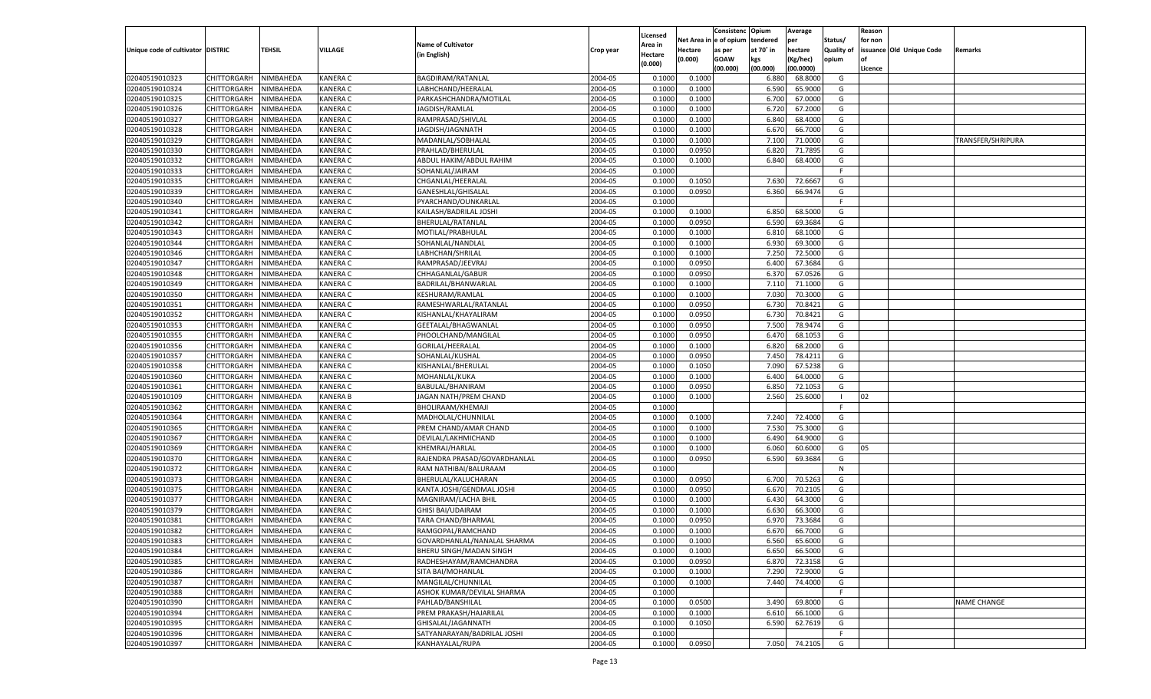|                                   |                    |           |                 |                              |           |          |            | Consistenc Opium |           | Average       |                   | Reason    |                          |                    |
|-----------------------------------|--------------------|-----------|-----------------|------------------------------|-----------|----------|------------|------------------|-----------|---------------|-------------------|-----------|--------------------------|--------------------|
|                                   |                    |           |                 |                              |           | Licensed | Net Area i | l e of opium     | tendered  | per           | Status/           | for non   |                          |                    |
| Unique code of cultivator DISTRIC |                    | TEHSIL    | VILLAGE         | <b>Name of Cultivator</b>    | Crop year | Area in  | Hectare    | as per           | at 70° in | hectare       | <b>Quality of</b> |           | issuance Old Unique Code | Remarks            |
|                                   |                    |           |                 | (in English)                 |           | Hectare  | (0.000)    | <b>GOAW</b>      | kgs       | (Kg/hec)      | opium             | <b>of</b> |                          |                    |
|                                   |                    |           |                 |                              |           | (0.000)  |            | (00.000)         | (00.000)  | (00.0000)     |                   | Licence   |                          |                    |
| 02040519010323                    | CHITTORGARH        | NIMBAHEDA | <b>KANERA C</b> | BAGDIRAM/RATANLAL            | 2004-05   | 0.1000   | 0.1000     |                  | 6.880     | 68.8000       | G                 |           |                          |                    |
| 02040519010324                    | CHITTORGARH        | NIMBAHEDA | <b>KANERA C</b> | LABHCHAND/HEERALAL           | 2004-05   | 0.1000   | 0.1000     |                  | 6.590     | 65.9000       | G                 |           |                          |                    |
| 02040519010325                    | CHITTORGARH        | NIMBAHEDA | <b>KANERA C</b> | PARKASHCHANDRA/MOTILAL       | 2004-05   | 0.1000   | 0.1000     |                  | 6.700     | 67.0000       | G                 |           |                          |                    |
| 02040519010326                    | CHITTORGARH        | NIMBAHEDA | <b>KANERA C</b> | JAGDISH/RAMLAL               | 2004-05   | 0.1000   | 0.1000     |                  | 6.720     | 67.2000       | G                 |           |                          |                    |
| 02040519010327                    | CHITTORGARH        | NIMBAHEDA | <b>KANERA C</b> | RAMPRASAD/SHIVLAL            | 2004-05   | 0.1000   | 0.1000     |                  | 6.840     | 68.4000       | G                 |           |                          |                    |
| 02040519010328                    | CHITTORGARH        | NIMBAHEDA | <b>KANERA C</b> | JAGDISH/JAGNNATH             | 2004-05   | 0.1000   | 0.1000     |                  | 6.670     | 66.7000       | G                 |           |                          |                    |
| 02040519010329                    | CHITTORGARH        | NIMBAHEDA | <b>KANERA C</b> | MADANLAL/SOBHALAI            | 2004-05   | 0.1000   | 0.1000     |                  | 7.100     | 71.0000       | G                 |           |                          | TRANSFER/SHRIPURA  |
| 02040519010330                    | CHITTORGARH        | NIMBAHEDA | <b>KANERA C</b> | PRAHLAD/BHERULAL             | 2004-05   | 0.1000   | 0.0950     |                  | 6.820     | 71.7895       | G                 |           |                          |                    |
| 02040519010332                    |                    | NIMBAHEDA | <b>KANERA C</b> |                              | 2004-05   | 0.1000   | 0.1000     |                  | 6.840     | 68.4000       | G                 |           |                          |                    |
| 02040519010333                    | CHITTORGARH        |           |                 | ABDUL HAKIM/ABDUL RAHIM      |           |          |            |                  |           |               | F                 |           |                          |                    |
|                                   | CHITTORGARH        | NIMBAHEDA | <b>KANERA C</b> | SOHANLAL/JAIRAM              | 2004-05   | 0.1000   |            |                  |           |               |                   |           |                          |                    |
| 02040519010335                    | CHITTORGARH        | NIMBAHEDA | <b>KANERA C</b> | CHGANLAL/HEERALAI            | 2004-05   | 0.1000   | 0.1050     |                  | 7.630     | 72.6667       | G                 |           |                          |                    |
| 02040519010339                    | CHITTORGARH        | NIMBAHEDA | <b>KANERA C</b> | GANESHLAL/GHISALAL           | 2004-05   | 0.1000   | 0.0950     |                  | 6.360     | 66.9474       | G                 |           |                          |                    |
| 02040519010340                    | CHITTORGARH        | NIMBAHEDA | <b>KANERA C</b> | PYARCHAND/OUNKARLAL          | 2004-05   | 0.1000   |            |                  |           |               | F.                |           |                          |                    |
| 02040519010341                    | CHITTORGARH        | NIMBAHEDA | <b>KANERA C</b> | KAILASH/BADRILAL JOSHI       | 2004-05   | 0.1000   | 0.1000     |                  | 6.850     | 68.5000       | G                 |           |                          |                    |
| 02040519010342                    | CHITTORGARH        | NIMBAHEDA | <b>KANERA C</b> | BHERULAL/RATANLAL            | 2004-05   | 0.1000   | 0.0950     |                  | 6.590     | 69.3684       | G                 |           |                          |                    |
| 02040519010343                    | CHITTORGARH        | NIMBAHEDA | <b>KANERA C</b> | MOTILAL/PRABHULAL            | 2004-05   | 0.1000   | 0.1000     |                  | 6.810     | 68.1000       | G                 |           |                          |                    |
| 02040519010344                    | CHITTORGARH        | NIMBAHEDA | <b>KANERA C</b> | SOHANLAL/NANDLAL             | 2004-05   | 0.1000   | 0.1000     |                  | 6.930     | 69.3000       | G                 |           |                          |                    |
| 02040519010346                    | CHITTORGARH        | NIMBAHEDA | <b>KANERA C</b> | LABHCHAN/SHRILAL             | 2004-05   | 0.1000   | 0.1000     |                  | 7.250     | 72.5000       | G                 |           |                          |                    |
| 02040519010347                    | CHITTORGARH        | NIMBAHEDA | <b>KANERA C</b> | RAMPRASAD/JEEVRAJ            | 2004-05   | 0.1000   | 0.0950     |                  | 6.400     | 67.3684       | G                 |           |                          |                    |
| 02040519010348                    | CHITTORGARH        | NIMBAHEDA | <b>KANERA C</b> | CHHAGANLAL/GABUR             | 2004-05   | 0.1000   | 0.0950     |                  | 6.370     | 67.0526       | G                 |           |                          |                    |
| 02040519010349                    | CHITTORGARH        | NIMBAHEDA | <b>KANERA C</b> | BADRILAL/BHANWARLAL          | 2004-05   | 0.1000   | 0.1000     |                  | 7.110     | 71.1000       | G                 |           |                          |                    |
| 02040519010350                    | CHITTORGARH        | NIMBAHEDA | <b>KANERA C</b> | <b>KESHURAM/RAMLAL</b>       | 2004-05   | 0.1000   | 0.1000     |                  | 7.030     | 70.3000       | G                 |           |                          |                    |
| 02040519010351                    | CHITTORGARH        | NIMBAHEDA | <b>KANERA C</b> | RAMESHWARLAL/RATANLAL        | 2004-05   | 0.1000   | 0.0950     |                  | 6.730     | 70.8421       | G                 |           |                          |                    |
| 02040519010352                    | CHITTORGARH        | NIMBAHEDA | <b>KANERA C</b> | KISHANLAL/KHAYALIRAM         | 2004-05   | 0.1000   | 0.0950     |                  | 6.730     | 70.8421       | G                 |           |                          |                    |
| 02040519010353                    | CHITTORGARH        | NIMBAHEDA | <b>KANERA C</b> | GEETALAL/BHAGWANLAI          | 2004-05   | 0.1000   | 0.0950     |                  | 7.500     | 78.9474       | G                 |           |                          |                    |
| 02040519010355                    | CHITTORGARH        | NIMBAHEDA | <b>KANERA C</b> | PHOOLCHAND/MANGILAL          | 2004-05   | 0.1000   | 0.0950     |                  | 6.47      | 68.1053       | G                 |           |                          |                    |
| 02040519010356                    | CHITTORGARH        | NIMBAHEDA | <b>KANERA C</b> | GORILAL/HEERALAL             | 2004-05   | 0.1000   | 0.1000     |                  | 6.820     | 68.2000       | G                 |           |                          |                    |
| 02040519010357                    | CHITTORGARH        | NIMBAHEDA | <b>KANERA C</b> | SOHANLAL/KUSHAL              | 2004-05   | 0.1000   | 0.0950     |                  | 7.450     | 78.4211       | G                 |           |                          |                    |
| 02040519010358                    | CHITTORGARH        | NIMBAHEDA | <b>KANERA C</b> | KISHANLAL/BHERULAL           | 2004-05   | 0.1000   | 0.1050     |                  | 7.090     | 67.5238       | G                 |           |                          |                    |
| 02040519010360                    | CHITTORGARH        | NIMBAHEDA | <b>KANERA C</b> | MOHANLAL/KUKA                | 2004-05   | 0.1000   | 0.1000     |                  | 6.400     | 64.0000       | G                 |           |                          |                    |
|                                   |                    |           |                 |                              |           |          |            |                  |           |               |                   |           |                          |                    |
| 02040519010361                    | CHITTORGARH        | NIMBAHEDA | <b>KANERA C</b> | BABULAL/BHANIRAM             | 2004-05   | 0.1000   | 0.0950     |                  | 6.850     | 72.1053       | G                 |           |                          |                    |
| 02040519010109                    | CHITTORGARH        | NIMBAHEDA | <b>KANERA B</b> | JAGAN NATH/PREM CHAND        | 2004-05   | 0.1000   | 0.1000     |                  | 2.560     | 25.6000       | - 1               | 02        |                          |                    |
| 02040519010362                    | CHITTORGARH        | NIMBAHEDA | <b>KANERA C</b> | BHOLIRAAM/KHEMAJI            | 2004-05   | 0.1000   |            |                  |           |               | E                 |           |                          |                    |
| 02040519010364                    | CHITTORGARH        | NIMBAHEDA | <b>KANERA C</b> | MADHOLAL/CHUNNILAL           | 2004-05   | 0.1000   | 0.1000     |                  | 7.240     | 72.4000       | G                 |           |                          |                    |
| 02040519010365                    | CHITTORGARH        | NIMBAHEDA | <b>KANERA C</b> | PREM CHAND/AMAR CHAND        | 2004-05   | 0.1000   | 0.1000     |                  | 7.530     | 75.3000       | G                 |           |                          |                    |
| 02040519010367                    | CHITTORGARH        | NIMBAHEDA | <b>KANERA C</b> | DEVILAL/LAKHMICHAND          | 2004-05   | 0.1000   | 0.1000     |                  | 6.490     | 64.9000       | G                 |           |                          |                    |
| 02040519010369                    | CHITTORGARH        | NIMBAHEDA | <b>KANERA C</b> | KHEMRAJ/HARLAL               | 2004-05   | 0.1000   | 0.1000     |                  | 6.060     | 60.6000       | G                 | 05        |                          |                    |
| 02040519010370                    | CHITTORGARH        | NIMBAHEDA | <b>KANERA C</b> | RAJENDRA PRASAD/GOVARDHANLAL | 2004-05   | 0.1000   | 0.0950     |                  | 6.590     | 69.3684       | G                 |           |                          |                    |
| 02040519010372                    | CHITTORGARH        | NIMBAHEDA | <b>KANERA C</b> | RAM NATHIBAI/BALURAAM        | 2004-05   | 0.1000   |            |                  |           |               | N                 |           |                          |                    |
| 02040519010373                    | CHITTORGARH        | NIMBAHEDA | <b>KANERA C</b> | BHERULAL/KALUCHARAN          | 2004-05   | 0.1000   | 0.0950     |                  | 6.700     | 70.5263       | G                 |           |                          |                    |
| 02040519010375                    | CHITTORGARH        | NIMBAHEDA | <b>KANERA C</b> | KANTA JOSHI/GENDMAL JOSHI    | 2004-05   | 0.1000   | 0.0950     |                  | 6.670     | 70.2105       | G                 |           |                          |                    |
| 02040519010377                    | CHITTORGARH        | NIMBAHEDA | <b>KANERA C</b> | MAGNIRAM/LACHA BHII          | 2004-05   | 0.1000   | 0.1000     |                  | 6.43(     | 64.3000       | G                 |           |                          |                    |
| 02040519010379                    | CHITTORGARH        | NIMBAHEDA | <b>KANERA C</b> | <b>GHISI BAI/UDAIRAM</b>     | 2004-05   | 0.1000   | 0.1000     |                  | 6.630     | 66.3000       | G                 |           |                          |                    |
| 02040519010381                    | CHITTORGARH        | NIMBAHEDA | <b>KANERA C</b> | TARA CHAND/BHARMAL           | 2004-05   | 0.1000   | 0.0950     |                  | 6.97      | 73.3684       | G                 |           |                          |                    |
| 02040519010382                    | CHITTORGARH        | NIMBAHEDA | <b>KANERA C</b> | RAMGOPAL/RAMCHAND            | 2004-05   | 0.1000   | 0.1000     |                  | 6.670     | 66.7000       | G                 |           |                          |                    |
| 02040519010383                    | <b>CHITTORGARH</b> | NIMBAHEDA | <b>KANERA C</b> | GOVARDHANLAL/NANALAL SHARMA  | 2004-05   | 0.1000   | 0.1000     |                  | 6.560     | 65.6000       | G                 |           |                          |                    |
| 02040519010384                    | CHITTORGARH        | NIMBAHEDA | <b>KANERA C</b> | BHERU SINGH/MADAN SINGH      | 2004-05   | 0.1000   | 0.1000     |                  | 6.650     | 66.5000       | G                 |           |                          |                    |
| 02040519010385                    | CHITTORGARH        | NIMBAHEDA | <b>KANERA C</b> | RADHESHAYAM/RAMCHANDRA       | 2004-05   | 0.1000   | 0.0950     |                  | 6.870     | 72.3158       | G                 |           |                          |                    |
| 02040519010386                    | CHITTORGARH        | NIMBAHEDA | <b>KANERA C</b> | SITA BAI/MOHANLAL            | 2004-05   | 0.1000   | 0.1000     |                  | 7.290     | 72.9000       | G                 |           |                          |                    |
| 02040519010387                    | CHITTORGARH        | NIMBAHEDA | <b>KANERA C</b> | MANGILAL/CHUNNILAL           | 2004-05   | 0.1000   | 0.1000     |                  | 7.440     | 74.4000       | G                 |           |                          |                    |
| 02040519010388                    |                    |           |                 |                              | 2004-05   |          |            |                  |           |               | F.                |           |                          |                    |
|                                   | CHITTORGARH        | NIMBAHEDA | <b>KANERA C</b> | ASHOK KUMAR/DEVILAL SHARMA   |           | 0.1000   |            |                  |           |               |                   |           |                          |                    |
| 02040519010390                    | CHITTORGARH        | NIMBAHEDA | <b>KANERA C</b> | PAHLAD/BANSHILAL             | 2004-05   | 0.1000   | 0.0500     |                  | 3.490     | 69.8000       | G                 |           |                          | <b>NAME CHANGE</b> |
| 02040519010394                    | CHITTORGARH        | NIMBAHEDA | <b>KANERA C</b> | PREM PRAKASH/HAJARILAL       | 2004-05   | 0.1000   | 0.1000     |                  | 6.610     | 66.1000       | G                 |           |                          |                    |
| 02040519010395                    | CHITTORGARH        | NIMBAHEDA | <b>KANERA C</b> | GHISALAL/JAGANNATH           | 2004-05   | 0.1000   | 0.1050     |                  | 6.590     | 62.7619       | G                 |           |                          |                    |
| 02040519010396                    | CHITTORGARH        | NIMBAHEDA | <b>KANERA C</b> | SATYANARAYAN/BADRILAL JOSHI  | 2004-05   | 0.1000   |            |                  |           |               | F.                |           |                          |                    |
| 02040519010397                    | CHITTORGARH        | NIMBAHEDA | <b>KANERA C</b> | KANHAYALAL/RUPA              | 2004-05   | 0.1000   | 0.0950     |                  |           | 7.050 74.2105 | G                 |           |                          |                    |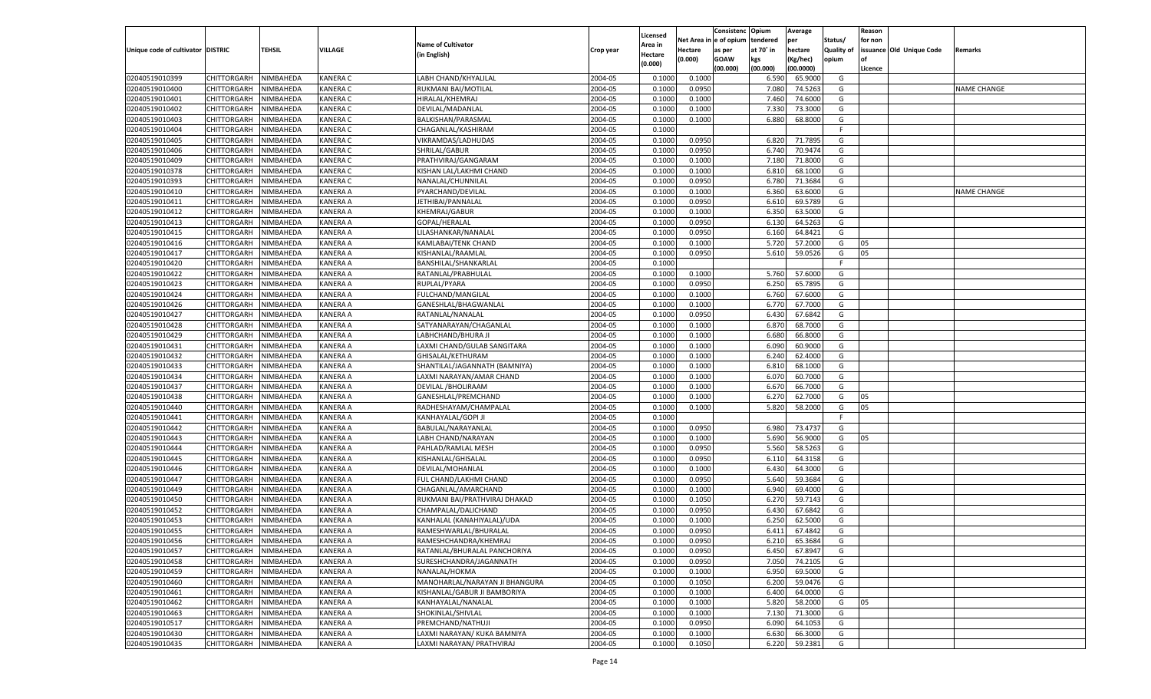|                                   |                       |                        |                 |                                |                    |                     |                  | Consistenc   | Opium     | Average   |                   | Reason  |                          |             |
|-----------------------------------|-----------------------|------------------------|-----------------|--------------------------------|--------------------|---------------------|------------------|--------------|-----------|-----------|-------------------|---------|--------------------------|-------------|
|                                   |                       |                        |                 | <b>Name of Cultivator</b>      |                    | Licensed<br>Area in | Net Area iı      | n e of opium | tendered  | per       | Status/           | for non |                          |             |
| Unique code of cultivator DISTRIC |                       | TEHSIL                 | VILLAGE         | (in English)                   | Crop year          | Hectare             | Hectare          | as per       | at 70° in | hectare   | <b>Quality of</b> |         | issuance Old Unique Code | Remarks     |
|                                   |                       |                        |                 |                                |                    | (0.000)             | (0.000)          | <b>GOAW</b>  | kgs       | (Kg/hec)  | opium             |         |                          |             |
|                                   |                       |                        |                 |                                |                    |                     |                  | (00.000)     | (00.000)  | (00.0000) |                   | Licence |                          |             |
| 02040519010399                    | CHITTORGARH           | NIMBAHEDA              | <b>KANERA C</b> | LABH CHAND/KHYALILAI           | 2004-05            | 0.1000              | 0.1000           |              | 6.590     | 65.9000   | G                 |         |                          |             |
| 02040519010400                    | CHITTORGARH           | NIMBAHEDA              | <b>KANERA C</b> | RUKMANI BAI/MOTILAL            | 2004-05            | 0.100               | 0.0950           |              | 7.080     | 74.5263   | G                 |         |                          | NAME CHANGE |
| 02040519010401                    | CHITTORGARH           | NIMBAHEDA              | <b>KANERA C</b> | HIRALAL/KHEMRAJ                | 2004-05            | 0.1000              | 0.1000           |              | 7.460     | 74.6000   | G                 |         |                          |             |
| 02040519010402                    | CHITTORGARH           | NIMBAHEDA              | <b>KANERA C</b> | DEVILAL/MADANLAL               | 2004-05            | 0.1000              | 0.1000           |              | 7.330     | 73.3000   | G                 |         |                          |             |
| 02040519010403                    | CHITTORGARH           | NIMBAHEDA              | <b>KANERA C</b> | BALKISHAN/PARASMAL             | 2004-05            | 0.1000              | 0.1000           |              | 6.880     | 68.8000   | G                 |         |                          |             |
| 02040519010404                    | CHITTORGARH           | NIMBAHEDA              | <b>KANERA C</b> | CHAGANLAL/KASHIRAM             | 2004-05            | 0.1000              |                  |              |           |           | F.                |         |                          |             |
| 02040519010405                    | CHITTORGARH           | NIMBAHEDA              | <b>KANERA C</b> | VIKRAMDAS/LADHUDAS             | 2004-05            | 0.1000              | 0.0950           |              | 6.820     | 71.7895   | G                 |         |                          |             |
| 02040519010406                    | CHITTORGARH           | NIMBAHEDA              | <b>KANERA C</b> | SHRILAL/GABUR                  | 2004-05            | 0.1000              | 0.0950           |              | 6.740     | 70.9474   | G                 |         |                          |             |
| 02040519010409                    | CHITTORGARH           | NIMBAHEDA              | <b>KANERA C</b> | PRATHVIRAJ/GANGARAM            | 2004-05            | 0.1000              | 0.1000           |              | 7.180     | 71.8000   | G                 |         |                          |             |
| 02040519010378                    | CHITTORGARH           | NIMBAHEDA              | <b>KANERA C</b> | KISHAN LAL/LAKHMI CHAND        | 2004-05            | 0.1000              | 0.1000           |              | 6.810     | 68.1000   | G                 |         |                          |             |
| 02040519010393                    | CHITTORGARH           | NIMBAHEDA              | <b>KANERA C</b> | NANALAL/CHUNNILAL              | 2004-05            | 0.1000              | 0.0950           |              | 6.780     | 71.3684   | G                 |         |                          |             |
| 02040519010410                    | CHITTORGARH           | NIMBAHEDA              | <b>KANERA A</b> | PYARCHAND/DEVILAL              | 2004-05            | 0.1000              | 0.1000           |              | 6.360     | 63.6000   | G                 |         |                          | NAME CHANGE |
| 02040519010411                    | CHITTORGARH           | NIMBAHEDA              | <b>KANERA A</b> | JETHIBAI/PANNALAL              | 2004-05            | 0.1000              | 0.0950           |              | 6.610     | 69.5789   | G                 |         |                          |             |
| 02040519010412                    | CHITTORGARH           | NIMBAHEDA              | KANERA A        | <b>KHEMRAJ/GABUR</b>           | 2004-05            | 0.1000              | 0.1000           |              | 6.350     | 63.5000   | G                 |         |                          |             |
| 02040519010413                    | CHITTORGARH           | NIMBAHEDA              | KANERA A        | GOPAL/HERALAL                  | 2004-05            | 0.1000              | 0.0950           |              | 6.130     | 64.5263   | G                 |         |                          |             |
| 02040519010415                    | CHITTORGARH           | NIMBAHEDA              | KANERA A        | LILASHANKAR/NANALAL            | 2004-05            | 0.1000              | 0.0950           |              | 6.160     | 64.8421   | G                 |         |                          |             |
| 02040519010416                    | CHITTORGARH           | NIMBAHEDA              | KANERA A        | KAMLABAI/TENK CHAND            | 2004-05            | 0.1000              | 0.1000           |              | 5.720     | 57.2000   | G                 | 05      |                          |             |
| 02040519010417                    | CHITTORGARH           | NIMBAHEDA              | KANERA A        | KISHANLAL/RAAMLAL              | 2004-05            | 0.1000              | 0.0950           |              | 5.610     | 59.0526   | G                 | 05      |                          |             |
| 02040519010420                    | CHITTORGARH           | NIMBAHEDA              | KANERA A        | BANSHILAL/SHANKARLAL           | 2004-05            | 0.1000              |                  |              |           |           | F.                |         |                          |             |
| 02040519010422                    | CHITTORGARH           | NIMBAHEDA              | KANERA A        | RATANLAL/PRABHULAL             | 2004-05            | 0.1000              | 0.1000           |              | 5.760     | 57.6000   | G                 |         |                          |             |
| 02040519010423                    | CHITTORGARH           | NIMBAHEDA              | KANERA A        | RUPLAL/PYARA                   | 2004-05            | 0.1000              | 0.0950           |              | 6.250     | 65.7895   | G                 |         |                          |             |
| 02040519010424                    | CHITTORGARH           | NIMBAHEDA              | KANERA A        | FULCHAND/MANGILAL              | 2004-05            | 0.1000              | 0.1000           |              | 6.760     | 67.6000   | G                 |         |                          |             |
| 02040519010426                    | CHITTORGARH           | NIMBAHEDA              | KANERA A        | GANESHLAL/BHAGWANLAL           | 2004-05            | 0.1000              | 0.1000           |              | 6.770     | 67.7000   | G                 |         |                          |             |
| 02040519010427                    | CHITTORGARH           | NIMBAHEDA              | KANERA A        | RATANLAL/NANALAL               | 2004-05            | 0.1000              | 0.0950           |              | 6.430     | 67.6842   | G                 |         |                          |             |
| 02040519010428                    | CHITTORGARH           | NIMBAHEDA              | KANERA A        | SATYANARAYAN/CHAGANLAL         | 2004-05            | 0.1000              | 0.1000           |              | 6.870     | 68.7000   | G                 |         |                          |             |
| 02040519010429                    | CHITTORGARH           | NIMBAHEDA              | KANERA A        | LABHCHAND/BHURA JI             | 2004-05            | 0.1000              | 0.1000           |              | 6.680     | 66.8000   | G                 |         |                          |             |
| 02040519010431                    | CHITTORGARH           | NIMBAHEDA              | KANERA A        | LAXMI CHAND/GULAB SANGITARA    | 2004-05            | 0.1000              | 0.1000           |              | 6.090     | 60.9000   | G                 |         |                          |             |
| 02040519010432                    | CHITTORGARH           | NIMBAHEDA              | KANERA A        | GHISALAL/KETHURAM              | 2004-05            | 0.1000              | 0.1000           |              | 6.240     | 62.4000   | G                 |         |                          |             |
| 02040519010433                    | CHITTORGARH           | NIMBAHEDA              | KANERA A        | SHANTILAL/JAGANNATH (BAMNIYA)  | 2004-05            | 0.1000              | 0.1000           |              | 6.810     | 68.1000   | G                 |         |                          |             |
| 02040519010434                    | CHITTORGARH           | NIMBAHEDA              | <b>KANERA A</b> | LAXMI NARAYAN/AMAR CHAND       | 2004-05            | 0.1000              | 0.1000           |              | 6.070     | 60.7000   | G                 |         |                          |             |
| 02040519010437                    | CHITTORGARH           | NIMBAHEDA              | <b>KANERA A</b> | DEVILAL / BHOLIRAAM            | 2004-05            | 0.1000              | 0.1000           |              | 6.670     | 66.7000   | G                 |         |                          |             |
| 02040519010438                    | CHITTORGARH           | NIMBAHEDA              | <b>KANERA A</b> | GANESHLAL/PREMCHAND            | 2004-05            | 0.1000              | 0.1000           |              | 6.270     | 62.7000   | G                 | 05      |                          |             |
| 02040519010440                    | CHITTORGARH           | NIMBAHEDA              | <b>KANERA A</b> | RADHESHAYAM/CHAMPALAL          | 2004-05            | 0.1000              | 0.1000           |              | 5.820     | 58.2000   | G                 | 05      |                          |             |
| 02040519010441                    | CHITTORGARH           | NIMBAHEDA              | <b>KANERA A</b> | KANHAYALAL/GOPI JI             | 2004-05            | 0.1000              |                  |              |           |           | F                 |         |                          |             |
| 02040519010442                    | CHITTORGARH           | NIMBAHEDA              | <b>KANERA A</b> | BABULAL/NARAYANLAL             | 2004-05            | 0.1000              | 0.0950           |              | 6.980     | 73.4737   | G                 |         |                          |             |
| 02040519010443                    | CHITTORGARH           | NIMBAHEDA              | <b>KANERA A</b> | LABH CHAND/NARAYAN             | 2004-05            | 0.1000              | 0.1000           |              | 5.690     | 56.9000   | G                 | 05      |                          |             |
| 02040519010444                    | CHITTORGARH           | NIMBAHEDA              | <b>KANERA A</b> | PAHLAD/RAMLAL MESH             | 2004-05            | 0.1000              | 0.0950           |              | 5.560     | 58.5263   | G                 |         |                          |             |
| 02040519010445                    | CHITTORGARH           | NIMBAHEDA              | <b>KANERA A</b> | KISHANLAL/GHISALAL             | 2004-05            | 0.1000              | 0.0950           |              | 6.110     | 64.3158   | G                 |         |                          |             |
| 02040519010446                    | CHITTORGARH           | NIMBAHEDA              | <b>KANERA A</b> | DEVILAL/MOHANLAL               | 2004-05            | 0.1000              | 0.1000           |              | 6.430     | 64.3000   | G                 |         |                          |             |
| 02040519010447                    |                       |                        | <b>KANERA A</b> |                                | 2004-05            | 0.1000              |                  |              | 5.640     | 59.3684   | G                 |         |                          |             |
| 02040519010449                    | CHITTORGARH           | NIMBAHEDA<br>NIMBAHEDA | <b>KANERA A</b> | FUL CHAND/LAKHMI CHAND         | 2004-05            | 0.1000              | 0.0950<br>0.1000 |              | 6.940     | 69.4000   | G                 |         |                          |             |
| 02040519010450                    | CHITTORGARH           |                        | <b>KANERA A</b> | CHAGANLAL/AMARCHAND            | 2004-05            | 0.1000              |                  |              | 6.270     | 59.7143   | G                 |         |                          |             |
|                                   | CHITTORGARH           | NIMBAHEDA<br>NIMBAHEDA |                 | RUKMANI BAI/PRATHVIRAJ DHAKAD  |                    |                     | 0.1050           |              |           | 67.6842   |                   |         |                          |             |
| 02040519010452                    | CHITTORGARH           |                        | <b>KANERA A</b> | CHAMPALAL/DALICHAND            | 2004-05            | 0.1000              | 0.0950           |              | 6.430     | 62.5000   | G                 |         |                          |             |
| 02040519010453                    | CHITTORGARH           | NIMBAHEDA              | KANERA A        | KANHALAL (KANAHIYALAL)/UDA     | 2004-05<br>2004-05 | 0.1000              | 0.1000<br>0.0950 |              | 6.250     | 67.4842   | G                 |         |                          |             |
| 02040519010455                    | CHITTORGARH           | NIMBAHEDA              | <b>KANERA A</b> | RAMESHWARLAL/BHURALAI          |                    | 0.1000              |                  |              | 6.411     |           | G                 |         |                          |             |
| 02040519010456                    | CHITTORGARH NIMBAHEDA |                        | <b>KANERA A</b> | RAMESHCHANDRA/KHEMRAJ          | 2004-05            | 0.1000              | 0.0950           |              | 6.210     | 65.3684   | G                 |         |                          |             |
| 02040519010457                    | <b>CHITTORGARH</b>    | NIMBAHEDA              | <b>KANERA A</b> | RATANLAL/BHURALAL PANCHORIYA   | 2004-05            | 0.1000              | 0.0950           |              | 6.450     | 67.8947   | G                 |         |                          |             |
| 02040519010458                    | CHITTORGARH           | NIMBAHEDA              | <b>KANERA A</b> | SURESHCHANDRA/JAGANNATH        | 2004-05            | 0.1000              | 0.0950           |              | 7.050     | 74.2105   | G                 |         |                          |             |
| 02040519010459                    | CHITTORGARH           | NIMBAHEDA              | <b>KANERA A</b> | NANALAL/HOKMA                  | 2004-05            | 0.1000              | 0.1000           |              | 6.950     | 69.5000   | G                 |         |                          |             |
| 02040519010460                    | <b>CHITTORGARH</b>    | NIMBAHEDA              | <b>KANERA A</b> | MANOHARLAL/NARAYAN JI BHANGURA | 2004-05            | 0.1000              | 0.1050           |              | 6.200     | 59.0476   | G                 |         |                          |             |
| 02040519010461                    | CHITTORGARH           | NIMBAHEDA              | <b>KANERA A</b> | KISHANLAL/GABUR JI BAMBORIYA   | 2004-05            | 0.1000              | 0.1000           |              | 6.400     | 64.0000   | G                 |         |                          |             |
| 02040519010462                    | <b>CHITTORGARH</b>    | NIMBAHEDA              | <b>KANERA A</b> | KANHAYALAL/NANALAL             | 2004-05            | 0.1000              | 0.1000           |              | 5.820     | 58.2000   | G                 | 05      |                          |             |
| 02040519010463                    | CHITTORGARH           | NIMBAHEDA              | <b>KANERA A</b> | SHOKINLAL/SHIVLAL              | 2004-05            | 0.1000              | 0.1000           |              | 7.130     | 71.3000   | G                 |         |                          |             |
| 02040519010517                    | <b>CHITTORGARH</b>    | NIMBAHEDA              | <b>KANERA A</b> | PREMCHAND/NATHUJI              | 2004-05            | 0.1000              | 0.0950           |              | 6.090     | 64.1053   | G                 |         |                          |             |
| 02040519010430                    | <b>CHITTORGARH</b>    | NIMBAHEDA              | <b>KANERA A</b> | LAXMI NARAYAN/ KUKA BAMNIYA    | 2004-05            | 0.1000              | 0.1000           |              | 6.630     | 66.3000   | G                 |         |                          |             |
| 02040519010435                    | <b>CHITTORGARH</b>    | NIMBAHEDA              | <b>KANERA A</b> | LAXMI NARAYAN/ PRATHVIRAJ      | 2004-05            | 0.1000              | 0.1050           |              | 6.220     | 59.2381   | G                 |         |                          |             |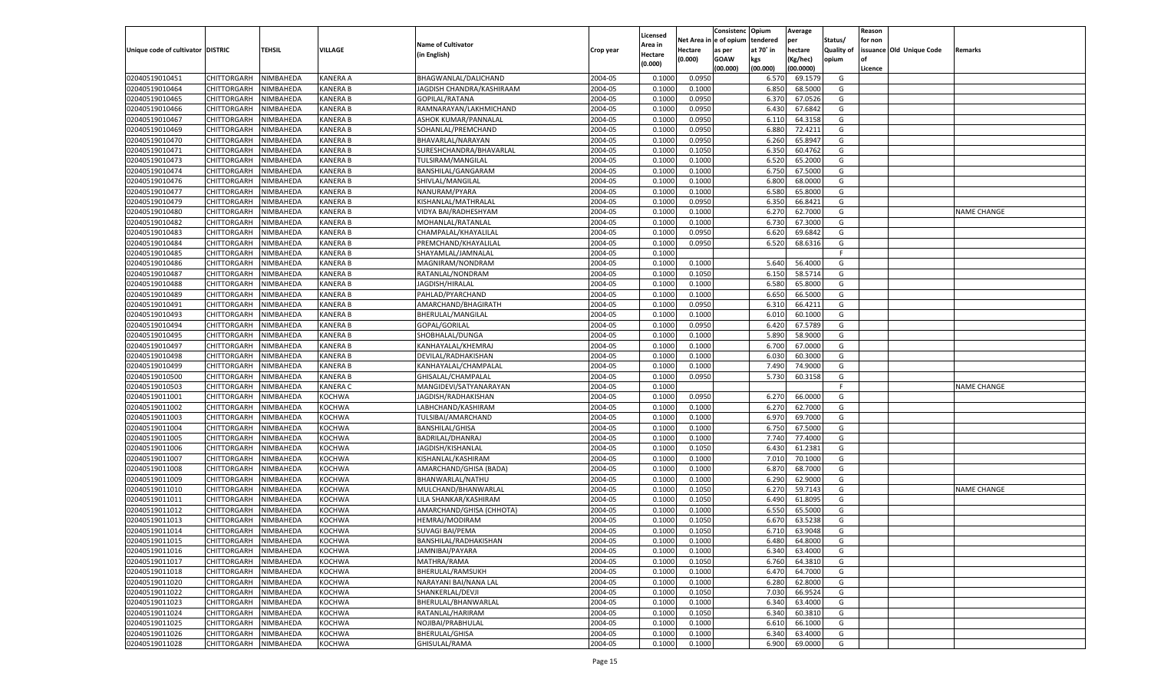|                                   |                       |                        |                 |                           |           |                     |            | Consistenc    | Opium     | Average   |            | Reason  |                          |                    |
|-----------------------------------|-----------------------|------------------------|-----------------|---------------------------|-----------|---------------------|------------|---------------|-----------|-----------|------------|---------|--------------------------|--------------------|
|                                   |                       |                        |                 | <b>Name of Cultivator</b> |           | Licensed<br>Area in | Net Area i | n  e of opium | tendered  | per       | Status/    | for non |                          |                    |
| Unique code of cultivator DISTRIC |                       | TEHSIL                 | <b>VILLAGE</b>  | (in English)              | Crop year | Hectare             | Hectare    | as per        | at 70° in | hectare   | Quality of |         | issuance Old Unique Code | Remarks            |
|                                   |                       |                        |                 |                           |           | (0.000)             | (0.000)    | <b>GOAW</b>   | kgs       | (Kg/hec)  | opium      |         |                          |                    |
|                                   |                       |                        |                 |                           |           |                     |            | (00.000)      | (00.000)  | (00.0000) |            | Licence |                          |                    |
| 02040519010451                    | CHITTORGARH           | NIMBAHEDA              | <b>KANERA A</b> | BHAGWANLAL/DALICHAND      | 2004-05   | 0.1000              | 0.0950     |               | 6.570     | 69.1579   | G          |         |                          |                    |
| 02040519010464                    | CHITTORGARH           | NIMBAHEDA              | <b>KANERA B</b> | JAGDISH CHANDRA/KASHIRAAM | 2004-05   | 0.1000              | 0.1000     |               | 6.850     | 68.5000   | G          |         |                          |                    |
| 02040519010465                    | CHITTORGARH           | NIMBAHEDA              | <b>KANERA B</b> | GOPILAL/RATANA            | 2004-05   | 0.1000              | 0.0950     |               | 6.370     | 67.0526   | G          |         |                          |                    |
| 02040519010466                    | CHITTORGARH           | NIMBAHEDA              | <b>KANERA B</b> | RAMNARAYAN/LAKHMICHAND    | 2004-05   | 0.1000              | 0.0950     |               | 6.430     | 67.6842   | G          |         |                          |                    |
| 02040519010467                    | CHITTORGARH           | NIMBAHEDA              | <b>KANERA B</b> | ASHOK KUMAR/PANNALAI      | 2004-05   | 0.1000              | 0.0950     |               | 6.11      | 64.3158   | G          |         |                          |                    |
| 02040519010469                    | CHITTORGARH           | NIMBAHEDA              | <b>KANERA B</b> | SOHANLAL/PREMCHAND        | 2004-05   | 0.1000              | 0.0950     |               | 6.880     | 72.4211   | G          |         |                          |                    |
| 02040519010470                    | CHITTORGARH           | NIMBAHEDA              | <b>KANERA B</b> | BHAVARLAL/NARAYAN         | 2004-05   | 0.1000              | 0.0950     |               | 6.260     | 65.8947   | G          |         |                          |                    |
| 02040519010471                    | CHITTORGARH           | NIMBAHEDA              | <b>KANERA B</b> | SURESHCHANDRA/BHAVARLAL   | 2004-05   | 0.1000              | 0.1050     |               | 6.350     | 60.4762   | G          |         |                          |                    |
| 02040519010473                    | CHITTORGARH           | NIMBAHEDA              | <b>KANERA B</b> | TULSIRAM/MANGILAL         | 2004-05   | 0.1000              | 0.1000     |               | 6.520     | 65.2000   | G          |         |                          |                    |
| 02040519010474                    | CHITTORGARH           | NIMBAHEDA              | <b>KANERA B</b> | BANSHILAL/GANGARAM        | 2004-05   | 0.1000              | 0.1000     |               | 6.750     | 67.5000   | G          |         |                          |                    |
| 02040519010476                    | CHITTORGARH           | NIMBAHEDA              | <b>KANERA B</b> | SHIVLAL/MANGILAL          | 2004-05   | 0.1000              | 0.1000     |               | 6.800     | 68.0000   | G          |         |                          |                    |
| 02040519010477                    | CHITTORGARH           | NIMBAHEDA              | <b>KANERA B</b> | NANURAM/PYARA             | 2004-05   | 0.1000              | 0.1000     |               | 6.580     | 65.8000   | G          |         |                          |                    |
| 02040519010479                    | CHITTORGARH           | NIMBAHEDA              | <b>KANERA B</b> | KISHANLAL/MATHRALAL       | 2004-05   | 0.1000              | 0.0950     |               | 6.350     | 66.8421   | G          |         |                          |                    |
| 02040519010480                    | CHITTORGARH           | NIMBAHEDA              | KANERA B        | VIDYA BAI/RADHESHYAM      | 2004-05   | 0.1000              | 0.1000     |               | 6.270     | 62.7000   | G          |         |                          | NAME CHANGE        |
| 02040519010482                    | CHITTORGARH           | NIMBAHEDA              | KANERA B        | MOHANLAL/RATANLAL         | 2004-05   | 0.1000              | 0.1000     |               | 6.730     | 67.3000   | G          |         |                          |                    |
| 02040519010483                    | CHITTORGARH           | NIMBAHEDA              | KANERA B        | CHAMPALAL/KHAYALILAL      | 2004-05   | 0.1000              | 0.0950     |               | 6.620     | 69.6842   | G          |         |                          |                    |
| 02040519010484                    | CHITTORGARH           | NIMBAHEDA              | KANERA B        | PREMCHAND/KHAYALILAL      | 2004-05   | 0.1000              | 0.0950     |               | 6.520     | 68.6316   | G          |         |                          |                    |
| 02040519010485                    | CHITTORGARH           | NIMBAHEDA              | KANERA B        | SHAYAMLAL/JAMNALAL        | 2004-05   | 0.1000              |            |               |           |           | F.         |         |                          |                    |
| 02040519010486                    | CHITTORGARH           | NIMBAHEDA              | KANERA B        | MAGNIRAM/NONDRAM          | 2004-05   | 0.1000              | 0.1000     |               | 5.640     | 56.4000   | G          |         |                          |                    |
| 02040519010487                    | CHITTORGARH           | NIMBAHEDA              | KANERA B        | RATANLAL/NONDRAM          | 2004-05   | 0.1000              | 0.1050     |               | 6.150     | 58.5714   | G          |         |                          |                    |
| 02040519010488                    | CHITTORGARH           | NIMBAHEDA              | KANERA B        | JAGDISH/HIRALAL           | 2004-05   | 0.1000              | 0.1000     |               | 6.580     | 65.8000   | G          |         |                          |                    |
| 02040519010489                    | CHITTORGARH           | NIMBAHEDA              | KANERA B        | PAHLAD/PYARCHAND          | 2004-05   | 0.1000              | 0.1000     |               | 6.650     | 66.5000   | G          |         |                          |                    |
| 02040519010491                    | CHITTORGARH           | NIMBAHEDA              | KANERA B        | AMARCHAND/BHAGIRATH       | 2004-05   | 0.1000              | 0.0950     |               | 6.310     | 66.4211   | G          |         |                          |                    |
| 02040519010493                    | CHITTORGARH           | NIMBAHEDA              | KANERA B        | BHERULAL/MANGILAL         | 2004-05   | 0.1000              | 0.1000     |               | 6.010     | 60.1000   | G          |         |                          |                    |
| 02040519010494                    | CHITTORGARH           | NIMBAHEDA              | KANERA B        | GOPAL/GORILAL             | 2004-05   | 0.1000              | 0.0950     |               | 6.420     | 67.5789   | G          |         |                          |                    |
| 02040519010495                    | CHITTORGARH           | NIMBAHEDA              | KANERA B        | SHOBHALAL/DUNGA           | 2004-05   | 0.1000              | 0.1000     |               | 5.890     | 58.9000   | G          |         |                          |                    |
| 02040519010497                    | CHITTORGARH           | NIMBAHEDA              | KANERA B        | KANHAYALAL/KHEMRAJ        | 2004-05   | 0.1000              | 0.1000     |               | 6.700     | 67.0000   | G          |         |                          |                    |
| 02040519010498                    | CHITTORGARH           | NIMBAHEDA              | KANERA B        | DEVILAL/RADHAKISHAN       | 2004-05   | 0.1000              | 0.1000     |               | 6.030     | 60.3000   | G          |         |                          |                    |
| 02040519010499                    | CHITTORGARH           | NIMBAHEDA              | KANERA B        | KANHAYALAL/CHAMPALAI      | 2004-05   | 0.1000              | 0.1000     |               | 7.490     | 74.9000   | G          |         |                          |                    |
| 02040519010500                    | CHITTORGARH           | NIMBAHEDA              | <b>KANERA B</b> | GHISALAL/CHAMPALAL        | 2004-05   | 0.1000              | 0.0950     |               | 5.730     | 60.3158   | G          |         |                          |                    |
| 02040519010503                    | CHITTORGARH           | NIMBAHEDA              | <b>KANERA C</b> | MANGIDEVI/SATYANARAYAN    | 2004-05   | 0.1000              |            |               |           |           | F.         |         |                          | <b>NAME CHANGE</b> |
| 02040519011001                    | CHITTORGARH           | NIMBAHEDA              | <b>KOCHWA</b>   | JAGDISH/RADHAKISHAN       | 2004-05   | 0.1000              | 0.0950     |               | 6.270     | 66.0000   | G          |         |                          |                    |
| 02040519011002                    | CHITTORGARH           | NIMBAHEDA              | <b>KOCHWA</b>   | LABHCHAND/KASHIRAM        | 2004-05   | 0.1000              | 0.1000     |               | 6.270     | 62.7000   | G          |         |                          |                    |
| 02040519011003                    | CHITTORGARH           | NIMBAHEDA              | <b>KOCHWA</b>   | TULSIBAI/AMARCHAND        | 2004-05   | 0.1000              | 0.1000     |               | 6.970     | 69.7000   | G          |         |                          |                    |
| 02040519011004                    | CHITTORGARH           | NIMBAHEDA              | <b>KOCHWA</b>   | <b>BANSHILAL/GHISA</b>    | 2004-05   | 0.1000              | 0.1000     |               | 6.750     | 67.5000   | G          |         |                          |                    |
| 02040519011005                    | CHITTORGARH           | NIMBAHEDA              | <b>KOCHWA</b>   | BADRILAL/DHANRAJ          | 2004-05   | 0.1000              | 0.1000     |               | 7.740     | 77.4000   | G          |         |                          |                    |
| 02040519011006                    | CHITTORGARH           | NIMBAHEDA              | <b>KOCHWA</b>   | JAGDISH/KISHANLAL         | 2004-05   | 0.1000              | 0.1050     |               | 6.43(     | 61.2381   | G          |         |                          |                    |
| 02040519011007                    | CHITTORGARH           | NIMBAHEDA              | <b>KOCHWA</b>   | KISHANLAL/KASHIRAM        | 2004-05   | 0.1000              | 0.1000     |               | 7.010     | 70.1000   | G          |         |                          |                    |
| 02040519011008                    | CHITTORGARH           | NIMBAHEDA              | <b>KOCHWA</b>   | AMARCHAND/GHISA (BADA)    | 2004-05   | 0.1000              | 0.1000     |               | 6.870     | 68.7000   | G          |         |                          |                    |
| 02040519011009                    | CHITTORGARH           | NIMBAHEDA              | <b>KOCHWA</b>   | BHANWARLAL/NATHU          | 2004-05   | 0.1000              | 0.1000     |               | 6.290     | 62.9000   | G          |         |                          |                    |
| 02040519011010                    | CHITTORGARH           | NIMBAHEDA              | <b>KOCHWA</b>   | MULCHAND/BHANWARLAL       | 2004-05   | 0.1000              | 0.1050     |               | 6.270     | 59.7143   | G          |         |                          | <b>NAME CHANGE</b> |
| 02040519011011                    | CHITTORGARH           | NIMBAHEDA              | <b>KOCHWA</b>   | LILA SHANKAR/KASHIRAM     | 2004-05   | 0.1000              | 0.1050     |               | 6.490     | 61.8095   | G          |         |                          |                    |
| 02040519011012                    | CHITTORGARH           | NIMBAHEDA              | <b>KOCHWA</b>   | AMARCHAND/GHISA (CHHOTA)  | 2004-05   | 0.1000              | 0.1000     |               | 6.550     | 65.5000   | G          |         |                          |                    |
| 02040519011013                    |                       |                        |                 | HEMRAJ/MODIRAM            | 2004-05   | 0.1000              |            |               | 6.670     | 63.5238   | G          |         |                          |                    |
|                                   | CHITTORGARH           | NIMBAHEDA<br>NIMBAHEDA | <b>KOCHWA</b>   | <b>SUVAGI BAI/PEMA</b>    | 2004-05   |                     | 0.1050     |               | 6.710     | 63.9048   |            |         |                          |                    |
| 02040519011014                    | CHITTORGARH           |                        | <b>KOCHWA</b>   |                           |           | 0.1000              | 0.1050     |               |           |           | G          |         |                          |                    |
| 02040519011015                    | CHITTORGARH NIMBAHEDA |                        | <b>KOCHWA</b>   | BANSHILAL/RADHAKISHAN     | 2004-05   | 0.1000              | 0.1000     |               | 6.480     | 64.8000   | G          |         |                          |                    |
| 02040519011016                    | <b>CHITTORGARH</b>    | NIMBAHEDA              | <b>KOCHWA</b>   | JAMNIBAI/PAYARA           | 2004-05   | 0.1000              | 0.1000     |               | 6.340     | 63.4000   | G          |         |                          |                    |
| 02040519011017                    | CHITTORGARH           | NIMBAHEDA              | KOCHWA          | MATHRA/RAMA               | 2004-05   | 0.1000              | 0.1050     |               | 6.760     | 64.3810   | G          |         |                          |                    |
| 02040519011018                    | CHITTORGARH           | NIMBAHEDA              | <b>KOCHWA</b>   | BHERULAL/RAMSUKH          | 2004-05   | 0.1000              | 0.1000     |               | 6.470     | 64.7000   | G          |         |                          |                    |
| 02040519011020                    | <b>CHITTORGARH</b>    | NIMBAHEDA              | KOCHWA          | NARAYANI BAI/NANA LAL     | 2004-05   | 0.1000              | 0.1000     |               | 6.280     | 62.8000   | G          |         |                          |                    |
| 02040519011022                    | CHITTORGARH           | NIMBAHEDA              | <b>KOCHWA</b>   | SHANKERLAL/DEVJI          | 2004-05   | 0.1000              | 0.1050     |               | 7.030     | 66.9524   | G          |         |                          |                    |
| 02040519011023                    | CHITTORGARH           | NIMBAHEDA              | <b>KOCHWA</b>   | BHERULAL/BHANWARLAL       | 2004-05   | 0.1000              | 0.1000     |               | 6.340     | 63.4000   | G          |         |                          |                    |
| 02040519011024                    | CHITTORGARH           | NIMBAHEDA              | <b>KOCHWA</b>   | RATANLAL/HARIRAM          | 2004-05   | 0.1000              | 0.1050     |               | 6.340     | 60.3810   | G          |         |                          |                    |
| 02040519011025                    | <b>CHITTORGARH</b>    | NIMBAHEDA              | KOCHWA          | NOJIBAI/PRABHULAL         | 2004-05   | 0.1000              | 0.1000     |               | 6.610     | 66.1000   | G          |         |                          |                    |
| 02040519011026                    | <b>CHITTORGARH</b>    | NIMBAHEDA              | <b>KOCHWA</b>   | <b>BHERULAL/GHISA</b>     | 2004-05   | 0.1000              | 0.1000     |               | 6.340     | 63.4000   | G          |         |                          |                    |
| 02040519011028                    | <b>CHITTORGARH</b>    | NIMBAHEDA              | <b>KOCHWA</b>   | GHISULAL/RAMA             | 2004-05   | 0.1000              | 0.1000     |               | 6.900     | 69.0000   | G          |         |                          |                    |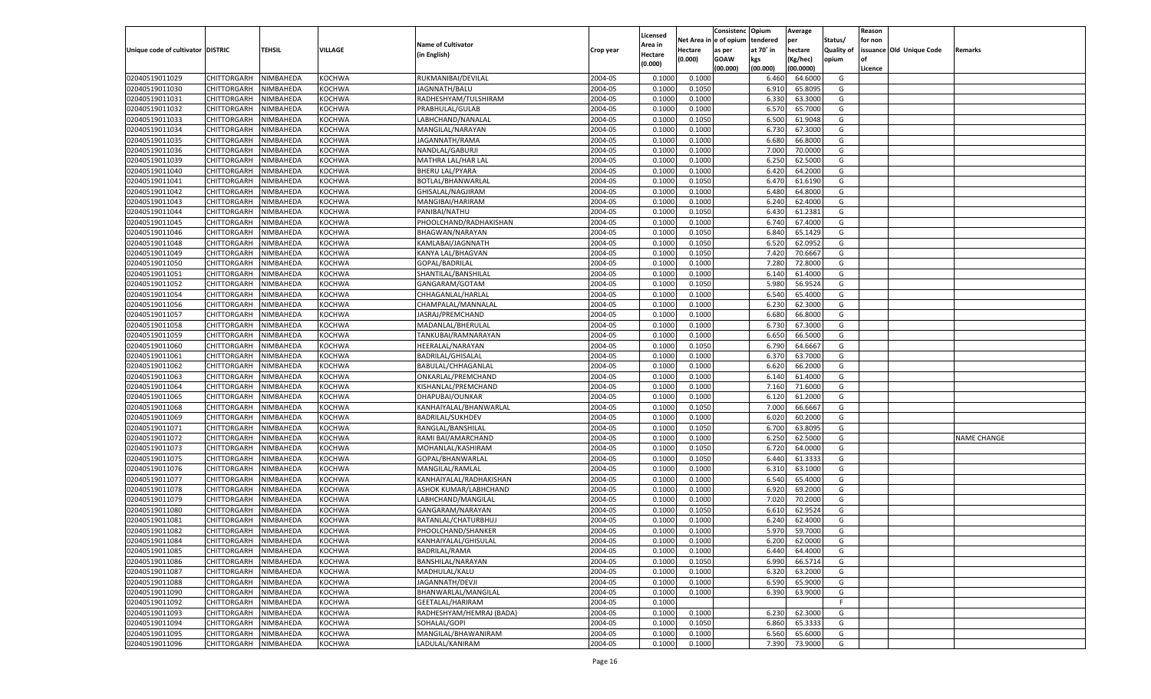|                                   |                                   |                        |               |                           |                    |                     |                  | Consistenc    | Opium     | Average   |                   | Reason  |                          |                    |
|-----------------------------------|-----------------------------------|------------------------|---------------|---------------------------|--------------------|---------------------|------------------|---------------|-----------|-----------|-------------------|---------|--------------------------|--------------------|
|                                   |                                   |                        |               | <b>Name of Cultivator</b> |                    | Licensed<br>Area in | Net Area i       | n le of opium | tendered  | per       | Status/           | for non |                          |                    |
| Unique code of cultivator DISTRIC |                                   | TEHSIL                 | VILLAGE       | (in English)              | Crop year          | Hectare             | Hectare          | as per        | at 70° in | hectare   | <b>Quality of</b> |         | issuance Old Unique Code | Remarks            |
|                                   |                                   |                        |               |                           |                    | (0.000)             | (0.000)          | <b>GOAW</b>   | kgs       | (Kg/hec)  | opium             |         |                          |                    |
|                                   |                                   |                        |               |                           |                    |                     |                  | (00.000)      | (00.000)  | (00.0000) |                   | Licence |                          |                    |
| 02040519011029                    | CHITTORGARH                       | NIMBAHEDA              | <b>KOCHWA</b> | RUKMANIBAI/DEVILAL        | 2004-05            | 0.1000              | 0.1000           |               | 6.460     | 64.6000   | G                 |         |                          |                    |
| 02040519011030                    | CHITTORGARH                       | NIMBAHEDA              | KOCHWA        | JAGNNATH/BALU             | 2004-05            | 0.1000              | 0.1050           |               | 6.910     | 65.8095   | G                 |         |                          |                    |
| 02040519011031                    | CHITTORGARH                       | NIMBAHEDA              | <b>KOCHWA</b> | RADHESHYAM/TULSHIRAM      | 2004-05            | 0.1000              | 0.1000           |               | 6.330     | 63.3000   | G                 |         |                          |                    |
| 02040519011032                    | CHITTORGARH                       | NIMBAHEDA              | <b>KOCHWA</b> | PRABHULAL/GULAB           | 2004-05            | 0.1000              | 0.1000           |               | 6.570     | 65.7000   | G                 |         |                          |                    |
| 02040519011033                    | CHITTORGARH                       | NIMBAHEDA              | <b>KOCHWA</b> | LABHCHAND/NANALAL         | 2004-05            | 0.1000              | 0.1050           |               | 6.500     | 61.9048   | G                 |         |                          |                    |
| 02040519011034                    | CHITTORGARH                       | NIMBAHEDA              | KOCHWA        | MANGILAL/NARAYAN          | 2004-05            | 0.1000              | 0.1000           |               | 6.730     | 67.3000   | G                 |         |                          |                    |
| 02040519011035                    | CHITTORGARH                       | NIMBAHEDA              | <b>KOCHWA</b> | JAGANNATH/RAMA            | 2004-05            | 0.1000              | 0.1000           |               | 6.680     | 66.8000   | G                 |         |                          |                    |
| 02040519011036                    | CHITTORGARH                       | NIMBAHEDA              | <b>KOCHWA</b> | NANDLAL/GABURJI           | 2004-05            | 0.1000              | 0.1000           |               | 7.000     | 70.0000   | G                 |         |                          |                    |
| 02040519011039                    | CHITTORGARH                       | NIMBAHEDA              | <b>KOCHWA</b> | MATHRA LAL/HAR LAL        | 2004-05            | 0.1000              | 0.1000           |               | 6.250     | 62.5000   | G                 |         |                          |                    |
| 02040519011040                    | CHITTORGARH                       | NIMBAHEDA              | KOCHWA        | <b>BHERU LAL/PYARA</b>    | 2004-05            | 0.1000              | 0.1000           |               | 6.420     | 64.2000   | G                 |         |                          |                    |
| 02040519011041                    | CHITTORGARH                       | NIMBAHEDA              | <b>KOCHWA</b> | BOTLAL/BHANWARLAL         | 2004-05            | 0.1000              | 0.1050           |               | 6.470     | 61.6190   | G                 |         |                          |                    |
| 02040519011042                    | CHITTORGARH                       | NIMBAHEDA              | <b>KOCHWA</b> | GHISALAL/NAGJIRAM         | 2004-05            | 0.1000              | 0.1000           |               | 6.480     | 64.8000   | G                 |         |                          |                    |
| 02040519011043                    | CHITTORGARH                       | NIMBAHEDA              | <b>KOCHWA</b> | MANGIBAI/HARIRAM          | 2004-05            | 0.1000              | 0.1000           |               | 6.240     | 62.4000   | G                 |         |                          |                    |
| 02040519011044                    | CHITTORGARH                       | NIMBAHEDA              | KOCHWA        | PANIBAI/NATHU             | 2004-05            | 0.1000              | 0.1050           |               | 6.430     | 61.2381   | G                 |         |                          |                    |
| 02040519011045                    | CHITTORGARH                       | NIMBAHEDA              | KOCHWA        | PHOOLCHAND/RADHAKISHAN    | 2004-05            | 0.1000              | 0.1000           |               | 6.740     | 67.4000   | G                 |         |                          |                    |
| 02040519011046                    | CHITTORGARH                       | NIMBAHEDA              | KOCHWA        | BHAGWAN/NARAYAN           | 2004-05            | 0.1000              | 0.1050           |               | 6.840     | 65.1429   | G                 |         |                          |                    |
| 02040519011048                    | CHITTORGARH                       | NIMBAHEDA              | KOCHWA        | KAMLABAI/JAGNNATH         | 2004-05            | 0.1000              | 0.1050           |               | 6.520     | 62.0952   | G                 |         |                          |                    |
| 02040519011049                    | CHITTORGARH                       | NIMBAHEDA              | KOCHWA        | KANYA LAL/BHAGVAN         | 2004-05            | 0.1000              | 0.1050           |               | 7.420     | 70.6667   | G                 |         |                          |                    |
| 02040519011050                    | CHITTORGARH                       | NIMBAHEDA              | KOCHWA        | GOPAL/BADRILAL            | 2004-05            | 0.1000              | 0.1000           |               | 7.280     | 72.8000   | G                 |         |                          |                    |
| 02040519011051                    | CHITTORGARH                       | NIMBAHEDA              | KOCHWA        | SHANTILAL/BANSHILAL       | 2004-05            | 0.1000              | 0.1000           |               | 6.140     | 61.4000   | G                 |         |                          |                    |
| 02040519011052                    | CHITTORGARH                       | NIMBAHEDA              | KOCHWA        | GANGARAM/GOTAM            | 2004-05            | 0.1000              | 0.1050           |               | 5.980     | 56.9524   | G                 |         |                          |                    |
| 02040519011054                    | CHITTORGARH                       | NIMBAHEDA              | KOCHWA        | CHHAGANLAL/HARLAL         | 2004-05            | 0.1000              | 0.1000           |               | 6.540     | 65.4000   | G                 |         |                          |                    |
| 02040519011056                    | CHITTORGARH                       | NIMBAHEDA              | KOCHWA        | CHAMPALAL/MANNALAI        | 2004-05            | 0.1000              | 0.1000           |               | 6.230     | 62.3000   | G                 |         |                          |                    |
| 02040519011057                    | CHITTORGARH                       | NIMBAHEDA              | KOCHWA        | JASRAJ/PREMCHAND          | 2004-05            | 0.1000              | 0.1000           |               | 6.680     | 66.8000   | G                 |         |                          |                    |
| 02040519011058                    | CHITTORGARH                       | NIMBAHEDA              | KOCHWA        | MADANLAL/BHERULAL         | 2004-05            | 0.1000              | 0.1000           |               | 6.730     | 67.3000   | G                 |         |                          |                    |
| 02040519011059                    | CHITTORGARH                       | NIMBAHEDA              | KOCHWA        | TANKUBAI/RAMNARAYAN       | 2004-05            | 0.1000              | 0.1000           |               | 6.650     | 66.5000   | G                 |         |                          |                    |
| 02040519011060                    | CHITTORGARH                       | NIMBAHEDA              | KOCHWA        | HEERALAL/NARAYAN          | 2004-05            | 0.1000              | 0.1050           |               | 6.790     | 64.6667   | G                 |         |                          |                    |
| 02040519011061                    | CHITTORGARH                       | NIMBAHEDA              | KOCHWA        | BADRILAL/GHISALAL         | 2004-05            | 0.1000              | 0.1000           |               | 6.370     | 63.7000   | G                 |         |                          |                    |
| 02040519011062                    | CHITTORGARH                       | NIMBAHEDA              | KOCHWA        | BABULAL/CHHAGANLAL        | 2004-05            | 0.1000              | 0.1000           |               | 6.620     | 66.2000   | G                 |         |                          |                    |
| 02040519011063                    | CHITTORGARH                       | NIMBAHEDA              | <b>KOCHWA</b> | ONKARLAL/PREMCHAND        | 2004-05            | 0.1000              | 0.1000           |               | 6.140     | 61.4000   | G                 |         |                          |                    |
| 02040519011064                    | CHITTORGARH                       | NIMBAHEDA              | <b>KOCHWA</b> | KISHANLAL/PREMCHAND       | 2004-05            | 0.1000              | 0.1000           |               | 7.160     | 71.6000   | G                 |         |                          |                    |
| 02040519011065                    | CHITTORGARH                       | NIMBAHEDA              | <b>KOCHWA</b> | DHAPUBAI/OUNKAR           | 2004-05            | 0.1000              | 0.1000           |               | 6.120     | 61.2000   | G                 |         |                          |                    |
| 02040519011068                    | CHITTORGARH                       | NIMBAHEDA              | <b>KOCHWA</b> | KANHAIYALAL/BHANWARLAL    | 2004-05            | 0.1000              | 0.1050           |               | 7.000     | 66.6667   | G                 |         |                          |                    |
| 02040519011069                    | CHITTORGARH                       | NIMBAHEDA              | <b>KOCHWA</b> | <b>BADRILAL/SUKHDEV</b>   | 2004-05            | 0.1000              | 0.1000           |               | 6.020     | 60.2000   | G                 |         |                          |                    |
| 02040519011071                    | CHITTORGARH                       | NIMBAHEDA              | <b>KOCHWA</b> | RANGLAL/BANSHILAL         | 2004-05            | 0.1000              | 0.1050           |               | 6.700     | 63.8095   | G                 |         |                          |                    |
| 02040519011072                    | CHITTORGARH                       | NIMBAHEDA              | <b>KOCHWA</b> | RAMI BAI/AMARCHAND        | 2004-05            | 0.1000              | 0.1000           |               | 6.250     | 62.5000   | G                 |         |                          | <b>NAME CHANGE</b> |
| 02040519011073                    | CHITTORGARH                       | NIMBAHEDA              | <b>KOCHWA</b> | MOHANLAL/KASHIRAM         | 2004-05            | 0.1000              | 0.1050           |               | 6.720     | 64.0000   | G                 |         |                          |                    |
| 02040519011075                    | CHITTORGARH                       | NIMBAHEDA              | <b>KOCHWA</b> | GOPAL/BHANWARLAL          | 2004-05            | 0.1000              | 0.1050           |               | 6.440     | 61.3333   | G                 |         |                          |                    |
| 02040519011076                    | CHITTORGARH                       | NIMBAHEDA              | <b>KOCHWA</b> | MANGILAL/RAMLAL           | 2004-05            | 0.1000              | 0.1000           |               | 6.31      | 63.1000   | G                 |         |                          |                    |
| 02040519011077                    | CHITTORGARH                       | NIMBAHEDA              | <b>KOCHWA</b> | KANHAIYALAL/RADHAKISHAN   | 2004-05            | 0.1000              | 0.1000           |               | 6.540     | 65.4000   | G                 |         |                          |                    |
| 02040519011078                    | CHITTORGARH                       | NIMBAHEDA              | <b>KOCHWA</b> | ASHOK KUMAR/LABHCHAND     | 2004-05            | 0.1000              | 0.1000           |               | 6.920     | 69.2000   | G                 |         |                          |                    |
| 02040519011079                    | CHITTORGARH                       | NIMBAHEDA              | <b>KOCHWA</b> | LABHCHAND/MANGILAL        | 2004-05            | 0.1000              | 0.1000           |               | 7.020     | 70.2000   | G                 |         |                          |                    |
| 02040519011080                    | CHITTORGARH                       | NIMBAHEDA              | <b>KOCHWA</b> | GANGARAM/NARAYAN          | 2004-05            | 0.1000              | 0.1050           |               | 6.610     | 62.9524   | G                 |         |                          |                    |
| 02040519011081                    | CHITTORGARH                       | NIMBAHEDA              | <b>KOCHWA</b> | RATANLAL/CHATURBHUJ       | 2004-05            | 0.1000              | 0.1000           |               | 6.240     | 62.4000   | G                 |         |                          |                    |
| 02040519011082                    | CHITTORGARH                       | NIMBAHEDA              | <b>KOCHWA</b> | PHOOLCHAND/SHANKER        | 2004-05            | 0.1000              | 0.1000           |               | 5.970     | 59.7000   | G                 |         |                          |                    |
|                                   | CHITTORGARH NIMBAHEDA             |                        | <b>KOCHWA</b> | KANHAIYALAL/GHISULAL      | 2004-05            | 0.1000              | 0.1000           |               | 6.200     | 62.0000   | G                 |         |                          |                    |
| 02040519011084<br>02040519011085  |                                   | NIMBAHEDA              | <b>KOCHWA</b> | BADRILAL/RAMA             | 2004-05            | 0.1000              | 0.1000           |               | 6.440     | 64.4000   | G                 |         |                          |                    |
|                                   | <b>CHITTORGARH</b>                |                        |               |                           |                    |                     |                  |               |           |           |                   |         |                          |                    |
| 02040519011086<br>02040519011087  | CHITTORGARH<br><b>CHITTORGARH</b> | NIMBAHEDA<br>NIMBAHEDA | KOCHWA        | BANSHILAL/NARAYAN         | 2004-05<br>2004-05 | 0.1000              | 0.1050<br>0.1000 |               | 6.990     | 66.5714   | G                 |         |                          |                    |
|                                   | CHITTORGARH                       |                        | <b>KOCHWA</b> | MADHULAL/KALU             |                    | 0.1000              |                  |               | 6.320     | 63.2000   | G                 |         |                          |                    |
| 02040519011088                    |                                   | NIMBAHEDA              | KOCHWA        | JAGANNATH/DEVJI           | 2004-05            | 0.1000              | 0.1000           |               | 6.590     | 65.9000   | G                 |         |                          |                    |
| 02040519011090                    | CHITTORGARH                       | NIMBAHEDA              | <b>KOCHWA</b> | BHANWARLAL/MANGILAL       | 2004-05            | 0.1000              | 0.1000           |               | 6.390     | 63.9000   | G                 |         |                          |                    |
| 02040519011092                    | <b>CHITTORGARH</b>                | NIMBAHEDA              | <b>KOCHWA</b> | GEETALAL/HARIRAM          | 2004-05            | 0.1000              |                  |               |           |           | F.                |         |                          |                    |
| 02040519011093                    | CHITTORGARH                       | NIMBAHEDA              | <b>KOCHWA</b> | RADHESHYAM/HEMRAJ (BADA)  | 2004-05            | 0.1000              | 0.1000           |               | 6.230     | 62.3000   | G                 |         |                          |                    |
| 02040519011094                    | <b>CHITTORGARH</b>                | NIMBAHEDA              | KOCHWA        | SOHALAL/GOPI              | 2004-05            | 0.1000              | 0.1050           |               | 6.860     | 65.3333   | G                 |         |                          |                    |
| 02040519011095                    | <b>CHITTORGARH</b>                | NIMBAHEDA              | <b>KOCHWA</b> | MANGILAL/BHAWANIRAM       | 2004-05            | 0.1000              | 0.1000           |               | 6.560     | 65.6000   | G                 |         |                          |                    |
| 02040519011096                    | <b>CHITTORGARH</b>                | NIMBAHEDA              | <b>KOCHWA</b> | LADULAL/KANIRAM           | 2004-05            | 0.1000              | 0.1000           |               | 7.390     | 73.9000   | G                 |         |                          |                    |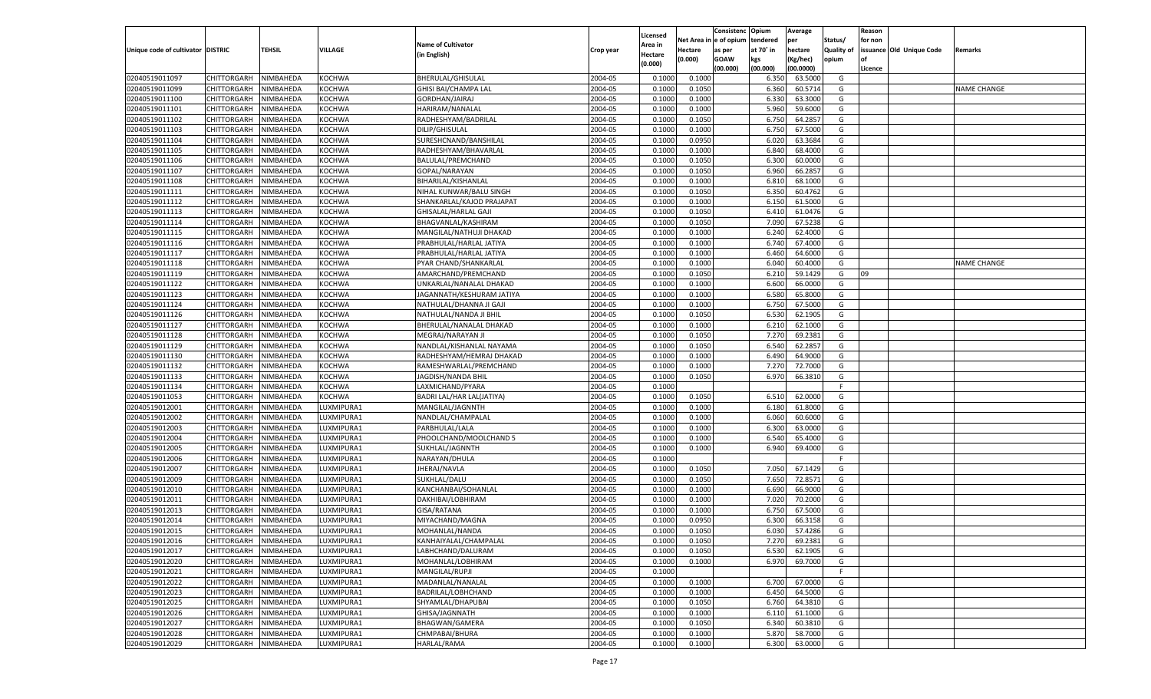|                                   |                       |           |               |                           |           |                    |             | Consistenc    | Opium     | Average   |                   | Reason  |                          |                    |
|-----------------------------------|-----------------------|-----------|---------------|---------------------------|-----------|--------------------|-------------|---------------|-----------|-----------|-------------------|---------|--------------------------|--------------------|
|                                   |                       |           |               | <b>Name of Cultivator</b> |           | Licensed           | Net Area iı | n  e of opium | tendered  | per       | Status/           | for non |                          |                    |
| Unique code of cultivator DISTRIC |                       | TEHSIL    | VILLAGE       |                           | Crop year | Area in            | Hectare     | as per        | at 70° in | hectare   | <b>Quality of</b> |         | issuance Old Unique Code | Remarks            |
|                                   |                       |           |               | (in English)              |           | Hectare<br>(0.000) | (0.000)     | <b>GOAW</b>   | kgs       | (Kg/hec)  | opium             |         |                          |                    |
|                                   |                       |           |               |                           |           |                    |             | (00.000)      | (00.000)  | (00.0000) |                   | Licence |                          |                    |
| 02040519011097                    | CHITTORGARH           | NIMBAHEDA | <b>KOCHWA</b> | BHERULAL/GHISULAL         | 2004-05   | 0.1000             | 0.1000      |               | 6.350     | 63.5000   | G                 |         |                          |                    |
| 02040519011099                    | CHITTORGARH           | NIMBAHEDA | KOCHWA        | GHISI BAI/CHAMPA LAL      | 2004-05   | 0.1000             | 0.1050      |               | 6.360     | 60.5714   | G                 |         |                          | NAME CHANGE        |
| 02040519011100                    | CHITTORGARH           | NIMBAHEDA | <b>KOCHWA</b> | GORDHAN/JAIRAJ            | 2004-05   | 0.1000             | 0.1000      |               | 6.330     | 63.3000   | G                 |         |                          |                    |
| 02040519011101                    | CHITTORGARH           | NIMBAHEDA | <b>KOCHWA</b> | HARIRAM/NANALAL           | 2004-05   | 0.1000             | 0.1000      |               | 5.960     | 59.6000   | G                 |         |                          |                    |
| 02040519011102                    | CHITTORGARH           | NIMBAHEDA | <b>KOCHWA</b> | RADHESHYAM/BADRILAL       | 2004-05   | 0.1000             | 0.1050      |               | 6.750     | 64.2857   | G                 |         |                          |                    |
| 02040519011103                    | CHITTORGARH           | NIMBAHEDA | KOCHWA        | DILIP/GHISULAL            | 2004-05   | 0.1000             | 0.1000      |               | 6.750     | 67.5000   | G                 |         |                          |                    |
| 02040519011104                    | CHITTORGARH           | NIMBAHEDA | <b>KOCHWA</b> | SURESHCNAND/BANSHILAL     | 2004-05   | 0.1000             | 0.0950      |               | 6.020     | 63.3684   | G                 |         |                          |                    |
| 02040519011105                    | CHITTORGARH           | NIMBAHEDA | <b>KOCHWA</b> | RADHESHYAM/BHAVARLAL      | 2004-05   | 0.1000             | 0.1000      |               | 6.840     | 68.4000   | G                 |         |                          |                    |
| 02040519011106                    | CHITTORGARH           | NIMBAHEDA | <b>KOCHWA</b> | BALULAL/PREMCHAND         | 2004-05   | 0.1000             | 0.1050      |               | 6.300     | 60.0000   | G                 |         |                          |                    |
| 02040519011107                    | CHITTORGARH           | NIMBAHEDA | KOCHWA        | GOPAL/NARAYAN             | 2004-05   | 0.1000             | 0.1050      |               | 6.960     | 66.2857   | G                 |         |                          |                    |
| 02040519011108                    | CHITTORGARH           | NIMBAHEDA | <b>KOCHWA</b> | BIHARILAL/KISHANLAL       | 2004-05   | 0.1000             | 0.1000      |               | 6.810     | 68.1000   | G                 |         |                          |                    |
| 02040519011111                    | CHITTORGARH           | NIMBAHEDA | <b>KOCHWA</b> | NIHAL KUNWAR/BALU SINGH   | 2004-05   | 0.1000             | 0.1050      |               | 6.350     | 60.4762   | G                 |         |                          |                    |
| 02040519011112                    | CHITTORGARH           | NIMBAHEDA | <b>KOCHWA</b> | SHANKARLAL/KAJOD PRAJAPAT | 2004-05   | 0.1000             | 0.1000      |               | 6.150     | 61.5000   | G                 |         |                          |                    |
| 02040519011113                    | CHITTORGARH           | NIMBAHEDA | KOCHWA        | GHISALAL/HARLAL GAJI      | 2004-05   | 0.1000             | 0.1050      |               | 6.410     | 61.0476   | G                 |         |                          |                    |
| 02040519011114                    | CHITTORGARH           | NIMBAHEDA | KOCHWA        | BHAGVANLAL/KASHIRAM       | 2004-05   | 0.1000             | 0.1050      |               | 7.090     | 67.5238   | G                 |         |                          |                    |
| 02040519011115                    | CHITTORGARH           | NIMBAHEDA | KOCHWA        | MANGILAL/NATHUJI DHAKAD   | 2004-05   | 0.1000             | 0.1000      |               | 6.240     | 62.4000   | G                 |         |                          |                    |
| 02040519011116                    | CHITTORGARH           | NIMBAHEDA | KOCHWA        | PRABHULAL/HARLAL JATIYA   | 2004-05   | 0.1000             | 0.1000      |               | 6.740     | 67.4000   | G                 |         |                          |                    |
| 02040519011117                    | CHITTORGARH           | NIMBAHEDA | KOCHWA        | PRABHULAL/HARLAL JATIYA   | 2004-05   | 0.1000             | 0.1000      |               | 6.460     | 64.6000   | G                 |         |                          |                    |
| 02040519011118                    | CHITTORGARH           | NIMBAHEDA | KOCHWA        | PYAR CHAND/SHANKARLAL     | 2004-05   | 0.1000             | 0.1000      |               | 6.040     | 60.4000   | G                 |         |                          | <b>NAME CHANGE</b> |
| 02040519011119                    | CHITTORGARH           | NIMBAHEDA | KOCHWA        | AMARCHAND/PREMCHAND       | 2004-05   | 0.1000             | 0.1050      |               | 6.210     | 59.1429   | G                 | 09      |                          |                    |
| 02040519011122                    | CHITTORGARH           | NIMBAHEDA | KOCHWA        | UNKARLAL/NANALAL DHAKAD   | 2004-05   | 0.1000             | 0.1000      |               | 6.600     | 66.0000   | G                 |         |                          |                    |
| 02040519011123                    | CHITTORGARH           | NIMBAHEDA | KOCHWA        | JAGANNATH/KESHURAM JATIYA | 2004-05   | 0.1000             | 0.1000      |               | 6.580     | 65.8000   | G                 |         |                          |                    |
| 02040519011124                    | CHITTORGARH           | NIMBAHEDA | <b>KOCHWA</b> | NATHULAL/DHANNA JI GAJI   | 2004-05   | 0.1000             | 0.1000      |               | 6.750     | 67.5000   | G                 |         |                          |                    |
| 02040519011126                    | CHITTORGARH           | NIMBAHEDA | KOCHWA        | NATHULAL/NANDA JI BHIL    | 2004-05   | 0.1000             | 0.1050      |               | 6.530     | 62.1905   | G                 |         |                          |                    |
| 02040519011127                    | CHITTORGARH           | NIMBAHEDA | KOCHWA        | BHERULAL/NANALAL DHAKAD   | 2004-05   | 0.1000             | 0.1000      |               | 6.210     | 62.1000   | G                 |         |                          |                    |
| 02040519011128                    | CHITTORGARH           | NIMBAHEDA | KOCHWA        | MEGRAJ/NARAYAN JI         | 2004-05   | 0.1000             | 0.1050      |               | 7.270     | 69.2381   | G                 |         |                          |                    |
| 02040519011129                    | CHITTORGARH           | NIMBAHEDA | <b>KOCHWA</b> | NANDLAL/KISHANLAL NAYAMA  | 2004-05   | 0.1000             | 0.1050      |               | 6.540     | 62.2857   | G                 |         |                          |                    |
| 02040519011130                    | CHITTORGARH           | NIMBAHEDA | KOCHWA        | RADHESHYAM/HEMRAJ DHAKAD  | 2004-05   | 0.1000             | 0.1000      |               | 6.490     | 64.9000   | G                 |         |                          |                    |
| 02040519011132                    | CHITTORGARH           | NIMBAHEDA | KOCHWA        | RAMESHWARLAL/PREMCHAND    | 2004-05   | 0.1000             | 0.1000      |               | 7.270     | 72.7000   | G                 |         |                          |                    |
| 02040519011133                    | CHITTORGARH           | NIMBAHEDA | <b>KOCHWA</b> | JAGDISH/NANDA BHIL        | 2004-05   | 0.1000             | 0.1050      |               | 6.970     | 66.3810   | G                 |         |                          |                    |
| 02040519011134                    |                       |           | <b>KOCHWA</b> |                           | 2004-05   | 0.1000             |             |               |           |           | F.                |         |                          |                    |
| 02040519011053                    | CHITTORGARH           | NIMBAHEDA | <b>KOCHWA</b> | LAXMICHAND/PYARA          | 2004-05   | 0.1000             | 0.1050      |               | 6.510     | 62.0000   | G                 |         |                          |                    |
|                                   | CHITTORGARH           | NIMBAHEDA |               | BADRI LAL/HAR LAL(JATIYA) | 2004-05   |                    |             |               |           |           |                   |         |                          |                    |
| 02040519012001                    | CHITTORGARH           | NIMBAHEDA | LUXMIPURA1    | MANGILAL/JAGNNTH          |           | 0.1000             | 0.1000      |               | 6.180     | 61.8000   | G                 |         |                          |                    |
| 02040519012002                    | CHITTORGARH           | NIMBAHEDA | LUXMIPURA1    | NANDLAL/CHAMPALAL         | 2004-05   | 0.1000             | 0.1000      |               | 6.060     | 60.6000   | G                 |         |                          |                    |
| 02040519012003                    | CHITTORGARH           | NIMBAHEDA | LUXMIPURA1    | PARBHULAL/LALA            | 2004-05   | 0.1000             | 0.1000      |               | 6.300     | 63.0000   | G                 |         |                          |                    |
| 02040519012004                    | CHITTORGARH           | NIMBAHEDA | LUXMIPURA1    | PHOOLCHAND/MOOLCHAND 5    | 2004-05   | 0.1000             | 0.1000      |               | 6.540     | 65.4000   | G                 |         |                          |                    |
| 02040519012005                    | CHITTORGARH           | NIMBAHEDA | LUXMIPURA1    | SUKHLAL/JAGNNTH           | 2004-05   | 0.1000             | 0.1000      |               | 6.940     | 69.4000   | G                 |         |                          |                    |
| 02040519012006                    | CHITTORGARH           | NIMBAHEDA | LUXMIPURA1    | NARAYAN/DHULA             | 2004-05   | 0.1000             |             |               |           |           | F                 |         |                          |                    |
| 02040519012007                    | CHITTORGARH           | NIMBAHEDA | LUXMIPURA1    | JHERAJ/NAVLA              | 2004-05   | 0.1000             | 0.1050      |               | 7.050     | 67.1429   | G                 |         |                          |                    |
| 02040519012009                    | CHITTORGARH           | NIMBAHEDA | LUXMIPURA1    | SUKHLAL/DALU              | 2004-05   | 0.1000             | 0.1050      |               | 7.650     | 72.8571   | G                 |         |                          |                    |
| 02040519012010                    | CHITTORGARH           | NIMBAHEDA | LUXMIPURA1    | KANCHANBAI/SOHANLAL       | 2004-05   | 0.1000             | 0.1000      |               | 6.690     | 66.9000   | G                 |         |                          |                    |
| 02040519012011                    | CHITTORGARH           | NIMBAHEDA | LUXMIPURA1    | DAKHIBAI/LOBHIRAM         | 2004-05   | 0.1000             | 0.1000      |               | 7.020     | 70.2000   | G                 |         |                          |                    |
| 02040519012013                    | CHITTORGARH           | NIMBAHEDA | LUXMIPURA1    | GISA/RATANA               | 2004-05   | 0.1000             | 0.1000      |               | 6.750     | 67.5000   | G                 |         |                          |                    |
| 02040519012014                    | CHITTORGARH           | NIMBAHEDA | LUXMIPURA1    | MIYACHAND/MAGNA           | 2004-05   | 0.1000             | 0.0950      |               | 6.300     | 66.3158   | G                 |         |                          |                    |
| 02040519012015                    | CHITTORGARH           | NIMBAHEDA | LUXMIPURA1    | MOHANLAL/NANDA            | 2004-05   | 0.1000             | 0.1050      |               | 6.030     | 57.4286   | G                 |         |                          |                    |
| 02040519012016                    | CHITTORGARH NIMBAHEDA |           | LUXMIPURA1    | KANHAIYALAL/CHAMPALAL     | 2004-05   | 0.1000             | 0.1050      |               | 7.270     | 69.2381   | G                 |         |                          |                    |
| 02040519012017                    | <b>CHITTORGARH</b>    | NIMBAHEDA | LUXMIPURA1    | LABHCHAND/DALURAM         | 2004-05   | 0.1000             | 0.1050      |               | 6.530     | 62.1905   | G                 |         |                          |                    |
| 02040519012020                    | <b>CHITTORGARH</b>    | NIMBAHEDA | LUXMIPURA1    | MOHANLAL/LOBHIRAM         | 2004-05   | 0.1000             | 0.1000      |               | 6.970     | 69.7000   | G                 |         |                          |                    |
| 02040519012021                    | CHITTORGARH           | NIMBAHEDA | LUXMIPURA1    | MANGILAL/RUPJI            | 2004-05   | 0.1000             |             |               |           |           | F.                |         |                          |                    |
| 02040519012022                    | CHITTORGARH           | NIMBAHEDA | LUXMIPURA1    | MADANLAL/NANALAL          | 2004-05   | 0.1000             | 0.1000      |               | 6.700     | 67.0000   | G                 |         |                          |                    |
| 02040519012023                    | CHITTORGARH           | NIMBAHEDA | LUXMIPURA1    | BADRILAL/LOBHCHAND        | 2004-05   | 0.1000             | 0.1000      |               | 6.450     | 64.5000   | G                 |         |                          |                    |
| 02040519012025                    | CHITTORGARH           | NIMBAHEDA | LUXMIPURA1    | SHYAMLAL/DHAPUBAI         | 2004-05   | 0.1000             | 0.1050      |               | 6.760     | 64.3810   | G                 |         |                          |                    |
| 02040519012026                    | CHITTORGARH           | NIMBAHEDA | LUXMIPURA1    | GHISA/JAGNNATH            | 2004-05   | 0.1000             | 0.1000      |               | 6.110     | 61.1000   | G                 |         |                          |                    |
| 02040519012027                    | CHITTORGARH           | NIMBAHEDA | LUXMIPURA1    | BHAGWAN/GAMERA            | 2004-05   | 0.1000             | 0.1050      |               | 6.340     | 60.3810   | G                 |         |                          |                    |
| 02040519012028                    | CHITTORGARH           | NIMBAHEDA | LUXMIPURA1    | CHMPABAI/BHURA            | 2004-05   | 0.1000             | 0.1000      |               | 5.870     | 58.7000   | G                 |         |                          |                    |
| 02040519012029                    | <b>CHITTORGARH</b>    | NIMBAHEDA | LUXMIPURA1    | HARLAL/RAMA               | 2004-05   | 0.1000             | 0.1000      |               | 6.300     | 63.0000   | G                 |         |                          |                    |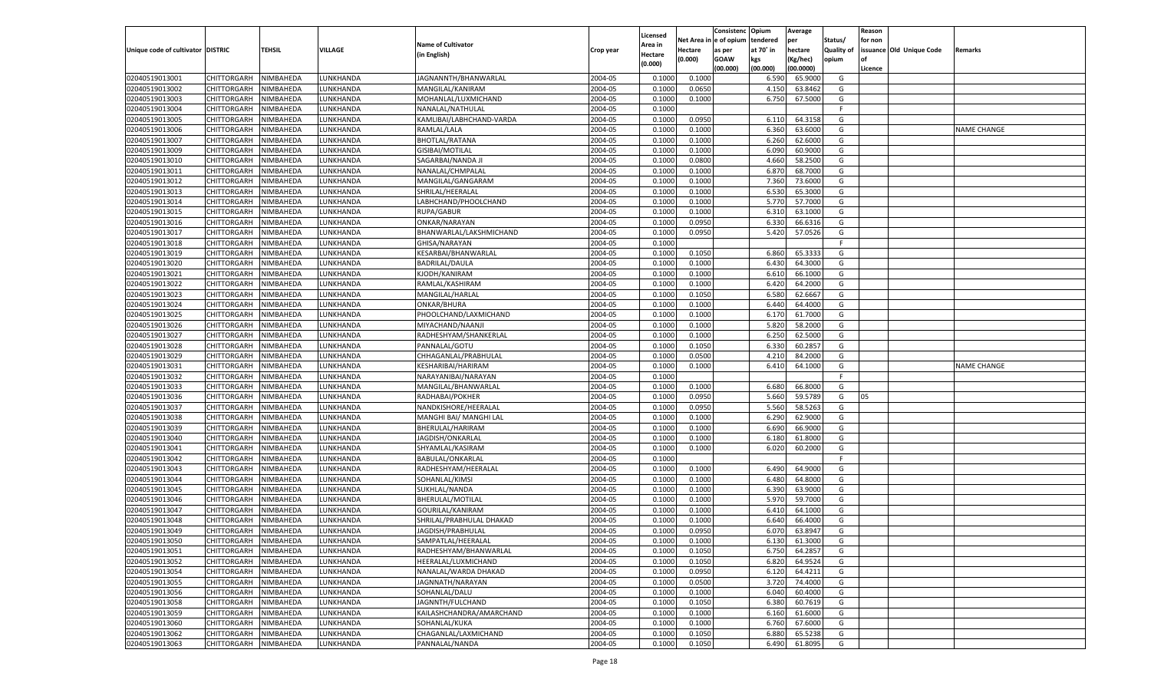|                                   |                       |               |                 |                           |           |                           |          | Consistenc  | Opium     | Average   |                   | Reason  |                          |                    |
|-----------------------------------|-----------------------|---------------|-----------------|---------------------------|-----------|---------------------------|----------|-------------|-----------|-----------|-------------------|---------|--------------------------|--------------------|
|                                   |                       |               |                 | <b>Name of Cultivator</b> |           | Licensed                  | Net Area | le of opium | tendered  | per       | Status/           | for non |                          |                    |
| Unique code of cultivator DISTRIC |                       | <b>TEHSIL</b> | VILLAGE         | (in English)              | Crop year | <b>Area in</b><br>Hectare | Hectare  | as per      | at 70° in | hectare   | <b>Quality of</b> |         | issuance Old Unique Code | Remarks            |
|                                   |                       |               |                 |                           |           | (0.000)                   | (0.000)  | <b>GOAW</b> | kgs       | (Kg/hec)  | opium             |         |                          |                    |
|                                   |                       |               |                 |                           |           |                           |          | (00.000)    | (00.000)  | (00.0000) |                   | Licence |                          |                    |
| 02040519013001                    | CHITTORGARH           | NIMBAHEDA     | LUNKHANDA       | JAGNANNTH/BHANWARLAL      | 2004-05   | 0.1000                    | 0.1000   |             | 6.590     | 65.9000   | G                 |         |                          |                    |
| 02040519013002                    | CHITTORGARH           | NIMBAHEDA     | LUNKHANDA       | MANGILAL/KANIRAM          | 2004-05   | 0.1000                    | 0.0650   |             | 4.150     | 63.8462   | G                 |         |                          |                    |
| 02040519013003                    | CHITTORGARH           | NIMBAHEDA     | LUNKHANDA       | MOHANLAL/LUXMICHAND       | 2004-05   | 0.1000                    | 0.1000   |             | 6.750     | 67.5000   | G                 |         |                          |                    |
| 02040519013004                    | CHITTORGARH           | NIMBAHEDA     | LUNKHANDA       | NANALAL/NATHULAL          | 2004-05   | 0.1000                    |          |             |           |           | F.                |         |                          |                    |
| 02040519013005                    | CHITTORGARH           | NIMBAHEDA     | LUNKHANDA       | KAMLIBAI/LABHCHAND-VARDA  | 2004-05   | 0.1000                    | 0.0950   |             | 6.110     | 64.3158   | G                 |         |                          |                    |
| 02040519013006                    | CHITTORGARH           | NIMBAHEDA     | UNKHANDA.       | RAMLAL/LALA               | 2004-05   | 0.1000                    | 0.1000   |             | 6.360     | 63.6000   | G                 |         |                          | <b>NAME CHANGE</b> |
| 02040519013007                    | CHITTORGARH           | NIMBAHEDA     | LUNKHANDA       | <b>BHOTLAL/RATANA</b>     | 2004-05   | 0.1000                    | 0.1000   |             | 6.260     | 62.6000   | G                 |         |                          |                    |
| 02040519013009                    | CHITTORGARH           | NIMBAHEDA     | LUNKHANDA       | GISIBAI/MOTILAL           | 2004-05   | 0.1000                    | 0.1000   |             | 6.090     | 60.9000   | G                 |         |                          |                    |
| 02040519013010                    | CHITTORGARH           | NIMBAHEDA     | LUNKHANDA       | SAGARBAI/NANDA J          | 2004-05   | 0.1000                    | 0.0800   |             | 4.660     | 58.2500   | G                 |         |                          |                    |
| 02040519013011                    | CHITTORGARH           | NIMBAHEDA     | UNKHANDA.       | NANALAL/CHMPALAI          | 2004-05   | 0.1000                    | 0.1000   |             | 6.87      | 68.7000   | G                 |         |                          |                    |
| 02040519013012                    | CHITTORGARH           | NIMBAHEDA     | LUNKHANDA       | MANGILAL/GANGARAM         | 2004-05   | 0.1000                    | 0.1000   |             | 7.360     | 73.6000   | G                 |         |                          |                    |
| 02040519013013                    | CHITTORGARH           | NIMBAHEDA     | LUNKHANDA       | SHRILAL/HEERALAL          | 2004-05   | 0.1000                    | 0.1000   |             | 6.530     | 65.3000   | G                 |         |                          |                    |
| 02040519013014                    | CHITTORGARH           | NIMBAHEDA     | LUNKHANDA       | LABHCHAND/PHOOLCHAND      | 2004-05   | 0.1000                    | 0.1000   |             | 5.770     | 57.7000   | G                 |         |                          |                    |
| 02040519013015                    | CHITTORGARH           | NIMBAHEDA     | <b>UNKHANDA</b> | RUPA/GABUR                | 2004-05   | 0.1000                    | 0.1000   |             | 6.310     | 63.1000   | G                 |         |                          |                    |
| 02040519013016                    | CHITTORGARH           | NIMBAHEDA     | <b>UNKHANDA</b> | ONKAR/NARAYAN             | 2004-05   | 0.1000                    | 0.0950   |             | 6.330     | 66.6316   | G                 |         |                          |                    |
| 02040519013017                    | CHITTORGARH           | NIMBAHEDA     | <b>UNKHANDA</b> | BHANWARLAL/LAKSHMICHAND   | 2004-05   | 0.1000                    | 0.0950   |             | 5.420     | 57.0526   | G                 |         |                          |                    |
| 02040519013018                    | CHITTORGARH           | NIMBAHEDA     | <b>UNKHANDA</b> | GHISA/NARAYAN             | 2004-05   | 0.1000                    |          |             |           |           | F                 |         |                          |                    |
| 02040519013019                    | CHITTORGARH           | NIMBAHEDA     | <b>UNKHANDA</b> | KESARBAI/BHANWARLAL       | 2004-05   | 0.1000                    | 0.1050   |             | 6.860     | 65.3333   | G                 |         |                          |                    |
| 02040519013020                    | CHITTORGARH           | NIMBAHEDA     | <b>UNKHANDA</b> | <b>BADRILAL/DAULA</b>     | 2004-05   | 0.1000                    | 0.1000   |             | 6.430     | 64.3000   | G                 |         |                          |                    |
| 02040519013021                    | CHITTORGARH           | NIMBAHEDA     | <b>UNKHANDA</b> | KJODH/KANIRAM             | 2004-05   | 0.1000                    | 0.1000   |             | 6.610     | 66.1000   | G                 |         |                          |                    |
| 02040519013022                    | CHITTORGARH           | NIMBAHEDA     | <b>UNKHANDA</b> | RAMLAL/KASHIRAM           | 2004-05   | 0.1000                    | 0.1000   |             | 6.420     | 64.2000   | G                 |         |                          |                    |
| 02040519013023                    | CHITTORGARH           | NIMBAHEDA     | <b>UNKHANDA</b> | MANGILAL/HARLAL           | 2004-05   | 0.1000                    | 0.1050   |             | 6.580     | 62.6667   | G                 |         |                          |                    |
| 02040519013024                    | CHITTORGARH           | NIMBAHEDA     | <b>UNKHANDA</b> | ONKAR/BHURA               | 2004-05   | 0.1000                    | 0.1000   |             | 6.440     | 64.4000   | G                 |         |                          |                    |
| 02040519013025                    | CHITTORGARH           | NIMBAHEDA     | LUNKHANDA       | PHOOLCHAND/LAXMICHAND     | 2004-05   | 0.1000                    | 0.1000   |             | 6.170     | 61.7000   | G                 |         |                          |                    |
| 02040519013026                    | CHITTORGARH           | NIMBAHEDA     | <b>UNKHANDA</b> | MIYACHAND/NAANJI          | 2004-05   | 0.1000                    | 0.1000   |             | 5.820     | 58.2000   | G                 |         |                          |                    |
| 02040519013027                    | CHITTORGARH           | NIMBAHEDA     | <b>UNKHANDA</b> | RADHESHYAM/SHANKERLAL     | 2004-05   | 0.1000                    | 0.1000   |             | 6.250     | 62.5000   | G                 |         |                          |                    |
| 02040519013028                    | CHITTORGARH           | NIMBAHEDA     | <b>UNKHANDA</b> | PANNALAL/GOTU             | 2004-05   | 0.1000                    | 0.1050   |             | 6.330     | 60.2857   | G                 |         |                          |                    |
| 02040519013029                    | CHITTORGARH           | NIMBAHEDA     | <b>UNKHANDA</b> | CHHAGANLAL/PRABHULAL      | 2004-05   | 0.1000                    | 0.0500   |             | 4.210     | 84.2000   | G                 |         |                          |                    |
| 02040519013031                    | CHITTORGARH           | NIMBAHEDA     | <b>UNKHANDA</b> | KESHARIBAI/HARIRAM        | 2004-05   | 0.1000                    | 0.1000   |             | 6.410     | 64.1000   | G                 |         |                          | <b>NAME CHANGE</b> |
| 02040519013032                    | CHITTORGARH           | NIMBAHEDA     | LUNKHANDA       | NARAYANIBAI/NARAYAN       | 2004-05   | 0.1000                    |          |             |           |           | F.                |         |                          |                    |
| 02040519013033                    | CHITTORGARH           | NIMBAHEDA     | LUNKHANDA       | MANGILAL/BHANWARLAL       | 2004-05   | 0.1000                    | 0.1000   |             | 6.680     | 66.8000   | G                 |         |                          |                    |
| 02040519013036                    | CHITTORGARH           | NIMBAHEDA     | LUNKHANDA       | RADHABAI/POKHER           | 2004-05   | 0.1000                    | 0.0950   |             | 5.660     | 59.5789   | G                 | 05      |                          |                    |
| 02040519013037                    | CHITTORGARH           | NIMBAHEDA     | LUNKHANDA       | NANDKISHORE/HEERALAL      | 2004-05   | 0.1000                    | 0.0950   |             | 5.560     | 58.5263   | G                 |         |                          |                    |
| 02040519013038                    | CHITTORGARH           | NIMBAHEDA     | LUNKHANDA       | MANGHI BAI/ MANGHI LAL    | 2004-05   | 0.1000                    | 0.1000   |             | 6.290     | 62.9000   | G                 |         |                          |                    |
| 02040519013039                    | CHITTORGARH           | NIMBAHEDA     | LUNKHANDA       | BHERULAL/HARIRAM          | 2004-05   | 0.1000                    | 0.1000   |             | 6.690     | 66.9000   | G                 |         |                          |                    |
| 02040519013040                    | CHITTORGARH           | NIMBAHEDA     | LUNKHANDA       | JAGDISH/ONKARLAL          | 2004-05   | 0.1000                    | 0.1000   |             | 6.180     | 61.8000   | G                 |         |                          |                    |
| 02040519013041                    | CHITTORGARH           | NIMBAHEDA     | LUNKHANDA       | SHYAMLAL/KASIRAM          | 2004-05   | 0.1000                    | 0.1000   |             | 6.020     | 60.2000   | G                 |         |                          |                    |
| 02040519013042                    | CHITTORGARH           | NIMBAHEDA     | LUNKHANDA       | <b>BABULAL/ONKARLAL</b>   | 2004-05   | 0.1000                    |          |             |           |           | F.                |         |                          |                    |
| 02040519013043                    | CHITTORGARH           | NIMBAHEDA     | LUNKHANDA       | RADHESHYAM/HEERALAL       | 2004-05   | 0.1000                    | 0.1000   |             | 6.490     | 64.9000   | G                 |         |                          |                    |
| 02040519013044                    | CHITTORGARH           | NIMBAHEDA     | LUNKHANDA       | SOHANLAL/KIMSI            | 2004-05   | 0.1000                    | 0.1000   |             | 6.480     | 64.8000   | G                 |         |                          |                    |
| 02040519013045                    | CHITTORGARH           | NIMBAHEDA     | LUNKHANDA       | SUKHLAL/NANDA             | 2004-05   | 0.1000                    | 0.1000   |             | 6.390     | 63.9000   | G                 |         |                          |                    |
| 02040519013046                    | CHITTORGARH           | NIMBAHEDA     | LUNKHANDA       | BHERULAL/MOTILAL          | 2004-05   | 0.1000                    | 0.1000   |             | 5.970     | 59.7000   | G                 |         |                          |                    |
| 02040519013047                    | CHITTORGARH           | NIMBAHEDA     | LUNKHANDA       | GOURILAL/KANIRAM          | 2004-05   | 0.1000                    | 0.1000   |             | 6.41      | 64.1000   | G                 |         |                          |                    |
| 02040519013048                    | CHITTORGARH           | NIMBAHEDA     | LUNKHANDA       | SHRILAL/PRABHULAL DHAKAD  | 2004-05   | 0.1000                    | 0.1000   |             | 6.640     | 66.4000   | G                 |         |                          |                    |
| 02040519013049                    | CHITTORGARH           | NIMBAHEDA     | LUNKHANDA       | JAGDISH/PRABHULAL         | 2004-05   | 0.1000                    | 0.0950   |             | 6.070     | 63.8947   | G                 |         |                          |                    |
| 02040519013050                    | CHITTORGARH NIMBAHEDA |               | LUNKHANDA       | SAMPATLAL/HEERALAL        | 2004-05   | 0.1000                    | 0.1000   |             | 6.130     | 61.3000   | G                 |         |                          |                    |
| 02040519013051                    | <b>CHITTORGARH</b>    | NIMBAHEDA     | LUNKHANDA       | RADHESHYAM/BHANWARLAL     | 2004-05   | 0.1000                    | 0.1050   |             | 6.750     | 64.2857   | G                 |         |                          |                    |
| 02040519013052                    | CHITTORGARH           | NIMBAHEDA     | LUNKHANDA       | HEERALAL/LUXMICHAND       | 2004-05   | 0.1000                    | 0.1050   |             | 6.820     | 64.9524   | G                 |         |                          |                    |
| 02040519013054                    | <b>CHITTORGARH</b>    | NIMBAHEDA     | LUNKHANDA       | NANALAL/WARDA DHAKAD      | 2004-05   | 0.1000                    | 0.0950   |             | 6.120     | 64.4211   | G                 |         |                          |                    |
| 02040519013055                    | <b>CHITTORGARH</b>    | NIMBAHEDA     | LUNKHANDA       | JAGNNATH/NARAYAN          | 2004-05   | 0.1000                    | 0.0500   |             | 3.720     | 74.4000   | G                 |         |                          |                    |
| 02040519013056                    | <b>CHITTORGARH</b>    | NIMBAHEDA     | LUNKHANDA       | SOHANLAL/DALU             | 2004-05   | 0.1000                    | 0.1000   |             | 6.040     | 60.4000   | G                 |         |                          |                    |
| 02040519013058                    | <b>CHITTORGARH</b>    | NIMBAHEDA     | LUNKHANDA       | JAGNNTH/FULCHAND          | 2004-05   | 0.1000                    | 0.1050   |             | 6.380     | 60.7619   | G                 |         |                          |                    |
| 02040519013059                    | <b>CHITTORGARH</b>    | NIMBAHEDA     | LUNKHANDA       | KAILASHCHANDRA/AMARCHAND  | 2004-05   | 0.1000                    | 0.1000   |             | 6.160     | 61.6000   | G                 |         |                          |                    |
| 02040519013060                    | <b>CHITTORGARH</b>    | NIMBAHEDA     | LUNKHANDA       | SOHANLAL/KUKA             | 2004-05   | 0.1000                    | 0.1000   |             | 6.760     | 67.6000   | G                 |         |                          |                    |
| 02040519013062                    | <b>CHITTORGARH</b>    | NIMBAHEDA     | LUNKHANDA       | CHAGANLAL/LAXMICHAND      | 2004-05   | 0.1000                    | 0.1050   |             | 6.880     | 65.5238   | G                 |         |                          |                    |
| 02040519013063                    | <b>CHITTORGARH</b>    | NIMBAHEDA     | LUNKHANDA       | PANNALAL/NANDA            | 2004-05   | 0.1000                    | 0.1050   |             | 6.490     | 61.8095   | G                 |         |                          |                    |
|                                   |                       |               |                 |                           |           |                           |          |             |           |           |                   |         |                          |                    |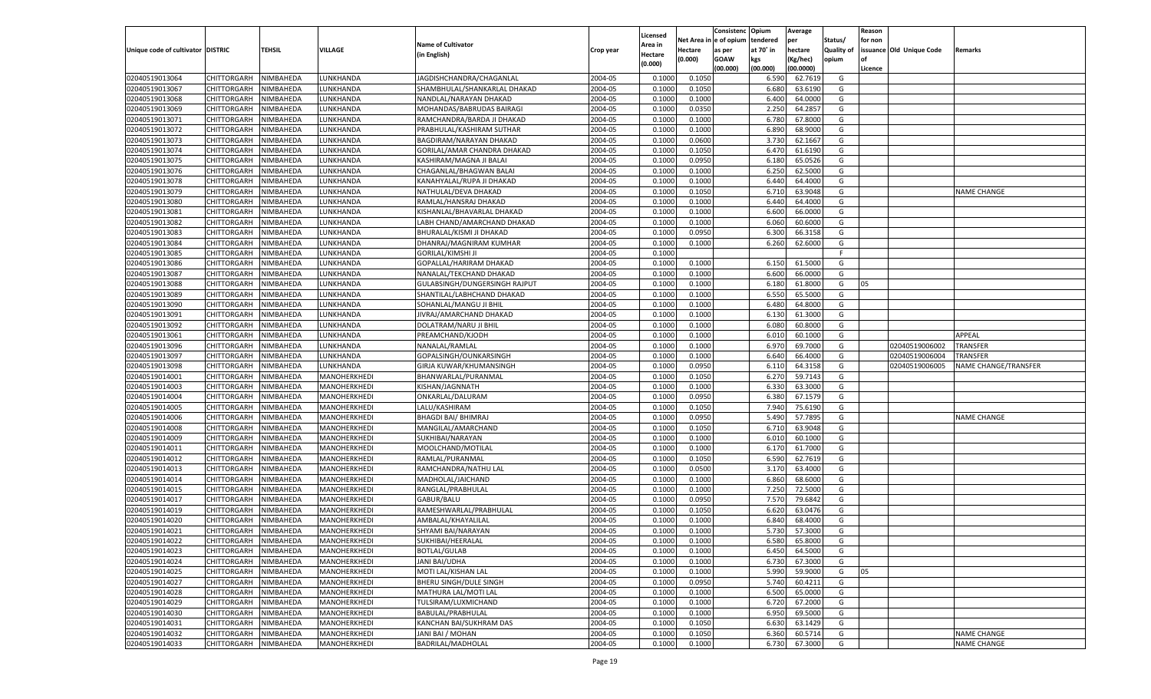|                                   |                       |           |                 |                               |                    |                    |            | Consistenc    | Opium     | Average   |                   | Reason  |                          |                      |
|-----------------------------------|-----------------------|-----------|-----------------|-------------------------------|--------------------|--------------------|------------|---------------|-----------|-----------|-------------------|---------|--------------------------|----------------------|
|                                   |                       |           |                 | <b>Name of Cultivator</b>     |                    | Licensed           | Net Area i | n  e of opium | tendered  | per       | Status/           | for non |                          |                      |
| Unique code of cultivator DISTRIC |                       | TEHSIL    | <b>VILLAGE</b>  | (in English)                  | Crop year          | Area in<br>Hectare | Hectare    | as per        | at 70° in | hectare   | <b>Quality of</b> |         | issuance Old Unique Code | Remarks              |
|                                   |                       |           |                 |                               |                    | (0.000)            | (0.000)    | <b>GOAW</b>   | kgs       | (Kg/hec)  | opium             |         |                          |                      |
|                                   |                       |           |                 |                               |                    |                    |            | (00.000)      | (00.000)  | (00.0000) |                   | Licence |                          |                      |
| 02040519013064                    | CHITTORGARH           | NIMBAHEDA | LUNKHANDA       | JAGDISHCHANDRA/CHAGANLAL      | 2004-05            | 0.1000             | 0.1050     |               | 6.590     | 62.7619   | G                 |         |                          |                      |
| 02040519013067                    | CHITTORGARH           | NIMBAHEDA | LUNKHANDA       | SHAMBHULAL/SHANKARLAL DHAKAD  | 2004-05            | 0.1000             | 0.1050     |               | 6.680     | 63.6190   | G                 |         |                          |                      |
| 02040519013068                    | CHITTORGARH           | NIMBAHEDA | LUNKHANDA       | NANDLAL/NARAYAN DHAKAD        | 2004-05            | 0.1000             | 0.1000     |               | 6.400     | 64.0000   | G                 |         |                          |                      |
| 02040519013069                    | CHITTORGARH           | NIMBAHEDA | LUNKHANDA       | MOHANDAS/BABRUDAS BAIRAGI     | 2004-05            | 0.1000             | 0.0350     |               | 2.250     | 64.2857   | G                 |         |                          |                      |
| 02040519013071                    | CHITTORGARH           | NIMBAHEDA | LUNKHANDA       | RAMCHANDRA/BARDA JI DHAKAD    | 2004-05            | 0.1000             | 0.1000     |               | 6.780     | 67.8000   | G                 |         |                          |                      |
| 02040519013072                    | CHITTORGARH           | NIMBAHEDA | LUNKHANDA       | PRABHULAL/KASHIRAM SUTHAR     | 2004-05            | 0.1000             | 0.1000     |               | 6.890     | 68.9000   | G                 |         |                          |                      |
| 02040519013073                    | CHITTORGARH           | NIMBAHEDA | LUNKHANDA       | BAGDIRAM/NARAYAN DHAKAD       | 2004-05            | 0.1000             | 0.0600     |               | 3.730     | 62.1667   | G                 |         |                          |                      |
| 02040519013074                    | CHITTORGARH           | NIMBAHEDA | LUNKHANDA       | GORILAL/AMAR CHANDRA DHAKAD   | 2004-05            | 0.1000             | 0.1050     |               | 6.470     | 61.6190   | G                 |         |                          |                      |
| 02040519013075                    | CHITTORGARH           | NIMBAHEDA | LUNKHANDA       | KASHIRAM/MAGNA JI BALAI       | 2004-05            | 0.1000             | 0.0950     |               | 6.180     | 65.0526   | G                 |         |                          |                      |
| 02040519013076                    | CHITTORGARH           | NIMBAHEDA | LUNKHANDA       | CHAGANLAL/BHAGWAN BALAI       | 2004-05            | 0.1000             | 0.1000     |               | 6.250     | 62.5000   | G                 |         |                          |                      |
| 02040519013078                    | CHITTORGARH           | NIMBAHEDA | LUNKHANDA       | KANAHYALAL/RUPA JI DHAKAD     | 2004-05            | 0.1000             | 0.1000     |               | 6.440     | 64.4000   | G                 |         |                          |                      |
| 02040519013079                    | CHITTORGARH           | NIMBAHEDA | LUNKHANDA       | NATHULAL/DEVA DHAKAD          | 2004-05            | 0.1000             | 0.1050     |               | 6.710     | 63.9048   | G                 |         |                          | NAME CHANGE          |
| 02040519013080                    | CHITTORGARH           | NIMBAHEDA | LUNKHANDA       | RAMLAL/HANSRAJ DHAKAD         | 2004-05            | 0.1000             | 0.1000     |               | 6.440     | 64.4000   | G                 |         |                          |                      |
| 02040519013081                    | CHITTORGARH           | NIMBAHEDA | UNKHANDA.       | KISHANLAL/BHAVARLAL DHAKAD    | 2004-05            | 0.1000             | 0.1000     |               | 6.600     | 66.0000   | G                 |         |                          |                      |
| 02040519013082                    | CHITTORGARH           | NIMBAHEDA | <b>UNKHANDA</b> | LABH CHAND/AMARCHAND DHAKAD   | 2004-05            | 0.1000             | 0.1000     |               | 6.060     | 60.6000   | G                 |         |                          |                      |
| 02040519013083                    | CHITTORGARH           | NIMBAHEDA | UNKHANDA        | BHURALAL/KISMI JI DHAKAD      | 2004-05            | 0.1000             | 0.0950     |               | 6.300     | 66.3158   | G                 |         |                          |                      |
| 02040519013084                    | CHITTORGARH           | NIMBAHEDA | UNKHANDA        | DHANRAJ/MAGNIRAM KUMHAR       | 2004-05            | 0.1000             | 0.1000     |               | 6.260     | 62.6000   | G                 |         |                          |                      |
| 02040519013085                    | CHITTORGARH           | NIMBAHEDA | UNKHANDA        | <b>GORILAL/KIMSHI JI</b>      | 2004-05            | 0.1000             |            |               |           |           | F.                |         |                          |                      |
| 02040519013086                    | CHITTORGARH           | NIMBAHEDA | UNKHANDA        | GOPALLAL/HARIRAM DHAKAD       | 2004-05            | 0.1000             | 0.1000     |               | 6.150     | 61.5000   | G                 |         |                          |                      |
| 02040519013087                    | CHITTORGARH           | NIMBAHEDA | <b>UNKHANDA</b> | NANALAL/TEKCHAND DHAKAD       | 2004-05            | 0.1000             | 0.1000     |               | 6.600     | 66.0000   | G                 |         |                          |                      |
| 02040519013088                    | CHITTORGARH           | NIMBAHEDA | <b>UNKHANDA</b> | GULABSINGH/DUNGERSINGH RAJPUT | 2004-05            | 0.1000             | 0.1000     |               | 6.180     | 61.8000   | G                 | 05      |                          |                      |
| 02040519013089                    | CHITTORGARH           | NIMBAHEDA | <b>UNKHANDA</b> | SHANTILAL/LABHCHAND DHAKAD    | 2004-05            | 0.1000             | 0.1000     |               | 6.550     | 65.5000   | G                 |         |                          |                      |
| 02040519013090                    | CHITTORGARH           | NIMBAHEDA | <b>UNKHANDA</b> | SOHANLAL/MANGU JI BHIL        | 2004-05            | 0.1000             | 0.1000     |               | 6.480     | 64.8000   | G                 |         |                          |                      |
| 02040519013091                    | CHITTORGARH           | NIMBAHEDA | <b>UNKHANDA</b> | JIVRAJ/AMARCHAND DHAKAD       | 2004-05            | 0.1000             | 0.1000     |               | 6.130     | 61.3000   | G                 |         |                          |                      |
| 02040519013092                    | CHITTORGARH           | NIMBAHEDA | UNKHANDA        | DOLATRAM/NARU JI BHIL         | 2004-05            | 0.1000             | 0.1000     |               | 6.080     | 60.8000   | G                 |         |                          |                      |
| 02040519013061                    | CHITTORGARH           | NIMBAHEDA | <b>UNKHANDA</b> | PREAMCHAND/KJODH              | 2004-05            | 0.1000             | 0.1000     |               | 6.010     | 60.1000   | G                 |         |                          | APPEAL               |
| 02040519013096                    | CHITTORGARH           | NIMBAHEDA | LUNKHANDA       | NANALAL/RAMLAL                | 2004-05            | 0.1000             | 0.1000     |               | 6.970     | 69.7000   | G                 |         | 02040519006002           | TRANSFER             |
| 02040519013097                    | CHITTORGARH           | NIMBAHEDA | UNKHANDA.       | GOPALSINGH/OUNKARSINGH        | 2004-05            | 0.1000             | 0.1000     |               | 6.640     | 66.4000   | G                 |         | 02040519006004           | TRANSFER             |
| 02040519013098                    | CHITTORGARH           | NIMBAHEDA | UNKHANDA        | GIRJA KUWAR/KHUMANSINGH       | 2004-05            | 0.1000             | 0.0950     |               | 6.110     | 64.3158   | G                 |         | 02040519006005           | NAME CHANGE/TRANSFER |
| 02040519014001                    | CHITTORGARH           | NIMBAHEDA | MANOHERKHEDI    | BHANWARLAL/PURANMAL           | 2004-05            | 0.1000             | 0.1050     |               | 6.270     | 59.7143   | G                 |         |                          |                      |
| 02040519014003                    | CHITTORGARH           | NIMBAHEDA | MANOHERKHEDI    | KISHAN/JAGNNATH               | 2004-05            | 0.1000             | 0.1000     |               | 6.330     | 63.3000   | G                 |         |                          |                      |
| 02040519014004                    | CHITTORGARH           | NIMBAHEDA | MANOHERKHEDI    | ONKARLAL/DALURAM              | 2004-05            | 0.1000             | 0.0950     |               | 6.380     | 67.1579   | G                 |         |                          |                      |
| 02040519014005                    | CHITTORGARH           | NIMBAHEDA | MANOHERKHEDI    | LALU/KASHIRAM                 | 2004-05            | 0.1000             | 0.1050     |               | 7.940     | 75.6190   | G                 |         |                          |                      |
| 02040519014006                    | CHITTORGARH           | NIMBAHEDA | MANOHERKHEDI    | <b>BHAGDI BAI/ BHIMRAJ</b>    | 2004-05            | 0.1000             | 0.0950     |               | 5.490     | 57.7895   | G                 |         |                          | <b>NAME CHANGE</b>   |
| 02040519014008                    | CHITTORGARH           | NIMBAHEDA | MANOHERKHEDI    | MANGILAL/AMARCHAND            | 2004-05            | 0.1000             | 0.1050     |               | 6.710     | 63.9048   | G                 |         |                          |                      |
| 02040519014009                    | CHITTORGARH           | NIMBAHEDA | MANOHERKHEDI    | SUKHIBAI/NARAYAN              | 2004-05            | 0.1000             | 0.1000     |               | 6.010     | 60.1000   | G                 |         |                          |                      |
| 02040519014011                    | CHITTORGARH           | NIMBAHEDA | MANOHERKHEDI    | MOOLCHAND/MOTILAL             | 2004-05            | 0.1000             | 0.1000     |               | 6.170     | 61.7000   | G                 |         |                          |                      |
| 02040519014012                    | CHITTORGARH           | NIMBAHEDA | MANOHERKHEDI    | RAMLAL/PURANMAI               | 2004-05            | 0.1000             | 0.1050     |               | 6.590     | 62.7619   | G                 |         |                          |                      |
| 02040519014013                    | CHITTORGARH           | NIMBAHEDA | MANOHERKHEDI    | RAMCHANDRA/NATHU LAL          | 2004-05            | 0.1000             | 0.0500     |               | 3.170     | 63.4000   | G                 |         |                          |                      |
| 02040519014014                    | CHITTORGARH           | NIMBAHEDA | MANOHERKHEDI    | MADHOLAL/JAICHAND             | 2004-05            | 0.1000             | 0.1000     |               | 6.860     | 68.6000   | G                 |         |                          |                      |
| 02040519014015                    | CHITTORGARH           | NIMBAHEDA | MANOHERKHEDI    | RANGLAL/PRABHULAL             | 2004-05            | 0.1000             | 0.1000     |               | 7.250     | 72.5000   | G                 |         |                          |                      |
| 02040519014017                    | CHITTORGARH           | NIMBAHEDA | MANOHERKHEDI    | GABUR/BALU                    | 2004-05            | 0.1000             | 0.0950     |               | 7.570     | 79.6842   | G                 |         |                          |                      |
| 02040519014019                    | CHITTORGARH           | NIMBAHEDA | MANOHERKHEDI    | RAMESHWARLAL/PRABHULAL        | 2004-05            | 0.1000             | 0.1050     |               | 6.620     | 63.0476   | G                 |         |                          |                      |
| 02040519014020                    | CHITTORGARH           | NIMBAHEDA | MANOHERKHEDI    | AMBALAL/KHAYALILAI            | 2004-05            | 0.1000             | 0.1000     |               | 6.840     | 68.4000   | G                 |         |                          |                      |
| 02040519014021                    |                       | NIMBAHEDA |                 |                               | 2004-05            | 0.1000             | 0.1000     |               | 5.730     | 57.3000   | G                 |         |                          |                      |
|                                   | CHITTORGARH           |           | MANOHERKHEDI    | SHYAMI BAI/NARAYAN            |                    |                    |            |               |           |           |                   |         |                          |                      |
| 02040519014022<br>02040519014023  | CHITTORGARH NIMBAHEDA | NIMBAHEDA | MANOHERKHEDI    | SUKHIBAI/HEERALAL             | 2004-05<br>2004-05 | 0.1000             | 0.1000     |               | 6.580     | 65.8000   | G                 |         |                          |                      |
|                                   | <b>CHITTORGARH</b>    |           | MANOHERKHEDI    | BOTLAL/GULAB                  |                    | 0.1000             | 0.1000     |               | 6.450     | 64.5000   | G                 |         |                          |                      |
| 02040519014024                    | CHITTORGARH           | NIMBAHEDA | MANOHERKHEDI    | JANI BAI/UDHA                 | 2004-05            | 0.1000             | 0.1000     |               | 6.730     | 67.3000   | G                 |         |                          |                      |
| 02040519014025                    | CHITTORGARH           | NIMBAHEDA | MANOHERKHEDI    | MOTI LAL/KISHAN LAL           | 2004-05            | 0.1000             | 0.1000     |               | 5.990     | 59.9000   | G                 | 05      |                          |                      |
| 02040519014027                    | <b>CHITTORGARH</b>    | NIMBAHEDA | MANOHERKHEDI    | BHERU SINGH/DULE SINGH        | 2004-05            | 0.1000             | 0.0950     |               | 5.740     | 60.4211   | G                 |         |                          |                      |
| 02040519014028                    | CHITTORGARH           | NIMBAHEDA | MANOHERKHEDI    | MATHURA LAL/MOTI LAL          | 2004-05            | 0.1000             | 0.1000     |               | 6.500     | 65.0000   | G                 |         |                          |                      |
| 02040519014029                    | <b>CHITTORGARH</b>    | NIMBAHEDA | MANOHERKHEDI    | TULSIRAM/LUXMICHAND           | 2004-05            | 0.1000             | 0.1000     |               | 6.720     | 67.2000   | G                 |         |                          |                      |
| 02040519014030                    | CHITTORGARH           | NIMBAHEDA | MANOHERKHEDI    | BABULAL/PRABHULAL             | 2004-05            | 0.1000             | 0.1000     |               | 6.950     | 69.5000   | G                 |         |                          |                      |
| 02040519014031                    | CHITTORGARH           | NIMBAHEDA | MANOHERKHEDI    | KANCHAN BAI/SUKHRAM DAS       | 2004-05            | 0.1000             | 0.1050     |               | 6.630     | 63.1429   | G                 |         |                          |                      |
| 02040519014032                    | <b>CHITTORGARH</b>    | NIMBAHEDA | MANOHERKHEDI    | JANI BAI / MOHAN              | 2004-05            | 0.1000             | 0.1050     |               | 6.360     | 60.5714   | G                 |         |                          | <b>NAME CHANGE</b>   |
| 02040519014033                    | <b>CHITTORGARH</b>    | NIMBAHEDA | MANOHERKHEDI    | BADRILAL/MADHOLAL             | 2004-05            | 0.1000             | 0.1000     |               | 6.730     | 67.3000   | G                 |         |                          | <b>NAME CHANGE</b>   |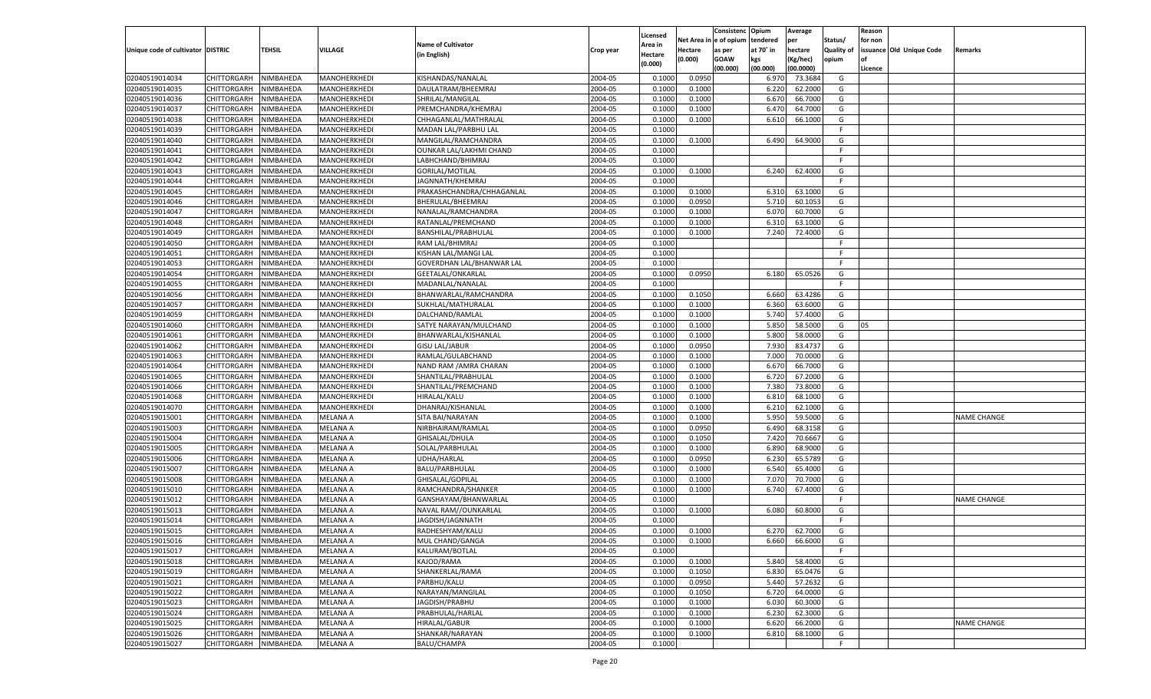|                                   |                       |               |                 |                           |           |                     |          | Consistenc  | Opium     | Average   |                   | Reason  |                          |                    |
|-----------------------------------|-----------------------|---------------|-----------------|---------------------------|-----------|---------------------|----------|-------------|-----------|-----------|-------------------|---------|--------------------------|--------------------|
|                                   |                       |               |                 | <b>Name of Cultivator</b> |           | Licensed<br>\rea in | Net Area | le of opium | tendered  | per       | Status/           | for non |                          |                    |
| Unique code of cultivator DISTRIC |                       | <b>TEHSIL</b> | VILLAGE         | (in English)              | Crop year | Hectare             | Hectare  | as per      | at 70° in | hectare   | <b>Quality of</b> |         | issuance Old Unique Code | Remarks            |
|                                   |                       |               |                 |                           |           | (0.000)             | (0.000)  | <b>GOAW</b> | kgs       | (Kg/hec)  | opium             |         |                          |                    |
|                                   |                       |               |                 |                           |           |                     |          | (00.000)    | (00.000)  | (00.0000) |                   | Licence |                          |                    |
| 02040519014034                    | CHITTORGARH           | NIMBAHEDA     | MANOHERKHEDI    | KISHANDAS/NANALAL         | 2004-05   | 0.1000              | 0.0950   |             | 6.97      | 73.3684   | G                 |         |                          |                    |
| 02040519014035                    | CHITTORGARH           | NIMBAHEDA     | MANOHERKHEDI    | DAULATRAM/BHEEMRAJ        | 2004-05   | 0.1000              | 0.1000   |             | 6.220     | 62.2000   | G                 |         |                          |                    |
| 02040519014036                    | CHITTORGARH           | NIMBAHEDA     | MANOHERKHEDI    | SHRILAL/MANGILAL          | 2004-05   | 0.1000              | 0.1000   |             | 6.670     | 66.7000   | G                 |         |                          |                    |
| 02040519014037                    | CHITTORGARH           | NIMBAHEDA     | MANOHERKHEDI    | PREMCHANDRA/KHEMRAJ       | 2004-05   | 0.1000              | 0.1000   |             | 6.470     | 64.7000   | G                 |         |                          |                    |
| 02040519014038                    | CHITTORGARH           | NIMBAHEDA     | MANOHERKHEDI    | CHHAGANLAL/MATHRALAL      | 2004-05   | 0.1000              | 0.1000   |             | 6.610     | 66.1000   | G                 |         |                          |                    |
| 02040519014039                    | CHITTORGARH           | NIMBAHEDA     | MANOHERKHEDI    | MADAN LAL/PARBHU LAL      | 2004-05   | 0.1000              |          |             |           |           | F.                |         |                          |                    |
| 02040519014040                    | CHITTORGARH           | NIMBAHEDA     | MANOHERKHEDI    | MANGILAL/RAMCHANDRA       | 2004-05   | 0.1000              | 0.1000   |             | 6.490     | 64.9000   | G                 |         |                          |                    |
| 02040519014041                    | CHITTORGARH           | NIMBAHEDA     | MANOHERKHEDI    | OUNKAR LAL/LAKHMI CHAND   | 2004-05   | 0.1000              |          |             |           |           | F.                |         |                          |                    |
| 02040519014042                    | CHITTORGARH           | NIMBAHEDA     | MANOHERKHEDI    | LABHCHAND/BHIMRAJ         | 2004-05   | 0.1000              |          |             |           |           | F.                |         |                          |                    |
| 02040519014043                    | CHITTORGARH           | NIMBAHEDA     | MANOHERKHEDI    | <b>GORILAL/MOTILAL</b>    | 2004-05   | 0.1000              | 0.1000   |             | 6.240     | 62.4000   | G                 |         |                          |                    |
| 02040519014044                    | CHITTORGARH           | NIMBAHEDA     | MANOHERKHEDI    | JAGNNATH/KHEMRAJ          | 2004-05   | 0.1000              |          |             |           |           | F.                |         |                          |                    |
| 02040519014045                    | CHITTORGARH           | NIMBAHEDA     | MANOHERKHEDI    | PRAKASHCHANDRA/CHHAGANLAL | 2004-05   | 0.1000              | 0.1000   |             | 6.310     | 63.1000   | G                 |         |                          |                    |
| 02040519014046                    | CHITTORGARH           | NIMBAHEDA     | MANOHERKHEDI    | BHERULAL/BHEEMRAJ         | 2004-05   | 0.1000              | 0.0950   |             | 5.710     | 60.1053   | G                 |         |                          |                    |
| 02040519014047                    | CHITTORGARH           | NIMBAHEDA     | MANOHERKHEDI    | NANALAL/RAMCHANDRA        | 2004-05   | 0.1000              | 0.1000   |             | 6.070     | 60.7000   | G                 |         |                          |                    |
| 02040519014048                    | CHITTORGARH           | NIMBAHEDA     | MANOHERKHEDI    | RATANLAL/PREMCHAND        | 2004-05   | 0.1000              | 0.1000   |             | 6.310     | 63.1000   | G                 |         |                          |                    |
| 02040519014049                    | CHITTORGARH           | NIMBAHEDA     | MANOHERKHEDI    | BANSHILAL/PRABHULAL       | 2004-05   | 0.1000              | 0.1000   |             | 7.240     | 72.4000   | G                 |         |                          |                    |
| 02040519014050                    | CHITTORGARH           | NIMBAHEDA     | MANOHERKHEDI    | RAM LAL/BHIMRAJ           | 2004-05   | 0.1000              |          |             |           |           | F                 |         |                          |                    |
| 02040519014051                    | CHITTORGARH           | NIMBAHEDA     | MANOHERKHEDI    | KISHAN LAL/MANGI LAL      | 2004-05   | 0.1000              |          |             |           |           | F.                |         |                          |                    |
| 02040519014053                    | CHITTORGARH           | NIMBAHEDA     | MANOHERKHEDI    | GOVERDHAN LAL/BHANWAR LAL | 2004-05   | 0.1000              |          |             |           |           | F.                |         |                          |                    |
| 02040519014054                    | CHITTORGARH           | NIMBAHEDA     | MANOHERKHEDI    | GEETALAL/ONKARLAL         | 2004-05   | 0.1000              | 0.0950   |             | 6.180     | 65.0526   | G                 |         |                          |                    |
| 02040519014055                    | CHITTORGARH           | NIMBAHEDA     | MANOHERKHEDI    | MADANLAL/NANALAL          | 2004-05   | 0.1000              |          |             |           |           | F.                |         |                          |                    |
| 02040519014056                    | CHITTORGARH           | NIMBAHEDA     | MANOHERKHEDI    | BHANWARLAL/RAMCHANDRA     | 2004-05   | 0.1000              | 0.1050   |             | 6.660     | 63.4286   | G                 |         |                          |                    |
| 02040519014057                    | CHITTORGARH           | NIMBAHEDA     | MANOHERKHEDI    | SUKHLAL/MATHURALAL        | 2004-05   | 0.1000              | 0.1000   |             | 6.360     | 63.6000   | G                 |         |                          |                    |
| 02040519014059                    | CHITTORGARH           | NIMBAHEDA     | MANOHERKHEDI    | DALCHAND/RAMLAL           | 2004-05   | 0.1000              | 0.1000   |             | 5.740     | 57.4000   | G                 |         |                          |                    |
| 02040519014060                    | CHITTORGARH           | NIMBAHEDA     | MANOHERKHEDI    | SATYE NARAYAN/MULCHAND    | 2004-05   | 0.1000              | 0.1000   |             | 5.850     | 58.5000   | G                 | 05      |                          |                    |
| 02040519014061                    | CHITTORGARH           | NIMBAHEDA     | MANOHERKHEDI    | BHANWARLAL/KISHANLAL      | 2004-05   | 0.1000              | 0.1000   |             | 5.800     | 58.0000   | G                 |         |                          |                    |
| 02040519014062                    | CHITTORGARH           | NIMBAHEDA     | MANOHERKHEDI    | <b>GISU LAL/JABUR</b>     | 2004-05   | 0.1000              | 0.0950   |             | 7.930     | 83.4737   | G                 |         |                          |                    |
| 02040519014063                    | CHITTORGARH           | NIMBAHEDA     | MANOHERKHEDI    | RAMLAL/GULABCHAND         | 2004-05   | 0.1000              | 0.1000   |             | 7.000     | 70.0000   | G                 |         |                          |                    |
| 02040519014064                    | CHITTORGARH           | NIMBAHEDA     | MANOHERKHEDI    | NAND RAM / AMRA CHARAN    | 2004-05   | 0.1000              | 0.1000   |             | 6.670     | 66.7000   | G                 |         |                          |                    |
| 02040519014065                    | CHITTORGARH           | NIMBAHEDA     | MANOHERKHEDI    | SHANTILAL/PRABHULAL       | 2004-05   | 0.1000              | 0.1000   |             | 6.720     | 67.2000   | G                 |         |                          |                    |
| 02040519014066                    | CHITTORGARH           | NIMBAHEDA     | MANOHERKHEDI    | SHANTILAL/PREMCHAND       | 2004-05   | 0.1000              | 0.1000   |             | 7.380     | 73.8000   | G                 |         |                          |                    |
| 02040519014068                    | CHITTORGARH           | NIMBAHEDA     | MANOHERKHEDI    | <b>HIRALAL/KALU</b>       | 2004-05   | 0.1000              | 0.1000   |             | 6.810     | 68.1000   | G                 |         |                          |                    |
| 02040519014070                    | CHITTORGARH           | NIMBAHEDA     | MANOHERKHEDI    | DHANRAJ/KISHANLAL         | 2004-05   | 0.1000              | 0.1000   |             | 6.210     | 62.1000   | G                 |         |                          |                    |
| 02040519015001                    | CHITTORGARH           | NIMBAHEDA     | MELANA A        | SITA BAI/NARAYAN          | 2004-05   | 0.1000              | 0.1000   |             | 5.950     | 59.5000   | G                 |         |                          | <b>NAME CHANGE</b> |
| 02040519015003                    | CHITTORGARH           | NIMBAHEDA     | <b>MELANA A</b> | NIRBHAIRAM/RAMLAL         | 2004-05   | 0.1000              | 0.0950   |             | 6.490     | 68.3158   | G                 |         |                          |                    |
| 02040519015004                    | CHITTORGARH           | NIMBAHEDA     | MELANA A        | GHISALAL/DHULA            | 2004-05   | 0.1000              | 0.1050   |             | 7.420     | 70.6667   | G                 |         |                          |                    |
| 02040519015005                    | CHITTORGARH           | NIMBAHEDA     | <b>MELANA A</b> | SOLAL/PARBHULAL           | 2004-05   | 0.1000              | 0.1000   |             | 6.890     | 68.9000   | G                 |         |                          |                    |
| 02040519015006                    | CHITTORGARH           | NIMBAHEDA     | MELANA A        | UDHA/HARLAL               | 2004-05   | 0.1000              | 0.0950   |             | 6.230     | 65.5789   | G                 |         |                          |                    |
| 02040519015007                    | CHITTORGARH           | NIMBAHEDA     | <b>MELANA A</b> | <b>BALU/PARBHULAL</b>     | 2004-05   | 0.1000              | 0.1000   |             | 6.540     | 65.4000   | G                 |         |                          |                    |
| 02040519015008                    | CHITTORGARH           | NIMBAHEDA     | MELANA A        | GHISALAL/GOPILAL          | 2004-05   | 0.1000              | 0.1000   |             | 7.07      | 70.7000   | G                 |         |                          |                    |
| 02040519015010                    | <b>CHITTORGARH</b>    | NIMBAHEDA     | <b>MELANA A</b> | RAMCHANDRA/SHANKER        | 2004-05   | 0.1000              | 0.1000   |             | 6.740     | 67.4000   | G                 |         |                          |                    |
| 02040519015012                    | CHITTORGARH           | NIMBAHEDA     | MELANA A        | GANSHAYAM/BHANWARLAL      | 2004-05   | 0.1000              |          |             |           |           | F.                |         |                          | <b>NAME CHANGE</b> |
| 02040519015013                    | CHITTORGARH           | NIMBAHEDA     | <b>MELANA A</b> | NAVAL RAM//OUNKARLAL      | 2004-05   | 0.1000              | 0.1000   |             | 6.080     | 60.8000   | G                 |         |                          |                    |
| 02040519015014                    | CHITTORGARH           | NIMBAHEDA     | MELANA A        | JAGDISH/JAGNNATH          | 2004-05   | 0.1000              |          |             |           |           | F.                |         |                          |                    |
| 02040519015015                    | CHITTORGARH           | NIMBAHEDA     | <b>MELANA A</b> | RADHESHYAM/KALU           | 2004-05   | 0.1000              | 0.1000   |             | 6.270     | 62.7000   | G                 |         |                          |                    |
| 02040519015016                    | CHITTORGARH NIMBAHEDA |               | <b>MELANA A</b> | MUL CHAND/GANGA           | 2004-05   | 0.1000              | 0.1000   |             | 6.660     | 66.6000   | G                 |         |                          |                    |
| 02040519015017                    | <b>CHITTORGARH</b>    | NIMBAHEDA     | <b>MELANA A</b> | KALURAM/BOTLAL            | 2004-05   | 0.1000              |          |             |           |           | -F                |         |                          |                    |
| 02040519015018                    | <b>CHITTORGARH</b>    | NIMBAHEDA     | <b>MELANA A</b> | KAJOD/RAMA                | 2004-05   | 0.1000              | 0.1000   |             | 5.840     | 58.4000   | G                 |         |                          |                    |
| 02040519015019                    | <b>CHITTORGARH</b>    | NIMBAHEDA     | <b>MELANA A</b> | SHANKERLAL/RAMA           | 2004-05   | 0.1000              | 0.1050   |             | 6.830     | 65.0476   | G                 |         |                          |                    |
| 02040519015021                    | <b>CHITTORGARH</b>    | NIMBAHEDA     | <b>MELANA A</b> | PARBHU/KALU               | 2004-05   | 0.1000              | 0.0950   |             | 5.440     | 57.2632   | G                 |         |                          |                    |
| 02040519015022                    | <b>CHITTORGARH</b>    | NIMBAHEDA     | <b>MELANA A</b> | NARAYAN/MANGILAL          | 2004-05   | 0.1000              | 0.1050   |             | 6.720     | 64.0000   | G                 |         |                          |                    |
| 02040519015023                    | <b>CHITTORGARH</b>    | NIMBAHEDA     | MELANA A        | JAGDISH/PRABHU            | 2004-05   | 0.1000              | 0.1000   |             | 6.030     | 60.3000   | G                 |         |                          |                    |
| 02040519015024                    | <b>CHITTORGARH</b>    | NIMBAHEDA     | MELANA A        | PRABHULAL/HARLAL          | 2004-05   | 0.1000              | 0.1000   |             | 6.230     | 62.3000   | G                 |         |                          |                    |
| 02040519015025                    | <b>CHITTORGARH</b>    | NIMBAHEDA     | MELANA A        | <b>HIRALAL/GABUR</b>      | 2004-05   | 0.1000              | 0.1000   |             | 6.620     | 66.2000   | G                 |         |                          | <b>NAME CHANGE</b> |
| 02040519015026                    | <b>CHITTORGARH</b>    | NIMBAHEDA     | <b>MELANA A</b> | SHANKAR/NARAYAN           | 2004-05   | 0.1000              | 0.1000   |             | 6.810     | 68.1000   | G                 |         |                          |                    |
| 02040519015027                    | <b>CHITTORGARH</b>    | NIMBAHEDA     | <b>MELANA A</b> | BALU/CHAMPA               | 2004-05   | 0.1000              |          |             |           |           | $\mathsf F$       |         |                          |                    |
|                                   |                       |               |                 |                           |           |                     |          |             |           |           |                   |         |                          |                    |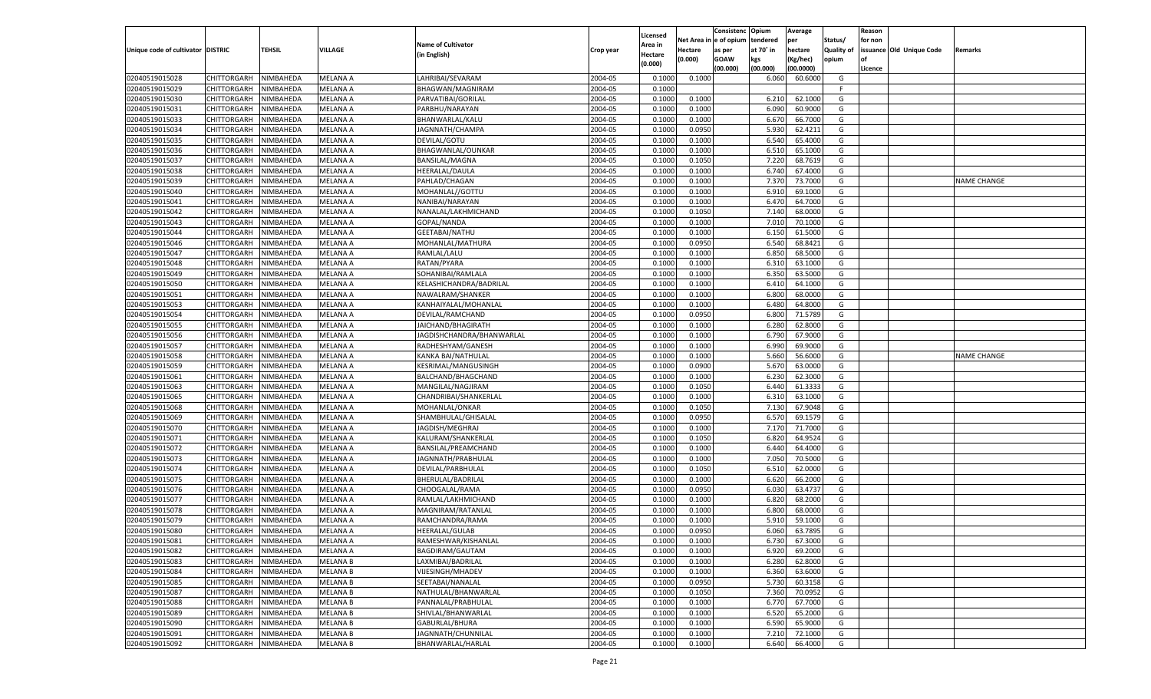|                                   |                    |           |                 |                           |           |          |            | Consistenc   | Opium     | Average   |            | Reason  |                          |                    |
|-----------------------------------|--------------------|-----------|-----------------|---------------------------|-----------|----------|------------|--------------|-----------|-----------|------------|---------|--------------------------|--------------------|
|                                   |                    |           |                 | <b>Name of Cultivator</b> |           | Licensed | Net Area i | n e of opium | tendered  | per       | Status/    | for non |                          |                    |
| Unique code of cultivator DISTRIC |                    | TEHSIL    | <b>VILLAGE</b>  |                           | Crop year | Area in  | Hectare    | as per       | at 70° in | hectare   | Quality of |         | issuance Old Unique Code | Remarks            |
|                                   |                    |           |                 | (in English)              |           | Hectare  | (0.000)    | <b>GOAW</b>  | kgs       | (Kg/hec)  | opium      |         |                          |                    |
|                                   |                    |           |                 |                           |           | (0.000)  |            | (00.000)     | (00.000)  | (00.0000) |            | Licence |                          |                    |
| 02040519015028                    | CHITTORGARH        | NIMBAHEDA | <b>MELANA A</b> | LAHRIBAI/SEVARAM          | 2004-05   | 0.1000   | 0.1000     |              | 6.060     | 60.6000   | G          |         |                          |                    |
| 02040519015029                    | CHITTORGARH        | NIMBAHEDA | MELANA A        | BHAGWAN/MAGNIRAM          | 2004-05   | 0.1000   |            |              |           |           | E          |         |                          |                    |
| 02040519015030                    | CHITTORGARH        | NIMBAHEDA | MELANA A        | PARVATIBAI/GORILAL        | 2004-05   | 0.1000   | 0.1000     |              | 6.21      | 62.1000   | G          |         |                          |                    |
| 02040519015031                    | CHITTORGARH        | NIMBAHEDA | MELANA A        | PARBHU/NARAYAN            | 2004-05   | 0.1000   | 0.1000     |              | 6.090     | 60.9000   | G          |         |                          |                    |
| 02040519015033                    | CHITTORGARH        | NIMBAHEDA | MELANA A        | BHANWARLAL/KALU           | 2004-05   | 0.1000   | 0.1000     |              | 6.670     | 66.7000   | G          |         |                          |                    |
| 02040519015034                    | CHITTORGARH        | NIMBAHEDA | MELANA A        | JAGNNATH/CHAMPA           | 2004-05   | 0.1000   | 0.0950     |              | 5.930     | 62.4211   | G          |         |                          |                    |
| 02040519015035                    | CHITTORGARH        | NIMBAHEDA | <b>MELANA A</b> | DEVILAL/GOTU              | 2004-05   | 0.1000   | 0.1000     |              | 6.540     | 65.4000   | G          |         |                          |                    |
| 02040519015036                    | CHITTORGARH        | NIMBAHEDA | MELANA A        | BHAGWANLAL/OUNKAR         | 2004-05   | 0.1000   | 0.1000     |              | 6.510     | 65.1000   | G          |         |                          |                    |
| 02040519015037                    | CHITTORGARH        | NIMBAHEDA | MELANA A        | <b>BANSILAL/MAGNA</b>     | 2004-05   | 0.1000   | 0.1050     |              | 7.220     | 68.7619   | G          |         |                          |                    |
|                                   |                    |           |                 | <b>HEERALAL/DAULA</b>     | 2004-05   |          |            |              | 6.740     |           | G          |         |                          |                    |
| 02040519015038                    | CHITTORGARH        | NIMBAHEDA | MELANA A        |                           |           | 0.1000   | 0.1000     |              |           | 67.4000   |            |         |                          |                    |
| 02040519015039                    | CHITTORGARH        | NIMBAHEDA | MELANA A        | PAHLAD/CHAGAN             | 2004-05   | 0.1000   | 0.1000     |              | 7.370     | 73.7000   | G          |         |                          | NAME CHANGE        |
| 02040519015040                    | CHITTORGARH        | NIMBAHEDA | MELANA A        | MOHANLAL//GOTTU           | 2004-05   | 0.1000   | 0.1000     |              | 6.910     | 69.1000   | G          |         |                          |                    |
| 02040519015041                    | CHITTORGARH        | NIMBAHEDA | MELANA A        | NANIBAI/NARAYAN           | 2004-05   | 0.1000   | 0.1000     |              | 6.470     | 64.7000   | G          |         |                          |                    |
| 02040519015042                    | CHITTORGARH        | NIMBAHEDA | MELANA A        | NANALAL/LAKHMICHAND       | 2004-05   | 0.1000   | 0.1050     |              | 7.140     | 68.0000   | G          |         |                          |                    |
| 02040519015043                    | CHITTORGARH        | NIMBAHEDA | <b>MELANA A</b> | GOPAL/NANDA               | 2004-05   | 0.1000   | 0.1000     |              | 7.010     | 70.1000   | G          |         |                          |                    |
| 02040519015044                    | CHITTORGARH        | NIMBAHEDA | MELANA A        | <b>GEETABAI/NATHU</b>     | 2004-05   | 0.1000   | 0.1000     |              | 6.150     | 61.5000   | G          |         |                          |                    |
| 02040519015046                    | CHITTORGARH        | NIMBAHEDA | <b>MELANA A</b> | MOHANLAL/MATHURA          | 2004-05   | 0.1000   | 0.0950     |              | 6.540     | 68.8421   | G          |         |                          |                    |
| 02040519015047                    | CHITTORGARH        | NIMBAHEDA | MELANA A        | RAMLAL/LALU               | 2004-05   | 0.1000   | 0.1000     |              | 6.850     | 68.5000   | G          |         |                          |                    |
| 02040519015048                    | CHITTORGARH        | NIMBAHEDA | MELANA A        | RATAN/PYARA               | 2004-05   | 0.1000   | 0.1000     |              | 6.310     | 63.1000   | G          |         |                          |                    |
| 02040519015049                    | CHITTORGARH        | NIMBAHEDA | MELANA A        | SOHANIBAI/RAMLALA         | 2004-05   | 0.1000   | 0.1000     |              | 6.350     | 63.5000   | G          |         |                          |                    |
| 02040519015050                    | CHITTORGARH        | NIMBAHEDA | <b>MELANA A</b> | KELASHICHANDRA/BADRILAL   | 2004-05   | 0.1000   | 0.1000     |              | 6.410     | 64.1000   | G          |         |                          |                    |
| 02040519015051                    | CHITTORGARH        | NIMBAHEDA | MELANA A        | NAWALRAM/SHANKER          | 2004-05   | 0.1000   | 0.1000     |              | 6.800     | 68.0000   | G          |         |                          |                    |
| 02040519015053                    | CHITTORGARH        | NIMBAHEDA | MELANA A        | KANHAIYALAL/MOHANLAL      | 2004-05   | 0.1000   | 0.1000     |              | 6.480     | 64.8000   | G          |         |                          |                    |
| 02040519015054                    | CHITTORGARH        | NIMBAHEDA | MELANA A        | DEVILAL/RAMCHAND          | 2004-05   | 0.1000   | 0.0950     |              | 6.800     | 71.5789   | G          |         |                          |                    |
| 02040519015055                    | CHITTORGARH        | NIMBAHEDA | <b>MELANA A</b> | JAICHAND/BHAGIRATH        | 2004-05   | 0.1000   | 0.1000     |              | 6.280     | 62.8000   | G          |         |                          |                    |
| 02040519015056                    | CHITTORGARH        | NIMBAHEDA | MELANA A        | JAGDISHCHANDRA/BHANWARLAI | 2004-05   | 0.1000   | 0.1000     |              | 6.790     | 67.9000   | G          |         |                          |                    |
| 02040519015057                    | CHITTORGARH        | NIMBAHEDA | <b>MELANA A</b> | RADHESHYAM/GANESH         | 2004-05   | 0.1000   | 0.1000     |              | 6.990     | 69.9000   | G          |         |                          |                    |
| 02040519015058                    | CHITTORGARH        | NIMBAHEDA | MELANA A        | KANKA BAI/NATHULAI        | 2004-05   | 0.1000   | 0.1000     |              | 5.660     | 56.6000   | G          |         |                          | <b>NAME CHANGE</b> |
| 02040519015059                    | CHITTORGARH        | NIMBAHEDA | <b>MELANA A</b> | KESRIMAL/MANGUSINGH       | 2004-05   | 0.1000   | 0.0900     |              | 5.670     | 63.0000   | G          |         |                          |                    |
| 02040519015061                    | CHITTORGARH        | NIMBAHEDA | MELANA A        | BALCHAND/BHAGCHAND        | 2004-05   | 0.1000   | 0.1000     |              | 6.230     | 62.3000   | G          |         |                          |                    |
|                                   |                    |           | <b>MELANA A</b> |                           | 2004-05   |          | 0.1050     |              | 6.440     | 61.3333   |            |         |                          |                    |
| 02040519015063                    | CHITTORGARH        | NIMBAHEDA |                 | MANGILAL/NAGJIRAM         |           | 0.1000   |            |              |           |           | G          |         |                          |                    |
| 02040519015065                    | CHITTORGARH        | NIMBAHEDA | MELANA A        | CHANDRIBAI/SHANKERLAL     | 2004-05   | 0.1000   | 0.1000     |              | 6.31      | 63.1000   | G          |         |                          |                    |
| 02040519015068                    | CHITTORGARH        | NIMBAHEDA | <b>MELANA A</b> | MOHANLAL/ONKAR            | 2004-05   | 0.1000   | 0.1050     |              | 7.130     | 67.9048   | G          |         |                          |                    |
| 02040519015069                    | CHITTORGARH        | NIMBAHEDA | MELANA A        | SHAMBHULAL/GHISALAL       | 2004-05   | 0.1000   | 0.0950     |              | 6.570     | 69.1579   | G          |         |                          |                    |
| 02040519015070                    | CHITTORGARH        | NIMBAHEDA | <b>MELANA A</b> | JAGDISH/MEGHRAJ           | 2004-05   | 0.1000   | 0.1000     |              | 7.170     | 71.7000   | G          |         |                          |                    |
| 02040519015071                    | CHITTORGARH        | NIMBAHEDA | MELANA A        | KALURAM/SHANKERLAL        | 2004-05   | 0.1000   | 0.1050     |              | 6.820     | 64.9524   | G          |         |                          |                    |
| 02040519015072                    | CHITTORGARH        | NIMBAHEDA | <b>MELANA A</b> | BANSILAL/PREAMCHAND       | 2004-05   | 0.1000   | 0.1000     |              | 6.440     | 64.4000   | G          |         |                          |                    |
| 02040519015073                    | CHITTORGARH        | NIMBAHEDA | MELANA A        | JAGNNATH/PRABHULAL        | 2004-05   | 0.1000   | 0.1000     |              | 7.050     | 70.5000   | G          |         |                          |                    |
| 02040519015074                    | CHITTORGARH        | NIMBAHEDA | <b>MELANA A</b> | DEVILAL/PARBHULAL         | 2004-05   | 0.1000   | 0.1050     |              | 6.510     | 62.0000   | G          |         |                          |                    |
| 02040519015075                    | CHITTORGARH        | NIMBAHEDA | MELANA A        | BHERULAL/BADRILAL         | 2004-05   | 0.1000   | 0.1000     |              | 6.620     | 66.2000   | G          |         |                          |                    |
| 02040519015076                    | CHITTORGARH        | NIMBAHEDA | <b>MELANA A</b> | CHOOGALAL/RAMA            | 2004-05   | 0.1000   | 0.0950     |              | 6.030     | 63.4737   | G          |         |                          |                    |
| 02040519015077                    | CHITTORGARH        | NIMBAHEDA | MELANA A        | RAMLAL/LAKHMICHAND        | 2004-05   | 0.1000   | 0.1000     |              | 6.820     | 68.2000   | G          |         |                          |                    |
| 02040519015078                    | CHITTORGARH        | NIMBAHEDA | <b>MELANA A</b> | MAGNIRAM/RATANLAI         | 2004-05   | 0.1000   | 0.1000     |              | 6.800     | 68.0000   | G          |         |                          |                    |
| 02040519015079                    | CHITTORGARH        | NIMBAHEDA | MELANA A        | RAMCHANDRA/RAMA           | 2004-05   | 0.1000   | 0.1000     |              | 5.910     | 59.1000   | G          |         |                          |                    |
| 02040519015080                    | CHITTORGARH        | NIMBAHEDA | MELANA A        | <b>HEERALAL/GULAB</b>     | 2004-05   | 0.1000   | 0.0950     |              | 6.060     | 63.7895   | G          |         |                          |                    |
| 02040519015081                    | CHITTORGARH        | NIMBAHEDA | <b>MELANA A</b> | RAMESHWAR/KISHANLAL       | 2004-05   | 0.1000   | 0.1000     |              | 6.730     | 67.3000   | G          |         |                          |                    |
| 02040519015082                    | <b>CHITTORGARH</b> | NIMBAHEDA | <b>MELANA A</b> | BAGDIRAM/GAUTAM           | 2004-05   | 0.1000   | 0.1000     |              | 6.920     | 69.2000   | G          |         |                          |                    |
| 02040519015083                    | CHITTORGARH        | NIMBAHEDA | <b>MELANA B</b> | LAXMIBAI/BADRILAL         | 2004-05   | 0.1000   | 0.1000     |              | 6.280     | 62.8000   | G          |         |                          |                    |
| 02040519015084                    | CHITTORGARH        | NIMBAHEDA | <b>MELANA B</b> | VIJESINGH/MHADEV          | 2004-05   | 0.1000   | 0.1000     |              | 6.360     | 63.6000   | G          |         |                          |                    |
| 02040519015085                    | CHITTORGARH        | NIMBAHEDA | <b>MELANA B</b> | SEETABAI/NANALAL          | 2004-05   | 0.1000   | 0.0950     |              | 5.730     | 60.3158   | G          |         |                          |                    |
| 02040519015087                    | <b>CHITTORGARH</b> | NIMBAHEDA | <b>MELANA B</b> | NATHULAL/BHANWARLAL       | 2004-05   | 0.1000   | 0.1050     |              | 7.360     | 70.0952   | G          |         |                          |                    |
| 02040519015088                    | CHITTORGARH        | NIMBAHEDA | <b>MELANA B</b> | PANNALAL/PRABHULAL        | 2004-05   | 0.1000   | 0.1000     |              | 6.770     | 67.7000   | G          |         |                          |                    |
| 02040519015089                    | CHITTORGARH        | NIMBAHEDA | <b>MELANA B</b> | SHIVLAL/BHANWARLAL        | 2004-05   |          | 0.1000     |              | 6.520     | 65.2000   | G          |         |                          |                    |
| 02040519015090                    |                    |           |                 |                           |           | 0.1000   |            |              |           |           |            |         |                          |                    |
|                                   | CHITTORGARH        | NIMBAHEDA | <b>MELANA B</b> | GABURLAL/BHURA            | 2004-05   | 0.1000   | 0.1000     |              | 6.590     | 65.9000   | G          |         |                          |                    |
| 02040519015091                    | <b>CHITTORGARH</b> | NIMBAHEDA | <b>MELANA B</b> | JAGNNATH/CHUNNILAL        | 2004-05   | 0.1000   | 0.1000     |              | 7.210     | 72.1000   | G          |         |                          |                    |
| 02040519015092                    | <b>CHITTORGARH</b> | NIMBAHEDA | <b>MELANA B</b> | BHANWARLAL/HARLAL         | 2004-05   | 0.1000   | 0.1000     |              | 6.640     | 66.4000   | G          |         |                          |                    |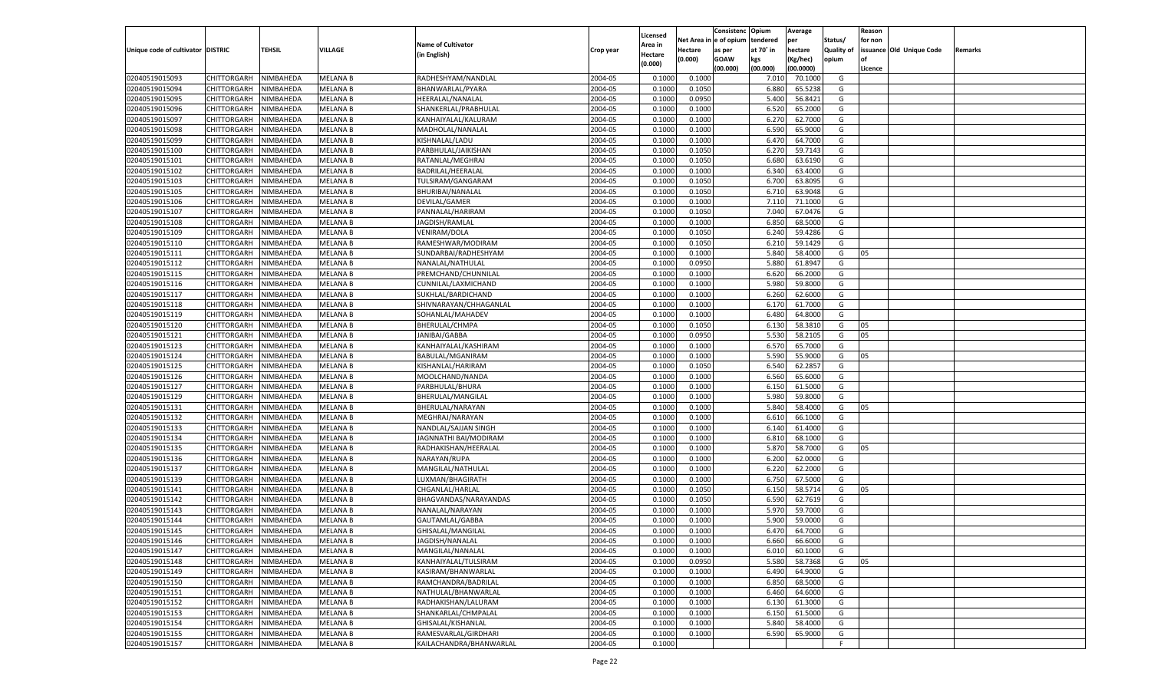|                                   |                            |                  |                                    |                                          |                    |          |                  | Consistenc   | Opium     | Average   |            | Reason  |                          |         |
|-----------------------------------|----------------------------|------------------|------------------------------------|------------------------------------------|--------------------|----------|------------------|--------------|-----------|-----------|------------|---------|--------------------------|---------|
|                                   |                            |                  |                                    |                                          |                    | Licensed | Net Area i       | n e of opium | tendered  | per       | Status/    | for non |                          |         |
| Unique code of cultivator DISTRIC |                            | TEHSIL           | VILLAGE                            | <b>Name of Cultivator</b>                | Crop year          | Area in  | Hectare          | as per       | at 70° in | hectare   | Quality of |         | issuance Old Unique Code | Remarks |
|                                   |                            |                  |                                    | (in English)                             |                    | Hectare  | (0.000)          | <b>GOAW</b>  | kgs       | (Kg/hec)  | opium      |         |                          |         |
|                                   |                            |                  |                                    |                                          |                    | (0.000)  |                  | (00.000)     | (00.000)  | (00.0000) |            | Licence |                          |         |
| 02040519015093                    | CHITTORGARH                | NIMBAHEDA        | <b>MELANA B</b>                    | RADHESHYAM/NANDLAL                       | 2004-05            | 0.1000   | 0.1000           |              | 7.010     | 70.1000   | G          |         |                          |         |
| 02040519015094                    | CHITTORGARH                | NIMBAHEDA        | <b>MELANA B</b>                    | BHANWARLAL/PYARA                         | 2004-05            | 0.1000   | 0.1050           |              | 6.880     | 65.5238   | G          |         |                          |         |
| 02040519015095                    | CHITTORGARH                | NIMBAHEDA        | <b>MELANA B</b>                    | HEERALAL/NANALAL                         | 2004-05            | 0.1000   | 0.0950           |              | 5.400     | 56.8421   | G          |         |                          |         |
| 02040519015096                    | CHITTORGARH                | NIMBAHEDA        | <b>MELANA B</b>                    | SHANKERLAL/PRABHULAL                     | 2004-05            | 0.1000   | 0.1000           |              | 6.520     | 65.2000   | G          |         |                          |         |
| 02040519015097                    | CHITTORGARH                | NIMBAHEDA        | <b>MELANA B</b>                    | KANHAIYALAL/KALURAM                      | 2004-05            | 0.1000   | 0.1000           |              | 6.270     | 62.7000   | G          |         |                          |         |
| 02040519015098                    | CHITTORGARH                | NIMBAHEDA        | <b>MELANA B</b>                    | MADHOLAL/NANALAL                         | 2004-05            | 0.1000   | 0.1000           |              | 6.590     | 65.9000   | G          |         |                          |         |
| 02040519015099                    | CHITTORGARH                | NIMBAHEDA        | <b>MELANA B</b>                    | KISHNALAL/LADU                           | 2004-05            | 0.1000   | 0.1000           |              | 6.470     | 64.7000   | G          |         |                          |         |
| 02040519015100                    | CHITTORGARH                | NIMBAHEDA        | <b>MELANA B</b>                    | PARBHULAL/JAIKISHAN                      | 2004-05            | 0.1000   | 0.1050           |              | 6.27      | 59.7143   | G          |         |                          |         |
| 02040519015101                    | CHITTORGARH                | NIMBAHEDA        | <b>MELANA B</b>                    | RATANLAL/MEGHRAJ                         | 2004-05            | 0.1000   | 0.1050           |              | 6.680     | 63.6190   | G          |         |                          |         |
| 02040519015102                    | CHITTORGARH                | NIMBAHEDA        | <b>MELANA B</b>                    | BADRILAL/HEERALAL                        | 2004-05            | 0.1000   | 0.1000           |              | 6.340     | 63.4000   | G          |         |                          |         |
| 02040519015103                    | CHITTORGARH                | NIMBAHEDA        | <b>MELANA B</b>                    | TULSIRAM/GANGARAM                        | 2004-05            | 0.1000   | 0.1050           |              | 6.700     | 63.8095   | G          |         |                          |         |
| 02040519015105                    | CHITTORGARH                | NIMBAHEDA        | <b>MELANA B</b>                    | BHURIBAI/NANALAL                         | 2004-05            | 0.1000   | 0.1050           |              | 6.710     | 63.9048   | G          |         |                          |         |
| 02040519015106                    | CHITTORGARH                | NIMBAHEDA        | <b>MELANA B</b>                    | DEVILAL/GAMER                            | 2004-05            | 0.1000   | 0.1000           |              | 7.11      | 71.1000   | G          |         |                          |         |
| 02040519015107                    | CHITTORGARH                | NIMBAHEDA        | <b>MELANA B</b>                    | PANNALAL/HARIRAM                         | 2004-05            | 0.1000   | 0.1050           |              | 7.040     | 67.0476   | G          |         |                          |         |
| 02040519015108                    | CHITTORGARH                | NIMBAHEDA        | <b>MELANA B</b>                    | JAGDISH/RAMLAL                           | 2004-05            | 0.1000   | 0.1000           |              | 6.850     | 68.5000   | G          |         |                          |         |
| 02040519015109                    | CHITTORGARH                | NIMBAHEDA        | <b>MELANA B</b>                    | VENIRAM/DOLA                             | 2004-05            | 0.1000   | 0.1050           |              | 6.240     | 59.4286   | G          |         |                          |         |
| 02040519015110                    | CHITTORGARH                | NIMBAHEDA        | <b>MELANA B</b>                    | RAMESHWAR/MODIRAM                        | 2004-05            | 0.1000   | 0.1050           |              | 6.210     | 59.1429   | G          |         |                          |         |
| 02040519015111                    | CHITTORGARH                | NIMBAHEDA        | <b>MELANA B</b>                    | SUNDARBAI/RADHESHYAM                     | 2004-05            | 0.1000   | 0.1000           |              | 5.840     | 58.4000   | G          | 05      |                          |         |
| 02040519015112                    | CHITTORGARH                | NIMBAHEDA        | <b>MELANA B</b>                    | NANALAL/NATHULAL                         | 2004-05            | 0.1000   | 0.0950           |              | 5.880     | 61.8947   | G          |         |                          |         |
| 02040519015115                    | CHITTORGARH                | NIMBAHEDA        | <b>MELANA B</b>                    | PREMCHAND/CHUNNILAL                      | 2004-05            | 0.1000   | 0.1000           |              | 6.620     | 66.2000   | G          |         |                          |         |
| 02040519015116                    | CHITTORGARH                | NIMBAHEDA        | <b>MELANA B</b>                    | CUNNILAL/LAXMICHAND                      | 2004-05            | 0.1000   | 0.1000           |              | 5.980     | 59.8000   | G          |         |                          |         |
| 02040519015117                    | CHITTORGARH                | NIMBAHEDA        | <b>MELANA B</b>                    | SUKHLAL/BARDICHAND                       | 2004-05            | 0.1000   | 0.1000           |              | 6.260     | 62.6000   | G          |         |                          |         |
| 02040519015118                    | CHITTORGARH                | NIMBAHEDA        | <b>MELANA B</b>                    | SHIVNARAYAN/CHHAGANLAL                   | 2004-05            | 0.1000   | 0.1000           |              | 6.170     | 61.7000   | G          |         |                          |         |
| 02040519015119                    | CHITTORGARH                | NIMBAHEDA        | <b>MELANA B</b>                    | SOHANLAL/MAHADEV                         | 2004-05            | 0.1000   | 0.1000           |              | 6.480     | 64.8000   | G          |         |                          |         |
| 02040519015120                    | CHITTORGARH                | NIMBAHEDA        | <b>MELANA B</b>                    | BHERULAL/CHMPA                           | 2004-05            | 0.1000   | 0.1050           |              | 6.130     | 58.3810   | G          | 05      |                          |         |
| 02040519015121                    |                            |                  |                                    |                                          | 2004-05            | 0.1000   |                  |              | 5.530     | 58.2105   | G          | 05      |                          |         |
| 02040519015123                    | CHITTORGARH                | NIMBAHEDA        | <b>MELANA B</b><br><b>MELANA B</b> | JANIBAI/GABBA                            | 2004-05            | 0.1000   | 0.0950<br>0.1000 |              | 6.570     | 65.7000   | G          |         |                          |         |
|                                   | CHITTORGARH<br>CHITTORGARH | NIMBAHEDA        |                                    | KANHAIYALAL/KASHIRAM<br>BABULAL/MGANIRAM |                    |          |                  |              |           | 55.9000   |            |         |                          |         |
| 02040519015124                    | CHITTORGARH                | NIMBAHEDA        | <b>MELANA B</b>                    |                                          | 2004-05<br>2004-05 | 0.1000   | 0.1000           |              | 5.590     | 62.2857   | G<br>G     | 05      |                          |         |
| 02040519015125                    |                            | NIMBAHEDA        | <b>MELANA B</b>                    | KISHANLAL/HARIRAM                        |                    | 0.1000   | 0.1050           |              | 6.540     |           |            |         |                          |         |
| 02040519015126                    | CHITTORGARH                | NIMBAHEDA        | <b>MELANA B</b>                    | MOOLCHAND/NANDA                          | 2004-05            | 0.1000   | 0.1000           |              | 6.560     | 65.6000   | G          |         |                          |         |
| 02040519015127                    | CHITTORGARH                | NIMBAHEDA        | <b>MELANA B</b>                    | PARBHULAL/BHURA                          | 2004-05            | 0.1000   | 0.1000           |              | 6.150     | 61.5000   | G          |         |                          |         |
| 02040519015129                    | CHITTORGARH                | NIMBAHEDA        | <b>MELANA B</b>                    | BHERULAL/MANGILAL                        | 2004-05            | 0.1000   | 0.1000           |              | 5.980     | 59.8000   | G          |         |                          |         |
| 02040519015131                    | CHITTORGARH                | NIMBAHEDA        | <b>MELANA B</b>                    | BHERULAL/NARAYAN                         | 2004-05            | 0.1000   | 0.1000           |              | 5.840     | 58.4000   | G          | 05      |                          |         |
| 02040519015132                    | CHITTORGARH                | NIMBAHEDA        | <b>MELANA B</b>                    | MEGHRAJ/NARAYAN                          | 2004-05            | 0.1000   | 0.1000           |              | 6.610     | 66.1000   | G          |         |                          |         |
| 02040519015133                    | CHITTORGARH                | NIMBAHEDA        | <b>MELANA B</b>                    | NANDLAL/SAJJAN SINGH                     | 2004-05            | 0.1000   | 0.1000           |              | 6.140     | 61.4000   | G          |         |                          |         |
| 02040519015134                    | CHITTORGARH                | NIMBAHEDA        | <b>MELANA B</b>                    | JAGNNATHI BAI/MODIRAM                    | 2004-05            | 0.1000   | 0.1000           |              | 6.810     | 68.1000   | G          |         |                          |         |
| 02040519015135                    | CHITTORGARH                | NIMBAHEDA        | <b>MELANA B</b>                    | RADHAKISHAN/HEERALAL                     | 2004-05            | 0.1000   | 0.1000           |              | 5.870     | 58.7000   | G          | 05      |                          |         |
| 02040519015136                    | CHITTORGARH                | NIMBAHEDA        | <b>MELANA B</b>                    | NARAYAN/RUPA                             | 2004-05            | 0.1000   | 0.1000           |              | 6.200     | 62.0000   | G          |         |                          |         |
| 02040519015137                    | CHITTORGARH                | NIMBAHEDA        | <b>MELANA B</b>                    | MANGILAL/NATHULAL                        | 2004-05            | 0.1000   | 0.1000           |              | 6.220     | 62.2000   | G          |         |                          |         |
| 02040519015139                    | CHITTORGARH                | NIMBAHEDA        | <b>MELANA B</b>                    | LUXMAN/BHAGIRATH                         | 2004-05            | 0.1000   | 0.1000           |              | 6.750     | 67.5000   | G          |         |                          |         |
| 02040519015141                    | CHITTORGARH                | NIMBAHEDA        | <b>MELANA B</b>                    | CHGANLAL/HARLAI                          | 2004-05            | 0.1000   | 0.1050           |              | 6.150     | 58.5714   | G          | 05      |                          |         |
| 02040519015142                    | CHITTORGARH                | NIMBAHEDA        | <b>MELANA B</b>                    | BHAGVANDAS/NARAYANDAS                    | 2004-05            | 0.1000   | 0.1050           |              | 6.590     | 62.7619   | G          |         |                          |         |
| 02040519015143                    | CHITTORGARH                | NIMBAHEDA        | <b>MELANA B</b>                    | NANALAL/NARAYAN                          | 2004-05            | 0.1000   | 0.1000           |              | 5.970     | 59.7000   | G          |         |                          |         |
| 02040519015144                    | CHITTORGARH                | NIMBAHEDA        | <b>MELANA B</b>                    | GAUTAMLAL/GABBA                          | 2004-05            | 0.1000   | 0.1000           |              | 5.900     | 59.0000   | G          |         |                          |         |
| 02040519015145                    | CHITTORGARH                | NIMBAHEDA        | <b>MELANA B</b>                    | GHISALAL/MANGILAL                        | 2004-05            | 0.1000   | 0.1000           |              | 6.470     | 64.7000   | G          |         |                          |         |
| 02040519015146                    | CHITTORGARH NIMBAHEDA      |                  | <b>MELANA B</b>                    | JAGDISH/NANALAL                          | 2004-05            | 0.1000   | 0.1000           |              | 6.660     | 66.6000   | G          |         |                          |         |
| 02040519015147                    | <b>CHITTORGARH</b>         | <b>NIMBAHEDA</b> | <b>MELANA B</b>                    | MANGILAL/NANALAL                         | 2004-05            | 0.1000   | 0.1000           |              | 6.010     | 60.1000   | G          |         |                          |         |
| 02040519015148                    | CHITTORGARH                | NIMBAHEDA        | <b>MELANA B</b>                    | KANHAIYALAL/TULSIRAM                     | 2004-05            | 0.1000   | 0.0950           |              | 5.580     | 58.7368   | G          | 05      |                          |         |
| 02040519015149                    | CHITTORGARH                | NIMBAHEDA        | <b>MELANA B</b>                    | KASIRAM/BHANWARLAL                       | 2004-05            | 0.1000   | 0.1000           |              | 6.490     | 64.9000   | G          |         |                          |         |
| 02040519015150                    | <b>CHITTORGARH</b>         | NIMBAHEDA        | <b>MELANA B</b>                    | RAMCHANDRA/BADRILAL                      | 2004-05            | 0.1000   | 0.1000           |              | 6.850     | 68.5000   | G          |         |                          |         |
| 02040519015151                    | CHITTORGARH                | NIMBAHEDA        | <b>MELANA B</b>                    | NATHULAL/BHANWARLAL                      | 2004-05            | 0.1000   | 0.1000           |              | 6.460     | 64.6000   | G          |         |                          |         |
| 02040519015152                    | <b>CHITTORGARH</b>         | NIMBAHEDA        | <b>MELANA B</b>                    | RADHAKISHAN/LALURAM                      | 2004-05            | 0.1000   | 0.1000           |              | 6.130     | 61.3000   | G          |         |                          |         |
| 02040519015153                    | CHITTORGARH                | NIMBAHEDA        | <b>MELANA B</b>                    | SHANKARLAL/CHMPALAL                      | 2004-05            | 0.1000   | 0.1000           |              | 6.150     | 61.5000   | G          |         |                          |         |
| 02040519015154                    | <b>CHITTORGARH</b>         | NIMBAHEDA        | <b>MELANA B</b>                    | GHISALAL/KISHANLAL                       | 2004-05            | 0.1000   | 0.1000           |              | 5.840     | 58.4000   | G          |         |                          |         |
| 02040519015155                    | <b>CHITTORGARH</b>         | NIMBAHEDA        | <b>MELANA B</b>                    | RAMESVARLAL/GIRDHARI                     | 2004-05            | 0.1000   | 0.1000           |              | 6.590     | 65.9000   | G          |         |                          |         |
| 02040519015157                    | <b>CHITTORGARH</b>         | NIMBAHEDA        | <b>MELANA B</b>                    | KAILACHANDRA/BHANWARLAL                  | 2004-05            | 0.1000   |                  |              |           |           | F.         |         |                          |         |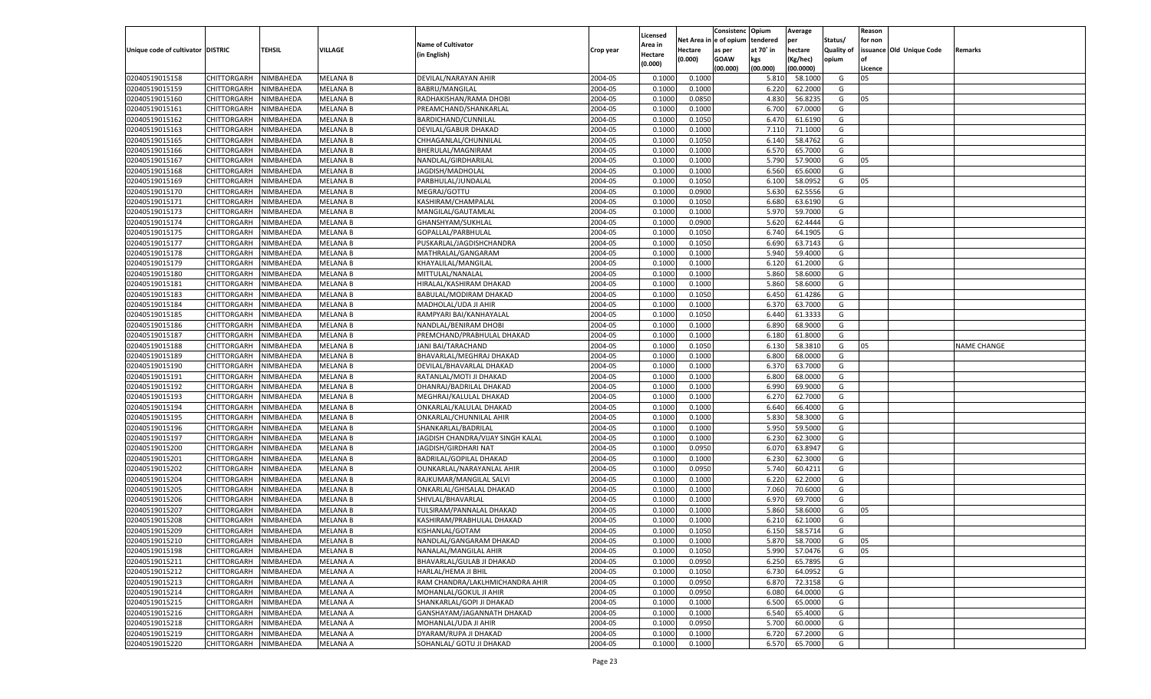|                                   |                       |                  |                 |                                   |           |          |             | Consistenc    | Opium     | Average   |            | Reason  |                          |                    |
|-----------------------------------|-----------------------|------------------|-----------------|-----------------------------------|-----------|----------|-------------|---------------|-----------|-----------|------------|---------|--------------------------|--------------------|
|                                   |                       |                  |                 |                                   |           | Licensed | Net Area iı | n  e of opium | tendered  | per       | Status/    | for non |                          |                    |
| Unique code of cultivator DISTRIC |                       | TEHSIL           | VILLAGE         | <b>Name of Cultivator</b>         | Crop year | Area in  | Hectare     | as per        | at 70° in | hectare   | Quality of |         | issuance Old Unique Code | Remarks            |
|                                   |                       |                  |                 | (in English)                      |           | Hectare  | (0.000)     | <b>GOAW</b>   | kgs       | (Kg/hec)  | opium      |         |                          |                    |
|                                   |                       |                  |                 |                                   |           | (0.000)  |             | (00.000)      | (00.000)  | (00.0000) |            | Licence |                          |                    |
| 02040519015158                    | CHITTORGARH           | NIMBAHEDA        | <b>MELANA B</b> | DEVILAL/NARAYAN AHIR              | 2004-05   | 0.1000   | 0.1000      |               | 5.810     | 58.1000   | G          | 05      |                          |                    |
| 02040519015159                    | CHITTORGARH           | NIMBAHEDA        | <b>MELANA B</b> | BABRU/MANGILAL                    | 2004-05   | 0.1000   | 0.1000      |               | 6.220     | 62.2000   | G          |         |                          |                    |
| 02040519015160                    | CHITTORGARH           | NIMBAHEDA        | <b>MELANA B</b> | RADHAKISHAN/RAMA DHOBI            | 2004-05   | 0.1000   | 0.0850      |               | 4.830     | 56.8235   | G          | 05      |                          |                    |
| 02040519015161                    | CHITTORGARH           | NIMBAHEDA        | <b>MELANA B</b> | PREAMCHAND/SHANKARLAI             | 2004-05   | 0.1000   | 0.1000      |               | 6.700     | 67.0000   | G          |         |                          |                    |
| 02040519015162                    | CHITTORGARH           | NIMBAHEDA        | <b>MELANA B</b> | BARDICHAND/CUNNILAL               | 2004-05   | 0.1000   | 0.1050      |               | 6.470     | 61.6190   | G          |         |                          |                    |
| 02040519015163                    | CHITTORGARH           | NIMBAHEDA        | <b>MELANA B</b> | DEVILAL/GABUR DHAKAD              | 2004-05   | 0.1000   | 0.1000      |               | 7.11(     | 71.1000   | G          |         |                          |                    |
| 02040519015165                    | CHITTORGARH           | NIMBAHEDA        | <b>MELANA B</b> | CHHAGANLAL/CHUNNILAL              | 2004-05   | 0.1000   | 0.1050      |               | 6.140     | 58.4762   | G          |         |                          |                    |
| 02040519015166                    | CHITTORGARH           | NIMBAHEDA        | <b>MELANA B</b> | BHERULAL/MAGNIRAM                 | 2004-05   | 0.1000   | 0.1000      |               | 6.570     | 65.7000   | G          |         |                          |                    |
| 02040519015167                    | CHITTORGARH           | NIMBAHEDA        | <b>MELANA B</b> | NANDLAL/GIRDHARILAL               | 2004-05   | 0.1000   | 0.1000      |               | 5.790     | 57.9000   | G          | 05      |                          |                    |
|                                   |                       |                  |                 |                                   | 2004-05   |          |             |               |           |           | G          |         |                          |                    |
| 02040519015168                    | CHITTORGARH           | NIMBAHEDA        | <b>MELANA B</b> | JAGDISH/MADHOLAL                  |           | 0.1000   | 0.1000      |               | 6.560     | 65.6000   |            |         |                          |                    |
| 02040519015169                    | CHITTORGARH           | NIMBAHEDA        | <b>MELANA B</b> | PARBHULAL/JUNDALAL                | 2004-05   | 0.1000   | 0.1050      |               | 6.100     | 58.0952   | G          | 05      |                          |                    |
| 02040519015170                    | CHITTORGARH           | NIMBAHEDA        | <b>MELANA B</b> | MEGRAJ/GOTTU                      | 2004-05   | 0.1000   | 0.0900      |               | 5.630     | 62.5556   | G          |         |                          |                    |
| 02040519015171                    | CHITTORGARH           | NIMBAHEDA        | <b>MELANA B</b> | KASHIRAM/CHAMPALAL                | 2004-05   | 0.1000   | 0.1050      |               | 6.680     | 63.6190   | G          |         |                          |                    |
| 02040519015173                    | CHITTORGARH           | NIMBAHEDA        | <b>MELANA B</b> | MANGILAL/GAUTAMLAI                | 2004-05   | 0.1000   | 0.1000      |               | 5.970     | 59.7000   | G          |         |                          |                    |
| 02040519015174                    | CHITTORGARH           | NIMBAHEDA        | MELANA B        | GHANSHYAM/SUKHLAL                 | 2004-05   | 0.1000   | 0.0900      |               | 5.620     | 62.4444   | G          |         |                          |                    |
| 02040519015175                    | CHITTORGARH           | NIMBAHEDA        | <b>MELANA B</b> | GOPALLAL/PARBHULAL                | 2004-05   | 0.1000   | 0.1050      |               | 6.740     | 64.1905   | G          |         |                          |                    |
| 02040519015177                    | CHITTORGARH           | NIMBAHEDA        | <b>MELANA B</b> | PUSKARLAL/JAGDISHCHANDRA          | 2004-05   | 0.1000   | 0.1050      |               | 6.690     | 63.7143   | G          |         |                          |                    |
| 02040519015178                    | CHITTORGARH           | NIMBAHEDA        | <b>MELANA B</b> | MATHRALAL/GANGARAM                | 2004-05   | 0.1000   | 0.1000      |               | 5.940     | 59.4000   | G          |         |                          |                    |
| 02040519015179                    | CHITTORGARH           | NIMBAHEDA        | MELANA B        | KHAYALILAL/MANGILAL               | 2004-05   | 0.1000   | 0.1000      |               | 6.120     | 61.2000   | G          |         |                          |                    |
| 02040519015180                    | CHITTORGARH           | NIMBAHEDA        | <b>MELANA B</b> | MITTULAL/NANALAL                  | 2004-05   | 0.1000   | 0.1000      |               | 5.860     | 58.6000   | G          |         |                          |                    |
| 02040519015181                    | CHITTORGARH           | NIMBAHEDA        | <b>MELANA B</b> | HIRALAL/KASHIRAM DHAKAD           | 2004-05   | 0.1000   | 0.1000      |               | 5.860     | 58.6000   | G          |         |                          |                    |
| 02040519015183                    | CHITTORGARH           | NIMBAHEDA        | <b>MELANA B</b> | BABULAL/MODIRAM DHAKAD            | 2004-05   | 0.1000   | 0.1050      |               | 6.450     | 61.4286   | G          |         |                          |                    |
| 02040519015184                    | CHITTORGARH           | NIMBAHEDA        | MELANA B        | MADHOLAL/UDA JI AHIR              | 2004-05   | 0.1000   | 0.1000      |               | 6.370     | 63.7000   | G          |         |                          |                    |
| 02040519015185                    | CHITTORGARH           | NIMBAHEDA        | <b>MELANA B</b> | RAMPYARI BAI/KANHAYALAL           | 2004-05   | 0.1000   | 0.1050      |               | 6.440     | 61.3333   | G          |         |                          |                    |
| 02040519015186                    | CHITTORGARH           | NIMBAHEDA        | <b>MELANA B</b> | NANDLAL/BENIRAM DHOBI             | 2004-05   | 0.1000   | 0.1000      |               | 6.890     | 68.9000   | G          |         |                          |                    |
| 02040519015187                    | CHITTORGARH           | NIMBAHEDA        | <b>MELANA B</b> | PREMCHAND/PRABHULAL DHAKAD        | 2004-05   | 0.1000   | 0.1000      |               | 6.180     | 61.8000   | G          |         |                          |                    |
| 02040519015188                    | CHITTORGARH           | NIMBAHEDA        | <b>MELANA B</b> | JANI BAI/TARACHAND                | 2004-05   | 0.1000   | 0.1050      |               | 6.130     | 58.3810   | G          | 05      |                          | <b>NAME CHANGE</b> |
| 02040519015189                    | CHITTORGARH           | NIMBAHEDA        | <b>MELANA B</b> | BHAVARLAL/MEGHRAJ DHAKAD          | 2004-05   | 0.1000   | 0.1000      |               | 6.800     | 68.0000   | G          |         |                          |                    |
| 02040519015190                    | CHITTORGARH           | NIMBAHEDA        | <b>MELANA B</b> | DEVILAL/BHAVARLAL DHAKAD          | 2004-05   | 0.1000   | 0.1000      |               | 6.370     | 63.7000   | G          |         |                          |                    |
| 02040519015191                    | CHITTORGARH           | NIMBAHEDA        | <b>MELANA B</b> | RATANLAL/MOTI JI DHAKAD           | 2004-05   | 0.1000   | 0.1000      |               | 6.800     | 68.0000   | G          |         |                          |                    |
| 02040519015192                    | CHITTORGARH           | NIMBAHEDA        | <b>MELANA B</b> | DHANRAJ/BADRILAL DHAKAD           | 2004-05   | 0.1000   | 0.1000      |               | 6.990     | 69.9000   | G          |         |                          |                    |
| 02040519015193                    | CHITTORGARH           | NIMBAHEDA        | <b>MELANA B</b> | MEGHRAJ/KALULAL DHAKAD            | 2004-05   | 0.1000   | 0.1000      |               | 6.270     | 62.7000   | G          |         |                          |                    |
| 02040519015194                    |                       |                  | <b>MELANA B</b> |                                   | 2004-05   | 0.1000   |             |               | 6.640     | 66.4000   | G          |         |                          |                    |
|                                   | CHITTORGARH           | NIMBAHEDA        |                 | ONKARLAL/KALULAL DHAKAD           |           |          | 0.1000      |               |           | 58.3000   |            |         |                          |                    |
| 02040519015195                    | CHITTORGARH           | NIMBAHEDA        | <b>MELANA B</b> | ONKARLAL/CHUNNILAL AHIR           | 2004-05   | 0.1000   | 0.1000      |               | 5.830     |           | G          |         |                          |                    |
| 02040519015196                    | CHITTORGARH           | NIMBAHEDA        | <b>MELANA B</b> | SHANKARLAL/BADRILAL               | 2004-05   | 0.1000   | 0.1000      |               | 5.950     | 59.5000   | G          |         |                          |                    |
| 02040519015197                    | CHITTORGARH           | NIMBAHEDA        | <b>MELANA B</b> | JAGDISH CHANDRA/VIJAY SINGH KALAL | 2004-05   | 0.1000   | 0.1000      |               | 6.23      | 62.3000   | G          |         |                          |                    |
| 02040519015200                    | CHITTORGARH           | NIMBAHEDA        | <b>MELANA B</b> | JAGDISH/GIRDHARI NAT              | 2004-05   | 0.1000   | 0.0950      |               | 6.070     | 63.8947   | G          |         |                          |                    |
| 02040519015201                    | CHITTORGARH           | NIMBAHEDA        | <b>MELANA B</b> | <b>BADRILAL/GOPILAL DHAKAD</b>    | 2004-05   | 0.1000   | 0.1000      |               | 6.23      | 62.3000   | G          |         |                          |                    |
| 02040519015202                    | CHITTORGARH           | NIMBAHEDA        | <b>MELANA B</b> | OUNKARLAL/NARAYANLAL AHIR         | 2004-05   | 0.1000   | 0.0950      |               | 5.740     | 60.4211   | G          |         |                          |                    |
| 02040519015204                    | CHITTORGARH           | NIMBAHEDA        | <b>MELANA B</b> | RAJKUMAR/MANGILAL SALVI           | 2004-05   | 0.1000   | 0.1000      |               | 6.220     | 62.2000   | G          |         |                          |                    |
| 02040519015205                    | CHITTORGARH           | NIMBAHEDA        | <b>MELANA B</b> | ONKARLAL/GHISALAL DHAKAD          | 2004-05   | 0.1000   | 0.1000      |               | 7.060     | 70.6000   | G          |         |                          |                    |
| 02040519015206                    | CHITTORGARH           | NIMBAHEDA        | <b>MELANA B</b> | SHIVLAL/BHAVARLAL                 | 2004-05   | 0.1000   | 0.1000      |               | 6.970     | 69.7000   | G          |         |                          |                    |
| 02040519015207                    | CHITTORGARH           | NIMBAHEDA        | <b>MELANA B</b> | TULSIRAM/PANNALAL DHAKAD          | 2004-05   | 0.1000   | 0.1000      |               | 5.860     | 58.6000   | G          | 05      |                          |                    |
| 02040519015208                    | CHITTORGARH           | NIMBAHEDA        | <b>MELANA B</b> | KASHIRAM/PRABHULAL DHAKAD         | 2004-05   | 0.1000   | 0.1000      |               | 6.21      | 62.1000   | G          |         |                          |                    |
| 02040519015209                    | CHITTORGARH           | NIMBAHEDA        | <b>MELANA B</b> | KISHANLAL/GOTAM                   | 2004-05   | 0.1000   | 0.1050      |               | 6.150     | 58.5714   | G          |         |                          |                    |
| 02040519015210                    | CHITTORGARH NIMBAHEDA |                  | <b>MELANA B</b> | NANDLAL/GANGARAM DHAKAD           | 2004-05   | 0.1000   | 0.1000      |               | 5.870     | 58.7000   | G          | 05      |                          |                    |
| 02040519015198                    | <b>CHITTORGARH</b>    | <b>NIMBAHEDA</b> | <b>MELANA B</b> | NANALAL/MANGILAL AHIR             | 2004-05   | 0.1000   | 0.1050      |               | 5.990     | 57.0476   | G          | 05      |                          |                    |
| 02040519015211                    | CHITTORGARH           | NIMBAHEDA        | <b>MELANA A</b> | BHAVARLAL/GULAB JI DHAKAD         | 2004-05   | 0.1000   | 0.0950      |               | 6.250     | 65.7895   | G          |         |                          |                    |
| 02040519015212                    | CHITTORGARH           | NIMBAHEDA        | <b>MELANA A</b> | HARLAL/HEMA JI BHIL               | 2004-05   | 0.1000   | 0.1050      |               | 6.730     | 64.0952   | G          |         |                          |                    |
| 02040519015213                    | <b>CHITTORGARH</b>    | NIMBAHEDA        | <b>MELANA A</b> | RAM CHANDRA/LAKLHMICHANDRA AHIR   | 2004-05   | 0.1000   | 0.0950      |               | 6.870     | 72.3158   | G          |         |                          |                    |
| 02040519015214                    | CHITTORGARH           | NIMBAHEDA        | <b>MELANA A</b> | MOHANLAL/GOKUL JI AHIR            | 2004-05   | 0.1000   | 0.0950      |               | 6.080     | 64.0000   | G          |         |                          |                    |
| 02040519015215                    | <b>CHITTORGARH</b>    | NIMBAHEDA        | <b>MELANA A</b> | SHANKARLAL/GOPI JI DHAKAD         | 2004-05   | 0.1000   | 0.1000      |               | 6.500     | 65.0000   | G          |         |                          |                    |
| 02040519015216                    | CHITTORGARH           | NIMBAHEDA        | <b>MELANA A</b> | GANSHAYAM/JAGANNATH DHAKAD        | 2004-05   | 0.1000   | 0.1000      |               | 6.540     | 65.4000   | G          |         |                          |                    |
| 02040519015218                    | CHITTORGARH           | NIMBAHEDA        | <b>MELANA A</b> | MOHANLAL/UDA JI AHIR              | 2004-05   | 0.1000   | 0.0950      |               | 5.700     | 60.0000   | G          |         |                          |                    |
| 02040519015219                    | <b>CHITTORGARH</b>    | NIMBAHEDA        | <b>MELANA A</b> | DYARAM/RUPA JI DHAKAD             | 2004-05   | 0.1000   | 0.1000      |               | 6.720     | 67.2000   | G          |         |                          |                    |
| 02040519015220                    | CHITTORGARH           | NIMBAHEDA        | <b>MELANA A</b> | SOHANLAL/ GOTU JI DHAKAD          | 2004-05   | 0.1000   | 0.1000      |               | 6.570     | 65.7000   | G          |         |                          |                    |
|                                   |                       |                  |                 |                                   |           |          |             |               |           |           |            |         |                          |                    |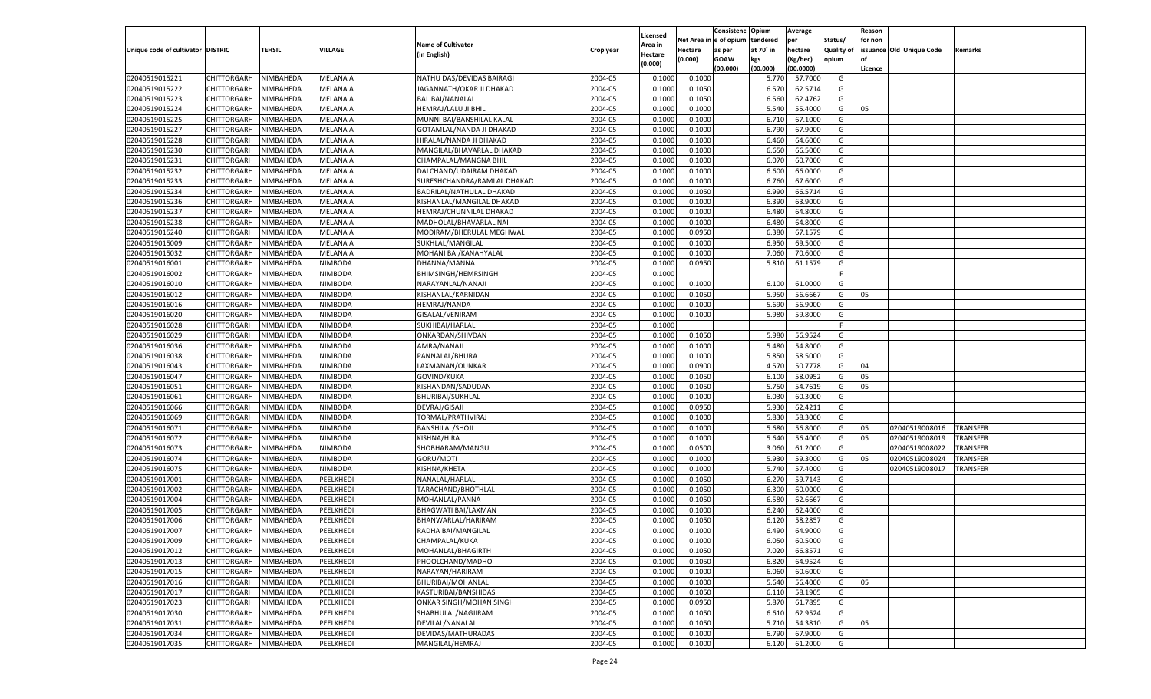|                                   |                                      |                  |                 |                                      |           |                     |             | Consistenc    | Opium             | Average   |                   | Reason  |                          |                 |
|-----------------------------------|--------------------------------------|------------------|-----------------|--------------------------------------|-----------|---------------------|-------------|---------------|-------------------|-----------|-------------------|---------|--------------------------|-----------------|
|                                   |                                      |                  |                 | <b>Name of Cultivator</b>            |           | Licensed<br>Area in | Net Area iı | n  e of opium | tendered          | per       | Status/           | for non |                          |                 |
| Unique code of cultivator DISTRIC |                                      | TEHSIL           | <b>VILLAGE</b>  | (in English)                         | Crop year | Hectare             | Hectare     | as per        | at 70° in         | hectare   | <b>Quality of</b> |         | issuance Old Unique Code | Remarks         |
|                                   |                                      |                  |                 |                                      |           | (0.000)             | (0.000)     | <b>GOAW</b>   | kgs               | (Kg/hec)  | opium             |         |                          |                 |
|                                   |                                      |                  |                 |                                      |           |                     |             | (00.000)      | (00.000)          | (00.0000) |                   | Licence |                          |                 |
| 02040519015221                    | CHITTORGARH                          | NIMBAHEDA        | <b>MELANA A</b> | NATHU DAS/DEVIDAS BAIRAGI            | 2004-05   | 0.1000              | 0.1000      |               | 5.770             | 57.7000   | G                 |         |                          |                 |
| 02040519015222                    | CHITTORGARH                          | NIMBAHEDA        | MELANA A        | JAGANNATH/OKAR JI DHAKAD             | 2004-05   | 0.1000              | 0.1050      |               | 6.570             | 62.5714   | G                 |         |                          |                 |
| 02040519015223                    | CHITTORGARH                          | NIMBAHEDA        | MELANA A        | BALIBAI/NANALAL                      | 2004-05   | 0.1000              | 0.1050      |               | 6.560             | 62.4762   | G                 |         |                          |                 |
| 02040519015224                    | CHITTORGARH                          | NIMBAHEDA        | MELANA A        | HEMRAJ/LALU JI BHIL                  | 2004-05   | 0.1000              | 0.1000      |               | 5.540             | 55.4000   | G                 | 05      |                          |                 |
| 02040519015225                    | CHITTORGARH                          | NIMBAHEDA        | MELANA A        | MUNNI BAI/BANSHILAL KALAL            | 2004-05   | 0.1000              | 0.1000      |               | 6.710             | 67.1000   | G                 |         |                          |                 |
| 02040519015227                    | CHITTORGARH                          | NIMBAHEDA        | MELANA A        | GOTAMLAL/NANDA JI DHAKAD             | 2004-05   | 0.1000              | 0.1000      |               | 6.790             | 67.9000   | G                 |         |                          |                 |
| 02040519015228                    | CHITTORGARH                          | NIMBAHEDA        | MELANA A        | HIRALAL/NANDA JI DHAKAD              | 2004-05   | 0.1000              | 0.1000      |               | 6.460             | 64.6000   | G                 |         |                          |                 |
| 02040519015230                    | CHITTORGARH                          | NIMBAHEDA        | MELANA A        | MANGILAL/BHAVARLAL DHAKAD            | 2004-05   | 0.1000              | 0.1000      |               | 6.650             | 66.5000   | G                 |         |                          |                 |
| 02040519015231                    | CHITTORGARH                          | NIMBAHEDA        | MELANA A        | CHAMPALAL/MANGNA BHIL                | 2004-05   | 0.1000              | 0.1000      |               | 6.070             | 60.7000   | G                 |         |                          |                 |
| 02040519015232                    | CHITTORGARH                          | NIMBAHEDA        | MELANA A        | DALCHAND/UDAIRAM DHAKAD              | 2004-05   | 0.1000              | 0.1000      |               | 6.600             | 66.0000   | G                 |         |                          |                 |
| 02040519015233                    | CHITTORGARH                          | NIMBAHEDA        | MELANA A        | SURESHCHANDRA/RAMLAL DHAKAD          | 2004-05   | 0.1000              | 0.1000      |               | 6.760             | 67.6000   | G                 |         |                          |                 |
| 02040519015234                    | CHITTORGARH                          | NIMBAHEDA        | MELANA A        | BADRILAL/NATHULAL DHAKAD             | 2004-05   | 0.1000              | 0.1050      |               | 6.990             | 66.5714   | G                 |         |                          |                 |
| 02040519015236                    | CHITTORGARH                          | NIMBAHEDA        | MELANA A        | KISHANLAL/MANGILAL DHAKAD            | 2004-05   | 0.1000              | 0.1000      |               | 6.390             | 63.9000   | G                 |         |                          |                 |
| 02040519015237                    | CHITTORGARH                          | NIMBAHEDA        | MELANA A        | HEMRAJ/CHUNNILAL DHAKAD              | 2004-05   | 0.1000              | 0.1000      |               | 6.480             | 64.8000   | G                 |         |                          |                 |
| 02040519015238                    | CHITTORGARH                          | NIMBAHEDA        | <b>MELANA A</b> | MADHOLAL/BHAVARLAL NAI               | 2004-05   | 0.1000              | 0.1000      |               | 6.480             | 64.8000   | G                 |         |                          |                 |
| 02040519015240                    | CHITTORGARH                          | NIMBAHEDA        | MELANA A        | MODIRAM/BHERULAL MEGHWAL             | 2004-05   | 0.1000              | 0.0950      |               | 6.380             | 67.1579   | G                 |         |                          |                 |
| 02040519015009                    | CHITTORGARH                          | NIMBAHEDA        | <b>MELANA A</b> | SUKHLAL/MANGILAL                     | 2004-05   | 0.1000              | 0.1000      |               | 6.950             | 69.5000   | G                 |         |                          |                 |
| 02040519015032                    | CHITTORGARH                          | NIMBAHEDA        | MELANA A        | MOHANI BAI/KANAHYALAL                | 2004-05   | 0.1000              | 0.1000      |               | 7.060             | 70.6000   | G                 |         |                          |                 |
| 02040519016001                    | CHITTORGARH                          | NIMBAHEDA        | NIMBODA         | DHANNA/MANNA                         | 2004-05   | 0.1000              | 0.0950      |               | 5.810             | 61.1579   | G                 |         |                          |                 |
| 02040519016002                    | CHITTORGARH                          | NIMBAHEDA        | NIMBODA         | <b>BHIMSINGH/HEMRSINGH</b>           | 2004-05   | 0.1000              |             |               |                   |           | F.                |         |                          |                 |
| 02040519016010                    | CHITTORGARH                          | NIMBAHEDA        | NIMBODA         | NARAYANLAL/NANAJI                    | 2004-05   | 0.1000              | 0.1000      |               | 6.100             | 61.0000   | G                 |         |                          |                 |
| 02040519016012                    | CHITTORGARH                          | NIMBAHEDA        | NIMBODA         | KISHANLAL/KARNIDAN                   | 2004-05   | 0.1000              | 0.1050      |               | 5.950             | 56.6667   | G                 | 05      |                          |                 |
| 02040519016016                    | CHITTORGARH                          | NIMBAHEDA        | NIMBODA         | <b>HEMRAJ/NANDA</b>                  | 2004-05   | 0.1000              | 0.1000      |               | 5.690             | 56.9000   | G                 |         |                          |                 |
| 02040519016020                    | CHITTORGARH                          | NIMBAHEDA        | NIMBODA         | GISALAL/VENIRAM                      | 2004-05   | 0.1000              | 0.1000      |               | 5.980             | 59.8000   | G                 |         |                          |                 |
| 02040519016028                    | CHITTORGARH                          | NIMBAHEDA        | NIMBODA         | SUKHIBAI/HARLAL                      | 2004-05   | 0.1000              |             |               |                   |           | F.                |         |                          |                 |
| 02040519016029                    | CHITTORGARH                          | NIMBAHEDA        | NIMBODA         | ONKARDAN/SHIVDAN                     | 2004-05   | 0.1000              | 0.1050      |               | 5.980             | 56.9524   | G                 |         |                          |                 |
| 02040519016036                    | CHITTORGARH                          | NIMBAHEDA        | NIMBODA         | AMRA/NANAJI                          | 2004-05   | 0.1000              | 0.1000      |               | 5.480             | 54.8000   | G                 |         |                          |                 |
| 02040519016038                    | CHITTORGARH                          | NIMBAHEDA        | NIMBODA         | PANNALAL/BHURA                       | 2004-05   | 0.1000              | 0.1000      |               | 5.850             | 58.5000   | G                 |         |                          |                 |
| 02040519016043                    | CHITTORGARH                          | NIMBAHEDA        | NIMBODA         | LAXMANAN/OUNKAR                      | 2004-05   | 0.1000              | 0.0900      |               | 4.570             | 50.7778   | G                 | 04      |                          |                 |
| 02040519016047                    | CHITTORGARH                          | NIMBAHEDA        | NIMBODA         | GOVIND/KUKA                          | 2004-05   | 0.1000              | 0.1050      |               | 6.100             | 58.0952   | G                 | 05      |                          |                 |
| 02040519016051                    | CHITTORGARH                          | NIMBAHEDA        | <b>NIMBODA</b>  | KISHANDAN/SADUDAN                    | 2004-05   | 0.1000              | 0.1050      |               | 5.750             | 54.7619   | G                 | 05      |                          |                 |
| 02040519016061                    | CHITTORGARH                          | NIMBAHEDA        | NIMBODA         | <b>BHURIBAI/SUKHLAL</b>              | 2004-05   | 0.1000              | 0.1000      |               | 6.03 <sub>0</sub> | 60.3000   | G                 |         |                          |                 |
| 02040519016066                    | CHITTORGARH                          | NIMBAHEDA        | <b>NIMBODA</b>  | DEVRAJ/GISAJI                        | 2004-05   | 0.1000              | 0.0950      |               | 5.930             | 62.4211   | G                 |         |                          |                 |
| 02040519016069                    | CHITTORGARH                          | NIMBAHEDA        | NIMBODA         | TORMAL/PRATHVIRAJ                    | 2004-05   | 0.1000              | 0.1000      |               | 5.830             | 58.3000   | G                 |         |                          |                 |
| 02040519016071                    | CHITTORGARH                          | NIMBAHEDA        | <b>NIMBODA</b>  | <b>BANSHILAL/SHOJI</b>               | 2004-05   | 0.1000              | 0.1000      |               | 5.680             | 56.8000   | G                 | 05      | 02040519008016           | <b>TRANSFER</b> |
| 02040519016072                    | CHITTORGARH                          | NIMBAHEDA        | NIMBODA         | KISHNA/HIRA                          | 2004-05   | 0.1000              | 0.1000      |               | 5.640             | 56.4000   | G                 | 05      | 02040519008019           | TRANSFER        |
| 02040519016073                    | CHITTORGARH                          | NIMBAHEDA        | <b>NIMBODA</b>  | SHOBHARAM/MANGU                      | 2004-05   | 0.1000              | 0.0500      |               | 3.060             | 61.2000   | G                 |         | 02040519008022           | TRANSFER        |
| 02040519016074                    | CHITTORGARH                          | NIMBAHEDA        | NIMBODA         | GORU/MOTI                            | 2004-05   | 0.1000              | 0.1000      |               | 5.930             | 59.3000   | G                 | 05      | 02040519008024           | TRANSFER        |
| 02040519016075                    | CHITTORGARH                          | NIMBAHEDA        | <b>NIMBODA</b>  | KISHNA/KHETA                         | 2004-05   | 0.1000              | 0.1000      |               | 5.740             | 57.4000   | G                 |         | 02040519008017           | TRANSFER        |
| 02040519017001                    | CHITTORGARH                          | NIMBAHEDA        | PEELKHEDI       | NANALAL/HARLAL                       | 2004-05   | 0.1000              | 0.1050      |               | 6.270             | 59.7143   | G                 |         |                          |                 |
| 02040519017002                    | CHITTORGARH                          | NIMBAHEDA        | PEELKHEDI       | TARACHAND/BHOTHLAL                   | 2004-05   | 0.1000              | 0.1050      |               | 6.300             | 60.0000   | G                 |         |                          |                 |
| 02040519017004                    | CHITTORGARH                          | NIMBAHEDA        | PEELKHEDI       | MOHANLAL/PANNA                       | 2004-05   | 0.1000              | 0.1050      |               | 6.580             | 62.6667   | G                 |         |                          |                 |
| 02040519017005                    | CHITTORGARH                          | NIMBAHEDA        | PEELKHEDI       | <b>BHAGWATI BAI/LAXMAN</b>           | 2004-05   | 0.1000              | 0.1000      |               | 6.240             | 62.4000   | G                 |         |                          |                 |
| 02040519017006                    | CHITTORGARH                          | NIMBAHEDA        | PEELKHEDI       | BHANWARLAL/HARIRAM                   | 2004-05   | 0.1000              | 0.1050      |               | 6.120             | 58.285    | G                 |         |                          |                 |
| 02040519017007                    |                                      | NIMBAHEDA        |                 |                                      | 2004-05   | 0.1000              | 0.1000      |               | 6.490             | 64.9000   | G                 |         |                          |                 |
|                                   | CHITTORGARH<br>CHITTORGARH NIMBAHEDA |                  | PEELKHEDI       | RADHA BAI/MANGILAL<br>CHAMPALAL/KUKA |           |                     |             |               |                   |           |                   |         |                          |                 |
| 02040519017009                    |                                      |                  | PEELKHEDI       |                                      | 2004-05   | 0.1000              | 0.1000      |               | 6.050             | 60.5000   | G                 |         |                          |                 |
| 02040519017012                    | <b>CHITTORGARH</b><br>CHITTORGARH    | <b>NIMBAHEDA</b> | PEELKHEDI       | MOHANLAL/BHAGIRTH                    | 2004-05   | 0.1000              | 0.1050      |               | 7.020<br>6.820    | 66.8571   | G                 |         |                          |                 |
| 02040519017013                    |                                      | NIMBAHEDA        | PEELKHEDI       | PHOOLCHAND/MADHO                     | 2004-05   | 0.1000              | 0.1050      |               |                   | 64.9524   | G                 |         |                          |                 |
| 02040519017015                    | CHITTORGARH                          | NIMBAHEDA        | PEELKHEDI       | NARAYAN/HARIRAM                      | 2004-05   | 0.1000              | 0.1000      |               | 6.060             | 60.6000   | G                 |         |                          |                 |
| 02040519017016                    | CHITTORGARH                          | NIMBAHEDA        | PEELKHEDI       | BHURIBAI/MOHANLAL                    | 2004-05   | 0.1000              | 0.1000      |               | 5.640             | 56.4000   | G                 | 05      |                          |                 |
| 02040519017017                    | CHITTORGARH                          | NIMBAHEDA        | PEELKHEDI       | KASTURIBAI/BANSHIDAS                 | 2004-05   | 0.1000              | 0.1050      |               | 6.110             | 58.1905   | G                 |         |                          |                 |
| 02040519017023                    | <b>CHITTORGARH</b>                   | NIMBAHEDA        | PEELKHEDI       | ONKAR SINGH/MOHAN SINGH              | 2004-05   | 0.1000              | 0.0950      |               | 5.870             | 61.7895   | G                 |         |                          |                 |
| 02040519017030                    | CHITTORGARH                          | NIMBAHEDA        | PEELKHEDI       | SHABHULAL/NAGJIRAM                   | 2004-05   | 0.1000              | 0.1050      |               | 6.610             | 62.9524   | G                 |         |                          |                 |
| 02040519017031                    | <b>CHITTORGARH</b>                   | NIMBAHEDA        | PEELKHEDI       | DEVILAL/NANALAL                      | 2004-05   | 0.1000              | 0.1050      |               | 5.710             | 54.3810   | G                 | 05      |                          |                 |
| 02040519017034                    | <b>CHITTORGARH</b>                   | NIMBAHEDA        | PEELKHEDI       | DEVIDAS/MATHURADAS                   | 2004-05   | 0.1000              | 0.1000      |               | 6.790             | 67.9000   | G                 |         |                          |                 |
| 02040519017035                    | <b>CHITTORGARH</b>                   | NIMBAHEDA        | PEELKHEDI       | MANGILAL/HEMRAJ                      | 2004-05   | 0.1000              | 0.1000      |               | 6.120             | 61.2000   | G                 |         |                          |                 |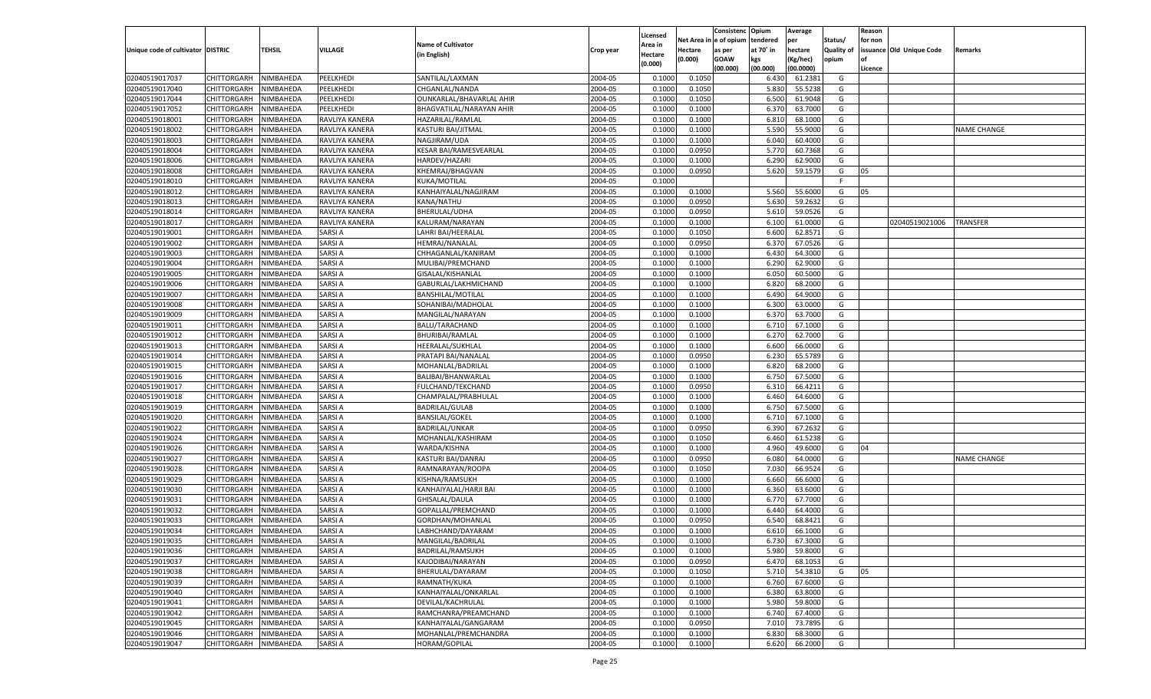|                                   |                                          |                        |                                |                                  |                    |                     |                  | Consistenc    | Opium          | Average   |                   | Reason  |                          |                    |
|-----------------------------------|------------------------------------------|------------------------|--------------------------------|----------------------------------|--------------------|---------------------|------------------|---------------|----------------|-----------|-------------------|---------|--------------------------|--------------------|
|                                   |                                          |                        |                                | <b>Name of Cultivator</b>        |                    | Licensed<br>Area in | Net Area i       | n  e of opium | tendered       | per       | Status/           | for non |                          |                    |
| Unique code of cultivator DISTRIC |                                          | TEHSIL                 | <b>VILLAGE</b>                 | (in English)                     | Crop year          | Hectare             | Hectare          | as per        | at 70° in      | hectare   | <b>Quality of</b> |         | issuance Old Unique Code | Remarks            |
|                                   |                                          |                        |                                |                                  |                    | (0.000)             | (0.000)          | <b>GOAW</b>   | kgs            | (Kg/hec)  | opium             |         |                          |                    |
|                                   |                                          |                        |                                |                                  |                    |                     |                  | (00.000)      | (00.000)       | (00.0000) |                   | Licence |                          |                    |
| 02040519017037                    | CHITTORGARH                              | NIMBAHEDA              | PEELKHEDI                      | SANTILAL/LAXMAN                  | 2004-05            | 0.1000              | 0.1050           |               | 6.430          | 61.2381   | G                 |         |                          |                    |
| 02040519017040                    | CHITTORGARH                              | NIMBAHEDA              | PEELKHEDI                      | CHGANLAL/NANDA                   | 2004-05            | 0.100               | 0.1050           |               | 5.830          | 55.5238   | G                 |         |                          |                    |
| 02040519017044                    | CHITTORGARH                              | NIMBAHEDA              | PEELKHEDI                      | OUNKARLAL/BHAVARLAL AHIR         | 2004-05            | 0.1000              | 0.1050           |               | 6.500          | 61.9048   | G                 |         |                          |                    |
| 02040519017052                    | CHITTORGARH                              | NIMBAHEDA              | PEELKHEDI                      | BHAGVATILAL/NARAYAN AHIR         | 2004-05            | 0.1000              | 0.1000           |               | 6.370          | 63.7000   | G                 |         |                          |                    |
| 02040519018001                    | CHITTORGARH                              | NIMBAHEDA              | RAVLIYA KANERA                 | HAZARILAL/RAMLAL                 | 2004-05            | 0.1000              | 0.1000           |               | 6.810          | 68.1000   | G                 |         |                          |                    |
| 02040519018002                    | CHITTORGARH                              | NIMBAHEDA              | RAVLIYA KANERA                 | KASTURI BAI/JITMAL               | 2004-05            | 0.1000              | 0.1000           |               | 5.590          | 55.9000   | G                 |         |                          | NAME CHANGE        |
| 02040519018003                    | CHITTORGARH                              | NIMBAHEDA              | RAVLIYA KANERA                 | NAGJIRAM/UDA                     | 2004-05            | 0.1000              | 0.1000           |               | 6.040          | 60.4000   | G                 |         |                          |                    |
| 02040519018004                    | CHITTORGARH                              | NIMBAHEDA              | RAVLIYA KANERA                 | KESAR BAI/RAMESVEARLAL           | 2004-05            | 0.1000              | 0.0950           |               | 5.770          | 60.7368   | G                 |         |                          |                    |
| 02040519018006                    | CHITTORGARH                              | NIMBAHEDA              | RAVLIYA KANERA                 | HARDEV/HAZARI                    | 2004-05            | 0.1000              | 0.1000           |               | 6.290          | 62.9000   | G                 |         |                          |                    |
| 02040519018008                    | CHITTORGARH                              | NIMBAHEDA              | RAVLIYA KANERA                 | KHEMRAJ/BHAGVAN                  | 2004-05            | 0.1000              | 0.0950           |               | 5.620          | 59.1579   | G                 | 05      |                          |                    |
| 02040519018010                    | CHITTORGARH                              | NIMBAHEDA              | RAVLIYA KANERA                 | KUKA/MOTILAL                     | 2004-05            | 0.1000              |                  |               |                |           | F.                |         |                          |                    |
| 02040519018012                    | CHITTORGARH                              | NIMBAHEDA              | RAVLIYA KANERA                 | KANHAIYALAL/NAGJIRAM             | 2004-05            | 0.1000              | 0.1000           |               | 5.560          | 55.6000   | G                 | 05      |                          |                    |
| 02040519018013                    | CHITTORGARH                              | NIMBAHEDA              | RAVLIYA KANERA                 | KANA/NATHU                       | 2004-05            | 0.1000              | 0.0950           |               | 5.630          | 59.2632   | G                 |         |                          |                    |
| 02040519018014                    | CHITTORGARH                              | NIMBAHEDA              | RAVLIYA KANERA                 | BHERULAL/UDHA                    | 2004-05            | 0.1000              | 0.0950           |               | 5.610          | 59.0526   | G                 |         |                          |                    |
| 02040519018017                    | CHITTORGARH                              | NIMBAHEDA              | RAVLIYA KANERA                 | KALURAM/NARAYAN                  | 2004-05            | 0.1000              | 0.1000           |               | 6.100          | 61.0000   | G                 |         | 02040519021006           | TRANSFER           |
| 02040519019001                    | CHITTORGARH                              | NIMBAHEDA              | SARSI A                        | LAHRI BAI/HEERALAI               | 2004-05            | 0.1000              | 0.1050           |               | 6.600          | 62.8571   | G                 |         |                          |                    |
| 02040519019002                    | CHITTORGARH                              | NIMBAHEDA              | <b>SARSIA</b>                  | HEMRAJ/NANALAL                   | 2004-05            | 0.1000              | 0.0950           |               | 6.370          | 67.0526   | G                 |         |                          |                    |
| 02040519019003                    | CHITTORGARH                              | NIMBAHEDA              | <b>SARSIA</b>                  | CHHAGANLAL/KANIRAM               | 2004-05            | 0.1000              | 0.1000           |               | 6.430          | 64.3000   | G                 |         |                          |                    |
| 02040519019004                    | CHITTORGARH                              | NIMBAHEDA              | <b>SARSIA</b>                  | MULIBAI/PREMCHAND                | 2004-05            | 0.1000              | 0.1000           |               | 6.290          | 62.9000   | G                 |         |                          |                    |
| 02040519019005                    | CHITTORGARH                              | NIMBAHEDA              | <b>SARSIA</b>                  | GISALAL/KISHANLAL                | 2004-05            | 0.1000              | 0.1000           |               | 6.050          | 60.5000   | G                 |         |                          |                    |
| 02040519019006                    | CHITTORGARH                              | NIMBAHEDA              | <b>SARSIA</b>                  | GABURLAL/LAKHMICHAND             | 2004-05            | 0.1000              | 0.1000           |               | 6.820          | 68.2000   | G                 |         |                          |                    |
| 02040519019007                    | CHITTORGARH                              | NIMBAHEDA              | <b>SARSIA</b>                  | <b>BANSHILAL/MOTILAI</b>         | 2004-05            | 0.1000              | 0.1000           |               | 6.490          | 64.9000   | G                 |         |                          |                    |
| 02040519019008                    | CHITTORGARH                              | NIMBAHEDA              | <b>SARSIA</b>                  | SOHANIBAI/MADHOLAI               | 2004-05            | 0.1000              | 0.1000           |               | 6.300          | 63.0000   | G                 |         |                          |                    |
| 02040519019009                    | CHITTORGARH                              | NIMBAHEDA              | <b>SARSIA</b>                  | MANGILAL/NARAYAN                 | 2004-05            | 0.1000              | 0.1000           |               | 6.370          | 63.7000   | G                 |         |                          |                    |
| 02040519019011                    | CHITTORGARH                              | NIMBAHEDA              | <b>SARSIA</b>                  | BALU/TARACHAND                   | 2004-05            | 0.1000              | 0.1000           |               | 6.710          | 67.1000   | G                 |         |                          |                    |
| 02040519019012                    | CHITTORGARH                              | NIMBAHEDA              | <b>SARSIA</b>                  | <b>BHURIBAI/RAMLAL</b>           | 2004-05            | 0.1000              | 0.1000           |               | 6.270          | 62.7000   | G                 |         |                          |                    |
| 02040519019013                    | CHITTORGARH                              | NIMBAHEDA              | <b>SARSIA</b>                  | HEERALAL/SUKHLAL                 | 2004-05            | 0.1000              | 0.1000           |               | 6.600          | 66.0000   | G                 |         |                          |                    |
| 02040519019014                    | CHITTORGARH                              | NIMBAHEDA              | <b>SARSIA</b>                  | PRATAPI BAI/NANALAL              | 2004-05            | 0.1000              | 0.0950           |               | 6.230          | 65.5789   | G                 |         |                          |                    |
| 02040519019015                    | CHITTORGARH                              | NIMBAHEDA              | <b>SARSIA</b>                  | MOHANLAL/BADRILAL                | 2004-05            | 0.1000              | 0.1000           |               | 6.820          | 68.2000   | G                 |         |                          |                    |
| 02040519019016                    | CHITTORGARH                              | NIMBAHEDA              | <b>SARSIA</b>                  | BALIBAI/BHANWARLAL               | 2004-05            | 0.1000              | 0.1000           |               | 6.750          | 67.5000   | G                 |         |                          |                    |
| 02040519019017                    | CHITTORGARH                              | NIMBAHEDA              | <b>SARSIA</b>                  | FULCHAND/TEKCHAND                | 2004-05            | 0.1000              | 0.0950           |               | 6.310          | 66.4211   | G                 |         |                          |                    |
| 02040519019018                    | CHITTORGARH                              | NIMBAHEDA              | <b>SARSIA</b>                  | CHAMPALAL/PRABHULAL              | 2004-05            | 0.1000              | 0.1000           |               | 6.460          | 64.6000   | G                 |         |                          |                    |
| 02040519019019                    | CHITTORGARH                              | NIMBAHEDA              | <b>SARSIA</b>                  | <b>BADRILAL/GULAB</b>            | 2004-05            | 0.1000              | 0.1000           |               | 6.750          | 67.5000   | G                 |         |                          |                    |
| 02040519019020                    | CHITTORGARH                              | NIMBAHEDA              | SARSI A                        | <b>BANSILAL/GOKEL</b>            | 2004-05            | 0.1000              | 0.1000           |               | 6.710          | 67.1000   | G                 |         |                          |                    |
| 02040519019022                    | CHITTORGARH                              | NIMBAHEDA              | <b>SARSIA</b>                  | <b>BADRILAL/UNKAR</b>            | 2004-05            | 0.1000              | 0.0950           |               | 6.390          | 67.2632   | G                 |         |                          |                    |
| 02040519019024                    | CHITTORGARH                              | NIMBAHEDA              | <b>SARSIA</b>                  | MOHANLAL/KASHIRAM                | 2004-05            | 0.1000              | 0.1050           |               | 6.460          | 61.5238   | G                 |         |                          |                    |
| 02040519019026                    | CHITTORGARH                              | NIMBAHEDA              | <b>SARSIA</b>                  | WARDA/KISHNA                     | 2004-05            | 0.1000              | 0.1000           |               | 4.960          | 49.6000   | G                 | 04      |                          |                    |
| 02040519019027                    | CHITTORGARH                              | NIMBAHEDA              | SARSI A                        | KASTURI BAI/DANRAJ               | 2004-05            | 0.1000              | 0.0950           |               | 6.080          | 64.0000   | G                 |         |                          | <b>NAME CHANGE</b> |
| 02040519019028                    | CHITTORGARH                              | NIMBAHEDA              | <b>SARSIA</b>                  | RAMNARAYAN/ROOPA                 | 2004-05            | 0.1000              | 0.1050           |               | 7.030          | 66.9524   | G                 |         |                          |                    |
| 02040519019029                    | CHITTORGARH                              | NIMBAHEDA              | <b>SARSIA</b>                  | KISHNA/RAMSUKH                   | 2004-05            | 0.1000              | 0.1000           |               | 6.660          | 66.6000   | G                 |         |                          |                    |
| 02040519019030                    | CHITTORGARH                              | NIMBAHEDA              | <b>SARSIA</b>                  | KANHAIYALAL/HARJI BAI            | 2004-05            | 0.1000              | 0.1000           |               | 6.360          | 63.6000   | G                 |         |                          |                    |
| 02040519019031                    | CHITTORGARH                              | NIMBAHEDA              | SARSI A                        | GHISALAL/DAULA                   | 2004-05            | 0.1000              | 0.1000           |               | 6.770          | 67.7000   | G                 |         |                          |                    |
| 02040519019032                    | CHITTORGARH                              | NIMBAHEDA              | <b>SARSIA</b>                  | GOPALLAL/PREMCHAND               | 2004-05            | 0.1000              | 0.1000           |               | 6.440          | 64.4000   | G                 |         |                          |                    |
| 02040519019033                    | CHITTORGARH                              | NIMBAHEDA              | <b>SARSIA</b>                  | GORDHAN/MOHANLAL                 | 2004-05            | 0.1000              | 0.0950           |               | 6.540          | 68.8421   | G                 |         |                          |                    |
| 02040519019034                    | CHITTORGARH                              | NIMBAHEDA              | <b>SARSIA</b>                  | LABHCHAND/DAYARAM                | 2004-05            | 0.1000              | 0.1000           |               | 6.610          | 66.1000   | G                 |         |                          |                    |
|                                   | CHITTORGARH NIMBAHEDA                    |                        | <b>SARSIA</b>                  | MANGILAL/BADRILAL                | 2004-05            | 0.1000              | 0.1000           |               | 6.730          | 67.3000   | G                 |         |                          |                    |
| 02040519019035<br>02040519019036  |                                          |                        |                                |                                  | 2004-05            |                     |                  |               |                |           |                   |         |                          |                    |
|                                   | <b>CHITTORGARH</b><br><b>CHITTORGARH</b> | NIMBAHEDA              | <b>SARSIA</b><br><b>SARSIA</b> | BADRILAL/RAMSUKH                 |                    | 0.1000              | 0.1000           |               | 5.980<br>6.470 | 59.8000   | G                 |         |                          |                    |
| 02040519019037                    |                                          | NIMBAHEDA<br>NIMBAHEDA | <b>SARSIA</b>                  | KAJODIBAI/NARAYAN                | 2004-05<br>2004-05 | 0.1000              | 0.0950<br>0.1050 |               |                | 68.1053   | G                 |         |                          |                    |
| 02040519019038                    | CHITTORGARH                              |                        |                                | BHERULAL/DAYARAM<br>RAMNATH/KUKA |                    | 0.1000              |                  |               | 5.710          | 54.3810   | G                 | 05      |                          |                    |
| 02040519019039                    | CHITTORGARH                              | NIMBAHEDA              | <b>SARSIA</b>                  |                                  | 2004-05            | 0.1000              | 0.1000           |               | 6.760          | 67.6000   | G                 |         |                          |                    |
| 02040519019040                    | CHITTORGARH                              | NIMBAHEDA              | <b>SARSIA</b>                  | KANHAIYALAL/ONKARLAL             | 2004-05            | 0.1000              | 0.1000           |               | 6.380          | 63.8000   | G                 |         |                          |                    |
| 02040519019041                    | <b>CHITTORGARH</b>                       | NIMBAHEDA              | <b>SARSIA</b>                  | DEVILAL/KACHRULAL                | 2004-05            | 0.1000              | 0.1000           |               | 5.980          | 59.8000   | G                 |         |                          |                    |
| 02040519019042                    | CHITTORGARH                              | NIMBAHEDA              | <b>SARSIA</b>                  | RAMCHANRA/PREAMCHAND             | 2004-05            | 0.1000              | 0.1000           |               | 6.740          | 67.4000   | G                 |         |                          |                    |
| 02040519019045                    | <b>CHITTORGARH</b>                       | NIMBAHEDA              | <b>SARSIA</b>                  | KANHAIYALAL/GANGARAM             | 2004-05            | 0.1000              | 0.0950           |               | 7.010          | 73.7895   | G                 |         |                          |                    |
| 02040519019046                    | CHITTORGARH                              | NIMBAHEDA              | <b>SARSIA</b>                  | MOHANLAL/PREMCHANDRA             | 2004-05            | 0.1000              | 0.1000           |               | 6.830          | 68.3000   | G                 |         |                          |                    |
| 02040519019047                    | <b>CHITTORGARH</b>                       | NIMBAHEDA              | <b>SARSIA</b>                  | HORAM/GOPILAL                    | 2004-05            | 0.1000              | 0.1000           |               | 6.620          | 66.2000   | G                 |         |                          |                    |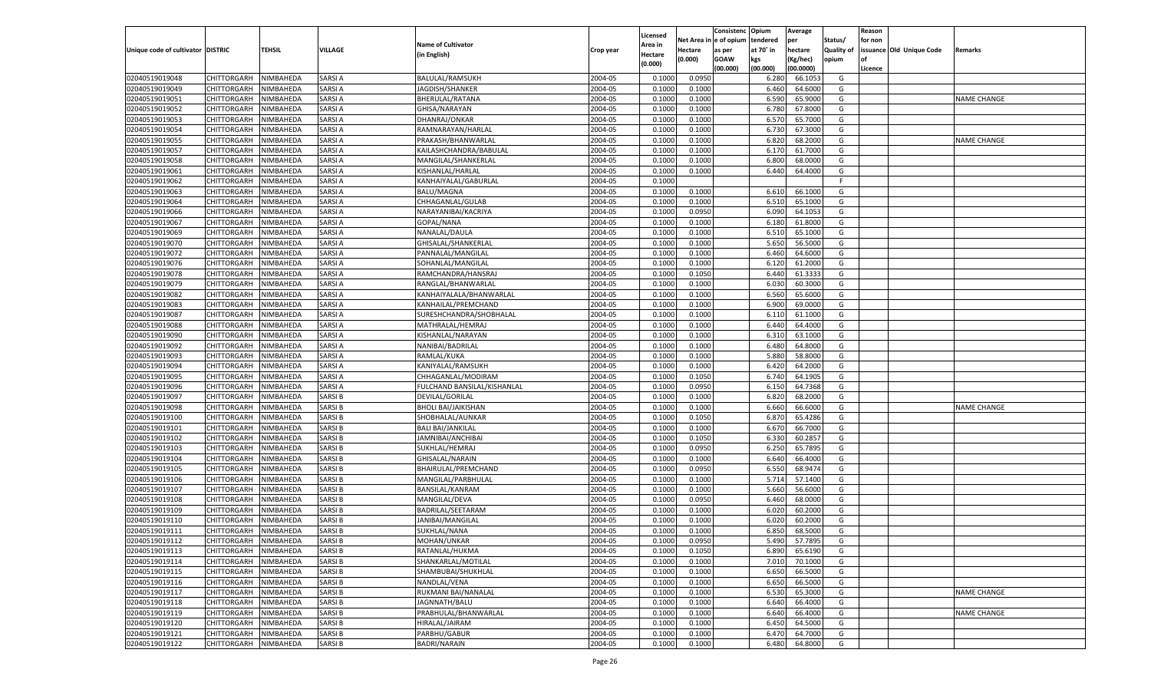|                                   |                       |               |               |                             |           |                           |          | Consistenc  | Opium          | Average   |                   | Reason  |                          |                    |
|-----------------------------------|-----------------------|---------------|---------------|-----------------------------|-----------|---------------------------|----------|-------------|----------------|-----------|-------------------|---------|--------------------------|--------------------|
|                                   |                       |               |               | <b>Name of Cultivator</b>   |           | Licensed                  | Net Area | e of opium  | tendered       | per       | Status/           | for non |                          |                    |
| Unique code of cultivator DISTRIC |                       | <b>TEHSIL</b> | VILLAGE       | (in English)                | Crop year | <b>Area in</b><br>Hectare | Hectare  | as per      | at 70° in      | hectare   | <b>Quality of</b> |         | issuance Old Unique Code | Remarks            |
|                                   |                       |               |               |                             |           | (0.000)                   | (0.000)  | <b>GOAW</b> | kgs            | (Kg/hec)  | opium             |         |                          |                    |
|                                   |                       |               |               |                             |           |                           |          | (00.000)    | (00.000)       | (00.0000) |                   | Licence |                          |                    |
| 02040519019048                    | CHITTORGARH           | NIMBAHEDA     | SARSI A       | BALULAL/RAMSUKH             | 2004-05   | 0.1000                    | 0.0950   |             | 6.280          | 66.105    | G                 |         |                          |                    |
| 02040519019049                    | CHITTORGARH           | NIMBAHEDA     | SARSI A       | JAGDISH/SHANKER             | 2004-05   | 0.1000                    | 0.1000   |             | 6.460          | 64.6000   | G                 |         |                          |                    |
| 02040519019051                    | CHITTORGARH           | NIMBAHEDA     | SARSI A       | BHERULAL/RATANA             | 2004-05   | 0.1000                    | 0.1000   |             | 6.590          | 65.9000   | G                 |         |                          | <b>NAME CHANGE</b> |
| 02040519019052                    | CHITTORGARH           | NIMBAHEDA     | SARSI A       | GHISA/NARAYAN               | 2004-05   | 0.1000                    | 0.1000   |             | 6.780          | 67.8000   | G                 |         |                          |                    |
| 02040519019053                    | CHITTORGARH           | NIMBAHEDA     | SARSI A       | DHANRAJ/ONKAR               | 2004-05   | 0.1000                    | 0.1000   |             | 6.57           | 65.7000   | G                 |         |                          |                    |
| 02040519019054                    | CHITTORGARH           | NIMBAHEDA     | SARSI A       | RAMNARAYAN/HARLAL           | 2004-05   | 0.1000                    | 0.1000   |             | 6.730          | 67.3000   | G                 |         |                          |                    |
| 02040519019055                    | CHITTORGARH           | NIMBAHEDA     | SARSI A       | PRAKASH/BHANWARLAL          | 2004-05   | 0.1000                    | 0.1000   |             | 6.820          | 68.2000   | G                 |         |                          | <b>NAME CHANGE</b> |
| 02040519019057                    | CHITTORGARH           | NIMBAHEDA     | SARSI A       | KAILASHCHANDRA/BABULAL      | 2004-05   | 0.1000                    | 0.1000   |             | 6.17           | 61.7000   | G                 |         |                          |                    |
| 02040519019058                    | CHITTORGARH           | NIMBAHEDA     | SARSI A       | MANGILAL/SHANKERLAL         | 2004-05   | 0.1000                    | 0.1000   |             | 6.800          | 68.0000   | G                 |         |                          |                    |
| 02040519019061                    | CHITTORGARH           | NIMBAHEDA     | SARSI A       | KISHANLAL/HARLAI            | 2004-05   | 0.1000                    | 0.1000   |             | 6.440          | 64.4000   | G                 |         |                          |                    |
| 02040519019062                    | CHITTORGARH           | NIMBAHEDA     | SARSI A       | KANHAIYALAL/GABURLAL        | 2004-05   | 0.1000                    |          |             |                |           | F.                |         |                          |                    |
| 02040519019063                    | CHITTORGARH           | NIMBAHEDA     | SARSI A       | <b>BALU/MAGNA</b>           | 2004-05   | 0.1000                    | 0.1000   |             | 6.610          | 66.1000   | G                 |         |                          |                    |
| 02040519019064                    | CHITTORGARH           | NIMBAHEDA     | SARSI A       | CHHAGANLAL/GULAB            | 2004-05   | 0.1000                    | 0.1000   |             | 6.510          | 65.1000   | G                 |         |                          |                    |
| 02040519019066                    | CHITTORGARH           | NIMBAHEDA     | SARSI A       | NARAYANIBAI/KACRIYA         | 2004-05   | 0.1000                    | 0.0950   |             | 6.090          | 64.1053   | G                 |         |                          |                    |
| 02040519019067                    | CHITTORGARH           | NIMBAHEDA     | SARSI A       | GOPAL/NANA                  | 2004-05   | 0.1000                    | 0.1000   |             | 6.180          | 61.8000   | G                 |         |                          |                    |
| 02040519019069                    | CHITTORGARH           | NIMBAHEDA     | SARSI A       | NANALAL/DAULA               | 2004-05   | 0.1000                    | 0.1000   |             | 6.510          | 65.1000   | G                 |         |                          |                    |
| 02040519019070                    | CHITTORGARH           | NIMBAHEDA     | SARSI A       | GHISALAL/SHANKERLAL         | 2004-05   | 0.1000                    | 0.1000   |             | 5.650          | 56.5000   | G                 |         |                          |                    |
| 02040519019072                    | CHITTORGARH           | NIMBAHEDA     | SARSI A       | PANNALAL/MANGILAL           | 2004-05   | 0.1000                    | 0.1000   |             | 6.460          | 64.6000   | G                 |         |                          |                    |
| 02040519019076                    | CHITTORGARH           | NIMBAHEDA     | SARSI A       | SOHANLAL/MANGILAL           | 2004-05   | 0.1000                    | 0.1000   |             | 6.120          | 61.2000   | G                 |         |                          |                    |
| 02040519019078                    | CHITTORGARH           | NIMBAHEDA     | SARSI A       | RAMCHANDRA/HANSRAJ          | 2004-05   | 0.1000                    | 0.1050   |             | 6.440          | 61.3333   | G                 |         |                          |                    |
| 02040519019079                    | CHITTORGARH           | NIMBAHEDA     | SARSI A       | RANGLAL/BHANWARLAL          | 2004-05   | 0.1000                    | 0.1000   |             | 6.030          | 60.3000   | G                 |         |                          |                    |
| 02040519019082                    | CHITTORGARH           | NIMBAHEDA     | SARSI A       | KANHAIYALALA/BHANWARLAL     | 2004-05   | 0.1000                    | 0.1000   |             | 6.560          | 65.6000   | G                 |         |                          |                    |
| 02040519019083                    | CHITTORGARH           | NIMBAHEDA     | SARSI A       | KANHAILAL/PREMCHAND         | 2004-05   | 0.1000                    | 0.1000   |             | 6.900          | 69.0000   | G                 |         |                          |                    |
| 02040519019087                    | CHITTORGARH           | NIMBAHEDA     | SARSI A       | SURESHCHANDRA/SHOBHALAL     | 2004-05   | 0.1000                    | 0.1000   |             | 6.110          | 61.1000   | G                 |         |                          |                    |
| 02040519019088                    | CHITTORGARH           | NIMBAHEDA     | SARSI A       | MATHRALAL/HEMRAJ            | 2004-05   | 0.1000                    | 0.1000   |             | 6.440          | 64.4000   | G                 |         |                          |                    |
| 02040519019090                    | CHITTORGARH           | NIMBAHEDA     | SARSI A       | KISHANLAL/NARAYAN           | 2004-05   | 0.1000                    | 0.1000   |             | 6.31           | 63.1000   | G                 |         |                          |                    |
| 02040519019092                    | CHITTORGARH           | NIMBAHEDA     | SARSI A       | NANIBAI/BADRILAL            | 2004-05   | 0.1000                    | 0.1000   |             | 6.480          | 64.8000   | G                 |         |                          |                    |
| 02040519019093                    | CHITTORGARH           | NIMBAHEDA     | SARSI A       | RAMLAL/KUKA                 | 2004-05   | 0.1000                    | 0.1000   |             | 5.880          | 58.8000   | G                 |         |                          |                    |
| 02040519019094                    | CHITTORGARH           | NIMBAHEDA     | SARSI A       | KANIYALAL/RAMSUKH           | 2004-05   | 0.1000                    | 0.1000   |             | 6.420          | 64.2000   | G                 |         |                          |                    |
| 02040519019095                    | CHITTORGARH           | NIMBAHEDA     | SARSI A       | CHHAGANLAL/MODIRAM          | 2004-05   | 0.1000                    | 0.1050   |             | 6.740          | 64.1905   | G                 |         |                          |                    |
| 02040519019096                    | CHITTORGARH           | NIMBAHEDA     | SARSI A       | FULCHAND BANSILAL/KISHANLAL | 2004-05   | 0.1000                    | 0.0950   |             | 6.150          | 64.7368   | G                 |         |                          |                    |
| 02040519019097                    | CHITTORGARH           | NIMBAHEDA     | SARSI B       | DEVILAL/GORILAL             | 2004-05   | 0.1000                    | 0.1000   |             | 6.820          | 68.2000   | G                 |         |                          |                    |
| 02040519019098                    | CHITTORGARH           | NIMBAHEDA     | SARSI B       | <b>BHOLI BAI/JAIKISHAN</b>  | 2004-05   | 0.1000                    | 0.1000   |             | 6.660          | 66.6000   | G                 |         |                          | <b>NAME CHANGE</b> |
| 02040519019100                    | CHITTORGARH           | NIMBAHEDA     | SARSI B       | SHOBHALAL/AUNKAR            | 2004-05   | 0.1000                    | 0.1050   |             | 6.87           | 65.4286   | G                 |         |                          |                    |
| 02040519019101                    |                       | NIMBAHEDA     | SARSI B       |                             | 2004-05   | 0.1000                    | 0.1000   |             |                | 66.7000   | G                 |         |                          |                    |
| 02040519019102                    | CHITTORGARH           |               | SARSI B       | <b>BALI BAI/JANKILAL</b>    | 2004-05   | 0.1000                    | 0.1050   |             | 6.670<br>6.330 | 60.285    | G                 |         |                          |                    |
|                                   | CHITTORGARH           | NIMBAHEDA     | SARSI B       | JAMNIBAI/ANCHIBAI           |           | 0.1000                    |          |             |                | 65.7895   |                   |         |                          |                    |
| 02040519019103                    | <b>CHITTORGARH</b>    | NIMBAHEDA     |               | SUKHLAL/HEMRAJ              | 2004-05   |                           | 0.0950   |             | 6.250          |           | G                 |         |                          |                    |
| 02040519019104                    | CHITTORGARH           | NIMBAHEDA     | SARSI B       | GHISALAL/NARAIN             | 2004-05   | 0.1000                    | 0.1000   |             | 6.640          | 66.4000   | G                 |         |                          |                    |
| 02040519019105                    | CHITTORGARH           | NIMBAHEDA     | SARSI B       | BHAIRULAL/PREMCHAND         | 2004-05   | 0.1000                    | 0.0950   |             | 6.550          | 68.947    | G                 |         |                          |                    |
| 02040519019106                    | CHITTORGARH           | NIMBAHEDA     | SARSI B       | MANGILAL/PARBHULAL          | 2004-05   | 0.1000                    | 0.1000   |             | 5.714          | 57.1400   | G                 |         |                          |                    |
| 02040519019107                    | CHITTORGARH           | NIMBAHEDA     | SARSI B       | <b>BANSILAL/KANRAM</b>      | 2004-05   | 0.1000                    | 0.1000   |             | 5.660          | 56.6000   | G                 |         |                          |                    |
| 02040519019108                    | CHITTORGARH           | NIMBAHEDA     | SARSI B       | MANGILAL/DEVA               | 2004-05   | 0.1000                    | 0.0950   |             | 6.460          | 68.0000   | G                 |         |                          |                    |
| 02040519019109                    | CHITTORGARH           | NIMBAHEDA     | SARSI B       | BADRILAL/SEETARAN           | 2004-05   | 0.1000                    | 0.1000   |             | 6.02(          | 60.2000   | G                 |         |                          |                    |
| 02040519019110                    | CHITTORGARH           | NIMBAHEDA     | SARSI B       | JANIBAI/MANGILAL            | 2004-05   | 0.1000                    | 0.1000   |             | 6.02(          | 60.2000   | G                 |         |                          |                    |
| 02040519019111                    | CHITTORGARH           | NIMBAHEDA     | SARSI B       | SUKHLAL/NANA                | 2004-05   | 0.1000                    | 0.1000   |             | 6.850          | 68.5000   | G                 |         |                          |                    |
| 02040519019112                    | CHITTORGARH NIMBAHEDA |               | <b>SARSIB</b> | MOHAN/UNKAR                 | 2004-05   | 0.1000                    | 0.0950   |             | 5.490          | 57.7895   | G                 |         |                          |                    |
| 02040519019113                    | <b>CHITTORGARH</b>    | NIMBAHEDA     | <b>SARSIB</b> | RATANLAL/HUKMA              | 2004-05   | 0.1000                    | 0.1050   |             | 6.890          | 65.6190   | G                 |         |                          |                    |
| 02040519019114                    | CHITTORGARH           | NIMBAHEDA     | <b>SARSIB</b> | SHANKARLAL/MOTILAL          | 2004-05   | 0.1000                    | 0.1000   |             | 7.010          | 70.1000   | G                 |         |                          |                    |
| 02040519019115                    | <b>CHITTORGARH</b>    | NIMBAHEDA     | <b>SARSIB</b> | SHAMBUBAI/SHUKHLAL          | 2004-05   | 0.1000                    | 0.1000   |             | 6.650          | 66.5000   | G                 |         |                          |                    |
| 02040519019116                    | <b>CHITTORGARH</b>    | NIMBAHEDA     | SARSI B       | NANDLAL/VENA                | 2004-05   | 0.1000                    | 0.1000   |             | 6.650          | 66.5000   | G                 |         |                          |                    |
| 02040519019117                    | <b>CHITTORGARH</b>    | NIMBAHEDA     | <b>SARSIB</b> | RUKMANI BAI/NANALAL         | 2004-05   | 0.1000                    | 0.1000   |             | 6.530          | 65.3000   | G                 |         |                          | <b>NAME CHANGE</b> |
| 02040519019118                    | <b>CHITTORGARH</b>    | NIMBAHEDA     | <b>SARSIB</b> | JAGNNATH/BALU               | 2004-05   | 0.1000                    | 0.1000   |             | 6.640          | 66.4000   | G                 |         |                          |                    |
| 02040519019119                    | <b>CHITTORGARH</b>    | NIMBAHEDA     | <b>SARSIB</b> | PRABHULAL/BHANWARLAL        | 2004-05   | 0.1000                    | 0.1000   |             | 6.640          | 66.4000   | G                 |         |                          | <b>NAME CHANGE</b> |
| 02040519019120                    | <b>CHITTORGARH</b>    | NIMBAHEDA     | SARSI B       | HIRALAL/JAIRAM              | 2004-05   | 0.1000                    | 0.1000   |             | 6.450          | 64.5000   | G                 |         |                          |                    |
| 02040519019121                    | <b>CHITTORGARH</b>    | NIMBAHEDA     | <b>SARSIB</b> | PARBHU/GABUR                | 2004-05   | 0.1000                    | 0.1000   |             | 6.470          | 64.7000   | G                 |         |                          |                    |
| 02040519019122                    | <b>CHITTORGARH</b>    | NIMBAHEDA     | <b>SARSIB</b> | <b>BADRI/NARAIN</b>         | 2004-05   | 0.1000                    | 0.1000   |             | 6.480          | 64.8000   | G                 |         |                          |                    |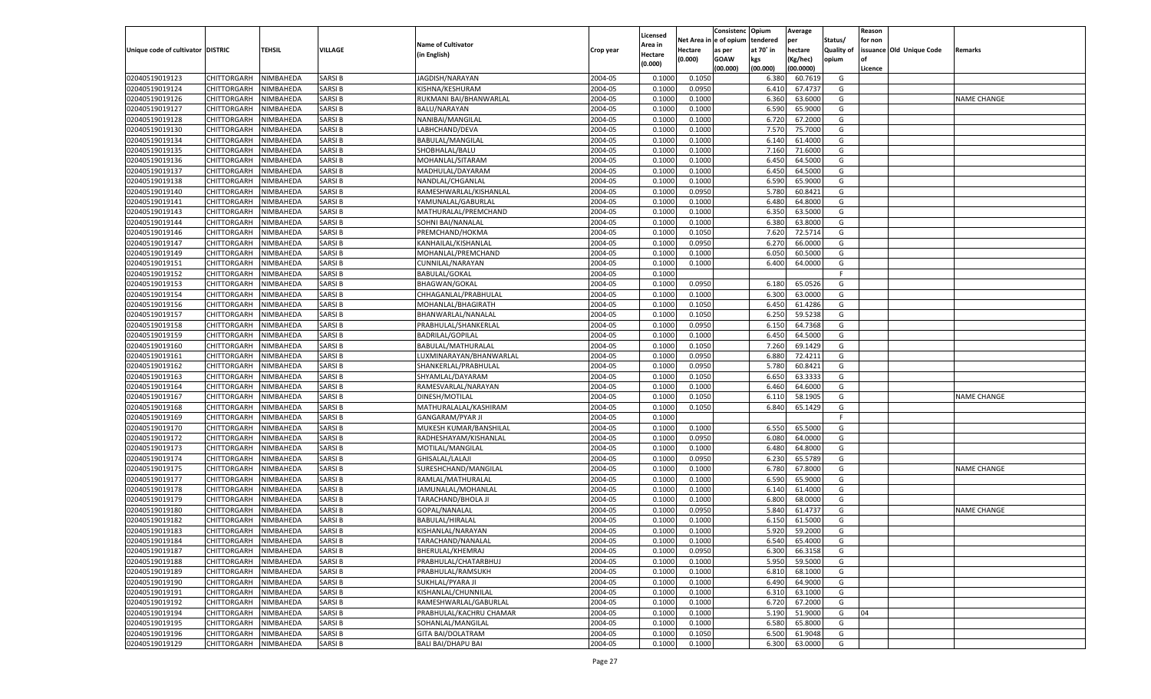|                                   |                       |               |               |                           |           |                     |          | Consistenc  | Opium     | Average   |                   | Reason  |                          |                    |
|-----------------------------------|-----------------------|---------------|---------------|---------------------------|-----------|---------------------|----------|-------------|-----------|-----------|-------------------|---------|--------------------------|--------------------|
|                                   |                       |               |               | <b>Name of Cultivator</b> |           | Licensed<br>\rea in | Net Area | e of opium  | tendered  | per       | Status/           | for non |                          |                    |
| Unique code of cultivator DISTRIC |                       | <b>TEHSIL</b> | VILLAGE       | (in English)              | Crop year | Hectare             | Hectare  | as per      | at 70˚ in | hectare   | <b>Quality of</b> |         | issuance Old Unique Code | Remarks            |
|                                   |                       |               |               |                           |           | (0.000)             | (0.000)  | <b>GOAW</b> | kgs       | (Kg/hec)  | opium             |         |                          |                    |
|                                   |                       |               |               |                           |           |                     |          | (00.000)    | (00.000)  | (00.0000) |                   | Licence |                          |                    |
| 02040519019123                    | CHITTORGARH           | NIMBAHEDA     | SARSI B       | JAGDISH/NARAYAN           | 2004-05   | 0.1000              | 0.1050   |             | 6.380     | 60.7619   | G                 |         |                          |                    |
| 02040519019124                    | CHITTORGARH           | NIMBAHEDA     | SARSI B       | KISHNA/KESHURAM           | 2004-05   | 0.1000              | 0.0950   |             | 6.41      | 67.4737   | G                 |         |                          |                    |
| 02040519019126                    | CHITTORGARH           | NIMBAHEDA     | SARSI B       | RUKMANI BAI/BHANWARLAL    | 2004-05   | 0.1000              | 0.1000   |             | 6.360     | 63.6000   | G                 |         |                          | <b>NAME CHANGE</b> |
| 02040519019127                    | CHITTORGARH           | NIMBAHEDA     | SARSI B       | BALU/NARAYAN              | 2004-05   | 0.1000              | 0.1000   |             | 6.590     | 65.9000   | G                 |         |                          |                    |
| 02040519019128                    | CHITTORGARH           | NIMBAHEDA     | SARSI B       | NANIBAI/MANGILAL          | 2004-05   | 0.1000              | 0.1000   |             | 6.720     | 67.2000   | G                 |         |                          |                    |
| 02040519019130                    | CHITTORGARH           | NIMBAHEDA     | SARSI B       | LABHCHAND/DEVA            | 2004-05   | 0.1000              | 0.1000   |             | 7.570     | 75.7000   | G                 |         |                          |                    |
| 02040519019134                    | CHITTORGARH           | NIMBAHEDA     | SARSI B       | BABULAL/MANGILAI          | 2004-05   | 0.1000              | 0.1000   |             | 6.140     | 61.4000   | G                 |         |                          |                    |
| 02040519019135                    | CHITTORGARH           | NIMBAHEDA     | SARSI B       | SHOBHALAL/BALU            | 2004-05   | 0.1000              | 0.1000   |             | 7.160     | 71.6000   | G                 |         |                          |                    |
| 02040519019136                    | CHITTORGARH           | NIMBAHEDA     | SARSI B       | MOHANLAL/SITARAM          | 2004-05   | 0.1000              | 0.1000   |             | 6.450     | 64.5000   | G                 |         |                          |                    |
| 02040519019137                    | CHITTORGARH           | NIMBAHEDA     | SARSI B       | MADHULAL/DAYARAM          | 2004-05   | 0.1000              | 0.1000   |             | 6.450     | 64.5000   | G                 |         |                          |                    |
| 02040519019138                    | CHITTORGARH           | NIMBAHEDA     | SARSI B       | NANDLAL/CHGANLAL          | 2004-05   | 0.1000              | 0.1000   |             | 6.590     | 65.9000   | G                 |         |                          |                    |
| 02040519019140                    | CHITTORGARH           | NIMBAHEDA     | SARSI B       | RAMESHWARLAL/KISHANLAL    | 2004-05   | 0.1000              | 0.0950   |             | 5.780     | 60.8421   | G                 |         |                          |                    |
| 02040519019141                    | CHITTORGARH           | NIMBAHEDA     | SARSI B       | YAMUNALAL/GABURLAL        | 2004-05   | 0.1000              | 0.1000   |             | 6.480     | 64.8000   | G                 |         |                          |                    |
| 02040519019143                    | CHITTORGARH           | NIMBAHEDA     | SARSI B       | MATHURALAL/PREMCHAND      | 2004-05   | 0.1000              | 0.1000   |             | 6.350     | 63.5000   | G                 |         |                          |                    |
| 02040519019144                    | CHITTORGARH           | NIMBAHEDA     | SARSI B       | SOHNI BAI/NANALAL         | 2004-05   | 0.1000              | 0.1000   |             | 6.380     | 63.8000   | G                 |         |                          |                    |
| 02040519019146                    | CHITTORGARH           | NIMBAHEDA     | SARSI B       | PREMCHAND/HOKMA           | 2004-05   | 0.1000              | 0.1050   |             | 7.620     | 72.5714   | G                 |         |                          |                    |
| 02040519019147                    | CHITTORGARH           | NIMBAHEDA     | SARSI B       | KANHAILAL/KISHANLAL       | 2004-05   | 0.1000              | 0.0950   |             | 6.270     | 66.0000   | G                 |         |                          |                    |
| 02040519019149                    | CHITTORGARH           | NIMBAHEDA     | SARSI B       | MOHANLAL/PREMCHAND        | 2004-05   | 0.1000              | 0.1000   |             | 6.050     | 60.5000   | G                 |         |                          |                    |
| 02040519019151                    | CHITTORGARH           | NIMBAHEDA     | SARSI B       | CUNNILAL/NARAYAN          | 2004-05   | 0.1000              | 0.1000   |             | 6.400     | 64.0000   | G                 |         |                          |                    |
| 02040519019152                    | CHITTORGARH           | NIMBAHEDA     | SARSI B       | <b>BABULAL/GOKAI</b>      | 2004-05   | 0.1000              |          |             |           |           | F.                |         |                          |                    |
| 02040519019153                    | CHITTORGARH           | NIMBAHEDA     | SARSI B       | <b>BHAGWAN/GOKAL</b>      | 2004-05   | 0.1000              | 0.0950   |             | 6.180     | 65.0526   | G                 |         |                          |                    |
| 02040519019154                    | CHITTORGARH           | NIMBAHEDA     | SARSI B       | CHHAGANLAL/PRABHULAL      | 2004-05   | 0.1000              | 0.1000   |             | 6.300     | 63.0000   | G                 |         |                          |                    |
| 02040519019156                    | CHITTORGARH           | NIMBAHEDA     | SARSI B       | MOHANLAL/BHAGIRATH        | 2004-05   | 0.1000              | 0.1050   |             | 6.450     | 61.4286   | G                 |         |                          |                    |
| 02040519019157                    | CHITTORGARH           | NIMBAHEDA     | SARSI B       | BHANWARLAL/NANALAL        | 2004-05   | 0.1000              | 0.1050   |             | 6.250     | 59.5238   | G                 |         |                          |                    |
| 02040519019158                    | CHITTORGARH           | NIMBAHEDA     | SARSI B       | PRABHULAL/SHANKERLAL      | 2004-05   | 0.1000              | 0.0950   |             | 6.150     | 64.7368   | G                 |         |                          |                    |
| 02040519019159                    | CHITTORGARH           | NIMBAHEDA     | SARSI B       | <b>BADRILAL/GOPILAL</b>   | 2004-05   | 0.1000              | 0.1000   |             | 6.450     | 64.5000   | G                 |         |                          |                    |
| 02040519019160                    | CHITTORGARH           | NIMBAHEDA     | SARSI B       | BABULAL/MATHURALAL        | 2004-05   | 0.1000              | 0.1050   |             | 7.260     | 69.1429   | G                 |         |                          |                    |
| 02040519019161                    | CHITTORGARH           | NIMBAHEDA     | SARSI B       | LUXMINARAYAN/BHANWARLAL   | 2004-05   | 0.1000              | 0.0950   |             | 6.880     | 72.4211   | G                 |         |                          |                    |
| 02040519019162                    | CHITTORGARH           | NIMBAHEDA     | SARSI B       | SHANKERLAL/PRABHULAI      | 2004-05   | 0.1000              | 0.0950   |             | 5.780     | 60.8421   | G                 |         |                          |                    |
| 02040519019163                    | CHITTORGARH           | NIMBAHEDA     | SARSI B       | SHYAMLAL/DAYARAM          | 2004-05   | 0.1000              | 0.1050   |             | 6.650     | 63.3333   | G                 |         |                          |                    |
| 02040519019164                    | CHITTORGARH           | NIMBAHEDA     | SARSI B       | RAMESVARLAL/NARAYAN       | 2004-05   | 0.1000              | 0.1000   |             | 6.460     | 64.6000   | G                 |         |                          |                    |
| 02040519019167                    | CHITTORGARH           | NIMBAHEDA     | SARSI B       | DINESH/MOTILAL            | 2004-05   | 0.1000              | 0.1050   |             | 6.110     | 58.190    | G                 |         |                          | <b>NAME CHANGE</b> |
| 02040519019168                    | CHITTORGARH           | NIMBAHEDA     | SARSI B       | MATHURALALAL/KASHIRAM     | 2004-05   | 0.1000              | 0.1050   |             | 6.840     | 65.1429   | G                 |         |                          |                    |
| 02040519019169                    | CHITTORGARH           | NIMBAHEDA     | SARSI B       | <b>GANGARAM/PYAR JI</b>   | 2004-05   | 0.1000              |          |             |           |           | F                 |         |                          |                    |
| 02040519019170                    | CHITTORGARH           | NIMBAHEDA     | SARSI B       | MUKESH KUMAR/BANSHILAL    | 2004-05   | 0.1000              | 0.1000   |             | 6.550     | 65.5000   | G                 |         |                          |                    |
| 02040519019172                    | CHITTORGARH           | NIMBAHEDA     | SARSI B       | RADHESHAYAM/KISHANLAL     | 2004-05   | 0.1000              | 0.0950   |             | 6.080     | 64.0000   | G                 |         |                          |                    |
| 02040519019173                    | CHITTORGARH           | NIMBAHEDA     | SARSI B       | MOTILAL/MANGILAL          | 2004-05   | 0.1000              | 0.1000   |             | 6.480     | 64.8000   | G                 |         |                          |                    |
| 02040519019174                    | CHITTORGARH           | NIMBAHEDA     | SARSI B       | GHISALAL/LALAJI           | 2004-05   | 0.1000              | 0.0950   |             | 6.23      | 65.5789   | G                 |         |                          |                    |
| 02040519019175                    | CHITTORGARH           | NIMBAHEDA     | SARSI B       | SURESHCHAND/MANGILAL      | 2004-05   | 0.1000              | 0.1000   |             | 6.780     | 67.8000   | G                 |         |                          | <b>NAME CHANGE</b> |
| 02040519019177                    | CHITTORGARH           | NIMBAHEDA     | SARSI B       | RAMLAL/MATHURALAL         | 2004-05   | 0.1000              | 0.1000   |             | 6.590     | 65.9000   | G                 |         |                          |                    |
| 02040519019178                    | CHITTORGARH           | NIMBAHEDA     | SARSI B       | JAMUNALAL/MOHANLAL        | 2004-05   | 0.1000              | 0.1000   |             | 6.140     | 61.4000   | G                 |         |                          |                    |
| 02040519019179                    | CHITTORGARH           | NIMBAHEDA     | SARSI B       | TARACHAND/BHOLA JI        | 2004-05   | 0.1000              | 0.1000   |             | 6.800     | 68.0000   | G                 |         |                          |                    |
| 02040519019180                    | CHITTORGARH           | NIMBAHEDA     | SARSI B       | GOPAL/NANALAL             | 2004-05   | 0.1000              | 0.0950   |             | 5.84      | 61.4737   | G                 |         |                          | <b>NAME CHANGE</b> |
| 02040519019182                    | CHITTORGARH           | NIMBAHEDA     | SARSI B       | BABULAL/HIRALAL           | 2004-05   | 0.1000              | 0.1000   |             | 6.15      | 61.5000   | G                 |         |                          |                    |
| 02040519019183                    |                       | NIMBAHEDA     | SARSI B       |                           | 2004-05   | 0.1000              | 0.1000   |             | 5.920     | 59.2000   | G                 |         |                          |                    |
| 02040519019184                    | CHITTORGARH           |               |               | KISHANLAL/NARAYAN         |           |                     |          |             |           |           |                   |         |                          |                    |
|                                   | CHITTORGARH NIMBAHEDA |               | <b>SARSIB</b> | TARACHAND/NANALAL         | 2004-05   | 0.1000              | 0.1000   |             | 6.540     | 65.4000   | G                 |         |                          |                    |
| 02040519019187                    | <b>CHITTORGARH</b>    | NIMBAHEDA     | <b>SARSIB</b> | BHERULAL/KHEMRAJ          | 2004-05   | 0.1000              | 0.0950   |             | 6.300     | 66.3158   | G                 |         |                          |                    |
| 02040519019188                    | <b>CHITTORGARH</b>    | NIMBAHEDA     | <b>SARSIB</b> | PRABHULAL/CHATARBHUJ      | 2004-05   | 0.1000              | 0.1000   |             | 5.950     | 59.5000   | G                 |         |                          |                    |
| 02040519019189                    | <b>CHITTORGARH</b>    | NIMBAHEDA     | <b>SARSIB</b> | PRABHULAL/RAMSUKH         | 2004-05   | 0.1000              | 0.1000   |             | 6.810     | 68.1000   | G                 |         |                          |                    |
| 02040519019190                    | <b>CHITTORGARH</b>    | NIMBAHEDA     | <b>SARSIB</b> | SUKHLAL/PYARA JI          | 2004-05   | 0.1000              | 0.1000   |             | 6.490     | 64.9000   | G                 |         |                          |                    |
| 02040519019191                    | <b>CHITTORGARH</b>    | NIMBAHEDA     | <b>SARSIB</b> | KISHANLAL/CHUNNILAL       | 2004-05   | 0.1000              | 0.1000   |             | 6.310     | 63.1000   | G                 |         |                          |                    |
| 02040519019192                    | <b>CHITTORGARH</b>    | NIMBAHEDA     | <b>SARSIB</b> | RAMESHWARLAL/GABURLAL     | 2004-05   | 0.1000              | 0.1000   |             | 6.720     | 67.2000   | G                 |         |                          |                    |
| 02040519019194                    | <b>CHITTORGARH</b>    | NIMBAHEDA     | <b>SARSIB</b> | PRABHULAL/KACHRU CHAMAR   | 2004-05   | 0.1000              | 0.1000   |             | 5.190     | 51.9000   | G                 | 04      |                          |                    |
| 02040519019195                    | <b>CHITTORGARH</b>    | NIMBAHEDA     | <b>SARSIB</b> | SOHANLAL/MANGILAL         | 2004-05   | 0.1000              | 0.1000   |             | 6.580     | 65.8000   | G                 |         |                          |                    |
| 02040519019196                    | <b>CHITTORGARH</b>    | NIMBAHEDA     | <b>SARSIB</b> | <b>GITA BAI/DOLATRAM</b>  | 2004-05   | 0.1000              | 0.1050   |             | 6.500     | 61.9048   | G                 |         |                          |                    |
| 02040519019129                    | <b>CHITTORGARH</b>    | NIMBAHEDA     | <b>SARSIB</b> | <b>BALI BAI/DHAPU BAI</b> | 2004-05   | 0.1000              | 0.1000   |             | 6.300     | 63.0000   | G                 |         |                          |                    |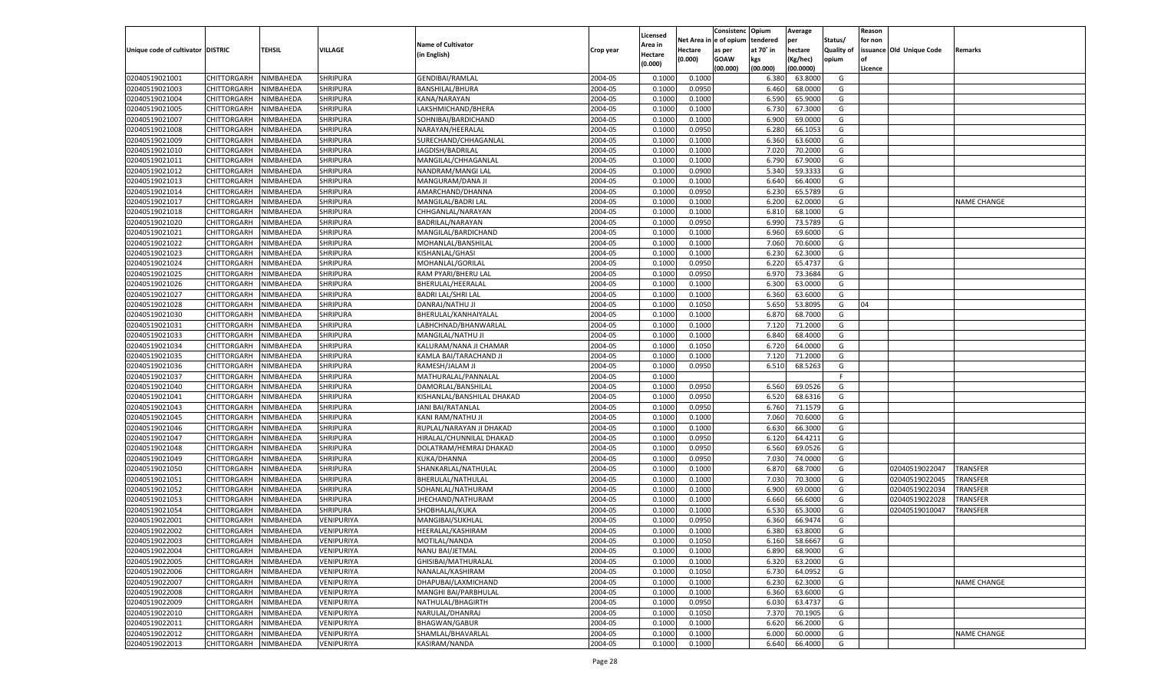|                                   |                    |           |                   |                                           |                    | Licensed |         | Consistenc Opium       |                | Average   |                   | Reason  |                          |                    |
|-----------------------------------|--------------------|-----------|-------------------|-------------------------------------------|--------------------|----------|---------|------------------------|----------------|-----------|-------------------|---------|--------------------------|--------------------|
|                                   |                    |           |                   | <b>Name of Cultivator</b>                 |                    | Area in  |         | Net Area in e of opium | tendered       | per       | Status/           | for non |                          |                    |
| Unique code of cultivator DISTRIC |                    | TEHSIL    | VILLAGE           |                                           | Crop year          | Hectare  | Hectare | as per                 | at 70° in      | hectare   | <b>Quality of</b> |         | issuance Old Unique Code | <b>Remarks</b>     |
|                                   |                    |           |                   | (in English)                              |                    | (0.000)  | (0.000) | <b>GOAW</b>            | kgs            | (Kg/hec)  | opium             |         |                          |                    |
|                                   |                    |           |                   |                                           |                    |          |         | (00.000)               | (00.000)       | (00.0000) |                   | Licence |                          |                    |
| 02040519021001                    | CHITTORGARH        | NIMBAHEDA | <b>SHRIPURA</b>   | <b>GENDIBAI/RAMLAL</b>                    | 2004-05            | 0.1000   | 0.1000  |                        | 6.380          | 63.8000   | G                 |         |                          |                    |
| 02040519021003                    | CHITTORGARH        | NIMBAHEDA | <b>SHRIPURA</b>   | <b>BANSHILAL/BHURA</b>                    | 2004-05            | 0.1000   | 0.0950  |                        | 6.460          | 68.0000   | G                 |         |                          |                    |
| 02040519021004                    | CHITTORGARH        | NIMBAHEDA | <b>SHRIPURA</b>   | KANA/NARAYAN                              | 2004-05            | 0.1000   | 0.1000  |                        | 6.590          | 65.9000   | G                 |         |                          |                    |
| 02040519021005                    | CHITTORGARH        | NIMBAHEDA | <b>SHRIPURA</b>   | LAKSHMICHAND/BHERA                        | 2004-05            | 0.1000   | 0.1000  |                        | 6.730          | 67.3000   | G                 |         |                          |                    |
| 02040519021007                    | CHITTORGARH        | NIMBAHEDA | <b>SHRIPURA</b>   | SOHNIBAI/BARDICHAND                       | 2004-05            | 0.1000   | 0.1000  |                        | 6.900          | 69.0000   | G                 |         |                          |                    |
| 02040519021008                    | CHITTORGARH        | NIMBAHEDA | <b>SHRIPURA</b>   | NARAYAN/HEERALAL                          | 2004-05            | 0.1000   | 0.0950  |                        | 6.280          | 66.1053   | G                 |         |                          |                    |
| 02040519021009                    | CHITTORGARH        | NIMBAHEDA | <b>SHRIPURA</b>   | SURECHAND/CHHAGANLAL                      | 2004-05            | 0.1000   | 0.1000  |                        | 6.360          | 63.6000   | G                 |         |                          |                    |
| 02040519021010                    | CHITTORGARH        | NIMBAHEDA | <b>SHRIPURA</b>   | JAGDISH/BADRILAL                          | 2004-05            | 0.1000   | 0.1000  |                        | 7.020          | 70.2000   | G                 |         |                          |                    |
| 02040519021011                    | CHITTORGARH        | NIMBAHEDA | <b>SHRIPURA</b>   | MANGILAL/CHHAGANLAL                       | 2004-05            | 0.1000   | 0.1000  |                        | 6.790          | 67.9000   | G                 |         |                          |                    |
| 02040519021012                    | CHITTORGARH        | NIMBAHEDA | <b>SHRIPURA</b>   | NANDRAM/MANGI LAL                         | 2004-05            | 0.1000   | 0.0900  |                        | 5.340          | 59.3333   | G                 |         |                          |                    |
| 02040519021013                    | CHITTORGARH        | NIMBAHEDA | <b>SHRIPURA</b>   | MANGURAM/DANA JI                          | 2004-05            | 0.1000   | 0.1000  |                        | 6.640          | 66.4000   | G                 |         |                          |                    |
| 02040519021014                    | CHITTORGARH        | NIMBAHEDA | <b>SHRIPURA</b>   | AMARCHAND/DHANNA                          | 2004-05            | 0.1000   | 0.0950  |                        | 6.230          | 65.5789   | G                 |         |                          |                    |
| 02040519021017                    | CHITTORGARH        | NIMBAHEDA | <b>SHRIPURA</b>   | MANGILAL/BADRI LAL                        | 2004-05            | 0.1000   | 0.1000  |                        | 6.200          | 62.0000   | G                 |         |                          | <b>NAME CHANGE</b> |
| 02040519021018                    | CHITTORGARH        | NIMBAHEDA | <b>SHRIPURA</b>   | CHHGANLAL/NARAYAN                         | 2004-05            | 0.100    | 0.1000  |                        | 6.81           | 68.1000   | G                 |         |                          |                    |
| 02040519021020                    | CHITTORGARH        | NIMBAHEDA | <b>SHRIPURA</b>   | BADRILAL/NARAYAN                          | 2004-05            | 0.1000   | 0.0950  |                        | 6.990          | 73.5789   | G                 |         |                          |                    |
| 02040519021021                    | CHITTORGARH        | NIMBAHEDA | <b>SHRIPURA</b>   | MANGILAL/BARDICHAND                       | 2004-05            | 0.1000   | 0.1000  |                        | 6.960          | 69.6000   | G                 |         |                          |                    |
| 02040519021022                    | CHITTORGARH        | NIMBAHEDA | <b>SHRIPURA</b>   | MOHANLAL/BANSHILAL                        | 2004-05            | 0.1000   | 0.1000  |                        | 7.060          | 70.6000   | G                 |         |                          |                    |
| 02040519021023                    | CHITTORGARH        | NIMBAHEDA | <b>SHRIPURA</b>   | KISHANLAL/GHASI                           | 2004-05            | 0.100    | 0.1000  |                        | 6.230          | 62.3000   | G                 |         |                          |                    |
| 02040519021024                    | CHITTORGARH        | NIMBAHEDA | <b>SHRIPURA</b>   | MOHANLAL/GORILAL                          | 2004-05            | 0.1000   | 0.0950  |                        | 6.220          | 65.4737   | G                 |         |                          |                    |
| 02040519021025                    | CHITTORGARH        | NIMBAHEDA | <b>SHRIPURA</b>   | RAM PYARI/BHERU LAL                       | 2004-05            | 0.1000   | 0.0950  |                        | 6.970          | 73.3684   | G                 |         |                          |                    |
| 02040519021026                    | CHITTORGARH        | NIMBAHEDA | <b>SHRIPURA</b>   | BHERULAL/HEERALAL                         | 2004-05            | 0.1000   | 0.1000  |                        | 6.300          | 63.0000   | G                 |         |                          |                    |
| 02040519021027                    | CHITTORGARH        | NIMBAHEDA | <b>SHRIPURA</b>   | <b>BADRI LAL/SHRI LAL</b>                 | 2004-05            | 0.100    | 0.1000  |                        | 6.360          | 63.6000   | G                 |         |                          |                    |
| 02040519021028                    | CHITTORGARH        | NIMBAHEDA | <b>SHRIPURA</b>   | DANRAJ/NATHU JI                           | 2004-05            | 0.1000   | 0.1050  |                        | 5.650          | 53.8095   | G                 | 04      |                          |                    |
| 02040519021030                    | CHITTORGARH        | NIMBAHEDA | <b>SHRIPURA</b>   | BHERULAL/KANHAIYALAL                      | 2004-05            | 0.1000   | 0.1000  |                        | 6.870          | 68.7000   | G                 |         |                          |                    |
| 02040519021031                    |                    |           |                   |                                           | 2004-05            | 0.1000   | 0.1000  |                        |                | 71.2000   | G                 |         |                          |                    |
|                                   | CHITTORGARH        | NIMBAHEDA | <b>SHRIPURA</b>   | LABHCHNAD/BHANWARLAL<br>MANGILAL/NATHU JI |                    | 0.100    |         |                        | 7.120<br>6.840 |           | G                 |         |                          |                    |
| 02040519021033                    | CHITTORGARH        | NIMBAHEDA | <b>SHRIPURA</b>   |                                           | 2004-05<br>2004-05 |          | 0.1000  |                        |                | 68.4000   |                   |         |                          |                    |
| 02040519021034                    | CHITTORGARH        | NIMBAHEDA | <b>SHRIPURA</b>   | KALURAM/NANA JI CHAMAR                    |                    | 0.100    | 0.1050  |                        | 6.720          | 64.0000   | G                 |         |                          |                    |
| 02040519021035                    | CHITTORGARH        | NIMBAHEDA | <b>SHRIPURA</b>   | KAMLA BAI/TARACHAND JI                    | 2004-05            | 0.1000   | 0.1000  |                        | 7.120          | 71.2000   | G                 |         |                          |                    |
| 02040519021036                    | CHITTORGARH        | NIMBAHEDA | <b>SHRIPURA</b>   | RAMESH/JALAM JI                           | 2004-05            | 0.1000   | 0.0950  |                        | 6.510          | 68.5263   | G                 |         |                          |                    |
| 02040519021037                    | CHITTORGARH        | NIMBAHEDA | <b>SHRIPURA</b>   | MATHURALAL/PANNALAL                       | 2004-05            | 0.1000   |         |                        |                |           | E                 |         |                          |                    |
| 02040519021040                    | CHITTORGARH        | NIMBAHEDA | <b>SHRIPURA</b>   | DAMORLAL/BANSHILAL                        | 2004-05            | 0.1000   | 0.0950  |                        | 6.560          | 69.0526   | G                 |         |                          |                    |
| 02040519021041                    | CHITTORGARH        | NIMBAHEDA | <b>SHRIPURA</b>   | KISHANLAL/BANSHILAL DHAKAD                | 2004-05            | 0.1000   | 0.0950  |                        | 6.520          | 68.6316   | G                 |         |                          |                    |
| 02040519021043                    | CHITTORGARH        | NIMBAHEDA | <b>SHRIPURA</b>   | JANI BAI/RATANLAL                         | 2004-05            | 0.1000   | 0.0950  |                        | 6.760          | 71.1579   | G                 |         |                          |                    |
| 02040519021045                    | CHITTORGARH        | NIMBAHEDA | <b>SHRIPURA</b>   | KANI RAM/NATHU JI                         | 2004-05            | 0.1000   | 0.1000  |                        | 7.060          | 70.6000   | G                 |         |                          |                    |
| 02040519021046                    | CHITTORGARH        | NIMBAHEDA | <b>SHRIPURA</b>   | RUPLAL/NARAYAN JI DHAKAD                  | 2004-05            | 0.1000   | 0.1000  |                        | 6.630          | 66.3000   | G                 |         |                          |                    |
| 02040519021047                    | CHITTORGARH        | NIMBAHEDA | <b>SHRIPURA</b>   | HIRALAL/CHUNNILAL DHAKAD                  | 2004-05            | 0.1000   | 0.0950  |                        | 6.120          | 64.4211   | G                 |         |                          |                    |
| 02040519021048                    | CHITTORGARH        | NIMBAHEDA | SHRIPURA          | DOLATRAM/HEMRAJ DHAKAD                    | 2004-05            | 0.1000   | 0.0950  |                        | 6.560          | 69.0526   | G                 |         |                          |                    |
| 02040519021049                    | CHITTORGARH        | NIMBAHEDA | <b>SHRIPURA</b>   | KUKA/DHANNA                               | 2004-05            | 0.1000   | 0.0950  |                        | 7.030          | 74.0000   | G                 |         |                          |                    |
| 02040519021050                    | CHITTORGARH        | NIMBAHEDA | <b>SHRIPURA</b>   | SHANKARLAL/NATHULAL                       | 2004-05            | 0.1000   | 0.1000  |                        | 6.870          | 68.7000   | G                 |         | 02040519022047           | TRANSFER           |
| 02040519021051                    | CHITTORGARH        | NIMBAHEDA | <b>SHRIPURA</b>   | BHERULAL/NATHULAL                         | 2004-05            | 0.1000   | 0.1000  |                        | 7.030          | 70.3000   | G                 |         | 02040519022045           | TRANSFER           |
| 02040519021052                    | CHITTORGARH        | NIMBAHEDA | <b>SHRIPURA</b>   | SOHANLAL/NATHURAM                         | 2004-05            | 0.1000   | 0.1000  |                        | 6.900          | 69.0000   | G                 |         | 02040519022034           | TRANSFER           |
| 02040519021053                    | CHITTORGARH        | NIMBAHEDA | <b>SHRIPURA</b>   | JHECHAND/NATHURAM                         | 2004-05            | 0.1000   | 0.1000  |                        | 6.660          | 66.6000   | G                 |         | 02040519022028           | TRANSFER           |
| 02040519021054                    | CHITTORGARH        | NIMBAHEDA | <b>SHRIPURA</b>   | SHOBHALAL/KUKA                            | 2004-05            | 0.100    | 0.1000  |                        | 6.530          | 65.3000   | G                 |         | 02040519010047           | TRANSFER           |
| 02040519022001                    | CHITTORGARH        | NIMBAHEDA | VENIPURIYA        | MANGIBAI/SUKHLAL                          | 2004-05            | 0.100    | 0.0950  |                        | 6.360          | 66.9474   | G                 |         |                          |                    |
| 02040519022002                    | CHITTORGARH        | NIMBAHEDA | VENIPURIYA        | HEERALAL/KASHIRAM                         | 2004-05            | 0.1000   | 0.1000  |                        | 6.380          | 63.8000   | G                 |         |                          |                    |
| 02040519022003                    | CHITTORGARH        | NIMBAHEDA | <b>VENIPURIYA</b> | MOTILAL/NANDA                             | 2004-05            | 0.1000   | 0.1050  |                        | 6.160          | 58.6667   | G                 |         |                          |                    |
| 02040519022004                    | <b>CHITTORGARH</b> | NIMBAHEDA | VENIPURIYA        | NANU BAI/JETMAL                           | 2004-05            | 0.1000   | 0.1000  |                        | 6.890          | 68.9000   | G                 |         |                          |                    |
| 02040519022005                    | CHITTORGARH        | NIMBAHEDA | <b>VENIPURIYA</b> | GHISIBAI/MATHURALAL                       | 2004-05            | 0.1000   | 0.1000  |                        | 6.320          | 63.2000   | G                 |         |                          |                    |
| 02040519022006                    | CHITTORGARH        | NIMBAHEDA | VENIPURIYA        | NANALAL/KASHIRAM                          | 2004-05            | 0.1000   | 0.1050  |                        | 6.730          | 64.0952   | G                 |         |                          |                    |
| 02040519022007                    | CHITTORGARH        | NIMBAHEDA | VENIPURIYA        | DHAPUBAI/LAXMICHAND                       | 2004-05            | 0.1000   | 0.1000  |                        | 6.230          | 62.3000   | G                 |         |                          | NAME CHANGE        |
| 02040519022008                    | CHITTORGARH        | NIMBAHEDA | <b>VENIPURIYA</b> | MANGHI BAI/PARBHULAL                      | 2004-05            | 0.1000   | 0.1000  |                        | 6.360          | 63.6000   | G                 |         |                          |                    |
| 02040519022009                    | CHITTORGARH        | NIMBAHEDA | VENIPURIYA        | NATHULAL/BHAGIRTH                         | 2004-05            | 0.1000   | 0.0950  |                        | 6.030          | 63.4737   | G                 |         |                          |                    |
| 02040519022010                    | <b>CHITTORGARH</b> | NIMBAHEDA | VENIPURIYA        | NARULAL/DHANRAJ                           | 2004-05            | 0.1000   | 0.1050  |                        | 7.370          | 70.1905   | G                 |         |                          |                    |
| 02040519022011                    | CHITTORGARH        | NIMBAHEDA | VENIPURIYA        | <b>BHAGWAN/GABUR</b>                      | 2004-05            | 0.1000   | 0.1000  |                        | 6.620          | 66.2000   | G                 |         |                          |                    |
| 02040519022012                    | <b>CHITTORGARH</b> | NIMBAHEDA | <b>VENIPURIYA</b> | SHAMLAL/BHAVARLAL                         | 2004-05            | 0.1000   | 0.1000  |                        | 6.000          | 60.0000   | G                 |         |                          | NAME CHANGE        |
| 02040519022013                    | <b>CHITTORGARH</b> | NIMBAHEDA | VENIPURIYA        | KASIRAM/NANDA                             | 2004-05            | 0.1000   | 0.1000  |                        | 6.640          | 66.4000   | G                 |         |                          |                    |
|                                   |                    |           |                   |                                           |                    |          |         |                        |                |           |                   |         |                          |                    |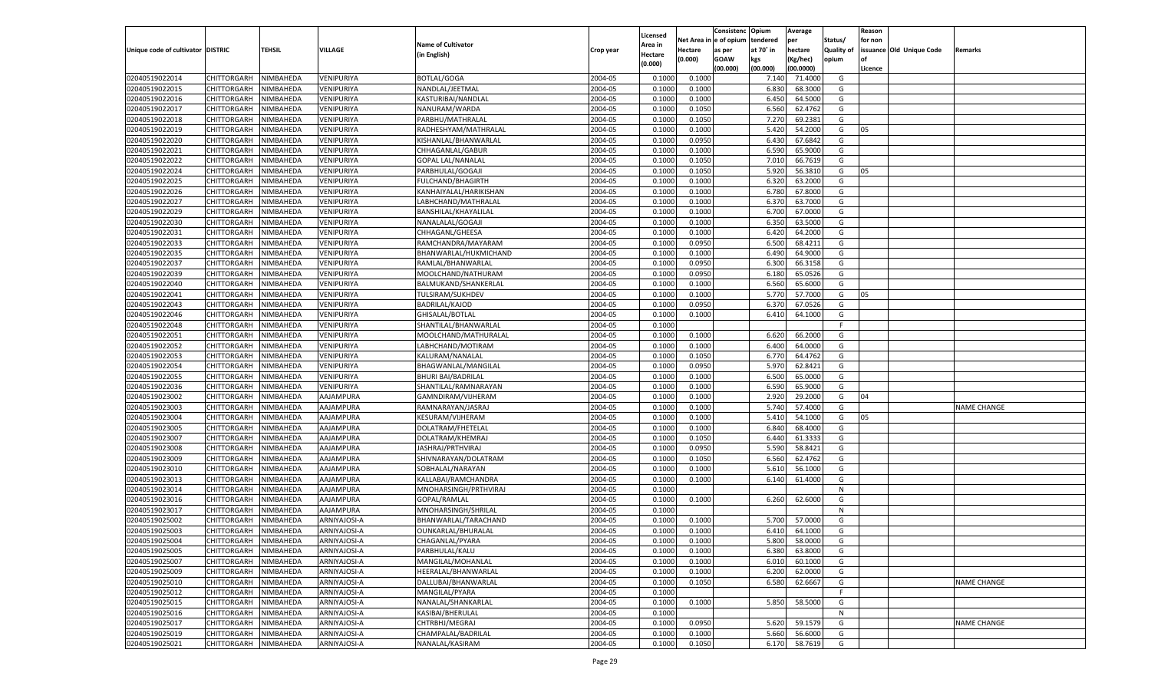|                                   |                                      |               |                              |                                   |                    |                           |                  | Consistenc  | Opium          | Average            |                   | Reason  |                          |                    |
|-----------------------------------|--------------------------------------|---------------|------------------------------|-----------------------------------|--------------------|---------------------------|------------------|-------------|----------------|--------------------|-------------------|---------|--------------------------|--------------------|
|                                   |                                      |               |                              | <b>Name of Cultivator</b>         |                    | Licensed                  | Net Area         | e of opium  | tendered       | per                | Status/           | for non |                          |                    |
| Unique code of cultivator DISTRIC |                                      | <b>TEHSIL</b> | VILLAGE                      | (in English)                      | Crop year          | <b>Area in</b><br>Hectare | Hectare          | as per      | at 70° in      | hectare            | <b>Quality of</b> |         | issuance Old Unique Code | Remarks            |
|                                   |                                      |               |                              |                                   |                    | (0.000)                   | (0.000)          | <b>GOAW</b> | kgs            | (Kg/hec)           | opium             |         |                          |                    |
|                                   |                                      |               |                              |                                   |                    |                           |                  | (00.000)    | (00.000)       | (00.0000)          |                   | Licence |                          |                    |
| 02040519022014                    | CHITTORGARH                          | NIMBAHEDA     | VENIPURIYA                   | <b>BOTLAL/GOGA</b>                | 2004-05            | 0.1000                    | 0.1000           |             | 7.140          | 71.4000            | G                 |         |                          |                    |
| 02040519022015                    | CHITTORGARH                          | NIMBAHEDA     | VENIPURIYA                   | NANDLAL/JEETMAL                   | 2004-05            | 0.1000                    | 0.1000           |             | 6.830          | 68.3000            | G                 |         |                          |                    |
| 02040519022016                    | CHITTORGARH                          | NIMBAHEDA     | VENIPURIYA                   | KASTURIBAI/NANDLAL                | 2004-05            | 0.1000                    | 0.1000           |             | 6.450          | 64.5000            | G                 |         |                          |                    |
| 02040519022017                    | CHITTORGARH                          | NIMBAHEDA     | VENIPURIYA                   | NANURAM/WARDA                     | 2004-05            | 0.1000                    | 0.1050           |             | 6.560          | 62.4762            | G                 |         |                          |                    |
| 02040519022018                    | CHITTORGARH                          | NIMBAHEDA     | VENIPURIYA                   | PARBHU/MATHRALAL                  | 2004-05            | 0.1000                    | 0.1050           |             | 7.27           | 69.2381            | G                 |         |                          |                    |
| 02040519022019                    | CHITTORGARH                          | NIMBAHEDA     | VENIPURIYA                   | RADHESHYAM/MATHRALAL              | 2004-05            | 0.1000                    | 0.1000           |             | 5.420          | 54.2000            | G                 | 05      |                          |                    |
| 02040519022020                    | CHITTORGARH                          | NIMBAHEDA     | VENIPURIYA                   | KISHANLAL/BHANWARLAL              | 2004-05            | 0.1000                    | 0.0950           |             | 6.430          | 67.6842            | G                 |         |                          |                    |
| 02040519022021                    | CHITTORGARH                          | NIMBAHEDA     | VENIPURIYA                   | CHHAGANLAL/GABUR                  | 2004-05            | 0.1000                    | 0.1000           |             | 6.590          | 65.9000            | G                 |         |                          |                    |
| 02040519022022                    | CHITTORGARH                          | NIMBAHEDA     | VENIPURIYA                   | <b>GOPAL LAL/NANALAL</b>          | 2004-05            | 0.1000                    | 0.1050           |             | 7.010          | 66.7619            | G                 |         |                          |                    |
| 02040519022024                    | CHITTORGARH                          | NIMBAHEDA     | VENIPURIYA                   | PARBHULAL/GOGAJI                  | 2004-05            | 0.1000                    | 0.1050           |             | 5.920          | 56.3810            | G                 | 05      |                          |                    |
| 02040519022025                    | CHITTORGARH                          | NIMBAHEDA     | VENIPURIYA                   | <b>FULCHAND/BHAGIRTH</b>          | 2004-05            | 0.1000                    | 0.1000           |             | 6.320          | 63.2000            | G                 |         |                          |                    |
| 02040519022026                    | CHITTORGARH                          | NIMBAHEDA     | VENIPURIYA                   | KANHAIYALAL/HARIKISHAN            | 2004-05            | 0.1000                    | 0.1000           |             | 6.780          | 67.8000            | G                 |         |                          |                    |
| 02040519022027                    | CHITTORGARH                          | NIMBAHEDA     | VENIPURIYA                   | LABHCHAND/MATHRALAL               | 2004-05            | 0.1000                    | 0.1000           |             | 6.37           | 63.7000            | G                 |         |                          |                    |
| 02040519022029                    | CHITTORGARH                          | NIMBAHEDA     | VENIPURIYA                   | BANSHILAL/KHAYALILAL              | 2004-05            | 0.1000                    | 0.1000           |             | 6.700          | 67.0000            | G                 |         |                          |                    |
| 02040519022030                    | CHITTORGARH                          | NIMBAHEDA     | VENIPURIYA                   | NANALALAL/GOGAJI                  | 2004-05            | 0.1000                    | 0.1000           |             | 6.350          | 63.5000            | G                 |         |                          |                    |
| 02040519022031                    | CHITTORGARH                          | NIMBAHEDA     | VENIPURIYA                   | CHHAGANL/GHEESA                   | 2004-05            | 0.1000                    | 0.1000           |             | 6.420          | 64.2000            | G                 |         |                          |                    |
| 02040519022033                    | CHITTORGARH                          | NIMBAHEDA     | VENIPURIYA                   | RAMCHANDRA/MAYARAM                | 2004-05            | 0.1000                    | 0.0950           |             | 6.500          | 68.4211            | G                 |         |                          |                    |
| 02040519022035                    | CHITTORGARH                          | NIMBAHEDA     | VENIPURIYA                   | BHANWARLAL/HUKMICHAND             | 2004-05            | 0.1000                    | 0.1000           |             | 6.490          | 64.9000            | G                 |         |                          |                    |
| 02040519022037                    | CHITTORGARH                          | NIMBAHEDA     | VENIPURIYA                   | RAMLAL/BHANWARLAL                 | 2004-05            | 0.1000                    | 0.0950           |             | 6.300          | 66.3158            | G                 |         |                          |                    |
| 02040519022039                    | CHITTORGARH                          | NIMBAHEDA     | VENIPURIYA                   | MOOLCHAND/NATHURAM                | 2004-05            | 0.1000                    | 0.0950           |             | 6.180          | 65.0526            | G                 |         |                          |                    |
| 02040519022040                    | CHITTORGARH                          | NIMBAHEDA     | VENIPURIYA                   | BALMUKAND/SHANKERLAL              | 2004-05            | 0.1000                    | 0.1000           |             | 6.560          | 65.6000            | G                 |         |                          |                    |
| 02040519022041                    | CHITTORGARH                          | NIMBAHEDA     | VENIPURIYA                   | TULSIRAM/SUKHDEV                  | 2004-05            | 0.1000                    | 0.1000           |             | 5.770          | 57.7000            | G                 | 05      |                          |                    |
| 02040519022043                    | CHITTORGARH                          | NIMBAHEDA     | VENIPURIYA                   | <b>BADRILAL/KAJOD</b>             | 2004-05            | 0.1000                    | 0.0950           |             | 6.370          | 67.0526            | G                 |         |                          |                    |
| 02040519022046                    | CHITTORGARH                          | NIMBAHEDA     | VENIPURIYA                   | GHISALAL/BOTLAL                   | 2004-05            | 0.1000                    | 0.1000           |             | 6.410          | 64.1000            | G                 |         |                          |                    |
| 02040519022048                    | CHITTORGARH                          | NIMBAHEDA     | VENIPURIYA                   | SHANTILAL/BHANWARLAL              | 2004-05            | 0.1000                    |                  |             |                |                    | F                 |         |                          |                    |
| 02040519022051                    | CHITTORGARH                          | NIMBAHEDA     | VENIPURIYA                   | MOOLCHAND/MATHURALAL              | 2004-05            | 0.1000                    | 0.1000           |             | 6.620          | 66.2000            | G                 |         |                          |                    |
| 02040519022052                    | CHITTORGARH                          | NIMBAHEDA     | VENIPURIYA                   | LABHCHAND/MOTIRAM                 | 2004-05            | 0.1000                    | 0.1000           |             | 6.400          | 64.0000            | G                 |         |                          |                    |
| 02040519022053                    | CHITTORGARH                          | NIMBAHEDA     | VENIPURIYA                   | KALURAM/NANALAL                   | 2004-05            | 0.1000                    | 0.1050           |             | 6.770          | 64.4762            | G                 |         |                          |                    |
| 02040519022054                    | CHITTORGARH                          | NIMBAHEDA     | VENIPURIYA                   | BHAGWANLAL/MANGILAL               | 2004-05            | 0.1000                    | 0.0950           |             | 5.970          | 62.8421            | G                 |         |                          |                    |
| 02040519022055                    | CHITTORGARH                          | NIMBAHEDA     | VENIPURIYA                   | <b>BHURI BAI/BADRILAL</b>         | 2004-05            | 0.1000                    | 0.1000           |             | 6.500          | 65.0000            | G                 |         |                          |                    |
| 02040519022036                    | CHITTORGARH                          | NIMBAHEDA     | VENIPURIYA                   | SHANTILAL/RAMNARAYAN              | 2004-05            | 0.1000                    | 0.1000           |             | 6.590          | 65.9000            | G                 |         |                          |                    |
| 02040519023002                    | CHITTORGARH                          | NIMBAHEDA     | AAJAMPURA                    | GAMNDIRAM/VIJHERAM                | 2004-05            | 0.1000                    | 0.1000           |             | 2.920          | 29.2000            | G                 | 04      |                          |                    |
| 02040519023003                    | CHITTORGARH                          | NIMBAHEDA     | AAJAMPURA                    | RAMNARAYAN/JASRAJ                 | 2004-05            | 0.1000                    | 0.1000           |             | 5.740          | 57.4000            | G                 |         |                          | <b>NAME CHANGE</b> |
| 02040519023004                    | CHITTORGARH                          | NIMBAHEDA     | AAJAMPURA                    | <b>KESURAM/VIJHERAM</b>           | 2004-05            | 0.1000                    | 0.1000           |             | 5.41           | 54.1000            | G                 | 05      |                          |                    |
| 02040519023005                    | CHITTORGARH                          | NIMBAHEDA     | AAJAMPURA                    | DOLATRAM/FHETELAL                 | 2004-05            | 0.1000                    | 0.1000           |             | 6.84           | 68.4000            | G                 |         |                          |                    |
| 02040519023007                    | CHITTORGARH                          | NIMBAHEDA     | AAJAMPURA                    | DOLATRAM/KHEMRAJ                  | 2004-05            | 0.1000                    | 0.1050           |             | 6.440          | 61.3333            | G                 |         |                          |                    |
| 02040519023008                    | CHITTORGARH                          | NIMBAHEDA     | AAJAMPURA                    | JASHRAJ/PRTHVIRAJ                 | 2004-05            | 0.1000                    | 0.0950           |             | 5.590          | 58.8421            | G                 |         |                          |                    |
| 02040519023009                    | CHITTORGARH                          | NIMBAHEDA     | AAJAMPURA                    | SHIVNARAYAN/DOLATRAM              | 2004-05            | 0.1000                    | 0.1050           |             | 6.560          | 62.4762            | G                 |         |                          |                    |
| 02040519023010                    | CHITTORGARH                          | NIMBAHEDA     | AAJAMPURA                    | SOBHALAL/NARAYAN                  | 2004-05            | 0.1000                    | 0.1000           |             | 5.610          | 56.1000            | G                 |         |                          |                    |
| 02040519023013                    | CHITTORGARH                          | NIMBAHEDA     | AAJAMPURA                    | KALLABAI/RAMCHANDRA               | 2004-05            | 0.1000                    | 0.1000           |             | 6.140          | 61.4000            | G                 |         |                          |                    |
| 02040519023014                    | CHITTORGARH                          | NIMBAHEDA     | AAJAMPURA                    | MNOHARSINGH/PRTHVIRAJ             | 2004-05            | 0.1000                    |                  |             |                |                    | N                 |         |                          |                    |
| 02040519023016                    | CHITTORGARH                          | NIMBAHEDA     | AAJAMPURA                    | GOPAL/RAMLAL                      | 2004-05            | 0.1000                    | 0.1000           |             | 6.260          | 62.6000            | G                 |         |                          |                    |
| 02040519023017                    | CHITTORGARH                          | NIMBAHEDA     | AAJAMPURA                    | MNOHARSINGH/SHRILAL               | 2004-05            | 0.1000                    |                  |             |                |                    | N                 |         |                          |                    |
| 02040519025002                    | CHITTORGARH                          | NIMBAHEDA     | ARNIYAJOSI-A                 | BHANWARLAL/TARACHAND              | 2004-05            | 0.1000                    | 0.1000           |             | 5.700          | 57.0000            | G                 |         |                          |                    |
| 02040519025003                    |                                      | NIMBAHEDA     |                              |                                   | 2004-05            | 0.1000                    | 0.1000           |             | 6.410          | 64.1000            | G                 |         |                          |                    |
|                                   | CHITTORGARH<br>CHITTORGARH NIMBAHEDA |               | ARNIYAJOSI-A                 | OUNKARLAL/BHURALAL                |                    |                           |                  |             |                |                    |                   |         |                          |                    |
| 02040519025004<br>02040519025005  | CHITTORGARH                          |               | ARNIYAJOSI-A<br>ARNIYAJOSI-A | CHAGANLAL/PYARA<br>PARBHULAL/KALU | 2004-05<br>2004-05 | 0.1000<br>0.1000          | 0.1000<br>0.1000 |             | 5.800<br>6.380 | 58.0000<br>63.8000 | G<br>G            |         |                          |                    |
|                                   | <b>CHITTORGARH</b>                   | NIMBAHEDA     |                              | MANGILAL/MOHANLAL                 |                    |                           |                  |             |                |                    |                   |         |                          |                    |
| 02040519025007                    |                                      | NIMBAHEDA     | ARNIYAJOSI-A                 |                                   | 2004-05            | 0.1000                    | 0.1000           |             | 6.010          | 60.1000            | G                 |         |                          |                    |
| 02040519025009                    | <b>CHITTORGARH</b>                   | NIMBAHEDA     | ARNIYAJOSI-A                 | HEERALAL/BHANWARLAL               | 2004-05            | 0.1000                    | 0.1000           |             | 6.200          | 62.0000            | G                 |         |                          |                    |
| 02040519025010                    | <b>CHITTORGARH</b>                   | NIMBAHEDA     | ARNIYAJOSI-A                 | DALLUBAI/BHANWARLAL               | 2004-05            | 0.1000                    | 0.1050           |             | 6.580          | 62.6667            | G                 |         |                          | <b>NAME CHANGE</b> |
| 02040519025012                    | <b>CHITTORGARH</b>                   | NIMBAHEDA     | ARNIYAJOSI-A                 | MANGILAL/PYARA                    | 2004-05            | 0.1000                    |                  |             |                |                    | F                 |         |                          |                    |
| 02040519025015                    | CHITTORGARH                          | NIMBAHEDA     | ARNIYAJOSI-A                 | NANALAL/SHANKARLAL                | 2004-05            | 0.1000                    | 0.1000           |             | 5.850          | 58.5000            | G                 |         |                          |                    |
| 02040519025016                    | <b>CHITTORGARH</b>                   | NIMBAHEDA     | ARNIYAJOSI-A                 | KASIBAI/BHERULAL                  | 2004-05            | 0.1000                    |                  |             |                |                    | N                 |         |                          |                    |
| 02040519025017                    | <b>CHITTORGARH</b>                   | NIMBAHEDA     | ARNIYAJOSI-A                 | CHTRBHJ/MEGRAJ                    | 2004-05            | 0.1000                    | 0.0950           |             | 5.620          | 59.1579            | G                 |         |                          | <b>NAME CHANGE</b> |
| 02040519025019                    | <b>CHITTORGARH</b>                   | NIMBAHEDA     | ARNIYAJOSI-A                 | CHAMPALAL/BADRILAL                | 2004-05            | 0.1000                    | 0.1000           |             | 5.660          | 56.6000            | G                 |         |                          |                    |
| 02040519025021                    | <b>CHITTORGARH</b>                   | NIMBAHEDA     | ARNIYAJOSI-A                 | NANALAL/KASIRAM                   | 2004-05            | 0.1000                    | 0.1050           |             | 6.170          | 58.7619            | G                 |         |                          |                    |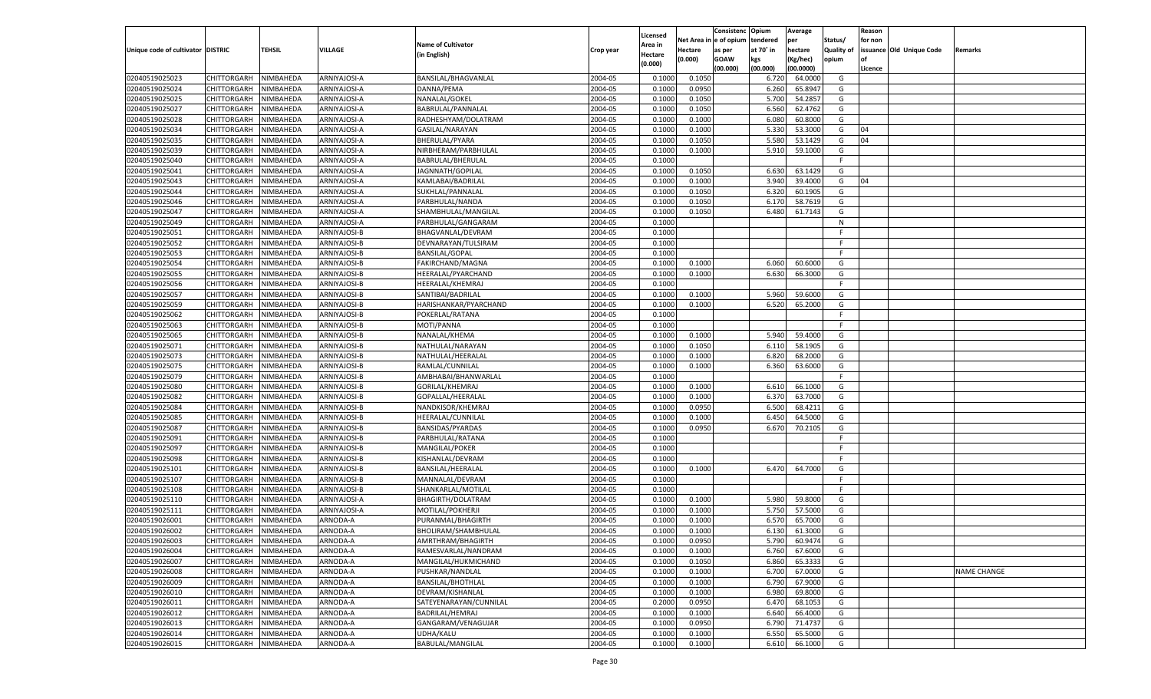|                                   |                       |           |                |                           |                    |                     |             | Consistenc   | Opium     | Average   |                   | Reason  |                          |                    |
|-----------------------------------|-----------------------|-----------|----------------|---------------------------|--------------------|---------------------|-------------|--------------|-----------|-----------|-------------------|---------|--------------------------|--------------------|
|                                   |                       |           |                | <b>Name of Cultivator</b> |                    | Licensed<br>Area in | Net Area iı | n e of opium | tendered  | per       | Status/           | for non |                          |                    |
| Unique code of cultivator DISTRIC |                       | TEHSIL    | <b>VILLAGE</b> | (in English)              | Crop year          | Hectare             | Hectare     | as per       | at 70° in | hectare   | <b>Quality of</b> |         | issuance Old Unique Code | Remarks            |
|                                   |                       |           |                |                           |                    | (0.000)             | (0.000)     | <b>GOAW</b>  | kgs       | (Kg/hec)  | opium             |         |                          |                    |
|                                   |                       |           |                |                           |                    |                     |             | (00.000)     | (00.000)  | (00.0000) |                   | Licence |                          |                    |
| 02040519025023                    | CHITTORGARH           | NIMBAHEDA | ARNIYAJOSI-A   | BANSILAL/BHAGVANLAL       | 2004-05            | 0.1000              | 0.1050      |              | 6.720     | 64.0000   | G                 |         |                          |                    |
| 02040519025024                    | CHITTORGARH           | NIMBAHEDA | ARNIYAJOSI-A   | DANNA/PEMA                | 2004-05            | 0.1000              | 0.0950      |              | 6.260     | 65.8947   | G                 |         |                          |                    |
| 02040519025025                    | CHITTORGARH           | NIMBAHEDA | ARNIYAJOSI-A   | NANALAL/GOKEL             | 2004-05            | 0.1000              | 0.1050      |              | 5.700     | 54.2857   | G                 |         |                          |                    |
| 02040519025027                    | CHITTORGARH           | NIMBAHEDA | ARNIYAJOSI-A   | BABRULAL/PANNALAL         | 2004-05            | 0.1000              | 0.1050      |              | 6.560     | 62.4762   | G                 |         |                          |                    |
| 02040519025028                    | CHITTORGARH           | NIMBAHEDA | ARNIYAJOSI-A   | RADHESHYAM/DOLATRAM       | 2004-05            | 0.1000              | 0.1000      |              | 6.080     | 60.8000   | G                 |         |                          |                    |
| 02040519025034                    | CHITTORGARH           | NIMBAHEDA | ARNIYAJOSI-A   | GASILAL/NARAYAN           | 2004-05            | 0.1000              | 0.1000      |              | 5.330     | 53.3000   | G                 | 04      |                          |                    |
| 02040519025035                    | CHITTORGARH           | NIMBAHEDA | ARNIYAJOSI-A   | BHERULAL/PYARA            | 2004-05            | 0.1000              | 0.1050      |              | 5.580     | 53.1429   | G                 | 04      |                          |                    |
| 02040519025039                    | CHITTORGARH           | NIMBAHEDA | ARNIYAJOSI-A   | NIRBHERAM/PARBHULAL       | 2004-05            | 0.1000              | 0.1000      |              | 5.910     | 59.1000   | G                 |         |                          |                    |
| 02040519025040                    | CHITTORGARH           | NIMBAHEDA | ARNIYAJOSI-A   | BABRULAL/BHERULAL         | 2004-05            | 0.1000              |             |              |           |           | F.                |         |                          |                    |
| 02040519025041                    | CHITTORGARH           | NIMBAHEDA | ARNIYAJOSI-A   | JAGNNATH/GOPILAL          | 2004-05            | 0.1000              | 0.1050      |              | 6.630     | 63.1429   | G                 |         |                          |                    |
| 02040519025043                    | CHITTORGARH           | NIMBAHEDA | ARNIYAJOSI-A   | KAMLABAI/BADRILAL         | 2004-05            | 0.1000              | 0.1000      |              | 3.940     | 39.4000   | G                 | 04      |                          |                    |
| 02040519025044                    | CHITTORGARH           | NIMBAHEDA | ARNIYAJOSI-A   | SUKHLAL/PANNALAL          | 2004-05            | 0.1000              | 0.1050      |              | 6.320     | 60.1905   | G                 |         |                          |                    |
| 02040519025046                    | CHITTORGARH           | NIMBAHEDA | ARNIYAJOSI-A   | PARBHULAL/NANDA           | 2004-05            | 0.1000              | 0.1050      |              | 6.170     | 58.7619   | G                 |         |                          |                    |
| 02040519025047                    | CHITTORGARH           | NIMBAHEDA | ARNIYAJOSI-A   | SHAMBHULAL/MANGILAL       | 2004-05            | 0.1000              | 0.1050      |              | 6.480     | 61.7143   | G                 |         |                          |                    |
| 02040519025049                    | CHITTORGARH           | NIMBAHEDA | ARNIYAJOSI-A   | PARBHULAL/GANGARAM        | 2004-05            | 0.1000              |             |              |           |           | N                 |         |                          |                    |
| 02040519025051                    | CHITTORGARH           | NIMBAHEDA | ARNIYAJOSI-B   | BHAGVANLAL/DEVRAM         | 2004-05            | 0.1000              |             |              |           |           | F.                |         |                          |                    |
| 02040519025052                    | CHITTORGARH           | NIMBAHEDA | ARNIYAJOSI-B   | DEVNARAYAN/TULSIRAM       | 2004-05            | 0.1000              |             |              |           |           | F.                |         |                          |                    |
| 02040519025053                    | CHITTORGARH           | NIMBAHEDA | ARNIYAJOSI-B   | <b>BANSILAL/GOPAL</b>     | 2004-05            | 0.1000              |             |              |           |           | F.                |         |                          |                    |
| 02040519025054                    | CHITTORGARH           | NIMBAHEDA | ARNIYAJOSI-B   | FAKIRCHAND/MAGNA          | 2004-05            | 0.1000              | 0.1000      |              | 6.060     | 60.6000   | G                 |         |                          |                    |
| 02040519025055                    | CHITTORGARH           | NIMBAHEDA | ARNIYAJOSI-B   | HEERALAL/PYARCHAND        | 2004-05            | 0.1000              | 0.1000      |              | 6.630     | 66.3000   | G                 |         |                          |                    |
| 02040519025056                    | CHITTORGARH           | NIMBAHEDA | ARNIYAJOSI-B   | HEERALAL/KHEMRAJ          | 2004-05            | 0.1000              |             |              |           |           | F.                |         |                          |                    |
| 02040519025057                    | CHITTORGARH           | NIMBAHEDA | ARNIYAJOSI-B   | SANTIBAI/BADRILAL         | 2004-05            | 0.1000              | 0.1000      |              | 5.960     | 59.6000   | G                 |         |                          |                    |
| 02040519025059                    | CHITTORGARH           | NIMBAHEDA | ARNIYAJOSI-B   | HARISHANKAR/PYARCHAND     | 2004-05            | 0.1000              | 0.1000      |              | 6.520     | 65.2000   | G                 |         |                          |                    |
| 02040519025062                    | CHITTORGARH           | NIMBAHEDA | ARNIYAJOSI-B   | POKERLAL/RATANA           | 2004-05            | 0.1000              |             |              |           |           | F.                |         |                          |                    |
| 02040519025063                    | CHITTORGARH           | NIMBAHEDA | ARNIYAJOSI-B   | MOTI/PANNA                | 2004-05            | 0.1000              |             |              |           |           | F.                |         |                          |                    |
| 02040519025065                    | CHITTORGARH           | NIMBAHEDA | ARNIYAJOSI-B   | NANALAL/KHEMA             | 2004-05            | 0.1000              | 0.1000      |              | 5.940     | 59.4000   | G                 |         |                          |                    |
| 02040519025071                    | CHITTORGARH           | NIMBAHEDA | ARNIYAJOSI-B   | NATHULAL/NARAYAN          | 2004-05            | 0.1000              | 0.1050      |              | 6.110     | 58.1905   | G                 |         |                          |                    |
| 02040519025073                    | CHITTORGARH           | NIMBAHEDA | ARNIYAJOSI-B   | NATHULAL/HEERALAL         | 2004-05            | 0.1000              | 0.1000      |              | 6.820     | 68.2000   | G                 |         |                          |                    |
| 02040519025075                    | CHITTORGARH           | NIMBAHEDA | ARNIYAJOSI-B   | RAMLAL/CUNNILAL           | 2004-05            | 0.1000              | 0.1000      |              | 6.360     | 63.6000   | G                 |         |                          |                    |
| 02040519025079                    | CHITTORGARH           | NIMBAHEDA | ARNIYAJOSI-B   | AMBHABAI/BHANWARLAL       | 2004-05            | 0.1000              |             |              |           |           | F.                |         |                          |                    |
| 02040519025080                    | CHITTORGARH           | NIMBAHEDA | ARNIYAJOSI-B   | GORILAL/KHEMRAJ           | 2004-05            | 0.1000              | 0.1000      |              | 6.610     | 66.1000   | G                 |         |                          |                    |
| 02040519025082                    | CHITTORGARH           | NIMBAHEDA | ARNIYAJOSI-B   | GOPALLAL/HEERALAI         | 2004-05            | 0.1000              | 0.1000      |              | 6.370     | 63.7000   | G                 |         |                          |                    |
| 02040519025084                    | CHITTORGARH           | NIMBAHEDA | ARNIYAJOSI-B   | NANDKISOR/KHEMRAJ         | 2004-05            | 0.1000              | 0.0950      |              | 6.500     | 68.4211   | G                 |         |                          |                    |
| 02040519025085                    | CHITTORGARH           | NIMBAHEDA | ARNIYAJOSI-B   | HEERALAL/CUNNILAL         | 2004-05            | 0.1000              | 0.1000      |              | 6.450     | 64.5000   | G                 |         |                          |                    |
| 02040519025087                    | CHITTORGARH           | NIMBAHEDA | ARNIYAJOSI-B   | BANSIDAS/PYARDAS          | 2004-05            | 0.1000              | 0.0950      |              | 6.670     | 70.2105   | G                 |         |                          |                    |
| 02040519025091                    | CHITTORGARH           | NIMBAHEDA | ARNIYAJOSI-B   | PARBHULAL/RATANA          | 2004-05            | 0.1000              |             |              |           |           | F                 |         |                          |                    |
| 02040519025097                    | CHITTORGARH           | NIMBAHEDA | ARNIYAJOSI-B   | MANGILAL/POKER            | 2004-05            | 0.1000              |             |              |           |           | F                 |         |                          |                    |
| 02040519025098                    | CHITTORGARH           | NIMBAHEDA | ARNIYAJOSI-B   | KISHANLAL/DEVRAM          | 2004-05            | 0.1000              |             |              |           |           | F                 |         |                          |                    |
| 02040519025101                    | CHITTORGARH           | NIMBAHEDA | ARNIYAJOSI-B   | BANSILAL/HEERALAI         | 2004-05            | 0.1000              | 0.1000      |              | 6.470     | 64.7000   | G                 |         |                          |                    |
| 02040519025107                    | CHITTORGARH           | NIMBAHEDA | ARNIYAJOSI-B   | MANNALAL/DEVRAM           | 2004-05            | 0.1000              |             |              |           |           | F                 |         |                          |                    |
| 02040519025108                    | CHITTORGARH           | NIMBAHEDA | ARNIYAJOSI-B   | SHANKARLAL/MOTILAL        | 2004-05            | 0.1000              |             |              |           |           | F.                |         |                          |                    |
| 02040519025110                    | CHITTORGARH           | NIMBAHEDA | ARNIYAJOSI-A   | BHAGIRTH/DOLATRAM         | 2004-05            | 0.1000              | 0.1000      |              | 5.980     | 59.8000   | G                 |         |                          |                    |
| 02040519025111                    | CHITTORGARH           | NIMBAHEDA | ARNIYAJOSI-A   | MOTILAL/POKHERJI          | 2004-05            | 0.1000              | 0.1000      |              | 5.750     | 57.5000   | G                 |         |                          |                    |
| 02040519026001                    | CHITTORGARH           | NIMBAHEDA | ARNODA-A       | PURANMAL/BHAGIRTH         | 2004-05            | 0.1000              | 0.1000      |              | 6.570     | 65.7000   | G                 |         |                          |                    |
| 02040519026002                    |                       | NIMBAHEDA |                |                           | 2004-05            | 0.1000              | 0.1000      |              | 6.130     | 61.3000   | G                 |         |                          |                    |
|                                   | CHITTORGARH           |           | ARNODA-A       | BHOLIRAM/SHAMBHULAL       |                    |                     |             |              |           |           |                   |         |                          |                    |
| 02040519026003                    | CHITTORGARH NIMBAHEDA | NIMBAHEDA | ARNODA-A       | AMRTHRAM/BHAGIRTH         | 2004-05<br>2004-05 | 0.1000              | 0.0950      |              | 5.790     | 60.9474   | G                 |         |                          |                    |
| 02040519026004                    | <b>CHITTORGARH</b>    |           | ARNODA-A       | RAMESVARLAL/NANDRAM       |                    | 0.1000              | 0.1000      |              | 6.760     | 67.6000   | G                 |         |                          |                    |
| 02040519026007                    | CHITTORGARH           | NIMBAHEDA | ARNODA-A       | MANGILAL/HUKMICHAND       | 2004-05            | 0.1000              | 0.1050      |              | 6.860     | 65.3333   | G                 |         |                          |                    |
| 02040519026008                    | CHITTORGARH           | NIMBAHEDA | ARNODA-A       | PUSHKAR/NANDLAL           | 2004-05            | 0.1000              | 0.1000      |              | 6.700     | 67.0000   | G                 |         |                          | <b>NAME CHANGE</b> |
| 02040519026009                    | CHITTORGARH           | NIMBAHEDA | ARNODA-A       | <b>BANSILAL/BHOTHLAL</b>  | 2004-05            | 0.1000              | 0.1000      |              | 6.790     | 67.9000   | G                 |         |                          |                    |
| 02040519026010                    | CHITTORGARH           | NIMBAHEDA | ARNODA-A       | DEVRAM/KISHANLAL          | 2004-05            | 0.1000              | 0.1000      |              | 6.980     | 69.8000   | G                 |         |                          |                    |
| 02040519026011                    | <b>CHITTORGARH</b>    | NIMBAHEDA | ARNODA-A       | SATEYENARAYAN/CUNNILAL    | 2004-05            | 0.2000              | 0.0950      |              | 6.470     | 68.1053   | G                 |         |                          |                    |
| 02040519026012                    | <b>CHITTORGARH</b>    | NIMBAHEDA | ARNODA-A       | BADRILAL/HEMRAJ           | 2004-05            | 0.1000              | 0.1000      |              | 6.640     | 66.4000   | G                 |         |                          |                    |
| 02040519026013                    | CHITTORGARH           | NIMBAHEDA | ARNODA-A       | GANGARAM/VENAGUJAR        | 2004-05            | 0.1000              | 0.0950      |              | 6.790     | 71.4737   | G                 |         |                          |                    |
| 02040519026014                    | <b>CHITTORGARH</b>    | NIMBAHEDA | ARNODA-A       | UDHA/KALU                 | 2004-05            | 0.1000              | 0.1000      |              | 6.550     | 65.5000   | G                 |         |                          |                    |
| 02040519026015                    | <b>CHITTORGARH</b>    | NIMBAHEDA | ARNODA-A       | BABULAL/MANGILAL          | 2004-05            | 0.1000              | 0.1000      |              | 6.610     | 66.1000   | G                 |         |                          |                    |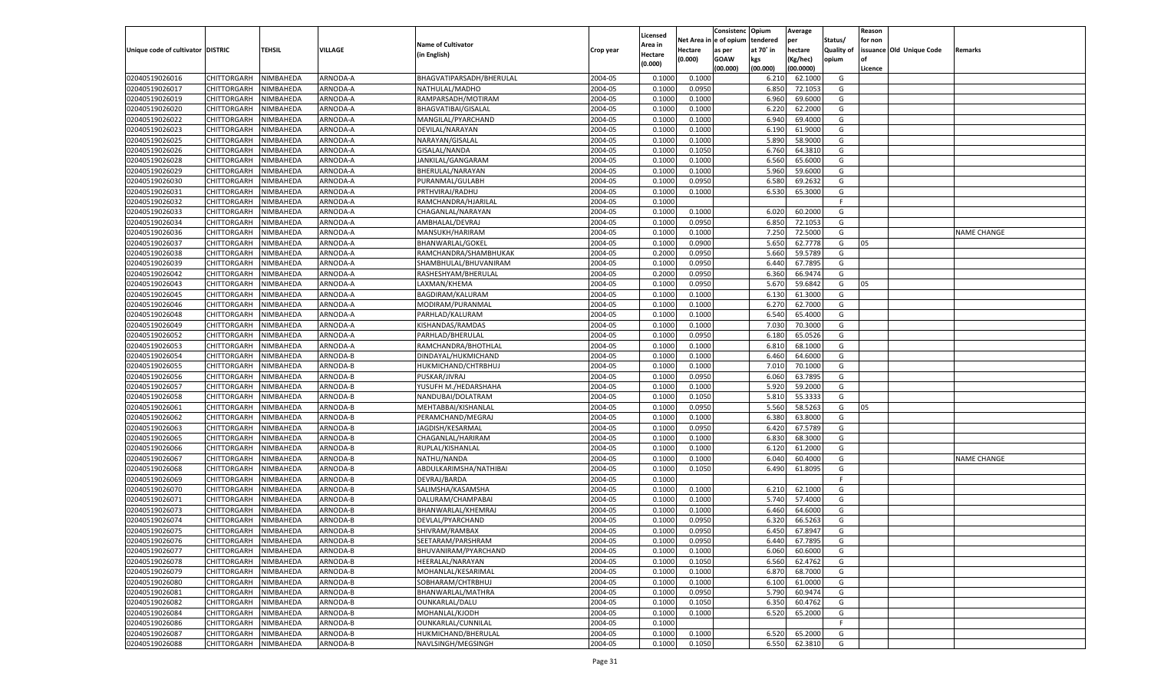|                                   |                            |                        |                |                           |           |                     |                  | Consistenc   | Opium          | Average   |                   | Reason  |                          |                    |
|-----------------------------------|----------------------------|------------------------|----------------|---------------------------|-----------|---------------------|------------------|--------------|----------------|-----------|-------------------|---------|--------------------------|--------------------|
|                                   |                            |                        |                | <b>Name of Cultivator</b> |           | Licensed<br>Area in | Net Area i       | n e of opium | tendered       | per       | Status/           | for non |                          |                    |
| Unique code of cultivator DISTRIC |                            | TEHSIL                 | <b>VILLAGE</b> | (in English)              | Crop year | Hectare             | Hectare          | as per       | at 70° in      | hectare   | <b>Quality of</b> |         | issuance Old Unique Code | Remarks            |
|                                   |                            |                        |                |                           |           | (0.000)             | (0.000)          | <b>GOAW</b>  | kgs            | (Kg/hec)  | opium             |         |                          |                    |
|                                   |                            |                        |                |                           |           |                     |                  | (00.000)     | (00.000)       | (00.0000) |                   | Licence |                          |                    |
| 02040519026016                    | CHITTORGARH                | NIMBAHEDA              | ARNODA-A       | BHAGVATIPARSADH/BHERULAL  | 2004-05   | 0.1000              | 0.1000           |              | 6.21           | 62.1000   | G                 |         |                          |                    |
| 02040519026017                    | CHITTORGARH                | NIMBAHEDA              | ARNODA-A       | NATHULAL/MADHO            | 2004-05   | 0.100               | 0.0950           |              | 6.850          | 72.1053   | G                 |         |                          |                    |
| 02040519026019                    | CHITTORGARH                | NIMBAHEDA              | ARNODA-A       | RAMPARSADH/MOTIRAM        | 2004-05   | 0.1000              | 0.1000           |              | 6.960          | 69.6000   | G                 |         |                          |                    |
| 02040519026020                    | CHITTORGARH                | NIMBAHEDA              | ARNODA-A       | BHAGVATIBAI/GISALAL       | 2004-05   | 0.1000              | 0.1000           |              | 6.220          | 62.2000   | G                 |         |                          |                    |
| 02040519026022                    | CHITTORGARH                | NIMBAHEDA              | ARNODA-A       | MANGILAL/PYARCHAND        | 2004-05   | 0.1000              | 0.1000           |              | 6.940          | 69.4000   | G                 |         |                          |                    |
| 02040519026023                    | CHITTORGARH                | NIMBAHEDA              | ARNODA-A       | DEVILAL/NARAYAN           | 2004-05   | 0.1000              | 0.1000           |              | 6.190          | 61.9000   | G                 |         |                          |                    |
| 02040519026025                    | CHITTORGARH                | NIMBAHEDA              | ARNODA-A       | NARAYAN/GISALAL           | 2004-05   | 0.1000              | 0.1000           |              | 5.890          | 58.9000   | G                 |         |                          |                    |
| 02040519026026                    | CHITTORGARH                | NIMBAHEDA              | ARNODA-A       | <b>GISALAL/NANDA</b>      | 2004-05   | 0.1000              | 0.1050           |              | 6.760          | 64.3810   | G                 |         |                          |                    |
| 02040519026028                    | CHITTORGARH                | NIMBAHEDA              | ARNODA-A       | JANKILAL/GANGARAM         | 2004-05   | 0.1000              | 0.1000           |              | 6.560          | 65.6000   | G                 |         |                          |                    |
| 02040519026029                    | CHITTORGARH                | NIMBAHEDA              | ARNODA-A       | BHERULAL/NARAYAN          | 2004-05   | 0.1000              | 0.1000           |              | 5.960          | 59.6000   | G                 |         |                          |                    |
| 02040519026030                    | CHITTORGARH                | NIMBAHEDA              | ARNODA-A       | PURANMAL/GULABH           | 2004-05   | 0.1000              | 0.0950           |              | 6.580          | 69.2632   | G                 |         |                          |                    |
| 02040519026031                    | CHITTORGARH                | NIMBAHEDA              | ARNODA-A       | PRTHVIRAJ/RADHU           | 2004-05   | 0.1000              | 0.1000           |              | 6.530          | 65.3000   | G                 |         |                          |                    |
| 02040519026032                    | CHITTORGARH                | NIMBAHEDA              | ARNODA-A       | RAMCHANDRA/HJARILAI       | 2004-05   | 0.1000              |                  |              |                |           | F.                |         |                          |                    |
| 02040519026033                    | CHITTORGARH                | NIMBAHEDA              | ARNODA-A       | CHAGANLAL/NARAYAN         | 2004-05   | 0.1000              | 0.1000           |              | 6.020          | 60.2000   | G                 |         |                          |                    |
| 02040519026034                    | CHITTORGARH                | NIMBAHEDA              | ARNODA-A       | AMBHALAL/DEVRAJ           | 2004-05   | 0.1000              | 0.0950           |              | 6.850          | 72.1053   | G                 |         |                          |                    |
| 02040519026036                    | CHITTORGARH                | NIMBAHEDA              | ARNODA-A       | MANSUKH/HARIRAM           | 2004-05   | 0.1000              | 0.1000           |              | 7.250          | 72.5000   | G                 |         |                          | <b>NAME CHANGE</b> |
| 02040519026037                    | CHITTORGARH                | NIMBAHEDA              | ARNODA-A       | BHANWARLAL/GOKEL          | 2004-05   | 0.1000              | 0.0900           |              | 5.650          | 62.7778   | G                 | 05      |                          |                    |
| 02040519026038                    | CHITTORGARH                | NIMBAHEDA              | ARNODA-A       | RAMCHANDRA/SHAMBHUKAK     | 2004-05   | 0.2000              | 0.0950           |              | 5.660          | 59.5789   | G                 |         |                          |                    |
| 02040519026039                    | CHITTORGARH                | NIMBAHEDA              | ARNODA-A       | SHAMBHULAL/BHUVANIRAM     | 2004-05   | 0.1000              | 0.0950           |              | 6.440          | 67.7895   | G                 |         |                          |                    |
| 02040519026042                    | CHITTORGARH                | NIMBAHEDA              | ARNODA-A       | RASHESHYAM/BHERULAL       | 2004-05   | 0.2000              | 0.0950           |              | 6.360          | 66.9474   | G                 |         |                          |                    |
| 02040519026043                    | CHITTORGARH                | NIMBAHEDA              | ARNODA-A       | LAXMAN/KHEMA              | 2004-05   | 0.1000              | 0.0950           |              | 5.670          | 59.6842   | G                 | 05      |                          |                    |
| 02040519026045                    | CHITTORGARH                | NIMBAHEDA              | ARNODA-A       | BAGDIRAM/KALURAM          | 2004-05   | 0.1000              | 0.1000           |              | 6.130          | 61.3000   | G                 |         |                          |                    |
| 02040519026046                    | CHITTORGARH                | NIMBAHEDA              | ARNODA-A       | MODIRAM/PURANMAL          | 2004-05   | 0.1000              | 0.1000           |              | 6.270          | 62.7000   | G                 |         |                          |                    |
| 02040519026048                    | CHITTORGARH                | NIMBAHEDA              | ARNODA-A       | PARHLAD/KALURAM           | 2004-05   | 0.1000              | 0.1000           |              | 6.540          | 65.4000   | G                 |         |                          |                    |
| 02040519026049                    | CHITTORGARH                | NIMBAHEDA              | ARNODA-A       | KISHANDAS/RAMDAS          | 2004-05   | 0.1000              | 0.1000           |              | 7.030          | 70.3000   | G                 |         |                          |                    |
| 02040519026052                    | CHITTORGARH                | NIMBAHEDA              | ARNODA-A       | PARHLAD/BHERULAL          | 2004-05   | 0.1000              | 0.0950           |              | 6.180          | 65.0526   | G                 |         |                          |                    |
| 02040519026053                    | CHITTORGARH                | NIMBAHEDA              | ARNODA-A       | RAMCHANDRA/BHOTHLAL       | 2004-05   | 0.1000              | 0.1000           |              | 6.810          | 68.1000   | G                 |         |                          |                    |
| 02040519026054                    | CHITTORGARH                | NIMBAHEDA              | ARNODA-B       | DINDAYAL/HUKMICHAND       | 2004-05   | 0.1000              | 0.1000           |              | 6.460          | 64.6000   | G                 |         |                          |                    |
| 02040519026055                    | CHITTORGARH                | NIMBAHEDA              | ARNODA-B       | HUKMICHAND/CHTRBHUJ       | 2004-05   | 0.1000              | 0.1000           |              | 7.010          | 70.1000   | G                 |         |                          |                    |
| 02040519026056                    | CHITTORGARH                | NIMBAHEDA              | ARNODA-B       | PUSKAR/JIVRAJ             | 2004-05   | 0.1000              | 0.0950           |              | 6.060          | 63.7895   | G                 |         |                          |                    |
| 02040519026057                    | CHITTORGARH                | NIMBAHEDA              | ARNODA-B       | YUSUFH M./HEDARSHAHA      | 2004-05   | 0.1000              | 0.1000           |              | 5.920          | 59.2000   | G                 |         |                          |                    |
| 02040519026058                    | CHITTORGARH                | NIMBAHEDA              | ARNODA-B       | NANDUBAI/DOLATRAM         | 2004-05   | 0.1000              | 0.1050           |              | 5.810          | 55.3333   | G                 |         |                          |                    |
| 02040519026061                    | CHITTORGARH                | NIMBAHEDA              | ARNODA-B       | MEHTABBAI/KISHANLAL       | 2004-05   | 0.1000              | 0.0950           |              | 5.560          | 58.5263   | G                 | 05      |                          |                    |
| 02040519026062                    | CHITTORGARH                | NIMBAHEDA              | ARNODA-B       | PERAMCHAND/MEGRAJ         | 2004-05   | 0.1000              | 0.1000           |              | 6.380          | 63.8000   | G                 |         |                          |                    |
| 02040519026063                    | CHITTORGARH                | NIMBAHEDA              | ARNODA-B       | JAGDISH/KESARMAL          | 2004-05   | 0.1000              | 0.0950           |              | 6.420          | 67.5789   | G                 |         |                          |                    |
| 02040519026065                    | CHITTORGARH                | NIMBAHEDA              | ARNODA-B       | CHAGANLAL/HARIRAM         | 2004-05   | 0.1000              | 0.1000           |              | 6.830          | 68.3000   | G                 |         |                          |                    |
| 02040519026066                    | CHITTORGARH                | NIMBAHEDA              | ARNODA-B       | RUPLAL/KISHANLAI          | 2004-05   | 0.1000              | 0.1000           |              | 6.120          | 61.2000   | G                 |         |                          |                    |
| 02040519026067                    | CHITTORGARH                | NIMBAHEDA              | ARNODA-B       | NATHU/NANDA               | 2004-05   | 0.1000              | 0.1000           |              | 6.040          | 60.4000   | G                 |         |                          | <b>NAME CHANGE</b> |
| 02040519026068                    | CHITTORGARH                | NIMBAHEDA              | ARNODA-B       | ABDULKARIMSHA/NATHIBAI    | 2004-05   | 0.1000              | 0.1050           |              | 6.490          | 61.8095   | G                 |         |                          |                    |
| 02040519026069                    | CHITTORGARH                | NIMBAHEDA              | ARNODA-B       | DEVRAJ/BARDA              | 2004-05   | 0.1000              |                  |              |                |           | F                 |         |                          |                    |
| 02040519026070                    | CHITTORGARH                | NIMBAHEDA              | ARNODA-B       | SALIMSHA/KASAMSHA         | 2004-05   | 0.1000              | 0.1000           |              | 6.210          | 62.1000   | G                 |         |                          |                    |
| 02040519026071                    | CHITTORGARH                | NIMBAHEDA              | ARNODA-B       | DALURAM/CHAMPABAI         | 2004-05   | 0.1000              | 0.1000           |              | 5.740          | 57.4000   | G                 |         |                          |                    |
| 02040519026073                    | CHITTORGARH                | NIMBAHEDA              | ARNODA-B       | BHANWARLAL/KHEMRAJ        | 2004-05   | 0.1000              | 0.1000           |              | 6.460          | 64.6000   | G                 |         |                          |                    |
| 02040519026074                    | CHITTORGARH                | NIMBAHEDA              | ARNODA-B       | DEVLAL/PYARCHAND          | 2004-05   | 0.1000              | 0.0950           |              | 6.320          | 66.5263   | G                 |         |                          |                    |
| 02040519026075                    | CHITTORGARH                | NIMBAHEDA              | ARNODA-B       | SHIVRAM/RAMBAX            | 2004-05   | 0.1000              | 0.0950           |              | 6.450          | 67.8947   | G                 |         |                          |                    |
| 02040519026076                    | CHITTORGARH NIMBAHEDA      |                        | ARNODA-B       | SEETARAM/PARSHRAM         | 2004-05   | 0.1000              | 0.0950           |              | 6.440          | 67.7895   | G                 |         |                          |                    |
| 02040519026077                    | <b>CHITTORGARH</b>         | NIMBAHEDA              | ARNODA-B       | BHUVANIRAM/PYARCHAND      | 2004-05   | 0.1000              | 0.1000           |              | 6.060          | 60.6000   | G                 |         |                          |                    |
| 02040519026078                    | CHITTORGARH                | NIMBAHEDA              | ARNODA-B       | HEERALAL/NARAYAN          | 2004-05   | 0.1000              | 0.1050           |              | 6.560          | 62.4762   | G                 |         |                          |                    |
| 02040519026079                    | CHITTORGARH                | NIMBAHEDA              | ARNODA-B       | MOHANLAL/KESARIMAL        | 2004-05   | 0.1000              | 0.1000           |              | 6.870          | 68.7000   | G                 |         |                          |                    |
| 02040519026080                    | <b>CHITTORGARH</b>         | NIMBAHEDA              | ARNODA-B       | SOBHARAM/CHTRBHUJ         | 2004-05   | 0.1000              | 0.1000           |              | 6.100          | 61.0000   | G                 |         |                          |                    |
| 02040519026081                    | CHITTORGARH                | NIMBAHEDA              | ARNODA-B       | BHANWARLAL/MATHRA         | 2004-05   | 0.1000              | 0.0950           |              |                | 60.9474   | G                 |         |                          |                    |
| 02040519026082                    | <b>CHITTORGARH</b>         |                        | ARNODA-B       |                           | 2004-05   |                     |                  |              | 5.790<br>6.350 | 60.4762   | G                 |         |                          |                    |
|                                   |                            | NIMBAHEDA<br>NIMBAHEDA | ARNODA-B       | OUNKARLAL/DALU            | 2004-05   | 0.1000              | 0.1050<br>0.1000 |              |                |           |                   |         |                          |                    |
| 02040519026084                    | CHITTORGARH<br>CHITTORGARH | NIMBAHEDA              |                | MOHANLAL/KJODH            |           | 0.1000              |                  |              | 6.520          | 65.2000   | G<br>F.           |         |                          |                    |
| 02040519026086                    |                            |                        | ARNODA-B       | OUNKARLAL/CUNNILAL        | 2004-05   | 0.1000              |                  |              |                | 65.2000   |                   |         |                          |                    |
| 02040519026087                    | <b>CHITTORGARH</b>         | NIMBAHEDA              | ARNODA-B       | HUKMICHAND/BHERULAL       | 2004-05   | 0.1000              | 0.1000           |              | 6.520          |           | G                 |         |                          |                    |
| 02040519026088                    | <b>CHITTORGARH</b>         | NIMBAHEDA              | ARNODA-B       | NAVLSINGH/MEGSINGH        | 2004-05   | 0.1000              | 0.1050           |              | 6.550          | 62.3810   | G                 |         |                          |                    |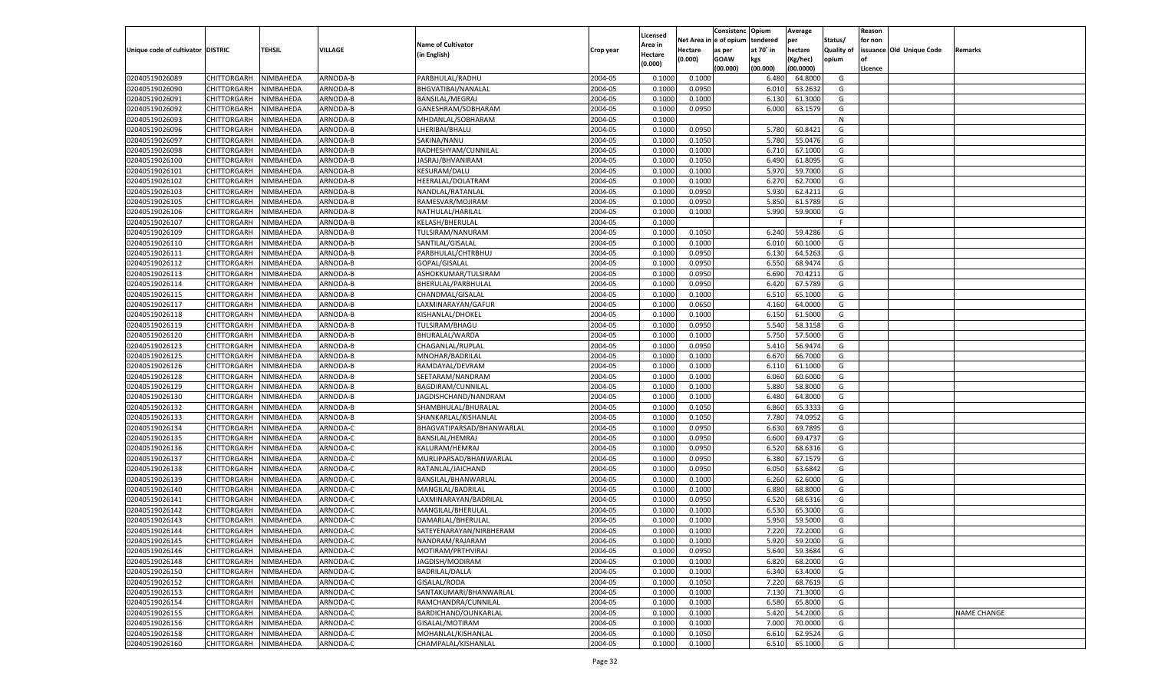|                                   |                       |           |          |                           |           |                     |            | Consistenc    | Opium     | Average   |                   | Reason  |                          |                    |
|-----------------------------------|-----------------------|-----------|----------|---------------------------|-----------|---------------------|------------|---------------|-----------|-----------|-------------------|---------|--------------------------|--------------------|
|                                   |                       |           |          | <b>Name of Cultivator</b> |           | Licensed<br>Area in | Net Area i | n  e of opium | tendered  | per       | Status/           | for non |                          |                    |
| Unique code of cultivator DISTRIC |                       | TEHSIL    | VILLAGE  | (in English)              | Crop year | Hectare             | Hectare    | as per        | at 70° in | hectare   | <b>Quality of</b> |         | issuance Old Unique Code | Remarks            |
|                                   |                       |           |          |                           |           | (0.000)             | (0.000)    | <b>GOAW</b>   | kgs       | (Kg/hec)  | opium             |         |                          |                    |
|                                   |                       |           |          |                           |           |                     |            | (00.000)      | (00.000)  | (00.0000) |                   | Licence |                          |                    |
| 02040519026089                    | CHITTORGARH           | NIMBAHEDA | ARNODA-B | PARBHULAL/RADHU           | 2004-05   | 0.1000              | 0.1000     |               | 6.480     | 64.8000   | G                 |         |                          |                    |
| 02040519026090                    | CHITTORGARH           | NIMBAHEDA | ARNODA-B | BHGVATIBAI/NANALAL        | 2004-05   | 0.100               | 0.0950     |               | 6.010     | 63.2632   | G                 |         |                          |                    |
| 02040519026091                    | CHITTORGARH           | NIMBAHEDA | ARNODA-B | <b>BANSILAL/MEGRAJ</b>    | 2004-05   | 0.1000              | 0.1000     |               | 6.130     | 61.3000   | G                 |         |                          |                    |
| 02040519026092                    | CHITTORGARH           | NIMBAHEDA | ARNODA-B | GANESHRAM/SOBHARAM        | 2004-05   | 0.1000              | 0.0950     |               | 6.000     | 63.1579   | G                 |         |                          |                    |
| 02040519026093                    | CHITTORGARH           | NIMBAHEDA | ARNODA-B | MHDANLAL/SOBHARAM         | 2004-05   | 0.1000              |            |               |           |           | N                 |         |                          |                    |
| 02040519026096                    | CHITTORGARH           | NIMBAHEDA | ARNODA-B | LHERIBAI/BHALU            | 2004-05   | 0.1000              | 0.0950     |               | 5.780     | 60.8421   | G                 |         |                          |                    |
| 02040519026097                    | CHITTORGARH           | NIMBAHEDA | ARNODA-B | SAKINA/NANU               | 2004-05   | 0.1000              | 0.1050     |               | 5.780     | 55.0476   | G                 |         |                          |                    |
| 02040519026098                    | CHITTORGARH           | NIMBAHEDA | ARNODA-B | RADHESHYAM/CUNNILAL       | 2004-05   | 0.1000              | 0.1000     |               | 6.710     | 67.1000   | G                 |         |                          |                    |
| 02040519026100                    | CHITTORGARH           | NIMBAHEDA | ARNODA-B | JASRAJ/BHVANIRAM          | 2004-05   | 0.1000              | 0.1050     |               | 6.490     | 61.8095   | G                 |         |                          |                    |
| 02040519026101                    | CHITTORGARH           | NIMBAHEDA | ARNODA-B | <b>KESURAM/DALU</b>       | 2004-05   | 0.1000              | 0.1000     |               | 5.970     | 59.7000   | G                 |         |                          |                    |
| 02040519026102                    | CHITTORGARH           | NIMBAHEDA | ARNODA-B | HEERALAL/DOLATRAM         | 2004-05   | 0.1000              | 0.1000     |               | 6.27      | 62.7000   | G                 |         |                          |                    |
| 02040519026103                    | CHITTORGARH           | NIMBAHEDA | ARNODA-B | NANDLAL/RATANLAL          | 2004-05   | 0.1000              | 0.0950     |               | 5.930     | 62.4211   | G                 |         |                          |                    |
| 02040519026105                    | CHITTORGARH           | NIMBAHEDA | ARNODA-B | RAMESVAR/MOJIRAM          | 2004-05   | 0.1000              | 0.0950     |               | 5.850     | 61.5789   | G                 |         |                          |                    |
| 02040519026106                    | CHITTORGARH           | NIMBAHEDA | ARNODA-B | NATHULAL/HARILAL          | 2004-05   | 0.1000              | 0.1000     |               | 5.990     | 59.9000   | G                 |         |                          |                    |
| 02040519026107                    | CHITTORGARH           | NIMBAHEDA | ARNODA-B | KELASH/BHERULAL           | 2004-05   | 0.1000              |            |               |           |           | F.                |         |                          |                    |
| 02040519026109                    | CHITTORGARH           | NIMBAHEDA | ARNODA-B | TULSIRAM/NANURAM          | 2004-05   | 0.1000              | 0.1050     |               | 6.240     | 59.4286   | G                 |         |                          |                    |
| 02040519026110                    | CHITTORGARH           | NIMBAHEDA | ARNODA-B | SANTILAL/GISALAL          | 2004-05   | 0.1000              | 0.1000     |               | 6.010     | 60.1000   | G                 |         |                          |                    |
| 02040519026111                    | CHITTORGARH           | NIMBAHEDA | ARNODA-B | PARBHULAL/CHTRBHUJ        | 2004-05   | 0.1000              | 0.0950     |               | 6.130     | 64.5263   | G                 |         |                          |                    |
| 02040519026112                    | CHITTORGARH           | NIMBAHEDA | ARNODA-B | GOPAL/GISALAL             | 2004-05   | 0.1000              | 0.0950     |               | 6.550     | 68.9474   | G                 |         |                          |                    |
| 02040519026113                    | CHITTORGARH           | NIMBAHEDA | ARNODA-B | ASHOKKUMAR/TULSIRAM       | 2004-05   | 0.1000              | 0.0950     |               | 6.690     | 70.4211   | G                 |         |                          |                    |
| 02040519026114                    | CHITTORGARH           | NIMBAHEDA | ARNODA-B | BHERULAL/PARBHULAL        | 2004-05   | 0.1000              | 0.0950     |               | 6.420     | 67.5789   | G                 |         |                          |                    |
| 02040519026115                    | CHITTORGARH           | NIMBAHEDA | ARNODA-B | CHANDMAL/GISALAL          | 2004-05   | 0.1000              | 0.1000     |               | 6.510     | 65.1000   | G                 |         |                          |                    |
| 02040519026117                    | CHITTORGARH           | NIMBAHEDA | ARNODA-B | LAXMINARAYAN/GAFUR        | 2004-05   | 0.1000              | 0.0650     |               | 4.160     | 64.0000   | G                 |         |                          |                    |
| 02040519026118                    | CHITTORGARH           | NIMBAHEDA | ARNODA-B | KISHANLAL/DHOKEL          | 2004-05   | 0.1000              | 0.1000     |               | 6.150     | 61.5000   | G                 |         |                          |                    |
| 02040519026119                    | CHITTORGARH           | NIMBAHEDA | ARNODA-B | TULSIRAM/BHAGU            | 2004-05   | 0.1000              | 0.0950     |               | 5.540     | 58.3158   | G                 |         |                          |                    |
| 02040519026120                    | CHITTORGARH           | NIMBAHEDA | ARNODA-B | BHURALAL/WARDA            | 2004-05   | 0.1000              | 0.1000     |               | 5.750     | 57.5000   | G                 |         |                          |                    |
| 02040519026123                    | CHITTORGARH           | NIMBAHEDA | ARNODA-B | CHAGANLAL/RUPLAL          | 2004-05   | 0.1000              | 0.0950     |               | 5.410     | 56.9474   | G                 |         |                          |                    |
| 02040519026125                    | CHITTORGARH           | NIMBAHEDA | ARNODA-B | MNOHAR/BADRILAL           | 2004-05   | 0.1000              | 0.1000     |               | 6.670     | 66.7000   | G                 |         |                          |                    |
| 02040519026126                    | CHITTORGARH           | NIMBAHEDA | ARNODA-B | RAMDAYAL/DEVRAM           | 2004-05   | 0.1000              | 0.1000     |               | 6.110     | 61.1000   | G                 |         |                          |                    |
| 02040519026128                    | CHITTORGARH           | NIMBAHEDA | ARNODA-B | SEETARAM/NANDRAM          | 2004-05   | 0.1000              | 0.1000     |               | 6.060     | 60.6000   | G                 |         |                          |                    |
| 02040519026129                    | CHITTORGARH           | NIMBAHEDA | ARNODA-B | BAGDIRAM/CUNNILAL         | 2004-05   | 0.1000              | 0.1000     |               | 5.880     | 58.8000   | G                 |         |                          |                    |
| 02040519026130                    | CHITTORGARH           | NIMBAHEDA | ARNODA-B | JAGDISHCHAND/NANDRAM      | 2004-05   | 0.1000              | 0.1000     |               | 6.480     | 64.8000   | G                 |         |                          |                    |
| 02040519026132                    | CHITTORGARH           | NIMBAHEDA | ARNODA-B | SHAMBHULAL/BHURALAI       | 2004-05   | 0.1000              | 0.1050     |               | 6.860     | 65.3333   | G                 |         |                          |                    |
| 02040519026133                    | CHITTORGARH           | NIMBAHEDA | ARNODA-B | SHANKARLAL/KISHANLAL      | 2004-05   | 0.1000              | 0.1050     |               | 7.780     | 74.0952   | G                 |         |                          |                    |
| 02040519026134                    | CHITTORGARH           | NIMBAHEDA | ARNODA-C | BHAGVATIPARSAD/BHANWARLAL | 2004-05   | 0.1000              | 0.0950     |               | 6.630     | 69.7895   | G                 |         |                          |                    |
| 02040519026135                    | CHITTORGARH           | NIMBAHEDA | ARNODA-C | BANSILAL/HEMRAJ           | 2004-05   | 0.1000              | 0.0950     |               | 6.600     | 69.4737   | G                 |         |                          |                    |
| 02040519026136                    | CHITTORGARH           | NIMBAHEDA | ARNODA-C | KALURAM/HEMRAJ            | 2004-05   | 0.1000              | 0.0950     |               | 6.520     | 68.6316   | G                 |         |                          |                    |
| 02040519026137                    | CHITTORGARH           | NIMBAHEDA | ARNODA-C | MURLIPARSAD/BHANWARLAL    | 2004-05   | 0.1000              | 0.0950     |               | 6.380     | 67.1579   | G                 |         |                          |                    |
| 02040519026138                    | CHITTORGARH           | NIMBAHEDA | ARNODA-C | RATANLAL/JAICHAND         | 2004-05   | 0.1000              | 0.0950     |               | 6.050     | 63.6842   | G                 |         |                          |                    |
| 02040519026139                    | CHITTORGARH           | NIMBAHEDA | ARNODA-C | BANSILAL/BHANWARLAL       | 2004-05   | 0.1000              | 0.1000     |               | 6.260     | 62.6000   | G                 |         |                          |                    |
| 02040519026140                    | CHITTORGARH           | NIMBAHEDA | ARNODA-C | MANGILAL/BADRILAL         | 2004-05   | 0.1000              | 0.1000     |               | 6.880     | 68.8000   | G                 |         |                          |                    |
| 02040519026141                    | CHITTORGARH           | NIMBAHEDA | ARNODA-C | LAXMINARAYAN/BADRILAL     | 2004-05   | 0.1000              | 0.0950     |               | 6.520     | 68.6316   | G                 |         |                          |                    |
| 02040519026142                    | CHITTORGARH           | NIMBAHEDA | ARNODA-C | MANGILAL/BHERULAL         | 2004-05   | 0.1000              | 0.1000     |               | 6.530     | 65.3000   | G                 |         |                          |                    |
| 02040519026143                    | CHITTORGARH           | NIMBAHEDA | ARNODA-C | DAMARLAL/BHERULAI         | 2004-05   | 0.1000              | 0.1000     |               | 5.950     | 59.5000   | G                 |         |                          |                    |
| 02040519026144                    | CHITTORGARH           | NIMBAHEDA | ARNODA-C | SATEYENARAYAN/NIRBHERAM   | 2004-05   | 0.1000              | 0.1000     |               | 7.220     | 72.2000   | G                 |         |                          |                    |
| 02040519026145                    | CHITTORGARH NIMBAHEDA |           | ARNODA-C | NANDRAM/RAJARAM           | 2004-05   | 0.1000              | 0.1000     |               | 5.920     | 59.2000   | G                 |         |                          |                    |
| 02040519026146                    | <b>CHITTORGARH</b>    | NIMBAHEDA | ARNODA-C | MOTIRAM/PRTHVIRAJ         | 2004-05   | 0.1000              | 0.0950     |               | 5.640     | 59.3684   | G                 |         |                          |                    |
| 02040519026148                    | CHITTORGARH           | NIMBAHEDA | ARNODA-C | JAGDISH/MODIRAM           | 2004-05   |                     | 0.1000     |               | 6.820     | 68.2000   | G                 |         |                          |                    |
|                                   |                       | NIMBAHEDA |          | <b>BADRILAL/DALLA</b>     | 2004-05   | 0.1000              | 0.1000     |               |           |           |                   |         |                          |                    |
| 02040519026150                    | CHITTORGARH           |           | ARNODA-C |                           |           | 0.1000              |            |               | 6.340     | 63.4000   | G                 |         |                          |                    |
| 02040519026152                    | <b>CHITTORGARH</b>    | NIMBAHEDA | ARNODA-C | GISALAL/RODA              | 2004-05   | 0.1000              | 0.1050     |               | 7.220     | 68.7619   | G                 |         |                          |                    |
| 02040519026153                    | CHITTORGARH           | NIMBAHEDA | ARNODA-C | SANTAKUMARI/BHANWARLAL    | 2004-05   | 0.1000              | 0.1000     |               | 7.130     | 71.3000   | G                 |         |                          |                    |
| 02040519026154                    | <b>CHITTORGARH</b>    | NIMBAHEDA | ARNODA-C | RAMCHANDRA/CUNNILAL       | 2004-05   | 0.1000              | 0.1000     |               | 6.580     | 65.8000   | G                 |         |                          |                    |
| 02040519026155                    | CHITTORGARH           | NIMBAHEDA | ARNODA-C | BARDICHAND/OUNKARLAL      | 2004-05   | 0.1000              | 0.1000     |               | 5.420     | 54.2000   | G                 |         |                          | <b>NAME CHANGE</b> |
| 02040519026156                    | CHITTORGARH           | NIMBAHEDA | ARNODA-C | GISALAL/MOTIRAM           | 2004-05   | 0.1000              | 0.1000     |               | 7.000     | 70.0000   | G                 |         |                          |                    |
| 02040519026158                    | <b>CHITTORGARH</b>    | NIMBAHEDA | ARNODA-C | MOHANLAL/KISHANLAL        | 2004-05   | 0.1000              | 0.1050     |               | 6.610     | 62.9524   | G                 |         |                          |                    |
| 02040519026160                    | <b>CHITTORGARH</b>    | NIMBAHEDA | ARNODA-C | CHAMPALAL/KISHANLAL       | 2004-05   | 0.1000              | 0.1000     |               | 6.510     | 65.1000   | G                 |         |                          |                    |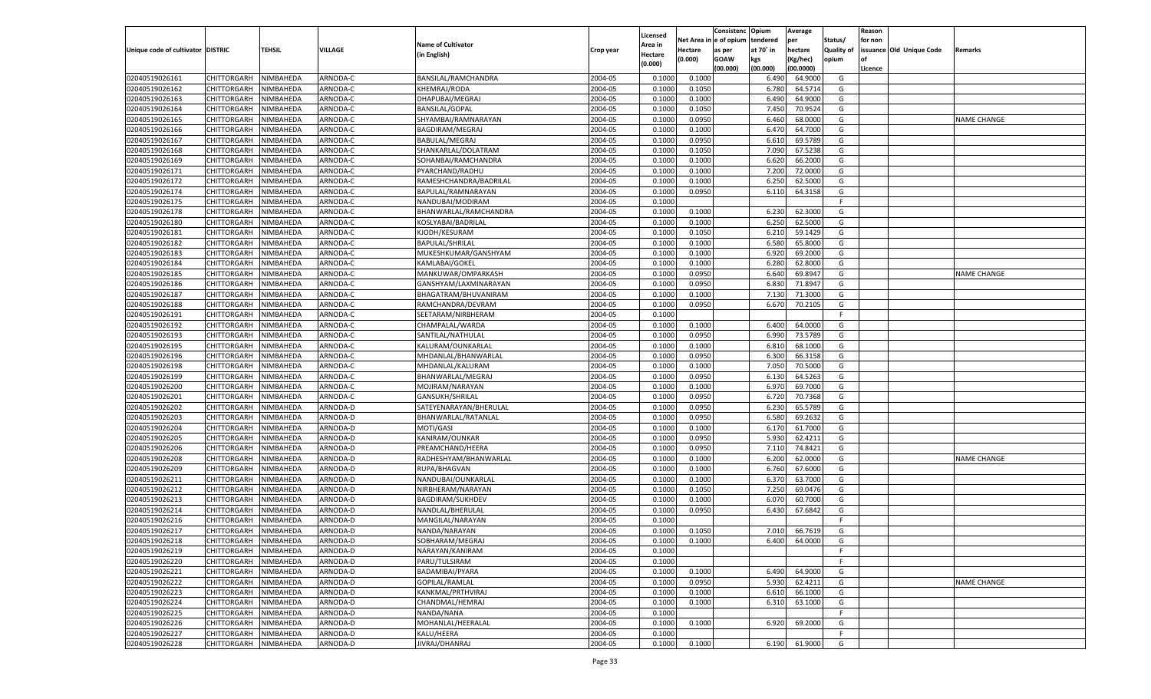|                                   |                       |           |                |                           |                    |                     |            | Consistenc   | Opium     | Average   |                   | Reason  |                          |                    |
|-----------------------------------|-----------------------|-----------|----------------|---------------------------|--------------------|---------------------|------------|--------------|-----------|-----------|-------------------|---------|--------------------------|--------------------|
|                                   |                       |           |                | <b>Name of Cultivator</b> |                    | Licensed<br>Area in | Net Area i | n e of opium | tendered  | per       | Status/           | for non |                          |                    |
| Unique code of cultivator DISTRIC |                       | TEHSIL    | <b>VILLAGE</b> | (in English)              | Crop year          | Hectare             | Hectare    | as per       | at 70° in | hectare   | <b>Quality of</b> |         | issuance Old Unique Code | Remarks            |
|                                   |                       |           |                |                           |                    | (0.000)             | (0.000)    | <b>GOAW</b>  | kgs       | (Kg/hec)  | opium             |         |                          |                    |
|                                   |                       |           |                |                           |                    |                     |            | (00.000)     | (00.000)  | (00.0000) |                   | Licence |                          |                    |
| 02040519026161                    | CHITTORGARH           | NIMBAHEDA | ARNODA-C       | BANSILAL/RAMCHANDRA       | 2004-05            | 0.1000              | 0.1000     |              | 6.490     | 64.9000   | G                 |         |                          |                    |
| 02040519026162                    | CHITTORGARH           | NIMBAHEDA | ARNODA-C       | KHEMRAJ/RODA              | 2004-05            | 0.100               | 0.1050     |              | 6.780     | 64.5714   | G                 |         |                          |                    |
| 02040519026163                    | CHITTORGARH           | NIMBAHEDA | ARNODA-C       | DHAPUBAI/MEGRAJ           | 2004-05            | 0.1000              | 0.1000     |              | 6.490     | 64.9000   | G                 |         |                          |                    |
| 02040519026164                    | CHITTORGARH           | NIMBAHEDA | ARNODA-C       | <b>BANSILAL/GOPAL</b>     | 2004-05            | 0.1000              | 0.1050     |              | 7.450     | 70.9524   | G                 |         |                          |                    |
| 02040519026165                    | CHITTORGARH           | NIMBAHEDA | ARNODA-C       | SHYAMBAI/RAMNARAYAN       | 2004-05            | 0.1000              | 0.0950     |              | 6.460     | 68.0000   | G                 |         |                          | <b>NAME CHANGE</b> |
| 02040519026166                    | CHITTORGARH           | NIMBAHEDA | ARNODA-C       | BAGDIRAM/MEGRAJ           | 2004-05            | 0.1000              | 0.1000     |              | 6.470     | 64.7000   | G                 |         |                          |                    |
| 02040519026167                    | CHITTORGARH           | NIMBAHEDA | ARNODA-C       | <b>BABULAL/MEGRAJ</b>     | 2004-05            | 0.1000              | 0.0950     |              | 6.610     | 69.5789   | G                 |         |                          |                    |
| 02040519026168                    | CHITTORGARH           | NIMBAHEDA | ARNODA-C       | SHANKARLAL/DOLATRAM       | 2004-05            | 0.1000              | 0.1050     |              | 7.090     | 67.5238   | G                 |         |                          |                    |
| 02040519026169                    | CHITTORGARH           | NIMBAHEDA | ARNODA-C       | SOHANBAI/RAMCHANDRA       | 2004-05            | 0.1000              | 0.1000     |              | 6.620     | 66.2000   | G                 |         |                          |                    |
| 02040519026171                    | CHITTORGARH           | NIMBAHEDA | ARNODA-C       | PYARCHAND/RADHU           | 2004-05            | 0.1000              | 0.1000     |              | 7.200     | 72.0000   | G                 |         |                          |                    |
| 02040519026172                    | CHITTORGARH           | NIMBAHEDA | ARNODA-C       | RAMESHCHANDRA/BADRILAL    | 2004-05            | 0.1000              | 0.1000     |              | 6.250     | 62.5000   | G                 |         |                          |                    |
| 02040519026174                    | CHITTORGARH           | NIMBAHEDA | ARNODA-C       | BAPULAL/RAMNARAYAN        | 2004-05            | 0.1000              | 0.0950     |              | 6.11      | 64.3158   | G                 |         |                          |                    |
| 02040519026175                    | CHITTORGARH           | NIMBAHEDA | ARNODA-C       | NANDUBAI/MODIRAM          | 2004-05            | 0.1000              |            |              |           |           | F.                |         |                          |                    |
| 02040519026178                    | CHITTORGARH           | NIMBAHEDA | ARNODA-C       | BHANWARLAL/RAMCHANDRA     | 2004-05            | 0.1000              | 0.1000     |              | 6.230     | 62.3000   | G                 |         |                          |                    |
| 02040519026180                    | CHITTORGARH           | NIMBAHEDA | ARNODA-C       | KOSLYABAI/BADRILAL        | 2004-05            | 0.1000              | 0.1000     |              | 6.250     | 62.5000   | G                 |         |                          |                    |
| 02040519026181                    | CHITTORGARH           | NIMBAHEDA | ARNODA-C       | KJODH/KESURAM             | 2004-05            | 0.1000              | 0.1050     |              | 6.210     | 59.1429   | G                 |         |                          |                    |
| 02040519026182                    | CHITTORGARH           | NIMBAHEDA | ARNODA-C       | <b>BAPULAL/SHRILAL</b>    | 2004-05            | 0.1000              | 0.1000     |              | 6.580     | 65.8000   | G                 |         |                          |                    |
| 02040519026183                    | CHITTORGARH           | NIMBAHEDA | ARNODA-C       | MUKESHKUMAR/GANSHYAM      | 2004-05            | 0.1000              | 0.1000     |              | 6.920     | 69.2000   | G                 |         |                          |                    |
| 02040519026184                    | CHITTORGARH           | NIMBAHEDA | ARNODA-C       | KAMLABAI/GOKEL            | 2004-05            | 0.1000              | 0.1000     |              | 6.280     | 62.8000   | G                 |         |                          |                    |
| 02040519026185                    | CHITTORGARH           | NIMBAHEDA | ARNODA-C       | MANKUWAR/OMPARKASH        | 2004-05            | 0.1000              | 0.0950     |              | 6.640     | 69.8947   | G                 |         |                          | <b>NAME CHANGE</b> |
| 02040519026186                    | CHITTORGARH           | NIMBAHEDA | ARNODA-C       | GANSHYAM/LAXMINARAYAN     | 2004-05            | 0.1000              | 0.0950     |              | 6.830     | 71.8947   | G                 |         |                          |                    |
| 02040519026187                    | CHITTORGARH           | NIMBAHEDA | ARNODA-C       | BHAGATRAM/BHUVANIRAM      | 2004-05            | 0.1000              | 0.1000     |              | 7.130     | 71.3000   | G                 |         |                          |                    |
| 02040519026188                    | CHITTORGARH           | NIMBAHEDA | ARNODA-C       | RAMCHANDRA/DEVRAM         | 2004-05            | 0.1000              | 0.0950     |              | 6.670     | 70.2105   | G                 |         |                          |                    |
| 02040519026191                    | CHITTORGARH           | NIMBAHEDA | ARNODA-C       | SEETARAM/NIRBHERAM        | 2004-05            | 0.1000              |            |              |           |           | F.                |         |                          |                    |
| 02040519026192                    | CHITTORGARH           | NIMBAHEDA | ARNODA-C       | CHAMPALAL/WARDA           | 2004-05            | 0.1000              | 0.1000     |              | 6.400     | 64.0000   | G                 |         |                          |                    |
| 02040519026193                    | CHITTORGARH           | NIMBAHEDA | ARNODA-C       | SANTILAL/NATHULAL         | 2004-05            | 0.1000              | 0.0950     |              | 6.990     | 73.5789   | G                 |         |                          |                    |
| 02040519026195                    | CHITTORGARH           | NIMBAHEDA | ARNODA-C       | KALURAM/OUNKARLAL         | 2004-05            | 0.1000              | 0.1000     |              | 6.810     | 68.1000   | G                 |         |                          |                    |
| 02040519026196                    | CHITTORGARH           | NIMBAHEDA | ARNODA-C       | MHDANLAL/BHANWARLAL       | 2004-05            | 0.1000              | 0.0950     |              | 6.300     | 66.3158   | G                 |         |                          |                    |
| 02040519026198                    | CHITTORGARH           | NIMBAHEDA | ARNODA-C       | MHDANLAL/KALURAM          | 2004-05            | 0.1000              | 0.1000     |              | 7.050     | 70.5000   | G                 |         |                          |                    |
| 02040519026199                    | CHITTORGARH           | NIMBAHEDA | ARNODA-C       | BHANWARLAL/MEGRAJ         | 2004-05            | 0.1000              | 0.0950     |              | 6.130     | 64.5263   | G                 |         |                          |                    |
| 02040519026200                    | CHITTORGARH           | NIMBAHEDA | ARNODA-C       | MOJIRAM/NARAYAN           | 2004-05            | 0.1000              | 0.1000     |              | 6.970     | 69.7000   | G                 |         |                          |                    |
| 02040519026201                    | CHITTORGARH           | NIMBAHEDA | ARNODA-C       | GANSUKH/SHRILAL           | 2004-05            | 0.1000              | 0.0950     |              | 6.720     | 70.7368   | G                 |         |                          |                    |
| 02040519026202                    | CHITTORGARH           | NIMBAHEDA | ARNODA-D       | SATEYENARAYAN/BHERULAI    | 2004-05            | 0.1000              | 0.0950     |              | 6.230     | 65.5789   | G                 |         |                          |                    |
| 02040519026203                    | CHITTORGARH           | NIMBAHEDA | ARNODA-D       | BHANWARLAL/RATANLAL       | 2004-05            | 0.1000              | 0.0950     |              | 6.580     | 69.2632   | G                 |         |                          |                    |
| 02040519026204                    | CHITTORGARH           | NIMBAHEDA | ARNODA-D       | MOTI/GASI                 | 2004-05            | 0.1000              | 0.1000     |              | 6.170     | 61.7000   | G                 |         |                          |                    |
| 02040519026205                    | CHITTORGARH           | NIMBAHEDA | ARNODA-D       | KANIRAM/OUNKAR            | 2004-05            | 0.1000              | 0.0950     |              | 5.930     | 62.4211   | G                 |         |                          |                    |
| 02040519026206                    | CHITTORGARH           | NIMBAHEDA | ARNODA-D       | PREAMCHAND/HEERA          | 2004-05            | 0.1000              | 0.0950     |              | 7.110     | 74.8421   | G                 |         |                          |                    |
| 02040519026208                    | CHITTORGARH           | NIMBAHEDA | ARNODA-D       | RADHESHYAM/BHANWARLAI     | 2004-05            | 0.1000              | 0.1000     |              | 6.200     | 62.0000   | G                 |         |                          | <b>NAME CHANGE</b> |
| 02040519026209                    | CHITTORGARH           | NIMBAHEDA | ARNODA-D       | RUPA/BHAGVAN              | 2004-05            | 0.1000              | 0.1000     |              | 6.760     | 67.6000   | G                 |         |                          |                    |
| 02040519026211                    | CHITTORGARH           | NIMBAHEDA | ARNODA-D       | NANDUBAI/OUNKARLAL        | 2004-05            | 0.1000              | 0.1000     |              | 6.370     | 63.7000   | G                 |         |                          |                    |
| 02040519026212                    | CHITTORGARH           | NIMBAHEDA | ARNODA-D       | NIRBHERAM/NARAYAN         | 2004-05            | 0.1000              | 0.1050     |              | 7.250     | 69.0476   | G                 |         |                          |                    |
| 02040519026213                    | CHITTORGARH           | NIMBAHEDA | ARNODA-D       | <b>BAGDIRAM/SUKHDEV</b>   | 2004-05            | 0.1000              | 0.1000     |              | 6.070     | 60.7000   | G                 |         |                          |                    |
| 02040519026214                    | CHITTORGARH           | NIMBAHEDA | ARNODA-D       | NANDLAL/BHERULAI          | 2004-05            | 0.1000              | 0.0950     |              | 6.430     | 67.6842   | G                 |         |                          |                    |
| 02040519026216                    | CHITTORGARH           | NIMBAHEDA | ARNODA-D       | MANGILAL/NARAYAN          | 2004-05            | 0.1000              |            |              |           |           | F                 |         |                          |                    |
| 02040519026217                    | CHITTORGARH           | NIMBAHEDA | ARNODA-D       | NANDA/NARAYAN             | 2004-05            | 0.1000              | 0.1050     |              | 7.010     | 66.7619   | G                 |         |                          |                    |
|                                   | CHITTORGARH NIMBAHEDA |           | ARNODA-D       | SOBHARAM/MEGRAJ           | 2004-05            | 0.1000              | 0.1000     |              | 6.400     | 64.0000   | G                 |         |                          |                    |
| 02040519026218<br>02040519026219  |                       | NIMBAHEDA | ARNODA-D       | NARAYAN/KANIRAM           | 2004-05            | 0.1000              |            |              |           |           | -F                |         |                          |                    |
| 02040519026220                    | <b>CHITTORGARH</b>    |           |                |                           |                    |                     |            |              |           |           |                   |         |                          |                    |
|                                   | CHITTORGARH           | NIMBAHEDA | ARNODA-D       | PARU/TULSIRAM             | 2004-05<br>2004-05 | 0.1000              |            |              | 6.490     | 64.9000   | F.                |         |                          |                    |
| 02040519026221<br>02040519026222  | CHITTORGARH           | NIMBAHEDA | ARNODA-D       | BADAMIBAI/PYARA           |                    | 0.1000              | 0.1000     |              |           |           | G                 |         |                          |                    |
| 02040519026223                    | <b>CHITTORGARH</b>    | NIMBAHEDA | ARNODA-D       | GOPILAL/RAMLAL            | 2004-05            | 0.1000              | 0.0950     |              | 5.930     | 62.4211   | G                 |         |                          | <b>NAME CHANGE</b> |
|                                   | CHITTORGARH           | NIMBAHEDA | ARNODA-D       | KANKMAL/PRTHVIRAJ         | 2004-05            | 0.1000              | 0.1000     |              | 6.610     | 66.1000   | G                 |         |                          |                    |
| 02040519026224                    | CHITTORGARH           | NIMBAHEDA | ARNODA-D       | CHANDMAL/HEMRAJ           | 2004-05            | 0.1000              | 0.1000     |              | 6.310     | 63.1000   | G                 |         |                          |                    |
| 02040519026225                    | CHITTORGARH           | NIMBAHEDA | ARNODA-D       | NANDA/NANA                | 2004-05            | 0.1000              |            |              |           |           | F                 |         |                          |                    |
| 02040519026226                    | CHITTORGARH           | NIMBAHEDA | ARNODA-D       | MOHANLAL/HEERALAL         | 2004-05            | 0.1000              | 0.1000     |              | 6.920     | 69.2000   | G                 |         |                          |                    |
| 02040519026227                    | CHITTORGARH           | NIMBAHEDA | ARNODA-D       | KALU/HEERA                | 2004-05            | 0.1000              |            |              |           |           | F.                |         |                          |                    |
| 02040519026228                    | CHITTORGARH           | NIMBAHEDA | ARNODA-D       | JIVRAJ/DHANRAJ            | 2004-05            | 0.1000              | 0.1000     |              | 6.190     | 61.9000   | G                 |         |                          |                    |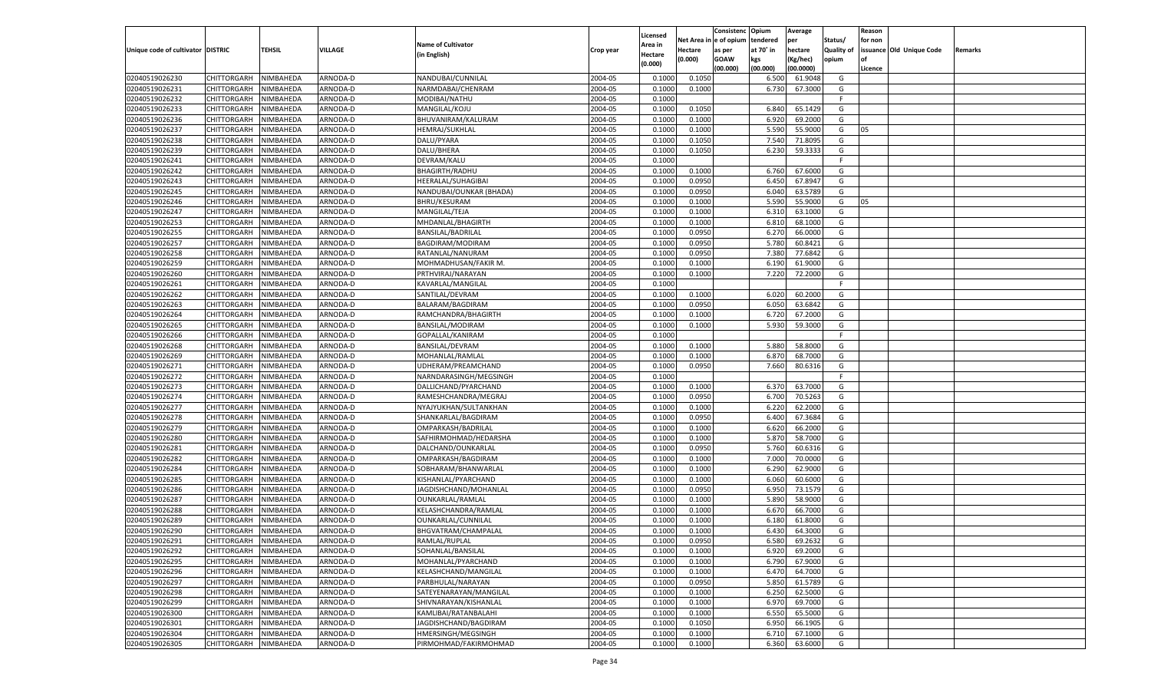|                                   |                       |           |          |                           |           |                     |            | Consistenc    | Opium     | Average   |            | Reason  |                          |         |
|-----------------------------------|-----------------------|-----------|----------|---------------------------|-----------|---------------------|------------|---------------|-----------|-----------|------------|---------|--------------------------|---------|
|                                   |                       |           |          | <b>Name of Cultivator</b> |           | Licensed<br>Area in | Net Area i | n  e of opium | tendered  | per       | Status/    | for non |                          |         |
| Unique code of cultivator DISTRIC |                       | TEHSIL    | VILLAGE  | (in English)              | Crop year | Hectare             | Hectare    | as per        | at 70° in | hectare   | Quality of |         | issuance Old Unique Code | Remarks |
|                                   |                       |           |          |                           |           | (0.000)             | (0.000)    | <b>GOAW</b>   | kgs       | (Kg/hec)  | opium      |         |                          |         |
|                                   |                       |           |          |                           |           |                     |            | (00.000)      | (00.000)  | (00.0000) |            | Licence |                          |         |
| 02040519026230                    | CHITTORGARH           | NIMBAHEDA | ARNODA-D | NANDUBAI/CUNNILAL         | 2004-05   | 0.1000              | 0.1050     |               | 6.500     | 61.9048   | G          |         |                          |         |
| 02040519026231                    | CHITTORGARH           | NIMBAHEDA | ARNODA-D | NARMDABAI/CHENRAM         | 2004-05   | 0.1000              | 0.1000     |               | 6.730     | 67.3000   | G          |         |                          |         |
| 02040519026232                    | CHITTORGARH           | NIMBAHEDA | ARNODA-D | MODIBAI/NATHU             | 2004-05   | 0.1000              |            |               |           |           | F.         |         |                          |         |
| 02040519026233                    | CHITTORGARH           | NIMBAHEDA | ARNODA-D | MANGILAL/KOJU             | 2004-05   | 0.1000              | 0.1050     |               | 6.840     | 65.1429   | G          |         |                          |         |
| 02040519026236                    | CHITTORGARH           | NIMBAHEDA | ARNODA-D | BHUVANIRAM/KALURAM        | 2004-05   | 0.1000              | 0.1000     |               | 6.920     | 69.2000   | G          |         |                          |         |
| 02040519026237                    | CHITTORGARH           | NIMBAHEDA | ARNODA-D | HEMRAJ/SUKHLAL            | 2004-05   | 0.1000              | 0.1000     |               | 5.590     | 55.9000   | G          | 05      |                          |         |
| 02040519026238                    | CHITTORGARH           | NIMBAHEDA | ARNODA-D | DALU/PYARA                | 2004-05   | 0.1000              | 0.1050     |               | 7.540     | 71.8095   | G          |         |                          |         |
| 02040519026239                    | CHITTORGARH           | NIMBAHEDA | ARNODA-D | DALU/BHERA                | 2004-05   | 0.1000              | 0.1050     |               | 6.23      | 59.3333   | G          |         |                          |         |
| 02040519026241                    | CHITTORGARH           | NIMBAHEDA | ARNODA-D | DEVRAM/KALU               | 2004-05   | 0.1000              |            |               |           |           | F.         |         |                          |         |
| 02040519026242                    | CHITTORGARH           | NIMBAHEDA | ARNODA-D | <b>BHAGIRTH/RADHU</b>     | 2004-05   | 0.1000              | 0.1000     |               | 6.760     | 67.6000   | G          |         |                          |         |
| 02040519026243                    | CHITTORGARH           | NIMBAHEDA | ARNODA-D | HEERALAL/SUHAGIBAI        | 2004-05   | 0.1000              | 0.0950     |               | 6.450     | 67.8947   | G          |         |                          |         |
| 02040519026245                    | CHITTORGARH           | NIMBAHEDA | ARNODA-D | NANDUBAI/OUNKAR (BHADA)   | 2004-05   | 0.1000              | 0.0950     |               | 6.040     | 63.5789   | G          |         |                          |         |
| 02040519026246                    | CHITTORGARH           | NIMBAHEDA | ARNODA-D | BHRU/KESURAM              | 2004-05   | 0.1000              | 0.1000     |               | 5.590     | 55.9000   | G          | 05      |                          |         |
| 02040519026247                    | CHITTORGARH           | NIMBAHEDA | ARNODA-D | MANGILAL/TEJA             | 2004-05   | 0.1000              | 0.1000     |               | 6.310     | 63.1000   | G          |         |                          |         |
| 02040519026253                    | CHITTORGARH           | NIMBAHEDA | ARNODA-D | MHDANLAL/BHAGIRTH         | 2004-05   | 0.1000              | 0.1000     |               | 6.810     | 68.1000   | G          |         |                          |         |
| 02040519026255                    | CHITTORGARH           | NIMBAHEDA | ARNODA-D | BANSILAL/BADRILAL         | 2004-05   | 0.1000              | 0.0950     |               | 6.270     | 66.0000   | G          |         |                          |         |
| 02040519026257                    | CHITTORGARH           | NIMBAHEDA | ARNODA-D | BAGDIRAM/MODIRAM          | 2004-05   | 0.1000              | 0.0950     |               | 5.780     | 60.8421   | G          |         |                          |         |
| 02040519026258                    | CHITTORGARH           | NIMBAHEDA | ARNODA-D | RATANLAL/NANURAM          | 2004-05   | 0.1000              | 0.0950     |               | 7.380     | 77.6842   | G          |         |                          |         |
| 02040519026259                    | CHITTORGARH           | NIMBAHEDA | ARNODA-D | MOHMADHUSAN/FAKIR M.      | 2004-05   | 0.1000              | 0.1000     |               | 6.190     | 61.9000   | G          |         |                          |         |
| 02040519026260                    | CHITTORGARH           | NIMBAHEDA | ARNODA-D | PRTHVIRAJ/NARAYAN         | 2004-05   | 0.1000              | 0.1000     |               | 7.220     | 72.2000   | G          |         |                          |         |
| 02040519026261                    | CHITTORGARH           | NIMBAHEDA | ARNODA-D | KAVARLAL/MANGILAI         | 2004-05   | 0.1000              |            |               |           |           | F.         |         |                          |         |
| 02040519026262                    | CHITTORGARH           | NIMBAHEDA | ARNODA-D | SANTILAL/DEVRAM           | 2004-05   | 0.1000              | 0.1000     |               | 6.020     | 60.2000   | G          |         |                          |         |
| 02040519026263                    | CHITTORGARH           | NIMBAHEDA | ARNODA-D | BALARAM/BAGDIRAM          | 2004-05   | 0.1000              | 0.0950     |               | 6.050     | 63.6842   | G          |         |                          |         |
| 02040519026264                    | CHITTORGARH           | NIMBAHEDA | ARNODA-D | RAMCHANDRA/BHAGIRTH       | 2004-05   | 0.1000              | 0.1000     |               | 6.720     | 67.2000   | G          |         |                          |         |
| 02040519026265                    | CHITTORGARH           | NIMBAHEDA | ARNODA-D | BANSILAL/MODIRAM          | 2004-05   | 0.1000              | 0.1000     |               | 5.930     | 59.3000   | G          |         |                          |         |
| 02040519026266                    | CHITTORGARH           | NIMBAHEDA | ARNODA-D | GOPALLAL/KANIRAM          | 2004-05   | 0.1000              |            |               |           |           | F.         |         |                          |         |
| 02040519026268                    | CHITTORGARH           | NIMBAHEDA | ARNODA-D | <b>BANSILAL/DEVRAM</b>    | 2004-05   | 0.1000              | 0.1000     |               | 5.880     | 58.8000   | G          |         |                          |         |
| 02040519026269                    | CHITTORGARH           | NIMBAHEDA | ARNODA-D | MOHANLAL/RAMLAL           | 2004-05   | 0.1000              | 0.1000     |               | 6.870     | 68.7000   | G          |         |                          |         |
| 02040519026271                    | CHITTORGARH           | NIMBAHEDA | ARNODA-D | UDHERAM/PREAMCHAND        | 2004-05   | 0.1000              | 0.0950     |               | 7.660     | 80.6316   | G          |         |                          |         |
| 02040519026272                    | CHITTORGARH           | NIMBAHEDA | ARNODA-D | NARNDARASINGH/MEGSINGH    | 2004-05   | 0.1000              |            |               |           |           | F.         |         |                          |         |
| 02040519026273                    | CHITTORGARH           | NIMBAHEDA | ARNODA-D | DALLICHAND/PYARCHAND      | 2004-05   | 0.1000              | 0.1000     |               | 6.370     | 63.7000   | G          |         |                          |         |
| 02040519026274                    | CHITTORGARH           | NIMBAHEDA | ARNODA-D | RAMESHCHANDRA/MEGRAJ      | 2004-05   | 0.1000              | 0.0950     |               | 6.700     | 70.5263   | G          |         |                          |         |
| 02040519026277                    | CHITTORGARH           | NIMBAHEDA | ARNODA-D | NYAJYUKHAN/SULTANKHAN     | 2004-05   | 0.1000              | 0.1000     |               | 6.220     | 62.2000   | G          |         |                          |         |
| 02040519026278                    | CHITTORGARH           | NIMBAHEDA | ARNODA-D | SHANKARLAL/BAGDIRAM       | 2004-05   | 0.1000              | 0.0950     |               | 6.400     | 67.3684   | G          |         |                          |         |
| 02040519026279                    | CHITTORGARH           | NIMBAHEDA | ARNODA-D | OMPARKASH/BADRILAL        | 2004-05   | 0.1000              | 0.1000     |               | 6.620     | 66.2000   | G          |         |                          |         |
| 02040519026280                    | CHITTORGARH           | NIMBAHEDA | ARNODA-D | SAFHIRMOHMAD/HEDARSHA     | 2004-05   | 0.1000              | 0.1000     |               | 5.870     | 58.7000   | G          |         |                          |         |
| 02040519026281                    | CHITTORGARH           | NIMBAHEDA | ARNODA-D | DALCHAND/OUNKARLAL        | 2004-05   | 0.1000              | 0.0950     |               | 5.760     | 60.6316   | G          |         |                          |         |
| 02040519026282                    | CHITTORGARH           | NIMBAHEDA | ARNODA-D | OMPARKASH/BAGDIRAM        | 2004-05   | 0.1000              | 0.1000     |               | 7.000     | 70.0000   | G          |         |                          |         |
| 02040519026284                    | CHITTORGARH           | NIMBAHEDA | ARNODA-D | SOBHARAM/BHANWARLAI       | 2004-05   | 0.1000              | 0.1000     |               | 6.290     | 62.9000   | G          |         |                          |         |
| 02040519026285                    | CHITTORGARH           | NIMBAHEDA | ARNODA-D | KISHANLAL/PYARCHAND       | 2004-05   | 0.1000              | 0.1000     |               | 6.060     | 60.6000   | G          |         |                          |         |
| 02040519026286                    | CHITTORGARH           | NIMBAHEDA | ARNODA-D | JAGDISHCHAND/MOHANLAL     | 2004-05   | 0.1000              | 0.0950     |               | 6.950     | 73.1579   | G          |         |                          |         |
| 02040519026287                    | CHITTORGARH           | NIMBAHEDA | ARNODA-D | OUNKARLAL/RAMLAL          | 2004-05   | 0.1000              | 0.1000     |               | 5.890     | 58.9000   | G          |         |                          |         |
| 02040519026288                    | CHITTORGARH           | NIMBAHEDA | ARNODA-D | KELASHCHANDRA/RAMLAL      | 2004-05   | 0.1000              | 0.1000     |               | 6.670     | 66.7000   | G          |         |                          |         |
| 02040519026289                    |                       |           |          |                           | 2004-05   | 0.1000              |            |               | 6.180     | 61.8000   | G          |         |                          |         |
|                                   | CHITTORGARH           | NIMBAHEDA | ARNODA-D | OUNKARLAL/CUNNILAL        | 2004-05   |                     | 0.1000     |               |           | 64.3000   |            |         |                          |         |
| 02040519026290                    | CHITTORGARH           | NIMBAHEDA | ARNODA-D | BHGVATRAM/CHAMPALAI       |           | 0.1000              | 0.1000     |               | 6.430     |           | G          |         |                          |         |
| 02040519026291                    | CHITTORGARH NIMBAHEDA |           | ARNODA-D | RAMLAL/RUPLAL             | 2004-05   | 0.1000              | 0.0950     |               | 6.580     | 69.2632   | G          |         |                          |         |
| 02040519026292                    | <b>CHITTORGARH</b>    | NIMBAHEDA | ARNODA-D | SOHANLAL/BANSILAL         | 2004-05   | 0.1000              | 0.1000     |               | 6.920     | 69.2000   | G          |         |                          |         |
| 02040519026295                    | <b>CHITTORGARH</b>    | NIMBAHEDA | ARNODA-D | MOHANLAL/PYARCHAND        | 2004-05   | 0.1000              | 0.1000     |               | 6.790     | 67.9000   | G          |         |                          |         |
| 02040519026296                    | CHITTORGARH           | NIMBAHEDA | ARNODA-D | KELASHCHAND/MANGILAL      | 2004-05   | 0.1000              | 0.1000     |               | 6.470     | 64.7000   | G          |         |                          |         |
| 02040519026297                    | <b>CHITTORGARH</b>    | NIMBAHEDA | ARNODA-D | PARBHULAL/NARAYAN         | 2004-05   | 0.1000              | 0.0950     |               | 5.850     | 61.5789   | G          |         |                          |         |
| 02040519026298                    | <b>CHITTORGARH</b>    | NIMBAHEDA | ARNODA-D | SATEYENARAYAN/MANGILAL    | 2004-05   | 0.1000              | 0.1000     |               | 6.250     | 62.5000   | G          |         |                          |         |
| 02040519026299                    | <b>CHITTORGARH</b>    | NIMBAHEDA | ARNODA-D | SHIVNARAYAN/KISHANLAL     | 2004-05   | 0.1000              | 0.1000     |               | 6.970     | 69.7000   | G          |         |                          |         |
| 02040519026300                    | CHITTORGARH           | NIMBAHEDA | ARNODA-D | KAMLIBAI/RATANBALAHI      | 2004-05   | 0.1000              | 0.1000     |               | 6.550     | 65.5000   | G          |         |                          |         |
| 02040519026301                    | CHITTORGARH           | NIMBAHEDA | ARNODA-D | JAGDISHCHAND/BAGDIRAM     | 2004-05   | 0.1000              | 0.1050     |               | 6.950     | 66.1905   | G          |         |                          |         |
| 02040519026304                    | CHITTORGARH           | NIMBAHEDA | ARNODA-D | HMERSINGH/MEGSINGH        | 2004-05   | 0.1000              | 0.1000     |               | 6.710     | 67.1000   | G          |         |                          |         |
| 02040519026305                    | <b>CHITTORGARH</b>    | NIMBAHEDA | ARNODA-D | PIRMOHMAD/FAKIRMOHMAD     | 2004-05   | 0.1000              | 0.1000     |               | 6.360     | 63.6000   | G          |         |                          |         |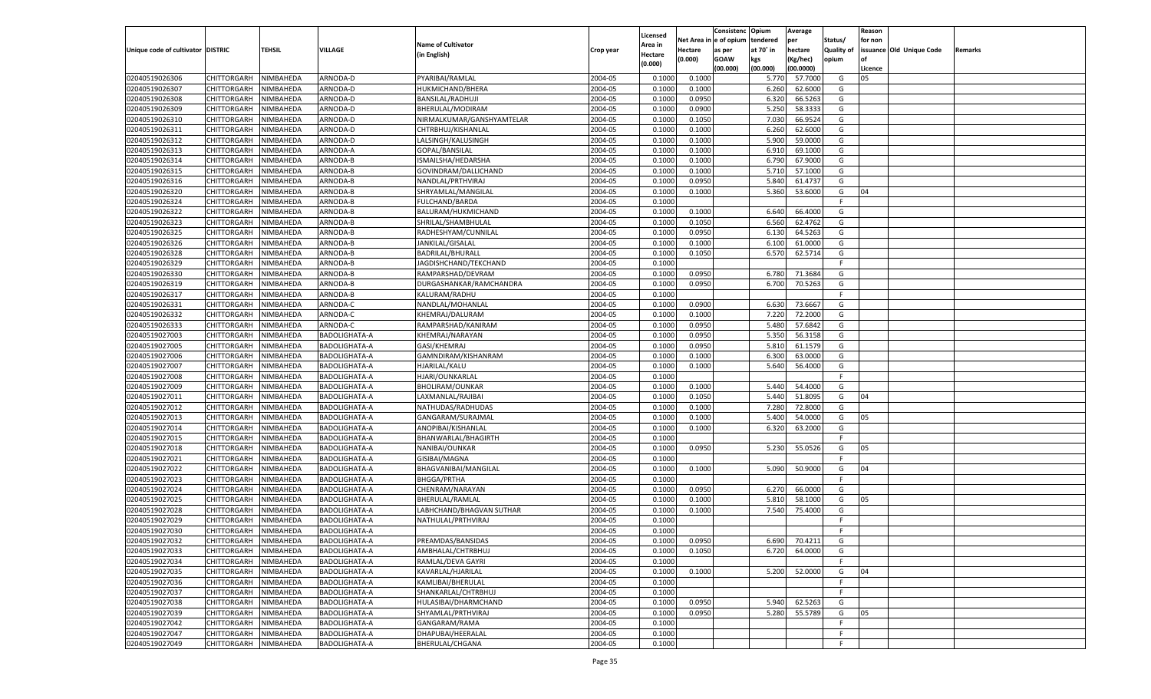|                                   |                       |           |                      |                           |           |          |             | Consistenc    | Opium     | Average   |            | Reason  |                          |         |
|-----------------------------------|-----------------------|-----------|----------------------|---------------------------|-----------|----------|-------------|---------------|-----------|-----------|------------|---------|--------------------------|---------|
|                                   |                       |           |                      | <b>Name of Cultivator</b> |           | Licensed | Net Area iı | n le of opium | tendered  | per       | Status/    | for non |                          |         |
| Unique code of cultivator DISTRIC |                       | TEHSIL    | <b>VILLAGE</b>       |                           | Crop year | Area in  | Hectare     | as per        | at 70° in | hectare   | Quality of |         | issuance Old Unique Code | Remarks |
|                                   |                       |           |                      | (in English)              |           | Hectare  | (0.000)     | <b>GOAW</b>   | kgs       | (Kg/hec)  | opium      |         |                          |         |
|                                   |                       |           |                      |                           |           | (0.000)  |             | (00.000)      | (00.000)  | (00.0000) |            | Licence |                          |         |
| 02040519026306                    | CHITTORGARH           | NIMBAHEDA | ARNODA-D             | PYARIBAI/RAMLAL           | 2004-05   | 0.1000   | 0.1000      |               | 5.770     | 57.7000   | G          | 05      |                          |         |
| 02040519026307                    | CHITTORGARH           | NIMBAHEDA | ARNODA-D             | HUKMICHAND/BHERA          | 2004-05   | 0.1000   | 0.1000      |               | 6.260     | 62.6000   | G          |         |                          |         |
| 02040519026308                    | CHITTORGARH           | NIMBAHEDA | ARNODA-D             | BANSILAL/RADHUJI          | 2004-05   | 0.1000   | 0.0950      |               | 6.320     | 66.5263   | G          |         |                          |         |
| 02040519026309                    | CHITTORGARH           | NIMBAHEDA | ARNODA-D             | BHERULAL/MODIRAM          | 2004-05   | 0.1000   | 0.0900      |               | 5.250     | 58.3333   | G          |         |                          |         |
| 02040519026310                    | CHITTORGARH           | NIMBAHEDA | ARNODA-D             | NIRMALKUMAR/GANSHYAMTELAR | 2004-05   | 0.1000   | 0.1050      |               | 7.030     | 66.9524   | G          |         |                          |         |
| 02040519026311                    | CHITTORGARH           | NIMBAHEDA | ARNODA-D             | CHTRBHUJ/KISHANLAL        | 2004-05   | 0.1000   | 0.1000      |               | 6.260     | 62.6000   | G          |         |                          |         |
| 02040519026312                    | CHITTORGARH           | NIMBAHEDA | ARNODA-D             | LALSINGH/KALUSINGH        | 2004-05   | 0.1000   | 0.1000      |               | 5.900     | 59.0000   | G          |         |                          |         |
| 02040519026313                    | CHITTORGARH           | NIMBAHEDA | ARNODA-A             | GOPAL/BANSILAL            | 2004-05   | 0.1000   | 0.1000      |               | 6.910     | 69.1000   | G          |         |                          |         |
|                                   |                       |           |                      |                           |           |          |             |               |           |           |            |         |                          |         |
| 02040519026314                    | CHITTORGARH           | NIMBAHEDA | ARNODA-B             | ISMAILSHA/HEDARSHA        | 2004-05   | 0.1000   | 0.1000      |               | 6.790     | 67.9000   | G          |         |                          |         |
| 02040519026315                    | CHITTORGARH           | NIMBAHEDA | ARNODA-B             | GOVINDRAM/DALLICHAND      | 2004-05   | 0.1000   | 0.1000      |               | 5.710     | 57.1000   | G          |         |                          |         |
| 02040519026316                    | CHITTORGARH           | NIMBAHEDA | ARNODA-B             | NANDLAL/PRTHVIRAJ         | 2004-05   | 0.1000   | 0.0950      |               | 5.840     | 61.4737   | G          |         |                          |         |
| 02040519026320                    | CHITTORGARH           | NIMBAHEDA | ARNODA-B             | SHRYAMLAL/MANGILAL        | 2004-05   | 0.1000   | 0.1000      |               | 5.360     | 53.6000   | G          | 04      |                          |         |
| 02040519026324                    | CHITTORGARH           | NIMBAHEDA | ARNODA-B             | FULCHAND/BARDA            | 2004-05   | 0.1000   |             |               |           |           | F.         |         |                          |         |
| 02040519026322                    | CHITTORGARH           | NIMBAHEDA | ARNODA-B             | BALURAM/HUKMICHAND        | 2004-05   | 0.1000   | 0.1000      |               | 6.640     | 66.4000   | G          |         |                          |         |
| 02040519026323                    | CHITTORGARH           | NIMBAHEDA | ARNODA-B             | SHRILAL/SHAMBHULAL        | 2004-05   | 0.1000   | 0.1050      |               | 6.560     | 62.4762   | G          |         |                          |         |
| 02040519026325                    | CHITTORGARH           | NIMBAHEDA | ARNODA-B             | RADHESHYAM/CUNNILAL       | 2004-05   | 0.1000   | 0.0950      |               | 6.130     | 64.5263   | G          |         |                          |         |
| 02040519026326                    | CHITTORGARH           | NIMBAHEDA | ARNODA-B             | JANKILAL/GISALAL          | 2004-05   | 0.1000   | 0.1000      |               | 6.100     | 61.0000   | G          |         |                          |         |
| 02040519026328                    | CHITTORGARH           | NIMBAHEDA | ARNODA-B             | BADRILAL/BHURALI          | 2004-05   | 0.1000   | 0.1050      |               | 6.570     | 62.5714   | G          |         |                          |         |
| 02040519026329                    | CHITTORGARH           | NIMBAHEDA | ARNODA-B             | JAGDISHCHAND/TEKCHAND     | 2004-05   | 0.1000   |             |               |           |           | F.         |         |                          |         |
| 02040519026330                    | CHITTORGARH           | NIMBAHEDA | ARNODA-B             | RAMPARSHAD/DEVRAM         | 2004-05   | 0.1000   | 0.0950      |               | 6.780     | 71.3684   | G          |         |                          |         |
| 02040519026319                    | CHITTORGARH           | NIMBAHEDA | ARNODA-B             | DURGASHANKAR/RAMCHANDRA   | 2004-05   | 0.1000   | 0.0950      |               | 6.700     | 70.5263   | G          |         |                          |         |
| 02040519026317                    | CHITTORGARH           | NIMBAHEDA | ARNODA-B             | KALURAM/RADHU             | 2004-05   | 0.1000   |             |               |           |           | F.         |         |                          |         |
| 02040519026331                    | CHITTORGARH           | NIMBAHEDA | ARNODA-C             | NANDLAL/MOHANLAL          | 2004-05   | 0.1000   | 0.0900      |               | 6.630     | 73.6667   | G          |         |                          |         |
| 02040519026332                    | CHITTORGARH           | NIMBAHEDA | ARNODA-C             | KHEMRAJ/DALURAM           | 2004-05   | 0.1000   | 0.1000      |               | 7.220     | 72.2000   | G          |         |                          |         |
| 02040519026333                    | CHITTORGARH           | NIMBAHEDA | ARNODA-C             | RAMPARSHAD/KANIRAM        | 2004-05   | 0.1000   | 0.0950      |               | 5.480     | 57.6842   | G          |         |                          |         |
| 02040519027003                    | CHITTORGARH           | NIMBAHEDA | BADOLIGHATA-A        | KHEMRAJ/NARAYAN           | 2004-05   | 0.1000   | 0.0950      |               | 5.350     | 56.3158   | G          |         |                          |         |
| 02040519027005                    | CHITTORGARH           | NIMBAHEDA | <b>BADOLIGHATA-A</b> | GASI/KHEMRAJ              | 2004-05   | 0.1000   | 0.0950      |               | 5.810     | 61.1579   | G          |         |                          |         |
| 02040519027006                    | CHITTORGARH           | NIMBAHEDA | BADOLIGHATA-A        | GAMNDIRAM/KISHANRAM       | 2004-05   | 0.1000   | 0.1000      |               | 6.300     | 63.0000   | G          |         |                          |         |
| 02040519027007                    | CHITTORGARH           | NIMBAHEDA |                      | HJARILAL/KALU             | 2004-05   | 0.1000   | 0.1000      |               | 5.640     | 56.4000   | G          |         |                          |         |
|                                   |                       |           | <b>BADOLIGHATA-A</b> |                           |           |          |             |               |           |           |            |         |                          |         |
| 02040519027008                    | CHITTORGARH           | NIMBAHEDA | <b>BADOLIGHATA-A</b> | HJARI/OUNKARLAL           | 2004-05   | 0.1000   |             |               |           |           | F.         |         |                          |         |
| 02040519027009                    | CHITTORGARH           | NIMBAHEDA | <b>BADOLIGHATA-A</b> | <b>BHOLIRAM/OUNKAR</b>    | 2004-05   | 0.1000   | 0.1000      |               | 5.440     | 54.4000   | G          |         |                          |         |
| 02040519027011                    | CHITTORGARH           | NIMBAHEDA | <b>BADOLIGHATA-A</b> | LAXMANLAL/RAJIBAI         | 2004-05   | 0.1000   | 0.1050      |               | 5.440     | 51.8095   | G          | 04      |                          |         |
| 02040519027012                    | CHITTORGARH           | NIMBAHEDA | <b>BADOLIGHATA-A</b> | NATHUDAS/RADHUDAS         | 2004-05   | 0.1000   | 0.1000      |               | 7.280     | 72.8000   | G          |         |                          |         |
| 02040519027013                    | CHITTORGARH           | NIMBAHEDA | <b>BADOLIGHATA-A</b> | GANGARAM/SURAJMAL         | 2004-05   | 0.1000   | 0.1000      |               | 5.400     | 54.0000   | G          | 05      |                          |         |
| 02040519027014                    | CHITTORGARH           | NIMBAHEDA | <b>BADOLIGHATA-A</b> | ANOPIBAI/KISHANLAL        | 2004-05   | 0.1000   | 0.1000      |               | 6.320     | 63.2000   | G          |         |                          |         |
| 02040519027015                    | CHITTORGARH           | NIMBAHEDA | <b>BADOLIGHATA-A</b> | BHANWARLAL/BHAGIRTH       | 2004-05   | 0.1000   |             |               |           |           | F          |         |                          |         |
| 02040519027018                    | CHITTORGARH           | NIMBAHEDA | <b>BADOLIGHATA-A</b> | NANIBAI/OUNKAR            | 2004-05   | 0.1000   | 0.0950      |               | 5.230     | 55.0526   | G          | 05      |                          |         |
| 02040519027021                    | CHITTORGARH           | NIMBAHEDA | <b>BADOLIGHATA-A</b> | GISIBAI/MAGNA             | 2004-05   | 0.1000   |             |               |           |           | F          |         |                          |         |
| 02040519027022                    | CHITTORGARH           | NIMBAHEDA | <b>BADOLIGHATA-A</b> | BHAGVANIBAI/MANGILAL      | 2004-05   | 0.1000   | 0.1000      |               | 5.090     | 50.9000   | G          | 04      |                          |         |
| 02040519027023                    | CHITTORGARH           | NIMBAHEDA | <b>BADOLIGHATA-A</b> | <b>BHGGA/PRTHA</b>        | 2004-05   | 0.1000   |             |               |           |           | F          |         |                          |         |
| 02040519027024                    | CHITTORGARH           | NIMBAHEDA | <b>BADOLIGHATA-A</b> | CHENRAM/NARAYAN           | 2004-05   | 0.1000   | 0.0950      |               | 6.270     | 66.0000   | G          |         |                          |         |
| 02040519027025                    | CHITTORGARH           | NIMBAHEDA | <b>BADOLIGHATA-A</b> | BHERULAL/RAMLAL           | 2004-05   | 0.1000   | 0.1000      |               | 5.810     | 58.1000   | G          | 05      |                          |         |
| 02040519027028                    | CHITTORGARH           | NIMBAHEDA | <b>BADOLIGHATA-A</b> | LABHCHAND/BHAGVAN SUTHAR  | 2004-05   | 0.1000   | 0.1000      |               | 7.540     | 75.4000   | G          |         |                          |         |
| 02040519027029                    | CHITTORGARH           | NIMBAHEDA | <b>BADOLIGHATA-A</b> | NATHULAL/PRTHVIRAJ        | 2004-05   | 0.1000   |             |               |           |           | F          |         |                          |         |
| 02040519027030                    | CHITTORGARH           | NIMBAHEDA | <b>BADOLIGHATA-A</b> |                           | 2004-05   | 0.1000   |             |               |           |           | F          |         |                          |         |
| 02040519027032                    | CHITTORGARH NIMBAHEDA |           | <b>BADOLIGHATA-A</b> | PREAMDAS/BANSIDAS         | 2004-05   | 0.1000   | 0.0950      |               | 6.690     | 70.4211   | G          |         |                          |         |
| 02040519027033                    | <b>CHITTORGARH</b>    | NIMBAHEDA | BADOLIGHATA-A        | AMBHALAL/CHTRBHUJ         | 2004-05   | 0.1000   | 0.1050      |               | 6.720     | 64.0000   | G          |         |                          |         |
| 02040519027034                    | CHITTORGARH           | NIMBAHEDA | BADOLIGHATA-A        | RAMLAL/DEVA GAYRI         | 2004-05   | 0.1000   |             |               |           |           | F.         |         |                          |         |
| 02040519027035                    | CHITTORGARH           | NIMBAHEDA | BADOLIGHATA-A        | KAVARLAL/HJARILAL         | 2004-05   | 0.1000   | 0.1000      |               | 5.200     | 52.0000   | G          | 04      |                          |         |
| 02040519027036                    | <b>CHITTORGARH</b>    | NIMBAHEDA | BADOLIGHATA-A        | KAMLIBAI/BHERULAL         | 2004-05   | 0.1000   |             |               |           |           | F.         |         |                          |         |
| 02040519027037                    | CHITTORGARH           | NIMBAHEDA | BADOLIGHATA-A        | SHANKARLAL/CHTRBHUJ       | 2004-05   | 0.1000   |             |               |           |           | F.         |         |                          |         |
| 02040519027038                    | CHITTORGARH           | NIMBAHEDA |                      |                           |           |          |             |               |           |           |            |         |                          |         |
|                                   |                       |           | BADOLIGHATA-A        | HULASIBAI/DHARMCHAND      | 2004-05   | 0.1000   | 0.0950      |               | 5.940     | 62.5263   | G          |         |                          |         |
| 02040519027039                    | CHITTORGARH           | NIMBAHEDA | <b>BADOLIGHATA-A</b> | SHYAMLAL/PRTHVIRAJ        | 2004-05   | 0.1000   | 0.0950      |               | 5.280     | 55.5789   | G          | 05      |                          |         |
| 02040519027042                    | CHITTORGARH           | NIMBAHEDA | BADOLIGHATA-A        | GANGARAM/RAMA             | 2004-05   | 0.1000   |             |               |           |           | F.         |         |                          |         |
| 02040519027047                    | <b>CHITTORGARH</b>    | NIMBAHEDA | BADOLIGHATA-A        | DHAPUBAI/HEERALAL         | 2004-05   | 0.1000   |             |               |           |           | F.         |         |                          |         |
| 02040519027049                    | <b>CHITTORGARH</b>    | NIMBAHEDA | BADOLIGHATA-A        | BHERULAL/CHGANA           | 2004-05   | 0.1000   |             |               |           |           | F.         |         |                          |         |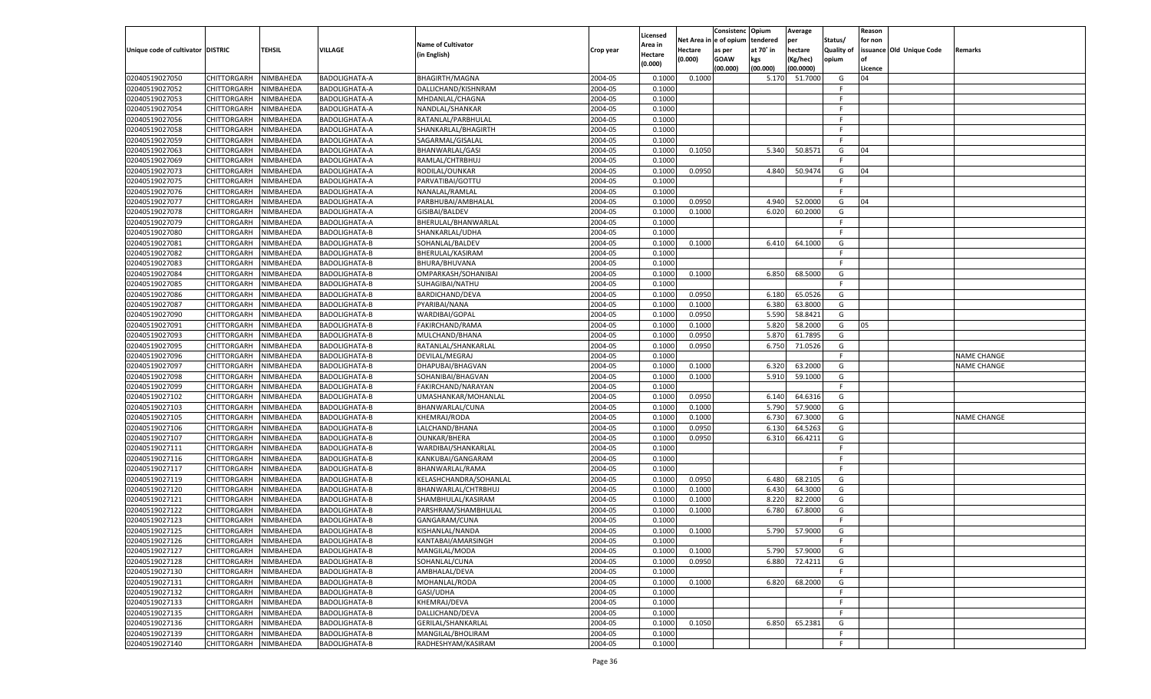|                                   |                    |           |                                       |                           |           |          |            | Consistenc Opium |           | Average   |                   | Reason    |                          |                    |
|-----------------------------------|--------------------|-----------|---------------------------------------|---------------------------|-----------|----------|------------|------------------|-----------|-----------|-------------------|-----------|--------------------------|--------------------|
|                                   |                    |           |                                       |                           |           | Licensed | Net Area i | l e of opium     | tendered  | per       | Status/           | for non   |                          |                    |
| Unique code of cultivator DISTRIC |                    | TEHSIL    | VILLAGE                               | <b>Name of Cultivator</b> | Crop year | Area in  | Hectare    | as per           | at 70° in | hectare   | <b>Quality of</b> |           | issuance Old Unique Code | Remarks            |
|                                   |                    |           |                                       | (in English)              |           | Hectare  | (0.000)    | <b>GOAW</b>      | kgs       | (Kg/hec)  | opium             | <b>of</b> |                          |                    |
|                                   |                    |           |                                       |                           |           | (0.000)  |            | (00.000)         | (00.000)  | (00.0000) |                   | Licence   |                          |                    |
| 02040519027050                    | CHITTORGARH        | NIMBAHEDA | <b>BADOLIGHATA-A</b>                  | <b>BHAGIRTH/MAGNA</b>     | 2004-05   | 0.1000   | 0.1000     |                  | 5.170     | 51.7000   | G                 | 04        |                          |                    |
| 02040519027052                    | CHITTORGARH        | NIMBAHEDA | <b>BADOLIGHATA-A</b>                  | DALLICHAND/KISHNRAM       | 2004-05   | 0.1000   |            |                  |           |           | F                 |           |                          |                    |
| 02040519027053                    | CHITTORGARH        | NIMBAHEDA | <b>BADOLIGHATA-A</b>                  | MHDANLAL/CHAGNA           | 2004-05   | 0.1000   |            |                  |           |           | F                 |           |                          |                    |
| 02040519027054                    |                    |           |                                       |                           |           |          |            |                  |           |           | F.                |           |                          |                    |
|                                   | CHITTORGARH        | NIMBAHEDA | <b>BADOLIGHATA-A</b>                  | NANDLAL/SHANKAR           | 2004-05   | 0.1000   |            |                  |           |           |                   |           |                          |                    |
| 02040519027056                    | CHITTORGARH        | NIMBAHEDA | <b>BADOLIGHATA-A</b>                  | RATANLAL/PARBHULAL        | 2004-05   | 0.1000   |            |                  |           |           | F.                |           |                          |                    |
| 02040519027058                    | CHITTORGARH        | NIMBAHEDA | <b>BADOLIGHATA-A</b>                  | SHANKARLAL/BHAGIRTH       | 2004-05   | 0.1000   |            |                  |           |           | F                 |           |                          |                    |
| 02040519027059                    | CHITTORGARH        | NIMBAHEDA | <b>BADOLIGHATA-A</b>                  | SAGARMAL/GISALAL          | 2004-05   | 0.1000   |            |                  |           |           | E                 |           |                          |                    |
| 02040519027063                    | CHITTORGARH        | NIMBAHEDA | <b>BADOLIGHATA-A</b>                  | BHANWARLAL/GASI           | 2004-05   | 0.1000   | 0.1050     |                  | 5.340     | 50.8571   | G                 | 04        |                          |                    |
| 02040519027069                    | CHITTORGARH        | NIMBAHEDA | <b>BADOLIGHATA-A</b>                  | RAMLAL/CHTRBHUJ           | 2004-05   | 0.1000   |            |                  |           |           | F.                |           |                          |                    |
| 02040519027073                    | CHITTORGARH        | NIMBAHEDA | <b>BADOLIGHATA-A</b>                  | RODILAL/OUNKAR            | 2004-05   | 0.1000   | 0.0950     |                  | 4.840     | 50.9474   | G                 | 04        |                          |                    |
| 02040519027075                    | CHITTORGARH        | NIMBAHEDA | <b>BADOLIGHATA-A</b>                  | PARVATIBAI/GOTTU          | 2004-05   | 0.1000   |            |                  |           |           | F.                |           |                          |                    |
| 02040519027076                    | CHITTORGARH        | NIMBAHEDA | BADOLIGHATA-A                         | NANALAL/RAMLAL            | 2004-05   | 0.1000   |            |                  |           |           | F.                |           |                          |                    |
| 02040519027077                    | CHITTORGARH        | NIMBAHEDA | <b>BADOLIGHATA-A</b>                  | PARBHUBAI/AMBHALAL        | 2004-05   | 0.1000   | 0.0950     |                  | 4.940     | 52.0000   | G                 | 04        |                          |                    |
| 02040519027078                    | CHITTORGARH        | NIMBAHEDA | BADOLIGHATA-A                         | GISIBAI/BALDEV            | 2004-05   | 0.1000   | 0.1000     |                  | 6.020     | 60.2000   | G                 |           |                          |                    |
| 02040519027079                    | CHITTORGARH        | NIMBAHEDA | BADOLIGHATA-A                         | BHERULAL/BHANWARLAL       | 2004-05   | 0.1000   |            |                  |           |           | F                 |           |                          |                    |
| 02040519027080                    | CHITTORGARH        | NIMBAHEDA | <b>BADOLIGHATA-B</b>                  | SHANKARLAL/UDHA           | 2004-05   | 0.1000   |            |                  |           |           | F.                |           |                          |                    |
| 02040519027081                    | CHITTORGARH        | NIMBAHEDA | <b>BADOLIGHATA-B</b>                  | SOHANLAL/BALDEV           | 2004-05   | 0.1000   | 0.1000     |                  | 6.410     | 64.1000   | G                 |           |                          |                    |
| 02040519027082                    | CHITTORGARH        | NIMBAHEDA | <b>BADOLIGHATA-B</b>                  | BHERULAL/KASIRAM          | 2004-05   | 0.1000   |            |                  |           |           | F.                |           |                          |                    |
| 02040519027083                    | CHITTORGARH        | NIMBAHEDA | <b>BADOLIGHATA-B</b>                  | BHURA/BHUVANA             | 2004-05   | 0.1000   |            |                  |           |           | F                 |           |                          |                    |
| 02040519027084                    | CHITTORGARH        | NIMBAHEDA | <b>BADOLIGHATA-B</b>                  | OMPARKASH/SOHANIBAI       | 2004-05   | 0.1000   | 0.1000     |                  | 6.850     | 68.5000   | G                 |           |                          |                    |
| 02040519027085                    | CHITTORGARH        | NIMBAHEDA | <b>BADOLIGHATA-B</b>                  | SUHAGIBAI/NATHU           | 2004-05   | 0.1000   |            |                  |           |           | F.                |           |                          |                    |
| 02040519027086                    | CHITTORGARH        | NIMBAHEDA | <b>BADOLIGHATA-B</b>                  | BARDICHAND/DEVA           | 2004-05   | 0.1000   | 0.0950     |                  | 6.180     | 65.0526   | G                 |           |                          |                    |
| 02040519027087                    | CHITTORGARH        | NIMBAHEDA | <b>BADOLIGHATA-B</b>                  | PYARIBAI/NANA             | 2004-05   | 0.1000   | 0.1000     |                  | 6.380     | 63.8000   | G                 |           |                          |                    |
|                                   | CHITTORGARH        |           | <b>BADOLIGHATA-B</b>                  |                           | 2004-05   |          | 0.0950     |                  | 5.590     | 58.8421   | G                 |           |                          |                    |
| 02040519027090                    |                    | NIMBAHEDA |                                       | WARDIBAI/GOPAL            |           | 0.1000   |            |                  |           |           |                   |           |                          |                    |
| 02040519027091                    | CHITTORGARH        | NIMBAHEDA | <b>BADOLIGHATA-B</b>                  | FAKIRCHAND/RAMA           | 2004-05   | 0.1000   | 0.1000     |                  | 5.820     | 58.2000   | G                 | 05        |                          |                    |
| 02040519027093                    | CHITTORGARH        | NIMBAHEDA | <b>BADOLIGHATA-B</b>                  | MULCHAND/BHANA            | 2004-05   | 0.1000   | 0.0950     |                  | 5.870     | 61.7895   | G                 |           |                          |                    |
| 02040519027095                    | CHITTORGARH        | NIMBAHEDA | <b>BADOLIGHATA-B</b>                  | RATANLAL/SHANKARLAL       | 2004-05   | 0.1000   | 0.0950     |                  | 6.750     | 71.0526   | G                 |           |                          |                    |
| 02040519027096                    | CHITTORGARH        | NIMBAHEDA | <b>BADOLIGHATA-B</b>                  | DEVILAL/MEGRAJ            | 2004-05   | 0.1000   |            |                  |           |           | F                 |           |                          | <b>NAME CHANGE</b> |
| 02040519027097                    | CHITTORGARH        | NIMBAHEDA | <b>BADOLIGHATA-B</b>                  | DHAPUBAI/BHAGVAN          | 2004-05   | 0.1000   | 0.1000     |                  | 6.320     | 63.2000   | G                 |           |                          | <b>NAME CHANGE</b> |
| 02040519027098                    | CHITTORGARH        | NIMBAHEDA | <b>BADOLIGHATA-B</b>                  | SOHANIBAI/BHAGVAN         | 2004-05   | 0.1000   | 0.1000     |                  | 5.910     | 59.1000   | G                 |           |                          |                    |
| 02040519027099                    | CHITTORGARH        | NIMBAHEDA | <b>BADOLIGHATA-B</b>                  | FAKIRCHAND/NARAYAN        | 2004-05   | 0.1000   |            |                  |           |           | F                 |           |                          |                    |
| 02040519027102                    | CHITTORGARH        | NIMBAHEDA | <b>BADOLIGHATA-B</b>                  | UMASHANKAR/MOHANLAL       | 2004-05   | 0.1000   | 0.0950     |                  | 6.140     | 64.6316   | G                 |           |                          |                    |
| 02040519027103                    | CHITTORGARH        | NIMBAHEDA | <b>BADOLIGHATA-B</b>                  | BHANWARLAL/CUNA           | 2004-05   | 0.1000   | 0.1000     |                  | 5.790     | 57.9000   | G                 |           |                          |                    |
| 02040519027105                    | CHITTORGARH        | NIMBAHEDA | <b>BADOLIGHATA-B</b>                  | KHEMRAJ/RODA              | 2004-05   | 0.1000   | 0.1000     |                  | 6.730     | 67.3000   | G                 |           |                          | <b>NAME CHANGE</b> |
| 02040519027106                    | CHITTORGARH        | NIMBAHEDA | <b>BADOLIGHATA-B</b>                  | LALCHAND/BHANA            | 2004-05   | 0.1000   | 0.0950     |                  | 6.130     | 64.5263   | G                 |           |                          |                    |
| 02040519027107                    | CHITTORGARH        | NIMBAHEDA | <b>BADOLIGHATA-B</b>                  | <b>OUNKAR/BHERA</b>       | 2004-05   | 0.1000   | 0.0950     |                  | 6.310     | 66.4211   | G                 |           |                          |                    |
| 02040519027111                    | CHITTORGARH        | NIMBAHEDA | <b>BADOLIGHATA-B</b>                  | WARDIBAI/SHANKARLAL       | 2004-05   | 0.1000   |            |                  |           |           | F                 |           |                          |                    |
| 02040519027116                    | CHITTORGARH        | NIMBAHEDA | <b>BADOLIGHATA-B</b>                  | KANKUBAI/GANGARAM         | 2004-05   | 0.1000   |            |                  |           |           | E                 |           |                          |                    |
| 02040519027117                    | CHITTORGARH        | NIMBAHEDA | <b>BADOLIGHATA-B</b>                  | BHANWARLAL/RAMA           | 2004-05   | 0.1000   |            |                  |           |           | F                 |           |                          |                    |
| 02040519027119                    | CHITTORGARH        | NIMBAHEDA | <b>BADOLIGHATA-B</b>                  | KELASHCHANDRA/SOHANLAL    | 2004-05   | 0.1000   | 0.0950     |                  | 6.480     | 68.2105   | G                 |           |                          |                    |
| 02040519027120                    | CHITTORGARH        | NIMBAHEDA | <b>BADOLIGHATA-B</b>                  | BHANWARLAL/CHTRBHUJ       | 2004-05   | 0.1000   | 0.1000     |                  | 6.430     | 64.3000   | G                 |           |                          |                    |
| 02040519027121                    | CHITTORGARH        | NIMBAHEDA | <b>BADOLIGHATA-B</b>                  | SHAMBHULAL/KASIRAM        | 2004-05   | 0.1000   | 0.1000     |                  | 8.220     | 82.2000   | G                 |           |                          |                    |
| 02040519027122                    | CHITTORGARH        | NIMBAHEDA | <b>BADOLIGHATA-B</b>                  | PARSHRAM/SHAMBHULAL       | 2004-05   | 0.1000   | 0.1000     |                  | 6.780     | 67.8000   | G                 |           |                          |                    |
| 02040519027123                    | CHITTORGARH        | NIMBAHEDA | <b>BADOLIGHATA-B</b>                  | GANGARAM/CUNA             | 2004-05   | 0.1000   |            |                  |           |           | F                 |           |                          |                    |
| 02040519027125                    | CHITTORGARH        | NIMBAHEDA | <b>BADOLIGHATA-B</b>                  | KISHANLAL/NANDA           | 2004-05   | 0.1000   | 0.1000     |                  | 5.790     | 57.9000   | G                 |           |                          |                    |
| 02040519027126                    | <b>CHITTORGARH</b> | NIMBAHEDA | <b>BADOLIGHATA-B</b>                  | KANTABAI/AMARSINGH        | 2004-05   | 0.1000   |            |                  |           |           | F                 |           |                          |                    |
| 02040519027127                    | CHITTORGARH        | NIMBAHEDA | <b>BADOLIGHATA-B</b>                  | MANGILAL/MODA             | 2004-05   | 0.1000   | 0.1000     |                  | 5.790     | 57.9000   | G                 |           |                          |                    |
| 02040519027128                    | CHITTORGARH        |           |                                       | SOHANLAL/CUNA             | 2004-05   |          |            |                  |           |           |                   |           |                          |                    |
| 02040519027130                    | <b>CHITTORGARH</b> | NIMBAHEDA | BADOLIGHATA-B<br><b>BADOLIGHATA-B</b> |                           |           | 0.1000   | 0.0950     |                  | 6.880     | 72.4211   | G<br>F.           |           |                          |                    |
|                                   |                    | NIMBAHEDA |                                       | AMBHALAL/DEVA             | 2004-05   | 0.1000   |            |                  |           |           |                   |           |                          |                    |
| 02040519027131                    | CHITTORGARH        | NIMBAHEDA | BADOLIGHATA-B                         | MOHANLAL/RODA             | 2004-05   | 0.1000   | 0.1000     |                  | 6.820     | 68.2000   | G                 |           |                          |                    |
| 02040519027132                    | CHITTORGARH        | NIMBAHEDA | BADOLIGHATA-B                         | GASI/UDHA                 | 2004-05   | 0.1000   |            |                  |           |           | F.                |           |                          |                    |
| 02040519027133                    | CHITTORGARH        | NIMBAHEDA | BADOLIGHATA-B                         | KHEMRAJ/DEVA              | 2004-05   | 0.1000   |            |                  |           |           | E                 |           |                          |                    |
| 02040519027135                    | <b>CHITTORGARH</b> | NIMBAHEDA | <b>BADOLIGHATA-B</b>                  | DALLICHAND/DEVA           | 2004-05   | 0.1000   |            |                  |           |           | E                 |           |                          |                    |
| 02040519027136                    | CHITTORGARH        | NIMBAHEDA | BADOLIGHATA-B                         | GERILAL/SHANKARLAL        | 2004-05   | 0.1000   | 0.1050     |                  | 6.850     | 65.2381   | G                 |           |                          |                    |
| 02040519027139                    | CHITTORGARH        | NIMBAHEDA | BADOLIGHATA-B                         | MANGILAL/BHOLIRAM         | 2004-05   | 0.1000   |            |                  |           |           | F.                |           |                          |                    |
| 02040519027140                    | CHITTORGARH        | NIMBAHEDA | BADOLIGHATA-B                         | RADHESHYAM/KASIRAM        | 2004-05   | 0.1000   |            |                  |           |           | F.                |           |                          |                    |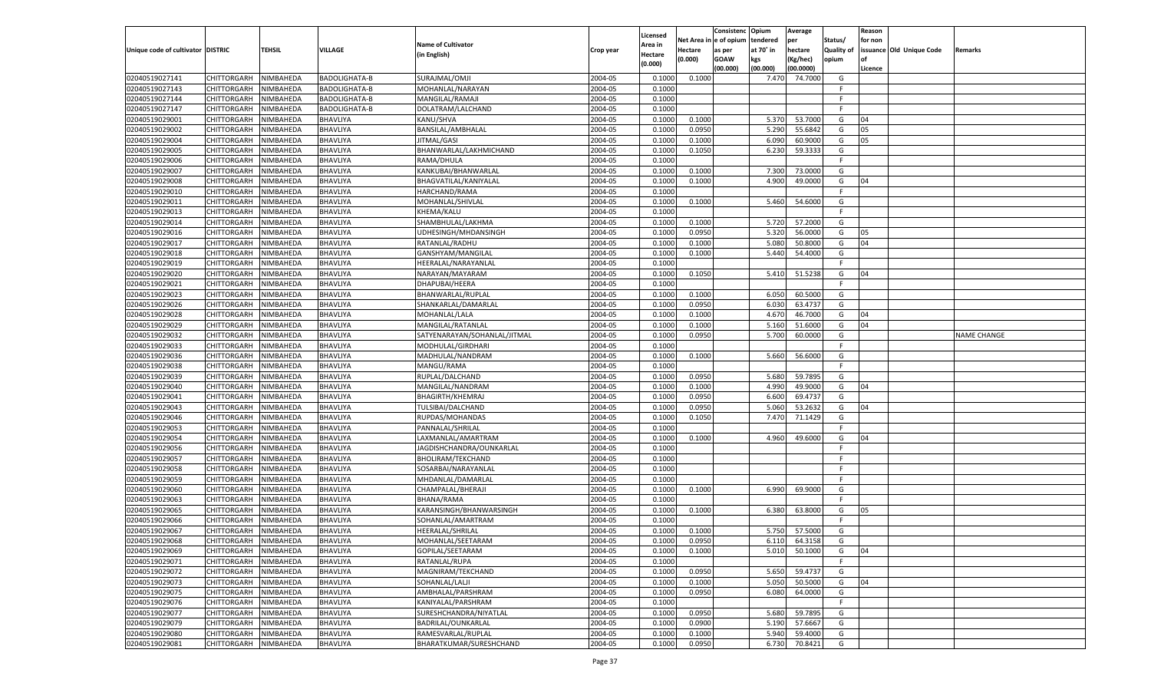|                                   |                       |           |                      |                              |           |                    |                  | Consistenc    | Opium     | Average   |            | Reason  |                          |             |
|-----------------------------------|-----------------------|-----------|----------------------|------------------------------|-----------|--------------------|------------------|---------------|-----------|-----------|------------|---------|--------------------------|-------------|
|                                   |                       |           |                      | <b>Name of Cultivator</b>    |           | Licensed           | Net Area iı      | n  e of opium | tendered  | per       | Status/    | for non |                          |             |
| Unique code of cultivator DISTRIC |                       | TEHSIL    | <b>VILLAGE</b>       |                              | Crop year | Area in            | Hectare          | as per        | at 70° in | hectare   | Quality of |         | issuance Old Unique Code | Remarks     |
|                                   |                       |           |                      | (in English)                 |           | Hectare<br>(0.000) | (0.000)          | <b>GOAW</b>   | kgs       | (Kg/hec)  | opium      |         |                          |             |
|                                   |                       |           |                      |                              |           |                    |                  | (00.000)      | (00.000)  | (00.0000) |            | Licence |                          |             |
| 02040519027141                    | CHITTORGARH           | NIMBAHEDA | <b>BADOLIGHATA-B</b> | SURAJMAL/OMJI                | 2004-05   | 0.1000             | 0.1000           |               | 7.470     | 74.7000   | G          |         |                          |             |
| 02040519027143                    | CHITTORGARH           | NIMBAHEDA | <b>BADOLIGHATA-B</b> | MOHANLAL/NARAYAN             | 2004-05   | 0.1000             |                  |               |           |           | -F         |         |                          |             |
| 02040519027144                    | CHITTORGARH           | NIMBAHEDA | <b>BADOLIGHATA-B</b> | MANGILAL/RAMAJI              | 2004-05   | 0.1000             |                  |               |           |           | F.         |         |                          |             |
| 02040519027147                    | CHITTORGARH           | NIMBAHEDA | <b>BADOLIGHATA-B</b> | DOLATRAM/LALCHAND            | 2004-05   | 0.1000             |                  |               |           |           | E          |         |                          |             |
| 02040519029001                    | CHITTORGARH           | NIMBAHEDA | BHAVLIYA             | KANU/SHVA                    | 2004-05   | 0.1000             | 0.1000           |               | 5.370     | 53.7000   | G          | 04      |                          |             |
| 02040519029002                    | CHITTORGARH           | NIMBAHEDA | BHAVLIYA             | BANSILAL/AMBHALAL            | 2004-05   | 0.1000             | 0.0950           |               | 5.290     | 55.6842   | G          | 05      |                          |             |
| 02040519029004                    | CHITTORGARH           | NIMBAHEDA | BHAVLIYA             | JITMAL/GASI                  | 2004-05   | 0.1000             | 0.1000           |               | 6.090     | 60.9000   | G          | 05      |                          |             |
| 02040519029005                    | CHITTORGARH           | NIMBAHEDA | BHAVLIYA             | BHANWARLAL/LAKHMICHAND       | 2004-05   | 0.1000             | 0.1050           |               | 6.23      | 59.3333   | G          |         |                          |             |
| 02040519029006                    | CHITTORGARH           | NIMBAHEDA | BHAVLIYA             | RAMA/DHULA                   | 2004-05   | 0.1000             |                  |               |           |           | F.         |         |                          |             |
| 02040519029007                    | CHITTORGARH           | NIMBAHEDA | BHAVLIYA             | KANKUBAI/BHANWARLAL          | 2004-05   | 0.1000             | 0.1000           |               | 7.300     | 73.0000   | G          |         |                          |             |
| 02040519029008                    | CHITTORGARH           | NIMBAHEDA | BHAVLIYA             | BHAGVATILAL/KANIYALAL        | 2004-05   | 0.1000             | 0.1000           |               | 4.900     | 49.0000   | G          | 04      |                          |             |
| 02040519029010                    | CHITTORGARH           | NIMBAHEDA | BHAVLIYA             | HARCHAND/RAMA                | 2004-05   | 0.1000             |                  |               |           |           | E          |         |                          |             |
| 02040519029011                    | CHITTORGARH           | NIMBAHEDA | BHAVLIYA             | MOHANLAL/SHIVLAL             | 2004-05   | 0.1000             | 0.1000           |               | 5.460     | 54.6000   | G          |         |                          |             |
| 02040519029013                    | CHITTORGARH           | NIMBAHEDA | BHAVLIYA             | KHEMA/KALU                   | 2004-05   | 0.1000             |                  |               |           |           | F.         |         |                          |             |
| 02040519029014                    | CHITTORGARH           | NIMBAHEDA | BHAVLIYA             | SHAMBHULAL/LAKHMA            | 2004-05   | 0.1000             | 0.1000           |               | 5.720     | 57.2000   | G          |         |                          |             |
| 02040519029016                    | CHITTORGARH           | NIMBAHEDA | BHAVLIYA             | UDHESINGH/MHDANSINGH         | 2004-05   | 0.1000             | 0.0950           |               | 5.320     | 56.0000   | G          | 05      |                          |             |
| 02040519029017                    | CHITTORGARH           | NIMBAHEDA | BHAVLIYA             | RATANLAL/RADHU               | 2004-05   | 0.1000             | 0.1000           |               | 5.080     | 50.8000   | G          | 04      |                          |             |
| 02040519029018                    | CHITTORGARH           | NIMBAHEDA | BHAVLIYA             | GANSHYAM/MANGILAL            | 2004-05   | 0.1000             | 0.1000           |               | 5.440     | 54.4000   | G          |         |                          |             |
| 02040519029019                    | CHITTORGARH           | NIMBAHEDA | BHAVLIYA             | HEERALAL/NARAYANLAL          | 2004-05   | 0.1000             |                  |               |           |           | F.         |         |                          |             |
| 02040519029020                    | CHITTORGARH           | NIMBAHEDA | BHAVLIYA             | NARAYAN/MAYARAM              | 2004-05   | 0.1000             | 0.1050           |               | 5.410     | 51.5238   | G          | 04      |                          |             |
| 02040519029021                    | CHITTORGARH           | NIMBAHEDA | BHAVLIYA             | DHAPUBAI/HEERA               | 2004-05   | 0.1000             |                  |               |           |           | F.         |         |                          |             |
| 02040519029023                    | CHITTORGARH           | NIMBAHEDA | BHAVLIYA             | BHANWARLAL/RUPLAL            | 2004-05   | 0.1000             | 0.1000           |               | 6.050     | 60.5000   | G          |         |                          |             |
| 02040519029026                    | CHITTORGARH           | NIMBAHEDA | BHAVLIYA             | SHANKARLAL/DAMARLAL          | 2004-05   | 0.1000             | 0.0950           |               | 6.030     | 63.4737   | G          |         |                          |             |
| 02040519029028                    | CHITTORGARH           | NIMBAHEDA | BHAVLIYA             | MOHANLAL/LALA                | 2004-05   | 0.1000             | 0.1000           |               | 4.670     | 46.7000   | G          | 04      |                          |             |
| 02040519029029                    | CHITTORGARH           | NIMBAHEDA | BHAVLIYA             | MANGILAL/RATANLAL            | 2004-05   | 0.1000             | 0.1000           |               | 5.160     | 51.6000   | G          | 04      |                          |             |
| 02040519029032                    | CHITTORGARH           | NIMBAHEDA | BHAVLIYA             | SATYENARAYAN/SOHANLAL/JITMAL | 2004-05   | 0.1000             | 0.0950           |               | 5.700     | 60.0000   | G          |         |                          | NAME CHANGE |
| 02040519029033                    | CHITTORGARH           | NIMBAHEDA | BHAVLIYA             | MODHULAL/GIRDHARI            | 2004-05   | 0.1000             |                  |               |           |           | F.         |         |                          |             |
| 02040519029036                    | CHITTORGARH           | NIMBAHEDA | BHAVLIYA             | MADHULAL/NANDRAM             | 2004-05   | 0.1000             | 0.1000           |               | 5.660     | 56.6000   | G          |         |                          |             |
| 02040519029038                    | CHITTORGARH           | NIMBAHEDA | BHAVLIYA             | MANGU/RAMA                   | 2004-05   | 0.1000             |                  |               |           |           | F.         |         |                          |             |
| 02040519029039                    | CHITTORGARH           | NIMBAHEDA | BHAVLIYA             | RUPLAL/DALCHAND              | 2004-05   | 0.1000             | 0.0950           |               | 5.680     | 59.7895   | G          |         |                          |             |
| 02040519029040                    | CHITTORGARH           | NIMBAHEDA | BHAVLIYA             | MANGILAL/NANDRAM             | 2004-05   | 0.1000             | 0.1000           |               | 4.990     | 49.9000   | G          | 04      |                          |             |
| 02040519029041                    |                       |           | BHAVLIYA             |                              | 2004-05   | 0.1000             |                  |               | 6.600     | 69.4737   | G          |         |                          |             |
|                                   | CHITTORGARH           | NIMBAHEDA | BHAVLIYA             | <b>BHAGIRTH/KHEMRAJ</b>      | 2004-05   |                    | 0.0950<br>0.0950 |               |           | 53.2632   |            |         |                          |             |
| 02040519029043                    | CHITTORGARH           | NIMBAHEDA |                      | TULSIBAI/DALCHAND            |           | 0.1000             |                  |               | 5.060     |           | G          | 04      |                          |             |
| 02040519029046                    | CHITTORGARH           | NIMBAHEDA | BHAVLIYA             | RUPDAS/MOHANDAS              | 2004-05   | 0.1000             | 0.1050           |               | 7.470     | 71.1429   | G          |         |                          |             |
| 02040519029053                    | CHITTORGARH           | NIMBAHEDA | <b>BHAVLIYA</b>      | PANNALAL/SHRILAL             | 2004-05   | 0.1000             |                  |               |           |           | F.         |         |                          |             |
| 02040519029054                    | CHITTORGARH           | NIMBAHEDA | BHAVLIYA             | LAXMANLAL/AMARTRAM           | 2004-05   | 0.1000             | 0.1000           |               | 4.960     | 49.6000   | G          | 04      |                          |             |
| 02040519029056                    | CHITTORGARH           | NIMBAHEDA | BHAVLIYA             | JAGDISHCHANDRA/OUNKARLAL     | 2004-05   | 0.1000             |                  |               |           |           | F.         |         |                          |             |
| 02040519029057                    | CHITTORGARH           | NIMBAHEDA | BHAVLIYA             | <b>BHOLIRAM/TEKCHAND</b>     | 2004-05   | 0.1000             |                  |               |           |           | F          |         |                          |             |
| 02040519029058                    | CHITTORGARH           | NIMBAHEDA | <b>BHAVLIYA</b>      | SOSARBAI/NARAYANLAL          | 2004-05   | 0.1000             |                  |               |           |           | F          |         |                          |             |
| 02040519029059                    | CHITTORGARH           | NIMBAHEDA | BHAVLIYA             | MHDANLAL/DAMARLAL            | 2004-05   | 0.1000             |                  |               |           |           | F          |         |                          |             |
| 02040519029060                    | CHITTORGARH           | NIMBAHEDA | BHAVLIYA             | CHAMPALAL/BHERAJI            | 2004-05   | 0.1000             | 0.1000           |               | 6.990     | 69.9000   | G          |         |                          |             |
| 02040519029063                    | CHITTORGARH           | NIMBAHEDA | BHAVLIYA             | <b>BHANA/RAMA</b>            | 2004-05   | 0.1000             |                  |               |           |           | F          |         |                          |             |
| 02040519029065                    | CHITTORGARH           | NIMBAHEDA | BHAVLIYA             | KARANSINGH/BHANWARSINGH      | 2004-05   | 0.1000             | 0.1000           |               | 6.380     | 63.8000   | G          | 05      |                          |             |
| 02040519029066                    | CHITTORGARH           | NIMBAHEDA | BHAVLIYA             | SOHANLAL/AMARTRAM            | 2004-05   | 0.1000             |                  |               |           |           | F          |         |                          |             |
| 02040519029067                    | CHITTORGARH           | NIMBAHEDA | BHAVLIYA             | HEERALAL/SHRILAL             | 2004-05   | 0.1000             | 0.1000           |               | 5.750     | 57.5000   | G          |         |                          |             |
| 02040519029068                    | CHITTORGARH NIMBAHEDA |           | BHAVLIYA             | MOHANLAL/SEETARAM            | 2004-05   | 0.1000             | 0.0950           |               | 6.110     | 64.3158   | G          |         |                          |             |
| 02040519029069                    | <b>CHITTORGARH</b>    | NIMBAHEDA | <b>BHAVLIYA</b>      | GOPILAL/SEETARAM             | 2004-05   | 0.1000             | 0.1000           |               | 5.010     | 50.1000   | G          | 04      |                          |             |
| 02040519029071                    | CHITTORGARH           | NIMBAHEDA | BHAVLIYA             | RATANLAL/RUPA                | 2004-05   | 0.1000             |                  |               |           |           | F          |         |                          |             |
| 02040519029072                    | CHITTORGARH           | NIMBAHEDA | BHAVLIYA             | MAGNIRAM/TEKCHAND            | 2004-05   | 0.1000             | 0.0950           |               | 5.650     | 59.4737   | G          |         |                          |             |
| 02040519029073                    | <b>CHITTORGARH</b>    | NIMBAHEDA | BHAVLIYA             | SOHANLAL/LALJI               | 2004-05   | 0.1000             | 0.1000           |               | 5.050     | 50.5000   | G          | 04      |                          |             |
| 02040519029075                    | <b>CHITTORGARH</b>    | NIMBAHEDA | <b>BHAVLIYA</b>      | AMBHALAL/PARSHRAM            | 2004-05   | 0.1000             | 0.0950           |               | 6.080     | 64.0000   | G          |         |                          |             |
| 02040519029076                    | CHITTORGARH           | NIMBAHEDA | BHAVLIYA             | KANIYALAL/PARSHRAM           | 2004-05   | 0.1000             |                  |               |           |           | F.         |         |                          |             |
| 02040519029077                    | CHITTORGARH           | NIMBAHEDA | BHAVLIYA             | SURESHCHANDRA/NIYATLAL       | 2004-05   | 0.1000             | 0.0950           |               | 5.680     | 59.7895   | G          |         |                          |             |
| 02040519029079                    | CHITTORGARH           | NIMBAHEDA | BHAVLIYA             | BADRILAL/OUNKARLAL           | 2004-05   | 0.1000             | 0.0900           |               | 5.190     | 57.6667   | G          |         |                          |             |
| 02040519029080                    | <b>CHITTORGARH</b>    | NIMBAHEDA | <b>BHAVLIYA</b>      | RAMESVARLAL/RUPLAL           | 2004-05   | 0.1000             | 0.1000           |               | 5.940     | 59.4000   | G          |         |                          |             |
| 02040519029081                    | <b>CHITTORGARH</b>    | NIMBAHEDA | BHAVLIYA             | BHARATKUMAR/SURESHCHAND      | 2004-05   | 0.1000             | 0.0950           |               | 6.730     | 70.8421   | G          |         |                          |             |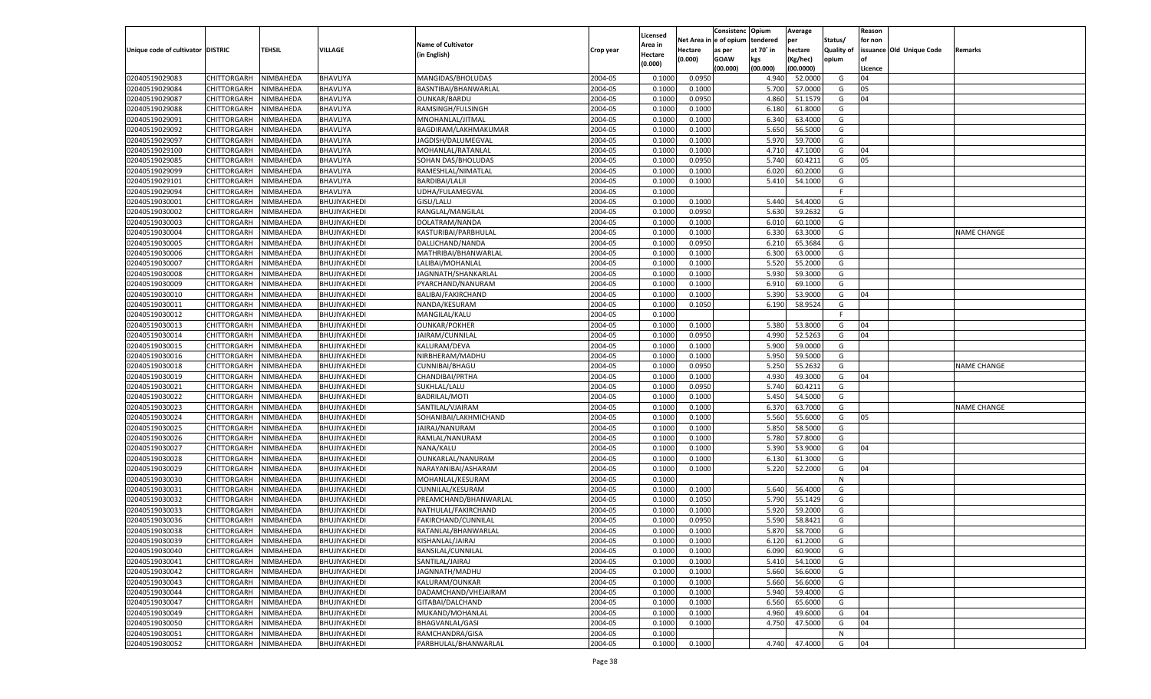|                                   |                                      |           |              |                                         |           |                     |            | Consistenc    | Opium     | Average   |            | Reason  |                          |                    |
|-----------------------------------|--------------------------------------|-----------|--------------|-----------------------------------------|-----------|---------------------|------------|---------------|-----------|-----------|------------|---------|--------------------------|--------------------|
|                                   |                                      |           |              | <b>Name of Cultivator</b>               |           | Licensed<br>Area in | Net Area i | n le of opium | tendered  | per       | Status/    | for non |                          |                    |
| Unique code of cultivator DISTRIC |                                      | TEHSIL    | VILLAGE      | (in English)                            | Crop year | Hectare             | Hectare    | as per        | at 70° in | hectare   | Quality of |         | issuance Old Unique Code | Remarks            |
|                                   |                                      |           |              |                                         |           | (0.000)             | (0.000)    | <b>GOAW</b>   | kgs       | (Kg/hec)  | opium      |         |                          |                    |
|                                   |                                      |           |              |                                         |           |                     |            | (00.000)      | (00.000)  | (00.0000) |            | Licence |                          |                    |
| 02040519029083                    | CHITTORGARH                          | NIMBAHEDA | BHAVLIYA     | MANGIDAS/BHOLUDAS                       | 2004-05   | 0.1000              | 0.0950     |               | 4.940     | 52.0000   | G          | 04      |                          |                    |
| 02040519029084                    | CHITTORGARH                          | NIMBAHEDA | BHAVLIYA     | BASNTIBAI/BHANWARLAL                    | 2004-05   | 0.1000              | 0.1000     |               | 5.700     | 57.0000   | G          | 05      |                          |                    |
| 02040519029087                    | CHITTORGARH                          | NIMBAHEDA | BHAVLIYA     | <b>OUNKAR/BARDU</b>                     | 2004-05   | 0.1000              | 0.0950     |               | 4.860     | 51.1579   | G          | 04      |                          |                    |
| 02040519029088                    | CHITTORGARH                          | NIMBAHEDA | BHAVLIYA     | RAMSINGH/FULSINGH                       | 2004-05   | 0.1000              | 0.1000     |               | 6.180     | 61.8000   | G          |         |                          |                    |
| 02040519029091                    | CHITTORGARH                          | NIMBAHEDA | BHAVLIYA     | MNOHANLAL/JITMAL                        | 2004-05   | 0.1000              | 0.1000     |               | 6.340     | 63.4000   | G          |         |                          |                    |
| 02040519029092                    | CHITTORGARH                          | NIMBAHEDA | BHAVLIYA     | BAGDIRAM/LAKHMAKUMAR                    | 2004-05   | 0.1000              | 0.1000     |               | 5.650     | 56.5000   | G          |         |                          |                    |
| 02040519029097                    | CHITTORGARH                          | NIMBAHEDA | BHAVLIYA     | JAGDISH/DALUMEGVAL                      | 2004-05   | 0.1000              | 0.1000     |               | 5.970     | 59.7000   | G          |         |                          |                    |
| 02040519029100                    | CHITTORGARH                          | NIMBAHEDA | BHAVLIYA     | MOHANLAL/RATANLAL                       | 2004-05   | 0.1000              | 0.1000     |               | 4.710     | 47.1000   | G          | 04      |                          |                    |
| 02040519029085                    | CHITTORGARH                          | NIMBAHEDA | BHAVLIYA     | SOHAN DAS/BHOLUDAS                      | 2004-05   | 0.1000              | 0.0950     |               | 5.740     | 60.4211   | G          | 05      |                          |                    |
| 02040519029099                    | CHITTORGARH                          | NIMBAHEDA | BHAVLIYA     | RAMESHLAL/NIMATLAL                      | 2004-05   | 0.1000              | 0.1000     |               | 6.020     | 60.2000   | G          |         |                          |                    |
| 02040519029101                    | CHITTORGARH                          | NIMBAHEDA | BHAVLIYA     | BARDIBAI/LALJI                          | 2004-05   | 0.1000              | 0.1000     |               | 5.410     | 54.1000   | G          |         |                          |                    |
| 02040519029094                    | CHITTORGARH                          | NIMBAHEDA | BHAVLIYA     | UDHA/FULAMEGVAL                         | 2004-05   | 0.1000              |            |               |           |           | E          |         |                          |                    |
| 02040519030001                    | CHITTORGARH                          | NIMBAHEDA | BHUJIYAKHEDI | GISU/LALU                               | 2004-05   | 0.1000              | 0.1000     |               | 5.440     | 54.4000   | G          |         |                          |                    |
| 02040519030002                    | CHITTORGARH                          | NIMBAHEDA | BHUJIYAKHEDI | RANGLAL/MANGILAL                        | 2004-05   | 0.1000              | 0.0950     |               | 5.630     | 59.2632   | G          |         |                          |                    |
| 02040519030003                    | CHITTORGARH                          | NIMBAHEDA | BHUJIYAKHEDI | DOLATRAM/NANDA                          | 2004-05   | 0.1000              | 0.1000     |               | 6.010     | 60.1000   | G          |         |                          |                    |
| 02040519030004                    | CHITTORGARH                          | NIMBAHEDA | BHUJIYAKHEDI | KASTURIBAI/PARBHULAL                    | 2004-05   | 0.1000              | 0.1000     |               | 6.330     | 63.3000   | G          |         |                          | <b>NAME CHANGE</b> |
| 02040519030005                    | CHITTORGARH                          | NIMBAHEDA | BHUJIYAKHEDI | DALLICHAND/NANDA                        | 2004-05   | 0.1000              | 0.0950     |               | 6.210     | 65.3684   | G          |         |                          |                    |
| 02040519030006                    | CHITTORGARH                          | NIMBAHEDA | BHUJIYAKHEDI | MATHRIBAI/BHANWARLAL                    | 2004-05   | 0.1000              | 0.1000     |               | 6.300     | 63.0000   | G          |         |                          |                    |
| 02040519030007                    | CHITTORGARH                          | NIMBAHEDA | BHUJIYAKHEDI | LALIBAI/MOHANLAL                        | 2004-05   | 0.1000              | 0.1000     |               | 5.520     | 55.2000   | G          |         |                          |                    |
| 02040519030008                    | CHITTORGARH                          | NIMBAHEDA | BHUJIYAKHEDI | JAGNNATH/SHANKARLAL                     | 2004-05   | 0.1000              | 0.1000     |               | 5.930     | 59.3000   | G          |         |                          |                    |
| 02040519030009                    | CHITTORGARH                          | NIMBAHEDA | BHUJIYAKHEDI | PYARCHAND/NANURAM                       | 2004-05   | 0.1000              | 0.1000     |               | 6.910     | 69.1000   | G          |         |                          |                    |
| 02040519030010                    | CHITTORGARH                          | NIMBAHEDA | BHUJIYAKHEDI | BALIBAI/FAKIRCHAND                      | 2004-05   | 0.1000              | 0.1000     |               | 5.390     | 53.9000   | G          | 04      |                          |                    |
| 02040519030011                    | CHITTORGARH                          | NIMBAHEDA | BHUJIYAKHEDI | NANDA/KESURAM                           | 2004-05   | 0.1000              | 0.1050     |               | 6.190     | 58.9524   | G          |         |                          |                    |
| 02040519030012                    | CHITTORGARH                          | NIMBAHEDA | BHUJIYAKHEDI | MANGILAL/KALU                           | 2004-05   | 0.1000              |            |               |           |           | F.         |         |                          |                    |
| 02040519030013                    | CHITTORGARH                          | NIMBAHEDA | BHUJIYAKHEDI | <b>OUNKAR/POKHER</b>                    | 2004-05   | 0.1000              | 0.1000     |               | 5.380     | 53.8000   | G          | 04      |                          |                    |
| 02040519030014                    | CHITTORGARH                          | NIMBAHEDA | BHUJIYAKHEDI | JAIRAM/CUNNILAL                         | 2004-05   | 0.1000              | 0.0950     |               | 4.990     | 52.5263   | G          | 04      |                          |                    |
| 02040519030015                    | CHITTORGARH                          | NIMBAHEDA | BHUJIYAKHEDI | KALURAM/DEVA                            | 2004-05   | 0.1000              | 0.1000     |               | 5.900     | 59.0000   | G          |         |                          |                    |
| 02040519030016                    | CHITTORGARH                          | NIMBAHEDA | BHUJIYAKHEDI | NIRBHERAM/MADHU                         | 2004-05   | 0.1000              | 0.1000     |               | 5.950     | 59.5000   | G          |         |                          |                    |
| 02040519030018                    | CHITTORGARH                          | NIMBAHEDA | BHUJIYAKHEDI | CUNNIBAI/BHAGU                          | 2004-05   | 0.1000              | 0.0950     |               | 5.250     | 55.2632   | G          |         |                          | <b>NAME CHANGE</b> |
| 02040519030019                    | CHITTORGARH                          | NIMBAHEDA | BHUJIYAKHEDI | CHANDIBAI/PRTHA                         | 2004-05   | 0.1000              | 0.1000     |               | 4.930     | 49.3000   | G          | 04      |                          |                    |
| 02040519030021                    | CHITTORGARH                          | NIMBAHEDA | BHUJIYAKHEDI | SUKHLAL/LALU                            | 2004-05   | 0.1000              | 0.0950     |               | 5.740     | 60.4211   | G          |         |                          |                    |
| 02040519030022                    | CHITTORGARH                          | NIMBAHEDA | BHUJIYAKHEDI | <b>BADRILAL/MOTI</b>                    | 2004-05   | 0.1000              | 0.1000     |               | 5.450     | 54.5000   | G          |         |                          |                    |
| 02040519030023                    | CHITTORGARH                          | NIMBAHEDA | BHUJIYAKHEDI | SANTILAL/VJAIRAM                        | 2004-05   | 0.1000              | 0.1000     |               | 6.370     | 63.7000   | G          |         |                          | <b>NAME CHANGE</b> |
| 02040519030024                    | CHITTORGARH                          | NIMBAHEDA | BHUJIYAKHEDI | SOHANIBAI/LAKHMICHAND                   | 2004-05   | 0.1000              | 0.1000     |               | 5.560     | 55.6000   | G          | 05      |                          |                    |
| 02040519030025                    | CHITTORGARH                          | NIMBAHEDA | BHUJIYAKHEDI | JAIRAJ/NANURAM                          | 2004-05   | 0.1000              | 0.1000     |               | 5.850     | 58.5000   | G          |         |                          |                    |
| 02040519030026                    | CHITTORGARH                          | NIMBAHEDA | BHUJIYAKHEDI | RAMLAL/NANURAM                          | 2004-05   | 0.1000              | 0.1000     |               | 5.780     | 57.8000   | G          |         |                          |                    |
| 02040519030027                    | CHITTORGARH                          | NIMBAHEDA | BHUJIYAKHEDI | NANA/KALU                               | 2004-05   | 0.1000              | 0.1000     |               | 5.390     | 53.9000   | G          | 04      |                          |                    |
| 02040519030028                    | CHITTORGARH                          | NIMBAHEDA | BHUJIYAKHEDI | OUNKARLAL/NANURAM                       | 2004-05   | 0.1000              | 0.1000     |               | 6.13(     | 61.3000   | G          |         |                          |                    |
| 02040519030029                    | CHITTORGARH                          | NIMBAHEDA | BHUJIYAKHEDI | NARAYANIBAI/ASHARAM                     | 2004-05   | 0.1000              | 0.1000     |               | 5.220     | 52.2000   | G          | 04      |                          |                    |
| 02040519030030                    | CHITTORGARH                          | NIMBAHEDA | BHUJIYAKHEDI | MOHANLAL/KESURAM                        | 2004-05   | 0.1000              |            |               |           |           | N          |         |                          |                    |
| 02040519030031                    | CHITTORGARH                          | NIMBAHEDA | BHUJIYAKHEDI | CUNNILAL/KESURAM                        | 2004-05   | 0.1000              | 0.1000     |               | 5.640     | 56.4000   | G          |         |                          |                    |
| 02040519030032                    | CHITTORGARH                          | NIMBAHEDA | BHUJIYAKHEDI | PREAMCHAND/BHANWARLAL                   | 2004-05   | 0.1000              | 0.1050     |               | 5.790     | 55.1429   | G          |         |                          |                    |
| 02040519030033                    | CHITTORGARH                          | NIMBAHEDA | BHUJIYAKHEDI | NATHULAL/FAKIRCHAND                     | 2004-05   | 0.1000              | 0.1000     |               | 5.920     | 59.2000   | G          |         |                          |                    |
| 02040519030036                    | CHITTORGARH                          | NIMBAHEDA | BHUJIYAKHEDI | FAKIRCHAND/CUNNILAL                     | 2004-05   | 0.1000              | 0.0950     |               | 5.590     | 58.8421   | G          |         |                          |                    |
| 02040519030038                    |                                      | NIMBAHEDA |              |                                         | 2004-05   | 0.1000              | 0.1000     |               | 5.870     | 58.7000   | G          |         |                          |                    |
|                                   | CHITTORGARH<br>CHITTORGARH NIMBAHEDA |           | BHUJIYAKHEDI | RATANLAL/BHANWARLAL<br>KISHANLAL/JAIRAJ |           |                     |            |               |           |           |            |         |                          |                    |
| 02040519030039                    |                                      |           | BHUJIYAKHEDI |                                         | 2004-05   | 0.1000              | 0.1000     |               | 6.120     | 61.2000   | G          |         |                          |                    |
| 02040519030040                    | <b>CHITTORGARH</b><br>CHITTORGARH    | NIMBAHEDA | BHUJIYAKHEDI | BANSILAL/CUNNILAL                       | 2004-05   | 0.1000              | 0.1000     |               | 6.090     | 60.9000   | G          |         |                          |                    |
| 02040519030041                    |                                      | NIMBAHEDA | BHUJIYAKHEDI | SANTILAL/JAIRAJ                         | 2004-05   | 0.1000              | 0.1000     |               | 5.410     | 54.1000   | G          |         |                          |                    |
| 02040519030042                    | <b>CHITTORGARH</b>                   | NIMBAHEDA | BHUJIYAKHEDI | JAGNNATH/MADHU                          | 2004-05   | 0.1000              | 0.1000     |               | 5.660     | 56.6000   | G          |         |                          |                    |
| 02040519030043                    | <b>CHITTORGARH</b>                   | NIMBAHEDA | BHUJIYAKHEDI | KALURAM/OUNKAR                          | 2004-05   | 0.1000              | 0.1000     |               | 5.660     | 56.6000   | G          |         |                          |                    |
| 02040519030044                    | CHITTORGARH                          | NIMBAHEDA | BHUJIYAKHEDI | DADAMCHAND/VHEJAIRAM                    | 2004-05   | 0.1000              | 0.1000     |               | 5.940     | 59.4000   | G          |         |                          |                    |
| 02040519030047                    | <b>CHITTORGARH</b>                   | NIMBAHEDA | BHUJIYAKHEDI | GITABAI/DALCHAND                        | 2004-05   | 0.1000              | 0.1000     |               | 6.560     | 65.6000   | G          |         |                          |                    |
| 02040519030049                    | CHITTORGARH                          | NIMBAHEDA | BHUJIYAKHEDI | MUKAND/MOHANLAL                         | 2004-05   | 0.1000              | 0.1000     |               | 4.960     | 49.6000   | G          | 04      |                          |                    |
| 02040519030050                    | <b>CHITTORGARH</b>                   | NIMBAHEDA | BHUJIYAKHEDI | BHAGVANLAL/GASI                         | 2004-05   | 0.1000              | 0.1000     |               | 4.750     | 47.5000   | G          | 04      |                          |                    |
| 02040519030051                    | <b>CHITTORGARH</b>                   | NIMBAHEDA | BHUJIYAKHEDI | RAMCHANDRA/GISA                         | 2004-05   | 0.1000              |            |               |           |           | N          |         |                          |                    |
| 02040519030052                    | CHITTORGARH                          | NIMBAHEDA | BHUJIYAKHEDI | PARBHULAL/BHANWARLAL                    | 2004-05   | 0.1000              | 0.1000     |               | 4.740     | 47.4000   | G          | 04      |                          |                    |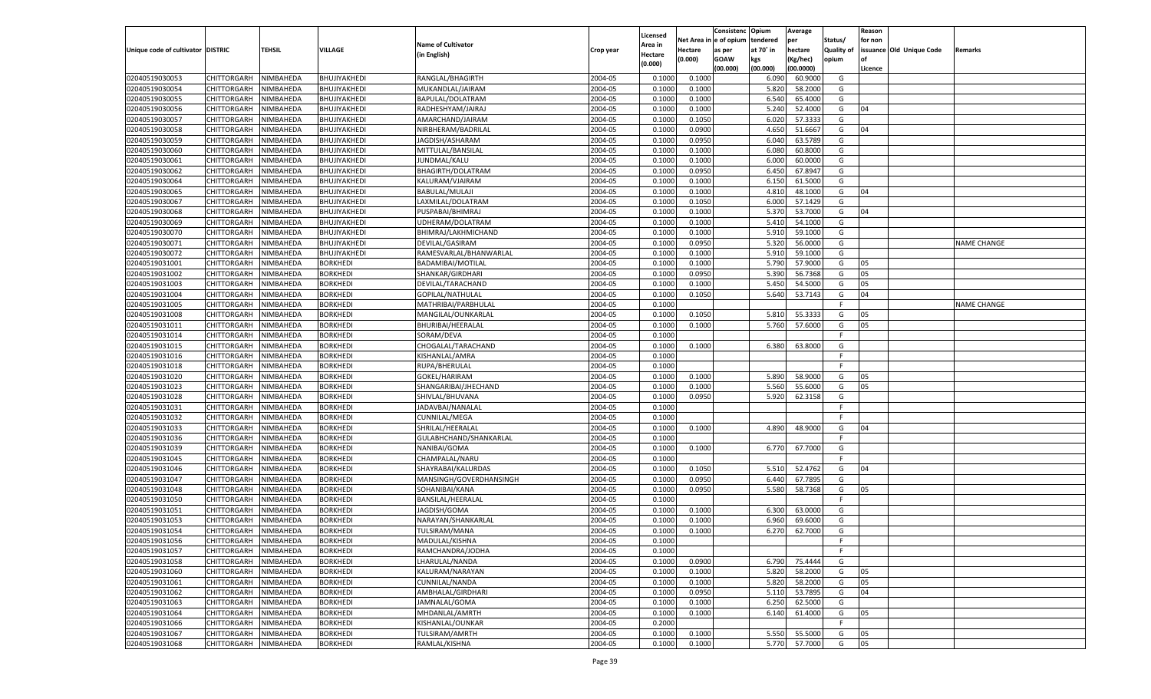|                                   |                       |           |                 |                                    |           |                    |                  | Consistenc    | Opium     | Average   |            | Reason  |                          |                    |
|-----------------------------------|-----------------------|-----------|-----------------|------------------------------------|-----------|--------------------|------------------|---------------|-----------|-----------|------------|---------|--------------------------|--------------------|
|                                   |                       |           |                 |                                    |           | Licensed           | Net Area iı      | n  e of opium | tendered  | per       | Status/    | for non |                          |                    |
| Unique code of cultivator DISTRIC |                       | TEHSIL    | <b>VILLAGE</b>  | <b>Name of Cultivator</b>          | Crop year | Area in            | Hectare          | as per        | at 70° in | hectare   | Quality of |         | issuance Old Unique Code | Remarks            |
|                                   |                       |           |                 | (in English)                       |           | Hectare<br>(0.000) | (0.000)          | <b>GOAW</b>   | kgs       | (Kg/hec)  | opium      |         |                          |                    |
|                                   |                       |           |                 |                                    |           |                    |                  | (00.000)      | (00.000)  | (00.0000) |            | Licence |                          |                    |
| 02040519030053                    | CHITTORGARH           | NIMBAHEDA | BHUJIYAKHEDI    | RANGLAL/BHAGIRTH                   | 2004-05   | 0.1000             | 0.1000           |               | 6.090     | 60.9000   | G          |         |                          |                    |
| 02040519030054                    | CHITTORGARH           | NIMBAHEDA | BHUJIYAKHEDI    | MUKANDLAL/JAIRAM                   | 2004-05   | 0.1000             | 0.1000           |               | 5.820     | 58.2000   | G          |         |                          |                    |
| 02040519030055                    | CHITTORGARH           | NIMBAHEDA | BHUJIYAKHEDI    | BAPULAL/DOLATRAM                   | 2004-05   | 0.1000             | 0.1000           |               | 6.540     | 65.4000   | G          |         |                          |                    |
| 02040519030056                    | CHITTORGARH           | NIMBAHEDA | BHUJIYAKHEDI    | RADHESHYAM/JAIRAJ                  | 2004-05   | 0.1000             | 0.1000           |               | 5.240     | 52.4000   | G          | 04      |                          |                    |
| 02040519030057                    | CHITTORGARH           | NIMBAHEDA | BHUJIYAKHEDI    | AMARCHAND/JAIRAM                   | 2004-05   | 0.1000             | 0.1050           |               | 6.020     | 57.3333   | G          |         |                          |                    |
| 02040519030058                    | CHITTORGARH           | NIMBAHEDA | BHUJIYAKHEDI    | NIRBHERAM/BADRILAL                 | 2004-05   | 0.1000             | 0.0900           |               | 4.650     | 51.6667   | G          | 04      |                          |                    |
| 02040519030059                    | CHITTORGARH           | NIMBAHEDA | BHUJIYAKHEDI    | JAGDISH/ASHARAM                    | 2004-05   | 0.1000             | 0.0950           |               | 6.040     | 63.5789   | G          |         |                          |                    |
| 02040519030060                    | CHITTORGARH           | NIMBAHEDA | BHUJIYAKHEDI    | MITTULAL/BANSILAL                  | 2004-05   | 0.1000             | 0.1000           |               | 6.080     | 60.8000   | G          |         |                          |                    |
| 02040519030061                    | CHITTORGARH           | NIMBAHEDA | BHUJIYAKHEDI    | JUNDMAL/KALU                       | 2004-05   | 0.1000             | 0.1000           |               | 6.000     | 60.0000   | G          |         |                          |                    |
| 02040519030062                    | CHITTORGARH           | NIMBAHEDA | BHUJIYAKHEDI    | BHAGIRTH/DOLATRAM                  | 2004-05   | 0.1000             | 0.0950           |               | 6.450     | 67.8947   | G          |         |                          |                    |
| 02040519030064                    | CHITTORGARH           | NIMBAHEDA | BHUJIYAKHEDI    | KALURAM/VJAIRAM                    | 2004-05   | 0.1000             | 0.1000           |               | 6.150     | 61.5000   | G          |         |                          |                    |
| 02040519030065                    | CHITTORGARH           | NIMBAHEDA | BHUJIYAKHEDI    | <b>BABULAL/MULAJI</b>              | 2004-05   | 0.1000             | 0.1000           |               | 4.810     | 48.1000   | G          | 04      |                          |                    |
| 02040519030067                    | CHITTORGARH           | NIMBAHEDA | BHUJIYAKHEDI    | LAXMILAL/DOLATRAM                  | 2004-05   | 0.1000             | 0.1050           |               | 6.000     | 57.1429   | G          |         |                          |                    |
| 02040519030068                    | CHITTORGARH           | NIMBAHEDA | BHUJIYAKHEDI    | PUSPABAI/BHIMRAJ                   | 2004-05   | 0.1000             | 0.1000           |               | 5.370     | 53.7000   | G          | 04      |                          |                    |
| 02040519030069                    | CHITTORGARH           | NIMBAHEDA | BHUJIYAKHEDI    | UDHERAM/DOLATRAM                   | 2004-05   | 0.1000             | 0.1000           |               | 5.410     | 54.1000   | G          |         |                          |                    |
| 02040519030070                    | CHITTORGARH           | NIMBAHEDA | BHUJIYAKHEDI    | BHIMRAJ/LAKHMICHAND                | 2004-05   | 0.1000             | 0.1000           |               | 5.910     | 59.1000   | G          |         |                          |                    |
| 02040519030071                    | CHITTORGARH           | NIMBAHEDA | BHUJIYAKHEDI    | DEVILAL/GASIRAM                    | 2004-05   | 0.1000             | 0.0950           |               | 5.320     | 56.0000   | G          |         |                          | <b>NAME CHANGE</b> |
| 02040519030072                    | CHITTORGARH           | NIMBAHEDA | BHUJIYAKHEDI    | RAMESVARLAL/BHANWARLAL             | 2004-05   | 0.1000             | 0.1000           |               | 5.910     | 59.1000   | G          |         |                          |                    |
| 02040519031001                    | CHITTORGARH           | NIMBAHEDA | <b>BORKHEDI</b> | BADAMIBAI/MOTILAL                  | 2004-05   | 0.1000             | 0.1000           |               | 5.790     | 57.9000   | G          | 05      |                          |                    |
| 02040519031002                    | CHITTORGARH           | NIMBAHEDA | <b>BORKHEDI</b> | SHANKAR/GIRDHARI                   | 2004-05   | 0.1000             | 0.0950           |               | 5.390     | 56.7368   | G          | 05      |                          |                    |
| 02040519031003                    | CHITTORGARH           | NIMBAHEDA | <b>BORKHEDI</b> | DEVILAL/TARACHAND                  | 2004-05   | 0.1000             | 0.1000           |               | 5.450     | 54.5000   | G          | 05      |                          |                    |
| 02040519031004                    | CHITTORGARH           | NIMBAHEDA | <b>BORKHEDI</b> | GOPILAL/NATHULAL                   | 2004-05   | 0.1000             | 0.1050           |               | 5.640     | 53.7143   | G          | 04      |                          |                    |
| 02040519031005                    | CHITTORGARH           | NIMBAHEDA | <b>BORKHEDI</b> | MATHRIBAI/PARBHULAL                | 2004-05   | 0.1000             |                  |               |           |           | F.         |         |                          | <b>NAME CHANGE</b> |
| 02040519031008                    | CHITTORGARH           | NIMBAHEDA | <b>BORKHEDI</b> | MANGILAL/OUNKARLAL                 | 2004-05   | 0.1000             | 0.1050           |               | 5.810     | 55.3333   | G          | 05      |                          |                    |
| 02040519031011                    | CHITTORGARH           | NIMBAHEDA | <b>BORKHEDI</b> | BHURIBAI/HEERALAL                  | 2004-05   | 0.1000             | 0.1000           |               | 5.760     | 57.6000   | G          | 05      |                          |                    |
| 02040519031014                    | CHITTORGARH           | NIMBAHEDA | <b>BORKHEDI</b> | SORAM/DEVA                         | 2004-05   | 0.1000             |                  |               |           |           | F.         |         |                          |                    |
| 02040519031015                    | CHITTORGARH           | NIMBAHEDA | <b>BORKHEDI</b> | CHOGALAL/TARACHAND                 | 2004-05   | 0.1000             | 0.1000           |               | 6.380     | 63.8000   | G          |         |                          |                    |
| 02040519031016                    | CHITTORGARH           | NIMBAHEDA | <b>BORKHEDI</b> | KISHANLAL/AMRA                     | 2004-05   | 0.1000             |                  |               |           |           | F.         |         |                          |                    |
| 02040519031018                    | CHITTORGARH           | NIMBAHEDA | <b>BORKHEDI</b> | RUPA/BHERULAL                      | 2004-05   | 0.1000             |                  |               |           |           | F.         |         |                          |                    |
| 02040519031020                    | CHITTORGARH           | NIMBAHEDA | <b>BORKHEDI</b> | GOKEL/HARIRAM                      | 2004-05   | 0.1000             | 0.1000           |               | 5.890     | 58.9000   | G          | 05      |                          |                    |
| 02040519031023                    | CHITTORGARH           | NIMBAHEDA | <b>BORKHEDI</b> | SHANGARIBAI/JHECHAND               | 2004-05   | 0.1000             | 0.1000           |               | 5.560     | 55.6000   | G          | 05      |                          |                    |
| 02040519031028                    | CHITTORGARH           | NIMBAHEDA | <b>BORKHEDI</b> | SHIVLAL/BHUVANA                    | 2004-05   | 0.1000             | 0.0950           |               | 5.920     | 62.3158   | G          |         |                          |                    |
| 02040519031031                    | CHITTORGARH           | NIMBAHEDA | <b>BORKHEDI</b> | JADAVBAI/NANALAL                   | 2004-05   | 0.1000             |                  |               |           |           | F.         |         |                          |                    |
| 02040519031032                    | CHITTORGARH           | NIMBAHEDA | <b>BORKHEDI</b> | <b>CUNNILAL/MEGA</b>               | 2004-05   | 0.1000             |                  |               |           |           | E          |         |                          |                    |
| 02040519031033                    | CHITTORGARH           | NIMBAHEDA | <b>BORKHEDI</b> | SHRILAL/HEERALAL                   | 2004-05   | 0.1000             | 0.1000           |               | 4.890     | 48.9000   | G          | 04      |                          |                    |
| 02040519031036                    | CHITTORGARH           | NIMBAHEDA | <b>BORKHEDI</b> | GULABHCHAND/SHANKARLAL             | 2004-05   | 0.1000             |                  |               |           |           | F          |         |                          |                    |
| 02040519031039                    | CHITTORGARH           | NIMBAHEDA | <b>BORKHEDI</b> | NANIBAI/GOMA                       | 2004-05   | 0.1000             | 0.1000           |               | 6.770     | 67.7000   | G          |         |                          |                    |
| 02040519031045                    | CHITTORGARH           | NIMBAHEDA | <b>BORKHEDI</b> | CHAMPALAL/NARU                     | 2004-05   | 0.1000             |                  |               |           |           | F          |         |                          |                    |
| 02040519031046                    | CHITTORGARH           | NIMBAHEDA | <b>BORKHEDI</b> | SHAYRABAI/KALURDAS                 | 2004-05   | 0.1000             | 0.1050           |               | 5.510     | 52.4762   | G          | 04      |                          |                    |
| 02040519031047                    | CHITTORGARH           | NIMBAHEDA | <b>BORKHEDI</b> | MANSINGH/GOVERDHANSINGH            | 2004-05   | 0.1000             | 0.0950           |               | 6.440     | 67.7895   | G          |         |                          |                    |
| 02040519031048                    | CHITTORGARH           | NIMBAHEDA | <b>BORKHEDI</b> | SOHANIBAI/KANA                     | 2004-05   | 0.1000             | 0.0950           |               | 5.580     | 58.7368   | G          | 05      |                          |                    |
| 02040519031050                    | CHITTORGARH           | NIMBAHEDA | <b>BORKHEDI</b> | BANSILAL/HEERALAI                  | 2004-05   | 0.1000             |                  |               |           |           | F          |         |                          |                    |
| 02040519031051                    | CHITTORGARH           | NIMBAHEDA | <b>BORKHEDI</b> | JAGDISH/GOMA                       | 2004-05   | 0.1000             | 0.1000           |               | 6.300     | 63.0000   | G          |         |                          |                    |
| 02040519031053                    | CHITTORGARH           | NIMBAHEDA | <b>BORKHEDI</b> | NARAYAN/SHANKARLAL                 | 2004-05   | 0.1000             | 0.1000           |               | 6.960     | 69.6000   | G          |         |                          |                    |
| 02040519031054                    | CHITTORGARH           | NIMBAHEDA | <b>BORKHEDI</b> | TULSIRAM/MANA                      | 2004-05   | 0.1000             | 0.1000           |               | 6.270     | 62.7000   | G          |         |                          |                    |
| 02040519031056                    | CHITTORGARH NIMBAHEDA |           | <b>BORKHEDI</b> | MADULAL/KISHNA                     | 2004-05   | 0.1000             |                  |               |           |           | F          |         |                          |                    |
| 02040519031057                    | <b>CHITTORGARH</b>    | NIMBAHEDA | <b>BORKHEDI</b> | RAMCHANDRA/JODHA                   | 2004-05   | 0.1000             |                  |               |           |           | F.         |         |                          |                    |
| 02040519031058                    | CHITTORGARH           | NIMBAHEDA | <b>BORKHEDI</b> | LHARULAL/NANDA                     | 2004-05   | 0.1000             | 0.0900           |               | 6.790     | 75.4444   | G          |         |                          |                    |
| 02040519031060                    | CHITTORGARH           | NIMBAHEDA | <b>BORKHEDI</b> | KALURAM/NARAYAN                    | 2004-05   | 0.1000             | 0.1000           |               | 5.820     | 58.2000   | G          | 05      |                          |                    |
| 02040519031061                    | <b>CHITTORGARH</b>    | NIMBAHEDA | <b>BORKHEDI</b> | CUNNILAL/NANDA                     | 2004-05   | 0.1000             | 0.1000           |               | 5.820     | 58.2000   | G          | 05      |                          |                    |
| 02040519031062                    | CHITTORGARH           | NIMBAHEDA | <b>BORKHEDI</b> | AMBHALAL/GIRDHARI                  | 2004-05   | 0.1000             | 0.0950           |               | 5.110     | 53.7895   | G          | 04      |                          |                    |
| 02040519031063                    | <b>CHITTORGARH</b>    | NIMBAHEDA | <b>BORKHEDI</b> | JAMNALAL/GOMA                      | 2004-05   |                    |                  |               | 6.250     | 62.5000   | G          |         |                          |                    |
| 02040519031064                    | CHITTORGARH           | NIMBAHEDA | <b>BORKHEDI</b> | MHDANLAL/AMRTH                     | 2004-05   | 0.1000             | 0.1000<br>0.1000 |               |           | 61.4000   |            | 05      |                          |                    |
|                                   | <b>CHITTORGARH</b>    | NIMBAHEDA | <b>BORKHEDI</b> |                                    |           | 0.1000             |                  |               | 6.140     |           | G<br>F.    |         |                          |                    |
| 02040519031066                    | CHITTORGARH           | NIMBAHEDA | <b>BORKHEDI</b> | KISHANLAL/OUNKAR<br>TULSIRAM/AMRTH | 2004-05   | 0.2000<br>0.1000   |                  |               |           |           |            |         |                          |                    |
| 02040519031067                    |                       |           |                 |                                    | 2004-05   |                    | 0.1000           |               | 5.550     | 55.5000   | G          | 05      |                          |                    |
| 02040519031068                    | <b>CHITTORGARH</b>    | NIMBAHEDA | <b>BORKHEDI</b> | RAMLAL/KISHNA                      | 2004-05   | 0.1000             | 0.1000           |               | 5.770     | 57.7000   | G          | 05      |                          |                    |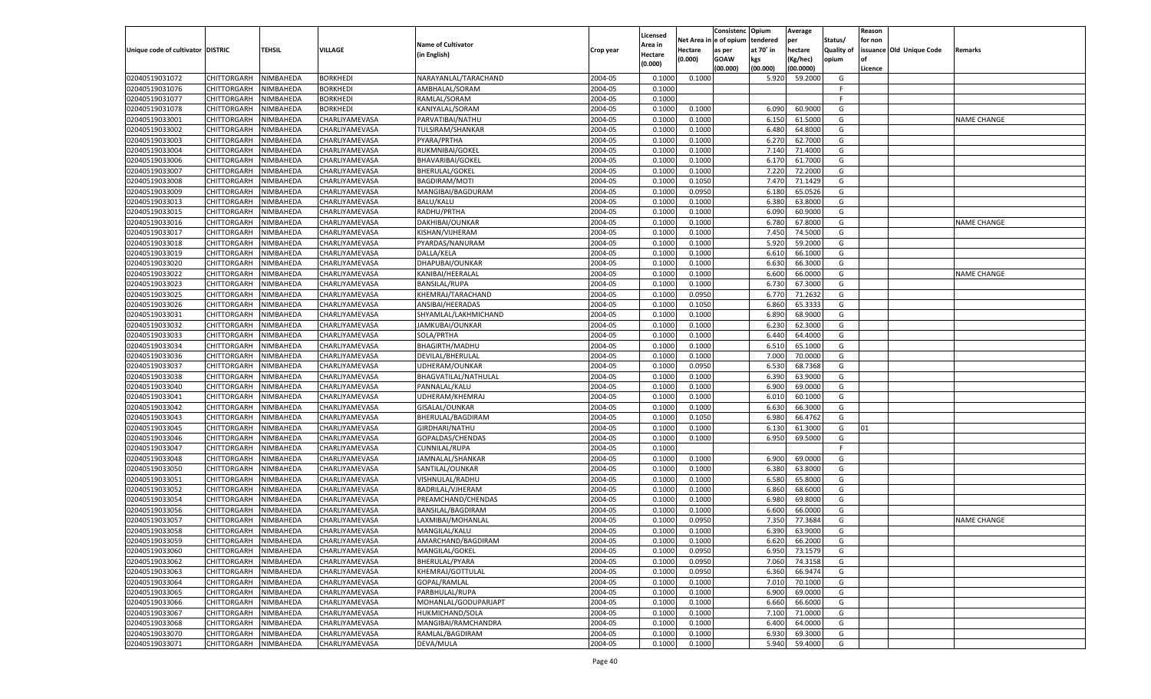|                                   |                       |           |                 |                           |           |                    |            | Consistenc   | Opium     | Average   |                   | Reason  |                          |                    |
|-----------------------------------|-----------------------|-----------|-----------------|---------------------------|-----------|--------------------|------------|--------------|-----------|-----------|-------------------|---------|--------------------------|--------------------|
|                                   |                       |           |                 |                           |           | Licensed           | Net Area i | n e of opium | tendered  | per       | Status/           | for non |                          |                    |
| Unique code of cultivator DISTRIC |                       | TEHSIL    | <b>VILLAGE</b>  | <b>Name of Cultivator</b> | Crop year | Area in            | Hectare    | as per       | at 70° in | hectare   | <b>Quality of</b> |         | issuance Old Unique Code | Remarks            |
|                                   |                       |           |                 | (in English)              |           | Hectare<br>(0.000) | (0.000)    | <b>GOAW</b>  | kgs       | (Kg/hec)  | opium             |         |                          |                    |
|                                   |                       |           |                 |                           |           |                    |            | (00.000)     | (00.000)  | (00.0000) |                   | Licence |                          |                    |
| 02040519031072                    | CHITTORGARH           | NIMBAHEDA | <b>BORKHEDI</b> | NARAYANLAL/TARACHAND      | 2004-05   | 0.1000             | 0.1000     |              | 5.920     | 59.2000   | G                 |         |                          |                    |
| 02040519031076                    | CHITTORGARH           | NIMBAHEDA | <b>BORKHEDI</b> | AMBHALAL/SORAM            | 2004-05   | 0.1000             |            |              |           |           | -F                |         |                          |                    |
| 02040519031077                    | CHITTORGARH           | NIMBAHEDA | <b>BORKHEDI</b> | RAMLAL/SORAM              | 2004-05   | 0.1000             |            |              |           |           | F.                |         |                          |                    |
| 02040519031078                    | CHITTORGARH           | NIMBAHEDA | <b>BORKHEDI</b> | KANIYALAL/SORAM           | 2004-05   | 0.1000             | 0.1000     |              | 6.090     | 60.9000   | G                 |         |                          |                    |
| 02040519033001                    | CHITTORGARH           | NIMBAHEDA | CHARLIYAMEVASA  | PARVATIBAI/NATHU          | 2004-05   | 0.1000             | 0.1000     |              | 6.150     | 61.5000   | G                 |         |                          | <b>NAME CHANGE</b> |
| 02040519033002                    | CHITTORGARH           | NIMBAHEDA | CHARLIYAMEVASA  | TULSIRAM/SHANKAR          | 2004-05   | 0.1000             | 0.1000     |              | 6.480     | 64.8000   | G                 |         |                          |                    |
| 02040519033003                    | CHITTORGARH           | NIMBAHEDA | CHARLIYAMEVASA  | PYARA/PRTHA               | 2004-05   | 0.1000             | 0.1000     |              | 6.27      | 62.7000   | G                 |         |                          |                    |
| 02040519033004                    | CHITTORGARH           | NIMBAHEDA | CHARLIYAMEVASA  | RUKMNIBAI/GOKEL           | 2004-05   | 0.1000             | 0.1000     |              | 7.140     | 71.4000   | G                 |         |                          |                    |
| 02040519033006                    | CHITTORGARH           | NIMBAHEDA | CHARLIYAMEVASA  | BHAVARIBAI/GOKEL          | 2004-05   | 0.1000             | 0.1000     |              | 6.170     | 61.7000   | G                 |         |                          |                    |
| 02040519033007                    | CHITTORGARH           | NIMBAHEDA | CHARLIYAMEVASA  | <b>BHERULAL/GOKEL</b>     | 2004-05   | 0.1000             | 0.1000     |              | 7.220     | 72.2000   | G                 |         |                          |                    |
| 02040519033008                    | CHITTORGARH           | NIMBAHEDA | CHARLIYAMEVASA  | <b>BAGDIRAM/MOTI</b>      | 2004-05   | 0.1000             | 0.1050     |              | 7.470     | 71.1429   | G                 |         |                          |                    |
| 02040519033009                    | CHITTORGARH           | NIMBAHEDA | CHARLIYAMEVASA  | MANGIBAI/BAGDURAM         | 2004-05   | 0.1000             | 0.0950     |              | 6.180     | 65.0526   | G                 |         |                          |                    |
| 02040519033013                    | CHITTORGARH           | NIMBAHEDA | CHARLIYAMEVASA  | BALU/KALU                 | 2004-05   | 0.1000             | 0.1000     |              | 6.380     | 63.8000   | G                 |         |                          |                    |
| 02040519033015                    | CHITTORGARH           | NIMBAHEDA | CHARLIYAMEVASA  | RADHU/PRTHA               | 2004-05   | 0.1000             | 0.1000     |              | 6.090     | 60.9000   | G                 |         |                          |                    |
| 02040519033016                    | CHITTORGARH           | NIMBAHEDA | CHARLIYAMEVASA  | DAKHIBAI/OUNKAR           | 2004-05   | 0.1000             | 0.1000     |              | 6.780     | 67.8000   | G                 |         |                          | <b>NAME CHANGE</b> |
| 02040519033017                    | CHITTORGARH           | NIMBAHEDA | CHARLIYAMEVASA  | KISHAN/VIJHERAM           | 2004-05   | 0.1000             | 0.1000     |              | 7.450     | 74.5000   | G                 |         |                          |                    |
| 02040519033018                    | CHITTORGARH           | NIMBAHEDA | CHARLIYAMEVASA  | PYARDAS/NANURAM           | 2004-05   | 0.1000             | 0.1000     |              | 5.920     | 59.2000   | G                 |         |                          |                    |
| 02040519033019                    | CHITTORGARH           | NIMBAHEDA | CHARLIYAMEVASA  | DALLA/KELA                | 2004-05   | 0.1000             | 0.1000     |              | 6.610     | 66.1000   | G                 |         |                          |                    |
| 02040519033020                    | CHITTORGARH           | NIMBAHEDA | CHARLIYAMEVASA  | DHAPUBAI/OUNKAR           | 2004-05   | 0.1000             | 0.1000     |              | 6.630     | 66.3000   | G                 |         |                          |                    |
| 02040519033022                    | CHITTORGARH           | NIMBAHEDA | CHARLIYAMEVASA  | KANIBAI/HEERALAL          | 2004-05   | 0.1000             | 0.1000     |              | 6.600     | 66.0000   | G                 |         |                          | <b>NAME CHANGE</b> |
| 02040519033023                    | CHITTORGARH           | NIMBAHEDA | CHARLIYAMEVASA  | <b>BANSILAL/RUPA</b>      | 2004-05   | 0.1000             | 0.1000     |              | 6.730     | 67.3000   | G                 |         |                          |                    |
| 02040519033025                    | CHITTORGARH           | NIMBAHEDA | CHARLIYAMEVASA  | KHEMRAJ/TARACHAND         | 2004-05   | 0.1000             | 0.0950     |              | 6.770     | 71.2632   | G                 |         |                          |                    |
| 02040519033026                    | CHITTORGARH           | NIMBAHEDA | CHARLIYAMEVASA  | ANSIBAI/HEERADAS          | 2004-05   | 0.1000             | 0.1050     |              | 6.860     | 65.3333   | G                 |         |                          |                    |
| 02040519033031                    | CHITTORGARH           | NIMBAHEDA | CHARLIYAMEVASA  | SHYAMLAL/LAKHMICHAND      | 2004-05   | 0.1000             | 0.1000     |              | 6.890     | 68.9000   | G                 |         |                          |                    |
| 02040519033032                    | CHITTORGARH           | NIMBAHEDA | CHARLIYAMEVASA  | JAMKUBAI/OUNKAR           | 2004-05   | 0.1000             | 0.1000     |              | 6.230     | 62.3000   | G                 |         |                          |                    |
| 02040519033033                    | CHITTORGARH           | NIMBAHEDA | CHARLIYAMEVASA  | SOLA/PRTHA                | 2004-05   | 0.1000             | 0.1000     |              | 6.440     | 64.4000   | G                 |         |                          |                    |
| 02040519033034                    | CHITTORGARH           | NIMBAHEDA | CHARLIYAMEVASA  | BHAGIRTH/MADHU            | 2004-05   | 0.1000             | 0.1000     |              | 6.510     | 65.1000   | G                 |         |                          |                    |
| 02040519033036                    | CHITTORGARH           | NIMBAHEDA | CHARLIYAMEVASA  | DEVILAL/BHERULAL          | 2004-05   | 0.1000             | 0.1000     |              | 7.000     | 70.0000   | G                 |         |                          |                    |
| 02040519033037                    | CHITTORGARH           | NIMBAHEDA | CHARLIYAMEVASA  | UDHERAM/OUNKAR            | 2004-05   | 0.1000             | 0.0950     |              | 6.530     | 68.7368   | G                 |         |                          |                    |
| 02040519033038                    | CHITTORGARH           | NIMBAHEDA | CHARLIYAMEVASA  | BHAGVATILAL/NATHULAL      | 2004-05   | 0.1000             | 0.1000     |              | 6.390     | 63.9000   | G                 |         |                          |                    |
| 02040519033040                    |                       | NIMBAHEDA |                 | PANNALAL/KALU             | 2004-05   | 0.1000             | 0.1000     |              | 6.900     | 69.0000   | G                 |         |                          |                    |
|                                   | CHITTORGARH           |           | CHARLIYAMEVASA  |                           |           |                    |            |              | 6.010     |           |                   |         |                          |                    |
| 02040519033041                    | CHITTORGARH           | NIMBAHEDA | CHARLIYAMEVASA  | UDHERAM/KHEMRAJ           | 2004-05   | 0.1000             | 0.1000     |              |           | 60.1000   | G                 |         |                          |                    |
| 02040519033042                    | CHITTORGARH           | NIMBAHEDA | CHARLIYAMEVASA  | GISALAL/OUNKAR            | 2004-05   | 0.1000             | 0.1000     |              | 6.630     | 66.3000   | G                 |         |                          |                    |
| 02040519033043                    | CHITTORGARH           | NIMBAHEDA | CHARLIYAMEVASA  | BHERULAL/BAGDIRAM         | 2004-05   | 0.1000             | 0.1050     |              | 6.980     | 66.4762   | G                 |         |                          |                    |
| 02040519033045                    | CHITTORGARH           | NIMBAHEDA | CHARLIYAMEVASA  | GIRDHARI/NATHU            | 2004-05   | 0.1000             | 0.1000     |              | 6.130     | 61.3000   | G                 | 01      |                          |                    |
| 02040519033046                    | CHITTORGARH           | NIMBAHEDA | CHARLIYAMEVASA  | GOPALDAS/CHENDAS          | 2004-05   | 0.1000             | 0.1000     |              | 6.950     | 69.5000   | G                 |         |                          |                    |
| 02040519033047                    | CHITTORGARH           | NIMBAHEDA | CHARLIYAMEVASA  | CUNNILAL/RUPA             | 2004-05   | 0.1000             |            |              |           |           | F.                |         |                          |                    |
| 02040519033048                    | CHITTORGARH           | NIMBAHEDA | CHARLIYAMEVASA  | JAMNALAL/SHANKAR          | 2004-05   | 0.1000             | 0.1000     |              | 6.900     | 69.0000   | G                 |         |                          |                    |
| 02040519033050                    | CHITTORGARH           | NIMBAHEDA | CHARLIYAMEVASA  | SANTILAL/OUNKAR           | 2004-05   | 0.1000             | 0.1000     |              | 6.380     | 63.8000   | G                 |         |                          |                    |
| 02040519033051                    | CHITTORGARH           | NIMBAHEDA | CHARLIYAMEVASA  | VISHNULAL/RADHU           | 2004-05   | 0.1000             | 0.1000     |              | 6.580     | 65.8000   | G                 |         |                          |                    |
| 02040519033052                    | CHITTORGARH           | NIMBAHEDA | CHARLIYAMEVASA  | BADRILAL/VJHERAM          | 2004-05   | 0.1000             | 0.1000     |              | 6.860     | 68.6000   | G                 |         |                          |                    |
| 02040519033054                    | CHITTORGARH           | NIMBAHEDA | CHARLIYAMEVASA  | PREAMCHAND/CHENDAS        | 2004-05   | 0.1000             | 0.1000     |              | 6.980     | 69.8000   | G                 |         |                          |                    |
| 02040519033056                    | CHITTORGARH           | NIMBAHEDA | CHARLIYAMEVASA  | <b>BANSILAL/BAGDIRAM</b>  | 2004-05   | 0.1000             | 0.1000     |              | 6.600     | 66.0000   | G                 |         |                          |                    |
| 02040519033057                    | CHITTORGARH           | NIMBAHEDA | CHARLIYAMEVASA  | LAXMIBAI/MOHANLAL         | 2004-05   | 0.1000             | 0.0950     |              | 7.350     | 77.3684   | G                 |         |                          | <b>NAME CHANGE</b> |
| 02040519033058                    | CHITTORGARH           | NIMBAHEDA | CHARLIYAMEVASA  | MANGILAL/KALU             | 2004-05   | 0.1000             | 0.1000     |              | 6.390     | 63.9000   | G                 |         |                          |                    |
| 02040519033059                    | CHITTORGARH NIMBAHEDA |           | CHARLIYAMEVASA  | AMARCHAND/BAGDIRAM        | 2004-05   | 0.1000             | 0.1000     |              | 6.620     | 66.2000   | G                 |         |                          |                    |
| 02040519033060                    | <b>CHITTORGARH</b>    | NIMBAHEDA | CHARLIYAMEVASA  | MANGILAL/GOKEL            | 2004-05   | 0.1000             | 0.0950     |              | 6.950     | 73.1579   | G                 |         |                          |                    |
| 02040519033062                    | CHITTORGARH           | NIMBAHEDA | CHARLIYAMEVASA  | BHERULAL/PYARA            | 2004-05   | 0.1000             | 0.0950     |              | 7.060     | 74.3158   | G                 |         |                          |                    |
| 02040519033063                    | CHITTORGARH           | NIMBAHEDA | CHARLIYAMEVASA  | KHEMRAJ/GOTTULAL          | 2004-05   | 0.1000             | 0.0950     |              | 6.360     | 66.9474   | G                 |         |                          |                    |
| 02040519033064                    | <b>CHITTORGARH</b>    | NIMBAHEDA | CHARLIYAMEVASA  | GOPAL/RAMLAL              | 2004-05   | 0.1000             | 0.1000     |              | 7.010     | 70.1000   | G                 |         |                          |                    |
| 02040519033065                    | CHITTORGARH           | NIMBAHEDA | CHARLIYAMEVASA  | PARBHULAL/RUPA            | 2004-05   | 0.1000             | 0.1000     |              | 6.900     | 69.0000   | G                 |         |                          |                    |
| 02040519033066                    | CHITTORGARH           | NIMBAHEDA | CHARLIYAMEVASA  | MOHANLAL/GODUPARJAPT      | 2004-05   | 0.1000             | 0.1000     |              | 6.660     | 66.6000   | G                 |         |                          |                    |
| 02040519033067                    | CHITTORGARH           | NIMBAHEDA | CHARLIYAMEVASA  | HUKMICHAND/SOLA           | 2004-05   | 0.1000             | 0.1000     |              | 7.100     | 71.0000   | G                 |         |                          |                    |
| 02040519033068                    | CHITTORGARH           | NIMBAHEDA | CHARLIYAMEVASA  | MANGIBAI/RAMCHANDRA       | 2004-05   | 0.1000             | 0.1000     |              | 6.400     | 64.0000   | G                 |         |                          |                    |
| 02040519033070                    | CHITTORGARH           | NIMBAHEDA | CHARLIYAMEVASA  | RAMLAL/BAGDIRAM           | 2004-05   | 0.1000             | 0.1000     |              | 6.930     | 69.3000   | G                 |         |                          |                    |
| 02040519033071                    | <b>CHITTORGARH</b>    | NIMBAHEDA | CHARLIYAMEVASA  | DEVA/MULA                 | 2004-05   | 0.1000             | 0.1000     |              | 5.940     | 59.4000   | G                 |         |                          |                    |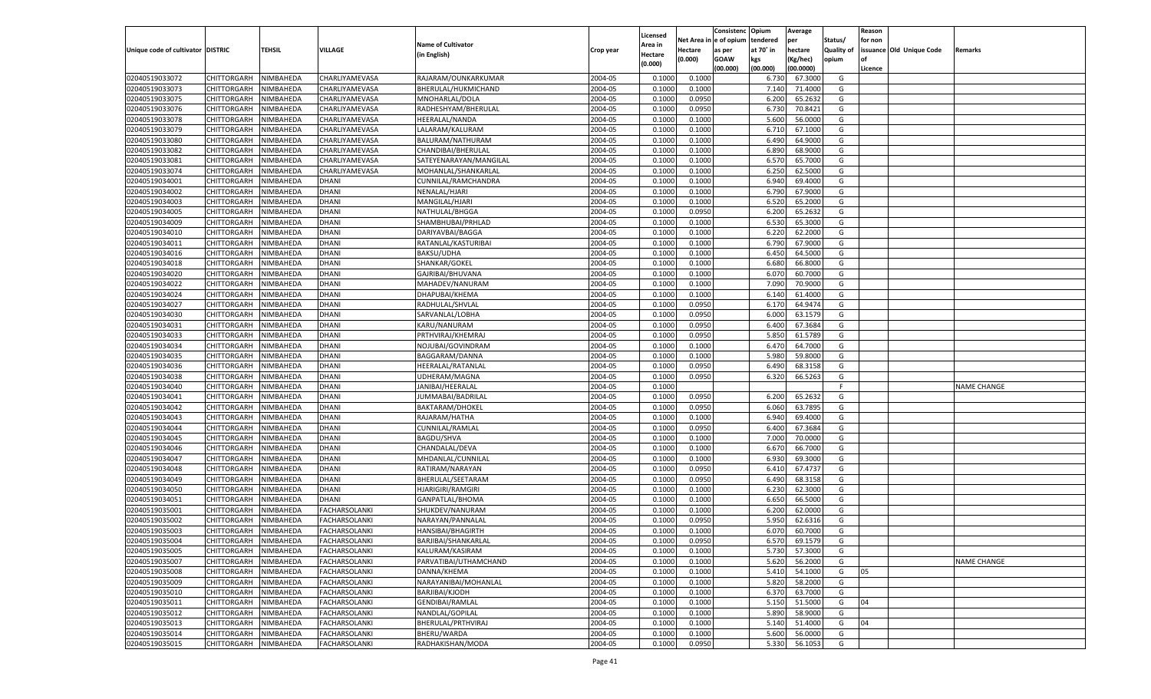|                                   |                                      |           |                                              |                           |           |                    |            | Consistenc    | Opium     | Average   |            | Reason  |                          |                    |
|-----------------------------------|--------------------------------------|-----------|----------------------------------------------|---------------------------|-----------|--------------------|------------|---------------|-----------|-----------|------------|---------|--------------------------|--------------------|
|                                   |                                      |           |                                              | <b>Name of Cultivator</b> |           | Licensed           | Net Area i | n  e of opium | tendered  | per       | Status/    | for non |                          |                    |
| Unique code of cultivator DISTRIC |                                      | TEHSIL    | <b>VILLAGE</b>                               | (in English)              | Crop year | Area in<br>Hectare | Hectare    | as per        | at 70° in | hectare   | Quality of |         | issuance Old Unique Code | Remarks            |
|                                   |                                      |           |                                              |                           |           | (0.000)            | (0.000)    | <b>GOAW</b>   | kgs       | (Kg/hec)  | opium      |         |                          |                    |
|                                   |                                      |           |                                              |                           |           |                    |            | (00.000)      | (00.000)  | (00.0000) |            | Licence |                          |                    |
| 02040519033072                    | CHITTORGARH                          | NIMBAHEDA | CHARLIYAMEVASA                               | RAJARAM/OUNKARKUMAR       | 2004-05   | 0.1000             | 0.1000     |               | 6.730     | 67.3000   | G          |         |                          |                    |
| 02040519033073                    | CHITTORGARH                          | NIMBAHEDA | CHARLIYAMEVASA                               | BHERULAL/HUKMICHAND       | 2004-05   | 0.1000             | 0.1000     |               | 7.140     | 71.4000   | G          |         |                          |                    |
| 02040519033075                    | CHITTORGARH                          | NIMBAHEDA | CHARLIYAMEVASA                               | MNOHARLAL/DOLA            | 2004-05   | 0.1000             | 0.0950     |               | 6.200     | 65.2632   | G          |         |                          |                    |
| 02040519033076                    | CHITTORGARH                          | NIMBAHEDA | CHARLIYAMEVASA                               | RADHESHYAM/BHERULAL       | 2004-05   | 0.1000             | 0.0950     |               | 6.730     | 70.8421   | G          |         |                          |                    |
| 02040519033078                    | CHITTORGARH                          | NIMBAHEDA | CHARLIYAMEVASA                               | <b>HEERALAL/NANDA</b>     | 2004-05   | 0.1000             | 0.1000     |               | 5.600     | 56.0000   | G          |         |                          |                    |
| 02040519033079                    | CHITTORGARH                          | NIMBAHEDA | CHARLIYAMEVASA                               | LALARAM/KALURAM           | 2004-05   | 0.1000             | 0.1000     |               | 6.710     | 67.1000   | G          |         |                          |                    |
| 02040519033080                    | CHITTORGARH                          | NIMBAHEDA | CHARLIYAMEVASA                               | BALURAM/NATHURAM          | 2004-05   | 0.1000             | 0.1000     |               | 6.490     | 64.9000   | G          |         |                          |                    |
| 02040519033082                    | CHITTORGARH                          | NIMBAHEDA | CHARLIYAMEVASA                               | CHANDIBAI/BHERULAI        | 2004-05   | 0.1000             | 0.1000     |               | 6.890     | 68.9000   | G          |         |                          |                    |
| 02040519033081                    | CHITTORGARH                          | NIMBAHEDA | CHARLIYAMEVASA                               | SATEYENARAYAN/MANGILAI    | 2004-05   | 0.1000             | 0.1000     |               | 6.570     | 65.7000   | G          |         |                          |                    |
| 02040519033074                    | CHITTORGARH                          | NIMBAHEDA | CHARLIYAMEVASA                               | MOHANLAL/SHANKARLAI       | 2004-05   | 0.1000             | 0.1000     |               | 6.250     | 62.5000   | G          |         |                          |                    |
| 02040519034001                    | CHITTORGARH                          | NIMBAHEDA | <b>DHANI</b>                                 | CUNNILAL/RAMCHANDRA       | 2004-05   | 0.1000             | 0.1000     |               | 6.940     | 69.4000   | G          |         |                          |                    |
| 02040519034002                    | CHITTORGARH                          | NIMBAHEDA | <b>DHANI</b>                                 | NENALAL/HJARI             | 2004-05   | 0.1000             | 0.1000     |               | 6.790     | 67.9000   | G          |         |                          |                    |
| 02040519034003                    | CHITTORGARH                          | NIMBAHEDA | <b>DHANI</b>                                 | MANGILAL/HJARI            | 2004-05   | 0.1000             | 0.1000     |               | 6.520     | 65.2000   | G          |         |                          |                    |
| 02040519034005                    | CHITTORGARH                          | NIMBAHEDA | <b>DHANI</b>                                 | NATHULAL/BHGGA            | 2004-05   | 0.1000             | 0.0950     |               | 6.200     | 65.2632   | G          |         |                          |                    |
| 02040519034009                    | CHITTORGARH                          | NIMBAHEDA | <b>DHANI</b>                                 | SHAMBHUBAI/PRHLAD         | 2004-05   | 0.1000             | 0.1000     |               | 6.530     | 65.3000   | G          |         |                          |                    |
| 02040519034010                    | CHITTORGARH                          | NIMBAHEDA | <b>DHANI</b>                                 | DARIYAVBAI/BAGGA          | 2004-05   | 0.1000             | 0.1000     |               | 6.220     | 62.2000   | G          |         |                          |                    |
| 02040519034011                    | CHITTORGARH                          | NIMBAHEDA | <b>DHANI</b>                                 | RATANLAL/KASTURIBAI       | 2004-05   | 0.1000             | 0.1000     |               | 6.790     | 67.9000   | G          |         |                          |                    |
| 02040519034016                    | CHITTORGARH                          | NIMBAHEDA | <b>DHANI</b>                                 | BAKSU/UDHA                | 2004-05   | 0.1000             | 0.1000     |               | 6.450     | 64.5000   | G          |         |                          |                    |
| 02040519034018                    | CHITTORGARH                          | NIMBAHEDA | <b>DHANI</b>                                 | SHANKAR/GOKEL             | 2004-05   | 0.1000             | 0.1000     |               | 6.680     | 66.8000   | G          |         |                          |                    |
| 02040519034020                    | CHITTORGARH                          | NIMBAHEDA | <b>DHANI</b>                                 | GAJRIBAI/BHUVANA          | 2004-05   | 0.1000             | 0.1000     |               | 6.070     | 60.7000   | G          |         |                          |                    |
| 02040519034022                    | CHITTORGARH                          | NIMBAHEDA | <b>DHANI</b>                                 | MAHADEV/NANURAM           | 2004-05   | 0.1000             | 0.1000     |               | 7.090     | 70.9000   | G          |         |                          |                    |
| 02040519034024                    | CHITTORGARH                          | NIMBAHEDA | <b>DHANI</b>                                 | DHAPUBAI/KHEMA            | 2004-05   | 0.1000             | 0.1000     |               | 6.140     | 61.4000   | G          |         |                          |                    |
| 02040519034027                    | CHITTORGARH                          | NIMBAHEDA | <b>DHANI</b>                                 | RADHULAL/SHVLAL           | 2004-05   | 0.1000             | 0.0950     |               | 6.170     | 64.9474   | G          |         |                          |                    |
| 02040519034030                    | CHITTORGARH                          | NIMBAHEDA | <b>DHANI</b>                                 | SARVANLAL/LOBHA           | 2004-05   | 0.1000             | 0.0950     |               | 6.000     | 63.1579   | G          |         |                          |                    |
| 02040519034031                    | CHITTORGARH                          | NIMBAHEDA | <b>DHANI</b>                                 | KARU/NANURAM              | 2004-05   | 0.1000             | 0.0950     |               | 6.400     | 67.3684   | G          |         |                          |                    |
| 02040519034033                    | CHITTORGARH                          | NIMBAHEDA | <b>DHANI</b>                                 | PRTHVIRAJ/KHEMRAJ         | 2004-05   | 0.1000             | 0.0950     |               | 5.850     | 61.5789   | G          |         |                          |                    |
| 02040519034034                    | CHITTORGARH                          | NIMBAHEDA | <b>DHANI</b>                                 | NOJUBAI/GOVINDRAM         | 2004-05   | 0.1000             | 0.1000     |               | 6.470     | 64.7000   | G          |         |                          |                    |
| 02040519034035                    | CHITTORGARH                          | NIMBAHEDA | <b>DHANI</b>                                 | BAGGARAM/DANNA            | 2004-05   | 0.1000             | 0.1000     |               | 5.980     | 59.8000   | G          |         |                          |                    |
| 02040519034036                    | CHITTORGARH                          | NIMBAHEDA | <b>DHANI</b>                                 | HEERALAL/RATANLAI         | 2004-05   | 0.1000             | 0.0950     |               | 6.490     | 68.3158   | G          |         |                          |                    |
| 02040519034038                    | CHITTORGARH                          | NIMBAHEDA | <b>DHANI</b>                                 | UDHERAM/MAGNA             | 2004-05   | 0.1000             | 0.0950     |               | 6.320     | 66.5263   | G          |         |                          |                    |
| 02040519034040                    | CHITTORGARH                          | NIMBAHEDA | <b>DHANI</b>                                 | JANIBAI/HEERALAL          | 2004-05   | 0.1000             |            |               |           |           | F.         |         |                          | <b>NAME CHANGE</b> |
| 02040519034041                    | CHITTORGARH                          | NIMBAHEDA | <b>DHANI</b>                                 | JUMMABAI/BADRILAI         | 2004-05   | 0.1000             | 0.0950     |               | 6.200     | 65.2632   | G          |         |                          |                    |
| 02040519034042                    | CHITTORGARH                          | NIMBAHEDA | <b>DHANI</b>                                 | <b>BAKTARAM/DHOKEL</b>    | 2004-05   | 0.1000             | 0.0950     |               | 6.060     | 63.7895   | G          |         |                          |                    |
| 02040519034043                    | CHITTORGARH                          | NIMBAHEDA | <b>DHANI</b>                                 | RAJARAM/HATHA             | 2004-05   | 0.1000             | 0.1000     |               | 6.940     | 69.4000   | G          |         |                          |                    |
| 02040519034044                    | CHITTORGARH                          | NIMBAHEDA | <b>DHANI</b>                                 | CUNNILAL/RAMLAL           | 2004-05   | 0.1000             | 0.0950     |               | 6.400     | 67.3684   | G          |         |                          |                    |
| 02040519034045                    | CHITTORGARH                          | NIMBAHEDA | <b>DHANI</b>                                 | <b>BAGDU/SHVA</b>         | 2004-05   | 0.1000             | 0.1000     |               | 7.000     | 70.0000   | G          |         |                          |                    |
| 02040519034046                    | CHITTORGARH                          | NIMBAHEDA | <b>DHANI</b>                                 | CHANDALAL/DEVA            | 2004-05   | 0.1000             | 0.1000     |               | 6.670     | 66.7000   | G          |         |                          |                    |
| 02040519034047                    | CHITTORGARH                          | NIMBAHEDA | <b>DHANI</b>                                 | MHDANLAL/CUNNILAL         | 2004-05   | 0.1000             | 0.1000     |               | 6.930     | 69.3000   | G          |         |                          |                    |
| 02040519034048                    | CHITTORGARH                          | NIMBAHEDA | <b>DHANI</b>                                 | RATIRAM/NARAYAN           | 2004-05   | 0.1000             | 0.0950     |               | 6.410     | 67.4737   | G          |         |                          |                    |
| 02040519034049                    | CHITTORGARH                          | NIMBAHEDA | <b>DHANI</b>                                 | BHERULAL/SEETARAM         | 2004-05   | 0.1000             | 0.0950     |               | 6.490     | 68.3158   | G          |         |                          |                    |
| 02040519034050                    | CHITTORGARH                          | NIMBAHEDA | <b>DHANI</b>                                 | <b>HJARIGIRI/RAMGIRI</b>  | 2004-05   | 0.1000             | 0.1000     |               | 6.230     | 62.3000   | G          |         |                          |                    |
| 02040519034051                    | CHITTORGARH                          | NIMBAHEDA | <b>DHANI</b>                                 | GANPATLAL/BHOMA           | 2004-05   | 0.1000             | 0.1000     |               | 6.650     | 66.5000   | G          |         |                          |                    |
| 02040519035001                    | CHITTORGARH                          | NIMBAHEDA | FACHARSOLANKI                                | SHUKDEV/NANURAM           | 2004-05   | 0.1000             | 0.1000     |               | 6.200     | 62.0000   | G          |         |                          |                    |
| 02040519035002                    | CHITTORGARH                          | NIMBAHEDA | <b>FACHARSOLANKI</b>                         | NARAYAN/PANNALAL          | 2004-05   | 0.1000             | 0.0950     |               | 5.950     | 62.6316   | G          |         |                          |                    |
| 02040519035003                    |                                      | NIMBAHEDA |                                              |                           | 2004-05   | 0.1000             | 0.1000     |               | 6.070     | 60.7000   | G          |         |                          |                    |
|                                   | CHITTORGARH<br>CHITTORGARH NIMBAHEDA |           | FACHARSOLANKI                                | <b>HANSIBAI/BHAGIRTH</b>  |           |                    |            |               |           |           |            |         |                          |                    |
| 02040519035004                    |                                      |           | <b>FACHARSOLANKI</b>                         | BARJIBAI/SHANKARLAL       | 2004-05   | 0.1000             | 0.0950     |               | 6.570     | 69.1579   | G          |         |                          |                    |
| 02040519035005                    | <b>CHITTORGARH</b>                   | NIMBAHEDA | <b>FACHARSOLANKI</b><br><b>FACHARSOLANKI</b> | KALURAM/KASIRAM           | 2004-05   | 0.1000             | 0.1000     |               | 5.730     | 57.3000   | G          |         |                          |                    |
| 02040519035007                    | CHITTORGARH                          | NIMBAHEDA |                                              | PARVATIBAI/UTHAMCHAND     | 2004-05   | 0.1000             | 0.1000     |               | 5.620     | 56.2000   | G          |         |                          | NAME CHANGE        |
| 02040519035008                    | CHITTORGARH                          | NIMBAHEDA | <b>FACHARSOLANKI</b>                         | DANNA/KHEMA               | 2004-05   | 0.1000             | 0.1000     |               | 5.410     | 54.1000   | G          | 05      |                          |                    |
| 02040519035009                    | <b>CHITTORGARH</b>                   | NIMBAHEDA | <b>FACHARSOLANKI</b>                         | NARAYANIBAI/MOHANLAL      | 2004-05   | 0.1000             | 0.1000     |               | 5.820     | 58.2000   | G          |         |                          |                    |
| 02040519035010                    | CHITTORGARH                          | NIMBAHEDA | <b>FACHARSOLANKI</b>                         | BARJIBAI/KJODH            | 2004-05   | 0.1000             | 0.1000     |               | 6.370     | 63.7000   | G          |         |                          |                    |
| 02040519035011                    | <b>CHITTORGARH</b>                   | NIMBAHEDA | <b>FACHARSOLANKI</b>                         | <b>GENDIBAI/RAMLAL</b>    | 2004-05   | 0.1000             | 0.1000     |               | 5.150     | 51.5000   | G          | 04      |                          |                    |
| 02040519035012                    | CHITTORGARH                          | NIMBAHEDA | <b>FACHARSOLANKI</b>                         | NANDLAL/GOPILAL           | 2004-05   | 0.1000             | 0.1000     |               | 5.890     | 58.9000   | G          |         |                          |                    |
| 02040519035013                    | CHITTORGARH                          | NIMBAHEDA | <b>FACHARSOLANKI</b>                         | BHERULAL/PRTHVIRAJ        | 2004-05   | 0.1000             | 0.1000     |               | 5.140     | 51.4000   | G          | 04      |                          |                    |
| 02040519035014                    | <b>CHITTORGARH</b>                   | NIMBAHEDA | <b>FACHARSOLANKI</b>                         | BHERU/WARDA               | 2004-05   | 0.1000             | 0.1000     |               | 5.600     | 56.0000   | G          |         |                          |                    |
| 02040519035015                    | CHITTORGARH                          | NIMBAHEDA | <b>FACHARSOLANKI</b>                         | RADHAKISHAN/MODA          | 2004-05   | 0.1000             | 0.0950     |               | 5.330     | 56.1053   | G          |         |                          |                    |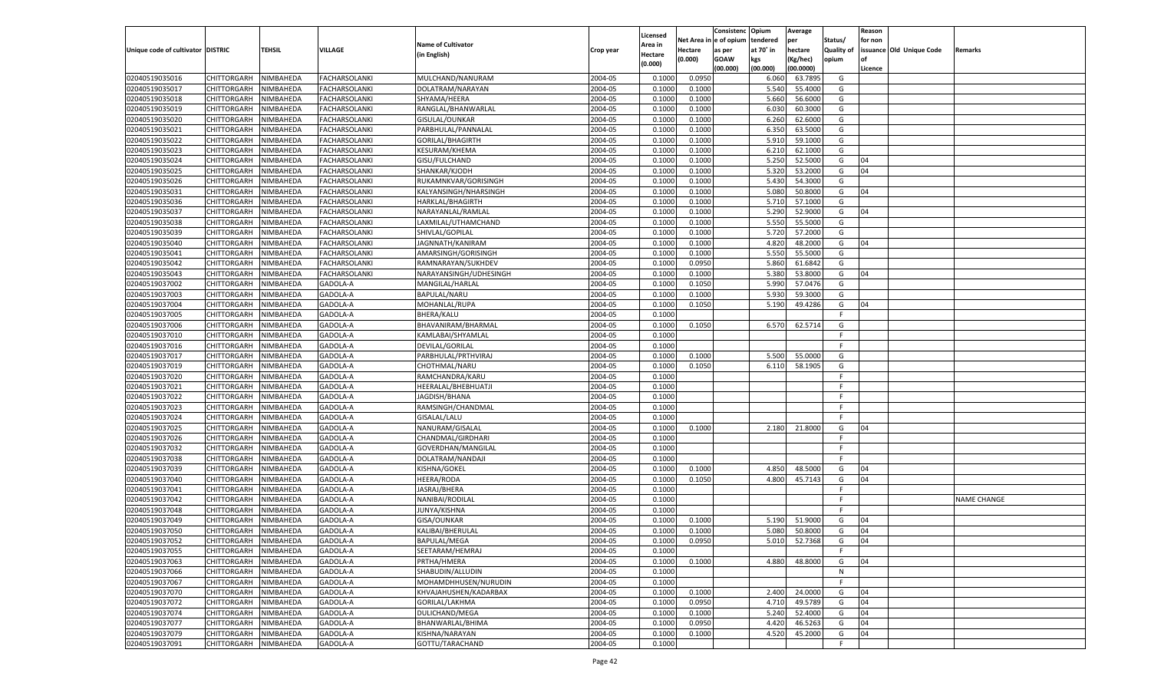|                                   |                       |                        |                      |                           |           |                           |          | Consistenc  | Opium     | Average   |                   | Reason  |                          |                    |
|-----------------------------------|-----------------------|------------------------|----------------------|---------------------------|-----------|---------------------------|----------|-------------|-----------|-----------|-------------------|---------|--------------------------|--------------------|
|                                   |                       |                        |                      | <b>Name of Cultivator</b> |           | Licensed                  | Net Area | le of opium | tendered  | per       | Status/           | for non |                          |                    |
| Unique code of cultivator DISTRIC |                       | <b>TEHSIL</b>          | VILLAGE              | (in English)              | Crop year | <b>Area in</b><br>Hectare | Hectare  | as per      | at 70° in | hectare   | <b>Quality of</b> |         | issuance Old Unique Code | Remarks            |
|                                   |                       |                        |                      |                           |           | (0.000)                   | (0.000)  | <b>GOAW</b> | kgs       | (Kg/hec)  | opium             |         |                          |                    |
|                                   |                       |                        |                      |                           |           |                           |          | (00.000)    | (00.000)  | (00.0000) |                   | Licence |                          |                    |
| 02040519035016                    | CHITTORGARH           | NIMBAHEDA              | <b>FACHARSOLANKI</b> | MULCHAND/NANURAM          | 2004-05   | 0.1000                    | 0.0950   |             | 6.060     | 63.7895   | G                 |         |                          |                    |
| 02040519035017                    | CHITTORGARH           | NIMBAHEDA              | <b>FACHARSOLANKI</b> | DOLATRAM/NARAYAN          | 2004-05   | 0.1000                    | 0.1000   |             | 5.540     | 55.4000   | G                 |         |                          |                    |
| 02040519035018                    | CHITTORGARH           | NIMBAHEDA              | FACHARSOLANKI        | SHYAMA/HEERA              | 2004-05   | 0.1000                    | 0.1000   |             | 5.660     | 56.6000   | G                 |         |                          |                    |
| 02040519035019                    | CHITTORGARH           | NIMBAHEDA              | FACHARSOLANKI        | RANGLAL/BHANWARLAL        | 2004-05   | 0.1000                    | 0.1000   |             | 6.030     | 60.3000   | G                 |         |                          |                    |
| 02040519035020                    | CHITTORGARH           | NIMBAHEDA              | FACHARSOLANKI        | GISULAL/OUNKAR            | 2004-05   | 0.1000                    | 0.1000   |             | 6.260     | 62.6000   | G                 |         |                          |                    |
| 02040519035021                    | CHITTORGARH           | NIMBAHEDA              | FACHARSOLANKI        | PARBHULAL/PANNALAL        | 2004-05   | 0.1000                    | 0.1000   |             | 6.350     | 63.5000   | G                 |         |                          |                    |
| 02040519035022                    | CHITTORGARH           | NIMBAHEDA              | <b>FACHARSOLANKI</b> | GORILAL/BHAGIRTH          | 2004-05   | 0.1000                    | 0.1000   |             | 5.910     | 59.1000   | G                 |         |                          |                    |
| 02040519035023                    | CHITTORGARH           | NIMBAHEDA              | FACHARSOLANKI        | KESURAM/KHEMA             | 2004-05   | 0.1000                    | 0.1000   |             | 6.210     | 62.1000   | G                 |         |                          |                    |
| 02040519035024                    | CHITTORGARH           | NIMBAHEDA              | FACHARSOLANKI        | GISU/FULCHAND             | 2004-05   | 0.1000                    | 0.1000   |             | 5.25      | 52.5000   | G                 | 04      |                          |                    |
| 02040519035025                    | CHITTORGARH           | NIMBAHEDA              | FACHARSOLANKI        | SHANKAR/KJODH             | 2004-05   | 0.1000                    | 0.1000   |             | 5.320     | 53.2000   | G                 | 04      |                          |                    |
| 02040519035026                    | CHITTORGARH           | NIMBAHEDA              | FACHARSOLANKI        | RUKAMNKVAR/GORISINGH      | 2004-05   | 0.1000                    | 0.1000   |             | 5.430     | 54.3000   | G                 |         |                          |                    |
| 02040519035031                    | CHITTORGARH           | NIMBAHEDA              | FACHARSOLANKI        | KALYANSINGH/NHARSINGH     | 2004-05   | 0.1000                    | 0.1000   |             | 5.080     | 50.8000   | G                 | 04      |                          |                    |
| 02040519035036                    | CHITTORGARH           | NIMBAHEDA              | FACHARSOLANKI        | HARKLAL/BHAGIRTH          | 2004-05   | 0.1000                    | 0.1000   |             | 5.710     | 57.1000   | G                 |         |                          |                    |
| 02040519035037                    | CHITTORGARH           | NIMBAHEDA              | FACHARSOLANKI        | NARAYANLAL/RAMLAL         | 2004-05   | 0.1000                    | 0.1000   |             | 5.290     | 52.9000   | G                 | 04      |                          |                    |
| 02040519035038                    | CHITTORGARH           | NIMBAHEDA              | FACHARSOLANKI        | LAXMILAL/UTHAMCHAND       | 2004-05   | 0.1000                    | 0.1000   |             | 5.550     | 55.5000   | G                 |         |                          |                    |
| 02040519035039                    | CHITTORGARH           | NIMBAHEDA              | FACHARSOLANKI        | SHIVLAL/GOPILAL           | 2004-05   | 0.1000                    | 0.1000   |             | 5.720     | 57.2000   | G                 |         |                          |                    |
| 02040519035040                    | CHITTORGARH           | NIMBAHEDA              | FACHARSOLANKI        | JAGNNATH/KANIRAM          | 2004-05   | 0.1000                    | 0.1000   |             | 4.820     | 48.2000   | G                 | 04      |                          |                    |
| 02040519035041                    | CHITTORGARH           | NIMBAHEDA              | <b>FACHARSOLANKI</b> | AMARSINGH/GORISINGH       | 2004-05   | 0.1000                    | 0.1000   |             | 5.550     | 55.5000   | G                 |         |                          |                    |
| 02040519035042                    | CHITTORGARH           | NIMBAHEDA              | FACHARSOLANKI        | RAMNARAYAN/SUKHDEV        | 2004-05   | 0.1000                    | 0.0950   |             | 5.860     | 61.6842   | G                 |         |                          |                    |
| 02040519035043                    | CHITTORGARH           | NIMBAHEDA              | FACHARSOLANKI        | NARAYANSINGH/UDHESINGH    | 2004-05   | 0.1000                    | 0.1000   |             | 5.380     | 53.8000   | G                 | 04      |                          |                    |
| 02040519037002                    | CHITTORGARH           | NIMBAHEDA              | GADOLA-A             | MANGILAL/HARLAL           | 2004-05   | 0.1000                    | 0.1050   |             | 5.990     | 57.0476   | G                 |         |                          |                    |
| 02040519037003                    | CHITTORGARH           | NIMBAHEDA              | GADOLA-A             | BAPULAL/NARU              | 2004-05   | 0.1000                    | 0.1000   |             | 5.930     | 59.3000   | G                 |         |                          |                    |
| 02040519037004                    | CHITTORGARH           | NIMBAHEDA              | GADOLA-A             | MOHANLAL/RUPA             | 2004-05   | 0.1000                    | 0.1050   |             | 5.190     | 49.4286   | G                 | 04      |                          |                    |
| 02040519037005                    | CHITTORGARH           | NIMBAHEDA              | GADOLA-A             | <b>BHERA/KALU</b>         | 2004-05   | 0.1000                    |          |             |           |           | F.                |         |                          |                    |
| 02040519037006                    | CHITTORGARH           | NIMBAHEDA              | GADOLA-A             | BHAVANIRAM/BHARMAL        | 2004-05   | 0.1000                    | 0.1050   |             | 6.570     | 62.5714   | G                 |         |                          |                    |
| 02040519037010                    | CHITTORGARH           | NIMBAHEDA              | GADOLA-A             | KAMLABAI/SHYAMLAL         | 2004-05   | 0.1000                    |          |             |           |           | F.                |         |                          |                    |
| 02040519037016                    | CHITTORGARH           | NIMBAHEDA              | GADOLA-A             | DEVILAL/GORILAL           | 2004-05   | 0.1000                    |          |             |           |           | F.                |         |                          |                    |
| 02040519037017                    | CHITTORGARH           | NIMBAHEDA              | GADOLA-A             | PARBHULAL/PRTHVIRAJ       | 2004-05   | 0.1000                    | 0.1000   |             | 5.500     | 55.0000   | G                 |         |                          |                    |
| 02040519037019                    | CHITTORGARH           | NIMBAHEDA              | GADOLA-A             | CHOTHMAL/NARU             | 2004-05   | 0.1000                    | 0.1050   |             | 6.110     | 58.1905   | G                 |         |                          |                    |
| 02040519037020                    | CHITTORGARH           | NIMBAHEDA              | GADOLA-A             | RAMCHANDRA/KARU           | 2004-05   | 0.1000                    |          |             |           |           | F.                |         |                          |                    |
| 02040519037021                    | CHITTORGARH           | NIMBAHEDA              | GADOLA-A             | HEERALAL/BHEBHUATJI       | 2004-05   | 0.1000                    |          |             |           |           | F                 |         |                          |                    |
| 02040519037022                    | CHITTORGARH           | NIMBAHEDA              | GADOLA-A             | JAGDISH/BHANA             | 2004-05   | 0.1000                    |          |             |           |           | F                 |         |                          |                    |
| 02040519037023                    | CHITTORGARH           | NIMBAHEDA              | GADOLA-A             | RAMSINGH/CHANDMAL         | 2004-05   | 0.1000                    |          |             |           |           | F                 |         |                          |                    |
| 02040519037024                    | CHITTORGARH           | NIMBAHEDA              | GADOLA-A             | GISALAL/LALU              | 2004-05   | 0.1000                    |          |             |           |           | F.                |         |                          |                    |
| 02040519037025                    | CHITTORGARH           | NIMBAHEDA              | GADOLA-A             | NANURAM/GISALAL           | 2004-05   | 0.1000                    | 0.1000   |             | 2.180     | 21.8000   | G                 | 04      |                          |                    |
| 02040519037026                    | CHITTORGARH           | NIMBAHEDA              | GADOLA-A             | CHANDMAL/GIRDHARI         | 2004-05   | 0.1000                    |          |             |           |           | F                 |         |                          |                    |
| 02040519037032                    | CHITTORGARH           | NIMBAHEDA              | GADOLA-A             | GOVERDHAN/MANGILAI        | 2004-05   | 0.1000                    |          |             |           |           | F                 |         |                          |                    |
| 02040519037038                    | CHITTORGARH           | NIMBAHEDA              | GADOLA-A             | DOLATRAM/NANDAJI          | 2004-05   | 0.1000                    |          |             |           |           | F.                |         |                          |                    |
| 02040519037039                    | CHITTORGARH           | NIMBAHEDA              | GADOLA-A             | KISHNA/GOKEL              | 2004-05   | 0.1000                    | 0.1000   |             | 4.850     | 48.5000   | G                 | 04      |                          |                    |
| 02040519037040                    | CHITTORGARH           | NIMBAHEDA              | GADOLA-A             | <b>HEERA/RODA</b>         | 2004-05   | 0.1000                    | 0.1050   |             | 4.800     | 45.7143   | G                 | 04      |                          |                    |
| 02040519037041                    | CHITTORGARH           | NIMBAHEDA              | GADOLA-A             | JASRAJ/BHERA              | 2004-05   | 0.1000                    |          |             |           |           | F.                |         |                          |                    |
| 02040519037042                    |                       |                        |                      |                           | 2004-05   | 0.1000                    |          |             |           |           | F.                |         |                          |                    |
|                                   | CHITTORGARH           | NIMBAHEDA<br>NIMBAHEDA | GADOLA-A<br>GADOLA-A | NANIBAI/RODILAL           |           |                           |          |             |           |           | F.                |         |                          | <b>NAME CHANGE</b> |
| 02040519037048                    | CHITTORGARH           |                        |                      | JUNYA/KISHNA              | 2004-05   | 0.1000                    |          |             |           |           |                   |         |                          |                    |
| 02040519037049                    | CHITTORGARH           | NIMBAHEDA              | GADOLA-A             | GISA/OUNKAR               | 2004-05   | 0.1000                    | 0.1000   |             | 5.190     | 51.9000   | G                 | 04      |                          |                    |
| 02040519037050                    | CHITTORGARH           | NIMBAHEDA              | GADOLA-A             | KALIBAI/BHERULAL          | 2004-05   | 0.1000                    | 0.1000   |             | 5.080     | 50.8000   | G                 | 04      |                          |                    |
| 02040519037052                    | CHITTORGARH NIMBAHEDA |                        | GADOLA-A             | BAPULAL/MEGA              | 2004-05   | 0.1000                    | 0.0950   |             | 5.010     | 52.7368   | G                 | 04      |                          |                    |
| 02040519037055                    | <b>CHITTORGARH</b>    | NIMBAHEDA              | GADOLA-A             | SEETARAM/HEMRAJ           | 2004-05   | 0.1000                    |          |             |           |           | F.                |         |                          |                    |
| 02040519037063                    | <b>CHITTORGARH</b>    | NIMBAHEDA              | GADOLA-A             | PRTHA/HMERA               | 2004-05   | 0.1000                    | 0.1000   |             | 4.880     | 48.8000   | G                 | 04      |                          |                    |
| 02040519037066                    | <b>CHITTORGARH</b>    | NIMBAHEDA              | GADOLA-A             | SHABUDIN/ALLUDIN          | 2004-05   | 0.1000                    |          |             |           |           | N                 |         |                          |                    |
| 02040519037067                    | <b>CHITTORGARH</b>    | NIMBAHEDA              | GADOLA-A             | MOHAMDHHUSEN/NURUDIN      | 2004-05   | 0.1000                    |          |             |           |           | F.                |         |                          |                    |
| 02040519037070                    | <b>CHITTORGARH</b>    | NIMBAHEDA              | GADOLA-A             | KHVAJAHUSHEN/KADARBAX     | 2004-05   | 0.1000                    | 0.1000   |             | 2.400     | 24.0000   | G                 | 04      |                          |                    |
| 02040519037072                    | <b>CHITTORGARH</b>    | NIMBAHEDA              | GADOLA-A             | GORILAL/LAKHMA            | 2004-05   | 0.1000                    | 0.0950   |             | 4.710     | 49.5789   | G                 | 04      |                          |                    |
| 02040519037074                    | <b>CHITTORGARH</b>    | NIMBAHEDA              | GADOLA-A             | DULICHAND/MEGA            | 2004-05   | 0.1000                    | 0.1000   |             | 5.240     | 52.4000   | G                 | 04      |                          |                    |
| 02040519037077                    | <b>CHITTORGARH</b>    | NIMBAHEDA              | GADOLA-A             | BHANWARLAL/BHIMA          | 2004-05   | 0.1000                    | 0.0950   |             | 4.420     | 46.5263   | G                 | 04      |                          |                    |
| 02040519037079                    | <b>CHITTORGARH</b>    | NIMBAHEDA              | GADOLA-A             | KISHNA/NARAYAN            | 2004-05   | 0.1000                    | 0.1000   |             | 4.520     | 45.2000   | G                 | 04      |                          |                    |
| 02040519037091                    | CHITTORGARH           | NIMBAHEDA              | GADOLA-A             | GOTTU/TARACHAND           | 2004-05   | 0.1000                    |          |             |           |           | F.                |         |                          |                    |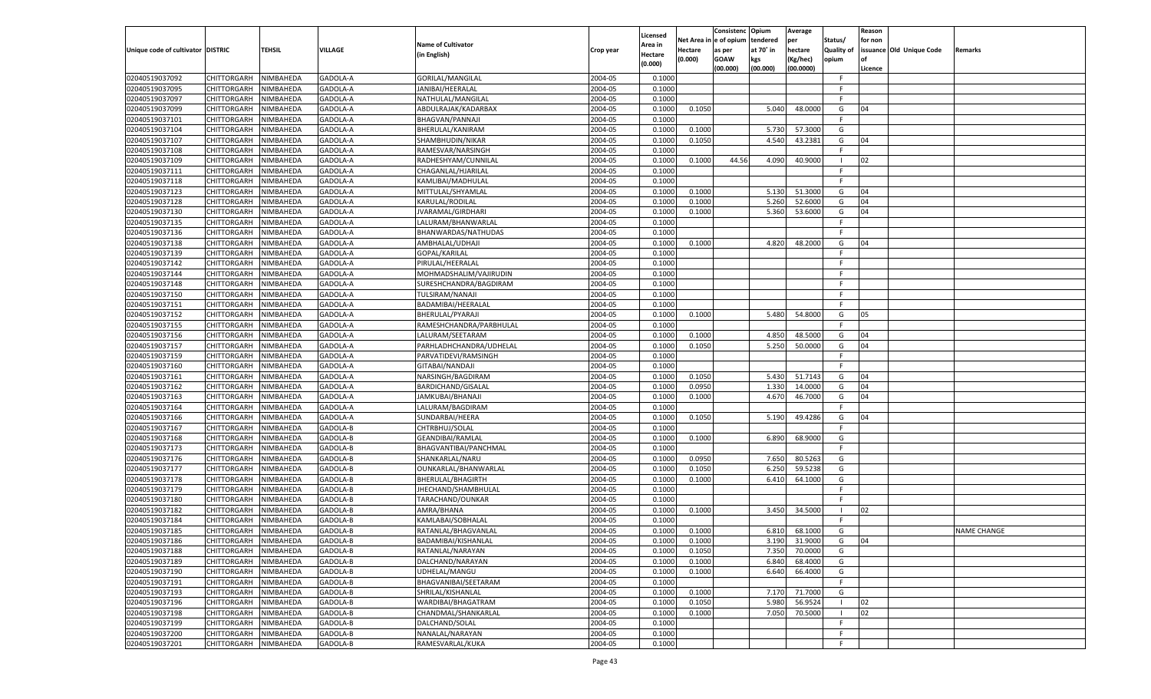|                                   |                       |           |                |                           |           |          |            | Consistenc   | Opium     | Average       |                | Reason  |                          |                    |
|-----------------------------------|-----------------------|-----------|----------------|---------------------------|-----------|----------|------------|--------------|-----------|---------------|----------------|---------|--------------------------|--------------------|
|                                   |                       |           |                |                           |           | Licensed | Net Area i | n e of opium | tendered  | per           | Status/        | for non |                          |                    |
| Unique code of cultivator DISTRIC |                       | TEHSIL    | <b>VILLAGE</b> | <b>Name of Cultivator</b> | Crop year | Area in  | Hectare    | as per       | at 70° in | hectare       | Quality of     |         | issuance Old Unique Code | Remarks            |
|                                   |                       |           |                | (in English)              |           | Hectare  | (0.000)    | <b>GOAW</b>  | kgs       | (Kg/hec)      | opium          |         |                          |                    |
|                                   |                       |           |                |                           |           | (0.000)  |            | (00.000)     | (00.000)  | (00.0000)     |                | Licence |                          |                    |
| 02040519037092                    | CHITTORGARH           | NIMBAHEDA | GADOLA-A       | GORILAL/MANGILAL          | 2004-05   | 0.1000   |            |              |           |               | F.             |         |                          |                    |
| 02040519037095                    | CHITTORGARH           | NIMBAHEDA | GADOLA-A       | JANIBAI/HEERALAL          | 2004-05   | 0.1000   |            |              |           |               | E              |         |                          |                    |
| 02040519037097                    | CHITTORGARH           | NIMBAHEDA | GADOLA-A       | NATHULAL/MANGILAL         | 2004-05   | 0.1000   |            |              |           |               | F.             |         |                          |                    |
| 02040519037099                    | CHITTORGARH           | NIMBAHEDA | GADOLA-A       | ABDULRAJAK/KADARBAX       | 2004-05   | 0.1000   | 0.1050     |              | 5.040     | 48.0000       | G              | 04      |                          |                    |
| 02040519037101                    | CHITTORGARH           | NIMBAHEDA | GADOLA-A       | <b>BHAGVAN/PANNAJI</b>    | 2004-05   | 0.1000   |            |              |           |               | F.             |         |                          |                    |
| 02040519037104                    | CHITTORGARH           | NIMBAHEDA | GADOLA-A       | BHERULAL/KANIRAM          | 2004-05   | 0.1000   | 0.1000     |              | 5.730     | 57.3000       | G              |         |                          |                    |
| 02040519037107                    | CHITTORGARH           | NIMBAHEDA | GADOLA-A       | SHAMBHUDIN/NIKAR          | 2004-05   | 0.1000   | 0.1050     |              | 4.540     | 43.2381       | G              | 04      |                          |                    |
| 02040519037108                    |                       |           |                | RAMESVAR/NARSINGH         | 2004-05   | 0.1000   |            |              |           |               | F.             |         |                          |                    |
|                                   | CHITTORGARH           | NIMBAHEDA | GADOLA-A       |                           |           |          |            |              |           |               | - 1            |         |                          |                    |
| 02040519037109                    | CHITTORGARH           | NIMBAHEDA | GADOLA-A       | RADHESHYAM/CUNNILAL       | 2004-05   | 0.1000   | 0.1000     | 44.56        | 4.090     | 40.9000       |                | 02      |                          |                    |
| 02040519037111                    | CHITTORGARH           | NIMBAHEDA | GADOLA-A       | CHAGANLAL/HJARILAL        | 2004-05   | 0.1000   |            |              |           |               | -F             |         |                          |                    |
| 02040519037118                    | CHITTORGARH           | NIMBAHEDA | GADOLA-A       | KAMLIBAI/MADHULAL         | 2004-05   | 0.1000   |            |              |           |               | F.             |         |                          |                    |
| 02040519037123                    | CHITTORGARH           | NIMBAHEDA | GADOLA-A       | MITTULAL/SHYAMLAL         | 2004-05   | 0.1000   | 0.1000     |              | 5.130     | 51.3000       | G              | 04      |                          |                    |
| 02040519037128                    | CHITTORGARH           | NIMBAHEDA | GADOLA-A       | KARULAL/RODILAL           | 2004-05   | 0.1000   | 0.1000     |              | 5.260     | 52.6000       | G              | 04      |                          |                    |
| 02040519037130                    | CHITTORGARH           | NIMBAHEDA | GADOLA-A       | JVARAMAL/GIRDHARI         | 2004-05   | 0.1000   | 0.1000     |              | 5.360     | 53.6000       | G              | 04      |                          |                    |
| 02040519037135                    | CHITTORGARH           | NIMBAHEDA | GADOLA-A       | LALURAM/BHANWARLAL        | 2004-05   | 0.1000   |            |              |           |               | F.             |         |                          |                    |
| 02040519037136                    | CHITTORGARH           | NIMBAHEDA | GADOLA-A       | BHANWARDAS/NATHUDAS       | 2004-05   | 0.1000   |            |              |           |               | F.             |         |                          |                    |
| 02040519037138                    | CHITTORGARH           | NIMBAHEDA | GADOLA-A       | AMBHALAL/UDHAJI           | 2004-05   | 0.1000   | 0.1000     |              | 4.820     | 48.2000       | G              | 04      |                          |                    |
| 02040519037139                    | CHITTORGARH           | NIMBAHEDA | GADOLA-A       | GOPAL/KARILAL             | 2004-05   | 0.1000   |            |              |           |               | F.             |         |                          |                    |
| 02040519037142                    | CHITTORGARH           | NIMBAHEDA | GADOLA-A       | PIRULAL/HEERALAL          | 2004-05   | 0.1000   |            |              |           |               | F.             |         |                          |                    |
| 02040519037144                    | CHITTORGARH           | NIMBAHEDA | GADOLA-A       | MOHMADSHALIM/VAJIRUDIN    | 2004-05   | 0.1000   |            |              |           |               | F.             |         |                          |                    |
| 02040519037148                    | CHITTORGARH           | NIMBAHEDA | GADOLA-A       | SURESHCHANDRA/BAGDIRAM    | 2004-05   | 0.1000   |            |              |           |               | F.             |         |                          |                    |
| 02040519037150                    | CHITTORGARH           | NIMBAHEDA | GADOLA-A       | TULSIRAM/NANAJI           | 2004-05   | 0.1000   |            |              |           |               | F.             |         |                          |                    |
| 02040519037151                    | CHITTORGARH           | NIMBAHEDA | GADOLA-A       | BADAMIBAI/HEERALAL        | 2004-05   | 0.1000   |            |              |           |               | F.             |         |                          |                    |
| 02040519037152                    | CHITTORGARH           | NIMBAHEDA | GADOLA-A       | BHERULAL/PYARAJI          | 2004-05   | 0.1000   | 0.1000     |              | 5.480     | 54.8000       | G              | 05      |                          |                    |
| 02040519037155                    | CHITTORGARH           | NIMBAHEDA | GADOLA-A       |                           | 2004-05   | 0.1000   |            |              |           |               | F.             |         |                          |                    |
|                                   |                       |           |                | RAMESHCHANDRA/PARBHULAL   |           |          |            |              | 4.850     | 48.5000       |                |         |                          |                    |
| 02040519037156                    | CHITTORGARH           | NIMBAHEDA | GADOLA-A       | LALURAM/SEETARAM          | 2004-05   | 0.1000   | 0.1000     |              |           |               | G              | 04      |                          |                    |
| 02040519037157                    | CHITTORGARH           | NIMBAHEDA | GADOLA-A       | PARHLADHCHANDRA/UDHELAL   | 2004-05   | 0.1000   | 0.1050     |              | 5.250     | 50.0000       | G              | 04      |                          |                    |
| 02040519037159                    | CHITTORGARH           | NIMBAHEDA | GADOLA-A       | PARVATIDEVI/RAMSINGH      | 2004-05   | 0.1000   |            |              |           |               | F.             |         |                          |                    |
| 02040519037160                    | CHITTORGARH           | NIMBAHEDA | GADOLA-A       | GITABAI/NANDAJI           | 2004-05   | 0.1000   |            |              |           |               | F.             |         |                          |                    |
| 02040519037161                    | CHITTORGARH           | NIMBAHEDA | GADOLA-A       | NARSINGH/BAGDIRAM         | 2004-05   | 0.1000   | 0.1050     |              | 5.430     | 51.7143       | G              | 04      |                          |                    |
| 02040519037162                    | CHITTORGARH           | NIMBAHEDA | GADOLA-A       | BARDICHAND/GISALAL        | 2004-05   | 0.1000   | 0.0950     |              | 1.330     | 14.0000       | G              | 04      |                          |                    |
| 02040519037163                    | CHITTORGARH           | NIMBAHEDA | GADOLA-A       | JAMKUBAI/BHANAJI          | 2004-05   | 0.1000   | 0.1000     |              | 4.670     | 46.7000       | G              | 04      |                          |                    |
| 02040519037164                    | CHITTORGARH           | NIMBAHEDA | GADOLA-A       | LALURAM/BAGDIRAM          | 2004-05   | 0.1000   |            |              |           |               | F.             |         |                          |                    |
| 02040519037166                    | CHITTORGARH           | NIMBAHEDA | GADOLA-A       | SUNDARBAI/HEERA           | 2004-05   | 0.1000   | 0.1050     |              | 5.190     | 49.4286       | G              | 04      |                          |                    |
| 02040519037167                    | CHITTORGARH           | NIMBAHEDA | GADOLA-B       | CHTRBHUJ/SOLAL            | 2004-05   | 0.1000   |            |              |           |               | F.             |         |                          |                    |
| 02040519037168                    | CHITTORGARH           | NIMBAHEDA | GADOLA-B       | GEANDIBAI/RAMLAL          | 2004-05   | 0.1000   | 0.1000     |              | 6.890     | 68.9000       | G              |         |                          |                    |
| 02040519037173                    | CHITTORGARH           | NIMBAHEDA | GADOLA-B       | BHAGVANTIBAI/PANCHMAL     | 2004-05   | 0.1000   |            |              |           |               | F.             |         |                          |                    |
| 02040519037176                    | CHITTORGARH           | NIMBAHEDA | GADOLA-B       | SHANKARLAL/NARU           | 2004-05   | 0.1000   | 0.0950     |              | 7.650     | 80.5263       | G              |         |                          |                    |
| 02040519037177                    | CHITTORGARH           | NIMBAHEDA | GADOLA-B       | OUNKARLAL/BHANWARLAL      | 2004-05   | 0.1000   | 0.1050     |              | 6.250     | 59.5238       | G              |         |                          |                    |
| 02040519037178                    | CHITTORGARH           | NIMBAHEDA | GADOLA-B       | BHERULAL/BHAGIRTH         | 2004-05   | 0.1000   | 0.1000     |              | 6.410     | 64.1000       | G              |         |                          |                    |
| 02040519037179                    | CHITTORGARH           | NIMBAHEDA | GADOLA-B       | JHECHAND/SHAMBHULAL       | 2004-05   | 0.1000   |            |              |           |               | F.             |         |                          |                    |
| 02040519037180                    | CHITTORGARH           | NIMBAHEDA | GADOLA-B       | TARACHAND/OUNKAR          | 2004-05   | 0.1000   |            |              |           |               | F              |         |                          |                    |
| 02040519037182                    | CHITTORGARH           | NIMBAHEDA | GADOLA-B       | AMRA/BHANA                | 2004-05   | 0.1000   | 0.1000     |              | 3.450     | 34.5000       | - 1            | 02      |                          |                    |
| 02040519037184                    | CHITTORGARH           | NIMBAHEDA | GADOLA-B       | KAMLABAI/SOBHALAL         | 2004-05   | 0.1000   |            |              |           |               | F              |         |                          |                    |
| 02040519037185                    | CHITTORGARH           | NIMBAHEDA | GADOLA-B       | RATANLAL/BHAGVANLAI       | 2004-05   | 0.1000   | 0.1000     |              | 6.810     | 68.1000       | G              |         |                          | <b>NAME CHANGE</b> |
|                                   |                       |           |                |                           |           |          |            |              |           |               |                |         |                          |                    |
| 02040519037186                    | CHITTORGARH NIMBAHEDA |           | GADOLA-B       | BADAMIBAI/KISHANLAL       | 2004-05   | 0.1000   | 0.1000     |              |           | 3.190 31.9000 | G              | 04      |                          |                    |
| 02040519037188                    | <b>CHITTORGARH</b>    | NIMBAHEDA | GADOLA-B       | RATANLAL/NARAYAN          | 2004-05   | 0.1000   | 0.1050     |              | 7.350     | 70.0000       | G              |         |                          |                    |
| 02040519037189                    | CHITTORGARH           | NIMBAHEDA | GADOLA-B       | DALCHAND/NARAYAN          | 2004-05   | 0.1000   | 0.1000     |              | 6.840     | 68.4000       | G              |         |                          |                    |
| 02040519037190                    | CHITTORGARH           | NIMBAHEDA | GADOLA-B       | UDHELAL/MANGU             | 2004-05   | 0.1000   | 0.1000     |              | 6.640     | 66.4000       | G              |         |                          |                    |
| 02040519037191                    | <b>CHITTORGARH</b>    | NIMBAHEDA | GADOLA-B       | BHAGVANIBAI/SEETARAM      | 2004-05   | 0.1000   |            |              |           |               | F.             |         |                          |                    |
| 02040519037193                    | <b>CHITTORGARH</b>    | NIMBAHEDA | GADOLA-B       | SHRILAL/KISHANLAL         | 2004-05   | 0.1000   | 0.1000     |              | 7.170     | 71.7000       | G              |         |                          |                    |
| 02040519037196                    | <b>CHITTORGARH</b>    | NIMBAHEDA | GADOLA-B       | WARDIBAI/BHAGATRAM        | 2004-05   | 0.1000   | 0.1050     |              | 5.980     | 56.9524       | - 1            | 02      |                          |                    |
| 02040519037198                    | CHITTORGARH           | NIMBAHEDA | GADOLA-B       | CHANDMAL/SHANKARLAL       | 2004-05   | 0.1000   | 0.1000     |              | 7.050     | 70.5000       | $\blacksquare$ | 02      |                          |                    |
| 02040519037199                    | CHITTORGARH           | NIMBAHEDA | GADOLA-B       | DALCHAND/SOLAL            | 2004-05   | 0.1000   |            |              |           |               | F.             |         |                          |                    |
| 02040519037200                    | CHITTORGARH           | NIMBAHEDA | GADOLA-B       | NANALAL/NARAYAN           | 2004-05   | 0.1000   |            |              |           |               | F.             |         |                          |                    |
| 02040519037201                    | <b>CHITTORGARH</b>    | NIMBAHEDA | GADOLA-B       | RAMESVARLAL/KUKA          | 2004-05   | 0.1000   |            |              |           |               | F.             |         |                          |                    |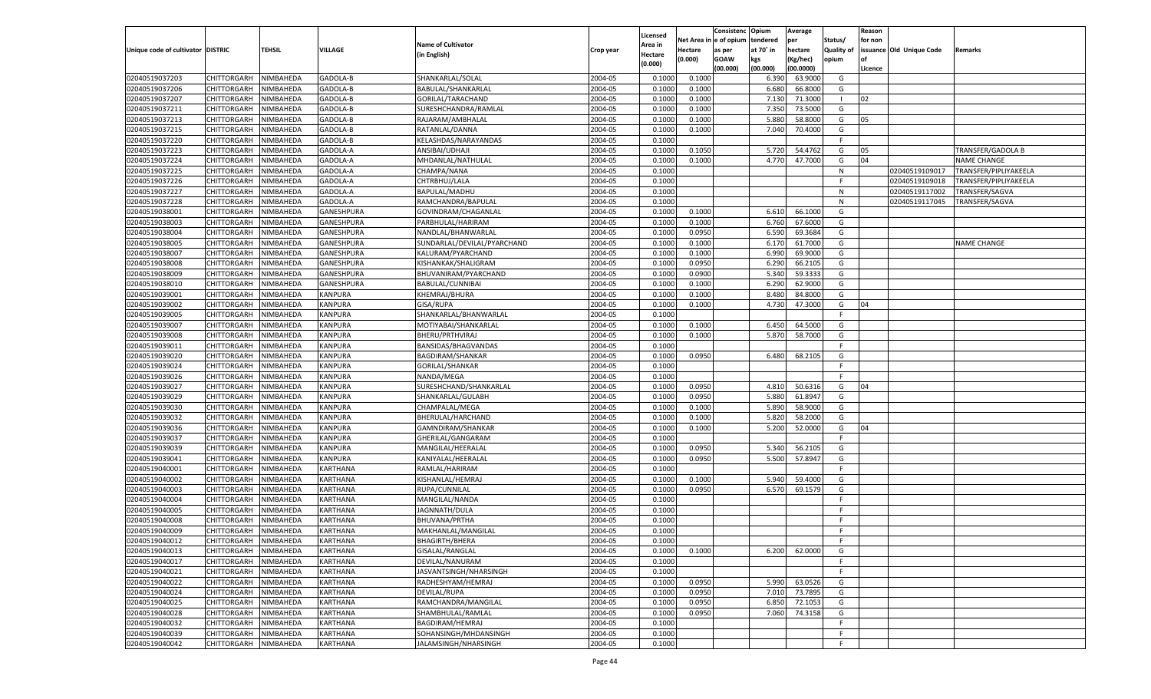|                                   |                       |           |                 |                             |           |                    |             | Consistenc    | Opium     | Average   |            | Reason  |                          |                       |
|-----------------------------------|-----------------------|-----------|-----------------|-----------------------------|-----------|--------------------|-------------|---------------|-----------|-----------|------------|---------|--------------------------|-----------------------|
|                                   |                       |           |                 |                             |           | Licensed           | Net Area iı | n  e of opium | tendered  | per       | Status/    | for non |                          |                       |
| Unique code of cultivator DISTRIC |                       | TEHSIL    | <b>VILLAGE</b>  | <b>Name of Cultivator</b>   | Crop year | Area in            | Hectare     | as per        | at 70° in | hectare   | Quality of |         | issuance Old Unique Code | Remarks               |
|                                   |                       |           |                 | (in English)                |           | Hectare<br>(0.000) | (0.000)     | <b>GOAW</b>   | kgs       | (Kg/hec)  | opium      |         |                          |                       |
|                                   |                       |           |                 |                             |           |                    |             | (00.000)      | (00.000)  | (00.0000) |            | Licence |                          |                       |
| 02040519037203                    | CHITTORGARH           | NIMBAHEDA | GADOLA-B        | SHANKARLAL/SOLAL            | 2004-05   | 0.1000             | 0.1000      |               | 6.390     | 63.9000   | G          |         |                          |                       |
| 02040519037206                    | CHITTORGARH           | NIMBAHEDA | GADOLA-B        | BABULAL/SHANKARLAL          | 2004-05   | 0.100              | 0.1000      |               | 6.680     | 66.8000   | G          |         |                          |                       |
| 02040519037207                    | CHITTORGARH           | NIMBAHEDA | GADOLA-B        | GORILAL/TARACHAND           | 2004-05   | 0.1000             | 0.1000      |               | 7.13(     | 71.3000   | - 1        | 02      |                          |                       |
| 02040519037211                    | CHITTORGARH           | NIMBAHEDA | GADOLA-B        | SURESHCHANDRA/RAMLAL        | 2004-05   | 0.1000             | 0.1000      |               | 7.350     | 73.5000   | G          |         |                          |                       |
| 02040519037213                    | CHITTORGARH           | NIMBAHEDA | GADOLA-B        | RAJARAM/AMBHALAL            | 2004-05   | 0.1000             | 0.1000      |               | 5.880     | 58.8000   | G          | 05      |                          |                       |
| 02040519037215                    | CHITTORGARH           | NIMBAHEDA | GADOLA-B        | RATANLAL/DANNA              | 2004-05   | 0.1000             | 0.1000      |               | 7.040     | 70.4000   | G          |         |                          |                       |
| 02040519037220                    | CHITTORGARH           | NIMBAHEDA | GADOLA-B        | KELASHDAS/NARAYANDAS        | 2004-05   | 0.1000             |             |               |           |           | F.         |         |                          |                       |
| 02040519037223                    | CHITTORGARH           | NIMBAHEDA | GADOLA-A        | ANSIBAI/UDHAJI              | 2004-05   | 0.1000             | 0.1050      |               | 5.720     | 54.4762   | G          | 05      |                          | TRANSFER/GADOLA B     |
| 02040519037224                    | CHITTORGARH           | NIMBAHEDA | GADOLA-A        | MHDANLAL/NATHULAL           | 2004-05   | 0.1000             | 0.1000      |               | 4.770     | 47.7000   | G          | 04      |                          | <b>NAME CHANGE</b>    |
| 02040519037225                    | CHITTORGARH           | NIMBAHEDA | GADOLA-A        | CHAMPA/NANA                 | 2004-05   | 0.1000             |             |               |           |           | N          |         | 02040519109017           | TRANSFER/PIPLIYAKEELA |
| 02040519037226                    | CHITTORGARH           | NIMBAHEDA | GADOLA-A        | CHTRBHUJ/LALA               | 2004-05   | 0.1000             |             |               |           |           | E          |         | 02040519109018           | TRANSFER/PIPLIYAKEELA |
| 02040519037227                    | CHITTORGARH           | NIMBAHEDA | GADOLA-A        | BAPULAL/MADHU               | 2004-05   | 0.1000             |             |               |           |           | N          |         | 02040519117002           | TRANSFER/SAGVA        |
|                                   |                       |           |                 |                             |           |                    |             |               |           |           |            |         |                          |                       |
| 02040519037228                    | CHITTORGARH           | NIMBAHEDA | GADOLA-A        | RAMCHANDRA/BAPULAL          | 2004-05   | 0.1000             |             |               |           |           | N          |         | 02040519117045           | TRANSFER/SAGVA        |
| 02040519038001                    | CHITTORGARH           | NIMBAHEDA | GANESHPURA      | GOVINDRAM/CHAGANLAL         | 2004-05   | 0.1000             | 0.1000      |               | 6.610     | 66.1000   | G          |         |                          |                       |
| 02040519038003                    | CHITTORGARH           | NIMBAHEDA | GANESHPURA      | PARBHULAL/HARIRAM           | 2004-05   | 0.1000             | 0.1000      |               | 6.760     | 67.6000   | G          |         |                          |                       |
| 02040519038004                    | CHITTORGARH           | NIMBAHEDA | GANESHPURA      | NANDLAL/BHANWARLAL          | 2004-05   | 0.1000             | 0.0950      |               | 6.590     | 69.3684   | G          |         |                          |                       |
| 02040519038005                    | CHITTORGARH           | NIMBAHEDA | GANESHPURA      | SUNDARLAL/DEVILAL/PYARCHAND | 2004-05   | 0.1000             | 0.1000      |               | 6.170     | 61.7000   | G          |         |                          | <b>NAME CHANGE</b>    |
| 02040519038007                    | CHITTORGARH           | NIMBAHEDA | GANESHPURA      | KALURAM/PYARCHAND           | 2004-05   | 0.1000             | 0.1000      |               | 6.990     | 69.9000   | G          |         |                          |                       |
| 02040519038008                    | CHITTORGARH           | NIMBAHEDA | GANESHPURA      | KISHANKAK/SHALIGRAM         | 2004-05   | 0.1000             | 0.0950      |               | 6.290     | 66.2105   | G          |         |                          |                       |
| 02040519038009                    | CHITTORGARH           | NIMBAHEDA | GANESHPURA      | BHUVANIRAM/PYARCHAND        | 2004-05   | 0.1000             | 0.0900      |               | 5.340     | 59.3333   | G          |         |                          |                       |
| 02040519038010                    | CHITTORGARH           | NIMBAHEDA | GANESHPURA      | BABULAL/CUNNIBAI            | 2004-05   | 0.1000             | 0.1000      |               | 6.290     | 62.9000   | G          |         |                          |                       |
| 02040519039001                    | CHITTORGARH           | NIMBAHEDA | KANPURA         | KHEMRAJ/BHURA               | 2004-05   | 0.1000             | 0.1000      |               | 8.480     | 84.8000   | G          |         |                          |                       |
| 02040519039002                    | CHITTORGARH           | NIMBAHEDA | <b>KANPURA</b>  | <b>GISA/RUPA</b>            | 2004-05   | 0.1000             | 0.1000      |               | 4.730     | 47.3000   | G          | 04      |                          |                       |
| 02040519039005                    | CHITTORGARH           | NIMBAHEDA | KANPURA         | SHANKARLAL/BHANWARLAL       | 2004-05   | 0.1000             |             |               |           |           | F.         |         |                          |                       |
| 02040519039007                    | CHITTORGARH           | NIMBAHEDA | KANPURA         | MOTIYABAI/SHANKARLAL        | 2004-05   | 0.1000             | 0.1000      |               | 6.450     | 64.5000   | G          |         |                          |                       |
| 02040519039008                    | CHITTORGARH           | NIMBAHEDA | KANPURA         | BHERU/PRTHVIRAJ             | 2004-05   | 0.1000             | 0.1000      |               | 5.870     | 58.7000   | G          |         |                          |                       |
| 02040519039011                    | CHITTORGARH           | NIMBAHEDA | KANPURA         | BANSIDAS/BHAGVANDAS         | 2004-05   | 0.1000             |             |               |           |           | F.         |         |                          |                       |
| 02040519039020                    | CHITTORGARH           | NIMBAHEDA | KANPURA         | BAGDIRAM/SHANKAR            | 2004-05   | 0.1000             | 0.0950      |               | 6.480     | 68.2105   | G          |         |                          |                       |
| 02040519039024                    | CHITTORGARH           | NIMBAHEDA | KANPURA         | <b>GORILAL/SHANKAR</b>      | 2004-05   | 0.1000             |             |               |           |           | F.         |         |                          |                       |
| 02040519039026                    | CHITTORGARH           | NIMBAHEDA | KANPURA         | NANDA/MEGA                  | 2004-05   | 0.1000             |             |               |           |           | E          |         |                          |                       |
| 02040519039027                    | CHITTORGARH           | NIMBAHEDA | <b>KANPURA</b>  | SURESHCHAND/SHANKARLAL      | 2004-05   | 0.1000             | 0.0950      |               | 4.810     | 50.6316   | G          | 04      |                          |                       |
| 02040519039029                    |                       |           | KANPURA         |                             | 2004-05   | 0.1000             | 0.0950      |               | 5.880     | 61.8947   | G          |         |                          |                       |
|                                   | CHITTORGARH           | NIMBAHEDA |                 | SHANKARLAL/GULABH           |           |                    |             |               |           |           |            |         |                          |                       |
| 02040519039030                    | CHITTORGARH           | NIMBAHEDA | <b>KANPURA</b>  | CHAMPALAL/MEGA              | 2004-05   | 0.1000             | 0.1000      |               | 5.890     | 58.9000   | G          |         |                          |                       |
| 02040519039032                    | CHITTORGARH           | NIMBAHEDA | KANPURA         | BHERULAL/HARCHAND           | 2004-05   | 0.1000             | 0.1000      |               | 5.820     | 58.2000   | G          |         |                          |                       |
| 02040519039036                    | CHITTORGARH           | NIMBAHEDA | <b>KANPURA</b>  | GAMNDIRAM/SHANKAR           | 2004-05   | 0.1000             | 0.1000      |               | 5.200     | 52.0000   | G          | 04      |                          |                       |
| 02040519039037                    | CHITTORGARH           | NIMBAHEDA | KANPURA         | GHERILAL/GANGARAM           | 2004-05   | 0.1000             |             |               |           |           | F          |         |                          |                       |
| 02040519039039                    | CHITTORGARH           | NIMBAHEDA | <b>KANPURA</b>  | MANGILAL/HEERALAL           | 2004-05   | 0.1000             | 0.0950      |               | 5.340     | 56.2105   | G          |         |                          |                       |
| 02040519039041                    | CHITTORGARH           | NIMBAHEDA | KANPURA         | KANIYALAL/HEERALAL          | 2004-05   | 0.1000             | 0.0950      |               | 5.500     | 57.8947   | G          |         |                          |                       |
| 02040519040001                    | CHITTORGARH           | NIMBAHEDA | KARTHANA        | RAMLAL/HARIRAM              | 2004-05   | 0.1000             |             |               |           |           | F.         |         |                          |                       |
| 02040519040002                    | CHITTORGARH           | NIMBAHEDA | KARTHANA        | KISHANLAL/HEMRAJ            | 2004-05   | 0.1000             | 0.1000      |               | 5.940     | 59.4000   | G          |         |                          |                       |
| 02040519040003                    | CHITTORGARH           | NIMBAHEDA | KARTHANA        | RUPA/CUNNILAL               | 2004-05   | 0.1000             | 0.0950      |               | 6.570     | 69.1579   | G          |         |                          |                       |
| 02040519040004                    | CHITTORGARH           | NIMBAHEDA | KARTHANA        | MANGILAL/NANDA              | 2004-05   | 0.1000             |             |               |           |           | F.         |         |                          |                       |
| 02040519040005                    | CHITTORGARH           | NIMBAHEDA | KARTHANA        | JAGNNATH/DULA               | 2004-05   | 0.1000             |             |               |           |           | E          |         |                          |                       |
| 02040519040008                    | CHITTORGARH           | NIMBAHEDA | KARTHANA        | BHUVANA/PRTHA               | 2004-05   | 0.1000             |             |               |           |           | F          |         |                          |                       |
| 02040519040009                    | CHITTORGARH           | NIMBAHEDA | KARTHANA        | MAKHANLAL/MANGILAL          | 2004-05   | 0.1000             |             |               |           |           | F.         |         |                          |                       |
| 02040519040012                    | CHITTORGARH NIMBAHEDA |           | <b>KARTHANA</b> | <b>BHAGIRTH/BHERA</b>       | 2004-05   | 0.1000             |             |               |           |           | F          |         |                          |                       |
| 02040519040013                    | <b>CHITTORGARH</b>    | NIMBAHEDA | <b>KARTHANA</b> | GISALAL/RANGLAL             | 2004-05   | 0.1000             | 0.1000      |               | 6.200     | 62.0000   | G          |         |                          |                       |
| 02040519040017                    | CHITTORGARH           | NIMBAHEDA | KARTHANA        | DEVILAL/NANURAM             | 2004-05   | 0.1000             |             |               |           |           | F          |         |                          |                       |
| 02040519040021                    | CHITTORGARH           | NIMBAHEDA | KARTHANA        | JASVANTSINGH/NHARSINGH      | 2004-05   | 0.1000             |             |               |           |           | F.         |         |                          |                       |
| 02040519040022                    | <b>CHITTORGARH</b>    | NIMBAHEDA | KARTHANA        | RADHESHYAM/HEMRAJ           | 2004-05   | 0.1000             | 0.0950      |               | 5.990     | 63.0526   | G          |         |                          |                       |
| 02040519040024                    | <b>CHITTORGARH</b>    | NIMBAHEDA | KARTHANA        | DEVILAL/RUPA                | 2004-05   | 0.1000             | 0.0950      |               | 7.010     | 73.7895   | G          |         |                          |                       |
|                                   |                       |           |                 |                             |           |                    |             |               |           |           |            |         |                          |                       |
| 02040519040025                    | CHITTORGARH           | NIMBAHEDA | KARTHANA        | RAMCHANDRA/MANGILAL         | 2004-05   | 0.1000             | 0.0950      |               | 6.850     | 72.1053   | G          |         |                          |                       |
| 02040519040028                    | CHITTORGARH           | NIMBAHEDA | KARTHANA        | SHAMBHULAL/RAMLAL           | 2004-05   | 0.1000             | 0.0950      |               | 7.060     | 74.3158   | G          |         |                          |                       |
| 02040519040032                    | CHITTORGARH           | NIMBAHEDA | KARTHANA        | BAGDIRAM/HEMRAJ             | 2004-05   | 0.1000             |             |               |           |           | F.         |         |                          |                       |
| 02040519040039                    | <b>CHITTORGARH</b>    | NIMBAHEDA | KARTHANA        | SOHANSINGH/MHDANSINGH       | 2004-05   | 0.1000             |             |               |           |           | F.         |         |                          |                       |
| 02040519040042                    | CHITTORGARH           | NIMBAHEDA | KARTHANA        | JALAMSINGH/NHARSINGH        | 2004-05   | 0.1000             |             |               |           |           | F.         |         |                          |                       |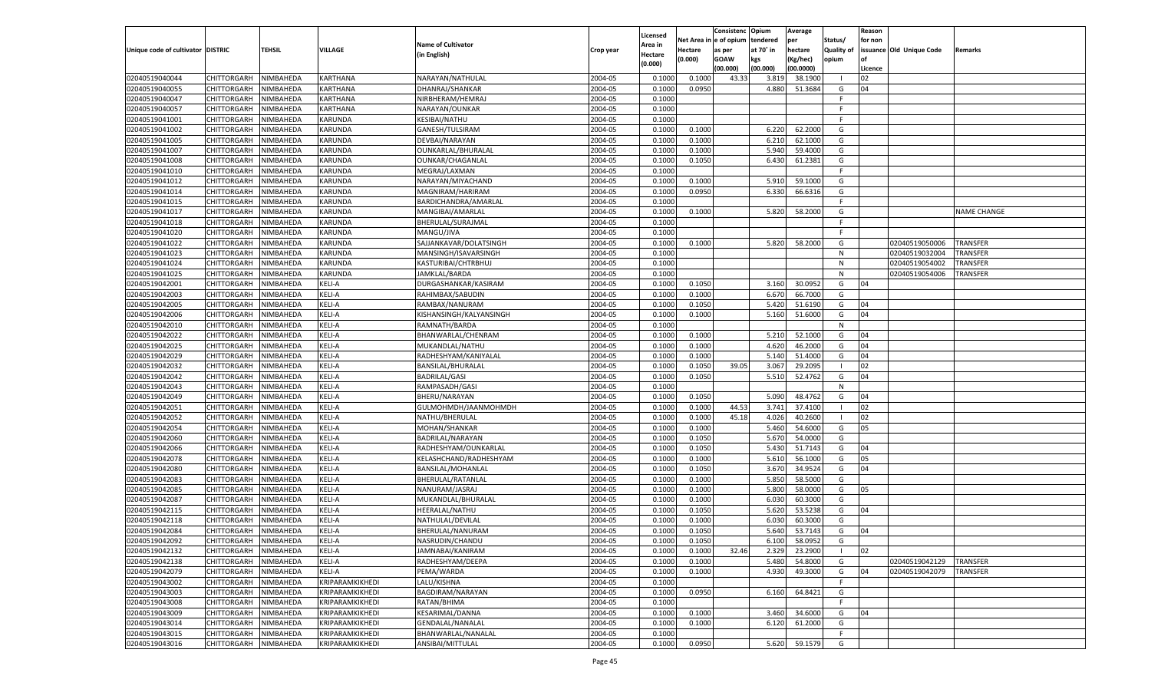|                                   |                       |               |                 |                           |           |                           |          | Consistenc  | Opium     | Average   |                   | Reason  |                          |                    |
|-----------------------------------|-----------------------|---------------|-----------------|---------------------------|-----------|---------------------------|----------|-------------|-----------|-----------|-------------------|---------|--------------------------|--------------------|
|                                   |                       |               |                 | <b>Name of Cultivator</b> |           | Licensed                  | Net Area | e of opium  | tendered  | per       | Status/           | for non |                          |                    |
| Unique code of cultivator DISTRIC |                       | <b>TEHSIL</b> | VILLAGE         | (in English)              | Crop year | <b>Area in</b><br>Hectare | Hectare  | as per      | at 70° in | hectare   | <b>Quality of</b> |         | issuance Old Unique Code | Remarks            |
|                                   |                       |               |                 |                           |           | (0.000)                   | (0.000)  | <b>GOAW</b> | kgs       | (Kg/hec)  | opium             |         |                          |                    |
|                                   |                       |               |                 |                           |           |                           |          | (00.000)    | (00.000)  | (00.0000) |                   | Licence |                          |                    |
| 02040519040044                    | CHITTORGARH           | NIMBAHEDA     | <b>KARTHANA</b> | NARAYAN/NATHULAL          | 2004-05   | 0.1000                    | 0.1000   | 43.33       | 3.819     | 38.1900   | - 1               | 02      |                          |                    |
| 02040519040055                    | CHITTORGARH           | NIMBAHEDA     | KARTHANA        | DHANRAJ/SHANKAR           | 2004-05   | 0.1000                    | 0.0950   |             | 4.880     | 51.3684   | G                 | 04      |                          |                    |
| 02040519040047                    | CHITTORGARH           | NIMBAHEDA     | KARTHANA        | NIRBHERAM/HEMRAJ          | 2004-05   | 0.1000                    |          |             |           |           | F.                |         |                          |                    |
| 02040519040057                    | CHITTORGARH           | NIMBAHEDA     | KARTHANA        | NARAYAN/OUNKAR            | 2004-05   | 0.1000                    |          |             |           |           | F.                |         |                          |                    |
| 02040519041001                    | CHITTORGARH           | NIMBAHEDA     | KARUNDA         | KESIBAI/NATHU             | 2004-05   | 0.1000                    |          |             |           |           | F.                |         |                          |                    |
| 02040519041002                    | CHITTORGARH           | NIMBAHEDA     | KARUNDA         | GANESH/TULSIRAM           | 2004-05   | 0.1000                    | 0.1000   |             | 6.220     | 62.2000   | G                 |         |                          |                    |
| 02040519041005                    | CHITTORGARH           | NIMBAHEDA     | KARUNDA         | DEVBAI/NARAYAN            | 2004-05   | 0.1000                    | 0.1000   |             | 6.210     | 62.1000   | G                 |         |                          |                    |
| 02040519041007                    | CHITTORGARH           | NIMBAHEDA     | KARUNDA         | OUNKARLAL/BHURALAL        | 2004-05   | 0.1000                    | 0.1000   |             | 5.940     | 59.4000   | G                 |         |                          |                    |
| 02040519041008                    | CHITTORGARH           | NIMBAHEDA     | KARUNDA         | OUNKAR/CHAGANLAL          | 2004-05   | 0.1000                    | 0.1050   |             | 6.430     | 61.2381   | G                 |         |                          |                    |
| 02040519041010                    | CHITTORGARH           | NIMBAHEDA     | KARUNDA         | MEGRAJ/LAXMAN             | 2004-05   | 0.1000                    |          |             |           |           | F.                |         |                          |                    |
| 02040519041012                    | CHITTORGARH           | NIMBAHEDA     | KARUNDA         | NARAYAN/MIYACHAND         | 2004-05   | 0.1000                    | 0.1000   |             | 5.910     | 59.1000   | G                 |         |                          |                    |
| 02040519041014                    | CHITTORGARH           | NIMBAHEDA     | KARUNDA         | MAGNIRAM/HARIRAM          | 2004-05   | 0.1000                    | 0.0950   |             | 6.330     | 66.6316   | G                 |         |                          |                    |
| 02040519041015                    | CHITTORGARH           | NIMBAHEDA     | KARUNDA         | BARDICHANDRA/AMARLAL      | 2004-05   | 0.1000                    |          |             |           |           | F.                |         |                          |                    |
| 02040519041017                    | CHITTORGARH           | NIMBAHEDA     | KARUNDA         | MANGIBAI/AMARLAL          | 2004-05   | 0.1000                    | 0.1000   |             | 5.820     | 58.2000   | G                 |         |                          | <b>NAME CHANGE</b> |
| 02040519041018                    | CHITTORGARH           | NIMBAHEDA     | KARUNDA         | BHERULAL/SURAJMAL         | 2004-05   | 0.1000                    |          |             |           |           | F.                |         |                          |                    |
| 02040519041020                    | CHITTORGARH           | NIMBAHEDA     | KARUNDA         | MANGU/JIVA                | 2004-05   | 0.1000                    |          |             |           |           | F.                |         |                          |                    |
| 02040519041022                    | CHITTORGARH           | NIMBAHEDA     | KARUNDA         | SAJJANKAVAR/DOLATSINGH    | 2004-05   | 0.1000                    | 0.1000   |             | 5.820     | 58.2000   | G                 |         | 02040519050006           | <b>TRANSFER</b>    |
| 02040519041023                    | CHITTORGARH           | NIMBAHEDA     | KARUNDA         | MANSINGH/ISAVARSINGH      | 2004-05   | 0.1000                    |          |             |           |           | N                 |         | 02040519032004           | TRANSFER           |
| 02040519041024                    | CHITTORGARH           | NIMBAHEDA     | KARUNDA         | KASTURIBAI/CHTRBHUJ       | 2004-05   | 0.1000                    |          |             |           |           | N                 |         | 02040519054002           | TRANSFER           |
| 02040519041025                    | CHITTORGARH           | NIMBAHEDA     | KARUNDA         | JAMKLAL/BARDA             | 2004-05   | 0.1000                    |          |             |           |           | N                 |         | 02040519054006           | TRANSFER           |
| 02040519042001                    | CHITTORGARH           | NIMBAHEDA     | KELI-A          | DURGASHANKAR/KASIRAM      | 2004-05   | 0.1000                    | 0.1050   |             | 3.160     | 30.0952   | G                 | 04      |                          |                    |
| 02040519042003                    | CHITTORGARH           | NIMBAHEDA     | KELI-A          | RAHIMBAX/SABUDIN          | 2004-05   | 0.1000                    | 0.1000   |             | 6.670     | 66.7000   | G                 |         |                          |                    |
| 02040519042005                    | CHITTORGARH           | NIMBAHEDA     | KELI-A          | RAMBAX/NANURAM            | 2004-05   | 0.1000                    | 0.1050   |             | 5.420     | 51.6190   | G                 | 04      |                          |                    |
| 02040519042006                    | CHITTORGARH           | NIMBAHEDA     | KELI-A          | KISHANSINGH/KALYANSINGH   | 2004-05   | 0.1000                    | 0.1000   |             | 5.160     | 51.6000   | G                 | 04      |                          |                    |
| 02040519042010                    | CHITTORGARH           | NIMBAHEDA     | KELI-A          | RAMNATH/BARDA             | 2004-05   | 0.1000                    |          |             |           |           | N                 |         |                          |                    |
| 02040519042022                    | CHITTORGARH           | NIMBAHEDA     | KELI-A          | BHANWARLAL/CHENRAM        | 2004-05   | 0.1000                    | 0.1000   |             | 5.210     | 52.1000   | G                 | 04      |                          |                    |
| 02040519042025                    | CHITTORGARH           | NIMBAHEDA     | KELI-A          | MUKANDLAL/NATHU           | 2004-05   | 0.1000                    | 0.1000   |             | 4.620     | 46.2000   | G                 | 04      |                          |                    |
| 02040519042029                    | CHITTORGARH           | NIMBAHEDA     | KELI-A          | RADHESHYAM/KANIYALAL      | 2004-05   | 0.1000                    | 0.1000   |             | 5.140     | 51.4000   | G                 | 04      |                          |                    |
| 02040519042032                    | CHITTORGARH           | NIMBAHEDA     | KELI-A          | BANSILAL/BHURALAL         | 2004-05   | 0.1000                    | 0.1050   | 39.05       | 3.067     | 29.2095   | $\blacksquare$    | 02      |                          |                    |
| 02040519042042                    | CHITTORGARH           | NIMBAHEDA     | KELI-A          | <b>BADRILAL/GASI</b>      | 2004-05   | 0.1000                    | 0.1050   |             | 5.510     | 52.4762   | G                 | 04      |                          |                    |
| 02040519042043                    | CHITTORGARH           | NIMBAHEDA     | KELI-A          | RAMPASADH/GASI            | 2004-05   | 0.1000                    |          |             |           |           | N                 |         |                          |                    |
| 02040519042049                    | CHITTORGARH           | NIMBAHEDA     | KELI-A          | BHERU/NARAYAN             | 2004-05   | 0.1000                    | 0.1050   |             | 5.090     | 48.4762   | G                 | 04      |                          |                    |
| 02040519042051                    | CHITTORGARH           | NIMBAHEDA     | KELI-A          | GULMOHMDH/JAANMOHMDH      | 2004-05   | 0.1000                    | 0.1000   | 44.53       | 3.741     | 37.4100   | - 1               | 02      |                          |                    |
| 02040519042052                    | CHITTORGARH           | NIMBAHEDA     | KELI-A          | NATHU/BHERULAL            | 2004-05   | 0.1000                    | 0.1000   | 45.18       | 4.026     | 40.2600   | - 1               | 02      |                          |                    |
| 02040519042054                    | CHITTORGARH           | NIMBAHEDA     | KELI-A          | MOHAN/SHANKAR             | 2004-05   | 0.1000                    | 0.1000   |             | 5.460     | 54.6000   | G                 | 05      |                          |                    |
| 02040519042060                    | CHITTORGARH           | NIMBAHEDA     | KELI-A          | BADRILAL/NARAYAN          | 2004-05   | 0.1000                    | 0.1050   |             | 5.670     | 54.0000   | G                 |         |                          |                    |
| 02040519042066                    |                       | NIMBAHEDA     | KELI-A          |                           | 2004-05   | 0.1000                    | 0.1050   |             | 5.430     | 51.7143   | G                 | 04      |                          |                    |
|                                   | CHITTORGARH           |               |                 | RADHESHYAM/OUNKARLAL      |           |                           |          |             |           |           |                   |         |                          |                    |
| 02040519042078<br>02040519042080  | CHITTORGARH           | NIMBAHEDA     | KELI-A          | KELASHCHAND/RADHESHYAM    | 2004-05   | 0.1000                    | 0.1000   |             | 5.610     | 56.1000   | G                 | 05      |                          |                    |
|                                   | CHITTORGARH           | NIMBAHEDA     | KELI-A          | BANSILAL/MOHANLAL         | 2004-05   | 0.1000                    | 0.1050   |             | 3.670     | 34.9524   | G                 | 04      |                          |                    |
| 02040519042083                    | CHITTORGARH           | NIMBAHEDA     | KELI-A          | BHERULAL/RATANLAL         | 2004-05   | 0.1000                    | 0.1000   |             | 5.85      | 58.5000   | G                 |         |                          |                    |
| 02040519042085                    | CHITTORGARH           | NIMBAHEDA     | KELI-A          | NANURAM/JASRAJ            | 2004-05   | 0.1000                    | 0.1000   |             | 5.800     | 58.0000   | G                 | 05      |                          |                    |
| 02040519042087                    | CHITTORGARH           | NIMBAHEDA     | KELI-A          | MUKANDLAL/BHURALAL        | 2004-05   | 0.1000                    | 0.1000   |             | 6.030     | 60.3000   | G                 |         |                          |                    |
| 02040519042115                    | CHITTORGARH           | NIMBAHEDA     | KELI-A          | HEERALAL/NATHU            | 2004-05   | 0.1000                    | 0.1050   |             | 5.620     | 53.5238   | G                 | 04      |                          |                    |
| 02040519042118                    | CHITTORGARH           | NIMBAHEDA     | KELI-A          | NATHULAL/DEVILAL          | 2004-05   | 0.1000                    | 0.1000   |             | 6.03      | 60.3000   | G                 |         |                          |                    |
| 02040519042084                    | CHITTORGARH           | NIMBAHEDA     | KELI-A          | BHERULAL/NANURAM          | 2004-05   | 0.1000                    | 0.1050   |             | 5.640     | 53.7143   | G                 | 04      |                          |                    |
| 02040519042092                    | CHITTORGARH NIMBAHEDA |               | <b>KELI-A</b>   | NASRUDIN/CHANDU           | 2004-05   | 0.1000                    | 0.1050   |             | 6.100     | 58.0952   | G                 |         |                          |                    |
| 02040519042132                    | <b>CHITTORGARH</b>    | NIMBAHEDA     | KELI-A          | JAMNABAI/KANIRAM          | 2004-05   | 0.1000                    | 0.1000   | 32.46       | 2.329     | 23.2900   | $\blacksquare$    | 02      |                          |                    |
| 02040519042138                    | CHITTORGARH           | NIMBAHEDA     | KELI-A          | RADHESHYAM/DEEPA          | 2004-05   | 0.1000                    | 0.1000   |             | 5.480     | 54.8000   | G                 |         | 02040519042129           | <b>TRANSFER</b>    |
| 02040519042079                    | <b>CHITTORGARH</b>    | NIMBAHEDA     | KELI-A          | PEMA/WARDA                | 2004-05   | 0.1000                    | 0.1000   |             | 4.930     | 49.3000   | G                 | 04      | 02040519042079           | <b>TRANSFER</b>    |
| 02040519043002                    | <b>CHITTORGARH</b>    | NIMBAHEDA     | KRIPARAMKIKHEDI | LALU/KISHNA               | 2004-05   | 0.1000                    |          |             |           |           | F.                |         |                          |                    |
| 02040519043003                    | <b>CHITTORGARH</b>    | NIMBAHEDA     | KRIPARAMKIKHEDI | BAGDIRAM/NARAYAN          | 2004-05   | 0.1000                    | 0.0950   |             | 6.160     | 64.8421   | G                 |         |                          |                    |
| 02040519043008                    | <b>CHITTORGARH</b>    | NIMBAHEDA     | KRIPARAMKIKHEDI | RATAN/BHIMA               | 2004-05   | 0.1000                    |          |             |           |           | F.                |         |                          |                    |
| 02040519043009                    | <b>CHITTORGARH</b>    | NIMBAHEDA     | KRIPARAMKIKHEDI | <b>KESARIMAL/DANNA</b>    | 2004-05   | 0.1000                    | 0.1000   |             | 3.460     | 34.6000   | G                 | 04      |                          |                    |
| 02040519043014                    | <b>CHITTORGARH</b>    | NIMBAHEDA     | KRIPARAMKIKHEDI | <b>GENDALAL/NANALAL</b>   | 2004-05   | 0.1000                    | 0.1000   |             | 6.120     | 61.2000   | G                 |         |                          |                    |
| 02040519043015                    | <b>CHITTORGARH</b>    | NIMBAHEDA     | KRIPARAMKIKHEDI | BHANWARLAL/NANALAL        | 2004-05   | 0.1000                    |          |             |           |           | F                 |         |                          |                    |
| 02040519043016                    | CHITTORGARH           | NIMBAHEDA     | KRIPARAMKIKHEDI | ANSIBAI/MITTULAL          | 2004-05   | 0.1000                    | 0.0950   |             | 5.620     | 59.1579   | G                 |         |                          |                    |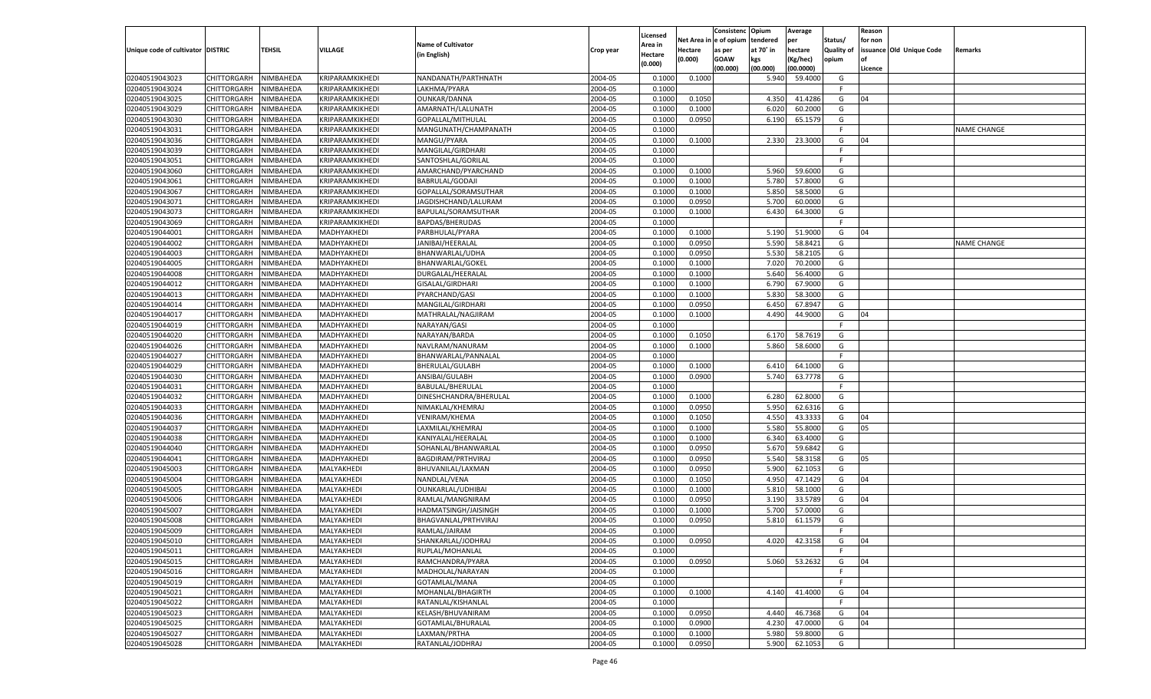|                                   |                            |           |                            |                           |                    |                    |            | Consistenc    | Opium     | Average       |            | Reason  |                          |                    |
|-----------------------------------|----------------------------|-----------|----------------------------|---------------------------|--------------------|--------------------|------------|---------------|-----------|---------------|------------|---------|--------------------------|--------------------|
|                                   |                            |           |                            | <b>Name of Cultivator</b> |                    | Licensed           | Net Area i | n  e of opium | tendered  | per           | Status/    | for non |                          |                    |
| Unique code of cultivator DISTRIC |                            | TEHSIL    | <b>VILLAGE</b>             |                           | Crop year          | Area in            | Hectare    | as per        | at 70° in | hectare       | Quality of |         | issuance Old Unique Code | Remarks            |
|                                   |                            |           |                            | (in English)              |                    | Hectare<br>(0.000) | (0.000)    | <b>GOAW</b>   | kgs       | (Kg/hec)      | opium      |         |                          |                    |
|                                   |                            |           |                            |                           |                    |                    |            | (00.000)      | (00.000)  | (00.0000)     |            | Licence |                          |                    |
| 02040519043023                    | CHITTORGARH                | NIMBAHEDA | KRIPARAMKIKHEDI            | NANDANATH/PARTHNATH       | 2004-05            | 0.1000             | 0.1000     |               | 5.940     | 59.4000       | G          |         |                          |                    |
| 02040519043024                    | CHITTORGARH                | NIMBAHEDA | KRIPARAMKIKHEDI            | LAKHMA/PYARA              | 2004-05            | 0.1000             |            |               |           |               | E          |         |                          |                    |
| 02040519043025                    | CHITTORGARH                | NIMBAHEDA | KRIPARAMKIKHEDI            | OUNKAR/DANNA              | 2004-05            | 0.1000             | 0.1050     |               | 4.350     | 41.4286       | G          | 04      |                          |                    |
| 02040519043029                    | CHITTORGARH                | NIMBAHEDA | KRIPARAMKIKHEDI            | AMARNATH/LALUNATH         | 2004-05            | 0.1000             | 0.1000     |               | 6.020     | 60.2000       | G          |         |                          |                    |
| 02040519043030                    | CHITTORGARH                | NIMBAHEDA | KRIPARAMKIKHEDI            | GOPALLAL/MITHULAL         | 2004-05            | 0.1000             | 0.0950     |               | 6.190     | 65.1579       | G          |         |                          |                    |
| 02040519043031                    | CHITTORGARH                | NIMBAHEDA | KRIPARAMKIKHEDI            | MANGUNATH/CHAMPANATH      | 2004-05            | 0.1000             |            |               |           |               | F.         |         |                          | NAME CHANGE        |
| 02040519043036                    | CHITTORGARH                | NIMBAHEDA | KRIPARAMKIKHEDI            | MANGU/PYARA               | 2004-05            | 0.1000             | 0.1000     |               | 2.330     | 23.3000       | G          | 04      |                          |                    |
| 02040519043039                    | CHITTORGARH                | NIMBAHEDA | KRIPARAMKIKHEDI            | MANGILAL/GIRDHARI         | 2004-05            | 0.1000             |            |               |           |               | E          |         |                          |                    |
| 02040519043051                    | CHITTORGARH                | NIMBAHEDA | KRIPARAMKIKHEDI            | SANTOSHLAL/GORILAL        | 2004-05            | 0.1000             |            |               |           |               | F.         |         |                          |                    |
| 02040519043060                    | CHITTORGARH                | NIMBAHEDA | KRIPARAMKIKHEDI            | AMARCHAND/PYARCHAND       | 2004-05            | 0.1000             | 0.1000     |               | 5.960     | 59.6000       | G          |         |                          |                    |
| 02040519043061                    | CHITTORGARH                | NIMBAHEDA | KRIPARAMKIKHEDI            | BABRULAL/GODAJI           | 2004-05            | 0.1000             | 0.1000     |               | 5.780     | 57.8000       | G          |         |                          |                    |
| 02040519043067                    | CHITTORGARH                | NIMBAHEDA | KRIPARAMKIKHEDI            | GOPALLAL/SORAMSUTHAR      | 2004-05            | 0.1000             | 0.1000     |               | 5.850     | 58.5000       | G          |         |                          |                    |
| 02040519043071                    | CHITTORGARH                | NIMBAHEDA | KRIPARAMKIKHEDI            | JAGDISHCHAND/LALURAM      | 2004-05            | 0.1000             | 0.0950     |               | 5.700     | 60.0000       | G          |         |                          |                    |
| 02040519043073                    | CHITTORGARH                | NIMBAHEDA | KRIPARAMKIKHEDI            | BAPULAL/SORAMSUTHAR       | 2004-05            | 0.1000             | 0.1000     |               | 6.430     | 64.3000       | G          |         |                          |                    |
| 02040519043069                    | CHITTORGARH                | NIMBAHEDA | KRIPARAMKIKHEDI            | BAPDAS/BHERUDAS           | 2004-05            | 0.1000             |            |               |           |               | F.         |         |                          |                    |
| 02040519044001                    | CHITTORGARH                | NIMBAHEDA | MADHYAKHEDI                | PARBHULAL/PYARA           | 2004-05            | 0.1000             | 0.1000     |               | 5.190     | 51.9000       | G          | 04      |                          |                    |
| 02040519044002                    | CHITTORGARH                | NIMBAHEDA | MADHYAKHEDI                | JANIBAI/HEERALAL          | 2004-05            | 0.1000             | 0.0950     |               | 5.590     | 58.8421       | G          |         |                          | <b>NAME CHANGE</b> |
| 02040519044003                    | CHITTORGARH                | NIMBAHEDA | MADHYAKHEDI                | BHANWARLAL/UDHA           | 2004-05            | 0.1000             | 0.0950     |               | 5.530     | 58.2105       | G          |         |                          |                    |
| 02040519044005                    | CHITTORGARH                | NIMBAHEDA | MADHYAKHEDI                | BHANWARLAL/GOKEL          | 2004-05            | 0.1000             | 0.1000     |               | 7.020     | 70.2000       | G          |         |                          |                    |
| 02040519044008                    | CHITTORGARH                | NIMBAHEDA | MADHYAKHEDI                | DURGALAL/HEERALAI         | 2004-05            | 0.1000             | 0.1000     |               | 5.640     | 56.4000       | G          |         |                          |                    |
| 02040519044012                    | CHITTORGARH                | NIMBAHEDA | MADHYAKHEDI                | GISALAL/GIRDHARI          | 2004-05            | 0.1000             | 0.1000     |               | 6.790     | 67.9000       | G          |         |                          |                    |
| 02040519044013                    | CHITTORGARH                | NIMBAHEDA | MADHYAKHEDI                | PYARCHAND/GASI            | 2004-05            | 0.1000             | 0.1000     |               | 5.830     | 58.3000       | G          |         |                          |                    |
| 02040519044014                    | CHITTORGARH                | NIMBAHEDA | MADHYAKHEDI                | MANGILAL/GIRDHARI         | 2004-05            | 0.1000             | 0.0950     |               | 6.450     | 67.8947       | G          |         |                          |                    |
| 02040519044017                    | CHITTORGARH                | NIMBAHEDA | MADHYAKHEDI                | MATHRALAL/NAGJIRAM        | 2004-05            | 0.1000             | 0.1000     |               | 4.490     | 44.9000       | G          | 04      |                          |                    |
| 02040519044019                    | CHITTORGARH                | NIMBAHEDA | MADHYAKHEDI                | NARAYAN/GASI              | 2004-05            | 0.1000             |            |               |           |               | F.         |         |                          |                    |
| 02040519044020                    |                            |           |                            | NARAYAN/BARDA             | 2004-05            | 0.1000             | 0.1050     |               | 6.170     | 58.7619       | G          |         |                          |                    |
| 02040519044026                    | CHITTORGARH<br>CHITTORGARH | NIMBAHEDA | MADHYAKHEDI<br>MADHYAKHEDI |                           | 2004-05            | 0.1000             | 0.1000     |               | 5.860     | 58.6000       | G          |         |                          |                    |
|                                   | CHITTORGARH                | NIMBAHEDA | MADHYAKHEDI                | NAVLRAM/NANURAM           |                    |                    |            |               |           |               | F.         |         |                          |                    |
| 02040519044027                    | CHITTORGARH                | NIMBAHEDA |                            | BHANWARLAL/PANNALAL       | 2004-05<br>2004-05 | 0.1000             | 0.1000     |               | 6.410     | 64.1000       | G          |         |                          |                    |
| 02040519044029                    |                            | NIMBAHEDA | MADHYAKHEDI                | BHERULAL/GULABH           |                    | 0.1000             |            |               |           |               |            |         |                          |                    |
| 02040519044030                    | CHITTORGARH                | NIMBAHEDA | MADHYAKHEDI                | ANSIBAI/GULABH            | 2004-05            | 0.1000             | 0.0900     |               | 5.740     | 63.7778       | G          |         |                          |                    |
| 02040519044031                    | CHITTORGARH                | NIMBAHEDA | MADHYAKHEDI                | BABULAL/BHERULAL          | 2004-05            | 0.1000             |            |               |           |               | F.         |         |                          |                    |
| 02040519044032                    | CHITTORGARH                | NIMBAHEDA | MADHYAKHEDI                | DINESHCHANDRA/BHERULAL    | 2004-05            | 0.1000             | 0.1000     |               | 6.280     | 62.8000       | G          |         |                          |                    |
| 02040519044033                    | CHITTORGARH                | NIMBAHEDA | MADHYAKHEDI                | NIMAKLAL/KHEMRAJ          | 2004-05            | 0.1000             | 0.0950     |               | 5.950     | 62.6316       | G          |         |                          |                    |
| 02040519044036                    | CHITTORGARH                | NIMBAHEDA | MADHYAKHEDI                | <b>VENIRAM/KHEMA</b>      | 2004-05            | 0.1000             | 0.1050     |               | 4.550     | 43.3333       | G          | 04      |                          |                    |
| 02040519044037                    | CHITTORGARH                | NIMBAHEDA | MADHYAKHEDI                | LAXMILAL/KHEMRAJ          | 2004-05            | 0.1000             | 0.1000     |               | 5.580     | 55.8000       | G          | 05      |                          |                    |
| 02040519044038                    | CHITTORGARH                | NIMBAHEDA | MADHYAKHEDI                | KANIYALAL/HEERALAL        | 2004-05            | 0.1000             | 0.1000     |               | 6.340     | 63.4000       | G          |         |                          |                    |
| 02040519044040                    | CHITTORGARH                | NIMBAHEDA | MADHYAKHEDI                | SOHANLAL/BHANWARLAI       | 2004-05            | 0.1000             | 0.0950     |               | 5.670     | 59.6842       | G          |         |                          |                    |
| 02040519044041                    | CHITTORGARH                | NIMBAHEDA | MADHYAKHEDI                | BAGDIRAM/PRTHVIRAJ        | 2004-05            | 0.1000             | 0.0950     |               | 5.540     | 58.3158       | G          | 05      |                          |                    |
| 02040519045003                    | CHITTORGARH                | NIMBAHEDA | MALYAKHEDI                 | BHUVANILAL/LAXMAN         | 2004-05            | 0.1000             | 0.0950     |               | 5.900     | 62.105        | G          |         |                          |                    |
| 02040519045004                    | CHITTORGARH                | NIMBAHEDA | MALYAKHEDI                 | NANDLAL/VENA              | 2004-05            | 0.1000             | 0.1050     |               | 4.950     | 47.1429       | G          | 04      |                          |                    |
| 02040519045005                    | CHITTORGARH                | NIMBAHEDA | MALYAKHEDI                 | OUNKARLAL/UDHIBAI         | 2004-05            | 0.1000             | 0.1000     |               | 5.810     | 58.1000       | G          |         |                          |                    |
| 02040519045006                    | CHITTORGARH                | NIMBAHEDA | MALYAKHEDI                 | RAMLAL/MANGNIRAM          | 2004-05            | 0.1000             | 0.0950     |               | 3.190     | 33.5789       | G          | 04      |                          |                    |
| 02040519045007                    | CHITTORGARH                | NIMBAHEDA | MALYAKHEDI                 | HADMATSINGH/JAISINGH      | 2004-05            | 0.1000             | 0.1000     |               | 5.700     | 57.0000       | G          |         |                          |                    |
| 02040519045008                    | CHITTORGARH                | NIMBAHEDA | MALYAKHEDI                 | BHAGVANLAL/PRTHVIRAJ      | 2004-05            | 0.1000             | 0.0950     |               | 5.810     | 61.1579       | G          |         |                          |                    |
| 02040519045009                    | CHITTORGARH                | NIMBAHEDA | MALYAKHEDI                 | RAMLAL/JAIRAM             | 2004-05            | 0.1000             |            |               |           |               | F.         |         |                          |                    |
| 02040519045010                    | CHITTORGARH NIMBAHEDA      |           | MALYAKHEDI                 | SHANKARLAL/JODHRAJ        | 2004-05            | 0.1000             | 0.0950     |               |           | 4.020 42.3158 | G          | 04      |                          |                    |
| 02040519045011                    | <b>CHITTORGARH</b>         | NIMBAHEDA | MALYAKHEDI                 | RUPLAL/MOHANLAL           | 2004-05            | 0.1000             |            |               |           |               | F.         |         |                          |                    |
| 02040519045015                    | <b>CHITTORGARH</b>         | NIMBAHEDA | MALYAKHEDI                 | RAMCHANDRA/PYARA          | 2004-05            | 0.1000             | 0.0950     |               | 5.060     | 53.2632       | G          | 04      |                          |                    |
| 02040519045016                    | CHITTORGARH                | NIMBAHEDA | MALYAKHEDI                 | MADHOLAL/NARAYAN          | 2004-05            | 0.1000             |            |               |           |               | F.         |         |                          |                    |
| 02040519045019                    | <b>CHITTORGARH</b>         | NIMBAHEDA | MALYAKHEDI                 | GOTAMLAL/MANA             | 2004-05            | 0.1000             |            |               |           |               | F.         |         |                          |                    |
| 02040519045021                    | CHITTORGARH                | NIMBAHEDA | MALYAKHEDI                 | MOHANLAL/BHAGIRTH         | 2004-05            | 0.1000             | 0.1000     |               | 4.140     | 41.4000       | G          | 04      |                          |                    |
| 02040519045022                    | <b>CHITTORGARH</b>         | NIMBAHEDA | MALYAKHEDI                 | RATANLAL/KISHANLAL        | 2004-05            | 0.1000             |            |               |           |               | F          |         |                          |                    |
| 02040519045023                    | <b>CHITTORGARH</b>         | NIMBAHEDA | MALYAKHEDI                 | KELASH/BHUVANIRAM         | 2004-05            | 0.1000             | 0.0950     |               | 4.440     | 46.7368       | G          | 04      |                          |                    |
| 02040519045025                    | CHITTORGARH                | NIMBAHEDA | MALYAKHEDI                 | GOTAMLAL/BHURALAL         | 2004-05            | 0.1000             | 0.0900     |               | 4.230     | 47.0000       | G          | 04      |                          |                    |
| 02040519045027                    | <b>CHITTORGARH</b>         | NIMBAHEDA | MALYAKHEDI                 | LAXMAN/PRTHA              | 2004-05            | 0.1000             | 0.1000     |               | 5.980     | 59.8000       | G          |         |                          |                    |
| 02040519045028                    | <b>CHITTORGARH</b>         | NIMBAHEDA | MALYAKHEDI                 | RATANLAL/JODHRAJ          | 2004-05            | 0.1000             | 0.0950     |               | 5.900     | 62.1053       | G          |         |                          |                    |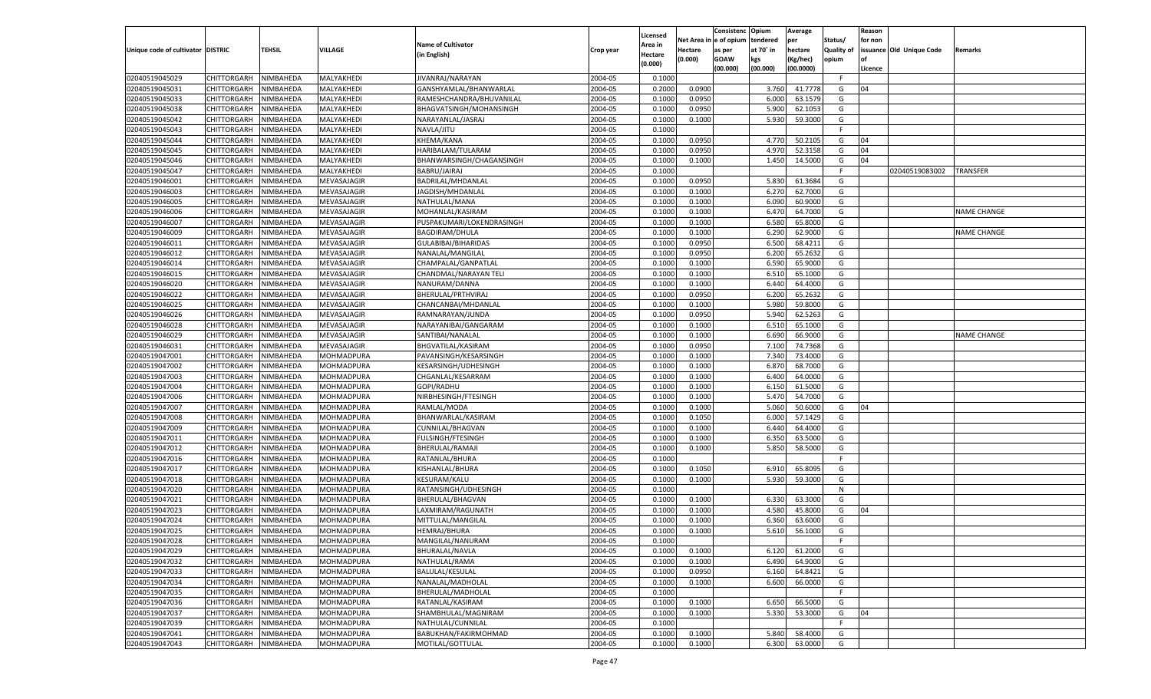|                                   |                       |               |                   |                                        |           |                    |            | Consistenc Opium |           | Average   |                   | Reason  |                          |                    |
|-----------------------------------|-----------------------|---------------|-------------------|----------------------------------------|-----------|--------------------|------------|------------------|-----------|-----------|-------------------|---------|--------------------------|--------------------|
|                                   |                       |               |                   | <b>Name of Cultivator</b>              |           | Licensed           | Net Area i | n  e of opium    | tendered  | per       | Status/           | for non |                          |                    |
| Unique code of cultivator DISTRIC |                       | <b>TEHSIL</b> | VILLAGE           |                                        | Crop year | \rea in            | Hectare    | as per           | at 70° in | hectare   | <b>Quality of</b> |         | issuance Old Unique Code | <b>Remarks</b>     |
|                                   |                       |               |                   | (in English)                           |           | Hectare<br>(0.000) | (0.000)    | <b>GOAW</b>      | kgs       | (Kg/hec)  | opium             |         |                          |                    |
|                                   |                       |               |                   |                                        |           |                    |            | (00.000)         | (00.000)  | (00.0000) |                   | Licence |                          |                    |
| 02040519045029                    | CHITTORGARH           | NIMBAHEDA     | MALYAKHEDI        | JIVANRAJ/NARAYAN                       | 2004-05   | 0.1000             |            |                  |           |           | -F.               |         |                          |                    |
| 02040519045031                    | CHITTORGARH           | NIMBAHEDA     | MALYAKHEDI        | GANSHYAMLAL/BHANWARLAL                 | 2004-05   | 0.2000             | 0.0900     |                  | 3.760     | 41.7778   | G                 | 04      |                          |                    |
| 02040519045033                    | CHITTORGARH           | NIMBAHEDA     | MALYAKHEDI        | RAMESHCHANDRA/BHUVANILAL               | 2004-05   | 0.1000             | 0.0950     |                  | 6.000     | 63.1579   | G                 |         |                          |                    |
| 02040519045038                    | CHITTORGARH           | NIMBAHEDA     | MALYAKHEDI        | BHAGVATSINGH/MOHANSINGH                | 2004-05   | 0.1000             | 0.0950     |                  | 5.900     | 62.1053   | G                 |         |                          |                    |
| 02040519045042                    | CHITTORGARH           | NIMBAHEDA     | MALYAKHEDI        | NARAYANLAL/JASRAJ                      | 2004-05   | 0.1000             | 0.1000     |                  | 5.930     | 59.3000   | G                 |         |                          |                    |
| 02040519045043                    | CHITTORGARH           | NIMBAHEDA     | MALYAKHEDI        | NAVLA/JITU                             | 2004-05   | 0.1000             |            |                  |           |           | F.                |         |                          |                    |
| 02040519045044                    | CHITTORGARH           | NIMBAHEDA     | MALYAKHEDI        | KHEMA/KANA                             | 2004-05   | 0.1000             | 0.0950     |                  | 4.77      | 50.2105   | G                 | 04      |                          |                    |
| 02040519045045                    | CHITTORGARH           | NIMBAHEDA     | MALYAKHEDI        | HARIBALAM/TULARAM                      | 2004-05   | 0.1000             | 0.0950     |                  | 4.970     | 52.3158   | G                 | 04      |                          |                    |
| 02040519045046                    | CHITTORGARH           | NIMBAHEDA     | MALYAKHEDI        | BHANWARSINGH/CHAGANSINGH               | 2004-05   | 0.1000             | 0.1000     |                  | 1.450     | 14.5000   | G                 | 04      |                          |                    |
| 02040519045047                    | CHITTORGARH           | NIMBAHEDA     | MALYAKHEDI        | BABRU/JAIRAJ                           | 2004-05   | 0.1000             |            |                  |           |           | F.                |         | 02040519083002           | TRANSFER           |
| 02040519046001                    | CHITTORGARH           | NIMBAHEDA     | MEVASAJAGIR       | BADRILAL/MHDANLAL                      | 2004-05   | 0.1000             | 0.0950     |                  | 5.83      | 61.3684   | G                 |         |                          |                    |
| 02040519046003                    | CHITTORGARH           | NIMBAHEDA     | MEVASAJAGIR       | JAGDISH/MHDANLAL                       | 2004-05   | 0.1000             | 0.1000     |                  | 6.27      | 62.7000   | G                 |         |                          |                    |
| 02040519046005                    | CHITTORGARH           | NIMBAHEDA     | MEVASAJAGIR       | NATHULAL/MANA                          | 2004-05   | 0.1000             | 0.1000     |                  | 6.090     | 60.9000   | G                 |         |                          |                    |
| 02040519046006                    | CHITTORGARH           | NIMBAHEDA     | MEVASAJAGIR       | MOHANLAL/KASIRAM                       | 2004-05   | 0.1000             | 0.1000     |                  | 6.470     | 64.7000   | G                 |         |                          | <b>NAME CHANGE</b> |
| 02040519046007                    | CHITTORGARH           | NIMBAHEDA     | MEVASAJAGIR       | PUSPAKUMARI/LOKENDRASINGH              | 2004-05   | 0.1000             | 0.1000     |                  | 6.580     | 65.8000   | G                 |         |                          |                    |
| 02040519046009                    | CHITTORGARH           | NIMBAHEDA     | MEVASAJAGIR       | <b>BAGDIRAM/DHULA</b>                  | 2004-05   | 0.1000             | 0.1000     |                  | 6.290     | 62.9000   | G                 |         |                          | <b>NAME CHANGE</b> |
| 02040519046011                    | CHITTORGARH           | NIMBAHEDA     | MEVASAJAGIR       | GULABIBAI/BIHARIDAS                    | 2004-05   | 0.1000             | 0.0950     |                  | 6.500     | 68.4211   | G                 |         |                          |                    |
| 02040519046012                    | CHITTORGARH           | NIMBAHEDA     | MEVASAJAGIR       | NANALAL/MANGILAL                       | 2004-05   | 0.1000             | 0.0950     |                  | 6.200     | 65.2632   | G                 |         |                          |                    |
| 02040519046014                    | CHITTORGARH           | NIMBAHEDA     | MEVASAJAGIR       | CHAMPALAL/GANPATLAL                    | 2004-05   | 0.1000             | 0.1000     |                  | 6.590     | 65.9000   | G                 |         |                          |                    |
| 02040519046015                    | CHITTORGARH           | NIMBAHEDA     | MEVASAJAGIR       | CHANDMAL/NARAYAN TELI                  | 2004-05   | 0.1000             | 0.1000     |                  | 6.510     | 65.1000   | G                 |         |                          |                    |
| 02040519046020                    | CHITTORGARH           | NIMBAHEDA     | MEVASAJAGIR       | NANURAM/DANNA                          | 2004-05   | 0.1000             | 0.1000     |                  | 6.440     | 64.4000   | G                 |         |                          |                    |
| 02040519046022                    | CHITTORGARH           | NIMBAHEDA     | MEVASAJAGIR       | BHERULAL/PRTHVIRAJ                     | 2004-05   | 0.1000             | 0.0950     |                  | 6.200     | 65.2632   | G                 |         |                          |                    |
| 02040519046025                    | CHITTORGARH           | NIMBAHEDA     | MEVASAJAGIR       | CHANCANBAI/MHDANLAL                    | 2004-05   | 0.1000             | 0.1000     |                  | 5.980     | 59.8000   | G                 |         |                          |                    |
|                                   |                       |               |                   |                                        |           | 0.1000             |            |                  | 5.940     | 62.5263   |                   |         |                          |                    |
| 02040519046026                    | CHITTORGARH           | NIMBAHEDA     | MEVASAJAGIR       | RAMNARAYAN/JUNDA                       | 2004-05   |                    | 0.0950     |                  |           |           | G                 |         |                          |                    |
| 02040519046028                    | CHITTORGARH           | NIMBAHEDA     | MEVASAJAGIR       | NARAYANIBAI/GANGARAM                   | 2004-05   | 0.1000             | 0.1000     |                  | 6.510     | 65.1000   | G                 |         |                          |                    |
| 02040519046029<br>02040519046031  | CHITTORGARH           | NIMBAHEDA     | MEVASAJAGIR       | SANTIBAI/NANALAL<br>BHGVATILAL/KASIRAM | 2004-05   | 0.1000             | 0.1000     |                  | 6.690     | 66.9000   | G                 |         |                          | <b>NAME CHANGE</b> |
|                                   | CHITTORGARH           | NIMBAHEDA     | MEVASAJAGIR       |                                        | 2004-05   | 0.1000             | 0.0950     |                  | 7.100     | 74.7368   | G                 |         |                          |                    |
| 02040519047001                    | CHITTORGARH           | NIMBAHEDA     | MOHMADPURA        | PAVANSINGH/KESARSINGH                  | 2004-05   | 0.1000             | 0.1000     |                  | 7.340     | 73.4000   | G                 |         |                          |                    |
| 02040519047002                    | CHITTORGARH           | NIMBAHEDA     | MOHMADPURA        | KESARSINGH/UDHESINGH                   | 2004-05   | 0.1000             | 0.1000     |                  | 6.870     | 68.7000   | G                 |         |                          |                    |
| 02040519047003                    | CHITTORGARH           | NIMBAHEDA     | MOHMADPURA        | CHGANLAL/KESARRAM                      | 2004-05   | 0.1000             | 0.1000     |                  | 6.400     | 64.0000   | G                 |         |                          |                    |
| 02040519047004                    | CHITTORGARH           | NIMBAHEDA     | MOHMADPURA        | GOPI/RADHU                             | 2004-05   | 0.1000             | 0.1000     |                  | 6.150     | 61.5000   | G                 |         |                          |                    |
| 02040519047006                    | CHITTORGARH           | NIMBAHEDA     | MOHMADPURA        | NIRBHESINGH/FTESINGH                   | 2004-05   | 0.1000             | 0.1000     |                  | 5.470     | 54.7000   | G                 |         |                          |                    |
| 02040519047007                    | CHITTORGARH           | NIMBAHEDA     | MOHMADPURA        | RAMLAL/MODA                            | 2004-05   | 0.1000             | 0.1000     |                  | 5.060     | 50.6000   | G                 | 04      |                          |                    |
| 02040519047008                    | CHITTORGARH           | NIMBAHEDA     | MOHMADPURA        | BHANWARLAL/KASIRAM                     | 2004-05   | 0.1000             | 0.1050     |                  | 6.000     | 57.1429   | G                 |         |                          |                    |
| 02040519047009                    | CHITTORGARH           | NIMBAHEDA     | MOHMADPURA        | CUNNILAL/BHAGVAN                       | 2004-05   | 0.1000             | 0.1000     |                  | 6.440     | 64.4000   | G                 |         |                          |                    |
| 02040519047011                    | CHITTORGARH           | NIMBAHEDA     | MOHMADPURA        | FULSINGH/FTESINGH                      | 2004-05   | 0.1000             | 0.1000     |                  | 6.350     | 63.5000   | G                 |         |                          |                    |
| 02040519047012                    | CHITTORGARH           | NIMBAHEDA     | MOHMADPURA        | BHERULAL/RAMAJI                        | 2004-05   | 0.1000             | 0.1000     |                  | 5.850     | 58.5000   | G                 |         |                          |                    |
| 02040519047016                    | CHITTORGARH           | NIMBAHEDA     | MOHMADPURA        | RATANLAL/BHURA                         | 2004-05   | 0.1000             |            |                  |           |           | F.                |         |                          |                    |
| 02040519047017                    | CHITTORGARH           | NIMBAHEDA     | MOHMADPURA        | KISHANLAL/BHURA                        | 2004-05   | 0.1000             | 0.1050     |                  | 6.910     | 65.8095   | G                 |         |                          |                    |
| 02040519047018                    | CHITTORGARH           | NIMBAHEDA     | MOHMADPURA        | KESURAM/KALU                           | 2004-05   | 0.1000             | 0.1000     |                  | 5.930     | 59.3000   | G                 |         |                          |                    |
| 02040519047020                    | CHITTORGARH           | NIMBAHEDA     | MOHMADPURA        | RATANSINGH/UDHESINGH                   | 2004-05   | 0.1000             |            |                  |           |           | N                 |         |                          |                    |
| 02040519047021                    | CHITTORGARH           | NIMBAHEDA     | MOHMADPURA        | BHERULAL/BHAGVAN                       | 2004-05   | 0.1000             | 0.1000     |                  | 6.330     | 63.3000   | G                 |         |                          |                    |
| 02040519047023                    | CHITTORGARH           | NIMBAHEDA     | MOHMADPURA        | LAXMIRAM/RAGUNATH                      | 2004-05   | 0.1000             | 0.1000     |                  | 4.580     | 45.8000   | G                 | 04      |                          |                    |
| 02040519047024                    | CHITTORGARH           | NIMBAHEDA     | MOHMADPURA        | MITTULAL/MANGILAL                      | 2004-05   | 0.1000             | 0.1000     |                  | 6.360     | 63.6000   | G                 |         |                          |                    |
| 02040519047025                    | CHITTORGARH           | NIMBAHEDA     | MOHMADPURA        | HEMRAJ/BHURA                           | 2004-05   | 0.1000             | 0.1000     |                  | 5.610     | 56.1000   | G                 |         |                          |                    |
| 02040519047028                    | CHITTORGARH NIMBAHEDA |               | MOHMADPURA        | MANGILAL/NANURAM                       | 2004-05   | 0.1000             |            |                  |           |           | F.                |         |                          |                    |
| 02040519047029                    | CHITTORGARH           | NIMBAHEDA     | MOHMADPURA        | BHURALAL/NAVLA                         | 2004-05   | 0.1000             | 0.1000     |                  | 6.120     | 61.2000   | G                 |         |                          |                    |
| 02040519047032                    | CHITTORGARH           | NIMBAHEDA     | MOHMADPURA        | NATHULAL/RAMA                          | 2004-05   | 0.1000             | 0.1000     |                  | 6.490     | 64.9000   | G                 |         |                          |                    |
| 02040519047033                    | <b>CHITTORGARH</b>    | NIMBAHEDA     | MOHMADPURA        | <b>BALULAL/KESULAL</b>                 | 2004-05   | 0.1000             | 0.0950     |                  | 6.160     | 64.8421   | G                 |         |                          |                    |
| 02040519047034                    | <b>CHITTORGARH</b>    | NIMBAHEDA     | MOHMADPURA        | NANALAL/MADHOLAL                       | 2004-05   | 0.1000             | 0.1000     |                  | 6.600     | 66.0000   | G                 |         |                          |                    |
| 02040519047035                    | CHITTORGARH           | NIMBAHEDA     | MOHMADPURA        | BHERULAL/MADHOLAL                      | 2004-05   | 0.1000             |            |                  |           |           | F                 |         |                          |                    |
| 02040519047036                    | CHITTORGARH           | NIMBAHEDA     | MOHMADPURA        | RATANLAL/KASIRAM                       | 2004-05   | 0.1000             | 0.1000     |                  | 6.650     | 66.5000   | G                 |         |                          |                    |
| 02040519047037                    | <b>CHITTORGARH</b>    | NIMBAHEDA     | MOHMADPURA        | SHAMBHULAL/MAGNIRAM                    | 2004-05   | 0.1000             | 0.1000     |                  | 5.330     | 53.3000   | G                 | 04      |                          |                    |
| 02040519047039                    | <b>CHITTORGARH</b>    | NIMBAHEDA     | MOHMADPURA        | NATHULAL/CUNNILAL                      | 2004-05   | 0.1000             |            |                  |           |           | F.                |         |                          |                    |
| 02040519047041                    | CHITTORGARH           | NIMBAHEDA     | MOHMADPURA        | BABUKHAN/FAKIRMOHMAD                   | 2004-05   | 0.1000             | 0.1000     |                  | 5.840     | 58.4000   | G                 |         |                          |                    |
| 02040519047043                    | CHITTORGARH           | NIMBAHEDA     | <b>MOHMADPURA</b> | MOTILAL/GOTTULAL                       | 2004-05   | 0.1000             | 0.1000     |                  | 6.300     | 63.0000   | G                 |         |                          |                    |
|                                   |                       |               |                   |                                        |           |                    |            |                  |           |           |                   |         |                          |                    |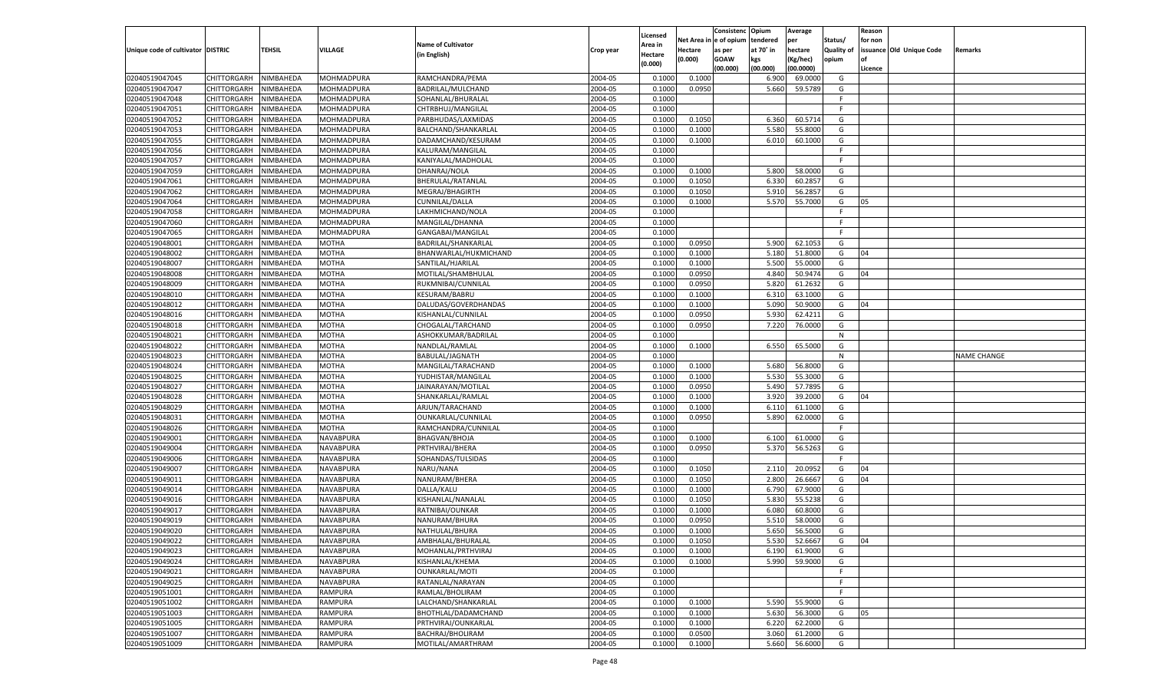|                                   |                       |           |                                      |                           |           |                     |            | Consistenc    | Opium     | Average       |            | Reason  |                          |                    |
|-----------------------------------|-----------------------|-----------|--------------------------------------|---------------------------|-----------|---------------------|------------|---------------|-----------|---------------|------------|---------|--------------------------|--------------------|
|                                   |                       |           |                                      | <b>Name of Cultivator</b> |           | Licensed<br>Area in | Net Area i | n le of opium | tendered  | per           | Status/    | for non |                          |                    |
| Unique code of cultivator DISTRIC |                       | TEHSIL    | <b>VILLAGE</b>                       | (in English)              | Crop year | Hectare             | Hectare    | as per        | at 70° in | hectare       | Quality of |         | issuance Old Unique Code | Remarks            |
|                                   |                       |           |                                      |                           |           | (0.000)             | (0.000)    | <b>GOAW</b>   | kgs       | (Kg/hec)      | opium      |         |                          |                    |
|                                   |                       |           |                                      |                           |           |                     |            | (00.000)      | (00.000)  | (00.0000)     |            | Licence |                          |                    |
| 02040519047045                    | CHITTORGARH           | NIMBAHEDA | MOHMADPURA                           | RAMCHANDRA/PEMA           | 2004-05   | 0.100               | 0.1000     |               | 6.900     | 69.0000       | G          |         |                          |                    |
| 02040519047047                    | CHITTORGARH           | NIMBAHEDA | MOHMADPURA                           | BADRILAL/MULCHAND         | 2004-05   | 0.1000              | 0.0950     |               | 5.660     | 59.5789       | G          |         |                          |                    |
| 02040519047048                    | CHITTORGARH           | NIMBAHEDA | MOHMADPURA                           | SOHANLAL/BHURALAL         | 2004-05   | 0.1000              |            |               |           |               | F.         |         |                          |                    |
| 02040519047051                    | CHITTORGARH           | NIMBAHEDA | MOHMADPURA                           | CHTRBHUJ/MANGILAL         | 2004-05   | 0.1000              |            |               |           |               | E          |         |                          |                    |
| 02040519047052                    | CHITTORGARH           | NIMBAHEDA | MOHMADPURA                           | PARBHUDAS/LAXMIDAS        | 2004-05   | 0.1000              | 0.1050     |               | 6.360     | 60.5714       | G          |         |                          |                    |
| 02040519047053                    | CHITTORGARH           | NIMBAHEDA | MOHMADPURA                           | BALCHAND/SHANKARLAL       | 2004-05   | 0.1000              | 0.1000     |               | 5.580     | 55.8000       | G          |         |                          |                    |
| 02040519047055                    | CHITTORGARH           | NIMBAHEDA | MOHMADPURA                           | DADAMCHAND/KESURAM        | 2004-05   | 0.1000              | 0.1000     |               | 6.010     | 60.1000       | G          |         |                          |                    |
| 02040519047056                    | CHITTORGARH           | NIMBAHEDA | MOHMADPURA                           | KALURAM/MANGILAL          | 2004-05   | 0.1000              |            |               |           |               | E          |         |                          |                    |
| 02040519047057                    | CHITTORGARH           | NIMBAHEDA | MOHMADPURA                           | KANIYALAL/MADHOLAL        | 2004-05   | 0.1000              |            |               |           |               | F.         |         |                          |                    |
| 02040519047059                    | CHITTORGARH           | NIMBAHEDA | MOHMADPURA                           | DHANRAJ/NOLA              | 2004-05   | 0.1000              | 0.1000     |               | 5.800     | 58.0000       | G          |         |                          |                    |
| 02040519047061                    | CHITTORGARH           | NIMBAHEDA | MOHMADPURA                           | BHERULAL/RATANLAL         | 2004-05   | 0.1000              | 0.1050     |               | 6.330     | 60.2857       | G          |         |                          |                    |
| 02040519047062                    | CHITTORGARH           | NIMBAHEDA | MOHMADPURA                           | MEGRAJ/BHAGIRTH           | 2004-05   | 0.1000              | 0.1050     |               | 5.910     | 56.2857       | G          |         |                          |                    |
| 02040519047064                    | CHITTORGARH           | NIMBAHEDA | MOHMADPURA                           | CUNNILAL/DALLA            | 2004-05   | 0.1000              | 0.1000     |               | 5.570     | 55.7000       | G          | 05      |                          |                    |
| 02040519047058                    | CHITTORGARH           | NIMBAHEDA | MOHMADPURA                           | LAKHMICHAND/NOLA          | 2004-05   | 0.1000              |            |               |           |               | E          |         |                          |                    |
| 02040519047060                    | CHITTORGARH           | NIMBAHEDA | MOHMADPURA                           | MANGILAL/DHANNA           | 2004-05   | 0.1000              |            |               |           |               | F.         |         |                          |                    |
| 02040519047065                    | CHITTORGARH           | NIMBAHEDA | MOHMADPURA                           | GANGABAI/MANGILAL         | 2004-05   | 0.1000              |            |               |           |               | F.         |         |                          |                    |
| 02040519048001                    | CHITTORGARH           | NIMBAHEDA | MOTHA                                | BADRILAL/SHANKARLAL       | 2004-05   | 0.1000              | 0.0950     |               | 5.900     | 62.1053       | G          |         |                          |                    |
| 02040519048002                    | CHITTORGARH           | NIMBAHEDA | MOTHA                                | BHANWARLAL/HUKMICHAND     | 2004-05   | 0.1000              | 0.1000     |               | 5.180     | 51.8000       | G          | 04      |                          |                    |
| 02040519048007                    | CHITTORGARH           | NIMBAHEDA | <b>MOTHA</b>                         | SANTILAL/HJARILAL         | 2004-05   | 0.1000              | 0.1000     |               | 5.500     | 55.0000       | G          |         |                          |                    |
| 02040519048008                    | CHITTORGARH           | NIMBAHEDA | MOTHA                                | MOTILAL/SHAMBHULAL        | 2004-05   | 0.1000              | 0.0950     |               | 4.840     | 50.9474       | G          | 04      |                          |                    |
| 02040519048009                    | CHITTORGARH           | NIMBAHEDA | MOTHA                                | RUKMNIBAI/CUNNILAL        | 2004-05   | 0.1000              | 0.0950     |               | 5.820     | 61.2632       | G          |         |                          |                    |
| 02040519048010                    | CHITTORGARH           | NIMBAHEDA | MOTHA                                | KESURAM/BABRU             | 2004-05   | 0.1000              | 0.1000     |               | 6.310     | 63.1000       | G          |         |                          |                    |
| 02040519048012                    | CHITTORGARH           | NIMBAHEDA | <b>MOTHA</b>                         | DALUDAS/GOVERDHANDAS      | 2004-05   | 0.1000              | 0.1000     |               | 5.090     | 50.9000       | G          | 04      |                          |                    |
| 02040519048016                    | CHITTORGARH           | NIMBAHEDA | MOTHA                                | KISHANLAL/CUNNILAL        | 2004-05   | 0.1000              | 0.0950     |               | 5.930     | 62.4211       | G          |         |                          |                    |
| 02040519048018                    | CHITTORGARH           | NIMBAHEDA | MOTHA                                | CHOGALAL/TARCHAND         | 2004-05   | 0.1000              | 0.0950     |               | 7.220     | 76.0000       | G          |         |                          |                    |
| 02040519048021                    | CHITTORGARH           | NIMBAHEDA | MOTHA                                | ASHOKKUMAR/BADRILAL       | 2004-05   | 0.1000              |            |               |           |               | N          |         |                          |                    |
| 02040519048022                    | CHITTORGARH           | NIMBAHEDA | <b>MOTHA</b>                         | NANDLAL/RAMLAL            | 2004-05   | 0.1000              | 0.1000     |               | 6.550     | 65.5000       | G          |         |                          |                    |
| 02040519048023                    | CHITTORGARH           | NIMBAHEDA | MOTHA                                | BABULAL/JAGNATH           | 2004-05   | 0.1000              |            |               |           |               | N          |         |                          | <b>NAME CHANGE</b> |
| 02040519048024                    | CHITTORGARH           | NIMBAHEDA | MOTHA                                | MANGILAL/TARACHAND        | 2004-05   | 0.1000              | 0.1000     |               | 5.680     | 56.8000       | G          |         |                          |                    |
| 02040519048025                    | CHITTORGARH           | NIMBAHEDA | <b>MOTHA</b>                         | YUDHISTAR/MANGILAL        | 2004-05   | 0.1000              | 0.1000     |               | 5.530     | 55.3000       | G          |         |                          |                    |
| 02040519048027                    | CHITTORGARH           | NIMBAHEDA | <b>MOTHA</b>                         | JAINARAYAN/MOTILAL        | 2004-05   | 0.1000              | 0.0950     |               | 5.490     | 57.7895       | G          |         |                          |                    |
| 02040519048028                    | CHITTORGARH           | NIMBAHEDA | <b>MOTHA</b>                         | SHANKARLAL/RAMLAL         | 2004-05   | 0.1000              | 0.1000     |               | 3.920     | 39.2000       | G          | 04      |                          |                    |
| 02040519048029                    | CHITTORGARH           | NIMBAHEDA | <b>MOTHA</b>                         | ARJUN/TARACHAND           | 2004-05   | 0.1000              | 0.1000     |               | 6.110     | 61.1000       | G          |         |                          |                    |
| 02040519048031                    | CHITTORGARH           | NIMBAHEDA | <b>MOTHA</b>                         | OUNKARLAL/CUNNILAL        | 2004-05   | 0.1000              | 0.0950     |               | 5.890     | 62.0000       | G          |         |                          |                    |
| 02040519048026                    | CHITTORGARH           | NIMBAHEDA | MOTHA                                | RAMCHANDRA/CUNNILAL       | 2004-05   | 0.1000              |            |               |           |               | F.         |         |                          |                    |
| 02040519049001                    | CHITTORGARH           | NIMBAHEDA | NAVABPURA                            | BHAGVAN/BHOJA             | 2004-05   | 0.1000              | 0.1000     |               | 6.100     | 61.0000       | G          |         |                          |                    |
| 02040519049004                    | CHITTORGARH           | NIMBAHEDA | NAVABPURA                            | PRTHVIRAJ/BHERA           | 2004-05   | 0.1000              | 0.0950     |               | 5.370     | 56.5263       | G          |         |                          |                    |
| 02040519049006                    | CHITTORGARH           | NIMBAHEDA | NAVABPURA                            | SOHANDAS/TULSIDAS         | 2004-05   | 0.1000              |            |               |           |               | F.         |         |                          |                    |
| 02040519049007                    | CHITTORGARH           | NIMBAHEDA | NAVABPURA                            | NARU/NANA                 | 2004-05   | 0.1000              | 0.1050     |               | 2.110     | 20.0952       | G          | 04      |                          |                    |
| 02040519049011                    | CHITTORGARH           | NIMBAHEDA | NAVABPURA                            | NANURAM/BHERA             | 2004-05   | 0.1000              | 0.1050     |               | 2.800     | 26.6667       | G          | 04      |                          |                    |
| 02040519049014                    | CHITTORGARH           | NIMBAHEDA | NAVABPURA                            | DALLA/KALU                | 2004-05   | 0.1000              | 0.1000     |               | 6.790     | 67.9000       | G          |         |                          |                    |
| 02040519049016                    | CHITTORGARH           | NIMBAHEDA | NAVABPURA                            | KISHANLAL/NANALAL         | 2004-05   | 0.1000              | 0.1050     |               | 5.830     | 55.5238       | G          |         |                          |                    |
| 02040519049017                    | CHITTORGARH           | NIMBAHEDA | NAVABPURA                            | RATNIBAI/OUNKAR           | 2004-05   | 0.1000              | 0.1000     |               | 6.080     | 60.8000       | G          |         |                          |                    |
| 02040519049019                    |                       |           |                                      |                           | 2004-05   | 0.1000              |            |               | 5.510     | 58.0000       | G          |         |                          |                    |
|                                   | CHITTORGARH           | NIMBAHEDA | NAVABPURA                            | NANURAM/BHURA             | 2004-05   |                     | 0.0950     |               | 5.650     | 56.5000       |            |         |                          |                    |
| 02040519049020                    | CHITTORGARH           | NIMBAHEDA | NAVABPURA                            | NATHULAL/BHURA            |           | 0.1000              | 0.1000     |               |           |               | G          |         |                          |                    |
| 02040519049022                    | CHITTORGARH NIMBAHEDA |           | <b>NAVABPURA</b><br><b>NAVABPURA</b> | AMBHALAL/BHURALAL         | 2004-05   | 0.1000              | 0.1050     |               |           | 5.530 52.6667 | G          | 04      |                          |                    |
| 02040519049023                    | <b>CHITTORGARH</b>    | NIMBAHEDA |                                      | MOHANLAL/PRTHVIRAJ        | 2004-05   | 0.1000              | 0.1000     |               | 6.190     | 61.9000       | G          |         |                          |                    |
| 02040519049024                    | CHITTORGARH           | NIMBAHEDA | NAVABPURA                            | KISHANLAL/KHEMA           | 2004-05   | 0.1000              | 0.1000     |               | 5.990     | 59.9000       | G          |         |                          |                    |
| 02040519049021                    | CHITTORGARH           | NIMBAHEDA | <b>NAVABPURA</b>                     | OUNKARLAL/MOTI            | 2004-05   | 0.1000              |            |               |           |               | F.         |         |                          |                    |
| 02040519049025                    | CHITTORGARH           | NIMBAHEDA | NAVABPURA                            | RATANLAL/NARAYAN          | 2004-05   | 0.1000              |            |               |           |               | F.         |         |                          |                    |
| 02040519051001                    | CHITTORGARH           | NIMBAHEDA | <b>RAMPURA</b>                       | RAMLAL/BHOLIRAM           | 2004-05   | 0.1000              |            |               |           |               | F.         |         |                          |                    |
| 02040519051002                    | CHITTORGARH           | NIMBAHEDA | <b>RAMPURA</b>                       | LALCHAND/SHANKARLAL       | 2004-05   | 0.1000              | 0.1000     |               | 5.590     | 55.9000       | G          |         |                          |                    |
| 02040519051003                    | CHITTORGARH           | NIMBAHEDA | <b>RAMPURA</b>                       | BHOTHLAL/DADAMCHAND       | 2004-05   | 0.1000              | 0.1000     |               | 5.630     | 56.3000       | G          | 05      |                          |                    |
| 02040519051005                    | CHITTORGARH           | NIMBAHEDA | <b>RAMPURA</b>                       | PRTHVIRAJ/OUNKARLAL       | 2004-05   | 0.1000              | 0.1000     |               | 6.220     | 62.2000       | G          |         |                          |                    |
| 02040519051007                    | CHITTORGARH           | NIMBAHEDA | <b>RAMPURA</b>                       | BACHRAJ/BHOLIRAM          | 2004-05   | 0.1000              | 0.0500     |               | 3.060     | 61.2000       | G          |         |                          |                    |
| 02040519051009                    | <b>CHITTORGARH</b>    | NIMBAHEDA | <b>RAMPURA</b>                       | MOTILAL/AMARTHRAM         | 2004-05   | 0.1000              | 0.1000     |               | 5.660     | 56.6000       | G          |         |                          |                    |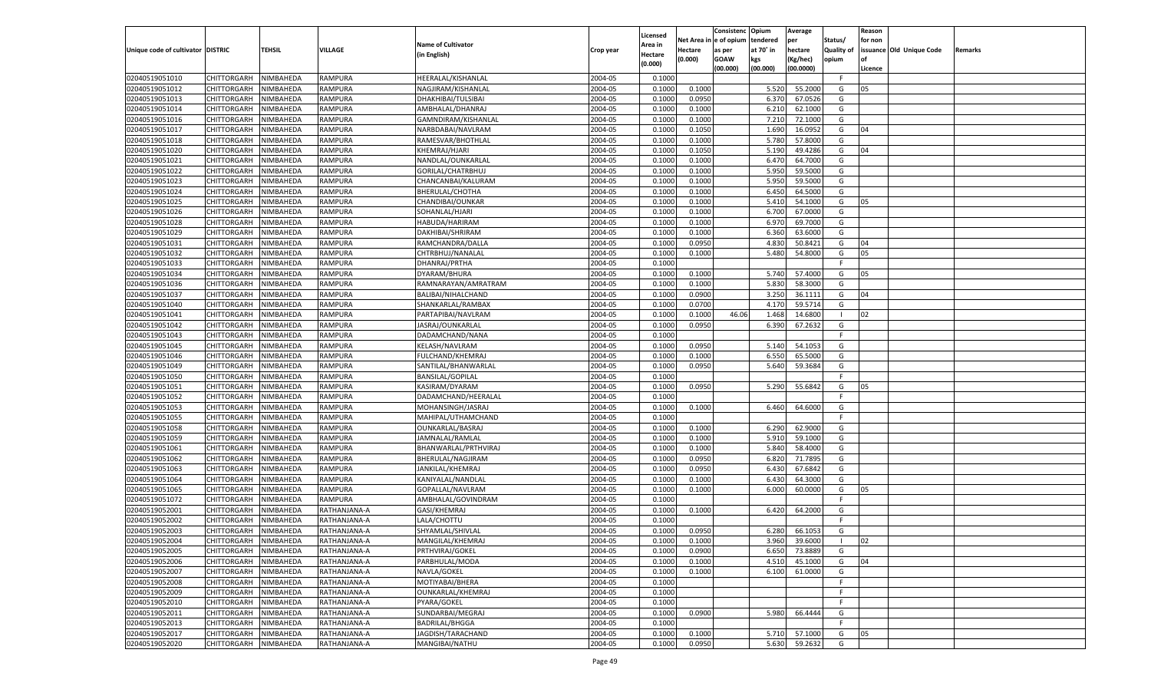|                                   |                       |               |                |                           |           |                           |          | Consistenc  | Opium     | Average   |                   | Reason  |                          |         |
|-----------------------------------|-----------------------|---------------|----------------|---------------------------|-----------|---------------------------|----------|-------------|-----------|-----------|-------------------|---------|--------------------------|---------|
|                                   |                       |               |                | <b>Name of Cultivator</b> |           | Licensed                  | Net Area | e of opium  | tendered  | per       | Status/           | for non |                          |         |
| Unique code of cultivator DISTRIC |                       | <b>TEHSIL</b> | VILLAGE        | (in English)              | Crop year | <b>Area in</b><br>Hectare | Hectare  | as per      | at 70° in | hectare   | <b>Quality of</b> |         | issuance Old Unique Code | Remarks |
|                                   |                       |               |                |                           |           | (0.000)                   | (0.000)  | <b>GOAW</b> | kgs       | (Kg/hec)  | opium             |         |                          |         |
|                                   |                       |               |                |                           |           |                           |          | (00.000)    | (00.000)  | (00.0000) |                   | Licence |                          |         |
| 02040519051010                    | CHITTORGARH           | NIMBAHEDA     | <b>RAMPURA</b> | HEERALAL/KISHANLAL        | 2004-05   | 0.1000                    |          |             |           |           | F.                |         |                          |         |
| 02040519051012                    | CHITTORGARH           | NIMBAHEDA     | RAMPURA        | NAGJIRAM/KISHANLAL        | 2004-05   | 0.1000                    | 0.1000   |             | 5.520     | 55.2000   | G                 | 05      |                          |         |
| 02040519051013                    | CHITTORGARH           | NIMBAHEDA     | RAMPURA        | DHAKHIBAI/TULSIBAI        | 2004-05   | 0.1000                    | 0.0950   |             | 6.37      | 67.0526   | G                 |         |                          |         |
| 02040519051014                    | CHITTORGARH           | NIMBAHEDA     | RAMPURA        | AMBHALAL/DHANRAJ          | 2004-05   | 0.1000                    | 0.1000   |             | 6.21      | 62.1000   | G                 |         |                          |         |
| 02040519051016                    | CHITTORGARH           | NIMBAHEDA     | RAMPURA        | GAMNDIRAM/KISHANLAI       | 2004-05   | 0.1000                    | 0.1000   |             | 7.210     | 72.1000   | G                 |         |                          |         |
| 02040519051017                    | CHITTORGARH           | NIMBAHEDA     | RAMPURA        | NARBDABAI/NAVLRAM         | 2004-05   | 0.1000                    | 0.1050   |             | 1.690     | 16.0952   | G                 | 04      |                          |         |
| 02040519051018                    | CHITTORGARH           | NIMBAHEDA     | RAMPURA        | RAMESVAR/BHOTHLAL         | 2004-05   | 0.1000                    | 0.1000   |             | 5.780     | 57.8000   | G                 |         |                          |         |
| 02040519051020                    | CHITTORGARH           | NIMBAHEDA     | RAMPURA        | KHEMRAJ/HJARI             | 2004-05   | 0.1000                    | 0.1050   |             | 5.190     | 49.4286   | G                 | 04      |                          |         |
| 02040519051021                    | CHITTORGARH           | NIMBAHEDA     | RAMPURA        | NANDLAL/OUNKARLAL         | 2004-05   | 0.1000                    | 0.1000   |             | 6.470     | 64.7000   | G                 |         |                          |         |
| 02040519051022                    | CHITTORGARH           | NIMBAHEDA     | RAMPURA        | GORILAL/CHATRBHUJ         | 2004-05   | 0.1000                    | 0.1000   |             | 5.950     | 59.5000   | G                 |         |                          |         |
| 02040519051023                    | CHITTORGARH           | NIMBAHEDA     | RAMPURA        | CHANCANBAI/KALURAM        | 2004-05   | 0.1000                    | 0.1000   |             | 5.950     | 59.5000   | G                 |         |                          |         |
| 02040519051024                    | CHITTORGARH           | NIMBAHEDA     | RAMPURA        | BHERULAL/CHOTHA           | 2004-05   | 0.1000                    | 0.1000   |             | 6.450     | 64.5000   | G                 |         |                          |         |
| 02040519051025                    | CHITTORGARH           | NIMBAHEDA     | RAMPURA        | CHANDIBAI/OUNKAR          | 2004-05   | 0.1000                    | 0.1000   |             | 5.410     | 54.1000   | G                 | 05      |                          |         |
| 02040519051026                    | CHITTORGARH           | NIMBAHEDA     | RAMPURA        | SOHANLAL/HJARI            | 2004-05   | 0.1000                    | 0.1000   |             | 6.700     | 67.0000   | G                 |         |                          |         |
| 02040519051028                    | CHITTORGARH           | NIMBAHEDA     | RAMPURA        | HABUDA/HARIRAM            | 2004-05   | 0.1000                    | 0.1000   |             | 6.970     | 69.7000   | G                 |         |                          |         |
| 02040519051029                    | CHITTORGARH           | NIMBAHEDA     | RAMPURA        | DAKHIBAI/SHRIRAM          | 2004-05   | 0.1000                    | 0.1000   |             | 6.360     | 63.6000   | G                 |         |                          |         |
| 02040519051031                    | CHITTORGARH           | NIMBAHEDA     | RAMPURA        | RAMCHANDRA/DALLA          | 2004-05   | 0.1000                    | 0.0950   |             | 4.830     | 50.8421   | G                 | 04      |                          |         |
| 02040519051032                    | CHITTORGARH           | NIMBAHEDA     | RAMPURA        | CHTRBHUJ/NANALAL          | 2004-05   | 0.1000                    | 0.1000   |             | 5.480     | 54.8000   | G                 | 05      |                          |         |
| 02040519051033                    | CHITTORGARH           | NIMBAHEDA     | RAMPURA        | DHANRAJ/PRTHA             | 2004-05   | 0.1000                    |          |             |           |           | F.                |         |                          |         |
| 02040519051034                    | CHITTORGARH           | NIMBAHEDA     | RAMPURA        | DYARAM/BHURA              | 2004-05   | 0.1000                    | 0.1000   |             | 5.740     | 57.4000   | G                 | 05      |                          |         |
| 02040519051036                    | CHITTORGARH           | NIMBAHEDA     | RAMPURA        | RAMNARAYAN/AMRATRAM       | 2004-05   | 0.1000                    | 0.1000   |             | 5.830     | 58.3000   | G                 |         |                          |         |
| 02040519051037                    | CHITTORGARH           | NIMBAHEDA     | RAMPURA        | BALIBAI/NIHALCHAND        | 2004-05   | 0.1000                    | 0.0900   |             | 3.250     | 36.1111   | G                 | 04      |                          |         |
| 02040519051040                    | CHITTORGARH           | NIMBAHEDA     | RAMPURA        | SHANKARLAL/RAMBAX         | 2004-05   | 0.1000                    | 0.0700   |             | 4.170     | 59.5714   | G                 |         |                          |         |
| 02040519051041                    | CHITTORGARH           | NIMBAHEDA     | RAMPURA        | PARTAPIBAI/NAVLRAM        | 2004-05   | 0.1000                    | 0.1000   | 46.06       | 1.468     | 14.6800   | - 1               | 02      |                          |         |
| 02040519051042                    | CHITTORGARH           | NIMBAHEDA     | RAMPURA        | JASRAJ/OUNKARLAL          | 2004-05   | 0.1000                    | 0.0950   |             | 6.390     | 67.2632   | G                 |         |                          |         |
| 02040519051043                    | CHITTORGARH           | NIMBAHEDA     | RAMPURA        | DADAMCHAND/NANA           | 2004-05   | 0.1000                    |          |             |           |           | F.                |         |                          |         |
| 02040519051045                    | CHITTORGARH           | NIMBAHEDA     | RAMPURA        | KELASH/NAVLRAM            | 2004-05   | 0.1000                    | 0.0950   |             | 5.140     | 54.1053   | G                 |         |                          |         |
| 02040519051046                    | CHITTORGARH           | NIMBAHEDA     | RAMPURA        | FULCHAND/KHEMRAJ          | 2004-05   | 0.1000                    | 0.1000   |             | 6.550     | 65.5000   | G                 |         |                          |         |
| 02040519051049                    | CHITTORGARH           | NIMBAHEDA     | RAMPURA        | SANTILAL/BHANWARLAL       | 2004-05   | 0.1000                    | 0.0950   |             | 5.640     | 59.3684   | G                 |         |                          |         |
| 02040519051050                    | CHITTORGARH           | NIMBAHEDA     | RAMPURA        | <b>BANSILAL/GOPILAL</b>   | 2004-05   | 0.1000                    |          |             |           |           | F.                |         |                          |         |
| 02040519051051                    | CHITTORGARH           | NIMBAHEDA     | RAMPURA        | KASIRAM/DYARAM            | 2004-05   | 0.1000                    | 0.0950   |             | 5.290     | 55.6842   | G                 | 05      |                          |         |
| 02040519051052                    | CHITTORGARH           | NIMBAHEDA     | RAMPURA        | DADAMCHAND/HEERALAL       | 2004-05   | 0.1000                    |          |             |           |           | F                 |         |                          |         |
| 02040519051053                    | CHITTORGARH           | NIMBAHEDA     | RAMPURA        | MOHANSINGH/JASRAJ         | 2004-05   | 0.1000                    | 0.1000   |             | 6.460     | 64.6000   | G                 |         |                          |         |
| 02040519051055                    | CHITTORGARH           | NIMBAHEDA     | RAMPURA        | MAHIPAL/UTHAMCHAND        | 2004-05   | 0.1000                    |          |             |           |           | F.                |         |                          |         |
| 02040519051058                    |                       |               | RAMPURA        |                           | 2004-05   | 0.1000                    |          |             | 6.290     | 62.9000   | G                 |         |                          |         |
| 02040519051059                    | CHITTORGARH           | NIMBAHEDA     |                | OUNKARLAL/BASRAJ          | 2004-05   | 0.1000                    | 0.1000   |             | 5.910     |           | G                 |         |                          |         |
|                                   | CHITTORGARH           | NIMBAHEDA     | RAMPURA        | JAMNALAL/RAMLAL           |           |                           | 0.1000   |             |           | 59.1000   |                   |         |                          |         |
| 02040519051061                    | CHITTORGARH           | NIMBAHEDA     | RAMPURA        | BHANWARLAL/PRTHVIRAJ      | 2004-05   | 0.1000                    | 0.1000   |             | 5.840     | 58.4000   | G                 |         |                          |         |
| 02040519051062                    | CHITTORGARH           | NIMBAHEDA     | RAMPURA        | BHERULAL/NAGJIRAM         | 2004-05   | 0.1000                    | 0.0950   |             | 6.820     | 71.7895   | G                 |         |                          |         |
| 02040519051063                    | CHITTORGARH           | NIMBAHEDA     | RAMPURA        | JANKILAL/KHEMRAJ          | 2004-05   | 0.1000                    | 0.0950   |             | 6.430     | 67.6842   | G                 |         |                          |         |
| 02040519051064                    | CHITTORGARH           | NIMBAHEDA     | RAMPURA        | KANIYALAL/NANDLAI         | 2004-05   | 0.1000                    | 0.1000   |             | 6.43      | 64.3000   | G                 |         |                          |         |
| 02040519051065                    | CHITTORGARH           | NIMBAHEDA     | RAMPURA        | GOPALLAL/NAVLRAM          | 2004-05   | 0.1000                    | 0.1000   |             | 6.000     | 60.0000   | G                 | 05      |                          |         |
| 02040519051072                    | CHITTORGARH           | NIMBAHEDA     | RAMPURA        | AMBHALAL/GOVINDRAM        | 2004-05   | 0.1000                    |          |             |           |           | F                 |         |                          |         |
| 02040519052001                    | CHITTORGARH           | NIMBAHEDA     | RATHANJANA-A   | GASI/KHEMRAJ              | 2004-05   | 0.1000                    | 0.1000   |             | 6.420     | 64.2000   | G                 |         |                          |         |
| 02040519052002                    | CHITTORGARH           | NIMBAHEDA     | RATHANJANA-A   | LALA/CHOTTU               | 2004-05   | 0.1000                    |          |             |           |           | F                 |         |                          |         |
| 02040519052003                    | CHITTORGARH           | NIMBAHEDA     | RATHANJANA-A   | SHYAMLAL/SHIVLAL          | 2004-05   | 0.1000                    | 0.0950   |             | 6.280     | 66.1053   | G                 |         |                          |         |
| 02040519052004                    | CHITTORGARH NIMBAHEDA |               | RATHANJANA-A   | MANGILAL/KHEMRAJ          | 2004-05   | 0.1000                    | 0.1000   |             | 3.960     | 39.6000   |                   | 02      |                          |         |
| 02040519052005                    | <b>CHITTORGARH</b>    | NIMBAHEDA     | RATHANJANA-A   | PRTHVIRAJ/GOKEL           | 2004-05   | 0.1000                    | 0.0900   |             | 6.650     | 73.8889   | G                 |         |                          |         |
| 02040519052006                    | CHITTORGARH           | NIMBAHEDA     | RATHANJANA-A   | PARBHULAL/MODA            | 2004-05   | 0.1000                    | 0.1000   |             | 4.510     | 45.1000   | G                 | 04      |                          |         |
| 02040519052007                    | <b>CHITTORGARH</b>    | NIMBAHEDA     | RATHANJANA-A   | NAVLA/GOKEL               | 2004-05   | 0.1000                    | 0.1000   |             | 6.100     | 61.0000   | G                 |         |                          |         |
| 02040519052008                    | <b>CHITTORGARH</b>    | NIMBAHEDA     | RATHANJANA-A   | MOTIYABAI/BHERA           | 2004-05   | 0.1000                    |          |             |           |           | F.                |         |                          |         |
| 02040519052009                    | <b>CHITTORGARH</b>    | NIMBAHEDA     | RATHANJANA-A   | OUNKARLAL/KHEMRAJ         | 2004-05   | 0.1000                    |          |             |           |           | F                 |         |                          |         |
| 02040519052010                    | CHITTORGARH           | NIMBAHEDA     | RATHANJANA-A   | PYARA/GOKEL               | 2004-05   | 0.1000                    |          |             |           |           | F.                |         |                          |         |
| 02040519052011                    | <b>CHITTORGARH</b>    | NIMBAHEDA     | RATHANJANA-A   | SUNDARBAI/MEGRAJ          | 2004-05   | 0.1000                    | 0.0900   |             | 5.980     | 66.4444   | G                 |         |                          |         |
| 02040519052013                    | CHITTORGARH           | NIMBAHEDA     | RATHANJANA-A   | <b>BADRILAL/BHGGA</b>     | 2004-05   | 0.1000                    |          |             |           |           | F.                |         |                          |         |
| 02040519052017                    | <b>CHITTORGARH</b>    | NIMBAHEDA     | RATHANJANA-A   | JAGDISH/TARACHAND         | 2004-05   | 0.1000                    | 0.1000   |             | 5.710     | 57.1000   | G                 | 05      |                          |         |
| 02040519052020                    | CHITTORGARH           | NIMBAHEDA     | RATHANJANA-A   | MANGIBAI/NATHU            | 2004-05   | 0.1000                    | 0.0950   |             | 5.630     | 59.2632   | G                 |         |                          |         |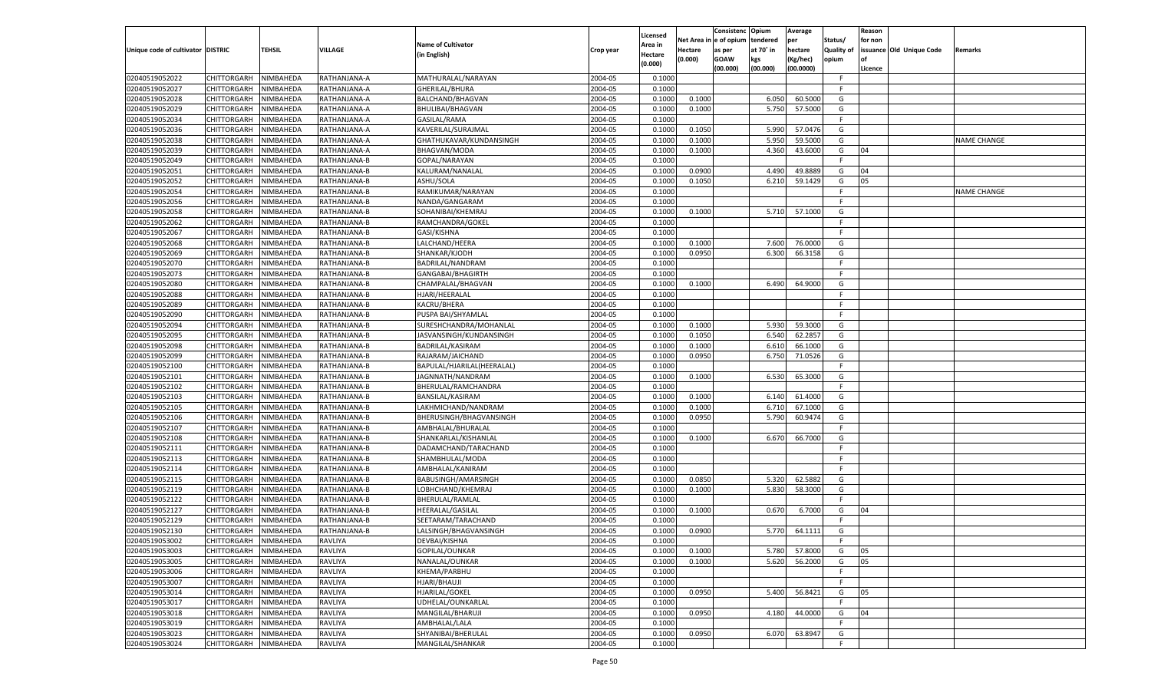|                                   |                            |           |                              |                            |           |                    |            | Consistenc    | Opium     | Average   |            | Reason  |                          |                    |
|-----------------------------------|----------------------------|-----------|------------------------------|----------------------------|-----------|--------------------|------------|---------------|-----------|-----------|------------|---------|--------------------------|--------------------|
|                                   |                            |           |                              |                            |           | Licensed           | Net Area i | n  e of opium | tendered  | per       | Status/    | for non |                          |                    |
| Unique code of cultivator DISTRIC |                            | TEHSIL    | <b>VILLAGE</b>               | <b>Name of Cultivator</b>  | Crop year | Area in            | Hectare    | as per        | at 70° in | hectare   | Quality of |         | issuance Old Unique Code | Remarks            |
|                                   |                            |           |                              | (in English)               |           | Hectare<br>(0.000) | (0.000)    | <b>GOAW</b>   | kgs       | (Kg/hec)  | opium      |         |                          |                    |
|                                   |                            |           |                              |                            |           |                    |            | (00.000)      | (00.000)  | (00.0000) |            | Licence |                          |                    |
| 02040519052022                    | CHITTORGARH                | NIMBAHEDA | RATHANJANA-A                 | MATHURALAL/NARAYAN         | 2004-05   | 0.1000             |            |               |           |           | -F         |         |                          |                    |
| 02040519052027                    | CHITTORGARH                | NIMBAHEDA | RATHANJANA-A                 | GHERILAL/BHURA             | 2004-05   | 0.1000             |            |               |           |           | F.         |         |                          |                    |
| 02040519052028                    | CHITTORGARH                | NIMBAHEDA | RATHANJANA-A                 | BALCHAND/BHAGVAN           | 2004-05   | 0.1000             | 0.1000     |               | 6.050     | 60.5000   | G          |         |                          |                    |
| 02040519052029                    | CHITTORGARH                | NIMBAHEDA | RATHANJANA-A                 | BHULIBAI/BHAGVAN           | 2004-05   | 0.1000             | 0.1000     |               | 5.750     | 57.5000   | G          |         |                          |                    |
| 02040519052034                    | CHITTORGARH                | NIMBAHEDA | RATHANJANA-A                 | GASILAL/RAMA               | 2004-05   | 0.1000             |            |               |           |           | F.         |         |                          |                    |
| 02040519052036                    | CHITTORGARH                | NIMBAHEDA | RATHANJANA-A                 | KAVERILAL/SURAJMAL         | 2004-05   | 0.1000             | 0.1050     |               | 5.990     | 57.0476   | G          |         |                          |                    |
| 02040519052038                    | CHITTORGARH                | NIMBAHEDA | RATHANJANA-A                 | GHATHUKAVAR/KUNDANSINGH    | 2004-05   | 0.1000             | 0.1000     |               | 5.950     | 59.5000   | G          |         |                          | <b>NAME CHANGE</b> |
| 02040519052039                    | CHITTORGARH                | NIMBAHEDA | RATHANJANA-A                 | <b>BHAGVAN/MODA</b>        | 2004-05   | 0.1000             | 0.1000     |               | 4.360     | 43.6000   | G          | 04      |                          |                    |
| 02040519052049                    | CHITTORGARH                | NIMBAHEDA | RATHANJANA-B                 | GOPAL/NARAYAN              | 2004-05   | 0.1000             |            |               |           |           | F.         |         |                          |                    |
| 02040519052051                    | CHITTORGARH                | NIMBAHEDA | RATHANJANA-B                 | KALURAM/NANALAL            | 2004-05   | 0.1000             | 0.0900     |               | 4.490     | 49.8889   | G          | 04      |                          |                    |
| 02040519052052                    | CHITTORGARH                | NIMBAHEDA | RATHANJANA-B                 | ASHU/SOLA                  | 2004-05   | 0.1000             | 0.1050     |               | 6.210     | 59.1429   | G          | 05      |                          |                    |
| 02040519052054                    | CHITTORGARH                | NIMBAHEDA | RATHANJANA-B                 | RAMIKUMAR/NARAYAN          | 2004-05   | 0.1000             |            |               |           |           | E          |         |                          | NAME CHANGE        |
| 02040519052056                    | CHITTORGARH                | NIMBAHEDA | RATHANJANA-B                 | NANDA/GANGARAM             | 2004-05   | 0.1000             |            |               |           |           | F.         |         |                          |                    |
| 02040519052058                    | CHITTORGARH                | NIMBAHEDA | RATHANJANA-B                 | SOHANIBAI/KHEMRAJ          | 2004-05   | 0.1000             | 0.1000     |               | 5.710     | 57.1000   | G          |         |                          |                    |
| 02040519052062                    | CHITTORGARH                | NIMBAHEDA | RATHANJANA-B                 | RAMCHANDRA/GOKEL           | 2004-05   | 0.1000             |            |               |           |           | F.         |         |                          |                    |
| 02040519052067                    | CHITTORGARH                | NIMBAHEDA | RATHANJANA-B                 | GASI/KISHNA                | 2004-05   | 0.1000             |            |               |           |           | F.         |         |                          |                    |
| 02040519052068                    | CHITTORGARH                | NIMBAHEDA | RATHANJANA-B                 | LALCHAND/HEERA             | 2004-05   | 0.1000             | 0.1000     |               | 7.600     | 76.0000   | G          |         |                          |                    |
| 02040519052069                    | CHITTORGARH                | NIMBAHEDA | RATHANJANA-B                 | SHANKAR/KJODH              | 2004-05   | 0.1000             | 0.0950     |               | 6.300     | 66.3158   | G          |         |                          |                    |
| 02040519052070                    | CHITTORGARH                | NIMBAHEDA | RATHANJANA-B                 | BADRILAL/NANDRAM           | 2004-05   | 0.1000             |            |               |           |           | F.         |         |                          |                    |
| 02040519052073                    | CHITTORGARH                | NIMBAHEDA | RATHANJANA-B                 | GANGABAI/BHAGIRTH          | 2004-05   | 0.1000             |            |               |           |           | F.         |         |                          |                    |
| 02040519052080                    | CHITTORGARH                | NIMBAHEDA | RATHANJANA-B                 | CHAMPALAL/BHAGVAN          | 2004-05   | 0.1000             | 0.1000     |               | 6.490     | 64.9000   | G          |         |                          |                    |
| 02040519052088                    |                            |           |                              | HJARI/HEERALAL             | 2004-05   | 0.1000             |            |               |           |           | F.         |         |                          |                    |
| 02040519052089                    | CHITTORGARH<br>CHITTORGARH | NIMBAHEDA | RATHANJANA-B                 | KACRU/BHERA                | 2004-05   | 0.1000             |            |               |           |           | F.         |         |                          |                    |
|                                   | CHITTORGARH                | NIMBAHEDA | RATHANJANA-B                 |                            |           |                    |            |               |           |           | F.         |         |                          |                    |
| 02040519052090                    |                            | NIMBAHEDA | RATHANJANA-B<br>RATHANJANA-B | PUSPA BAI/SHYAMLAL         | 2004-05   | 0.1000             |            |               |           |           |            |         |                          |                    |
| 02040519052094                    | CHITTORGARH                | NIMBAHEDA |                              | SURESHCHANDRA/MOHANLAL     | 2004-05   | 0.1000             | 0.1000     |               | 5.930     | 59.3000   | G          |         |                          |                    |
| 02040519052095                    | CHITTORGARH                | NIMBAHEDA | RATHANJANA-B                 | JASVANSINGH/KUNDANSINGH    | 2004-05   | 0.1000             | 0.1050     |               | 6.540     | 62.2857   | G          |         |                          |                    |
| 02040519052098                    | CHITTORGARH                | NIMBAHEDA | RATHANJANA-B                 | BADRILAL/KASIRAM           | 2004-05   | 0.1000             | 0.1000     |               | 6.610     | 66.1000   | G          |         |                          |                    |
| 02040519052099                    | CHITTORGARH                | NIMBAHEDA | RATHANJANA-B                 | RAJARAM/JAICHAND           | 2004-05   | 0.1000             | 0.0950     |               | 6.750     | 71.0526   | G          |         |                          |                    |
| 02040519052100                    | CHITTORGARH                | NIMBAHEDA | RATHANJANA-B                 | BAPULAL/HJARILAL(HEERALAL) | 2004-05   | 0.1000             |            |               |           |           | F.         |         |                          |                    |
| 02040519052101                    | CHITTORGARH                | NIMBAHEDA | RATHANJANA-B                 | JAGNNATH/NANDRAM           | 2004-05   | 0.1000             | 0.1000     |               | 6.530     | 65.3000   | G          |         |                          |                    |
| 02040519052102                    | CHITTORGARH                | NIMBAHEDA | RATHANJANA-B                 | BHERULAL/RAMCHANDRA        | 2004-05   | 0.1000             |            |               |           |           | F.         |         |                          |                    |
| 02040519052103                    | CHITTORGARH                | NIMBAHEDA | RATHANJANA-B                 | BANSILAL/KASIRAM           | 2004-05   | 0.1000             | 0.1000     |               | 6.140     | 61.4000   | G          |         |                          |                    |
| 02040519052105                    | CHITTORGARH                | NIMBAHEDA | RATHANJANA-B                 | LAKHMICHAND/NANDRAM        | 2004-05   | 0.1000             | 0.1000     |               | 6.710     | 67.1000   | G          |         |                          |                    |
| 02040519052106                    | CHITTORGARH                | NIMBAHEDA | RATHANJANA-B                 | BHERUSINGH/BHAGVANSINGH    | 2004-05   | 0.1000             | 0.0950     |               | 5.790     | 60.9474   | G          |         |                          |                    |
| 02040519052107                    | CHITTORGARH                | NIMBAHEDA | RATHANJANA-B                 | AMBHALAL/BHURALAL          | 2004-05   | 0.1000             |            |               |           |           | F.         |         |                          |                    |
| 02040519052108                    | CHITTORGARH                | NIMBAHEDA | RATHANJANA-B                 | SHANKARLAL/KISHANLAL       | 2004-05   | 0.1000             | 0.1000     |               | 6.670     | 66.7000   | G          |         |                          |                    |
| 02040519052111                    | CHITTORGARH                | NIMBAHEDA | RATHANJANA-B                 | DADAMCHAND/TARACHAND       | 2004-05   | 0.1000             |            |               |           |           | F.         |         |                          |                    |
| 02040519052113                    | CHITTORGARH                | NIMBAHEDA | RATHANJANA-B                 | SHAMBHULAL/MODA            | 2004-05   | 0.1000             |            |               |           |           | F.         |         |                          |                    |
| 02040519052114                    | CHITTORGARH                | NIMBAHEDA | RATHANJANA-B                 | AMBHALAL/KANIRAM           | 2004-05   | 0.1000             |            |               |           |           | E          |         |                          |                    |
| 02040519052115                    | CHITTORGARH                | NIMBAHEDA | RATHANJANA-B                 | BABUSINGH/AMARSINGH        | 2004-05   | 0.1000             | 0.0850     |               | 5.320     | 62.5882   | G          |         |                          |                    |
| 02040519052119                    | CHITTORGARH                | NIMBAHEDA | RATHANJANA-B                 | LOBHCHAND/KHEMRAJ          | 2004-05   | 0.1000             | 0.1000     |               | 5.830     | 58.3000   | G          |         |                          |                    |
| 02040519052122                    | CHITTORGARH                | NIMBAHEDA | RATHANJANA-B                 | BHERULAL/RAMLAL            | 2004-05   | 0.1000             |            |               |           |           | F.         |         |                          |                    |
| 02040519052127                    | CHITTORGARH                | NIMBAHEDA | RATHANJANA-B                 | <b>HEERALAL/GASILAL</b>    | 2004-05   | 0.1000             | 0.1000     |               | 0.670     | 6.7000    | G          | 04      |                          |                    |
| 02040519052129                    | CHITTORGARH                | NIMBAHEDA | RATHANJANA-B                 | SEETARAM/TARACHAND         | 2004-05   | 0.1000             |            |               |           |           | F          |         |                          |                    |
| 02040519052130                    | CHITTORGARH                | NIMBAHEDA | RATHANJANA-B                 | LALSINGH/BHAGVANSINGH      | 2004-05   | 0.1000             | 0.0900     |               | 5.770     | 64.1111   | G          |         |                          |                    |
| 02040519053002                    | CHITTORGARH NIMBAHEDA      |           | <b>RAVLIYA</b>               | DEVBAI/KISHNA              | 2004-05   | 0.1000             |            |               |           |           | F          |         |                          |                    |
| 02040519053003                    | <b>CHITTORGARH</b>         | NIMBAHEDA | <b>RAVLIYA</b>               | GOPILAL/OUNKAR             | 2004-05   | 0.1000             | 0.1000     |               | 5.780     | 57.8000   | G          | 05      |                          |                    |
| 02040519053005                    | CHITTORGARH                | NIMBAHEDA | RAVLIYA                      | NANALAL/OUNKAR             | 2004-05   | 0.1000             | 0.1000     |               | 5.620     | 56.2000   | G          | 05      |                          |                    |
| 02040519053006                    | CHITTORGARH                | NIMBAHEDA | RAVLIYA                      | KHEMA/PARBHU               | 2004-05   | 0.1000             |            |               |           |           | F.         |         |                          |                    |
| 02040519053007                    | CHITTORGARH                | NIMBAHEDA | RAVLIYA                      | HJARI/BHAUJI               | 2004-05   | 0.1000             |            |               |           |           | F.         |         |                          |                    |
| 02040519053014                    | <b>CHITTORGARH</b>         | NIMBAHEDA | RAVLIYA                      | HJARILAL/GOKEL             | 2004-05   | 0.1000             | 0.0950     |               | 5.400     | 56.8421   | G          | 05      |                          |                    |
| 02040519053017                    | CHITTORGARH                | NIMBAHEDA | RAVLIYA                      | UDHELAL/OUNKARLAL          | 2004-05   | 0.1000             |            |               |           |           | F          |         |                          |                    |
| 02040519053018                    | CHITTORGARH                | NIMBAHEDA | RAVLIYA                      | MANGILAL/BHARUJI           | 2004-05   | 0.1000             | 0.0950     |               | 4.180     | 44.0000   | G          | 04      |                          |                    |
| 02040519053019                    | CHITTORGARH                | NIMBAHEDA | RAVLIYA                      | AMBHALAL/LALA              | 2004-05   | 0.1000             |            |               |           |           | F          |         |                          |                    |
| 02040519053023                    | CHITTORGARH                | NIMBAHEDA | RAVLIYA                      | SHYANIBAI/BHERULAL         | 2004-05   | 0.1000             | 0.0950     |               | 6.070     | 63.8947   | G          |         |                          |                    |
| 02040519053024                    | <b>CHITTORGARH</b>         | NIMBAHEDA | <b>RAVLIYA</b>               | MANGILAL/SHANKAR           | 2004-05   | 0.1000             |            |               |           |           | F.         |         |                          |                    |
|                                   |                            |           |                              |                            |           |                    |            |               |           |           |            |         |                          |                    |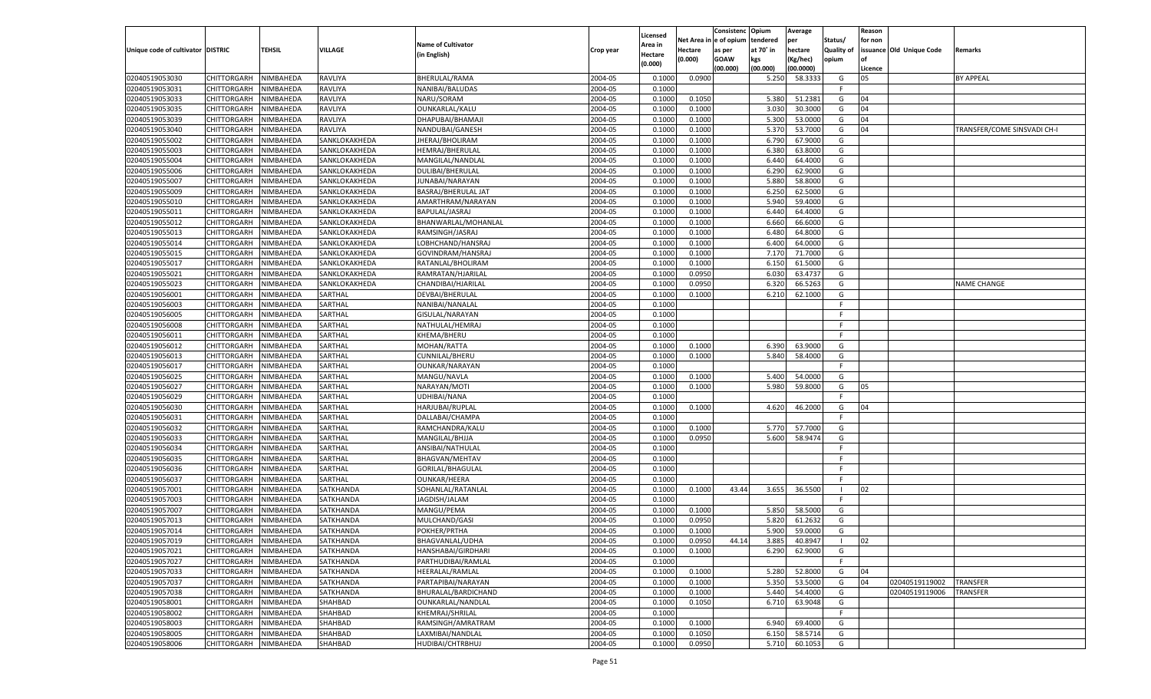|                                   |                       |           |                  |                           |           |                    |            | Consistenc    | Opium     | Average   |            | Reason  |                          |                             |
|-----------------------------------|-----------------------|-----------|------------------|---------------------------|-----------|--------------------|------------|---------------|-----------|-----------|------------|---------|--------------------------|-----------------------------|
|                                   |                       |           |                  | <b>Name of Cultivator</b> |           | Licensed           | Net Area i | n  e of opium | tendered  | per       | Status/    | for non |                          |                             |
| Unique code of cultivator DISTRIC |                       | TEHSIL    | VILLAGE          |                           | Crop year | Area in            | Hectare    | as per        | at 70° in | hectare   | Quality of |         | issuance Old Unique Code | Remarks                     |
|                                   |                       |           |                  | (in English)              |           | Hectare<br>(0.000) | (0.000)    | <b>GOAW</b>   | kgs       | (Kg/hec)  | opium      |         |                          |                             |
|                                   |                       |           |                  |                           |           |                    |            | (00.000)      | (00.000)  | (00.0000) |            | Licence |                          |                             |
| 02040519053030                    | CHITTORGARH           | NIMBAHEDA | RAVLIYA          | BHERULAL/RAMA             | 2004-05   | 0.1000             | 0.0900     |               | 5.250     | 58.3333   | G          | 05      |                          | <b>BY APPEAL</b>            |
| 02040519053031                    | CHITTORGARH           | NIMBAHEDA | RAVLIYA          | NANIBAI/BALUDAS           | 2004-05   | 0.1000             |            |               |           |           | E          |         |                          |                             |
| 02040519053033                    | CHITTORGARH           | NIMBAHEDA | RAVLIYA          | NARU/SORAM                | 2004-05   | 0.1000             | 0.1050     |               | 5.380     | 51.2381   | G          | 04      |                          |                             |
| 02040519053035                    | CHITTORGARH           | NIMBAHEDA | RAVLIYA          | OUNKARLAL/KALU            | 2004-05   | 0.1000             | 0.1000     |               | 3.030     | 30.3000   | G          | 04      |                          |                             |
| 02040519053039                    | CHITTORGARH           | NIMBAHEDA | RAVLIYA          | DHAPUBAI/BHAMAJ           | 2004-05   | 0.1000             | 0.1000     |               | 5.300     | 53.0000   | G          | 04      |                          |                             |
| 02040519053040                    | CHITTORGARH           | NIMBAHEDA | RAVLIYA          | NANDUBAI/GANESH           | 2004-05   | 0.1000             | 0.1000     |               | 5.370     | 53.7000   | G          | 04      |                          | TRANSFER/COME SINSVADI CH-I |
| 02040519055002                    | CHITTORGARH           | NIMBAHEDA | SANKLOKAKHEDA    | JHERAJ/BHOLIRAM           | 2004-05   | 0.1000             | 0.1000     |               | 6.790     | 67.9000   | G          |         |                          |                             |
| 02040519055003                    | CHITTORGARH           | NIMBAHEDA | SANKLOKAKHEDA    | HEMRAJ/BHERULAL           | 2004-05   | 0.1000             | 0.1000     |               | 6.380     | 63.8000   | G          |         |                          |                             |
| 02040519055004                    | CHITTORGARH           | NIMBAHEDA | SANKLOKAKHEDA    | MANGILAL/NANDLAL          | 2004-05   | 0.1000             | 0.1000     |               | 6.440     | 64.4000   | G          |         |                          |                             |
| 02040519055006                    | CHITTORGARH           | NIMBAHEDA | SANKLOKAKHEDA    | <b>DULIBAI/BHERULAL</b>   | 2004-05   | 0.1000             | 0.1000     |               | 6.290     | 62.9000   | G          |         |                          |                             |
| 02040519055007                    | CHITTORGARH           | NIMBAHEDA | SANKLOKAKHEDA    | JUNABAI/NARAYAN           | 2004-05   | 0.1000             | 0.1000     |               | 5.880     | 58.8000   | G          |         |                          |                             |
| 02040519055009                    | CHITTORGARH           | NIMBAHEDA | SANKLOKAKHEDA    | BASRAJ/BHERULAL JAT       | 2004-05   | 0.1000             | 0.1000     |               | 6.250     | 62.5000   | G          |         |                          |                             |
| 02040519055010                    | CHITTORGARH           | NIMBAHEDA | SANKLOKAKHEDA    | AMARTHRAM/NARAYAN         | 2004-05   | 0.1000             | 0.1000     |               | 5.940     | 59.4000   | G          |         |                          |                             |
| 02040519055011                    | CHITTORGARH           | NIMBAHEDA | SANKLOKAKHEDA    | BAPULAL/JASRAJ            | 2004-05   | 0.1000             | 0.1000     |               | 6.440     | 64.4000   | G          |         |                          |                             |
| 02040519055012                    | CHITTORGARH           | NIMBAHEDA | SANKLOKAKHEDA    | BHANWARLAL/MOHANLAL       | 2004-05   | 0.1000             | 0.1000     |               | 6.660     | 66.6000   | G          |         |                          |                             |
|                                   | CHITTORGARH           |           |                  |                           |           |                    |            |               |           | 64.8000   |            |         |                          |                             |
| 02040519055013                    |                       | NIMBAHEDA | SANKLOKAKHEDA    | RAMSINGH/JASRAJ           | 2004-05   | 0.1000             | 0.1000     |               | 6.480     |           | G          |         |                          |                             |
| 02040519055014                    | CHITTORGARH           | NIMBAHEDA | SANKLOKAKHEDA    | LOBHCHAND/HANSRAJ         | 2004-05   | 0.1000             | 0.1000     |               | 6.400     | 64.0000   | G          |         |                          |                             |
| 02040519055015                    | CHITTORGARH           | NIMBAHEDA | SANKLOKAKHEDA    | GOVINDRAM/HANSRAJ         | 2004-05   | 0.1000             | 0.1000     |               | 7.170     | 71.7000   | G          |         |                          |                             |
| 02040519055017                    | CHITTORGARH           | NIMBAHEDA | SANKLOKAKHEDA    | RATANLAL/BHOLIRAM         | 2004-05   | 0.1000             | 0.1000     |               | 6.150     | 61.5000   | G          |         |                          |                             |
| 02040519055021                    | CHITTORGARH           | NIMBAHEDA | SANKLOKAKHEDA    | RAMRATAN/HJARILAL         | 2004-05   | 0.1000             | 0.0950     |               | 6.030     | 63.4737   | G          |         |                          |                             |
| 02040519055023                    | CHITTORGARH           | NIMBAHEDA | SANKLOKAKHEDA    | CHANDIBAI/HJARILAL        | 2004-05   | 0.1000             | 0.0950     |               | 6.320     | 66.5263   | G          |         |                          | <b>NAME CHANGE</b>          |
| 02040519056001                    | CHITTORGARH           | NIMBAHEDA | SARTHAL          | DEVBAI/BHERULAL           | 2004-05   | 0.1000             | 0.1000     |               | 6.210     | 62.1000   | G          |         |                          |                             |
| 02040519056003                    | CHITTORGARH           | NIMBAHEDA | SARTHAL          | NANIBAI/NANALAL           | 2004-05   | 0.1000             |            |               |           |           | F.         |         |                          |                             |
| 02040519056005                    | CHITTORGARH           | NIMBAHEDA | SARTHAL          | GISULAL/NARAYAN           | 2004-05   | 0.1000             |            |               |           |           | E          |         |                          |                             |
| 02040519056008                    | CHITTORGARH           | NIMBAHEDA | SARTHAL          | NATHULAL/HEMRAJ           | 2004-05   | 0.1000             |            |               |           |           | F.         |         |                          |                             |
| 02040519056011                    | CHITTORGARH           | NIMBAHEDA | SARTHAL          | KHEMA/BHERU               | 2004-05   | 0.1000             |            |               |           |           | F.         |         |                          |                             |
| 02040519056012                    | CHITTORGARH           | NIMBAHEDA | SARTHAL          | MOHAN/RATTA               | 2004-05   | 0.1000             | 0.1000     |               | 6.390     | 63.9000   | G          |         |                          |                             |
| 02040519056013                    | CHITTORGARH           | NIMBAHEDA | SARTHAL          | <b>CUNNILAL/BHERU</b>     | 2004-05   | 0.1000             | 0.1000     |               | 5.840     | 58.4000   | G          |         |                          |                             |
| 02040519056017                    | CHITTORGARH           | NIMBAHEDA | SARTHAL          | OUNKAR/NARAYAN            | 2004-05   | 0.1000             |            |               |           |           | F.         |         |                          |                             |
| 02040519056025                    | CHITTORGARH           | NIMBAHEDA | SARTHAL          | MANGU/NAVLA               | 2004-05   | 0.1000             | 0.1000     |               | 5.400     | 54.0000   | G          |         |                          |                             |
| 02040519056027                    | CHITTORGARH           | NIMBAHEDA | SARTHAL          | NARAYAN/MOTI              | 2004-05   | 0.1000             | 0.1000     |               | 5.980     | 59.8000   | G          | 05      |                          |                             |
| 02040519056029                    | CHITTORGARH           | NIMBAHEDA | SARTHAL          | UDHIBAI/NANA              | 2004-05   | 0.1000             |            |               |           |           | F          |         |                          |                             |
| 02040519056030                    | CHITTORGARH           | NIMBAHEDA | SARTHAL          | HARJUBAI/RUPLAL           | 2004-05   | 0.1000             | 0.1000     |               | 4.620     | 46.2000   | G          | 04      |                          |                             |
| 02040519056031                    | CHITTORGARH           | NIMBAHEDA | SARTHAL          | DALLABAI/CHAMPA           | 2004-05   | 0.1000             |            |               |           |           | F          |         |                          |                             |
| 02040519056032                    | CHITTORGARH           | NIMBAHEDA | SARTHAL          | RAMCHANDRA/KALU           | 2004-05   | 0.1000             | 0.1000     |               | 5.770     | 57.7000   | G          |         |                          |                             |
| 02040519056033                    | CHITTORGARH           | NIMBAHEDA | SARTHAL          | MANGILAL/BHJJA            | 2004-05   | 0.1000             | 0.0950     |               | 5.600     | 58.9474   | G          |         |                          |                             |
| 02040519056034                    | CHITTORGARH           | NIMBAHEDA | SARTHAL          | ANSIBAI/NATHULAL          | 2004-05   | 0.1000             |            |               |           |           | F.         |         |                          |                             |
| 02040519056035                    | CHITTORGARH           | NIMBAHEDA | SARTHAL          | <b>BHAGVAN/MEHTAV</b>     | 2004-05   | 0.1000             |            |               |           |           | F          |         |                          |                             |
| 02040519056036                    |                       | NIMBAHEDA | SARTHAL          |                           | 2004-05   | 0.1000             |            |               |           |           | E          |         |                          |                             |
|                                   | CHITTORGARH           |           |                  | GORILAL/BHAGULAL          |           |                    |            |               |           |           |            |         |                          |                             |
| 02040519056037                    | CHITTORGARH           | NIMBAHEDA | SARTHAL          | <b>OUNKAR/HEERA</b>       | 2004-05   | 0.1000             |            |               |           |           | F          |         |                          |                             |
| 02040519057001                    | CHITTORGARH           | NIMBAHEDA | SATKHANDA        | SOHANLAL/RATANLAL         | 2004-05   | 0.1000             | 0.1000     | 43.44         | 3.655     | 36.5500   |            | 02      |                          |                             |
| 02040519057003                    | CHITTORGARH           | NIMBAHEDA | SATKHANDA        | JAGDISH/JALAM             | 2004-05   | 0.1000             |            |               |           |           | F          |         |                          |                             |
| 02040519057007                    | CHITTORGARH           | NIMBAHEDA | SATKHANDA        | MANGU/PEMA                | 2004-05   | 0.1000             | 0.1000     |               | 5.850     | 58.5000   | G          |         |                          |                             |
| 02040519057013                    | CHITTORGARH           | NIMBAHEDA | SATKHANDA        | MULCHAND/GASI             | 2004-05   | 0.1000             | 0.0950     |               | 5.820     | 61.2632   | G          |         |                          |                             |
| 02040519057014                    | CHITTORGARH           | NIMBAHEDA | SATKHANDA        | POKHER/PRTHA              | 2004-05   | 0.1000             | 0.1000     |               | 5.900     | 59.0000   | G          |         |                          |                             |
| 02040519057019                    | CHITTORGARH NIMBAHEDA |           | SATKHANDA        | BHAGVANLAL/UDHA           | 2004-05   | 0.1000             | 0.0950     | 44.14         | 3.885     | 40.8947   |            | 02      |                          |                             |
| 02040519057021                    | <b>CHITTORGARH</b>    | NIMBAHEDA | <b>SATKHANDA</b> | HANSHABAI/GIRDHARI        | 2004-05   | 0.1000             | 0.1000     |               | 6.290     | 62.9000   | G          |         |                          |                             |
| 02040519057027                    | CHITTORGARH           | NIMBAHEDA | SATKHANDA        | PARTHUDIBAI/RAMLAL        | 2004-05   | 0.1000             |            |               |           |           | F.         |         |                          |                             |
| 02040519057033                    | CHITTORGARH           | NIMBAHEDA | SATKHANDA        | HEERALAL/RAMLAL           | 2004-05   | 0.1000             | 0.1000     |               | 5.280     | 52.8000   | G          | 04      |                          |                             |
| 02040519057037                    | CHITTORGARH           | NIMBAHEDA | SATKHANDA        | PARTAPIBAI/NARAYAN        | 2004-05   | 0.1000             | 0.1000     |               | 5.350     | 53.5000   | G          | 04      | 02040519119002           | <b>TRANSFER</b>             |
| 02040519057038                    | CHITTORGARH           | NIMBAHEDA | <b>SATKHANDA</b> | BHURALAL/BARDICHAND       | 2004-05   | 0.1000             | 0.1000     |               | 5.440     | 54.4000   | G          |         | 02040519119006           | TRANSFER                    |
| 02040519058001                    | <b>CHITTORGARH</b>    | NIMBAHEDA | SHAHBAD          | OUNKARLAL/NANDLAL         | 2004-05   | 0.1000             | 0.1050     |               | 6.710     | 63.9048   | G          |         |                          |                             |
| 02040519058002                    | <b>CHITTORGARH</b>    | NIMBAHEDA | SHAHBAD          | KHEMRAJ/SHRILAL           | 2004-05   | 0.1000             |            |               |           |           | F          |         |                          |                             |
| 02040519058003                    | CHITTORGARH           | NIMBAHEDA | SHAHBAD          | RAMSINGH/AMRATRAM         | 2004-05   | 0.1000             | 0.1000     |               | 6.940     | 69.4000   | G          |         |                          |                             |
| 02040519058005                    | CHITTORGARH           | NIMBAHEDA | SHAHBAD          | LAXMIBAI/NANDLAL          | 2004-05   | 0.1000             | 0.1050     |               | 6.150     | 58.5714   | G          |         |                          |                             |
| 02040519058006                    | CHITTORGARH           | NIMBAHEDA | SHAHBAD          | HUDIBAI/CHTRBHUJ          | 2004-05   | 0.1000             | 0.0950     |               | 5.710     | 60.1053   | G          |         |                          |                             |
|                                   |                       |           |                  |                           |           |                    |            |               |           |           |            |         |                          |                             |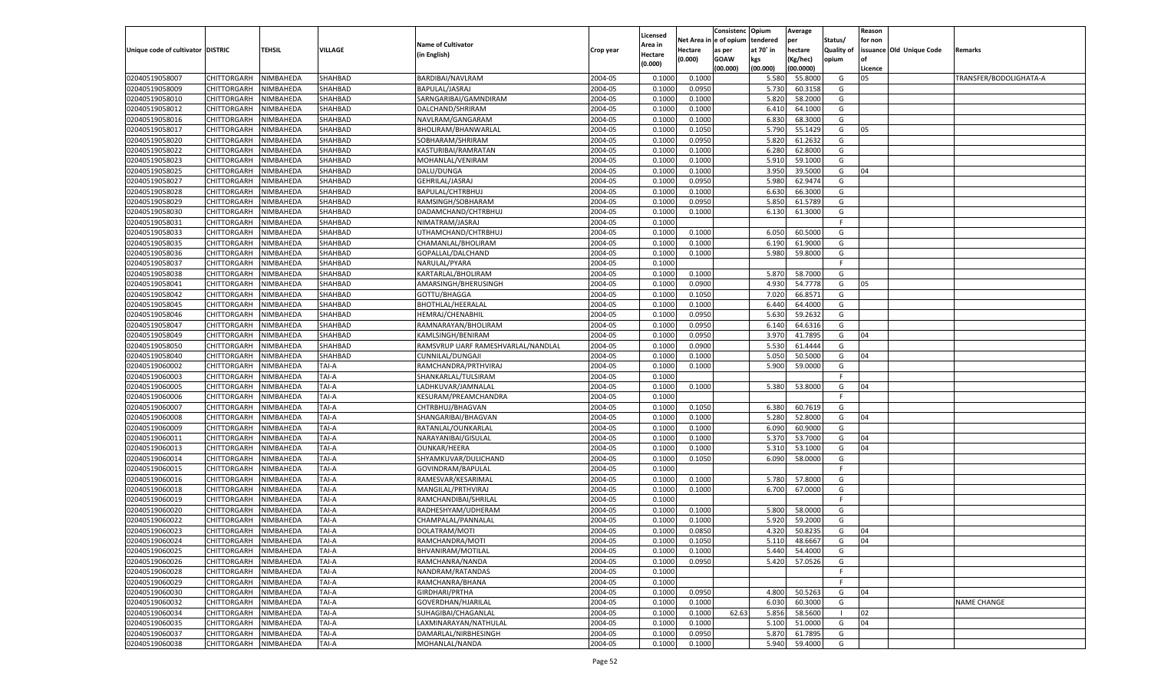|                                   |                       |           |              |                                    |           |          |             | Consistenc    | Opium     | Average       |                | Reason  |                          |                        |
|-----------------------------------|-----------------------|-----------|--------------|------------------------------------|-----------|----------|-------------|---------------|-----------|---------------|----------------|---------|--------------------------|------------------------|
|                                   |                       |           |              |                                    |           | Licensed | Net Area iı | n  e of opium | tendered  | per           | Status/        | for non |                          |                        |
| Unique code of cultivator DISTRIC |                       | TEHSIL    | VILLAGE      | <b>Name of Cultivator</b>          | Crop year | Area in  | Hectare     | as per        | at 70° in | hectare       | Quality of     |         | issuance Old Unique Code | Remarks                |
|                                   |                       |           |              | (in English)                       |           | Hectare  | (0.000)     | <b>GOAW</b>   | kgs       | (Kg/hec)      | opium          |         |                          |                        |
|                                   |                       |           |              |                                    |           | (0.000)  |             | (00.000)      | (00.000)  | (00.0000)     |                | Licence |                          |                        |
| 02040519058007                    | CHITTORGARH           | NIMBAHEDA | SHAHBAD      | BARDIBAI/NAVLRAM                   | 2004-05   | 0.100    | 0.1000      |               | 5.580     | 55.8000       | G              | 05      |                          | TRANSFER/BODOLIGHATA-A |
| 02040519058009                    | CHITTORGARH           | NIMBAHEDA | SHAHBAD      | BAPULAL/JASRAJ                     | 2004-05   | 0.1000   | 0.0950      |               | 5.730     | 60.3158       | G              |         |                          |                        |
| 02040519058010                    | CHITTORGARH           | NIMBAHEDA | SHAHBAD      | SARNGARIBAI/GAMNDIRAM              | 2004-05   | 0.1000   | 0.1000      |               | 5.820     | 58.2000       | G              |         |                          |                        |
|                                   |                       |           |              |                                    |           |          |             |               |           |               |                |         |                          |                        |
| 02040519058012                    | CHITTORGARH           | NIMBAHEDA | SHAHBAD      | DALCHAND/SHRIRAM                   | 2004-05   | 0.1000   | 0.1000      |               | 6.410     | 64.1000       | G              |         |                          |                        |
| 02040519058016                    | CHITTORGARH           | NIMBAHEDA | SHAHBAD      | NAVLRAM/GANGARAM                   | 2004-05   | 0.1000   | 0.1000      |               | 6.830     | 68.3000       | G              |         |                          |                        |
| 02040519058017                    | CHITTORGARH           | NIMBAHEDA | SHAHBAD      | BHOLIRAM/BHANWARLAL                | 2004-05   | 0.1000   | 0.1050      |               | 5.790     | 55.1429       | G              | 05      |                          |                        |
| 02040519058020                    | CHITTORGARH           | NIMBAHEDA | SHAHBAD      | SOBHARAM/SHRIRAM                   | 2004-05   | 0.1000   | 0.0950      |               | 5.820     | 61.2632       | G              |         |                          |                        |
| 02040519058022                    | CHITTORGARH           | NIMBAHEDA | SHAHBAD      | KASTURIBAI/RAMRATAN                | 2004-05   | 0.1000   | 0.1000      |               | 6.280     | 62.8000       | G              |         |                          |                        |
| 02040519058023                    | CHITTORGARH           | NIMBAHEDA | SHAHBAD      | MOHANLAL/VENIRAM                   | 2004-05   | 0.1000   | 0.1000      |               | 5.910     | 59.1000       | G              |         |                          |                        |
| 02040519058025                    | CHITTORGARH           | NIMBAHEDA | SHAHBAD      | DALU/DUNGA                         | 2004-05   | 0.1000   | 0.1000      |               | 3.950     | 39.5000       | G              | 04      |                          |                        |
| 02040519058027                    | CHITTORGARH           | NIMBAHEDA | SHAHBAD      | GEHRILAL/JASRAJ                    | 2004-05   | 0.1000   | 0.0950      |               | 5.980     | 62.9474       | G              |         |                          |                        |
| 02040519058028                    | CHITTORGARH           | NIMBAHEDA | SHAHBAD      | BAPULAL/CHTRBHUJ                   | 2004-05   | 0.1000   | 0.1000      |               | 6.630     | 66.3000       | G              |         |                          |                        |
| 02040519058029                    | CHITTORGARH           | NIMBAHEDA | SHAHBAD      | RAMSINGH/SOBHARAM                  | 2004-05   | 0.1000   | 0.0950      |               | 5.850     | 61.5789       | G              |         |                          |                        |
| 02040519058030                    | CHITTORGARH           | NIMBAHEDA | SHAHBAD      | DADAMCHAND/CHTRBHUJ                | 2004-05   | 0.1000   | 0.1000      |               | 6.130     | 61.3000       | G              |         |                          |                        |
|                                   | CHITTORGARH           |           | SHAHBAD      |                                    | 2004-05   |          |             |               |           |               | F.             |         |                          |                        |
| 02040519058031                    |                       | NIMBAHEDA |              | NIMATRAM/JASRAJ                    |           | 0.1000   |             |               |           |               |                |         |                          |                        |
| 02040519058033                    | CHITTORGARH           | NIMBAHEDA | SHAHBAD      | UTHAMCHAND/CHTRBHUJ                | 2004-05   | 0.1000   | 0.1000      |               | 6.050     | 60.5000       | G              |         |                          |                        |
| 02040519058035                    | CHITTORGARH           | NIMBAHEDA | SHAHBAD      | CHAMANLAL/BHOLIRAM                 | 2004-05   | 0.1000   | 0.1000      |               | 6.190     | 61.9000       | G              |         |                          |                        |
| 02040519058036                    | CHITTORGARH           | NIMBAHEDA | SHAHBAD      | GOPALLAL/DALCHAND                  | 2004-05   | 0.1000   | 0.1000      |               | 5.980     | 59.8000       | G              |         |                          |                        |
| 02040519058037                    | CHITTORGARH           | NIMBAHEDA | SHAHBAD      | NARULAL/PYARA                      | 2004-05   | 0.1000   |             |               |           |               | F.             |         |                          |                        |
| 02040519058038                    | CHITTORGARH           | NIMBAHEDA | SHAHBAD      | KARTARLAL/BHOLIRAM                 | 2004-05   | 0.1000   | 0.1000      |               | 5.870     | 58.7000       | G              |         |                          |                        |
| 02040519058041                    | CHITTORGARH           | NIMBAHEDA | SHAHBAD      | AMARSINGH/BHERUSINGH               | 2004-05   | 0.1000   | 0.0900      |               | 4.930     | 54.7778       | G              | 05      |                          |                        |
| 02040519058042                    | CHITTORGARH           | NIMBAHEDA | SHAHBAD      | GOTTU/BHAGGA                       | 2004-05   | 0.1000   | 0.1050      |               | 7.020     | 66.8571       | G              |         |                          |                        |
| 02040519058045                    | CHITTORGARH           | NIMBAHEDA | SHAHBAD      | <b>BHOTHLAL/HEERALAL</b>           | 2004-05   | 0.1000   | 0.1000      |               | 6.440     | 64.4000       | G              |         |                          |                        |
| 02040519058046                    | CHITTORGARH           | NIMBAHEDA | SHAHBAD      | <b>HEMRAJ/CHENABHII</b>            | 2004-05   | 0.1000   | 0.0950      |               | 5.630     | 59.2632       | G              |         |                          |                        |
| 02040519058047                    | CHITTORGARH           | NIMBAHEDA | SHAHBAD      | RAMNARAYAN/BHOLIRAM                | 2004-05   | 0.1000   | 0.0950      |               | 6.140     | 64.6316       | G              |         |                          |                        |
| 02040519058049                    | CHITTORGARH           | NIMBAHEDA | SHAHBAD      | KAMLSINGH/BENIRAM                  | 2004-05   | 0.1000   | 0.0950      |               | 3.970     | 41.7895       | G              | 04      |                          |                        |
|                                   |                       |           |              |                                    |           |          |             |               |           |               |                |         |                          |                        |
| 02040519058050                    | CHITTORGARH           | NIMBAHEDA | SHAHBAD      | RAMSVRUP UARF RAMESHVARLAL/NANDLAL | 2004-05   | 0.1000   | 0.0900      |               | 5.530     | 61.4444       | G              |         |                          |                        |
| 02040519058040                    | CHITTORGARH           | NIMBAHEDA | SHAHBAD      | CUNNILAL/DUNGAJI                   | 2004-05   | 0.1000   | 0.1000      |               | 5.050     | 50.5000       | G              | 04      |                          |                        |
| 02040519060002                    | CHITTORGARH           | NIMBAHEDA | TAI-A        | RAMCHANDRA/PRTHVIRAJ               | 2004-05   | 0.1000   | 0.1000      |               | 5.900     | 59.0000       | G              |         |                          |                        |
| 02040519060003                    | CHITTORGARH           | NIMBAHEDA | TAI-A        | SHANKARLAL/TULSIRAM                | 2004-05   | 0.1000   |             |               |           |               | F.             |         |                          |                        |
| 02040519060005                    | CHITTORGARH           | NIMBAHEDA | TAI-A        | LADHKUVAR/JAMNALAL                 | 2004-05   | 0.1000   | 0.1000      |               | 5.380     | 53.8000       | G              | 04      |                          |                        |
| 02040519060006                    | CHITTORGARH           | NIMBAHEDA | TAI-A        | KESURAM/PREAMCHANDRA               | 2004-05   | 0.1000   |             |               |           |               | F              |         |                          |                        |
| 02040519060007                    | CHITTORGARH           | NIMBAHEDA | TAI-A        | CHTRBHUJ/BHAGVAN                   | 2004-05   | 0.1000   | 0.1050      |               | 6.380     | 60.7619       | G              |         |                          |                        |
| 02040519060008                    | CHITTORGARH           | NIMBAHEDA | TAI-A        | SHANGARIBAI/BHAGVAN                | 2004-05   | 0.1000   | 0.1000      |               | 5.280     | 52.8000       | G              | 04      |                          |                        |
| 02040519060009                    | CHITTORGARH           | NIMBAHEDA | TAI-A        | RATANLAL/OUNKARLAL                 | 2004-05   | 0.1000   | 0.1000      |               | 6.090     | 60.9000       | G              |         |                          |                        |
| 02040519060011                    | CHITTORGARH           | NIMBAHEDA | TAI-A        | NARAYANIBAI/GISULAL                | 2004-05   | 0.1000   | 0.1000      |               | 5.370     | 53.7000       | G              | 04      |                          |                        |
| 02040519060013                    | CHITTORGARH           | NIMBAHEDA | TAI-A        | OUNKAR/HEERA                       | 2004-05   | 0.1000   | 0.1000      |               | 5.310     | 53.1000       | G              | 04      |                          |                        |
| 02040519060014                    | CHITTORGARH           | NIMBAHEDA | TAI-A        | SHYAMKUVAR/DULICHAND               | 2004-05   | 0.1000   | 0.1050      |               | 6.090     | 58.0000       | G              |         |                          |                        |
| 02040519060015                    | CHITTORGARH           | NIMBAHEDA | TAI-A        | GOVINDRAM/BAPULAL                  | 2004-05   | 0.1000   |             |               |           |               | F.             |         |                          |                        |
| 02040519060016                    |                       |           |              |                                    |           |          |             |               |           |               |                |         |                          |                        |
|                                   | CHITTORGARH           | NIMBAHEDA | TAI-A        | RAMESVAR/KESARIMAL                 | 2004-05   | 0.1000   | 0.1000      |               | 5.780     | 57.8000       | G              |         |                          |                        |
| 02040519060018                    | CHITTORGARH           | NIMBAHEDA | TAI-A        | MANGILAL/PRTHVIRAJ                 | 2004-05   | 0.1000   | 0.1000      |               | 6.700     | 67.0000       | G              |         |                          |                        |
| 02040519060019                    | CHITTORGARH           | NIMBAHEDA | TAI-A        | RAMCHANDIBAI/SHRILAL               | 2004-05   | 0.1000   |             |               |           |               | F              |         |                          |                        |
| 02040519060020                    | CHITTORGARH           | NIMBAHEDA | TAI-A        | RADHESHYAM/UDHERAM                 | 2004-05   | 0.1000   | 0.1000      |               | 5.800     | 58.0000       | G              |         |                          |                        |
| 02040519060022                    | CHITTORGARH           | NIMBAHEDA | TAI-A        | CHAMPALAL/PANNALAL                 | 2004-05   | 0.1000   | 0.1000      |               | 5.920     | 59.2000       | G              |         |                          |                        |
| 02040519060023                    | CHITTORGARH           | NIMBAHEDA | TAI-A        | DOLATRAM/MOTI                      | 2004-05   | 0.1000   | 0.0850      |               | 4.320     | 50.8235       | G              | 04      |                          |                        |
| 02040519060024                    | CHITTORGARH NIMBAHEDA |           | <b>TAI-A</b> | RAMCHANDRA/MOTI                    | 2004-05   | 0.1000   | 0.1050      |               |           | 5.110 48.6667 | G              | 04      |                          |                        |
| 02040519060025                    | <b>CHITTORGARH</b>    | NIMBAHEDA | TAI-A        | BHVANIRAM/MOTILAL                  | 2004-05   | 0.1000   | 0.1000      |               | 5.440     | 54.4000       | G              |         |                          |                        |
| 02040519060026                    | CHITTORGARH           | NIMBAHEDA | TAI-A        | RAMCHANRA/NANDA                    | 2004-05   | 0.1000   | 0.0950      |               | 5.420     | 57.0526       | G              |         |                          |                        |
| 02040519060028                    | CHITTORGARH           | NIMBAHEDA | TAI-A        | NANDRAM/RATANDAS                   | 2004-05   | 0.1000   |             |               |           |               | F.             |         |                          |                        |
| 02040519060029                    | CHITTORGARH           | NIMBAHEDA | TAI-A        | RAMCHANRA/BHANA                    | 2004-05   | 0.1000   |             |               |           |               | F.             |         |                          |                        |
| 02040519060030                    | CHITTORGARH           | NIMBAHEDA | TAI-A        | GIRDHARI/PRTHA                     | 2004-05   | 0.1000   | 0.0950      |               | 4.800     | 50.5263       | G              | 04      |                          |                        |
| 02040519060032                    | CHITTORGARH           | NIMBAHEDA | TAI-A        | GOVERDHAN/HJARILAL                 | 2004-05   |          | 0.1000      |               | 6.030     | 60.3000       | G              |         |                          | NAME CHANGE            |
|                                   |                       |           |              |                                    |           | 0.1000   |             |               |           |               |                |         |                          |                        |
| 02040519060034                    | CHITTORGARH           | NIMBAHEDA | TAI-A        | SUHAGIBAI/CHAGANLAL                | 2004-05   | 0.1000   | 0.1000      | 62.63         | 5.856     | 58.5600       | $\blacksquare$ | 02      |                          |                        |
| 02040519060035                    | CHITTORGARH           | NIMBAHEDA | TAI-A        | LAXMINARAYAN/NATHULAL              | 2004-05   | 0.1000   | 0.1000      |               | 5.100     | 51.0000       | G              | 04      |                          |                        |
| 02040519060037                    | CHITTORGARH           | NIMBAHEDA | TAI-A        | DAMARLAL/NIRBHESINGH               | 2004-05   | 0.1000   | 0.0950      |               | 5.870     | 61.7895       | G              |         |                          |                        |
| 02040519060038                    | <b>CHITTORGARH</b>    | NIMBAHEDA | TAI-A        | MOHANLAL/NANDA                     | 2004-05   | 0.1000   | 0.1000      |               | 5.940     | 59.4000       | G              |         |                          |                        |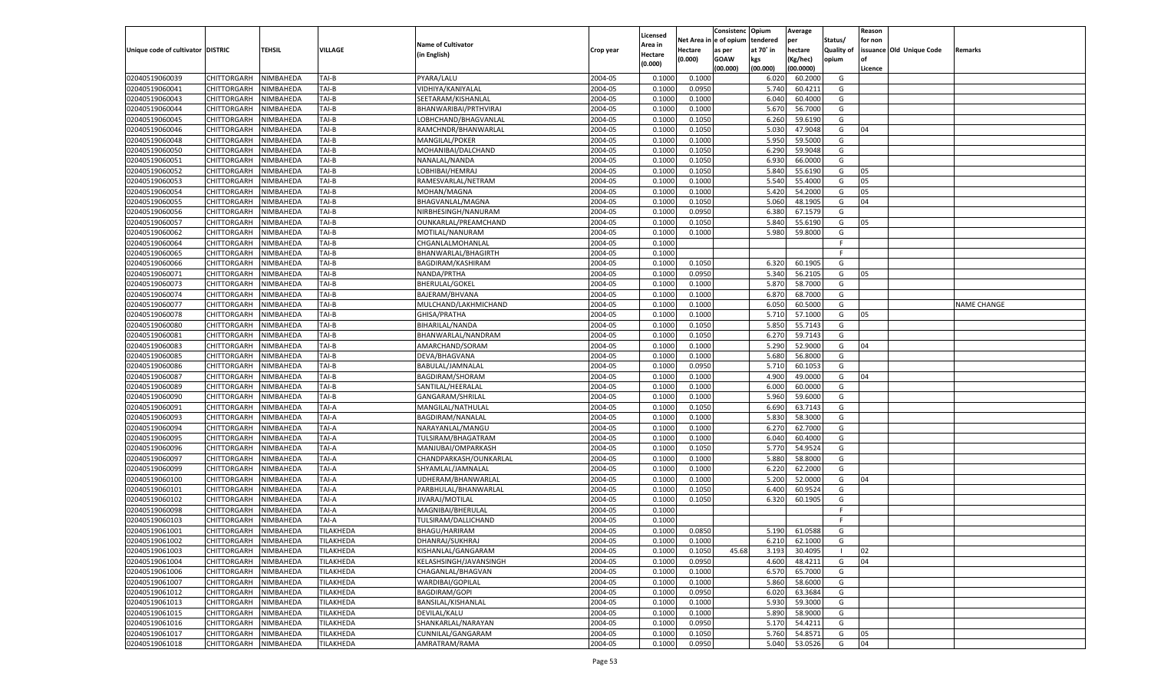|                                   |                       |               |                               |                           |           |                           |          | Consistenc  | Opium     | Average   |                   | Reason  |                          |                    |
|-----------------------------------|-----------------------|---------------|-------------------------------|---------------------------|-----------|---------------------------|----------|-------------|-----------|-----------|-------------------|---------|--------------------------|--------------------|
|                                   |                       |               |                               | <b>Name of Cultivator</b> |           | Licensed                  | Net Area | e of opium  | tendered  | per       | Status/           | for non |                          |                    |
| Unique code of cultivator DISTRIC |                       | <b>TEHSIL</b> | VILLAGE                       | (in English)              | Crop year | <b>Area in</b><br>Hectare | Hectare  | as per      | at 70° in | hectare   | <b>Quality of</b> |         | issuance Old Unique Code | Remarks            |
|                                   |                       |               |                               |                           |           | (0.000)                   | (0.000)  | <b>GOAW</b> | kgs       | (Kg/hec)  | opium             |         |                          |                    |
|                                   |                       |               |                               |                           |           |                           |          | (00.000)    | (00.000)  | (00.0000) |                   | Licence |                          |                    |
| 02040519060039                    | CHITTORGARH           | NIMBAHEDA     | TAI-B                         | PYARA/LALU                | 2004-05   | 0.1000                    | 0.1000   |             | 6.02(     | 60.2000   | G                 |         |                          |                    |
| 02040519060041                    | CHITTORGARH           | NIMBAHEDA     | TAI-B                         | VIDHIYA/KANIYALAL         | 2004-05   | 0.1000                    | 0.0950   |             | 5.740     | 60.4211   | G                 |         |                          |                    |
| 02040519060043                    | CHITTORGARH           | NIMBAHEDA     | TAI-B                         | SEETARAM/KISHANLAL        | 2004-05   | 0.1000                    | 0.1000   |             | 6.040     | 60.4000   | G                 |         |                          |                    |
| 02040519060044                    | CHITTORGARH           | NIMBAHEDA     | TAI-B                         | BHANWARIBAI/PRTHVIRAJ     | 2004-05   | 0.1000                    | 0.1000   |             | 5.670     | 56.7000   | G                 |         |                          |                    |
| 02040519060045                    | CHITTORGARH           | NIMBAHEDA     | TAI-B                         | LOBHCHAND/BHAGVANLAL      | 2004-05   | 0.1000                    | 0.1050   |             | 6.260     | 59.6190   | G                 |         |                          |                    |
| 02040519060046                    | CHITTORGARH           | NIMBAHEDA     | TAI-B                         | RAMCHNDR/BHANWARLAL       | 2004-05   | 0.1000                    | 0.1050   |             | 5.030     | 47.9048   | G                 | 04      |                          |                    |
| 02040519060048                    | CHITTORGARH           | NIMBAHEDA     | TAI-B                         | MANGILAL/POKER            | 2004-05   | 0.1000                    | 0.1000   |             | 5.950     | 59.5000   | G                 |         |                          |                    |
| 02040519060050                    | CHITTORGARH           | NIMBAHEDA     | TAI-B                         | MOHANIBAI/DALCHAND        | 2004-05   | 0.1000                    | 0.1050   |             | 6.290     | 59.9048   | G                 |         |                          |                    |
| 02040519060051                    | CHITTORGARH           | NIMBAHEDA     | TAI-B                         | NANALAL/NANDA             | 2004-05   | 0.1000                    | 0.1050   |             | 6.930     | 66.0000   | G                 |         |                          |                    |
| 02040519060052                    | CHITTORGARH           | NIMBAHEDA     | TAI-B                         | LOBHIBAI/HEMRAJ           | 2004-05   | 0.1000                    | 0.1050   |             | 5.840     | 55.6190   | G                 | 05      |                          |                    |
| 02040519060053                    | CHITTORGARH           | NIMBAHEDA     | TAI-B                         | RAMESVARLAL/NETRAM        | 2004-05   | 0.1000                    | 0.1000   |             | 5.540     | 55.4000   | G                 | 05      |                          |                    |
| 02040519060054                    | CHITTORGARH           | NIMBAHEDA     | TAI-B                         | MOHAN/MAGNA               | 2004-05   | 0.1000                    | 0.1000   |             | 5.420     | 54.2000   | G                 | 05      |                          |                    |
| 02040519060055                    | CHITTORGARH           | NIMBAHEDA     | TAI-B                         | BHAGVANLAL/MAGNA          | 2004-05   | 0.1000                    | 0.1050   |             | 5.060     | 48.1905   | G                 | 04      |                          |                    |
| 02040519060056                    | CHITTORGARH           | NIMBAHEDA     | TAI-B                         | NIRBHESINGH/NANURAM       | 2004-05   | 0.1000                    | 0.0950   |             | 6.380     | 67.1579   | G                 |         |                          |                    |
| 02040519060057                    | CHITTORGARH           | NIMBAHEDA     | TAI-B                         | OUNKARLAL/PREAMCHAND      | 2004-05   | 0.1000                    | 0.1050   |             | 5.840     | 55.6190   | G                 | 05      |                          |                    |
| 02040519060062                    | CHITTORGARH           | NIMBAHEDA     | TAI-B                         | MOTILAL/NANURAM           | 2004-05   | 0.1000                    | 0.1000   |             | 5.980     | 59.8000   | G                 |         |                          |                    |
| 02040519060064                    | CHITTORGARH           | NIMBAHEDA     | TAI-B                         | CHGANLALMOHANLAL          | 2004-05   | 0.1000                    |          |             |           |           | F                 |         |                          |                    |
| 02040519060065                    | CHITTORGARH           | NIMBAHEDA     | TAI-B                         | BHANWARLAL/BHAGIRTH       | 2004-05   | 0.1000                    |          |             |           |           | F.                |         |                          |                    |
| 02040519060066                    | CHITTORGARH           | NIMBAHEDA     | TAI-B                         | BAGDIRAM/KASHIRAM         | 2004-05   | 0.1000                    | 0.1050   |             | 6.320     | 60.1905   | G                 |         |                          |                    |
| 02040519060071                    | CHITTORGARH           | NIMBAHEDA     | TAI-B                         | NANDA/PRTHA               | 2004-05   | 0.1000                    | 0.0950   |             | 5.340     | 56.2105   | G                 | 05      |                          |                    |
| 02040519060073                    | CHITTORGARH           | NIMBAHEDA     | TAI-B                         | BHERULAL/GOKEL            | 2004-05   | 0.1000                    | 0.1000   |             | 5.870     | 58.7000   | G                 |         |                          |                    |
| 02040519060074                    | CHITTORGARH           | NIMBAHEDA     | TAI-B                         | BAJERAM/BHVANA            | 2004-05   | 0.1000                    | 0.1000   |             | 6.870     | 68.7000   | G                 |         |                          |                    |
| 02040519060077                    | CHITTORGARH           | NIMBAHEDA     | TAI-B                         | MULCHAND/LAKHMICHAND      | 2004-05   | 0.1000                    | 0.1000   |             | 6.050     | 60.5000   | G                 |         |                          | <b>NAME CHANGE</b> |
| 02040519060078                    | CHITTORGARH           | NIMBAHEDA     | TAI-B                         | GHISA/PRATHA              | 2004-05   | 0.1000                    | 0.1000   |             | 5.710     | 57.1000   | G                 | 05      |                          |                    |
| 02040519060080                    | CHITTORGARH           | NIMBAHEDA     | TAI-B                         | BIHARILAL/NANDA           | 2004-05   | 0.1000                    | 0.1050   |             | 5.850     | 55.7143   | G                 |         |                          |                    |
| 02040519060081                    | CHITTORGARH           | NIMBAHEDA     | TAI-B                         | BHANWARLAL/NANDRAM        | 2004-05   | 0.1000                    | 0.1050   |             | 6.27      | 59.7143   | G                 |         |                          |                    |
| 02040519060083                    | CHITTORGARH           | NIMBAHEDA     | TAI-B                         | AMARCHAND/SORAM           | 2004-05   | 0.1000                    | 0.1000   |             | 5.290     | 52.9000   | G                 | 04      |                          |                    |
| 02040519060085                    | CHITTORGARH           | NIMBAHEDA     | TAI-B                         | DEVA/BHAGVANA             | 2004-05   | 0.1000                    | 0.1000   |             | 5.680     | 56.8000   | G                 |         |                          |                    |
| 02040519060086                    | CHITTORGARH           | NIMBAHEDA     | TAI-B                         | BABULAL/JAMNALAI          | 2004-05   | 0.1000                    | 0.0950   |             | 5.710     | 60.105    | G                 |         |                          |                    |
| 02040519060087                    | CHITTORGARH           | NIMBAHEDA     | TAI-B                         | BAGDIRAM/SHORAM           | 2004-05   | 0.1000                    | 0.1000   |             | 4.900     | 49.0000   | G                 | 04      |                          |                    |
| 02040519060089                    | CHITTORGARH           | NIMBAHEDA     | TAI-B                         | SANTILAL/HEERALAL         | 2004-05   | 0.1000                    | 0.1000   |             | 6.000     | 60.0000   | G                 |         |                          |                    |
| 02040519060090                    | CHITTORGARH           | NIMBAHEDA     | TAI-B                         | GANGARAM/SHRILAL          | 2004-05   | 0.1000                    | 0.1000   |             | 5.960     | 59.6000   | G                 |         |                          |                    |
| 02040519060091                    | CHITTORGARH           | NIMBAHEDA     | TAI-A                         | MANGILAL/NATHULAL         | 2004-05   | 0.1000                    | 0.1050   |             | 6.690     | 63.7143   | G                 |         |                          |                    |
| 02040519060093                    | CHITTORGARH           | NIMBAHEDA     | TAI-A                         | BAGDIRAM/NANALAL          | 2004-05   | 0.1000                    | 0.1000   |             | 5.83      | 58.3000   | G                 |         |                          |                    |
| 02040519060094                    | CHITTORGARH           | NIMBAHEDA     | TAI-A                         | NARAYANLAL/MANGU          | 2004-05   | 0.1000                    | 0.1000   |             | 6.27      | 62.7000   | G                 |         |                          |                    |
| 02040519060095                    | CHITTORGARH           | NIMBAHEDA     | TAI-A                         | TULSIRAM/BHAGATRAM        | 2004-05   | 0.1000                    | 0.1000   |             | 6.040     | 60.4000   | G                 |         |                          |                    |
| 02040519060096                    | CHITTORGARH           | NIMBAHEDA     | TAI-A                         | MANJUBAI/OMPARKASH        | 2004-05   | 0.1000                    | 0.1050   |             | 5.770     | 54.9524   | G                 |         |                          |                    |
| 02040519060097                    | CHITTORGARH           | NIMBAHEDA     | TAI-A                         | CHANDPARKASH/OUNKARLAL    | 2004-05   | 0.1000                    | 0.1000   |             | 5.880     | 58.8000   | G                 |         |                          |                    |
| 02040519060099                    | CHITTORGARH           | NIMBAHEDA     | TAI-A                         | SHYAMLAL/JAMNALAL         | 2004-05   | 0.1000                    | 0.1000   |             | 6.220     | 62.2000   | G                 |         |                          |                    |
| 02040519060100                    | CHITTORGARH           | NIMBAHEDA     | TAI-A                         | UDHERAM/BHANWARLAL        | 2004-05   | 0.1000                    | 0.1000   |             | 5.200     | 52.0000   | G                 | 04      |                          |                    |
| 02040519060101                    | CHITTORGARH           | NIMBAHEDA     | TAI-A                         | PARBHULAL/BHANWARLAL      | 2004-05   | 0.1000                    | 0.1050   |             | 6.400     | 60.9524   | G                 |         |                          |                    |
| 02040519060102                    | CHITTORGARH           | NIMBAHEDA     | TAI-A                         | JIVARAJ/MOTILAL           | 2004-05   | 0.1000                    | 0.1050   |             | 6.320     | 60.1905   | G                 |         |                          |                    |
| 02040519060098                    | CHITTORGARH           | NIMBAHEDA     | TAI-A                         | MAGNIBAI/BHERULAL         | 2004-05   | 0.1000                    |          |             |           |           | F.                |         |                          |                    |
| 02040519060103                    | CHITTORGARH           | NIMBAHEDA     | TAI-A                         | TULSIRAM/DALLICHAND       | 2004-05   | 0.1000                    |          |             |           |           | F                 |         |                          |                    |
| 02040519061001                    | CHITTORGARH           | NIMBAHEDA     | TILAKHEDA                     | BHAGU/HARIRAM             | 2004-05   | 0.1000                    | 0.0850   |             | 5.190     | 61.0588   | G                 |         |                          |                    |
| 02040519061002                    | CHITTORGARH NIMBAHEDA |               | TILAKHEDA                     | DHANRAJ/SUKHRAJ           | 2004-05   | 0.1000                    | 0.1000   |             | 6.210     | 62.1000   | G                 |         |                          |                    |
| 02040519061003                    | <b>CHITTORGARH</b>    | NIMBAHEDA     | <b>TILAKHEDA</b>              | KISHANLAL/GANGARAM        | 2004-05   | 0.1000                    | 0.1050   | 45.68       | 3.193     |           | - 1               | 02      |                          |                    |
|                                   |                       |               |                               |                           |           |                           |          |             |           | 30.4095   |                   |         |                          |                    |
| 02040519061004                    | CHITTORGARH           | NIMBAHEDA     | TILAKHEDA<br><b>TILAKHEDA</b> | KELASHSINGH/JAVANSINGH    | 2004-05   | 0.1000                    | 0.0950   |             | 4.600     | 48.4211   | G                 | 04      |                          |                    |
| 02040519061006                    | <b>CHITTORGARH</b>    | NIMBAHEDA     |                               | CHAGANLAL/BHAGVAN         | 2004-05   | 0.1000                    | 0.1000   |             | 6.570     | 65.7000   | G                 |         |                          |                    |
| 02040519061007                    | <b>CHITTORGARH</b>    | NIMBAHEDA     | TILAKHEDA<br><b>TILAKHEDA</b> | WARDIBAI/GOPILAL          | 2004-05   | 0.1000                    | 0.1000   |             | 5.860     | 58.6000   | G                 |         |                          |                    |
| 02040519061012                    | <b>CHITTORGARH</b>    | NIMBAHEDA     |                               | <b>BAGDIRAM/GOPI</b>      | 2004-05   | 0.1000                    | 0.0950   |             | 6.020     | 63.3684   | G                 |         |                          |                    |
| 02040519061013                    | <b>CHITTORGARH</b>    | NIMBAHEDA     | TILAKHEDA                     | BANSILAL/KISHANLAL        | 2004-05   | 0.1000                    | 0.1000   |             | 5.930     | 59.3000   | G                 |         |                          |                    |
| 02040519061015                    | <b>CHITTORGARH</b>    | NIMBAHEDA     | <b>TILAKHEDA</b>              | DEVILAL/KALU              | 2004-05   | 0.1000                    | 0.1000   |             | 5.890     | 58.9000   | G                 |         |                          |                    |
| 02040519061016                    | <b>CHITTORGARH</b>    | NIMBAHEDA     | TILAKHEDA                     | SHANKARLAL/NARAYAN        | 2004-05   | 0.1000                    | 0.0950   |             | 5.170     | 54.4211   | G                 |         |                          |                    |
| 02040519061017                    | <b>CHITTORGARH</b>    | NIMBAHEDA     | <b>TILAKHEDA</b>              | CUNNILAL/GANGARAM         | 2004-05   | 0.1000                    | 0.1050   |             | 5.760     | 54.8571   | G                 | 05      |                          |                    |
| 02040519061018                    | <b>CHITTORGARH</b>    | NIMBAHEDA     | TILAKHEDA                     | AMRATRAM/RAMA             | 2004-05   | 0.1000                    | 0.0950   |             | 5.040     | 53.0526   | G                 | 04      |                          |                    |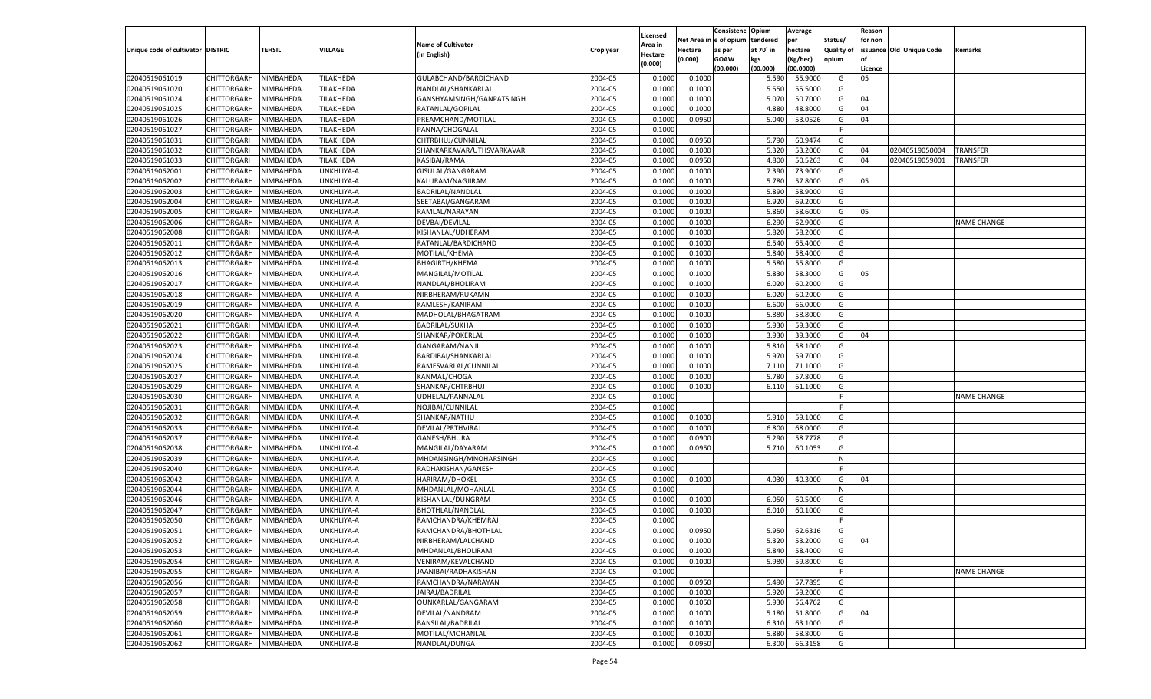|                                   |                       |           |                   |                           |           |                    |             | Consistenc    | Opium     | Average       |                   | Reason  |                          |                    |
|-----------------------------------|-----------------------|-----------|-------------------|---------------------------|-----------|--------------------|-------------|---------------|-----------|---------------|-------------------|---------|--------------------------|--------------------|
|                                   |                       |           |                   | <b>Name of Cultivator</b> |           | Licensed           | Net Area iı | n  e of opium | tendered  | per           | Status/           | for non |                          |                    |
| Unique code of cultivator DISTRIC |                       | TEHSIL    | <b>VILLAGE</b>    | (in English)              | Crop year | Area in<br>Hectare | Hectare     | as per        | at 70° in | hectare       | <b>Quality of</b> |         | issuance Old Unique Code | Remarks            |
|                                   |                       |           |                   |                           |           | (0.000)            | (0.000)     | <b>GOAW</b>   | kgs       | (Kg/hec)      | opium             |         |                          |                    |
|                                   |                       |           |                   |                           |           |                    |             | (00.000)      | (00.000)  | (00.0000)     |                   | Licence |                          |                    |
| 02040519061019                    | CHITTORGARH           | NIMBAHEDA | TILAKHEDA         | GULABCHAND/BARDICHAND     | 2004-05   | 0.1000             | 0.1000      |               | 5.590     | 55.9000       | G                 | 05      |                          |                    |
| 02040519061020                    | CHITTORGARH           | NIMBAHEDA | TILAKHEDA         | NANDLAL/SHANKARLAL        | 2004-05   | 0.1000             | 0.1000      |               | 5.550     | 55.5000       | G                 |         |                          |                    |
| 02040519061024                    | CHITTORGARH           | NIMBAHEDA | TILAKHEDA         | GANSHYAMSINGH/GANPATSINGH | 2004-05   | 0.1000             | 0.1000      |               | 5.070     | 50.7000       | G                 | 04      |                          |                    |
| 02040519061025                    | CHITTORGARH           | NIMBAHEDA | TILAKHEDA         | RATANLAL/GOPILAL          | 2004-05   | 0.1000             | 0.1000      |               | 4.880     | 48.8000       | G                 | 04      |                          |                    |
| 02040519061026                    | CHITTORGARH           | NIMBAHEDA | TILAKHEDA         | PREAMCHAND/MOTILAL        | 2004-05   | 0.1000             | 0.0950      |               | 5.040     | 53.0526       | G                 | 04      |                          |                    |
| 02040519061027                    | CHITTORGARH           | NIMBAHEDA | TILAKHEDA         | PANNA/CHOGALAL            | 2004-05   | 0.1000             |             |               |           |               | -F                |         |                          |                    |
| 02040519061031                    | CHITTORGARH           | NIMBAHEDA | TILAKHEDA         | CHTRBHUJ/CUNNILAL         | 2004-05   | 0.1000             | 0.0950      |               | 5.790     | 60.9474       | G                 |         |                          |                    |
| 02040519061032                    | CHITTORGARH           | NIMBAHEDA | TILAKHEDA         | SHANKARKAVAR/UTHSVARKAVAR | 2004-05   | 0.1000             | 0.1000      |               | 5.32      | 53.2000       | G                 | 04      | 02040519050004           | TRANSFER           |
| 02040519061033                    | CHITTORGARH           | NIMBAHEDA | TILAKHEDA         | KASIBAI/RAMA              | 2004-05   | 0.1000             | 0.0950      |               | 4.800     | 50.5263       | G                 | 04      | 02040519059001           | TRANSFER           |
| 02040519062001                    | CHITTORGARH           | NIMBAHEDA | UNKHLIYA-A        | GISULAL/GANGARAM          | 2004-05   | 0.1000             | 0.1000      |               | 7.390     | 73.9000       | G                 |         |                          |                    |
| 02040519062002                    | CHITTORGARH           | NIMBAHEDA | UNKHLIYA-A        | KALURAM/NAGJIRAM          | 2004-05   | 0.1000             | 0.1000      |               | 5.780     | 57.8000       | G                 | 05      |                          |                    |
| 02040519062003                    | CHITTORGARH           | NIMBAHEDA | UNKHLIYA-A        | BADRILAL/NANDLAL          | 2004-05   | 0.1000             | 0.1000      |               | 5.890     | 58.9000       | G                 |         |                          |                    |
| 02040519062004                    | CHITTORGARH           | NIMBAHEDA | <b>JNKHLIYA-A</b> | SEETABAI/GANGARAM         | 2004-05   | 0.1000             | 0.1000      |               | 6.920     | 69.2000       | G                 |         |                          |                    |
| 02040519062005                    | CHITTORGARH           | NIMBAHEDA | JNKHLIYA-A        | RAMLAL/NARAYAN            | 2004-05   | 0.1000             | 0.1000      |               | 5.860     | 58.6000       | G                 | 05      |                          |                    |
| 02040519062006                    | CHITTORGARH           | NIMBAHEDA | <b>JNKHLIYA-A</b> | DEVBAI/DEVILAL            | 2004-05   | 0.1000             | 0.1000      |               | 6.290     | 62.9000       | G                 |         |                          | <b>NAME CHANGE</b> |
| 02040519062008                    | CHITTORGARH           | NIMBAHEDA | JNKHLIYA-A        | KISHANLAL/UDHERAM         | 2004-05   | 0.1000             | 0.1000      |               | 5.820     | 58.2000       | G                 |         |                          |                    |
| 02040519062011                    | CHITTORGARH           | NIMBAHEDA | JNKHLIYA-A        | RATANLAL/BARDICHAND       | 2004-05   | 0.1000             | 0.1000      |               | 6.540     | 65.4000       | G                 |         |                          |                    |
| 02040519062012                    | CHITTORGARH           | NIMBAHEDA | JNKHLIYA-A        | MOTILAL/KHEMA             | 2004-05   | 0.1000             | 0.1000      |               | 5.840     | 58.4000       | G                 |         |                          |                    |
| 02040519062013                    | CHITTORGARH           | NIMBAHEDA | <b>JNKHLIYA-A</b> | <b>BHAGIRTH/KHEMA</b>     | 2004-05   | 0.1000             | 0.1000      |               | 5.580     | 55.8000       | G                 |         |                          |                    |
| 02040519062016                    | CHITTORGARH           | NIMBAHEDA | JNKHLIYA-A        | MANGILAL/MOTILAI          | 2004-05   | 0.1000             | 0.1000      |               | 5.830     | 58.3000       | G                 | 05      |                          |                    |
| 02040519062017                    | CHITTORGARH           | NIMBAHEDA | JNKHLIYA-A        | NANDLAL/BHOLIRAM          | 2004-05   | 0.1000             | 0.1000      |               | 6.020     | 60.2000       | G                 |         |                          |                    |
| 02040519062018                    | CHITTORGARH           | NIMBAHEDA | JNKHLIYA-A        | NIRBHERAM/RUKAMN          | 2004-05   | 0.1000             | 0.1000      |               | 6.020     | 60.2000       | G                 |         |                          |                    |
| 02040519062019                    | CHITTORGARH           | NIMBAHEDA | <b>JNKHLIYA-A</b> | KAMLESH/KANIRAM           | 2004-05   | 0.1000             | 0.1000      |               | 6.600     | 66.0000       | G                 |         |                          |                    |
| 02040519062020                    | CHITTORGARH           | NIMBAHEDA | JNKHLIYA-A        | MADHOLAL/BHAGATRAM        | 2004-05   | 0.1000             | 0.1000      |               | 5.880     | 58.8000       | G                 |         |                          |                    |
| 02040519062021                    | CHITTORGARH           | NIMBAHEDA | JNKHLIYA-A        | <b>BADRILAL/SUKHA</b>     | 2004-05   | 0.1000             | 0.1000      |               | 5.930     | 59.3000       | G                 |         |                          |                    |
| 02040519062022                    | CHITTORGARH           | NIMBAHEDA | JNKHLIYA-A        | SHANKAR/POKERLAL          | 2004-05   | 0.1000             | 0.1000      |               | 3.930     | 39.3000       | G                 | 04      |                          |                    |
| 02040519062023                    | CHITTORGARH           | NIMBAHEDA | UNKHLIYA-A        | GANGARAM/NANJI            | 2004-05   | 0.1000             | 0.1000      |               | 5.810     | 58.1000       | G                 |         |                          |                    |
| 02040519062024                    | CHITTORGARH           | NIMBAHEDA | JNKHLIYA-A        | BARDIBAI/SHANKARLAL       | 2004-05   | 0.1000             | 0.1000      |               | 5.970     | 59.7000       | G                 |         |                          |                    |
| 02040519062025                    | CHITTORGARH           | NIMBAHEDA | JNKHLIYA-A        | RAMESVARLAL/CUNNILAL      | 2004-05   | 0.1000             | 0.1000      |               | 7.110     | 71.1000       | G                 |         |                          |                    |
| 02040519062027                    | CHITTORGARH           | NIMBAHEDA | UNKHLIYA-A        | KANMAL/CHOGA              | 2004-05   | 0.1000             | 0.1000      |               | 5.780     | 57.8000       | G                 |         |                          |                    |
| 02040519062029                    | CHITTORGARH           | NIMBAHEDA | UNKHLIYA-A        | SHANKAR/CHTRBHUJ          | 2004-05   | 0.1000             | 0.1000      |               | 6.110     | 61.1000       | G                 |         |                          |                    |
| 02040519062030                    | CHITTORGARH           | NIMBAHEDA | UNKHLIYA-A        | UDHELAL/PANNALAI          | 2004-05   | 0.1000             |             |               |           |               | F                 |         |                          | <b>NAME CHANGE</b> |
| 02040519062031                    | CHITTORGARH           | NIMBAHEDA | UNKHLIYA-A        | NOJIBAI/CUNNILAL          | 2004-05   | 0.1000             |             |               |           |               | E                 |         |                          |                    |
| 02040519062032                    | CHITTORGARH           | NIMBAHEDA | UNKHLIYA-A        | SHANKAR/NATHU             | 2004-05   | 0.1000             | 0.1000      |               | 5.910     | 59.1000       | G                 |         |                          |                    |
| 02040519062033                    | CHITTORGARH           | NIMBAHEDA | UNKHLIYA-A        | DEVILAL/PRTHVIRAJ         | 2004-05   | 0.1000             | 0.1000      |               | 6.800     | 68.0000       | G                 |         |                          |                    |
| 02040519062037                    | CHITTORGARH           | NIMBAHEDA | UNKHLIYA-A        | GANESH/BHURA              | 2004-05   | 0.1000             | 0.0900      |               | 5.290     | 58.7778       | G                 |         |                          |                    |
| 02040519062038                    | CHITTORGARH           | NIMBAHEDA | UNKHLIYA-A        | MANGILAL/DAYARAM          | 2004-05   | 0.1000             | 0.0950      |               | 5.710     | 60.105        | G                 |         |                          |                    |
| 02040519062039                    | CHITTORGARH           | NIMBAHEDA | UNKHLIYA-A        | MHDANSINGH/MNOHARSINGH    | 2004-05   | 0.1000             |             |               |           |               | N                 |         |                          |                    |
| 02040519062040                    | CHITTORGARH           | NIMBAHEDA | UNKHLIYA-A        | RADHAKISHAN/GANESH        | 2004-05   | 0.1000             |             |               |           |               | E                 |         |                          |                    |
| 02040519062042                    | CHITTORGARH           | NIMBAHEDA | UNKHLIYA-A        | <b>HARIRAM/DHOKEL</b>     | 2004-05   | 0.1000             | 0.1000      |               | 4.030     | 40.3000       | G                 | 04      |                          |                    |
| 02040519062044                    | CHITTORGARH           | NIMBAHEDA | UNKHLIYA-A        | MHDANLAL/MOHANLAL         | 2004-05   | 0.1000             |             |               |           |               | N                 |         |                          |                    |
| 02040519062046                    | CHITTORGARH           | NIMBAHEDA | UNKHLIYA-A        | KISHANLAL/DUNGRAM         | 2004-05   | 0.1000             | 0.1000      |               | 6.050     | 60.5000       | G                 |         |                          |                    |
| 02040519062047                    | CHITTORGARH           | NIMBAHEDA | UNKHLIYA-A        | <b>BHOTHLAL/NANDLAL</b>   | 2004-05   | 0.1000             | 0.1000      |               | 6.010     | 60.1000       | G                 |         |                          |                    |
| 02040519062050                    | CHITTORGARH           | NIMBAHEDA | UNKHLIYA-A        | RAMCHANDRA/KHEMRAJ        | 2004-05   | 0.1000             |             |               |           |               | F                 |         |                          |                    |
| 02040519062051                    | CHITTORGARH           | NIMBAHEDA | UNKHLIYA-A        | RAMCHANDRA/BHOTHLAL       | 2004-05   | 0.1000             | 0.0950      |               | 5.950     | 62.6316       | G                 |         |                          |                    |
| 02040519062052                    | CHITTORGARH NIMBAHEDA |           | UNKHLIYA-A        | NIRBHERAM/LALCHAND        | 2004-05   | 0.1000             | 0.1000      |               |           | 5.320 53.2000 | G                 | 04      |                          |                    |
| 02040519062053                    | <b>CHITTORGARH</b>    | NIMBAHEDA | UNKHLIYA-A        | MHDANLAL/BHOLIRAM         | 2004-05   | 0.1000             | 0.1000      |               | 5.840     | 58.4000       | G                 |         |                          |                    |
| 02040519062054                    | CHITTORGARH           | NIMBAHEDA |                   | VENIRAM/KEVALCHAND        | 2004-05   |                    |             |               | 5.980     | 59.8000       | G                 |         |                          |                    |
| 02040519062055                    |                       | NIMBAHEDA | UNKHLIYA-A        |                           | 2004-05   | 0.1000             | 0.1000      |               |           |               | F                 |         |                          | <b>NAME CHANGE</b> |
|                                   | CHITTORGARH           |           | UNKHLIYA-A        | JAANIBAI/RADHAKISHAN      |           | 0.1000             |             |               |           |               |                   |         |                          |                    |
| 02040519062056<br>02040519062057  | <b>CHITTORGARH</b>    | NIMBAHEDA | UNKHLIYA-B        | RAMCHANDRA/NARAYAN        | 2004-05   | 0.1000             | 0.0950      |               | 5.490     | 57.7895       | G                 |         |                          |                    |
|                                   | CHITTORGARH           | NIMBAHEDA | UNKHLIYA-B        | JAIRAJ/BADRILAL           | 2004-05   | 0.1000             | 0.1000      |               | 5.920     | 59.2000       | G                 |         |                          |                    |
| 02040519062058                    | CHITTORGARH           | NIMBAHEDA | UNKHLIYA-B        | OUNKARLAL/GANGARAM        | 2004-05   | 0.1000             | 0.1050      |               | 5.930     | 56.4762       | G                 |         |                          |                    |
| 02040519062059                    | CHITTORGARH           | NIMBAHEDA | UNKHLIYA-B        | DEVILAL/NANDRAM           | 2004-05   | 0.1000             | 0.1000      |               | 5.180     | 51.8000       | G                 | 04      |                          |                    |
| 02040519062060                    | CHITTORGARH           | NIMBAHEDA | UNKHLIYA-B        | BANSILAL/BADRILAL         | 2004-05   | 0.1000             | 0.1000      |               | 6.310     | 63.1000       | G                 |         |                          |                    |
| 02040519062061                    | <b>CHITTORGARH</b>    | NIMBAHEDA | UNKHLIYA-B        | MOTILAL/MOHANLAL          | 2004-05   | 0.1000             | 0.1000      |               | 5.880     | 58.8000       | G                 |         |                          |                    |
| 02040519062062                    | <b>CHITTORGARH</b>    | NIMBAHEDA | UNKHLIYA-B        | NANDLAL/DUNGA             | 2004-05   | 0.1000             | 0.0950      |               | 6.300     | 66.3158       | G                 |         |                          |                    |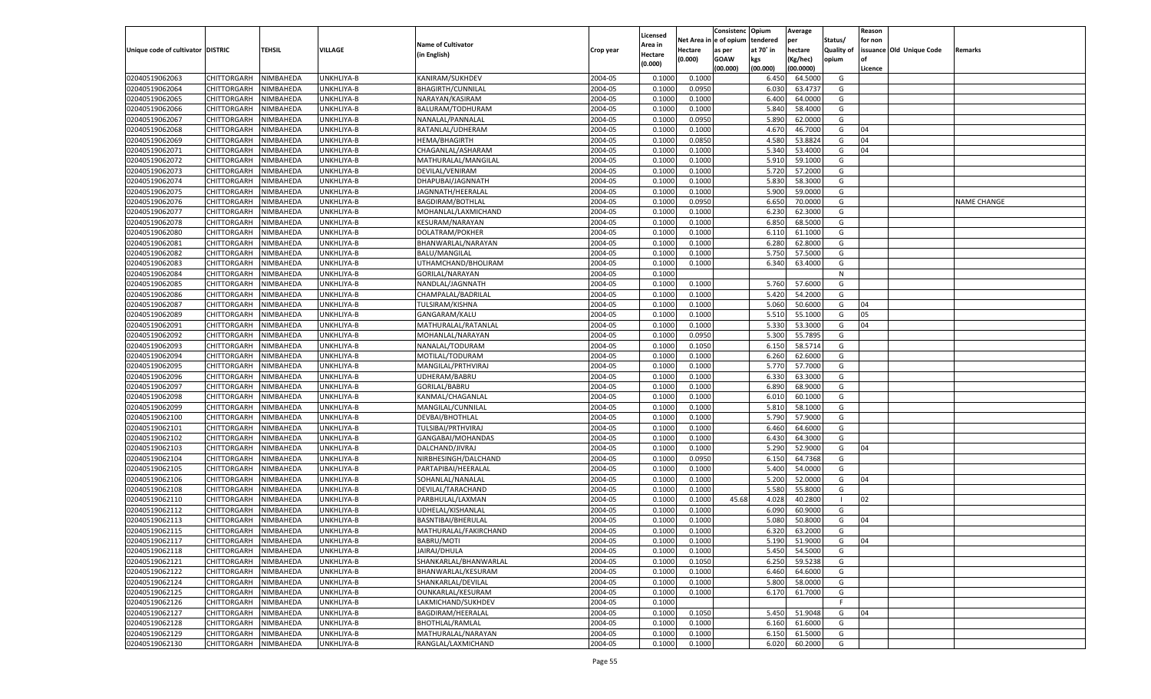|                                   |                       |               |            |                           |           |                |          | Consistenc  | Opium     | Average   |                   | Reason  |                          |                    |
|-----------------------------------|-----------------------|---------------|------------|---------------------------|-----------|----------------|----------|-------------|-----------|-----------|-------------------|---------|--------------------------|--------------------|
|                                   |                       |               |            |                           |           | Licensed       | Net Area | e of opium  | tendered  | per       | Status/           | for non |                          |                    |
| Unique code of cultivator DISTRIC |                       | <b>TEHSIL</b> | VILLAGE    | <b>Name of Cultivator</b> | Crop year | <b>Area in</b> | Hectare  | as per      | at 70° in | hectare   | <b>Quality of</b> |         | issuance Old Unique Code | Remarks            |
|                                   |                       |               |            | (in English)              |           | Hectare        | (0.000)  | <b>GOAW</b> | kgs       | (Kg/hec)  | opium             |         |                          |                    |
|                                   |                       |               |            |                           |           | (0.000)        |          | (00.000)    | (00.000)  | (00.0000) |                   | Licence |                          |                    |
| 02040519062063                    | CHITTORGARH           | NIMBAHEDA     | UNKHLIYA-B | KANIRAM/SUKHDEV           | 2004-05   | 0.1000         | 0.1000   |             | 6.450     | 64.5000   | G                 |         |                          |                    |
| 02040519062064                    | CHITTORGARH           | NIMBAHEDA     | UNKHLIYA-B | <b>BHAGIRTH/CUNNILAL</b>  | 2004-05   | 0.1000         | 0.0950   |             | 6.030     | 63.4737   | G                 |         |                          |                    |
| 02040519062065                    | CHITTORGARH           | NIMBAHEDA     | UNKHLIYA-B | NARAYAN/KASIRAM           | 2004-05   | 0.1000         | 0.1000   |             | 6.400     | 64.0000   | G                 |         |                          |                    |
| 02040519062066                    | CHITTORGARH           | NIMBAHEDA     | UNKHLIYA-B | BALURAM/TODHURAM          | 2004-05   | 0.1000         | 0.1000   |             | 5.84      | 58.4000   | G                 |         |                          |                    |
| 02040519062067                    | CHITTORGARH           | NIMBAHEDA     | UNKHLIYA-B | NANALAL/PANNALAI          | 2004-05   | 0.1000         | 0.0950   |             | 5.890     | 62.0000   | G                 |         |                          |                    |
| 02040519062068                    | CHITTORGARH           | NIMBAHEDA     | UNKHLIYA-B | RATANLAL/UDHERAM          | 2004-05   | 0.1000         | 0.1000   |             | 4.67      | 46.7000   | G                 | 04      |                          |                    |
| 02040519062069                    | CHITTORGARH           | NIMBAHEDA     | UNKHLIYA-B | HEMA/BHAGIRTH             | 2004-05   | 0.1000         | 0.0850   |             | 4.580     | 53.8824   | G                 | 04      |                          |                    |
| 02040519062071                    | CHITTORGARH           | NIMBAHEDA     | UNKHLIYA-B | CHAGANLAL/ASHARAM         | 2004-05   | 0.1000         | 0.1000   |             | 5.340     | 53.4000   | G                 | 04      |                          |                    |
| 02040519062072                    | CHITTORGARH           | NIMBAHEDA     | UNKHLIYA-B | MATHURALAL/MANGILAL       | 2004-05   | 0.1000         | 0.1000   |             | 5.910     | 59.1000   | G                 |         |                          |                    |
|                                   | CHITTORGARH           |               |            |                           |           |                |          |             |           |           |                   |         |                          |                    |
| 02040519062073                    |                       | NIMBAHEDA     | UNKHLIYA-B | DEVILAL/VENIRAM           | 2004-05   | 0.1000         | 0.1000   |             | 5.720     | 57.2000   | G                 |         |                          |                    |
| 02040519062074                    | CHITTORGARH           | NIMBAHEDA     | UNKHLIYA-B | DHAPUBAI/JAGNNATH         | 2004-05   | 0.1000         | 0.1000   |             | 5.830     | 58.3000   | G                 |         |                          |                    |
| 02040519062075                    | CHITTORGARH           | NIMBAHEDA     | UNKHLIYA-B | JAGNNATH/HEERALAL         | 2004-05   | 0.1000         | 0.1000   |             | 5.900     | 59.0000   | G                 |         |                          |                    |
| 02040519062076                    | CHITTORGARH           | NIMBAHEDA     | UNKHLIYA-B | BAGDIRAM/BOTHLAL          | 2004-05   | 0.1000         | 0.0950   |             | 6.650     | 70.0000   | G                 |         |                          | <b>NAME CHANGE</b> |
| 02040519062077                    | CHITTORGARH           | NIMBAHEDA     | UNKHLIYA-B | MOHANLAL/LAXMICHAND       | 2004-05   | 0.1000         | 0.1000   |             | 6.23      | 62.3000   | G                 |         |                          |                    |
| 02040519062078                    | CHITTORGARH           | NIMBAHEDA     | UNKHLIYA-B | KESURAM/NARAYAN           | 2004-05   | 0.1000         | 0.1000   |             | 6.850     | 68.5000   | G                 |         |                          |                    |
| 02040519062080                    | CHITTORGARH           | NIMBAHEDA     | UNKHLIYA-B | DOLATRAM/POKHER           | 2004-05   | 0.1000         | 0.1000   |             | 6.110     | 61.1000   | G                 |         |                          |                    |
| 02040519062081                    | CHITTORGARH           | NIMBAHEDA     | UNKHLIYA-B | BHANWARLAL/NARAYAN        | 2004-05   | 0.1000         | 0.1000   |             | 6.280     | 62.8000   | G                 |         |                          |                    |
| 02040519062082                    | CHITTORGARH           | NIMBAHEDA     | UNKHLIYA-B | <b>BALU/MANGILAL</b>      | 2004-05   | 0.1000         | 0.1000   |             | 5.750     | 57.5000   | G                 |         |                          |                    |
| 02040519062083                    | CHITTORGARH           | NIMBAHEDA     | UNKHLIYA-B | UTHAMCHAND/BHOLIRAM       | 2004-05   | 0.1000         | 0.1000   |             | 6.340     | 63.4000   | G                 |         |                          |                    |
| 02040519062084                    | CHITTORGARH           | NIMBAHEDA     | UNKHLIYA-B | GORILAL/NARAYAN           | 2004-05   | 0.1000         |          |             |           |           | N                 |         |                          |                    |
| 02040519062085                    | CHITTORGARH           | NIMBAHEDA     | UNKHLIYA-B | NANDLAL/JAGNNATH          | 2004-05   | 0.1000         | 0.1000   |             | 5.760     | 57.6000   | G                 |         |                          |                    |
| 02040519062086                    | CHITTORGARH           | NIMBAHEDA     | UNKHLIYA-B | CHAMPALAL/BADRILAL        | 2004-05   | 0.1000         | 0.1000   |             | 5.420     | 54.2000   | G                 |         |                          |                    |
| 02040519062087                    | CHITTORGARH           | NIMBAHEDA     | UNKHLIYA-B | TULSIRAM/KISHNA           | 2004-05   | 0.1000         | 0.1000   |             | 5.060     | 50.6000   | G                 | 04      |                          |                    |
| 02040519062089                    | CHITTORGARH           | NIMBAHEDA     | UNKHLIYA-B | GANGARAM/KALU             | 2004-05   | 0.1000         | 0.1000   |             | 5.510     | 55.1000   | G                 | 05      |                          |                    |
| 02040519062091                    | CHITTORGARH           | NIMBAHEDA     | UNKHLIYA-B | MATHURALAL/RATANLAL       | 2004-05   | 0.1000         | 0.1000   |             | 5.330     | 53.3000   | G                 | 04      |                          |                    |
| 02040519062092                    | CHITTORGARH           | NIMBAHEDA     | UNKHLIYA-B | MOHANLAL/NARAYAN          | 2004-05   | 0.1000         | 0.0950   |             | 5.300     | 55.7895   | G                 |         |                          |                    |
| 02040519062093                    | CHITTORGARH           | NIMBAHEDA     | UNKHLIYA-B | NANALAL/TODURAM           | 2004-05   | 0.1000         | 0.1050   |             | 6.150     | 58.5714   | G                 |         |                          |                    |
| 02040519062094                    | CHITTORGARH           | NIMBAHEDA     | UNKHLIYA-B | MOTILAL/TODURAM           | 2004-05   | 0.1000         | 0.1000   |             | 6.260     | 62.6000   | G                 |         |                          |                    |
| 02040519062095                    | CHITTORGARH           | NIMBAHEDA     | UNKHLIYA-B | MANGILAL/PRTHVIRAJ        | 2004-05   | 0.1000         | 0.1000   |             | 5.770     | 57.7000   | G                 |         |                          |                    |
| 02040519062096                    | CHITTORGARH           | NIMBAHEDA     | UNKHLIYA-B | UDHERAM/BABRU             | 2004-05   | 0.1000         | 0.1000   |             | 6.330     | 63.3000   | G                 |         |                          |                    |
| 02040519062097                    | CHITTORGARH           | NIMBAHEDA     | UNKHLIYA-B | GORILAL/BABRU             | 2004-05   | 0.1000         | 0.1000   |             | 6.890     | 68.9000   | G                 |         |                          |                    |
| 02040519062098                    | CHITTORGARH           | NIMBAHEDA     | UNKHLIYA-B | KANMAL/CHAGANLAL          | 2004-05   | 0.1000         | 0.1000   |             | 6.010     | 60.1000   | G                 |         |                          |                    |
| 02040519062099                    |                       | NIMBAHEDA     |            |                           | 2004-05   | 0.1000         | 0.1000   |             | 5.810     | 58.1000   | G                 |         |                          |                    |
|                                   | CHITTORGARH           |               | UNKHLIYA-B | MANGILAL/CUNNILAI         |           |                |          |             |           |           |                   |         |                          |                    |
| 02040519062100                    | CHITTORGARH           | NIMBAHEDA     | UNKHLIYA-B | DEVBAI/BHOTHLAL           | 2004-05   | 0.1000         | 0.1000   |             | 5.790     | 57.9000   | G                 |         |                          |                    |
| 02040519062101                    | CHITTORGARH           | NIMBAHEDA     | UNKHLIYA-B | TULSIBAI/PRTHVIRAJ        | 2004-05   | 0.1000         | 0.1000   |             | 6.460     | 64.6000   | G                 |         |                          |                    |
| 02040519062102                    | CHITTORGARH           | NIMBAHEDA     | UNKHLIYA-B | GANGABAI/MOHANDAS         | 2004-05   | 0.1000         | 0.1000   |             | 6.430     | 64.3000   | G                 |         |                          |                    |
| 02040519062103                    | CHITTORGARH           | NIMBAHEDA     | UNKHLIYA-B | DALCHAND/JIVRAJ           | 2004-05   | 0.1000         | 0.1000   |             | 5.290     | 52.9000   | G                 | 04      |                          |                    |
| 02040519062104                    | CHITTORGARH           | NIMBAHEDA     | UNKHLIYA-B | NIRBHESINGH/DALCHAND      | 2004-05   | 0.1000         | 0.0950   |             | 6.150     | 64.7368   | G                 |         |                          |                    |
| 02040519062105                    | CHITTORGARH           | NIMBAHEDA     | UNKHLIYA-B | PARTAPIBAI/HEERALAI       | 2004-05   | 0.1000         | 0.1000   |             | 5.400     | 54.0000   | G                 |         |                          |                    |
| 02040519062106                    | CHITTORGARH           | NIMBAHEDA     | UNKHLIYA-B | SOHANLAL/NANALAL          | 2004-05   | 0.1000         | 0.1000   |             | 5.200     | 52.0000   | G                 | 04      |                          |                    |
| 02040519062108                    | CHITTORGARH           | NIMBAHEDA     | UNKHLIYA-B | DEVILAL/TARACHAND         | 2004-05   | 0.1000         | 0.1000   |             | 5.580     | 55.8000   | G                 |         |                          |                    |
| 02040519062110                    | CHITTORGARH           | NIMBAHEDA     | UNKHLIYA-B | PARBHULAL/LAXMAN          | 2004-05   | 0.1000         | 0.1000   | 45.68       | 4.028     | 40.2800   | - 1               | 02      |                          |                    |
| 02040519062112                    | CHITTORGARH           | NIMBAHEDA     | UNKHLIYA-B | UDHELAL/KISHANLAL         | 2004-05   | 0.1000         | 0.1000   |             | 6.090     | 60.9000   | G                 |         |                          |                    |
| 02040519062113                    | CHITTORGARH           | NIMBAHEDA     | UNKHLIYA-B | BASNTIBAI/BHERULAL        | 2004-05   | 0.1000         | 0.1000   |             | 5.08      | 50.8000   | G                 | 04      |                          |                    |
| 02040519062115                    | CHITTORGARH           | NIMBAHEDA     | UNKHLIYA-B | MATHURALAL/FAKIRCHAND     | 2004-05   | 0.1000         | 0.1000   |             | 6.320     | 63.2000   | G                 |         |                          |                    |
| 02040519062117                    | CHITTORGARH NIMBAHEDA |               | UNKHLIYA-B | BABRU/MOTI                | 2004-05   | 0.1000         | 0.1000   |             | 5.190     | 51.9000   | G                 | 04      |                          |                    |
| 02040519062118                    | <b>CHITTORGARH</b>    | NIMBAHEDA     | UNKHLIYA-B | JAIRAJ/DHULA              | 2004-05   | 0.1000         | 0.1000   |             | 5.450     | 54.5000   | G                 |         |                          |                    |
| 02040519062121                    | CHITTORGARH           | NIMBAHEDA     | UNKHLIYA-B | SHANKARLAL/BHANWARLAL     | 2004-05   | 0.1000         | 0.1050   |             | 6.250     | 59.5238   | G                 |         |                          |                    |
| 02040519062122                    | <b>CHITTORGARH</b>    | NIMBAHEDA     | UNKHLIYA-B | BHANWARLAL/KESURAM        | 2004-05   | 0.1000         | 0.1000   |             | 6.460     | 64.6000   | G                 |         |                          |                    |
| 02040519062124                    | <b>CHITTORGARH</b>    | NIMBAHEDA     | UNKHLIYA-B | SHANKARLAL/DEVILAL        | 2004-05   | 0.1000         | 0.1000   |             | 5.800     | 58.0000   | G                 |         |                          |                    |
| 02040519062125                    | <b>CHITTORGARH</b>    | NIMBAHEDA     | UNKHLIYA-B | OUNKARLAL/KESURAM         | 2004-05   | 0.1000         | 0.1000   |             | 6.170     | 61.7000   | G                 |         |                          |                    |
| 02040519062126                    | <b>CHITTORGARH</b>    | NIMBAHEDA     | UNKHLIYA-B | LAKMICHAND/SUKHDEV        | 2004-05   | 0.1000         |          |             |           |           | F.                |         |                          |                    |
| 02040519062127                    | <b>CHITTORGARH</b>    | NIMBAHEDA     | UNKHLIYA-B | BAGDIRAM/HEERALAL         | 2004-05   | 0.1000         | 0.1050   |             | 5.450     | 51.9048   | G                 | 04      |                          |                    |
| 02040519062128                    | <b>CHITTORGARH</b>    | NIMBAHEDA     | UNKHLIYA-B | BHOTHLAL/RAMLAL           | 2004-05   | 0.1000         | 0.1000   |             | 6.160     | 61.6000   | G                 |         |                          |                    |
|                                   |                       |               |            | MATHURALAL/NARAYAN        |           |                |          |             |           |           |                   |         |                          |                    |
| 02040519062129                    | <b>CHITTORGARH</b>    | NIMBAHEDA     | UNKHLIYA-B |                           | 2004-05   | 0.1000         | 0.1000   |             | 6.150     | 61.5000   | G                 |         |                          |                    |
| 02040519062130                    | CHITTORGARH           | NIMBAHEDA     | UNKHLIYA-B | RANGLAL/LAXMICHAND        | 2004-05   | 0.1000         | 0.1000   |             | 6.020     | 60.2000   | G                 |         |                          |                    |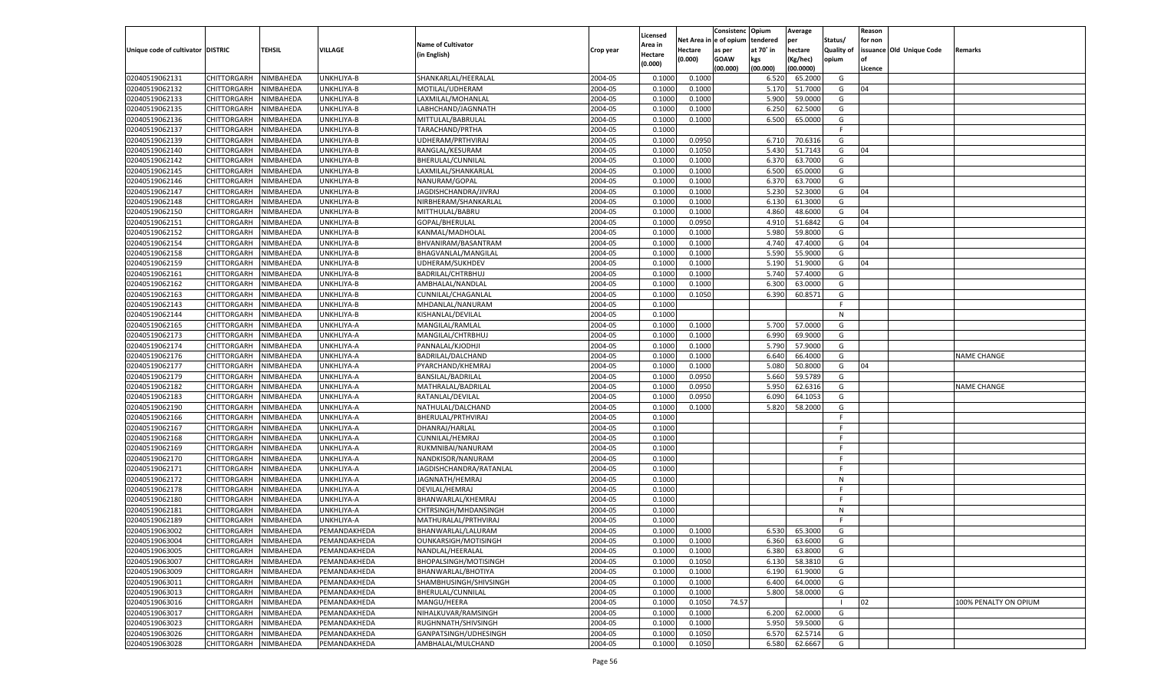|                                   |                       |               |              |                                            |           |                     |          | Consistenc  | Opium     | Average   |                   | Reason  |                          |                       |
|-----------------------------------|-----------------------|---------------|--------------|--------------------------------------------|-----------|---------------------|----------|-------------|-----------|-----------|-------------------|---------|--------------------------|-----------------------|
|                                   |                       |               |              | <b>Name of Cultivator</b>                  |           | Licensed<br>\rea in | Net Area | e of opium  | tendered  | per       | Status/           | for non |                          |                       |
| Unique code of cultivator DISTRIC |                       | <b>TEHSIL</b> | VILLAGE      | (in English)                               | Crop year | Hectare             | Hectare  | as per      | at 70° in | hectare   | <b>Quality of</b> |         | issuance Old Unique Code | Remarks               |
|                                   |                       |               |              |                                            |           | (0.000)             | (0.000)  | <b>GOAW</b> | kgs       | (Kg/hec)  | opium             |         |                          |                       |
|                                   |                       |               |              |                                            |           |                     |          | (00.000)    | (00.000)  | (00.0000) |                   | Licence |                          |                       |
| 02040519062131                    | CHITTORGARH           | NIMBAHEDA     | UNKHLIYA-B   | SHANKARLAL/HEERALAL                        | 2004-05   | 0.1000              | 0.1000   |             | 6.520     | 65.2000   | G                 |         |                          |                       |
| 02040519062132                    | CHITTORGARH           | NIMBAHEDA     | UNKHLIYA-B   | MOTILAL/UDHERAM                            | 2004-05   | 0.1000              | 0.1000   |             | 5.170     | 51.7000   | G                 | 04      |                          |                       |
| 02040519062133                    | CHITTORGARH           | NIMBAHEDA     | UNKHLIYA-B   | LAXMILAL/MOHANLAL                          | 2004-05   | 0.1000              | 0.1000   |             | 5.900     | 59.0000   | G                 |         |                          |                       |
| 02040519062135                    | CHITTORGARH           | NIMBAHEDA     | UNKHLIYA-B   | LABHCHAND/JAGNNATH                         | 2004-05   | 0.1000              | 0.1000   |             | 6.25      | 62.5000   | G                 |         |                          |                       |
| 02040519062136                    | CHITTORGARH           | NIMBAHEDA     | UNKHLIYA-B   | MITTULAL/BABRULAL                          | 2004-05   | 0.1000              | 0.1000   |             | 6.500     | 65.0000   | G                 |         |                          |                       |
| 02040519062137                    | CHITTORGARH           | NIMBAHEDA     | UNKHLIYA-B   | TARACHAND/PRTHA                            | 2004-05   | 0.1000              |          |             |           |           | F.                |         |                          |                       |
| 02040519062139                    | CHITTORGARH           | NIMBAHEDA     | UNKHLIYA-B   | UDHERAM/PRTHVIRAJ                          | 2004-05   | 0.1000              | 0.0950   |             | 6.710     | 70.6316   | G                 |         |                          |                       |
| 02040519062140                    | CHITTORGARH           | NIMBAHEDA     | UNKHLIYA-B   | RANGLAL/KESURAM                            | 2004-05   | 0.1000              | 0.1050   |             | 5.430     | 51.7143   | G                 | 04      |                          |                       |
| 02040519062142                    | CHITTORGARH           | NIMBAHEDA     | UNKHLIYA-B   | BHERULAL/CUNNILAL                          | 2004-05   | 0.1000              | 0.1000   |             | 6.370     | 63.7000   | G                 |         |                          |                       |
| 02040519062145                    | CHITTORGARH           | NIMBAHEDA     | UNKHLIYA-B   | LAXMILAL/SHANKARLAL                        | 2004-05   | 0.1000              | 0.1000   |             | 6.500     | 65.0000   | G                 |         |                          |                       |
| 02040519062146                    | CHITTORGARH           | NIMBAHEDA     | UNKHLIYA-B   | NANURAM/GOPAL                              | 2004-05   | 0.1000              | 0.1000   |             | 6.37      | 63.7000   | G                 |         |                          |                       |
| 02040519062147                    | CHITTORGARH           | NIMBAHEDA     | UNKHLIYA-B   | JAGDISHCHANDRA/JIVRAJ                      | 2004-05   | 0.1000              | 0.1000   |             | 5.23      | 52.3000   | G                 | 04      |                          |                       |
| 02040519062148                    | CHITTORGARH           | NIMBAHEDA     | UNKHLIYA-B   | NIRBHERAM/SHANKARLAL                       | 2004-05   | 0.1000              | 0.1000   |             | 6.130     | 61.3000   | G                 |         |                          |                       |
| 02040519062150                    | CHITTORGARH           | NIMBAHEDA     | UNKHLIYA-B   | MITTHULAL/BABRU                            | 2004-05   | 0.1000              | 0.1000   |             | 4.860     | 48.6000   | G                 | 04      |                          |                       |
| 02040519062151                    | CHITTORGARH           | NIMBAHEDA     | UNKHLIYA-B   | GOPAL/BHERULAL                             | 2004-05   | 0.1000              | 0.0950   |             | 4.910     | 51.6842   | G                 | 04      |                          |                       |
| 02040519062152                    | CHITTORGARH           | NIMBAHEDA     | UNKHLIYA-B   | KANMAL/MADHOLAL                            | 2004-05   | 0.1000              | 0.1000   |             | 5.980     | 59.8000   | G                 |         |                          |                       |
| 02040519062154                    | CHITTORGARH           | NIMBAHEDA     | UNKHLIYA-B   | BHVANIRAM/BASANTRAM                        | 2004-05   | 0.1000              | 0.1000   |             | 4.740     | 47.4000   | G                 | 04      |                          |                       |
| 02040519062158                    | CHITTORGARH           | NIMBAHEDA     | UNKHLIYA-B   | BHAGVANLAL/MANGILAL                        | 2004-05   | 0.1000              | 0.1000   |             | 5.590     | 55.9000   | G                 |         |                          |                       |
| 02040519062159                    | CHITTORGARH           | NIMBAHEDA     | UNKHLIYA-B   | UDHERAM/SUKHDEV                            | 2004-05   | 0.1000              | 0.1000   |             | 5.190     | 51.9000   | G                 | 04      |                          |                       |
| 02040519062161                    | CHITTORGARH           | NIMBAHEDA     | UNKHLIYA-B   | BADRILAL/CHTRBHUJ                          | 2004-05   | 0.1000              | 0.1000   |             | 5.740     | 57.4000   | G                 |         |                          |                       |
| 02040519062162                    | CHITTORGARH           | NIMBAHEDA     | UNKHLIYA-B   | AMBHALAL/NANDLAL                           | 2004-05   | 0.1000              | 0.1000   |             | 6.300     | 63.0000   | G                 |         |                          |                       |
| 02040519062163                    | CHITTORGARH           | NIMBAHEDA     | UNKHLIYA-B   | CUNNILAL/CHAGANLAL                         | 2004-05   | 0.1000              | 0.1050   |             | 6.390     | 60.8571   | G                 |         |                          |                       |
| 02040519062143                    | CHITTORGARH           | NIMBAHEDA     | UNKHLIYA-B   | MHDANLAL/NANURAM                           | 2004-05   | 0.1000              |          |             |           |           | F.                |         |                          |                       |
| 02040519062144                    | CHITTORGARH           | NIMBAHEDA     | UNKHLIYA-B   | KISHANLAL/DEVILAL                          | 2004-05   | 0.1000              |          |             |           |           | N                 |         |                          |                       |
| 02040519062165                    | CHITTORGARH           | NIMBAHEDA     | UNKHLIYA-A   | MANGILAL/RAMLAL                            | 2004-05   | 0.1000              | 0.1000   |             | 5.700     | 57.0000   | G                 |         |                          |                       |
| 02040519062173                    | CHITTORGARH           | NIMBAHEDA     | UNKHLIYA-A   | MANGILAL/CHTRBHUJ                          | 2004-05   | 0.1000              | 0.1000   |             | 6.990     | 69.9000   | G                 |         |                          |                       |
| 02040519062174                    | CHITTORGARH           | NIMBAHEDA     | UNKHLIYA-A   | PANNALAL/KJODHJI                           | 2004-05   | 0.1000              | 0.1000   |             | 5.790     | 57.9000   | G                 |         |                          |                       |
| 02040519062176                    | CHITTORGARH           | NIMBAHEDA     | UNKHLIYA-A   | BADRILAL/DALCHAND                          | 2004-05   | 0.1000              | 0.1000   |             | 6.640     | 66.4000   | G                 |         |                          | <b>NAME CHANGE</b>    |
| 02040519062177                    | CHITTORGARH           | NIMBAHEDA     | UNKHLIYA-A   | PYARCHAND/KHEMRAJ                          | 2004-05   | 0.1000              | 0.1000   |             | 5.080     | 50.8000   | G                 | 04      |                          |                       |
| 02040519062179                    | CHITTORGARH           | NIMBAHEDA     | UNKHLIYA-A   | BANSILAL/BADRILAL                          | 2004-05   | 0.1000              | 0.0950   |             | 5.660     | 59.5789   | G                 |         |                          |                       |
| 02040519062182                    | CHITTORGARH           | NIMBAHEDA     | UNKHLIYA-A   | MATHRALAL/BADRILAL                         | 2004-05   | 0.1000              | 0.0950   |             | 5.950     | 62.6316   | G                 |         |                          | <b>NAME CHANGE</b>    |
| 02040519062183                    | CHITTORGARH           | NIMBAHEDA     | UNKHLIYA-A   | RATANLAL/DEVILAL                           | 2004-05   | 0.1000              | 0.0950   |             | 6.090     | 64.1053   | G                 |         |                          |                       |
| 02040519062190                    | CHITTORGARH           | NIMBAHEDA     | UNKHLIYA-A   | NATHULAL/DALCHAND                          | 2004-05   | 0.1000              | 0.1000   |             | 5.820     | 58.2000   | G                 |         |                          |                       |
| 02040519062166                    | CHITTORGARH           | NIMBAHEDA     | UNKHLIYA-A   | BHERULAL/PRTHVIRAJ                         | 2004-05   | 0.1000              |          |             |           |           | F                 |         |                          |                       |
| 02040519062167                    | CHITTORGARH           | NIMBAHEDA     | UNKHLIYA-A   | DHANRAJ/HARLAL                             | 2004-05   | 0.1000              |          |             |           |           | F                 |         |                          |                       |
| 02040519062168                    | CHITTORGARH           | NIMBAHEDA     | UNKHLIYA-A   | CUNNILAL/HEMRAJ                            | 2004-05   | 0.1000              |          |             |           |           | F                 |         |                          |                       |
| 02040519062169                    | CHITTORGARH           | NIMBAHEDA     | UNKHLIYA-A   | RUKMNIBAI/NANURAM                          | 2004-05   | 0.1000              |          |             |           |           | F                 |         |                          |                       |
| 02040519062170                    | CHITTORGARH           | NIMBAHEDA     | UNKHLIYA-A   | NANDKISOR/NANURAM                          | 2004-05   | 0.1000              |          |             |           |           | F                 |         |                          |                       |
| 02040519062171                    | CHITTORGARH           | NIMBAHEDA     | UNKHLIYA-A   | JAGDISHCHANDRA/RATANLAL                    | 2004-05   | 0.1000              |          |             |           |           | F.                |         |                          |                       |
| 02040519062172                    | CHITTORGARH           | NIMBAHEDA     | UNKHLIYA-A   | JAGNNATH/HEMRAJ                            | 2004-05   | 0.1000              |          |             |           |           | N                 |         |                          |                       |
| 02040519062178                    | CHITTORGARH           | NIMBAHEDA     | UNKHLIYA-A   | DEVILAL/HEMRAJ                             | 2004-05   | 0.1000              |          |             |           |           | F                 |         |                          |                       |
| 02040519062180                    |                       |               |              |                                            | 2004-05   |                     |          |             |           |           | F                 |         |                          |                       |
| 02040519062181                    | CHITTORGARH           | NIMBAHEDA     | UNKHLIYA-A   | BHANWARLAL/KHEMRAJ<br>CHTRSINGH/MHDANSINGH | 2004-05   | 0.1000<br>0.1000    |          |             |           |           | N                 |         |                          |                       |
|                                   | CHITTORGARH           | NIMBAHEDA     | UNKHLIYA-A   | MATHURALAL/PRTHVIRAJ                       |           |                     |          |             |           |           | F                 |         |                          |                       |
| 02040519062189                    | CHITTORGARH           | NIMBAHEDA     | UNKHLIYA-A   |                                            | 2004-05   | 0.1000              |          |             |           |           |                   |         |                          |                       |
| 02040519063002                    | CHITTORGARH           | NIMBAHEDA     | PEMANDAKHEDA | BHANWARLAL/LALURAM                         | 2004-05   | 0.1000              | 0.1000   |             | 6.530     | 65.3000   | G                 |         |                          |                       |
| 02040519063004                    | CHITTORGARH NIMBAHEDA |               | PEMANDAKHEDA | OUNKARSIGH/MOTISINGH                       | 2004-05   | 0.1000              | 0.1000   |             | 6.360     | 63.6000   | G                 |         |                          |                       |
| 02040519063005                    | <b>CHITTORGARH</b>    | NIMBAHEDA     | PEMANDAKHEDA | NANDLAL/HEERALAL                           | 2004-05   | 0.1000              | 0.1000   |             | 6.380     | 63.8000   | G                 |         |                          |                       |
| 02040519063007                    | <b>CHITTORGARH</b>    | NIMBAHEDA     | PEMANDAKHEDA | BHOPALSINGH/MOTISINGH                      | 2004-05   | 0.1000              | 0.1050   |             | 6.130     | 58.3810   | G                 |         |                          |                       |
| 02040519063009                    | <b>CHITTORGARH</b>    | NIMBAHEDA     | PEMANDAKHEDA | BHANWARLAL/BHOTIYA                         | 2004-05   | 0.1000              | 0.1000   |             | 6.190     | 61.9000   | G                 |         |                          |                       |
| 02040519063011                    | <b>CHITTORGARH</b>    | NIMBAHEDA     | PEMANDAKHEDA | SHAMBHUSINGH/SHIVSINGH                     | 2004-05   | 0.1000              | 0.1000   |             | 6.400     | 64.0000   | G                 |         |                          |                       |
| 02040519063013                    | <b>CHITTORGARH</b>    | NIMBAHEDA     | PEMANDAKHEDA | BHERULAL/CUNNILAL                          | 2004-05   | 0.1000              | 0.1000   |             | 5.800     | 58.0000   | G                 |         |                          |                       |
| 02040519063016                    | <b>CHITTORGARH</b>    | NIMBAHEDA     | PEMANDAKHEDA | MANGU/HEERA                                | 2004-05   | 0.1000              | 0.1050   | 74.57       |           |           | - 1               | 02      |                          | 100% PENALTY ON OPIUM |
| 02040519063017                    | <b>CHITTORGARH</b>    | NIMBAHEDA     | PEMANDAKHEDA | NIHALKUVAR/RAMSINGH                        | 2004-05   | 0.1000              | 0.1000   |             | 6.200     | 62.0000   | G                 |         |                          |                       |
| 02040519063023                    | <b>CHITTORGARH</b>    | NIMBAHEDA     | PEMANDAKHEDA | RUGHNNATH/SHIVSINGH                        | 2004-05   | 0.1000              | 0.1000   |             | 5.950     | 59.5000   | G                 |         |                          |                       |
| 02040519063026                    | <b>CHITTORGARH</b>    | NIMBAHEDA     | PEMANDAKHEDA | GANPATSINGH/UDHESINGH                      | 2004-05   | 0.1000              | 0.1050   |             | 6.570     | 62.5714   | G                 |         |                          |                       |
| 02040519063028                    | CHITTORGARH           | NIMBAHEDA     | PEMANDAKHEDA | AMBHALAL/MULCHAND                          | 2004-05   | 0.1000              | 0.1050   |             | 6.580     | 62.6667   | G                 |         |                          |                       |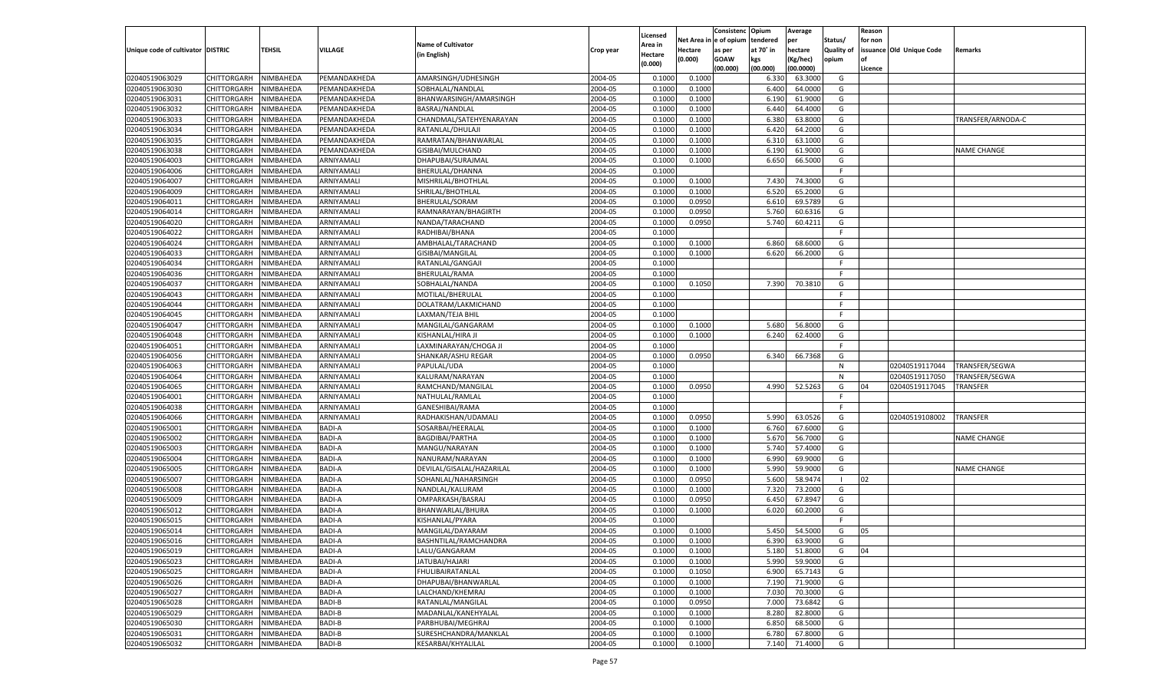|                                   |                       |           |                |                           |                    |                    |             | Consistenc    | Opium     | Average   |                   | Reason  |                          |                    |
|-----------------------------------|-----------------------|-----------|----------------|---------------------------|--------------------|--------------------|-------------|---------------|-----------|-----------|-------------------|---------|--------------------------|--------------------|
|                                   |                       |           |                | <b>Name of Cultivator</b> |                    | Licensed           | Net Area iı | n  e of opium | tendered  | per       | Status/           | for non |                          |                    |
| Unique code of cultivator DISTRIC |                       | TEHSIL    | <b>VILLAGE</b> | (in English)              | Crop year          | Area in<br>Hectare | Hectare     | as per        | at 70° in | hectare   | <b>Quality of</b> |         | issuance Old Unique Code | Remarks            |
|                                   |                       |           |                |                           |                    | (0.000)            | (0.000)     | <b>GOAW</b>   | kgs       | (Kg/hec)  | opium             |         |                          |                    |
|                                   |                       |           |                |                           |                    |                    |             | (00.000)      | (00.000)  | (00.0000) |                   | Licence |                          |                    |
| 02040519063029                    | CHITTORGARH           | NIMBAHEDA | PEMANDAKHEDA   | AMARSINGH/UDHESINGH       | 2004-05            | 0.1000             | 0.1000      |               | 6.330     | 63.3000   | G                 |         |                          |                    |
| 02040519063030                    | CHITTORGARH           | NIMBAHEDA | PEMANDAKHEDA   | SOBHALAL/NANDLAL          | 2004-05            | 0.1000             | 0.1000      |               | 6.400     | 64.0000   | G                 |         |                          |                    |
| 02040519063031                    | CHITTORGARH           | NIMBAHEDA | PEMANDAKHEDA   | BHANWARSINGH/AMARSINGH    | 2004-05            | 0.1000             | 0.1000      |               | 6.190     | 61.9000   | G                 |         |                          |                    |
| 02040519063032                    | CHITTORGARH           | NIMBAHEDA | PEMANDAKHEDA   | BASRAJ/NANDLAL            | 2004-05            | 0.1000             | 0.1000      |               | 6.440     | 64.4000   | G                 |         |                          |                    |
| 02040519063033                    | CHITTORGARH           | NIMBAHEDA | PEMANDAKHEDA   | CHANDMAL/SATEHYENARAYAN   | 2004-05            | 0.1000             | 0.1000      |               | 6.380     | 63.8000   | G                 |         |                          | TRANSFER/ARNODA-C  |
| 02040519063034                    | CHITTORGARH           | NIMBAHEDA | PEMANDAKHEDA   | RATANLAL/DHULAJI          | 2004-05            | 0.1000             | 0.1000      |               | 6.420     | 64.2000   | G                 |         |                          |                    |
| 02040519063035                    | CHITTORGARH           | NIMBAHEDA | PEMANDAKHEDA   | RAMRATAN/BHANWARLAL       | 2004-05            | 0.1000             | 0.1000      |               | 6.310     | 63.1000   | G                 |         |                          |                    |
| 02040519063038                    | CHITTORGARH           | NIMBAHEDA | PEMANDAKHEDA   | GISIBAI/MULCHAND          | 2004-05            | 0.1000             | 0.1000      |               | 6.190     | 61.9000   | G                 |         |                          | NAME CHANGE        |
| 02040519064003                    | CHITTORGARH           | NIMBAHEDA | ARNIYAMALI     | DHAPUBAI/SURAJMAL         | 2004-05            | 0.1000             | 0.1000      |               | 6.650     | 66.5000   | G                 |         |                          |                    |
| 02040519064006                    | CHITTORGARH           | NIMBAHEDA | ARNIYAMALI     | <b>BHERULAL/DHANNA</b>    | 2004-05            | 0.1000             |             |               |           |           | F.                |         |                          |                    |
| 02040519064007                    | CHITTORGARH           | NIMBAHEDA | ARNIYAMALI     | MISHRILAL/BHOTHLAL        | 2004-05            | 0.1000             | 0.1000      |               | 7.430     | 74.3000   | G                 |         |                          |                    |
| 02040519064009                    | CHITTORGARH           | NIMBAHEDA | ARNIYAMALI     | SHRILAL/BHOTHLAL          | 2004-05            | 0.1000             | 0.1000      |               | 6.520     | 65.2000   | G                 |         |                          |                    |
| 02040519064011                    | CHITTORGARH           | NIMBAHEDA | ARNIYAMALI     | BHERULAL/SORAM            | 2004-05            | 0.1000             | 0.0950      |               | 6.610     | 69.5789   | G                 |         |                          |                    |
| 02040519064014                    | CHITTORGARH           | NIMBAHEDA | ARNIYAMALI     | RAMNARAYAN/BHAGIRTH       | 2004-05            | 0.1000             | 0.0950      |               | 5.760     | 60.6316   | G                 |         |                          |                    |
| 02040519064020                    | CHITTORGARH           | NIMBAHEDA | ARNIYAMALI     | NANDA/TARACHAND           | 2004-05            | 0.1000             | 0.0950      |               | 5.740     | 60.4211   | G                 |         |                          |                    |
| 02040519064022                    | CHITTORGARH           | NIMBAHEDA | ARNIYAMALI     | RADHIBAI/BHANA            | 2004-05            | 0.1000             |             |               |           |           | F.                |         |                          |                    |
| 02040519064024                    | CHITTORGARH           | NIMBAHEDA | ARNIYAMALI     | AMBHALAL/TARACHAND        | 2004-05            | 0.1000             | 0.1000      |               | 6.860     | 68.6000   | G                 |         |                          |                    |
| 02040519064033                    | CHITTORGARH           | NIMBAHEDA | ARNIYAMALI     | GISIBAI/MANGILAL          | 2004-05            | 0.1000             | 0.1000      |               | 6.620     | 66.2000   | G                 |         |                          |                    |
| 02040519064034                    | CHITTORGARH           | NIMBAHEDA | ARNIYAMALI     | RATANLAL/GANGAJI          | 2004-05            | 0.1000             |             |               |           |           | F.                |         |                          |                    |
| 02040519064036                    | CHITTORGARH           | NIMBAHEDA | ARNIYAMALI     | BHERULAL/RAMA             | 2004-05            | 0.1000             |             |               |           |           | F.                |         |                          |                    |
| 02040519064037                    | CHITTORGARH           | NIMBAHEDA | ARNIYAMALI     | SOBHALAL/NANDA            | 2004-05            | 0.1000             | 0.1050      |               | 7.390     | 70.3810   | G                 |         |                          |                    |
| 02040519064043                    | CHITTORGARH           | NIMBAHEDA | ARNIYAMALI     | MOTILAL/BHERULAL          | 2004-05            | 0.1000             |             |               |           |           | F.                |         |                          |                    |
| 02040519064044                    | CHITTORGARH           | NIMBAHEDA | ARNIYAMALI     | DOLATRAM/LAKMICHAND       | 2004-05            | 0.1000             |             |               |           |           | F.                |         |                          |                    |
| 02040519064045                    | CHITTORGARH           | NIMBAHEDA | ARNIYAMALI     | LAXMAN/TEJA BHIL          | 2004-05            | 0.1000             |             |               |           |           | F.                |         |                          |                    |
| 02040519064047                    | CHITTORGARH           | NIMBAHEDA | ARNIYAMALI     | MANGILAL/GANGARAM         | 2004-05            | 0.1000             | 0.1000      |               | 5.680     | 56.8000   | G                 |         |                          |                    |
| 02040519064048                    | CHITTORGARH           | NIMBAHEDA | ARNIYAMALI     | KISHANLAL/HIRA JI         | 2004-05            | 0.1000             | 0.1000      |               | 6.240     | 62.4000   | G                 |         |                          |                    |
| 02040519064051                    | CHITTORGARH           | NIMBAHEDA | ARNIYAMALI     | LAXMINARAYAN/CHOGA JI     | 2004-05            | 0.1000             |             |               |           |           | F.                |         |                          |                    |
| 02040519064056                    | CHITTORGARH           | NIMBAHEDA | ARNIYAMALI     | SHANKAR/ASHU REGAR        | 2004-05            | 0.1000             | 0.0950      |               | 6.340     | 66.7368   | G                 |         |                          |                    |
| 02040519064063                    | CHITTORGARH           | NIMBAHEDA | ARNIYAMALI     | PAPULAL/UDA               | 2004-05            | 0.1000             |             |               |           |           | N                 |         | 02040519117044           | TRANSFER/SEGWA     |
| 02040519064064                    | CHITTORGARH           | NIMBAHEDA | ARNIYAMALI     | KALURAM/NARAYAN           | 2004-05            | 0.1000             |             |               |           |           | N                 |         | 02040519117050           | TRANSFER/SEGWA     |
| 02040519064065                    | CHITTORGARH           | NIMBAHEDA | ARNIYAMALI     | RAMCHAND/MANGILAL         | 2004-05            | 0.1000             | 0.0950      |               | 4.990     | 52.5263   | G                 | 04      | 02040519117045           | TRANSFER           |
| 02040519064001                    | CHITTORGARH           | NIMBAHEDA | ARNIYAMALI     | NATHULAL/RAMLAL           | 2004-05            | 0.1000             |             |               |           |           | F                 |         |                          |                    |
| 02040519064038                    | CHITTORGARH           | NIMBAHEDA | ARNIYAMALI     | GANESHIBAI/RAMA           | 2004-05            | 0.1000             |             |               |           |           | F                 |         |                          |                    |
| 02040519064066                    | CHITTORGARH           | NIMBAHEDA | ARNIYAMALI     | RADHAKISHAN/UDAMALI       | 2004-05            | 0.1000             | 0.0950      |               | 5.990     | 63.0526   | G                 |         | 02040519108002           | <b>TRANSFER</b>    |
| 02040519065001                    | CHITTORGARH           | NIMBAHEDA | <b>BADI-A</b>  | SOSARBAI/HEERALAI         | 2004-05            | 0.1000             | 0.1000      |               | 6.760     | 67.6000   | G                 |         |                          |                    |
| 02040519065002                    | CHITTORGARH           | NIMBAHEDA | <b>BADI-A</b>  | <b>BAGDIBAI/PARTHA</b>    | 2004-05            | 0.1000             | 0.1000      |               | 5.670     | 56.7000   | G                 |         |                          | <b>NAME CHANGE</b> |
| 02040519065003                    | CHITTORGARH           | NIMBAHEDA | <b>BADI-A</b>  | MANGU/NARAYAN             | 2004-05            | 0.1000             | 0.1000      |               | 5.740     | 57.4000   | G                 |         |                          |                    |
| 02040519065004                    | CHITTORGARH           | NIMBAHEDA | <b>BADI-A</b>  | NANURAM/NARAYAN           | 2004-05            | 0.1000             | 0.1000      |               | 6.990     | 69.9000   | G                 |         |                          |                    |
| 02040519065005                    | CHITTORGARH           | NIMBAHEDA | <b>BADI-A</b>  | DEVILAL/GISALAL/HAZARILAL | 2004-05            | 0.1000             | 0.1000      |               | 5.990     | 59.9000   | G                 |         |                          | <b>NAME CHANGE</b> |
| 02040519065007                    | CHITTORGARH           | NIMBAHEDA | <b>BADI-A</b>  | SOHANLAL/NAHARSINGH       | 2004-05            | 0.1000             | 0.0950      |               | 5.600     | 58.9474   | - 1               | 02      |                          |                    |
| 02040519065008                    | CHITTORGARH           | NIMBAHEDA | <b>BADI-A</b>  | NANDLAL/KALURAM           | 2004-05            | 0.1000             | 0.1000      |               | 7.320     | 73.2000   | G                 |         |                          |                    |
| 02040519065009                    | CHITTORGARH           | NIMBAHEDA | <b>BADI-A</b>  | OMPARKASH/BASRAJ          | 2004-05            | 0.1000             | 0.0950      |               | 6.450     | 67.8947   | G                 |         |                          |                    |
| 02040519065012                    | CHITTORGARH           | NIMBAHEDA | <b>BADI-A</b>  | BHANWARLAL/BHURA          | 2004-05            | 0.1000             | 0.1000      |               | 6.020     | 60.2000   | G                 |         |                          |                    |
| 02040519065015                    |                       |           | <b>BADI-A</b>  | KISHANLAL/PYARA           |                    | 0.1000             |             |               |           |           | F                 |         |                          |                    |
|                                   | CHITTORGARH           | NIMBAHEDA | <b>BADI-A</b>  |                           | 2004-05<br>2004-05 |                    |             |               |           | 54.5000   |                   |         |                          |                    |
| 02040519065014                    | CHITTORGARH           | NIMBAHEDA |                | MANGILAL/DAYARAM          |                    | 0.1000             | 0.1000      |               | 5.450     |           | G                 | 05      |                          |                    |
| 02040519065016                    | CHITTORGARH NIMBAHEDA |           | <b>BADI-A</b>  | BASHNTILAL/RAMCHANDRA     | 2004-05            | 0.1000             | 0.1000      |               | 6.390     | 63.9000   | G                 |         |                          |                    |
| 02040519065019                    | <b>CHITTORGARH</b>    | NIMBAHEDA | <b>BADI-A</b>  | LALU/GANGARAM             | 2004-05            | 0.1000             | 0.1000      |               | 5.180     | 51.8000   | G                 | 04      |                          |                    |
| 02040519065023                    | CHITTORGARH           | NIMBAHEDA | <b>BADI-A</b>  | JATUBAI/HAJARI            | 2004-05            | 0.1000             | 0.1000      |               | 5.990     | 59.9000   | G                 |         |                          |                    |
| 02040519065025                    | CHITTORGARH           | NIMBAHEDA | <b>BADI-A</b>  | FHULIBAIRATANLAL          | 2004-05            | 0.1000             | 0.1050      |               | 6.900     | 65.7143   | G                 |         |                          |                    |
| 02040519065026                    | <b>CHITTORGARH</b>    | NIMBAHEDA | <b>BADI-A</b>  | DHAPUBAI/BHANWARLAL       | 2004-05            | 0.1000             | 0.1000      |               | 7.190     | 71.9000   | G                 |         |                          |                    |
| 02040519065027                    | <b>CHITTORGARH</b>    | NIMBAHEDA | <b>BADI-A</b>  | LALCHAND/KHEMRAJ          | 2004-05            | 0.1000             | 0.1000      |               | 7.030     | 70.3000   | G                 |         |                          |                    |
| 02040519065028                    | CHITTORGARH           | NIMBAHEDA | <b>BADI-B</b>  | RATANLAL/MANGILAL         | 2004-05            | 0.1000             | 0.0950      |               | 7.000     | 73.6842   | G                 |         |                          |                    |
| 02040519065029                    | CHITTORGARH           | NIMBAHEDA | <b>BADI-B</b>  | MADANLAL/KANEHYALAL       | 2004-05            | 0.1000             | 0.1000      |               | 8.280     | 82.8000   | G                 |         |                          |                    |
| 02040519065030                    | CHITTORGARH           | NIMBAHEDA | <b>BADI-B</b>  | PARBHUBAI/MEGHRAJ         | 2004-05            | 0.1000             | 0.1000      |               | 6.850     | 68.5000   | G                 |         |                          |                    |
| 02040519065031                    | <b>CHITTORGARH</b>    | NIMBAHEDA | <b>BADI-B</b>  | SURESHCHANDRA/MANKLAL     | 2004-05            | 0.1000             | 0.1000      |               | 6.780     | 67.8000   | G                 |         |                          |                    |
| 02040519065032                    | <b>CHITTORGARH</b>    | NIMBAHEDA | <b>BADI-B</b>  | KESARBAI/KHYALILAL        | 2004-05            | 0.1000             | 0.1000      |               | 7.140     | 71.4000   | G                 |         |                          |                    |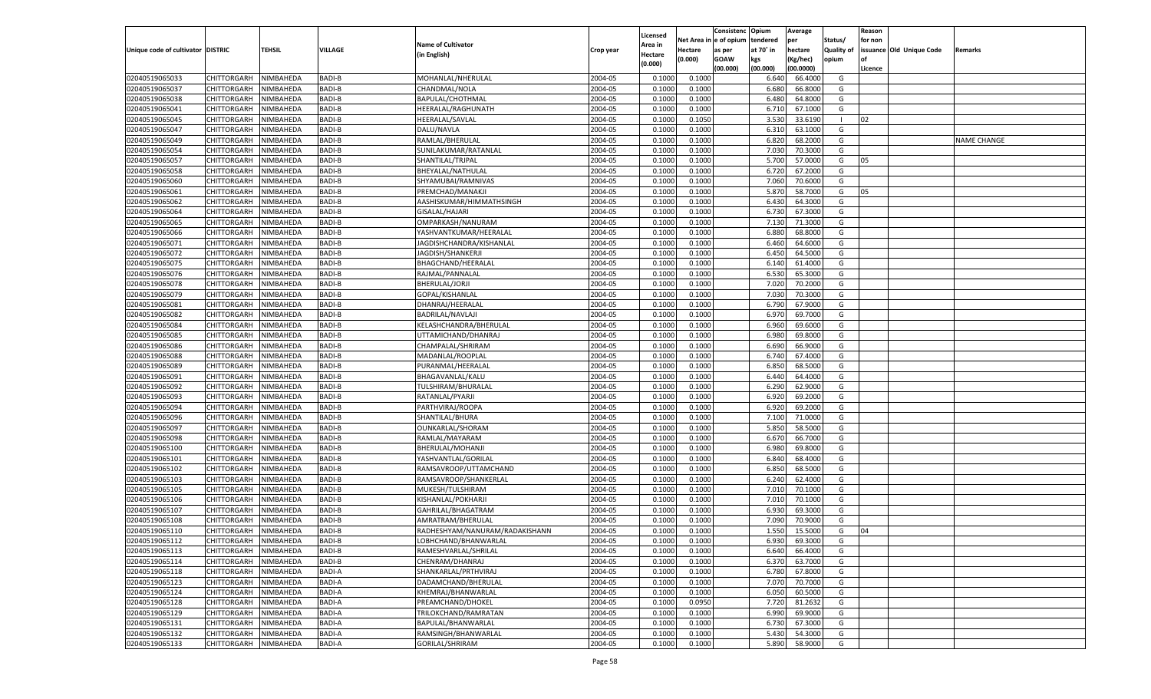|                                   |                       |               |                                |                                              |           |                           |          | Consistenc  | Opium     | Average            |                   | Reason  |                          |                    |
|-----------------------------------|-----------------------|---------------|--------------------------------|----------------------------------------------|-----------|---------------------------|----------|-------------|-----------|--------------------|-------------------|---------|--------------------------|--------------------|
|                                   |                       |               |                                | <b>Name of Cultivator</b>                    |           | Licensed                  | Net Area | le of opium | tendered  | per                | Status/           | for non |                          |                    |
| Unique code of cultivator DISTRIC |                       | <b>TEHSIL</b> | VILLAGE                        | (in English)                                 | Crop year | <b>Area in</b><br>Hectare | Hectare  | as per      | at 70° in | hectare            | <b>Quality of</b> |         | issuance Old Unique Code | Remarks            |
|                                   |                       |               |                                |                                              |           | (0.000)                   | (0.000)  | <b>GOAW</b> | kgs       | (Kg/hec)           | opium             |         |                          |                    |
|                                   |                       |               |                                |                                              |           |                           |          | (00.000)    | (00.000)  | (00.0000)          |                   | Licence |                          |                    |
| 02040519065033                    | CHITTORGARH           | NIMBAHEDA     | <b>BADI-B</b>                  | MOHANLAL/NHERULAL                            | 2004-05   | 0.1000                    | 0.1000   |             | 6.640     | 66.4000            | G                 |         |                          |                    |
| 02040519065037                    | CHITTORGARH           | NIMBAHEDA     | <b>BADI-B</b>                  | CHANDMAL/NOLA                                | 2004-05   | 0.1000                    | 0.1000   |             | 6.680     | 66.8000            | G                 |         |                          |                    |
| 02040519065038                    | CHITTORGARH           | NIMBAHEDA     | <b>BADI-B</b>                  | BAPULAL/CHOTHMAL                             | 2004-05   | 0.1000                    | 0.1000   |             | 6.480     | 64.8000            | G                 |         |                          |                    |
| 02040519065041                    | CHITTORGARH           | NIMBAHEDA     | <b>BADI-B</b>                  | HEERALAL/RAGHUNATH                           | 2004-05   | 0.1000                    | 0.1000   |             | 6.710     | 67.1000            | G                 |         |                          |                    |
| 02040519065045                    | CHITTORGARH           | NIMBAHEDA     | <b>BADI-B</b>                  | HEERALAL/SAVLAL                              | 2004-05   | 0.1000                    | 0.1050   |             | 3.530     | 33.6190            | - 1               | 02      |                          |                    |
| 02040519065047                    | CHITTORGARH           | NIMBAHEDA     | <b>BADI-B</b>                  | DALU/NAVLA                                   | 2004-05   | 0.1000                    | 0.1000   |             | 6.310     | 63.1000            | G                 |         |                          |                    |
| 02040519065049                    | CHITTORGARH           | NIMBAHEDA     | <b>BADI-B</b>                  | RAMLAL/BHERULAL                              | 2004-05   | 0.1000                    | 0.1000   |             | 6.820     | 68.2000            | G                 |         |                          | <b>NAME CHANGE</b> |
| 02040519065054                    | CHITTORGARH           | NIMBAHEDA     | <b>BADI-B</b>                  | SUNILAKUMAR/RATANLAL                         | 2004-05   | 0.1000                    | 0.1000   |             | 7.030     | 70.3000            | G                 |         |                          |                    |
| 02040519065057                    | CHITTORGARH           | NIMBAHEDA     | <b>BADI-B</b>                  | SHANTILAL/TRJPAL                             | 2004-05   | 0.1000                    | 0.1000   |             | 5.700     | 57.0000            | G                 | 05      |                          |                    |
| 02040519065058                    | CHITTORGARH           | NIMBAHEDA     | <b>BADI-B</b>                  | BHEYALAL/NATHULAL                            | 2004-05   | 0.1000                    | 0.1000   |             | 6.720     | 67.2000            | G                 |         |                          |                    |
| 02040519065060                    | CHITTORGARH           | NIMBAHEDA     | <b>BADI-B</b>                  | SHYAMUBAI/RAMNIVAS                           | 2004-05   | 0.1000                    | 0.1000   |             | 7.060     | 70.6000            | G                 |         |                          |                    |
| 02040519065061                    | CHITTORGARH           | NIMBAHEDA     | <b>BADI-B</b>                  | PREMCHAD/MANAKJI                             | 2004-05   | 0.1000                    | 0.1000   |             | 5.87      | 58.7000            | G                 | 05      |                          |                    |
| 02040519065062                    | CHITTORGARH           | NIMBAHEDA     | <b>BADI-B</b>                  | AASHISKUMAR/HIMMATHSINGH                     | 2004-05   | 0.1000                    | 0.1000   |             | 6.430     | 64.3000            | G                 |         |                          |                    |
| 02040519065064                    | CHITTORGARH           | NIMBAHEDA     | <b>BADI-B</b>                  | GISALAL/HAJARI                               | 2004-05   | 0.1000                    | 0.1000   |             | 6.730     | 67.3000            | G                 |         |                          |                    |
| 02040519065065                    | CHITTORGARH           | NIMBAHEDA     | <b>BADI-B</b>                  | OMPARKASH/NANURAM                            | 2004-05   | 0.1000                    | 0.1000   |             | 7.130     | 71.3000            | G                 |         |                          |                    |
| 02040519065066                    | CHITTORGARH           | NIMBAHEDA     | <b>BADI-B</b>                  | YASHVANTKUMAR/HEERALAL                       | 2004-05   | 0.1000                    | 0.1000   |             | 6.880     | 68.8000            | G                 |         |                          |                    |
| 02040519065071                    | CHITTORGARH           | NIMBAHEDA     | <b>BADI-B</b>                  | JAGDISHCHANDRA/KISHANLAL                     | 2004-05   | 0.1000                    | 0.1000   |             | 6.460     | 64.6000            | G                 |         |                          |                    |
| 02040519065072                    | CHITTORGARH           | NIMBAHEDA     | <b>BADI-B</b>                  | JAGDISH/SHANKERJI                            | 2004-05   | 0.1000                    | 0.1000   |             | 6.450     | 64.5000            | G                 |         |                          |                    |
| 02040519065075                    | CHITTORGARH           | NIMBAHEDA     | <b>BADI-B</b>                  | BHAGCHAND/HEERALAL                           | 2004-05   | 0.1000                    | 0.1000   |             | 6.140     | 61.4000            | G                 |         |                          |                    |
| 02040519065076                    | CHITTORGARH           | NIMBAHEDA     | <b>BADI-B</b>                  | RAJMAL/PANNALAL                              | 2004-05   | 0.1000                    | 0.1000   |             | 6.530     | 65.3000            | G                 |         |                          |                    |
| 02040519065078                    | CHITTORGARH           | NIMBAHEDA     | <b>BADI-B</b>                  | BHERULAL/JORJI                               | 2004-05   | 0.1000                    | 0.1000   |             | 7.020     | 70.2000            | G                 |         |                          |                    |
| 02040519065079                    | CHITTORGARH           | NIMBAHEDA     | <b>BADI-B</b>                  | GOPAL/KISHANLAL                              | 2004-05   | 0.1000                    | 0.1000   |             | 7.030     | 70.3000            | G                 |         |                          |                    |
| 02040519065081                    | CHITTORGARH           | NIMBAHEDA     | <b>BADI-B</b>                  | DHANRAJ/HEERALAL                             | 2004-05   | 0.1000                    | 0.1000   |             | 6.790     | 67.9000            | G                 |         |                          |                    |
| 02040519065082                    | CHITTORGARH           | NIMBAHEDA     | <b>BADI-B</b>                  | <b>BADRILAL/NAVLAJI</b>                      | 2004-05   | 0.1000                    | 0.1000   |             | 6.970     | 69.7000            | G                 |         |                          |                    |
| 02040519065084                    | CHITTORGARH           | NIMBAHEDA     | <b>BADI-B</b>                  | KELASHCHANDRA/BHERULAL                       | 2004-05   | 0.1000                    | 0.1000   |             | 6.960     | 69.6000            | G                 |         |                          |                    |
| 02040519065085                    | CHITTORGARH           | NIMBAHEDA     | <b>BADI-B</b>                  | UTTAMICHAND/DHANRAJ                          | 2004-05   | 0.1000                    | 0.1000   |             | 6.980     | 69.8000            | G                 |         |                          |                    |
| 02040519065086                    | CHITTORGARH           | NIMBAHEDA     | <b>BADI-B</b>                  | CHAMPALAL/SHRIRAM                            | 2004-05   | 0.1000                    | 0.1000   |             | 6.690     | 66.9000            | G                 |         |                          |                    |
| 02040519065088                    | CHITTORGARH           | NIMBAHEDA     | <b>BADI-B</b>                  | MADANLAL/ROOPLAL                             | 2004-05   | 0.1000                    | 0.1000   |             | 6.740     | 67.4000            | G                 |         |                          |                    |
| 02040519065089                    | CHITTORGARH           | NIMBAHEDA     | <b>BADI-B</b>                  | PURANMAL/HEERALAI                            | 2004-05   | 0.1000                    | 0.1000   |             | 6.850     | 68.5000            | G                 |         |                          |                    |
| 02040519065091                    | CHITTORGARH           | NIMBAHEDA     | <b>BADI-B</b>                  | BHAGAVANLAL/KALU                             | 2004-05   | 0.1000                    | 0.1000   |             | 6.440     | 64.4000            | G                 |         |                          |                    |
| 02040519065092                    | CHITTORGARH           | NIMBAHEDA     | <b>BADI-B</b>                  | TULSHIRAM/BHURALAL                           | 2004-05   | 0.1000                    | 0.1000   |             | 6.290     | 62.9000            | G                 |         |                          |                    |
| 02040519065093                    | CHITTORGARH           | NIMBAHEDA     | <b>BADI-B</b>                  | RATANLAL/PYARJI                              | 2004-05   | 0.1000                    | 0.1000   |             | 6.920     | 69.2000            | G                 |         |                          |                    |
| 02040519065094                    | CHITTORGARH           | NIMBAHEDA     | <b>BADI-B</b>                  | PARTHVIRAJ/ROOPA                             | 2004-05   | 0.1000                    | 0.1000   |             | 6.920     | 69.2000            | G                 |         |                          |                    |
| 02040519065096                    | CHITTORGARH           | NIMBAHEDA     | <b>BADI-B</b>                  | SHANTILAL/BHURA                              | 2004-05   | 0.1000                    | 0.1000   |             | 7.100     | 71.0000            | G                 |         |                          |                    |
| 02040519065097                    | CHITTORGARH           | NIMBAHEDA     | <b>BADI-B</b>                  | OUNKARLAL/SHORAM                             | 2004-05   | 0.1000                    | 0.1000   |             | 5.85      | 58.5000            | G                 |         |                          |                    |
| 02040519065098                    | CHITTORGARH           | NIMBAHEDA     | <b>BADI-B</b>                  | RAMLAL/MAYARAM                               | 2004-05   | 0.1000                    | 0.1000   |             | 6.670     | 66.7000            | G                 |         |                          |                    |
| 02040519065100                    |                       | NIMBAHEDA     | <b>BADI-B</b>                  |                                              | 2004-05   | 0.1000                    |          |             |           | 69.8000            | G                 |         |                          |                    |
|                                   | CHITTORGARH           |               |                                | BHERULAL/MOHANJI                             |           |                           | 0.1000   |             | 6.980     |                    |                   |         |                          |                    |
| 02040519065101                    | CHITTORGARH           | NIMBAHEDA     | <b>BADI-B</b><br><b>BADI-B</b> | YASHVANTLAL/GORILAL<br>RAMSAVROOP/UTTAMCHAND | 2004-05   | 0.1000                    | 0.1000   |             | 6.84      | 68.4000<br>68.5000 | G                 |         |                          |                    |
| 02040519065102                    | CHITTORGARH           | NIMBAHEDA     |                                |                                              | 2004-05   | 0.1000                    | 0.1000   |             | 6.85      |                    | G                 |         |                          |                    |
| 02040519065103                    | CHITTORGARH           | NIMBAHEDA     | <b>BADI-B</b>                  | RAMSAVROOP/SHANKERLAL                        | 2004-05   | 0.1000                    | 0.1000   |             | 6.240     | 62.4000            | G                 |         |                          |                    |
| 02040519065105                    | CHITTORGARH           | NIMBAHEDA     | <b>BADI-B</b>                  | MUKESH/TULSHIRAM                             | 2004-05   | 0.1000                    | 0.1000   |             | 7.010     | 70.1000            | G                 |         |                          |                    |
| 02040519065106                    | CHITTORGARH           | NIMBAHEDA     | <b>BADI-B</b>                  | KISHANLAL/POKHARJI                           | 2004-05   | 0.1000                    | 0.1000   |             | 7.010     | 70.1000            | G                 |         |                          |                    |
| 02040519065107                    | CHITTORGARH           | NIMBAHEDA     | <b>BADI-B</b>                  | GAHRILAL/BHAGATRAM                           | 2004-05   | 0.1000                    | 0.1000   |             | 6.930     | 69.3000            | G                 |         |                          |                    |
| 02040519065108                    | CHITTORGARH           | NIMBAHEDA     | <b>BADI-B</b>                  | AMRATRAM/BHERULAL                            | 2004-05   | 0.1000                    | 0.1000   |             | 7.09      | 70.9000            | G                 |         |                          |                    |
| 02040519065110                    | CHITTORGARH           | NIMBAHEDA     | <b>BADI-B</b>                  | RADHESHYAM/NANURAM/RADAKISHANN               | 2004-05   | 0.1000                    | 0.1000   |             | 1.550     | 15.5000            | G                 | 04      |                          |                    |
| 02040519065112                    | CHITTORGARH NIMBAHEDA |               | <b>BADI-B</b>                  | LOBHCHAND/BHANWARLAL                         | 2004-05   | 0.1000                    | 0.1000   |             | 6.930     | 69.3000            | G                 |         |                          |                    |
| 02040519065113                    | <b>CHITTORGARH</b>    | NIMBAHEDA     | <b>BADI-B</b>                  | RAMESHVARLAL/SHRILAL                         | 2004-05   | 0.1000                    | 0.1000   |             | 6.640     | 66.4000            | G                 |         |                          |                    |
| 02040519065114                    | CHITTORGARH           | NIMBAHEDA     | BADI-B                         | CHENRAM/DHANRAJ                              | 2004-05   | 0.1000                    | 0.1000   |             | 6.370     | 63.7000            | G                 |         |                          |                    |
| 02040519065118                    | <b>CHITTORGARH</b>    | NIMBAHEDA     | <b>BADI-A</b>                  | SHANKARLAL/PRTHVIRAJ                         | 2004-05   | 0.1000                    | 0.1000   |             | 6.780     | 67.8000            | G                 |         |                          |                    |
| 02040519065123                    | <b>CHITTORGARH</b>    | NIMBAHEDA     | <b>BADI-A</b>                  | DADAMCHAND/BHERULAL                          | 2004-05   | 0.1000                    | 0.1000   |             | 7.070     | 70.7000            | G                 |         |                          |                    |
| 02040519065124                    | <b>CHITTORGARH</b>    | NIMBAHEDA     | <b>BADI-A</b>                  | KHEMRAJ/BHANWARLAL                           | 2004-05   | 0.1000                    | 0.1000   |             | 6.050     | 60.5000            | G                 |         |                          |                    |
| 02040519065128                    | <b>CHITTORGARH</b>    | NIMBAHEDA     | <b>BADI-A</b>                  | PREAMCHAND/DHOKEL                            | 2004-05   | 0.1000                    | 0.0950   |             | 7.720     | 81.2632            | G                 |         |                          |                    |
| 02040519065129                    | <b>CHITTORGARH</b>    | NIMBAHEDA     | <b>BADI-A</b>                  | TRILOKCHAND/RAMRATAN                         | 2004-05   | 0.1000                    | 0.1000   |             | 6.990     | 69.9000            | G                 |         |                          |                    |
| 02040519065131                    | <b>CHITTORGARH</b>    | NIMBAHEDA     | <b>BADI-A</b>                  | BAPULAL/BHANWARLAL                           | 2004-05   | 0.1000                    | 0.1000   |             | 6.730     | 67.3000            | G                 |         |                          |                    |
| 02040519065132                    | <b>CHITTORGARH</b>    | NIMBAHEDA     | <b>BADI-A</b>                  | RAMSINGH/BHANWARLAL                          | 2004-05   | 0.1000                    | 0.1000   |             | 5.430     | 54.3000            | G                 |         |                          |                    |
| 02040519065133                    | <b>CHITTORGARH</b>    | NIMBAHEDA     | <b>BADI-A</b>                  | GORILAL/SHRIRAM                              | 2004-05   | 0.1000                    | 0.1000   |             | 5.890     | 58.9000            | G                 |         |                          |                    |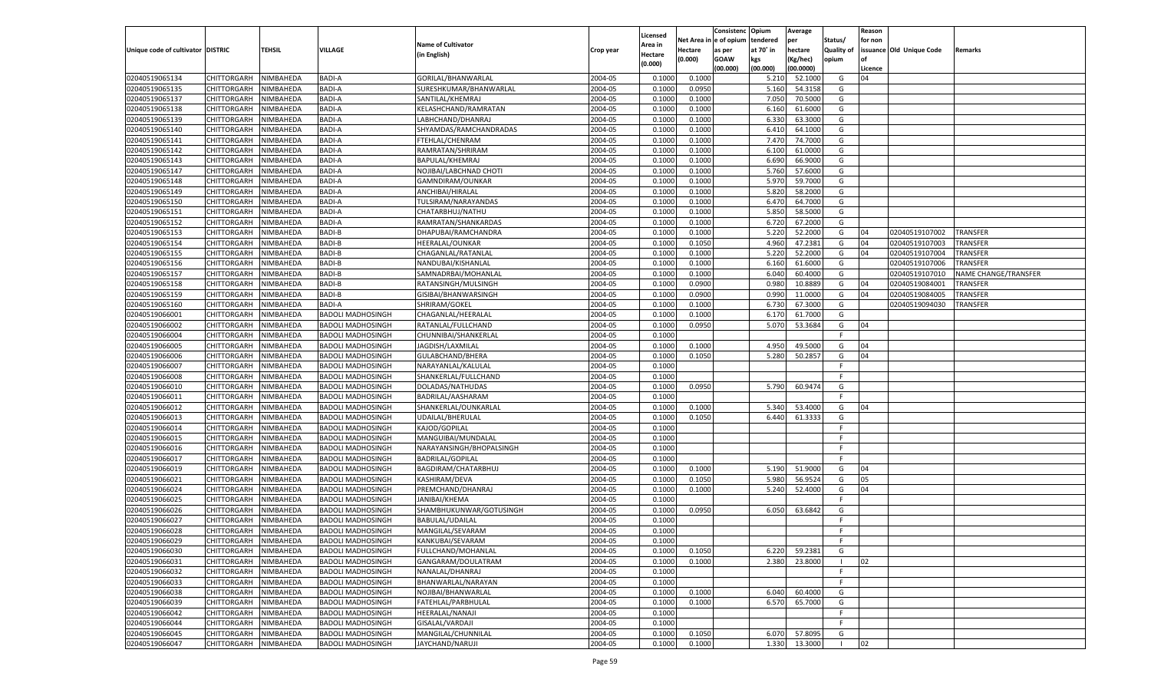|                                   |                                          |           |                                                      |                           |           |                     |             | Consistenc    | Opium     | Average            |                   | Reason  |                          |                      |
|-----------------------------------|------------------------------------------|-----------|------------------------------------------------------|---------------------------|-----------|---------------------|-------------|---------------|-----------|--------------------|-------------------|---------|--------------------------|----------------------|
|                                   |                                          |           |                                                      | <b>Name of Cultivator</b> |           | Licensed<br>Area in | Net Area iı | n  e of opium | tendered  | per                | Status/           | for non |                          |                      |
| Unique code of cultivator DISTRIC |                                          | TEHSIL    | <b>VILLAGE</b>                                       | (in English)              | Crop year | Hectare             | Hectare     | as per        | at 70° in | hectare            | <b>Quality of</b> |         | issuance Old Unique Code | Remarks              |
|                                   |                                          |           |                                                      |                           |           | (0.000)             | (0.000)     | <b>GOAW</b>   | kgs       | (Kg/hec)           | opium             |         |                          |                      |
|                                   |                                          |           |                                                      |                           |           |                     |             | (00.000)      | (00.000)  | (00.0000)          |                   | Licence |                          |                      |
| 02040519065134                    | CHITTORGARH                              | NIMBAHEDA | <b>BADI-A</b>                                        | GORILAL/BHANWARLAL        | 2004-05   | 0.1000              | 0.1000      |               | 5.210     | 52.1000            | G                 | 04      |                          |                      |
| 02040519065135                    | CHITTORGARH                              | NIMBAHEDA | <b>BADI-A</b>                                        | SURESHKUMAR/BHANWARLAL    | 2004-05   | 0.1000              | 0.0950      |               | 5.160     | 54.3158            | G                 |         |                          |                      |
| 02040519065137                    | CHITTORGARH                              | NIMBAHEDA | <b>BADI-A</b>                                        | SANTILAL/KHEMRAJ          | 2004-05   | 0.1000              | 0.1000      |               | 7.050     | 70.5000            | G                 |         |                          |                      |
| 02040519065138                    | CHITTORGARH                              | NIMBAHEDA | <b>BADI-A</b>                                        | KELASHCHAND/RAMRATAN      | 2004-05   | 0.1000              | 0.1000      |               | 6.160     | 61.6000            | G                 |         |                          |                      |
| 02040519065139                    | CHITTORGARH                              | NIMBAHEDA | <b>BADI-A</b>                                        | LABHCHAND/DHANRAJ         | 2004-05   | 0.1000              | 0.1000      |               | 6.330     | 63.3000            | G                 |         |                          |                      |
| 02040519065140                    | CHITTORGARH                              | NIMBAHEDA | <b>BADI-A</b>                                        | SHYAMDAS/RAMCHANDRADAS    | 2004-05   | 0.1000              | 0.1000      |               | 6.410     | 64.1000            | G                 |         |                          |                      |
| 02040519065141                    | CHITTORGARH                              | NIMBAHEDA | <b>BADI-A</b>                                        | FTEHLAL/CHENRAM           | 2004-05   | 0.1000              | 0.1000      |               | 7.470     | 74.7000            | G                 |         |                          |                      |
| 02040519065142                    | CHITTORGARH                              | NIMBAHEDA | <b>BADI-A</b>                                        | RAMRATAN/SHRIRAM          | 2004-05   | 0.1000              | 0.1000      |               | 6.100     | 61.0000            | G                 |         |                          |                      |
| 02040519065143                    | CHITTORGARH                              | NIMBAHEDA | <b>BADI-A</b>                                        | BAPULAL/KHEMRAJ           | 2004-05   | 0.1000              | 0.1000      |               | 6.690     | 66.9000            | G                 |         |                          |                      |
| 02040519065147                    | CHITTORGARH                              | NIMBAHEDA | <b>BADI-A</b>                                        | NOJIBAI/LABCHNAD CHOTI    | 2004-05   | 0.1000              | 0.1000      |               | 5.760     | 57.6000            | G                 |         |                          |                      |
| 02040519065148                    | CHITTORGARH                              | NIMBAHEDA | <b>BADI-A</b>                                        | GAMNDIRAM/OUNKAR          | 2004-05   | 0.1000              | 0.1000      |               | 5.970     | 59.7000            | G                 |         |                          |                      |
| 02040519065149                    | CHITTORGARH                              | NIMBAHEDA | <b>BADI-A</b>                                        | ANCHIBAI/HIRALAL          | 2004-05   | 0.1000              | 0.1000      |               | 5.820     | 58.2000            | G                 |         |                          |                      |
| 02040519065150                    | CHITTORGARH                              | NIMBAHEDA | <b>BADI-A</b>                                        | TULSIRAM/NARAYANDAS       | 2004-05   | 0.1000              | 0.1000      |               | 6.470     | 64.7000            | G                 |         |                          |                      |
| 02040519065151                    | CHITTORGARH                              | NIMBAHEDA | BADI-A                                               | CHATARBHUJ/NATHU          | 2004-05   | 0.1000              | 0.1000      |               | 5.850     | 58.5000            | G                 |         |                          |                      |
| 02040519065152                    | CHITTORGARH                              | NIMBAHEDA | <b>BADI-A</b>                                        | RAMRATAN/SHANKARDAS       | 2004-05   | 0.1000              | 0.1000      |               | 6.720     | 67.2000            | G                 |         |                          |                      |
| 02040519065153                    | CHITTORGARH                              | NIMBAHEDA | <b>BADI-B</b>                                        | DHAPUBAI/RAMCHANDRA       | 2004-05   | 0.1000              | 0.1000      |               | 5.220     | 52.2000            | G                 | 04      | 02040519107002           | <b>TRANSFER</b>      |
| 02040519065154                    | CHITTORGARH                              | NIMBAHEDA | <b>BADI-B</b>                                        | HEERALAL/OUNKAR           | 2004-05   | 0.1000              | 0.1050      |               | 4.960     | 47.2381            | G                 | 04      | 02040519107003           | <b>TRANSFER</b>      |
| 02040519065155                    | CHITTORGARH                              | NIMBAHEDA | <b>BADI-B</b>                                        | CHAGANLAL/RATANLAL        | 2004-05   | 0.1000              | 0.1000      |               | 5.220     | 52.2000            | G                 | 04      | 02040519107004           | TRANSFER             |
| 02040519065156                    | CHITTORGARH                              | NIMBAHEDA | <b>BADI-B</b>                                        | NANDUBAI/KISHANLAL        | 2004-05   | 0.1000              | 0.1000      |               | 6.160     | 61.6000            | G                 |         | 02040519107006           | <b>TRANSFER</b>      |
| 02040519065157                    | CHITTORGARH                              | NIMBAHEDA | <b>BADI-B</b>                                        | SAMNADRBAI/MOHANLAL       | 2004-05   | 0.1000              | 0.1000      |               | 6.040     | 60.4000            | G                 |         | 02040519107010           | NAME CHANGE/TRANSFER |
| 02040519065158                    | CHITTORGARH                              | NIMBAHEDA | <b>BADI-B</b>                                        | RATANSINGH/MULSINGH       | 2004-05   | 0.1000              | 0.0900      |               | 0.980     | 10.8889            | G                 | 04      | 02040519084001           | <b>TRANSFER</b>      |
| 02040519065159                    | CHITTORGARH                              | NIMBAHEDA | <b>BADI-B</b>                                        | GISIBAI/BHANWARSINGH      | 2004-05   | 0.1000              | 0.0900      |               | 0.990     | 11.0000            | G                 | 04      | 02040519084005           | TRANSFER             |
| 02040519065160                    | CHITTORGARH                              | NIMBAHEDA | <b>BADI-A</b>                                        | SHRIRAM/GOKEL             | 2004-05   | 0.1000              | 0.1000      |               | 6.730     | 67.3000            | G                 |         | 02040519094030           | TRANSFER             |
| 02040519066001                    | CHITTORGARH                              | NIMBAHEDA | <b>BADOLI MADHOSINGH</b>                             | CHAGANLAL/HEERALAL        | 2004-05   | 0.1000              | 0.1000      |               | 6.170     | 61.7000            | G                 |         |                          |                      |
| 02040519066002                    | CHITTORGARH                              | NIMBAHEDA | <b>BADOLI MADHOSINGH</b>                             | RATANLAL/FULLCHAND        | 2004-05   | 0.1000              | 0.0950      |               | 5.070     | 53.3684            | G                 | 04      |                          |                      |
| 02040519066004                    | CHITTORGARH                              | NIMBAHEDA | BADOLI MADHOSINGH                                    | CHUNNIBAI/SHANKERLAL      | 2004-05   | 0.1000              |             |               |           |                    | F.                |         |                          |                      |
| 02040519066005                    | CHITTORGARH                              | NIMBAHEDA | <b>BADOLI MADHOSINGH</b>                             | JAGDISH/LAXMILAL          | 2004-05   | 0.1000              | 0.1000      |               | 4.950     | 49.5000            | G                 | 04      |                          |                      |
| 02040519066006                    | CHITTORGARH                              | NIMBAHEDA | <b>BADOLI MADHOSINGH</b>                             | GULABCHAND/BHERA          | 2004-05   | 0.1000              | 0.1050      |               | 5.280     | 50.2857            | G                 | 04      |                          |                      |
| 02040519066007                    | CHITTORGARH                              | NIMBAHEDA | <b>BADOLI MADHOSINGH</b>                             | NARAYANLAL/KALULAL        | 2004-05   | 0.1000              |             |               |           |                    | F                 |         |                          |                      |
| 02040519066008                    | CHITTORGARH                              | NIMBAHEDA | <b>BADOLI MADHOSINGH</b>                             | SHANKERLAL/FULLCHAND      | 2004-05   | 0.1000              |             |               |           |                    | F.                |         |                          |                      |
| 02040519066010                    | CHITTORGARH                              | NIMBAHEDA | <b>BADOLI MADHOSINGH</b>                             | DOLADAS/NATHUDAS          | 2004-05   | 0.1000              | 0.0950      |               | 5.790     | 60.9474            | G                 |         |                          |                      |
| 02040519066011                    | CHITTORGARH                              | NIMBAHEDA | <b>BADOLI MADHOSINGH</b>                             | BADRILAL/AASHARAM         | 2004-05   | 0.1000              |             |               |           |                    | F                 |         |                          |                      |
| 02040519066012                    | CHITTORGARH                              | NIMBAHEDA | <b>BADOLI MADHOSINGH</b>                             | SHANKERLAL/OUNKARLAL      | 2004-05   | 0.1000              | 0.1000      |               | 5.340     | 53.4000            | G                 | 04      |                          |                      |
| 02040519066013                    | CHITTORGARH                              | NIMBAHEDA | <b>BADOLI MADHOSINGH</b>                             | UDAILAL/BHERULAL          | 2004-05   | 0.1000              | 0.1050      |               | 6.440     | 61.3333            | G                 |         |                          |                      |
| 02040519066014                    | CHITTORGARH                              | NIMBAHEDA | <b>BADOLI MADHOSINGH</b>                             | KAJOD/GOPILAL             | 2004-05   | 0.1000              |             |               |           |                    | F.                |         |                          |                      |
| 02040519066015                    | CHITTORGARH                              | NIMBAHEDA | <b>BADOLI MADHOSINGH</b>                             | MANGUIBAI/MUNDALAL        | 2004-05   | 0.1000              |             |               |           |                    | F                 |         |                          |                      |
| 02040519066016                    | CHITTORGARH                              | NIMBAHEDA | <b>BADOLI MADHOSINGH</b>                             | NARAYANSINGH/BHOPALSINGH  | 2004-05   | 0.1000              |             |               |           |                    | F                 |         |                          |                      |
| 02040519066017                    | CHITTORGARH                              | NIMBAHEDA | <b>BADOLI MADHOSINGH</b>                             | <b>BADRILAL/GOPILAL</b>   | 2004-05   | 0.1000              |             |               |           |                    | F.                |         |                          |                      |
| 02040519066019                    | CHITTORGARH                              | NIMBAHEDA | <b>BADOLI MADHOSINGH</b>                             | BAGDIRAM/CHATARBHUJ       | 2004-05   | 0.1000              | 0.1000      |               | 5.190     | 51.9000            | G                 | 04      |                          |                      |
| 02040519066021                    | CHITTORGARH                              | NIMBAHEDA | <b>BADOLI MADHOSINGH</b>                             | KASHIRAM/DEVA             | 2004-05   | 0.1000              | 0.1050      |               | 5.980     | 56.9524            | G                 | 05      |                          |                      |
| 02040519066024                    | CHITTORGARH                              | NIMBAHEDA | <b>BADOLI MADHOSINGH</b>                             | PREMCHAND/DHANRAJ         | 2004-05   | 0.1000              | 0.1000      |               | 5.240     | 52.4000            | G                 | 04      |                          |                      |
| 02040519066025                    | CHITTORGARH                              | NIMBAHEDA | <b>BADOLI MADHOSINGH</b>                             | JANIBAI/KHEMA             | 2004-05   | 0.1000              |             |               |           |                    | F                 |         |                          |                      |
| 02040519066026                    | CHITTORGARH                              | NIMBAHEDA | <b>BADOLI MADHOSINGH</b>                             | SHAMBHUKUNWAR/GOTUSINGH   | 2004-05   | 0.1000              | 0.0950      |               | 6.050     | 63.6842            | G                 |         |                          |                      |
| 02040519066027                    | CHITTORGARH                              | NIMBAHEDA | <b>BADOLI MADHOSINGH</b>                             | <b>BABULAL/UDAILAL</b>    | 2004-05   | 0.1000              |             |               |           |                    | F                 |         |                          |                      |
| 02040519066028                    | CHITTORGARH                              | NIMBAHEDA | <b>BADOLI MADHOSINGH</b>                             | MANGILAL/SEVARAM          | 2004-05   | 0.1000              |             |               |           |                    | F                 |         |                          |                      |
| 02040519066029                    | CHITTORGARH NIMBAHEDA                    |           | <b>BADOLI MADHOSINGH</b>                             | KANKUBAI/SEVARAM          | 2004-05   | 0.1000              |             |               |           |                    |                   |         |                          |                      |
| 02040519066030                    |                                          | NIMBAHEDA |                                                      | FULLCHAND/MOHANLAL        | 2004-05   | 0.1000              | 0.1050      |               | 6.220     |                    | G                 |         |                          |                      |
| 02040519066031                    | <b>CHITTORGARH</b><br><b>CHITTORGARH</b> | NIMBAHEDA | <b>BADOLI MADHOSINGH</b><br><b>BADOLI MADHOSINGH</b> | GANGARAM/DOULATRAM        | 2004-05   | 0.1000              | 0.1000      |               | 2.380     | 59.2381<br>23.8000 | - 1               | 02      |                          |                      |
| 02040519066032                    |                                          |           |                                                      |                           |           |                     |             |               |           |                    |                   |         |                          |                      |
|                                   | CHITTORGARH<br>CHITTORGARH               | NIMBAHEDA | <b>BADOLI MADHOSINGH</b>                             | NANALAL/DHANRAJ           | 2004-05   | 0.1000              |             |               |           |                    | F.<br>F.          |         |                          |                      |
| 02040519066033                    |                                          | NIMBAHEDA | <b>BADOLI MADHOSINGH</b><br><b>BADOLI MADHOSINGH</b> | BHANWARLAL/NARAYAN        | 2004-05   | 0.1000              |             |               |           |                    |                   |         |                          |                      |
| 02040519066038                    | <b>CHITTORGARH</b>                       | NIMBAHEDA |                                                      | NOJIBAI/BHANWARLAL        | 2004-05   | 0.1000              | 0.1000      |               | 6.040     | 60.4000            | G                 |         |                          |                      |
| 02040519066039                    | CHITTORGARH                              | NIMBAHEDA | <b>BADOLI MADHOSINGH</b>                             | FATEHLAL/PARBHULAL        | 2004-05   | 0.1000              | 0.1000      |               | 6.570     | 65.7000            | G                 |         |                          |                      |
| 02040519066042                    | CHITTORGARH                              | NIMBAHEDA | <b>BADOLI MADHOSINGH</b>                             | HEERALAL/NANAJI           | 2004-05   | 0.1000              |             |               |           |                    | F.                |         |                          |                      |
| 02040519066044                    | <b>CHITTORGARH</b>                       | NIMBAHEDA | <b>BADOLI MADHOSINGH</b>                             | GISALAL/VARDAJI           | 2004-05   | 0.1000              |             |               |           |                    | F.                |         |                          |                      |
| 02040519066045                    | <b>CHITTORGARH</b>                       | NIMBAHEDA | <b>BADOLI MADHOSINGH</b>                             | MANGILAL/CHUNNILAL        | 2004-05   | 0.1000              | 0.1050      |               | 6.070     | 57.8095            | G                 |         |                          |                      |
| 02040519066047                    | <b>CHITTORGARH</b>                       | NIMBAHEDA | <b>BADOLI MADHOSINGH</b>                             | JAYCHAND/NARUJI           | 2004-05   | 0.1000              | 0.1000      |               | 1.330     | 13.3000            | -1                | 02      |                          |                      |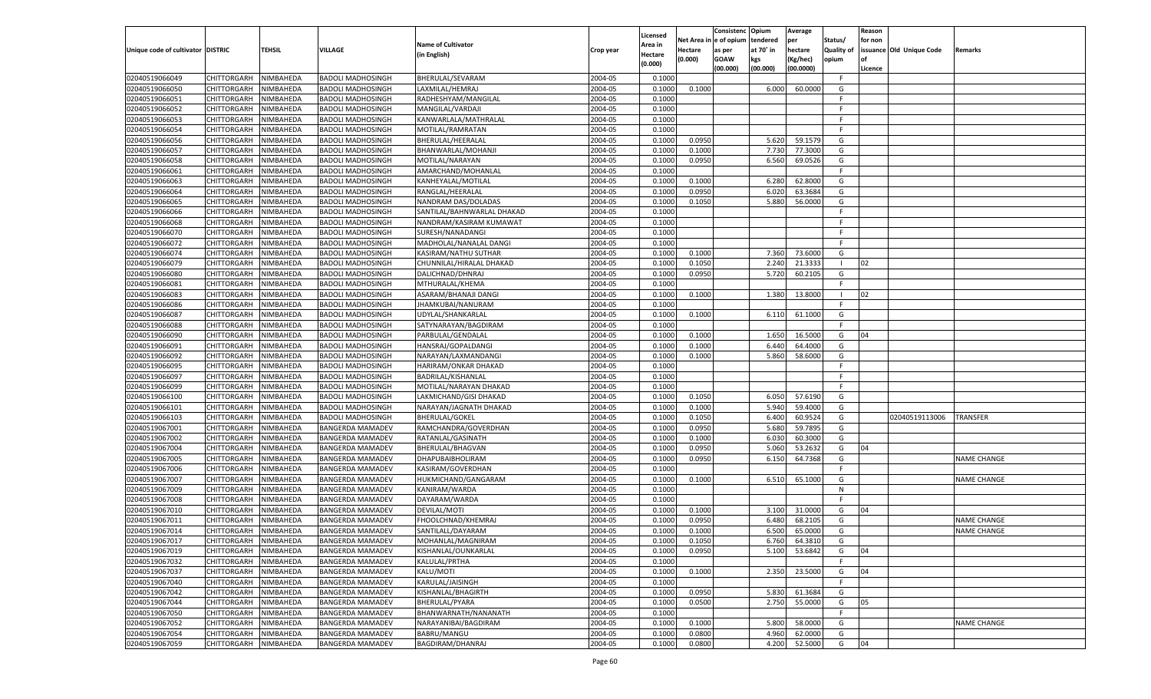|                                   |                       |               |                          |                            |           |                    |            | Consistenc Opium |           | Average   |                   | Reason  |                          |                    |
|-----------------------------------|-----------------------|---------------|--------------------------|----------------------------|-----------|--------------------|------------|------------------|-----------|-----------|-------------------|---------|--------------------------|--------------------|
|                                   |                       |               |                          | <b>Name of Cultivator</b>  |           | Licensed           | Net Area i | n  e of opium    | tendered  | per       | Status/           | for non |                          |                    |
| Unique code of cultivator DISTRIC |                       | <b>TEHSIL</b> | VILLAGE                  |                            | Crop year | \rea in            | Hectare    | as per           | at 70° in | hectare   | <b>Quality of</b> |         | issuance Old Unique Code | <b>Remarks</b>     |
|                                   |                       |               |                          | (in English)               |           | Hectare<br>(0.000) | (0.000)    | <b>GOAW</b>      | kgs       | (Kg/hec)  | opium             | nf      |                          |                    |
|                                   |                       |               |                          |                            |           |                    |            | (00.000)         | (00.000)  | (00.0000) |                   | Licence |                          |                    |
| 02040519066049                    | CHITTORGARH           | NIMBAHEDA     | <b>BADOLI MADHOSINGH</b> | BHERULAL/SEVARAM           | 2004-05   | 0.1000             |            |                  |           |           | -F.               |         |                          |                    |
| 02040519066050                    | CHITTORGARH           | NIMBAHEDA     | <b>BADOLI MADHOSINGH</b> | LAXMILAL/HEMRAJ            | 2004-05   | 0.1000             | 0.1000     |                  | 6.000     | 60.0000   | G                 |         |                          |                    |
| 02040519066051                    | CHITTORGARH           | NIMBAHEDA     | <b>BADOLI MADHOSINGH</b> | RADHESHYAM/MANGILAL        | 2004-05   | 0.1000             |            |                  |           |           | F                 |         |                          |                    |
| 02040519066052                    | CHITTORGARH           | NIMBAHEDA     | <b>BADOLI MADHOSINGH</b> | MANGILAL/VARDAJI           | 2004-05   | 0.1000             |            |                  |           |           | F.                |         |                          |                    |
| 02040519066053                    | CHITTORGARH           | NIMBAHEDA     | <b>BADOLI MADHOSINGH</b> | KANWARLALA/MATHRALAL       | 2004-05   | 0.1000             |            |                  |           |           | F.                |         |                          |                    |
| 02040519066054                    | CHITTORGARH           | NIMBAHEDA     | <b>BADOLI MADHOSINGH</b> | MOTILAL/RAMRATAN           | 2004-05   | 0.1000             |            |                  |           |           | F.                |         |                          |                    |
| 02040519066056                    | CHITTORGARH           | NIMBAHEDA     | <b>BADOLI MADHOSINGH</b> | BHERULAL/HEERALAL          | 2004-05   | 0.1000             | 0.0950     |                  | 5.620     | 59.1579   | G                 |         |                          |                    |
| 02040519066057                    | CHITTORGARH           | NIMBAHEDA     | <b>BADOLI MADHOSINGH</b> | BHANWARLAL/MOHANJI         | 2004-05   | 0.1000             | 0.1000     |                  | 7.730     | 77.3000   | G                 |         |                          |                    |
| 02040519066058                    | CHITTORGARH           | NIMBAHEDA     | <b>BADOLI MADHOSINGH</b> | MOTILAL/NARAYAN            | 2004-05   | 0.1000             | 0.0950     |                  | 6.560     | 69.0526   | G                 |         |                          |                    |
| 02040519066061                    | CHITTORGARH           | NIMBAHEDA     | <b>BADOLI MADHOSINGH</b> | AMARCHAND/MOHANLAL         | 2004-05   | 0.1000             |            |                  |           |           | F.                |         |                          |                    |
| 02040519066063                    | CHITTORGARH           | NIMBAHEDA     | <b>BADOLI MADHOSINGH</b> | KANHEYALAL/MOTILAL         | 2004-05   | 0.1000             | 0.1000     |                  | 6.280     | 62.8000   | G                 |         |                          |                    |
| 02040519066064                    | CHITTORGARH           | NIMBAHEDA     | <b>BADOLI MADHOSINGH</b> | RANGLAL/HEERALAL           | 2004-05   | 0.1000             | 0.0950     |                  | 6.02(     | 63.3684   | G                 |         |                          |                    |
| 02040519066065                    | CHITTORGARH           | NIMBAHEDA     | <b>BADOLI MADHOSINGH</b> | NANDRAM DAS/DOLADAS        | 2004-05   | 0.1000             | 0.1050     |                  | 5.880     | 56.0000   | G                 |         |                          |                    |
| 02040519066066                    | CHITTORGARH           | NIMBAHEDA     | <b>BADOLI MADHOSINGH</b> | SANTILAL/BAHNWARLAL DHAKAD | 2004-05   | 0.1000             |            |                  |           |           | F.                |         |                          |                    |
| 02040519066068                    | CHITTORGARH           | NIMBAHEDA     | <b>BADOLI MADHOSINGH</b> | NANDRAM/KASIRAM KUMAWAT    | 2004-05   | 0.1000             |            |                  |           |           | F.                |         |                          |                    |
| 02040519066070                    | CHITTORGARH           | NIMBAHEDA     | <b>BADOLI MADHOSINGH</b> | SURESH/NANADANGI           | 2004-05   | 0.1000             |            |                  |           |           | -F                |         |                          |                    |
| 02040519066072                    | CHITTORGARH           | NIMBAHEDA     | <b>BADOLI MADHOSINGH</b> | MADHOLAL/NANALAL DANGI     | 2004-05   | 0.1000             |            |                  |           |           | F.                |         |                          |                    |
| 02040519066074                    | CHITTORGARH           | NIMBAHEDA     | <b>BADOLI MADHOSINGH</b> | KASIRAM/NATHU SUTHAR       | 2004-05   | 0.1000             | 0.1000     |                  | 7.360     | 73.6000   | G                 |         |                          |                    |
| 02040519066079                    | CHITTORGARH           | NIMBAHEDA     | <b>BADOLI MADHOSINGH</b> | CHUNNILAL/HIRALAL DHAKAD   | 2004-05   | 0.1000             | 0.1050     |                  | 2.240     | 21.3333   | - 1               | 02      |                          |                    |
| 02040519066080                    | CHITTORGARH           | NIMBAHEDA     | <b>BADOLI MADHOSINGH</b> | DALICHNAD/DHNRAJ           | 2004-05   | 0.1000             | 0.0950     |                  | 5.720     | 60.2105   | G                 |         |                          |                    |
| 02040519066081                    | CHITTORGARH           | NIMBAHEDA     | <b>BADOLI MADHOSINGH</b> | MTHURALAL/KHEMA            | 2004-05   | 0.1000             |            |                  |           |           | F.                |         |                          |                    |
| 02040519066083                    | CHITTORGARH           | NIMBAHEDA     | <b>BADOLI MADHOSINGH</b> | ASARAM/BHANAJI DANGI       | 2004-05   | 0.1000             | 0.1000     |                  | 1.380     | 13.8000   |                   | 02      |                          |                    |
| 02040519066086                    | CHITTORGARH           | NIMBAHEDA     | <b>BADOLI MADHOSINGH</b> | JHAMKUBAI/NANURAM          | 2004-05   | 0.1000             |            |                  |           |           | F                 |         |                          |                    |
| 02040519066087                    | CHITTORGARH           | NIMBAHEDA     | <b>BADOLI MADHOSINGH</b> | UDYLAL/SHANKARLAL          | 2004-05   | 0.1000             | 0.1000     |                  | 6.110     | 61.1000   | G                 |         |                          |                    |
| 02040519066088                    | CHITTORGARH           | NIMBAHEDA     | <b>BADOLI MADHOSINGH</b> | SATYNARAYAN/BAGDIRAM       | 2004-05   | 0.1000             |            |                  |           |           | F.                |         |                          |                    |
| 02040519066090                    | CHITTORGARH           | NIMBAHEDA     | <b>BADOLI MADHOSINGH</b> | PARBULAL/GENDALAL          | 2004-05   | 0.1000             | 0.1000     |                  | 1.650     | 16.5000   | G                 | 04      |                          |                    |
| 02040519066091                    | CHITTORGARH           | NIMBAHEDA     | <b>BADOLI MADHOSINGH</b> | HANSRAJ/GOPALDANGI         | 2004-05   | 0.1000             | 0.1000     |                  | 6.440     | 64.4000   | G                 |         |                          |                    |
| 02040519066092                    | CHITTORGARH           | NIMBAHEDA     | <b>BADOLI MADHOSINGH</b> | NARAYAN/LAXMANDANGI        | 2004-05   | 0.1000             | 0.1000     |                  | 5.860     | 58.6000   | G                 |         |                          |                    |
| 02040519066095                    | CHITTORGARH           | NIMBAHEDA     | <b>BADOLI MADHOSINGH</b> | HARIRAM/ONKAR DHAKAD       | 2004-05   | 0.1000             |            |                  |           |           | F.                |         |                          |                    |
| 02040519066097                    | CHITTORGARH           | NIMBAHEDA     | <b>BADOLI MADHOSINGH</b> | BADRILAL/KISHANLAL         | 2004-05   | 0.1000             |            |                  |           |           | E                 |         |                          |                    |
|                                   |                       |               |                          |                            | 2004-05   |                    |            |                  |           |           | F.                |         |                          |                    |
| 02040519066099                    | CHITTORGARH           | NIMBAHEDA     | <b>BADOLI MADHOSINGH</b> | MOTILAL/NARAYAN DHAKAD     | 2004-05   | 0.1000             |            |                  |           |           |                   |         |                          |                    |
| 02040519066100                    | CHITTORGARH           | NIMBAHEDA     | <b>BADOLI MADHOSINGH</b> | LAKMICHAND/GISI DHAKAD     |           | 0.1000             | 0.1050     |                  | 6.050     | 57.6190   | G<br>G            |         |                          |                    |
| 02040519066101                    | CHITTORGARH           | NIMBAHEDA     | <b>BADOLI MADHOSINGH</b> | NARAYAN/JAGNATH DHAKAD     | 2004-05   | 0.1000             | 0.1000     |                  | 5.940     | 59.4000   |                   |         |                          |                    |
| 02040519066103                    | CHITTORGARH           | NIMBAHEDA     | <b>BADOLI MADHOSINGH</b> | <b>BHERULAL/GOKEL</b>      | 2004-05   | 0.1000             | 0.1050     |                  | 6.400     | 60.9524   | G                 |         | 02040519113006           | <b>TRANSFER</b>    |
| 02040519067001                    | CHITTORGARH           | NIMBAHEDA     | <b>BANGERDA MAMADEV</b>  | RAMCHANDRA/GOVERDHAN       | 2004-05   | 0.1000             | 0.0950     |                  | 5.680     | 59.7895   | G                 |         |                          |                    |
| 02040519067002                    | CHITTORGARH           | NIMBAHEDA     | <b>BANGERDA MAMADEV</b>  | RATANLAL/GASINATH          | 2004-05   | 0.1000             | 0.1000     |                  | 6.03      | 60.3000   | G                 |         |                          |                    |
| 02040519067004                    | CHITTORGARH           | NIMBAHEDA     | <b>BANGERDA MAMADEV</b>  | BHERULAL/BHAGVAN           | 2004-05   | 0.1000             | 0.0950     |                  | 5.060     | 53.2632   | G                 | 04      |                          |                    |
| 02040519067005                    | CHITTORGARH           | NIMBAHEDA     | <b>BANGERDA MAMADEV</b>  | DHAPUBAIBHOLIRAM           | 2004-05   | 0.1000             | 0.0950     |                  | 6.15      | 64.7368   | G                 |         |                          | <b>NAME CHANGE</b> |
| 02040519067006                    | CHITTORGARH           | NIMBAHEDA     | <b>BANGERDA MAMADEV</b>  | KASIRAM/GOVERDHAN          | 2004-05   | 0.1000             |            |                  |           |           | F.                |         |                          |                    |
| 02040519067007                    | CHITTORGARH           | NIMBAHEDA     | <b>BANGERDA MAMADEV</b>  | HUKMICHAND/GANGARAM        | 2004-05   | 0.1000             | 0.1000     |                  | 6.510     | 65.1000   | G                 |         |                          | <b>NAME CHANGE</b> |
| 02040519067009                    | CHITTORGARH           | NIMBAHEDA     | <b>BANGERDA MAMADEV</b>  | KANIRAM/WARDA              | 2004-05   | 0.1000             |            |                  |           |           | N                 |         |                          |                    |
| 02040519067008                    | CHITTORGARH           | NIMBAHEDA     | <b>BANGERDA MAMADEV</b>  | DAYARAM/WARDA              | 2004-05   | 0.1000             |            |                  |           |           | E                 |         |                          |                    |
| 02040519067010                    | CHITTORGARH           | NIMBAHEDA     | <b>BANGERDA MAMADEV</b>  | DEVILAL/MOTI               | 2004-05   | 0.1000             | 0.1000     |                  | 3.100     | 31.0000   | G                 | 04      |                          |                    |
| 02040519067011                    | CHITTORGARH           | NIMBAHEDA     | <b>BANGERDA MAMADEV</b>  | FHOOLCHNAD/KHEMRAJ         | 2004-05   | 0.1000             | 0.0950     |                  | 6.480     | 68.2105   | G                 |         |                          | <b>NAME CHANGE</b> |
| 02040519067014                    | CHITTORGARH           | NIMBAHEDA     | <b>BANGERDA MAMADEV</b>  | SANTILALL/DAYARAM          | 2004-05   | 0.1000             | 0.1000     |                  | 6.500     | 65.0000   | G                 |         |                          | <b>NAME CHANGE</b> |
| 02040519067017                    | CHITTORGARH NIMBAHEDA |               | <b>BANGERDA MAMADEV</b>  | MOHANLAL/MAGNIRAM          | 2004-05   | 0.1000             | 0.1050     |                  | 6.760     | 64.3810   | G                 |         |                          |                    |
| 02040519067019                    | CHITTORGARH           | NIMBAHEDA     | <b>BANGERDA MAMADEV</b>  | KISHANLAL/OUNKARLAL        | 2004-05   | 0.1000             | 0.0950     |                  | 5.100     | 53.6842   | G                 | 04      |                          |                    |
| 02040519067032                    | CHITTORGARH           | NIMBAHEDA     | <b>BANGERDA MAMADEV</b>  | KALULAL/PRTHA              | 2004-05   | 0.1000             |            |                  |           |           | F.                |         |                          |                    |
| 02040519067037                    | <b>CHITTORGARH</b>    | NIMBAHEDA     | <b>BANGERDA MAMADEV</b>  | KALU/MOTI                  | 2004-05   | 0.1000             | 0.1000     |                  | 2.350     | 23.5000   | G                 | 04      |                          |                    |
| 02040519067040                    | <b>CHITTORGARH</b>    | NIMBAHEDA     | <b>BANGERDA MAMADEV</b>  | KARULAL/JAISINGH           | 2004-05   | 0.1000             |            |                  |           |           | F.                |         |                          |                    |
| 02040519067042                    | CHITTORGARH           | NIMBAHEDA     | <b>BANGERDA MAMADEV</b>  | KISHANLAL/BHAGIRTH         | 2004-05   | 0.1000             | 0.0950     |                  | 5.830     | 61.3684   | G                 |         |                          |                    |
| 02040519067044                    | CHITTORGARH           | NIMBAHEDA     | <b>BANGERDA MAMADEV</b>  | BHERULAL/PYARA             | 2004-05   | 0.1000             | 0.0500     |                  | 2.750     | 55.0000   | G                 | 05      |                          |                    |
| 02040519067050                    | <b>CHITTORGARH</b>    | NIMBAHEDA     | <b>BANGERDA MAMADEV</b>  | BHANWARNATH/NANANATH       | 2004-05   | 0.1000             |            |                  |           |           | F.                |         |                          |                    |
| 02040519067052                    | CHITTORGARH           | NIMBAHEDA     | <b>BANGERDA MAMADEV</b>  | NARAYANIBAI/BAGDIRAM       | 2004-05   | 0.1000             | 0.1000     |                  | 5.800     | 58.0000   | G                 |         |                          | <b>NAME CHANGE</b> |
| 02040519067054                    | CHITTORGARH           | NIMBAHEDA     | <b>BANGERDA MAMADEV</b>  | BABRU/MANGU                | 2004-05   | 0.1000             | 0.0800     |                  | 4.960     | 62.0000   | G                 |         |                          |                    |
| 02040519067059                    | CHITTORGARH           | NIMBAHEDA     | <b>BANGERDA MAMADEV</b>  | BAGDIRAM/DHANRAJ           | 2004-05   | 0.1000             | 0.0800     |                  | 4.200     | 52.5000   | G                 | 04      |                          |                    |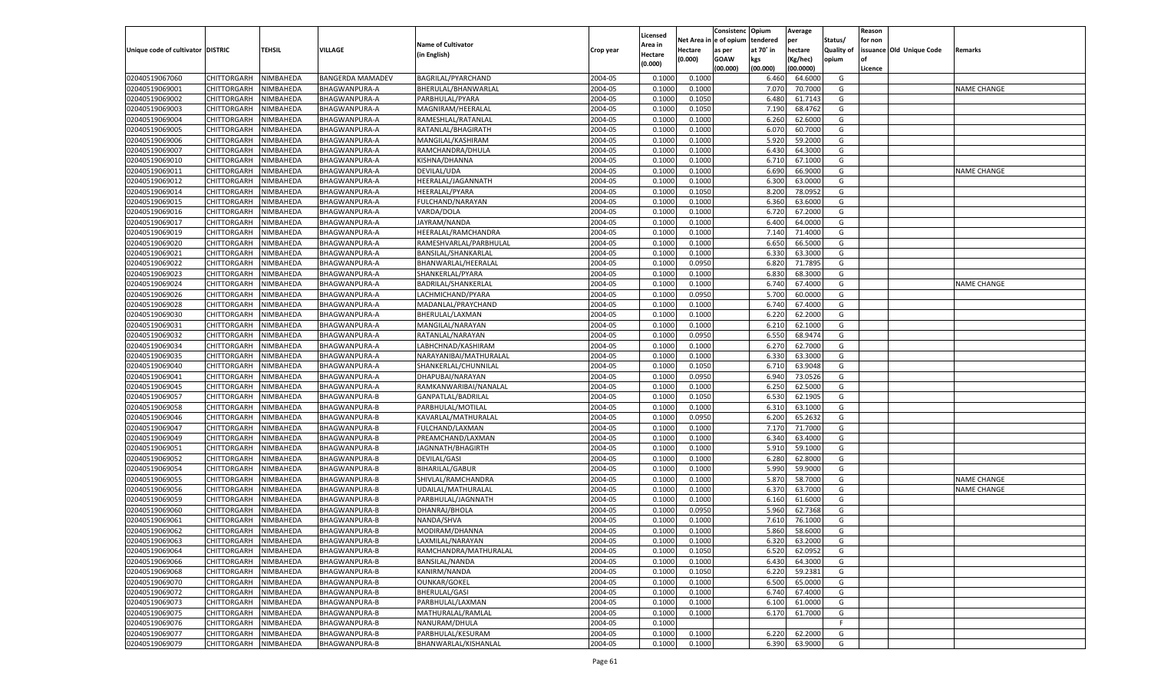|                                   |                    |           |                         |                           |           |          |            | Consistenc Opium |           | Average   |                   | Reason    |                          |                    |
|-----------------------------------|--------------------|-----------|-------------------------|---------------------------|-----------|----------|------------|------------------|-----------|-----------|-------------------|-----------|--------------------------|--------------------|
|                                   |                    |           |                         |                           |           | Licensed | Net Area i | l e of opium     | tendered  | per       | Status/           | for non   |                          |                    |
| Unique code of cultivator DISTRIC |                    | TEHSIL    | VILLAGE                 | <b>Name of Cultivator</b> | Crop year | Area in  | Hectare    | as per           | at 70° in | hectare   | <b>Quality of</b> |           | issuance Old Unique Code | Remarks            |
|                                   |                    |           |                         | (in English)              |           | Hectare  | (0.000)    | <b>GOAW</b>      | kgs       | (Kg/hec)  | opium             | <b>of</b> |                          |                    |
|                                   |                    |           |                         |                           |           | (0.000)  |            | (00.000)         | (00.000)  | (00.0000) |                   | Licence   |                          |                    |
| 02040519067060                    | CHITTORGARH        | NIMBAHEDA | <b>BANGERDA MAMADEV</b> | BAGRILAL/PYARCHAND        | 2004-05   | 0.1000   | 0.1000     |                  | 6.460     | 64.6000   | G                 |           |                          |                    |
| 02040519069001                    | CHITTORGARH        | NIMBAHEDA | BHAGWANPURA-A           | BHERULAL/BHANWARLAL       | 2004-05   | 0.1000   | 0.1000     |                  | 7.070     | 70.7000   | G                 |           |                          | <b>NAME CHANGE</b> |
| 02040519069002                    |                    | NIMBAHEDA |                         |                           | 2004-05   | 0.1000   | 0.1050     |                  | 6.480     | 61.7143   | G                 |           |                          |                    |
|                                   | CHITTORGARH        |           | BHAGWANPURA-A           | PARBHULAL/PYARA           |           |          |            |                  |           |           |                   |           |                          |                    |
| 02040519069003                    | CHITTORGARH        | NIMBAHEDA | BHAGWANPURA-A           | MAGNIRAM/HEERALAL         | 2004-05   | 0.1000   | 0.1050     |                  | 7.190     | 68.4762   | G                 |           |                          |                    |
| 02040519069004                    | CHITTORGARH        | NIMBAHEDA | BHAGWANPURA-A           | RAMESHLAL/RATANLAL        | 2004-05   | 0.1000   | 0.1000     |                  | 6.260     | 62.6000   | G                 |           |                          |                    |
| 02040519069005                    | CHITTORGARH        | NIMBAHEDA | BHAGWANPURA-A           | RATANLAL/BHAGIRATH        | 2004-05   | 0.1000   | 0.1000     |                  | 6.070     | 60.7000   | G                 |           |                          |                    |
| 02040519069006                    | CHITTORGARH        | NIMBAHEDA | BHAGWANPURA-A           | MANGILAL/KASHIRAM         | 2004-05   | 0.1000   | 0.1000     |                  | 5.920     | 59.2000   | G                 |           |                          |                    |
| 02040519069007                    | CHITTORGARH        | NIMBAHEDA | <b>BHAGWANPURA-A</b>    | RAMCHANDRA/DHULA          | 2004-05   | 0.1000   | 0.1000     |                  | 6.430     | 64.3000   | G                 |           |                          |                    |
| 02040519069010                    | CHITTORGARH        | NIMBAHEDA | BHAGWANPURA-A           | KISHNA/DHANNA             | 2004-05   | 0.1000   | 0.1000     |                  | 6.710     | 67.1000   | G                 |           |                          |                    |
| 02040519069011                    | CHITTORGARH        | NIMBAHEDA | BHAGWANPURA-A           | DEVILAL/UDA               | 2004-05   | 0.1000   | 0.1000     |                  | 6.690     | 66.9000   | G                 |           |                          | <b>NAME CHANGE</b> |
| 02040519069012                    | CHITTORGARH        | NIMBAHEDA | BHAGWANPURA-A           | HEERALAL/JAGANNATH        | 2004-05   | 0.1000   | 0.1000     |                  | 6.300     | 63.0000   | G                 |           |                          |                    |
| 02040519069014                    | CHITTORGARH        | NIMBAHEDA | BHAGWANPURA-A           | <b>HEERALAL/PYARA</b>     | 2004-05   | 0.1000   | 0.1050     |                  | 8.200     | 78.0952   | G                 |           |                          |                    |
| 02040519069015                    | CHITTORGARH        | NIMBAHEDA | BHAGWANPURA-A           | FULCHAND/NARAYAN          | 2004-05   | 0.1000   | 0.1000     |                  | 6.360     | 63.6000   | G                 |           |                          |                    |
| 02040519069016                    | CHITTORGARH        | NIMBAHEDA | BHAGWANPURA-A           | VARDA/DOLA                | 2004-05   | 0.1000   | 0.1000     |                  | 6.720     | 67.2000   | G                 |           |                          |                    |
|                                   | CHITTORGARH        | NIMBAHEDA |                         |                           | 2004-05   |          |            |                  | 6.400     | 64.0000   | G                 |           |                          |                    |
| 02040519069017                    |                    |           | BHAGWANPURA-A           | JAYRAM/NANDA              |           | 0.1000   | 0.1000     |                  |           |           |                   |           |                          |                    |
| 02040519069019                    | CHITTORGARH        | NIMBAHEDA | BHAGWANPURA-A           | HEERALAL/RAMCHANDRA       | 2004-05   | 0.1000   | 0.1000     |                  | 7.140     | 71.4000   | G                 |           |                          |                    |
| 02040519069020                    | CHITTORGARH        | NIMBAHEDA | BHAGWANPURA-A           | RAMESHVARLAL/PARBHULAL    | 2004-05   | 0.1000   | 0.1000     |                  | 6.650     | 66.5000   | G                 |           |                          |                    |
| 02040519069021                    | CHITTORGARH        | NIMBAHEDA | BHAGWANPURA-A           | BANSILAL/SHANKARLAL       | 2004-05   | 0.1000   | 0.1000     |                  | 6.330     | 63.3000   | G                 |           |                          |                    |
| 02040519069022                    | CHITTORGARH        | NIMBAHEDA | BHAGWANPURA-A           | BHANWARLAL/HEERALAL       | 2004-05   | 0.1000   | 0.0950     |                  | 6.820     | 71.7895   | G                 |           |                          |                    |
| 02040519069023                    | CHITTORGARH        | NIMBAHEDA | BHAGWANPURA-A           | SHANKERLAL/PYARA          | 2004-05   | 0.1000   | 0.1000     |                  | 6.830     | 68.3000   | G                 |           |                          |                    |
| 02040519069024                    | CHITTORGARH        | NIMBAHEDA | <b>BHAGWANPURA-A</b>    | BADRILAL/SHANKERLAL       | 2004-05   | 0.1000   | 0.1000     |                  | 6.740     | 67.4000   | G                 |           |                          | <b>NAME CHANGE</b> |
| 02040519069026                    | CHITTORGARH        | NIMBAHEDA | BHAGWANPURA-A           | LACHMICHAND/PYARA         | 2004-05   | 0.1000   | 0.0950     |                  | 5.700     | 60.0000   | G                 |           |                          |                    |
| 02040519069028                    | CHITTORGARH        | NIMBAHEDA | BHAGWANPURA-A           | MADANLAL/PRAYCHAND        | 2004-05   | 0.1000   | 0.1000     |                  | 6.740     | 67.4000   | G                 |           |                          |                    |
| 02040519069030                    | CHITTORGARH        | NIMBAHEDA | <b>BHAGWANPURA-A</b>    | BHERULAL/LAXMAN           | 2004-05   | 0.1000   | 0.1000     |                  | 6.220     | 62.2000   | G                 |           |                          |                    |
| 02040519069031                    | CHITTORGARH        | NIMBAHEDA | <b>BHAGWANPURA-A</b>    | MANGILAL/NARAYAN          | 2004-05   | 0.1000   | 0.1000     |                  | 6.210     | 62.1000   | G                 |           |                          |                    |
| 02040519069032                    | CHITTORGARH        | NIMBAHEDA | BHAGWANPURA-A           | RATANLAL/NARAYAN          | 2004-05   | 0.1000   | 0.0950     |                  | 6.550     | 68.9474   | G                 |           |                          |                    |
| 02040519069034                    | CHITTORGARH        | NIMBAHEDA |                         |                           | 2004-05   | 0.1000   | 0.1000     |                  | 6.270     | 62.7000   | G                 |           |                          |                    |
|                                   |                    |           | BHAGWANPURA-A           | LABHCHNAD/KASHIRAM        |           |          |            |                  |           |           |                   |           |                          |                    |
| 02040519069035                    | CHITTORGARH        | NIMBAHEDA | <b>BHAGWANPURA-A</b>    | NARAYANIBAI/MATHURALAL    | 2004-05   | 0.1000   | 0.1000     |                  | 6.330     | 63.3000   | G                 |           |                          |                    |
| 02040519069040                    | CHITTORGARH        | NIMBAHEDA | BHAGWANPURA-A           | SHANKERLAL/CHUNNILAL      | 2004-05   | 0.1000   | 0.1050     |                  | 6.710     | 63.9048   | G                 |           |                          |                    |
| 02040519069041                    | CHITTORGARH        | NIMBAHEDA | BHAGWANPURA-A           | DHAPUBAI/NARAYAN          | 2004-05   | 0.1000   | 0.0950     |                  | 6.940     | 73.0526   | G                 |           |                          |                    |
| 02040519069045                    | CHITTORGARH        | NIMBAHEDA | BHAGWANPURA-A           | RAMKANWARIBAI/NANALAL     | 2004-05   | 0.1000   | 0.1000     |                  | 6.250     | 62.5000   | G                 |           |                          |                    |
| 02040519069057                    | CHITTORGARH        | NIMBAHEDA | <b>BHAGWANPURA-B</b>    | GANPATLAL/BADRILAL        | 2004-05   | 0.1000   | 0.1050     |                  | 6.530     | 62.1905   | G                 |           |                          |                    |
| 02040519069058                    | CHITTORGARH        | NIMBAHEDA | <b>BHAGWANPURA-B</b>    | PARBHULAL/MOTILAL         | 2004-05   | 0.1000   | 0.1000     |                  | 6.31      | 63.1000   | G                 |           |                          |                    |
| 02040519069046                    | CHITTORGARH        | NIMBAHEDA | <b>BHAGWANPURA-B</b>    | KAVARLAL/MATHURALAL       | 2004-05   | 0.1000   | 0.0950     |                  | 6.200     | 65.2632   | G                 |           |                          |                    |
| 02040519069047                    | CHITTORGARH        | NIMBAHEDA | <b>BHAGWANPURA-B</b>    | FULCHAND/LAXMAN           | 2004-05   | 0.1000   | 0.1000     |                  | 7.170     | 71.7000   | G                 |           |                          |                    |
| 02040519069049                    | CHITTORGARH        | NIMBAHEDA | <b>BHAGWANPURA-B</b>    | PREAMCHAND/LAXMAN         | 2004-05   | 0.1000   | 0.1000     |                  | 6.340     | 63.4000   | G                 |           |                          |                    |
| 02040519069051                    | CHITTORGARH        | NIMBAHEDA | <b>BHAGWANPURA-B</b>    | JAGNNATH/BHAGIRTH         | 2004-05   | 0.1000   | 0.1000     |                  | 5.910     | 59.1000   | G                 |           |                          |                    |
| 02040519069052                    | CHITTORGARH        | NIMBAHEDA | <b>BHAGWANPURA-B</b>    | DEVILAL/GASI              | 2004-05   | 0.1000   | 0.1000     |                  | 6.280     | 62.8000   | G                 |           |                          |                    |
| 02040519069054                    | CHITTORGARH        | NIMBAHEDA | <b>BHAGWANPURA-B</b>    | <b>BIHARILAL/GABUR</b>    | 2004-05   | 0.1000   | 0.1000     |                  | 5.990     | 59.9000   | G                 |           |                          |                    |
| 02040519069055                    | CHITTORGARH        | NIMBAHEDA | <b>BHAGWANPURA-B</b>    | SHIVLAL/RAMCHANDRA        | 2004-05   | 0.1000   | 0.1000     |                  | 5.870     | 58.7000   | G                 |           |                          | <b>NAME CHANGE</b> |
|                                   | CHITTORGARH        |           |                         |                           |           |          |            |                  |           |           |                   |           |                          |                    |
| 02040519069056                    |                    | NIMBAHEDA | <b>BHAGWANPURA-B</b>    | UDAILAL/MATHURALAL        | 2004-05   | 0.1000   | 0.1000     |                  | 6.37      | 63.7000   | G                 |           |                          | <b>NAME CHANGE</b> |
| 02040519069059                    | CHITTORGARH        | NIMBAHEDA | <b>BHAGWANPURA-B</b>    | PARBHULAL/JAGNNATH        | 2004-05   | 0.1000   | 0.1000     |                  | 6.160     | 61.6000   | G                 |           |                          |                    |
| 02040519069060                    | CHITTORGARH        | NIMBAHEDA | <b>BHAGWANPURA-B</b>    | DHANRAJ/BHOLA             | 2004-05   | 0.1000   | 0.0950     |                  | 5.960     | 62.7368   | G                 |           |                          |                    |
| 02040519069061                    | CHITTORGARH        | NIMBAHEDA | BHAGWANPURA-B           | NANDA/SHVA                | 2004-05   | 0.1000   | 0.1000     |                  | 7.610     | 76.1000   | G                 |           |                          |                    |
| 02040519069062                    | CHITTORGARH        | NIMBAHEDA | <b>BHAGWANPURA-B</b>    | MODIRAM/DHANNA            | 2004-05   | 0.1000   | 0.1000     |                  | 5.860     | 58.6000   | G                 |           |                          |                    |
| 02040519069063                    | <b>CHITTORGARH</b> | NIMBAHEDA | BHAGWANPURA-B           | LAXMILAL/NARAYAN          | 2004-05   | 0.1000   | 0.1000     |                  | 6.320     | 63.2000   | G                 |           |                          |                    |
| 02040519069064                    | CHITTORGARH        | NIMBAHEDA | <b>BHAGWANPURA-B</b>    | RAMCHANDRA/MATHURALAL     | 2004-05   | 0.1000   | 0.1050     |                  | 6.520     | 62.0952   | G                 |           |                          |                    |
| 02040519069066                    | CHITTORGARH        | NIMBAHEDA | <b>BHAGWANPURA-B</b>    | <b>BANSILAL/NANDA</b>     | 2004-05   | 0.1000   | 0.1000     |                  | 6.430     | 64.3000   | G                 |           |                          |                    |
| 02040519069068                    | CHITTORGARH        | NIMBAHEDA | <b>BHAGWANPURA-B</b>    | KANIRM/NANDA              | 2004-05   | 0.1000   | 0.1050     |                  | 6.220     | 59.2381   | G                 |           |                          |                    |
| 02040519069070                    | CHITTORGARH        | NIMBAHEDA | <b>BHAGWANPURA-B</b>    | <b>OUNKAR/GOKEL</b>       | 2004-05   | 0.1000   | 0.1000     |                  | 6.500     | 65.0000   | G                 |           |                          |                    |
| 02040519069072                    | CHITTORGARH        | NIMBAHEDA | <b>BHAGWANPURA-B</b>    | BHERULAL/GASI             | 2004-05   | 0.1000   | 0.1000     |                  | 6.740     | 67.4000   | G                 |           |                          |                    |
| 02040519069073                    | CHITTORGARH        | NIMBAHEDA | <b>BHAGWANPURA-B</b>    | PARBHULAL/LAXMAN          | 2004-05   | 0.1000   | 0.1000     |                  | 6.100     | 61.0000   | G                 |           |                          |                    |
| 02040519069075                    | CHITTORGARH        | NIMBAHEDA | <b>BHAGWANPURA-B</b>    | MATHURALAL/RAMLAL         | 2004-05   | 0.1000   | 0.1000     |                  | 6.170     | 61.7000   | G                 |           |                          |                    |
| 02040519069076                    |                    |           |                         |                           |           |          |            |                  |           |           | E                 |           |                          |                    |
|                                   | CHITTORGARH        | NIMBAHEDA | <b>BHAGWANPURA-B</b>    | NANURAM/DHULA             | 2004-05   | 0.1000   |            |                  |           |           |                   |           |                          |                    |
| 02040519069077                    | CHITTORGARH        | NIMBAHEDA | <b>BHAGWANPURA-B</b>    | PARBHULAL/KESURAM         | 2004-05   | 0.1000   | 0.1000     |                  | 6.220     | 62.2000   | G                 |           |                          |                    |
| 02040519069079                    | CHITTORGARH        | NIMBAHEDA | <b>BHAGWANPURA-B</b>    | BHANWARLAL/KISHANLAL      | 2004-05   | 0.1000   | 0.1000     |                  | 6.390     | 63.9000   | G                 |           |                          |                    |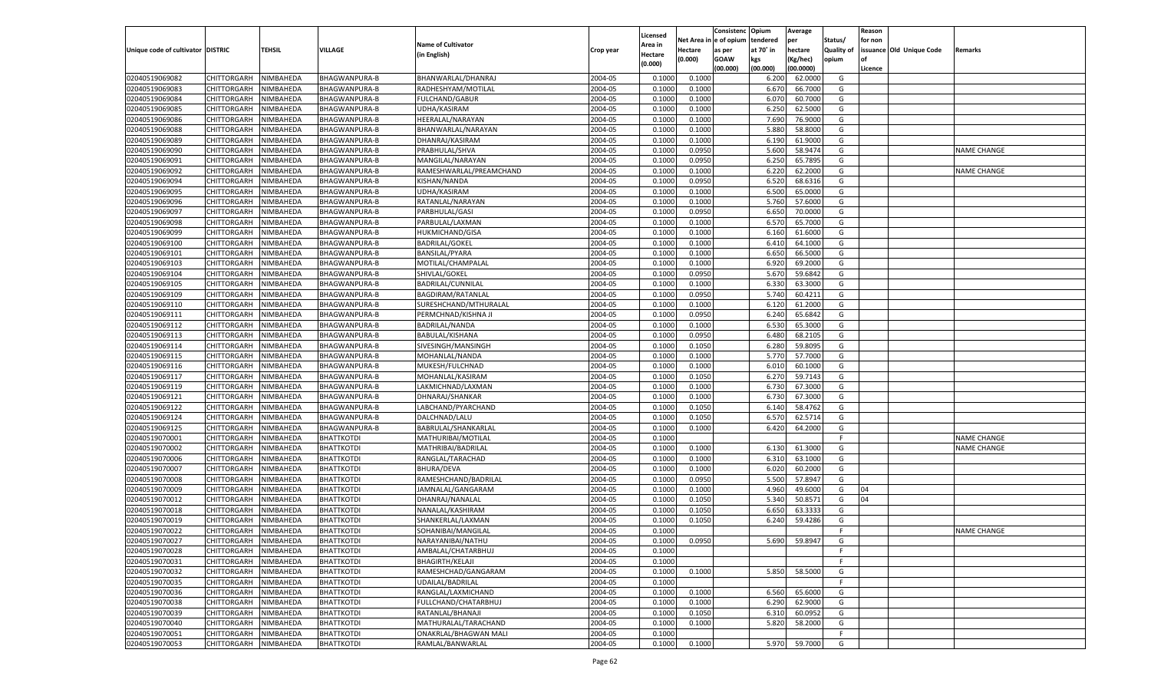|                                   |                       |           |                      |                           |                    |                     |            | Consistenc   | Opium     | Average       |                   | Reason  |                          |                    |
|-----------------------------------|-----------------------|-----------|----------------------|---------------------------|--------------------|---------------------|------------|--------------|-----------|---------------|-------------------|---------|--------------------------|--------------------|
|                                   |                       |           |                      | <b>Name of Cultivator</b> |                    | Licensed<br>Area in | Net Area i | n e of opium | tendered  | per           | Status/           | for non |                          |                    |
| Unique code of cultivator DISTRIC |                       | TEHSIL    | <b>VILLAGE</b>       | (in English)              | Crop year          | Hectare             | Hectare    | as per       | at 70° in | hectare       | <b>Quality of</b> |         | issuance Old Unique Code | Remarks            |
|                                   |                       |           |                      |                           |                    | (0.000)             | (0.000)    | <b>GOAW</b>  | kgs       | (Kg/hec)      | opium             |         |                          |                    |
|                                   |                       |           |                      |                           |                    |                     |            | (00.000)     | (00.000)  | (00.0000)     |                   | Licence |                          |                    |
| 02040519069082                    | CHITTORGARH           | NIMBAHEDA | BHAGWANPURA-B        | BHANWARLAL/DHANRAJ        | 2004-05            | 0.1000              | 0.1000     |              | 6.200     | 62.0000       | G                 |         |                          |                    |
| 02040519069083                    | CHITTORGARH           | NIMBAHEDA | BHAGWANPURA-B        | RADHESHYAM/MOTILAL        | 2004-05            | 0.100               | 0.1000     |              | 6.670     | 66.7000       | G                 |         |                          |                    |
| 02040519069084                    | CHITTORGARH           | NIMBAHEDA | <b>BHAGWANPURA-B</b> | <b>FULCHAND/GABUR</b>     | 2004-05            | 0.1000              | 0.1000     |              | 6.070     | 60.7000       | G                 |         |                          |                    |
| 02040519069085                    | CHITTORGARH           | NIMBAHEDA | BHAGWANPURA-B        | UDHA/KASIRAM              | 2004-05            | 0.1000              | 0.1000     |              | 6.250     | 62.5000       | G                 |         |                          |                    |
| 02040519069086                    | CHITTORGARH           | NIMBAHEDA | BHAGWANPURA-B        | HEERALAL/NARAYAN          | 2004-05            | 0.1000              | 0.1000     |              | 7.690     | 76.9000       | G                 |         |                          |                    |
| 02040519069088                    | CHITTORGARH           | NIMBAHEDA | BHAGWANPURA-B        | BHANWARLAL/NARAYAN        | 2004-05            | 0.1000              | 0.1000     |              | 5.880     | 58.8000       | G                 |         |                          |                    |
| 02040519069089                    | CHITTORGARH           | NIMBAHEDA | <b>BHAGWANPURA-B</b> | DHANRAJ/KASIRAM           | 2004-05            | 0.1000              | 0.1000     |              | 6.190     | 61.9000       | G                 |         |                          |                    |
| 02040519069090                    | CHITTORGARH           | NIMBAHEDA | BHAGWANPURA-B        | PRABHULAL/SHVA            | 2004-05            | 0.1000              | 0.0950     |              | 5.600     | 58.9474       | G                 |         |                          | NAME CHANGE        |
| 02040519069091                    | CHITTORGARH           | NIMBAHEDA | <b>BHAGWANPURA-B</b> | MANGILAL/NARAYAN          | 2004-05            | 0.1000              | 0.0950     |              | 6.250     | 65.7895       | G                 |         |                          |                    |
| 02040519069092                    | CHITTORGARH           | NIMBAHEDA | BHAGWANPURA-B        | RAMESHWARLAL/PREAMCHAND   | 2004-05            | 0.1000              | 0.1000     |              | 6.220     | 62.2000       | G                 |         |                          | NAME CHANGE        |
| 02040519069094                    | CHITTORGARH           | NIMBAHEDA | BHAGWANPURA-B        | KISHAN/NANDA              | 2004-05            | 0.1000              | 0.0950     |              | 6.520     | 68.6316       | G                 |         |                          |                    |
| 02040519069095                    | CHITTORGARH           | NIMBAHEDA | <b>BHAGWANPURA-B</b> | UDHA/KASIRAM              | 2004-05            | 0.1000              | 0.1000     |              | 6.500     | 65.0000       | G                 |         |                          |                    |
| 02040519069096                    | CHITTORGARH           | NIMBAHEDA | BHAGWANPURA-B        | RATANLAL/NARAYAN          | 2004-05            | 0.1000              | 0.1000     |              | 5.760     | 57.6000       | G                 |         |                          |                    |
| 02040519069097                    | CHITTORGARH           | NIMBAHEDA | BHAGWANPURA-B        | PARBHULAL/GASI            | 2004-05            | 0.1000              | 0.0950     |              | 6.650     | 70.0000       | G                 |         |                          |                    |
| 02040519069098                    | CHITTORGARH           | NIMBAHEDA | BHAGWANPURA-B        | PARBULAL/LAXMAN           | 2004-05            | 0.1000              | 0.1000     |              | 6.570     | 65.7000       | G                 |         |                          |                    |
| 02040519069099                    | CHITTORGARH           | NIMBAHEDA | BHAGWANPURA-B        | <b>HUKMICHAND/GISA</b>    | 2004-05            | 0.1000              | 0.1000     |              | 6.160     | 61.6000       | G                 |         |                          |                    |
| 02040519069100                    | CHITTORGARH           | NIMBAHEDA | BHAGWANPURA-B        | <b>BADRILAL/GOKEL</b>     | 2004-05            | 0.1000              | 0.1000     |              | 6.410     | 64.1000       | G                 |         |                          |                    |
| 02040519069101                    | CHITTORGARH           | NIMBAHEDA | BHAGWANPURA-B        | <b>BANSILAL/PYARA</b>     | 2004-05            | 0.1000              | 0.1000     |              | 6.650     | 66.5000       | G                 |         |                          |                    |
| 02040519069103                    | CHITTORGARH           | NIMBAHEDA | BHAGWANPURA-B        | MOTILAL/CHAMPALAL         | 2004-05            | 0.1000              | 0.1000     |              | 6.920     | 69.2000       | G                 |         |                          |                    |
| 02040519069104                    | CHITTORGARH           | NIMBAHEDA | BHAGWANPURA-B        | SHIVLAL/GOKEL             | 2004-05            | 0.1000              | 0.0950     |              | 5.670     | 59.6842       | G                 |         |                          |                    |
| 02040519069105                    | CHITTORGARH           | NIMBAHEDA | <b>BHAGWANPURA-B</b> | BADRILAL/CUNNILAL         | 2004-05            | 0.1000              | 0.1000     |              | 6.330     | 63.3000       | G                 |         |                          |                    |
| 02040519069109                    | CHITTORGARH           | NIMBAHEDA | BHAGWANPURA-B        | BAGDIRAM/RATANLAL         | 2004-05            | 0.1000              | 0.0950     |              | 5.740     | 60.4211       | G                 |         |                          |                    |
| 02040519069110                    | CHITTORGARH           | NIMBAHEDA | BHAGWANPURA-B        | SURESHCHAND/MTHURALAL     | 2004-05            | 0.1000              | 0.1000     |              | 6.120     | 61.2000       | G                 |         |                          |                    |
| 02040519069111                    | CHITTORGARH           | NIMBAHEDA | BHAGWANPURA-B        | PERMCHNAD/KISHNA JI       | 2004-05            | 0.1000              | 0.0950     |              | 6.240     | 65.6842       | G                 |         |                          |                    |
| 02040519069112                    | CHITTORGARH           | NIMBAHEDA | <b>BHAGWANPURA-B</b> | BADRILAL/NANDA            | 2004-05            | 0.1000              | 0.1000     |              | 6.530     | 65.3000       | G                 |         |                          |                    |
| 02040519069113                    | CHITTORGARH           | NIMBAHEDA | BHAGWANPURA-B        | BABULAL/KISHANA           | 2004-05            | 0.1000              | 0.0950     |              | 6.480     | 68.2105       | G                 |         |                          |                    |
| 02040519069114                    | CHITTORGARH           | NIMBAHEDA | BHAGWANPURA-B        | SIVESINGH/MANSINGH        | 2004-05            | 0.1000              | 0.1050     |              | 6.280     | 59.8095       | G                 |         |                          |                    |
| 02040519069115                    | CHITTORGARH           | NIMBAHEDA | BHAGWANPURA-B        | MOHANLAL/NANDA            | 2004-05            | 0.1000              | 0.1000     |              | 5.770     | 57.7000       | G                 |         |                          |                    |
| 02040519069116                    | CHITTORGARH           | NIMBAHEDA | BHAGWANPURA-B        | MUKESH/FULCHNAD           | 2004-05            | 0.1000              | 0.1000     |              | 6.010     | 60.1000       | G                 |         |                          |                    |
| 02040519069117                    | CHITTORGARH           | NIMBAHEDA | BHAGWANPURA-B        | MOHANLAL/KASIRAM          | 2004-05            | 0.1000              | 0.1050     |              | 6.270     | 59.7143       | G                 |         |                          |                    |
| 02040519069119                    | CHITTORGARH           | NIMBAHEDA | <b>BHAGWANPURA-B</b> | LAKMICHNAD/LAXMAN         | 2004-05            | 0.1000              | 0.1000     |              | 6.730     | 67.3000       | G                 |         |                          |                    |
| 02040519069121                    | CHITTORGARH           | NIMBAHEDA | <b>BHAGWANPURA-B</b> | DHNARAJ/SHANKAR           | 2004-05            | 0.1000              | 0.1000     |              | 6.730     | 67.3000       | G                 |         |                          |                    |
| 02040519069122                    | CHITTORGARH           | NIMBAHEDA | <b>BHAGWANPURA-B</b> | LABCHAND/PYARCHAND        | 2004-05            | 0.1000              | 0.1050     |              | 6.140     | 58.4762       | G                 |         |                          |                    |
| 02040519069124                    | CHITTORGARH           | NIMBAHEDA | <b>BHAGWANPURA-B</b> | DALCHNAD/LALU             | 2004-05            | 0.1000              | 0.1050     |              | 6.570     | 62.5714       | G                 |         |                          |                    |
| 02040519069125                    | CHITTORGARH           | NIMBAHEDA | <b>BHAGWANPURA-B</b> | BABRULAL/SHANKARLAL       | 2004-05            | 0.1000              | 0.1000     |              | 6.420     | 64.2000       | G                 |         |                          |                    |
| 02040519070001                    | CHITTORGARH           | NIMBAHEDA | <b>BHATTKOTDI</b>    | MATHURIBAI/MOTILAL        | 2004-05            | 0.1000              |            |              |           |               | F                 |         |                          | <b>NAME CHANGE</b> |
| 02040519070002                    | CHITTORGARH           | NIMBAHEDA | <b>BHATTKOTDI</b>    | MATHRIBAI/BADRILAL        | 2004-05            | 0.1000              | 0.1000     |              | 6.130     | 61.3000       | G                 |         |                          | <b>NAME CHANGE</b> |
| 02040519070006                    | CHITTORGARH           | NIMBAHEDA | <b>BHATTKOTDI</b>    | RANGLAL/TARACHAD          | 2004-05            | 0.1000              | 0.1000     |              | 6.310     | 63.1000       | G                 |         |                          |                    |
| 02040519070007                    | CHITTORGARH           | NIMBAHEDA | <b>BHATTKOTDI</b>    | <b>BHURA/DEVA</b>         | 2004-05            | 0.1000              | 0.1000     |              | 6.020     | 60.2000       | G                 |         |                          |                    |
| 02040519070008                    | CHITTORGARH           | NIMBAHEDA | <b>BHATTKOTDI</b>    | RAMESHCHAND/BADRILAL      | 2004-05            | 0.1000              | 0.0950     |              | 5.500     | 57.8947       | G                 |         |                          |                    |
| 02040519070009                    | CHITTORGARH           | NIMBAHEDA | <b>BHATTKOTDI</b>    | JAMNALAL/GANGARAM         | 2004-05            | 0.1000              | 0.1000     |              | 4.960     | 49.6000       | G                 | 04      |                          |                    |
| 02040519070012                    | CHITTORGARH           | NIMBAHEDA | <b>BHATTKOTDI</b>    | DHANRAJ/NANALAL           | 2004-05            | 0.1000              | 0.1050     |              | 5.340     | 50.8571       | G                 | 04      |                          |                    |
| 02040519070018                    | CHITTORGARH           | NIMBAHEDA | <b>BHATTKOTDI</b>    | NANALAL/KASHIRAM          | 2004-05            | 0.1000              | 0.1050     |              | 6.650     | 63.3333       | G                 |         |                          |                    |
| 02040519070019                    |                       |           |                      |                           |                    | 0.1000              |            |              | 6.240     |               | G                 |         |                          |                    |
|                                   | CHITTORGARH           | NIMBAHEDA | <b>BHATTKOTDI</b>    | SHANKERLAL/LAXMAN         | 2004-05<br>2004-05 |                     | 0.1050     |              |           | 59.4286       | F.                |         |                          | <b>NAME CHANGE</b> |
| 02040519070022                    | CHITTORGARH           | NIMBAHEDA | <b>BHATTKOTDI</b>    | SOHANIBAI/MANGILAL        |                    | 0.1000              |            |              |           |               |                   |         |                          |                    |
| 02040519070027                    | CHITTORGARH NIMBAHEDA |           | <b>BHATTKOTDI</b>    | NARAYANIBAI/NATHU         | 2004-05            | 0.1000              | 0.0950     |              |           | 5.690 59.8947 | G                 |         |                          |                    |
| 02040519070028                    | <b>CHITTORGARH</b>    | NIMBAHEDA | <b>BHATTKOTDI</b>    | AMBALAL/CHATARBHUJ        | 2004-05            | 0.1000              |            |              |           |               | -F                |         |                          |                    |
| 02040519070031                    | CHITTORGARH           | NIMBAHEDA | <b>BHATTKOTDI</b>    | <b>BHAGIRTH/KELAJI</b>    | 2004-05            | 0.1000              |            |              |           |               | F.                |         |                          |                    |
| 02040519070032                    | CHITTORGARH           | NIMBAHEDA | <b>BHATTKOTDI</b>    | RAMESHCHAD/GANGARAM       | 2004-05            | 0.1000              | 0.1000     |              | 5.850     | 58.5000       | G                 |         |                          |                    |
| 02040519070035                    | <b>CHITTORGARH</b>    | NIMBAHEDA | <b>BHATTKOTDI</b>    | UDAILAL/BADRILAL          | 2004-05            | 0.1000              |            |              |           |               | F.                |         |                          |                    |
| 02040519070036                    | CHITTORGARH           | NIMBAHEDA | <b>BHATTKOTDI</b>    | RANGLAL/LAXMICHAND        | 2004-05            | 0.1000              | 0.1000     |              | 6.560     | 65.6000       | G                 |         |                          |                    |
| 02040519070038                    | <b>CHITTORGARH</b>    | NIMBAHEDA | <b>BHATTKOTDI</b>    | FULLCHAND/CHATARBHUJ      | 2004-05            | 0.1000              | 0.1000     |              | 6.290     | 62.9000       | G                 |         |                          |                    |
| 02040519070039                    | <b>CHITTORGARH</b>    | NIMBAHEDA | <b>BHATTKOTDI</b>    | RATANLAL/BHANAJI          | 2004-05            | 0.1000              | 0.1050     |              | 6.310     | 60.0952       | G                 |         |                          |                    |
| 02040519070040                    | <b>CHITTORGARH</b>    | NIMBAHEDA | <b>BHATTKOTDI</b>    | MATHURALAL/TARACHAND      | 2004-05            | 0.1000              | 0.1000     |              | 5.820     | 58.2000       | G                 |         |                          |                    |
| 02040519070051                    | <b>CHITTORGARH</b>    | NIMBAHEDA | <b>BHATTKOTDI</b>    | ONAKRLAL/BHAGWAN MALI     | 2004-05            | 0.1000              |            |              |           |               | F.                |         |                          |                    |
| 02040519070053                    | <b>CHITTORGARH</b>    | NIMBAHEDA | <b>BHATTKOTDI</b>    | RAMLAL/BANWARLAL          | 2004-05            | 0.1000              | 0.1000     |              | 5.970     | 59.7000       | G                 |         |                          |                    |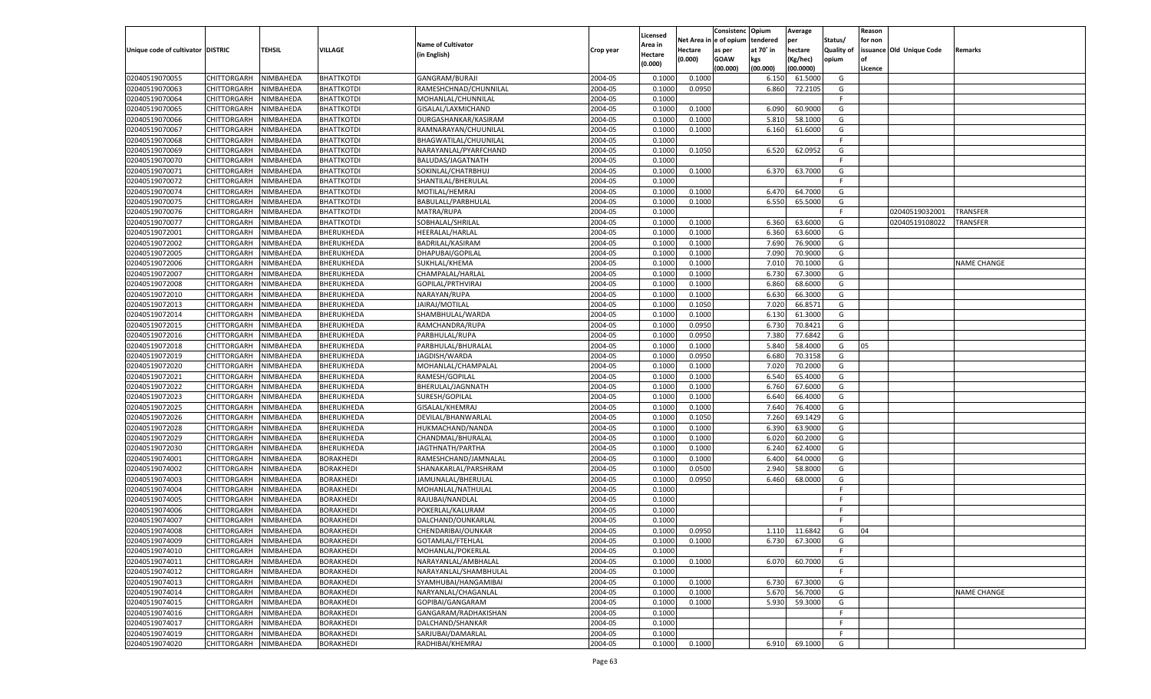|                                   |                                      |           |                                      |                                        |                    |                     |             | Consistenc    | Opium     | Average       |                   | Reason  |                          |                    |
|-----------------------------------|--------------------------------------|-----------|--------------------------------------|----------------------------------------|--------------------|---------------------|-------------|---------------|-----------|---------------|-------------------|---------|--------------------------|--------------------|
|                                   |                                      |           |                                      | <b>Name of Cultivator</b>              |                    | Licensed<br>Area in | Net Area iı | n  e of opium | tendered  | per           | Status/           | for non |                          |                    |
| Unique code of cultivator DISTRIC |                                      | TEHSIL    | <b>VILLAGE</b>                       | (in English)                           | Crop year          | Hectare             | Hectare     | as per        | at 70° in | hectare       | <b>Quality of</b> |         | issuance Old Unique Code | Remarks            |
|                                   |                                      |           |                                      |                                        |                    | (0.000)             | (0.000)     | <b>GOAW</b>   | kgs       | (Kg/hec)      | opium             |         |                          |                    |
|                                   |                                      |           |                                      |                                        |                    |                     |             | (00.000)      | (00.000)  | (00.0000)     |                   | Licence |                          |                    |
| 02040519070055                    | CHITTORGARH                          | NIMBAHEDA | <b>BHATTKOTDI</b>                    | GANGRAM/BURAJI                         | 2004-05            | 0.100               | 0.1000      |               | 6.150     | 61.5000       | G                 |         |                          |                    |
| 02040519070063                    | CHITTORGARH                          | NIMBAHEDA | <b>BHATTKOTDI</b>                    | RAMESHCHNAD/CHUNNILAL                  | 2004-05            | 0.100               | 0.0950      |               | 6.860     | 72.2105       | G                 |         |                          |                    |
| 02040519070064                    | CHITTORGARH                          | NIMBAHEDA | <b>BHATTKOTDI</b>                    | MOHANLAL/CHUNNILAL                     | 2004-05            | 0.1000              |             |               |           |               | F.                |         |                          |                    |
| 02040519070065                    | CHITTORGARH                          | NIMBAHEDA | <b>BHATTKOTDI</b>                    | GISALAL/LAXMICHAND                     | 2004-05            | 0.1000              | 0.1000      |               | 6.090     | 60.9000       | G                 |         |                          |                    |
| 02040519070066                    | CHITTORGARH                          | NIMBAHEDA | <b>BHATTKOTDI</b>                    | DURGASHANKAR/KASIRAM                   | 2004-05            | 0.1000              | 0.1000      |               | 5.810     | 58.1000       | G                 |         |                          |                    |
| 02040519070067                    | CHITTORGARH                          | NIMBAHEDA | <b>BHATTKOTDI</b>                    | RAMNARAYAN/CHUUNILAL                   | 2004-05            | 0.1000              | 0.1000      |               | 6.160     | 61.6000       | G                 |         |                          |                    |
| 02040519070068                    | CHITTORGARH                          | NIMBAHEDA | <b>BHATTKOTDI</b>                    | BHAGWATILAL/CHUUNILAL                  | 2004-05            | 0.1000              |             |               |           |               | F.                |         |                          |                    |
| 02040519070069                    | CHITTORGARH                          | NIMBAHEDA | <b>BHATTKOTDI</b>                    | NARAYANLAL/PYARFCHAND                  | 2004-05            | 0.1000              | 0.1050      |               | 6.520     | 62.0952       | G                 |         |                          |                    |
| 02040519070070                    | CHITTORGARH                          | NIMBAHEDA | <b>BHATTKOTDI</b>                    | BALUDAS/JAGATNATH                      | 2004-05            | 0.1000              |             |               |           |               | F.                |         |                          |                    |
| 02040519070071                    | CHITTORGARH                          | NIMBAHEDA | <b>BHATTKOTDI</b>                    | SOKINLAL/CHATRBHUJ                     | 2004-05            | 0.1000              | 0.1000      |               | 6.370     | 63.7000       | G                 |         |                          |                    |
| 02040519070072                    | CHITTORGARH                          | NIMBAHEDA | <b>BHATTKOTDI</b>                    | SHANTILAL/BHERULAL                     | 2004-05            | 0.1000              |             |               |           |               | F.                |         |                          |                    |
| 02040519070074                    | CHITTORGARH                          | NIMBAHEDA | <b>BHATTKOTDI</b>                    | MOTILAL/HEMRAJ                         | 2004-05            | 0.1000              | 0.1000      |               | 6.470     | 64.7000       | G                 |         |                          |                    |
| 02040519070075                    | CHITTORGARH                          | NIMBAHEDA | <b>BHATTKOTDI</b>                    | BABULALL/PARBHULAL                     | 2004-05            | 0.1000              | 0.1000      |               | 6.550     | 65.5000       | G                 |         |                          |                    |
| 02040519070076                    | CHITTORGARH                          | NIMBAHEDA | <b>BHATTKOTDI</b>                    | MATRA/RUPA                             | 2004-05            | 0.1000              |             |               |           |               | E                 |         | 02040519032001           | TRANSFER           |
| 02040519070077                    | CHITTORGARH                          | NIMBAHEDA | <b>BHATTKOTDI</b>                    | SOBHALAL/SHRILAL                       | 2004-05            | 0.1000              | 0.1000      |               | 6.360     | 63.6000       | G                 |         | 02040519108022           | TRANSFER           |
| 02040519072001                    | CHITTORGARH                          | NIMBAHEDA | BHERUKHEDA                           | HEERALAL/HARLAL                        | 2004-05            | 0.1000              | 0.1000      |               | 6.360     | 63.6000       | G                 |         |                          |                    |
| 02040519072002                    | CHITTORGARH                          | NIMBAHEDA | BHERUKHEDA                           | BADRILAL/KASIRAM                       | 2004-05            | 0.1000              | 0.1000      |               | 7.690     | 76.9000       | G                 |         |                          |                    |
| 02040519072005                    | CHITTORGARH                          | NIMBAHEDA | BHERUKHEDA                           | DHAPUBAI/GOPILAL                       | 2004-05            | 0.1000              | 0.1000      |               | 7.090     | 70.9000       | G                 |         |                          |                    |
| 02040519072006                    | CHITTORGARH                          | NIMBAHEDA | BHERUKHEDA                           | SUKHLAL/KHEMA                          | 2004-05            | 0.1000              | 0.1000      |               | 7.010     | 70.1000       | G                 |         |                          | <b>NAME CHANGE</b> |
| 02040519072007                    | CHITTORGARH                          | NIMBAHEDA | BHERUKHEDA                           | CHAMPALAL/HARLAL                       | 2004-05            | 0.1000              | 0.1000      |               | 6.730     | 67.3000       | G                 |         |                          |                    |
| 02040519072008                    | CHITTORGARH                          | NIMBAHEDA | BHERUKHEDA                           | GOPILAL/PRTHVIRAJ                      | 2004-05            | 0.1000              | 0.1000      |               | 6.860     | 68.6000       | G                 |         |                          |                    |
| 02040519072010                    | CHITTORGARH                          | NIMBAHEDA | BHERUKHEDA                           | NARAYAN/RUPA                           | 2004-05            | 0.1000              | 0.1000      |               | 6.630     | 66.3000       | G                 |         |                          |                    |
| 02040519072013                    | CHITTORGARH                          | NIMBAHEDA | BHERUKHEDA                           | JAIRAJ/MOTILAL                         | 2004-05            | 0.1000              | 0.1050      |               | 7.020     | 66.8571       | G                 |         |                          |                    |
| 02040519072014                    | CHITTORGARH                          | NIMBAHEDA | BHERUKHEDA                           | SHAMBHULAL/WARDA                       | 2004-05            | 0.1000              | 0.1000      |               | 6.130     | 61.3000       | G                 |         |                          |                    |
| 02040519072015                    | CHITTORGARH                          | NIMBAHEDA | BHERUKHEDA                           | RAMCHANDRA/RUPA                        | 2004-05            | 0.1000              | 0.0950      |               | 6.730     | 70.8421       | G                 |         |                          |                    |
| 02040519072016                    | CHITTORGARH                          | NIMBAHEDA | BHERUKHEDA                           | PARBHULAL/RUPA                         | 2004-05            | 0.1000              | 0.0950      |               | 7.380     | 77.6842       | G                 |         |                          |                    |
| 02040519072018                    | CHITTORGARH                          | NIMBAHEDA | BHERUKHEDA                           | PARBHULAL/BHURALAL                     | 2004-05            | 0.1000              | 0.1000      |               | 5.840     | 58.4000       | G                 | 05      |                          |                    |
| 02040519072019                    | CHITTORGARH                          | NIMBAHEDA | BHERUKHEDA                           | JAGDISH/WARDA                          | 2004-05            | 0.1000              | 0.0950      |               | 6.680     | 70.3158       | G                 |         |                          |                    |
| 02040519072020                    | CHITTORGARH                          | NIMBAHEDA | BHERUKHEDA                           | MOHANLAL/CHAMPALAL                     | 2004-05            | 0.1000              | 0.1000      |               | 7.020     | 70.2000       | G                 |         |                          |                    |
| 02040519072021                    | CHITTORGARH                          | NIMBAHEDA | BHERUKHEDA                           | RAMESH/GOPILAL                         | 2004-05            | 0.1000              | 0.1000      |               | 6.540     | 65.4000       | G                 |         |                          |                    |
| 02040519072022                    | CHITTORGARH                          | NIMBAHEDA | BHERUKHEDA                           | BHERULAL/JAGNNATH                      | 2004-05            | 0.1000              | 0.1000      |               | 6.760     | 67.6000       | G                 |         |                          |                    |
| 02040519072023                    | CHITTORGARH                          | NIMBAHEDA | BHERUKHEDA                           | SURESH/GOPILAL                         | 2004-05            | 0.1000              | 0.1000      |               | 6.640     | 66.4000       | G                 |         |                          |                    |
| 02040519072025                    | CHITTORGARH                          | NIMBAHEDA | BHERUKHEDA                           | GISALAL/KHEMRAJ                        | 2004-05            | 0.1000              | 0.1000      |               | 7.640     | 76.4000       | G                 |         |                          |                    |
| 02040519072026                    | CHITTORGARH                          | NIMBAHEDA | BHERUKHEDA                           | DEVILAL/BHANWARLAL                     | 2004-05            | 0.1000              | 0.1050      |               | 7.260     | 69.1429       | G                 |         |                          |                    |
| 02040519072028                    | CHITTORGARH                          | NIMBAHEDA | BHERUKHEDA                           | HUKMACHAND/NANDA                       | 2004-05            | 0.1000              | 0.1000      |               | 6.390     | 63.9000       | G                 |         |                          |                    |
| 02040519072029                    | CHITTORGARH                          | NIMBAHEDA | BHERUKHEDA                           | CHANDMAL/BHURALAL                      | 2004-05            | 0.1000              | 0.1000      |               | 6.020     | 60.2000       | G                 |         |                          |                    |
| 02040519072030                    | CHITTORGARH                          | NIMBAHEDA | BHERUKHEDA                           | JAGTHNATH/PARTHA                       | 2004-05            | 0.1000              | 0.1000      |               | 6.240     | 62.4000       | G                 |         |                          |                    |
| 02040519074001                    | CHITTORGARH                          | NIMBAHEDA | <b>BORAKHEDI</b>                     | RAMESHCHAND/JAMNALAL                   | 2004-05            | 0.1000              | 0.1000      |               | 6.400     | 64.0000       | G                 |         |                          |                    |
| 02040519074002                    | CHITTORGARH                          | NIMBAHEDA | <b>BORAKHEDI</b>                     | SHANAKARLAL/PARSHRAM                   | 2004-05            | 0.1000              | 0.0500      |               | 2.940     | 58.8000       | G                 |         |                          |                    |
| 02040519074003                    | CHITTORGARH                          | NIMBAHEDA | <b>BORAKHEDI</b>                     | JAMUNALAL/BHERULAL                     | 2004-05            | 0.1000              | 0.0950      |               | 6.460     | 68.0000       | G                 |         |                          |                    |
| 02040519074004                    | CHITTORGARH                          | NIMBAHEDA | <b>BORAKHEDI</b>                     | MOHANLAL/NATHULAL                      | 2004-05            | 0.1000              |             |               |           |               | F.                |         |                          |                    |
| 02040519074005                    | CHITTORGARH                          | NIMBAHEDA | <b>BORAKHEDI</b>                     | RAJUBAI/NANDLAL                        | 2004-05            | 0.1000              |             |               |           |               | F                 |         |                          |                    |
| 02040519074006                    | CHITTORGARH                          | NIMBAHEDA | <b>BORAKHEDI</b>                     | POKERLAL/KALURAM                       | 2004-05            | 0.1000              |             |               |           |               | E                 |         |                          |                    |
| 02040519074007                    | CHITTORGARH                          | NIMBAHEDA | <b>BORAKHEDI</b>                     | DALCHAND/OUNKARLAL                     | 2004-05            | 0.1000              |             |               |           |               | F                 |         |                          |                    |
| 02040519074008                    |                                      | NIMBAHEDA | <b>BORAKHEDI</b>                     |                                        | 2004-05            | 0.1000              | 0.0950      |               |           |               |                   | 04      |                          |                    |
|                                   | CHITTORGARH<br>CHITTORGARH NIMBAHEDA |           |                                      | CHENDARIBAI/OUNKAR<br>GOTAMLAL/FTEHLAL |                    |                     |             |               | 1.110     | 11.6842       | G                 |         |                          |                    |
| 02040519074009<br>02040519074010  |                                      |           | <b>BORAKHEDI</b>                     | MOHANLAL/POKERLAL                      | 2004-05<br>2004-05 | 0.1000              | 0.1000      |               |           | 6.730 67.3000 | G                 |         |                          |                    |
|                                   | <b>CHITTORGARH</b>                   | NIMBAHEDA | <b>BORAKHEDI</b>                     |                                        |                    | 0.1000              |             |               |           |               | -F                |         |                          |                    |
| 02040519074011                    | CHITTORGARH                          | NIMBAHEDA | <b>BORAKHEDI</b><br><b>BORAKHEDI</b> | NARAYANLAL/AMBHALAL                    | 2004-05            | 0.1000              | 0.1000      |               | 6.070     | 60.7000       | G                 |         |                          |                    |
| 02040519074012                    | CHITTORGARH                          | NIMBAHEDA |                                      | NARAYANLAL/SHAMBHULAL                  | 2004-05            | 0.1000              |             |               |           |               | F                 |         |                          |                    |
| 02040519074013                    | <b>CHITTORGARH</b>                   | NIMBAHEDA | <b>BORAKHEDI</b>                     | SYAMHUBAI/HANGAMIBAI                   | 2004-05            | 0.1000              | 0.1000      |               | 6.730     | 67.3000       | G                 |         |                          |                    |
| 02040519074014                    | CHITTORGARH                          | NIMBAHEDA | <b>BORAKHEDI</b>                     | NARYANLAL/CHAGANLAL                    | 2004-05            | 0.1000              | 0.1000      |               | 5.670     | 56.7000       | G                 |         |                          | <b>NAME CHANGE</b> |
| 02040519074015                    | <b>CHITTORGARH</b>                   | NIMBAHEDA | <b>BORAKHEDI</b>                     | GOPIBAI/GANGARAM                       | 2004-05            | 0.1000              | 0.1000      |               | 5.930     | 59.3000       | G                 |         |                          |                    |
| 02040519074016                    | CHITTORGARH                          | NIMBAHEDA | <b>BORAKHEDI</b>                     | GANGARAM/RADHAKISHAN                   | 2004-05            | 0.1000              |             |               |           |               | F                 |         |                          |                    |
| 02040519074017                    | <b>CHITTORGARH</b>                   | NIMBAHEDA | <b>BORAKHEDI</b>                     | DALCHAND/SHANKAR                       | 2004-05            | 0.1000              |             |               |           |               | F.                |         |                          |                    |
| 02040519074019                    | <b>CHITTORGARH</b>                   | NIMBAHEDA | <b>BORAKHEDI</b>                     | SARJUBAI/DAMARLAL                      | 2004-05            | 0.1000              |             |               |           |               | F.                |         |                          |                    |
| 02040519074020                    | <b>CHITTORGARH</b>                   | NIMBAHEDA | <b>BORAKHEDI</b>                     | RADHIBAI/KHEMRAJ                       | 2004-05            | 0.1000              | 0.1000      |               |           | 6.910 69.1000 | G                 |         |                          |                    |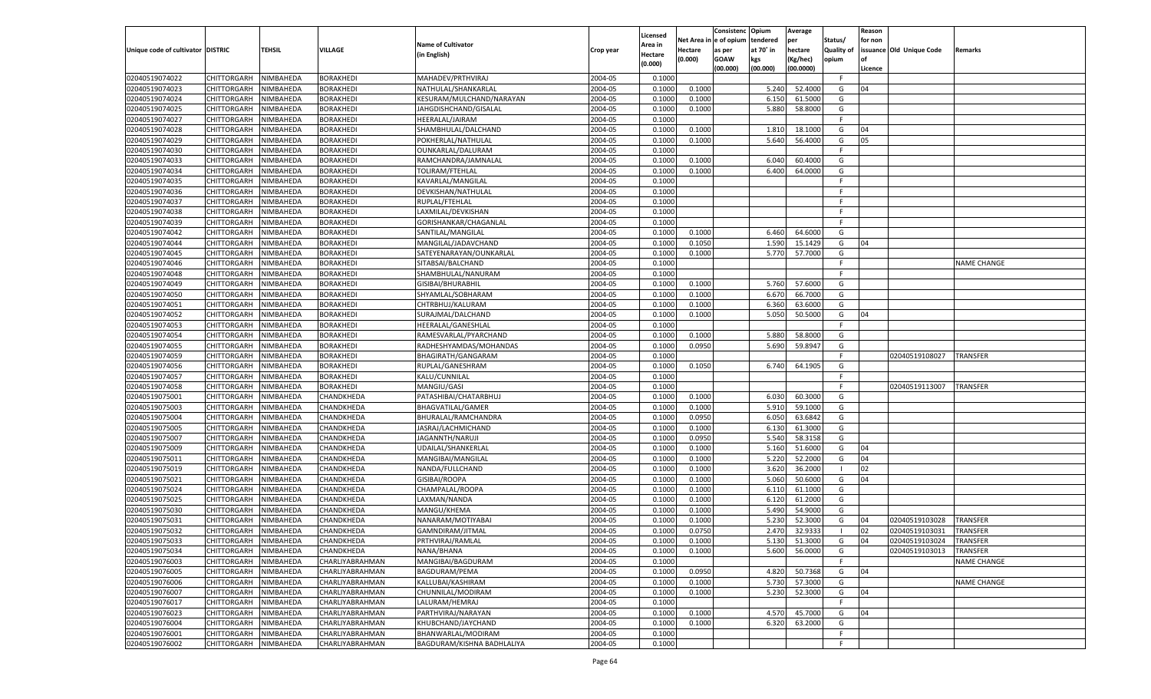|                                   |                       |           |                        |                            |           |                    |            | Consistenc    | Opium     | Average       |                   | Reason  |                          |                    |
|-----------------------------------|-----------------------|-----------|------------------------|----------------------------|-----------|--------------------|------------|---------------|-----------|---------------|-------------------|---------|--------------------------|--------------------|
|                                   |                       |           |                        |                            |           | Licensed           | Net Area i | n  e of opium | tendered  | per           | Status/           | for non |                          |                    |
| Unique code of cultivator DISTRIC |                       | TEHSIL    | <b>VILLAGE</b>         | <b>Name of Cultivator</b>  | Crop year | Area in            | Hectare    | as per        | at 70° in | hectare       | <b>Quality of</b> |         | issuance Old Unique Code | Remarks            |
|                                   |                       |           |                        | (in English)               |           | Hectare<br>(0.000) | (0.000)    | <b>GOAW</b>   | kgs       | (Kg/hec)      | opium             |         |                          |                    |
|                                   |                       |           |                        |                            |           |                    |            | (00.000)      | (00.000)  | (00.0000)     |                   | Licence |                          |                    |
| 02040519074022                    | CHITTORGARH           | NIMBAHEDA | <b>BORAKHEDI</b>       | MAHADEV/PRTHVIRAJ          | 2004-05   | 0.1000             |            |               |           |               | F.                |         |                          |                    |
| 02040519074023                    | CHITTORGARH           | NIMBAHEDA | <b>BORAKHEDI</b>       | NATHULAL/SHANKARLAL        | 2004-05   | 0.1000             | 0.1000     |               | 5.240     | 52.4000       | G                 | 04      |                          |                    |
| 02040519074024                    | CHITTORGARH           | NIMBAHEDA | <b>BORAKHEDI</b>       | KESURAM/MULCHAND/NARAYAN   | 2004-05   | 0.100              | 0.1000     |               | 6.150     | 61.5000       | G                 |         |                          |                    |
| 02040519074025                    | CHITTORGARH           | NIMBAHEDA | <b>BORAKHEDI</b>       | JAHGDISHCHAND/GISALAL      | 2004-05   | 0.1000             | 0.1000     |               | 5.880     | 58.8000       | G                 |         |                          |                    |
| 02040519074027                    | CHITTORGARH           | NIMBAHEDA | <b>BORAKHEDI</b>       | HEERALAL/JAIRAM            | 2004-05   | 0.1000             |            |               |           |               | F.                |         |                          |                    |
| 02040519074028                    | CHITTORGARH           | NIMBAHEDA | BORAKHEDI              | SHAMBHULAL/DALCHAND        | 2004-05   | 0.1000             | 0.1000     |               | 1.810     | 18.1000       | G                 | 04      |                          |                    |
| 02040519074029                    | CHITTORGARH           | NIMBAHEDA | <b>BORAKHEDI</b>       | POKHERLAL/NATHULAL         | 2004-05   | 0.1000             | 0.1000     |               | 5.640     | 56.4000       | G                 | 05      |                          |                    |
| 02040519074030                    | CHITTORGARH           | NIMBAHEDA | <b>BORAKHEDI</b>       | OUNKARLAL/DALURAM          | 2004-05   | 0.1000             |            |               |           |               | E                 |         |                          |                    |
| 02040519074033                    | CHITTORGARH           | NIMBAHEDA | <b>BORAKHEDI</b>       | RAMCHANDRA/JAMNALAL        | 2004-05   | 0.1000             | 0.1000     |               | 6.040     | 60.4000       | G                 |         |                          |                    |
| 02040519074034                    | CHITTORGARH           | NIMBAHEDA | BORAKHEDI              | TOLIRAM/FTEHLAL            | 2004-05   | 0.1000             | 0.1000     |               | 6.400     | 64.0000       | G                 |         |                          |                    |
| 02040519074035                    | CHITTORGARH           | NIMBAHEDA | <b>BORAKHEDI</b>       | KAVARLAL/MANGILAL          | 2004-05   | 0.1000             |            |               |           |               | F.                |         |                          |                    |
| 02040519074036                    | CHITTORGARH           | NIMBAHEDA | <b>BORAKHEDI</b>       | DEVKISHAN/NATHULAL         | 2004-05   | 0.1000             |            |               |           |               | E                 |         |                          |                    |
| 02040519074037                    | CHITTORGARH           | NIMBAHEDA | <b>BORAKHEDI</b>       | RUPLAL/FTEHLAL             | 2004-05   | 0.1000             |            |               |           |               | F.                |         |                          |                    |
| 02040519074038                    | CHITTORGARH           | NIMBAHEDA | BORAKHEDI              | LAXMILAL/DEVKISHAN         | 2004-05   | 0.1000             |            |               |           |               | E                 |         |                          |                    |
| 02040519074039                    | CHITTORGARH           | NIMBAHEDA | <b>BORAKHEDI</b>       | GORISHANKAR/CHAGANLAL      | 2004-05   | 0.1000             |            |               |           |               | E                 |         |                          |                    |
|                                   | CHITTORGARH           |           |                        |                            |           |                    |            |               | 6.460     | 64.6000       |                   |         |                          |                    |
| 02040519074042                    |                       | NIMBAHEDA | BORAKHEDI              | SANTILAL/MANGILAL          | 2004-05   | 0.1000             | 0.1000     |               |           |               | G                 |         |                          |                    |
| 02040519074044                    | CHITTORGARH           | NIMBAHEDA | <b>BORAKHEDI</b>       | MANGILAL/JADAVCHAND        | 2004-05   | 0.1000             | 0.1050     |               | 1.590     | 15.1429       | G                 | 04      |                          |                    |
| 02040519074045                    | CHITTORGARH           | NIMBAHEDA | <b>BORAKHEDI</b>       | SATEYENARAYAN/OUNKARLAL    | 2004-05   | 0.1000             | 0.1000     |               | 5.770     | 57.7000       | G                 |         |                          |                    |
| 02040519074046                    | CHITTORGARH           | NIMBAHEDA | <b>BORAKHEDI</b>       | SITABSAI/BALCHAND          | 2004-05   | 0.1000             |            |               |           |               | F.                |         |                          | <b>NAME CHANGE</b> |
| 02040519074048                    | CHITTORGARH           | NIMBAHEDA | BORAKHEDI              | SHAMBHULAL/NANURAM         | 2004-05   | 0.1000             |            |               |           |               | F.                |         |                          |                    |
| 02040519074049                    | CHITTORGARH           | NIMBAHEDA | BORAKHEDI              | GISIBAI/BHURABHIL          | 2004-05   | 0.1000             | 0.1000     |               | 5.760     | 57.6000       | G                 |         |                          |                    |
| 02040519074050                    | CHITTORGARH           | NIMBAHEDA | <b>BORAKHEDI</b>       | SHYAMLAL/SOBHARAM          | 2004-05   | 0.1000             | 0.1000     |               | 6.670     | 66.7000       | G                 |         |                          |                    |
| 02040519074051                    | CHITTORGARH           | NIMBAHEDA | <b>BORAKHEDI</b>       | CHTRBHUJ/KALURAM           | 2004-05   | 0.1000             | 0.1000     |               | 6.360     | 63.6000       | G                 |         |                          |                    |
| 02040519074052                    | CHITTORGARH           | NIMBAHEDA | BORAKHEDI              | SURAJMAL/DALCHAND          | 2004-05   | 0.1000             | 0.1000     |               | 5.050     | 50.5000       | G                 | 04      |                          |                    |
| 02040519074053                    | CHITTORGARH           | NIMBAHEDA | BORAKHEDI              | HEERALAL/GANESHLAI         | 2004-05   | 0.1000             |            |               |           |               | F.                |         |                          |                    |
| 02040519074054                    | CHITTORGARH           | NIMBAHEDA | <b>BORAKHEDI</b>       | RAMESVARLAL/PYARCHAND      | 2004-05   | 0.1000             | 0.1000     |               | 5.880     | 58.8000       | G                 |         |                          |                    |
| 02040519074055                    | CHITTORGARH           | NIMBAHEDA | <b>BORAKHEDI</b>       | RADHESHYAMDAS/MOHANDAS     | 2004-05   | 0.1000             | 0.0950     |               | 5.690     | 59.8947       | G                 |         |                          |                    |
| 02040519074059                    | CHITTORGARH           | NIMBAHEDA | BORAKHEDI              | BHAGIRATH/GANGARAM         | 2004-05   | 0.1000             |            |               |           |               | F.                |         | 02040519108027           | TRANSFER           |
| 02040519074056                    | CHITTORGARH           | NIMBAHEDA | <b>BORAKHEDI</b>       | RUPLAL/GANESHRAM           | 2004-05   | 0.1000             | 0.1050     |               | 6.740     | 64.1905       | G                 |         |                          |                    |
| 02040519074057                    | CHITTORGARH           | NIMBAHEDA | <b>BORAKHEDI</b>       | KALU/CUNNILAL              | 2004-05   | 0.1000             |            |               |           |               | F.                |         |                          |                    |
| 02040519074058                    | CHITTORGARH           | NIMBAHEDA | <b>BORAKHEDI</b>       | MANGIU/GASI                | 2004-05   | 0.1000             |            |               |           |               | E                 |         | 02040519113007           | <b>TRANSFER</b>    |
| 02040519075001                    | CHITTORGARH           | NIMBAHEDA | CHANDKHEDA             | PATASHIBAI/CHATARBHUJ      | 2004-05   | 0.1000             | 0.1000     |               | 6.030     | 60.3000       | G                 |         |                          |                    |
| 02040519075003                    | CHITTORGARH           | NIMBAHEDA | CHANDKHEDA             | <b>BHAGVATILAL/GAMER</b>   | 2004-05   | 0.1000             | 0.1000     |               | 5.910     | 59.1000       | G                 |         |                          |                    |
| 02040519075004                    | CHITTORGARH           | NIMBAHEDA | CHANDKHEDA             | BHURALAL/RAMCHANDRA        | 2004-05   | 0.1000             | 0.0950     |               | 6.050     | 63.6842       | G                 |         |                          |                    |
| 02040519075005                    | CHITTORGARH           | NIMBAHEDA | CHANDKHEDA             | JASRAJ/LACHMICHAND         | 2004-05   | 0.1000             | 0.1000     |               | 6.130     | 61.3000       | G                 |         |                          |                    |
| 02040519075007                    | CHITTORGARH           | NIMBAHEDA | CHANDKHEDA             | JAGANNTH/NARUJI            | 2004-05   | 0.1000             | 0.0950     |               | 5.540     | 58.3158       | G                 |         |                          |                    |
| 02040519075009                    | CHITTORGARH           | NIMBAHEDA | CHANDKHEDA             | UDAILAL/SHANKERLAI         | 2004-05   | 0.1000             | 0.1000     |               | 5.160     | 51.6000       | G                 | 04      |                          |                    |
| 02040519075011                    | CHITTORGARH           | NIMBAHEDA | CHANDKHEDA             | MANGIBAI/MANGILAL          | 2004-05   | 0.1000             | 0.1000     |               | 5.220     | 52.2000       | G                 | 04      |                          |                    |
|                                   |                       |           |                        | NANDA/FULLCHAND            | 2004-05   |                    | 0.1000     |               |           | 36.2000       | - 1               | 02      |                          |                    |
| 02040519075019                    | CHITTORGARH           | NIMBAHEDA | CHANDKHEDA             |                            |           | 0.1000             |            |               | 3.620     |               |                   |         |                          |                    |
| 02040519075021                    | CHITTORGARH           | NIMBAHEDA | CHANDKHEDA             | GISIBAI/ROOPA              | 2004-05   | 0.1000             | 0.1000     |               | 5.060     | 50.6000       | G                 | 04      |                          |                    |
| 02040519075024                    | CHITTORGARH           | NIMBAHEDA | CHANDKHEDA             | CHAMPALAL/ROOPA            | 2004-05   | 0.1000             | 0.1000     |               | 6.110     | 61.1000       | G                 |         |                          |                    |
| 02040519075025                    | CHITTORGARH           | NIMBAHEDA | CHANDKHEDA             | LAXMAN/NANDA               | 2004-05   | 0.1000             | 0.1000     |               | 6.120     | 61.2000       | G                 |         |                          |                    |
| 02040519075030                    | CHITTORGARH           | NIMBAHEDA | CHANDKHEDA             | MANGU/KHEMA                | 2004-05   | 0.1000             | 0.1000     |               | 5.490     | 54.9000       | G                 |         |                          |                    |
| 02040519075031                    | CHITTORGARH           | NIMBAHEDA | CHANDKHEDA             | NANARAM/MOTIYABAI          | 2004-05   | 0.1000             | 0.1000     |               | 5.23      | 52.3000       | G                 | 04      | 02040519103028           | <b>TRANSFER</b>    |
| 02040519075032                    | CHITTORGARH           | NIMBAHEDA | CHANDKHEDA             | GAMNDIRAM/JITMAL           | 2004-05   | 0.1000             | 0.0750     |               | 2.470     | 32.9333       | - 1               | 02      | 02040519103031           | <b>TRANSFER</b>    |
| 02040519075033                    | CHITTORGARH NIMBAHEDA |           | CHANDKHEDA             | PRTHVIRAJ/RAMLAL           | 2004-05   | 0.1000             | 0.1000     |               |           | 5.130 51.3000 | G                 | 04      | 02040519103024           | <b>TRANSFER</b>    |
| 02040519075034                    | <b>CHITTORGARH</b>    | NIMBAHEDA | CHANDKHEDA             | NANA/BHANA                 | 2004-05   | 0.1000             | 0.1000     |               | 5.600     | 56.0000       | G                 |         | 02040519103013           | TRANSFER           |
| 02040519076003                    | CHITTORGARH           | NIMBAHEDA | CHARLIYABRAHMAN        | MANGIBAI/BAGDURAM          | 2004-05   | 0.1000             |            |               |           |               | F.                |         |                          | <b>NAME CHANGE</b> |
| 02040519076005                    | CHITTORGARH           | NIMBAHEDA | CHARLIYABRAHMAN        | <b>BAGDURAM/PEMA</b>       | 2004-05   | 0.1000             | 0.0950     |               | 4.820     | 50.7368       | G                 | 04      |                          |                    |
| 02040519076006                    | CHITTORGARH           | NIMBAHEDA | CHARLIYABRAHMAN        | KALLUBAI/KASHIRAM          | 2004-05   | 0.1000             | 0.1000     |               | 5.730     | 57.3000       | G                 |         |                          | NAME CHANGE        |
| 02040519076007                    | CHITTORGARH           | NIMBAHEDA | <b>CHARLIYABRAHMAN</b> | CHUNNILAL/MODIRAM          | 2004-05   | 0.1000             | 0.1000     |               | 5.230     | 52.3000       | G                 | 04      |                          |                    |
| 02040519076017                    | CHITTORGARH           | NIMBAHEDA | CHARLIYABRAHMAN        | LALURAM/HEMRAJ             | 2004-05   | 0.1000             |            |               |           |               | F                 |         |                          |                    |
| 02040519076023                    | CHITTORGARH           | NIMBAHEDA | CHARLIYABRAHMAN        | PARTHVIRAJ/NARAYAN         | 2004-05   | 0.1000             | 0.1000     |               | 4.570     | 45.7000       | G                 | 04      |                          |                    |
| 02040519076004                    | CHITTORGARH           | NIMBAHEDA | CHARLIYABRAHMAN        | KHUBCHAND/JAYCHAND         | 2004-05   | 0.1000             | 0.1000     |               | 6.320     | 63.2000       | G                 |         |                          |                    |
| 02040519076001                    | <b>CHITTORGARH</b>    | NIMBAHEDA | CHARLIYABRAHMAN        | BHANWARLAL/MODIRAM         | 2004-05   | 0.1000             |            |               |           |               | F                 |         |                          |                    |
| 02040519076002                    | CHITTORGARH           | NIMBAHEDA | <b>CHARLIYABRAHMAN</b> | BAGDURAM/KISHNA BADHLALIYA | 2004-05   | 0.1000             |            |               |           |               | F.                |         |                          |                    |
|                                   |                       |           |                        |                            |           |                    |            |               |           |               |                   |         |                          |                    |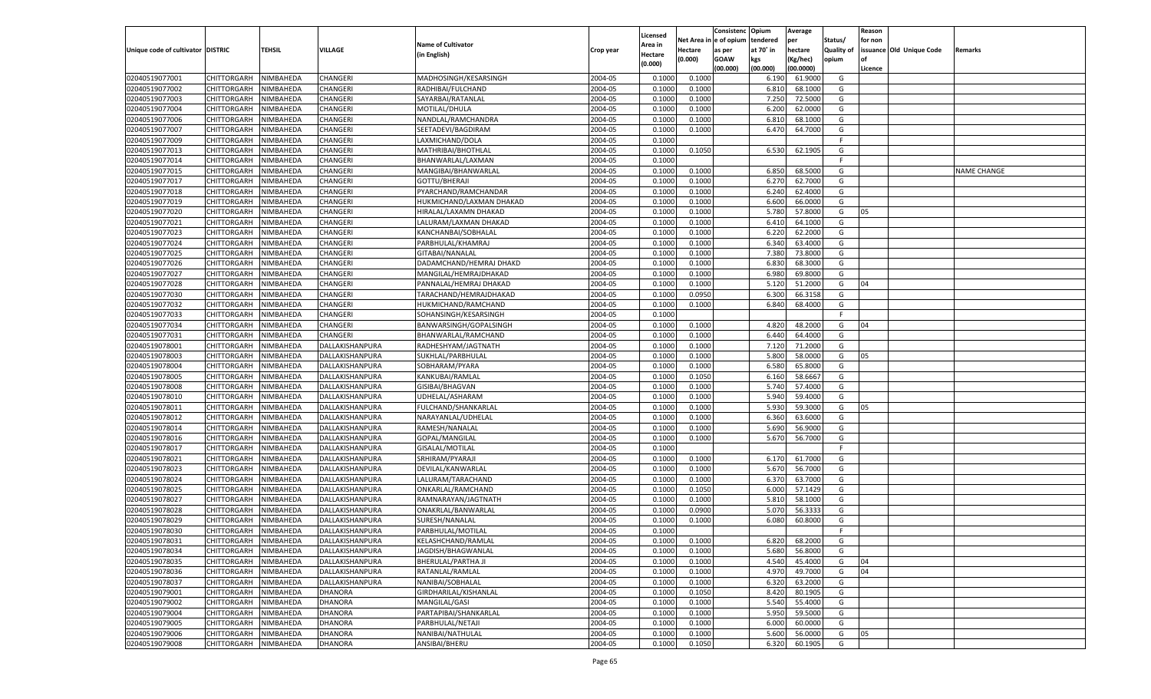|                                   |                    |           |                 |                           |           |          |         | Consistenc Opium       |           | Average   |                   | Reason  |                          |                |
|-----------------------------------|--------------------|-----------|-----------------|---------------------------|-----------|----------|---------|------------------------|-----------|-----------|-------------------|---------|--------------------------|----------------|
|                                   |                    |           |                 | <b>Name of Cultivator</b> |           | Licensed |         | Net Area in e of opium | tendered  | per       | Status/           | for non |                          |                |
| Unique code of cultivator DISTRIC |                    | TEHSIL    | VILLAGE         |                           | Crop year | Area in  | Hectare | as per                 | at 70° in | hectare   | <b>Quality of</b> |         | issuance Old Unique Code | <b>Remarks</b> |
|                                   |                    |           |                 | (in English)              |           | Hectare  | (0.000) | <b>GOAW</b>            | kgs       | (Kg/hec)  | opium             |         |                          |                |
|                                   |                    |           |                 |                           |           | (0.000)  |         | (00.000)               | (00.000)  | (00.0000) |                   | Licence |                          |                |
| 02040519077001                    | CHITTORGARH        | NIMBAHEDA | CHANGERI        | MADHOSINGH/KESARSINGH     | 2004-05   | 0.1000   | 0.1000  |                        | 6.190     | 61.9000   | G                 |         |                          |                |
| 02040519077002                    | CHITTORGARH        | NIMBAHEDA | CHANGERI        | RADHIBAI/FULCHAND         | 2004-05   | 0.1000   | 0.1000  |                        | 6.81      | 68.1000   | G                 |         |                          |                |
| 02040519077003                    | CHITTORGARH        | NIMBAHEDA | CHANGERI        | SAYARBAI/RATANLAL         | 2004-05   | 0.1000   | 0.1000  |                        | 7.250     | 72.5000   | G                 |         |                          |                |
| 02040519077004                    | CHITTORGARH        | NIMBAHEDA | CHANGERI        | MOTILAL/DHULA             | 2004-05   | 0.1000   | 0.1000  |                        | 6.200     | 62.0000   | G                 |         |                          |                |
| 02040519077006                    | CHITTORGARH        | NIMBAHEDA | CHANGERI        | NANDLAL/RAMCHANDRA        | 2004-05   | 0.1000   | 0.1000  |                        | 6.810     | 68.1000   | G                 |         |                          |                |
| 02040519077007                    | CHITTORGARH        | NIMBAHEDA | CHANGERI        | SEETADEVI/BAGDIRAM        | 2004-05   | 0.1000   | 0.1000  |                        | 6.470     | 64.7000   | G                 |         |                          |                |
| 02040519077009                    | CHITTORGARH        | NIMBAHEDA | CHANGERI        | LAXMICHAND/DOLA           | 2004-05   | 0.1000   |         |                        |           |           | F.                |         |                          |                |
| 02040519077013                    | CHITTORGARH        | NIMBAHEDA | CHANGERI        | MATHRIBAI/BHOTHLAL        | 2004-05   | 0.1000   | 0.1050  |                        | 6.530     | 62.1905   | G                 |         |                          |                |
|                                   |                    |           |                 |                           | 2004-05   |          |         |                        |           |           | F.                |         |                          |                |
| 02040519077014                    | CHITTORGARH        | NIMBAHEDA | CHANGERI        | BHANWARLAL/LAXMAN         |           | 0.1000   |         |                        |           |           |                   |         |                          | NAME CHANGE    |
| 02040519077015                    | CHITTORGARH        | NIMBAHEDA | CHANGERI        | MANGIBAI/BHANWARLAL       | 2004-05   | 0.1000   | 0.1000  |                        | 6.850     | 68.5000   | G                 |         |                          |                |
| 02040519077017                    | CHITTORGARH        | NIMBAHEDA | CHANGERI        | GOTTU/BHERAJI             | 2004-05   | 0.1000   | 0.1000  |                        | 6.270     | 62.7000   | G                 |         |                          |                |
| 02040519077018                    | CHITTORGARH        | NIMBAHEDA | CHANGERI        | PYARCHAND/RAMCHANDAR      | 2004-05   | 0.1000   | 0.1000  |                        | 6.240     | 62.4000   | G                 |         |                          |                |
| 02040519077019                    | CHITTORGARH        | NIMBAHEDA | CHANGERI        | HUKMICHAND/LAXMAN DHAKAD  | 2004-05   | 0.1000   | 0.1000  |                        | 6.600     | 66.0000   | G                 |         |                          |                |
| 02040519077020                    | CHITTORGARH        | NIMBAHEDA | CHANGERI        | HIRALAL/LAXAMN DHAKAD     | 2004-05   | 0.100    | 0.1000  |                        | 5.780     | 57.8000   | G                 | 05      |                          |                |
| 02040519077021                    | CHITTORGARH        | NIMBAHEDA | CHANGERI        | LALURAM/LAXMAN DHAKAD     | 2004-05   | 0.1000   | 0.1000  |                        | 6.410     | 64.1000   | G                 |         |                          |                |
| 02040519077023                    | CHITTORGARH        | NIMBAHEDA | CHANGERI        | KANCHANBAI/SOBHALAL       | 2004-05   | 0.1000   | 0.1000  |                        | 6.220     | 62.2000   | G                 |         |                          |                |
| 02040519077024                    | CHITTORGARH        | NIMBAHEDA | CHANGERI        | PARBHULAL/KHAMRAJ         | 2004-05   | 0.1000   | 0.1000  |                        | 6.340     | 63.4000   | G                 |         |                          |                |
| 02040519077025                    | CHITTORGARH        | NIMBAHEDA | CHANGERI        | GITABAI/NANALAL           | 2004-05   | 0.100    | 0.1000  |                        | 7.380     | 73.8000   | G                 |         |                          |                |
| 02040519077026                    | CHITTORGARH        | NIMBAHEDA | CHANGERI        | DADAMCHAND/HEMRAJ DHAKD   | 2004-05   | 0.1000   | 0.1000  |                        | 6.830     | 68.3000   | G                 |         |                          |                |
| 02040519077027                    | CHITTORGARH        | NIMBAHEDA | CHANGERI        | MANGILAL/HEMRAJDHAKAD     | 2004-05   | 0.1000   | 0.1000  |                        | 6.980     | 69.8000   | G                 |         |                          |                |
| 02040519077028                    | CHITTORGARH        | NIMBAHEDA | CHANGERI        | PANNALAL/HEMRAJ DHAKAD    | 2004-05   | 0.1000   | 0.1000  |                        | 5.120     | 51.2000   | G                 | 04      |                          |                |
| 02040519077030                    | CHITTORGARH        | NIMBAHEDA | CHANGERI        | TARACHAND/HEMRAJDHAKAD    | 2004-05   | 0.1000   | 0.0950  |                        | 6.300     | 66.3158   | G                 |         |                          |                |
| 02040519077032                    | CHITTORGARH        | NIMBAHEDA | CHANGERI        | HUKMICHAND/RAMCHAND       | 2004-05   | 0.1000   | 0.1000  |                        | 6.840     | 68.4000   | G                 |         |                          |                |
| 02040519077033                    | CHITTORGARH        | NIMBAHEDA | CHANGERI        | SOHANSINGH/KESARSINGH     | 2004-05   | 0.1000   |         |                        |           |           | -F                |         |                          |                |
| 02040519077034                    | CHITTORGARH        | NIMBAHEDA | CHANGERI        | BANWARSINGH/GOPALSINGH    | 2004-05   | 0.1000   | 0.1000  |                        | 4.820     | 48.2000   | G                 | 04      |                          |                |
| 02040519077031                    | CHITTORGARH        | NIMBAHEDA | CHANGERI        | BHANWARLAL/RAMCHAND       | 2004-05   | 0.1000   | 0.1000  |                        | 6.440     | 64.4000   | G                 |         |                          |                |
| 02040519078001                    | CHITTORGARH        | NIMBAHEDA | DALLAKISHANPURA | RADHESHYAM/JAGTNATH       | 2004-05   | 0.1000   | 0.1000  |                        | 7.120     | 71.2000   | G                 |         |                          |                |
| 02040519078003                    | CHITTORGARH        | NIMBAHEDA | DALLAKISHANPURA | SUKHLAL/PARBHULAL         | 2004-05   | 0.1000   | 0.1000  |                        | 5.800     | 58.0000   | G                 | 05      |                          |                |
|                                   |                    |           |                 |                           | 2004-05   | 0.1000   |         |                        |           | 65.8000   | G                 |         |                          |                |
| 02040519078004                    | CHITTORGARH        | NIMBAHEDA | DALLAKISHANPURA | SOBHARAM/PYARA            |           |          | 0.1000  |                        | 6.580     |           |                   |         |                          |                |
| 02040519078005                    | CHITTORGARH        | NIMBAHEDA | DALLAKISHANPURA | KANKUBAI/RAMLAL           | 2004-05   | 0.1000   | 0.1050  |                        | 6.160     | 58.6667   | G                 |         |                          |                |
| 02040519078008                    | CHITTORGARH        | NIMBAHEDA | DALLAKISHANPURA | GISIBAI/BHAGVAN           | 2004-05   | 0.1000   | 0.1000  |                        | 5.740     | 57.4000   | G                 |         |                          |                |
| 02040519078010                    | CHITTORGARH        | NIMBAHEDA | DALLAKISHANPURA | UDHELAL/ASHARAM           | 2004-05   | 0.1000   | 0.1000  |                        | 5.940     | 59.4000   | G                 |         |                          |                |
| 02040519078011                    | CHITTORGARH        | NIMBAHEDA | DALLAKISHANPURA | FULCHAND/SHANKARLAL       | 2004-05   | 0.1000   | 0.1000  |                        | 5.930     | 59.3000   | G                 | 05      |                          |                |
| 02040519078012                    | CHITTORGARH        | NIMBAHEDA | DALLAKISHANPURA | NARAYANLAL/UDHELAL        | 2004-05   | 0.1000   | 0.1000  |                        | 6.360     | 63.6000   | G                 |         |                          |                |
| 02040519078014                    | CHITTORGARH        | NIMBAHEDA | DALLAKISHANPURA | RAMESH/NANALAL            | 2004-05   | 0.1000   | 0.1000  |                        | 5.690     | 56.9000   | G                 |         |                          |                |
| 02040519078016                    | CHITTORGARH        | NIMBAHEDA | DALLAKISHANPURA | GOPAL/MANGILAL            | 2004-05   | 0.1000   | 0.1000  |                        | 5.670     | 56.7000   | G                 |         |                          |                |
| 02040519078017                    | CHITTORGARH        | NIMBAHEDA | DALLAKISHANPURA | GISALAL/MOTILAL           | 2004-05   | 0.1000   |         |                        |           |           | F.                |         |                          |                |
| 02040519078021                    | CHITTORGARH        | NIMBAHEDA | DALLAKISHANPURA | SRHIRAM/PYARAJI           | 2004-05   | 0.1000   | 0.1000  |                        | 6.170     | 61.7000   | G                 |         |                          |                |
| 02040519078023                    | CHITTORGARH        | NIMBAHEDA | DALLAKISHANPURA | DEVILAL/KANWARLAL         | 2004-05   | 0.1000   | 0.1000  |                        | 5.670     | 56.7000   | G                 |         |                          |                |
| 02040519078024                    | CHITTORGARH        | NIMBAHEDA | DALLAKISHANPURA | LALURAM/TARACHAND         | 2004-05   | 0.1000   | 0.1000  |                        | 6.370     | 63.7000   | G                 |         |                          |                |
| 02040519078025                    | CHITTORGARH        | NIMBAHEDA | DALLAKISHANPURA | ONKARLAL/RAMCHAND         | 2004-05   | 0.1000   | 0.1050  |                        | 6.000     | 57.1429   | G                 |         |                          |                |
| 02040519078027                    | CHITTORGARH        | NIMBAHEDA | DALLAKISHANPURA | RAMNARAYAN/JAGTNATH       | 2004-05   | 0.1000   | 0.1000  |                        | 5.810     | 58.1000   | G                 |         |                          |                |
| 02040519078028                    | CHITTORGARH        | NIMBAHEDA | DALLAKISHANPURA | ONAKRLAL/BANWARLAL        | 2004-05   | 0.100    | 0.0900  |                        | 5.070     | 56.3333   | G                 |         |                          |                |
| 02040519078029                    | CHITTORGARH        | NIMBAHEDA | DALLAKISHANPURA | SURESH/NANALAL            | 2004-05   | 0.1000   | 0.1000  |                        | 6.080     | 60.8000   | G                 |         |                          |                |
| 02040519078030                    | CHITTORGARH        | NIMBAHEDA | DALLAKISHANPURA | PARBHULAL/MOTILAL         | 2004-05   | 0.1000   |         |                        |           |           | F.                |         |                          |                |
| 02040519078031                    | CHITTORGARH        | NIMBAHEDA | DALLAKISHANPURA | KELASHCHAND/RAMLAL        | 2004-05   | 0.1000   | 0.1000  |                        | 6.820     | 68.2000   | G                 |         |                          |                |
| 02040519078034                    | CHITTORGARH        | NIMBAHEDA | DALLAKISHANPURA | JAGDISH/BHAGWANLAL        | 2004-05   | 0.1000   | 0.1000  |                        | 5.680     | 56.8000   | G                 |         |                          |                |
| 02040519078035                    | <b>CHITTORGARH</b> | NIMBAHEDA | DALLAKISHANPURA |                           | 2004-05   | 0.1000   | 0.1000  |                        | 4.540     | 45.4000   | G                 | 04      |                          |                |
| 02040519078036                    |                    |           |                 | BHERULAL/PARTHA JI        |           |          |         |                        |           |           |                   | 04      |                          |                |
|                                   | <b>CHITTORGARH</b> | NIMBAHEDA | DALLAKISHANPURA | RATANLAL/RAMLAL           | 2004-05   | 0.1000   | 0.1000  |                        | 4.970     | 49.7000   | G                 |         |                          |                |
| 02040519078037                    | <b>CHITTORGARH</b> | NIMBAHEDA | DALLAKISHANPURA | NANIBAI/SOBHALAL          | 2004-05   | 0.1000   | 0.1000  |                        | 6.320     | 63.2000   | G                 |         |                          |                |
| 02040519079001                    | <b>CHITTORGARH</b> | NIMBAHEDA | <b>DHANORA</b>  | GIRDHARILAL/KISHANLAL     | 2004-05   | 0.1000   | 0.1050  |                        | 8.420     | 80.1905   | G                 |         |                          |                |
| 02040519079002                    | <b>CHITTORGARH</b> | NIMBAHEDA | <b>DHANORA</b>  | MANGILAL/GASI             | 2004-05   | 0.1000   | 0.1000  |                        | 5.540     | 55.4000   | G                 |         |                          |                |
| 02040519079004                    | <b>CHITTORGARH</b> | NIMBAHEDA | <b>DHANORA</b>  | PARTAPIBAI/SHANKARLAL     | 2004-05   | 0.1000   | 0.1000  |                        | 5.950     | 59.5000   | G                 |         |                          |                |
| 02040519079005                    | <b>CHITTORGARH</b> | NIMBAHEDA | <b>DHANORA</b>  | PARBHULAL/NETAJI          | 2004-05   | 0.1000   | 0.1000  |                        | 6.000     | 60.0000   | G                 |         |                          |                |
| 02040519079006                    | <b>CHITTORGARH</b> | NIMBAHEDA | <b>DHANORA</b>  | NANIBAI/NATHULAL          | 2004-05   | 0.1000   | 0.1000  |                        | 5.600     | 56.0000   | G                 | 05      |                          |                |
| 02040519079008                    | <b>CHITTORGARH</b> | NIMBAHEDA | <b>DHANORA</b>  | ANSIBAI/BHERU             | 2004-05   | 0.1000   | 0.1050  |                        | 6.320     | 60.1905   | G                 |         |                          |                |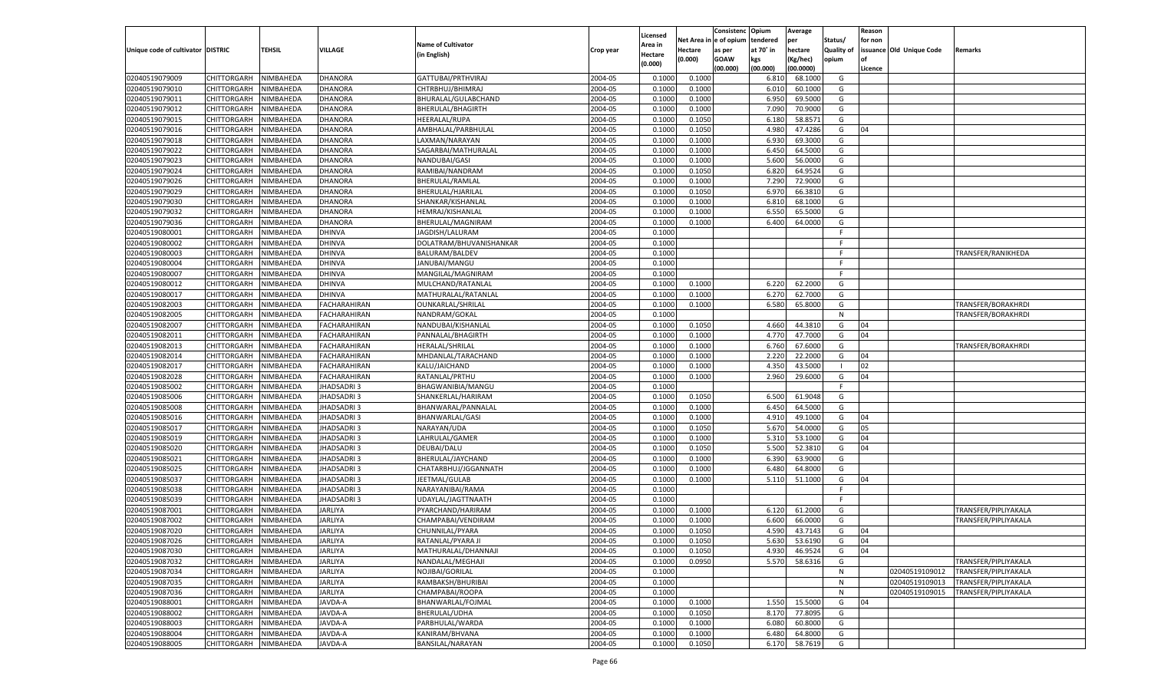|                                   |                                   |               |                     |                                         |                    | Licensed |                        | Consistenc  | Opium     | Average              |                   | Reason  |                          |                      |
|-----------------------------------|-----------------------------------|---------------|---------------------|-----------------------------------------|--------------------|----------|------------------------|-------------|-----------|----------------------|-------------------|---------|--------------------------|----------------------|
|                                   |                                   |               |                     | <b>Name of Cultivator</b>               |                    | Area in  | Net Area in e of opium |             | tendered  | per                  | Status/           | for non |                          |                      |
| Unique code of cultivator DISTRIC |                                   | <b>TEHSIL</b> | <b>VILLAGE</b>      | (in English)                            | Crop year          | Hectare  | <b>Hectare</b>         | as per      | at 70° in | hectare              | <b>Quality of</b> |         | issuance Old Unique Code | Remarks              |
|                                   |                                   |               |                     |                                         |                    | (0.000)  | (0.000)                | <b>GOAW</b> | kgs       | (Kg/hec)             | opium             |         |                          |                      |
| 02040519079009                    | CHITTORGARH                       | NIMBAHEDA     | <b>DHANORA</b>      | GATTUBAI/PRTHVIRAJ                      | 2004-05            | 0.1000   | 0.1000                 | (00.000)    | (00.000)  | (00.0000)<br>68.1000 | G                 | Licence |                          |                      |
| 02040519079010                    |                                   | NIMBAHEDA     | <b>DHANORA</b>      |                                         |                    |          |                        |             | 6.810     |                      |                   |         |                          |                      |
| 02040519079011                    | CHITTORGARH<br><b>CHITTORGARH</b> | NIMBAHEDA     | <b>DHANORA</b>      | CHTRBHUJ/BHIMRAJ<br>BHURALAL/GULABCHAND | 2004-05<br>2004-05 | 0.1000   | 0.1000                 |             | 6.010     | 60.1000<br>69.5000   | G                 |         |                          |                      |
|                                   |                                   |               |                     |                                         |                    | 0.1000   | 0.1000                 |             | 6.950     |                      | G                 |         |                          |                      |
| 02040519079012                    | CHITTORGARH                       | NIMBAHEDA     | <b>DHANORA</b>      | BHERULAL/BHAGIRTH                       | 2004-05<br>2004-05 | 0.1000   | 0.1000                 |             | 7.090     | 70.9000              | G                 |         |                          |                      |
| 02040519079015                    | CHITTORGARH                       | NIMBAHEDA     | <b>DHANORA</b>      | <b>HEERALAL/RUPA</b>                    |                    | 0.1000   | 0.1050                 |             | 6.180     | 58.8571              | G                 |         |                          |                      |
| 02040519079016                    | CHITTORGARH                       | NIMBAHEDA     | <b>DHANORA</b>      | AMBHALAL/PARBHULAL                      | 2004-05<br>2004-05 | 0.1000   | 0.1050                 |             | 4.980     | 47.4286              | G                 | 04      |                          |                      |
| 02040519079018                    | <b>CHITTORGARH</b>                | NIMBAHEDA     | <b>DHANORA</b>      | LAXMAN/NARAYAN                          |                    | 0.1000   | 0.1000                 |             | 6.930     | 69.3000              | G                 |         |                          |                      |
| 02040519079022                    | CHITTORGARH                       | NIMBAHEDA     | <b>DHANORA</b>      | SAGARBAI/MATHURALAL                     | 2004-05            | 0.1000   | 0.1000                 |             | 6.450     | 64.5000              | G                 |         |                          |                      |
| 02040519079023                    | CHITTORGARH                       | NIMBAHEDA     | <b>DHANORA</b>      | NANDUBAI/GASI                           | 2004-05            | 0.1000   | 0.1000                 |             | 5.600     | 56.0000              | G                 |         |                          |                      |
| 02040519079024                    | CHITTORGARH                       | NIMBAHEDA     | <b>DHANORA</b>      | RAMIBAI/NANDRAM                         | 2004-05            | 0.1000   | 0.1050                 |             | 6.820     | 64.9524              | G                 |         |                          |                      |
| 02040519079026                    | <b>CHITTORGARH</b>                | NIMBAHEDA     | <b>DHANORA</b>      | BHERULAL/RAMLAL                         | 2004-05            | 0.1000   | 0.1000                 |             | 7.290     | 72.9000              | G                 |         |                          |                      |
| 02040519079029                    | CHITTORGARH                       | NIMBAHEDA     | <b>DHANORA</b>      | BHERULAL/HJARILAI                       | 2004-05            | 0.1000   | 0.1050                 |             | 6.970     | 66.3810              | G                 |         |                          |                      |
| 02040519079030                    | CHITTORGARH                       | NIMBAHEDA     | <b>DHANORA</b>      | SHANKAR/KISHANLAL                       | 2004-05            | 0.1000   | 0.1000                 |             | 6.810     | 68.1000              | G                 |         |                          |                      |
| 02040519079032                    | CHITTORGARH                       | NIMBAHEDA     | <b>DHANORA</b>      | HEMRAJ/KISHANLAL                        | 2004-05            | 0.1000   | 0.1000                 |             | 6.550     | 65.5000              | G                 |         |                          |                      |
| 02040519079036                    | <b>CHITTORGARH</b>                | NIMBAHEDA     | <b>DHANORA</b>      | BHERULAL/MAGNIRAM                       | 2004-05            | 0.1000   | 0.1000                 |             | 6.400     | 64.0000              | G                 |         |                          |                      |
| 02040519080001                    | CHITTORGARH                       | NIMBAHEDA     | <b>DHINVA</b>       | JAGDISH/LALURAM                         | 2004-05            | 0.1000   |                        |             |           |                      | F.                |         |                          |                      |
| 02040519080002                    | CHITTORGARH                       | NIMBAHEDA     | <b>DHINVA</b>       | DOLATRAM/BHUVANISHANKAR                 | 2004-05            | 0.1000   |                        |             |           |                      | F.                |         |                          |                      |
| 02040519080003                    | CHITTORGARH                       | NIMBAHEDA     | <b>DHINVA</b>       | <b>BALURAM/BALDEV</b>                   | 2004-05            | 0.1000   |                        |             |           |                      | F.                |         |                          | TRANSFER/RANIKHEDA   |
| 02040519080004                    | <b>CHITTORGARH</b>                | NIMBAHEDA     | <b>DHINVA</b>       | JANUBAI/MANGU                           | 2004-05            | 0.1000   |                        |             |           |                      | F.                |         |                          |                      |
| 02040519080007                    | CHITTORGARH                       | NIMBAHEDA     | <b>DHINVA</b>       | MANGILAL/MAGNIRAM                       | 2004-05            | 0.1000   |                        |             |           |                      | F.                |         |                          |                      |
| 02040519080012                    | CHITTORGARH                       | NIMBAHEDA     | <b>DHINVA</b>       | MULCHAND/RATANLAL                       | 2004-05            | 0.1000   | 0.1000                 |             | 6.220     | 62.2000              | G                 |         |                          |                      |
| 02040519080017                    | CHITTORGARH                       | NIMBAHEDA     | <b>DHINVA</b>       | MATHURALAL/RATANLAI                     | 2004-05            | 0.1000   | 0.1000                 |             | 6.270     | 62.7000              | G                 |         |                          |                      |
| 02040519082003                    | <b>CHITTORGARH</b>                | NIMBAHEDA     | <b>FACHARAHIRAN</b> | OUNKARLAL/SHRILAL                       | 2004-05            | 0.1000   | 0.1000                 |             | 6.580     | 65.8000              | G                 |         |                          | TRANSFER/BORAKHRDI   |
| 02040519082005                    | CHITTORGARH                       | NIMBAHEDA     | FACHARAHIRAN        | NANDRAM/GOKAL                           | 2004-05            | 0.1000   |                        |             |           |                      | N                 |         |                          | TRANSFER/BORAKHRDI   |
| 02040519082007                    | CHITTORGARH                       | NIMBAHEDA     | <b>FACHARAHIRAN</b> | NANDUBAI/KISHANLAL                      | 2004-05            | 0.1000   | 0.1050                 |             | 4.660     | 44.3810              | G                 | 04      |                          |                      |
| 02040519082011                    | CHITTORGARH                       | NIMBAHEDA     | <b>FACHARAHIRAN</b> | PANNALAL/BHAGIRTH                       | 2004-05            | 0.1000   | 0.1000                 |             | 4.770     | 47.7000              | G                 | 04      |                          |                      |
| 02040519082013                    | <b>CHITTORGARH</b>                | NIMBAHEDA     | <b>FACHARAHIRAN</b> | HERALAL/SHRILAL                         | 2004-05            | 0.1000   | 0.1000                 |             | 6.760     | 67.6000              | G                 |         |                          | TRANSFER/BORAKHRDI   |
| 02040519082014                    | CHITTORGARH                       | NIMBAHEDA     | FACHARAHIRAN        | MHDANLAL/TARACHAND                      | 2004-05            | 0.1000   | 0.1000                 |             | 2.220     | 22.2000              | G                 | 04      |                          |                      |
| 02040519082017                    | CHITTORGARH                       | NIMBAHEDA     | <b>FACHARAHIRAN</b> | KALU/JAICHAND                           | 2004-05            | 0.1000   | 0.1000                 |             | 4.350     | 43.5000              |                   | 02      |                          |                      |
| 02040519082028                    | CHITTORGARH                       | NIMBAHEDA     | <b>FACHARAHIRAN</b> | RATANLAL/PRTHU                          | 2004-05            | 0.1000   | 0.1000                 |             | 2.960     | 29.6000              | G                 | 04      |                          |                      |
| 02040519085002                    | <b>CHITTORGARH</b>                | NIMBAHEDA     | <b>JHADSADRI3</b>   | BHAGWANIBIA/MANGU                       | 2004-05            | 0.1000   |                        |             |           |                      | F.                |         |                          |                      |
| 02040519085006                    | CHITTORGARH                       | NIMBAHEDA     | <b>JHADSADRI3</b>   | SHANKERLAL/HARIRAM                      | 2004-05            | 0.1000   | 0.1050                 |             | 6.500     | 61.9048              | G                 |         |                          |                      |
| 02040519085008                    | <b>CHITTORGARH</b>                | NIMBAHEDA     | <b>JHADSADRI3</b>   | BHANWARAL/PANNALAI                      | 2004-05            | 0.1000   | 0.1000                 |             | 6.450     | 64.5000              | G                 |         |                          |                      |
| 02040519085016                    | CHITTORGARH                       | NIMBAHEDA     | JHADSADRI 3         | BHANWARLAL/GASI                         | 2004-05            | 0.1000   | 0.1000                 |             | 4.910     | 49.1000              | G                 | 04      |                          |                      |
| 02040519085017                    | <b>CHITTORGARH</b>                | NIMBAHEDA     | <b>JHADSADRI3</b>   | NARAYAN/UDA                             | 2004-05            | 0.1000   | 0.1050                 |             | 5.670     | 54.0000              | G                 | 05      |                          |                      |
| 02040519085019                    | CHITTORGARH                       | NIMBAHEDA     | <b>JHADSADRI3</b>   | LAHRULAL/GAMER                          | 2004-05            | 0.1000   | 0.1000                 |             | 5.310     | 53.1000              | G                 | 04      |                          |                      |
| 02040519085020                    | <b>CHITTORGARH</b>                | NIMBAHEDA     | <b>JHADSADRI3</b>   | DEUBAI/DALU                             | 2004-05            | 0.1000   | 0.1050                 |             | 5.500     | 52.3810              | G                 | 04      |                          |                      |
| 02040519085021                    | CHITTORGARH                       | NIMBAHEDA     | JHADSADRI 3         | BHERULAL/JAYCHAND                       | 2004-05            | 0.1000   | 0.1000                 |             | 6.390     | 63.9000              | G                 |         |                          |                      |
| 02040519085025                    | <b>CHITTORGARH</b>                | NIMBAHEDA     | <b>JHADSADRI3</b>   | CHATARBHUJ/JGGANNATH                    | 2004-05            | 0.1000   | 0.1000                 |             | 6.480     | 64.8000              | G                 |         |                          |                      |
| 02040519085037                    | CHITTORGARH                       | NIMBAHEDA     | <b>JHADSADRI3</b>   | JEETMAL/GULAB                           | 2004-05            | 0.1000   | 0.1000                 |             | 5.110     | 51.1000              | G                 | 04      |                          |                      |
| 02040519085038                    | <b>CHITTORGARH</b>                | NIMBAHEDA     | <b>JHADSADRI3</b>   | NARAYANIBAI/RAMA                        | 2004-05            | 0.1000   |                        |             |           |                      | F.                |         |                          |                      |
| 02040519085039                    | CHITTORGARH                       | NIMBAHEDA     | JHADSADRI 3         | UDAYLAL/JAGTTNAATH                      | 2004-05            | 0.1000   |                        |             |           |                      | F.                |         |                          |                      |
| 02040519087001                    | <b>CHITTORGARH</b>                | NIMBAHEDA     | <b>JARLIYA</b>      | PYARCHAND/HARIRAM                       | 2004-05            | 0.1000   | 0.1000                 |             | 6.120     | 61.2000              | G                 |         |                          | TRANSFER/PIPLIYAKALA |
| 02040519087002                    | CHITTORGARH                       | NIMBAHEDA     | <b>JARLIYA</b>      | CHAMPABAI/VENDIRAM                      | 2004-05            | 0.1000   | 0.1000                 |             | 6.600     | 66.0000              | G                 |         |                          | TRANSFER/PIPLIYAKALA |
| 02040519087020                    | CHITTORGARH                       | NIMBAHEDA     | <b>JARLIYA</b>      | CHUNNILAL/PYARA                         | 2004-05            | 0.1000   | 0.1050                 |             | 4.590     | 43.7143              | G                 | 04      |                          |                      |
| 02040519087026                    | CHITTORGARH NIMBAHEDA             |               | <b>JARLIYA</b>      | RATANLAL/PYARA JI                       | 2004-05            | 0.1000   | 0.1050                 |             |           | 5.630 53.6190        | G                 | 04      |                          |                      |
| 02040519087030                    | CHITTORGARH                       | NIMBAHEDA     | <b>JARLIYA</b>      | MATHURALAL/DHANNAJI                     | 2004-05            | 0.1000   | 0.1050                 |             | 4.930     | 46.9524              | G                 | 04      |                          |                      |
| 02040519087032                    | <b>CHITTORGARH</b>                | NIMBAHEDA     | <b>JARLIYA</b>      | NANDALAL/MEGHAJI                        | 2004-05            | 0.1000   | 0.0950                 |             | 5.570     | 58.6316              | G                 |         |                          | TRANSFER/PIPLIYAKALA |
| 02040519087034                    | <b>CHITTORGARH</b>                | NIMBAHEDA     | <b>JARLIYA</b>      | NOJIBAI/GORILAL                         | 2004-05            | 0.1000   |                        |             |           |                      | N                 |         | 02040519109012           | TRANSFER/PIPLIYAKALA |
| 02040519087035                    | <b>CHITTORGARH</b>                | NIMBAHEDA     | <b>JARLIYA</b>      | RAMBAKSH/BHURIBAI                       | 2004-05            | 0.1000   |                        |             |           |                      | N                 |         | 02040519109013           | TRANSFER/PIPLIYAKALA |
| 02040519087036                    | <b>CHITTORGARH</b>                | NIMBAHEDA     | <b>JARLIYA</b>      | CHAMPABAI/ROOPA                         | 2004-05            | 0.1000   |                        |             |           |                      | N                 |         | 02040519109015           | TRANSFER/PIPLIYAKALA |
| 02040519088001                    | <b>CHITTORGARH</b>                | NIMBAHEDA     | JAVDA-A             | BHANWARLAL/FOJMAL                       | 2004-05            | 0.1000   | 0.1000                 |             | 1.550     | 15.5000              | G                 | 04      |                          |                      |
| 02040519088002                    | <b>CHITTORGARH</b>                | NIMBAHEDA     | JAVDA-A             | BHERULAL/UDHA                           | 2004-05            | 0.1000   | 0.1050                 |             | 8.170     | 77.8095              | G                 |         |                          |                      |
| 02040519088003                    | <b>CHITTORGARH</b>                | NIMBAHEDA     | JAVDA-A             | PARBHULAL/WARDA                         | 2004-05            | 0.1000   | 0.1000                 |             | 6.080     | 60.8000              | G                 |         |                          |                      |
| 02040519088004                    | <b>CHITTORGARH</b>                | NIMBAHEDA     | JAVDA-A             | KANIRAM/BHVANA                          | 2004-05            | 0.1000   | 0.1000                 |             | 6.480     | 64.8000              | G                 |         |                          |                      |
| 02040519088005                    | <b>CHITTORGARH</b>                | NIMBAHEDA     | JAVDA-A             | BANSILAL/NARAYAN                        | 2004-05            | 0.1000   | 0.1050                 |             | 6.170     | 58.7619              | G                 |         |                          |                      |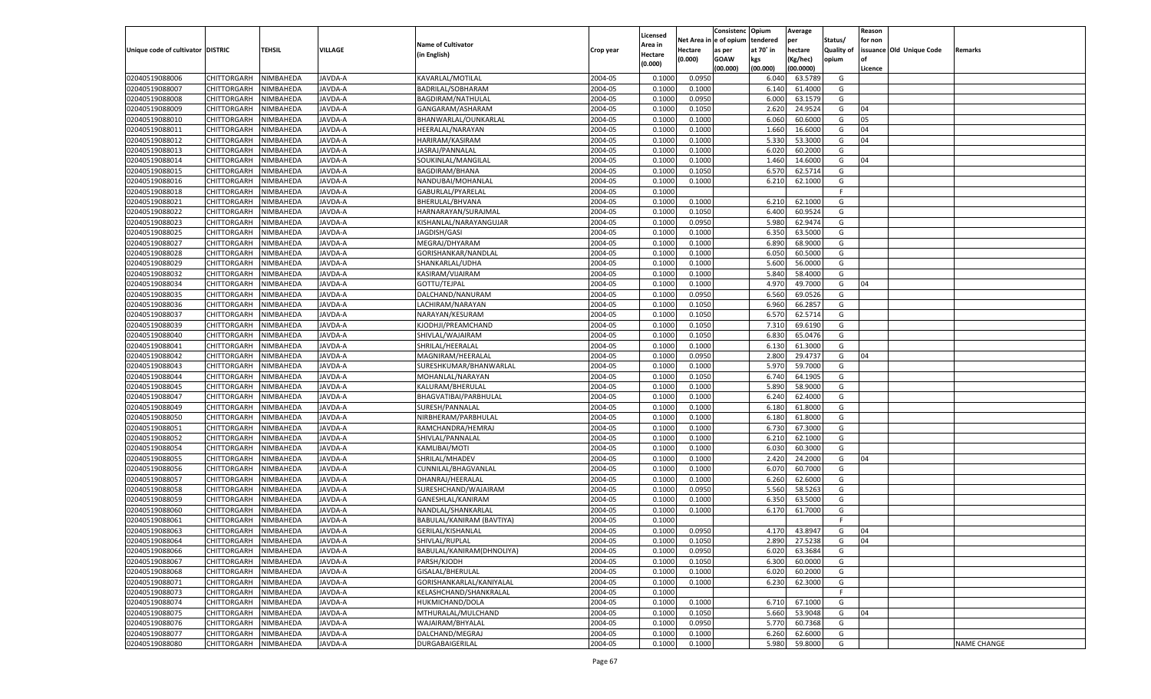| e of opium<br>Net Area<br>tendered<br>Status/<br>for non<br>per<br><b>Name of Cultivator</b><br><b>Area in</b><br><b>TEHSIL</b><br>VILLAGE<br>Unique code of cultivator DISTRIC<br>at 70° in<br>hectare<br><b>Quality of</b><br>issuance Old Unique Code<br>Hectare<br>Crop year<br>as per<br>Remarks<br>(in English)<br>Hectare<br>(0.000)<br><b>GOAW</b><br>kgs<br>(Kg/hec)<br>opium<br>(0.000)<br>(00.000)<br>(00.000)<br>(00.0000)<br>Licence<br>02040519088006<br>NIMBAHEDA<br>KAVARLAL/MOTILAL<br>2004-05<br>0.0950<br>CHITTORGARH<br>JAVDA-A<br>0.1000<br>6.040<br>63.5789<br>G<br>02040519088007<br>2004-05<br>CHITTORGARH<br>NIMBAHEDA<br><b>JAVDA-A</b><br>BADRILAL/SOBHARAM<br>0.1000<br>0.1000<br>6.140<br>61.4000<br>G<br>2004-05<br>0.0950<br>02040519088008<br>CHITTORGARH<br>NIMBAHEDA<br>JAVDA-A<br>BAGDIRAM/NATHULAL<br>0.1000<br>6.000<br>63.1579<br>G<br>02040519088009<br>2004-05<br>2.620<br>CHITTORGARH<br>NIMBAHEDA<br>JAVDA-A<br>GANGARAM/ASHARAM<br>0.1000<br>0.1050<br>24.9524<br>G<br>04<br>JAVDA-A<br>2004-05<br>6.060<br>60.6000<br>02040519088010<br>CHITTORGARH<br>NIMBAHEDA<br>BHANWARLAL/OUNKARLAL<br>0.1000<br>0.1000<br>G<br>05<br>02040519088011<br>2004-05<br>CHITTORGARH<br>NIMBAHEDA<br><b>JAVDA-A</b><br>HEERALAL/NARAYAN<br>0.1000<br>0.1000<br>1.660<br>16.6000<br>G<br>04<br>JAVDA-A<br>2004-05<br>04<br>02040519088012<br>CHITTORGARH<br>NIMBAHEDA<br>HARIRAM/KASIRAM<br>0.1000<br>0.1000<br>5.330<br>53.3000<br>G<br>02040519088013<br>2004-05<br>6.020<br>CHITTORGARH<br>NIMBAHEDA<br><b>JAVDA-A</b><br>JASRAJ/PANNALAL<br>0.1000<br>0.1000<br>60.2000<br>G<br>JAVDA-A<br>2004-05<br>14.6000<br>02040519088014<br>CHITTORGARH<br>NIMBAHEDA<br>SOUKINLAL/MANGILAL<br>0.1000<br>0.1000<br>1.460<br>G<br>04<br>02040519088015<br>2004-05<br>6.57<br>CHITTORGARH<br>NIMBAHEDA<br><b>JAVDA-A</b><br>BAGDIRAM/BHANA<br>0.1000<br>0.1050<br>62.5714<br>G<br>2004-05<br>02040519088016<br>CHITTORGARH<br>NIMBAHEDA<br><b>JAVDA-A</b><br>NANDUBAI/MOHANLAI<br>0.1000<br>0.1000<br>6.210<br>62.1000<br>G<br>02040519088018<br>2004-05<br>CHITTORGARH<br>NIMBAHEDA<br><b>JAVDA-A</b><br>GABURLAL/PYARELAL<br>0.1000<br>E<br>02040519088021<br>JAVDA-A<br>2004-05<br>0.1000<br>6.210<br>62.1000<br>G<br>CHITTORGARH<br>NIMBAHEDA<br>BHERULAL/BHVANA<br>0.1000<br>02040519088022<br>2004-05<br>6.400<br>60.9524<br>CHITTORGARH<br>NIMBAHEDA<br>AVDA-A<br>HARNARAYAN/SURAJMAL<br>0.1000<br>0.1050<br>G<br>02040519088023<br>AVDA-A<br>2004-05<br>0.1000<br>0.0950<br>5.980<br>62.9474<br>CHITTORGARH<br>NIMBAHEDA<br>KISHANLAL/NARAYANGUJAR<br>G<br>02040519088025<br>CHITTORGARH<br>2004-05<br>6.350<br>63.5000<br>NIMBAHEDA<br>AVDA-A<br>JAGDISH/GASI<br>0.1000<br>0.1000<br>G<br>02040519088027<br>NIMBAHEDA<br>AVDA-A<br>2004-05<br>0.1000<br>0.1000<br>6.890<br>68.9000<br>G<br>CHITTORGARH<br>MEGRAJ/DHYARAM<br>02040519088028<br>2004-05<br>6.050<br>60.5000<br>CHITTORGARH<br>NIMBAHEDA<br>AVDA-A<br>GORISHANKAR/NANDLAL<br>0.1000<br>0.1000<br>G<br>02040519088029<br>AVDA-A<br>SHANKARLAL/UDHA<br>2004-05<br>0.1000<br>5.600<br>56.0000<br>CHITTORGARH<br>NIMBAHEDA<br>0.1000<br>G<br>02040519088032<br>CHITTORGARH<br>2004-05<br>5.840<br>58.4000<br>NIMBAHEDA<br>AVDA-A<br>KASIRAM/VIJAIRAM<br>0.1000<br>0.1000<br>G<br>02040519088034<br>NIMBAHEDA<br>AVDA-A<br>2004-05<br>0.1000<br>0.1000<br>4.970<br>49.7000<br>G<br>CHITTORGARH<br>GOTTU/TEJPAL<br>04<br>02040519088035<br>2004-05<br>6.560<br>CHITTORGARH<br>NIMBAHEDA<br>AVDA-A<br>DALCHAND/NANURAM<br>0.1000<br>0.0950<br>69.0526<br>G<br>02040519088036<br>AVDA-A<br>2004-05<br>6.960<br>66.2857<br>CHITTORGARH<br>NIMBAHEDA<br>LACHIRAM/NARAYAN<br>0.1000<br>0.1050<br>G<br>02040519088037<br>CHITTORGARH<br>2004-05<br>6.570<br>62.5714<br>NIMBAHEDA<br>AVDA-A<br>NARAYAN/KESURAM<br>0.1000<br>0.1050<br>G<br>02040519088039<br>NIMBAHEDA<br>AVDA-A<br>2004-05<br>0.1000<br>7.310<br>69.6190<br>G<br>CHITTORGARH<br>KJODHJI/PREAMCHAND<br>0.1050<br>02040519088040<br>2004-05<br>6.830<br>CHITTORGARH<br>NIMBAHEDA<br>AVDA-A<br>SHIVLAL/WAJAIRAM<br>0.1000<br>0.1050<br>65.0476<br>G<br>02040519088041<br>AVDA-A<br>SHRILAL/HEERALAL<br>2004-05<br>0.1000<br>0.1000<br>61.3000<br>CHITTORGARH<br>NIMBAHEDA<br>6.130<br>G<br>02040519088042<br>2004-05<br>2.800<br>29.4737<br>CHITTORGARH<br>NIMBAHEDA<br>AVDA-A<br>MAGNIRAM/HEERALAL<br>0.1000<br>0.0950<br>G<br>04<br>02040519088043<br>AVDA-A<br>2004-05<br>0.1000<br>0.1000<br>5.970<br>59.7000<br>G<br>CHITTORGARH<br>NIMBAHEDA<br>SURESHKUMAR/BHANWARLAL<br>02040519088044<br>2004-05<br>6.740<br>CHITTORGARH<br>NIMBAHEDA<br>AVDA-A<br>MOHANLAL/NARAYAN<br>0.1000<br>0.1050<br>64.1905<br>G<br>02040519088045<br><b>JAVDA-A</b><br>2004-05<br>0.1000<br>0.1000<br>5.890<br>58.9000<br>CHITTORGARH<br>NIMBAHEDA<br>KALURAM/BHERULAL<br>G<br>02040519088047<br>2004-05<br>6.240<br>CHITTORGARH<br>NIMBAHEDA<br><b>JAVDA-A</b><br>BHAGVATIBAI/PARBHULAL<br>0.1000<br>0.1000<br>62.4000<br>G<br>02040519088049<br>NIMBAHEDA<br><b>JAVDA-A</b><br>SURESH/PANNALAL<br>2004-05<br>0.1000<br>0.1000<br>61.8000<br>CHITTORGARH<br>6.180<br>G<br>02040519088050<br>2004-05<br>61.8000<br>CHITTORGARH<br>NIMBAHEDA<br><b>JAVDA-A</b><br>NIRBHERAM/PARBHULAL<br>0.1000<br>0.1000<br>6.180<br>G<br>02040519088051<br><b>JAVDA-A</b><br>2004-05<br>0.1000<br>67.3000<br>CHITTORGARH<br>NIMBAHEDA<br>RAMCHANDRA/HEMRAJ<br>0.1000<br>6.730<br>G<br>02040519088052<br>SHIVLAL/PANNALAL<br>2004-05<br>6.210<br>CHITTORGARH<br>NIMBAHEDA<br><b>JAVDA-A</b><br>0.1000<br>0.1000<br>62.1000<br>G<br>02040519088054<br>NIMBAHEDA<br><b>JAVDA-A</b><br>2004-05<br>0.1000<br>0.1000<br>6.030<br>60.3000<br>CHITTORGARH<br>KAMLIBAI/MOTI<br>G<br>02040519088055<br>2004-05<br>2.420<br>24.2000<br>CHITTORGARH<br>NIMBAHEDA<br>AVDA-A<br>SHRILAL/MHADEV<br>0.1000<br>0.1000<br>G<br>04<br>02040519088056<br><b>JAVDA-A</b><br>2004-05<br>0.1000<br>6.070<br>60.7000<br>CHITTORGARH<br>NIMBAHEDA<br>CUNNILAL/BHAGVANLAL<br>0.1000<br>G<br>02040519088057<br>DHANRAJ/HEERALAL<br>2004-05<br>6.260<br>CHITTORGARH<br>NIMBAHEDA<br><b>JAVDA-A</b><br>0.1000<br>0.1000<br>62.6000<br>G<br>02040519088058<br>NIMBAHEDA<br><b>JAVDA-A</b><br>2004-05<br>0.0950<br>5.560<br>58.5263<br>CHITTORGARH<br>SURESHCHAND/WAJAIRAM<br>0.1000<br>G<br>02040519088059<br>2004-05<br>CHITTORGARH<br>NIMBAHEDA<br>AVDA-A<br>GANESHLAL/KANIRAM<br>0.1000<br>0.1000<br>6.350<br>63.5000<br>G<br><b>JAVDA-A</b><br>2004-05<br>02040519088060<br>CHITTORGARH<br>NIMBAHEDA<br>NANDLAL/SHANKARLAI<br>0.1000<br>0.1000<br>6.170<br>61.7000<br>G<br>02040519088061<br>CHITTORGARH<br>NIMBAHEDA<br>AVDA-A<br>BABULAL/KANIRAM (BAVTIYA)<br>2004-05<br>0.1000<br>F<br>NIMBAHEDA<br>JAVDA-A<br>GERILAL/KISHANLAL<br>2004-05<br>0.0950<br>43.8947<br>CHITTORGARH<br>0.1000<br>4.170<br>G<br>04<br>CHITTORGARH NIMBAHEDA<br>JAVDA-A<br>SHIVLAL/RUPLAL<br>2004-05<br>0.1000<br>0.1050<br>2.890<br>27.5238<br>G<br>04<br>JAVDA-A<br>BABULAL/KANIRAM(DHNOLIYA)<br>2004-05<br>0.1000<br>0.0950<br>6.020<br>63.3684<br><b>CHITTORGARH</b><br>NIMBAHEDA<br>G<br>NIMBAHEDA<br>PARSH/KJODH<br>2004-05<br>6.300<br>60.0000<br>CHITTORGARH<br>JAVDA-A<br>0.1000<br>0.1050<br>G<br>2004-05<br><b>CHITTORGARH</b><br>NIMBAHEDA<br>JAVDA-A<br>GISALAL/BHERULAL<br>0.1000<br>0.1000<br>6.020<br>60.2000<br>G<br><b>CHITTORGARH</b><br>NIMBAHEDA<br>JAVDA-A<br>GORISHANKARLAL/KANIYALAL<br>2004-05<br>0.1000<br>6.230<br>62.3000<br>0.1000<br>G<br><b>CHITTORGARH</b><br>NIMBAHEDA<br>JAVDA-A<br>KELASHCHAND/SHANKRALAL<br>2004-05<br>0.1000<br>F<br>NIMBAHEDA<br>2004-05<br>0.1000<br>67.1000<br>G<br><b>CHITTORGARH</b><br>JAVDA-A<br>HUKMICHAND/DOLA<br>0.1000<br>6.710<br>02040519088075<br><b>CHITTORGARH</b><br>NIMBAHEDA<br>JAVDA-A<br>MTHURALAL/MULCHAND<br>2004-05<br>0.1000<br>0.1050<br>5.660<br>53.9048<br>04<br>G<br>WAJAIRAM/BHYALAL<br>2004-05<br>0.0950<br>5.770<br>60.7368<br><b>CHITTORGARH</b><br>NIMBAHEDA<br><b>JAVDA-A</b><br>0.1000<br>G<br>NIMBAHEDA<br>JAVDA-A<br>DALCHAND/MEGRAJ<br>2004-05<br>0.1000<br>62.6000<br>G<br><b>CHITTORGARH</b><br>0.1000<br>6.260<br>DURGABAIGERILAL<br>2004-05<br>5.980<br>59.8000<br><b>NAME CHANGE</b><br><b>CHITTORGARH</b><br>NIMBAHEDA<br>JAVDA-A<br>0.1000<br>0.1000<br>G |                |  |  |          | Consistenc | Opium | Average | Reason |  |
|----------------------------------------------------------------------------------------------------------------------------------------------------------------------------------------------------------------------------------------------------------------------------------------------------------------------------------------------------------------------------------------------------------------------------------------------------------------------------------------------------------------------------------------------------------------------------------------------------------------------------------------------------------------------------------------------------------------------------------------------------------------------------------------------------------------------------------------------------------------------------------------------------------------------------------------------------------------------------------------------------------------------------------------------------------------------------------------------------------------------------------------------------------------------------------------------------------------------------------------------------------------------------------------------------------------------------------------------------------------------------------------------------------------------------------------------------------------------------------------------------------------------------------------------------------------------------------------------------------------------------------------------------------------------------------------------------------------------------------------------------------------------------------------------------------------------------------------------------------------------------------------------------------------------------------------------------------------------------------------------------------------------------------------------------------------------------------------------------------------------------------------------------------------------------------------------------------------------------------------------------------------------------------------------------------------------------------------------------------------------------------------------------------------------------------------------------------------------------------------------------------------------------------------------------------------------------------------------------------------------------------------------------------------------------------------------------------------------------------------------------------------------------------------------------------------------------------------------------------------------------------------------------------------------------------------------------------------------------------------------------------------------------------------------------------------------------------------------------------------------------------------------------------------------------------------------------------------------------------------------------------------------------------------------------------------------------------------------------------------------------------------------------------------------------------------------------------------------------------------------------------------------------------------------------------------------------------------------------------------------------------------------------------------------------------------------------------------------------------------------------------------------------------------------------------------------------------------------------------------------------------------------------------------------------------------------------------------------------------------------------------------------------------------------------------------------------------------------------------------------------------------------------------------------------------------------------------------------------------------------------------------------------------------------------------------------------------------------------------------------------------------------------------------------------------------------------------------------------------------------------------------------------------------------------------------------------------------------------------------------------------------------------------------------------------------------------------------------------------------------------------------------------------------------------------------------------------------------------------------------------------------------------------------------------------------------------------------------------------------------------------------------------------------------------------------------------------------------------------------------------------------------------------------------------------------------------------------------------------------------------------------------------------------------------------------------------------------------------------------------------------------------------------------------------------------------------------------------------------------------------------------------------------------------------------------------------------------------------------------------------------------------------------------------------------------------------------------------------------------------------------------------------------------------------------------------------------------------------------------------------------------------------------------------------------------------------------------------------------------------------------------------------------------------------------------------------------------------------------------------------------------------------------------------------------------------------------------------------------------------------------------------------------------------------------------------------------------------------------------------------------------------------------------------------------------------------------------------------------------------------------------------------------------------------------------------------------------------------------------------------------------------------------------------------------------------------------------------------------------------------------------------------------------------------------------------------------------------------------------------------------------------------------------------------------------------------------------------------------------------------------------------------------------------------------------------------------------------------------------------------------------------------------------------------------------------------------------------------------------------------------------------------------------------------------------------------------------------------------------------------------------------------------------------------------------------------------------------------------------------------------------------------------------------------------------------------------------------------------------------------------------------------------------------------------------------------------------------------------------------------------------------------------------------------------------------------------------------------------------------------------------------------------------------------------------------------------------------------------------------------------------------------------------------------------------------------------------------------------------------------------------------------------------------------------------------------------------------------|----------------|--|--|----------|------------|-------|---------|--------|--|
|                                                                                                                                                                                                                                                                                                                                                                                                                                                                                                                                                                                                                                                                                                                                                                                                                                                                                                                                                                                                                                                                                                                                                                                                                                                                                                                                                                                                                                                                                                                                                                                                                                                                                                                                                                                                                                                                                                                                                                                                                                                                                                                                                                                                                                                                                                                                                                                                                                                                                                                                                                                                                                                                                                                                                                                                                                                                                                                                                                                                                                                                                                                                                                                                                                                                                                                                                                                                                                                                                                                                                                                                                                                                                                                                                                                                                                                                                                                                                                                                                                                                                                                                                                                                                                                                                                                                                                                                                                                                                                                                                                                                                                                                                                                                                                                                                                                                                                                                                                                                                                                                                                                                                                                                                                                                                                                                                                                                                                                                                                                                                                                                                                                                                                                                                                                                                                                                                                                                                                                                                                                                                                                                                                                                                                                                                                                                                                                                                                                                                                                                                                                                                                                                                                                                                                                                                                                                                                                                                                                                                                                                                                                                                                                                                                                                                                                                                                                                                                                                                                                                                                                                                                                                                                                                                                                                                                                                                                                                                                                                                                                                                                                                                                                                                            |                |  |  | Licensed |            |       |         |        |  |
|                                                                                                                                                                                                                                                                                                                                                                                                                                                                                                                                                                                                                                                                                                                                                                                                                                                                                                                                                                                                                                                                                                                                                                                                                                                                                                                                                                                                                                                                                                                                                                                                                                                                                                                                                                                                                                                                                                                                                                                                                                                                                                                                                                                                                                                                                                                                                                                                                                                                                                                                                                                                                                                                                                                                                                                                                                                                                                                                                                                                                                                                                                                                                                                                                                                                                                                                                                                                                                                                                                                                                                                                                                                                                                                                                                                                                                                                                                                                                                                                                                                                                                                                                                                                                                                                                                                                                                                                                                                                                                                                                                                                                                                                                                                                                                                                                                                                                                                                                                                                                                                                                                                                                                                                                                                                                                                                                                                                                                                                                                                                                                                                                                                                                                                                                                                                                                                                                                                                                                                                                                                                                                                                                                                                                                                                                                                                                                                                                                                                                                                                                                                                                                                                                                                                                                                                                                                                                                                                                                                                                                                                                                                                                                                                                                                                                                                                                                                                                                                                                                                                                                                                                                                                                                                                                                                                                                                                                                                                                                                                                                                                                                                                                                                                                            |                |  |  |          |            |       |         |        |  |
|                                                                                                                                                                                                                                                                                                                                                                                                                                                                                                                                                                                                                                                                                                                                                                                                                                                                                                                                                                                                                                                                                                                                                                                                                                                                                                                                                                                                                                                                                                                                                                                                                                                                                                                                                                                                                                                                                                                                                                                                                                                                                                                                                                                                                                                                                                                                                                                                                                                                                                                                                                                                                                                                                                                                                                                                                                                                                                                                                                                                                                                                                                                                                                                                                                                                                                                                                                                                                                                                                                                                                                                                                                                                                                                                                                                                                                                                                                                                                                                                                                                                                                                                                                                                                                                                                                                                                                                                                                                                                                                                                                                                                                                                                                                                                                                                                                                                                                                                                                                                                                                                                                                                                                                                                                                                                                                                                                                                                                                                                                                                                                                                                                                                                                                                                                                                                                                                                                                                                                                                                                                                                                                                                                                                                                                                                                                                                                                                                                                                                                                                                                                                                                                                                                                                                                                                                                                                                                                                                                                                                                                                                                                                                                                                                                                                                                                                                                                                                                                                                                                                                                                                                                                                                                                                                                                                                                                                                                                                                                                                                                                                                                                                                                                                                            |                |  |  |          |            |       |         |        |  |
|                                                                                                                                                                                                                                                                                                                                                                                                                                                                                                                                                                                                                                                                                                                                                                                                                                                                                                                                                                                                                                                                                                                                                                                                                                                                                                                                                                                                                                                                                                                                                                                                                                                                                                                                                                                                                                                                                                                                                                                                                                                                                                                                                                                                                                                                                                                                                                                                                                                                                                                                                                                                                                                                                                                                                                                                                                                                                                                                                                                                                                                                                                                                                                                                                                                                                                                                                                                                                                                                                                                                                                                                                                                                                                                                                                                                                                                                                                                                                                                                                                                                                                                                                                                                                                                                                                                                                                                                                                                                                                                                                                                                                                                                                                                                                                                                                                                                                                                                                                                                                                                                                                                                                                                                                                                                                                                                                                                                                                                                                                                                                                                                                                                                                                                                                                                                                                                                                                                                                                                                                                                                                                                                                                                                                                                                                                                                                                                                                                                                                                                                                                                                                                                                                                                                                                                                                                                                                                                                                                                                                                                                                                                                                                                                                                                                                                                                                                                                                                                                                                                                                                                                                                                                                                                                                                                                                                                                                                                                                                                                                                                                                                                                                                                                                            |                |  |  |          |            |       |         |        |  |
|                                                                                                                                                                                                                                                                                                                                                                                                                                                                                                                                                                                                                                                                                                                                                                                                                                                                                                                                                                                                                                                                                                                                                                                                                                                                                                                                                                                                                                                                                                                                                                                                                                                                                                                                                                                                                                                                                                                                                                                                                                                                                                                                                                                                                                                                                                                                                                                                                                                                                                                                                                                                                                                                                                                                                                                                                                                                                                                                                                                                                                                                                                                                                                                                                                                                                                                                                                                                                                                                                                                                                                                                                                                                                                                                                                                                                                                                                                                                                                                                                                                                                                                                                                                                                                                                                                                                                                                                                                                                                                                                                                                                                                                                                                                                                                                                                                                                                                                                                                                                                                                                                                                                                                                                                                                                                                                                                                                                                                                                                                                                                                                                                                                                                                                                                                                                                                                                                                                                                                                                                                                                                                                                                                                                                                                                                                                                                                                                                                                                                                                                                                                                                                                                                                                                                                                                                                                                                                                                                                                                                                                                                                                                                                                                                                                                                                                                                                                                                                                                                                                                                                                                                                                                                                                                                                                                                                                                                                                                                                                                                                                                                                                                                                                                                            |                |  |  |          |            |       |         |        |  |
|                                                                                                                                                                                                                                                                                                                                                                                                                                                                                                                                                                                                                                                                                                                                                                                                                                                                                                                                                                                                                                                                                                                                                                                                                                                                                                                                                                                                                                                                                                                                                                                                                                                                                                                                                                                                                                                                                                                                                                                                                                                                                                                                                                                                                                                                                                                                                                                                                                                                                                                                                                                                                                                                                                                                                                                                                                                                                                                                                                                                                                                                                                                                                                                                                                                                                                                                                                                                                                                                                                                                                                                                                                                                                                                                                                                                                                                                                                                                                                                                                                                                                                                                                                                                                                                                                                                                                                                                                                                                                                                                                                                                                                                                                                                                                                                                                                                                                                                                                                                                                                                                                                                                                                                                                                                                                                                                                                                                                                                                                                                                                                                                                                                                                                                                                                                                                                                                                                                                                                                                                                                                                                                                                                                                                                                                                                                                                                                                                                                                                                                                                                                                                                                                                                                                                                                                                                                                                                                                                                                                                                                                                                                                                                                                                                                                                                                                                                                                                                                                                                                                                                                                                                                                                                                                                                                                                                                                                                                                                                                                                                                                                                                                                                                                                            |                |  |  |          |            |       |         |        |  |
|                                                                                                                                                                                                                                                                                                                                                                                                                                                                                                                                                                                                                                                                                                                                                                                                                                                                                                                                                                                                                                                                                                                                                                                                                                                                                                                                                                                                                                                                                                                                                                                                                                                                                                                                                                                                                                                                                                                                                                                                                                                                                                                                                                                                                                                                                                                                                                                                                                                                                                                                                                                                                                                                                                                                                                                                                                                                                                                                                                                                                                                                                                                                                                                                                                                                                                                                                                                                                                                                                                                                                                                                                                                                                                                                                                                                                                                                                                                                                                                                                                                                                                                                                                                                                                                                                                                                                                                                                                                                                                                                                                                                                                                                                                                                                                                                                                                                                                                                                                                                                                                                                                                                                                                                                                                                                                                                                                                                                                                                                                                                                                                                                                                                                                                                                                                                                                                                                                                                                                                                                                                                                                                                                                                                                                                                                                                                                                                                                                                                                                                                                                                                                                                                                                                                                                                                                                                                                                                                                                                                                                                                                                                                                                                                                                                                                                                                                                                                                                                                                                                                                                                                                                                                                                                                                                                                                                                                                                                                                                                                                                                                                                                                                                                                                            |                |  |  |          |            |       |         |        |  |
|                                                                                                                                                                                                                                                                                                                                                                                                                                                                                                                                                                                                                                                                                                                                                                                                                                                                                                                                                                                                                                                                                                                                                                                                                                                                                                                                                                                                                                                                                                                                                                                                                                                                                                                                                                                                                                                                                                                                                                                                                                                                                                                                                                                                                                                                                                                                                                                                                                                                                                                                                                                                                                                                                                                                                                                                                                                                                                                                                                                                                                                                                                                                                                                                                                                                                                                                                                                                                                                                                                                                                                                                                                                                                                                                                                                                                                                                                                                                                                                                                                                                                                                                                                                                                                                                                                                                                                                                                                                                                                                                                                                                                                                                                                                                                                                                                                                                                                                                                                                                                                                                                                                                                                                                                                                                                                                                                                                                                                                                                                                                                                                                                                                                                                                                                                                                                                                                                                                                                                                                                                                                                                                                                                                                                                                                                                                                                                                                                                                                                                                                                                                                                                                                                                                                                                                                                                                                                                                                                                                                                                                                                                                                                                                                                                                                                                                                                                                                                                                                                                                                                                                                                                                                                                                                                                                                                                                                                                                                                                                                                                                                                                                                                                                                                            |                |  |  |          |            |       |         |        |  |
|                                                                                                                                                                                                                                                                                                                                                                                                                                                                                                                                                                                                                                                                                                                                                                                                                                                                                                                                                                                                                                                                                                                                                                                                                                                                                                                                                                                                                                                                                                                                                                                                                                                                                                                                                                                                                                                                                                                                                                                                                                                                                                                                                                                                                                                                                                                                                                                                                                                                                                                                                                                                                                                                                                                                                                                                                                                                                                                                                                                                                                                                                                                                                                                                                                                                                                                                                                                                                                                                                                                                                                                                                                                                                                                                                                                                                                                                                                                                                                                                                                                                                                                                                                                                                                                                                                                                                                                                                                                                                                                                                                                                                                                                                                                                                                                                                                                                                                                                                                                                                                                                                                                                                                                                                                                                                                                                                                                                                                                                                                                                                                                                                                                                                                                                                                                                                                                                                                                                                                                                                                                                                                                                                                                                                                                                                                                                                                                                                                                                                                                                                                                                                                                                                                                                                                                                                                                                                                                                                                                                                                                                                                                                                                                                                                                                                                                                                                                                                                                                                                                                                                                                                                                                                                                                                                                                                                                                                                                                                                                                                                                                                                                                                                                                                            |                |  |  |          |            |       |         |        |  |
|                                                                                                                                                                                                                                                                                                                                                                                                                                                                                                                                                                                                                                                                                                                                                                                                                                                                                                                                                                                                                                                                                                                                                                                                                                                                                                                                                                                                                                                                                                                                                                                                                                                                                                                                                                                                                                                                                                                                                                                                                                                                                                                                                                                                                                                                                                                                                                                                                                                                                                                                                                                                                                                                                                                                                                                                                                                                                                                                                                                                                                                                                                                                                                                                                                                                                                                                                                                                                                                                                                                                                                                                                                                                                                                                                                                                                                                                                                                                                                                                                                                                                                                                                                                                                                                                                                                                                                                                                                                                                                                                                                                                                                                                                                                                                                                                                                                                                                                                                                                                                                                                                                                                                                                                                                                                                                                                                                                                                                                                                                                                                                                                                                                                                                                                                                                                                                                                                                                                                                                                                                                                                                                                                                                                                                                                                                                                                                                                                                                                                                                                                                                                                                                                                                                                                                                                                                                                                                                                                                                                                                                                                                                                                                                                                                                                                                                                                                                                                                                                                                                                                                                                                                                                                                                                                                                                                                                                                                                                                                                                                                                                                                                                                                                                                            |                |  |  |          |            |       |         |        |  |
|                                                                                                                                                                                                                                                                                                                                                                                                                                                                                                                                                                                                                                                                                                                                                                                                                                                                                                                                                                                                                                                                                                                                                                                                                                                                                                                                                                                                                                                                                                                                                                                                                                                                                                                                                                                                                                                                                                                                                                                                                                                                                                                                                                                                                                                                                                                                                                                                                                                                                                                                                                                                                                                                                                                                                                                                                                                                                                                                                                                                                                                                                                                                                                                                                                                                                                                                                                                                                                                                                                                                                                                                                                                                                                                                                                                                                                                                                                                                                                                                                                                                                                                                                                                                                                                                                                                                                                                                                                                                                                                                                                                                                                                                                                                                                                                                                                                                                                                                                                                                                                                                                                                                                                                                                                                                                                                                                                                                                                                                                                                                                                                                                                                                                                                                                                                                                                                                                                                                                                                                                                                                                                                                                                                                                                                                                                                                                                                                                                                                                                                                                                                                                                                                                                                                                                                                                                                                                                                                                                                                                                                                                                                                                                                                                                                                                                                                                                                                                                                                                                                                                                                                                                                                                                                                                                                                                                                                                                                                                                                                                                                                                                                                                                                                                            |                |  |  |          |            |       |         |        |  |
|                                                                                                                                                                                                                                                                                                                                                                                                                                                                                                                                                                                                                                                                                                                                                                                                                                                                                                                                                                                                                                                                                                                                                                                                                                                                                                                                                                                                                                                                                                                                                                                                                                                                                                                                                                                                                                                                                                                                                                                                                                                                                                                                                                                                                                                                                                                                                                                                                                                                                                                                                                                                                                                                                                                                                                                                                                                                                                                                                                                                                                                                                                                                                                                                                                                                                                                                                                                                                                                                                                                                                                                                                                                                                                                                                                                                                                                                                                                                                                                                                                                                                                                                                                                                                                                                                                                                                                                                                                                                                                                                                                                                                                                                                                                                                                                                                                                                                                                                                                                                                                                                                                                                                                                                                                                                                                                                                                                                                                                                                                                                                                                                                                                                                                                                                                                                                                                                                                                                                                                                                                                                                                                                                                                                                                                                                                                                                                                                                                                                                                                                                                                                                                                                                                                                                                                                                                                                                                                                                                                                                                                                                                                                                                                                                                                                                                                                                                                                                                                                                                                                                                                                                                                                                                                                                                                                                                                                                                                                                                                                                                                                                                                                                                                                                            |                |  |  |          |            |       |         |        |  |
|                                                                                                                                                                                                                                                                                                                                                                                                                                                                                                                                                                                                                                                                                                                                                                                                                                                                                                                                                                                                                                                                                                                                                                                                                                                                                                                                                                                                                                                                                                                                                                                                                                                                                                                                                                                                                                                                                                                                                                                                                                                                                                                                                                                                                                                                                                                                                                                                                                                                                                                                                                                                                                                                                                                                                                                                                                                                                                                                                                                                                                                                                                                                                                                                                                                                                                                                                                                                                                                                                                                                                                                                                                                                                                                                                                                                                                                                                                                                                                                                                                                                                                                                                                                                                                                                                                                                                                                                                                                                                                                                                                                                                                                                                                                                                                                                                                                                                                                                                                                                                                                                                                                                                                                                                                                                                                                                                                                                                                                                                                                                                                                                                                                                                                                                                                                                                                                                                                                                                                                                                                                                                                                                                                                                                                                                                                                                                                                                                                                                                                                                                                                                                                                                                                                                                                                                                                                                                                                                                                                                                                                                                                                                                                                                                                                                                                                                                                                                                                                                                                                                                                                                                                                                                                                                                                                                                                                                                                                                                                                                                                                                                                                                                                                                                            |                |  |  |          |            |       |         |        |  |
|                                                                                                                                                                                                                                                                                                                                                                                                                                                                                                                                                                                                                                                                                                                                                                                                                                                                                                                                                                                                                                                                                                                                                                                                                                                                                                                                                                                                                                                                                                                                                                                                                                                                                                                                                                                                                                                                                                                                                                                                                                                                                                                                                                                                                                                                                                                                                                                                                                                                                                                                                                                                                                                                                                                                                                                                                                                                                                                                                                                                                                                                                                                                                                                                                                                                                                                                                                                                                                                                                                                                                                                                                                                                                                                                                                                                                                                                                                                                                                                                                                                                                                                                                                                                                                                                                                                                                                                                                                                                                                                                                                                                                                                                                                                                                                                                                                                                                                                                                                                                                                                                                                                                                                                                                                                                                                                                                                                                                                                                                                                                                                                                                                                                                                                                                                                                                                                                                                                                                                                                                                                                                                                                                                                                                                                                                                                                                                                                                                                                                                                                                                                                                                                                                                                                                                                                                                                                                                                                                                                                                                                                                                                                                                                                                                                                                                                                                                                                                                                                                                                                                                                                                                                                                                                                                                                                                                                                                                                                                                                                                                                                                                                                                                                                                            |                |  |  |          |            |       |         |        |  |
|                                                                                                                                                                                                                                                                                                                                                                                                                                                                                                                                                                                                                                                                                                                                                                                                                                                                                                                                                                                                                                                                                                                                                                                                                                                                                                                                                                                                                                                                                                                                                                                                                                                                                                                                                                                                                                                                                                                                                                                                                                                                                                                                                                                                                                                                                                                                                                                                                                                                                                                                                                                                                                                                                                                                                                                                                                                                                                                                                                                                                                                                                                                                                                                                                                                                                                                                                                                                                                                                                                                                                                                                                                                                                                                                                                                                                                                                                                                                                                                                                                                                                                                                                                                                                                                                                                                                                                                                                                                                                                                                                                                                                                                                                                                                                                                                                                                                                                                                                                                                                                                                                                                                                                                                                                                                                                                                                                                                                                                                                                                                                                                                                                                                                                                                                                                                                                                                                                                                                                                                                                                                                                                                                                                                                                                                                                                                                                                                                                                                                                                                                                                                                                                                                                                                                                                                                                                                                                                                                                                                                                                                                                                                                                                                                                                                                                                                                                                                                                                                                                                                                                                                                                                                                                                                                                                                                                                                                                                                                                                                                                                                                                                                                                                                                            |                |  |  |          |            |       |         |        |  |
|                                                                                                                                                                                                                                                                                                                                                                                                                                                                                                                                                                                                                                                                                                                                                                                                                                                                                                                                                                                                                                                                                                                                                                                                                                                                                                                                                                                                                                                                                                                                                                                                                                                                                                                                                                                                                                                                                                                                                                                                                                                                                                                                                                                                                                                                                                                                                                                                                                                                                                                                                                                                                                                                                                                                                                                                                                                                                                                                                                                                                                                                                                                                                                                                                                                                                                                                                                                                                                                                                                                                                                                                                                                                                                                                                                                                                                                                                                                                                                                                                                                                                                                                                                                                                                                                                                                                                                                                                                                                                                                                                                                                                                                                                                                                                                                                                                                                                                                                                                                                                                                                                                                                                                                                                                                                                                                                                                                                                                                                                                                                                                                                                                                                                                                                                                                                                                                                                                                                                                                                                                                                                                                                                                                                                                                                                                                                                                                                                                                                                                                                                                                                                                                                                                                                                                                                                                                                                                                                                                                                                                                                                                                                                                                                                                                                                                                                                                                                                                                                                                                                                                                                                                                                                                                                                                                                                                                                                                                                                                                                                                                                                                                                                                                                                            |                |  |  |          |            |       |         |        |  |
|                                                                                                                                                                                                                                                                                                                                                                                                                                                                                                                                                                                                                                                                                                                                                                                                                                                                                                                                                                                                                                                                                                                                                                                                                                                                                                                                                                                                                                                                                                                                                                                                                                                                                                                                                                                                                                                                                                                                                                                                                                                                                                                                                                                                                                                                                                                                                                                                                                                                                                                                                                                                                                                                                                                                                                                                                                                                                                                                                                                                                                                                                                                                                                                                                                                                                                                                                                                                                                                                                                                                                                                                                                                                                                                                                                                                                                                                                                                                                                                                                                                                                                                                                                                                                                                                                                                                                                                                                                                                                                                                                                                                                                                                                                                                                                                                                                                                                                                                                                                                                                                                                                                                                                                                                                                                                                                                                                                                                                                                                                                                                                                                                                                                                                                                                                                                                                                                                                                                                                                                                                                                                                                                                                                                                                                                                                                                                                                                                                                                                                                                                                                                                                                                                                                                                                                                                                                                                                                                                                                                                                                                                                                                                                                                                                                                                                                                                                                                                                                                                                                                                                                                                                                                                                                                                                                                                                                                                                                                                                                                                                                                                                                                                                                                                            |                |  |  |          |            |       |         |        |  |
|                                                                                                                                                                                                                                                                                                                                                                                                                                                                                                                                                                                                                                                                                                                                                                                                                                                                                                                                                                                                                                                                                                                                                                                                                                                                                                                                                                                                                                                                                                                                                                                                                                                                                                                                                                                                                                                                                                                                                                                                                                                                                                                                                                                                                                                                                                                                                                                                                                                                                                                                                                                                                                                                                                                                                                                                                                                                                                                                                                                                                                                                                                                                                                                                                                                                                                                                                                                                                                                                                                                                                                                                                                                                                                                                                                                                                                                                                                                                                                                                                                                                                                                                                                                                                                                                                                                                                                                                                                                                                                                                                                                                                                                                                                                                                                                                                                                                                                                                                                                                                                                                                                                                                                                                                                                                                                                                                                                                                                                                                                                                                                                                                                                                                                                                                                                                                                                                                                                                                                                                                                                                                                                                                                                                                                                                                                                                                                                                                                                                                                                                                                                                                                                                                                                                                                                                                                                                                                                                                                                                                                                                                                                                                                                                                                                                                                                                                                                                                                                                                                                                                                                                                                                                                                                                                                                                                                                                                                                                                                                                                                                                                                                                                                                                                            |                |  |  |          |            |       |         |        |  |
|                                                                                                                                                                                                                                                                                                                                                                                                                                                                                                                                                                                                                                                                                                                                                                                                                                                                                                                                                                                                                                                                                                                                                                                                                                                                                                                                                                                                                                                                                                                                                                                                                                                                                                                                                                                                                                                                                                                                                                                                                                                                                                                                                                                                                                                                                                                                                                                                                                                                                                                                                                                                                                                                                                                                                                                                                                                                                                                                                                                                                                                                                                                                                                                                                                                                                                                                                                                                                                                                                                                                                                                                                                                                                                                                                                                                                                                                                                                                                                                                                                                                                                                                                                                                                                                                                                                                                                                                                                                                                                                                                                                                                                                                                                                                                                                                                                                                                                                                                                                                                                                                                                                                                                                                                                                                                                                                                                                                                                                                                                                                                                                                                                                                                                                                                                                                                                                                                                                                                                                                                                                                                                                                                                                                                                                                                                                                                                                                                                                                                                                                                                                                                                                                                                                                                                                                                                                                                                                                                                                                                                                                                                                                                                                                                                                                                                                                                                                                                                                                                                                                                                                                                                                                                                                                                                                                                                                                                                                                                                                                                                                                                                                                                                                                                            |                |  |  |          |            |       |         |        |  |
|                                                                                                                                                                                                                                                                                                                                                                                                                                                                                                                                                                                                                                                                                                                                                                                                                                                                                                                                                                                                                                                                                                                                                                                                                                                                                                                                                                                                                                                                                                                                                                                                                                                                                                                                                                                                                                                                                                                                                                                                                                                                                                                                                                                                                                                                                                                                                                                                                                                                                                                                                                                                                                                                                                                                                                                                                                                                                                                                                                                                                                                                                                                                                                                                                                                                                                                                                                                                                                                                                                                                                                                                                                                                                                                                                                                                                                                                                                                                                                                                                                                                                                                                                                                                                                                                                                                                                                                                                                                                                                                                                                                                                                                                                                                                                                                                                                                                                                                                                                                                                                                                                                                                                                                                                                                                                                                                                                                                                                                                                                                                                                                                                                                                                                                                                                                                                                                                                                                                                                                                                                                                                                                                                                                                                                                                                                                                                                                                                                                                                                                                                                                                                                                                                                                                                                                                                                                                                                                                                                                                                                                                                                                                                                                                                                                                                                                                                                                                                                                                                                                                                                                                                                                                                                                                                                                                                                                                                                                                                                                                                                                                                                                                                                                                                            |                |  |  |          |            |       |         |        |  |
|                                                                                                                                                                                                                                                                                                                                                                                                                                                                                                                                                                                                                                                                                                                                                                                                                                                                                                                                                                                                                                                                                                                                                                                                                                                                                                                                                                                                                                                                                                                                                                                                                                                                                                                                                                                                                                                                                                                                                                                                                                                                                                                                                                                                                                                                                                                                                                                                                                                                                                                                                                                                                                                                                                                                                                                                                                                                                                                                                                                                                                                                                                                                                                                                                                                                                                                                                                                                                                                                                                                                                                                                                                                                                                                                                                                                                                                                                                                                                                                                                                                                                                                                                                                                                                                                                                                                                                                                                                                                                                                                                                                                                                                                                                                                                                                                                                                                                                                                                                                                                                                                                                                                                                                                                                                                                                                                                                                                                                                                                                                                                                                                                                                                                                                                                                                                                                                                                                                                                                                                                                                                                                                                                                                                                                                                                                                                                                                                                                                                                                                                                                                                                                                                                                                                                                                                                                                                                                                                                                                                                                                                                                                                                                                                                                                                                                                                                                                                                                                                                                                                                                                                                                                                                                                                                                                                                                                                                                                                                                                                                                                                                                                                                                                                                            |                |  |  |          |            |       |         |        |  |
|                                                                                                                                                                                                                                                                                                                                                                                                                                                                                                                                                                                                                                                                                                                                                                                                                                                                                                                                                                                                                                                                                                                                                                                                                                                                                                                                                                                                                                                                                                                                                                                                                                                                                                                                                                                                                                                                                                                                                                                                                                                                                                                                                                                                                                                                                                                                                                                                                                                                                                                                                                                                                                                                                                                                                                                                                                                                                                                                                                                                                                                                                                                                                                                                                                                                                                                                                                                                                                                                                                                                                                                                                                                                                                                                                                                                                                                                                                                                                                                                                                                                                                                                                                                                                                                                                                                                                                                                                                                                                                                                                                                                                                                                                                                                                                                                                                                                                                                                                                                                                                                                                                                                                                                                                                                                                                                                                                                                                                                                                                                                                                                                                                                                                                                                                                                                                                                                                                                                                                                                                                                                                                                                                                                                                                                                                                                                                                                                                                                                                                                                                                                                                                                                                                                                                                                                                                                                                                                                                                                                                                                                                                                                                                                                                                                                                                                                                                                                                                                                                                                                                                                                                                                                                                                                                                                                                                                                                                                                                                                                                                                                                                                                                                                                                            |                |  |  |          |            |       |         |        |  |
|                                                                                                                                                                                                                                                                                                                                                                                                                                                                                                                                                                                                                                                                                                                                                                                                                                                                                                                                                                                                                                                                                                                                                                                                                                                                                                                                                                                                                                                                                                                                                                                                                                                                                                                                                                                                                                                                                                                                                                                                                                                                                                                                                                                                                                                                                                                                                                                                                                                                                                                                                                                                                                                                                                                                                                                                                                                                                                                                                                                                                                                                                                                                                                                                                                                                                                                                                                                                                                                                                                                                                                                                                                                                                                                                                                                                                                                                                                                                                                                                                                                                                                                                                                                                                                                                                                                                                                                                                                                                                                                                                                                                                                                                                                                                                                                                                                                                                                                                                                                                                                                                                                                                                                                                                                                                                                                                                                                                                                                                                                                                                                                                                                                                                                                                                                                                                                                                                                                                                                                                                                                                                                                                                                                                                                                                                                                                                                                                                                                                                                                                                                                                                                                                                                                                                                                                                                                                                                                                                                                                                                                                                                                                                                                                                                                                                                                                                                                                                                                                                                                                                                                                                                                                                                                                                                                                                                                                                                                                                                                                                                                                                                                                                                                                                            |                |  |  |          |            |       |         |        |  |
|                                                                                                                                                                                                                                                                                                                                                                                                                                                                                                                                                                                                                                                                                                                                                                                                                                                                                                                                                                                                                                                                                                                                                                                                                                                                                                                                                                                                                                                                                                                                                                                                                                                                                                                                                                                                                                                                                                                                                                                                                                                                                                                                                                                                                                                                                                                                                                                                                                                                                                                                                                                                                                                                                                                                                                                                                                                                                                                                                                                                                                                                                                                                                                                                                                                                                                                                                                                                                                                                                                                                                                                                                                                                                                                                                                                                                                                                                                                                                                                                                                                                                                                                                                                                                                                                                                                                                                                                                                                                                                                                                                                                                                                                                                                                                                                                                                                                                                                                                                                                                                                                                                                                                                                                                                                                                                                                                                                                                                                                                                                                                                                                                                                                                                                                                                                                                                                                                                                                                                                                                                                                                                                                                                                                                                                                                                                                                                                                                                                                                                                                                                                                                                                                                                                                                                                                                                                                                                                                                                                                                                                                                                                                                                                                                                                                                                                                                                                                                                                                                                                                                                                                                                                                                                                                                                                                                                                                                                                                                                                                                                                                                                                                                                                                                            |                |  |  |          |            |       |         |        |  |
|                                                                                                                                                                                                                                                                                                                                                                                                                                                                                                                                                                                                                                                                                                                                                                                                                                                                                                                                                                                                                                                                                                                                                                                                                                                                                                                                                                                                                                                                                                                                                                                                                                                                                                                                                                                                                                                                                                                                                                                                                                                                                                                                                                                                                                                                                                                                                                                                                                                                                                                                                                                                                                                                                                                                                                                                                                                                                                                                                                                                                                                                                                                                                                                                                                                                                                                                                                                                                                                                                                                                                                                                                                                                                                                                                                                                                                                                                                                                                                                                                                                                                                                                                                                                                                                                                                                                                                                                                                                                                                                                                                                                                                                                                                                                                                                                                                                                                                                                                                                                                                                                                                                                                                                                                                                                                                                                                                                                                                                                                                                                                                                                                                                                                                                                                                                                                                                                                                                                                                                                                                                                                                                                                                                                                                                                                                                                                                                                                                                                                                                                                                                                                                                                                                                                                                                                                                                                                                                                                                                                                                                                                                                                                                                                                                                                                                                                                                                                                                                                                                                                                                                                                                                                                                                                                                                                                                                                                                                                                                                                                                                                                                                                                                                                                            |                |  |  |          |            |       |         |        |  |
|                                                                                                                                                                                                                                                                                                                                                                                                                                                                                                                                                                                                                                                                                                                                                                                                                                                                                                                                                                                                                                                                                                                                                                                                                                                                                                                                                                                                                                                                                                                                                                                                                                                                                                                                                                                                                                                                                                                                                                                                                                                                                                                                                                                                                                                                                                                                                                                                                                                                                                                                                                                                                                                                                                                                                                                                                                                                                                                                                                                                                                                                                                                                                                                                                                                                                                                                                                                                                                                                                                                                                                                                                                                                                                                                                                                                                                                                                                                                                                                                                                                                                                                                                                                                                                                                                                                                                                                                                                                                                                                                                                                                                                                                                                                                                                                                                                                                                                                                                                                                                                                                                                                                                                                                                                                                                                                                                                                                                                                                                                                                                                                                                                                                                                                                                                                                                                                                                                                                                                                                                                                                                                                                                                                                                                                                                                                                                                                                                                                                                                                                                                                                                                                                                                                                                                                                                                                                                                                                                                                                                                                                                                                                                                                                                                                                                                                                                                                                                                                                                                                                                                                                                                                                                                                                                                                                                                                                                                                                                                                                                                                                                                                                                                                                                            |                |  |  |          |            |       |         |        |  |
|                                                                                                                                                                                                                                                                                                                                                                                                                                                                                                                                                                                                                                                                                                                                                                                                                                                                                                                                                                                                                                                                                                                                                                                                                                                                                                                                                                                                                                                                                                                                                                                                                                                                                                                                                                                                                                                                                                                                                                                                                                                                                                                                                                                                                                                                                                                                                                                                                                                                                                                                                                                                                                                                                                                                                                                                                                                                                                                                                                                                                                                                                                                                                                                                                                                                                                                                                                                                                                                                                                                                                                                                                                                                                                                                                                                                                                                                                                                                                                                                                                                                                                                                                                                                                                                                                                                                                                                                                                                                                                                                                                                                                                                                                                                                                                                                                                                                                                                                                                                                                                                                                                                                                                                                                                                                                                                                                                                                                                                                                                                                                                                                                                                                                                                                                                                                                                                                                                                                                                                                                                                                                                                                                                                                                                                                                                                                                                                                                                                                                                                                                                                                                                                                                                                                                                                                                                                                                                                                                                                                                                                                                                                                                                                                                                                                                                                                                                                                                                                                                                                                                                                                                                                                                                                                                                                                                                                                                                                                                                                                                                                                                                                                                                                                                            |                |  |  |          |            |       |         |        |  |
|                                                                                                                                                                                                                                                                                                                                                                                                                                                                                                                                                                                                                                                                                                                                                                                                                                                                                                                                                                                                                                                                                                                                                                                                                                                                                                                                                                                                                                                                                                                                                                                                                                                                                                                                                                                                                                                                                                                                                                                                                                                                                                                                                                                                                                                                                                                                                                                                                                                                                                                                                                                                                                                                                                                                                                                                                                                                                                                                                                                                                                                                                                                                                                                                                                                                                                                                                                                                                                                                                                                                                                                                                                                                                                                                                                                                                                                                                                                                                                                                                                                                                                                                                                                                                                                                                                                                                                                                                                                                                                                                                                                                                                                                                                                                                                                                                                                                                                                                                                                                                                                                                                                                                                                                                                                                                                                                                                                                                                                                                                                                                                                                                                                                                                                                                                                                                                                                                                                                                                                                                                                                                                                                                                                                                                                                                                                                                                                                                                                                                                                                                                                                                                                                                                                                                                                                                                                                                                                                                                                                                                                                                                                                                                                                                                                                                                                                                                                                                                                                                                                                                                                                                                                                                                                                                                                                                                                                                                                                                                                                                                                                                                                                                                                                                            |                |  |  |          |            |       |         |        |  |
|                                                                                                                                                                                                                                                                                                                                                                                                                                                                                                                                                                                                                                                                                                                                                                                                                                                                                                                                                                                                                                                                                                                                                                                                                                                                                                                                                                                                                                                                                                                                                                                                                                                                                                                                                                                                                                                                                                                                                                                                                                                                                                                                                                                                                                                                                                                                                                                                                                                                                                                                                                                                                                                                                                                                                                                                                                                                                                                                                                                                                                                                                                                                                                                                                                                                                                                                                                                                                                                                                                                                                                                                                                                                                                                                                                                                                                                                                                                                                                                                                                                                                                                                                                                                                                                                                                                                                                                                                                                                                                                                                                                                                                                                                                                                                                                                                                                                                                                                                                                                                                                                                                                                                                                                                                                                                                                                                                                                                                                                                                                                                                                                                                                                                                                                                                                                                                                                                                                                                                                                                                                                                                                                                                                                                                                                                                                                                                                                                                                                                                                                                                                                                                                                                                                                                                                                                                                                                                                                                                                                                                                                                                                                                                                                                                                                                                                                                                                                                                                                                                                                                                                                                                                                                                                                                                                                                                                                                                                                                                                                                                                                                                                                                                                                                            |                |  |  |          |            |       |         |        |  |
|                                                                                                                                                                                                                                                                                                                                                                                                                                                                                                                                                                                                                                                                                                                                                                                                                                                                                                                                                                                                                                                                                                                                                                                                                                                                                                                                                                                                                                                                                                                                                                                                                                                                                                                                                                                                                                                                                                                                                                                                                                                                                                                                                                                                                                                                                                                                                                                                                                                                                                                                                                                                                                                                                                                                                                                                                                                                                                                                                                                                                                                                                                                                                                                                                                                                                                                                                                                                                                                                                                                                                                                                                                                                                                                                                                                                                                                                                                                                                                                                                                                                                                                                                                                                                                                                                                                                                                                                                                                                                                                                                                                                                                                                                                                                                                                                                                                                                                                                                                                                                                                                                                                                                                                                                                                                                                                                                                                                                                                                                                                                                                                                                                                                                                                                                                                                                                                                                                                                                                                                                                                                                                                                                                                                                                                                                                                                                                                                                                                                                                                                                                                                                                                                                                                                                                                                                                                                                                                                                                                                                                                                                                                                                                                                                                                                                                                                                                                                                                                                                                                                                                                                                                                                                                                                                                                                                                                                                                                                                                                                                                                                                                                                                                                                                            |                |  |  |          |            |       |         |        |  |
|                                                                                                                                                                                                                                                                                                                                                                                                                                                                                                                                                                                                                                                                                                                                                                                                                                                                                                                                                                                                                                                                                                                                                                                                                                                                                                                                                                                                                                                                                                                                                                                                                                                                                                                                                                                                                                                                                                                                                                                                                                                                                                                                                                                                                                                                                                                                                                                                                                                                                                                                                                                                                                                                                                                                                                                                                                                                                                                                                                                                                                                                                                                                                                                                                                                                                                                                                                                                                                                                                                                                                                                                                                                                                                                                                                                                                                                                                                                                                                                                                                                                                                                                                                                                                                                                                                                                                                                                                                                                                                                                                                                                                                                                                                                                                                                                                                                                                                                                                                                                                                                                                                                                                                                                                                                                                                                                                                                                                                                                                                                                                                                                                                                                                                                                                                                                                                                                                                                                                                                                                                                                                                                                                                                                                                                                                                                                                                                                                                                                                                                                                                                                                                                                                                                                                                                                                                                                                                                                                                                                                                                                                                                                                                                                                                                                                                                                                                                                                                                                                                                                                                                                                                                                                                                                                                                                                                                                                                                                                                                                                                                                                                                                                                                                                            |                |  |  |          |            |       |         |        |  |
|                                                                                                                                                                                                                                                                                                                                                                                                                                                                                                                                                                                                                                                                                                                                                                                                                                                                                                                                                                                                                                                                                                                                                                                                                                                                                                                                                                                                                                                                                                                                                                                                                                                                                                                                                                                                                                                                                                                                                                                                                                                                                                                                                                                                                                                                                                                                                                                                                                                                                                                                                                                                                                                                                                                                                                                                                                                                                                                                                                                                                                                                                                                                                                                                                                                                                                                                                                                                                                                                                                                                                                                                                                                                                                                                                                                                                                                                                                                                                                                                                                                                                                                                                                                                                                                                                                                                                                                                                                                                                                                                                                                                                                                                                                                                                                                                                                                                                                                                                                                                                                                                                                                                                                                                                                                                                                                                                                                                                                                                                                                                                                                                                                                                                                                                                                                                                                                                                                                                                                                                                                                                                                                                                                                                                                                                                                                                                                                                                                                                                                                                                                                                                                                                                                                                                                                                                                                                                                                                                                                                                                                                                                                                                                                                                                                                                                                                                                                                                                                                                                                                                                                                                                                                                                                                                                                                                                                                                                                                                                                                                                                                                                                                                                                                                            |                |  |  |          |            |       |         |        |  |
|                                                                                                                                                                                                                                                                                                                                                                                                                                                                                                                                                                                                                                                                                                                                                                                                                                                                                                                                                                                                                                                                                                                                                                                                                                                                                                                                                                                                                                                                                                                                                                                                                                                                                                                                                                                                                                                                                                                                                                                                                                                                                                                                                                                                                                                                                                                                                                                                                                                                                                                                                                                                                                                                                                                                                                                                                                                                                                                                                                                                                                                                                                                                                                                                                                                                                                                                                                                                                                                                                                                                                                                                                                                                                                                                                                                                                                                                                                                                                                                                                                                                                                                                                                                                                                                                                                                                                                                                                                                                                                                                                                                                                                                                                                                                                                                                                                                                                                                                                                                                                                                                                                                                                                                                                                                                                                                                                                                                                                                                                                                                                                                                                                                                                                                                                                                                                                                                                                                                                                                                                                                                                                                                                                                                                                                                                                                                                                                                                                                                                                                                                                                                                                                                                                                                                                                                                                                                                                                                                                                                                                                                                                                                                                                                                                                                                                                                                                                                                                                                                                                                                                                                                                                                                                                                                                                                                                                                                                                                                                                                                                                                                                                                                                                                                            |                |  |  |          |            |       |         |        |  |
|                                                                                                                                                                                                                                                                                                                                                                                                                                                                                                                                                                                                                                                                                                                                                                                                                                                                                                                                                                                                                                                                                                                                                                                                                                                                                                                                                                                                                                                                                                                                                                                                                                                                                                                                                                                                                                                                                                                                                                                                                                                                                                                                                                                                                                                                                                                                                                                                                                                                                                                                                                                                                                                                                                                                                                                                                                                                                                                                                                                                                                                                                                                                                                                                                                                                                                                                                                                                                                                                                                                                                                                                                                                                                                                                                                                                                                                                                                                                                                                                                                                                                                                                                                                                                                                                                                                                                                                                                                                                                                                                                                                                                                                                                                                                                                                                                                                                                                                                                                                                                                                                                                                                                                                                                                                                                                                                                                                                                                                                                                                                                                                                                                                                                                                                                                                                                                                                                                                                                                                                                                                                                                                                                                                                                                                                                                                                                                                                                                                                                                                                                                                                                                                                                                                                                                                                                                                                                                                                                                                                                                                                                                                                                                                                                                                                                                                                                                                                                                                                                                                                                                                                                                                                                                                                                                                                                                                                                                                                                                                                                                                                                                                                                                                                                            |                |  |  |          |            |       |         |        |  |
|                                                                                                                                                                                                                                                                                                                                                                                                                                                                                                                                                                                                                                                                                                                                                                                                                                                                                                                                                                                                                                                                                                                                                                                                                                                                                                                                                                                                                                                                                                                                                                                                                                                                                                                                                                                                                                                                                                                                                                                                                                                                                                                                                                                                                                                                                                                                                                                                                                                                                                                                                                                                                                                                                                                                                                                                                                                                                                                                                                                                                                                                                                                                                                                                                                                                                                                                                                                                                                                                                                                                                                                                                                                                                                                                                                                                                                                                                                                                                                                                                                                                                                                                                                                                                                                                                                                                                                                                                                                                                                                                                                                                                                                                                                                                                                                                                                                                                                                                                                                                                                                                                                                                                                                                                                                                                                                                                                                                                                                                                                                                                                                                                                                                                                                                                                                                                                                                                                                                                                                                                                                                                                                                                                                                                                                                                                                                                                                                                                                                                                                                                                                                                                                                                                                                                                                                                                                                                                                                                                                                                                                                                                                                                                                                                                                                                                                                                                                                                                                                                                                                                                                                                                                                                                                                                                                                                                                                                                                                                                                                                                                                                                                                                                                                                            |                |  |  |          |            |       |         |        |  |
|                                                                                                                                                                                                                                                                                                                                                                                                                                                                                                                                                                                                                                                                                                                                                                                                                                                                                                                                                                                                                                                                                                                                                                                                                                                                                                                                                                                                                                                                                                                                                                                                                                                                                                                                                                                                                                                                                                                                                                                                                                                                                                                                                                                                                                                                                                                                                                                                                                                                                                                                                                                                                                                                                                                                                                                                                                                                                                                                                                                                                                                                                                                                                                                                                                                                                                                                                                                                                                                                                                                                                                                                                                                                                                                                                                                                                                                                                                                                                                                                                                                                                                                                                                                                                                                                                                                                                                                                                                                                                                                                                                                                                                                                                                                                                                                                                                                                                                                                                                                                                                                                                                                                                                                                                                                                                                                                                                                                                                                                                                                                                                                                                                                                                                                                                                                                                                                                                                                                                                                                                                                                                                                                                                                                                                                                                                                                                                                                                                                                                                                                                                                                                                                                                                                                                                                                                                                                                                                                                                                                                                                                                                                                                                                                                                                                                                                                                                                                                                                                                                                                                                                                                                                                                                                                                                                                                                                                                                                                                                                                                                                                                                                                                                                                                            |                |  |  |          |            |       |         |        |  |
|                                                                                                                                                                                                                                                                                                                                                                                                                                                                                                                                                                                                                                                                                                                                                                                                                                                                                                                                                                                                                                                                                                                                                                                                                                                                                                                                                                                                                                                                                                                                                                                                                                                                                                                                                                                                                                                                                                                                                                                                                                                                                                                                                                                                                                                                                                                                                                                                                                                                                                                                                                                                                                                                                                                                                                                                                                                                                                                                                                                                                                                                                                                                                                                                                                                                                                                                                                                                                                                                                                                                                                                                                                                                                                                                                                                                                                                                                                                                                                                                                                                                                                                                                                                                                                                                                                                                                                                                                                                                                                                                                                                                                                                                                                                                                                                                                                                                                                                                                                                                                                                                                                                                                                                                                                                                                                                                                                                                                                                                                                                                                                                                                                                                                                                                                                                                                                                                                                                                                                                                                                                                                                                                                                                                                                                                                                                                                                                                                                                                                                                                                                                                                                                                                                                                                                                                                                                                                                                                                                                                                                                                                                                                                                                                                                                                                                                                                                                                                                                                                                                                                                                                                                                                                                                                                                                                                                                                                                                                                                                                                                                                                                                                                                                                                            |                |  |  |          |            |       |         |        |  |
|                                                                                                                                                                                                                                                                                                                                                                                                                                                                                                                                                                                                                                                                                                                                                                                                                                                                                                                                                                                                                                                                                                                                                                                                                                                                                                                                                                                                                                                                                                                                                                                                                                                                                                                                                                                                                                                                                                                                                                                                                                                                                                                                                                                                                                                                                                                                                                                                                                                                                                                                                                                                                                                                                                                                                                                                                                                                                                                                                                                                                                                                                                                                                                                                                                                                                                                                                                                                                                                                                                                                                                                                                                                                                                                                                                                                                                                                                                                                                                                                                                                                                                                                                                                                                                                                                                                                                                                                                                                                                                                                                                                                                                                                                                                                                                                                                                                                                                                                                                                                                                                                                                                                                                                                                                                                                                                                                                                                                                                                                                                                                                                                                                                                                                                                                                                                                                                                                                                                                                                                                                                                                                                                                                                                                                                                                                                                                                                                                                                                                                                                                                                                                                                                                                                                                                                                                                                                                                                                                                                                                                                                                                                                                                                                                                                                                                                                                                                                                                                                                                                                                                                                                                                                                                                                                                                                                                                                                                                                                                                                                                                                                                                                                                                                                            |                |  |  |          |            |       |         |        |  |
|                                                                                                                                                                                                                                                                                                                                                                                                                                                                                                                                                                                                                                                                                                                                                                                                                                                                                                                                                                                                                                                                                                                                                                                                                                                                                                                                                                                                                                                                                                                                                                                                                                                                                                                                                                                                                                                                                                                                                                                                                                                                                                                                                                                                                                                                                                                                                                                                                                                                                                                                                                                                                                                                                                                                                                                                                                                                                                                                                                                                                                                                                                                                                                                                                                                                                                                                                                                                                                                                                                                                                                                                                                                                                                                                                                                                                                                                                                                                                                                                                                                                                                                                                                                                                                                                                                                                                                                                                                                                                                                                                                                                                                                                                                                                                                                                                                                                                                                                                                                                                                                                                                                                                                                                                                                                                                                                                                                                                                                                                                                                                                                                                                                                                                                                                                                                                                                                                                                                                                                                                                                                                                                                                                                                                                                                                                                                                                                                                                                                                                                                                                                                                                                                                                                                                                                                                                                                                                                                                                                                                                                                                                                                                                                                                                                                                                                                                                                                                                                                                                                                                                                                                                                                                                                                                                                                                                                                                                                                                                                                                                                                                                                                                                                                                            |                |  |  |          |            |       |         |        |  |
|                                                                                                                                                                                                                                                                                                                                                                                                                                                                                                                                                                                                                                                                                                                                                                                                                                                                                                                                                                                                                                                                                                                                                                                                                                                                                                                                                                                                                                                                                                                                                                                                                                                                                                                                                                                                                                                                                                                                                                                                                                                                                                                                                                                                                                                                                                                                                                                                                                                                                                                                                                                                                                                                                                                                                                                                                                                                                                                                                                                                                                                                                                                                                                                                                                                                                                                                                                                                                                                                                                                                                                                                                                                                                                                                                                                                                                                                                                                                                                                                                                                                                                                                                                                                                                                                                                                                                                                                                                                                                                                                                                                                                                                                                                                                                                                                                                                                                                                                                                                                                                                                                                                                                                                                                                                                                                                                                                                                                                                                                                                                                                                                                                                                                                                                                                                                                                                                                                                                                                                                                                                                                                                                                                                                                                                                                                                                                                                                                                                                                                                                                                                                                                                                                                                                                                                                                                                                                                                                                                                                                                                                                                                                                                                                                                                                                                                                                                                                                                                                                                                                                                                                                                                                                                                                                                                                                                                                                                                                                                                                                                                                                                                                                                                                                            |                |  |  |          |            |       |         |        |  |
|                                                                                                                                                                                                                                                                                                                                                                                                                                                                                                                                                                                                                                                                                                                                                                                                                                                                                                                                                                                                                                                                                                                                                                                                                                                                                                                                                                                                                                                                                                                                                                                                                                                                                                                                                                                                                                                                                                                                                                                                                                                                                                                                                                                                                                                                                                                                                                                                                                                                                                                                                                                                                                                                                                                                                                                                                                                                                                                                                                                                                                                                                                                                                                                                                                                                                                                                                                                                                                                                                                                                                                                                                                                                                                                                                                                                                                                                                                                                                                                                                                                                                                                                                                                                                                                                                                                                                                                                                                                                                                                                                                                                                                                                                                                                                                                                                                                                                                                                                                                                                                                                                                                                                                                                                                                                                                                                                                                                                                                                                                                                                                                                                                                                                                                                                                                                                                                                                                                                                                                                                                                                                                                                                                                                                                                                                                                                                                                                                                                                                                                                                                                                                                                                                                                                                                                                                                                                                                                                                                                                                                                                                                                                                                                                                                                                                                                                                                                                                                                                                                                                                                                                                                                                                                                                                                                                                                                                                                                                                                                                                                                                                                                                                                                                                            |                |  |  |          |            |       |         |        |  |
|                                                                                                                                                                                                                                                                                                                                                                                                                                                                                                                                                                                                                                                                                                                                                                                                                                                                                                                                                                                                                                                                                                                                                                                                                                                                                                                                                                                                                                                                                                                                                                                                                                                                                                                                                                                                                                                                                                                                                                                                                                                                                                                                                                                                                                                                                                                                                                                                                                                                                                                                                                                                                                                                                                                                                                                                                                                                                                                                                                                                                                                                                                                                                                                                                                                                                                                                                                                                                                                                                                                                                                                                                                                                                                                                                                                                                                                                                                                                                                                                                                                                                                                                                                                                                                                                                                                                                                                                                                                                                                                                                                                                                                                                                                                                                                                                                                                                                                                                                                                                                                                                                                                                                                                                                                                                                                                                                                                                                                                                                                                                                                                                                                                                                                                                                                                                                                                                                                                                                                                                                                                                                                                                                                                                                                                                                                                                                                                                                                                                                                                                                                                                                                                                                                                                                                                                                                                                                                                                                                                                                                                                                                                                                                                                                                                                                                                                                                                                                                                                                                                                                                                                                                                                                                                                                                                                                                                                                                                                                                                                                                                                                                                                                                                                                            |                |  |  |          |            |       |         |        |  |
|                                                                                                                                                                                                                                                                                                                                                                                                                                                                                                                                                                                                                                                                                                                                                                                                                                                                                                                                                                                                                                                                                                                                                                                                                                                                                                                                                                                                                                                                                                                                                                                                                                                                                                                                                                                                                                                                                                                                                                                                                                                                                                                                                                                                                                                                                                                                                                                                                                                                                                                                                                                                                                                                                                                                                                                                                                                                                                                                                                                                                                                                                                                                                                                                                                                                                                                                                                                                                                                                                                                                                                                                                                                                                                                                                                                                                                                                                                                                                                                                                                                                                                                                                                                                                                                                                                                                                                                                                                                                                                                                                                                                                                                                                                                                                                                                                                                                                                                                                                                                                                                                                                                                                                                                                                                                                                                                                                                                                                                                                                                                                                                                                                                                                                                                                                                                                                                                                                                                                                                                                                                                                                                                                                                                                                                                                                                                                                                                                                                                                                                                                                                                                                                                                                                                                                                                                                                                                                                                                                                                                                                                                                                                                                                                                                                                                                                                                                                                                                                                                                                                                                                                                                                                                                                                                                                                                                                                                                                                                                                                                                                                                                                                                                                                                            |                |  |  |          |            |       |         |        |  |
|                                                                                                                                                                                                                                                                                                                                                                                                                                                                                                                                                                                                                                                                                                                                                                                                                                                                                                                                                                                                                                                                                                                                                                                                                                                                                                                                                                                                                                                                                                                                                                                                                                                                                                                                                                                                                                                                                                                                                                                                                                                                                                                                                                                                                                                                                                                                                                                                                                                                                                                                                                                                                                                                                                                                                                                                                                                                                                                                                                                                                                                                                                                                                                                                                                                                                                                                                                                                                                                                                                                                                                                                                                                                                                                                                                                                                                                                                                                                                                                                                                                                                                                                                                                                                                                                                                                                                                                                                                                                                                                                                                                                                                                                                                                                                                                                                                                                                                                                                                                                                                                                                                                                                                                                                                                                                                                                                                                                                                                                                                                                                                                                                                                                                                                                                                                                                                                                                                                                                                                                                                                                                                                                                                                                                                                                                                                                                                                                                                                                                                                                                                                                                                                                                                                                                                                                                                                                                                                                                                                                                                                                                                                                                                                                                                                                                                                                                                                                                                                                                                                                                                                                                                                                                                                                                                                                                                                                                                                                                                                                                                                                                                                                                                                                                            |                |  |  |          |            |       |         |        |  |
|                                                                                                                                                                                                                                                                                                                                                                                                                                                                                                                                                                                                                                                                                                                                                                                                                                                                                                                                                                                                                                                                                                                                                                                                                                                                                                                                                                                                                                                                                                                                                                                                                                                                                                                                                                                                                                                                                                                                                                                                                                                                                                                                                                                                                                                                                                                                                                                                                                                                                                                                                                                                                                                                                                                                                                                                                                                                                                                                                                                                                                                                                                                                                                                                                                                                                                                                                                                                                                                                                                                                                                                                                                                                                                                                                                                                                                                                                                                                                                                                                                                                                                                                                                                                                                                                                                                                                                                                                                                                                                                                                                                                                                                                                                                                                                                                                                                                                                                                                                                                                                                                                                                                                                                                                                                                                                                                                                                                                                                                                                                                                                                                                                                                                                                                                                                                                                                                                                                                                                                                                                                                                                                                                                                                                                                                                                                                                                                                                                                                                                                                                                                                                                                                                                                                                                                                                                                                                                                                                                                                                                                                                                                                                                                                                                                                                                                                                                                                                                                                                                                                                                                                                                                                                                                                                                                                                                                                                                                                                                                                                                                                                                                                                                                                                            |                |  |  |          |            |       |         |        |  |
|                                                                                                                                                                                                                                                                                                                                                                                                                                                                                                                                                                                                                                                                                                                                                                                                                                                                                                                                                                                                                                                                                                                                                                                                                                                                                                                                                                                                                                                                                                                                                                                                                                                                                                                                                                                                                                                                                                                                                                                                                                                                                                                                                                                                                                                                                                                                                                                                                                                                                                                                                                                                                                                                                                                                                                                                                                                                                                                                                                                                                                                                                                                                                                                                                                                                                                                                                                                                                                                                                                                                                                                                                                                                                                                                                                                                                                                                                                                                                                                                                                                                                                                                                                                                                                                                                                                                                                                                                                                                                                                                                                                                                                                                                                                                                                                                                                                                                                                                                                                                                                                                                                                                                                                                                                                                                                                                                                                                                                                                                                                                                                                                                                                                                                                                                                                                                                                                                                                                                                                                                                                                                                                                                                                                                                                                                                                                                                                                                                                                                                                                                                                                                                                                                                                                                                                                                                                                                                                                                                                                                                                                                                                                                                                                                                                                                                                                                                                                                                                                                                                                                                                                                                                                                                                                                                                                                                                                                                                                                                                                                                                                                                                                                                                                                            |                |  |  |          |            |       |         |        |  |
|                                                                                                                                                                                                                                                                                                                                                                                                                                                                                                                                                                                                                                                                                                                                                                                                                                                                                                                                                                                                                                                                                                                                                                                                                                                                                                                                                                                                                                                                                                                                                                                                                                                                                                                                                                                                                                                                                                                                                                                                                                                                                                                                                                                                                                                                                                                                                                                                                                                                                                                                                                                                                                                                                                                                                                                                                                                                                                                                                                                                                                                                                                                                                                                                                                                                                                                                                                                                                                                                                                                                                                                                                                                                                                                                                                                                                                                                                                                                                                                                                                                                                                                                                                                                                                                                                                                                                                                                                                                                                                                                                                                                                                                                                                                                                                                                                                                                                                                                                                                                                                                                                                                                                                                                                                                                                                                                                                                                                                                                                                                                                                                                                                                                                                                                                                                                                                                                                                                                                                                                                                                                                                                                                                                                                                                                                                                                                                                                                                                                                                                                                                                                                                                                                                                                                                                                                                                                                                                                                                                                                                                                                                                                                                                                                                                                                                                                                                                                                                                                                                                                                                                                                                                                                                                                                                                                                                                                                                                                                                                                                                                                                                                                                                                                                            |                |  |  |          |            |       |         |        |  |
|                                                                                                                                                                                                                                                                                                                                                                                                                                                                                                                                                                                                                                                                                                                                                                                                                                                                                                                                                                                                                                                                                                                                                                                                                                                                                                                                                                                                                                                                                                                                                                                                                                                                                                                                                                                                                                                                                                                                                                                                                                                                                                                                                                                                                                                                                                                                                                                                                                                                                                                                                                                                                                                                                                                                                                                                                                                                                                                                                                                                                                                                                                                                                                                                                                                                                                                                                                                                                                                                                                                                                                                                                                                                                                                                                                                                                                                                                                                                                                                                                                                                                                                                                                                                                                                                                                                                                                                                                                                                                                                                                                                                                                                                                                                                                                                                                                                                                                                                                                                                                                                                                                                                                                                                                                                                                                                                                                                                                                                                                                                                                                                                                                                                                                                                                                                                                                                                                                                                                                                                                                                                                                                                                                                                                                                                                                                                                                                                                                                                                                                                                                                                                                                                                                                                                                                                                                                                                                                                                                                                                                                                                                                                                                                                                                                                                                                                                                                                                                                                                                                                                                                                                                                                                                                                                                                                                                                                                                                                                                                                                                                                                                                                                                                                                            |                |  |  |          |            |       |         |        |  |
|                                                                                                                                                                                                                                                                                                                                                                                                                                                                                                                                                                                                                                                                                                                                                                                                                                                                                                                                                                                                                                                                                                                                                                                                                                                                                                                                                                                                                                                                                                                                                                                                                                                                                                                                                                                                                                                                                                                                                                                                                                                                                                                                                                                                                                                                                                                                                                                                                                                                                                                                                                                                                                                                                                                                                                                                                                                                                                                                                                                                                                                                                                                                                                                                                                                                                                                                                                                                                                                                                                                                                                                                                                                                                                                                                                                                                                                                                                                                                                                                                                                                                                                                                                                                                                                                                                                                                                                                                                                                                                                                                                                                                                                                                                                                                                                                                                                                                                                                                                                                                                                                                                                                                                                                                                                                                                                                                                                                                                                                                                                                                                                                                                                                                                                                                                                                                                                                                                                                                                                                                                                                                                                                                                                                                                                                                                                                                                                                                                                                                                                                                                                                                                                                                                                                                                                                                                                                                                                                                                                                                                                                                                                                                                                                                                                                                                                                                                                                                                                                                                                                                                                                                                                                                                                                                                                                                                                                                                                                                                                                                                                                                                                                                                                                                            |                |  |  |          |            |       |         |        |  |
|                                                                                                                                                                                                                                                                                                                                                                                                                                                                                                                                                                                                                                                                                                                                                                                                                                                                                                                                                                                                                                                                                                                                                                                                                                                                                                                                                                                                                                                                                                                                                                                                                                                                                                                                                                                                                                                                                                                                                                                                                                                                                                                                                                                                                                                                                                                                                                                                                                                                                                                                                                                                                                                                                                                                                                                                                                                                                                                                                                                                                                                                                                                                                                                                                                                                                                                                                                                                                                                                                                                                                                                                                                                                                                                                                                                                                                                                                                                                                                                                                                                                                                                                                                                                                                                                                                                                                                                                                                                                                                                                                                                                                                                                                                                                                                                                                                                                                                                                                                                                                                                                                                                                                                                                                                                                                                                                                                                                                                                                                                                                                                                                                                                                                                                                                                                                                                                                                                                                                                                                                                                                                                                                                                                                                                                                                                                                                                                                                                                                                                                                                                                                                                                                                                                                                                                                                                                                                                                                                                                                                                                                                                                                                                                                                                                                                                                                                                                                                                                                                                                                                                                                                                                                                                                                                                                                                                                                                                                                                                                                                                                                                                                                                                                                                            | 02040519088063 |  |  |          |            |       |         |        |  |
|                                                                                                                                                                                                                                                                                                                                                                                                                                                                                                                                                                                                                                                                                                                                                                                                                                                                                                                                                                                                                                                                                                                                                                                                                                                                                                                                                                                                                                                                                                                                                                                                                                                                                                                                                                                                                                                                                                                                                                                                                                                                                                                                                                                                                                                                                                                                                                                                                                                                                                                                                                                                                                                                                                                                                                                                                                                                                                                                                                                                                                                                                                                                                                                                                                                                                                                                                                                                                                                                                                                                                                                                                                                                                                                                                                                                                                                                                                                                                                                                                                                                                                                                                                                                                                                                                                                                                                                                                                                                                                                                                                                                                                                                                                                                                                                                                                                                                                                                                                                                                                                                                                                                                                                                                                                                                                                                                                                                                                                                                                                                                                                                                                                                                                                                                                                                                                                                                                                                                                                                                                                                                                                                                                                                                                                                                                                                                                                                                                                                                                                                                                                                                                                                                                                                                                                                                                                                                                                                                                                                                                                                                                                                                                                                                                                                                                                                                                                                                                                                                                                                                                                                                                                                                                                                                                                                                                                                                                                                                                                                                                                                                                                                                                                                                            | 02040519088064 |  |  |          |            |       |         |        |  |
|                                                                                                                                                                                                                                                                                                                                                                                                                                                                                                                                                                                                                                                                                                                                                                                                                                                                                                                                                                                                                                                                                                                                                                                                                                                                                                                                                                                                                                                                                                                                                                                                                                                                                                                                                                                                                                                                                                                                                                                                                                                                                                                                                                                                                                                                                                                                                                                                                                                                                                                                                                                                                                                                                                                                                                                                                                                                                                                                                                                                                                                                                                                                                                                                                                                                                                                                                                                                                                                                                                                                                                                                                                                                                                                                                                                                                                                                                                                                                                                                                                                                                                                                                                                                                                                                                                                                                                                                                                                                                                                                                                                                                                                                                                                                                                                                                                                                                                                                                                                                                                                                                                                                                                                                                                                                                                                                                                                                                                                                                                                                                                                                                                                                                                                                                                                                                                                                                                                                                                                                                                                                                                                                                                                                                                                                                                                                                                                                                                                                                                                                                                                                                                                                                                                                                                                                                                                                                                                                                                                                                                                                                                                                                                                                                                                                                                                                                                                                                                                                                                                                                                                                                                                                                                                                                                                                                                                                                                                                                                                                                                                                                                                                                                                                                            | 02040519088066 |  |  |          |            |       |         |        |  |
|                                                                                                                                                                                                                                                                                                                                                                                                                                                                                                                                                                                                                                                                                                                                                                                                                                                                                                                                                                                                                                                                                                                                                                                                                                                                                                                                                                                                                                                                                                                                                                                                                                                                                                                                                                                                                                                                                                                                                                                                                                                                                                                                                                                                                                                                                                                                                                                                                                                                                                                                                                                                                                                                                                                                                                                                                                                                                                                                                                                                                                                                                                                                                                                                                                                                                                                                                                                                                                                                                                                                                                                                                                                                                                                                                                                                                                                                                                                                                                                                                                                                                                                                                                                                                                                                                                                                                                                                                                                                                                                                                                                                                                                                                                                                                                                                                                                                                                                                                                                                                                                                                                                                                                                                                                                                                                                                                                                                                                                                                                                                                                                                                                                                                                                                                                                                                                                                                                                                                                                                                                                                                                                                                                                                                                                                                                                                                                                                                                                                                                                                                                                                                                                                                                                                                                                                                                                                                                                                                                                                                                                                                                                                                                                                                                                                                                                                                                                                                                                                                                                                                                                                                                                                                                                                                                                                                                                                                                                                                                                                                                                                                                                                                                                                                            | 02040519088067 |  |  |          |            |       |         |        |  |
|                                                                                                                                                                                                                                                                                                                                                                                                                                                                                                                                                                                                                                                                                                                                                                                                                                                                                                                                                                                                                                                                                                                                                                                                                                                                                                                                                                                                                                                                                                                                                                                                                                                                                                                                                                                                                                                                                                                                                                                                                                                                                                                                                                                                                                                                                                                                                                                                                                                                                                                                                                                                                                                                                                                                                                                                                                                                                                                                                                                                                                                                                                                                                                                                                                                                                                                                                                                                                                                                                                                                                                                                                                                                                                                                                                                                                                                                                                                                                                                                                                                                                                                                                                                                                                                                                                                                                                                                                                                                                                                                                                                                                                                                                                                                                                                                                                                                                                                                                                                                                                                                                                                                                                                                                                                                                                                                                                                                                                                                                                                                                                                                                                                                                                                                                                                                                                                                                                                                                                                                                                                                                                                                                                                                                                                                                                                                                                                                                                                                                                                                                                                                                                                                                                                                                                                                                                                                                                                                                                                                                                                                                                                                                                                                                                                                                                                                                                                                                                                                                                                                                                                                                                                                                                                                                                                                                                                                                                                                                                                                                                                                                                                                                                                                                            | 02040519088068 |  |  |          |            |       |         |        |  |
|                                                                                                                                                                                                                                                                                                                                                                                                                                                                                                                                                                                                                                                                                                                                                                                                                                                                                                                                                                                                                                                                                                                                                                                                                                                                                                                                                                                                                                                                                                                                                                                                                                                                                                                                                                                                                                                                                                                                                                                                                                                                                                                                                                                                                                                                                                                                                                                                                                                                                                                                                                                                                                                                                                                                                                                                                                                                                                                                                                                                                                                                                                                                                                                                                                                                                                                                                                                                                                                                                                                                                                                                                                                                                                                                                                                                                                                                                                                                                                                                                                                                                                                                                                                                                                                                                                                                                                                                                                                                                                                                                                                                                                                                                                                                                                                                                                                                                                                                                                                                                                                                                                                                                                                                                                                                                                                                                                                                                                                                                                                                                                                                                                                                                                                                                                                                                                                                                                                                                                                                                                                                                                                                                                                                                                                                                                                                                                                                                                                                                                                                                                                                                                                                                                                                                                                                                                                                                                                                                                                                                                                                                                                                                                                                                                                                                                                                                                                                                                                                                                                                                                                                                                                                                                                                                                                                                                                                                                                                                                                                                                                                                                                                                                                                                            | 02040519088071 |  |  |          |            |       |         |        |  |
|                                                                                                                                                                                                                                                                                                                                                                                                                                                                                                                                                                                                                                                                                                                                                                                                                                                                                                                                                                                                                                                                                                                                                                                                                                                                                                                                                                                                                                                                                                                                                                                                                                                                                                                                                                                                                                                                                                                                                                                                                                                                                                                                                                                                                                                                                                                                                                                                                                                                                                                                                                                                                                                                                                                                                                                                                                                                                                                                                                                                                                                                                                                                                                                                                                                                                                                                                                                                                                                                                                                                                                                                                                                                                                                                                                                                                                                                                                                                                                                                                                                                                                                                                                                                                                                                                                                                                                                                                                                                                                                                                                                                                                                                                                                                                                                                                                                                                                                                                                                                                                                                                                                                                                                                                                                                                                                                                                                                                                                                                                                                                                                                                                                                                                                                                                                                                                                                                                                                                                                                                                                                                                                                                                                                                                                                                                                                                                                                                                                                                                                                                                                                                                                                                                                                                                                                                                                                                                                                                                                                                                                                                                                                                                                                                                                                                                                                                                                                                                                                                                                                                                                                                                                                                                                                                                                                                                                                                                                                                                                                                                                                                                                                                                                                                            | 02040519088073 |  |  |          |            |       |         |        |  |
|                                                                                                                                                                                                                                                                                                                                                                                                                                                                                                                                                                                                                                                                                                                                                                                                                                                                                                                                                                                                                                                                                                                                                                                                                                                                                                                                                                                                                                                                                                                                                                                                                                                                                                                                                                                                                                                                                                                                                                                                                                                                                                                                                                                                                                                                                                                                                                                                                                                                                                                                                                                                                                                                                                                                                                                                                                                                                                                                                                                                                                                                                                                                                                                                                                                                                                                                                                                                                                                                                                                                                                                                                                                                                                                                                                                                                                                                                                                                                                                                                                                                                                                                                                                                                                                                                                                                                                                                                                                                                                                                                                                                                                                                                                                                                                                                                                                                                                                                                                                                                                                                                                                                                                                                                                                                                                                                                                                                                                                                                                                                                                                                                                                                                                                                                                                                                                                                                                                                                                                                                                                                                                                                                                                                                                                                                                                                                                                                                                                                                                                                                                                                                                                                                                                                                                                                                                                                                                                                                                                                                                                                                                                                                                                                                                                                                                                                                                                                                                                                                                                                                                                                                                                                                                                                                                                                                                                                                                                                                                                                                                                                                                                                                                                                                            | 02040519088074 |  |  |          |            |       |         |        |  |
|                                                                                                                                                                                                                                                                                                                                                                                                                                                                                                                                                                                                                                                                                                                                                                                                                                                                                                                                                                                                                                                                                                                                                                                                                                                                                                                                                                                                                                                                                                                                                                                                                                                                                                                                                                                                                                                                                                                                                                                                                                                                                                                                                                                                                                                                                                                                                                                                                                                                                                                                                                                                                                                                                                                                                                                                                                                                                                                                                                                                                                                                                                                                                                                                                                                                                                                                                                                                                                                                                                                                                                                                                                                                                                                                                                                                                                                                                                                                                                                                                                                                                                                                                                                                                                                                                                                                                                                                                                                                                                                                                                                                                                                                                                                                                                                                                                                                                                                                                                                                                                                                                                                                                                                                                                                                                                                                                                                                                                                                                                                                                                                                                                                                                                                                                                                                                                                                                                                                                                                                                                                                                                                                                                                                                                                                                                                                                                                                                                                                                                                                                                                                                                                                                                                                                                                                                                                                                                                                                                                                                                                                                                                                                                                                                                                                                                                                                                                                                                                                                                                                                                                                                                                                                                                                                                                                                                                                                                                                                                                                                                                                                                                                                                                                                            |                |  |  |          |            |       |         |        |  |
|                                                                                                                                                                                                                                                                                                                                                                                                                                                                                                                                                                                                                                                                                                                                                                                                                                                                                                                                                                                                                                                                                                                                                                                                                                                                                                                                                                                                                                                                                                                                                                                                                                                                                                                                                                                                                                                                                                                                                                                                                                                                                                                                                                                                                                                                                                                                                                                                                                                                                                                                                                                                                                                                                                                                                                                                                                                                                                                                                                                                                                                                                                                                                                                                                                                                                                                                                                                                                                                                                                                                                                                                                                                                                                                                                                                                                                                                                                                                                                                                                                                                                                                                                                                                                                                                                                                                                                                                                                                                                                                                                                                                                                                                                                                                                                                                                                                                                                                                                                                                                                                                                                                                                                                                                                                                                                                                                                                                                                                                                                                                                                                                                                                                                                                                                                                                                                                                                                                                                                                                                                                                                                                                                                                                                                                                                                                                                                                                                                                                                                                                                                                                                                                                                                                                                                                                                                                                                                                                                                                                                                                                                                                                                                                                                                                                                                                                                                                                                                                                                                                                                                                                                                                                                                                                                                                                                                                                                                                                                                                                                                                                                                                                                                                                                            | 02040519088076 |  |  |          |            |       |         |        |  |
|                                                                                                                                                                                                                                                                                                                                                                                                                                                                                                                                                                                                                                                                                                                                                                                                                                                                                                                                                                                                                                                                                                                                                                                                                                                                                                                                                                                                                                                                                                                                                                                                                                                                                                                                                                                                                                                                                                                                                                                                                                                                                                                                                                                                                                                                                                                                                                                                                                                                                                                                                                                                                                                                                                                                                                                                                                                                                                                                                                                                                                                                                                                                                                                                                                                                                                                                                                                                                                                                                                                                                                                                                                                                                                                                                                                                                                                                                                                                                                                                                                                                                                                                                                                                                                                                                                                                                                                                                                                                                                                                                                                                                                                                                                                                                                                                                                                                                                                                                                                                                                                                                                                                                                                                                                                                                                                                                                                                                                                                                                                                                                                                                                                                                                                                                                                                                                                                                                                                                                                                                                                                                                                                                                                                                                                                                                                                                                                                                                                                                                                                                                                                                                                                                                                                                                                                                                                                                                                                                                                                                                                                                                                                                                                                                                                                                                                                                                                                                                                                                                                                                                                                                                                                                                                                                                                                                                                                                                                                                                                                                                                                                                                                                                                                                            | 02040519088077 |  |  |          |            |       |         |        |  |
|                                                                                                                                                                                                                                                                                                                                                                                                                                                                                                                                                                                                                                                                                                                                                                                                                                                                                                                                                                                                                                                                                                                                                                                                                                                                                                                                                                                                                                                                                                                                                                                                                                                                                                                                                                                                                                                                                                                                                                                                                                                                                                                                                                                                                                                                                                                                                                                                                                                                                                                                                                                                                                                                                                                                                                                                                                                                                                                                                                                                                                                                                                                                                                                                                                                                                                                                                                                                                                                                                                                                                                                                                                                                                                                                                                                                                                                                                                                                                                                                                                                                                                                                                                                                                                                                                                                                                                                                                                                                                                                                                                                                                                                                                                                                                                                                                                                                                                                                                                                                                                                                                                                                                                                                                                                                                                                                                                                                                                                                                                                                                                                                                                                                                                                                                                                                                                                                                                                                                                                                                                                                                                                                                                                                                                                                                                                                                                                                                                                                                                                                                                                                                                                                                                                                                                                                                                                                                                                                                                                                                                                                                                                                                                                                                                                                                                                                                                                                                                                                                                                                                                                                                                                                                                                                                                                                                                                                                                                                                                                                                                                                                                                                                                                                                            | 02040519088080 |  |  |          |            |       |         |        |  |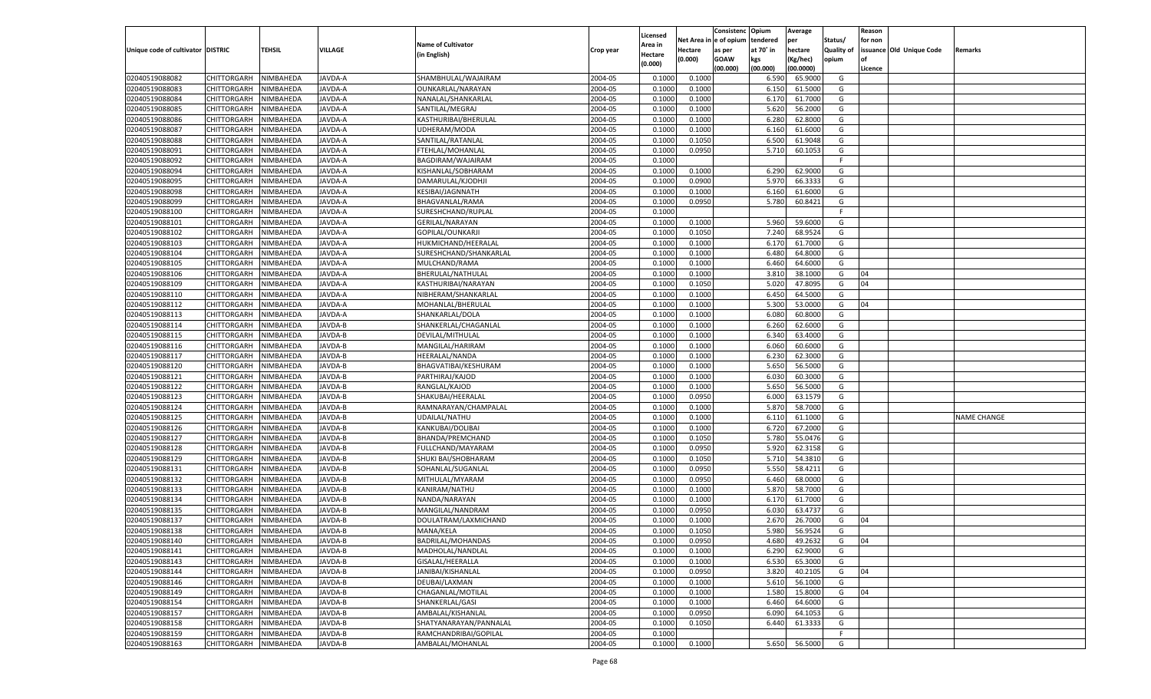|                                   |                       |               |                |                           |           |                     |          | Consistenc  | Opium     | Average   |                   | Reason  |                          |                    |
|-----------------------------------|-----------------------|---------------|----------------|---------------------------|-----------|---------------------|----------|-------------|-----------|-----------|-------------------|---------|--------------------------|--------------------|
|                                   |                       |               |                | <b>Name of Cultivator</b> |           | Licensed<br>\rea in | Net Area | e of opium  | tendered  | per       | Status/           | for non |                          |                    |
| Unique code of cultivator DISTRIC |                       | <b>TEHSIL</b> | VILLAGE        | (in English)              | Crop year | Hectare             | Hectare  | as per      | at 70° in | hectare   | <b>Quality of</b> |         | issuance Old Unique Code | Remarks            |
|                                   |                       |               |                |                           |           | (0.000)             | (0.000)  | <b>GOAW</b> | kgs       | (Kg/hec)  | opium             |         |                          |                    |
|                                   |                       |               |                |                           |           |                     |          | (00.000)    | (00.000)  | (00.0000) |                   | Licence |                          |                    |
| 02040519088082                    | CHITTORGARH           | NIMBAHEDA     | JAVDA-A        | SHAMBHULAL/WAJAIRAM       | 2004-05   | 0.1000              | 0.1000   |             | 6.590     | 65.9000   | G                 |         |                          |                    |
| 02040519088083                    | CHITTORGARH           | NIMBAHEDA     | <b>JAVDA-A</b> | OUNKARLAL/NARAYAN         | 2004-05   | 0.1000              | 0.1000   |             | 6.150     | 61.5000   | G                 |         |                          |                    |
| 02040519088084                    | CHITTORGARH           | NIMBAHEDA     | JAVDA-A        | NANALAL/SHANKARLAL        | 2004-05   | 0.1000              | 0.1000   |             | 6.170     | 61.7000   | G                 |         |                          |                    |
| 02040519088085                    | CHITTORGARH           | NIMBAHEDA     | JAVDA-A        | SANTILAL/MEGRAJ           | 2004-05   | 0.1000              | 0.1000   |             | 5.620     | 56.2000   | G                 |         |                          |                    |
| 02040519088086                    | CHITTORGARH           | NIMBAHEDA     | JAVDA-A        | KASTHURIBAI/BHERULAL      | 2004-05   | 0.1000              | 0.1000   |             | 6.280     | 62.8000   | G                 |         |                          |                    |
| 02040519088087                    | CHITTORGARH           | NIMBAHEDA     | <b>JAVDA-A</b> | UDHERAM/MODA              | 2004-05   | 0.1000              | 0.1000   |             | 6.160     | 61.6000   | G                 |         |                          |                    |
| 02040519088088                    | CHITTORGARH           | NIMBAHEDA     | JAVDA-A        | SANTILAL/RATANLAI         | 2004-05   | 0.1000              | 0.1050   |             | 6.500     | 61.9048   | G                 |         |                          |                    |
| 02040519088091                    | CHITTORGARH           | NIMBAHEDA     | <b>JAVDA-A</b> | FTEHLAL/MOHANLAL          | 2004-05   | 0.1000              | 0.0950   |             | 5.710     | 60.1053   | G                 |         |                          |                    |
| 02040519088092                    | CHITTORGARH           | NIMBAHEDA     | JAVDA-A        | BAGDIRAM/WAJAIRAM         | 2004-05   | 0.1000              |          |             |           |           | F.                |         |                          |                    |
| 02040519088094                    | CHITTORGARH           | NIMBAHEDA     | <b>JAVDA-A</b> | KISHANLAL/SOBHARAM        | 2004-05   | 0.1000              | 0.1000   |             | 6.290     | 62.9000   | G                 |         |                          |                    |
| 02040519088095                    | CHITTORGARH           | NIMBAHEDA     | JAVDA-A        | DAMARULAL/KJODHJI         | 2004-05   | 0.1000              | 0.0900   |             | 5.970     | 66.3333   | G                 |         |                          |                    |
| 02040519088098                    | CHITTORGARH           | NIMBAHEDA     | <b>JAVDA-A</b> | KESIBAI/JAGNNATH          | 2004-05   | 0.1000              | 0.1000   |             | 6.160     | 61.6000   | G                 |         |                          |                    |
| 02040519088099                    | CHITTORGARH           | NIMBAHEDA     | JAVDA-A        | BHAGVANLAL/RAMA           | 2004-05   | 0.1000              | 0.0950   |             | 5.780     | 60.8421   | G                 |         |                          |                    |
| 02040519088100                    | CHITTORGARH           | NIMBAHEDA     | AVDA-A         | SURESHCHAND/RUPLAL        | 2004-05   | 0.1000              |          |             |           |           | E                 |         |                          |                    |
| 02040519088101                    | CHITTORGARH           | NIMBAHEDA     | AVDA-A         | GERILAL/NARAYAN           | 2004-05   | 0.1000              | 0.1000   |             | 5.960     | 59.6000   | G                 |         |                          |                    |
| 02040519088102                    | CHITTORGARH           | NIMBAHEDA     | AVDA-A         | GOPILAL/OUNKARJI          | 2004-05   | 0.1000              | 0.1050   |             | 7.240     | 68.9524   | G                 |         |                          |                    |
| 02040519088103                    | CHITTORGARH           | NIMBAHEDA     | AVDA-A         | HUKMICHAND/HEERALAL       | 2004-05   | 0.1000              | 0.1000   |             | 6.170     | 61.7000   | G                 |         |                          |                    |
| 02040519088104                    | CHITTORGARH           | NIMBAHEDA     | AVDA-A         | SURESHCHAND/SHANKARLAL    | 2004-05   | 0.1000              | 0.1000   |             | 6.480     | 64.8000   | G                 |         |                          |                    |
| 02040519088105                    | CHITTORGARH           | NIMBAHEDA     | AVDA-A         | MULCHAND/RAMA             | 2004-05   | 0.1000              | 0.1000   |             | 6.460     | 64.6000   | G                 |         |                          |                    |
| 02040519088106                    | CHITTORGARH           | NIMBAHEDA     | AVDA-A         | BHERULAL/NATHULAL         | 2004-05   | 0.1000              | 0.1000   |             | 3.810     | 38.1000   | G                 | 04      |                          |                    |
| 02040519088109                    | CHITTORGARH           | NIMBAHEDA     | AVDA-A         | KASTHURIBAI/NARAYAN       | 2004-05   | 0.1000              | 0.1050   |             | 5.020     | 47.8095   | G                 | 04      |                          |                    |
| 02040519088110                    | CHITTORGARH           | NIMBAHEDA     | AVDA-A         | NIBHERAM/SHANKARLAI       | 2004-05   | 0.1000              | 0.1000   |             | 6.450     | 64.5000   | G                 |         |                          |                    |
| 02040519088112                    | CHITTORGARH           | NIMBAHEDA     | AVDA-A         | MOHANLAL/BHERULAL         | 2004-05   | 0.1000              | 0.1000   |             | 5.300     | 53.0000   | G                 | 04      |                          |                    |
| 02040519088113                    | CHITTORGARH           | NIMBAHEDA     | AVDA-A         | SHANKARLAL/DOLA           | 2004-05   | 0.1000              | 0.1000   |             | 6.080     | 60.8000   | G                 |         |                          |                    |
| 02040519088114                    | CHITTORGARH           | NIMBAHEDA     | AVDA-B         | SHANKERLAL/CHAGANLAL      | 2004-05   | 0.1000              | 0.1000   |             | 6.260     | 62.6000   | G                 |         |                          |                    |
| 02040519088115                    | CHITTORGARH           | NIMBAHEDA     | AVDA-B         | DEVILAL/MITHULAL          | 2004-05   | 0.1000              | 0.1000   |             | 6.340     | 63.4000   | G                 |         |                          |                    |
| 02040519088116                    | CHITTORGARH           | NIMBAHEDA     | AVDA-B         | MANGILAL/HARIRAM          | 2004-05   | 0.1000              | 0.1000   |             | 6.060     | 60.6000   | G                 |         |                          |                    |
| 02040519088117                    | CHITTORGARH           | NIMBAHEDA     | AVDA-B         | HEERALAL/NANDA            | 2004-05   | 0.1000              | 0.1000   |             | 6.23      | 62.3000   | G                 |         |                          |                    |
| 02040519088120                    | CHITTORGARH           | NIMBAHEDA     | AVDA-B         | BHAGVATIBAI/KESHURAM      | 2004-05   | 0.1000              | 0.1000   |             | 5.650     | 56.5000   | G                 |         |                          |                    |
| 02040519088121                    | CHITTORGARH           | NIMBAHEDA     | AVDA-B         | PARTHIRAJ/KAJOD           | 2004-05   | 0.1000              | 0.1000   |             | 6.030     | 60.3000   | G                 |         |                          |                    |
| 02040519088122                    | CHITTORGARH           | NIMBAHEDA     | <b>JAVDA-B</b> | RANGLAL/KAJOD             | 2004-05   | 0.1000              | 0.1000   |             | 5.650     | 56.5000   | G                 |         |                          |                    |
| 02040519088123                    | CHITTORGARH           | NIMBAHEDA     | JAVDA-B        | SHAKUBAI/HEERALAL         | 2004-05   | 0.1000              | 0.0950   |             | 6.000     | 63.1579   | G                 |         |                          |                    |
| 02040519088124                    | CHITTORGARH           | NIMBAHEDA     | <b>JAVDA-B</b> | RAMNARAYAN/CHAMPALAL      | 2004-05   | 0.1000              | 0.1000   |             | 5.870     | 58.7000   | G                 |         |                          |                    |
| 02040519088125                    | CHITTORGARH           | NIMBAHEDA     | JAVDA-B        | UDAILAL/NATHU             | 2004-05   | 0.1000              | 0.1000   |             | 6.110     | 61.1000   | G                 |         |                          | <b>NAME CHANGE</b> |
| 02040519088126                    | CHITTORGARH           | NIMBAHEDA     | <b>JAVDA-B</b> | KANKUBAI/DOLIBAI          | 2004-05   | 0.1000              | 0.1000   |             | 6.720     | 67.2000   | G                 |         |                          |                    |
| 02040519088127                    | CHITTORGARH           | NIMBAHEDA     | JAVDA-B        | BHANDA/PREMCHAND          | 2004-05   | 0.1000              | 0.1050   |             | 5.780     | 55.0476   | G                 |         |                          |                    |
| 02040519088128                    | CHITTORGARH           | NIMBAHEDA     | <b>JAVDA-B</b> | FULLCHAND/MAYARAM         | 2004-05   | 0.1000              | 0.0950   |             | 5.920     | 62.3158   | G                 |         |                          |                    |
| 02040519088129                    | CHITTORGARH           | NIMBAHEDA     | AVDA-B         | SHUKI BAI/SHOBHARAM       | 2004-05   | 0.1000              | 0.1050   |             | 5.710     | 54.3810   | G                 |         |                          |                    |
| 02040519088131                    | CHITTORGARH           | NIMBAHEDA     | <b>JAVDA-B</b> | SOHANLAL/SUGANLAL         | 2004-05   | 0.1000              | 0.0950   |             | 5.550     | 58.4211   | G                 |         |                          |                    |
| 02040519088132                    | CHITTORGARH           | NIMBAHEDA     | JAVDA-B        | MITHULAL/MYARAM           | 2004-05   | 0.1000              | 0.0950   |             | 6.460     | 68.0000   | G                 |         |                          |                    |
| 02040519088133                    | CHITTORGARH           | NIMBAHEDA     | <b>JAVDA-B</b> | KANIRAM/NATHU             | 2004-05   | 0.1000              | 0.1000   |             | 5.870     | 58.7000   | G                 |         |                          |                    |
| 02040519088134                    | CHITTORGARH           | NIMBAHEDA     | AVDA-B         | NANDA/NARAYAN             | 2004-05   | 0.1000              | 0.1000   |             | 6.170     | 61.7000   | G                 |         |                          |                    |
| 02040519088135                    | CHITTORGARH           | NIMBAHEDA     | <b>JAVDA-B</b> | MANGILAL/NANDRAM          | 2004-05   | 0.1000              | 0.0950   |             | 6.030     | 63.4737   | G                 |         |                          |                    |
| 02040519088137                    | CHITTORGARH           | NIMBAHEDA     | AVDA-B         | DOULATRAM/LAXMICHAND      | 2004-05   | 0.1000              | 0.1000   |             | 2.67      | 26.7000   | G                 | 04      |                          |                    |
| 02040519088138                    | CHITTORGARH           | NIMBAHEDA     | JAVDA-B        | MANA/KELA                 | 2004-05   | 0.1000              | 0.1050   |             | 5.980     | 56.9524   | G                 |         |                          |                    |
| 02040519088140                    | CHITTORGARH NIMBAHEDA |               | JAVDA-B        | <b>BADRILAL/MOHANDAS</b>  | 2004-05   | 0.1000              | 0.0950   |             | 4.680     | 49.2632   | G                 | 04      |                          |                    |
| 02040519088141                    | <b>CHITTORGARH</b>    | NIMBAHEDA     | JAVDA-B        | MADHOLAL/NANDLAL          | 2004-05   | 0.1000              | 0.1000   |             | 6.290     | 62.9000   | G                 |         |                          |                    |
| 02040519088143                    | CHITTORGARH           | NIMBAHEDA     | JAVDA-B        | GISALAL/HEERALLA          | 2004-05   | 0.1000              | 0.1000   |             | 6.530     | 65.3000   | G                 |         |                          |                    |
| 02040519088144                    | <b>CHITTORGARH</b>    | NIMBAHEDA     | JAVDA-B        | JANIBAI/KISHANLAL         | 2004-05   | 0.1000              | 0.0950   |             | 3.820     | 40.2105   | G                 | 04      |                          |                    |
| 02040519088146                    | <b>CHITTORGARH</b>    | NIMBAHEDA     | JAVDA-B        | DEUBAI/LAXMAN             | 2004-05   | 0.1000              | 0.1000   |             | 5.610     | 56.1000   | G                 |         |                          |                    |
| 02040519088149                    | <b>CHITTORGARH</b>    | NIMBAHEDA     | JAVDA-B        | CHAGANLAL/MOTILAL         | 2004-05   | 0.1000              | 0.1000   |             | 1.580     | 15.8000   | G                 | 04      |                          |                    |
| 02040519088154                    | <b>CHITTORGARH</b>    | NIMBAHEDA     | JAVDA-B        | SHANKERLAL/GASI           | 2004-05   | 0.1000              | 0.1000   |             | 6.460     | 64.6000   | G                 |         |                          |                    |
| 02040519088157                    | <b>CHITTORGARH</b>    | NIMBAHEDA     | JAVDA-B        | AMBALAL/KISHANLAL         | 2004-05   | 0.1000              | 0.0950   |             | 6.090     | 64.1053   | G                 |         |                          |                    |
| 02040519088158                    | CHITTORGARH           | NIMBAHEDA     | JAVDA-B        | SHATYANARAYAN/PANNALAL    | 2004-05   | 0.1000              | 0.1050   |             | 6.440     | 61.3333   | G                 |         |                          |                    |
| 02040519088159                    | <b>CHITTORGARH</b>    | NIMBAHEDA     | JAVDA-B        | RAMCHANDRIBAI/GOPILAL     | 2004-05   | 0.1000              |          |             |           |           | F                 |         |                          |                    |
| 02040519088163                    | CHITTORGARH           | NIMBAHEDA     | JAVDA-B        | AMBALAL/MOHANLAL          | 2004-05   | 0.1000              | 0.1000   |             | 5.650     | 56.5000   | G                 |         |                          |                    |
|                                   |                       |               |                |                           |           |                     |          |             |           |           |                   |         |                          |                    |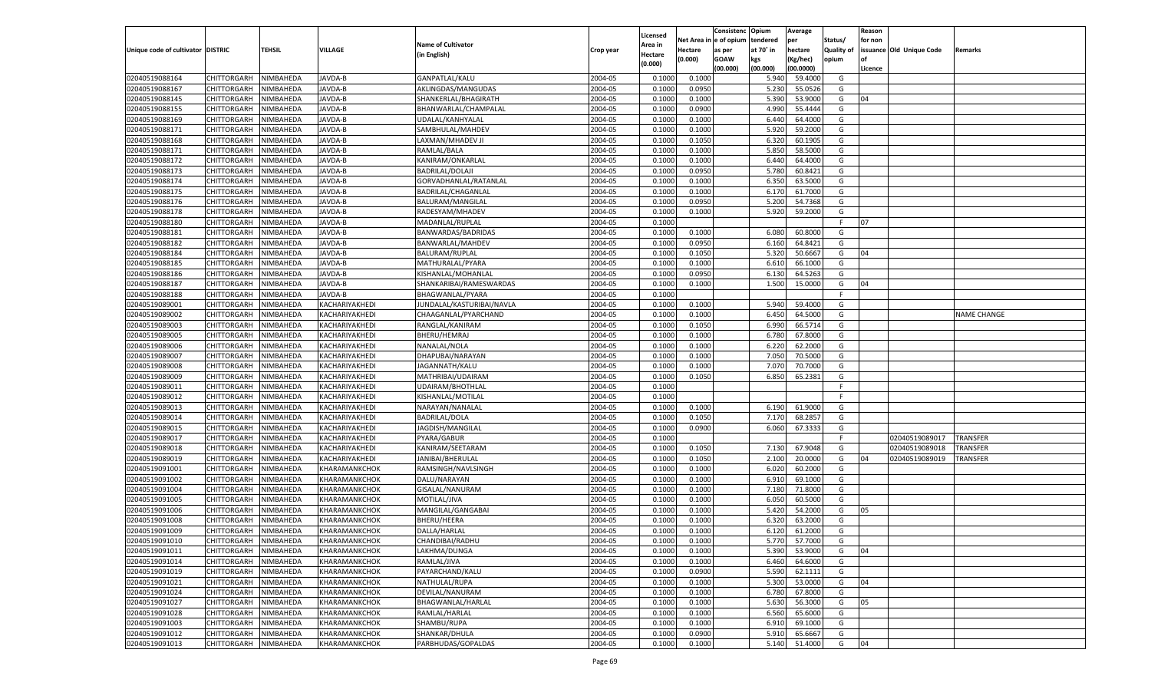|                                   |                    |           |                |                           |           |          |             | Consistenc    | Opium     | Average   |            | Reason  |                          |                    |
|-----------------------------------|--------------------|-----------|----------------|---------------------------|-----------|----------|-------------|---------------|-----------|-----------|------------|---------|--------------------------|--------------------|
|                                   |                    |           |                |                           |           | Licensed | Net Area iı | n  e of opium | tendered  | per       | Status/    | for non |                          |                    |
| Unique code of cultivator DISTRIC |                    | TEHSIL    | <b>VILLAGE</b> | <b>Name of Cultivator</b> | Crop year | Area in  | Hectare     | as per        | at 70° in | hectare   | Quality of |         | issuance Old Unique Code | Remarks            |
|                                   |                    |           |                | (in English)              |           | Hectare  | (0.000)     | <b>GOAW</b>   | kgs       | (Kg/hec)  | opium      |         |                          |                    |
|                                   |                    |           |                |                           |           | (0.000)  |             | (00.000)      | (00.000)  | (00.0000) |            | Licence |                          |                    |
| 02040519088164                    | CHITTORGARH        | NIMBAHEDA | JAVDA-B        | GANPATLAL/KALU            | 2004-05   | 0.1000   | 0.1000      |               | 5.940     | 59.4000   | G          |         |                          |                    |
| 02040519088167                    | CHITTORGARH        | NIMBAHEDA | JAVDA-B        | AKLINGDAS/MANGUDAS        | 2004-05   | 0.1000   | 0.0950      |               | 5.23      | 55.0526   | G          |         |                          |                    |
| 02040519088145                    | CHITTORGARH        | NIMBAHEDA | JAVDA-B        | SHANKERLAL/BHAGIRATH      | 2004-05   | 0.1000   | 0.1000      |               | 5.390     | 53.9000   | G          | 04      |                          |                    |
| 02040519088155                    | CHITTORGARH        | NIMBAHEDA | JAVDA-B        | BHANWARLAL/CHAMPALAL      | 2004-05   | 0.1000   | 0.0900      |               | 4.990     | 55.4444   | G          |         |                          |                    |
| 02040519088169                    | CHITTORGARH        | NIMBAHEDA | JAVDA-B        | UDALAL/KANHYALAL          | 2004-05   | 0.1000   | 0.1000      |               | 6.440     | 64.4000   | G          |         |                          |                    |
| 02040519088171                    | CHITTORGARH        | NIMBAHEDA | JAVDA-B        | SAMBHULAL/MAHDEV          | 2004-05   | 0.1000   | 0.1000      |               | 5.920     | 59.2000   | G          |         |                          |                    |
| 02040519088168                    | CHITTORGARH        | NIMBAHEDA | JAVDA-B        | LAXMAN/MHADEV JI          | 2004-05   | 0.1000   | 0.1050      |               | 6.320     | 60.1905   | G          |         |                          |                    |
| 02040519088171                    | CHITTORGARH        | NIMBAHEDA | JAVDA-B        | RAMLAL/BALA               | 2004-05   | 0.1000   | 0.1000      |               | 5.850     | 58.5000   | G          |         |                          |                    |
| 02040519088172                    | CHITTORGARH        | NIMBAHEDA | JAVDA-B        | KANIRAM/ONKARLAL          | 2004-05   | 0.1000   | 0.1000      |               | 6.440     | 64.4000   | G          |         |                          |                    |
| 02040519088173                    |                    |           |                |                           | 2004-05   |          |             |               |           |           | G          |         |                          |                    |
|                                   | CHITTORGARH        | NIMBAHEDA | JAVDA-B        | <b>BADRILAL/DOLAJI</b>    |           | 0.1000   | 0.0950      |               | 5.780     | 60.8421   |            |         |                          |                    |
| 02040519088174                    | CHITTORGARH        | NIMBAHEDA | JAVDA-B        | GORVADHANLAL/RATANLAL     | 2004-05   | 0.1000   | 0.1000      |               | 6.350     | 63.5000   | G          |         |                          |                    |
| 02040519088175                    | CHITTORGARH        | NIMBAHEDA | JAVDA-B        | BADRILAL/CHAGANLAL        | 2004-05   | 0.1000   | 0.1000      |               | 6.170     | 61.7000   | G          |         |                          |                    |
| 02040519088176                    | CHITTORGARH        | NIMBAHEDA | JAVDA-B        | BALURAM/MANGILAL          | 2004-05   | 0.1000   | 0.0950      |               | 5.200     | 54.7368   | G          |         |                          |                    |
| 02040519088178                    | CHITTORGARH        | NIMBAHEDA | JAVDA-B        | RADESYAM/MHADEV           | 2004-05   | 0.1000   | 0.1000      |               | 5.920     | 59.2000   | G          |         |                          |                    |
| 02040519088180                    | CHITTORGARH        | NIMBAHEDA | JAVDA-B        | MADANLAL/RUPLAL           | 2004-05   | 0.1000   |             |               |           |           | F.         | 07      |                          |                    |
| 02040519088181                    | CHITTORGARH        | NIMBAHEDA | <b>IAVDA-B</b> | BANWARDAS/BADRIDAS        | 2004-05   | 0.1000   | 0.1000      |               | 6.080     | 60.8000   | G          |         |                          |                    |
| 02040519088182                    | CHITTORGARH        | NIMBAHEDA | <b>AVDA-B</b>  | BANWARLAL/MAHDEV          | 2004-05   | 0.1000   | 0.0950      |               | 6.160     | 64.8421   | G          |         |                          |                    |
| 02040519088184                    | CHITTORGARH        | NIMBAHEDA | JAVDA-B        | <b>BALURAM/RUPLAL</b>     | 2004-05   | 0.1000   | 0.1050      |               | 5.320     | 50.6667   | G          | 04      |                          |                    |
| 02040519088185                    | CHITTORGARH        | NIMBAHEDA | JAVDA-B        | MATHURALAL/PYARA          | 2004-05   | 0.1000   | 0.1000      |               | 6.610     | 66.1000   | G          |         |                          |                    |
| 02040519088186                    | CHITTORGARH        | NIMBAHEDA | <b>IAVDA-B</b> | KISHANLAL/MOHANLAL        | 2004-05   | 0.1000   | 0.0950      |               | 6.130     | 64.5263   | G          |         |                          |                    |
| 02040519088187                    | CHITTORGARH        | NIMBAHEDA | JAVDA-B        | SHANKARIBAI/RAMESWARDAS   | 2004-05   | 0.1000   | 0.1000      |               | 1.500     | 15.0000   | G          | 04      |                          |                    |
| 02040519088188                    | CHITTORGARH        | NIMBAHEDA | JAVDA-B        | BHAGWANLAL/PYARA          | 2004-05   | 0.1000   |             |               |           |           | E          |         |                          |                    |
| 02040519089001                    | CHITTORGARH        | NIMBAHEDA | KACHARIYAKHEDI | JUNDALAL/KASTURIBAI/NAVLA | 2004-05   | 0.1000   | 0.1000      |               | 5.940     | 59.4000   | G          |         |                          |                    |
| 02040519089002                    | CHITTORGARH        | NIMBAHEDA | KACHARIYAKHEDI | CHAAGANLAL/PYARCHAND      | 2004-05   | 0.1000   | 0.1000      |               | 6.450     | 64.5000   | G          |         |                          | <b>NAME CHANGE</b> |
| 02040519089003                    | CHITTORGARH        | NIMBAHEDA | KACHARIYAKHEDI | RANGLAL/KANIRAM           | 2004-05   | 0.1000   | 0.1050      |               | 6.990     | 66.5714   | G          |         |                          |                    |
| 02040519089005                    | CHITTORGARH        | NIMBAHEDA | KACHARIYAKHEDI | BHERU/HEMRAJ              | 2004-05   | 0.1000   | 0.1000      |               | 6.780     | 67.8000   | G          |         |                          |                    |
| 02040519089006                    | CHITTORGARH        | NIMBAHEDA | KACHARIYAKHEDI | NANALAL/NOLA              | 2004-05   | 0.1000   | 0.1000      |               | 6.220     | 62.2000   | G          |         |                          |                    |
| 02040519089007                    | CHITTORGARH        | NIMBAHEDA | KACHARIYAKHEDI | DHAPUBAI/NARAYAN          | 2004-05   | 0.1000   | 0.1000      |               | 7.050     | 70.5000   | G          |         |                          |                    |
| 02040519089008                    | CHITTORGARH        | NIMBAHEDA | KACHARIYAKHEDI | JAGANNATH/KALU            | 2004-05   | 0.1000   | 0.1000      |               | 7.070     | 70.7000   | G          |         |                          |                    |
| 02040519089009                    | CHITTORGARH        | NIMBAHEDA | KACHARIYAKHEDI | MATHRIBAI/UDAIRAM         | 2004-05   | 0.1000   | 0.1050      |               | 6.850     | 65.2381   | G          |         |                          |                    |
| 02040519089011                    | CHITTORGARH        | NIMBAHEDA | KACHARIYAKHEDI | UDAIRAM/BHOTHLAL          | 2004-05   | 0.1000   |             |               |           |           | F.         |         |                          |                    |
| 02040519089012                    | CHITTORGARH        | NIMBAHEDA | KACHARIYAKHEDI | KISHANLAL/MOTILAL         | 2004-05   | 0.1000   |             |               |           |           | F          |         |                          |                    |
|                                   |                    |           |                |                           | 2004-05   |          |             |               |           | 61.9000   |            |         |                          |                    |
| 02040519089013                    | CHITTORGARH        | NIMBAHEDA | KACHARIYAKHEDI | NARAYAN/NANALAL           |           | 0.1000   | 0.1000      |               | 6.190     |           | G          |         |                          |                    |
| 02040519089014                    | CHITTORGARH        | NIMBAHEDA | KACHARIYAKHEDI | <b>BADRILAL/DOLA</b>      | 2004-05   | 0.1000   | 0.1050      |               | 7.170     | 68.285    | G          |         |                          |                    |
| 02040519089015                    | CHITTORGARH        | NIMBAHEDA | KACHARIYAKHEDI | JAGDISH/MANGILAL          | 2004-05   | 0.1000   | 0.0900      |               | 6.060     | 67.3333   | G          |         |                          |                    |
| 02040519089017                    | CHITTORGARH        | NIMBAHEDA | KACHARIYAKHEDI | PYARA/GABUR               | 2004-05   | 0.1000   |             |               |           |           | F          |         | 02040519089017           | <b>TRANSFER</b>    |
| 02040519089018                    | CHITTORGARH        | NIMBAHEDA | KACHARIYAKHEDI | KANIRAM/SEETARAM          | 2004-05   | 0.1000   | 0.1050      |               | 7.130     | 67.9048   | G          |         | 02040519089018           | TRANSFER           |
| 02040519089019                    | CHITTORGARH        | NIMBAHEDA | KACHARIYAKHEDI | JANIBAI/BHERULAL          | 2004-05   | 0.1000   | 0.1050      |               | 2.100     | 20.0000   | G          | 04      | 02040519089019           | TRANSFER           |
| 02040519091001                    | CHITTORGARH        | NIMBAHEDA | KHARAMANKCHOK  | RAMSINGH/NAVLSINGH        | 2004-05   | 0.1000   | 0.1000      |               | 6.020     | 60.2000   | G          |         |                          |                    |
| 02040519091002                    | CHITTORGARH        | NIMBAHEDA | KHARAMANKCHOK  | DALU/NARAYAN              | 2004-05   | 0.1000   | 0.1000      |               | 6.910     | 69.1000   | G          |         |                          |                    |
| 02040519091004                    | CHITTORGARH        | NIMBAHEDA | KHARAMANKCHOK  | GISALAL/NANURAM           | 2004-05   | 0.1000   | 0.1000      |               | 7.180     | 71.8000   | G          |         |                          |                    |
| 02040519091005                    | CHITTORGARH        | NIMBAHEDA | KHARAMANKCHOK  | MOTILAL/JIVA              | 2004-05   | 0.1000   | 0.1000      |               | 6.050     | 60.5000   | G          |         |                          |                    |
| 02040519091006                    | CHITTORGARH        | NIMBAHEDA | KHARAMANKCHOK  | MANGILAL/GANGABAI         | 2004-05   | 0.1000   | 0.1000      |               | 5.420     | 54.2000   | G          | 05      |                          |                    |
| 02040519091008                    | CHITTORGARH        | NIMBAHEDA | KHARAMANKCHOK  | <b>BHERU/HEERA</b>        | 2004-05   | 0.1000   | 0.1000      |               | 6.320     | 63.2000   | G          |         |                          |                    |
| 02040519091009                    | CHITTORGARH        | NIMBAHEDA | KHARAMANKCHOK  | DALLA/HARLAL              | 2004-05   | 0.1000   | 0.1000      |               | 6.120     | 61.2000   | G          |         |                          |                    |
| 02040519091010                    | CHITTORGARH        | NIMBAHEDA | KHARAMANKCHOK  | CHANDIBAI/RADHU           | 2004-05   | 0.1000   | 0.1000      |               | 5.770     | 57.7000   | G          |         |                          |                    |
| 02040519091011                    | <b>CHITTORGARH</b> | NIMBAHEDA | KHARAMANKCHOK  | LAKHMA/DUNGA              | 2004-05   | 0.1000   | 0.1000      |               | 5.390     | 53.9000   | G          | 04      |                          |                    |
| 02040519091014                    | CHITTORGARH        | NIMBAHEDA | KHARAMANKCHOK  | RAMLAL/JIVA               | 2004-05   | 0.1000   | 0.1000      |               | 6.460     | 64.6000   | G          |         |                          |                    |
| 02040519091019                    | CHITTORGARH        | NIMBAHEDA | KHARAMANKCHOK  | PAYARCHAND/KALU           | 2004-05   | 0.1000   | 0.0900      |               | 5.590     | 62.1111   | G          |         |                          |                    |
| 02040519091021                    | CHITTORGARH        | NIMBAHEDA | KHARAMANKCHOK  | NATHULAL/RUPA             | 2004-05   | 0.1000   | 0.1000      |               | 5.300     | 53.0000   | G          | 04      |                          |                    |
| 02040519091024                    | <b>CHITTORGARH</b> | NIMBAHEDA | KHARAMANKCHOK  | DEVILAL/NANURAM           | 2004-05   | 0.1000   | 0.1000      |               | 6.780     | 67.8000   | G          |         |                          |                    |
| 02040519091027                    | CHITTORGARH        | NIMBAHEDA | KHARAMANKCHOK  | BHAGWANLAL/HARLAL         | 2004-05   | 0.1000   | 0.1000      |               | 5.630     | 56.3000   | G          | 05      |                          |                    |
| 02040519091028                    | CHITTORGARH        | NIMBAHEDA | KHARAMANKCHOK  | RAMLAL/HARLAL             | 2004-05   | 0.1000   | 0.1000      |               | 6.560     | 65.6000   | G          |         |                          |                    |
| 02040519091003                    | CHITTORGARH        | NIMBAHEDA | KHARAMANKCHOK  | SHAMBU/RUPA               | 2004-05   | 0.1000   | 0.1000      |               | 6.910     | 69.1000   | G          |         |                          |                    |
|                                   |                    |           |                | SHANKAR/DHULA             |           |          |             |               |           |           |            |         |                          |                    |
| 02040519091012                    | CHITTORGARH        | NIMBAHEDA | KHARAMANKCHOK  |                           | 2004-05   | 0.1000   | 0.0900      |               | 5.910     | 65.6667   | G          |         |                          |                    |
| 02040519091013                    | <b>CHITTORGARH</b> | NIMBAHEDA | KHARAMANKCHOK  | PARBHUDAS/GOPALDAS        | 2004-05   | 0.1000   | 0.1000      |               | 5.140     | 51.4000   | G          | 04      |                          |                    |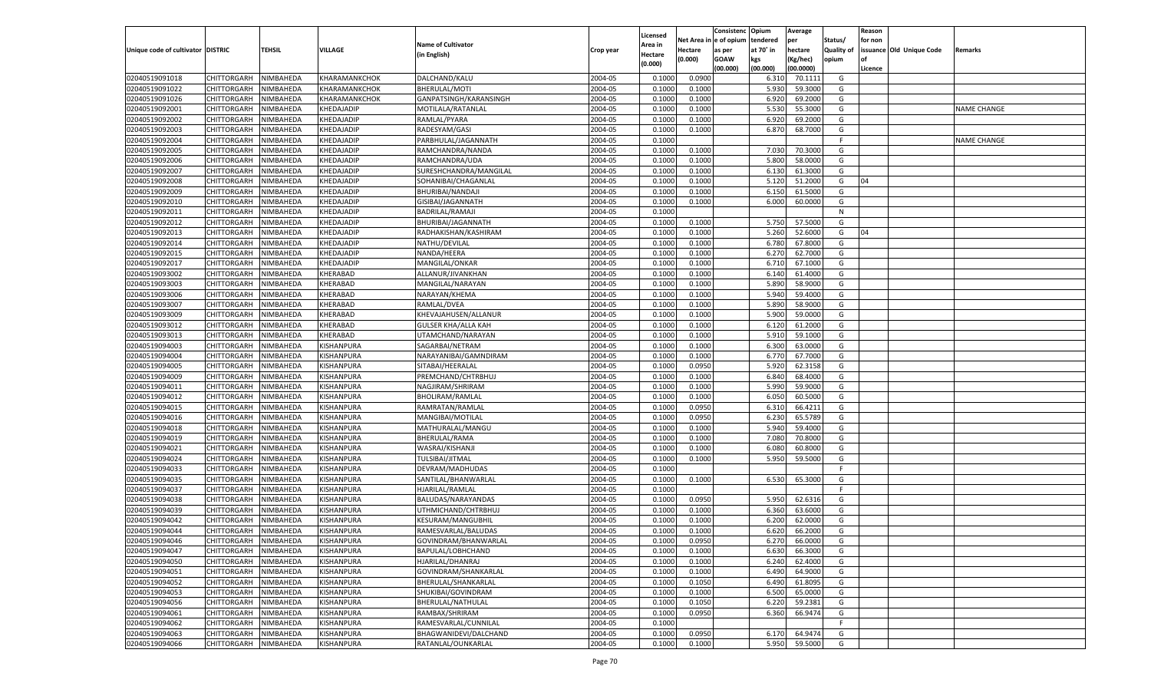|                                   |                       |               |                   |                            |           |                           |          | Consistenc  | Opium     | Average   |                   | Reason  |                          |                    |
|-----------------------------------|-----------------------|---------------|-------------------|----------------------------|-----------|---------------------------|----------|-------------|-----------|-----------|-------------------|---------|--------------------------|--------------------|
|                                   |                       |               |                   | <b>Name of Cultivator</b>  |           | Licensed                  | Net Area | e of opium  | tendered  | per       | Status/           | for non |                          |                    |
| Unique code of cultivator DISTRIC |                       | <b>TEHSIL</b> | VILLAGE           | (in English)               | Crop year | <b>Area in</b><br>Hectare | Hectare  | as per      | at 70° in | hectare   | <b>Quality of</b> |         | issuance Old Unique Code | Remarks            |
|                                   |                       |               |                   |                            |           | (0.000)                   | (0.000)  | <b>GOAW</b> | kgs       | (Kg/hec)  | opium             |         |                          |                    |
|                                   |                       |               |                   |                            |           |                           |          | (00.000)    | (00.000)  | (00.0000) |                   | Licence |                          |                    |
| 02040519091018                    | CHITTORGARH           | NIMBAHEDA     | KHARAMANKCHOK     | DALCHAND/KALU              | 2004-05   | 0.1000                    | 0.0900   |             | 6.310     | 70.1111   | G                 |         |                          |                    |
| 02040519091022                    | CHITTORGARH           | NIMBAHEDA     | KHARAMANKCHOK     | BHERULAL/MOTI              | 2004-05   | 0.1000                    | 0.1000   |             | 5.930     | 59.3000   | G                 |         |                          |                    |
| 02040519091026                    | CHITTORGARH           | NIMBAHEDA     | KHARAMANKCHOK     | GANPATSINGH/KARANSINGH     | 2004-05   | 0.1000                    | 0.1000   |             | 6.920     | 69.2000   | G                 |         |                          |                    |
| 02040519092001                    | CHITTORGARH           | NIMBAHEDA     | KHEDAJADIP        | MOTILALA/RATANLAL          | 2004-05   | 0.1000                    | 0.1000   |             | 5.530     | 55.3000   | G                 |         |                          | <b>NAME CHANGE</b> |
| 02040519092002                    | CHITTORGARH           | NIMBAHEDA     | KHEDAJADIP        | RAMLAL/PYARA               | 2004-05   | 0.1000                    | 0.1000   |             | 6.920     | 69.2000   | G                 |         |                          |                    |
| 02040519092003                    | CHITTORGARH           | NIMBAHEDA     | KHEDAJADIP        | RADESYAM/GASI              | 2004-05   | 0.1000                    | 0.1000   |             | 6.870     | 68.7000   | G                 |         |                          |                    |
| 02040519092004                    | CHITTORGARH           | NIMBAHEDA     | KHEDAJADIP        | PARBHULAL/JAGANNATH        | 2004-05   | 0.1000                    |          |             |           |           | F.                |         |                          | <b>NAME CHANGE</b> |
| 02040519092005                    | CHITTORGARH           | NIMBAHEDA     | KHEDAJADIP        | RAMCHANDRA/NANDA           | 2004-05   | 0.1000                    | 0.1000   |             | 7.030     | 70.3000   | G                 |         |                          |                    |
| 02040519092006                    | CHITTORGARH           | NIMBAHEDA     | KHEDAJADIP        | RAMCHANDRA/UDA             | 2004-05   | 0.1000                    | 0.1000   |             | 5.800     | 58.0000   | G                 |         |                          |                    |
| 02040519092007                    | CHITTORGARH           | NIMBAHEDA     | KHEDAJADIP        | SURESHCHANDRA/MANGILAL     | 2004-05   | 0.1000                    | 0.1000   |             | 6.130     | 61.3000   | G                 |         |                          |                    |
| 02040519092008                    | CHITTORGARH           | NIMBAHEDA     | KHEDAJADIP        | SOHANIBAI/CHAGANLAL        | 2004-05   | 0.1000                    | 0.1000   |             | 5.120     | 51.2000   | G                 | 04      |                          |                    |
| 02040519092009                    | CHITTORGARH           | NIMBAHEDA     | KHEDAJADIP        | BHURIBAI/NANDAJI           | 2004-05   | 0.1000                    | 0.1000   |             | 6.150     | 61.5000   | G                 |         |                          |                    |
| 02040519092010                    | CHITTORGARH           | NIMBAHEDA     | KHEDAJADIP        | GISIBAI/JAGANNATH          | 2004-05   | 0.1000                    | 0.1000   |             | 6.000     | 60.0000   | G                 |         |                          |                    |
| 02040519092011                    | CHITTORGARH           | NIMBAHEDA     | KHEDAJADIP        | BADRILAL/RAMAJI            | 2004-05   | 0.1000                    |          |             |           |           | N                 |         |                          |                    |
| 02040519092012                    | CHITTORGARH           | NIMBAHEDA     | KHEDAJADIP        | BHURIBAI/JAGANNATH         | 2004-05   | 0.1000                    | 0.1000   |             | 5.750     | 57.5000   | G                 |         |                          |                    |
| 02040519092013                    | CHITTORGARH           | NIMBAHEDA     | KHEDAJADIP        | RADHAKISHAN/KASHIRAM       | 2004-05   | 0.1000                    | 0.1000   |             | 5.260     | 52.6000   | G                 | 04      |                          |                    |
| 02040519092014                    | CHITTORGARH           | NIMBAHEDA     | KHEDAJADIP        | NATHU/DEVILAL              | 2004-05   | 0.1000                    | 0.1000   |             | 6.780     | 67.8000   | G                 |         |                          |                    |
| 02040519092015                    | CHITTORGARH           | NIMBAHEDA     | KHEDAJADIP        | NANDA/HEERA                | 2004-05   | 0.1000                    | 0.1000   |             | 6.27      | 62.7000   | G                 |         |                          |                    |
| 02040519092017                    | CHITTORGARH           | NIMBAHEDA     | KHEDAJADIP        | MANGILAL/ONKAR             | 2004-05   | 0.1000                    | 0.1000   |             | 6.710     | 67.1000   | G                 |         |                          |                    |
| 02040519093002                    | CHITTORGARH           | NIMBAHEDA     | KHERABAD          | ALLANUR/JIVANKHAN          | 2004-05   | 0.1000                    | 0.1000   |             | 6.140     | 61.4000   | G                 |         |                          |                    |
| 02040519093003                    | CHITTORGARH           | NIMBAHEDA     | KHERABAD          | MANGILAL/NARAYAN           | 2004-05   | 0.1000                    | 0.1000   |             | 5.890     | 58.9000   | G                 |         |                          |                    |
| 02040519093006                    | CHITTORGARH           | NIMBAHEDA     | KHERABAD          | NARAYAN/KHEMA              | 2004-05   | 0.1000                    | 0.1000   |             | 5.940     | 59.4000   | G                 |         |                          |                    |
| 02040519093007                    | CHITTORGARH           | NIMBAHEDA     | KHERABAD          | RAMLAL/DVEA                | 2004-05   | 0.1000                    | 0.1000   |             | 5.890     | 58.9000   | G                 |         |                          |                    |
| 02040519093009                    | CHITTORGARH           | NIMBAHEDA     | KHERABAD          | KHEVAJAHUSEN/ALLANUR       | 2004-05   | 0.1000                    | 0.1000   |             | 5.900     | 59.0000   | G                 |         |                          |                    |
| 02040519093012                    | CHITTORGARH           | NIMBAHEDA     | KHERABAD          | <b>GULSER KHA/ALLA KAH</b> | 2004-05   | 0.1000                    | 0.1000   |             | 6.120     | 61.2000   | G                 |         |                          |                    |
| 02040519093013                    | CHITTORGARH           | NIMBAHEDA     | KHERABAD          | UTAMCHAND/NARAYAN          | 2004-05   | 0.1000                    | 0.1000   |             | 5.910     | 59.1000   | G                 |         |                          |                    |
| 02040519094003                    | CHITTORGARH           | NIMBAHEDA     | KISHANPURA        | SAGARBAI/NETRAM            | 2004-05   | 0.1000                    | 0.1000   |             | 6.300     | 63.0000   | G                 |         |                          |                    |
| 02040519094004                    | CHITTORGARH           | NIMBAHEDA     | KISHANPURA        | NARAYANIBAI/GAMNDIRAM      | 2004-05   | 0.1000                    | 0.1000   |             | 6.770     | 67.7000   | G                 |         |                          |                    |
| 02040519094005                    | CHITTORGARH           | NIMBAHEDA     | KISHANPURA        | SITABAI/HEERALAL           | 2004-05   | 0.1000                    | 0.0950   |             | 5.920     | 62.3158   | G                 |         |                          |                    |
| 02040519094009                    | CHITTORGARH           | NIMBAHEDA     | KISHANPURA        | PREMCHAND/CHTRBHUJ         | 2004-05   | 0.1000                    | 0.1000   |             | 6.840     | 68.4000   | G                 |         |                          |                    |
| 02040519094011                    | CHITTORGARH           | NIMBAHEDA     | KISHANPURA        | NAGJIRAM/SHRIRAM           | 2004-05   | 0.1000                    | 0.1000   |             | 5.990     | 59.9000   | G                 |         |                          |                    |
| 02040519094012                    | CHITTORGARH           | NIMBAHEDA     | KISHANPURA        | BHOLIRAM/RAMLAL            | 2004-05   | 0.1000                    | 0.1000   |             | 6.050     | 60.5000   | G                 |         |                          |                    |
| 02040519094015                    | CHITTORGARH           | NIMBAHEDA     | KISHANPURA        | RAMRATAN/RAMLAI            | 2004-05   | 0.1000                    | 0.0950   |             | 6.310     | 66.4211   | G                 |         |                          |                    |
| 02040519094016                    | CHITTORGARH           | NIMBAHEDA     | KISHANPURA        | MANGIBAI/MOTILAL           | 2004-05   | 0.1000                    | 0.0950   |             | 6.230     | 65.5789   | G                 |         |                          |                    |
| 02040519094018                    |                       | NIMBAHEDA     | KISHANPURA        |                            | 2004-05   | 0.1000                    | 0.1000   |             | 5.940     | 59.4000   | G                 |         |                          |                    |
| 02040519094019                    | CHITTORGARH           |               | KISHANPURA        | MATHURALAL/MANGU           | 2004-05   | 0.1000                    |          |             | 7.080     | 70.8000   | G                 |         |                          |                    |
|                                   | CHITTORGARH           | NIMBAHEDA     | KISHANPURA        | BHERULAL/RAMA              |           | 0.1000                    | 0.1000   |             |           | 60.8000   |                   |         |                          |                    |
| 02040519094021                    | CHITTORGARH           | NIMBAHEDA     |                   | WASRAJ/KISHANJI            | 2004-05   |                           | 0.1000   |             | 6.080     |           | G                 |         |                          |                    |
| 02040519094024                    | CHITTORGARH           | NIMBAHEDA     | KISHANPURA        | TULSIBAI/JITMAL            | 2004-05   | 0.1000                    | 0.1000   |             | 5.950     | 59.5000   | G                 |         |                          |                    |
| 02040519094033                    | CHITTORGARH           | NIMBAHEDA     | KISHANPURA        | DEVRAM/MADHUDAS            | 2004-05   | 0.1000                    |          |             |           |           | F.                |         |                          |                    |
| 02040519094035                    | CHITTORGARH           | NIMBAHEDA     | KISHANPURA        | SANTILAL/BHANWARLAL        | 2004-05   | 0.1000                    | 0.1000   |             | 6.530     | 65.3000   | G                 |         |                          |                    |
| 02040519094037                    | CHITTORGARH           | NIMBAHEDA     | KISHANPURA        | HJARILAL/RAMLAL            | 2004-05   | 0.1000                    |          |             |           |           | F.                |         |                          |                    |
| 02040519094038                    | CHITTORGARH           | NIMBAHEDA     | KISHANPURA        | BALUDAS/NARAYANDAS         | 2004-05   | 0.1000                    | 0.0950   |             | 5.950     | 62.6316   | G                 |         |                          |                    |
| 02040519094039                    | CHITTORGARH           | NIMBAHEDA     | KISHANPURA        | UTHMICHAND/CHTRBHUJ        | 2004-05   | 0.1000                    | 0.1000   |             | 6.360     | 63.6000   | G                 |         |                          |                    |
| 02040519094042                    | CHITTORGARH           | NIMBAHEDA     | KISHANPURA        | KESURAM/MANGUBHIL          | 2004-05   | 0.1000                    | 0.1000   |             | 6.200     | 62.0000   | G                 |         |                          |                    |
| 02040519094044                    | CHITTORGARH           | NIMBAHEDA     | KISHANPURA        | RAMESVARLAL/BALUDAS        | 2004-05   | 0.1000                    | 0.1000   |             | 6.620     | 66.2000   | G                 |         |                          |                    |
| 02040519094046                    | CHITTORGARH NIMBAHEDA |               | KISHANPURA        | GOVINDRAM/BHANWARLAL       | 2004-05   | 0.1000                    | 0.0950   |             | 6.270     | 66.0000   | G                 |         |                          |                    |
| 02040519094047                    | <b>CHITTORGARH</b>    | NIMBAHEDA     | <b>KISHANPURA</b> | BAPULAL/LOBHCHAND          | 2004-05   | 0.1000                    | 0.1000   |             | 6.630     | 66.3000   | G                 |         |                          |                    |
| 02040519094050                    | CHITTORGARH           | NIMBAHEDA     | KISHANPURA        | HJARILAL/DHANRAJ           | 2004-05   | 0.1000                    | 0.1000   |             | 6.240     | 62.4000   | G                 |         |                          |                    |
| 02040519094051                    | <b>CHITTORGARH</b>    | NIMBAHEDA     | KISHANPURA        | GOVINDRAM/SHANKARLAL       | 2004-05   | 0.1000                    | 0.1000   |             | 6.490     | 64.9000   | G                 |         |                          |                    |
| 02040519094052                    | CHITTORGARH           | NIMBAHEDA     | KISHANPURA        | BHERULAL/SHANKARLAL        | 2004-05   | 0.1000                    | 0.1050   |             | 6.490     | 61.8095   | G                 |         |                          |                    |
| 02040519094053                    | <b>CHITTORGARH</b>    | NIMBAHEDA     | KISHANPURA        | SHUKIBAI/GOVINDRAM         | 2004-05   | 0.1000                    | 0.1000   |             | 6.500     | 65.0000   | G                 |         |                          |                    |
| 02040519094056                    | <b>CHITTORGARH</b>    | NIMBAHEDA     | KISHANPURA        | BHERULAL/NATHULAL          | 2004-05   | 0.1000                    | 0.1050   |             | 6.220     | 59.2381   | G                 |         |                          |                    |
| 02040519094061                    | <b>CHITTORGARH</b>    | NIMBAHEDA     | KISHANPURA        | RAMBAX/SHRIRAM             | 2004-05   | 0.1000                    | 0.0950   |             | 6.360     | 66.9474   | G                 |         |                          |                    |
| 02040519094062                    | <b>CHITTORGARH</b>    | NIMBAHEDA     | KISHANPURA        | RAMESVARLAL/CUNNILAL       | 2004-05   | 0.1000                    |          |             |           |           | F.                |         |                          |                    |
| 02040519094063                    | <b>CHITTORGARH</b>    | NIMBAHEDA     | <b>KISHANPURA</b> | BHAGWANIDEVI/DALCHAND      | 2004-05   | 0.1000                    | 0.0950   |             | 6.170     | 64.9474   | G                 |         |                          |                    |
| 02040519094066                    | CHITTORGARH           | NIMBAHEDA     | KISHANPURA        | RATANLAL/OUNKARLAL         | 2004-05   | 0.1000                    | 0.1000   |             | 5.950     | 59.5000   | G                 |         |                          |                    |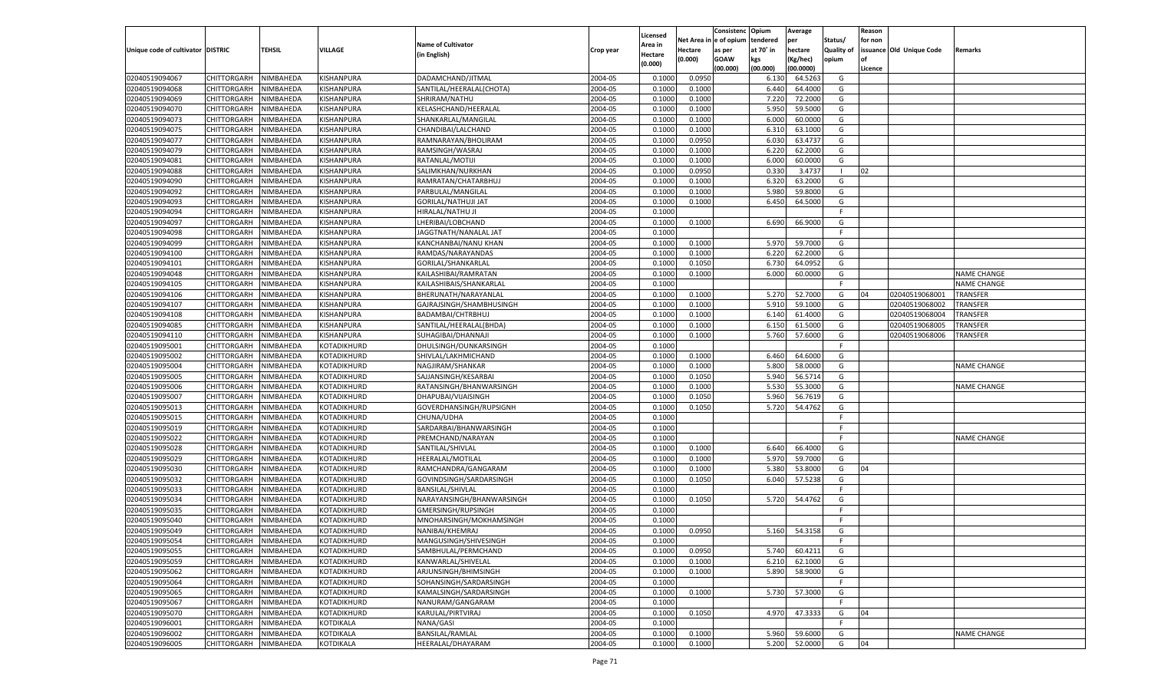| tendered<br>Net Area in e of opium<br>per<br>Status/<br>for non<br><b>Name of Cultivator</b><br>Area in<br><b>TEHSIL</b><br><b>VILLAGE</b><br>Unique code of cultivator DISTRIC<br>at 70° in<br>hectare<br><b>Quality of</b><br>issuance Old Unique Code<br>Hectare<br>as per<br>Remarks<br>Crop year<br>(in English)<br>Hectare<br>(0.000)<br><b>GOAW</b><br>kgs<br>(Kg/hec)<br>opium<br>(0.000)<br>(00.000)<br>(00.000)<br>(00.0000)<br>Licence<br>02040519094067<br>CHITTORGARH<br>KISHANPURA<br>DADAMCHAND/JITMAL<br>2004-05<br>0.0950<br>NIMBAHEDA<br>0.1000<br>6.130<br>64.5263<br>G<br>02040519094068<br>KISHANPURA<br>2004-05<br><b>CHITTORGARH</b><br>NIMBAHEDA<br>SANTILAL/HEERALAL(CHOTA)<br>0.1000<br>0.1000<br>6.440<br>64.4000<br>G<br>02040519094069<br>2004-05<br>7.220<br><b>CHITTORGARH</b><br>NIMBAHEDA<br>KISHANPURA<br>SHRIRAM/NATHU<br>0.1000<br>0.1000<br>72.2000<br>G<br>02040519094070<br>2004-05<br>5.950<br>59.5000<br>CHITTORGARH<br>NIMBAHEDA<br>KISHANPURA<br>KELASHCHAND/HEERALAL<br>0.1000<br>0.1000<br>G<br>2004-05<br>02040519094073<br>KISHANPURA<br>60.0000<br>G<br><b>CHITTORGARH</b><br>NIMBAHEDA<br>SHANKARLAL/MANGILAI<br>0.1000<br>0.1000<br>6.000<br>02040519094075<br>2004-05<br>CHITTORGARH<br>NIMBAHEDA<br>KISHANPURA<br>CHANDIBAI/LALCHAND<br>0.1000<br>0.1000<br>6.310<br>63.1000<br>G<br>02040519094077<br>2004-05<br>0.0950<br><b>CHITTORGARH</b><br>NIMBAHEDA<br>KISHANPURA<br>RAMNARAYAN/BHOLIRAM<br>0.1000<br>6.030<br>63.4737<br>G<br>02040519094079<br>2004-05<br>6.220<br>62.2000<br>CHITTORGARH<br>NIMBAHEDA<br>KISHANPURA<br>RAMSINGH/WASRAJ<br>0.1000<br>0.1000<br>G<br>2004-05<br>02040519094081<br>KISHANPURA<br>G<br><b>CHITTORGARH</b><br>NIMBAHEDA<br>RATANLAL/MOTIJI<br>0.1000<br>0.1000<br>6.000<br>60.0000<br>02040519094088<br>2004-05<br>CHITTORGARH<br>NIMBAHEDA<br>KISHANPURA<br>SALIMKHAN/NURKHAN<br>0.1000<br>0.0950<br>0.330<br>3.4737<br>02<br>- 1<br>02040519094090<br>2004-05<br><b>CHITTORGARH</b><br>NIMBAHEDA<br>KISHANPURA<br>RAMRATAN/CHATARBHUJ<br>0.1000<br>0.1000<br>6.320<br>63.2000<br>G<br>02040519094092<br>2004-05<br>5.980<br>CHITTORGARH<br>NIMBAHEDA<br>KISHANPURA<br>PARBULAL/MANGILAL<br>0.1000<br>0.1000<br>59.8000<br>G<br>2004-05<br>02040519094093<br>NIMBAHEDA<br>KISHANPURA<br>64.5000<br>G<br><b>CHITTORGARH</b><br><b>GORILAL/NATHUJI JAT</b><br>0.1000<br>0.1000<br>6.450<br>02040519094094<br>KISHANPURA<br>2004-05<br>0.1000<br>CHITTORGARH<br>NIMBAHEDA<br>HIRALAL/NATHU JI<br>F.<br>02040519094097<br>KISHANPURA<br>2004-05<br>0.1000<br>6.690<br>66.9000<br><b>CHITTORGARH</b><br>NIMBAHEDA<br>LHERIBAI/LOBCHAND<br>0.1000<br>G<br>02040519094098<br>KISHANPURA<br>2004-05<br>0.1000<br>CHITTORGARH<br>NIMBAHEDA<br>JAGGTNATH/NANALAL JAT<br>F.<br>02040519094099<br>NIMBAHEDA<br>KISHANPURA<br>KANCHANBAI/NANU KHAN<br>2004-05<br>0.1000<br>0.1000<br>5.970<br>59.7000<br>G<br>CHITTORGARH<br>02040519094100<br>KISHANPURA<br>2004-05<br>6.220<br>62.2000<br>CHITTORGARH<br>NIMBAHEDA<br>RAMDAS/NARAYANDAS<br>0.1000<br>0.1000<br>G<br>02040519094101<br>KISHANPURA<br>GORILAL/SHANKARLAL<br>2004-05<br>0.1000<br>0.1050<br>6.730<br>64.0952<br><b>CHITTORGARH</b><br>NIMBAHEDA<br>G<br>02040519094048<br>KISHANPURA<br>2004-05<br>6.000<br>60.0000<br>G<br><b>NAME CHANGE</b><br>CHITTORGARH<br>NIMBAHEDA<br>KAILASHIBAI/RAMRATAN<br>0.1000<br>0.1000<br>02040519094105<br>NIMBAHEDA<br>KISHANPURA<br>2004-05<br>0.1000<br>F<br><b>NAME CHANGE</b><br>CHITTORGARH<br>KAILASHIBAIS/SHANKARLAL<br>02040519094106<br>KISHANPURA<br>2004-05<br>0.1000<br>5.270<br>52.7000<br>02040519068001<br>CHITTORGARH<br>NIMBAHEDA<br>BHERUNATH/NARAYANLAL<br>0.1000<br>G<br>04<br>TRANSFER<br>02040519094107<br>KISHANPURA<br>2004-05<br>0.1000<br>0.1000<br>5.910<br>59.1000<br>02040519068002<br>TRANSFER<br><b>CHITTORGARH</b><br>NIMBAHEDA<br>GAJRAJSINGH/SHAMBHUSINGH<br>G<br>02040519094108<br>KISHANPURA<br>2004-05<br>6.140<br>61.4000<br>G<br>02040519068004<br>TRANSFER<br>CHITTORGARH<br>NIMBAHEDA<br>BADAMBAI/CHTRBHUJ<br>0.1000<br>0.1000<br>02040519094085<br>NIMBAHEDA<br>KISHANPURA<br>2004-05<br>0.1000<br>0.1000<br>6.150<br>61.5000<br>G<br>TRANSFER<br>CHITTORGARH<br>SANTILAL/HEERALAL(BHDA)<br>02040519068005<br>02040519094110<br>KISHANPURA<br>2004-05<br>5.760<br>57.6000<br>G<br>02040519068006<br>CHITTORGARH<br>NIMBAHEDA<br>SUHAGIBAI/DHANNAJI<br>0.1000<br>0.1000<br>TRANSFER<br>02040519095001<br>KOTADIKHURD<br>2004-05<br>0.1000<br><b>CHITTORGARH</b><br>NIMBAHEDA<br>DHULSINGH/OUNKARSINGH<br>F.<br>02040519095002<br>KOTADIKHURD<br>2004-05<br>0.1000<br>6.460<br>64.6000<br>G<br>CHITTORGARH<br>NIMBAHEDA<br>SHIVLAL/LAKHMICHAND<br>0.1000<br>02040519095004<br>NIMBAHEDA<br>KOTADIKHURD<br>2004-05<br>0.1000<br>0.1000<br>5.800<br>58.0000<br>G<br><b>NAME CHANGE</b><br>CHITTORGARH<br>NAGJIRAM/SHANKAR<br>02040519095005<br>KOTADIKHURD<br>2004-05<br>5.940<br>56.5714<br><b>CHITTORGARH</b><br>NIMBAHEDA<br>SAJJANSINGH/KESARBAI<br>0.1000<br>0.1050<br>G<br>02040519095006<br>NIMBAHEDA<br>2004-05<br>0.1000<br>0.1000<br>5.530<br>55.3000<br><b>CHITTORGARH</b><br>KOTADIKHURD<br>RATANSINGH/BHANWARSINGH<br>G<br>NAME CHANGE<br>02040519095007<br>2004-05<br>5.960<br>56.7619<br>CHITTORGARH<br>NIMBAHEDA<br>KOTADIKHURD<br>DHAPUBAI/VIJAISINGH<br>0.1000<br>0.1050<br>G<br>02040519095013<br>NIMBAHEDA<br>KOTADIKHURD<br>2004-05<br>0.1000<br>0.1050<br>54.4762<br><b>CHITTORGARH</b><br>GOVERDHANSINGH/RUPSIGNH<br>5.720<br>G<br>02040519095015<br>2004-05<br><b>CHITTORGARH</b><br>NIMBAHEDA<br>KOTADIKHURD<br>CHUNA/UDHA<br>0.1000<br>F.<br>02040519095019<br>NIMBAHEDA<br>SARDARBAI/BHANWARSINGH<br>2004-05<br><b>CHITTORGARH</b><br>KOTADIKHURD<br>0.1000<br>F.<br>02040519095022<br>2004-05<br><b>NAME CHANGE</b><br>CHITTORGARH<br>NIMBAHEDA<br>KOTADIKHURD<br>PREMCHAND/NARAYAN<br>0.1000<br>F.<br>02040519095028<br>NIMBAHEDA<br>KOTADIKHURD<br>SANTILAL/SHIVLAL<br>2004-05<br>0.1000<br>66.4000<br><b>CHITTORGARH</b><br>0.1000<br>6.640<br>G<br>02040519095029<br>2004-05<br>5.970<br><b>CHITTORGARH</b><br>NIMBAHEDA<br>KOTADIKHURD<br>HEERALAL/MOTILAL<br>0.1000<br>0.1000<br>59.7000<br>G<br>02040519095030<br>NIMBAHEDA<br>2004-05<br>0.1000<br>0.1000<br>5.380<br>53.8000<br><b>CHITTORGARH</b><br>KOTADIKHURD<br>RAMCHANDRA/GANGARAM<br>G<br>04<br>02040519095032<br>2004-05<br>6.040<br>57.5238<br>CHITTORGARH<br>NIMBAHEDA<br>KOTADIKHURD<br>GOVINDSINGH/SARDARSINGH<br>0.1000<br>0.1050<br>G<br>02040519095033<br>NIMBAHEDA<br>2004-05<br>0.1000<br><b>CHITTORGARH</b><br>KOTADIKHURD<br><b>BANSILAL/SHIVLAL</b><br>F.<br>02040519095034<br>2004-05<br>5.720<br>54.4762<br><b>CHITTORGARH</b><br>NIMBAHEDA<br>KOTADIKHURD<br>NARAYANSINGH/BHANWARSINGH<br>0.1000<br>0.1050<br>G<br>02040519095035<br>2004-05<br><b>CHITTORGARH</b><br>NIMBAHEDA<br>KOTADIKHURD<br>GMERSINGH/RUPSINGH<br>0.1000<br>F.<br>02040519095040<br>2004-05<br>CHITTORGARH<br>NIMBAHEDA<br>KOTADIKHURD<br>MNOHARSINGH/MOKHAMSINGH<br>0.1000<br>F.<br>02040519095049<br>NIMBAHEDA<br>2004-05<br>0.0950<br>54.3158<br>CHITTORGARH<br>KOTADIKHURD<br>NANIBAI/KHEMRAJ<br>0.1000<br>5.160<br>G<br>02040519095054<br>CHITTORGARH NIMBAHEDA<br>KOTADIKHURD<br>MANGUSINGH/SHIVESINGH<br>2004-05<br>0.1000<br>2004-05<br>02040519095055<br>KOTADIKHURD<br>SAMBHULAL/PERMCHAND<br>0.1000<br>0.0950<br>60.4211<br>CHITTORGARH<br>NIMBAHEDA<br>5.740<br>G<br>02040519095059<br>NIMBAHEDA<br>KOTADIKHURD<br>KANWARLAL/SHIVELAL<br>2004-05<br>0.1000<br>0.1000<br>6.210<br>62.1000<br><b>CHITTORGARH</b><br>G<br>2004-05<br>02040519095062<br>CHITTORGARH<br>NIMBAHEDA<br>KOTADIKHURD<br>ARJUNSINGH/BHIMSINGH<br>0.1000<br>0.1000<br>5.890<br>58.9000<br>G<br>02040519095064<br>NIMBAHEDA<br>KOTADIKHURD<br>SOHANSINGH/SARDARSINGH<br>2004-05<br>0.1000<br><b>CHITTORGARH</b><br>F.<br>2004-05<br>02040519095065<br>NIMBAHEDA<br>KOTADIKHURD<br>KAMALSINGH/SARDARSINGH<br>0.1000<br>0.1000<br>5.730<br>57.3000<br>G<br><b>CHITTORGARH</b><br>02040519095067<br>NIMBAHEDA<br>KOTADIKHURD<br>NANURAM/GANGARAM<br>2004-05<br><b>CHITTORGARH</b><br>0.1000<br>F.<br>2004-05<br>02040519095070<br>CHITTORGARH<br>NIMBAHEDA<br>KOTADIKHURD<br>KARULAL/PIRTVIRAJ<br>0.1000<br>0.1050<br>4.970<br>47.3333<br>04<br>G<br>02040519096001<br>NIMBAHEDA<br>NANA/GASI<br>2004-05<br>0.1000<br><b>CHITTORGARH</b><br>KOTDIKALA<br>F.<br>02040519096002<br>NIMBAHEDA<br><b>KOTDIKALA</b><br>BANSILAL/RAMLAL<br>2004-05<br>0.1000<br>0.1000<br>5.960<br>59.6000<br>NAME CHANGE<br><b>CHITTORGARH</b><br>G<br>02040519096005<br>HEERALAL/DHAYARAM<br>2004-05<br>5.200<br>52.0000<br>G<br>04<br><b>CHITTORGARH</b><br>NIMBAHEDA<br><b>KOTDIKALA</b><br>0.1000<br>0.1000 |  |  |  | Licensed | Consistenc | Opium | Average | Reason |  |
|--------------------------------------------------------------------------------------------------------------------------------------------------------------------------------------------------------------------------------------------------------------------------------------------------------------------------------------------------------------------------------------------------------------------------------------------------------------------------------------------------------------------------------------------------------------------------------------------------------------------------------------------------------------------------------------------------------------------------------------------------------------------------------------------------------------------------------------------------------------------------------------------------------------------------------------------------------------------------------------------------------------------------------------------------------------------------------------------------------------------------------------------------------------------------------------------------------------------------------------------------------------------------------------------------------------------------------------------------------------------------------------------------------------------------------------------------------------------------------------------------------------------------------------------------------------------------------------------------------------------------------------------------------------------------------------------------------------------------------------------------------------------------------------------------------------------------------------------------------------------------------------------------------------------------------------------------------------------------------------------------------------------------------------------------------------------------------------------------------------------------------------------------------------------------------------------------------------------------------------------------------------------------------------------------------------------------------------------------------------------------------------------------------------------------------------------------------------------------------------------------------------------------------------------------------------------------------------------------------------------------------------------------------------------------------------------------------------------------------------------------------------------------------------------------------------------------------------------------------------------------------------------------------------------------------------------------------------------------------------------------------------------------------------------------------------------------------------------------------------------------------------------------------------------------------------------------------------------------------------------------------------------------------------------------------------------------------------------------------------------------------------------------------------------------------------------------------------------------------------------------------------------------------------------------------------------------------------------------------------------------------------------------------------------------------------------------------------------------------------------------------------------------------------------------------------------------------------------------------------------------------------------------------------------------------------------------------------------------------------------------------------------------------------------------------------------------------------------------------------------------------------------------------------------------------------------------------------------------------------------------------------------------------------------------------------------------------------------------------------------------------------------------------------------------------------------------------------------------------------------------------------------------------------------------------------------------------------------------------------------------------------------------------------------------------------------------------------------------------------------------------------------------------------------------------------------------------------------------------------------------------------------------------------------------------------------------------------------------------------------------------------------------------------------------------------------------------------------------------------------------------------------------------------------------------------------------------------------------------------------------------------------------------------------------------------------------------------------------------------------------------------------------------------------------------------------------------------------------------------------------------------------------------------------------------------------------------------------------------------------------------------------------------------------------------------------------------------------------------------------------------------------------------------------------------------------------------------------------------------------------------------------------------------------------------------------------------------------------------------------------------------------------------------------------------------------------------------------------------------------------------------------------------------------------------------------------------------------------------------------------------------------------------------------------------------------------------------------------------------------------------------------------------------------------------------------------------------------------------------------------------------------------------------------------------------------------------------------------------------------------------------------------------------------------------------------------------------------------------------------------------------------------------------------------------------------------------------------------------------------------------------------------------------------------------------------------------------------------------------------------------------------------------------------------------------------------------------------------------------------------------------------------------------------------------------------------------------------------------------------------------------------------------------------------------------------------------------------------------------------------------------------------------------------------------------------------------------------------------------------------------------------------------------------------------------------------------------------------------------------------------------------------------------------------------------------------------------------------------------------------------------------------------------------------------------------------------------------------------------------------------------------------------------------------------------------------------------------------------------------------------------------------------------------------------------------------------------------------------------------------------------------------------------------------------------------------------------------------------------------------------------------------------------------------------------------------------------------------------------------------------------------------------------------------------------------------------------------------------------------------------------------------------------------------------------------------------------------------------------------------------------------------------------------------------|--|--|--|----------|------------|-------|---------|--------|--|
|                                                                                                                                                                                                                                                                                                                                                                                                                                                                                                                                                                                                                                                                                                                                                                                                                                                                                                                                                                                                                                                                                                                                                                                                                                                                                                                                                                                                                                                                                                                                                                                                                                                                                                                                                                                                                                                                                                                                                                                                                                                                                                                                                                                                                                                                                                                                                                                                                                                                                                                                                                                                                                                                                                                                                                                                                                                                                                                                                                                                                                                                                                                                                                                                                                                                                                                                                                                                                                                                                                                                                                                                                                                                                                                                                                                                                                                                                                                                                                                                                                                                                                                                                                                                                                                                                                                                                                                                                                                                                                                                                                                                                                                                                                                                                                                                                                                                                                                                                                                                                                                                                                                                                                                                                                                                                                                                                                                                                                                                                                                                                                                                                                                                                                                                                                                                                                                                                                                                                                                                                                                                                                                                                                                                                                                                                                                                                                                                                                                                                                                                                                                                                                                                                                                                                                                                                                                                                                                                                                                                                                                                                                                                                                                                                                                                                                                                                                                                                                                                                                                                                                                                                                                                                                                                                                                                                                                                                                                                                                                                                                                                                                                                                                                                                                                                                                                                                                                                                                                                                                                                                                                                                                                                                |  |  |  |          |            |       |         |        |  |
|                                                                                                                                                                                                                                                                                                                                                                                                                                                                                                                                                                                                                                                                                                                                                                                                                                                                                                                                                                                                                                                                                                                                                                                                                                                                                                                                                                                                                                                                                                                                                                                                                                                                                                                                                                                                                                                                                                                                                                                                                                                                                                                                                                                                                                                                                                                                                                                                                                                                                                                                                                                                                                                                                                                                                                                                                                                                                                                                                                                                                                                                                                                                                                                                                                                                                                                                                                                                                                                                                                                                                                                                                                                                                                                                                                                                                                                                                                                                                                                                                                                                                                                                                                                                                                                                                                                                                                                                                                                                                                                                                                                                                                                                                                                                                                                                                                                                                                                                                                                                                                                                                                                                                                                                                                                                                                                                                                                                                                                                                                                                                                                                                                                                                                                                                                                                                                                                                                                                                                                                                                                                                                                                                                                                                                                                                                                                                                                                                                                                                                                                                                                                                                                                                                                                                                                                                                                                                                                                                                                                                                                                                                                                                                                                                                                                                                                                                                                                                                                                                                                                                                                                                                                                                                                                                                                                                                                                                                                                                                                                                                                                                                                                                                                                                                                                                                                                                                                                                                                                                                                                                                                                                                                                                |  |  |  |          |            |       |         |        |  |
|                                                                                                                                                                                                                                                                                                                                                                                                                                                                                                                                                                                                                                                                                                                                                                                                                                                                                                                                                                                                                                                                                                                                                                                                                                                                                                                                                                                                                                                                                                                                                                                                                                                                                                                                                                                                                                                                                                                                                                                                                                                                                                                                                                                                                                                                                                                                                                                                                                                                                                                                                                                                                                                                                                                                                                                                                                                                                                                                                                                                                                                                                                                                                                                                                                                                                                                                                                                                                                                                                                                                                                                                                                                                                                                                                                                                                                                                                                                                                                                                                                                                                                                                                                                                                                                                                                                                                                                                                                                                                                                                                                                                                                                                                                                                                                                                                                                                                                                                                                                                                                                                                                                                                                                                                                                                                                                                                                                                                                                                                                                                                                                                                                                                                                                                                                                                                                                                                                                                                                                                                                                                                                                                                                                                                                                                                                                                                                                                                                                                                                                                                                                                                                                                                                                                                                                                                                                                                                                                                                                                                                                                                                                                                                                                                                                                                                                                                                                                                                                                                                                                                                                                                                                                                                                                                                                                                                                                                                                                                                                                                                                                                                                                                                                                                                                                                                                                                                                                                                                                                                                                                                                                                                                                                |  |  |  |          |            |       |         |        |  |
|                                                                                                                                                                                                                                                                                                                                                                                                                                                                                                                                                                                                                                                                                                                                                                                                                                                                                                                                                                                                                                                                                                                                                                                                                                                                                                                                                                                                                                                                                                                                                                                                                                                                                                                                                                                                                                                                                                                                                                                                                                                                                                                                                                                                                                                                                                                                                                                                                                                                                                                                                                                                                                                                                                                                                                                                                                                                                                                                                                                                                                                                                                                                                                                                                                                                                                                                                                                                                                                                                                                                                                                                                                                                                                                                                                                                                                                                                                                                                                                                                                                                                                                                                                                                                                                                                                                                                                                                                                                                                                                                                                                                                                                                                                                                                                                                                                                                                                                                                                                                                                                                                                                                                                                                                                                                                                                                                                                                                                                                                                                                                                                                                                                                                                                                                                                                                                                                                                                                                                                                                                                                                                                                                                                                                                                                                                                                                                                                                                                                                                                                                                                                                                                                                                                                                                                                                                                                                                                                                                                                                                                                                                                                                                                                                                                                                                                                                                                                                                                                                                                                                                                                                                                                                                                                                                                                                                                                                                                                                                                                                                                                                                                                                                                                                                                                                                                                                                                                                                                                                                                                                                                                                                                                                |  |  |  |          |            |       |         |        |  |
|                                                                                                                                                                                                                                                                                                                                                                                                                                                                                                                                                                                                                                                                                                                                                                                                                                                                                                                                                                                                                                                                                                                                                                                                                                                                                                                                                                                                                                                                                                                                                                                                                                                                                                                                                                                                                                                                                                                                                                                                                                                                                                                                                                                                                                                                                                                                                                                                                                                                                                                                                                                                                                                                                                                                                                                                                                                                                                                                                                                                                                                                                                                                                                                                                                                                                                                                                                                                                                                                                                                                                                                                                                                                                                                                                                                                                                                                                                                                                                                                                                                                                                                                                                                                                                                                                                                                                                                                                                                                                                                                                                                                                                                                                                                                                                                                                                                                                                                                                                                                                                                                                                                                                                                                                                                                                                                                                                                                                                                                                                                                                                                                                                                                                                                                                                                                                                                                                                                                                                                                                                                                                                                                                                                                                                                                                                                                                                                                                                                                                                                                                                                                                                                                                                                                                                                                                                                                                                                                                                                                                                                                                                                                                                                                                                                                                                                                                                                                                                                                                                                                                                                                                                                                                                                                                                                                                                                                                                                                                                                                                                                                                                                                                                                                                                                                                                                                                                                                                                                                                                                                                                                                                                                                                |  |  |  |          |            |       |         |        |  |
|                                                                                                                                                                                                                                                                                                                                                                                                                                                                                                                                                                                                                                                                                                                                                                                                                                                                                                                                                                                                                                                                                                                                                                                                                                                                                                                                                                                                                                                                                                                                                                                                                                                                                                                                                                                                                                                                                                                                                                                                                                                                                                                                                                                                                                                                                                                                                                                                                                                                                                                                                                                                                                                                                                                                                                                                                                                                                                                                                                                                                                                                                                                                                                                                                                                                                                                                                                                                                                                                                                                                                                                                                                                                                                                                                                                                                                                                                                                                                                                                                                                                                                                                                                                                                                                                                                                                                                                                                                                                                                                                                                                                                                                                                                                                                                                                                                                                                                                                                                                                                                                                                                                                                                                                                                                                                                                                                                                                                                                                                                                                                                                                                                                                                                                                                                                                                                                                                                                                                                                                                                                                                                                                                                                                                                                                                                                                                                                                                                                                                                                                                                                                                                                                                                                                                                                                                                                                                                                                                                                                                                                                                                                                                                                                                                                                                                                                                                                                                                                                                                                                                                                                                                                                                                                                                                                                                                                                                                                                                                                                                                                                                                                                                                                                                                                                                                                                                                                                                                                                                                                                                                                                                                                                                |  |  |  |          |            |       |         |        |  |
|                                                                                                                                                                                                                                                                                                                                                                                                                                                                                                                                                                                                                                                                                                                                                                                                                                                                                                                                                                                                                                                                                                                                                                                                                                                                                                                                                                                                                                                                                                                                                                                                                                                                                                                                                                                                                                                                                                                                                                                                                                                                                                                                                                                                                                                                                                                                                                                                                                                                                                                                                                                                                                                                                                                                                                                                                                                                                                                                                                                                                                                                                                                                                                                                                                                                                                                                                                                                                                                                                                                                                                                                                                                                                                                                                                                                                                                                                                                                                                                                                                                                                                                                                                                                                                                                                                                                                                                                                                                                                                                                                                                                                                                                                                                                                                                                                                                                                                                                                                                                                                                                                                                                                                                                                                                                                                                                                                                                                                                                                                                                                                                                                                                                                                                                                                                                                                                                                                                                                                                                                                                                                                                                                                                                                                                                                                                                                                                                                                                                                                                                                                                                                                                                                                                                                                                                                                                                                                                                                                                                                                                                                                                                                                                                                                                                                                                                                                                                                                                                                                                                                                                                                                                                                                                                                                                                                                                                                                                                                                                                                                                                                                                                                                                                                                                                                                                                                                                                                                                                                                                                                                                                                                                                                |  |  |  |          |            |       |         |        |  |
|                                                                                                                                                                                                                                                                                                                                                                                                                                                                                                                                                                                                                                                                                                                                                                                                                                                                                                                                                                                                                                                                                                                                                                                                                                                                                                                                                                                                                                                                                                                                                                                                                                                                                                                                                                                                                                                                                                                                                                                                                                                                                                                                                                                                                                                                                                                                                                                                                                                                                                                                                                                                                                                                                                                                                                                                                                                                                                                                                                                                                                                                                                                                                                                                                                                                                                                                                                                                                                                                                                                                                                                                                                                                                                                                                                                                                                                                                                                                                                                                                                                                                                                                                                                                                                                                                                                                                                                                                                                                                                                                                                                                                                                                                                                                                                                                                                                                                                                                                                                                                                                                                                                                                                                                                                                                                                                                                                                                                                                                                                                                                                                                                                                                                                                                                                                                                                                                                                                                                                                                                                                                                                                                                                                                                                                                                                                                                                                                                                                                                                                                                                                                                                                                                                                                                                                                                                                                                                                                                                                                                                                                                                                                                                                                                                                                                                                                                                                                                                                                                                                                                                                                                                                                                                                                                                                                                                                                                                                                                                                                                                                                                                                                                                                                                                                                                                                                                                                                                                                                                                                                                                                                                                                                                |  |  |  |          |            |       |         |        |  |
|                                                                                                                                                                                                                                                                                                                                                                                                                                                                                                                                                                                                                                                                                                                                                                                                                                                                                                                                                                                                                                                                                                                                                                                                                                                                                                                                                                                                                                                                                                                                                                                                                                                                                                                                                                                                                                                                                                                                                                                                                                                                                                                                                                                                                                                                                                                                                                                                                                                                                                                                                                                                                                                                                                                                                                                                                                                                                                                                                                                                                                                                                                                                                                                                                                                                                                                                                                                                                                                                                                                                                                                                                                                                                                                                                                                                                                                                                                                                                                                                                                                                                                                                                                                                                                                                                                                                                                                                                                                                                                                                                                                                                                                                                                                                                                                                                                                                                                                                                                                                                                                                                                                                                                                                                                                                                                                                                                                                                                                                                                                                                                                                                                                                                                                                                                                                                                                                                                                                                                                                                                                                                                                                                                                                                                                                                                                                                                                                                                                                                                                                                                                                                                                                                                                                                                                                                                                                                                                                                                                                                                                                                                                                                                                                                                                                                                                                                                                                                                                                                                                                                                                                                                                                                                                                                                                                                                                                                                                                                                                                                                                                                                                                                                                                                                                                                                                                                                                                                                                                                                                                                                                                                                                                                |  |  |  |          |            |       |         |        |  |
|                                                                                                                                                                                                                                                                                                                                                                                                                                                                                                                                                                                                                                                                                                                                                                                                                                                                                                                                                                                                                                                                                                                                                                                                                                                                                                                                                                                                                                                                                                                                                                                                                                                                                                                                                                                                                                                                                                                                                                                                                                                                                                                                                                                                                                                                                                                                                                                                                                                                                                                                                                                                                                                                                                                                                                                                                                                                                                                                                                                                                                                                                                                                                                                                                                                                                                                                                                                                                                                                                                                                                                                                                                                                                                                                                                                                                                                                                                                                                                                                                                                                                                                                                                                                                                                                                                                                                                                                                                                                                                                                                                                                                                                                                                                                                                                                                                                                                                                                                                                                                                                                                                                                                                                                                                                                                                                                                                                                                                                                                                                                                                                                                                                                                                                                                                                                                                                                                                                                                                                                                                                                                                                                                                                                                                                                                                                                                                                                                                                                                                                                                                                                                                                                                                                                                                                                                                                                                                                                                                                                                                                                                                                                                                                                                                                                                                                                                                                                                                                                                                                                                                                                                                                                                                                                                                                                                                                                                                                                                                                                                                                                                                                                                                                                                                                                                                                                                                                                                                                                                                                                                                                                                                                                                |  |  |  |          |            |       |         |        |  |
|                                                                                                                                                                                                                                                                                                                                                                                                                                                                                                                                                                                                                                                                                                                                                                                                                                                                                                                                                                                                                                                                                                                                                                                                                                                                                                                                                                                                                                                                                                                                                                                                                                                                                                                                                                                                                                                                                                                                                                                                                                                                                                                                                                                                                                                                                                                                                                                                                                                                                                                                                                                                                                                                                                                                                                                                                                                                                                                                                                                                                                                                                                                                                                                                                                                                                                                                                                                                                                                                                                                                                                                                                                                                                                                                                                                                                                                                                                                                                                                                                                                                                                                                                                                                                                                                                                                                                                                                                                                                                                                                                                                                                                                                                                                                                                                                                                                                                                                                                                                                                                                                                                                                                                                                                                                                                                                                                                                                                                                                                                                                                                                                                                                                                                                                                                                                                                                                                                                                                                                                                                                                                                                                                                                                                                                                                                                                                                                                                                                                                                                                                                                                                                                                                                                                                                                                                                                                                                                                                                                                                                                                                                                                                                                                                                                                                                                                                                                                                                                                                                                                                                                                                                                                                                                                                                                                                                                                                                                                                                                                                                                                                                                                                                                                                                                                                                                                                                                                                                                                                                                                                                                                                                                                                |  |  |  |          |            |       |         |        |  |
|                                                                                                                                                                                                                                                                                                                                                                                                                                                                                                                                                                                                                                                                                                                                                                                                                                                                                                                                                                                                                                                                                                                                                                                                                                                                                                                                                                                                                                                                                                                                                                                                                                                                                                                                                                                                                                                                                                                                                                                                                                                                                                                                                                                                                                                                                                                                                                                                                                                                                                                                                                                                                                                                                                                                                                                                                                                                                                                                                                                                                                                                                                                                                                                                                                                                                                                                                                                                                                                                                                                                                                                                                                                                                                                                                                                                                                                                                                                                                                                                                                                                                                                                                                                                                                                                                                                                                                                                                                                                                                                                                                                                                                                                                                                                                                                                                                                                                                                                                                                                                                                                                                                                                                                                                                                                                                                                                                                                                                                                                                                                                                                                                                                                                                                                                                                                                                                                                                                                                                                                                                                                                                                                                                                                                                                                                                                                                                                                                                                                                                                                                                                                                                                                                                                                                                                                                                                                                                                                                                                                                                                                                                                                                                                                                                                                                                                                                                                                                                                                                                                                                                                                                                                                                                                                                                                                                                                                                                                                                                                                                                                                                                                                                                                                                                                                                                                                                                                                                                                                                                                                                                                                                                                                                |  |  |  |          |            |       |         |        |  |
|                                                                                                                                                                                                                                                                                                                                                                                                                                                                                                                                                                                                                                                                                                                                                                                                                                                                                                                                                                                                                                                                                                                                                                                                                                                                                                                                                                                                                                                                                                                                                                                                                                                                                                                                                                                                                                                                                                                                                                                                                                                                                                                                                                                                                                                                                                                                                                                                                                                                                                                                                                                                                                                                                                                                                                                                                                                                                                                                                                                                                                                                                                                                                                                                                                                                                                                                                                                                                                                                                                                                                                                                                                                                                                                                                                                                                                                                                                                                                                                                                                                                                                                                                                                                                                                                                                                                                                                                                                                                                                                                                                                                                                                                                                                                                                                                                                                                                                                                                                                                                                                                                                                                                                                                                                                                                                                                                                                                                                                                                                                                                                                                                                                                                                                                                                                                                                                                                                                                                                                                                                                                                                                                                                                                                                                                                                                                                                                                                                                                                                                                                                                                                                                                                                                                                                                                                                                                                                                                                                                                                                                                                                                                                                                                                                                                                                                                                                                                                                                                                                                                                                                                                                                                                                                                                                                                                                                                                                                                                                                                                                                                                                                                                                                                                                                                                                                                                                                                                                                                                                                                                                                                                                                                                |  |  |  |          |            |       |         |        |  |
|                                                                                                                                                                                                                                                                                                                                                                                                                                                                                                                                                                                                                                                                                                                                                                                                                                                                                                                                                                                                                                                                                                                                                                                                                                                                                                                                                                                                                                                                                                                                                                                                                                                                                                                                                                                                                                                                                                                                                                                                                                                                                                                                                                                                                                                                                                                                                                                                                                                                                                                                                                                                                                                                                                                                                                                                                                                                                                                                                                                                                                                                                                                                                                                                                                                                                                                                                                                                                                                                                                                                                                                                                                                                                                                                                                                                                                                                                                                                                                                                                                                                                                                                                                                                                                                                                                                                                                                                                                                                                                                                                                                                                                                                                                                                                                                                                                                                                                                                                                                                                                                                                                                                                                                                                                                                                                                                                                                                                                                                                                                                                                                                                                                                                                                                                                                                                                                                                                                                                                                                                                                                                                                                                                                                                                                                                                                                                                                                                                                                                                                                                                                                                                                                                                                                                                                                                                                                                                                                                                                                                                                                                                                                                                                                                                                                                                                                                                                                                                                                                                                                                                                                                                                                                                                                                                                                                                                                                                                                                                                                                                                                                                                                                                                                                                                                                                                                                                                                                                                                                                                                                                                                                                                                                |  |  |  |          |            |       |         |        |  |
|                                                                                                                                                                                                                                                                                                                                                                                                                                                                                                                                                                                                                                                                                                                                                                                                                                                                                                                                                                                                                                                                                                                                                                                                                                                                                                                                                                                                                                                                                                                                                                                                                                                                                                                                                                                                                                                                                                                                                                                                                                                                                                                                                                                                                                                                                                                                                                                                                                                                                                                                                                                                                                                                                                                                                                                                                                                                                                                                                                                                                                                                                                                                                                                                                                                                                                                                                                                                                                                                                                                                                                                                                                                                                                                                                                                                                                                                                                                                                                                                                                                                                                                                                                                                                                                                                                                                                                                                                                                                                                                                                                                                                                                                                                                                                                                                                                                                                                                                                                                                                                                                                                                                                                                                                                                                                                                                                                                                                                                                                                                                                                                                                                                                                                                                                                                                                                                                                                                                                                                                                                                                                                                                                                                                                                                                                                                                                                                                                                                                                                                                                                                                                                                                                                                                                                                                                                                                                                                                                                                                                                                                                                                                                                                                                                                                                                                                                                                                                                                                                                                                                                                                                                                                                                                                                                                                                                                                                                                                                                                                                                                                                                                                                                                                                                                                                                                                                                                                                                                                                                                                                                                                                                                                                |  |  |  |          |            |       |         |        |  |
|                                                                                                                                                                                                                                                                                                                                                                                                                                                                                                                                                                                                                                                                                                                                                                                                                                                                                                                                                                                                                                                                                                                                                                                                                                                                                                                                                                                                                                                                                                                                                                                                                                                                                                                                                                                                                                                                                                                                                                                                                                                                                                                                                                                                                                                                                                                                                                                                                                                                                                                                                                                                                                                                                                                                                                                                                                                                                                                                                                                                                                                                                                                                                                                                                                                                                                                                                                                                                                                                                                                                                                                                                                                                                                                                                                                                                                                                                                                                                                                                                                                                                                                                                                                                                                                                                                                                                                                                                                                                                                                                                                                                                                                                                                                                                                                                                                                                                                                                                                                                                                                                                                                                                                                                                                                                                                                                                                                                                                                                                                                                                                                                                                                                                                                                                                                                                                                                                                                                                                                                                                                                                                                                                                                                                                                                                                                                                                                                                                                                                                                                                                                                                                                                                                                                                                                                                                                                                                                                                                                                                                                                                                                                                                                                                                                                                                                                                                                                                                                                                                                                                                                                                                                                                                                                                                                                                                                                                                                                                                                                                                                                                                                                                                                                                                                                                                                                                                                                                                                                                                                                                                                                                                                                                |  |  |  |          |            |       |         |        |  |
|                                                                                                                                                                                                                                                                                                                                                                                                                                                                                                                                                                                                                                                                                                                                                                                                                                                                                                                                                                                                                                                                                                                                                                                                                                                                                                                                                                                                                                                                                                                                                                                                                                                                                                                                                                                                                                                                                                                                                                                                                                                                                                                                                                                                                                                                                                                                                                                                                                                                                                                                                                                                                                                                                                                                                                                                                                                                                                                                                                                                                                                                                                                                                                                                                                                                                                                                                                                                                                                                                                                                                                                                                                                                                                                                                                                                                                                                                                                                                                                                                                                                                                                                                                                                                                                                                                                                                                                                                                                                                                                                                                                                                                                                                                                                                                                                                                                                                                                                                                                                                                                                                                                                                                                                                                                                                                                                                                                                                                                                                                                                                                                                                                                                                                                                                                                                                                                                                                                                                                                                                                                                                                                                                                                                                                                                                                                                                                                                                                                                                                                                                                                                                                                                                                                                                                                                                                                                                                                                                                                                                                                                                                                                                                                                                                                                                                                                                                                                                                                                                                                                                                                                                                                                                                                                                                                                                                                                                                                                                                                                                                                                                                                                                                                                                                                                                                                                                                                                                                                                                                                                                                                                                                                                                |  |  |  |          |            |       |         |        |  |
|                                                                                                                                                                                                                                                                                                                                                                                                                                                                                                                                                                                                                                                                                                                                                                                                                                                                                                                                                                                                                                                                                                                                                                                                                                                                                                                                                                                                                                                                                                                                                                                                                                                                                                                                                                                                                                                                                                                                                                                                                                                                                                                                                                                                                                                                                                                                                                                                                                                                                                                                                                                                                                                                                                                                                                                                                                                                                                                                                                                                                                                                                                                                                                                                                                                                                                                                                                                                                                                                                                                                                                                                                                                                                                                                                                                                                                                                                                                                                                                                                                                                                                                                                                                                                                                                                                                                                                                                                                                                                                                                                                                                                                                                                                                                                                                                                                                                                                                                                                                                                                                                                                                                                                                                                                                                                                                                                                                                                                                                                                                                                                                                                                                                                                                                                                                                                                                                                                                                                                                                                                                                                                                                                                                                                                                                                                                                                                                                                                                                                                                                                                                                                                                                                                                                                                                                                                                                                                                                                                                                                                                                                                                                                                                                                                                                                                                                                                                                                                                                                                                                                                                                                                                                                                                                                                                                                                                                                                                                                                                                                                                                                                                                                                                                                                                                                                                                                                                                                                                                                                                                                                                                                                                                                |  |  |  |          |            |       |         |        |  |
|                                                                                                                                                                                                                                                                                                                                                                                                                                                                                                                                                                                                                                                                                                                                                                                                                                                                                                                                                                                                                                                                                                                                                                                                                                                                                                                                                                                                                                                                                                                                                                                                                                                                                                                                                                                                                                                                                                                                                                                                                                                                                                                                                                                                                                                                                                                                                                                                                                                                                                                                                                                                                                                                                                                                                                                                                                                                                                                                                                                                                                                                                                                                                                                                                                                                                                                                                                                                                                                                                                                                                                                                                                                                                                                                                                                                                                                                                                                                                                                                                                                                                                                                                                                                                                                                                                                                                                                                                                                                                                                                                                                                                                                                                                                                                                                                                                                                                                                                                                                                                                                                                                                                                                                                                                                                                                                                                                                                                                                                                                                                                                                                                                                                                                                                                                                                                                                                                                                                                                                                                                                                                                                                                                                                                                                                                                                                                                                                                                                                                                                                                                                                                                                                                                                                                                                                                                                                                                                                                                                                                                                                                                                                                                                                                                                                                                                                                                                                                                                                                                                                                                                                                                                                                                                                                                                                                                                                                                                                                                                                                                                                                                                                                                                                                                                                                                                                                                                                                                                                                                                                                                                                                                                                                |  |  |  |          |            |       |         |        |  |
|                                                                                                                                                                                                                                                                                                                                                                                                                                                                                                                                                                                                                                                                                                                                                                                                                                                                                                                                                                                                                                                                                                                                                                                                                                                                                                                                                                                                                                                                                                                                                                                                                                                                                                                                                                                                                                                                                                                                                                                                                                                                                                                                                                                                                                                                                                                                                                                                                                                                                                                                                                                                                                                                                                                                                                                                                                                                                                                                                                                                                                                                                                                                                                                                                                                                                                                                                                                                                                                                                                                                                                                                                                                                                                                                                                                                                                                                                                                                                                                                                                                                                                                                                                                                                                                                                                                                                                                                                                                                                                                                                                                                                                                                                                                                                                                                                                                                                                                                                                                                                                                                                                                                                                                                                                                                                                                                                                                                                                                                                                                                                                                                                                                                                                                                                                                                                                                                                                                                                                                                                                                                                                                                                                                                                                                                                                                                                                                                                                                                                                                                                                                                                                                                                                                                                                                                                                                                                                                                                                                                                                                                                                                                                                                                                                                                                                                                                                                                                                                                                                                                                                                                                                                                                                                                                                                                                                                                                                                                                                                                                                                                                                                                                                                                                                                                                                                                                                                                                                                                                                                                                                                                                                                                                |  |  |  |          |            |       |         |        |  |
|                                                                                                                                                                                                                                                                                                                                                                                                                                                                                                                                                                                                                                                                                                                                                                                                                                                                                                                                                                                                                                                                                                                                                                                                                                                                                                                                                                                                                                                                                                                                                                                                                                                                                                                                                                                                                                                                                                                                                                                                                                                                                                                                                                                                                                                                                                                                                                                                                                                                                                                                                                                                                                                                                                                                                                                                                                                                                                                                                                                                                                                                                                                                                                                                                                                                                                                                                                                                                                                                                                                                                                                                                                                                                                                                                                                                                                                                                                                                                                                                                                                                                                                                                                                                                                                                                                                                                                                                                                                                                                                                                                                                                                                                                                                                                                                                                                                                                                                                                                                                                                                                                                                                                                                                                                                                                                                                                                                                                                                                                                                                                                                                                                                                                                                                                                                                                                                                                                                                                                                                                                                                                                                                                                                                                                                                                                                                                                                                                                                                                                                                                                                                                                                                                                                                                                                                                                                                                                                                                                                                                                                                                                                                                                                                                                                                                                                                                                                                                                                                                                                                                                                                                                                                                                                                                                                                                                                                                                                                                                                                                                                                                                                                                                                                                                                                                                                                                                                                                                                                                                                                                                                                                                                                                |  |  |  |          |            |       |         |        |  |
|                                                                                                                                                                                                                                                                                                                                                                                                                                                                                                                                                                                                                                                                                                                                                                                                                                                                                                                                                                                                                                                                                                                                                                                                                                                                                                                                                                                                                                                                                                                                                                                                                                                                                                                                                                                                                                                                                                                                                                                                                                                                                                                                                                                                                                                                                                                                                                                                                                                                                                                                                                                                                                                                                                                                                                                                                                                                                                                                                                                                                                                                                                                                                                                                                                                                                                                                                                                                                                                                                                                                                                                                                                                                                                                                                                                                                                                                                                                                                                                                                                                                                                                                                                                                                                                                                                                                                                                                                                                                                                                                                                                                                                                                                                                                                                                                                                                                                                                                                                                                                                                                                                                                                                                                                                                                                                                                                                                                                                                                                                                                                                                                                                                                                                                                                                                                                                                                                                                                                                                                                                                                                                                                                                                                                                                                                                                                                                                                                                                                                                                                                                                                                                                                                                                                                                                                                                                                                                                                                                                                                                                                                                                                                                                                                                                                                                                                                                                                                                                                                                                                                                                                                                                                                                                                                                                                                                                                                                                                                                                                                                                                                                                                                                                                                                                                                                                                                                                                                                                                                                                                                                                                                                                                                |  |  |  |          |            |       |         |        |  |
|                                                                                                                                                                                                                                                                                                                                                                                                                                                                                                                                                                                                                                                                                                                                                                                                                                                                                                                                                                                                                                                                                                                                                                                                                                                                                                                                                                                                                                                                                                                                                                                                                                                                                                                                                                                                                                                                                                                                                                                                                                                                                                                                                                                                                                                                                                                                                                                                                                                                                                                                                                                                                                                                                                                                                                                                                                                                                                                                                                                                                                                                                                                                                                                                                                                                                                                                                                                                                                                                                                                                                                                                                                                                                                                                                                                                                                                                                                                                                                                                                                                                                                                                                                                                                                                                                                                                                                                                                                                                                                                                                                                                                                                                                                                                                                                                                                                                                                                                                                                                                                                                                                                                                                                                                                                                                                                                                                                                                                                                                                                                                                                                                                                                                                                                                                                                                                                                                                                                                                                                                                                                                                                                                                                                                                                                                                                                                                                                                                                                                                                                                                                                                                                                                                                                                                                                                                                                                                                                                                                                                                                                                                                                                                                                                                                                                                                                                                                                                                                                                                                                                                                                                                                                                                                                                                                                                                                                                                                                                                                                                                                                                                                                                                                                                                                                                                                                                                                                                                                                                                                                                                                                                                                                                |  |  |  |          |            |       |         |        |  |
|                                                                                                                                                                                                                                                                                                                                                                                                                                                                                                                                                                                                                                                                                                                                                                                                                                                                                                                                                                                                                                                                                                                                                                                                                                                                                                                                                                                                                                                                                                                                                                                                                                                                                                                                                                                                                                                                                                                                                                                                                                                                                                                                                                                                                                                                                                                                                                                                                                                                                                                                                                                                                                                                                                                                                                                                                                                                                                                                                                                                                                                                                                                                                                                                                                                                                                                                                                                                                                                                                                                                                                                                                                                                                                                                                                                                                                                                                                                                                                                                                                                                                                                                                                                                                                                                                                                                                                                                                                                                                                                                                                                                                                                                                                                                                                                                                                                                                                                                                                                                                                                                                                                                                                                                                                                                                                                                                                                                                                                                                                                                                                                                                                                                                                                                                                                                                                                                                                                                                                                                                                                                                                                                                                                                                                                                                                                                                                                                                                                                                                                                                                                                                                                                                                                                                                                                                                                                                                                                                                                                                                                                                                                                                                                                                                                                                                                                                                                                                                                                                                                                                                                                                                                                                                                                                                                                                                                                                                                                                                                                                                                                                                                                                                                                                                                                                                                                                                                                                                                                                                                                                                                                                                                                                |  |  |  |          |            |       |         |        |  |
|                                                                                                                                                                                                                                                                                                                                                                                                                                                                                                                                                                                                                                                                                                                                                                                                                                                                                                                                                                                                                                                                                                                                                                                                                                                                                                                                                                                                                                                                                                                                                                                                                                                                                                                                                                                                                                                                                                                                                                                                                                                                                                                                                                                                                                                                                                                                                                                                                                                                                                                                                                                                                                                                                                                                                                                                                                                                                                                                                                                                                                                                                                                                                                                                                                                                                                                                                                                                                                                                                                                                                                                                                                                                                                                                                                                                                                                                                                                                                                                                                                                                                                                                                                                                                                                                                                                                                                                                                                                                                                                                                                                                                                                                                                                                                                                                                                                                                                                                                                                                                                                                                                                                                                                                                                                                                                                                                                                                                                                                                                                                                                                                                                                                                                                                                                                                                                                                                                                                                                                                                                                                                                                                                                                                                                                                                                                                                                                                                                                                                                                                                                                                                                                                                                                                                                                                                                                                                                                                                                                                                                                                                                                                                                                                                                                                                                                                                                                                                                                                                                                                                                                                                                                                                                                                                                                                                                                                                                                                                                                                                                                                                                                                                                                                                                                                                                                                                                                                                                                                                                                                                                                                                                                                                |  |  |  |          |            |       |         |        |  |
|                                                                                                                                                                                                                                                                                                                                                                                                                                                                                                                                                                                                                                                                                                                                                                                                                                                                                                                                                                                                                                                                                                                                                                                                                                                                                                                                                                                                                                                                                                                                                                                                                                                                                                                                                                                                                                                                                                                                                                                                                                                                                                                                                                                                                                                                                                                                                                                                                                                                                                                                                                                                                                                                                                                                                                                                                                                                                                                                                                                                                                                                                                                                                                                                                                                                                                                                                                                                                                                                                                                                                                                                                                                                                                                                                                                                                                                                                                                                                                                                                                                                                                                                                                                                                                                                                                                                                                                                                                                                                                                                                                                                                                                                                                                                                                                                                                                                                                                                                                                                                                                                                                                                                                                                                                                                                                                                                                                                                                                                                                                                                                                                                                                                                                                                                                                                                                                                                                                                                                                                                                                                                                                                                                                                                                                                                                                                                                                                                                                                                                                                                                                                                                                                                                                                                                                                                                                                                                                                                                                                                                                                                                                                                                                                                                                                                                                                                                                                                                                                                                                                                                                                                                                                                                                                                                                                                                                                                                                                                                                                                                                                                                                                                                                                                                                                                                                                                                                                                                                                                                                                                                                                                                                                                |  |  |  |          |            |       |         |        |  |
|                                                                                                                                                                                                                                                                                                                                                                                                                                                                                                                                                                                                                                                                                                                                                                                                                                                                                                                                                                                                                                                                                                                                                                                                                                                                                                                                                                                                                                                                                                                                                                                                                                                                                                                                                                                                                                                                                                                                                                                                                                                                                                                                                                                                                                                                                                                                                                                                                                                                                                                                                                                                                                                                                                                                                                                                                                                                                                                                                                                                                                                                                                                                                                                                                                                                                                                                                                                                                                                                                                                                                                                                                                                                                                                                                                                                                                                                                                                                                                                                                                                                                                                                                                                                                                                                                                                                                                                                                                                                                                                                                                                                                                                                                                                                                                                                                                                                                                                                                                                                                                                                                                                                                                                                                                                                                                                                                                                                                                                                                                                                                                                                                                                                                                                                                                                                                                                                                                                                                                                                                                                                                                                                                                                                                                                                                                                                                                                                                                                                                                                                                                                                                                                                                                                                                                                                                                                                                                                                                                                                                                                                                                                                                                                                                                                                                                                                                                                                                                                                                                                                                                                                                                                                                                                                                                                                                                                                                                                                                                                                                                                                                                                                                                                                                                                                                                                                                                                                                                                                                                                                                                                                                                                                                |  |  |  |          |            |       |         |        |  |
|                                                                                                                                                                                                                                                                                                                                                                                                                                                                                                                                                                                                                                                                                                                                                                                                                                                                                                                                                                                                                                                                                                                                                                                                                                                                                                                                                                                                                                                                                                                                                                                                                                                                                                                                                                                                                                                                                                                                                                                                                                                                                                                                                                                                                                                                                                                                                                                                                                                                                                                                                                                                                                                                                                                                                                                                                                                                                                                                                                                                                                                                                                                                                                                                                                                                                                                                                                                                                                                                                                                                                                                                                                                                                                                                                                                                                                                                                                                                                                                                                                                                                                                                                                                                                                                                                                                                                                                                                                                                                                                                                                                                                                                                                                                                                                                                                                                                                                                                                                                                                                                                                                                                                                                                                                                                                                                                                                                                                                                                                                                                                                                                                                                                                                                                                                                                                                                                                                                                                                                                                                                                                                                                                                                                                                                                                                                                                                                                                                                                                                                                                                                                                                                                                                                                                                                                                                                                                                                                                                                                                                                                                                                                                                                                                                                                                                                                                                                                                                                                                                                                                                                                                                                                                                                                                                                                                                                                                                                                                                                                                                                                                                                                                                                                                                                                                                                                                                                                                                                                                                                                                                                                                                                                                |  |  |  |          |            |       |         |        |  |
|                                                                                                                                                                                                                                                                                                                                                                                                                                                                                                                                                                                                                                                                                                                                                                                                                                                                                                                                                                                                                                                                                                                                                                                                                                                                                                                                                                                                                                                                                                                                                                                                                                                                                                                                                                                                                                                                                                                                                                                                                                                                                                                                                                                                                                                                                                                                                                                                                                                                                                                                                                                                                                                                                                                                                                                                                                                                                                                                                                                                                                                                                                                                                                                                                                                                                                                                                                                                                                                                                                                                                                                                                                                                                                                                                                                                                                                                                                                                                                                                                                                                                                                                                                                                                                                                                                                                                                                                                                                                                                                                                                                                                                                                                                                                                                                                                                                                                                                                                                                                                                                                                                                                                                                                                                                                                                                                                                                                                                                                                                                                                                                                                                                                                                                                                                                                                                                                                                                                                                                                                                                                                                                                                                                                                                                                                                                                                                                                                                                                                                                                                                                                                                                                                                                                                                                                                                                                                                                                                                                                                                                                                                                                                                                                                                                                                                                                                                                                                                                                                                                                                                                                                                                                                                                                                                                                                                                                                                                                                                                                                                                                                                                                                                                                                                                                                                                                                                                                                                                                                                                                                                                                                                                                                |  |  |  |          |            |       |         |        |  |
|                                                                                                                                                                                                                                                                                                                                                                                                                                                                                                                                                                                                                                                                                                                                                                                                                                                                                                                                                                                                                                                                                                                                                                                                                                                                                                                                                                                                                                                                                                                                                                                                                                                                                                                                                                                                                                                                                                                                                                                                                                                                                                                                                                                                                                                                                                                                                                                                                                                                                                                                                                                                                                                                                                                                                                                                                                                                                                                                                                                                                                                                                                                                                                                                                                                                                                                                                                                                                                                                                                                                                                                                                                                                                                                                                                                                                                                                                                                                                                                                                                                                                                                                                                                                                                                                                                                                                                                                                                                                                                                                                                                                                                                                                                                                                                                                                                                                                                                                                                                                                                                                                                                                                                                                                                                                                                                                                                                                                                                                                                                                                                                                                                                                                                                                                                                                                                                                                                                                                                                                                                                                                                                                                                                                                                                                                                                                                                                                                                                                                                                                                                                                                                                                                                                                                                                                                                                                                                                                                                                                                                                                                                                                                                                                                                                                                                                                                                                                                                                                                                                                                                                                                                                                                                                                                                                                                                                                                                                                                                                                                                                                                                                                                                                                                                                                                                                                                                                                                                                                                                                                                                                                                                                                                |  |  |  |          |            |       |         |        |  |
|                                                                                                                                                                                                                                                                                                                                                                                                                                                                                                                                                                                                                                                                                                                                                                                                                                                                                                                                                                                                                                                                                                                                                                                                                                                                                                                                                                                                                                                                                                                                                                                                                                                                                                                                                                                                                                                                                                                                                                                                                                                                                                                                                                                                                                                                                                                                                                                                                                                                                                                                                                                                                                                                                                                                                                                                                                                                                                                                                                                                                                                                                                                                                                                                                                                                                                                                                                                                                                                                                                                                                                                                                                                                                                                                                                                                                                                                                                                                                                                                                                                                                                                                                                                                                                                                                                                                                                                                                                                                                                                                                                                                                                                                                                                                                                                                                                                                                                                                                                                                                                                                                                                                                                                                                                                                                                                                                                                                                                                                                                                                                                                                                                                                                                                                                                                                                                                                                                                                                                                                                                                                                                                                                                                                                                                                                                                                                                                                                                                                                                                                                                                                                                                                                                                                                                                                                                                                                                                                                                                                                                                                                                                                                                                                                                                                                                                                                                                                                                                                                                                                                                                                                                                                                                                                                                                                                                                                                                                                                                                                                                                                                                                                                                                                                                                                                                                                                                                                                                                                                                                                                                                                                                                                                |  |  |  |          |            |       |         |        |  |
|                                                                                                                                                                                                                                                                                                                                                                                                                                                                                                                                                                                                                                                                                                                                                                                                                                                                                                                                                                                                                                                                                                                                                                                                                                                                                                                                                                                                                                                                                                                                                                                                                                                                                                                                                                                                                                                                                                                                                                                                                                                                                                                                                                                                                                                                                                                                                                                                                                                                                                                                                                                                                                                                                                                                                                                                                                                                                                                                                                                                                                                                                                                                                                                                                                                                                                                                                                                                                                                                                                                                                                                                                                                                                                                                                                                                                                                                                                                                                                                                                                                                                                                                                                                                                                                                                                                                                                                                                                                                                                                                                                                                                                                                                                                                                                                                                                                                                                                                                                                                                                                                                                                                                                                                                                                                                                                                                                                                                                                                                                                                                                                                                                                                                                                                                                                                                                                                                                                                                                                                                                                                                                                                                                                                                                                                                                                                                                                                                                                                                                                                                                                                                                                                                                                                                                                                                                                                                                                                                                                                                                                                                                                                                                                                                                                                                                                                                                                                                                                                                                                                                                                                                                                                                                                                                                                                                                                                                                                                                                                                                                                                                                                                                                                                                                                                                                                                                                                                                                                                                                                                                                                                                                                                                |  |  |  |          |            |       |         |        |  |
|                                                                                                                                                                                                                                                                                                                                                                                                                                                                                                                                                                                                                                                                                                                                                                                                                                                                                                                                                                                                                                                                                                                                                                                                                                                                                                                                                                                                                                                                                                                                                                                                                                                                                                                                                                                                                                                                                                                                                                                                                                                                                                                                                                                                                                                                                                                                                                                                                                                                                                                                                                                                                                                                                                                                                                                                                                                                                                                                                                                                                                                                                                                                                                                                                                                                                                                                                                                                                                                                                                                                                                                                                                                                                                                                                                                                                                                                                                                                                                                                                                                                                                                                                                                                                                                                                                                                                                                                                                                                                                                                                                                                                                                                                                                                                                                                                                                                                                                                                                                                                                                                                                                                                                                                                                                                                                                                                                                                                                                                                                                                                                                                                                                                                                                                                                                                                                                                                                                                                                                                                                                                                                                                                                                                                                                                                                                                                                                                                                                                                                                                                                                                                                                                                                                                                                                                                                                                                                                                                                                                                                                                                                                                                                                                                                                                                                                                                                                                                                                                                                                                                                                                                                                                                                                                                                                                                                                                                                                                                                                                                                                                                                                                                                                                                                                                                                                                                                                                                                                                                                                                                                                                                                                                                |  |  |  |          |            |       |         |        |  |
|                                                                                                                                                                                                                                                                                                                                                                                                                                                                                                                                                                                                                                                                                                                                                                                                                                                                                                                                                                                                                                                                                                                                                                                                                                                                                                                                                                                                                                                                                                                                                                                                                                                                                                                                                                                                                                                                                                                                                                                                                                                                                                                                                                                                                                                                                                                                                                                                                                                                                                                                                                                                                                                                                                                                                                                                                                                                                                                                                                                                                                                                                                                                                                                                                                                                                                                                                                                                                                                                                                                                                                                                                                                                                                                                                                                                                                                                                                                                                                                                                                                                                                                                                                                                                                                                                                                                                                                                                                                                                                                                                                                                                                                                                                                                                                                                                                                                                                                                                                                                                                                                                                                                                                                                                                                                                                                                                                                                                                                                                                                                                                                                                                                                                                                                                                                                                                                                                                                                                                                                                                                                                                                                                                                                                                                                                                                                                                                                                                                                                                                                                                                                                                                                                                                                                                                                                                                                                                                                                                                                                                                                                                                                                                                                                                                                                                                                                                                                                                                                                                                                                                                                                                                                                                                                                                                                                                                                                                                                                                                                                                                                                                                                                                                                                                                                                                                                                                                                                                                                                                                                                                                                                                                                                |  |  |  |          |            |       |         |        |  |
|                                                                                                                                                                                                                                                                                                                                                                                                                                                                                                                                                                                                                                                                                                                                                                                                                                                                                                                                                                                                                                                                                                                                                                                                                                                                                                                                                                                                                                                                                                                                                                                                                                                                                                                                                                                                                                                                                                                                                                                                                                                                                                                                                                                                                                                                                                                                                                                                                                                                                                                                                                                                                                                                                                                                                                                                                                                                                                                                                                                                                                                                                                                                                                                                                                                                                                                                                                                                                                                                                                                                                                                                                                                                                                                                                                                                                                                                                                                                                                                                                                                                                                                                                                                                                                                                                                                                                                                                                                                                                                                                                                                                                                                                                                                                                                                                                                                                                                                                                                                                                                                                                                                                                                                                                                                                                                                                                                                                                                                                                                                                                                                                                                                                                                                                                                                                                                                                                                                                                                                                                                                                                                                                                                                                                                                                                                                                                                                                                                                                                                                                                                                                                                                                                                                                                                                                                                                                                                                                                                                                                                                                                                                                                                                                                                                                                                                                                                                                                                                                                                                                                                                                                                                                                                                                                                                                                                                                                                                                                                                                                                                                                                                                                                                                                                                                                                                                                                                                                                                                                                                                                                                                                                                                                |  |  |  |          |            |       |         |        |  |
|                                                                                                                                                                                                                                                                                                                                                                                                                                                                                                                                                                                                                                                                                                                                                                                                                                                                                                                                                                                                                                                                                                                                                                                                                                                                                                                                                                                                                                                                                                                                                                                                                                                                                                                                                                                                                                                                                                                                                                                                                                                                                                                                                                                                                                                                                                                                                                                                                                                                                                                                                                                                                                                                                                                                                                                                                                                                                                                                                                                                                                                                                                                                                                                                                                                                                                                                                                                                                                                                                                                                                                                                                                                                                                                                                                                                                                                                                                                                                                                                                                                                                                                                                                                                                                                                                                                                                                                                                                                                                                                                                                                                                                                                                                                                                                                                                                                                                                                                                                                                                                                                                                                                                                                                                                                                                                                                                                                                                                                                                                                                                                                                                                                                                                                                                                                                                                                                                                                                                                                                                                                                                                                                                                                                                                                                                                                                                                                                                                                                                                                                                                                                                                                                                                                                                                                                                                                                                                                                                                                                                                                                                                                                                                                                                                                                                                                                                                                                                                                                                                                                                                                                                                                                                                                                                                                                                                                                                                                                                                                                                                                                                                                                                                                                                                                                                                                                                                                                                                                                                                                                                                                                                                                                                |  |  |  |          |            |       |         |        |  |
|                                                                                                                                                                                                                                                                                                                                                                                                                                                                                                                                                                                                                                                                                                                                                                                                                                                                                                                                                                                                                                                                                                                                                                                                                                                                                                                                                                                                                                                                                                                                                                                                                                                                                                                                                                                                                                                                                                                                                                                                                                                                                                                                                                                                                                                                                                                                                                                                                                                                                                                                                                                                                                                                                                                                                                                                                                                                                                                                                                                                                                                                                                                                                                                                                                                                                                                                                                                                                                                                                                                                                                                                                                                                                                                                                                                                                                                                                                                                                                                                                                                                                                                                                                                                                                                                                                                                                                                                                                                                                                                                                                                                                                                                                                                                                                                                                                                                                                                                                                                                                                                                                                                                                                                                                                                                                                                                                                                                                                                                                                                                                                                                                                                                                                                                                                                                                                                                                                                                                                                                                                                                                                                                                                                                                                                                                                                                                                                                                                                                                                                                                                                                                                                                                                                                                                                                                                                                                                                                                                                                                                                                                                                                                                                                                                                                                                                                                                                                                                                                                                                                                                                                                                                                                                                                                                                                                                                                                                                                                                                                                                                                                                                                                                                                                                                                                                                                                                                                                                                                                                                                                                                                                                                                                |  |  |  |          |            |       |         |        |  |
|                                                                                                                                                                                                                                                                                                                                                                                                                                                                                                                                                                                                                                                                                                                                                                                                                                                                                                                                                                                                                                                                                                                                                                                                                                                                                                                                                                                                                                                                                                                                                                                                                                                                                                                                                                                                                                                                                                                                                                                                                                                                                                                                                                                                                                                                                                                                                                                                                                                                                                                                                                                                                                                                                                                                                                                                                                                                                                                                                                                                                                                                                                                                                                                                                                                                                                                                                                                                                                                                                                                                                                                                                                                                                                                                                                                                                                                                                                                                                                                                                                                                                                                                                                                                                                                                                                                                                                                                                                                                                                                                                                                                                                                                                                                                                                                                                                                                                                                                                                                                                                                                                                                                                                                                                                                                                                                                                                                                                                                                                                                                                                                                                                                                                                                                                                                                                                                                                                                                                                                                                                                                                                                                                                                                                                                                                                                                                                                                                                                                                                                                                                                                                                                                                                                                                                                                                                                                                                                                                                                                                                                                                                                                                                                                                                                                                                                                                                                                                                                                                                                                                                                                                                                                                                                                                                                                                                                                                                                                                                                                                                                                                                                                                                                                                                                                                                                                                                                                                                                                                                                                                                                                                                                                                |  |  |  |          |            |       |         |        |  |
|                                                                                                                                                                                                                                                                                                                                                                                                                                                                                                                                                                                                                                                                                                                                                                                                                                                                                                                                                                                                                                                                                                                                                                                                                                                                                                                                                                                                                                                                                                                                                                                                                                                                                                                                                                                                                                                                                                                                                                                                                                                                                                                                                                                                                                                                                                                                                                                                                                                                                                                                                                                                                                                                                                                                                                                                                                                                                                                                                                                                                                                                                                                                                                                                                                                                                                                                                                                                                                                                                                                                                                                                                                                                                                                                                                                                                                                                                                                                                                                                                                                                                                                                                                                                                                                                                                                                                                                                                                                                                                                                                                                                                                                                                                                                                                                                                                                                                                                                                                                                                                                                                                                                                                                                                                                                                                                                                                                                                                                                                                                                                                                                                                                                                                                                                                                                                                                                                                                                                                                                                                                                                                                                                                                                                                                                                                                                                                                                                                                                                                                                                                                                                                                                                                                                                                                                                                                                                                                                                                                                                                                                                                                                                                                                                                                                                                                                                                                                                                                                                                                                                                                                                                                                                                                                                                                                                                                                                                                                                                                                                                                                                                                                                                                                                                                                                                                                                                                                                                                                                                                                                                                                                                                                                |  |  |  |          |            |       |         |        |  |
|                                                                                                                                                                                                                                                                                                                                                                                                                                                                                                                                                                                                                                                                                                                                                                                                                                                                                                                                                                                                                                                                                                                                                                                                                                                                                                                                                                                                                                                                                                                                                                                                                                                                                                                                                                                                                                                                                                                                                                                                                                                                                                                                                                                                                                                                                                                                                                                                                                                                                                                                                                                                                                                                                                                                                                                                                                                                                                                                                                                                                                                                                                                                                                                                                                                                                                                                                                                                                                                                                                                                                                                                                                                                                                                                                                                                                                                                                                                                                                                                                                                                                                                                                                                                                                                                                                                                                                                                                                                                                                                                                                                                                                                                                                                                                                                                                                                                                                                                                                                                                                                                                                                                                                                                                                                                                                                                                                                                                                                                                                                                                                                                                                                                                                                                                                                                                                                                                                                                                                                                                                                                                                                                                                                                                                                                                                                                                                                                                                                                                                                                                                                                                                                                                                                                                                                                                                                                                                                                                                                                                                                                                                                                                                                                                                                                                                                                                                                                                                                                                                                                                                                                                                                                                                                                                                                                                                                                                                                                                                                                                                                                                                                                                                                                                                                                                                                                                                                                                                                                                                                                                                                                                                                                                |  |  |  |          |            |       |         |        |  |
|                                                                                                                                                                                                                                                                                                                                                                                                                                                                                                                                                                                                                                                                                                                                                                                                                                                                                                                                                                                                                                                                                                                                                                                                                                                                                                                                                                                                                                                                                                                                                                                                                                                                                                                                                                                                                                                                                                                                                                                                                                                                                                                                                                                                                                                                                                                                                                                                                                                                                                                                                                                                                                                                                                                                                                                                                                                                                                                                                                                                                                                                                                                                                                                                                                                                                                                                                                                                                                                                                                                                                                                                                                                                                                                                                                                                                                                                                                                                                                                                                                                                                                                                                                                                                                                                                                                                                                                                                                                                                                                                                                                                                                                                                                                                                                                                                                                                                                                                                                                                                                                                                                                                                                                                                                                                                                                                                                                                                                                                                                                                                                                                                                                                                                                                                                                                                                                                                                                                                                                                                                                                                                                                                                                                                                                                                                                                                                                                                                                                                                                                                                                                                                                                                                                                                                                                                                                                                                                                                                                                                                                                                                                                                                                                                                                                                                                                                                                                                                                                                                                                                                                                                                                                                                                                                                                                                                                                                                                                                                                                                                                                                                                                                                                                                                                                                                                                                                                                                                                                                                                                                                                                                                                                                |  |  |  |          |            |       |         |        |  |
|                                                                                                                                                                                                                                                                                                                                                                                                                                                                                                                                                                                                                                                                                                                                                                                                                                                                                                                                                                                                                                                                                                                                                                                                                                                                                                                                                                                                                                                                                                                                                                                                                                                                                                                                                                                                                                                                                                                                                                                                                                                                                                                                                                                                                                                                                                                                                                                                                                                                                                                                                                                                                                                                                                                                                                                                                                                                                                                                                                                                                                                                                                                                                                                                                                                                                                                                                                                                                                                                                                                                                                                                                                                                                                                                                                                                                                                                                                                                                                                                                                                                                                                                                                                                                                                                                                                                                                                                                                                                                                                                                                                                                                                                                                                                                                                                                                                                                                                                                                                                                                                                                                                                                                                                                                                                                                                                                                                                                                                                                                                                                                                                                                                                                                                                                                                                                                                                                                                                                                                                                                                                                                                                                                                                                                                                                                                                                                                                                                                                                                                                                                                                                                                                                                                                                                                                                                                                                                                                                                                                                                                                                                                                                                                                                                                                                                                                                                                                                                                                                                                                                                                                                                                                                                                                                                                                                                                                                                                                                                                                                                                                                                                                                                                                                                                                                                                                                                                                                                                                                                                                                                                                                                                                                |  |  |  |          |            |       |         |        |  |
|                                                                                                                                                                                                                                                                                                                                                                                                                                                                                                                                                                                                                                                                                                                                                                                                                                                                                                                                                                                                                                                                                                                                                                                                                                                                                                                                                                                                                                                                                                                                                                                                                                                                                                                                                                                                                                                                                                                                                                                                                                                                                                                                                                                                                                                                                                                                                                                                                                                                                                                                                                                                                                                                                                                                                                                                                                                                                                                                                                                                                                                                                                                                                                                                                                                                                                                                                                                                                                                                                                                                                                                                                                                                                                                                                                                                                                                                                                                                                                                                                                                                                                                                                                                                                                                                                                                                                                                                                                                                                                                                                                                                                                                                                                                                                                                                                                                                                                                                                                                                                                                                                                                                                                                                                                                                                                                                                                                                                                                                                                                                                                                                                                                                                                                                                                                                                                                                                                                                                                                                                                                                                                                                                                                                                                                                                                                                                                                                                                                                                                                                                                                                                                                                                                                                                                                                                                                                                                                                                                                                                                                                                                                                                                                                                                                                                                                                                                                                                                                                                                                                                                                                                                                                                                                                                                                                                                                                                                                                                                                                                                                                                                                                                                                                                                                                                                                                                                                                                                                                                                                                                                                                                                                                                |  |  |  |          |            |       |         |        |  |
|                                                                                                                                                                                                                                                                                                                                                                                                                                                                                                                                                                                                                                                                                                                                                                                                                                                                                                                                                                                                                                                                                                                                                                                                                                                                                                                                                                                                                                                                                                                                                                                                                                                                                                                                                                                                                                                                                                                                                                                                                                                                                                                                                                                                                                                                                                                                                                                                                                                                                                                                                                                                                                                                                                                                                                                                                                                                                                                                                                                                                                                                                                                                                                                                                                                                                                                                                                                                                                                                                                                                                                                                                                                                                                                                                                                                                                                                                                                                                                                                                                                                                                                                                                                                                                                                                                                                                                                                                                                                                                                                                                                                                                                                                                                                                                                                                                                                                                                                                                                                                                                                                                                                                                                                                                                                                                                                                                                                                                                                                                                                                                                                                                                                                                                                                                                                                                                                                                                                                                                                                                                                                                                                                                                                                                                                                                                                                                                                                                                                                                                                                                                                                                                                                                                                                                                                                                                                                                                                                                                                                                                                                                                                                                                                                                                                                                                                                                                                                                                                                                                                                                                                                                                                                                                                                                                                                                                                                                                                                                                                                                                                                                                                                                                                                                                                                                                                                                                                                                                                                                                                                                                                                                                                                |  |  |  |          |            |       |         |        |  |
|                                                                                                                                                                                                                                                                                                                                                                                                                                                                                                                                                                                                                                                                                                                                                                                                                                                                                                                                                                                                                                                                                                                                                                                                                                                                                                                                                                                                                                                                                                                                                                                                                                                                                                                                                                                                                                                                                                                                                                                                                                                                                                                                                                                                                                                                                                                                                                                                                                                                                                                                                                                                                                                                                                                                                                                                                                                                                                                                                                                                                                                                                                                                                                                                                                                                                                                                                                                                                                                                                                                                                                                                                                                                                                                                                                                                                                                                                                                                                                                                                                                                                                                                                                                                                                                                                                                                                                                                                                                                                                                                                                                                                                                                                                                                                                                                                                                                                                                                                                                                                                                                                                                                                                                                                                                                                                                                                                                                                                                                                                                                                                                                                                                                                                                                                                                                                                                                                                                                                                                                                                                                                                                                                                                                                                                                                                                                                                                                                                                                                                                                                                                                                                                                                                                                                                                                                                                                                                                                                                                                                                                                                                                                                                                                                                                                                                                                                                                                                                                                                                                                                                                                                                                                                                                                                                                                                                                                                                                                                                                                                                                                                                                                                                                                                                                                                                                                                                                                                                                                                                                                                                                                                                                                                |  |  |  |          |            |       |         |        |  |
|                                                                                                                                                                                                                                                                                                                                                                                                                                                                                                                                                                                                                                                                                                                                                                                                                                                                                                                                                                                                                                                                                                                                                                                                                                                                                                                                                                                                                                                                                                                                                                                                                                                                                                                                                                                                                                                                                                                                                                                                                                                                                                                                                                                                                                                                                                                                                                                                                                                                                                                                                                                                                                                                                                                                                                                                                                                                                                                                                                                                                                                                                                                                                                                                                                                                                                                                                                                                                                                                                                                                                                                                                                                                                                                                                                                                                                                                                                                                                                                                                                                                                                                                                                                                                                                                                                                                                                                                                                                                                                                                                                                                                                                                                                                                                                                                                                                                                                                                                                                                                                                                                                                                                                                                                                                                                                                                                                                                                                                                                                                                                                                                                                                                                                                                                                                                                                                                                                                                                                                                                                                                                                                                                                                                                                                                                                                                                                                                                                                                                                                                                                                                                                                                                                                                                                                                                                                                                                                                                                                                                                                                                                                                                                                                                                                                                                                                                                                                                                                                                                                                                                                                                                                                                                                                                                                                                                                                                                                                                                                                                                                                                                                                                                                                                                                                                                                                                                                                                                                                                                                                                                                                                                                                                |  |  |  |          |            |       |         |        |  |
|                                                                                                                                                                                                                                                                                                                                                                                                                                                                                                                                                                                                                                                                                                                                                                                                                                                                                                                                                                                                                                                                                                                                                                                                                                                                                                                                                                                                                                                                                                                                                                                                                                                                                                                                                                                                                                                                                                                                                                                                                                                                                                                                                                                                                                                                                                                                                                                                                                                                                                                                                                                                                                                                                                                                                                                                                                                                                                                                                                                                                                                                                                                                                                                                                                                                                                                                                                                                                                                                                                                                                                                                                                                                                                                                                                                                                                                                                                                                                                                                                                                                                                                                                                                                                                                                                                                                                                                                                                                                                                                                                                                                                                                                                                                                                                                                                                                                                                                                                                                                                                                                                                                                                                                                                                                                                                                                                                                                                                                                                                                                                                                                                                                                                                                                                                                                                                                                                                                                                                                                                                                                                                                                                                                                                                                                                                                                                                                                                                                                                                                                                                                                                                                                                                                                                                                                                                                                                                                                                                                                                                                                                                                                                                                                                                                                                                                                                                                                                                                                                                                                                                                                                                                                                                                                                                                                                                                                                                                                                                                                                                                                                                                                                                                                                                                                                                                                                                                                                                                                                                                                                                                                                                                                                |  |  |  |          |            |       |         |        |  |
|                                                                                                                                                                                                                                                                                                                                                                                                                                                                                                                                                                                                                                                                                                                                                                                                                                                                                                                                                                                                                                                                                                                                                                                                                                                                                                                                                                                                                                                                                                                                                                                                                                                                                                                                                                                                                                                                                                                                                                                                                                                                                                                                                                                                                                                                                                                                                                                                                                                                                                                                                                                                                                                                                                                                                                                                                                                                                                                                                                                                                                                                                                                                                                                                                                                                                                                                                                                                                                                                                                                                                                                                                                                                                                                                                                                                                                                                                                                                                                                                                                                                                                                                                                                                                                                                                                                                                                                                                                                                                                                                                                                                                                                                                                                                                                                                                                                                                                                                                                                                                                                                                                                                                                                                                                                                                                                                                                                                                                                                                                                                                                                                                                                                                                                                                                                                                                                                                                                                                                                                                                                                                                                                                                                                                                                                                                                                                                                                                                                                                                                                                                                                                                                                                                                                                                                                                                                                                                                                                                                                                                                                                                                                                                                                                                                                                                                                                                                                                                                                                                                                                                                                                                                                                                                                                                                                                                                                                                                                                                                                                                                                                                                                                                                                                                                                                                                                                                                                                                                                                                                                                                                                                                                                                |  |  |  |          |            |       |         |        |  |
|                                                                                                                                                                                                                                                                                                                                                                                                                                                                                                                                                                                                                                                                                                                                                                                                                                                                                                                                                                                                                                                                                                                                                                                                                                                                                                                                                                                                                                                                                                                                                                                                                                                                                                                                                                                                                                                                                                                                                                                                                                                                                                                                                                                                                                                                                                                                                                                                                                                                                                                                                                                                                                                                                                                                                                                                                                                                                                                                                                                                                                                                                                                                                                                                                                                                                                                                                                                                                                                                                                                                                                                                                                                                                                                                                                                                                                                                                                                                                                                                                                                                                                                                                                                                                                                                                                                                                                                                                                                                                                                                                                                                                                                                                                                                                                                                                                                                                                                                                                                                                                                                                                                                                                                                                                                                                                                                                                                                                                                                                                                                                                                                                                                                                                                                                                                                                                                                                                                                                                                                                                                                                                                                                                                                                                                                                                                                                                                                                                                                                                                                                                                                                                                                                                                                                                                                                                                                                                                                                                                                                                                                                                                                                                                                                                                                                                                                                                                                                                                                                                                                                                                                                                                                                                                                                                                                                                                                                                                                                                                                                                                                                                                                                                                                                                                                                                                                                                                                                                                                                                                                                                                                                                                                                |  |  |  |          |            |       |         |        |  |
|                                                                                                                                                                                                                                                                                                                                                                                                                                                                                                                                                                                                                                                                                                                                                                                                                                                                                                                                                                                                                                                                                                                                                                                                                                                                                                                                                                                                                                                                                                                                                                                                                                                                                                                                                                                                                                                                                                                                                                                                                                                                                                                                                                                                                                                                                                                                                                                                                                                                                                                                                                                                                                                                                                                                                                                                                                                                                                                                                                                                                                                                                                                                                                                                                                                                                                                                                                                                                                                                                                                                                                                                                                                                                                                                                                                                                                                                                                                                                                                                                                                                                                                                                                                                                                                                                                                                                                                                                                                                                                                                                                                                                                                                                                                                                                                                                                                                                                                                                                                                                                                                                                                                                                                                                                                                                                                                                                                                                                                                                                                                                                                                                                                                                                                                                                                                                                                                                                                                                                                                                                                                                                                                                                                                                                                                                                                                                                                                                                                                                                                                                                                                                                                                                                                                                                                                                                                                                                                                                                                                                                                                                                                                                                                                                                                                                                                                                                                                                                                                                                                                                                                                                                                                                                                                                                                                                                                                                                                                                                                                                                                                                                                                                                                                                                                                                                                                                                                                                                                                                                                                                                                                                                                                                |  |  |  |          |            |       |         |        |  |
|                                                                                                                                                                                                                                                                                                                                                                                                                                                                                                                                                                                                                                                                                                                                                                                                                                                                                                                                                                                                                                                                                                                                                                                                                                                                                                                                                                                                                                                                                                                                                                                                                                                                                                                                                                                                                                                                                                                                                                                                                                                                                                                                                                                                                                                                                                                                                                                                                                                                                                                                                                                                                                                                                                                                                                                                                                                                                                                                                                                                                                                                                                                                                                                                                                                                                                                                                                                                                                                                                                                                                                                                                                                                                                                                                                                                                                                                                                                                                                                                                                                                                                                                                                                                                                                                                                                                                                                                                                                                                                                                                                                                                                                                                                                                                                                                                                                                                                                                                                                                                                                                                                                                                                                                                                                                                                                                                                                                                                                                                                                                                                                                                                                                                                                                                                                                                                                                                                                                                                                                                                                                                                                                                                                                                                                                                                                                                                                                                                                                                                                                                                                                                                                                                                                                                                                                                                                                                                                                                                                                                                                                                                                                                                                                                                                                                                                                                                                                                                                                                                                                                                                                                                                                                                                                                                                                                                                                                                                                                                                                                                                                                                                                                                                                                                                                                                                                                                                                                                                                                                                                                                                                                                                                                |  |  |  |          |            |       |         |        |  |
|                                                                                                                                                                                                                                                                                                                                                                                                                                                                                                                                                                                                                                                                                                                                                                                                                                                                                                                                                                                                                                                                                                                                                                                                                                                                                                                                                                                                                                                                                                                                                                                                                                                                                                                                                                                                                                                                                                                                                                                                                                                                                                                                                                                                                                                                                                                                                                                                                                                                                                                                                                                                                                                                                                                                                                                                                                                                                                                                                                                                                                                                                                                                                                                                                                                                                                                                                                                                                                                                                                                                                                                                                                                                                                                                                                                                                                                                                                                                                                                                                                                                                                                                                                                                                                                                                                                                                                                                                                                                                                                                                                                                                                                                                                                                                                                                                                                                                                                                                                                                                                                                                                                                                                                                                                                                                                                                                                                                                                                                                                                                                                                                                                                                                                                                                                                                                                                                                                                                                                                                                                                                                                                                                                                                                                                                                                                                                                                                                                                                                                                                                                                                                                                                                                                                                                                                                                                                                                                                                                                                                                                                                                                                                                                                                                                                                                                                                                                                                                                                                                                                                                                                                                                                                                                                                                                                                                                                                                                                                                                                                                                                                                                                                                                                                                                                                                                                                                                                                                                                                                                                                                                                                                                                                |  |  |  |          |            |       |         |        |  |
|                                                                                                                                                                                                                                                                                                                                                                                                                                                                                                                                                                                                                                                                                                                                                                                                                                                                                                                                                                                                                                                                                                                                                                                                                                                                                                                                                                                                                                                                                                                                                                                                                                                                                                                                                                                                                                                                                                                                                                                                                                                                                                                                                                                                                                                                                                                                                                                                                                                                                                                                                                                                                                                                                                                                                                                                                                                                                                                                                                                                                                                                                                                                                                                                                                                                                                                                                                                                                                                                                                                                                                                                                                                                                                                                                                                                                                                                                                                                                                                                                                                                                                                                                                                                                                                                                                                                                                                                                                                                                                                                                                                                                                                                                                                                                                                                                                                                                                                                                                                                                                                                                                                                                                                                                                                                                                                                                                                                                                                                                                                                                                                                                                                                                                                                                                                                                                                                                                                                                                                                                                                                                                                                                                                                                                                                                                                                                                                                                                                                                                                                                                                                                                                                                                                                                                                                                                                                                                                                                                                                                                                                                                                                                                                                                                                                                                                                                                                                                                                                                                                                                                                                                                                                                                                                                                                                                                                                                                                                                                                                                                                                                                                                                                                                                                                                                                                                                                                                                                                                                                                                                                                                                                                                                |  |  |  |          |            |       |         |        |  |
|                                                                                                                                                                                                                                                                                                                                                                                                                                                                                                                                                                                                                                                                                                                                                                                                                                                                                                                                                                                                                                                                                                                                                                                                                                                                                                                                                                                                                                                                                                                                                                                                                                                                                                                                                                                                                                                                                                                                                                                                                                                                                                                                                                                                                                                                                                                                                                                                                                                                                                                                                                                                                                                                                                                                                                                                                                                                                                                                                                                                                                                                                                                                                                                                                                                                                                                                                                                                                                                                                                                                                                                                                                                                                                                                                                                                                                                                                                                                                                                                                                                                                                                                                                                                                                                                                                                                                                                                                                                                                                                                                                                                                                                                                                                                                                                                                                                                                                                                                                                                                                                                                                                                                                                                                                                                                                                                                                                                                                                                                                                                                                                                                                                                                                                                                                                                                                                                                                                                                                                                                                                                                                                                                                                                                                                                                                                                                                                                                                                                                                                                                                                                                                                                                                                                                                                                                                                                                                                                                                                                                                                                                                                                                                                                                                                                                                                                                                                                                                                                                                                                                                                                                                                                                                                                                                                                                                                                                                                                                                                                                                                                                                                                                                                                                                                                                                                                                                                                                                                                                                                                                                                                                                                                                |  |  |  |          |            |       |         |        |  |
|                                                                                                                                                                                                                                                                                                                                                                                                                                                                                                                                                                                                                                                                                                                                                                                                                                                                                                                                                                                                                                                                                                                                                                                                                                                                                                                                                                                                                                                                                                                                                                                                                                                                                                                                                                                                                                                                                                                                                                                                                                                                                                                                                                                                                                                                                                                                                                                                                                                                                                                                                                                                                                                                                                                                                                                                                                                                                                                                                                                                                                                                                                                                                                                                                                                                                                                                                                                                                                                                                                                                                                                                                                                                                                                                                                                                                                                                                                                                                                                                                                                                                                                                                                                                                                                                                                                                                                                                                                                                                                                                                                                                                                                                                                                                                                                                                                                                                                                                                                                                                                                                                                                                                                                                                                                                                                                                                                                                                                                                                                                                                                                                                                                                                                                                                                                                                                                                                                                                                                                                                                                                                                                                                                                                                                                                                                                                                                                                                                                                                                                                                                                                                                                                                                                                                                                                                                                                                                                                                                                                                                                                                                                                                                                                                                                                                                                                                                                                                                                                                                                                                                                                                                                                                                                                                                                                                                                                                                                                                                                                                                                                                                                                                                                                                                                                                                                                                                                                                                                                                                                                                                                                                                                                                |  |  |  |          |            |       |         |        |  |
|                                                                                                                                                                                                                                                                                                                                                                                                                                                                                                                                                                                                                                                                                                                                                                                                                                                                                                                                                                                                                                                                                                                                                                                                                                                                                                                                                                                                                                                                                                                                                                                                                                                                                                                                                                                                                                                                                                                                                                                                                                                                                                                                                                                                                                                                                                                                                                                                                                                                                                                                                                                                                                                                                                                                                                                                                                                                                                                                                                                                                                                                                                                                                                                                                                                                                                                                                                                                                                                                                                                                                                                                                                                                                                                                                                                                                                                                                                                                                                                                                                                                                                                                                                                                                                                                                                                                                                                                                                                                                                                                                                                                                                                                                                                                                                                                                                                                                                                                                                                                                                                                                                                                                                                                                                                                                                                                                                                                                                                                                                                                                                                                                                                                                                                                                                                                                                                                                                                                                                                                                                                                                                                                                                                                                                                                                                                                                                                                                                                                                                                                                                                                                                                                                                                                                                                                                                                                                                                                                                                                                                                                                                                                                                                                                                                                                                                                                                                                                                                                                                                                                                                                                                                                                                                                                                                                                                                                                                                                                                                                                                                                                                                                                                                                                                                                                                                                                                                                                                                                                                                                                                                                                                                                                |  |  |  |          |            |       |         |        |  |
|                                                                                                                                                                                                                                                                                                                                                                                                                                                                                                                                                                                                                                                                                                                                                                                                                                                                                                                                                                                                                                                                                                                                                                                                                                                                                                                                                                                                                                                                                                                                                                                                                                                                                                                                                                                                                                                                                                                                                                                                                                                                                                                                                                                                                                                                                                                                                                                                                                                                                                                                                                                                                                                                                                                                                                                                                                                                                                                                                                                                                                                                                                                                                                                                                                                                                                                                                                                                                                                                                                                                                                                                                                                                                                                                                                                                                                                                                                                                                                                                                                                                                                                                                                                                                                                                                                                                                                                                                                                                                                                                                                                                                                                                                                                                                                                                                                                                                                                                                                                                                                                                                                                                                                                                                                                                                                                                                                                                                                                                                                                                                                                                                                                                                                                                                                                                                                                                                                                                                                                                                                                                                                                                                                                                                                                                                                                                                                                                                                                                                                                                                                                                                                                                                                                                                                                                                                                                                                                                                                                                                                                                                                                                                                                                                                                                                                                                                                                                                                                                                                                                                                                                                                                                                                                                                                                                                                                                                                                                                                                                                                                                                                                                                                                                                                                                                                                                                                                                                                                                                                                                                                                                                                                                                |  |  |  |          |            |       |         |        |  |
|                                                                                                                                                                                                                                                                                                                                                                                                                                                                                                                                                                                                                                                                                                                                                                                                                                                                                                                                                                                                                                                                                                                                                                                                                                                                                                                                                                                                                                                                                                                                                                                                                                                                                                                                                                                                                                                                                                                                                                                                                                                                                                                                                                                                                                                                                                                                                                                                                                                                                                                                                                                                                                                                                                                                                                                                                                                                                                                                                                                                                                                                                                                                                                                                                                                                                                                                                                                                                                                                                                                                                                                                                                                                                                                                                                                                                                                                                                                                                                                                                                                                                                                                                                                                                                                                                                                                                                                                                                                                                                                                                                                                                                                                                                                                                                                                                                                                                                                                                                                                                                                                                                                                                                                                                                                                                                                                                                                                                                                                                                                                                                                                                                                                                                                                                                                                                                                                                                                                                                                                                                                                                                                                                                                                                                                                                                                                                                                                                                                                                                                                                                                                                                                                                                                                                                                                                                                                                                                                                                                                                                                                                                                                                                                                                                                                                                                                                                                                                                                                                                                                                                                                                                                                                                                                                                                                                                                                                                                                                                                                                                                                                                                                                                                                                                                                                                                                                                                                                                                                                                                                                                                                                                                                                |  |  |  |          |            |       |         |        |  |
|                                                                                                                                                                                                                                                                                                                                                                                                                                                                                                                                                                                                                                                                                                                                                                                                                                                                                                                                                                                                                                                                                                                                                                                                                                                                                                                                                                                                                                                                                                                                                                                                                                                                                                                                                                                                                                                                                                                                                                                                                                                                                                                                                                                                                                                                                                                                                                                                                                                                                                                                                                                                                                                                                                                                                                                                                                                                                                                                                                                                                                                                                                                                                                                                                                                                                                                                                                                                                                                                                                                                                                                                                                                                                                                                                                                                                                                                                                                                                                                                                                                                                                                                                                                                                                                                                                                                                                                                                                                                                                                                                                                                                                                                                                                                                                                                                                                                                                                                                                                                                                                                                                                                                                                                                                                                                                                                                                                                                                                                                                                                                                                                                                                                                                                                                                                                                                                                                                                                                                                                                                                                                                                                                                                                                                                                                                                                                                                                                                                                                                                                                                                                                                                                                                                                                                                                                                                                                                                                                                                                                                                                                                                                                                                                                                                                                                                                                                                                                                                                                                                                                                                                                                                                                                                                                                                                                                                                                                                                                                                                                                                                                                                                                                                                                                                                                                                                                                                                                                                                                                                                                                                                                                                                                |  |  |  |          |            |       |         |        |  |
|                                                                                                                                                                                                                                                                                                                                                                                                                                                                                                                                                                                                                                                                                                                                                                                                                                                                                                                                                                                                                                                                                                                                                                                                                                                                                                                                                                                                                                                                                                                                                                                                                                                                                                                                                                                                                                                                                                                                                                                                                                                                                                                                                                                                                                                                                                                                                                                                                                                                                                                                                                                                                                                                                                                                                                                                                                                                                                                                                                                                                                                                                                                                                                                                                                                                                                                                                                                                                                                                                                                                                                                                                                                                                                                                                                                                                                                                                                                                                                                                                                                                                                                                                                                                                                                                                                                                                                                                                                                                                                                                                                                                                                                                                                                                                                                                                                                                                                                                                                                                                                                                                                                                                                                                                                                                                                                                                                                                                                                                                                                                                                                                                                                                                                                                                                                                                                                                                                                                                                                                                                                                                                                                                                                                                                                                                                                                                                                                                                                                                                                                                                                                                                                                                                                                                                                                                                                                                                                                                                                                                                                                                                                                                                                                                                                                                                                                                                                                                                                                                                                                                                                                                                                                                                                                                                                                                                                                                                                                                                                                                                                                                                                                                                                                                                                                                                                                                                                                                                                                                                                                                                                                                                                                                |  |  |  |          |            |       |         |        |  |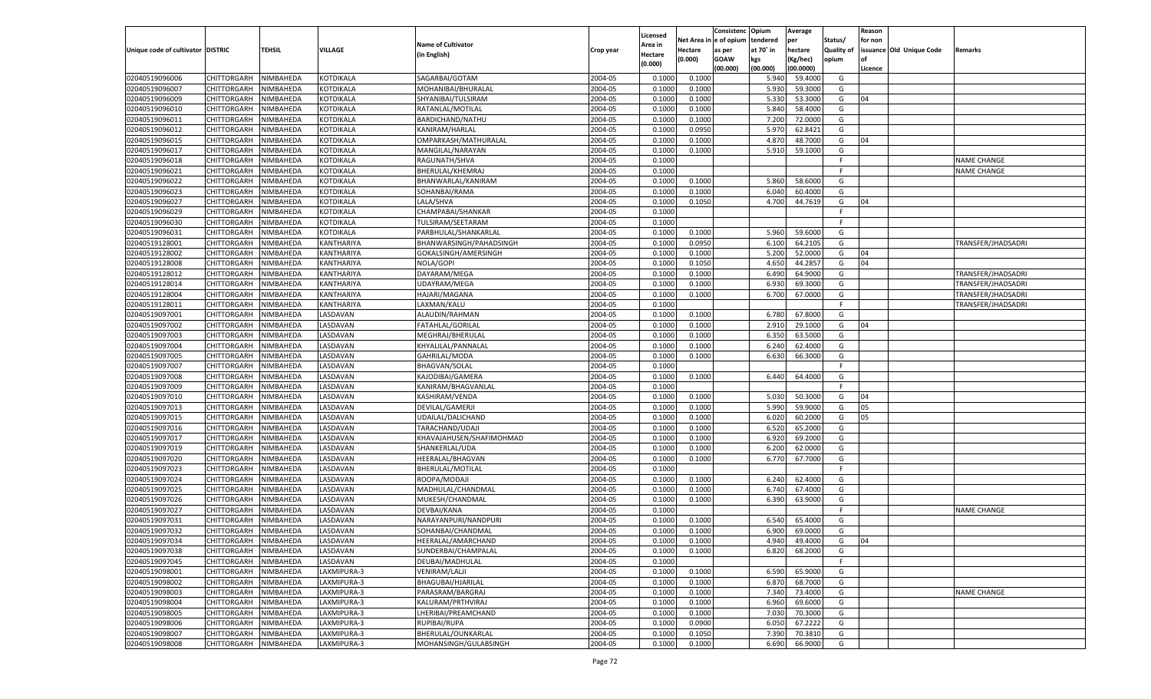|                                   |                       |           |                  |                           |           |                     |            | Consistenc  | Opium     | Average   |            | Reason  |                          |                    |
|-----------------------------------|-----------------------|-----------|------------------|---------------------------|-----------|---------------------|------------|-------------|-----------|-----------|------------|---------|--------------------------|--------------------|
|                                   |                       |           |                  | <b>Name of Cultivator</b> |           | Licensed<br>Area in | Net Area i | le of opium | tendered  | per       | Status/    | for non |                          |                    |
| Unique code of cultivator DISTRIC |                       | TEHSIL    | <b>VILLAGE</b>   | (in English)              | Crop year | Hectare             | Hectare    | as per      | at 70° in | hectare   | Quality of |         | issuance Old Unique Code | Remarks            |
|                                   |                       |           |                  |                           |           | (0.000)             | (0.000)    | <b>GOAW</b> | kgs       | (Kg/hec)  | opium      |         |                          |                    |
|                                   |                       |           |                  |                           |           |                     |            | (00.000)    | (00.000)  | (00.0000) |            | Licence |                          |                    |
| 02040519096006                    | CHITTORGARH           | NIMBAHEDA | KOTDIKALA        | SAGARBAI/GOTAM            | 2004-05   | 0.1000              | 0.1000     |             | 5.940     | 59.4000   | G          |         |                          |                    |
| 02040519096007                    | CHITTORGARH           | NIMBAHEDA | KOTDIKALA        | MOHANIBAI/BHURALAL        | 2004-05   | 0.1000              | 0.1000     |             | 5.930     | 59.3000   | G          |         |                          |                    |
| 02040519096009                    | CHITTORGARH           | NIMBAHEDA | <b>KOTDIKALA</b> | SHYANIBAI/TULSIRAM        | 2004-05   | 0.1000              | 0.1000     |             | 5.330     | 53.3000   | G          | 04      |                          |                    |
| 02040519096010                    | CHITTORGARH           | NIMBAHEDA | KOTDIKALA        | RATANLAL/MOTILAL          | 2004-05   | 0.1000              | 0.1000     |             | 5.840     | 58.4000   | G          |         |                          |                    |
| 02040519096011                    | CHITTORGARH           | NIMBAHEDA | KOTDIKALA        | BARDICHAND/NATHU          | 2004-05   | 0.1000              | 0.1000     |             | 7.200     | 72.0000   | G          |         |                          |                    |
| 02040519096012                    | CHITTORGARH           | NIMBAHEDA | KOTDIKALA        | KANIRAM/HARLAL            | 2004-05   | 0.1000              | 0.0950     |             | 5.970     | 62.8421   | G          |         |                          |                    |
| 02040519096015                    | CHITTORGARH           | NIMBAHEDA | <b>KOTDIKALA</b> | OMPARKASH/MATHURALAL      | 2004-05   | 0.1000              | 0.1000     |             | 4.870     | 48.7000   | G          | 04      |                          |                    |
| 02040519096017                    | CHITTORGARH           | NIMBAHEDA | KOTDIKALA        | MANGILAL/NARAYAN          | 2004-05   | 0.1000              | 0.1000     |             | 5.910     | 59.1000   | G          |         |                          |                    |
| 02040519096018                    | CHITTORGARH           | NIMBAHEDA | KOTDIKALA        | RAGUNATH/SHVA             | 2004-05   | 0.1000              |            |             |           |           | F.         |         |                          | <b>NAME CHANGE</b> |
| 02040519096021                    | CHITTORGARH           | NIMBAHEDA | KOTDIKALA        | BHERULAL/KHEMRAJ          | 2004-05   | 0.1000              |            |             |           |           | E          |         |                          | <b>NAME CHANGE</b> |
| 02040519096022                    | CHITTORGARH           | NIMBAHEDA | <b>KOTDIKALA</b> | BHANWARLAL/KANIRAM        | 2004-05   | 0.1000              | 0.1000     |             | 5.860     | 58.6000   | G          |         |                          |                    |
| 02040519096023                    | CHITTORGARH           | NIMBAHEDA | KOTDIKALA        | SOHANBAI/RAMA             | 2004-05   | 0.1000              | 0.1000     |             | 6.040     | 60.4000   | G          |         |                          |                    |
| 02040519096027                    | CHITTORGARH           | NIMBAHEDA | KOTDIKALA        | LALA/SHVA                 | 2004-05   | 0.1000              | 0.1050     |             | 4.700     | 44.7619   | G          | 04      |                          |                    |
| 02040519096029                    | CHITTORGARH           | NIMBAHEDA | KOTDIKALA        | CHAMPABAI/SHANKAR         | 2004-05   | 0.1000              |            |             |           |           | E          |         |                          |                    |
| 02040519096030                    | CHITTORGARH           | NIMBAHEDA | KOTDIKALA        | TULSIRAM/SEETARAM         | 2004-05   | 0.1000              |            |             |           |           | E          |         |                          |                    |
| 02040519096031                    | CHITTORGARH           | NIMBAHEDA | KOTDIKALA        | PARBHULAL/SHANKARLAL      | 2004-05   | 0.1000              | 0.1000     |             | 5.960     | 59.6000   | G          |         |                          |                    |
| 02040519128001                    | CHITTORGARH           | NIMBAHEDA | KANTHARIYA       | BHANWARSINGH/PAHADSINGH   | 2004-05   | 0.1000              | 0.0950     |             | 6.100     | 64.2105   | G          |         |                          | TRANSFER/JHADSADRI |
| 02040519128002                    | CHITTORGARH           | NIMBAHEDA | KANTHARIYA       | GOKALSINGH/AMERSINGH      | 2004-05   | 0.1000              | 0.1000     |             | 5.200     | 52.0000   | G          | 04      |                          |                    |
| 02040519128008                    | CHITTORGARH           | NIMBAHEDA | KANTHARIYA       | NOLA/GOPI                 | 2004-05   | 0.1000              | 0.1050     |             | 4.650     | 44.2857   | G          | 04      |                          |                    |
| 02040519128012                    | CHITTORGARH           | NIMBAHEDA | KANTHARIYA       | DAYARAM/MEGA              | 2004-05   | 0.1000              | 0.1000     |             | 6.490     | 64.9000   | G          |         |                          | TRANSFER/JHADSADRI |
| 02040519128014                    | CHITTORGARH           | NIMBAHEDA | KANTHARIYA       | UDAYRAM/MEGA              | 2004-05   | 0.1000              | 0.1000     |             | 6.930     | 69.3000   | G          |         |                          | TRANSFER/JHADSADRI |
| 02040519128004                    | CHITTORGARH           | NIMBAHEDA | KANTHARIYA       | <b>HAJARI/MAGANA</b>      | 2004-05   | 0.1000              | 0.1000     |             | 6.700     | 67.0000   | G          |         |                          | TRANSFER/JHADSADR  |
| 02040519128011                    | CHITTORGARH           | NIMBAHEDA | KANTHARIYA       | LAXMAN/KALU               | 2004-05   | 0.1000              |            |             |           |           | F.         |         |                          | TRANSFER/JHADSADR  |
| 02040519097001                    | CHITTORGARH           | NIMBAHEDA | <b>ASDAVAN</b>   | ALAUDIN/RAHMAN            | 2004-05   | 0.1000              | 0.1000     |             | 6.780     | 67.8000   | G          |         |                          |                    |
| 02040519097002                    | CHITTORGARH           | NIMBAHEDA | <b>ASDAVAN</b>   | <b>FATAHLAL/GORILAL</b>   | 2004-05   | 0.1000              | 0.1000     |             | 2.910     | 29.1000   | G          | 04      |                          |                    |
| 02040519097003                    | CHITTORGARH           | NIMBAHEDA | <b>ASDAVAN</b>   | MEGHRAJ/BHERULAL          | 2004-05   | 0.1000              | 0.1000     |             | 6.350     | 63.5000   | G          |         |                          |                    |
| 02040519097004                    | CHITTORGARH           | NIMBAHEDA | <b>ASDAVAN</b>   | KHYALILAL/PANNALAL        | 2004-05   | 0.1000              | 0.1000     |             | 6.240     | 62.4000   | G          |         |                          |                    |
| 02040519097005                    | CHITTORGARH           | NIMBAHEDA | <b>ASDAVAN</b>   | GAHRILAL/MODA             | 2004-05   | 0.1000              | 0.1000     |             | 6.630     | 66.3000   | G          |         |                          |                    |
| 02040519097007                    | CHITTORGARH           | NIMBAHEDA | <b>ASDAVAN</b>   | <b>BHAGVAN/SOLAL</b>      | 2004-05   | 0.1000              |            |             |           |           | F.         |         |                          |                    |
| 02040519097008                    | CHITTORGARH           | NIMBAHEDA | LASDAVAN         | KAJODIBAI/GAMERA          | 2004-05   | 0.1000              | 0.1000     |             | 6.440     | 64.4000   | G          |         |                          |                    |
| 02040519097009                    | CHITTORGARH           | NIMBAHEDA | LASDAVAN         | KANIRAM/BHAGVANLAL        | 2004-05   | 0.1000              |            |             |           |           | F.         |         |                          |                    |
| 02040519097010                    | CHITTORGARH           | NIMBAHEDA | LASDAVAN         | KASHIRAM/VENDA            | 2004-05   | 0.1000              | 0.1000     |             | 5.030     | 50.3000   | G          | 04      |                          |                    |
| 02040519097013                    | CHITTORGARH           | NIMBAHEDA | LASDAVAN         | DEVILAL/GAMERJI           | 2004-05   | 0.1000              | 0.1000     |             | 5.990     | 59.9000   | G          | 05      |                          |                    |
| 02040519097015                    | CHITTORGARH           | NIMBAHEDA | LASDAVAN         | UDAILAL/DALICHAND         | 2004-05   | 0.1000              | 0.1000     |             | 6.020     | 60.2000   | G          | 05      |                          |                    |
| 02040519097016                    | CHITTORGARH           | NIMBAHEDA | LASDAVAN         | TARACHAND/UDAJI           | 2004-05   | 0.1000              | 0.1000     |             | 6.520     | 65.2000   | G          |         |                          |                    |
| 02040519097017                    | CHITTORGARH           | NIMBAHEDA | LASDAVAN         | KHAVAJAHUSEN/SHAFIMOHMAD  | 2004-05   | 0.1000              | 0.1000     |             | 6.920     | 69.2000   | G          |         |                          |                    |
| 02040519097019                    | CHITTORGARH           | NIMBAHEDA | LASDAVAN         | SHANKERLAL/UDA            | 2004-05   | 0.1000              | 0.1000     |             | 6.200     | 62.0000   | G          |         |                          |                    |
| 02040519097020                    | CHITTORGARH           | NIMBAHEDA | LASDAVAN         | HEERALAL/BHAGVAN          | 2004-05   | 0.1000              | 0.1000     |             | 6.770     | 67.7000   | G          |         |                          |                    |
| 02040519097023                    | CHITTORGARH           | NIMBAHEDA | LASDAVAN         | BHERULAL/MOTILAL          | 2004-05   | 0.1000              |            |             |           |           | F.         |         |                          |                    |
| 02040519097024                    | CHITTORGARH           | NIMBAHEDA | LASDAVAN         | ROOPA/MODAJI              | 2004-05   | 0.1000              | 0.1000     |             | 6.240     | 62.4000   | G          |         |                          |                    |
| 02040519097025                    | CHITTORGARH           | NIMBAHEDA | LASDAVAN         | MADHULAL/CHANDMAL         | 2004-05   | 0.1000              | 0.1000     |             | 6.740     | 67.4000   | G          |         |                          |                    |
| 02040519097026                    | CHITTORGARH           | NIMBAHEDA | LASDAVAN         | MUKESH/CHANDMAL           | 2004-05   | 0.1000              | 0.1000     |             | 6.390     | 63.9000   | G          |         |                          |                    |
| 02040519097027                    | CHITTORGARH           | NIMBAHEDA | LASDAVAN         | DEVBAI/KANA               | 2004-05   | 0.1000              |            |             |           |           | F.         |         |                          | <b>NAME CHANGE</b> |
| 02040519097031                    | CHITTORGARH           | NIMBAHEDA | LASDAVAN         | NARAYANPURI/NANDPURI      | 2004-05   | 0.1000              | 0.1000     |             | 6.540     | 65.4000   | G          |         |                          |                    |
| 02040519097032                    |                       | NIMBAHEDA | LASDAVAN         |                           | 2004-05   | 0.1000              | 0.1000     |             | 6.900     | 69.0000   | G          |         |                          |                    |
|                                   | CHITTORGARH           |           |                  | SOHANBAI/CHANDMAI         |           |                     |            |             |           |           |            |         |                          |                    |
| 02040519097034                    | CHITTORGARH NIMBAHEDA |           | LASDAVAN         | HEERALAL/AMARCHAND        | 2004-05   | 0.1000              | 0.1000     |             | 4.940     | 49.4000   | G          | 04      |                          |                    |
| 02040519097038                    | <b>CHITTORGARH</b>    | NIMBAHEDA | LASDAVAN         | SUNDERBAI/CHAMPALAL       | 2004-05   | 0.1000              | 0.1000     |             | 6.820     | 68.2000   | G          |         |                          |                    |
| 02040519097045                    | CHITTORGARH           | NIMBAHEDA | LASDAVAN         | DEUBAI/MADHULAL           | 2004-05   | 0.1000              |            |             |           |           | F.         |         |                          |                    |
| 02040519098001                    | CHITTORGARH           | NIMBAHEDA | LAXMIPURA-3      | <b>VENIRAM/LALJI</b>      | 2004-05   | 0.1000              | 0.1000     |             | 6.590     | 65.9000   | G          |         |                          |                    |
| 02040519098002                    | CHITTORGARH           | NIMBAHEDA | LAXMIPURA-3      | BHAGUBAI/HJARILAL         | 2004-05   | 0.1000              | 0.1000     |             | 6.870     | 68.7000   | G          |         |                          |                    |
| 02040519098003                    | CHITTORGARH           | NIMBAHEDA | LAXMIPURA-3      | PARASRAM/BARGRAJ          | 2004-05   | 0.1000              | 0.1000     |             | 7.340     | 73.4000   | G          |         |                          | <b>NAME CHANGE</b> |
| 02040519098004                    | CHITTORGARH           | NIMBAHEDA | LAXMIPURA-3      | KALURAM/PRTHVIRAJ         | 2004-05   | 0.1000              | 0.1000     |             | 6.960     | 69.6000   | G          |         |                          |                    |
| 02040519098005                    | CHITTORGARH           | NIMBAHEDA | LAXMIPURA-3      | LHERIBAI/PREAMCHAND       | 2004-05   | 0.1000              | 0.1000     |             | 7.030     | 70.3000   | G          |         |                          |                    |
| 02040519098006                    | CHITTORGARH           | NIMBAHEDA | LAXMIPURA-3      | RUPIBAI/RUPA              | 2004-05   | 0.1000              | 0.0900     |             | 6.050     | 67.2222   | G          |         |                          |                    |
| 02040519098007                    | <b>CHITTORGARH</b>    | NIMBAHEDA | LAXMIPURA-3      | BHERULAL/OUNKARLAL        | 2004-05   | 0.1000              | 0.1050     |             | 7.390     | 70.3810   | G          |         |                          |                    |
| 02040519098008                    | CHITTORGARH           | NIMBAHEDA | LAXMIPURA-3      | MOHANSINGH/GULABSINGH     | 2004-05   | 0.1000              | 0.1000     |             | 6.690     | 66.9000   | G          |         |                          |                    |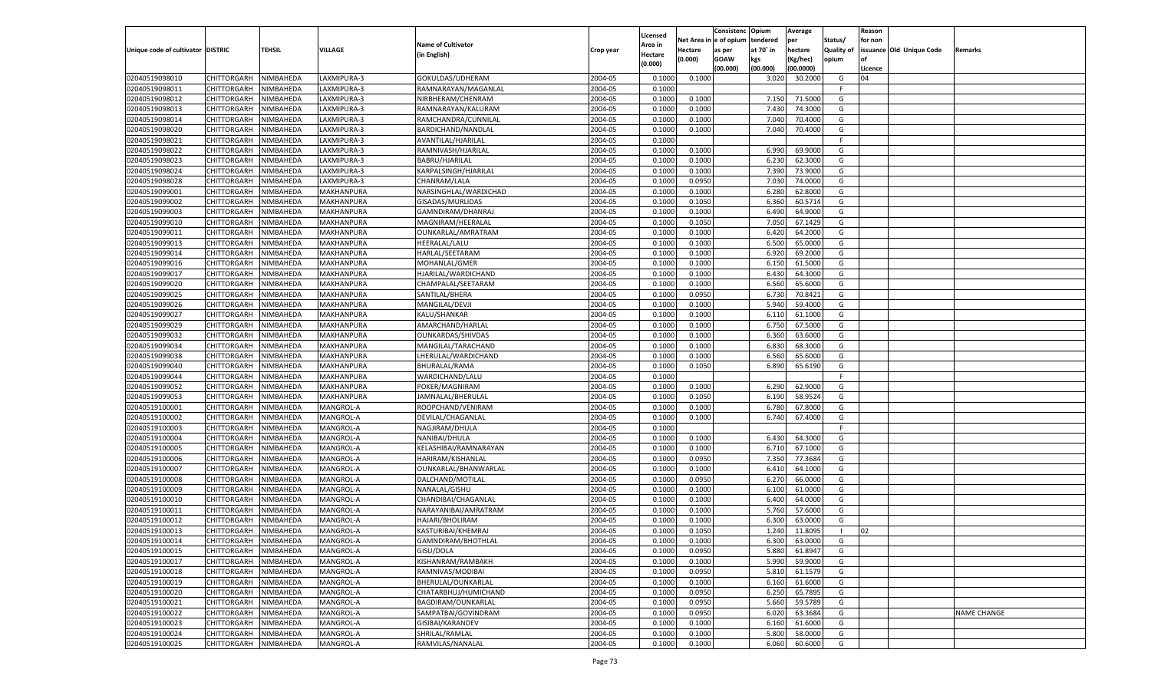|                                   |                    |           |             |                           |           |                    |            | Consistenc    | Opium     | Average   |                   | Reason  |                          |             |
|-----------------------------------|--------------------|-----------|-------------|---------------------------|-----------|--------------------|------------|---------------|-----------|-----------|-------------------|---------|--------------------------|-------------|
|                                   |                    |           |             |                           |           | Licensed           | Net Area i | n  e of opium | tendered  | per       | Status/           | for non |                          |             |
| Unique code of cultivator DISTRIC |                    | TEHSIL    | VILLAGE     | <b>Name of Cultivator</b> | Crop year | Area in            | Hectare    | as per        | at 70° in | hectare   | <b>Quality of</b> |         | issuance Old Unique Code | Remarks     |
|                                   |                    |           |             | (in English)              |           | Hectare<br>(0.000) | (0.000)    | <b>GOAW</b>   | kgs       | (Kg/hec)  | opium             |         |                          |             |
|                                   |                    |           |             |                           |           |                    |            | (00.000)      | (00.000)  | (00.0000) |                   | Licence |                          |             |
| 02040519098010                    | CHITTORGARH        | NIMBAHEDA | LAXMIPURA-3 | GOKULDAS/UDHERAM          | 2004-05   | 0.1000             | 0.1000     |               | 3.020     | 30.2000   | G                 | 04      |                          |             |
| 02040519098011                    | CHITTORGARH        | NIMBAHEDA | LAXMIPURA-3 | RAMNARAYAN/MAGANLAL       | 2004-05   | 0.1000             |            |               |           |           | E                 |         |                          |             |
| 02040519098012                    | CHITTORGARH        | NIMBAHEDA | LAXMIPURA-3 | NIRBHERAM/CHENRAM         | 2004-05   | 0.1000             | 0.1000     |               | 7.150     | 71.5000   | G                 |         |                          |             |
| 02040519098013                    | CHITTORGARH        | NIMBAHEDA | LAXMIPURA-3 | RAMNARAYAN/KALURAM        | 2004-05   | 0.1000             | 0.1000     |               | 7.43(     | 74.3000   | G                 |         |                          |             |
| 02040519098014                    | CHITTORGARH        | NIMBAHEDA | LAXMIPURA-3 | RAMCHANDRA/CUNNILAL       | 2004-05   | 0.1000             | 0.1000     |               | 7.040     | 70.4000   | G                 |         |                          |             |
| 02040519098020                    | CHITTORGARH        | NIMBAHEDA | LAXMIPURA-3 | BARDICHAND/NANDLAL        | 2004-05   | 0.1000             | 0.1000     |               | 7.040     | 70.4000   | G                 |         |                          |             |
| 02040519098021                    | CHITTORGARH        | NIMBAHEDA | LAXMIPURA-3 | AVANTILAL/HJARILAL        | 2004-05   | 0.1000             |            |               |           |           | F.                |         |                          |             |
| 02040519098022                    | CHITTORGARH        | NIMBAHEDA | LAXMIPURA-3 | RAMNIVASH/HJARILAL        | 2004-05   | 0.1000             | 0.1000     |               | 6.990     | 69.9000   | G                 |         |                          |             |
| 02040519098023                    | CHITTORGARH        | NIMBAHEDA | LAXMIPURA-3 | BABRU/HJARILAL            | 2004-05   | 0.1000             | 0.1000     |               | 6.23      | 62.3000   | G                 |         |                          |             |
| 02040519098024                    | CHITTORGARH        | NIMBAHEDA | LAXMIPURA-3 | KARPALSINGH/HJARILAL      | 2004-05   | 0.1000             | 0.1000     |               | 7.390     | 73.9000   | G                 |         |                          |             |
| 02040519098028                    | CHITTORGARH        | NIMBAHEDA | LAXMIPURA-3 | CHANRAM/LALA              | 2004-05   | 0.1000             | 0.0950     |               | 7.030     | 74.0000   | G                 |         |                          |             |
| 02040519099001                    | CHITTORGARH        | NIMBAHEDA | MAKHANPURA  | NARSINGHLAL/WARDICHAD     | 2004-05   | 0.1000             | 0.1000     |               | 6.280     | 62.8000   | G                 |         |                          |             |
| 02040519099002                    | CHITTORGARH        | NIMBAHEDA | MAKHANPURA  | GISADAS/MURLIDAS          | 2004-05   | 0.1000             | 0.1050     |               | 6.360     | 60.5714   | G                 |         |                          |             |
| 02040519099003                    | CHITTORGARH        | NIMBAHEDA | MAKHANPURA  | GAMNDIRAM/DHANRAJ         | 2004-05   | 0.1000             | 0.1000     |               | 6.490     | 64.9000   | G                 |         |                          |             |
| 02040519099010                    | CHITTORGARH        | NIMBAHEDA | MAKHANPURA  | MAGNIRAM/HEERALAL         | 2004-05   | 0.1000             | 0.1050     |               | 7.050     | 67.1429   | G                 |         |                          |             |
| 02040519099011                    | CHITTORGARH        | NIMBAHEDA | MAKHANPURA  | OUNKARLAL/AMRATRAM        | 2004-05   | 0.1000             | 0.1000     |               | 6.420     | 64.2000   | G                 |         |                          |             |
| 02040519099013                    | CHITTORGARH        | NIMBAHEDA | MAKHANPURA  | <b>HEERALAL/LALU</b>      | 2004-05   | 0.1000             | 0.1000     |               | 6.500     | 65.0000   | G                 |         |                          |             |
| 02040519099014                    | CHITTORGARH        | NIMBAHEDA | MAKHANPURA  | HARLAL/SEETARAM           | 2004-05   | 0.1000             | 0.1000     |               | 6.920     | 69.2000   | G                 |         |                          |             |
| 02040519099016                    | CHITTORGARH        | NIMBAHEDA | MAKHANPURA  | MOHANLAL/GMER             | 2004-05   | 0.1000             | 0.1000     |               | 6.150     | 61.5000   | G                 |         |                          |             |
| 02040519099017                    | CHITTORGARH        | NIMBAHEDA | MAKHANPURA  | HJARILAL/WARDICHAND       | 2004-05   | 0.1000             | 0.1000     |               | 6.430     | 64.3000   | G                 |         |                          |             |
| 02040519099020                    | CHITTORGARH        | NIMBAHEDA | MAKHANPURA  | CHAMPALAL/SEETARAM        | 2004-05   | 0.1000             | 0.1000     |               | 6.560     | 65.6000   | G                 |         |                          |             |
| 02040519099025                    | CHITTORGARH        | NIMBAHEDA | MAKHANPURA  | SANTILAL/BHERA            | 2004-05   | 0.1000             | 0.0950     |               | 6.730     | 70.8421   | G                 |         |                          |             |
| 02040519099026                    | CHITTORGARH        | NIMBAHEDA | MAKHANPURA  | MANGILAL/DEVJI            | 2004-05   | 0.1000             | 0.1000     |               | 5.940     | 59.4000   | G                 |         |                          |             |
| 02040519099027                    | CHITTORGARH        | NIMBAHEDA | MAKHANPURA  | KALU/SHANKAR              | 2004-05   | 0.1000             | 0.1000     |               | 6.110     | 61.1000   | G                 |         |                          |             |
| 02040519099029                    | CHITTORGARH        | NIMBAHEDA | MAKHANPURA  | AMARCHAND/HARLAL          | 2004-05   | 0.1000             | 0.1000     |               | 6.750     | 67.5000   | G                 |         |                          |             |
| 02040519099032                    | CHITTORGARH        | NIMBAHEDA | MAKHANPURA  | <b>OUNKARDAS/SHIVDAS</b>  | 2004-05   | 0.1000             | 0.1000     |               | 6.360     | 63.6000   | G                 |         |                          |             |
| 02040519099034                    | CHITTORGARH        | NIMBAHEDA | MAKHANPURA  | MANGILAL/TARACHAND        | 2004-05   | 0.1000             | 0.1000     |               | 6.830     | 68.3000   | G                 |         |                          |             |
| 02040519099038                    | CHITTORGARH        | NIMBAHEDA | MAKHANPURA  | LHERULAL/WARDICHAND       | 2004-05   | 0.1000             | 0.1000     |               | 6.560     | 65.6000   | G                 |         |                          |             |
| 02040519099040                    | CHITTORGARH        | NIMBAHEDA | MAKHANPURA  | BHURALAL/RAMA             | 2004-05   | 0.1000             | 0.1050     |               | 6.890     | 65.6190   | G                 |         |                          |             |
| 02040519099044                    | CHITTORGARH        | NIMBAHEDA | MAKHANPURA  | WARDICHAND/LALU           | 2004-05   | 0.1000             |            |               |           |           | F.                |         |                          |             |
| 02040519099052                    |                    |           |             |                           | 2004-05   | 0.1000             | 0.1000     |               | 6.290     | 62.9000   | G                 |         |                          |             |
| 02040519099053                    | CHITTORGARH        | NIMBAHEDA | MAKHANPURA  | POKER/MAGNIRAM            | 2004-05   | 0.1000             | 0.1050     |               | 6.190     | 58.9524   | G                 |         |                          |             |
|                                   | CHITTORGARH        | NIMBAHEDA | MAKHANPURA  | JAMNALAL/BHERULAL         | 2004-05   |                    |            |               |           | 67.8000   |                   |         |                          |             |
| 02040519100001                    | CHITTORGARH        | NIMBAHEDA | MANGROL-A   | ROOPCHAND/VENIRAM         |           | 0.1000             | 0.1000     |               | 6.780     |           | G                 |         |                          |             |
| 02040519100002                    | CHITTORGARH        | NIMBAHEDA | MANGROL-A   | DEVILAL/CHAGANLAL         | 2004-05   | 0.1000             | 0.1000     |               | 6.740     | 67.4000   | G                 |         |                          |             |
| 02040519100003                    | CHITTORGARH        | NIMBAHEDA | MANGROL-A   | NAGJIRAM/DHULA            | 2004-05   | 0.1000             |            |               |           |           | F.                |         |                          |             |
| 02040519100004                    | CHITTORGARH        | NIMBAHEDA | MANGROL-A   | NANIBAI/DHULA             | 2004-05   | 0.1000             | 0.1000     |               | 6.430     | 64.3000   | G                 |         |                          |             |
| 02040519100005                    | CHITTORGARH        | NIMBAHEDA | MANGROL-A   | KELASHIBAI/RAMNARAYAN     | 2004-05   | 0.1000             | 0.1000     |               | 6.710     | 67.1000   | G                 |         |                          |             |
| 02040519100006                    | CHITTORGARH        | NIMBAHEDA | MANGROL-A   | HARIRAM/KISHANLAL         | 2004-05   | 0.1000             | 0.0950     |               | 7.350     | 77.3684   | G                 |         |                          |             |
| 02040519100007                    | CHITTORGARH        | NIMBAHEDA | MANGROL-A   | OUNKARLAL/BHANWARLAL      | 2004-05   | 0.1000             | 0.1000     |               | 6.41      | 64.1000   | G                 |         |                          |             |
| 02040519100008                    | CHITTORGARH        | NIMBAHEDA | MANGROL-A   | DALCHAND/MOTILAL          | 2004-05   | 0.1000             | 0.0950     |               | 6.270     | 66.0000   | G                 |         |                          |             |
| 02040519100009                    | CHITTORGARH        | NIMBAHEDA | MANGROL-A   | NANALAL/GISHU             | 2004-05   | 0.1000             | 0.1000     |               | 6.100     | 61.0000   | G                 |         |                          |             |
| 02040519100010                    | CHITTORGARH        | NIMBAHEDA | MANGROL-A   | CHANDIBAI/CHAGANLAL       | 2004-05   | 0.1000             | 0.1000     |               | 6.400     | 64.0000   | G                 |         |                          |             |
| 02040519100011                    | CHITTORGARH        | NIMBAHEDA | MANGROL-A   | NARAYANIBAI/AMRATRAM      | 2004-05   | 0.1000             | 0.1000     |               | 5.760     | 57.6000   | G                 |         |                          |             |
| 02040519100012                    | CHITTORGARH        | NIMBAHEDA | MANGROL-A   | HAJARI/BHOLIRAM           | 2004-05   | 0.1000             | 0.1000     |               | 6.300     | 63.0000   | G                 |         |                          |             |
| 02040519100013                    | CHITTORGARH        | NIMBAHEDA | MANGROL-A   | KASTURIBAI/KHEMRAJ        | 2004-05   | 0.1000             | 0.1050     |               | 1.240     | 11.8095   | - 1               | 02      |                          |             |
| 02040519100014                    | CHITTORGARH        | NIMBAHEDA | MANGROL-A   | GAMNDIRAM/BHOTHLAL        | 2004-05   | 0.1000             | 0.1000     |               | 6.300     | 63.0000   | G                 |         |                          |             |
| 02040519100015                    | <b>CHITTORGARH</b> | NIMBAHEDA | MANGROL-A   | GISU/DOLA                 | 2004-05   | 0.1000             | 0.0950     |               | 5.880     | 61.8947   | G                 |         |                          |             |
| 02040519100017                    | CHITTORGARH        | NIMBAHEDA | MANGROL-A   | KISHANRAM/RAMBAKH         | 2004-05   | 0.1000             | 0.1000     |               | 5.990     | 59.9000   | G                 |         |                          |             |
| 02040519100018                    | <b>CHITTORGARH</b> | NIMBAHEDA | MANGROL-A   | RAMNIVAS/MODIBAI          | 2004-05   | 0.1000             | 0.0950     |               | 5.810     | 61.1579   | G                 |         |                          |             |
| 02040519100019                    | <b>CHITTORGARH</b> | NIMBAHEDA | MANGROL-A   | BHERULAL/OUNKARLAL        | 2004-05   | 0.1000             | 0.1000     |               | 6.160     | 61.6000   | G                 |         |                          |             |
| 02040519100020                    | CHITTORGARH        | NIMBAHEDA | MANGROL-A   | CHATARBHUJ/HUMICHAND      | 2004-05   | 0.1000             | 0.0950     |               | 6.250     | 65.7895   | G                 |         |                          |             |
| 02040519100021                    | CHITTORGARH        | NIMBAHEDA | MANGROL-A   | BAGDIRAM/OUNKARLAL        | 2004-05   | 0.1000             | 0.0950     |               | 5.660     | 59.5789   | G                 |         |                          |             |
| 02040519100022                    | CHITTORGARH        | NIMBAHEDA | MANGROL-A   | SAMPATBAI/GOVINDRAM       | 2004-05   | 0.1000             | 0.0950     |               | 6.020     | 63.3684   | G                 |         |                          | NAME CHANGE |
| 02040519100023                    | CHITTORGARH        | NIMBAHEDA | MANGROL-A   | GISIBAI/KARANDEV          | 2004-05   | 0.1000             | 0.1000     |               | 6.160     | 61.6000   | G                 |         |                          |             |
| 02040519100024                    | CHITTORGARH        | NIMBAHEDA | MANGROL-A   | SHRILAL/RAMLAL            | 2004-05   | 0.1000             | 0.1000     |               | 5.800     | 58.0000   | G                 |         |                          |             |
| 02040519100025                    | <b>CHITTORGARH</b> | NIMBAHEDA | MANGROL-A   | RAMVILAS/NANALAL          | 2004-05   | 0.1000             | 0.1000     |               | 6.060     | 60.6000   | G                 |         |                          |             |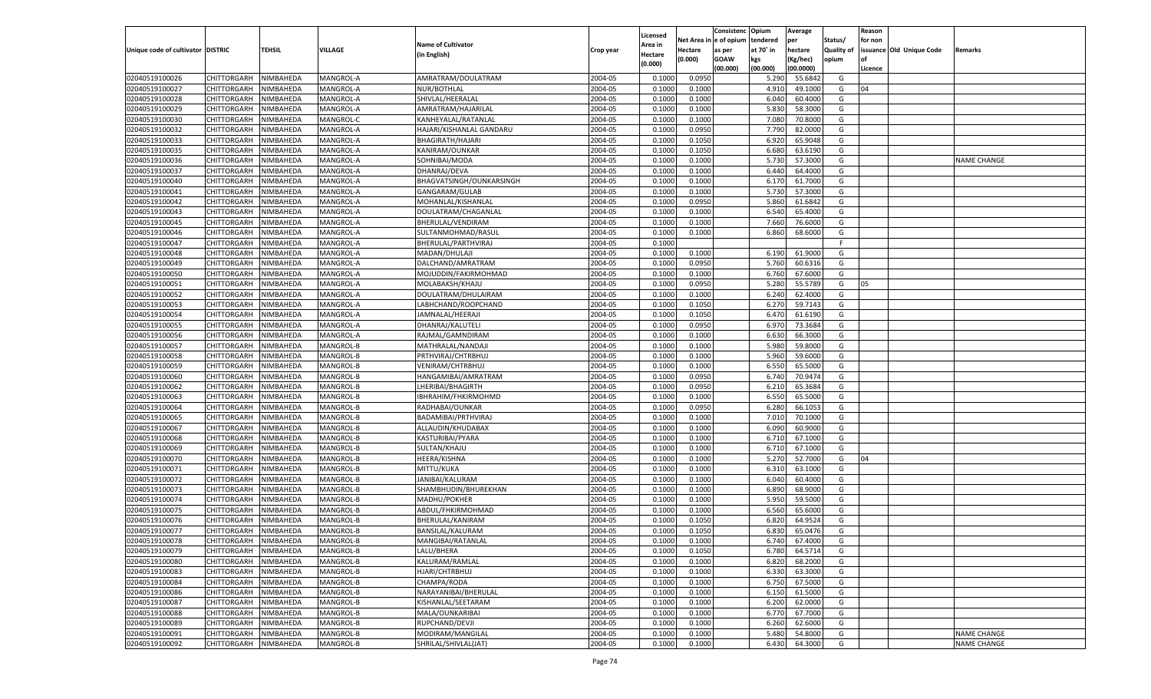|                                   |                                          |                        |                        |                              |                    | Licensed         |                  | Consistenc Opium       |                | Average            |                   | Reason  |                          |                |
|-----------------------------------|------------------------------------------|------------------------|------------------------|------------------------------|--------------------|------------------|------------------|------------------------|----------------|--------------------|-------------------|---------|--------------------------|----------------|
|                                   |                                          |                        |                        | <b>Name of Cultivator</b>    |                    | Area in          |                  | Net Area in e of opium | tendered       | per                | Status/           | for non |                          |                |
| Unique code of cultivator DISTRIC |                                          | TEHSIL                 | <b>VILLAGE</b>         | (in English)                 | Crop year          | Hectare          | Hectare          | as per                 | at 70° in      | hectare            | <b>Quality of</b> |         | issuance Old Unique Code | <b>Remarks</b> |
|                                   |                                          |                        |                        |                              |                    | (0.000)          | (0.000)          | <b>GOAW</b>            | kgs            | (Kg/hec)           | opium             |         |                          |                |
|                                   |                                          |                        |                        |                              |                    |                  |                  | (00.000)               | (00.000)       | (00.0000)          |                   | Licence |                          |                |
| 02040519100026                    | CHITTORGARH                              | NIMBAHEDA              | MANGROL-A              | AMRATRAM/DOULATRAM           | 2004-05            | 0.1000           | 0.0950           |                        | 5.290          | 55.6842            | G                 |         |                          |                |
| 02040519100027                    | CHITTORGARH                              | NIMBAHEDA              | MANGROL-A              | NUR/BOTHLAL                  | 2004-05            | 0.1000           | 0.1000           |                        | 4.910          | 49.1000            | G                 | 04      |                          |                |
| 02040519100028                    | CHITTORGARH                              | NIMBAHEDA              | MANGROL-A              | SHIVLAL/HEERALAL             | 2004-05            | 0.1000           | 0.1000           |                        | 6.040          | 60.4000            | G                 |         |                          |                |
| 02040519100029                    | CHITTORGARH                              | NIMBAHEDA              | MANGROL-A              | AMRATRAM/HAJARILAL           | 2004-05            | 0.1000           | 0.1000           |                        | 5.830          | 58.3000            | G                 |         |                          |                |
| 02040519100030                    | CHITTORGARH                              | NIMBAHEDA              | MANGROL-C              | KANHEYALAL/RATANLAL          | 2004-05            | 0.1000           | 0.1000           |                        | 7.080          | 70.8000            | G                 |         |                          |                |
| 02040519100032                    | CHITTORGARH                              | NIMBAHEDA              | MANGROL-A              | HAJARI/KISHANLAL GANDARU     | 2004-05            | 0.1000           | 0.0950           |                        | 7.790          | 82.0000            | G                 |         |                          |                |
| 02040519100033                    | CHITTORGARH                              | NIMBAHEDA              | MANGROL-A              | <b>BHAGIRATH/HAJARI</b>      | 2004-05            | 0.1000           | 0.1050           |                        | 6.920          | 65.9048            | G                 |         |                          |                |
| 02040519100035                    | CHITTORGARH                              | NIMBAHEDA              | MANGROL-A              | KANIRAM/OUNKAR               | 2004-05            | 0.1000           | 0.1050           |                        | 6.680          | 63.6190            | G                 |         |                          |                |
| 02040519100036                    | CHITTORGARH                              | NIMBAHEDA              | MANGROL-A              | SOHNIBAI/MODA                | 2004-05            | 0.1000           | 0.1000           |                        | 5.730          | 57.3000            | G                 |         |                          | NAME CHANGE    |
| 02040519100037                    | CHITTORGARH                              | NIMBAHEDA              | MANGROL-A              | DHANRAJ/DEVA                 | 2004-05            | 0.1000           | 0.1000           |                        | 6.440          | 64.4000            | G                 |         |                          |                |
| 02040519100040                    | CHITTORGARH                              | NIMBAHEDA              | MANGROL-A              | BHAGVATSINGH/OUNKARSINGH     | 2004-05            | 0.1000           | 0.1000           |                        | 6.170          | 61.7000            | G                 |         |                          |                |
| 02040519100041                    | CHITTORGARH                              | NIMBAHEDA              | MANGROL-A              | GANGARAM/GULAB               | 2004-05            | 0.1000           | 0.1000           |                        | 5.730          | 57.3000            | G                 |         |                          |                |
| 02040519100042                    | CHITTORGARH                              | NIMBAHEDA              | MANGROL-A              | MOHANLAL/KISHANLAL           | 2004-05            | 0.1000           | 0.0950           |                        | 5.860          | 61.6842            | G                 |         |                          |                |
| 02040519100043                    | CHITTORGARH                              | NIMBAHEDA              | MANGROL-A              | DOULATRAM/CHAGANLAL          | 2004-05            | 0.1000           | 0.1000           |                        | 6.540          | 65.4000            | G                 |         |                          |                |
| 02040519100045                    | CHITTORGARH                              | NIMBAHEDA              | MANGROL-A              | BHERULAL/VENDIRAM            | 2004-05            | 0.1000           | 0.1000           |                        | 7.660          | 76.6000            | G                 |         |                          |                |
| 02040519100046                    | CHITTORGARH                              | NIMBAHEDA              | MANGROL-A              | SULTANMOHMAD/RASUI           | 2004-05            | 0.1000           | 0.1000           |                        | 6.860          | 68.6000            | G                 |         |                          |                |
| 02040519100047                    | CHITTORGARH                              | NIMBAHEDA              | MANGROL-A              | BHERULAL/PARTHVIRAJ          | 2004-05            | 0.1000           |                  |                        |                |                    | F.                |         |                          |                |
| 02040519100048                    | CHITTORGARH                              | NIMBAHEDA              | MANGROL-A              | MADAN/DHULAJI                | 2004-05            | 0.1000           | 0.1000           |                        | 6.190          | 61.9000            | G                 |         |                          |                |
| 02040519100049                    | CHITTORGARH                              | NIMBAHEDA              | MANGROL-A              | DALCHAND/AMRATRAM            | 2004-05            | 0.1000           | 0.0950           |                        | 5.760          | 60.6316            | G                 |         |                          |                |
| 02040519100050                    | CHITTORGARH                              | NIMBAHEDA              | MANGROL-A              | MOJUDDIN/FAKIRMOHMAD         | 2004-05            | 0.1000           | 0.1000           |                        | 6.760          | 67.6000            | G                 |         |                          |                |
| 02040519100051                    | CHITTORGARH                              | NIMBAHEDA              | MANGROL-A              | MOLABAKSH/KHAJU              | 2004-05            | 0.1000           | 0.0950           |                        | 5.280          | 55.5789            | G                 | 05      |                          |                |
| 02040519100052                    | CHITTORGARH                              | NIMBAHEDA              | MANGROL-A              | DOULATRAM/DHULAIRAM          | 2004-05            | 0.1000           | 0.1000           |                        | 6.240          | 62.4000            | G                 |         |                          |                |
| 02040519100053                    | CHITTORGARH                              | NIMBAHEDA              | MANGROL-A              | LABHCHAND/ROOPCHAND          | 2004-05            | 0.1000           | 0.1050           |                        | 6.270          | 59.7143            | G                 |         |                          |                |
| 02040519100054                    | CHITTORGARH                              | NIMBAHEDA              | MANGROL-A              | JAMNALAL/HEERAJI             | 2004-05            | 0.1000           | 0.1050           |                        | 6.470          | 61.6190            | G                 |         |                          |                |
| 02040519100055                    | CHITTORGARH                              | NIMBAHEDA              | MANGROL-A              | DHANRAJ/KALUTELI             | 2004-05            | 0.1000           | 0.0950           |                        | 6.970          | 73.3684            | G                 |         |                          |                |
| 02040519100056                    | CHITTORGARH                              | NIMBAHEDA              | MANGROL-A              | RAJMAL/GAMNDIRAM             | 2004-05            | 0.1000           | 0.1000           |                        | 6.630          | 66.3000            | G                 |         |                          |                |
| 02040519100057                    | CHITTORGARH                              | NIMBAHEDA              | MANGROL-B              | MATHRALAL/NANDAJI            | 2004-05            | 0.1000           | 0.1000           |                        | 5.980          | 59.8000            | G                 |         |                          |                |
| 02040519100058                    | CHITTORGARH                              | NIMBAHEDA              | MANGROL-B              | PRTHVIRAJ/CHTRBHUJ           | 2004-05            | 0.1000           | 0.1000           |                        | 5.960          | 59.6000            | G                 |         |                          |                |
| 02040519100059                    | CHITTORGARH                              | NIMBAHEDA              | MANGROL-B              | VENIRAM/CHTRBHUJ             | 2004-05            | 0.1000           | 0.1000           |                        | 6.550          | 65.5000            | G                 |         |                          |                |
| 02040519100060                    | CHITTORGARH                              | NIMBAHEDA              | MANGROL-B              | HANGAMIBAI/AMRATRAM          | 2004-05            | 0.1000           | 0.0950           |                        | 6.740          | 70.9474            | G                 |         |                          |                |
| 02040519100062                    | CHITTORGARH                              | NIMBAHEDA              | MANGROL-B              | LHERIBAI/BHAGIRTH            | 2004-05            | 0.1000           | 0.0950           |                        | 6.210          | 65.3684            | G                 |         |                          |                |
| 02040519100063                    | CHITTORGARH                              | NIMBAHEDA              | MANGROL-B              | IBHRAHIM/FHKIRMOHMD          | 2004-05            | 0.1000           | 0.1000           |                        | 6.550          | 65.5000            | G                 |         |                          |                |
| 02040519100064                    | CHITTORGARH                              | NIMBAHEDA              | MANGROL-B              | RADHABAI/OUNKAR              | 2004-05            | 0.1000           | 0.0950           |                        | 6.280          | 66.1053            | G                 |         |                          |                |
| 02040519100065                    | CHITTORGARH                              | NIMBAHEDA              | MANGROL-B              | BADAMIBAI/PRTHVIRAJ          | 2004-05            | 0.1000           | 0.1000           |                        | 7.010          | 70.1000            | G                 |         |                          |                |
| 02040519100067                    | CHITTORGARH                              | NIMBAHEDA              | MANGROL-B              | ALLAUDIN/KHUDABAX            | 2004-05            | 0.1000           | 0.1000           |                        | 6.090          | 60.9000            | G                 |         |                          |                |
| 02040519100068                    | CHITTORGARH                              | NIMBAHEDA              | MANGROL-B              | KASTURIBAI/PYARA             | 2004-05            | 0.1000           | 0.1000           |                        | 6.710          | 67.1000            | G                 |         |                          |                |
| 02040519100069                    | CHITTORGARH                              | NIMBAHEDA              | MANGROL-B              | SULTAN/KHAJU                 | 2004-05            | 0.1000           | 0.1000           |                        | 6.710          | 67.1000            | G                 |         |                          |                |
| 02040519100070                    | CHITTORGARH                              | NIMBAHEDA              | MANGROL-B              | <b>HEERA/KISHNA</b>          | 2004-05            | 0.1000           | 0.1000           |                        | 5.27           | 52.7000            | G                 | 04      |                          |                |
| 02040519100071                    | CHITTORGARH                              | NIMBAHEDA              | MANGROL-B              | MITTU/KUKA                   | 2004-05            | 0.1000           | 0.1000           |                        | 6.310          | 63.1000            | G                 |         |                          |                |
| 02040519100072                    | CHITTORGARH                              | NIMBAHEDA              | MANGROL-B              | JANIBAI/KALURAM              | 2004-05            | 0.1000           | 0.1000           |                        | 6.040          | 60.4000            | G                 |         |                          |                |
| 02040519100073                    | CHITTORGARH                              | NIMBAHEDA              | MANGROL-B              | SHAMBHUDIN/BHUREKHAN         | 2004-05            | 0.1000           | 0.1000           |                        | 6.890          | 68.9000            | G                 |         |                          |                |
| 02040519100074                    | CHITTORGARH                              | NIMBAHEDA              | MANGROL-B              | MADHU/POKHER                 | 2004-05            | 0.1000           | 0.1000           |                        | 5.950          | 59.5000            | G                 |         |                          |                |
| 02040519100075                    | CHITTORGARH                              | NIMBAHEDA              | MANGROL-B              | ABDUL/FHKIRMOHMAD            | 2004-05            | 0.1000           | 0.1000           |                        | 6.560          | 65.6000            | G                 |         |                          |                |
| 02040519100076                    | CHITTORGARH                              | NIMBAHEDA              | MANGROL-B              | BHERULAL/KANIRAM             | 2004-05            | 0.1000           | 0.1050           |                        | 6.820          | 64.9524            | G                 |         |                          |                |
| 02040519100077                    | CHITTORGARH                              | NIMBAHEDA              | MANGROL-B              | BANSILAL/KALURAM             | 2004-05            | 0.1000           | 0.1050           |                        | 6.830          | 65.0476            | G                 |         |                          |                |
|                                   |                                          |                        |                        |                              |                    |                  |                  |                        |                |                    |                   |         |                          |                |
| 02040519100078<br>02040519100079  | CHITTORGARH                              | NIMBAHEDA<br>NIMBAHEDA | MANGROL-B              | MANGIBAI/RATANLAL            | 2004-05<br>2004-05 | 0.1000           | 0.1000           |                        | 6.740          | 67.4000<br>64.5714 | G                 |         |                          |                |
| 02040519100080                    | <b>CHITTORGARH</b><br><b>CHITTORGARH</b> | NIMBAHEDA              | MANGROL-B<br>MANGROL-B | LALU/BHERA<br>KALURAM/RAMLAL | 2004-05            | 0.1000<br>0.1000 | 0.1050<br>0.1000 |                        | 6.780<br>6.820 | 68.2000            | G<br>G            |         |                          |                |
|                                   |                                          |                        |                        |                              |                    |                  |                  |                        |                |                    |                   |         |                          |                |
| 02040519100083                    | <b>CHITTORGARH</b>                       | NIMBAHEDA              | MANGROL-B              | HJARI/CHTRBHUJ               | 2004-05            | 0.1000           | 0.1000           |                        | 6.330          | 63.3000            | G                 |         |                          |                |
| 02040519100084                    | <b>CHITTORGARH</b>                       | NIMBAHEDA              | MANGROL-B              | CHAMPA/RODA                  | 2004-05            | 0.1000           | 0.1000           |                        | 6.750          | 67.5000            | G                 |         |                          |                |
| 02040519100086                    | <b>CHITTORGARH</b>                       | NIMBAHEDA              | MANGROL-B              | NARAYANIBAI/BHERULAL         | 2004-05            | 0.1000           | 0.1000           |                        | 6.150          | 61.5000            | G                 |         |                          |                |
| 02040519100087                    | <b>CHITTORGARH</b>                       | NIMBAHEDA              | MANGROL-B              | KISHANLAL/SEETARAM           | 2004-05            | 0.1000           | 0.1000           |                        | 6.200          | 62.0000            | G                 |         |                          |                |
| 02040519100088                    | <b>CHITTORGARH</b>                       | NIMBAHEDA              | MANGROL-B              | MALA/OUNKARIBAI              | 2004-05            | 0.1000           | 0.1000           |                        | 6.770          | 67.7000            | G                 |         |                          |                |
| 02040519100089                    | <b>CHITTORGARH</b>                       | NIMBAHEDA              | MANGROL-B              | RUPCHAND/DEVJI               | 2004-05            | 0.1000           | 0.1000           |                        | 6.260          | 62.6000            | G                 |         |                          |                |
| 02040519100091                    | <b>CHITTORGARH</b>                       | NIMBAHEDA              | MANGROL-B              | MODIRAM/MANGILAL             | 2004-05            | 0.1000           | 0.1000           |                        | 5.480          | 54.8000            | G                 |         |                          | NAME CHANGE    |
| 02040519100092                    | <b>CHITTORGARH</b>                       | NIMBAHEDA              | MANGROL-B              | SHRILAL/SHIVLAL(JAT)         | 2004-05            | 0.1000           | 0.1000           |                        | 6.430          | 64.3000            | G                 |         |                          | NAME CHANGE    |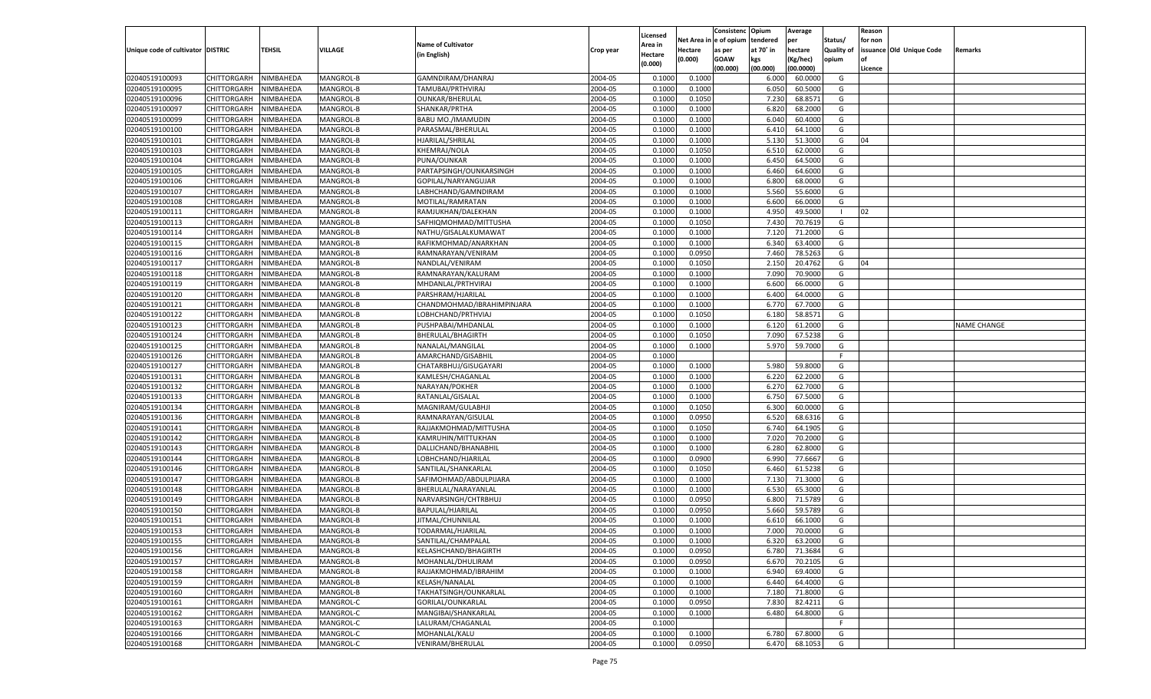|                                   |                       |               |                  |                            |           |                    |            | Consistenc Opium |           | Average   |                   | Reason  |                          |                    |
|-----------------------------------|-----------------------|---------------|------------------|----------------------------|-----------|--------------------|------------|------------------|-----------|-----------|-------------------|---------|--------------------------|--------------------|
|                                   |                       |               |                  | <b>Name of Cultivator</b>  |           | Licensed           | Net Area i | n e of opium     | tendered  | per       | Status/           | for non |                          |                    |
| Unique code of cultivator DISTRIC |                       | <b>TEHSIL</b> | VILLAGE          |                            | Crop year | \rea in            | Hectare    | as per           | at 70° in | hectare   | <b>Quality of</b> |         | issuance Old Unique Code | <b>Remarks</b>     |
|                                   |                       |               |                  | (in English)               |           | Hectare<br>(0.000) | (0.000)    | <b>GOAW</b>      | kgs       | (Kg/hec)  | opium             |         |                          |                    |
|                                   |                       |               |                  |                            |           |                    |            | (00.000)         | (00.000)  | (00.0000) |                   | Licence |                          |                    |
| 02040519100093                    | CHITTORGARH           | NIMBAHEDA     | MANGROL-B        | GAMNDIRAM/DHANRAJ          | 2004-05   | 0.1000             | 0.1000     |                  | 6.000     | 60.0000   | G                 |         |                          |                    |
| 02040519100095                    | CHITTORGARH           | NIMBAHEDA     | MANGROL-B        | TAMUBAI/PRTHVIRAJ          | 2004-05   | 0.1000             | 0.1000     |                  | 6.05      | 60.5000   | G                 |         |                          |                    |
| 02040519100096                    | CHITTORGARH           | NIMBAHEDA     | MANGROL-B        | <b>OUNKAR/BHERULAL</b>     | 2004-05   | 0.1000             | 0.1050     |                  | 7.230     | 68.8571   | G                 |         |                          |                    |
| 02040519100097                    | CHITTORGARH           | NIMBAHEDA     | MANGROL-B        | SHANKAR/PRTHA              | 2004-05   | 0.1000             | 0.1000     |                  | 6.82      | 68.2000   | G                 |         |                          |                    |
| 02040519100099                    | CHITTORGARH           | NIMBAHEDA     | MANGROL-B        | BABU MO./IMAMUDIN          | 2004-05   | 0.1000             | 0.1000     |                  | 6.040     | 60.4000   | G                 |         |                          |                    |
| 02040519100100                    | CHITTORGARH           | NIMBAHEDA     | MANGROL-B        | PARASMAL/BHERULAL          | 2004-05   | 0.1000             | 0.1000     |                  | 6.410     | 64.1000   | G                 |         |                          |                    |
| 02040519100101                    | CHITTORGARH           | NIMBAHEDA     | MANGROL-B        | HJARILAL/SHRILAL           | 2004-05   | 0.1000             | 0.1000     |                  | 5.13(     | 51.3000   | G                 | 04      |                          |                    |
| 02040519100103                    | CHITTORGARH           | NIMBAHEDA     | MANGROL-B        | KHEMRAJ/NOLA               | 2004-05   | 0.1000             | 0.1050     |                  | 6.510     | 62.0000   | G                 |         |                          |                    |
| 02040519100104                    | CHITTORGARH           | NIMBAHEDA     | MANGROL-B        | PUNA/OUNKAR                | 2004-05   | 0.1000             | 0.1000     |                  | 6.450     | 64.5000   | G                 |         |                          |                    |
| 02040519100105                    | CHITTORGARH           | NIMBAHEDA     | MANGROL-B        | PARTAPSINGH/OUNKARSINGH    | 2004-05   | 0.1000             | 0.1000     |                  | 6.460     | 64.6000   | G                 |         |                          |                    |
| 02040519100106                    | CHITTORGARH           | NIMBAHEDA     | MANGROL-B        | GOPILAL/NARYANGUJAR        | 2004-05   | 0.1000             | 0.1000     |                  | 6.800     | 68.0000   | G                 |         |                          |                    |
| 02040519100107                    | CHITTORGARH           | NIMBAHEDA     | MANGROL-B        | LABHCHAND/GAMNDIRAM        | 2004-05   | 0.1000             | 0.1000     |                  | 5.560     | 55.6000   | G                 |         |                          |                    |
| 02040519100108                    | CHITTORGARH           | NIMBAHEDA     | MANGROL-B        | MOTILAL/RAMRATAN           | 2004-05   | 0.1000             | 0.1000     |                  | 6.600     | 66.0000   | G                 |         |                          |                    |
| 02040519100111                    | CHITTORGARH           | NIMBAHEDA     | MANGROL-B        | RAMJUKHAN/DALEKHAN         | 2004-05   | 0.1000             | 0.1000     |                  | 4.950     | 49.5000   | - 1               | 02      |                          |                    |
| 02040519100113                    | CHITTORGARH           | NIMBAHEDA     | MANGROL-B        | SAFHIQMOHMAD/MITTUSHA      | 2004-05   | 0.1000             | 0.1050     |                  | 7.430     | 70.7619   | G                 |         |                          |                    |
| 02040519100114                    | CHITTORGARH           | NIMBAHEDA     | MANGROL-B        | NATHU/GISALALKUMAWAT       | 2004-05   | 0.1000             | 0.1000     |                  | 7.120     | 71.2000   | G                 |         |                          |                    |
| 02040519100115                    | CHITTORGARH           | NIMBAHEDA     | MANGROL-B        | RAFIKMOHMAD/ANARKHAN       | 2004-05   | 0.1000             | 0.1000     |                  | 6.340     | 63.4000   | G                 |         |                          |                    |
| 02040519100116                    | CHITTORGARH           | NIMBAHEDA     | MANGROL-B        | RAMNARAYAN/VENIRAM         | 2004-05   | 0.1000             | 0.0950     |                  | 7.460     | 78.5263   | G                 |         |                          |                    |
| 02040519100117                    | CHITTORGARH           | NIMBAHEDA     | MANGROL-B        | NANDLAL/VENIRAM            | 2004-05   | 0.1000             | 0.1050     |                  | 2.150     | 20.4762   | G                 | 04      |                          |                    |
| 02040519100118                    | CHITTORGARH           | NIMBAHEDA     | MANGROL-B        | RAMNARAYAN/KALURAM         | 2004-05   | 0.1000             | 0.1000     |                  | 7.090     | 70.9000   | G                 |         |                          |                    |
| 02040519100119                    | CHITTORGARH           | NIMBAHEDA     | MANGROL-B        | MHDANLAL/PRTHVIRAJ         | 2004-05   | 0.1000             | 0.1000     |                  | 6.600     | 66.0000   | G                 |         |                          |                    |
|                                   |                       |               |                  | PARSHRAM/HJARILAL          |           |                    |            |                  | 6.400     | 64.0000   | G                 |         |                          |                    |
| 02040519100120                    | CHITTORGARH           | NIMBAHEDA     | MANGROL-B        |                            | 2004-05   | 0.1000             | 0.1000     |                  |           |           |                   |         |                          |                    |
| 02040519100121                    | CHITTORGARH           | NIMBAHEDA     | MANGROL-B        | CHANDMOHMAD/IBRAHIMPINJARA | 2004-05   | 0.1000             | 0.1000     |                  | 6.770     | 67.7000   | G                 |         |                          |                    |
| 02040519100122                    | CHITTORGARH           | NIMBAHEDA     | MANGROL-B        | LOBHCHAND/PRTHVIAJ         | 2004-05   | 0.1000             | 0.1050     |                  | 6.180     | 58.8571   | G                 |         |                          |                    |
| 02040519100123                    | CHITTORGARH           | NIMBAHEDA     | MANGROL-B        | PUSHPABAI/MHDANLAL         | 2004-05   | 0.1000             | 0.1000     |                  | 6.120     | 61.2000   | G                 |         |                          | <b>NAME CHANGE</b> |
| 02040519100124                    | CHITTORGARH           | NIMBAHEDA     | MANGROL-B        | BHERULAL/BHAGIRTH          | 2004-05   | 0.1000             | 0.1050     |                  | 7.090     | 67.5238   | G                 |         |                          |                    |
| 02040519100125                    | CHITTORGARH           | NIMBAHEDA     | MANGROL-B        | NANALAL/MANGILAL           | 2004-05   | 0.1000             | 0.1000     |                  | 5.970     | 59.7000   | G                 |         |                          |                    |
| 02040519100126                    | CHITTORGARH           | NIMBAHEDA     | MANGROL-B        | AMARCHAND/GISABHIL         | 2004-05   | 0.1000             |            |                  |           |           | F.                |         |                          |                    |
| 02040519100127                    | CHITTORGARH           | NIMBAHEDA     | MANGROL-B        | CHATARBHUJ/GISUGAYARI      | 2004-05   | 0.1000             | 0.1000     |                  | 5.980     | 59.8000   | G                 |         |                          |                    |
| 02040519100131                    | CHITTORGARH           | NIMBAHEDA     | MANGROL-B        | KAMLESH/CHAGANLAL          | 2004-05   | 0.1000             | 0.1000     |                  | 6.220     | 62.2000   | G                 |         |                          |                    |
| 02040519100132                    | CHITTORGARH           | NIMBAHEDA     | MANGROL-B        | NARAYAN/POKHER             | 2004-05   | 0.1000             | 0.1000     |                  | 6.27      | 62.7000   | G                 |         |                          |                    |
| 02040519100133                    | CHITTORGARH           | NIMBAHEDA     | MANGROL-B        | RATANLAL/GISALAL           | 2004-05   | 0.1000             | 0.1000     |                  | 6.750     | 67.5000   | G                 |         |                          |                    |
| 02040519100134                    | CHITTORGARH           | NIMBAHEDA     | MANGROL-B        | MAGNIRAM/GULABHJI          | 2004-05   | 0.1000             | 0.1050     |                  | 6.300     | 60.0000   | G                 |         |                          |                    |
| 02040519100136                    | CHITTORGARH           | NIMBAHEDA     | MANGROL-B        | RAMNARAYAN/GISULAL         | 2004-05   | 0.1000             | 0.0950     |                  | 6.520     | 68.6316   | G                 |         |                          |                    |
| 02040519100141                    | CHITTORGARH           | NIMBAHEDA     | MANGROL-B        | RAJJAKMOHMAD/MITTUSHA      | 2004-05   | 0.1000             | 0.1050     |                  | 6.740     | 64.1905   | G                 |         |                          |                    |
| 02040519100142                    | CHITTORGARH           | NIMBAHEDA     | MANGROL-B        | KAMRUHIN/MITTUKHAN         | 2004-05   | 0.1000             | 0.1000     |                  | 7.020     | 70.2000   | G                 |         |                          |                    |
| 02040519100143                    | CHITTORGARH           | NIMBAHEDA     | MANGROL-B        | DALLICHAND/BHANABHIL       | 2004-05   | 0.1000             | 0.1000     |                  | 6.280     | 62.8000   | G                 |         |                          |                    |
| 02040519100144                    | CHITTORGARH           | NIMBAHEDA     | MANGROL-B        | LOBHCHAND/HJARILAL         | 2004-05   | 0.1000             | 0.0900     |                  | 6.990     | 77.6667   | G                 |         |                          |                    |
| 02040519100146                    | CHITTORGARH           | NIMBAHEDA     | MANGROL-B        | SANTILAL/SHANKARLAL        | 2004-05   | 0.1000             | 0.1050     |                  | 6.460     | 61.5238   | G                 |         |                          |                    |
| 02040519100147                    | CHITTORGARH           | NIMBAHEDA     | MANGROL-B        | SAFIMOHMAD/ABDULPIJARA     | 2004-05   | 0.1000             | 0.1000     |                  | 7.13(     | 71.3000   | G                 |         |                          |                    |
| 02040519100148                    | CHITTORGARH           | NIMBAHEDA     | MANGROL-B        | BHERULAL/NARAYANLAL        | 2004-05   | 0.1000             | 0.1000     |                  | 6.530     | 65.3000   | G                 |         |                          |                    |
| 02040519100149                    | CHITTORGARH           | NIMBAHEDA     | MANGROL-B        | NARVARSINGH/CHTRBHUJ       | 2004-05   | 0.1000             | 0.0950     |                  | 6.800     | 71.5789   | G                 |         |                          |                    |
| 02040519100150                    | CHITTORGARH           | NIMBAHEDA     | MANGROL-B        | BAPULAL/HJARILAL           | 2004-05   | 0.1000             | 0.0950     |                  | 5.660     | 59.5789   | G                 |         |                          |                    |
| 02040519100151                    | CHITTORGARH           | NIMBAHEDA     | MANGROL-B        | JITMAL/CHUNNILAL           | 2004-05   | 0.1000             | 0.1000     |                  | 6.610     | 66.1000   | G                 |         |                          |                    |
| 02040519100153                    | CHITTORGARH           | NIMBAHEDA     | MANGROL-B        | TODARMAL/HJARILAI          | 2004-05   | 0.1000             | 0.1000     |                  | 7.000     | 70.0000   | G                 |         |                          |                    |
| 02040519100155                    | CHITTORGARH NIMBAHEDA |               | <b>MANGROL-B</b> | SANTILAL/CHAMPALAL         | 2004-05   | 0.1000             | 0.1000     |                  | 6.320     | 63.2000   | G                 |         |                          |                    |
| 02040519100156                    | CHITTORGARH           | NIMBAHEDA     | MANGROL-B        | KELASHCHAND/BHAGIRTH       | 2004-05   | 0.1000             | 0.0950     |                  | 6.780     | 71.3684   | G                 |         |                          |                    |
| 02040519100157                    | CHITTORGARH           | NIMBAHEDA     | MANGROL-B        | MOHANLAL/DHULIRAM          | 2004-05   | 0.1000             | 0.0950     |                  | 6.670     | 70.2105   | G                 |         |                          |                    |
| 02040519100158                    | <b>CHITTORGARH</b>    | NIMBAHEDA     | MANGROL-B        | RAJJAKMOHMAD/IBRAHIM       | 2004-05   | 0.1000             | 0.1000     |                  | 6.940     | 69.4000   | G                 |         |                          |                    |
| 02040519100159                    | <b>CHITTORGARH</b>    | NIMBAHEDA     | MANGROL-B        | KELASH/NANALAL             | 2004-05   | 0.1000             | 0.1000     |                  | 6.440     | 64.4000   | G                 |         |                          |                    |
| 02040519100160                    | CHITTORGARH           | NIMBAHEDA     | MANGROL-B        | TAKHATSINGH/OUNKARLAL      | 2004-05   | 0.1000             | 0.1000     |                  | 7.180     | 71.8000   | G                 |         |                          |                    |
| 02040519100161                    | CHITTORGARH           | NIMBAHEDA     | MANGROL-C        | GORILAL/OUNKARLAL          | 2004-05   | 0.1000             | 0.0950     |                  | 7.830     | 82.4211   | G                 |         |                          |                    |
| 02040519100162                    | <b>CHITTORGARH</b>    | NIMBAHEDA     | MANGROL-C        | MANGIBAI/SHANKARLAL        | 2004-05   | 0.1000             | 0.1000     |                  | 6.480     | 64.8000   | G                 |         |                          |                    |
| 02040519100163                    | CHITTORGARH           | NIMBAHEDA     | MANGROL-C        | LALURAM/CHAGANLAL          | 2004-05   | 0.1000             |            |                  |           |           | F.                |         |                          |                    |
| 02040519100166                    | CHITTORGARH           | NIMBAHEDA     | MANGROL-C        | MOHANLAL/KALU              | 2004-05   | 0.1000             | 0.1000     |                  | 6.780     | 67.8000   | G                 |         |                          |                    |
| 02040519100168                    | CHITTORGARH           | NIMBAHEDA     | MANGROL-C        | VENIRAM/BHERULAL           | 2004-05   | 0.1000             | 0.0950     |                  | 6.470     | 68.1053   | G                 |         |                          |                    |
|                                   |                       |               |                  |                            |           |                    |            |                  |           |           |                   |         |                          |                    |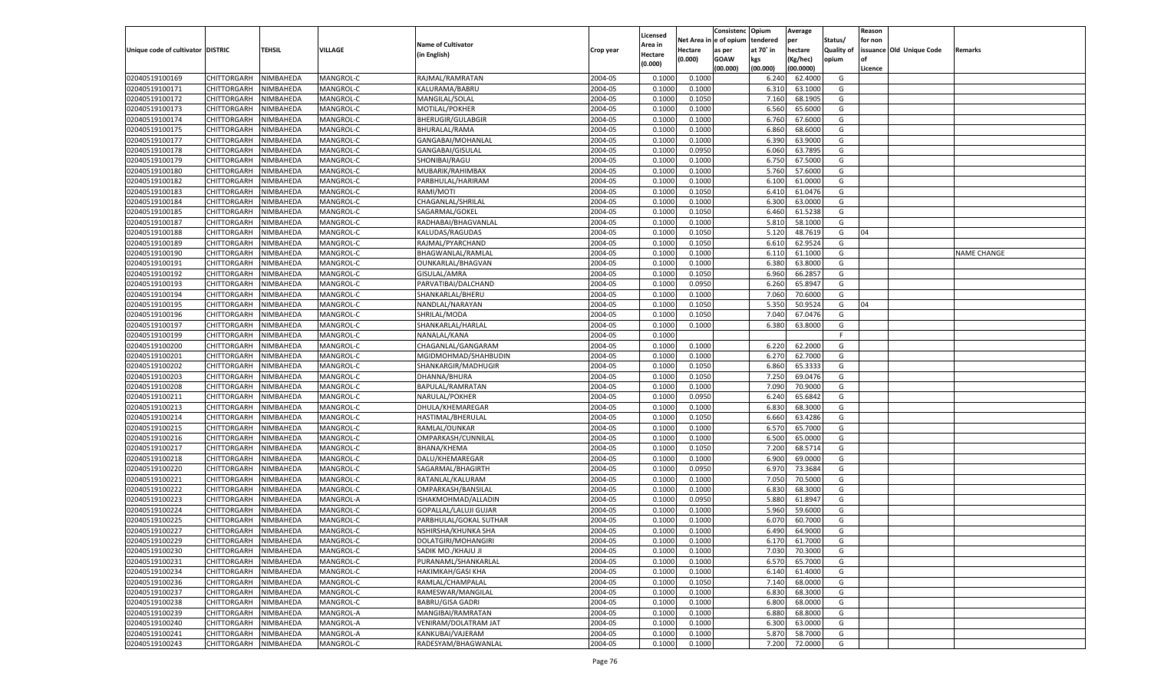|                                   |                       |               |           |                              |           |                           |          | Consistenc  | Opium          | Average   |                   | Reason  |                          |                    |
|-----------------------------------|-----------------------|---------------|-----------|------------------------------|-----------|---------------------------|----------|-------------|----------------|-----------|-------------------|---------|--------------------------|--------------------|
|                                   |                       |               |           | <b>Name of Cultivator</b>    |           | Licensed                  | Net Area | e of opium  | tendered       | per       | Status/           | for non |                          |                    |
| Unique code of cultivator DISTRIC |                       | <b>TEHSIL</b> | VILLAGE   | (in English)                 | Crop year | <b>Area in</b><br>Hectare | Hectare  | as per      | at 70° in      | hectare   | <b>Quality of</b> |         | issuance Old Unique Code | Remarks            |
|                                   |                       |               |           |                              |           | (0.000)                   | (0.000)  | <b>GOAW</b> | kgs            | (Kg/hec)  | opium             |         |                          |                    |
|                                   |                       |               |           |                              |           |                           |          | (00.000)    | (00.000)       | (00.0000) |                   | Licence |                          |                    |
| 02040519100169                    | CHITTORGARH           | NIMBAHEDA     | MANGROL-C | RAJMAL/RAMRATAN              | 2004-05   | 0.1000                    | 0.1000   |             | 6.240          | 62.4000   | G                 |         |                          |                    |
| 02040519100171                    | CHITTORGARH           | NIMBAHEDA     | MANGROL-C | KALURAMA/BABRU               | 2004-05   | 0.1000                    | 0.1000   |             | 6.310          | 63.1000   | G                 |         |                          |                    |
| 02040519100172                    | CHITTORGARH           | NIMBAHEDA     | MANGROL-C | MANGILAL/SOLAL               | 2004-05   | 0.1000                    | 0.1050   |             | 7.160          | 68.1905   | G                 |         |                          |                    |
| 02040519100173                    | CHITTORGARH           | NIMBAHEDA     | MANGROL-C | MOTILAL/POKHER               | 2004-05   | 0.1000                    | 0.1000   |             | 6.560          | 65.6000   | G                 |         |                          |                    |
| 02040519100174                    | CHITTORGARH           | NIMBAHEDA     | MANGROL-C | <b>BHERUGIR/GULABGIR</b>     | 2004-05   | 0.1000                    | 0.1000   |             | 6.760          | 67.6000   | G                 |         |                          |                    |
| 02040519100175                    | CHITTORGARH           | NIMBAHEDA     | MANGROL-C | BHURALAL/RAMA                | 2004-05   | 0.1000                    | 0.1000   |             | 6.860          | 68.6000   | G                 |         |                          |                    |
| 02040519100177                    | CHITTORGARH           | NIMBAHEDA     | MANGROL-C | GANGABAI/MOHANLAL            | 2004-05   | 0.1000                    | 0.1000   |             | 6.390          | 63.9000   | G                 |         |                          |                    |
| 02040519100178                    | CHITTORGARH           | NIMBAHEDA     | MANGROL-C | GANGABAI/GISULAL             | 2004-05   | 0.1000                    | 0.0950   |             | 6.060          | 63.7895   | G                 |         |                          |                    |
| 02040519100179                    | CHITTORGARH           | NIMBAHEDA     | MANGROL-C | SHONIBAI/RAGU                | 2004-05   | 0.1000                    | 0.1000   |             | 6.750          | 67.5000   | G                 |         |                          |                    |
| 02040519100180                    | CHITTORGARH           | NIMBAHEDA     | MANGROL-C | MUBARIK/RAHIMBAX             | 2004-05   | 0.1000                    | 0.1000   |             | 5.760          | 57.6000   | G                 |         |                          |                    |
| 02040519100182                    | CHITTORGARH           | NIMBAHEDA     | MANGROL-C | PARBHULAL/HARIRAM            | 2004-05   | 0.1000                    | 0.1000   |             | 6.100          | 61.0000   | G                 |         |                          |                    |
| 02040519100183                    | CHITTORGARH           | NIMBAHEDA     | MANGROL-C | RAMI/MOTI                    | 2004-05   | 0.1000                    | 0.1050   |             | 6.41           | 61.0476   | G                 |         |                          |                    |
| 02040519100184                    | CHITTORGARH           | NIMBAHEDA     | MANGROL-C | CHAGANLAL/SHRILAL            | 2004-05   | 0.1000                    | 0.1000   |             | 6.300          | 63.0000   | G                 |         |                          |                    |
| 02040519100185                    | CHITTORGARH           | NIMBAHEDA     | MANGROL-C | SAGARMAL/GOKEL               | 2004-05   | 0.1000                    | 0.1050   |             | 6.460          | 61.5238   | G                 |         |                          |                    |
| 02040519100187                    | CHITTORGARH           | NIMBAHEDA     | MANGROL-C | RADHABAI/BHAGVANLAL          | 2004-05   | 0.1000                    | 0.1000   |             | 5.810          | 58.1000   | G                 |         |                          |                    |
| 02040519100188                    | CHITTORGARH           | NIMBAHEDA     | MANGROL-C | KALUDAS/RAGUDAS              | 2004-05   | 0.1000                    | 0.1050   |             | 5.120          | 48.7619   | G                 | 04      |                          |                    |
| 02040519100189                    | CHITTORGARH           | NIMBAHEDA     | MANGROL-C | RAJMAL/PYARCHAND             | 2004-05   | 0.1000                    | 0.1050   |             | 6.610          | 62.9524   | G                 |         |                          |                    |
| 02040519100190                    | CHITTORGARH           | NIMBAHEDA     | MANGROL-C | BHAGWANLAL/RAMLAI            | 2004-05   | 0.1000                    | 0.1000   |             | 6.110          | 61.1000   | G                 |         |                          | <b>NAME CHANGE</b> |
| 02040519100191                    | CHITTORGARH           | NIMBAHEDA     | MANGROL-C | OUNKARLAL/BHAGVAN            | 2004-05   | 0.1000                    | 0.1000   |             | 6.380          | 63.8000   | G                 |         |                          |                    |
| 02040519100192                    | CHITTORGARH           | NIMBAHEDA     | MANGROL-C | GISULAL/AMRA                 | 2004-05   | 0.1000                    | 0.1050   |             | 6.960          | 66.2857   | G                 |         |                          |                    |
| 02040519100193                    | CHITTORGARH           | NIMBAHEDA     | MANGROL-C | PARVATIBAI/DALCHAND          | 2004-05   | 0.1000                    | 0.0950   |             | 6.260          | 65.8947   | G                 |         |                          |                    |
| 02040519100194                    | CHITTORGARH           | NIMBAHEDA     | MANGROL-C | SHANKARLAL/BHERU             | 2004-05   | 0.1000                    | 0.1000   |             | 7.060          | 70.6000   | G                 |         |                          |                    |
| 02040519100195                    | CHITTORGARH           | NIMBAHEDA     | MANGROL-C | NANDLAL/NARAYAN              | 2004-05   | 0.1000                    | 0.1050   |             | 5.350          | 50.9524   | G                 | 04      |                          |                    |
| 02040519100196                    | CHITTORGARH           | NIMBAHEDA     | MANGROL-C | SHRILAL/MODA                 | 2004-05   | 0.1000                    | 0.1050   |             | 7.040          | 67.0476   | G                 |         |                          |                    |
| 02040519100197                    | CHITTORGARH           | NIMBAHEDA     | MANGROL-C | SHANKARLAL/HARLAL            | 2004-05   | 0.1000                    | 0.1000   |             | 6.380          | 63.8000   | G                 |         |                          |                    |
| 02040519100199                    | CHITTORGARH           | NIMBAHEDA     | MANGROL-C | NANALAL/KANA                 | 2004-05   | 0.1000                    |          |             |                |           | F.                |         |                          |                    |
| 02040519100200                    | CHITTORGARH           | NIMBAHEDA     | MANGROL-C | CHAGANLAL/GANGARAM           | 2004-05   | 0.1000                    | 0.1000   |             | 6.220          | 62.2000   | G                 |         |                          |                    |
| 02040519100201                    | CHITTORGARH           | NIMBAHEDA     | MANGROL-C | MGIDMOHMAD/SHAHBUDIN         | 2004-05   | 0.1000                    | 0.1000   |             | 6.270          | 62.7000   | G                 |         |                          |                    |
| 02040519100202                    | CHITTORGARH           | NIMBAHEDA     | MANGROL-C | SHANKARGIR/MADHUGIR          | 2004-05   | 0.1000                    | 0.1050   |             | 6.860          | 65.3333   | G                 |         |                          |                    |
| 02040519100203                    | CHITTORGARH           | NIMBAHEDA     | MANGROL-C | DHANNA/BHURA                 | 2004-05   | 0.1000                    | 0.1050   |             | 7.250          | 69.0476   | G                 |         |                          |                    |
| 02040519100208                    | CHITTORGARH           | NIMBAHEDA     | MANGROL-C | BAPULAL/RAMRATAN             | 2004-05   | 0.1000                    | 0.1000   |             | 7.090          | 70.9000   | G                 |         |                          |                    |
| 02040519100211                    | CHITTORGARH           | NIMBAHEDA     | MANGROL-C | NARULAL/POKHER               | 2004-05   | 0.1000                    | 0.0950   |             | 6.240          | 65.6842   | G                 |         |                          |                    |
| 02040519100213                    | CHITTORGARH           | NIMBAHEDA     | MANGROL-C | DHULA/KHEMAREGAR             | 2004-05   | 0.1000                    | 0.1000   |             | 6.83           | 68.3000   | G                 |         |                          |                    |
| 02040519100214                    | CHITTORGARH           | NIMBAHEDA     | MANGROL-C | HASTIMAL/BHERULAL            | 2004-05   | 0.1000                    | 0.1050   |             | 6.660          | 63.4286   | G                 |         |                          |                    |
| 02040519100215                    |                       | NIMBAHEDA     | MANGROL-C | RAMLAL/OUNKAR                | 2004-05   | 0.1000                    | 0.1000   |             |                | 65.7000   | G                 |         |                          |                    |
| 02040519100216                    | CHITTORGARH           |               | MANGROL-C | OMPARKASH/CUNNILAL           | 2004-05   | 0.1000                    |          |             | 6.570<br>6.500 | 65.0000   | G                 |         |                          |                    |
|                                   | CHITTORGARH           | NIMBAHEDA     |           |                              |           |                           | 0.1000   |             |                | 68.5714   |                   |         |                          |                    |
| 02040519100217                    | CHITTORGARH           | NIMBAHEDA     | MANGROL-C | BHANA/KHEMA                  | 2004-05   | 0.1000                    | 0.1050   |             | 7.200          |           | G                 |         |                          |                    |
| 02040519100218                    | CHITTORGARH           | NIMBAHEDA     | MANGROL-C | DALU/KHEMAREGAR              | 2004-05   | 0.1000                    | 0.1000   |             | 6.900          | 69.0000   | G                 |         |                          |                    |
| 02040519100220                    | CHITTORGARH           | NIMBAHEDA     | MANGROL-C | SAGARMAL/BHAGIRTH            | 2004-05   | 0.1000                    | 0.0950   |             | 6.970          | 73.3684   | G                 |         |                          |                    |
| 02040519100221                    | CHITTORGARH           | NIMBAHEDA     | MANGROL-C | RATANLAL/KALURAM             | 2004-05   | 0.1000                    | 0.1000   |             | 7.050          | 70.5000   | G                 |         |                          |                    |
| 02040519100222                    | CHITTORGARH           | NIMBAHEDA     | MANGROL-C | OMPARKASH/BANSILAL           | 2004-05   | 0.1000                    | 0.1000   |             | 6.83           | 68.3000   | G                 |         |                          |                    |
| 02040519100223                    | CHITTORGARH           | NIMBAHEDA     | MANGROL-A | ISHAKMOHMAD/ALLADIN          | 2004-05   | 0.1000                    | 0.0950   |             | 5.880          | 61.8947   | G                 |         |                          |                    |
| 02040519100224                    | CHITTORGARH           | NIMBAHEDA     | MANGROL-C | <b>GOPALLAL/LALUJI GUJAR</b> | 2004-05   | 0.1000                    | 0.1000   |             | 5.960          | 59.6000   | G                 |         |                          |                    |
| 02040519100225                    | CHITTORGARH           | NIMBAHEDA     | MANGROL-C | PARBHULAL/GOKAL SUTHAR       | 2004-05   | 0.1000                    | 0.1000   |             | 6.07           | 60.7000   | G                 |         |                          |                    |
| 02040519100227                    | CHITTORGARH           | NIMBAHEDA     | MANGROL-C | NSHIRSHA/KHUNKA SHA          | 2004-05   | 0.1000                    | 0.1000   |             | 6.490          | 64.9000   | G                 |         |                          |                    |
| 02040519100229                    | CHITTORGARH NIMBAHEDA |               | MANGROL-C | DOLATGIRI/MOHANGIRI          | 2004-05   | 0.1000                    | 0.1000   |             | 6.170          | 61.7000   | G                 |         |                          |                    |
| 02040519100230                    | <b>CHITTORGARH</b>    | NIMBAHEDA     | MANGROL-C | SADIK MO./KHAJU JI           | 2004-05   | 0.1000                    | 0.1000   |             | 7.030          | 70.3000   | G                 |         |                          |                    |
| 02040519100231                    | <b>CHITTORGARH</b>    | NIMBAHEDA     | MANGROL-C | PURANAML/SHANKARLAL          | 2004-05   | 0.1000                    | 0.1000   |             | 6.570          | 65.7000   | G                 |         |                          |                    |
| 02040519100234                    | <b>CHITTORGARH</b>    | NIMBAHEDA     | MANGROL-C | HAKIMKAH/GASI KHA            | 2004-05   | 0.1000                    | 0.1000   |             | 6.140          | 61.4000   | G                 |         |                          |                    |
| 02040519100236                    | <b>CHITTORGARH</b>    | NIMBAHEDA     | MANGROL-C | RAMLAL/CHAMPALAL             | 2004-05   | 0.1000                    | 0.1050   |             | 7.140          | 68.0000   | G                 |         |                          |                    |
| 02040519100237                    | <b>CHITTORGARH</b>    | NIMBAHEDA     | MANGROL-C | RAMESWAR/MANGILAL            | 2004-05   | 0.1000                    | 0.1000   |             | 6.830          | 68.3000   | G                 |         |                          |                    |
| 02040519100238                    | <b>CHITTORGARH</b>    | NIMBAHEDA     | MANGROL-C | <b>BABRU/GISA GADRI</b>      | 2004-05   | 0.1000                    | 0.1000   |             | 6.800          | 68.0000   | G                 |         |                          |                    |
| 02040519100239                    | <b>CHITTORGARH</b>    | NIMBAHEDA     | MANGROL-A | MANGIBAI/RAMRATAN            | 2004-05   | 0.1000                    | 0.1000   |             | 6.880          | 68.8000   | G                 |         |                          |                    |
| 02040519100240                    | <b>CHITTORGARH</b>    | NIMBAHEDA     | MANGROL-A | VENIRAM/DOLATRAM JAT         | 2004-05   | 0.1000                    | 0.1000   |             | 6.300          | 63.0000   | G                 |         |                          |                    |
| 02040519100241                    | <b>CHITTORGARH</b>    | NIMBAHEDA     | MANGROL-A | KANKUBAI/VAJERAM             | 2004-05   | 0.1000                    | 0.1000   |             | 5.870          | 58.7000   | G                 |         |                          |                    |
| 02040519100243                    | <b>CHITTORGARH</b>    | NIMBAHEDA     | MANGROL-C | RADESYAM/BHAGWANLAL          | 2004-05   | 0.1000                    | 0.1000   |             | 7.200          | 72.0000   | G                 |         |                          |                    |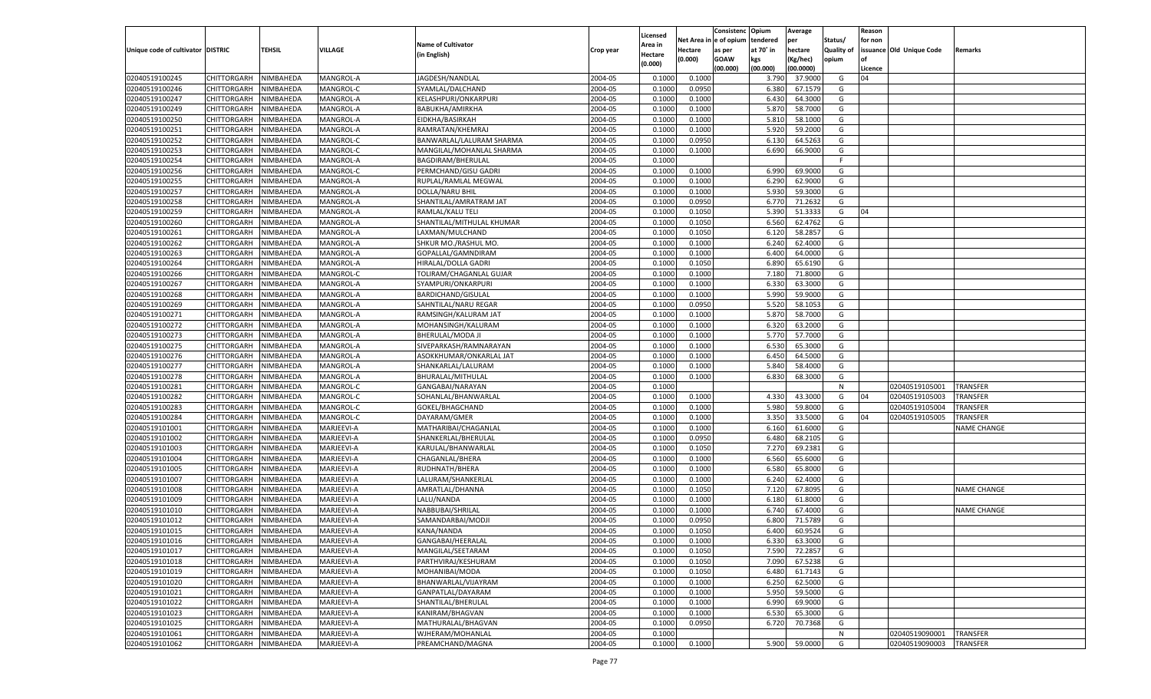|                                   |                    |               |                  |                           |           | Licensed |         | Consistenc Opium       |           | Average   |                   | Reason  |                          |                    |
|-----------------------------------|--------------------|---------------|------------------|---------------------------|-----------|----------|---------|------------------------|-----------|-----------|-------------------|---------|--------------------------|--------------------|
|                                   |                    |               |                  | <b>Name of Cultivator</b> |           | Area in  |         | Net Area in e of opium | tendered  | per       | Status/           | for non |                          |                    |
| Unique code of cultivator DISTRIC |                    | <b>TEHSIL</b> | <b>VILLAGE</b>   | (in English)              | Crop year | Hectare  | Hectare | as per                 | at 70° in | hectare   | <b>Quality of</b> |         | issuance Old Unique Code | <b>Remarks</b>     |
|                                   |                    |               |                  |                           |           | (0.000)  | (0.000) | <b>GOAW</b>            | kgs       | (Kg/hec)  | opium             |         |                          |                    |
|                                   |                    |               |                  |                           |           |          |         | (00.000)               | (00.000)  | (00.0000) |                   | Licence |                          |                    |
| 02040519100245                    | CHITTORGARH        | NIMBAHEDA     | <b>MANGROL-A</b> | JAGDESH/NANDLAL           | 2004-05   | 0.1000   | 0.1000  |                        | 3.790     | 37.9000   | G                 | 04      |                          |                    |
| 02040519100246                    | CHITTORGARH        | NIMBAHEDA     | MANGROL-C        | SYAMLAL/DALCHAND          | 2004-05   | 0.1000   | 0.0950  |                        | 6.380     | 67.1579   | G                 |         |                          |                    |
| 02040519100247                    | CHITTORGARH        | NIMBAHEDA     | MANGROL-A        | KELASHPURI/ONKARPURI      | 2004-05   | 0.1000   | 0.1000  |                        | 6.430     | 64.3000   | G                 |         |                          |                    |
| 02040519100249                    | CHITTORGARH        | NIMBAHEDA     | MANGROL-A        | BABUKHA/AMIRKHA           | 2004-05   | 0.1000   | 0.1000  |                        | 5.870     | 58.7000   | G                 |         |                          |                    |
| 02040519100250                    | CHITTORGARH        | NIMBAHEDA     | MANGROL-A        | EIDKHA/BASIRKAH           | 2004-05   | 0.1000   | 0.1000  |                        | 5.810     | 58.1000   | G                 |         |                          |                    |
| 02040519100251                    | CHITTORGARH        | NIMBAHEDA     | MANGROL-A        | RAMRATAN/KHEMRAJ          | 2004-05   | 0.1000   | 0.1000  |                        | 5.920     | 59.2000   | G                 |         |                          |                    |
| 02040519100252                    | CHITTORGARH        | NIMBAHEDA     | MANGROL-C        | BANWARLAL/LALURAM SHARMA  | 2004-05   | 0.1000   | 0.0950  |                        | 6.130     | 64.5263   | G                 |         |                          |                    |
| 02040519100253                    | CHITTORGARH        | NIMBAHEDA     | MANGROL-C        | MANGILAL/MOHANLAL SHARMA  | 2004-05   | 0.1000   | 0.1000  |                        | 6.690     | 66.9000   | G                 |         |                          |                    |
| 02040519100254                    | CHITTORGARH        | NIMBAHEDA     | <b>MANGROL-A</b> | BAGDIRAM/BHERULAL         | 2004-05   | 0.1000   |         |                        |           |           | F.                |         |                          |                    |
| 02040519100256                    | CHITTORGARH        | NIMBAHEDA     | MANGROL-C        | PERMCHAND/GISU GADRI      | 2004-05   | 0.1000   | 0.1000  |                        | 6.990     | 69.9000   | G                 |         |                          |                    |
| 02040519100255                    | CHITTORGARH        | NIMBAHEDA     | MANGROL-A        | RUPLAL/RAMLAL MEGWAL      | 2004-05   | 0.1000   | 0.1000  |                        | 6.290     | 62.9000   | G                 |         |                          |                    |
| 02040519100257                    | CHITTORGARH        | NIMBAHEDA     | MANGROL-A        | DOLLA/NARU BHIL           | 2004-05   | 0.1000   | 0.1000  |                        | 5.930     | 59.3000   | G                 |         |                          |                    |
| 02040519100258                    | CHITTORGARH        | NIMBAHEDA     | <b>MANGROL-A</b> | SHANTILAL/AMRATRAM JAT    | 2004-05   | 0.1000   | 0.0950  |                        | 6.770     | 71.2632   | G                 |         |                          |                    |
| 02040519100259                    | CHITTORGARH        | NIMBAHEDA     | MANGROL-A        | RAMLAL/KALU TELI          | 2004-05   | 0.1000   | 0.1050  |                        | 5.390     | 51.3333   | G                 | 04      |                          |                    |
| 02040519100260                    | CHITTORGARH        | NIMBAHEDA     | MANGROL-A        | SHANTILAL/MITHULAL KHUMAR | 2004-05   | 0.1000   | 0.1050  |                        | 6.560     | 62.4762   | G                 |         |                          |                    |
| 02040519100261                    | CHITTORGARH        | NIMBAHEDA     | MANGROL-A        | LAXMAN/MULCHAND           | 2004-05   | 0.1000   | 0.1050  |                        | 6.120     | 58.2857   | G                 |         |                          |                    |
| 02040519100262                    | CHITTORGARH        | NIMBAHEDA     | MANGROL-A        | SHKUR MO./RASHUL MO.      | 2004-05   | 0.1000   | 0.1000  |                        | 6.240     | 62.4000   | G                 |         |                          |                    |
|                                   |                    |               |                  |                           | 2004-05   | 0.1000   |         |                        | 6.400     | 64.0000   | G                 |         |                          |                    |
| 02040519100263<br>02040519100264  | CHITTORGARH        | NIMBAHEDA     | MANGROL-A        | GOPALLAL/GAMNDIRAM        |           |          | 0.1000  |                        |           |           |                   |         |                          |                    |
|                                   | CHITTORGARH        | NIMBAHEDA     | MANGROL-A        | HIRALAL/DOLLA GADRI       | 2004-05   | 0.1000   | 0.1050  |                        | 6.890     | 65.6190   | G                 |         |                          |                    |
| 02040519100266                    | CHITTORGARH        | NIMBAHEDA     | MANGROL-C        | TOLIRAM/CHAGANLAL GUJAR   | 2004-05   | 0.1000   | 0.1000  |                        | 7.180     | 71.8000   | G                 |         |                          |                    |
| 02040519100267                    | CHITTORGARH        | NIMBAHEDA     | MANGROL-A        | SYAMPURI/ONKARPURI        | 2004-05   | 0.1000   | 0.1000  |                        | 6.330     | 63.3000   | G                 |         |                          |                    |
| 02040519100268                    | CHITTORGARH        | NIMBAHEDA     | MANGROL-A        | <b>BARDICHAND/GISULAL</b> | 2004-05   | 0.1000   | 0.1000  |                        | 5.990     | 59.9000   | G                 |         |                          |                    |
| 02040519100269                    | CHITTORGARH        | NIMBAHEDA     | MANGROL-A        | SAHNTILAL/NARU REGAR      | 2004-05   | 0.1000   | 0.0950  |                        | 5.520     | 58.1053   | G                 |         |                          |                    |
| 02040519100271                    | CHITTORGARH        | NIMBAHEDA     | MANGROL-A        | RAMSINGH/KALURAM JAT      | 2004-05   | 0.1000   | 0.1000  |                        | 5.870     | 58.7000   | G                 |         |                          |                    |
| 02040519100272                    | CHITTORGARH        | NIMBAHEDA     | MANGROL-A        | MOHANSINGH/KALURAM        | 2004-05   | 0.1000   | 0.1000  |                        | 6.320     | 63.2000   | G                 |         |                          |                    |
| 02040519100273                    | CHITTORGARH        | NIMBAHEDA     | MANGROL-A        | BHERULAL/MODA JI          | 2004-05   | 0.1000   | 0.1000  |                        | 5.770     | 57.7000   | G                 |         |                          |                    |
| 02040519100275                    | CHITTORGARH        | NIMBAHEDA     | MANGROL-A        | SIVEPARKASH/RAMNARAYAN    | 2004-05   | 0.1000   | 0.1000  |                        | 6.530     | 65.3000   | G                 |         |                          |                    |
| 02040519100276                    | CHITTORGARH        | NIMBAHEDA     | MANGROL-A        | ASOKKHUMAR/ONKARLAL JAT   | 2004-05   | 0.1000   | 0.1000  |                        | 6.450     | 64.5000   | G                 |         |                          |                    |
| 02040519100277                    | CHITTORGARH        | NIMBAHEDA     | MANGROL-A        | SHANKARLAL/LALURAM        | 2004-05   | 0.1000   | 0.1000  |                        | 5.840     | 58.4000   | G                 |         |                          |                    |
| 02040519100278                    | CHITTORGARH        | NIMBAHEDA     | MANGROL-A        | BHURALAL/MITHULAL         | 2004-05   | 0.1000   | 0.1000  |                        | 6.830     | 68.3000   | G                 |         |                          |                    |
| 02040519100281                    | CHITTORGARH        | NIMBAHEDA     | MANGROL-C        | GANGABAI/NARAYAN          | 2004-05   | 0.1000   |         |                        |           |           | N                 |         | 02040519105001           | TRANSFER           |
| 02040519100282                    | CHITTORGARH        | NIMBAHEDA     | MANGROL-C        | SOHANLAL/BHANWARLAL       | 2004-05   | 0.1000   | 0.1000  |                        | 4.330     | 43.3000   | G                 | 04      | 02040519105003           | TRANSFER           |
| 02040519100283                    | CHITTORGARH        | NIMBAHEDA     | MANGROL-C        | GOKEL/BHAGCHAND           | 2004-05   | 0.1000   | 0.1000  |                        | 5.980     | 59.8000   | G                 |         | 02040519105004           | TRANSFER           |
| 02040519100284                    | CHITTORGARH        | NIMBAHEDA     | MANGROL-C        | DAYARAM/GMER              | 2004-05   | 0.1000   | 0.1000  |                        | 3.350     | 33.5000   | G                 | 04      | 02040519105005           | TRANSFER           |
| 02040519101001                    | CHITTORGARH        | NIMBAHEDA     | MARJEEVI-A       | MATHARIBAI/CHAGANLAL      | 2004-05   | 0.1000   | 0.1000  |                        | 6.160     | 61.6000   | G                 |         |                          | NAME CHANGE        |
| 02040519101002                    | CHITTORGARH        | NIMBAHEDA     | MARJEEVI-A       | SHANKERLAL/BHERULAL       | 2004-05   | 0.1000   | 0.0950  |                        | 6.480     | 68.2105   | G                 |         |                          |                    |
| 02040519101003                    | CHITTORGARH        | NIMBAHEDA     | MARJEEVI-A       | KARULAL/BHANWARLAL        | 2004-05   | 0.1000   | 0.1050  |                        | 7.27      | 69.2381   | G                 |         |                          |                    |
| 02040519101004                    | CHITTORGARH        | NIMBAHEDA     | MARJEEVI-A       | CHAGANLAL/BHERA           | 2004-05   | 0.1000   | 0.1000  |                        | 6.560     | 65.6000   | G                 |         |                          |                    |
| 02040519101005                    | CHITTORGARH        | NIMBAHEDA     | MARJEEVI-A       | RUDHNATH/BHERA            | 2004-05   | 0.1000   | 0.1000  |                        | 6.580     | 65.8000   | G                 |         |                          |                    |
| 02040519101007                    | CHITTORGARH        | NIMBAHEDA     | MARJEEVI-A       | LALURAM/SHANKERLAL        | 2004-05   | 0.1000   | 0.1000  |                        | 6.240     | 62.4000   | G                 |         |                          |                    |
| 02040519101008                    | CHITTORGARH        | NIMBAHEDA     | MARJEEVI-A       | AMRATLAL/DHANNA           | 2004-05   | 0.1000   | 0.1050  |                        | 7.120     | 67.8095   | G                 |         |                          | <b>NAME CHANGE</b> |
| 02040519101009                    | CHITTORGARH        | NIMBAHEDA     | MARJEEVI-A       | LALU/NANDA                | 2004-05   | 0.1000   | 0.1000  |                        | 6.180     | 61.8000   | G                 |         |                          |                    |
| 02040519101010                    | CHITTORGARH        | NIMBAHEDA     | MARJEEVI-A       | NABBUBAI/SHRILAL          | 2004-05   | 0.1000   | 0.1000  |                        | 6.740     | 67.4000   | G                 |         |                          | <b>NAME CHANGE</b> |
| 02040519101012                    | CHITTORGARH        | NIMBAHEDA     | MARJEEVI-A       | SAMANDARBAI/MODJI         | 2004-05   | 0.1000   | 0.0950  |                        | 6.800     | 71.5789   | G                 |         |                          |                    |
| 02040519101015                    | CHITTORGARH        | NIMBAHEDA     | MARJEEVI-A       | KANA/NANDA                | 2004-05   | 0.1000   | 0.1050  |                        | 6.400     | 60.9524   | G                 |         |                          |                    |
| 02040519101016                    | CHITTORGARH        | NIMBAHEDA     | MARJEEVI-A       | GANGABAI/HEERALAL         | 2004-05   | 0.1000   | 0.1000  |                        | 6.330     | 63.3000   | G                 |         |                          |                    |
| 02040519101017                    | <b>CHITTORGARH</b> | NIMBAHEDA     | MARJEEVI-A       | MANGILAL/SEETARAM         | 2004-05   | 0.1000   | 0.1050  |                        | 7.590     | 72.2857   | G                 |         |                          |                    |
| 02040519101018                    | <b>CHITTORGARH</b> | NIMBAHEDA     | MARJEEVI-A       | PARTHVIRAJ/KESHURAM       | 2004-05   | 0.1000   | 0.1050  |                        | 7.090     | 67.5238   | G                 |         |                          |                    |
| 02040519101019                    | <b>CHITTORGARH</b> | NIMBAHEDA     | MARJEEVI-A       | MOHANIBAI/MODA            | 2004-05   | 0.1000   | 0.1050  |                        | 6.480     | 61.7143   | G                 |         |                          |                    |
| 02040519101020                    |                    | NIMBAHEDA     | MARJEEVI-A       |                           |           |          |         |                        |           |           | G                 |         |                          |                    |
|                                   | <b>CHITTORGARH</b> |               |                  | BHANWARLAL/VIJAYRAM       | 2004-05   | 0.1000   | 0.1000  |                        | 6.250     | 62.5000   |                   |         |                          |                    |
| 02040519101021                    | <b>CHITTORGARH</b> | NIMBAHEDA     | MARJEEVI-A       | GANPATLAL/DAYARAM         | 2004-05   | 0.1000   | 0.1000  |                        | 5.950     | 59.5000   | G                 |         |                          |                    |
| 02040519101022                    | <b>CHITTORGARH</b> | NIMBAHEDA     | MARJEEVI-A       | SHANTILAL/BHERULAL        | 2004-05   | 0.1000   | 0.1000  |                        | 6.990     | 69.9000   | G                 |         |                          |                    |
| 02040519101023                    | <b>CHITTORGARH</b> | NIMBAHEDA     | MARJEEVI-A       | KANIRAM/BHAGVAN           | 2004-05   | 0.1000   | 0.1000  |                        | 6.530     | 65.3000   | G                 |         |                          |                    |
| 02040519101025                    | <b>CHITTORGARH</b> | NIMBAHEDA     | MARJEEVI-A       | MATHURALAL/BHAGVAN        | 2004-05   | 0.1000   | 0.0950  |                        | 6.720     | 70.7368   | G                 |         |                          |                    |
| 02040519101061                    | <b>CHITTORGARH</b> | NIMBAHEDA     | MARJEEVI-A       | WJHERAM/MOHANLAL          | 2004-05   | 0.1000   |         |                        |           |           | N                 |         | 02040519090001           | <b>TRANSFER</b>    |
| 02040519101062                    | <b>CHITTORGARH</b> | NIMBAHEDA     | MARJEEVI-A       | PREAMCHAND/MAGNA          | 2004-05   | 0.1000   | 0.1000  |                        | 5.900     | 59.0000   | G                 |         | 02040519090003           | TRANSFER           |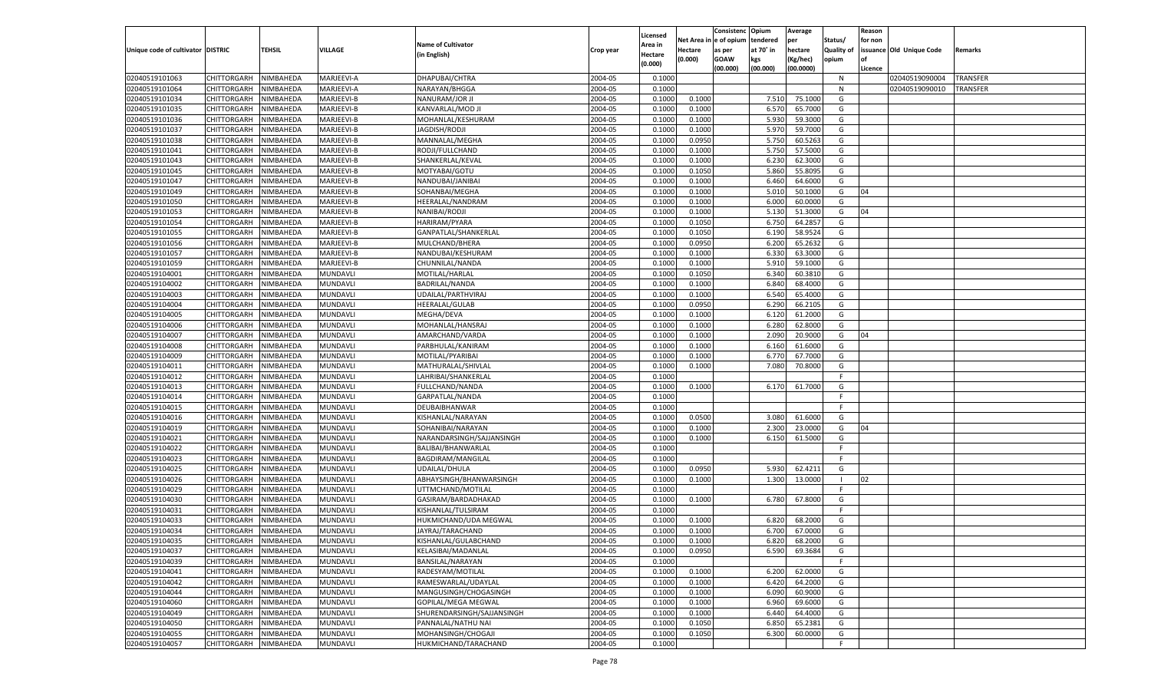|                                   |                                   |               |                 |                            |           |                           |          | Consistenc  | Opium     | Average   |                   | Reason  |                          |                 |
|-----------------------------------|-----------------------------------|---------------|-----------------|----------------------------|-----------|---------------------------|----------|-------------|-----------|-----------|-------------------|---------|--------------------------|-----------------|
|                                   |                                   |               |                 | <b>Name of Cultivator</b>  |           | Licensed                  | Net Area | e of opium  | tendered  | per       | Status/           | for non |                          |                 |
| Unique code of cultivator DISTRIC |                                   | <b>TEHSIL</b> | VILLAGE         | (in English)               | Crop year | <b>Area in</b><br>Hectare | Hectare  | as per      | at 70° in | hectare   | <b>Quality of</b> |         | issuance Old Unique Code | Remarks         |
|                                   |                                   |               |                 |                            |           | (0.000)                   | (0.000)  | <b>GOAW</b> | kgs       | (Kg/hec)  | opium             |         |                          |                 |
|                                   |                                   |               |                 |                            |           |                           |          | (00.000)    | (00.000)  | (00.0000) |                   | Licence |                          |                 |
| 02040519101063                    | CHITTORGARH                       | NIMBAHEDA     | MARJEEVI-A      | DHAPUBAI/CHTRA             | 2004-05   | 0.1000                    |          |             |           |           | N                 |         | 02040519090004           | <b>TRANSFER</b> |
| 02040519101064                    | CHITTORGARH                       | NIMBAHEDA     | MARJEEVI-A      | NARAYAN/BHGGA              | 2004-05   | 0.1000                    |          |             |           |           | N                 |         | 02040519090010           | TRANSFER        |
| 02040519101034                    | CHITTORGARH                       | NIMBAHEDA     | MARJEEVI-B      | NANURAM/JOR JI             | 2004-05   | 0.1000                    | 0.1000   |             | 7.510     | 75.1000   | G                 |         |                          |                 |
| 02040519101035                    | CHITTORGARH                       | NIMBAHEDA     | MARJEEVI-B      | KANVARLAL/MOD JI           | 2004-05   | 0.1000                    | 0.1000   |             | 6.570     | 65.7000   | G                 |         |                          |                 |
| 02040519101036                    | CHITTORGARH                       | NIMBAHEDA     | MARJEEVI-B      | MOHANLAL/KESHURAM          | 2004-05   | 0.1000                    | 0.1000   |             | 5.930     | 59.3000   | G                 |         |                          |                 |
| 02040519101037                    | CHITTORGARH                       | NIMBAHEDA     | MARJEEVI-B      | <b>JAGDISH/RODJI</b>       | 2004-05   | 0.1000                    | 0.1000   |             | 5.970     | 59.7000   | G                 |         |                          |                 |
| 02040519101038                    | CHITTORGARH                       | NIMBAHEDA     | MARJEEVI-B      | MANNALAL/MEGHA             | 2004-05   | 0.1000                    | 0.0950   |             | 5.750     | 60.5263   | G                 |         |                          |                 |
| 02040519101041                    | CHITTORGARH                       | NIMBAHEDA     | MARJEEVI-B      | RODJI/FULLCHAND            | 2004-05   | 0.1000                    | 0.1000   |             | 5.750     | 57.5000   | G                 |         |                          |                 |
| 02040519101043                    | CHITTORGARH                       | NIMBAHEDA     | MARJEEVI-B      | SHANKERLAL/KEVAL           | 2004-05   | 0.1000                    | 0.1000   |             | 6.23      | 62.3000   | G                 |         |                          |                 |
| 02040519101045                    | CHITTORGARH                       | NIMBAHEDA     | MARJEEVI-B      | MOTYABAI/GOTU              | 2004-05   | 0.1000                    | 0.1050   |             | 5.860     | 55.8095   | G                 |         |                          |                 |
| 02040519101047                    | CHITTORGARH                       | NIMBAHEDA     | MARJEEVI-B      | NANDUBAI/JANIBAI           | 2004-05   | 0.1000                    | 0.1000   |             | 6.460     | 64.6000   | G                 |         |                          |                 |
| 02040519101049                    | CHITTORGARH                       | NIMBAHEDA     | MARJEEVI-B      | SOHANBAI/MEGHA             | 2004-05   | 0.1000                    | 0.1000   |             | 5.010     | 50.1000   | G                 | 04      |                          |                 |
| 02040519101050                    | CHITTORGARH                       | NIMBAHEDA     | MARJEEVI-B      | HEERALAL/NANDRAM           | 2004-05   | 0.1000                    | 0.1000   |             | 6.000     | 60.0000   | G                 |         |                          |                 |
| 02040519101053                    | CHITTORGARH                       | NIMBAHEDA     | MARJEEVI-B      | NANIBAI/RODJI              | 2004-05   | 0.1000                    | 0.1000   |             | 5.130     | 51.3000   | G                 | 04      |                          |                 |
| 02040519101054                    | CHITTORGARH                       | NIMBAHEDA     | MARJEEVI-B      | HARIRAM/PYARA              | 2004-05   | 0.1000                    | 0.1050   |             | 6.750     | 64.2857   | G                 |         |                          |                 |
| 02040519101055                    | CHITTORGARH                       | NIMBAHEDA     | MARJEEVI-B      | GANPATLAL/SHANKERLAL       | 2004-05   | 0.1000                    | 0.1050   |             | 6.190     | 58.9524   | G                 |         |                          |                 |
| 02040519101056                    | CHITTORGARH                       | NIMBAHEDA     | MARJEEVI-B      | MULCHAND/BHERA             | 2004-05   | 0.1000                    | 0.0950   |             | 6.200     | 65.2632   | G                 |         |                          |                 |
| 02040519101057                    | CHITTORGARH                       | NIMBAHEDA     | MARJEEVI-B      | NANDUBAI/KESHURAM          | 2004-05   | 0.1000                    | 0.1000   |             | 6.330     | 63.3000   | G                 |         |                          |                 |
| 02040519101059                    | CHITTORGARH                       | NIMBAHEDA     | MARJEEVI-B      | CHUNNILAL/NANDA            | 2004-05   | 0.1000                    | 0.1000   |             | 5.910     | 59.1000   | G                 |         |                          |                 |
| 02040519104001                    | CHITTORGARH                       | NIMBAHEDA     | MUNDAVLI        | MOTILAL/HARLAL             | 2004-05   | 0.1000                    | 0.1050   |             | 6.340     | 60.3810   | G                 |         |                          |                 |
| 02040519104002                    | CHITTORGARH                       | NIMBAHEDA     | MUNDAVLI        | BADRILAL/NANDA             | 2004-05   | 0.1000                    | 0.1000   |             | 6.840     | 68.4000   | G                 |         |                          |                 |
| 02040519104003                    | CHITTORGARH                       | NIMBAHEDA     | MUNDAVLI        | UDAILAL/PARTHVIRAJ         | 2004-05   | 0.1000                    | 0.1000   |             | 6.540     | 65.4000   | G                 |         |                          |                 |
| 02040519104004                    | CHITTORGARH                       | NIMBAHEDA     | MUNDAVLI        | HEERALAL/GULAB             | 2004-05   | 0.1000                    | 0.0950   |             | 6.290     | 66.2105   | G                 |         |                          |                 |
| 02040519104005                    | CHITTORGARH                       | NIMBAHEDA     | MUNDAVLI        | MEGHA/DEVA                 | 2004-05   | 0.1000                    | 0.1000   |             | 6.120     | 61.2000   | G                 |         |                          |                 |
| 02040519104006                    | CHITTORGARH                       | NIMBAHEDA     | MUNDAVLI        | MOHANLAL/HANSRAJ           | 2004-05   | 0.1000                    | 0.1000   |             | 6.280     | 62.8000   | G                 |         |                          |                 |
| 02040519104007                    | CHITTORGARH                       | NIMBAHEDA     | MUNDAVLI        | AMARCHAND/VARDA            | 2004-05   | 0.1000                    | 0.1000   |             | 2.090     | 20.9000   | G                 | 04      |                          |                 |
| 02040519104008                    | CHITTORGARH                       | NIMBAHEDA     | MUNDAVLI        | PARBHULAL/KANIRAM          | 2004-05   | 0.1000                    | 0.1000   |             | 6.160     | 61.6000   | G                 |         |                          |                 |
| 02040519104009                    | CHITTORGARH                       | NIMBAHEDA     | MUNDAVLI        | MOTILAL/PYARIBAI           | 2004-05   | 0.1000                    | 0.1000   |             | 6.770     | 67.7000   | G                 |         |                          |                 |
| 02040519104011                    | CHITTORGARH                       | NIMBAHEDA     | MUNDAVLI        | MATHURALAL/SHIVLAL         | 2004-05   | 0.1000                    | 0.1000   |             | 7.080     | 70.8000   | G                 |         |                          |                 |
| 02040519104012                    | CHITTORGARH                       | NIMBAHEDA     | MUNDAVLI        | LAHRIBAI/SHANKERLAL        | 2004-05   | 0.1000                    |          |             |           |           | F.                |         |                          |                 |
| 02040519104013                    | CHITTORGARH                       | NIMBAHEDA     | MUNDAVLI        | FULLCHAND/NANDA            | 2004-05   | 0.1000                    | 0.1000   |             | 6.170     | 61.7000   | G                 |         |                          |                 |
| 02040519104014                    | CHITTORGARH                       | NIMBAHEDA     | MUNDAVLI        | GARPATLAL/NANDA            | 2004-05   | 0.1000                    |          |             |           |           | F.                |         |                          |                 |
| 02040519104015                    | CHITTORGARH                       | NIMBAHEDA     | MUNDAVLI        | DEUBAIBHANWAR              | 2004-05   | 0.1000                    |          |             |           |           | F.                |         |                          |                 |
| 02040519104016                    | CHITTORGARH                       | NIMBAHEDA     | MUNDAVLI        | KISHANLAL/NARAYAN          | 2004-05   | 0.1000                    | 0.0500   |             | 3.080     | 61.6000   | G                 |         |                          |                 |
| 02040519104019                    | CHITTORGARH                       | NIMBAHEDA     | MUNDAVLI        | SOHANIBAI/NARAYAN          | 2004-05   | 0.1000                    | 0.1000   |             | 2.300     | 23.0000   | G                 | 04      |                          |                 |
| 02040519104021                    | CHITTORGARH                       | NIMBAHEDA     | MUNDAVLI        | NARANDARSINGH/SAJJANSINGH  | 2004-05   | 0.1000                    | 0.1000   |             | 6.150     | 61.5000   | G                 |         |                          |                 |
| 02040519104022                    | CHITTORGARH                       | NIMBAHEDA     | MUNDAVLI        | BALIBAI/BHANWARLAL         | 2004-05   | 0.1000                    |          |             |           |           | F.                |         |                          |                 |
| 02040519104023                    | CHITTORGARH                       | NIMBAHEDA     | MUNDAVLI        | BAGDIRAM/MANGILAL          | 2004-05   | 0.1000                    |          |             |           |           | F.                |         |                          |                 |
| 02040519104025                    | CHITTORGARH                       | NIMBAHEDA     | MUNDAVLI        | <b>UDAILAL/DHULA</b>       | 2004-05   | 0.1000                    | 0.0950   |             | 5.930     | 62.4211   | G                 |         |                          |                 |
| 02040519104026                    | CHITTORGARH                       | NIMBAHEDA     | MUNDAVLI        | ABHAYSINGH/BHANWARSINGH    | 2004-05   | 0.1000                    | 0.1000   |             | 1.300     | 13.0000   | - 1               | 02      |                          |                 |
| 02040519104029                    | CHITTORGARH                       | NIMBAHEDA     | MUNDAVLI        | UTTMCHAND/MOTILAL          | 2004-05   | 0.1000                    |          |             |           |           | F                 |         |                          |                 |
| 02040519104030                    | CHITTORGARH                       | NIMBAHEDA     | MUNDAVLI        | GASIRAM/BARDADHAKAD        | 2004-05   | 0.1000                    | 0.1000   |             | 6.780     | 67.8000   | G                 |         |                          |                 |
| 02040519104031                    | CHITTORGARH                       | NIMBAHEDA     | MUNDAVLI        | KISHANLAL/TULSIRAM         | 2004-05   | 0.1000                    |          |             |           |           | F.                |         |                          |                 |
| 02040519104033                    | CHITTORGARH                       | NIMBAHEDA     | MUNDAVLI        | HUKMICHAND/UDA MEGWAL      | 2004-05   | 0.1000                    | 0.1000   |             | 6.820     | 68.2000   | G                 |         |                          |                 |
| 02040519104034                    |                                   | NIMBAHEDA     | MUNDAVLI        | JAYRAJ/TARACHAND           | 2004-05   | 0.1000                    | 0.1000   |             | 6.700     | 67.0000   | G                 |         |                          |                 |
|                                   | CHITTORGARH                       |               |                 |                            |           |                           |          |             |           |           |                   |         |                          |                 |
| 02040519104035                    | CHITTORGARH NIMBAHEDA             |               | MUNDAVLI        | KISHANLAL/GULABCHAND       | 2004-05   | 0.1000                    | 0.1000   |             | 6.820     | 68.2000   | G                 |         |                          |                 |
| 02040519104037                    | <b>CHITTORGARH</b><br>CHITTORGARH | NIMBAHEDA     | <b>MUNDAVLI</b> | KELASIBAI/MADANLAL         | 2004-05   | 0.1000                    | 0.0950   |             | 6.590     | 69.3684   | G<br>F.           |         |                          |                 |
| 02040519104039                    |                                   | NIMBAHEDA     | MUNDAVLI        | BANSILAL/NARAYAN           | 2004-05   | 0.1000                    |          |             |           |           |                   |         |                          |                 |
| 02040519104041                    | <b>CHITTORGARH</b>                | NIMBAHEDA     | <b>MUNDAVLI</b> | RADESYAM/MOTILAL           | 2004-05   | 0.1000                    | 0.1000   |             | 6.200     | 62.0000   | G                 |         |                          |                 |
| 02040519104042                    | <b>CHITTORGARH</b>                | NIMBAHEDA     | MUNDAVLI        | RAMESWARLAL/UDAYLAL        | 2004-05   | 0.1000                    | 0.1000   |             | 6.420     | 64.2000   | G                 |         |                          |                 |
| 02040519104044                    | <b>CHITTORGARH</b>                | NIMBAHEDA     | MUNDAVLI        | MANGUSINGH/CHOGASINGH      | 2004-05   | 0.1000                    | 0.1000   |             | 6.090     | 60.9000   | G                 |         |                          |                 |
| 02040519104060                    | <b>CHITTORGARH</b>                | NIMBAHEDA     | MUNDAVLI        | GOPILAL/MEGA MEGWAL        | 2004-05   | 0.1000                    | 0.1000   |             | 6.960     | 69.6000   | G                 |         |                          |                 |
| 02040519104049                    | <b>CHITTORGARH</b>                | NIMBAHEDA     | MUNDAVLI        | SHURENDARSINGH/SAJJANSINGH | 2004-05   | 0.1000                    | 0.1000   |             | 6.440     | 64.4000   | G                 |         |                          |                 |
| 02040519104050                    | <b>CHITTORGARH</b>                | NIMBAHEDA     | MUNDAVLI        | PANNALAL/NATHU NAI         | 2004-05   | 0.1000                    | 0.1050   |             | 6.850     | 65.2381   | G                 |         |                          |                 |
| 02040519104055                    | <b>CHITTORGARH</b>                | NIMBAHEDA     | <b>MUNDAVLI</b> | MOHANSINGH/CHOGAJI         | 2004-05   | 0.1000                    | 0.1050   |             | 6.300     | 60.0000   | G                 |         |                          |                 |
| 02040519104057                    | CHITTORGARH                       | NIMBAHEDA     | MUNDAVLI        | HUKMICHAND/TARACHAND       | 2004-05   | 0.1000                    |          |             |           |           | F.                |         |                          |                 |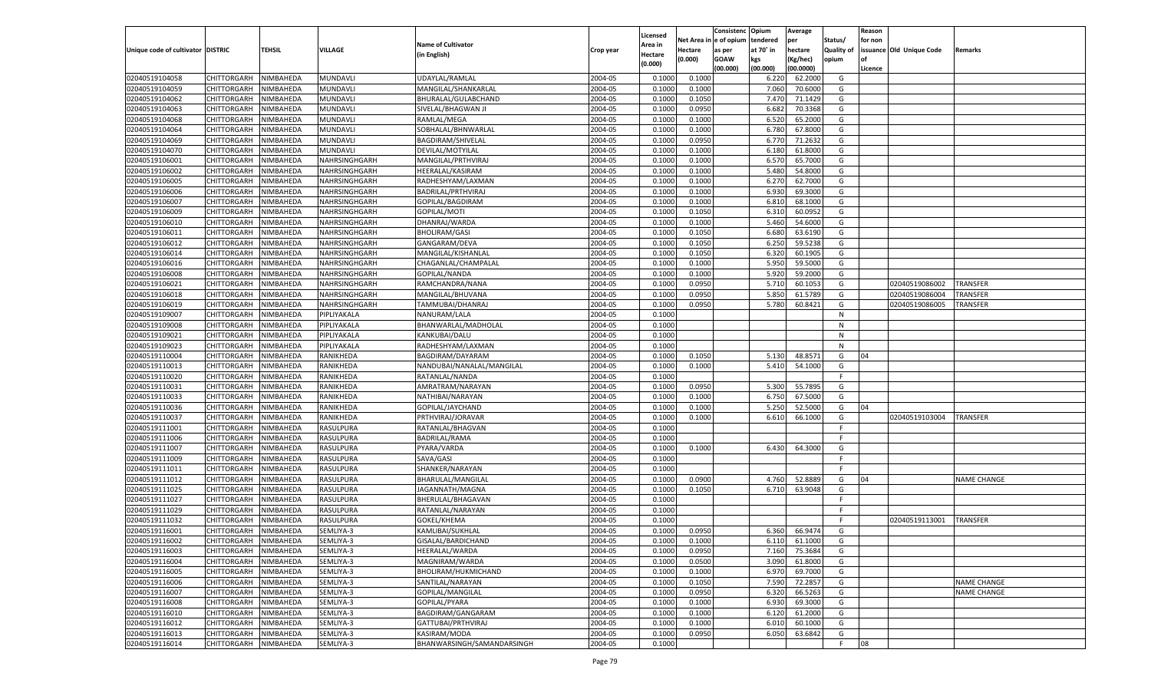|                                   |                       |               |                               |                              |           |                           |          | Consistenc  | Opium     | Average   |                   | Reason  |                          |                    |
|-----------------------------------|-----------------------|---------------|-------------------------------|------------------------------|-----------|---------------------------|----------|-------------|-----------|-----------|-------------------|---------|--------------------------|--------------------|
|                                   |                       |               |                               | <b>Name of Cultivator</b>    |           | Licensed                  | Net Area | e of opium  | tendered  | per       | Status/           | for non |                          |                    |
| Unique code of cultivator DISTRIC |                       | <b>TEHSIL</b> | VILLAGE                       | (in English)                 | Crop year | <b>Area in</b><br>Hectare | Hectare  | as per      | at 70° in | hectare   | <b>Quality of</b> |         | issuance Old Unique Code | Remarks            |
|                                   |                       |               |                               |                              |           | (0.000)                   | (0.000)  | <b>GOAW</b> | kgs       | (Kg/hec)  | opium             |         |                          |                    |
|                                   |                       |               |                               |                              |           |                           |          | (00.000)    | (00.000)  | (00.0000) |                   | Licence |                          |                    |
| 02040519104058                    | CHITTORGARH           | NIMBAHEDA     | MUNDAVLI                      | UDAYLAL/RAMLAL               | 2004-05   | 0.1000                    | 0.1000   |             | 6.220     | 62.2000   | G                 |         |                          |                    |
| 02040519104059                    | CHITTORGARH           | NIMBAHEDA     | MUNDAVLI                      | MANGILAL/SHANKARLAL          | 2004-05   | 0.1000                    | 0.1000   |             | 7.060     | 70.6000   | G                 |         |                          |                    |
| 02040519104062                    | CHITTORGARH           | NIMBAHEDA     | MUNDAVLI                      | BHURALAL/GULABCHAND          | 2004-05   | 0.1000                    | 0.1050   |             | 7.47      | 71.1429   | G                 |         |                          |                    |
| 02040519104063                    | CHITTORGARH           | NIMBAHEDA     | MUNDAVLI                      | SIVELAL/BHAGWAN JI           | 2004-05   | 0.1000                    | 0.0950   |             | 6.682     | 70.3368   | G                 |         |                          |                    |
| 02040519104068                    | CHITTORGARH           | NIMBAHEDA     | MUNDAVLI                      | RAMLAL/MEGA                  | 2004-05   | 0.1000                    | 0.1000   |             | 6.520     | 65.2000   | G                 |         |                          |                    |
| 02040519104064                    | CHITTORGARH           | NIMBAHEDA     | MUNDAVLI                      | SOBHALAL/BHNWARLAL           | 2004-05   | 0.1000                    | 0.1000   |             | 6.780     | 67.8000   | G                 |         |                          |                    |
| 02040519104069                    | CHITTORGARH           | NIMBAHEDA     | MUNDAVLI                      | BAGDIRAM/SHIVELAL            | 2004-05   | 0.1000                    | 0.0950   |             | 6.77      | 71.2632   | G                 |         |                          |                    |
| 02040519104070                    | CHITTORGARH           | NIMBAHEDA     | MUNDAVLI                      | DEVILAL/MOTYILAL             | 2004-05   | 0.1000                    | 0.1000   |             | 6.180     | 61.8000   | G                 |         |                          |                    |
| 02040519106001                    | CHITTORGARH           | NIMBAHEDA     | NAHRSINGHGARH                 | MANGILAL/PRTHVIRAJ           | 2004-05   | 0.1000                    | 0.1000   |             | 6.57      | 65.7000   | G                 |         |                          |                    |
| 02040519106002                    | CHITTORGARH           | NIMBAHEDA     | NAHRSINGHGARH                 | HEERALAL/KASIRAM             | 2004-05   | 0.1000                    | 0.1000   |             | 5.480     | 54.8000   | G                 |         |                          |                    |
| 02040519106005                    | CHITTORGARH           | NIMBAHEDA     | NAHRSINGHGARH                 | RADHESHYAM/LAXMAN            | 2004-05   | 0.1000                    | 0.1000   |             | 6.27      | 62.7000   | G                 |         |                          |                    |
| 02040519106006                    | CHITTORGARH           | NIMBAHEDA     | NAHRSINGHGARH                 | BADRILAL/PRTHVIRAJ           | 2004-05   | 0.1000                    | 0.1000   |             | 6.930     | 69.3000   | G                 |         |                          |                    |
| 02040519106007                    | CHITTORGARH           | NIMBAHEDA     | NAHRSINGHGARH                 | GOPILAL/BAGDIRAM             | 2004-05   | 0.1000                    | 0.1000   |             | 6.810     | 68.1000   | G                 |         |                          |                    |
| 02040519106009                    | CHITTORGARH           | NIMBAHEDA     | NAHRSINGHGARH                 | GOPILAL/MOTI                 | 2004-05   | 0.1000                    | 0.1050   |             | 6.31      | 60.0952   | G                 |         |                          |                    |
| 02040519106010                    | CHITTORGARH           | NIMBAHEDA     | NAHRSINGHGARH                 | DHANRAJ/WARDA                | 2004-05   | 0.1000                    | 0.1000   |             | 5.460     | 54.6000   | G                 |         |                          |                    |
| 02040519106011                    | CHITTORGARH           | NIMBAHEDA     | NAHRSINGHGARH                 | <b>BHOLIRAM/GASI</b>         | 2004-05   | 0.1000                    | 0.1050   |             | 6.680     | 63.6190   | G                 |         |                          |                    |
| 02040519106012                    | CHITTORGARH           | NIMBAHEDA     | NAHRSINGHGARH                 | GANGARAM/DEVA                | 2004-05   | 0.1000                    | 0.1050   |             | 6.250     | 59.5238   | G                 |         |                          |                    |
| 02040519106014                    | CHITTORGARH           | NIMBAHEDA     | NAHRSINGHGARH                 | MANGILAL/KISHANLAL           | 2004-05   | 0.1000                    | 0.1050   |             | 6.320     | 60.1905   | G                 |         |                          |                    |
| 02040519106016                    | CHITTORGARH           | NIMBAHEDA     | NAHRSINGHGARH                 | CHAGANLAL/CHAMPALAL          | 2004-05   | 0.1000                    | 0.1000   |             | 5.950     | 59.5000   | G                 |         |                          |                    |
| 02040519106008                    | CHITTORGARH           | NIMBAHEDA     | NAHRSINGHGARH                 | GOPILAL/NANDA                | 2004-05   | 0.1000                    | 0.1000   |             | 5.920     | 59.2000   | G                 |         |                          |                    |
| 02040519106021                    | CHITTORGARH           | NIMBAHEDA     | NAHRSINGHGARH                 | RAMCHANDRA/NANA              | 2004-05   | 0.1000                    | 0.0950   |             | 5.710     | 60.1053   | G                 |         | 02040519086002           | <b>TRANSFER</b>    |
| 02040519106018                    | CHITTORGARH           | NIMBAHEDA     | NAHRSINGHGARH                 | MANGILAL/BHUVANA             | 2004-05   | 0.1000                    | 0.0950   |             | 5.850     | 61.5789   | G                 |         | 02040519086004           | TRANSFER           |
| 02040519106019                    | CHITTORGARH           | NIMBAHEDA     | NAHRSINGHGARH                 | TAMMUBAI/DHANRAJ             | 2004-05   | 0.1000                    | 0.0950   |             | 5.780     | 60.8421   | G                 |         | 02040519086005           | TRANSFER           |
| 02040519109007                    | CHITTORGARH           | NIMBAHEDA     | PIPLIYAKALA                   | NANURAM/LALA                 | 2004-05   | 0.1000                    |          |             |           |           | N                 |         |                          |                    |
| 02040519109008                    | CHITTORGARH           | NIMBAHEDA     | PIPLIYAKALA                   | BHANWARLAL/MADHOLAL          | 2004-05   | 0.1000                    |          |             |           |           | N                 |         |                          |                    |
| 02040519109021                    | CHITTORGARH           | NIMBAHEDA     | PIPLIYAKALA                   | KANKUBAI/DALU                | 2004-05   | 0.1000                    |          |             |           |           | N                 |         |                          |                    |
| 02040519109023                    | CHITTORGARH           | NIMBAHEDA     | PIPLIYAKALA                   | RADHESHYAM/LAXMAN            | 2004-05   | 0.1000                    |          |             |           |           | N                 |         |                          |                    |
| 02040519110004                    | CHITTORGARH           | NIMBAHEDA     | RANIKHEDA                     | BAGDIRAM/DAYARAM             | 2004-05   | 0.1000                    | 0.1050   |             | 5.130     | 48.8571   | G                 | 04      |                          |                    |
| 02040519110013                    | CHITTORGARH           | NIMBAHEDA     | RANIKHEDA                     | NANDUBAI/NANALAL/MANGILAL    | 2004-05   | 0.1000                    | 0.1000   |             | 5.410     | 54.1000   | G                 |         |                          |                    |
| 02040519110020                    | CHITTORGARH           | NIMBAHEDA     | RANIKHEDA                     | RATANLAL/NANDA               | 2004-05   | 0.1000                    |          |             |           |           | F.                |         |                          |                    |
| 02040519110031                    | CHITTORGARH           | NIMBAHEDA     | RANIKHEDA                     | AMRATRAM/NARAYAN             | 2004-05   | 0.1000                    | 0.0950   |             | 5.300     | 55.7895   | G                 |         |                          |                    |
| 02040519110033                    | CHITTORGARH           | NIMBAHEDA     | RANIKHEDA                     | NATHIBAI/NARAYAN             | 2004-05   | 0.1000                    | 0.1000   |             | 6.750     | 67.5000   | G                 |         |                          |                    |
| 02040519110036                    | CHITTORGARH           | NIMBAHEDA     | RANIKHEDA                     | GOPILAL/JAYCHAND             | 2004-05   | 0.1000                    | 0.1000   |             | 5.250     | 52.5000   | G                 | 04      |                          |                    |
| 02040519110037                    | CHITTORGARH           | NIMBAHEDA     | RANIKHEDA                     | PRTHVIRAJ/JORAVAR            | 2004-05   | 0.1000                    | 0.1000   |             | 6.610     | 66.1000   | G                 |         | 02040519103004           | <b>TRANSFER</b>    |
| 02040519111001                    |                       | NIMBAHEDA     | RASULPURA                     |                              | 2004-05   | 0.1000                    |          |             |           |           | F.                |         |                          |                    |
|                                   | <b>CHITTORGARH</b>    |               |                               | RATANLAL/BHAGVAN             |           |                           |          |             |           |           | F.                |         |                          |                    |
| 02040519111006                    | CHITTORGARH           | NIMBAHEDA     | RASULPURA                     | <b>BADRILAL/RAMA</b>         | 2004-05   | 0.1000                    |          |             |           | 64.3000   |                   |         |                          |                    |
| 02040519111007                    | CHITTORGARH           | NIMBAHEDA     | RASULPURA                     | PYARA/VARDA                  | 2004-05   | 0.1000                    | 0.1000   |             | 6.430     |           | G                 |         |                          |                    |
| 02040519111009<br>02040519111011  | CHITTORGARH           | NIMBAHEDA     | RASULPURA<br><b>RASULPURA</b> | SAVA/GASI<br>SHANKER/NARAYAN | 2004-05   | 0.1000                    |          |             |           |           | F.<br>F.          |         |                          |                    |
|                                   | <b>CHITTORGARH</b>    | NIMBAHEDA     |                               |                              | 2004-05   | 0.1000                    |          |             |           |           |                   |         |                          |                    |
| 02040519111012                    | CHITTORGARH           | NIMBAHEDA     | RASULPURA                     | BHARULAL/MANGILAL            | 2004-05   | 0.1000                    | 0.0900   |             | 4.760     | 52.8889   | G                 | 04      |                          | <b>NAME CHANGE</b> |
| 02040519111025                    | CHITTORGARH           | NIMBAHEDA     | RASULPURA                     | JAGANNATH/MAGNA              | 2004-05   | 0.1000                    | 0.1050   |             | 6.710     | 63.9048   | G                 |         |                          |                    |
| 02040519111027                    | CHITTORGARH           | NIMBAHEDA     | RASULPURA                     | BHERULAL/BHAGAVAN            | 2004-05   | 0.1000                    |          |             |           |           | F.                |         |                          |                    |
| 02040519111029                    | CHITTORGARH           | NIMBAHEDA     | RASULPURA                     | RATANLAL/NARAYAN             | 2004-05   | 0.1000                    |          |             |           |           | F                 |         |                          |                    |
| 02040519111032                    | CHITTORGARH           | NIMBAHEDA     | RASULPURA                     | GOKEL/KHEMA                  | 2004-05   | 0.1000                    |          |             |           |           | F                 |         | 02040519113001           | <b>TRANSFER</b>    |
| 02040519116001                    | CHITTORGARH           | NIMBAHEDA     | SEMLIYA-3                     | KAMLIBAI/SUKHLAL             | 2004-05   | 0.1000                    | 0.0950   |             | 6.360     | 66.9474   | G                 |         |                          |                    |
| 02040519116002                    | CHITTORGARH NIMBAHEDA |               | SEMLIYA-3                     | GISALAL/BARDICHAND           | 2004-05   | 0.1000                    | 0.1000   |             | 6.110     | 61.1000   | G                 |         |                          |                    |
| 02040519116003                    | <b>CHITTORGARH</b>    | NIMBAHEDA     | SEMLIYA-3                     | HEERALAL/WARDA               | 2004-05   | 0.1000                    | 0.0950   |             | 7.160     | 75.3684   | G                 |         |                          |                    |
| 02040519116004                    | CHITTORGARH           | NIMBAHEDA     | SEMLIYA-3                     | MAGNIRAM/WARDA               | 2004-05   | 0.1000                    | 0.0500   |             | 3.090     | 61.8000   | G                 |         |                          |                    |
| 02040519116005                    | <b>CHITTORGARH</b>    | NIMBAHEDA     | SEMLIYA-3                     | BHOLIRAM/HUKMICHAND          | 2004-05   | 0.1000                    | 0.1000   |             | 6.970     | 69.7000   | G                 |         |                          |                    |
| 02040519116006                    | <b>CHITTORGARH</b>    | NIMBAHEDA     | SEMLIYA-3                     | SANTILAL/NARAYAN             | 2004-05   | 0.1000                    | 0.1050   |             | 7.590     | 72.2857   | G                 |         |                          | <b>NAME CHANGE</b> |
| 02040519116007                    | <b>CHITTORGARH</b>    | NIMBAHEDA     | SEMLIYA-3                     | GOPILAL/MANGILAL             | 2004-05   | 0.1000                    | 0.0950   |             | 6.320     | 66.5263   | G                 |         |                          | <b>NAME CHANGE</b> |
| 02040519116008                    | <b>CHITTORGARH</b>    | NIMBAHEDA     | SEMLIYA-3                     | GOPILAL/PYARA                | 2004-05   | 0.1000                    | 0.1000   |             | 6.930     | 69.3000   | G                 |         |                          |                    |
| 02040519116010                    | <b>CHITTORGARH</b>    | NIMBAHEDA     | SEMLIYA-3                     | BAGDIRAM/GANGARAM            | 2004-05   | 0.1000                    | 0.1000   |             | 6.120     | 61.2000   | G                 |         |                          |                    |
| 02040519116012                    | <b>CHITTORGARH</b>    | NIMBAHEDA     | SEMLIYA-3                     | GATTUBAI/PRTHVIRAJ           | 2004-05   | 0.1000                    | 0.1000   |             | 6.010     | 60.1000   | G                 |         |                          |                    |
| 02040519116013                    | <b>CHITTORGARH</b>    | NIMBAHEDA     | SEMLIYA-3                     | KASIRAM/MODA                 | 2004-05   | 0.1000                    | 0.0950   |             | 6.050     | 63.6842   | G                 |         |                          |                    |
| 02040519116014                    | CHITTORGARH           | NIMBAHEDA     | SEMLIYA-3                     | BHANWARSINGH/SAMANDARSINGH   | 2004-05   | 0.1000                    |          |             |           |           | F.                | 08      |                          |                    |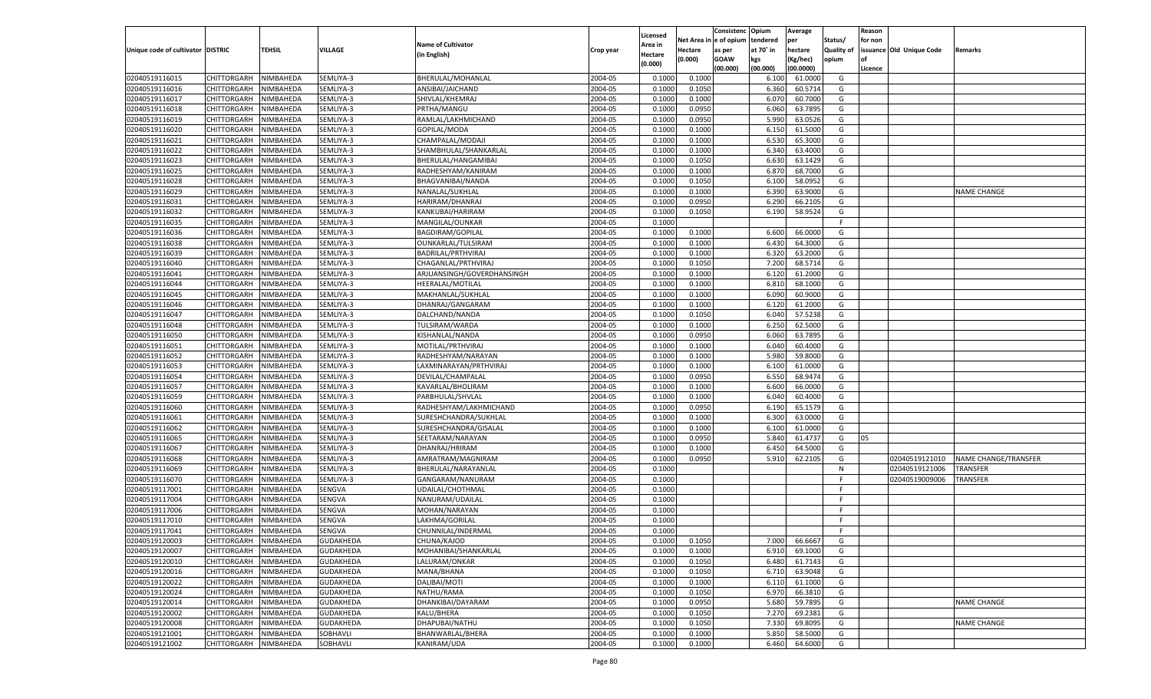|                                   |                                      |           |                  |                            |                    |                     |                  | Consistenc    | Opium          | Average            |                   | Reason  |                          |                             |
|-----------------------------------|--------------------------------------|-----------|------------------|----------------------------|--------------------|---------------------|------------------|---------------|----------------|--------------------|-------------------|---------|--------------------------|-----------------------------|
|                                   |                                      |           |                  | <b>Name of Cultivator</b>  |                    | Licensed<br>Area in | Net Area i       | n le of opium | tendered       | per                | Status/           | for non |                          |                             |
| Unique code of cultivator DISTRIC |                                      | TEHSIL    | <b>VILLAGE</b>   | (in English)               | Crop year          | Hectare             | Hectare          | as per        | at 70° in      | hectare            | <b>Quality of</b> |         | issuance Old Unique Code | Remarks                     |
|                                   |                                      |           |                  |                            |                    | (0.000)             | (0.000)          | <b>GOAW</b>   | kgs            | (Kg/hec)           | opium             |         |                          |                             |
|                                   |                                      |           |                  |                            |                    |                     |                  | (00.000)      | (00.000)       | (00.0000)          |                   | Licence |                          |                             |
| 02040519116015                    | CHITTORGARH                          | NIMBAHEDA | SEMLIYA-3        | BHERULAL/MOHANLAL          | 2004-05            | 0.1000              | 0.1000           |               | 6.100          | 61.0000            | G                 |         |                          |                             |
| 02040519116016                    | CHITTORGARH                          | NIMBAHEDA | SEMLIYA-3        | ANSIBAI/JAICHAND           | 2004-05            | 0.1000              | 0.1050           |               | 6.360          | 60.5714            | G                 |         |                          |                             |
| 02040519116017                    | CHITTORGARH                          | NIMBAHEDA | SEMLIYA-3        | SHIVLAL/KHEMRAJ            | 2004-05            | 0.1000              | 0.1000           |               | 6.070          | 60.7000            | G                 |         |                          |                             |
| 02040519116018                    | CHITTORGARH                          | NIMBAHEDA | SEMLIYA-3        | PRTHA/MANGU                | 2004-05            | 0.1000              | 0.0950           |               | 6.060          | 63.7895            | G                 |         |                          |                             |
| 02040519116019                    | CHITTORGARH                          | NIMBAHEDA | SEMLIYA-3        | RAMLAL/LAKHMICHAND         | 2004-05            | 0.1000              | 0.0950           |               | 5.990          | 63.0526            | G                 |         |                          |                             |
| 02040519116020                    | CHITTORGARH                          | NIMBAHEDA | SEMLIYA-3        | GOPILAL/MODA               | 2004-05            | 0.1000              | 0.1000           |               | 6.150          | 61.5000            | G                 |         |                          |                             |
| 02040519116021                    | CHITTORGARH                          | NIMBAHEDA | SEMLIYA-3        | CHAMPALAL/MODAJI           | 2004-05            | 0.1000              | 0.1000           |               | 6.530          | 65.3000            | G                 |         |                          |                             |
| 02040519116022                    | CHITTORGARH                          | NIMBAHEDA | SEMLIYA-3        | SHAMBHULAL/SHANKARLAL      | 2004-05            | 0.1000              | 0.1000           |               | 6.340          | 63.4000            | G                 |         |                          |                             |
| 02040519116023                    | CHITTORGARH                          | NIMBAHEDA | SEMLIYA-3        | BHERULAL/HANGAMIBAI        | 2004-05            | 0.1000              | 0.1050           |               | 6.630          | 63.1429            | G                 |         |                          |                             |
| 02040519116025                    | CHITTORGARH                          | NIMBAHEDA | SEMLIYA-3        | RADHESHYAM/KANIRAM         | 2004-05            | 0.1000              | 0.1000           |               | 6.870          | 68.7000            | G                 |         |                          |                             |
| 02040519116028                    | CHITTORGARH                          | NIMBAHEDA | SEMLIYA-3        | BHAGVANIBAI/NANDA          | 2004-05            | 0.1000              | 0.1050           |               | 6.100          | 58.0952            | G                 |         |                          |                             |
| 02040519116029                    | CHITTORGARH                          | NIMBAHEDA | SEMLIYA-3        | NANALAL/SUKHLAL            | 2004-05            | 0.1000              | 0.1000           |               | 6.390          | 63.9000            | G                 |         |                          | NAME CHANGE                 |
| 02040519116031                    | CHITTORGARH                          | NIMBAHEDA | SEMLIYA-3        | HARIRAM/DHANRAJ            | 2004-05            | 0.1000              | 0.0950           |               | 6.290          | 66.2105            | G                 |         |                          |                             |
| 02040519116032                    | CHITTORGARH                          | NIMBAHEDA | SEMLIYA-3        | KANKUBAI/HARIRAM           | 2004-05            | 0.1000              | 0.1050           |               | 6.190          | 58.9524            | G                 |         |                          |                             |
| 02040519116035                    | CHITTORGARH                          | NIMBAHEDA | SEMLIYA-3        | MANGILAL/OUNKAR            | 2004-05            | 0.1000              |                  |               |                |                    | F.                |         |                          |                             |
| 02040519116036                    | CHITTORGARH                          | NIMBAHEDA | SEMLIYA-3        | <b>BAGDIRAM/GOPILAL</b>    | 2004-05            | 0.1000              | 0.1000           |               | 6.600          | 66.0000            | G                 |         |                          |                             |
| 02040519116038                    | CHITTORGARH                          | NIMBAHEDA | SEMLIYA-3        | OUNKARLAL/TULSIRAM         | 2004-05            | 0.1000              | 0.1000           |               | 6.430          | 64.3000            | G                 |         |                          |                             |
| 02040519116039                    | CHITTORGARH                          | NIMBAHEDA | SEMLIYA-3        | BADRILAL/PRTHVIRAJ         | 2004-05            | 0.1000              | 0.1000           |               | 6.320          | 63.2000            | G                 |         |                          |                             |
| 02040519116040                    | CHITTORGARH                          | NIMBAHEDA | SEMLIYA-3        | CHAGANLAL/PRTHVIRAJ        | 2004-05            | 0.1000              | 0.1050           |               | 7.200          | 68.5714            | G                 |         |                          |                             |
| 02040519116041                    | CHITTORGARH                          | NIMBAHEDA | SEMLIYA-3        | ARJUANSINGH/GOVERDHANSINGH | 2004-05            | 0.1000              | 0.1000           |               | 6.120          | 61.2000            | G                 |         |                          |                             |
| 02040519116044                    | CHITTORGARH                          | NIMBAHEDA | SEMLIYA-3        | HEERALAL/MOTILAL           | 2004-05            | 0.1000              | 0.1000           |               | 6.810          | 68.1000            | G                 |         |                          |                             |
| 02040519116045                    | CHITTORGARH                          | NIMBAHEDA | SEMLIYA-3        | MAKHANLAL/SUKHLAL          | 2004-05            | 0.1000              | 0.1000           |               | 6.090          | 60.9000            | G                 |         |                          |                             |
| 02040519116046                    | CHITTORGARH                          | NIMBAHEDA | SEMLIYA-3        | DHANRAJ/GANGARAM           | 2004-05            | 0.1000              | 0.1000           |               | 6.120          | 61.2000            | G                 |         |                          |                             |
| 02040519116047                    | CHITTORGARH                          | NIMBAHEDA | SEMLIYA-3        | DALCHAND/NANDA             | 2004-05            | 0.1000              | 0.1050           |               | 6.040          | 57.5238            | G                 |         |                          |                             |
| 02040519116048                    | CHITTORGARH                          | NIMBAHEDA | SEMLIYA-3        | TULSIRAM/WARDA             | 2004-05            | 0.1000              | 0.1000           |               | 6.250          | 62.5000            | G                 |         |                          |                             |
| 02040519116050                    | CHITTORGARH                          | NIMBAHEDA | SEMLIYA-3        | KISHANLAL/NANDA            | 2004-05            | 0.1000              | 0.0950           |               | 6.060          | 63.7895            | G                 |         |                          |                             |
| 02040519116051                    | CHITTORGARH                          | NIMBAHEDA | SEMLIYA-3        | MOTILAL/PRTHVIRAJ          | 2004-05            | 0.1000              | 0.1000           |               | 6.040          | 60.4000            | G                 |         |                          |                             |
| 02040519116052                    | CHITTORGARH                          | NIMBAHEDA | SEMLIYA-3        | RADHESHYAM/NARAYAN         | 2004-05            | 0.1000              | 0.1000           |               | 5.980          | 59.8000            | G                 |         |                          |                             |
| 02040519116053                    | CHITTORGARH                          | NIMBAHEDA | SEMLIYA-3        | LAXMINARAYAN/PRTHVIRAJ     | 2004-05            | 0.1000              | 0.1000           |               | 6.100          | 61.0000            | G                 |         |                          |                             |
| 02040519116054                    | CHITTORGARH                          | NIMBAHEDA | SEMLIYA-3        | DEVILAL/CHAMPALAL          | 2004-05            | 0.1000              | 0.0950           |               | 6.550          | 68.9474            | G                 |         |                          |                             |
| 02040519116057                    | CHITTORGARH                          | NIMBAHEDA | SEMLIYA-3        | KAVARLAL/BHOLIRAM          | 2004-05            | 0.1000              | 0.1000           |               | 6.600          | 66.0000            | G                 |         |                          |                             |
| 02040519116059                    | CHITTORGARH                          | NIMBAHEDA | SEMLIYA-3        | PARBHULAL/SHVLAL           | 2004-05            | 0.1000              | 0.1000           |               | 6.040          | 60.4000            | G                 |         |                          |                             |
| 02040519116060                    | CHITTORGARH                          | NIMBAHEDA | SEMLIYA-3        | RADHESHYAM/LAKHMICHAND     | 2004-05            | 0.1000              | 0.0950           |               | 6.190          | 65.1579            | G                 |         |                          |                             |
| 02040519116061                    | CHITTORGARH                          | NIMBAHEDA | SEMLIYA-3        | SURESHCHANDRA/SUKHLAL      | 2004-05            | 0.1000              | 0.1000           |               | 6.300          | 63.0000            | G                 |         |                          |                             |
| 02040519116062                    | CHITTORGARH                          | NIMBAHEDA | SEMLIYA-3        | SURESHCHANDRA/GISALAL      | 2004-05            | 0.1000              | 0.1000           |               | 6.100          | 61.0000            | G                 |         |                          |                             |
| 02040519116065                    | CHITTORGARH                          | NIMBAHEDA | SEMLIYA-3        | SEETARAM/NARAYAN           | 2004-05            | 0.1000              | 0.0950           |               | 5.840          | 61.4737            | G                 | 05      |                          |                             |
| 02040519116067                    | CHITTORGARH                          | NIMBAHEDA | SEMLIYA-3        | DHANRAJ/HRIRAM             | 2004-05            | 0.1000              | 0.1000           |               | 6.450          | 64.5000            | G                 |         |                          |                             |
| 02040519116068                    | CHITTORGARH                          | NIMBAHEDA | SEMLIYA-3        | AMRATRAM/MAGNIRAM          | 2004-05            | 0.1000              | 0.0950           |               | 5.910          | 62.2105            | G                 |         | 02040519121010           | <b>NAME CHANGE/TRANSFER</b> |
| 02040519116069                    | CHITTORGARH                          | NIMBAHEDA | SEMLIYA-3        | BHERULAL/NARAYANLAL        | 2004-05            | 0.1000              |                  |               |                |                    | N                 |         | 02040519121006           | TRANSFER                    |
| 02040519116070                    | CHITTORGARH                          | NIMBAHEDA | SEMLIYA-3        | GANGARAM/NANURAM           | 2004-05            | 0.1000              |                  |               |                |                    | F                 |         | 02040519009006           | TRANSFER                    |
| 02040519117001                    | CHITTORGARH                          | NIMBAHEDA | SENGVA           | UDAILAL/CHOTHMAL           | 2004-05            | 0.1000              |                  |               |                |                    | F                 |         |                          |                             |
| 02040519117004                    | CHITTORGARH                          | NIMBAHEDA | SENGVA           | NANURAM/UDAILAL            | 2004-05            | 0.1000              |                  |               |                |                    | F                 |         |                          |                             |
| 02040519117006                    | CHITTORGARH                          | NIMBAHEDA | SENGVA           | MOHAN/NARAYAN              | 2004-05            | 0.1000              |                  |               |                |                    | E                 |         |                          |                             |
| 02040519117010                    | CHITTORGARH                          | NIMBAHEDA | SENGVA           | LAKHMA/GORILAL             | 2004-05            | 0.1000              |                  |               |                |                    | F                 |         |                          |                             |
| 02040519117041                    |                                      | NIMBAHEDA | SENGVA           |                            | 2004-05            | 0.1000              |                  |               |                |                    | F.                |         |                          |                             |
|                                   | CHITTORGARH<br>CHITTORGARH NIMBAHEDA |           |                  | CHUNNILAL/INDERMAL         |                    |                     |                  |               |                |                    |                   |         |                          |                             |
| 02040519120003                    | <b>CHITTORGARH</b>                   |           | <b>GUDAKHEDA</b> | CHUNA/KAJOD                | 2004-05<br>2004-05 | 0.1000<br>0.1000    | 0.1050<br>0.1000 |               | 7.000<br>6.910 | 66.6667<br>69.1000 | G                 |         |                          |                             |
| 02040519120007                    |                                      | NIMBAHEDA | <b>GUDAKHEDA</b> | MOHANIBAI/SHANKARLAL       |                    |                     |                  |               |                |                    | G                 |         |                          |                             |
| 02040519120010                    | CHITTORGARH                          | NIMBAHEDA | <b>GUDAKHEDA</b> | LALURAM/ONKAR              | 2004-05            | 0.1000              | 0.1050           |               | 6.480          | 61.7143            | G                 |         |                          |                             |
| 02040519120016                    | CHITTORGARH                          | NIMBAHEDA | <b>GUDAKHEDA</b> | MANA/BHANA                 | 2004-05            | 0.1000              | 0.1050           |               | 6.710          | 63.9048            | G                 |         |                          |                             |
| 02040519120022                    | CHITTORGARH                          | NIMBAHEDA | <b>GUDAKHEDA</b> | DALIBAI/MOTI               | 2004-05            | 0.1000              | 0.1000           |               | 6.110          | 61.1000            | G                 |         |                          |                             |
| 02040519120024                    | CHITTORGARH                          | NIMBAHEDA | <b>GUDAKHEDA</b> | NATHU/RAMA                 | 2004-05            | 0.1000              | 0.1050           |               | 6.970          | 66.3810            | G                 |         |                          |                             |
| 02040519120014                    | CHITTORGARH                          | NIMBAHEDA | <b>GUDAKHEDA</b> | DHANKIBAI/DAYARAM          | 2004-05            | 0.1000              | 0.0950           |               | 5.680          | 59.7895            | G                 |         |                          | NAME CHANGE                 |
| 02040519120002                    | CHITTORGARH                          | NIMBAHEDA | <b>GUDAKHEDA</b> | KALU/BHERA                 | 2004-05            | 0.1000              | 0.1050           |               | 7.270          | 69.2381            | G                 |         |                          |                             |
| 02040519120008                    | CHITTORGARH                          | NIMBAHEDA | <b>GUDAKHEDA</b> | DHAPUBAI/NATHU             | 2004-05            | 0.1000              | 0.1050           |               | 7.330          | 69.8095            | G                 |         |                          | NAME CHANGE                 |
| 02040519121001                    | CHITTORGARH                          | NIMBAHEDA | SOBHAVLI         | BHANWARLAL/BHERA           | 2004-05            | 0.1000              | 0.1000           |               | 5.850          | 58.5000            | G                 |         |                          |                             |
| 02040519121002                    | CHITTORGARH                          | NIMBAHEDA | SOBHAVLI         | KANIRAM/UDA                | 2004-05            | 0.1000              | 0.1000           |               | 6.460          | 64.6000            | G                 |         |                          |                             |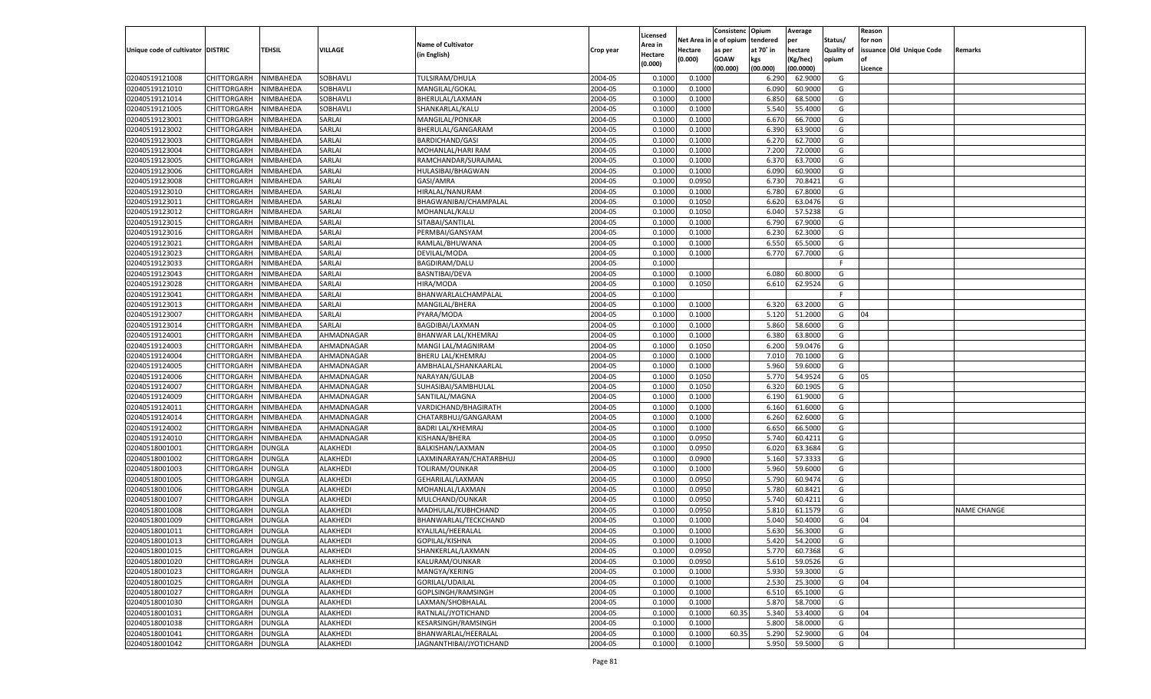|                                   |                    |               |            |                           |           | Licensed |          | Consistenc Opium |           | Average   |                   | Reason  |                          |                    |
|-----------------------------------|--------------------|---------------|------------|---------------------------|-----------|----------|----------|------------------|-----------|-----------|-------------------|---------|--------------------------|--------------------|
|                                   |                    |               |            | <b>Name of Cultivator</b> |           | \rea in  | Net Area | e of opium) ו    | tendered  | per       | Status/           | for non |                          |                    |
| Unique code of cultivator DISTRIC |                    | <b>TEHSIL</b> | VILLAGE    | (in English)              | Crop year | Hectare  | Hectare  | as per           | at 70° in | hectare   | <b>Quality of</b> |         | issuance Old Unique Code | <b>Remarks</b>     |
|                                   |                    |               |            |                           |           | (0.000)  | (0.000)  | <b>GOAW</b>      | kgs       | (Kg/hec)  | opium             |         |                          |                    |
|                                   |                    |               |            |                           |           |          |          | (00.000)         | (00.000)  | (00.0000) |                   | Licence |                          |                    |
| 02040519121008                    | CHITTORGARH        | NIMBAHEDA     | SOBHAVLI   | TULSIRAM/DHULA            | 2004-05   | 0.1000   | 0.1000   |                  | 6.290     | 62.9000   | G                 |         |                          |                    |
| 02040519121010                    | CHITTORGARH        | NIMBAHEDA     | SOBHAVLI   | MANGILAL/GOKAL            | 2004-05   | 0.1000   | 0.1000   |                  | 6.090     | 60.9000   | G                 |         |                          |                    |
| 02040519121014                    | CHITTORGARH        | NIMBAHEDA     | SOBHAVLI   | BHERULAL/LAXMAN           | 2004-05   | 0.1000   | 0.1000   |                  | 6.850     | 68.5000   | G                 |         |                          |                    |
| 02040519121005                    | CHITTORGARH        | NIMBAHEDA     | SOBHAVLI   | SHANKARLAL/KALU           | 2004-05   | 0.1000   | 0.1000   |                  | 5.540     | 55.4000   | G                 |         |                          |                    |
| 02040519123001                    | CHITTORGARH        | NIMBAHEDA     | SARLAI     | MANGILAL/PONKAR           | 2004-05   | 0.1000   | 0.1000   |                  | 6.67      | 66.7000   | G                 |         |                          |                    |
| 02040519123002                    | CHITTORGARH        | NIMBAHEDA     | SARLAI     | BHERULAL/GANGARAM         | 2004-05   | 0.1000   | 0.1000   |                  | 6.390     | 63.9000   | G                 |         |                          |                    |
| 02040519123003                    | CHITTORGARH        | NIMBAHEDA     | SARLAI     | <b>BARDICHAND/GASI</b>    | 2004-05   | 0.1000   | 0.1000   |                  | 6.27      | 62.7000   | G                 |         |                          |                    |
| 02040519123004                    | CHITTORGARH        | NIMBAHEDA     | SARLAI     | MOHANLAL/HARI RAM         | 2004-05   | 0.1000   | 0.1000   |                  | 7.200     | 72.0000   | G                 |         |                          |                    |
| 02040519123005                    | CHITTORGARH        | NIMBAHEDA     | SARLAI     | RAMCHANDAR/SURAJMAL       | 2004-05   | 0.1000   | 0.1000   |                  | 6.37      | 63.7000   | G                 |         |                          |                    |
| 02040519123006                    | CHITTORGARH        | NIMBAHEDA     | SARLAI     | HULASIBAI/BHAGWAN         | 2004-05   | 0.1000   | 0.1000   |                  | 6.090     | 60.9000   | G                 |         |                          |                    |
| 02040519123008                    | CHITTORGARH        | NIMBAHEDA     | SARLAI     | GASI/AMRA                 | 2004-05   | 0.1000   | 0.0950   |                  | 6.730     | 70.8421   | G                 |         |                          |                    |
| 02040519123010                    | CHITTORGARH        | NIMBAHEDA     | SARLAI     | HIRALAL/NANURAM           | 2004-05   | 0.1000   | 0.1000   |                  | 6.780     | 67.8000   | G                 |         |                          |                    |
| 02040519123011                    | CHITTORGARH        | NIMBAHEDA     | SARLAI     | BHAGWANIBAI/CHAMPALAL     | 2004-05   | 0.1000   | 0.1050   |                  | 6.62(     | 63.0476   | G                 |         |                          |                    |
| 02040519123012                    | CHITTORGARH        | NIMBAHEDA     | SARLAI     | MOHANLAL/KALU             | 2004-05   | 0.1000   | 0.1050   |                  | 6.040     | 57.5238   | G                 |         |                          |                    |
| 02040519123015                    | CHITTORGARH        | NIMBAHEDA     | SARLAI     | SITABAI/SANTILAL          | 2004-05   | 0.1000   | 0.1000   |                  | 6.790     | 67.9000   | G                 |         |                          |                    |
| 02040519123016                    | CHITTORGARH        | NIMBAHEDA     | SARLAI     | PERMBAI/GANSYAM           | 2004-05   | 0.1000   | 0.1000   |                  | 6.230     | 62.3000   | G                 |         |                          |                    |
| 02040519123021                    | CHITTORGARH        | NIMBAHEDA     | SARLAI     | RAMLAL/BHUWANA            | 2004-05   | 0.1000   | 0.1000   |                  | 6.550     | 65.5000   | G                 |         |                          |                    |
| 02040519123023                    | CHITTORGARH        | NIMBAHEDA     | SARLAI     | DEVILAL/MODA              | 2004-05   | 0.1000   | 0.1000   |                  | 6.770     | 67.7000   | G                 |         |                          |                    |
| 02040519123033                    | CHITTORGARH        | NIMBAHEDA     | SARLAI     | BAGDIRAM/DALU             | 2004-05   | 0.1000   |          |                  |           |           | F.                |         |                          |                    |
| 02040519123043                    | CHITTORGARH        | NIMBAHEDA     | SARLAI     | BASNTIBAI/DEVA            | 2004-05   | 0.1000   | 0.1000   |                  | 6.080     | 60.8000   | G                 |         |                          |                    |
| 02040519123028                    | CHITTORGARH        | NIMBAHEDA     | SARLAI     | HIRA/MODA                 | 2004-05   | 0.1000   | 0.1050   |                  | 6.610     | 62.9524   | G                 |         |                          |                    |
| 02040519123041                    | CHITTORGARH        | NIMBAHEDA     | SARLAI     | BHANWARLALCHAMPALAL       | 2004-05   | 0.1000   |          |                  |           |           | F.                |         |                          |                    |
| 02040519123013                    | CHITTORGARH        | NIMBAHEDA     | SARLAI     | MANGILAL/BHERA            | 2004-05   | 0.1000   | 0.1000   |                  | 6.320     | 63.2000   | G                 |         |                          |                    |
| 02040519123007                    | CHITTORGARH        | NIMBAHEDA     | SARLAI     | PYARA/MODA                | 2004-05   | 0.1000   | 0.1000   |                  | 5.120     | 51.2000   | G                 | 04      |                          |                    |
| 02040519123014                    | CHITTORGARH        | NIMBAHEDA     | SARLAI     | BAGDIBAI/LAXMAN           | 2004-05   | 0.1000   | 0.1000   |                  | 5.860     | 58.6000   | G                 |         |                          |                    |
| 02040519124001                    | CHITTORGARH        | NIMBAHEDA     | AHMADNAGAR | BHANWAR LAL/KHEMRAJ       | 2004-05   | 0.1000   | 0.1000   |                  | 6.380     | 63.8000   | G                 |         |                          |                    |
| 02040519124003                    | CHITTORGARH        | NIMBAHEDA     | AHMADNAGAR | MANGI LAL/MAGNIRAM        | 2004-05   | 0.1000   | 0.1050   |                  | 6.200     | 59.0476   | G                 |         |                          |                    |
| 02040519124004                    | CHITTORGARH        | NIMBAHEDA     | AHMADNAGAR | <b>BHERU LAL/KHEMRAJ</b>  | 2004-05   | 0.1000   | 0.1000   |                  | 7.010     | 70.1000   | G                 |         |                          |                    |
| 02040519124005                    | CHITTORGARH        | NIMBAHEDA     | AHMADNAGAR | AMBHALAL/SHANKAARLAL      | 2004-05   | 0.1000   | 0.1000   |                  | 5.960     | 59.6000   | G                 |         |                          |                    |
| 02040519124006                    | CHITTORGARH        | NIMBAHEDA     | AHMADNAGAR | NARAYAN/GULAB             | 2004-05   | 0.1000   | 0.1050   |                  | 5.770     | 54.9524   | G                 | 05      |                          |                    |
| 02040519124007                    | CHITTORGARH        | NIMBAHEDA     | AHMADNAGAR | SUHASIBAI/SAMBHULAL       | 2004-05   | 0.1000   | 0.1050   |                  | 6.320     | 60.1905   | G                 |         |                          |                    |
| 02040519124009                    | CHITTORGARH        | NIMBAHEDA     | AHMADNAGAR | SANTILAL/MAGNA            | 2004-05   | 0.1000   | 0.1000   |                  | 6.190     | 61.9000   | G                 |         |                          |                    |
| 02040519124011                    | CHITTORGARH        | NIMBAHEDA     | AHMADNAGAR | VARDICHAND/BHAGIRATH      | 2004-05   | 0.1000   | 0.1000   |                  | 6.160     | 61.6000   | G                 |         |                          |                    |
| 02040519124014                    | CHITTORGARH        | NIMBAHEDA     | AHMADNAGAR | CHATARBHUJ/GANGARAM       | 2004-05   | 0.1000   | 0.1000   |                  | 6.260     | 62.6000   | G                 |         |                          |                    |
| 02040519124002                    | CHITTORGARH        | NIMBAHEDA     | AHMADNAGAR | <b>BADRI LAL/KHEMRAJ</b>  | 2004-05   | 0.1000   | 0.1000   |                  | 6.650     | 66.5000   | G                 |         |                          |                    |
| 02040519124010                    | CHITTORGARH        | NIMBAHEDA     | AHMADNAGAR | KISHANA/BHERA             | 2004-05   | 0.1000   | 0.0950   |                  | 5.740     | 60.4211   | G                 |         |                          |                    |
| 02040518001001                    | CHITTORGARH        | DUNGLA        | ALAKHEDI   | BALKISHAN/LAXMAN          | 2004-05   | 0.1000   | 0.0950   |                  | 6.020     | 63.3684   | G                 |         |                          |                    |
| 02040518001002                    | CHITTORGARH        | DUNGLA        | ALAKHEDI   | LAXMINARAYAN/CHATARBHUJ   | 2004-05   | 0.1000   | 0.0900   |                  | 5.160     | 57.3333   | G                 |         |                          |                    |
| 02040518001003                    | CHITTORGARH        | DUNGLA        | ALAKHEDI   | TOLIRAM/OUNKAR            | 2004-05   | 0.1000   | 0.1000   |                  | 5.960     | 59.6000   | G                 |         |                          |                    |
| 02040518001005                    | CHITTORGARH        | DUNGLA        | ALAKHEDI   | GEHARILAL/LAXMAN          | 2004-05   | 0.1000   | 0.0950   |                  | 5.790     | 60.9474   | G                 |         |                          |                    |
| 02040518001006                    | CHITTORGARH        | DUNGLA        | ALAKHEDI   | MOHANLAL/LAXMAN           | 2004-05   | 0.1000   | 0.0950   |                  | 5.780     | 60.8421   | G                 |         |                          |                    |
| 02040518001007                    | CHITTORGARH        | DUNGLA        | ALAKHEDI   | MULCHAND/OUNKAR           | 2004-05   | 0.1000   | 0.0950   |                  | 5.740     | 60.4211   | G                 |         |                          |                    |
| 02040518001008                    | CHITTORGARH        | DUNGLA        | ALAKHEDI   | MADHULAL/KUBHCHAND        | 2004-05   | 0.1000   | 0.0950   |                  | 5.810     | 61.1579   | G                 |         |                          | <b>NAME CHANGE</b> |
| 02040518001009                    | CHITTORGARH        | DUNGLA        | ALAKHEDI   | BHANWARLAL/TECKCHAND      | 2004-05   |          | 0.1000   |                  | 5.040     | 50.4000   |                   | 04      |                          |                    |
|                                   |                    |               | ALAKHEDI   |                           | 2004-05   | 0.1000   | 0.1000   |                  |           | 56.3000   | G<br>G            |         |                          |                    |
| 02040518001011                    | CHITTORGARH        | DUNGLA        |            | KYALILAL/HEERALAL         |           | 0.1000   |          |                  | 5.630     |           |                   |         |                          |                    |
| 02040518001013                    | CHITTORGARH        | <b>DUNGLA</b> | ALAKHEDI   | GOPILAL/KISHNA            | 2004-05   | 0.1000   | 0.1000   |                  | 5.420     | 54.2000   | G                 |         |                          |                    |
| 02040518001015                    | CHITTORGARH        | <b>DUNGLA</b> | ALAKHEDI   | SHANKERLAL/LAXMAN         | 2004-05   | 0.1000   | 0.0950   |                  | 5.770     | 60.7368   | G                 |         |                          |                    |
| 02040518001020                    | CHITTORGARH        | <b>DUNGLA</b> | ALAKHEDI   | KALURAM/OUNKAR            | 2004-05   | 0.1000   | 0.0950   |                  | 5.610     | 59.0526   | G                 |         |                          |                    |
| 02040518001023                    | <b>CHITTORGARH</b> | <b>DUNGLA</b> | ALAKHEDI   | MANGYA/KERING             | 2004-05   | 0.1000   | 0.1000   |                  | 5.930     | 59.3000   | G                 |         |                          |                    |
| 02040518001025                    | <b>CHITTORGARH</b> | <b>DUNGLA</b> | ALAKHEDI   | GORILAL/UDAILAL           | 2004-05   | 0.1000   | 0.1000   |                  | 2.530     | 25.3000   | G                 | 04      |                          |                    |
| 02040518001027                    | CHITTORGARH        | <b>DUNGLA</b> | ALAKHEDI   | GOPLSINGH/RAMSINGH        | 2004-05   | 0.1000   | 0.1000   |                  | 6.510     | 65.1000   | G                 |         |                          |                    |
| 02040518001030                    | CHITTORGARH        | DUNGLA        | ALAKHEDI   | LAXMAN/SHOBHALAL          | 2004-05   | 0.1000   | 0.1000   |                  | 5.870     | 58.7000   | G                 |         |                          |                    |
| 02040518001031                    | <b>CHITTORGARH</b> | <b>DUNGLA</b> | ALAKHEDI   | RATNLAL/JYOTICHAND        | 2004-05   | 0.1000   | 0.1000   | 60.35            | 5.340     | 53.4000   | G                 | 04      |                          |                    |
| 02040518001038                    | <b>CHITTORGARH</b> | <b>DUNGLA</b> | ALAKHEDI   | KESARSINGH/RAMSINGH       | 2004-05   | 0.1000   | 0.1000   |                  | 5.800     | 58.0000   | G                 |         |                          |                    |
| 02040518001041                    | CHITTORGARH        | <b>DUNGLA</b> | ALAKHEDI   | BHANWARLAL/HEERALAL       | 2004-05   | 0.1000   | 0.1000   | 60.35            | 5.290     | 52.9000   | G                 | 04      |                          |                    |
| 02040518001042                    | CHITTORGARH        | <b>DUNGLA</b> | ALAKHEDI   | JAGNANTHIBAI/JYOTICHAND   | 2004-05   | 0.1000   | 0.1000   |                  | 5.950     | 59.5000   | G                 |         |                          |                    |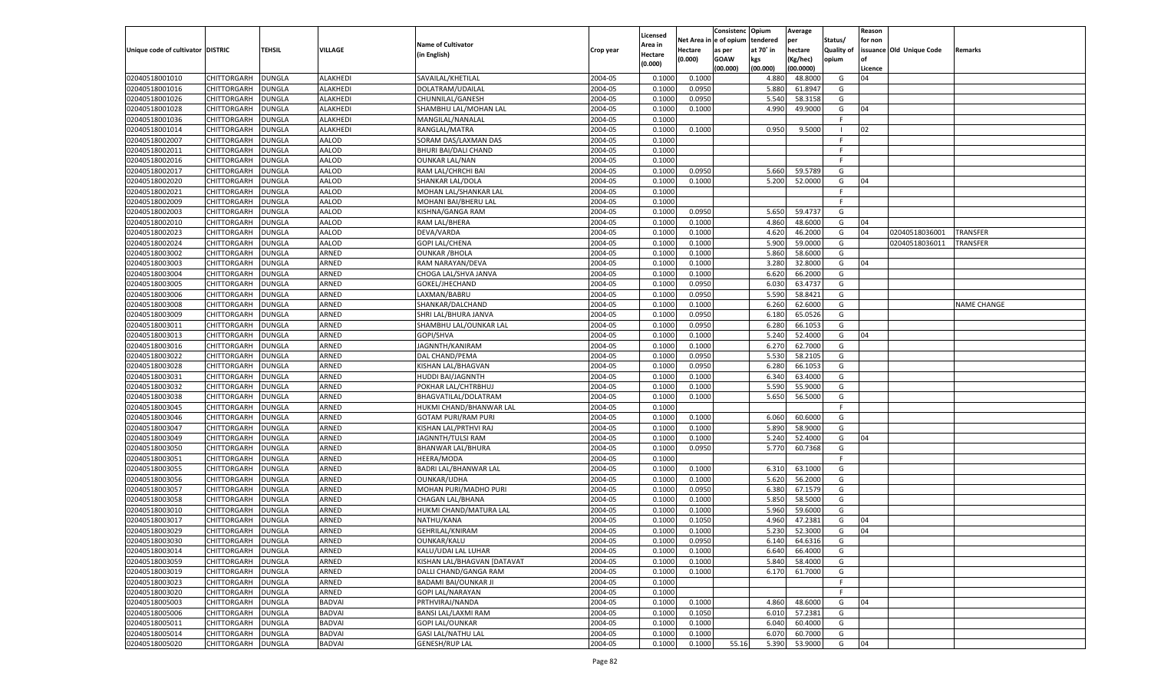|                                   |                    |               |                |                             |           |                    |             | Consistenc    | Opium     | Average   |                   | Reason  |                          |                    |
|-----------------------------------|--------------------|---------------|----------------|-----------------------------|-----------|--------------------|-------------|---------------|-----------|-----------|-------------------|---------|--------------------------|--------------------|
|                                   |                    |               |                |                             |           | Licensed           | Net Area iı | n  e of opium | tendered  | per       | Status/           | for non |                          |                    |
| Unique code of cultivator DISTRIC |                    | TEHSIL        | <b>VILLAGE</b> | <b>Name of Cultivator</b>   | Crop year | Area in            | Hectare     | as per        | at 70° in | hectare   | <b>Quality of</b> |         | issuance Old Unique Code | Remarks            |
|                                   |                    |               |                | (in English)                |           | Hectare<br>(0.000) | (0.000)     | <b>GOAW</b>   | kgs       | (Kg/hec)  | opium             |         |                          |                    |
|                                   |                    |               |                |                             |           |                    |             | (00.000)      | (00.000)  | (00.0000) |                   | Licence |                          |                    |
| 02040518001010                    | CHITTORGARH        | DUNGLA        | ALAKHEDI       | SAVAILAL/KHETILAL           | 2004-05   | 0.1000             | 0.1000      |               | 4.880     | 48.8000   | G                 | 04      |                          |                    |
| 02040518001016                    | CHITTORGARH        | DUNGLA        | ALAKHEDI       | DOLATRAM/UDAILAL            | 2004-05   | 0.1000             | 0.0950      |               | 5.880     | 61.8947   | G                 |         |                          |                    |
| 02040518001026                    | CHITTORGARH        | DUNGLA        | ALAKHEDI       | CHUNNILAL/GANESH            | 2004-05   | 0.1000             | 0.0950      |               | 5.540     | 58.3158   | G                 |         |                          |                    |
| 02040518001028                    | CHITTORGARH        | DUNGLA        | ALAKHEDI       | SHAMBHU LAL/MOHAN LAL       | 2004-05   | 0.1000             | 0.1000      |               | 4.990     | 49.9000   | G                 | 04      |                          |                    |
| 02040518001036                    | CHITTORGARH        | DUNGLA        | ALAKHEDI       | MANGILAL/NANALAL            | 2004-05   | 0.1000             |             |               |           |           | F.                |         |                          |                    |
| 02040518001014                    | CHITTORGARH        | DUNGLA        | ALAKHEDI       | RANGLAL/MATRA               | 2004-05   | 0.1000             | 0.1000      |               | 0.950     | 9.5000    | - 1               | 02      |                          |                    |
| 02040518002007                    | CHITTORGARH        | DUNGLA        | AALOD          | SORAM DAS/LAXMAN DAS        | 2004-05   | 0.1000             |             |               |           |           | F.                |         |                          |                    |
| 02040518002011                    | CHITTORGARH        | DUNGLA        | AALOD          | <b>BHURI BAI/DALI CHAND</b> | 2004-05   | 0.1000             |             |               |           |           | E                 |         |                          |                    |
| 02040518002016                    | CHITTORGARH        | DUNGLA        | AALOD          | <b>OUNKAR LAL/NAN</b>       | 2004-05   | 0.1000             |             |               |           |           | F.                |         |                          |                    |
| 02040518002017                    | CHITTORGARH        | DUNGLA        | AALOD          | RAM LAL/CHRCHI BAI          | 2004-05   | 0.1000             | 0.0950      |               | 5.660     | 59.5789   | G                 |         |                          |                    |
| 02040518002020                    | CHITTORGARH        | DUNGLA        | AALOD          | SHANKAR LAL/DOLA            | 2004-05   | 0.1000             | 0.1000      |               | 5.200     | 52.0000   | G                 | 04      |                          |                    |
| 02040518002021                    | CHITTORGARH        | DUNGLA        | AALOD          | MOHAN LAL/SHANKAR LAL       | 2004-05   | 0.1000             |             |               |           |           | E                 |         |                          |                    |
| 02040518002009                    | CHITTORGARH        | DUNGLA        | AALOD          | MOHANI BAI/BHERU LAI        | 2004-05   | 0.1000             |             |               |           |           | F.                |         |                          |                    |
| 02040518002003                    | CHITTORGARH        | DUNGLA        | AALOD          | KISHNA/GANGA RAM            | 2004-05   | 0.1000             | 0.0950      |               | 5.650     | 59.4737   | G                 |         |                          |                    |
| 02040518002010                    | CHITTORGARH        | DUNGLA        | AALOD          | RAM LAL/BHERA               | 2004-05   | 0.1000             | 0.1000      |               | 4.860     | 48.6000   | G                 | 04      |                          |                    |
| 02040518002023                    | CHITTORGARH        | DUNGLA        | AALOD          | DEVA/VARDA                  | 2004-05   | 0.1000             | 0.1000      |               | 4.620     | 46.2000   | G                 | 04      | 02040518036001           | TRANSFER           |
| 02040518002024                    | CHITTORGARH        | <b>DUNGLA</b> | AALOD          | <b>GOPI LAL/CHENA</b>       | 2004-05   | 0.1000             | 0.1000      |               | 5.900     | 59.0000   | G                 |         | 02040518036011           | <b>TRANSFER</b>    |
| 02040518003002                    | CHITTORGARH        | DUNGLA        | ARNED          | <b>OUNKAR / BHOLA</b>       | 2004-05   | 0.1000             | 0.1000      |               | 5.860     | 58.6000   | G                 |         |                          |                    |
| 02040518003003                    | CHITTORGARH        | DUNGLA        | ARNED          | RAM NARAYAN/DEVA            | 2004-05   | 0.1000             | 0.1000      |               | 3.280     | 32.8000   | G                 | 04      |                          |                    |
| 02040518003004                    | CHITTORGARH        | DUNGLA        | ARNED          | CHOGA LAL/SHVA JANVA        | 2004-05   | 0.1000             | 0.1000      |               | 6.620     | 66.2000   | G                 |         |                          |                    |
| 02040518003005                    | CHITTORGARH        | DUNGLA        | ARNED          | GOKEL/JHECHAND              | 2004-05   | 0.1000             | 0.0950      |               | 6.030     | 63.4737   | G                 |         |                          |                    |
| 02040518003006                    | CHITTORGARH        | DUNGLA        | ARNED          | LAXMAN/BABRU                | 2004-05   | 0.1000             | 0.0950      |               | 5.590     | 58.8421   | G                 |         |                          |                    |
| 02040518003008                    | CHITTORGARH        | DUNGLA        | ARNED          | SHANKAR/DALCHAND            | 2004-05   | 0.1000             | 0.1000      |               | 6.260     | 62.6000   | G                 |         |                          | <b>NAME CHANGE</b> |
| 02040518003009                    | CHITTORGARH        | DUNGLA        | ARNED          | SHRI LAL/BHURA JANVA        | 2004-05   | 0.1000             | 0.0950      |               | 6.180     | 65.0526   | G                 |         |                          |                    |
| 02040518003011                    | CHITTORGARH        | DUNGLA        | ARNED          | SHAMBHU LAL/OUNKAR LAL      | 2004-05   | 0.1000             | 0.0950      |               | 6.280     | 66.1053   | G                 |         |                          |                    |
| 02040518003013                    | CHITTORGARH        | DUNGLA        | ARNED          | GOPI/SHVA                   | 2004-05   | 0.1000             | 0.1000      |               | 5.240     | 52.4000   | G                 | 04      |                          |                    |
| 02040518003016                    | CHITTORGARH        | DUNGLA        | ARNED          | JAGNNTH/KANIRAM             | 2004-05   | 0.1000             | 0.1000      |               | 6.270     | 62.7000   | G                 |         |                          |                    |
| 02040518003022                    | CHITTORGARH        | DUNGLA        | ARNED          | DAL CHAND/PEMA              | 2004-05   | 0.1000             | 0.0950      |               | 5.530     | 58.2105   | G                 |         |                          |                    |
| 02040518003028                    | CHITTORGARH        | DUNGLA        | ARNED          |                             | 2004-05   | 0.1000             | 0.0950      |               | 6.280     | 66.1053   | G                 |         |                          |                    |
|                                   |                    |               |                | KISHAN LAL/BHAGVAN          |           |                    |             |               |           |           |                   |         |                          |                    |
| 02040518003031                    | CHITTORGARH        | DUNGLA        | ARNED          | <b>HUDDI BAI/JAGNNTH</b>    | 2004-05   | 0.1000             | 0.1000      |               | 6.340     | 63.4000   | G                 |         |                          |                    |
| 02040518003032                    | CHITTORGARH        | DUNGLA        | ARNED          | POKHAR LAL/CHTRBHUJ         | 2004-05   | 0.1000             | 0.1000      |               | 5.590     | 55.9000   | G                 |         |                          |                    |
| 02040518003038                    | CHITTORGARH        | DUNGLA        | ARNED          | BHAGVATILAL/DOLATRAM        | 2004-05   | 0.1000             | 0.1000      |               | 5.650     | 56.5000   | G                 |         |                          |                    |
| 02040518003045                    | CHITTORGARH        | DUNGLA        | ARNED          | HUKMI CHAND/BHANWAR LAL     | 2004-05   | 0.1000             |             |               |           |           | F.                |         |                          |                    |
| 02040518003046                    | CHITTORGARH        | DUNGLA        | ARNED          | <b>GOTAM PURI/RAM PURI</b>  | 2004-05   | 0.1000             | 0.1000      |               | 6.060     | 60.6000   | G                 |         |                          |                    |
| 02040518003047                    | CHITTORGARH        | DUNGLA        | ARNED          | KISHAN LAL/PRTHVI RAJ       | 2004-05   | 0.1000             | 0.1000      |               | 5.890     | 58.9000   | G                 |         |                          |                    |
| 02040518003049                    | CHITTORGARH        | DUNGLA        | ARNED          | JAGNNTH/TULSI RAM           | 2004-05   | 0.1000             | 0.1000      |               | 5.240     | 52.4000   | G                 | 04      |                          |                    |
| 02040518003050                    | CHITTORGARH        | <b>DUNGLA</b> | ARNED          | <b>BHANWAR LAL/BHURA</b>    | 2004-05   | 0.1000             | 0.0950      |               | 5.770     | 60.7368   | G                 |         |                          |                    |
| 02040518003051                    | CHITTORGARH        | DUNGLA        | ARNED          | HEERA/MODA                  | 2004-05   | 0.1000             |             |               |           |           | F                 |         |                          |                    |
| 02040518003055                    | CHITTORGARH        | DUNGLA        | ARNED          | BADRI LAL/BHANWAR LAL       | 2004-05   | 0.1000             | 0.1000      |               | 6.310     | 63.1000   | G                 |         |                          |                    |
| 02040518003056                    | CHITTORGARH        | DUNGLA        | ARNED          | OUNKAR/UDHA                 | 2004-05   | 0.1000             | 0.1000      |               | 5.620     | 56.2000   | G                 |         |                          |                    |
| 02040518003057                    | CHITTORGARH        | DUNGLA        | ARNED          | MOHAN PURI/MADHO PURI       | 2004-05   | 0.1000             | 0.0950      |               | 6.380     | 67.1579   | G                 |         |                          |                    |
| 02040518003058                    | CHITTORGARH        | DUNGLA        | ARNED          | CHAGAN LAL/BHANA            | 2004-05   | 0.1000             | 0.1000      |               | 5.850     | 58.5000   | G                 |         |                          |                    |
| 02040518003010                    | CHITTORGARH        | DUNGLA        | ARNED          | HUKMI CHAND/MATURA LAL      | 2004-05   | 0.1000             | 0.1000      |               | 5.960     | 59.6000   | G                 |         |                          |                    |
| 02040518003017                    | CHITTORGARH        | DUNGLA        | ARNED          | NATHU/KANA                  | 2004-05   | 0.1000             | 0.1050      |               | 4.960     | 47.2381   | G                 | 04      |                          |                    |
| 02040518003029                    | CHITTORGARH        | <b>DUNGLA</b> | ARNED          | <b>GEHRILAL/KNIRAM</b>      | 2004-05   | 0.1000             | 0.1000      |               | 5.230     | 52.3000   | G                 | 04      |                          |                    |
| 02040518003030                    | CHITTORGARH DUNGLA |               | ARNED          | OUNKAR/KALU                 | 2004-05   | 0.1000             | 0.0950      |               | 6.140     | 64.6316   | G                 |         |                          |                    |
| 02040518003014                    | <b>CHITTORGARH</b> | <b>DUNGLA</b> | ARNED          | KALU/UDAI LAL LUHAR         | 2004-05   | 0.1000             | 0.1000      |               | 6.640     | 66.4000   | G                 |         |                          |                    |
| 02040518003059                    | <b>CHITTORGARH</b> | <b>DUNGLA</b> | ARNED          | KISHAN LAL/BHAGVAN [DATAVAT | 2004-05   | 0.1000             | 0.1000      |               | 5.840     | 58.4000   | G                 |         |                          |                    |
| 02040518003019                    | CHITTORGARH        | <b>DUNGLA</b> | ARNED          | DALLI CHAND/GANGA RAM       | 2004-05   | 0.1000             | 0.1000      |               | 6.170     | 61.7000   | G                 |         |                          |                    |
| 02040518003023                    | <b>CHITTORGARH</b> | <b>DUNGLA</b> | ARNED          | BADAMI BAI/OUNKAR JI        | 2004-05   | 0.1000             |             |               |           |           | F.                |         |                          |                    |
| 02040518003020                    | <b>CHITTORGARH</b> | <b>DUNGLA</b> | ARNED          | <b>GOPI LAL/NARAYAN</b>     | 2004-05   | 0.1000             |             |               |           |           | F                 |         |                          |                    |
| 02040518005003                    | CHITTORGARH        | <b>DUNGLA</b> | <b>BADVAI</b>  | PRTHVIRAJ/NANDA             | 2004-05   | 0.1000             | 0.1000      |               | 4.860     | 48.6000   | G                 | 04      |                          |                    |
| 02040518005006                    | CHITTORGARH        | <b>DUNGLA</b> | <b>BADVAI</b>  | BANSI LAL/LAXMI RAM         | 2004-05   | 0.1000             | 0.1050      |               | 6.010     | 57.2381   | G                 |         |                          |                    |
| 02040518005011                    | CHITTORGARH        | <b>DUNGLA</b> | <b>BADVAI</b>  | <b>GOPI LAL/OUNKAR</b>      | 2004-05   | 0.1000             | 0.1000      |               | 6.040     | 60.4000   | G                 |         |                          |                    |
| 02040518005014                    | <b>CHITTORGARH</b> | <b>DUNGLA</b> | <b>BADVAI</b>  | <b>GASI LAL/NATHU LAL</b>   | 2004-05   | 0.1000             | 0.1000      |               | 6.070     | 60.7000   | G                 |         |                          |                    |
| 02040518005020                    | <b>CHITTORGARH</b> | <b>DUNGLA</b> | <b>BADVAI</b>  | <b>GENESH/RUP LAL</b>       | 2004-05   | 0.1000             | 0.1000      | 55.16         | 5.390     | 53.9000   | G                 | 04      |                          |                    |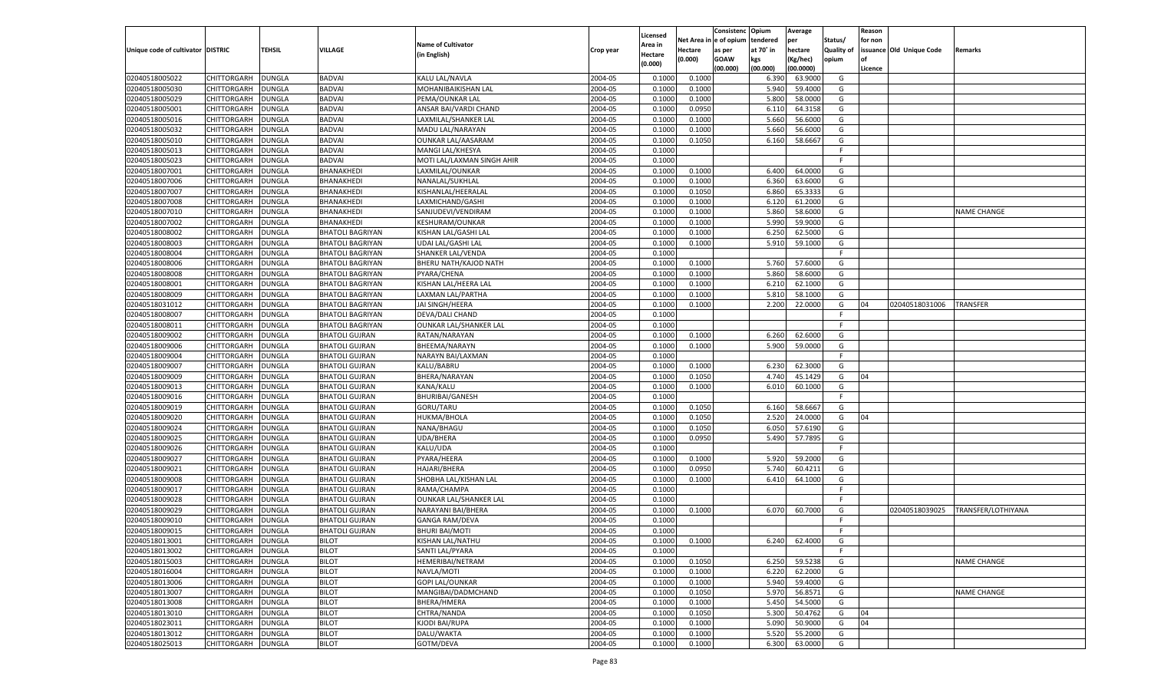|                                   |                    |               |                         |                            |           |          |             | Consistenc   | Opium     | Average   |            | Reason  |                          |                    |
|-----------------------------------|--------------------|---------------|-------------------------|----------------------------|-----------|----------|-------------|--------------|-----------|-----------|------------|---------|--------------------------|--------------------|
|                                   |                    |               |                         |                            |           | Licensed | Net Area iı | n e of opium | tendered  | per       | Status/    | for non |                          |                    |
| Unique code of cultivator DISTRIC |                    | TEHSIL        | <b>VILLAGE</b>          | <b>Name of Cultivator</b>  | Crop year | Area in  | Hectare     | as per       | at 70° in | hectare   | Quality of |         | issuance Old Unique Code | Remarks            |
|                                   |                    |               |                         | (in English)               |           | Hectare  | (0.000)     | <b>GOAW</b>  | kgs       | (Kg/hec)  | opium      |         |                          |                    |
|                                   |                    |               |                         |                            |           | (0.000)  |             | (00.000)     | (00.000)  | (00.0000) |            | Licence |                          |                    |
| 02040518005022                    | CHITTORGARH        | DUNGLA        | <b>BADVAI</b>           | KALU LAL/NAVLA             | 2004-05   | 0.1000   | 0.1000      |              | 6.390     | 63.9000   | G          |         |                          |                    |
| 02040518005030                    | CHITTORGARH        | DUNGLA        | <b>BADVAI</b>           | MOHANIBAIKISHAN LAL        | 2004-05   | 0.100    | 0.1000      |              | 5.940     | 59.4000   | G          |         |                          |                    |
| 02040518005029                    | CHITTORGARH        | DUNGLA        | <b>BADVAI</b>           | PEMA/OUNKAR LAL            | 2004-05   | 0.1000   | 0.1000      |              | 5.800     | 58.0000   | G          |         |                          |                    |
| 02040518005001                    | CHITTORGARH        | DUNGLA        | <b>BADVAI</b>           | ANSAR BAI/VARDI CHAND      | 2004-05   | 0.1000   | 0.0950      |              | 6.11      | 64.3158   | G          |         |                          |                    |
| 02040518005016                    | CHITTORGARH        | DUNGLA        | <b>BADVAI</b>           | LAXMILAL/SHANKER LAL       | 2004-05   | 0.1000   | 0.1000      |              | 5.660     | 56.6000   | G          |         |                          |                    |
| 02040518005032                    | CHITTORGARH        | DUNGLA        | <b>BADVAI</b>           | MADU LAL/NARAYAN           | 2004-05   | 0.1000   | 0.1000      |              | 5.660     | 56.6000   | G          |         |                          |                    |
| 02040518005010                    | CHITTORGARH        | DUNGLA        | <b>BADVAI</b>           | <b>OUNKAR LAL/AASARAM</b>  | 2004-05   | 0.1000   | 0.1050      |              | 6.160     | 58.6667   | G          |         |                          |                    |
| 02040518005013                    | CHITTORGARH        | DUNGLA        | <b>BADVAI</b>           | MANGI LAL/KHESYA           | 2004-05   | 0.1000   |             |              |           |           | E          |         |                          |                    |
| 02040518005023                    | CHITTORGARH        | DUNGLA        | <b>BADVAI</b>           | MOTI LAL/LAXMAN SINGH AHIR | 2004-05   | 0.1000   |             |              |           |           | F.         |         |                          |                    |
| 02040518007001                    | CHITTORGARH        |               |                         |                            | 2004-05   | 0.1000   |             |              | 6.400     | 64.0000   | G          |         |                          |                    |
|                                   |                    | DUNGLA        | BHANAKHEDI              | LAXMILAL/OUNKAR            |           |          | 0.1000      |              |           |           |            |         |                          |                    |
| 02040518007006                    | CHITTORGARH        | DUNGLA        | BHANAKHEDI              | NANALAL/SUKHLAL            | 2004-05   | 0.1000   | 0.1000      |              | 6.360     | 63.6000   | G          |         |                          |                    |
| 02040518007007                    | CHITTORGARH        | DUNGLA        | BHANAKHEDI              | KISHANLAL/HEERALAL         | 2004-05   | 0.1000   | 0.1050      |              | 6.860     | 65.3333   | G          |         |                          |                    |
| 02040518007008                    | CHITTORGARH        | DUNGLA        | BHANAKHEDI              | LAXMICHAND/GASHI           | 2004-05   | 0.1000   | 0.1000      |              | 6.120     | 61.2000   | G          |         |                          |                    |
| 02040518007010                    | CHITTORGARH        | DUNGLA        | BHANAKHEDI              | SANJUDEVI/VENDIRAM         | 2004-05   | 0.1000   | 0.1000      |              | 5.860     | 58.6000   | G          |         |                          | NAME CHANGE        |
| 02040518007002                    | CHITTORGARH        | DUNGLA        | BHANAKHEDI              | <b>KESHURAM/OUNKAR</b>     | 2004-05   | 0.1000   | 0.1000      |              | 5.990     | 59.9000   | G          |         |                          |                    |
| 02040518008002                    | CHITTORGARH        | DUNGLA        | <b>BHATOLI BAGRIYAN</b> | KISHAN LAL/GASHI LAL       | 2004-05   | 0.1000   | 0.1000      |              | 6.250     | 62.5000   | G          |         |                          |                    |
| 02040518008003                    | CHITTORGARH        | DUNGLA        | <b>BHATOLI BAGRIYAN</b> | UDAI LAL/GASHI LAL         | 2004-05   | 0.1000   | 0.1000      |              | 5.910     | 59.1000   | G          |         |                          |                    |
| 02040518008004                    | CHITTORGARH        | DUNGLA        | <b>BHATOLI BAGRIYAN</b> | SHANKER LAL/VENDA          | 2004-05   | 0.1000   |             |              |           |           | F.         |         |                          |                    |
| 02040518008006                    | CHITTORGARH        | DUNGLA        | <b>BHATOLI BAGRIYAN</b> | BHERU NATH/KAJOD NATH      | 2004-05   | 0.1000   | 0.1000      |              | 5.760     | 57.6000   | G          |         |                          |                    |
| 02040518008008                    | CHITTORGARH        | DUNGLA        | <b>BHATOLI BAGRIYAN</b> | PYARA/CHENA                | 2004-05   | 0.1000   | 0.1000      |              | 5.860     | 58.6000   | G          |         |                          |                    |
| 02040518008001                    | CHITTORGARH        | DUNGLA        | <b>BHATOLI BAGRIYAN</b> | KISHAN LAL/HEERA LAL       | 2004-05   | 0.1000   | 0.1000      |              | 6.210     | 62.1000   | G          |         |                          |                    |
| 02040518008009                    | CHITTORGARH        | DUNGLA        | <b>BHATOLI BAGRIYAN</b> | LAXMAN LAL/PARTHA          | 2004-05   | 0.1000   | 0.1000      |              | 5.810     | 58.1000   | G          |         |                          |                    |
| 02040518031012                    | CHITTORGARH        | DUNGLA        | <b>BHATOLI BAGRIYAN</b> | JAI SINGH/HEERA            | 2004-05   | 0.1000   | 0.1000      |              | 2.200     | 22.0000   | G          | 04      | 02040518031006           | TRANSFER           |
| 02040518008007                    | CHITTORGARH        | DUNGLA        | <b>BHATOLI BAGRIYAN</b> | <b>DEVA/DALI CHAND</b>     | 2004-05   | 0.1000   |             |              |           |           | F.         |         |                          |                    |
| 02040518008011                    | CHITTORGARH        | DUNGLA        | <b>BHATOLI BAGRIYAN</b> | OUNKAR LAL/SHANKER LAL     | 2004-05   | 0.1000   |             |              |           |           | F.         |         |                          |                    |
| 02040518009002                    | CHITTORGARH        | DUNGLA        | <b>BHATOLI GUJRAN</b>   | RATAN/NARAYAN              | 2004-05   | 0.1000   | 0.1000      |              | 6.260     | 62.6000   | G          |         |                          |                    |
| 02040518009006                    | CHITTORGARH        | DUNGLA        | <b>BHATOLI GUJRAN</b>   | BHEEMA/NARAYN              | 2004-05   | 0.1000   | 0.1000      |              | 5.900     | 59.0000   | G          |         |                          |                    |
| 02040518009004                    | CHITTORGARH        | DUNGLA        | <b>BHATOLI GUJRAN</b>   | NARAYN BAI/LAXMAN          | 2004-05   | 0.1000   |             |              |           |           | F.         |         |                          |                    |
| 02040518009007                    | CHITTORGARH        | DUNGLA        | <b>BHATOLI GUJRAN</b>   | KALU/BABRU                 | 2004-05   | 0.1000   | 0.1000      |              | 6.230     | 62.3000   | G          |         |                          |                    |
| 02040518009009                    | CHITTORGARH        | DUNGLA        | <b>BHATOLI GUJRAN</b>   | BHERA/NARAYAN              | 2004-05   | 0.1000   | 0.1050      |              | 4.740     | 45.1429   | G          | 04      |                          |                    |
| 02040518009013                    |                    |               |                         | KANA/KALU                  | 2004-05   | 0.1000   | 0.1000      |              | 6.010     | 60.1000   | G          |         |                          |                    |
|                                   | CHITTORGARH        | DUNGLA        | <b>BHATOLI GUJRAN</b>   |                            |           |          |             |              |           |           | F          |         |                          |                    |
| 02040518009016                    | CHITTORGARH        | DUNGLA        | <b>BHATOLI GUJRAN</b>   | <b>BHURIBAI/GANESH</b>     | 2004-05   | 0.1000   |             |              |           |           |            |         |                          |                    |
| 02040518009019                    | CHITTORGARH        | <b>DUNGLA</b> | <b>BHATOLI GUJRAN</b>   | GORU/TARU                  | 2004-05   | 0.1000   | 0.1050      |              | 6.160     | 58.6667   | G          |         |                          |                    |
| 02040518009020                    | CHITTORGARH        | DUNGLA        | <b>BHATOLI GUJRAN</b>   | HUKMA/BHOLA                | 2004-05   | 0.1000   | 0.1050      |              | 2.520     | 24.0000   | G          | 04      |                          |                    |
| 02040518009024                    | CHITTORGARH        | DUNGLA        | <b>BHATOLI GUJRAN</b>   | NANA/BHAGU                 | 2004-05   | 0.1000   | 0.1050      |              | 6.050     | 57.6190   | G          |         |                          |                    |
| 02040518009025                    | CHITTORGARH        | DUNGLA        | <b>BHATOLI GUJRAN</b>   | <b>UDA/BHERA</b>           | 2004-05   | 0.1000   | 0.0950      |              | 5.490     | 57.7895   | G          |         |                          |                    |
| 02040518009026                    | CHITTORGARH        | <b>DUNGLA</b> | <b>BHATOLI GUJRAN</b>   | KALU/UDA                   | 2004-05   | 0.1000   |             |              |           |           | F.         |         |                          |                    |
| 02040518009027                    | CHITTORGARH        | DUNGLA        | <b>BHATOLI GUJRAN</b>   | PYARA/HEERA                | 2004-05   | 0.1000   | 0.1000      |              | 5.920     | 59.2000   | G          |         |                          |                    |
| 02040518009021                    | CHITTORGARH        | DUNGLA        | <b>BHATOLI GUJRAN</b>   | <b>HAJARI/BHERA</b>        | 2004-05   | 0.1000   | 0.0950      |              | 5.740     | 60.4211   | G          |         |                          |                    |
| 02040518009008                    | CHITTORGARH        | DUNGLA        | <b>BHATOLI GUJRAN</b>   | SHOBHA LAL/KISHAN LAL      | 2004-05   | 0.1000   | 0.1000      |              | 6.410     | 64.1000   | G          |         |                          |                    |
| 02040518009017                    | CHITTORGARH        | <b>DUNGLA</b> | <b>BHATOLI GUJRAN</b>   | RAMA/CHAMPA                | 2004-05   | 0.1000   |             |              |           |           | F.         |         |                          |                    |
| 02040518009028                    | CHITTORGARH        | DUNGLA        | <b>BHATOLI GUJRAN</b>   | OUNKAR LAL/SHANKER LAL     | 2004-05   | 0.1000   |             |              |           |           | F          |         |                          |                    |
| 02040518009029                    | CHITTORGARH        | DUNGLA        | <b>BHATOLI GUJRAN</b>   | NARAYANI BAI/BHERA         | 2004-05   | 0.1000   | 0.1000      |              | 6.070     | 60.7000   | G          |         | 02040518039025           | TRANSFER/LOTHIYANA |
| 02040518009010                    | CHITTORGARH        | DUNGLA        | <b>BHATOLI GUJRAN</b>   | <b>GANGA RAM/DEVA</b>      | 2004-05   | 0.1000   |             |              |           |           | F          |         |                          |                    |
| 02040518009015                    | CHITTORGARH        | <b>DUNGLA</b> | <b>BHATOLI GUJRAN</b>   | <b>BHURI BAI/MOTI</b>      | 2004-05   | 0.1000   |             |              |           |           | F.         |         |                          |                    |
| 02040518013001                    | CHITTORGARH DUNGLA |               | <b>BILOT</b>            | KISHAN LAL/NATHU           | 2004-05   | 0.1000   | 0.1000      |              | 6.240     | 62.4000   | G          |         |                          |                    |
| 02040518013002                    | <b>CHITTORGARH</b> | <b>DUNGLA</b> | <b>BILOT</b>            | SANTI LAL/PYARA            | 2004-05   | 0.1000   |             |              |           |           | -F         |         |                          |                    |
| 02040518015003                    | CHITTORGARH        | <b>DUNGLA</b> | <b>BILOT</b>            | HEMERIBAI/NETRAM           | 2004-05   | 0.1000   | 0.1050      |              | 6.250     | 59.5238   | G          |         |                          | <b>NAME CHANGE</b> |
| 02040518016004                    | CHITTORGARH        | <b>DUNGLA</b> | <b>BILOT</b>            | NAVLA/MOTI                 | 2004-05   | 0.1000   | 0.1000      |              | 6.220     | 62.2000   | G          |         |                          |                    |
| 02040518013006                    | <b>CHITTORGARH</b> | <b>DUNGLA</b> | <b>BILOT</b>            | <b>GOPI LAL/OUNKAR</b>     | 2004-05   | 0.1000   | 0.1000      |              | 5.940     | 59.4000   | G          |         |                          |                    |
| 02040518013007                    | CHITTORGARH        | <b>DUNGLA</b> | <b>BILOT</b>            | MANGIBAI/DADMCHAND         | 2004-05   | 0.1000   | 0.1050      |              | 5.970     | 56.8571   | G          |         |                          | <b>NAME CHANGE</b> |
| 02040518013008                    | CHITTORGARH        | <b>DUNGLA</b> | <b>BILOT</b>            | BHERA/HMERA                | 2004-05   | 0.1000   | 0.1000      |              | 5.450     | 54.5000   | G          |         |                          |                    |
| 02040518013010                    | CHITTORGARH        | <b>DUNGLA</b> | <b>BILOT</b>            | CHTRA/NANDA                | 2004-05   | 0.1000   | 0.1050      |              | 5.300     | 50.4762   | G          | 04      |                          |                    |
| 02040518023011                    | <b>CHITTORGARH</b> | <b>DUNGLA</b> | <b>BILOT</b>            | KJODI BAI/RUPA             | 2004-05   | 0.1000   | 0.1000      |              | 5.090     | 50.9000   | G          | 04      |                          |                    |
|                                   |                    |               |                         |                            |           |          |             |              |           |           |            |         |                          |                    |
| 02040518013012                    | CHITTORGARH        | <b>DUNGLA</b> | <b>BILOT</b>            | DALU/WAKTA                 | 2004-05   | 0.1000   | 0.1000      |              | 5.520     | 55.2000   | G          |         |                          |                    |
| 02040518025013                    | CHITTORGARH        | <b>DUNGLA</b> | <b>BILOT</b>            | GOTM/DEVA                  | 2004-05   | 0.1000   | 0.1000      |              | 6.300     | 63.0000   | G          |         |                          |                    |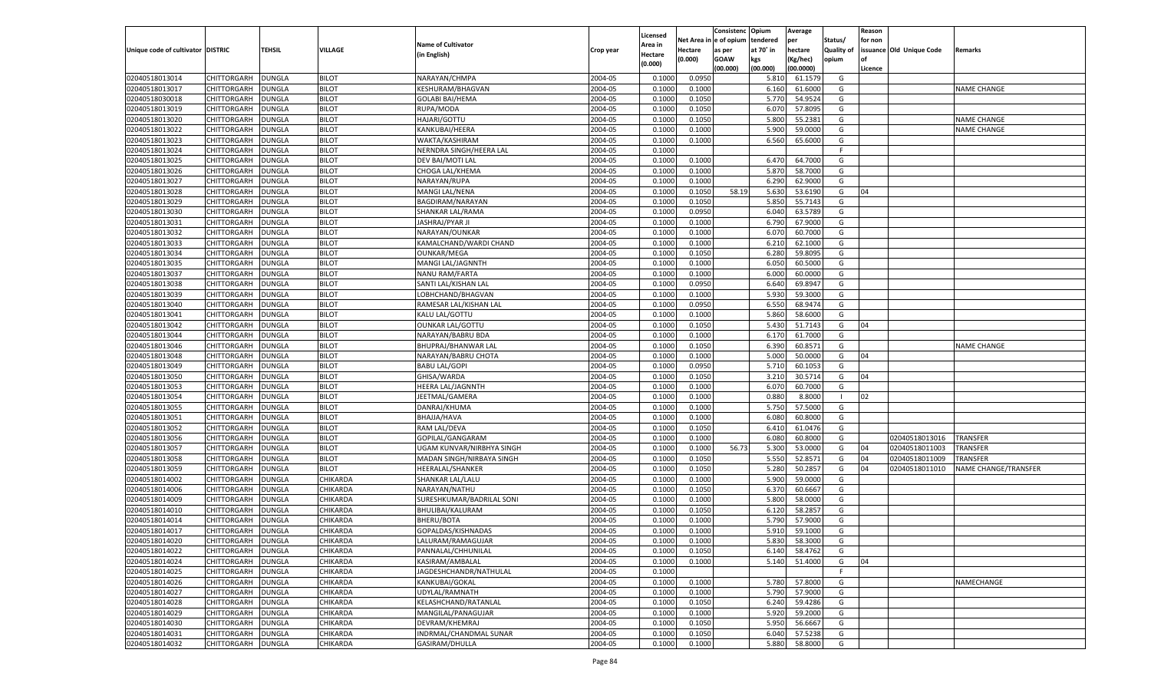|                                   |                            |                  |                      |                           |           |                     |                  | Consistenc    | Opium     | Average           |            | Reason  |                          |                      |
|-----------------------------------|----------------------------|------------------|----------------------|---------------------------|-----------|---------------------|------------------|---------------|-----------|-------------------|------------|---------|--------------------------|----------------------|
|                                   |                            |                  |                      | <b>Name of Cultivator</b> |           | Licensed<br>Area in | Net Area i       | n  e of opium | tendered  | per               | Status/    | for non |                          |                      |
| Unique code of cultivator DISTRIC |                            | TEHSIL           | VILLAGE              | (in English)              | Crop year | Hectare             | Hectare          | as per        | at 70° in | hectare           | Quality of |         | issuance Old Unique Code | Remarks              |
|                                   |                            |                  |                      |                           |           | (0.000)             | (0.000)          | <b>GOAW</b>   | kgs       | (Kg/hec)          | opium      |         |                          |                      |
|                                   |                            |                  |                      |                           |           |                     |                  | (00.000)      | (00.000)  | (00.0000)         |            | Licence |                          |                      |
| 02040518013014                    | CHITTORGARH                | DUNGLA           | <b>BILOT</b>         | NARAYAN/CHMPA             | 2004-05   | 0.1000              | 0.0950           |               | 5.810     | 61.1579           | G          |         |                          |                      |
| 02040518013017                    | CHITTORGARH                | DUNGLA           | <b>BILOT</b>         | KESHURAM/BHAGVAN          | 2004-05   | 0.100               | 0.1000           |               | 6.160     | 61.6000           | G          |         |                          | NAME CHANGE          |
| 02040518030018                    | CHITTORGARH                | DUNGLA           | <b>BILOT</b>         | <b>GOLABI BAI/HEMA</b>    | 2004-05   | 0.1000              | 0.1050           |               | 5.770     | 54.9524           | G          |         |                          |                      |
| 02040518013019                    | CHITTORGARH                | DUNGLA           | <b>BILOT</b>         | RUPA/MODA                 | 2004-05   | 0.1000              | 0.1050           |               | 6.070     | 57.8095           | G          |         |                          |                      |
| 02040518013020                    | CHITTORGARH                | DUNGLA           | <b>BILOT</b>         | HAJARI/GOTTU              | 2004-05   | 0.1000              | 0.1050           |               | 5.800     | 55.2381           | G          |         |                          | <b>NAME CHANGE</b>   |
| 02040518013022                    | CHITTORGARH                | DUNGLA           | <b>BILOT</b>         | KANKUBAI/HEERA            | 2004-05   | 0.1000              | 0.1000           |               | 5.900     | 59.0000           | G          |         |                          | NAME CHANGE          |
| 02040518013023                    | CHITTORGARH                | DUNGLA           | <b>BILOT</b>         | WAKTA/KASHIRAM            | 2004-05   | 0.1000              | 0.1000           |               | 6.560     | 65.6000           | G          |         |                          |                      |
| 02040518013024                    | CHITTORGARH                | DUNGLA           | <b>BILOT</b>         | NERNDRA SINGH/HEERA LAL   | 2004-05   | 0.1000              |                  |               |           |                   | E          |         |                          |                      |
| 02040518013025                    | CHITTORGARH                | DUNGLA           | <b>BILOT</b>         | DEV BAI/MOTI LAL          | 2004-05   | 0.1000              | 0.1000           |               | 6.470     | 64.7000           | G          |         |                          |                      |
| 02040518013026                    | CHITTORGARH                | DUNGLA           | <b>BILOT</b>         | CHOGA LAL/KHEMA           | 2004-05   | 0.1000              | 0.1000           |               | 5.870     | 58.7000           | G          |         |                          |                      |
| 02040518013027                    | CHITTORGARH                | DUNGLA           | <b>BILOT</b>         | NARAYAN/RUPA              | 2004-05   | 0.1000              | 0.1000           |               | 6.290     | 62.9000           | G          |         |                          |                      |
| 02040518013028                    | CHITTORGARH                | DUNGLA           | <b>BILOT</b>         | MANGI LAL/NENA            | 2004-05   | 0.1000              | 0.1050           | 58.19         | 5.630     | 53.6190           | G          | 04      |                          |                      |
| 02040518013029                    | CHITTORGARH                | DUNGLA           | <b>BILOT</b>         | BAGDIRAM/NARAYAN          | 2004-05   | 0.1000              | 0.1050           |               | 5.850     | 55.7143           | G          |         |                          |                      |
| 02040518013030                    | CHITTORGARH                | DUNGLA           | <b>BILOT</b>         | SHANKAR LAL/RAMA          | 2004-05   | 0.1000              | 0.0950           |               | 6.040     | 63.5789           | G          |         |                          |                      |
| 02040518013031                    | CHITTORGARH                | DUNGLA           | <b>BILOT</b>         | JASHRAJ/PYAR JI           | 2004-05   | 0.1000              | 0.1000           |               | 6.790     | 67.9000           | G          |         |                          |                      |
| 02040518013032                    | CHITTORGARH                | DUNGLA           | <b>BILOT</b>         | NARAYAN/OUNKAR            | 2004-05   | 0.1000              | 0.1000           |               | 6.070     | 60.7000           | G          |         |                          |                      |
| 02040518013033                    | CHITTORGARH                | DUNGLA           | <b>BILOT</b>         | KAMALCHAND/WARDI CHAND    | 2004-05   | 0.1000              | 0.1000           |               | 6.210     | 62.1000           | G          |         |                          |                      |
| 02040518013034                    | CHITTORGARH                | DUNGLA           | <b>BILOT</b>         | OUNKAR/MEGA               | 2004-05   | 0.1000              | 0.1050           |               | 6.280     | 59.8095           | G          |         |                          |                      |
| 02040518013035                    | CHITTORGARH                | DUNGLA           | <b>BILOT</b>         | MANGI LAL/JAGNNTH         | 2004-05   | 0.1000              | 0.1000           |               | 6.050     | 60.5000           | G          |         |                          |                      |
| 02040518013037                    | CHITTORGARH                | DUNGLA           | <b>BILOT</b>         | <b>NANU RAM/FARTA</b>     | 2004-05   | 0.1000              | 0.1000           |               | 6.000     | 60.0000           | G          |         |                          |                      |
| 02040518013038                    | CHITTORGARH                | DUNGLA           | <b>BILOT</b>         | SANTI LAL/KISHAN LAL      | 2004-05   | 0.1000              | 0.0950           |               | 6.640     | 69.8947           | G          |         |                          |                      |
| 02040518013039                    | CHITTORGARH                | DUNGLA           | <b>BILOT</b>         | LOBHCHAND/BHAGVAN         | 2004-05   | 0.1000              | 0.1000           |               | 5.930     | 59.3000           | G          |         |                          |                      |
| 02040518013040                    | CHITTORGARH                | DUNGLA           | <b>BILOT</b>         | RAMESAR LAL/KISHAN LAL    | 2004-05   | 0.1000              | 0.0950           |               | 6.550     | 68.9474           | G          |         |                          |                      |
| 02040518013041                    | CHITTORGARH                | DUNGLA           | <b>BILOT</b>         | KALU LAL/GOTTU            | 2004-05   | 0.1000              | 0.1000           |               | 5.860     | 58.6000           | G          |         |                          |                      |
| 02040518013042                    | CHITTORGARH                | DUNGLA           | <b>BILOT</b>         | <b>OUNKAR LAL/GOTTU</b>   | 2004-05   | 0.1000              | 0.1050           |               | 5.430     | 51.7143           | G          | 04      |                          |                      |
| 02040518013044                    | CHITTORGARH                | DUNGLA           | <b>BILOT</b>         | NARAYAN/BABRU BDA         | 2004-05   | 0.1000              | 0.1000           |               | 6.170     | 61.7000           | G          |         |                          |                      |
| 02040518013046                    | CHITTORGARH                | DUNGLA           | <b>BILOT</b>         | BHUPRAJ/BHANWAR LAI       | 2004-05   | 0.1000              | 0.1050           |               | 6.390     | 60.8571           | G          |         |                          | <b>NAME CHANGE</b>   |
| 02040518013048                    | CHITTORGARH                | DUNGLA           | <b>BILOT</b>         | NARAYAN/BABRU CHOTA       | 2004-05   | 0.1000              | 0.1000           |               | 5.000     | 50.0000           | G          | 04      |                          |                      |
| 02040518013049                    | CHITTORGARH                | DUNGLA           | <b>BILOT</b>         | <b>BABU LAL/GOPI</b>      | 2004-05   | 0.1000              | 0.0950           |               | 5.710     | 60.1053           | G          |         |                          |                      |
| 02040518013050                    | CHITTORGARH                | DUNGLA           | <b>BILOT</b>         | GHISA/WARDA               | 2004-05   | 0.1000              | 0.1050           |               | 3.210     | 30.5714           | G          | 04      |                          |                      |
| 02040518013053                    | CHITTORGARH                | DUNGLA           | <b>BILOT</b>         | <b>HEERA LAL/JAGNNTH</b>  | 2004-05   | 0.1000              | 0.1000           |               | 6.070     | 60.7000           | G          |         |                          |                      |
| 02040518013054                    | CHITTORGARH                | DUNGLA           | <b>BILOT</b>         | JEETMAL/GAMERA            | 2004-05   | 0.1000              | 0.1000           |               | 0.880     | 8.8000            | - 1        | 02      |                          |                      |
| 02040518013055                    | CHITTORGARH                | <b>DUNGLA</b>    | <b>BILOT</b>         | DANRAJ/KHUMA              | 2004-05   | 0.1000              | 0.1000           |               | 5.750     | 57.5000           | G          |         |                          |                      |
| 02040518013051                    | CHITTORGARH                | DUNGLA           | <b>BILOT</b>         | BHAJJA/HAVA               | 2004-05   | 0.1000              | 0.1000           |               | 6.080     | 60.8000           | G          |         |                          |                      |
| 02040518013052                    | CHITTORGARH                | DUNGLA           | <b>BILOT</b>         | RAM LAL/DEVA              | 2004-05   | 0.1000              | 0.1050           |               | 6.410     | 61.0476           | G          |         |                          |                      |
| 02040518013056                    | CHITTORGARH                | DUNGLA           | <b>BILOT</b>         | GOPILAL/GANGARAM          | 2004-05   | 0.1000              | 0.1000           |               | 6.080     | 60.8000           | G          |         | 02040518013016           | <b>TRANSFER</b>      |
| 02040518013057                    | CHITTORGARH                | <b>DUNGLA</b>    | <b>BILOT</b>         | UGAM KUNVAR/NIRBHYA SINGH | 2004-05   | 0.1000              | 0.1000           | 56.73         | 5.300     | 53.0000           | G          | 04      | 02040518011003           | TRANSFER             |
| 02040518013058                    | CHITTORGARH                | DUNGLA           | <b>BILOT</b>         | MADAN SINGH/NIRBAYA SINGH | 2004-05   | 0.1000              | 0.1050           |               | 5.550     | 52.8571           | G          | 04      | 02040518011009           | TRANSFER             |
| 02040518013059                    | CHITTORGARH                | DUNGLA           | <b>BILOT</b>         | <b>HEERALAL/SHANKER</b>   | 2004-05   | 0.1000              | 0.1050           |               | 5.280     | 50.285            | G          | 04      | 02040518011010           | NAME CHANGE/TRANSFER |
| 02040518014002                    |                            |                  | CHIKARDA             |                           | 2004-05   | 0.1000              |                  |               | 5.900     | 59.0000           | G          |         |                          |                      |
| 02040518014006                    | CHITTORGARH                | DUNGLA<br>DUNGLA | CHIKARDA             | SHANKAR LAL/LALU          | 2004-05   | 0.1000              | 0.1000<br>0.1050 |               | 6.370     | 60.6667           | G          |         |                          |                      |
| 02040518014009                    | CHITTORGARH                |                  |                      | NARAYAN/NATHU             | 2004-05   | 0.1000              |                  |               | 5.800     |                   | G          |         |                          |                      |
|                                   | CHITTORGARH<br>CHITTORGARH | DUNGLA           | CHIKARDA<br>CHIKARDA | SURESHKUMAR/BADRILAL SONI |           |                     | 0.1000           |               |           | 58.0000<br>58.285 |            |         |                          |                      |
| 02040518014010                    |                            | DUNGLA           |                      | BHULIBAI/KALURAM          | 2004-05   | 0.1000              | 0.1050           |               | 6.120     |                   | G          |         |                          |                      |
| 02040518014014                    | CHITTORGARH                | DUNGLA           | CHIKARDA             | BHERU/BOTA                | 2004-05   | 0.1000              | 0.1000           |               | 5.790     | 57.9000           | G          |         |                          |                      |
| 02040518014017                    | CHITTORGARH                | <b>DUNGLA</b>    | CHIKARDA             | GOPALDAS/KISHNADAS        | 2004-05   | 0.1000              | 0.1000           |               | 5.910     | 59.1000           | G          |         |                          |                      |
| 02040518014020                    | CHITTORGARH DUNGLA         |                  | <b>CHIKARDA</b>      | LALURAM/RAMAGUJAR         | 2004-05   | 0.1000              | 0.1000           |               |           | 5.830 58.3000     | G          |         |                          |                      |
| 02040518014022                    | <b>CHITTORGARH</b>         | <b>DUNGLA</b>    | <b>CHIKARDA</b>      | PANNALAL/CHHUNILAL        | 2004-05   | 0.1000              | 0.1050           |               | 6.140     | 58.4762           | G          |         |                          |                      |
| 02040518014024                    | CHITTORGARH                | <b>DUNGLA</b>    | CHIKARDA             | KASIRAM/AMBALAL           | 2004-05   | 0.1000              | 0.1000           |               | 5.140     | 51.4000           | G          | 04      |                          |                      |
| 02040518014025                    | CHITTORGARH                | <b>DUNGLA</b>    | CHIKARDA             | JAGDESHCHANDR/NATHULAL    | 2004-05   | 0.1000              |                  |               |           |                   | -F         |         |                          |                      |
| 02040518014026                    | CHITTORGARH                | <b>DUNGLA</b>    | CHIKARDA             | KANKUBAI/GOKAL            | 2004-05   | 0.1000              | 0.1000           |               | 5.780     | 57.8000           | G          |         |                          | NAMECHANGE           |
| 02040518014027                    | CHITTORGARH                | <b>DUNGLA</b>    | <b>CHIKARDA</b>      | UDYLAL/RAMNATH            | 2004-05   | 0.1000              | 0.1000           |               | 5.790     | 57.9000           | G          |         |                          |                      |
| 02040518014028                    | CHITTORGARH                | <b>DUNGLA</b>    | CHIKARDA             | KELASHCHAND/RATANLAL      | 2004-05   | 0.1000              | 0.1050           |               | 6.240     | 59.4286           | G          |         |                          |                      |
| 02040518014029                    | CHITTORGARH                | <b>DUNGLA</b>    | CHIKARDA             | MANGILAL/PANAGUJAR        | 2004-05   | 0.1000              | 0.1000           |               | 5.920     | 59.2000           | G          |         |                          |                      |
| 02040518014030                    | CHITTORGARH                | <b>DUNGLA</b>    | CHIKARDA             | DEVRAM/KHEMRAJ            | 2004-05   | 0.1000              | 0.1050           |               | 5.950     | 56.6667           | G          |         |                          |                      |
| 02040518014031                    | <b>CHITTORGARH</b>         | <b>DUNGLA</b>    | <b>CHIKARDA</b>      | INDRMAL/CHANDMAL SUNAR    | 2004-05   | 0.1000              | 0.1050           |               | 6.040     | 57.5238           | G          |         |                          |                      |
| 02040518014032                    | CHITTORGARH                | <b>DUNGLA</b>    | CHIKARDA             | GASIRAM/DHULLA            | 2004-05   | 0.1000              | 0.1000           |               | 5.880     | 58.8000           | G          |         |                          |                      |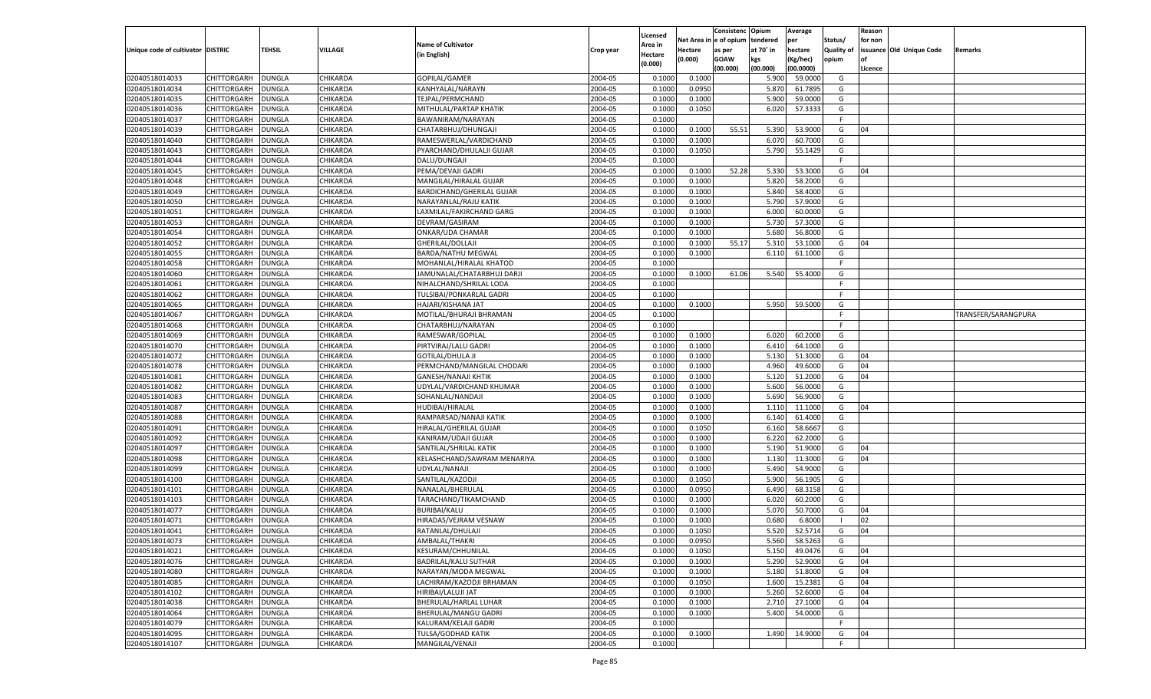|                                   |                            |               |                 |                                  |                    |                     |             | Consistenc    | Opium     | Average   |            | Reason  |                          |                     |
|-----------------------------------|----------------------------|---------------|-----------------|----------------------------------|--------------------|---------------------|-------------|---------------|-----------|-----------|------------|---------|--------------------------|---------------------|
|                                   |                            |               |                 | <b>Name of Cultivator</b>        |                    | Licensed<br>Area in | Net Area iı | n  e of opium | tendered  | per       | Status/    | for non |                          |                     |
| Unique code of cultivator DISTRIC |                            | TEHSIL        | VILLAGE         | (in English)                     | Crop year          | Hectare             | Hectare     | as per        | at 70° in | hectare   | Quality of |         | issuance Old Unique Code | Remarks             |
|                                   |                            |               |                 |                                  |                    | (0.000)             | (0.000)     | <b>GOAW</b>   | kgs       | (Kg/hec)  | opium      |         |                          |                     |
|                                   |                            |               |                 |                                  |                    |                     |             | (00.000)      | (00.000)  | (00.0000) |            | Licence |                          |                     |
| 02040518014033                    | CHITTORGARH                | <b>DUNGLA</b> | CHIKARDA        | GOPILAL/GAMER                    | 2004-05            | 0.1000              | 0.1000      |               | 5.900     | 59.0000   | G          |         |                          |                     |
| 02040518014034                    | CHITTORGARH                | DUNGLA        | CHIKARDA        | KANHYALAL/NARAYN                 | 2004-05            | 0.1000              | 0.0950      |               | 5.870     | 61.7895   | G          |         |                          |                     |
| 02040518014035                    | CHITTORGARH                | DUNGLA        | CHIKARDA        | TEJPAL/PERMCHAND                 | 2004-05            | 0.1000              | 0.1000      |               | 5.900     | 59.0000   | G          |         |                          |                     |
| 02040518014036                    | CHITTORGARH                | DUNGLA        | CHIKARDA        | MITHULAL/PARTAP KHATIK           | 2004-05            | 0.1000              | 0.1050      |               | 6.020     | 57.3333   | G          |         |                          |                     |
| 02040518014037                    | CHITTORGARH                | DUNGLA        | CHIKARDA        | BAWANIRAM/NARAYAN                | 2004-05            | 0.1000              |             |               |           |           | F.         |         |                          |                     |
| 02040518014039                    | CHITTORGARH                | DUNGLA        | CHIKARDA        | CHATARBHUJ/DHUNGAJI              | 2004-05            | 0.1000              | 0.1000      | 55.51         | 5.390     | 53.9000   | G          | 04      |                          |                     |
| 02040518014040                    | CHITTORGARH                | DUNGLA        | CHIKARDA        | RAMESWERLAL/VARDICHAND           | 2004-05            | 0.1000              | 0.1000      |               | 6.070     | 60.7000   | G          |         |                          |                     |
| 02040518014043                    | CHITTORGARH                | DUNGLA        | CHIKARDA        | PYARCHAND/DHULALJI GUJAR         | 2004-05            | 0.1000              | 0.1050      |               | 5.790     | 55.1429   | G          |         |                          |                     |
| 02040518014044                    | CHITTORGARH                | DUNGLA        | CHIKARDA        | DALU/DUNGAJI                     | 2004-05            | 0.1000              |             |               |           |           | F.         |         |                          |                     |
| 02040518014045                    | CHITTORGARH                | DUNGLA        | CHIKARDA        | PEMA/DEVAJI GADRI                | 2004-05            | 0.1000              | 0.1000      | 52.28         | 5.330     | 53.3000   | G          | 04      |                          |                     |
| 02040518014048                    | CHITTORGARH                | DUNGLA        | CHIKARDA        | MANGILAL/HIRALAL GUJAR           | 2004-05            | 0.1000              | 0.1000      |               | 5.820     | 58.2000   | G          |         |                          |                     |
| 02040518014049                    | CHITTORGARH                | DUNGLA        | CHIKARDA        | <b>BARDICHAND/GHERILAL GUJAR</b> | 2004-05            | 0.1000              | 0.1000      |               | 5.840     | 58.4000   | G          |         |                          |                     |
| 02040518014050                    | CHITTORGARH                | DUNGLA        | CHIKARDA        | NARAYANLAL/RAJU KATIK            | 2004-05            | 0.1000              | 0.1000      |               | 5.790     | 57.9000   | G          |         |                          |                     |
| 02040518014051                    | CHITTORGARH                | DUNGLA        | CHIKARDA        | LAXMILAL/FAKIRCHAND GARG         | 2004-05            | 0.1000              | 0.1000      |               | 6.000     | 60.0000   | G          |         |                          |                     |
| 02040518014053                    | CHITTORGARH                | DUNGLA        | CHIKARDA        | DEVRAM/GASIRAM                   | 2004-05            | 0.1000              | 0.1000      |               | 5.730     | 57.3000   | G          |         |                          |                     |
| 02040518014054                    | CHITTORGARH                | DUNGLA        | CHIKARDA        | ONKAR/UDA CHAMAR                 | 2004-05            | 0.1000              | 0.1000      |               | 5.680     | 56.8000   | G          |         |                          |                     |
| 02040518014052                    | CHITTORGARH                | DUNGLA        | CHIKARDA        | GHERILAL/DOLLAJI                 | 2004-05            | 0.1000              | 0.1000      | 55.17         | 5.310     | 53.1000   | G          | 04      |                          |                     |
| 02040518014055                    | CHITTORGARH                | DUNGLA        | CHIKARDA        | <b>BARDA/NATHU MEGWAL</b>        | 2004-05            | 0.1000              | 0.1000      |               | 6.110     | 61.1000   | G          |         |                          |                     |
| 02040518014058                    | CHITTORGARH                | DUNGLA        | CHIKARDA        | MOHANLAL/HIRALAL KHATOD          | 2004-05            | 0.1000              |             |               |           |           | F.         |         |                          |                     |
| 02040518014060                    | CHITTORGARH                | DUNGLA        | CHIKARDA        | JAMUNALAL/CHATARBHUJ DARJI       | 2004-05            | 0.1000              | 0.1000      | 61.06         | 5.540     | 55.4000   | G          |         |                          |                     |
| 02040518014061                    | CHITTORGARH                | DUNGLA        | CHIKARDA        | NIHALCHAND/SHRILAL LODA          | 2004-05            | 0.1000              |             |               |           |           | F          |         |                          |                     |
| 02040518014062                    | CHITTORGARH                | DUNGLA        | CHIKARDA        | TULSIBAI/PONKARLAL GADRI         | 2004-05            | 0.1000              |             |               |           |           | F.         |         |                          |                     |
| 02040518014065                    | CHITTORGARH                | DUNGLA        | CHIKARDA        | HAJARI/KISHANA JAT               | 2004-05            | 0.1000              | 0.1000      |               | 5.950     | 59.5000   | G          |         |                          |                     |
| 02040518014067                    | CHITTORGARH                | DUNGLA        | CHIKARDA        | MOTILAL/BHURAJI BHRAMAN          | 2004-05            | 0.1000              |             |               |           |           | F.         |         |                          | TRANSFER/SARANGPURA |
| 02040518014068                    | CHITTORGARH                | DUNGLA        | CHIKARDA        | CHATARBHUJ/NARAYAN               | 2004-05            | 0.1000              |             |               |           |           | F.         |         |                          |                     |
| 02040518014069                    | CHITTORGARH                | DUNGLA        | CHIKARDA        | RAMESWAR/GOPILAL                 | 2004-05            | 0.1000              | 0.1000      |               | 6.020     | 60.2000   | G          |         |                          |                     |
| 02040518014070                    | CHITTORGARH                | DUNGLA        | CHIKARDA        | PIRTVIRAJ/LALU GADRI             | 2004-05            | 0.1000              | 0.1000      |               | 6.410     | 64.1000   | G          |         |                          |                     |
| 02040518014072                    | CHITTORGARH                | DUNGLA        | CHIKARDA        | <b>GOTILAL/DHULA JI</b>          | 2004-05            | 0.1000              | 0.1000      |               | 5.130     | 51.3000   | G          | 04      |                          |                     |
| 02040518014078                    | CHITTORGARH                | DUNGLA        | CHIKARDA        | PERMCHAND/MANGILAL CHODARI       | 2004-05            | 0.1000              | 0.1000      |               | 4.960     | 49.6000   | G          | 04      |                          |                     |
| 02040518014081                    | CHITTORGARH                | DUNGLA        | CHIKARDA        | <b>GANESH/NANAJI KHTIK</b>       | 2004-05            | 0.1000              | 0.1000      |               | 5.120     | 51.2000   | G          | 04      |                          |                     |
| 02040518014082                    | CHITTORGARH                | DUNGLA        | CHIKARDA        | UDYLAL/VARDICHAND KHUMAR         | 2004-05            | 0.1000              | 0.1000      |               | 5.600     | 56.0000   | G          |         |                          |                     |
| 02040518014083                    | CHITTORGARH                | DUNGLA        | CHIKARDA        | SOHANLAL/NANDAJI                 | 2004-05            | 0.1000              | 0.1000      |               | 5.690     | 56.9000   | G          |         |                          |                     |
| 02040518014087                    | CHITTORGARH                | DUNGLA        | CHIKARDA        | HUDIBAI/HIRALAL                  | 2004-05            | 0.1000              | 0.1000      |               | 1.110     | 11.1000   | G          | 04      |                          |                     |
| 02040518014088                    | CHITTORGARH                | DUNGLA        | CHIKARDA        | RAMPARSAD/NANAJI KATIK           | 2004-05            | 0.1000              | 0.1000      |               | 6.140     | 61.4000   | G          |         |                          |                     |
| 02040518014091                    | CHITTORGARH                | DUNGLA        | CHIKARDA        | HIRALAL/GHERILAL GUJAR           | 2004-05            | 0.1000              | 0.1050      |               | 6.160     | 58.6667   | G          |         |                          |                     |
| 02040518014092                    | CHITTORGARH                | DUNGLA        | CHIKARDA        | KANIRAM/UDAJI GUJAR              | 2004-05            | 0.1000              | 0.1000      |               | 6.220     | 62.2000   | G          |         |                          |                     |
| 02040518014097                    | CHITTORGARH                | <b>DUNGLA</b> | CHIKARDA        | SANTILAL/SHRILAL KATIK           | 2004-05            | 0.1000              | 0.1000      |               | 5.190     | 51.9000   | G          | 04      |                          |                     |
| 02040518014098                    | CHITTORGARH                | DUNGLA        | CHIKARDA        | KELASHCHAND/SAWRAM MENARIYA      | 2004-05            | 0.1000              | 0.1000      |               | 1.130     | 11.3000   | G          | 04      |                          |                     |
| 02040518014099                    | CHITTORGARH                | DUNGLA        | CHIKARDA        | UDYLAL/NANAJI                    | 2004-05            | 0.1000              | 0.1000      |               | 5.490     | 54.9000   | G          |         |                          |                     |
| 02040518014100                    | CHITTORGARH                | DUNGLA        | CHIKARDA        | SANTILAL/KAZODJI                 | 2004-05            | 0.1000              | 0.1050      |               | 5.900     | 56.1905   | G          |         |                          |                     |
| 02040518014101                    | CHITTORGARH                | <b>DUNGLA</b> | CHIKARDA        | NANALAL/BHERULAL                 | 2004-05            | 0.1000              | 0.0950      |               | 6.490     | 68.3158   | G          |         |                          |                     |
| 02040518014103                    | CHITTORGARH                | DUNGLA        | CHIKARDA        | TARACHAND/TIKAMCHAND             | 2004-05            | 0.1000              | 0.1000      |               | 6.020     | 60.2000   | G          |         |                          |                     |
| 02040518014077                    | CHITTORGARH                | DUNGLA        | CHIKARDA        | <b>BURIBAI/KALU</b>              | 2004-05            | 0.1000              | 0.1000      |               | 5.070     | 50.7000   | G          | 04      |                          |                     |
| 02040518014071                    | CHITTORGARH                | DUNGLA        | CHIKARDA        | HIRADAS/VEJRAM VESNAW            | 2004-05            | 0.1000              | 0.1000      |               | 0.680     | 6.8000    | - 1        | 02      |                          |                     |
| 02040518014041                    |                            | <b>DUNGLA</b> | CHIKARDA        |                                  | 2004-05            | 0.1000              | 0.1050      |               | 5.520     | 52.5714   | G          | 04      |                          |                     |
|                                   | CHITTORGARH<br>CHITTORGARH |               | <b>CHIKARDA</b> | RATANLAL/DHULAJI                 |                    |                     |             |               |           |           |            |         |                          |                     |
| 02040518014073                    |                            | <b>DUNGLA</b> |                 | AMBALAL/THAKRI                   | 2004-05<br>2004-05 | 0.1000              | 0.0950      |               | 5.560     | 58.5263   | G          |         |                          |                     |
| 02040518014021<br>02040518014076  | <b>CHITTORGARH</b>         | <b>DUNGLA</b> | <b>CHIKARDA</b> | KESURAM/CHHUNILAL                |                    | 0.1000              | 0.1050      |               | 5.150     | 49.0476   | G          | 04      |                          |                     |
|                                   | <b>CHITTORGARH</b>         | <b>DUNGLA</b> | CHIKARDA        | <b>BADRILAL/KALU SUTHAR</b>      | 2004-05            | 0.1000              | 0.1000      |               | 5.290     | 52.9000   | G          | 04      |                          |                     |
| 02040518014080                    | <b>CHITTORGARH</b>         | <b>DUNGLA</b> | CHIKARDA        | NARAYAN/MODA MEGWAL              | 2004-05            | 0.1000              | 0.1000      |               | 5.180     | 51.8000   | G          | 04      |                          |                     |
| 02040518014085                    | CHITTORGARH                | <b>DUNGLA</b> | CHIKARDA        | LACHIRAM/KAZODJI BRHAMAN         | 2004-05            | 0.1000              | 0.1050      |               | 1.600     | 15.2381   | G          | 04      |                          |                     |
| 02040518014102                    | CHITTORGARH                | <b>DUNGLA</b> | <b>CHIKARDA</b> | HIRIBAI/LALUJI JAT               | 2004-05            | 0.1000              | 0.1000      |               | 5.260     | 52.6000   | G          | 04      |                          |                     |
| 02040518014038                    | CHITTORGARH                | <b>DUNGLA</b> | <b>CHIKARDA</b> | BHERULAL/HARLAL LUHAR            | 2004-05            | 0.1000              | 0.1000      |               | 2.710     | 27.1000   | G          | 04      |                          |                     |
| 02040518014064                    | CHITTORGARH                | <b>DUNGLA</b> | <b>CHIKARDA</b> | BHERULAL/MANGU GADRI             | 2004-05            | 0.1000              | 0.1000      |               | 5.400     | 54.0000   | G          |         |                          |                     |
| 02040518014079                    | CHITTORGARH                | <b>DUNGLA</b> | CHIKARDA        | KALURAM/KELAJI GADRI             | 2004-05            | 0.1000              |             |               |           |           | F.         |         |                          |                     |
| 02040518014095                    | <b>CHITTORGARH</b>         | <b>DUNGLA</b> | <b>CHIKARDA</b> | TULSA/GODHAD KATIK               | 2004-05            | 0.1000              | 0.1000      |               | 1.490     | 14.9000   | G          | 04      |                          |                     |
| 02040518014107                    | CHITTORGARH                | <b>DUNGLA</b> | CHIKARDA        | MANGILAL/VENAJI                  | 2004-05            | 0.1000              |             |               |           |           | F.         |         |                          |                     |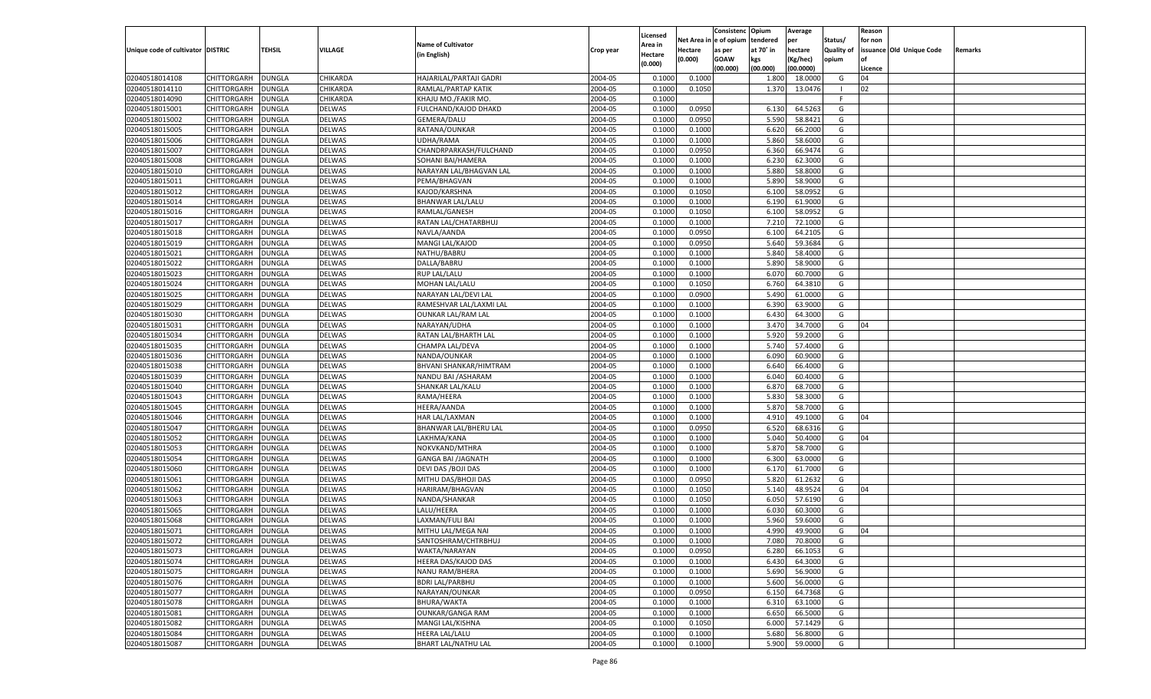|                                   |                    |               |               |                            |           |          |            | Consistenc   | Opium     | Average   |            | Reason  |                          |         |
|-----------------------------------|--------------------|---------------|---------------|----------------------------|-----------|----------|------------|--------------|-----------|-----------|------------|---------|--------------------------|---------|
|                                   |                    |               |               |                            |           | Licensed | Net Area i | n e of opium | tendered  | per       | Status/    | for non |                          |         |
| Unique code of cultivator DISTRIC |                    | TEHSIL        | VILLAGE       | <b>Name of Cultivator</b>  | Crop year | Area in  | Hectare    | as per       | at 70° in | hectare   | Quality of |         | issuance Old Unique Code | Remarks |
|                                   |                    |               |               | (in English)               |           | Hectare  | (0.000)    | <b>GOAW</b>  | kgs       | (Kg/hec)  | opium      |         |                          |         |
|                                   |                    |               |               |                            |           | (0.000)  |            | (00.000)     | (00.000)  | (00.0000) |            | Licence |                          |         |
| 02040518014108                    | CHITTORGARH        | DUNGLA        | CHIKARDA      | HAJARILAL/PARTAJI GADRI    | 2004-05   | 0.1000   | 0.1000     |              | 1.800     | 18.0000   | G          | 04      |                          |         |
| 02040518014110                    | CHITTORGARH        | DUNGLA        | CHIKARDA      | RAMLAL/PARTAP KATIK        | 2004-05   | 0.1000   | 0.1050     |              | 1.370     | 13.0476   | - 1        | 02      |                          |         |
| 02040518014090                    | CHITTORGARH        | DUNGLA        | CHIKARDA      | KHAJU MO./FAKIR MO         | 2004-05   | 0.1000   |            |              |           |           | F.         |         |                          |         |
| 02040518015001                    | CHITTORGARH        | DUNGLA        | <b>DELWAS</b> | FULCHAND/KAJOD DHAKD       | 2004-05   | 0.1000   | 0.0950     |              | 6.130     | 64.5263   | G          |         |                          |         |
| 02040518015002                    | CHITTORGARH        | DUNGLA        | DELWAS        | GEMERA/DALU                | 2004-05   | 0.1000   | 0.0950     |              | 5.590     | 58.8421   | G          |         |                          |         |
| 02040518015005                    | CHITTORGARH        | DUNGLA        | <b>DELWAS</b> | RATANA/OUNKAR              | 2004-05   | 0.1000   | 0.1000     |              | 6.620     | 66.2000   | G          |         |                          |         |
| 02040518015006                    | CHITTORGARH        | DUNGLA        | DELWAS        | UDHA/RAMA                  | 2004-05   | 0.1000   | 0.1000     |              | 5.860     | 58.6000   | G          |         |                          |         |
| 02040518015007                    | CHITTORGARH        | DUNGLA        | <b>DELWAS</b> | CHANDRPARKASH/FULCHAND     | 2004-05   | 0.1000   | 0.0950     |              | 6.360     | 66.9474   | G          |         |                          |         |
| 02040518015008                    | CHITTORGARH        | DUNGLA        | DELWAS        | SOHANI BAI/HAMERA          | 2004-05   | 0.1000   | 0.1000     |              | 6.23      | 62.3000   | G          |         |                          |         |
|                                   | CHITTORGARH        |               | DELWAS        |                            | 2004-05   |          |            |              | 5.880     |           | G          |         |                          |         |
| 02040518015010                    |                    | DUNGLA        |               | NARAYAN LAL/BHAGVAN LAL    |           | 0.1000   | 0.1000     |              |           | 58.8000   |            |         |                          |         |
| 02040518015011                    | CHITTORGARH        | DUNGLA        | DELWAS        | PEMA/BHAGVAN               | 2004-05   | 0.1000   | 0.1000     |              | 5.890     | 58.9000   | G          |         |                          |         |
| 02040518015012                    | CHITTORGARH        | DUNGLA        | <b>DELWAS</b> | KAJOD/KARSHNA              | 2004-05   | 0.1000   | 0.1050     |              | 6.100     | 58.0952   | G          |         |                          |         |
| 02040518015014                    | CHITTORGARH        | DUNGLA        | DELWAS        | BHANWAR LAL/LALU           | 2004-05   | 0.1000   | 0.1000     |              | 6.190     | 61.9000   | G          |         |                          |         |
| 02040518015016                    | CHITTORGARH        | DUNGLA        | DELWAS        | RAMLAL/GANESH              | 2004-05   | 0.1000   | 0.1050     |              | 6.100     | 58.0952   | G          |         |                          |         |
| 02040518015017                    | CHITTORGARH        | DUNGLA        | DELWAS        | RATAN LAL/CHATARBHUJ       | 2004-05   | 0.1000   | 0.1000     |              | 7.210     | 72.1000   | G          |         |                          |         |
| 02040518015018                    | CHITTORGARH        | DUNGLA        | DELWAS        | NAVLA/AANDA                | 2004-05   | 0.1000   | 0.0950     |              | 6.100     | 64.2105   | G          |         |                          |         |
| 02040518015019                    | CHITTORGARH        | DUNGLA        | DELWAS        | MANGI LAL/KAJOD            | 2004-05   | 0.1000   | 0.0950     |              | 5.640     | 59.3684   | G          |         |                          |         |
| 02040518015021                    | CHITTORGARH        | DUNGLA        | DELWAS        | NATHU/BABRU                | 2004-05   | 0.1000   | 0.1000     |              | 5.840     | 58.4000   | G          |         |                          |         |
| 02040518015022                    | CHITTORGARH        | DUNGLA        | DELWAS        | DALLA/BABRU                | 2004-05   | 0.1000   | 0.1000     |              | 5.890     | 58.9000   | G          |         |                          |         |
| 02040518015023                    | CHITTORGARH        | DUNGLA        | DELWAS        | <b>RUP LAL/LALU</b>        | 2004-05   | 0.1000   | 0.1000     |              | 6.070     | 60.7000   | G          |         |                          |         |
| 02040518015024                    | CHITTORGARH        | DUNGLA        | DELWAS        | MOHAN LAL/LALU             | 2004-05   | 0.1000   | 0.1050     |              | 6.760     | 64.3810   | G          |         |                          |         |
| 02040518015025                    | CHITTORGARH        | DUNGLA        | DELWAS        | NARAYAN LAL/DEVI LAL       | 2004-05   | 0.1000   | 0.0900     |              | 5.490     | 61.0000   | G          |         |                          |         |
| 02040518015029                    | CHITTORGARH        | DUNGLA        | DELWAS        | RAMESHVAR LAL/LAXMI LAL    | 2004-05   | 0.1000   | 0.1000     |              | 6.390     | 63.9000   | G          |         |                          |         |
| 02040518015030                    | CHITTORGARH        | DUNGLA        | DELWAS        | <b>OUNKAR LAL/RAM LAL</b>  | 2004-05   | 0.1000   | 0.1000     |              | 6.430     | 64.3000   | G          |         |                          |         |
| 02040518015031                    | CHITTORGARH        | DUNGLA        | DELWAS        | NARAYAN/UDHA               | 2004-05   | 0.1000   | 0.1000     |              | 3.470     | 34.7000   | G          | 04      |                          |         |
| 02040518015034                    | CHITTORGARH        | DUNGLA        | DELWAS        | RATAN LAL/BHARTH LAL       | 2004-05   | 0.1000   | 0.1000     |              | 5.920     | 59.2000   | G          |         |                          |         |
| 02040518015035                    | CHITTORGARH        | DUNGLA        | DELWAS        | CHAMPA LAL/DEVA            | 2004-05   | 0.1000   | 0.1000     |              | 5.740     | 57.4000   | G          |         |                          |         |
| 02040518015036                    | CHITTORGARH        | DUNGLA        | DELWAS        | NANDA/OUNKAR               | 2004-05   | 0.1000   | 0.1000     |              | 6.090     | 60.9000   | G          |         |                          |         |
| 02040518015038                    | CHITTORGARH        | DUNGLA        | DELWAS        | BHVANI SHANKAR/HIMTRAM     | 2004-05   | 0.1000   | 0.1000     |              | 6.640     | 66.4000   | G          |         |                          |         |
| 02040518015039                    | CHITTORGARH        | DUNGLA        | DELWAS        | NANDU BAI / ASHARAM        | 2004-05   | 0.1000   | 0.1000     |              | 6.040     | 60.4000   | G          |         |                          |         |
| 02040518015040                    | CHITTORGARH        | DUNGLA        | DELWAS        | SHANKAR LAL/KALU           | 2004-05   | 0.1000   | 0.1000     |              | 6.870     | 68.7000   | G          |         |                          |         |
| 02040518015043                    | CHITTORGARH        | DUNGLA        | DELWAS        | RAMA/HEERA                 | 2004-05   | 0.1000   | 0.1000     |              | 5.830     | 58.3000   | G          |         |                          |         |
|                                   |                    |               |               |                            | 2004-05   | 0.1000   | 0.1000     |              |           | 58.7000   |            |         |                          |         |
| 02040518015045                    | CHITTORGARH        | DUNGLA        | DELWAS        | HEERA/AANDA                |           |          |            |              | 5.870     |           | G          |         |                          |         |
| 02040518015046                    | CHITTORGARH        | DUNGLA        | DELWAS        | <b>HAR LAL/LAXMAN</b>      | 2004-05   | 0.1000   | 0.1000     |              | 4.910     | 49.1000   | G          | 04      |                          |         |
| 02040518015047                    | CHITTORGARH        | DUNGLA        | DELWAS        | BHANWAR LAL/BHERU LAL      | 2004-05   | 0.1000   | 0.0950     |              | 6.520     | 68.6316   | G          |         |                          |         |
| 02040518015052                    | CHITTORGARH        | DUNGLA        | DELWAS        | LAKHMA/KANA                | 2004-05   | 0.1000   | 0.1000     |              | 5.040     | 50.4000   | G          | 04      |                          |         |
| 02040518015053                    | CHITTORGARH        | <b>DUNGLA</b> | DELWAS        | NOKVKAND/MTHRA             | 2004-05   | 0.1000   | 0.1000     |              | 5.870     | 58.7000   | G          |         |                          |         |
| 02040518015054                    | CHITTORGARH        | DUNGLA        | DELWAS        | <b>GANGA BAI /JAGNATH</b>  | 2004-05   | 0.1000   | 0.1000     |              | 6.300     | 63.0000   | G          |         |                          |         |
| 02040518015060                    | CHITTORGARH        | DUNGLA        | DELWAS        | DEVI DAS / BOJI DAS        | 2004-05   | 0.1000   | 0.1000     |              | 6.170     | 61.7000   | G          |         |                          |         |
| 02040518015061                    | CHITTORGARH        | DUNGLA        | <b>DELWAS</b> | MITHU DAS/BHOJI DAS        | 2004-05   | 0.1000   | 0.0950     |              | 5.820     | 61.2632   | G          |         |                          |         |
| 02040518015062                    | CHITTORGARH        | <b>DUNGLA</b> | DELWAS        | HARIRAM/BHAGVAN            | 2004-05   | 0.1000   | 0.1050     |              | 5.140     | 48.9524   | G          | 04      |                          |         |
| 02040518015063                    | CHITTORGARH        | DUNGLA        | <b>DELWAS</b> | NANDA/SHANKAR              | 2004-05   | 0.1000   | 0.1050     |              | 6.050     | 57.6190   | G          |         |                          |         |
| 02040518015065                    | CHITTORGARH        | DUNGLA        | DELWAS        | LALU/HEERA                 | 2004-05   | 0.1000   | 0.1000     |              | 6.030     | 60.3000   | G          |         |                          |         |
| 02040518015068                    | CHITTORGARH        | DUNGLA        | <b>DELWAS</b> | LAXMAN/FULI BAI            | 2004-05   | 0.1000   | 0.1000     |              | 5.960     | 59.6000   | G          |         |                          |         |
| 02040518015071                    | CHITTORGARH        | <b>DUNGLA</b> | DELWAS        | MITHU LAL/MEGA NAI         | 2004-05   | 0.1000   | 0.1000     |              | 4.990     | 49.9000   | G          | 04      |                          |         |
| 02040518015072                    | CHITTORGARH        | <b>DUNGLA</b> | <b>DELWAS</b> | SANTOSHRAM/CHTRBHUJ        | 2004-05   | 0.1000   | 0.1000     |              | 7.080     | 70.8000   | G          |         |                          |         |
| 02040518015073                    | <b>CHITTORGARH</b> | <b>DUNGLA</b> | <b>DELWAS</b> | WAKTA/NARAYAN              | 2004-05   | 0.1000   | 0.0950     |              | 6.280     | 66.1053   | G          |         |                          |         |
| 02040518015074                    | CHITTORGARH        | <b>DUNGLA</b> | <b>DELWAS</b> | HEERA DAS/KAJOD DAS        | 2004-05   | 0.1000   | 0.1000     |              | 6.430     | 64.3000   | G          |         |                          |         |
| 02040518015075                    | CHITTORGARH        | <b>DUNGLA</b> | <b>DELWAS</b> | NANU RAM/BHERA             | 2004-05   | 0.1000   | 0.1000     |              | 5.690     | 56.9000   | G          |         |                          |         |
| 02040518015076                    | CHITTORGARH        | <b>DUNGLA</b> | <b>DELWAS</b> | <b>BDRI LAL/PARBHU</b>     | 2004-05   | 0.1000   | 0.1000     |              | 5.600     | 56.0000   | G          |         |                          |         |
| 02040518015077                    | <b>CHITTORGARH</b> | <b>DUNGLA</b> | <b>DELWAS</b> | NARAYAN/OUNKAR             | 2004-05   | 0.1000   | 0.0950     |              | 6.150     | 64.7368   | G          |         |                          |         |
| 02040518015078                    | CHITTORGARH        | <b>DUNGLA</b> | <b>DELWAS</b> | BHURA/WAKTA                | 2004-05   | 0.1000   | 0.1000     |              | 6.310     | 63.1000   | G          |         |                          |         |
| 02040518015081                    | <b>CHITTORGARH</b> | <b>DUNGLA</b> | <b>DELWAS</b> | OUNKAR/GANGA RAM           | 2004-05   | 0.1000   | 0.1000     |              | 6.650     | 66.5000   | G          |         |                          |         |
| 02040518015082                    | CHITTORGARH        | <b>DUNGLA</b> | <b>DELWAS</b> | MANGI LAL/KISHNA           | 2004-05   | 0.1000   | 0.1050     |              | 6.000     | 57.1429   | G          |         |                          |         |
| 02040518015084                    | <b>CHITTORGARH</b> | <b>DUNGLA</b> | <b>DELWAS</b> | HEERA LAL/LALU             | 2004-05   | 0.1000   | 0.1000     |              | 5.680     | 56.8000   | G          |         |                          |         |
| 02040518015087                    | CHITTORGARH        | <b>DUNGLA</b> | DELWAS        | <b>BHART LAL/NATHU LAL</b> | 2004-05   |          | 0.1000     |              | 5.900     | 59.0000   | G          |         |                          |         |
|                                   |                    |               |               |                            |           | 0.1000   |            |              |           |           |            |         |                          |         |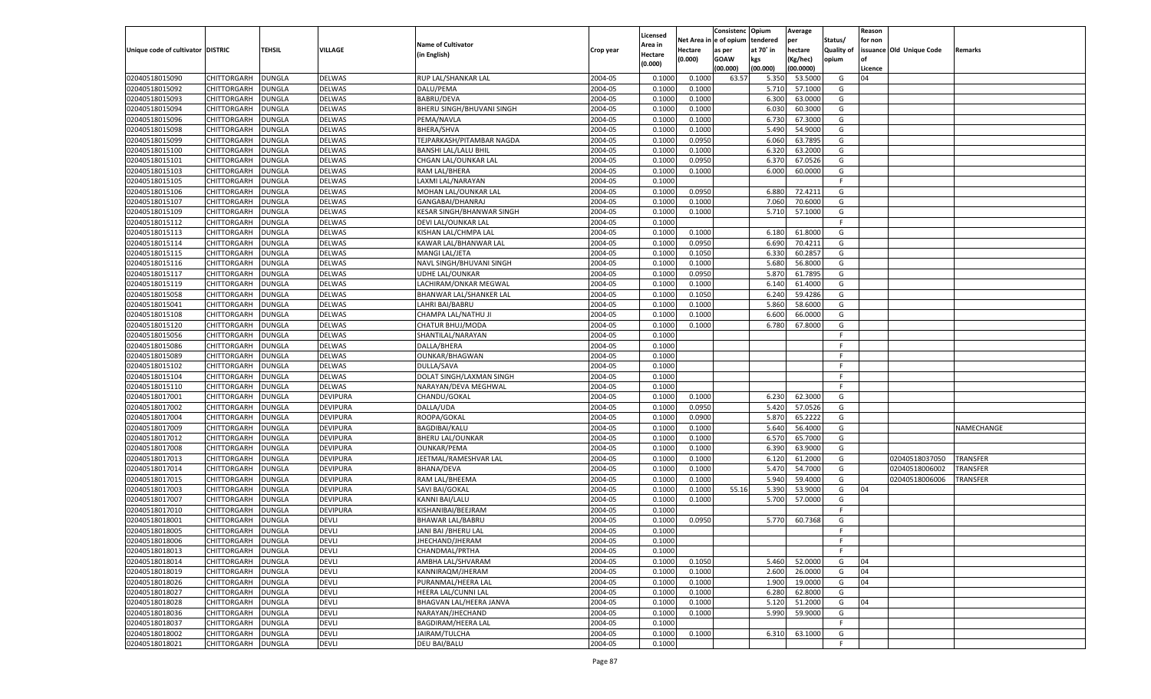|                                   |                    |               |                 |                                |                    |                     |             | Consistenc    | Opium     | Average   |            | Reason  |                          |                 |
|-----------------------------------|--------------------|---------------|-----------------|--------------------------------|--------------------|---------------------|-------------|---------------|-----------|-----------|------------|---------|--------------------------|-----------------|
|                                   |                    |               |                 | <b>Name of Cultivator</b>      |                    | Licensed<br>Area in | Net Area iı | n  e of opium | tendered  | per       | Status/    | for non |                          |                 |
| Unique code of cultivator DISTRIC |                    | TEHSIL        | VILLAGE         | (in English)                   | Crop year          | Hectare             | Hectare     | as per        | at 70° in | hectare   | Quality of |         | issuance Old Unique Code | Remarks         |
|                                   |                    |               |                 |                                |                    | (0.000)             | (0.000)     | <b>GOAW</b>   | kgs       | (Kg/hec)  | opium      |         |                          |                 |
|                                   |                    |               |                 |                                |                    |                     |             | (00.000)      | (00.000)  | (00.0000) |            | Licence |                          |                 |
| 02040518015090                    | CHITTORGARH        | DUNGLA        | <b>DELWAS</b>   | RUP LAL/SHANKAR LAL            | 2004-05            | 0.1000              | 0.1000      | 63.57         | 5.350     | 53.5000   | G          | 04      |                          |                 |
| 02040518015092                    | CHITTORGARH        | DUNGLA        | <b>DELWAS</b>   | DALU/PEMA                      | 2004-05            | 0.1000              | 0.1000      |               | 5.710     | 57.1000   | G          |         |                          |                 |
| 02040518015093                    | CHITTORGARH        | DUNGLA        | DELWAS          | <b>BABRU/DEVA</b>              | 2004-05            | 0.1000              | 0.1000      |               | 6.300     | 63.0000   | G          |         |                          |                 |
| 02040518015094                    | CHITTORGARH        | DUNGLA        | <b>DELWAS</b>   | BHERU SINGH/BHUVANI SINGH      | 2004-05            | 0.1000              | 0.1000      |               | 6.030     | 60.3000   | G          |         |                          |                 |
| 02040518015096                    | CHITTORGARH        | DUNGLA        | DELWAS          | PEMA/NAVLA                     | 2004-05            | 0.1000              | 0.1000      |               | 6.730     | 67.3000   | G          |         |                          |                 |
| 02040518015098                    | CHITTORGARH        | DUNGLA        | <b>DELWAS</b>   | <b>BHERA/SHVA</b>              | 2004-05            | 0.1000              | 0.1000      |               | 5.490     | 54.9000   | G          |         |                          |                 |
| 02040518015099                    | CHITTORGARH        | DUNGLA        | DELWAS          | TEJPARKASH/PITAMBAR NAGDA      | 2004-05            | 0.1000              | 0.0950      |               | 6.060     | 63.7895   | G          |         |                          |                 |
| 02040518015100                    | CHITTORGARH        | DUNGLA        | <b>DELWAS</b>   | <b>BANSHI LAL/LALU BHIL</b>    | 2004-05            | 0.1000              | 0.1000      |               | 6.320     | 63.2000   | G          |         |                          |                 |
| 02040518015101                    | CHITTORGARH        | DUNGLA        | DELWAS          | CHGAN LAL/OUNKAR LAL           | 2004-05            | 0.1000              | 0.0950      |               | 6.370     | 67.0526   | G          |         |                          |                 |
| 02040518015103                    | CHITTORGARH        | DUNGLA        | <b>DELWAS</b>   | RAM LAL/BHERA                  | 2004-05            | 0.1000              | 0.1000      |               | 6.000     | 60.0000   | G          |         |                          |                 |
| 02040518015105                    | CHITTORGARH        | DUNGLA        | DELWAS          | LAXMI LAL/NARAYAN              | 2004-05            | 0.1000              |             |               |           |           | F.         |         |                          |                 |
| 02040518015106                    | CHITTORGARH        | DUNGLA        | <b>DELWAS</b>   | MOHAN LAL/OUNKAR LAL           | 2004-05            | 0.1000              | 0.0950      |               | 6.880     | 72.4211   | G          |         |                          |                 |
| 02040518015107                    | CHITTORGARH        | DUNGLA        | DELWAS          | GANGABAI/DHANRAJ               | 2004-05            | 0.1000              | 0.1000      |               | 7.060     | 70.6000   | G          |         |                          |                 |
| 02040518015109                    | CHITTORGARH        | DUNGLA        | DELWAS          | KESAR SINGH/BHANWAR SINGH      | 2004-05            | 0.1000              | 0.1000      |               | 5.710     | 57.1000   | G          |         |                          |                 |
| 02040518015112                    | CHITTORGARH        | DUNGLA        | DELWAS          | DEVI LAL/OUNKAR LAL            | 2004-05            | 0.1000              |             |               |           |           | F.         |         |                          |                 |
| 02040518015113                    | CHITTORGARH        | DUNGLA        | DELWAS          | KISHAN LAL/CHMPA LAL           | 2004-05            | 0.1000              | 0.1000      |               | 6.180     | 61.8000   | G          |         |                          |                 |
| 02040518015114                    | CHITTORGARH        | DUNGLA        | DELWAS          | KAWAR LAL/BHANWAR LAL          | 2004-05            | 0.1000              | 0.0950      |               | 6.690     | 70.4211   | G          |         |                          |                 |
| 02040518015115                    | CHITTORGARH        | DUNGLA        | DELWAS          | MANGI LAL/JETA                 | 2004-05            | 0.1000              | 0.1050      |               | 6.330     | 60.2857   | G          |         |                          |                 |
| 02040518015116                    | CHITTORGARH        | DUNGLA        | DELWAS          | NAVL SINGH/BHUVANI SINGH       | 2004-05            | 0.1000              | 0.1000      |               | 5.680     | 56.8000   | G          |         |                          |                 |
| 02040518015117                    | CHITTORGARH        | DUNGLA        | DELWAS          | UDHE LAL/OUNKAR                | 2004-05            | 0.1000              | 0.0950      |               | 5.870     | 61.7895   | G          |         |                          |                 |
| 02040518015119                    | CHITTORGARH        | DUNGLA        | DELWAS          | LACHIRAM/ONKAR MEGWAL          | 2004-05            | 0.1000              | 0.1000      |               | 6.140     | 61.4000   | G          |         |                          |                 |
| 02040518015058                    | CHITTORGARH        | DUNGLA        | DELWAS          | <b>BHANWAR LAL/SHANKER LAL</b> | 2004-05            | 0.1000              | 0.1050      |               | 6.240     | 59.4286   | G          |         |                          |                 |
| 02040518015041                    | CHITTORGARH        | DUNGLA        | DELWAS          | LAHRI BAI/BABRU                | 2004-05            | 0.1000              | 0.1000      |               | 5.860     | 58.6000   | G          |         |                          |                 |
| 02040518015108                    | CHITTORGARH        | DUNGLA        | DELWAS          | CHAMPA LAL/NATHU JI            | 2004-05            | 0.1000              | 0.1000      |               | 6.600     | 66.0000   | G          |         |                          |                 |
| 02040518015120                    | CHITTORGARH        | DUNGLA        | DELWAS          | CHATUR BHUJ/MODA               | 2004-05            | 0.1000              | 0.1000      |               | 6.780     | 67.8000   | G          |         |                          |                 |
| 02040518015056                    | CHITTORGARH        | DUNGLA        | DELWAS          | SHANTILAL/NARAYAN              | 2004-05            | 0.1000              |             |               |           |           | F.         |         |                          |                 |
| 02040518015086                    | CHITTORGARH        | DUNGLA        | DELWAS          | DALLA/BHERA                    | 2004-05            | 0.1000              |             |               |           |           | F.         |         |                          |                 |
| 02040518015089                    | CHITTORGARH        | DUNGLA        | DELWAS          | OUNKAR/BHAGWAN                 | 2004-05            | 0.1000              |             |               |           |           | F.         |         |                          |                 |
| 02040518015102                    | CHITTORGARH        | DUNGLA        | DELWAS          | DULLA/SAVA                     | 2004-05            | 0.1000              |             |               |           |           | F.         |         |                          |                 |
| 02040518015104                    | CHITTORGARH        | DUNGLA        | <b>DELWAS</b>   | DOLAT SINGH/LAXMAN SINGH       | 2004-05            | 0.1000              |             |               |           |           | F.         |         |                          |                 |
| 02040518015110                    | CHITTORGARH        | DUNGLA        | DELWAS          | NARAYAN/DEVA MEGHWAL           | 2004-05            | 0.1000              |             |               |           |           | E          |         |                          |                 |
| 02040518017001                    | CHITTORGARH        | DUNGLA        | <b>DEVIPURA</b> | CHANDU/GOKAL                   | 2004-05            | 0.1000              | 0.1000      |               | 6.230     | 62.3000   | G          |         |                          |                 |
| 02040518017002                    | CHITTORGARH        | <b>DUNGLA</b> | <b>DEVIPURA</b> | DALLA/UDA                      | 2004-05            | 0.1000              | 0.0950      |               | 5.420     | 57.0526   | G          |         |                          |                 |
| 02040518017004                    | CHITTORGARH        | DUNGLA        | DEVIPURA        | ROOPA/GOKAL                    | 2004-05            | 0.1000              | 0.0900      |               | 5.870     | 65.2222   | G          |         |                          |                 |
| 02040518017009                    | CHITTORGARH        | DUNGLA        | <b>DEVIPURA</b> | <b>BAGDIBAI/KALU</b>           | 2004-05            | 0.1000              | 0.1000      |               | 5.640     | 56.4000   | G          |         |                          | NAMECHANGE      |
| 02040518017012                    | CHITTORGARH        | DUNGLA        | <b>DEVIPURA</b> | <b>BHERU LAL/OUNKAR</b>        | 2004-05            | 0.1000              | 0.1000      |               | 6.570     | 65.7000   | G          |         |                          |                 |
| 02040518017008                    | CHITTORGARH        | <b>DUNGLA</b> | <b>DEVIPURA</b> | <b>OUNKAR/PEMA</b>             | 2004-05            | 0.1000              | 0.1000      |               | 6.390     | 63.9000   | G          |         |                          |                 |
| 02040518017013                    | CHITTORGARH        | DUNGLA        | <b>DEVIPURA</b> | JEETMAL/RAMESHVAR LAL          | 2004-05            | 0.1000              | 0.1000      |               | 6.120     | 61.2000   | G          |         | 02040518037050           | <b>TRANSFER</b> |
| 02040518017014                    | CHITTORGARH        | DUNGLA        | <b>DEVIPURA</b> | BHANA/DEVA                     | 2004-05            | 0.1000              | 0.1000      |               | 5.470     | 54.7000   | G          |         | 02040518006002           | TRANSFER        |
| 02040518017015                    | CHITTORGARH        | DUNGLA        | <b>DEVIPURA</b> | RAM LAL/BHEEMA                 | 2004-05            | 0.1000              | 0.1000      |               | 5.940     | 59.4000   | G          |         | 02040518006006           | TRANSFER        |
| 02040518017003                    | CHITTORGARH        | <b>DUNGLA</b> | <b>DEVIPURA</b> | SAVI BAI/GOKAL                 | 2004-05            | 0.1000              | 0.1000      | 55.16         | 5.390     | 53.9000   | G          | 04      |                          |                 |
| 02040518017007                    | CHITTORGARH        | DUNGLA        | <b>DEVIPURA</b> | <b>KANNI BAI/LALU</b>          | 2004-05            | 0.1000              | 0.1000      |               | 5.700     | 57.0000   | G          |         |                          |                 |
| 02040518017010                    | CHITTORGARH        | DUNGLA        | <b>DEVIPURA</b> | KISHANIBAI/BEEJRAM             | 2004-05            | 0.1000              |             |               |           |           | F.         |         |                          |                 |
| 02040518018001                    | CHITTORGARH        | DUNGLA        | DEVLI           | <b>BHAWAR LAL/BABRU</b>        | 2004-05            | 0.1000              | 0.0950      |               | 5.770     | 60.7368   | G          |         |                          |                 |
| 02040518018005                    |                    | <b>DUNGLA</b> | DEVLI           |                                | 2004-05            | 0.1000              |             |               |           |           | F.         |         |                          |                 |
|                                   | CHITTORGARH        |               |                 | JANI BAI / BHERU LAL           |                    |                     |             |               |           |           | F.         |         |                          |                 |
| 02040518018006<br>02040518018013  | CHITTORGARH DUNGLA |               | <b>DEVLI</b>    | JHECHAND/JHERAM                | 2004-05<br>2004-05 | 0.1000              |             |               |           |           | F.         |         |                          |                 |
|                                   | <b>CHITTORGARH</b> | <b>DUNGLA</b> | <b>DEVLI</b>    | CHANDMAL/PRTHA                 |                    | 0.1000              |             |               |           |           |            |         |                          |                 |
| 02040518018014                    | CHITTORGARH        | <b>DUNGLA</b> | <b>DEVLI</b>    | AMBHA LAL/SHVARAM              | 2004-05            | 0.1000              | 0.1050      |               | 5.460     | 52.0000   | G          | 04      |                          |                 |
| 02040518018019                    | CHITTORGARH        | <b>DUNGLA</b> | <b>DEVLI</b>    | KANNIRAQM/JHERAM               | 2004-05            | 0.1000              | 0.1000      |               | 2.600     | 26.0000   | G          | 04      |                          |                 |
| 02040518018026                    | <b>CHITTORGARH</b> | <b>DUNGLA</b> | <b>DEVLI</b>    | PURANMAL/HEERA LAL             | 2004-05            | 0.1000              | 0.1000      |               | 1.900     | 19.0000   | G          | 04      |                          |                 |
| 02040518018027                    | CHITTORGARH        | <b>DUNGLA</b> | <b>DEVLI</b>    | HEERA LAL/CUNNI LAL            | 2004-05            | 0.1000              | 0.1000      |               | 6.280     | 62.8000   | G          |         |                          |                 |
| 02040518018028                    | CHITTORGARH        | <b>DUNGLA</b> | <b>DEVLI</b>    | BHAGVAN LAL/HEERA JANVA        | 2004-05            | 0.1000              | 0.1000      |               | 5.120     | 51.2000   | G          | 04      |                          |                 |
| 02040518018036                    | CHITTORGARH        | <b>DUNGLA</b> | <b>DEVLI</b>    | NARAYAN/JHECHAND               | 2004-05            | 0.1000              | 0.1000      |               | 5.990     | 59.9000   | G          |         |                          |                 |
| 02040518018037                    | <b>CHITTORGARH</b> | <b>DUNGLA</b> | <b>DEVLI</b>    | BAGDIRAM/HEERA LAL             | 2004-05            | 0.1000              |             |               |           |           | F.         |         |                          |                 |
| 02040518018002                    | <b>CHITTORGARH</b> | <b>DUNGLA</b> | <b>DEVLI</b>    | JAIRAM/TULCHA                  | 2004-05            | 0.1000              | 0.1000      |               | 6.310     | 63.1000   | G          |         |                          |                 |
| 02040518018021                    | <b>CHITTORGARH</b> | <b>DUNGLA</b> | <b>DEVLI</b>    | DEU BAI/BALU                   | 2004-05            | 0.1000              |             |               |           |           | F.         |         |                          |                 |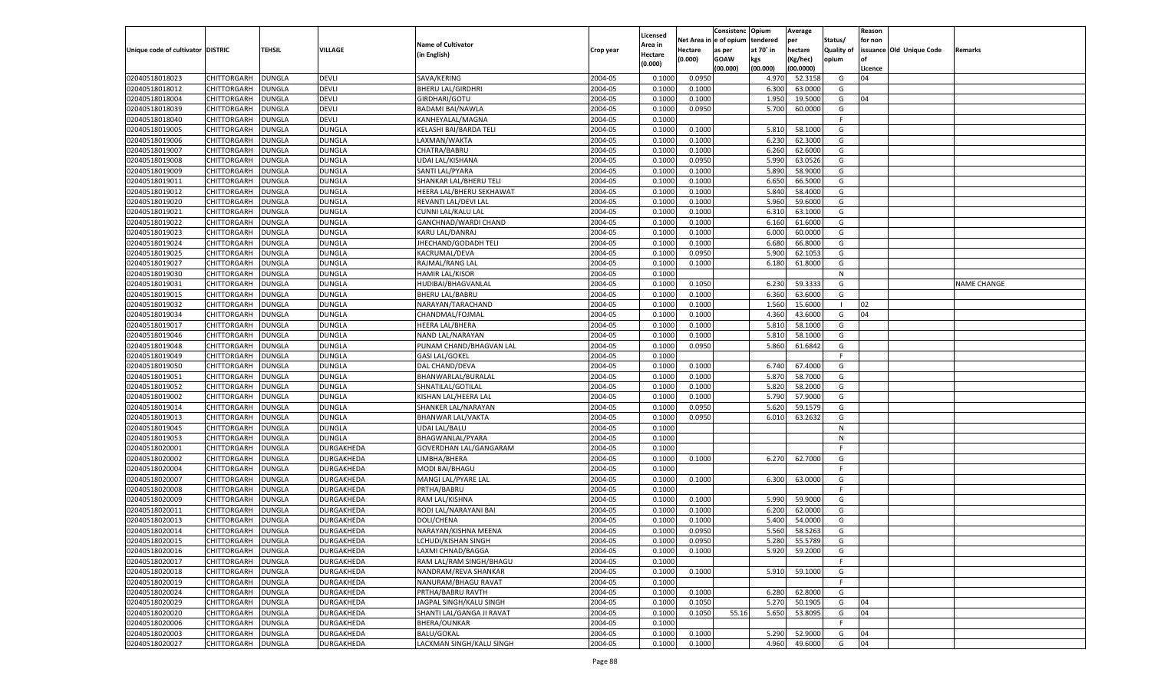|                                   |                    |               |                   |                           |           |                    |             | Consistenc   | Opium     | Average       |                   | Reason  |                          |                    |
|-----------------------------------|--------------------|---------------|-------------------|---------------------------|-----------|--------------------|-------------|--------------|-----------|---------------|-------------------|---------|--------------------------|--------------------|
|                                   |                    |               |                   |                           |           | Licensed           | Net Area iı | n e of opium | tendered  | per           | Status/           | for non |                          |                    |
| Unique code of cultivator DISTRIC |                    | TEHSIL        | VILLAGE           | <b>Name of Cultivator</b> | Crop year | Area in            | Hectare     | as per       | at 70° in | hectare       | <b>Quality of</b> |         | issuance Old Unique Code | Remarks            |
|                                   |                    |               |                   | (in English)              |           | Hectare<br>(0.000) | (0.000)     | <b>GOAW</b>  | kgs       | (Kg/hec)      | opium             |         |                          |                    |
|                                   |                    |               |                   |                           |           |                    |             | (00.000)     | (00.000)  | (00.0000)     |                   | Licence |                          |                    |
| 02040518018023                    | CHITTORGARH        | DUNGLA        | DEVLI             | SAVA/KERING               | 2004-05   | 0.1000             | 0.0950      |              | 4.970     | 52.3158       | G                 | 04      |                          |                    |
| 02040518018012                    | CHITTORGARH        | DUNGLA        | DEVLI             | <b>BHERU LAL/GIRDHRI</b>  | 2004-05   | 0.1000             | 0.1000      |              | 6.300     | 63.0000       | G                 |         |                          |                    |
| 02040518018004                    | CHITTORGARH        | DUNGLA        | <b>DEVLI</b>      | GIRDHARI/GOTU             | 2004-05   | 0.1000             | 0.1000      |              | 1.950     | 19.5000       | G                 | 04      |                          |                    |
| 02040518018039                    | CHITTORGARH        | DUNGLA        | <b>DEVLI</b>      | <b>BADAMI BAI/NAWLA</b>   | 2004-05   | 0.1000             | 0.0950      |              | 5.700     | 60.0000       | G                 |         |                          |                    |
| 02040518018040                    | CHITTORGARH        | DUNGLA        | DEVLI             | KANHEYALAL/MAGNA          | 2004-05   | 0.1000             |             |              |           |               | F.                |         |                          |                    |
| 02040518019005                    | CHITTORGARH        | DUNGLA        | <b>DUNGLA</b>     | KELASHI BAI/BARDA TELI    | 2004-05   | 0.1000             | 0.1000      |              | 5.810     | 58.1000       | G                 |         |                          |                    |
| 02040518019006                    | CHITTORGARH        | DUNGLA        | <b>DUNGLA</b>     | LAXMAN/WAKTA              | 2004-05   | 0.1000             | 0.1000      |              | 6.23      | 62.3000       | G                 |         |                          |                    |
| 02040518019007                    | CHITTORGARH        | DUNGLA        | <b>DUNGLA</b>     | CHATRA/BABRU              | 2004-05   | 0.1000             | 0.1000      |              | 6.260     | 62.6000       | G                 |         |                          |                    |
| 02040518019008                    | CHITTORGARH        | DUNGLA        | <b>DUNGLA</b>     | UDAI LAL/KISHANA          | 2004-05   | 0.1000             | 0.0950      |              | 5.990     | 63.0526       | G                 |         |                          |                    |
| 02040518019009                    | CHITTORGARH        | DUNGLA        | <b>DUNGLA</b>     | SANTI LAL/PYARA           | 2004-05   | 0.1000             | 0.1000      |              | 5.890     | 58.9000       | G                 |         |                          |                    |
| 02040518019011                    | CHITTORGARH        | DUNGLA        | <b>DUNGLA</b>     | SHANKAR LAL/BHERU TELI    | 2004-05   | 0.1000             | 0.1000      |              | 6.650     | 66.5000       | G                 |         |                          |                    |
| 02040518019012                    | CHITTORGARH        | DUNGLA        | <b>DUNGLA</b>     | HEERA LAL/BHERU SEKHAWAT  | 2004-05   | 0.1000             | 0.1000      |              | 5.840     | 58.4000       | G                 |         |                          |                    |
| 02040518019020                    | CHITTORGARH        | DUNGLA        | <b>DUNGLA</b>     | REVANTI LAL/DEVI LAL      | 2004-05   | 0.1000             | 0.1000      |              | 5.960     | 59.6000       | G                 |         |                          |                    |
| 02040518019021                    | CHITTORGARH        | DUNGLA        | <b>DUNGLA</b>     | CUNNI LAL/KALU LAL        | 2004-05   | 0.1000             | 0.1000      |              | 6.310     | 63.1000       | G                 |         |                          |                    |
| 02040518019022                    | CHITTORGARH        | DUNGLA        | <b>DUNGLA</b>     | GANCHNAD/WARDI CHAND      | 2004-05   | 0.1000             | 0.1000      |              | 6.160     | 61.6000       | G                 |         |                          |                    |
| 02040518019023                    | CHITTORGARH        | DUNGLA        | <b>DUNGLA</b>     | KARU LAL/DANRAJ           | 2004-05   | 0.1000             | 0.1000      |              | 6.000     | 60.0000       | G                 |         |                          |                    |
| 02040518019024                    | CHITTORGARH        | DUNGLA        | <b>DUNGLA</b>     | JHECHAND/GODADH TELI      | 2004-05   | 0.1000             | 0.1000      |              | 6.680     | 66.8000       | G                 |         |                          |                    |
| 02040518019025                    | CHITTORGARH        | DUNGLA        | <b>DUNGLA</b>     | KACRUMAL/DEVA             | 2004-05   | 0.1000             | 0.0950      |              | 5.900     | 62.1053       | G                 |         |                          |                    |
| 02040518019027                    | CHITTORGARH        | DUNGLA        | <b>DUNGLA</b>     | RAJMAL/RANG LAL           | 2004-05   | 0.1000             | 0.1000      |              | 6.180     | 61.8000       | G                 |         |                          |                    |
| 02040518019030                    | CHITTORGARH        | DUNGLA        | <b>DUNGLA</b>     | HAMIR LAL/KISOR           | 2004-05   | 0.1000             |             |              |           |               | N                 |         |                          |                    |
| 02040518019031                    | CHITTORGARH        | DUNGLA        | <b>DUNGLA</b>     | HUDIBAI/BHAGVANLAL        | 2004-05   | 0.1000             | 0.1050      |              | 6.230     | 59.3333       | G                 |         |                          | <b>NAME CHANGE</b> |
| 02040518019015                    | CHITTORGARH        | DUNGLA        | <b>DUNGLA</b>     | <b>BHERU LAL/BABRU</b>    | 2004-05   | 0.1000             | 0.1000      |              | 6.360     | 63.6000       | G                 |         |                          |                    |
| 02040518019032                    | CHITTORGARH        | DUNGLA        | <b>DUNGLA</b>     | NARAYAN/TARACHAND         | 2004-05   | 0.1000             | 0.1000      |              | 1.560     | 15.6000       | - 1               | 02      |                          |                    |
| 02040518019034                    | CHITTORGARH        | DUNGLA        | <b>DUNGLA</b>     | CHANDMAL/FOJMAL           | 2004-05   | 0.1000             | 0.1000      |              | 4.360     | 43.6000       | G                 | 04      |                          |                    |
| 02040518019017                    | CHITTORGARH        | DUNGLA        | <b>DUNGLA</b>     | <b>HEERA LAL/BHERA</b>    | 2004-05   | 0.1000             | 0.1000      |              | 5.810     | 58.1000       | G                 |         |                          |                    |
| 02040518019046                    | CHITTORGARH        | DUNGLA        | <b>DUNGLA</b>     | NAND LAL/NARAYAN          | 2004-05   | 0.1000             | 0.1000      |              | 5.810     | 58.1000       | G                 |         |                          |                    |
| 02040518019048                    | CHITTORGARH        | DUNGLA        | <b>DUNGLA</b>     | PUNAM CHAND/BHAGVAN LAL   | 2004-05   | 0.1000             | 0.0950      |              | 5.860     | 61.6842       | G                 |         |                          |                    |
| 02040518019049                    | CHITTORGARH        | DUNGLA        | <b>DUNGLA</b>     | <b>GASI LAL/GOKEL</b>     | 2004-05   | 0.1000             |             |              |           |               | F.                |         |                          |                    |
| 02040518019050                    | CHITTORGARH        | DUNGLA        | <b>DUNGLA</b>     | DAL CHAND/DEVA            | 2004-05   | 0.1000             | 0.1000      |              | 6.740     | 67.4000       | G                 |         |                          |                    |
| 02040518019051                    | CHITTORGARH        | DUNGLA        | <b>DUNGLA</b>     | BHANWARLAL/BURALAL        | 2004-05   | 0.1000             | 0.1000      |              | 5.870     | 58.7000       | G                 |         |                          |                    |
| 02040518019052                    |                    |               | <b>DUNGLA</b>     |                           | 2004-05   | 0.1000             | 0.1000      |              | 5.820     | 58.2000       | G                 |         |                          |                    |
|                                   | CHITTORGARH        | DUNGLA        |                   | SHNATILAL/GOTILAL         |           |                    |             |              | 5.790     | 57.9000       |                   |         |                          |                    |
| 02040518019002                    | CHITTORGARH        | DUNGLA        | <b>DUNGLA</b>     | KISHAN LAL/HEERA LAL      | 2004-05   | 0.1000             | 0.1000      |              |           |               | G                 |         |                          |                    |
| 02040518019014                    | CHITTORGARH        | DUNGLA        | <b>DUNGLA</b>     | SHANKER LAL/NARAYAN       | 2004-05   | 0.1000             | 0.0950      |              | 5.620     | 59.1579       | G                 |         |                          |                    |
| 02040518019013                    | CHITTORGARH        | DUNGLA        | <b>DUNGLA</b>     | <b>BHANWAR LAL/VAKTA</b>  | 2004-05   | 0.1000             | 0.0950      |              | 6.010     | 63.2632       | G                 |         |                          |                    |
| 02040518019045                    | CHITTORGARH        | DUNGLA        | <b>DUNGLA</b>     | UDAI LAL/BALU             | 2004-05   | 0.1000             |             |              |           |               | N                 |         |                          |                    |
| 02040518019053                    | CHITTORGARH        | DUNGLA        | <b>DUNGLA</b>     | BHAGWANLAL/PYARA          | 2004-05   | 0.1000             |             |              |           |               | N                 |         |                          |                    |
| 02040518020001                    | CHITTORGARH        | DUNGLA        | DURGAKHEDA        | GOVERDHAN LAL/GANGARAM    | 2004-05   | 0.1000             |             |              |           |               | F.                |         |                          |                    |
| 02040518020002                    | CHITTORGARH        | DUNGLA        | DURGAKHEDA        | LIMBHA/BHERA              | 2004-05   | 0.1000             | 0.1000      |              | 6.270     | 62.7000       | G                 |         |                          |                    |
| 02040518020004                    | CHITTORGARH        | DUNGLA        | DURGAKHEDA        | MODI BAI/BHAGU            | 2004-05   | 0.1000             |             |              |           |               | F.                |         |                          |                    |
| 02040518020007                    | CHITTORGARH        | DUNGLA        | DURGAKHEDA        | MANGI LAL/PYARE LAL       | 2004-05   | 0.1000             | 0.1000      |              | 6.300     | 63.0000       | G                 |         |                          |                    |
| 02040518020008                    | CHITTORGARH        | DUNGLA        | DURGAKHEDA        | PRTHA/BABRU               | 2004-05   | 0.1000             |             |              |           |               | F.                |         |                          |                    |
| 02040518020009                    | CHITTORGARH        | DUNGLA        | DURGAKHEDA        | RAM LAL/KISHNA            | 2004-05   | 0.1000             | 0.1000      |              | 5.990     | 59.9000       | G                 |         |                          |                    |
| 02040518020011                    | CHITTORGARH        | DUNGLA        | DURGAKHEDA        | RODI LAL/NARAYANI BAI     | 2004-05   | 0.1000             | 0.1000      |              | 6.200     | 62.0000       | G                 |         |                          |                    |
| 02040518020013                    | CHITTORGARH        | DUNGLA        | DURGAKHEDA        | DOLI/CHENA                | 2004-05   | 0.1000             | 0.1000      |              | 5.400     | 54.0000       | G                 |         |                          |                    |
| 02040518020014                    | CHITTORGARH        | <b>DUNGLA</b> | DURGAKHEDA        | NARAYAN/KISHNA MEENA      | 2004-05   | 0.1000             | 0.0950      |              | 5.560     | 58.5263       | G                 |         |                          |                    |
| 02040518020015                    | CHITTORGARH DUNGLA |               | <b>DURGAKHEDA</b> | LCHUDI/KISHAN SINGH       | 2004-05   | 0.1000             | 0.0950      |              |           | 5.280 55.5789 | G                 |         |                          |                    |
| 02040518020016                    | <b>CHITTORGARH</b> | <b>DUNGLA</b> | DURGAKHEDA        | LAXMI CHNAD/BAGGA         | 2004-05   | 0.1000             | 0.1000      |              | 5.920     | 59.2000       | G                 |         |                          |                    |
| 02040518020017                    | <b>CHITTORGARH</b> | <b>DUNGLA</b> | DURGAKHEDA        | RAM LAL/RAM SINGH/BHAGU   | 2004-05   | 0.1000             |             |              |           |               | F.                |         |                          |                    |
| 02040518020018                    | CHITTORGARH        | <b>DUNGLA</b> | DURGAKHEDA        | NANDRAM/REVA SHANKAR      | 2004-05   | 0.1000             | 0.1000      |              | 5.910     | 59.1000       | G                 |         |                          |                    |
| 02040518020019                    | <b>CHITTORGARH</b> | <b>DUNGLA</b> | DURGAKHEDA        | NANURAM/BHAGU RAVAT       | 2004-05   | 0.1000             |             |              |           |               | F.                |         |                          |                    |
| 02040518020024                    | CHITTORGARH        | <b>DUNGLA</b> | DURGAKHEDA        | PRTHA/BABRU RAVTH         | 2004-05   | 0.1000             | 0.1000      |              | 6.280     | 62.8000       | G                 |         |                          |                    |
| 02040518020029                    | CHITTORGARH        | <b>DUNGLA</b> | DURGAKHEDA        | JAGPAL SINGH/KALU SINGH   | 2004-05   | 0.1000             | 0.1050      |              | 5.270     | 50.1905       | G                 | 04      |                          |                    |
| 02040518020020                    | CHITTORGARH        | <b>DUNGLA</b> | DURGAKHEDA        | SHANTI LAL/GANGA JI RAVAT | 2004-05   | 0.1000             | 0.1050      | 55.16        | 5.650     | 53.8095       | G                 | 04      |                          |                    |
| 02040518020006                    | CHITTORGARH        | <b>DUNGLA</b> | DURGAKHEDA        | BHERA/OUNKAR              | 2004-05   | 0.1000             |             |              |           |               | F.                |         |                          |                    |
| 02040518020003                    | <b>CHITTORGARH</b> | <b>DUNGLA</b> | DURGAKHEDA        | BALU/GOKAL                | 2004-05   | 0.1000             | 0.1000      |              | 5.290     | 52.9000       | G                 | 04      |                          |                    |
| 02040518020027                    | <b>CHITTORGARH</b> | <b>DUNGLA</b> | DURGAKHEDA        | LACXMAN SINGH/KALU SINGH  | 2004-05   | 0.1000             | 0.1000      |              | 4.960     | 49.6000       | G                 | 04      |                          |                    |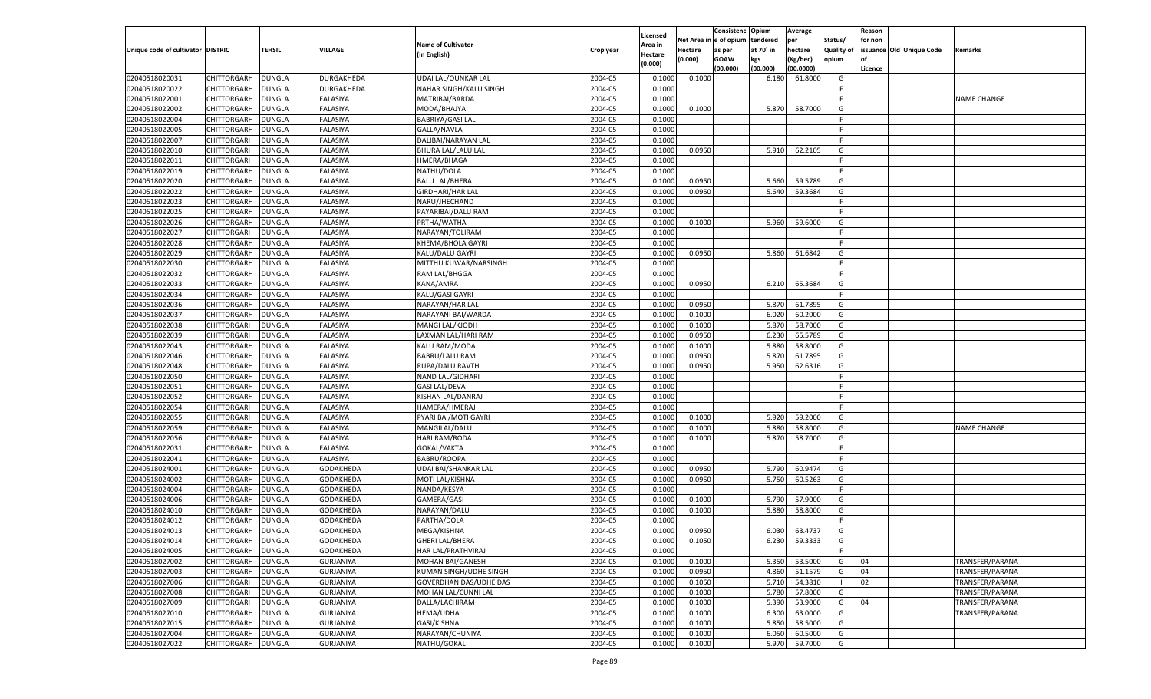|                                   |                    |               |                      |                               |                    |                    |                  | Consistenc    | Opium          | Average            |                   | Reason  |                          |                    |
|-----------------------------------|--------------------|---------------|----------------------|-------------------------------|--------------------|--------------------|------------------|---------------|----------------|--------------------|-------------------|---------|--------------------------|--------------------|
|                                   |                    |               |                      |                               |                    | Licensed           | Net Area iı      | n  e of opium | tendered       | per                | Status/           | for non |                          |                    |
| Unique code of cultivator DISTRIC |                    | TEHSIL        | <b>VILLAGE</b>       | <b>Name of Cultivator</b>     | Crop year          | Area in            | Hectare          | as per        | at 70° in      | hectare            | <b>Quality of</b> |         | issuance Old Unique Code | Remarks            |
|                                   |                    |               |                      | (in English)                  |                    | Hectare<br>(0.000) | (0.000)          | <b>GOAW</b>   | kgs            | (Kg/hec)           | opium             |         |                          |                    |
|                                   |                    |               |                      |                               |                    |                    |                  | (00.000)      | (00.000)       | (00.0000)          |                   | Licence |                          |                    |
| 02040518020031                    | CHITTORGARH        | DUNGLA        | DURGAKHEDA           | UDAI LAL/OUNKAR LAL           | 2004-05            | 0.1000             | 0.1000           |               | 6.180          | 61.8000            | G                 |         |                          |                    |
| 02040518020022                    | CHITTORGARH        | DUNGLA        | DURGAKHEDA           | NAHAR SINGH/KALU SINGH        | 2004-05            | 0.1000             |                  |               |                |                    | F.                |         |                          |                    |
| 02040518022001                    | CHITTORGARH        | DUNGLA        | FALASIYA             | MATRIBAI/BARDA                | 2004-05            | 0.1000             |                  |               |                |                    | F.                |         |                          | NAME CHANGE        |
| 02040518022002                    | CHITTORGARH        | DUNGLA        | FALASIYA             | MODA/BHAJYA                   | 2004-05            | 0.1000             | 0.1000           |               | 5.870          | 58.7000            | G                 |         |                          |                    |
| 02040518022004                    | CHITTORGARH        | DUNGLA        | FALASIYA             | <b>BABRIYA/GASI LAL</b>       | 2004-05            | 0.1000             |                  |               |                |                    | F.                |         |                          |                    |
| 02040518022005                    | CHITTORGARH        | DUNGLA        | FALASIYA             | GALLA/NAVLA                   | 2004-05            | 0.1000             |                  |               |                |                    | F.                |         |                          |                    |
| 02040518022007                    | CHITTORGARH        | DUNGLA        | FALASIYA             | DALIBAI/NARAYAN LAL           | 2004-05            | 0.1000             |                  |               |                |                    | F.                |         |                          |                    |
| 02040518022010                    | CHITTORGARH        | DUNGLA        | FALASIYA             | BHURA LAL/LALU LAL            | 2004-05            | 0.1000             | 0.0950           |               | 5.910          | 62.2105            | G                 |         |                          |                    |
| 02040518022011                    | CHITTORGARH        | DUNGLA        | FALASIYA             | HMERA/BHAGA                   | 2004-05            | 0.1000             |                  |               |                |                    | F.                |         |                          |                    |
| 02040518022019                    | CHITTORGARH        | DUNGLA        | FALASIYA             | NATHU/DOLA                    | 2004-05            | 0.1000             |                  |               |                |                    | F.                |         |                          |                    |
| 02040518022020                    | CHITTORGARH        | DUNGLA        | FALASIYA             | <b>BALU LAL/BHERA</b>         | 2004-05            | 0.1000             | 0.0950           |               | 5.660          | 59.5789            | G                 |         |                          |                    |
| 02040518022022                    | CHITTORGARH        | DUNGLA        | FALASIYA             | <b>GIRDHARI/HAR LAL</b>       | 2004-05            | 0.1000             | 0.0950           |               | 5.640          | 59.3684            | G                 |         |                          |                    |
| 02040518022023                    | CHITTORGARH        | DUNGLA        | FALASIYA             | NARU/JHECHAND                 | 2004-05            | 0.1000             |                  |               |                |                    | F.                |         |                          |                    |
| 02040518022025                    | CHITTORGARH        | DUNGLA        | FALASIYA             | PAYARIBAI/DALU RAM            | 2004-05            | 0.1000             |                  |               |                |                    | F.                |         |                          |                    |
| 02040518022026                    | CHITTORGARH        | DUNGLA        | FALASIYA             | PRTHA/WATHA                   | 2004-05            | 0.1000             | 0.1000           |               | 5.960          | 59.6000            | G                 |         |                          |                    |
| 02040518022027                    | CHITTORGARH        | DUNGLA        | FALASIYA             | NARAYAN/TOLIRAM               | 2004-05            | 0.1000             |                  |               |                |                    | F.                |         |                          |                    |
| 02040518022028                    | CHITTORGARH        | DUNGLA        | FALASIYA             | KHEMA/BHOLA GAYRI             | 2004-05            | 0.1000             |                  |               |                |                    | F.                |         |                          |                    |
| 02040518022029                    | CHITTORGARH        | DUNGLA        | FALASIYA             | KALU/DALU GAYRI               | 2004-05            | 0.1000             | 0.0950           |               | 5.860          | 61.6842            | G                 |         |                          |                    |
| 02040518022030                    | CHITTORGARH        | DUNGLA        | FALASIYA             | MITTHU KUWAR/NARSINGH         | 2004-05            | 0.1000             |                  |               |                |                    | F.                |         |                          |                    |
| 02040518022032                    | CHITTORGARH        | DUNGLA        | FALASIYA             | RAM LAL/BHGGA                 | 2004-05            | 0.1000             |                  |               |                |                    | F.                |         |                          |                    |
| 02040518022033                    | CHITTORGARH        | DUNGLA        | FALASIYA             | KANA/AMRA                     | 2004-05            | 0.1000             | 0.0950           |               | 6.210          | 65.3684            | G                 |         |                          |                    |
| 02040518022034                    | CHITTORGARH        | DUNGLA        | FALASIYA             | KALU/GASI GAYRI               | 2004-05            | 0.1000             |                  |               |                |                    | F.                |         |                          |                    |
| 02040518022036                    | CHITTORGARH        | DUNGLA        | FALASIYA             | NARAYAN/HAR LAL               | 2004-05            | 0.1000             | 0.0950           |               | 5.870          | 61.7895            | G                 |         |                          |                    |
| 02040518022037                    | CHITTORGARH        |               |                      |                               | 2004-05            | 0.1000             | 0.1000           |               | 6.020          | 60.2000            | G                 |         |                          |                    |
| 02040518022038                    | CHITTORGARH        | DUNGLA        | FALASIYA<br>FALASIYA | NARAYANI BAI/WARDA            | 2004-05            |                    | 0.1000           |               |                | 58.7000            | G                 |         |                          |                    |
| 02040518022039                    |                    | DUNGLA        |                      | MANGI LAL/KJODH               |                    | 0.1000             |                  |               | 5.870<br>6.230 |                    |                   |         |                          |                    |
|                                   | CHITTORGARH        | DUNGLA        | FALASIYA             | LAXMAN LAL/HARI RAM           | 2004-05<br>2004-05 | 0.1000             | 0.0950<br>0.1000 |               | 5.880          | 65.5789<br>58.8000 | G                 |         |                          |                    |
| 02040518022043                    | CHITTORGARH        | DUNGLA        | FALASIYA             | KALU RAM/MODA                 |                    | 0.1000             |                  |               |                |                    | G                 |         |                          |                    |
| 02040518022046                    | CHITTORGARH        | DUNGLA        | FALASIYA             | <b>BABRU/LALU RAM</b>         | 2004-05            | 0.1000             | 0.0950           |               | 5.870          | 61.7895            | G                 |         |                          |                    |
| 02040518022048                    | CHITTORGARH        | DUNGLA        | FALASIYA             | RUPA/DALU RAVTH               | 2004-05            | 0.1000             | 0.0950           |               | 5.950          | 62.6316            | G                 |         |                          |                    |
| 02040518022050                    | CHITTORGARH        | DUNGLA        | FALASIYA             | NAND LAL/GIDHARI              | 2004-05            | 0.1000             |                  |               |                |                    | F.                |         |                          |                    |
| 02040518022051                    | CHITTORGARH        | DUNGLA        | <b>FALASIYA</b>      | <b>GASI LAL/DEVA</b>          | 2004-05            | 0.1000             |                  |               |                |                    | F                 |         |                          |                    |
| 02040518022052                    | CHITTORGARH        | DUNGLA        | <b>FALASIYA</b>      | KISHAN LAL/DANRAJ             | 2004-05            | 0.1000             |                  |               |                |                    | F                 |         |                          |                    |
| 02040518022054                    | CHITTORGARH        | DUNGLA        | FALASIYA             | HAMERA/HMERAJ                 | 2004-05            | 0.1000             |                  |               |                |                    | E                 |         |                          |                    |
| 02040518022055                    | CHITTORGARH        | DUNGLA        | FALASIYA             | PYARI BAI/MOTI GAYRI          | 2004-05            | 0.1000             | 0.1000           |               | 5.920          | 59.2000            | G                 |         |                          |                    |
| 02040518022059                    | CHITTORGARH        | DUNGLA        | <b>FALASIYA</b>      | MANGILAL/DALU                 | 2004-05            | 0.1000             | 0.1000           |               | 5.880          | 58.8000            | G                 |         |                          | <b>NAME CHANGE</b> |
| 02040518022056                    | CHITTORGARH        | DUNGLA        | <b>FALASIYA</b>      | <b>HARI RAM/RODA</b>          | 2004-05            | 0.1000             | 0.1000           |               | 5.870          | 58.7000            | G                 |         |                          |                    |
| 02040518022031                    | CHITTORGARH        | <b>DUNGLA</b> | <b>FALASIYA</b>      | GOKAL/VAKTA                   | 2004-05            | 0.1000             |                  |               |                |                    | F.                |         |                          |                    |
| 02040518022041                    | CHITTORGARH        | DUNGLA        | <b>FALASIYA</b>      | <b>BABRU/ROOPA</b>            | 2004-05            | 0.1000             |                  |               |                |                    | F.                |         |                          |                    |
| 02040518024001                    | CHITTORGARH        | DUNGLA        | GODAKHEDA            | <b>UDAI BAI/SHANKAR LAL</b>   | 2004-05            | 0.1000             | 0.0950           |               | 5.790          | 60.9474            | G                 |         |                          |                    |
| 02040518024002                    | CHITTORGARH        | DUNGLA        | GODAKHEDA            | MOTI LAL/KISHNA               | 2004-05            | 0.1000             | 0.0950           |               | 5.750          | 60.5263            | G                 |         |                          |                    |
| 02040518024004                    | CHITTORGARH        | DUNGLA        | GODAKHEDA            | NANDA/KESYA                   | 2004-05            | 0.1000             |                  |               |                |                    | F.                |         |                          |                    |
| 02040518024006                    | CHITTORGARH        | DUNGLA        | GODAKHEDA            | GAMERA/GASI                   | 2004-05            | 0.1000             | 0.1000           |               | 5.790          | 57.9000            | G                 |         |                          |                    |
| 02040518024010                    | CHITTORGARH        | DUNGLA        | GODAKHEDA            | NARAYAN/DALU                  | 2004-05            | 0.1000             | 0.1000           |               | 5.880          | 58.8000            | G                 |         |                          |                    |
| 02040518024012                    | CHITTORGARH        | DUNGLA        | GODAKHEDA            | PARTHA/DOLA                   | 2004-05            | 0.1000             |                  |               |                |                    | F.                |         |                          |                    |
| 02040518024013                    | CHITTORGARH        | <b>DUNGLA</b> | GODAKHEDA            | MEGA/KISHNA                   | 2004-05            | 0.1000             | 0.0950           |               | 6.030          | 63.4737            | G                 |         |                          |                    |
| 02040518024014                    | CHITTORGARH        | <b>DUNGLA</b> | <b>GODAKHEDA</b>     | <b>GHERI LAL/BHERA</b>        | 2004-05            | 0.1000             | 0.1050           |               |                | 6.230 59.3333      | G                 |         |                          |                    |
| 02040518024005                    | <b>CHITTORGARH</b> | <b>DUNGLA</b> | GODAKHEDA            | HAR LAL/PRATHVIRAJ            | 2004-05            | 0.1000             |                  |               |                |                    | F.                |         |                          |                    |
| 02040518027002                    | CHITTORGARH        | <b>DUNGLA</b> | <b>GURJANIYA</b>     | MOHAN BAI/GANESH              | 2004-05            | 0.1000             | 0.1000           |               | 5.350          | 53.5000            | G                 | 04      |                          | TRANSFER/PARANA    |
| 02040518027003                    | <b>CHITTORGARH</b> | <b>DUNGLA</b> | <b>GURJANIYA</b>     | KUMAN SINGH/UDHE SINGH        | 2004-05            | 0.1000             | 0.0950           |               | 4.860          | 51.1579            | G                 | 04      |                          | TRANSFER/PARANA    |
| 02040518027006                    | CHITTORGARH        | <b>DUNGLA</b> | <b>GURJANIYA</b>     | <b>GOVERDHAN DAS/UDHE DAS</b> | 2004-05            | 0.1000             | 0.1050           |               | 5.710          | 54.3810            | - 1               | 02      |                          | TRANSFER/PARANA    |
| 02040518027008                    | CHITTORGARH        | <b>DUNGLA</b> | <b>GURJANIYA</b>     | MOHAN LAL/CUNNI LAL           | 2004-05            | 0.1000             | 0.1000           |               | 5.780          | 57.8000            | G                 |         |                          | TRANSFER/PARANA    |
| 02040518027009                    | CHITTORGARH        | <b>DUNGLA</b> | <b>GURJANIYA</b>     | DALLA/LACHIRAM                | 2004-05            | 0.1000             | 0.1000           |               | 5.390          | 53.9000            | G                 | 04      |                          | TRANSFER/PARANA    |
| 02040518027010                    | CHITTORGARH        | <b>DUNGLA</b> | <b>GURJANIYA</b>     | <b>HEMA/UDHA</b>              | 2004-05            | 0.1000             | 0.1000           |               | 6.300          | 63.0000            | G                 |         |                          | TRANSFER/PARANA    |
| 02040518027015                    | CHITTORGARH        | <b>DUNGLA</b> | <b>GURJANIYA</b>     | GASI/KISHNA                   | 2004-05            | 0.1000             | 0.1000           |               | 5.850          | 58.5000            | G                 |         |                          |                    |
| 02040518027004                    | CHITTORGARH        | <b>DUNGLA</b> | <b>GURJANIYA</b>     | NARAYAN/CHUNIYA               | 2004-05            | 0.1000             | 0.1000           |               | 6.050          | 60.5000            | G                 |         |                          |                    |
| 02040518027022                    | CHITTORGARH        | <b>DUNGLA</b> | <b>GURJANIYA</b>     | NATHU/GOKAL                   | 2004-05            | 0.1000             | 0.1000           |               | 5.970          | 59.7000            | G                 |         |                          |                    |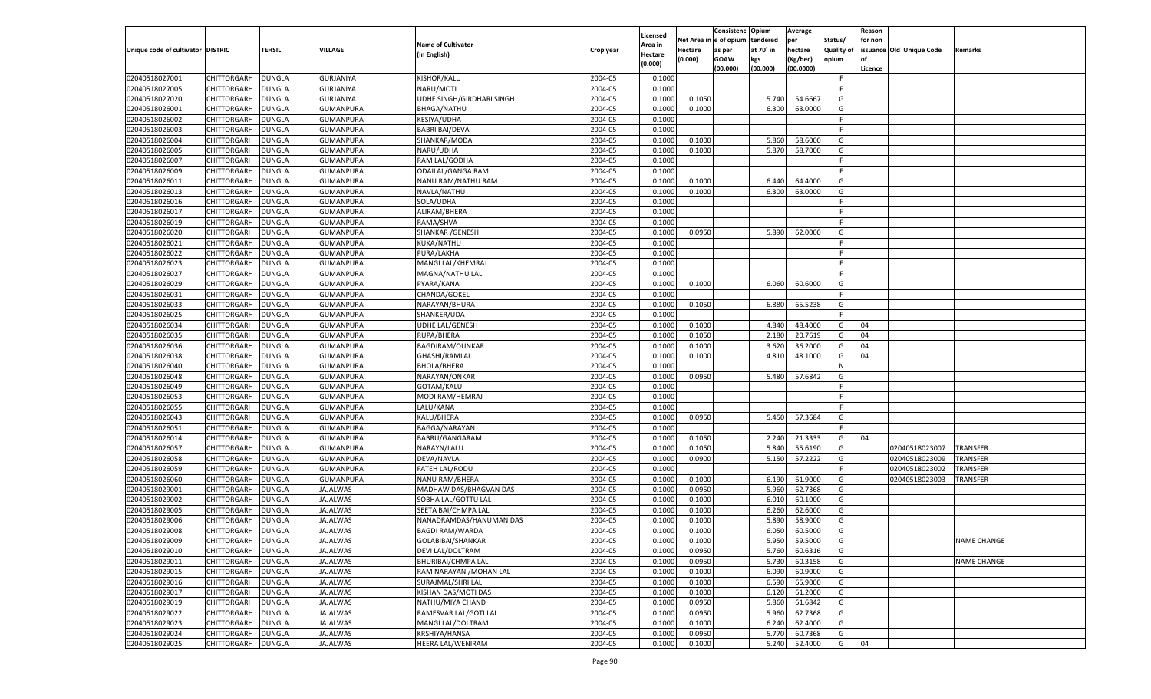|                                   |                    |               |                  |                           |                    | Licensed |                  | Consistenc Opium       |           | Average   |                   | Reason  |                          |                    |
|-----------------------------------|--------------------|---------------|------------------|---------------------------|--------------------|----------|------------------|------------------------|-----------|-----------|-------------------|---------|--------------------------|--------------------|
|                                   |                    |               |                  | <b>Name of Cultivator</b> |                    | Area in  |                  | Net Area in e of opium | tendered  | per       | Status/           | for non |                          |                    |
| Unique code of cultivator DISTRIC |                    | <b>TEHSIL</b> | <b>VILLAGE</b>   | (in English)              | Crop year          | Hectare  | Hectare          | as per                 | at 70° in | hectare   | <b>Quality of</b> |         | issuance Old Unique Code | <b>Remarks</b>     |
|                                   |                    |               |                  |                           |                    | (0.000)  | (0.000)          | <b>GOAW</b>            | kgs       | (Kg/hec)  | opium             |         |                          |                    |
|                                   |                    |               |                  |                           |                    |          |                  | (00.000)               | (00.000)  | (00.0000) |                   | Licence |                          |                    |
| 02040518027001                    | CHITTORGARH        | <b>DUNGLA</b> | GURJANIYA        | KISHOR/KALU               | 2004-05            | 0.1000   |                  |                        |           |           | -F.               |         |                          |                    |
| 02040518027005                    | CHITTORGARH        | DUNGLA        | GURJANIYA        | NARU/MOTI                 | 2004-05            | 0.1000   |                  |                        |           |           | F.                |         |                          |                    |
| 02040518027020                    | CHITTORGARH        | <b>DUNGLA</b> | <b>GURJANIYA</b> | UDHE SINGH/GIRDHARI SINGH | 2004-05            | 0.1000   | 0.1050           |                        | 5.740     | 54.6667   | G                 |         |                          |                    |
| 02040518026001                    | CHITTORGARH        | DUNGLA        | GUMANPURA        | <b>BHAGA/NATHU</b>        | 2004-05            | 0.1000   | 0.1000           |                        | 6.300     | 63.0000   | G                 |         |                          |                    |
| 02040518026002                    | CHITTORGARH        | <b>DUNGLA</b> | GUMANPURA        | <b>KESIYA/UDHA</b>        | 2004-05            | 0.1000   |                  |                        |           |           | F.                |         |                          |                    |
| 02040518026003                    | CHITTORGARH        | DUNGLA        | <b>GUMANPURA</b> | <b>BABRI BAI/DEVA</b>     | 2004-05            | 0.1000   |                  |                        |           |           | F.                |         |                          |                    |
| 02040518026004                    | CHITTORGARH        | <b>DUNGLA</b> | GUMANPURA        | SHANKAR/MODA              | 2004-05            | 0.1000   | 0.1000           |                        | 5.860     | 58.6000   | G                 |         |                          |                    |
| 02040518026005                    | CHITTORGARH        | DUNGLA        | <b>GUMANPURA</b> | NARU/UDHA                 | 2004-05            | 0.1000   | 0.1000           |                        | 5.870     | 58.7000   | G                 |         |                          |                    |
| 02040518026007                    | CHITTORGARH        | <b>DUNGLA</b> | GUMANPURA        | RAM LAL/GODHA             | 2004-05            | 0.1000   |                  |                        |           |           | F.                |         |                          |                    |
| 02040518026009                    | CHITTORGARH        | DUNGLA        | <b>GUMANPURA</b> | ODAILAL/GANGA RAM         | 2004-05            | 0.1000   |                  |                        |           |           | F.                |         |                          |                    |
| 02040518026011                    | CHITTORGARH        | <b>DUNGLA</b> | GUMANPURA        | NANU RAM/NATHU RAM        | 2004-05            | 0.1000   | 0.1000           |                        | 6.440     | 64.4000   | G                 |         |                          |                    |
| 02040518026013                    | CHITTORGARH        | DUNGLA        | <b>GUMANPURA</b> | NAVLA/NATHU               | 2004-05            | 0.1000   | 0.1000           |                        | 6.300     | 63.0000   | G                 |         |                          |                    |
| 02040518026016                    | CHITTORGARH        | DUNGLA        | GUMANPURA        | SOLA/UDHA                 | 2004-05            | 0.1000   |                  |                        |           |           | F.                |         |                          |                    |
| 02040518026017                    | CHITTORGARH        | DUNGLA        | GUMANPURA        | ALIRAM/BHERA              | 2004-05            | 0.1000   |                  |                        |           |           | F.                |         |                          |                    |
| 02040518026019                    | CHITTORGARH        | DUNGLA        | GUMANPURA        | RAMA/SHVA                 | 2004-05            | 0.1000   |                  |                        |           |           | F.                |         |                          |                    |
| 02040518026020                    | CHITTORGARH        | DUNGLA        | GUMANPURA        | <b>SHANKAR / GENESH</b>   | 2004-05            | 0.1000   | 0.0950           |                        | 5.890     | 62.0000   | G                 |         |                          |                    |
| 02040518026021                    | CHITTORGARH        | DUNGLA        | GUMANPURA        | KUKA/NATHU                | 2004-05            | 0.1000   |                  |                        |           |           | F.                |         |                          |                    |
| 02040518026022                    | CHITTORGARH        | DUNGLA        | GUMANPURA        | PURA/LAKHA                | 2004-05            | 0.1000   |                  |                        |           |           | E                 |         |                          |                    |
| 02040518026023                    | CHITTORGARH        | DUNGLA        | GUMANPURA        | MANGI LAL/KHEMRAJ         | 2004-05            | 0.1000   |                  |                        |           |           | F.                |         |                          |                    |
| 02040518026027                    | CHITTORGARH        | DUNGLA        | GUMANPURA        | MAGNA/NATHU LAL           | 2004-05            | 0.1000   |                  |                        |           |           | -F.               |         |                          |                    |
| 02040518026029                    | CHITTORGARH        | DUNGLA        | <b>GUMANPURA</b> | PYARA/KANA                | 2004-05            | 0.1000   | 0.1000           |                        | 6.060     | 60.6000   | G                 |         |                          |                    |
| 02040518026031                    | CHITTORGARH        | DUNGLA        | GUMANPURA        | CHANDA/GOKEL              | 2004-05            | 0.1000   |                  |                        |           |           | F.                |         |                          |                    |
| 02040518026033                    | CHITTORGARH        | DUNGLA        | GUMANPURA        | NARAYAN/BHURA             | 2004-05            | 0.1000   | 0.1050           |                        | 6.880     | 65.5238   | G                 |         |                          |                    |
| 02040518026025                    | CHITTORGARH        | DUNGLA        | GUMANPURA        | SHANKER/UDA               | 2004-05            | 0.1000   |                  |                        |           |           | -F.               |         |                          |                    |
| 02040518026034                    | CHITTORGARH        | DUNGLA        | <b>GUMANPURA</b> | <b>UDHE LAL/GENESH</b>    | 2004-05            | 0.1000   | 0.1000           |                        | 4.840     | 48.4000   | G                 | 04      |                          |                    |
| 02040518026035                    | CHITTORGARH        | DUNGLA        | GUMANPURA        | RUPA/BHERA                | 2004-05            | 0.1000   | 0.1050           |                        | 2.180     | 20.7619   | G                 | 04      |                          |                    |
| 02040518026036                    | CHITTORGARH        | DUNGLA        | GUMANPURA        | BAGDIRAM/OUNKAR           | 2004-05            | 0.1000   | 0.1000           |                        | 3.620     | 36.2000   | G                 | 04      |                          |                    |
| 02040518026038                    | CHITTORGARH        | DUNGLA        | GUMANPURA        | GHASHI/RAMLAL             | 2004-05            | 0.1000   | 0.1000           |                        | 4.810     | 48.1000   | G                 | 04      |                          |                    |
| 02040518026040                    | CHITTORGARH        | <b>DUNGLA</b> | GUMANPURA        | <b>BHOLA/BHERA</b>        | 2004-05            | 0.1000   |                  |                        |           |           | N                 |         |                          |                    |
| 02040518026048                    | CHITTORGARH        | DUNGLA        | GUMANPURA        | NARAYAN/ONKAR             | 2004-05            | 0.1000   | 0.0950           |                        | 5.480     | 57.6842   | G                 |         |                          |                    |
| 02040518026049                    | CHITTORGARH        | DUNGLA        | GUMANPURA        | GOTAM/KALU                | 2004-05            | 0.1000   |                  |                        |           |           | F.                |         |                          |                    |
| 02040518026053                    | CHITTORGARH        | DUNGLA        | GUMANPURA        | MODI RAM/HEMRAJ           | 2004-05            | 0.1000   |                  |                        |           |           | -F.               |         |                          |                    |
| 02040518026055                    | CHITTORGARH        | DUNGLA        | GUMANPURA        | LALU/KANA                 | 2004-05            | 0.1000   |                  |                        |           |           | F.                |         |                          |                    |
| 02040518026043                    | CHITTORGARH        | DUNGLA        | GUMANPURA        | KALU/BHERA                | 2004-05            | 0.1000   | 0.0950           |                        | 5.450     | 57.3684   | G                 |         |                          |                    |
| 02040518026051                    | CHITTORGARH        | DUNGLA        | GUMANPURA        | BAGGA/NARAYAN             | 2004-05            | 0.1000   |                  |                        |           |           | F.                |         |                          |                    |
| 02040518026014                    | CHITTORGARH        | DUNGLA        | GUMANPURA        | BABRU/GANGARAM            | 2004-05            | 0.1000   | 0.1050           |                        | 2.240     | 21.3333   | G                 | 04      |                          |                    |
| 02040518026057                    | CHITTORGARH        | DUNGLA        | GUMANPURA        | NARAYN/LALU               | 2004-05            | 0.1000   | 0.1050           |                        | 5.840     | 55.6190   | G                 |         | 02040518023007           | <b>TRANSFER</b>    |
| 02040518026058                    | CHITTORGARH        | DUNGLA        | GUMANPURA        | DEVA/NAVLA                | 2004-05            | 0.1000   | 0.0900           |                        | 5.150     | 57.2222   | G                 |         | 02040518023009           | TRANSFER           |
| 02040518026059                    | CHITTORGARH        | DUNGLA        | <b>GUMANPURA</b> | <b>FATEH LAL/RODU</b>     | 2004-05            | 0.1000   |                  |                        |           |           | F.                |         | 02040518023002           | TRANSFER           |
| 02040518026060                    | CHITTORGARH        | DUNGLA        | GUMANPURA        | <b>NANU RAM/BHERA</b>     | 2004-05            | 0.1000   | 0.1000           |                        | 6.190     | 61.9000   | G                 |         | 02040518023003           | TRANSFER           |
| 02040518029001                    | CHITTORGARH        | DUNGLA        | JAJALWAS         | MADHAW DAS/BHAGVAN DAS    | 2004-05            | 0.1000   | 0.0950           |                        | 5.960     | 62.7368   | G                 |         |                          |                    |
| 02040518029002                    | CHITTORGARH        | DUNGLA        | JAJALWAS         | SOBHA LAL/GOTTU LAL       | 2004-05            | 0.1000   | 0.1000           |                        | 6.010     | 60.1000   | G                 |         |                          |                    |
| 02040518029005                    | CHITTORGARH        | DUNGLA        | JAJALWAS         | SEETA BAI/CHMPA LAL       | 2004-05            | 0.1000   | 0.1000           |                        | 6.260     | 62.6000   | G                 |         |                          |                    |
| 02040518029006                    | CHITTORGARH        | DUNGLA        | JAJALWAS         | NANADRAMDAS/HANUMAN DAS   | 2004-05            | 0.1000   |                  |                        | 5.890     | 58.9000   |                   |         |                          |                    |
| 02040518029008                    | CHITTORGARH        | DUNGLA        | JAJALWAS         | <b>BAGDI RAM/WARDA</b>    | 2004-05            | 0.1000   | 0.1000<br>0.1000 |                        | 6.050     | 60.5000   | G<br>G            |         |                          |                    |
|                                   |                    |               |                  |                           |                    |          |                  |                        |           |           |                   |         |                          | <b>NAME CHANGE</b> |
| 02040518029009                    | CHITTORGARH        | <b>DUNGLA</b> | JAJALWAS         | GOLABIBAI/SHANKAR         | 2004-05<br>2004-05 | 0.1000   | 0.1000           |                        | 5.950     | 59.5000   | G                 |         |                          |                    |
| 02040518029010                    | CHITTORGARH        | <b>DUNGLA</b> | JAJALWAS         | DEVI LAL/DOLTRAM          |                    | 0.1000   | 0.0950           |                        | 5.760     | 60.6316   | G                 |         |                          |                    |
| 02040518029011                    | <b>CHITTORGARH</b> | <b>DUNGLA</b> | <b>JAJALWAS</b>  | <b>BHURIBAI/CHMPA LAL</b> | 2004-05            | 0.1000   | 0.0950           |                        | 5.730     | 60.3158   | G                 |         |                          | NAME CHANGE        |
| 02040518029015                    | CHITTORGARH        | <b>DUNGLA</b> | <b>JAJALWAS</b>  | RAM NARAYAN / MOHAN LAL   | 2004-05            | 0.1000   | 0.1000           |                        | 6.090     | 60.9000   | G                 |         |                          |                    |
| 02040518029016                    | <b>CHITTORGARH</b> | <b>DUNGLA</b> | <b>JAJALWAS</b>  | SURAJMAL/SHRI LAL         | 2004-05            | 0.1000   | 0.1000           |                        | 6.590     | 65.9000   | G                 |         |                          |                    |
| 02040518029017                    | CHITTORGARH        | <b>DUNGLA</b> | <b>JAJALWAS</b>  | KISHAN DAS/MOTI DAS       | 2004-05            | 0.1000   | 0.1000           |                        | 6.120     | 61.2000   | G                 |         |                          |                    |
| 02040518029019                    | <b>CHITTORGARH</b> | DUNGLA        | <b>JAJALWAS</b>  | NATHU/MIYA CHAND          | 2004-05            | 0.1000   | 0.0950           |                        | 5.860     | 61.6842   | G                 |         |                          |                    |
| 02040518029022                    | CHITTORGARH        | <b>DUNGLA</b> | <b>JAJALWAS</b>  | RAMESVAR LAL/GOTI LAL     | 2004-05            | 0.1000   | 0.0950           |                        | 5.960     | 62.7368   | G                 |         |                          |                    |
| 02040518029023                    | <b>CHITTORGARH</b> | <b>DUNGLA</b> | <b>JAJALWAS</b>  | MANGI LAL/DOLTRAM         | 2004-05            | 0.1000   | 0.1000           |                        | 6.240     | 62.4000   | G                 |         |                          |                    |
| 02040518029024                    | <b>CHITTORGARH</b> | <b>DUNGLA</b> | <b>JAJALWAS</b>  | KRSHIYA/HANSA             | 2004-05            | 0.1000   | 0.0950           |                        | 5.770     | 60.7368   | G                 |         |                          |                    |
| 02040518029025                    | <b>CHITTORGARH</b> | <b>DUNGLA</b> | JAJALWAS         | HEERA LAL/WENIRAM         | 2004-05            | 0.1000   | 0.1000           |                        | 5.240     | 52.4000   | G                 | 04      |                          |                    |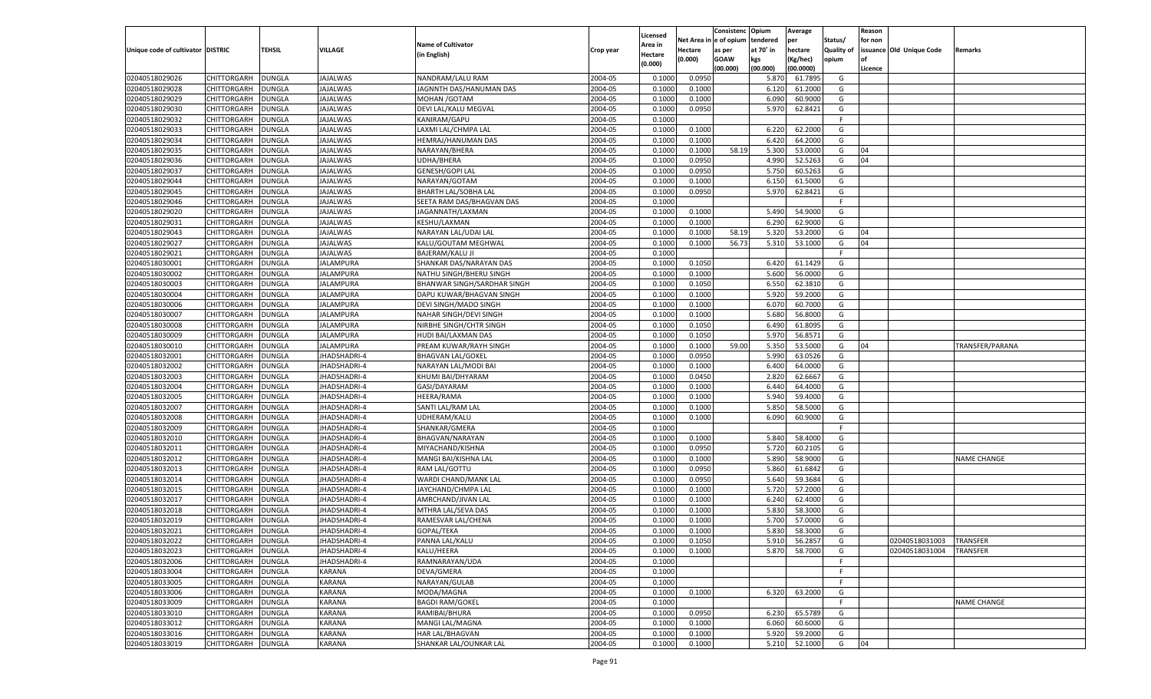| n e of opium<br>Net Area i<br>tendered<br>per<br>Status/<br>for non<br><b>Name of Cultivator</b><br>Area in<br>Unique code of cultivator DISTRIC<br>TEHSIL<br>VILLAGE<br>at 70° in<br>hectare<br><b>Quality of</b><br>issuance Old Unique Code<br>Hectare<br>as per<br>Remarks<br>Crop year<br>(in English)<br>Hectare<br>(0.000)<br><b>GOAW</b><br>kgs<br>(Kg/hec)<br>opium<br>(0.000)<br>(00.000)<br>(00.000)<br>(00.0000)<br>Licence<br>02040518029026<br>CHITTORGARH<br>2004-05<br>0.0950<br>DUNGLA<br><b>JAJALWAS</b><br>NANDRAM/LALU RAM<br>0.1000<br>5.870<br>61.7895<br>G<br>02040518029028<br>2004-05<br>CHITTORGARH<br>DUNGLA<br>JAJALWAS<br>JAGNNTH DAS/HANUMAN DAS<br>0.1000<br>0.1000<br>6.120<br>61.2000<br>G<br><b>JAJALWAS</b><br>2004-05<br>02040518029029<br>CHITTORGARH<br>DUNGLA<br>MOHAN / GOTAM<br>0.1000<br>0.1000<br>6.090<br>60.9000<br>G<br>02040518029030<br>2004-05<br>5.970<br>62.8421<br>CHITTORGARH<br>DUNGLA<br>JAJALWAS<br>DEVI LAL/KALU MEGVAL<br>0.1000<br>0.0950<br>G<br>02040518029032<br><b>JAJALWAS</b><br>2004-05<br>F.<br>CHITTORGARH<br>DUNGLA<br>KANIRAM/GAPU<br>0.1000<br>02040518029033<br>2004-05<br>6.220<br>CHITTORGARH<br>DUNGLA<br>JAJALWAS<br>LAXMI LAL/CHMPA LAL<br>0.1000<br>0.1000<br>62.2000<br>G<br>02040518029034<br>2004-05<br>CHITTORGARH<br>DUNGLA<br>JAJALWAS<br>HEMRAJ/HANUMAN DAS<br>0.1000<br>0.1000<br>6.420<br>64.2000<br>G<br>02040518029035<br>2004-05<br>58.19<br>5.300<br>CHITTORGARH<br>DUNGLA<br>JAJALWAS<br>NARAYAN/BHERA<br>0.1000<br>0.1000<br>53.0000<br>G<br>04<br>02040518029036<br><b>JAJALWAS</b><br>2004-05<br>0.0950<br>4.990<br>52.5263<br>04<br>CHITTORGARH<br>DUNGLA<br>UDHA/BHERA<br>0.1000<br>G<br>02040518029037<br>2004-05<br>CHITTORGARH<br>DUNGLA<br>JAJALWAS<br><b>GENESH/GOPI LAL</b><br>0.1000<br>0.0950<br>5.750<br>60.5263<br>G<br>02040518029044<br>2004-05<br>CHITTORGARH<br>DUNGLA<br>JAJALWAS<br>NARAYAN/GOTAM<br>0.1000<br>0.1000<br>6.150<br>61.5000<br>G<br>02040518029045<br>2004-05<br>5.970<br>62.8421<br>CHITTORGARH<br>DUNGLA<br>JAJALWAS<br><b>BHARTH LAL/SOBHA LAL</b><br>0.1000<br>0.0950<br>G<br>02040518029046<br><b>JAJALWAS</b><br>2004-05<br>F.<br>CHITTORGARH<br>DUNGLA<br>SEETA RAM DAS/BHAGVAN DAS<br>0.1000<br>02040518029020<br>2004-05<br>5.490<br>54.9000<br>CHITTORGARH<br>DUNGLA<br>JAJALWAS<br>JAGANNATH/LAXMAN<br>0.1000<br>0.1000<br>G<br>02040518029031<br>CHITTORGARH<br><b>AJALWAS</b><br>KESHU/LAXMAN<br>2004-05<br>6.290<br>62.9000<br>DUNGLA<br>0.1000<br>0.1000<br>G<br>02040518029043<br>2004-05<br>58.19<br>5.320<br>53.2000<br>CHITTORGARH<br>DUNGLA<br><b>IAJALWAS</b><br>NARAYAN LAL/UDAI LAL<br>0.1000<br>0.1000<br>G<br>04<br>02040518029027<br>DUNGLA<br><b>AJALWAS</b><br>2004-05<br>0.1000<br>56.73<br>5.310<br>53.1000<br>G<br>04<br>CHITTORGARH<br>KALU/GOUTAM MEGHWAL<br>0.1000<br>02040518029021<br>2004-05<br>CHITTORGARH<br>DUNGLA<br>JAJALWAS<br><b>BAJERAM/KALU JI</b><br>0.1000<br>E<br>02040518030001<br><b>IALAMPURA</b><br>2004-05<br>0.1050<br>6.420<br>61.1429<br>CHITTORGARH<br>DUNGLA<br>SHANKAR DAS/NARAYAN DAS<br>0.1000<br>G<br>02040518030002<br>2004-05<br>5.600<br>56.0000<br>CHITTORGARH<br>DUNGLA<br>JALAMPURA<br>NATHU SINGH/BHERU SINGH<br>0.1000<br>0.1000<br>G<br>02040518030003<br>CHITTORGARH<br>DUNGLA<br><b>JALAMPURA</b><br>2004-05<br>0.1050<br>6.550<br>62.3810<br>G<br>BHANWAR SINGH/SARDHAR SINGH<br>0.1000<br>02040518030004<br>2004-05<br>5.920<br>59.2000<br>CHITTORGARH<br>DUNGLA<br>JALAMPURA<br>DAPU KUWAR/BHAGVAN SINGH<br>0.1000<br>0.1000<br>G<br>02040518030006<br><b>JALAMPURA</b><br>2004-05<br>0.1000<br>6.070<br>60.7000<br>CHITTORGARH<br>DUNGLA<br>DEVI SINGH/MADO SINGH<br>0.1000<br>G<br>02040518030007<br>CHITTORGARH<br>2004-05<br>5.680<br>56.8000<br>DUNGLA<br>JALAMPURA<br>NAHAR SINGH/DEVI SINGH<br>0.1000<br>0.1000<br>G<br>02040518030008<br>CHITTORGARH<br>DUNGLA<br><b>JALAMPURA</b><br>2004-05<br>0.1050<br>6.490<br>61.8095<br>G<br>NIRBHE SINGH/CHTR SINGH<br>0.1000<br>02040518030009<br>2004-05<br>5.970<br>CHITTORGARH<br>DUNGLA<br>JALAMPURA<br>HUDI BAI/LAXMAN DAS<br>0.1000<br>0.1050<br>56.8571<br>G<br>02040518030010<br><b>JALAMPURA</b><br>2004-05<br>0.1000<br>59.00<br>5.350<br>53.5000<br>CHITTORGARH<br>DUNGLA<br>PREAM KUWAR/RAYH SINGH<br>0.1000<br>G<br>04<br>TRANSFER/PARANA<br>02040518032001<br>CHITTORGARH<br>2004-05<br>0.0950<br>5.990<br>DUNGLA<br><b>IHADSHADRI-4</b><br><b>BHAGVAN LAL/GOKEL</b><br>0.1000<br>63.0526<br>G<br>02040518032002<br>CHITTORGARH<br>DUNGLA<br><b>HADSHADRI-4</b><br>2004-05<br>0.1000<br>6.400<br>64.0000<br>G<br>NARAYAN LAL/MODI BAI<br>0.1000<br>02040518032003<br>2004-05<br>2.820<br>CHITTORGARH<br>DUNGLA<br>JHADSHADRI-4<br>KHUMI BAI/DHYARAM<br>0.1000<br>0.0450<br>62.6667<br>G<br>02040518032004<br>JHADSHADRI-4<br>2004-05<br>0.1000<br>6.440<br>64.4000<br>CHITTORGARH<br>DUNGLA<br>GASI/DAYARAM<br>0.1000<br>G<br>02040518032005<br>2004-05<br>5.940<br>59.4000<br>CHITTORGARH<br>DUNGLA<br>JHADSHADRI-4<br>HEERA/RAMA<br>0.1000<br>0.1000<br>G<br>02040518032007<br>DUNGLA<br>JHADSHADRI-4<br>2004-05<br>5.850<br>58.5000<br>CHITTORGARH<br>SANTI LAL/RAM LAL<br>0.1000<br>0.1000<br>G<br>02040518032008<br>2004-05<br>6.090<br>CHITTORGARH<br>DUNGLA<br>JHADSHADRI-4<br>UDHERAM/KALU<br>0.1000<br>0.1000<br>60.9000<br>G<br>02040518032009<br>JHADSHADRI-4<br>2004-05<br>CHITTORGARH<br>DUNGLA<br>SHANKAR/GMERA<br>0.1000<br>F.<br>02040518032010<br>2004-05<br>5.840<br>58.4000<br>CHITTORGARH<br>DUNGLA<br>JHADSHADRI-4<br>BHAGVAN/NARAYAN<br>0.1000<br>0.1000<br>G<br>02040518032011<br>DUNGLA<br>JHADSHADRI-4<br>2004-05<br>0.0950<br>5.720<br>60.2105<br>CHITTORGARH<br>MIYACHAND/KISHNA<br>0.1000<br>G<br>02040518032012<br>2004-05<br>5.890<br>58.9000<br>CHITTORGARH<br>DUNGLA<br>JHADSHADRI-4<br>MANGI BAI/KISHNA LAL<br>0.1000<br>0.1000<br>G<br><b>NAME CHANGE</b><br>02040518032013<br>JHADSHADRI-4<br>2004-05<br>0.0950<br>5.860<br>61.6842<br>CHITTORGARH<br>DUNGLA<br>RAM LAL/GOTTU<br>0.1000<br>G<br>02040518032014<br>2004-05<br>5.640<br>59.3684<br>CHITTORGARH<br>DUNGLA<br>JHADSHADRI-4<br>WARDI CHAND/MANK LAL<br>0.1000<br>0.0950<br>G<br>02040518032015<br>DUNGLA<br>JHADSHADRI-4<br>2004-05<br>5.720<br>57.2000<br>CHITTORGARH<br>JAYCHAND/CHMPA LAL<br>0.1000<br>0.1000<br>G<br>02040518032017<br>2004-05<br>6.240<br>CHITTORGARH<br>DUNGLA<br>JHADSHADRI-4<br>AMRCHAND/JIVAN LAL<br>0.1000<br>0.1000<br>62.4000<br>G<br>02040518032018<br>2004-05<br>5.830<br>58.3000<br>CHITTORGARH<br>DUNGLA<br>JHADSHADRI-4<br>MTHRA LAL/SEVA DAS<br>0.1000<br>0.1000<br>G<br>02040518032019<br>2004-05<br>5.700<br>CHITTORGARH<br>DUNGLA<br>JHADSHADRI-4<br>RAMESVAR LAL/CHENA<br>0.1000<br>0.1000<br>57.0000<br>G<br>02040518032021<br><b>DUNGLA</b><br>2004-05<br>5.830<br>58.3000<br>CHITTORGARH<br>JHADSHADRI-4<br>GOPAL/TEKA<br>0.1000<br>0.1000<br>G<br>02040518032022<br>CHITTORGARH DUNGLA<br>JHADSHADRI-4<br>PANNA LAL/KALU<br>2004-05<br>0.1000<br>0.1050<br>5.910 56.2857<br>G<br>02040518031003<br><b>TRANSFER</b><br>2004-05<br>02040518032023<br><b>CHITTORGARH</b><br><b>DUNGLA</b><br>JHADSHADRI-4<br>KALU/HEERA<br>0.1000<br>0.1000<br>5.870<br>58.7000<br>02040518031004<br>G<br><b>TRANSFER</b><br>02040518032006<br>CHITTORGARH<br><b>DUNGLA</b><br>JHADSHADRI-4<br>RAMNARAYAN/UDA<br>2004-05<br>0.1000<br>F.<br>2004-05<br>02040518033004<br><b>CHITTORGARH</b><br><b>DUNGLA</b><br>KARANA<br>DEVA/GMERA<br>0.1000<br>F<br>02040518033005<br>CHITTORGARH<br><b>DUNGLA</b><br>KARANA<br>NARAYAN/GULAB<br>2004-05<br>0.1000<br>F.<br>02040518033006<br>CHITTORGARH<br><b>DUNGLA</b><br><b>KARANA</b><br>MODA/MAGNA<br>2004-05<br>0.1000<br>0.1000<br>63.2000<br>6.320<br>G |                |             |               |        |                        |         |          | Consistenc | Opium | Average |   | Reason |             |
|------------------------------------------------------------------------------------------------------------------------------------------------------------------------------------------------------------------------------------------------------------------------------------------------------------------------------------------------------------------------------------------------------------------------------------------------------------------------------------------------------------------------------------------------------------------------------------------------------------------------------------------------------------------------------------------------------------------------------------------------------------------------------------------------------------------------------------------------------------------------------------------------------------------------------------------------------------------------------------------------------------------------------------------------------------------------------------------------------------------------------------------------------------------------------------------------------------------------------------------------------------------------------------------------------------------------------------------------------------------------------------------------------------------------------------------------------------------------------------------------------------------------------------------------------------------------------------------------------------------------------------------------------------------------------------------------------------------------------------------------------------------------------------------------------------------------------------------------------------------------------------------------------------------------------------------------------------------------------------------------------------------------------------------------------------------------------------------------------------------------------------------------------------------------------------------------------------------------------------------------------------------------------------------------------------------------------------------------------------------------------------------------------------------------------------------------------------------------------------------------------------------------------------------------------------------------------------------------------------------------------------------------------------------------------------------------------------------------------------------------------------------------------------------------------------------------------------------------------------------------------------------------------------------------------------------------------------------------------------------------------------------------------------------------------------------------------------------------------------------------------------------------------------------------------------------------------------------------------------------------------------------------------------------------------------------------------------------------------------------------------------------------------------------------------------------------------------------------------------------------------------------------------------------------------------------------------------------------------------------------------------------------------------------------------------------------------------------------------------------------------------------------------------------------------------------------------------------------------------------------------------------------------------------------------------------------------------------------------------------------------------------------------------------------------------------------------------------------------------------------------------------------------------------------------------------------------------------------------------------------------------------------------------------------------------------------------------------------------------------------------------------------------------------------------------------------------------------------------------------------------------------------------------------------------------------------------------------------------------------------------------------------------------------------------------------------------------------------------------------------------------------------------------------------------------------------------------------------------------------------------------------------------------------------------------------------------------------------------------------------------------------------------------------------------------------------------------------------------------------------------------------------------------------------------------------------------------------------------------------------------------------------------------------------------------------------------------------------------------------------------------------------------------------------------------------------------------------------------------------------------------------------------------------------------------------------------------------------------------------------------------------------------------------------------------------------------------------------------------------------------------------------------------------------------------------------------------------------------------------------------------------------------------------------------------------------------------------------------------------------------------------------------------------------------------------------------------------------------------------------------------------------------------------------------------------------------------------------------------------------------------------------------------------------------------------------------------------------------------------------------------------------------------------------------------------------------------------------------------------------------------------------------------------------------------------------------------------------------------------------------------------------------------------------------------------------------------------------------------------------------------------------------------------------------------------------------------------------------------------------------------------------------------------------------------------------------------------------------------------------------------------------------------------------------------------------------------------------------------------------------------------------------------------------------------------------------------------------------------------------------------------------------------------------------------------------------------------------------------------------------------------------------------------------------------------------------------------------------------------------------------------------------------------------------------------------------------------------------------------------------------------------------------------------------------------------------|----------------|-------------|---------------|--------|------------------------|---------|----------|------------|-------|---------|---|--------|-------------|
|                                                                                                                                                                                                                                                                                                                                                                                                                                                                                                                                                                                                                                                                                                                                                                                                                                                                                                                                                                                                                                                                                                                                                                                                                                                                                                                                                                                                                                                                                                                                                                                                                                                                                                                                                                                                                                                                                                                                                                                                                                                                                                                                                                                                                                                                                                                                                                                                                                                                                                                                                                                                                                                                                                                                                                                                                                                                                                                                                                                                                                                                                                                                                                                                                                                                                                                                                                                                                                                                                                                                                                                                                                                                                                                                                                                                                                                                                                                                                                                                                                                                                                                                                                                                                                                                                                                                                                                                                                                                                                                                                                                                                                                                                                                                                                                                                                                                                                                                                                                                                                                                                                                                                                                                                                                                                                                                                                                                                                                                                                                                                                                                                                                                                                                                                                                                                                                                                                                                                                                                                                                                                                                                                                                                                                                                                                                                                                                                                                                                                                                                                                                                                                                                                                                                                                                                                                                                                                                                                                                                                                                                                                                                                                                                                                                                                                                                                                                                                                                                                                                                                                                                                                                                                                      |                |             |               |        |                        |         | Licensed |            |       |         |   |        |             |
|                                                                                                                                                                                                                                                                                                                                                                                                                                                                                                                                                                                                                                                                                                                                                                                                                                                                                                                                                                                                                                                                                                                                                                                                                                                                                                                                                                                                                                                                                                                                                                                                                                                                                                                                                                                                                                                                                                                                                                                                                                                                                                                                                                                                                                                                                                                                                                                                                                                                                                                                                                                                                                                                                                                                                                                                                                                                                                                                                                                                                                                                                                                                                                                                                                                                                                                                                                                                                                                                                                                                                                                                                                                                                                                                                                                                                                                                                                                                                                                                                                                                                                                                                                                                                                                                                                                                                                                                                                                                                                                                                                                                                                                                                                                                                                                                                                                                                                                                                                                                                                                                                                                                                                                                                                                                                                                                                                                                                                                                                                                                                                                                                                                                                                                                                                                                                                                                                                                                                                                                                                                                                                                                                                                                                                                                                                                                                                                                                                                                                                                                                                                                                                                                                                                                                                                                                                                                                                                                                                                                                                                                                                                                                                                                                                                                                                                                                                                                                                                                                                                                                                                                                                                                                                      |                |             |               |        |                        |         |          |            |       |         |   |        |             |
|                                                                                                                                                                                                                                                                                                                                                                                                                                                                                                                                                                                                                                                                                                                                                                                                                                                                                                                                                                                                                                                                                                                                                                                                                                                                                                                                                                                                                                                                                                                                                                                                                                                                                                                                                                                                                                                                                                                                                                                                                                                                                                                                                                                                                                                                                                                                                                                                                                                                                                                                                                                                                                                                                                                                                                                                                                                                                                                                                                                                                                                                                                                                                                                                                                                                                                                                                                                                                                                                                                                                                                                                                                                                                                                                                                                                                                                                                                                                                                                                                                                                                                                                                                                                                                                                                                                                                                                                                                                                                                                                                                                                                                                                                                                                                                                                                                                                                                                                                                                                                                                                                                                                                                                                                                                                                                                                                                                                                                                                                                                                                                                                                                                                                                                                                                                                                                                                                                                                                                                                                                                                                                                                                                                                                                                                                                                                                                                                                                                                                                                                                                                                                                                                                                                                                                                                                                                                                                                                                                                                                                                                                                                                                                                                                                                                                                                                                                                                                                                                                                                                                                                                                                                                                                      |                |             |               |        |                        |         |          |            |       |         |   |        |             |
|                                                                                                                                                                                                                                                                                                                                                                                                                                                                                                                                                                                                                                                                                                                                                                                                                                                                                                                                                                                                                                                                                                                                                                                                                                                                                                                                                                                                                                                                                                                                                                                                                                                                                                                                                                                                                                                                                                                                                                                                                                                                                                                                                                                                                                                                                                                                                                                                                                                                                                                                                                                                                                                                                                                                                                                                                                                                                                                                                                                                                                                                                                                                                                                                                                                                                                                                                                                                                                                                                                                                                                                                                                                                                                                                                                                                                                                                                                                                                                                                                                                                                                                                                                                                                                                                                                                                                                                                                                                                                                                                                                                                                                                                                                                                                                                                                                                                                                                                                                                                                                                                                                                                                                                                                                                                                                                                                                                                                                                                                                                                                                                                                                                                                                                                                                                                                                                                                                                                                                                                                                                                                                                                                                                                                                                                                                                                                                                                                                                                                                                                                                                                                                                                                                                                                                                                                                                                                                                                                                                                                                                                                                                                                                                                                                                                                                                                                                                                                                                                                                                                                                                                                                                                                                      |                |             |               |        |                        |         |          |            |       |         |   |        |             |
|                                                                                                                                                                                                                                                                                                                                                                                                                                                                                                                                                                                                                                                                                                                                                                                                                                                                                                                                                                                                                                                                                                                                                                                                                                                                                                                                                                                                                                                                                                                                                                                                                                                                                                                                                                                                                                                                                                                                                                                                                                                                                                                                                                                                                                                                                                                                                                                                                                                                                                                                                                                                                                                                                                                                                                                                                                                                                                                                                                                                                                                                                                                                                                                                                                                                                                                                                                                                                                                                                                                                                                                                                                                                                                                                                                                                                                                                                                                                                                                                                                                                                                                                                                                                                                                                                                                                                                                                                                                                                                                                                                                                                                                                                                                                                                                                                                                                                                                                                                                                                                                                                                                                                                                                                                                                                                                                                                                                                                                                                                                                                                                                                                                                                                                                                                                                                                                                                                                                                                                                                                                                                                                                                                                                                                                                                                                                                                                                                                                                                                                                                                                                                                                                                                                                                                                                                                                                                                                                                                                                                                                                                                                                                                                                                                                                                                                                                                                                                                                                                                                                                                                                                                                                                                      |                |             |               |        |                        |         |          |            |       |         |   |        |             |
|                                                                                                                                                                                                                                                                                                                                                                                                                                                                                                                                                                                                                                                                                                                                                                                                                                                                                                                                                                                                                                                                                                                                                                                                                                                                                                                                                                                                                                                                                                                                                                                                                                                                                                                                                                                                                                                                                                                                                                                                                                                                                                                                                                                                                                                                                                                                                                                                                                                                                                                                                                                                                                                                                                                                                                                                                                                                                                                                                                                                                                                                                                                                                                                                                                                                                                                                                                                                                                                                                                                                                                                                                                                                                                                                                                                                                                                                                                                                                                                                                                                                                                                                                                                                                                                                                                                                                                                                                                                                                                                                                                                                                                                                                                                                                                                                                                                                                                                                                                                                                                                                                                                                                                                                                                                                                                                                                                                                                                                                                                                                                                                                                                                                                                                                                                                                                                                                                                                                                                                                                                                                                                                                                                                                                                                                                                                                                                                                                                                                                                                                                                                                                                                                                                                                                                                                                                                                                                                                                                                                                                                                                                                                                                                                                                                                                                                                                                                                                                                                                                                                                                                                                                                                                                      |                |             |               |        |                        |         |          |            |       |         |   |        |             |
|                                                                                                                                                                                                                                                                                                                                                                                                                                                                                                                                                                                                                                                                                                                                                                                                                                                                                                                                                                                                                                                                                                                                                                                                                                                                                                                                                                                                                                                                                                                                                                                                                                                                                                                                                                                                                                                                                                                                                                                                                                                                                                                                                                                                                                                                                                                                                                                                                                                                                                                                                                                                                                                                                                                                                                                                                                                                                                                                                                                                                                                                                                                                                                                                                                                                                                                                                                                                                                                                                                                                                                                                                                                                                                                                                                                                                                                                                                                                                                                                                                                                                                                                                                                                                                                                                                                                                                                                                                                                                                                                                                                                                                                                                                                                                                                                                                                                                                                                                                                                                                                                                                                                                                                                                                                                                                                                                                                                                                                                                                                                                                                                                                                                                                                                                                                                                                                                                                                                                                                                                                                                                                                                                                                                                                                                                                                                                                                                                                                                                                                                                                                                                                                                                                                                                                                                                                                                                                                                                                                                                                                                                                                                                                                                                                                                                                                                                                                                                                                                                                                                                                                                                                                                                                      |                |             |               |        |                        |         |          |            |       |         |   |        |             |
|                                                                                                                                                                                                                                                                                                                                                                                                                                                                                                                                                                                                                                                                                                                                                                                                                                                                                                                                                                                                                                                                                                                                                                                                                                                                                                                                                                                                                                                                                                                                                                                                                                                                                                                                                                                                                                                                                                                                                                                                                                                                                                                                                                                                                                                                                                                                                                                                                                                                                                                                                                                                                                                                                                                                                                                                                                                                                                                                                                                                                                                                                                                                                                                                                                                                                                                                                                                                                                                                                                                                                                                                                                                                                                                                                                                                                                                                                                                                                                                                                                                                                                                                                                                                                                                                                                                                                                                                                                                                                                                                                                                                                                                                                                                                                                                                                                                                                                                                                                                                                                                                                                                                                                                                                                                                                                                                                                                                                                                                                                                                                                                                                                                                                                                                                                                                                                                                                                                                                                                                                                                                                                                                                                                                                                                                                                                                                                                                                                                                                                                                                                                                                                                                                                                                                                                                                                                                                                                                                                                                                                                                                                                                                                                                                                                                                                                                                                                                                                                                                                                                                                                                                                                                                                      |                |             |               |        |                        |         |          |            |       |         |   |        |             |
|                                                                                                                                                                                                                                                                                                                                                                                                                                                                                                                                                                                                                                                                                                                                                                                                                                                                                                                                                                                                                                                                                                                                                                                                                                                                                                                                                                                                                                                                                                                                                                                                                                                                                                                                                                                                                                                                                                                                                                                                                                                                                                                                                                                                                                                                                                                                                                                                                                                                                                                                                                                                                                                                                                                                                                                                                                                                                                                                                                                                                                                                                                                                                                                                                                                                                                                                                                                                                                                                                                                                                                                                                                                                                                                                                                                                                                                                                                                                                                                                                                                                                                                                                                                                                                                                                                                                                                                                                                                                                                                                                                                                                                                                                                                                                                                                                                                                                                                                                                                                                                                                                                                                                                                                                                                                                                                                                                                                                                                                                                                                                                                                                                                                                                                                                                                                                                                                                                                                                                                                                                                                                                                                                                                                                                                                                                                                                                                                                                                                                                                                                                                                                                                                                                                                                                                                                                                                                                                                                                                                                                                                                                                                                                                                                                                                                                                                                                                                                                                                                                                                                                                                                                                                                                      |                |             |               |        |                        |         |          |            |       |         |   |        |             |
|                                                                                                                                                                                                                                                                                                                                                                                                                                                                                                                                                                                                                                                                                                                                                                                                                                                                                                                                                                                                                                                                                                                                                                                                                                                                                                                                                                                                                                                                                                                                                                                                                                                                                                                                                                                                                                                                                                                                                                                                                                                                                                                                                                                                                                                                                                                                                                                                                                                                                                                                                                                                                                                                                                                                                                                                                                                                                                                                                                                                                                                                                                                                                                                                                                                                                                                                                                                                                                                                                                                                                                                                                                                                                                                                                                                                                                                                                                                                                                                                                                                                                                                                                                                                                                                                                                                                                                                                                                                                                                                                                                                                                                                                                                                                                                                                                                                                                                                                                                                                                                                                                                                                                                                                                                                                                                                                                                                                                                                                                                                                                                                                                                                                                                                                                                                                                                                                                                                                                                                                                                                                                                                                                                                                                                                                                                                                                                                                                                                                                                                                                                                                                                                                                                                                                                                                                                                                                                                                                                                                                                                                                                                                                                                                                                                                                                                                                                                                                                                                                                                                                                                                                                                                                                      |                |             |               |        |                        |         |          |            |       |         |   |        |             |
|                                                                                                                                                                                                                                                                                                                                                                                                                                                                                                                                                                                                                                                                                                                                                                                                                                                                                                                                                                                                                                                                                                                                                                                                                                                                                                                                                                                                                                                                                                                                                                                                                                                                                                                                                                                                                                                                                                                                                                                                                                                                                                                                                                                                                                                                                                                                                                                                                                                                                                                                                                                                                                                                                                                                                                                                                                                                                                                                                                                                                                                                                                                                                                                                                                                                                                                                                                                                                                                                                                                                                                                                                                                                                                                                                                                                                                                                                                                                                                                                                                                                                                                                                                                                                                                                                                                                                                                                                                                                                                                                                                                                                                                                                                                                                                                                                                                                                                                                                                                                                                                                                                                                                                                                                                                                                                                                                                                                                                                                                                                                                                                                                                                                                                                                                                                                                                                                                                                                                                                                                                                                                                                                                                                                                                                                                                                                                                                                                                                                                                                                                                                                                                                                                                                                                                                                                                                                                                                                                                                                                                                                                                                                                                                                                                                                                                                                                                                                                                                                                                                                                                                                                                                                                                      |                |             |               |        |                        |         |          |            |       |         |   |        |             |
|                                                                                                                                                                                                                                                                                                                                                                                                                                                                                                                                                                                                                                                                                                                                                                                                                                                                                                                                                                                                                                                                                                                                                                                                                                                                                                                                                                                                                                                                                                                                                                                                                                                                                                                                                                                                                                                                                                                                                                                                                                                                                                                                                                                                                                                                                                                                                                                                                                                                                                                                                                                                                                                                                                                                                                                                                                                                                                                                                                                                                                                                                                                                                                                                                                                                                                                                                                                                                                                                                                                                                                                                                                                                                                                                                                                                                                                                                                                                                                                                                                                                                                                                                                                                                                                                                                                                                                                                                                                                                                                                                                                                                                                                                                                                                                                                                                                                                                                                                                                                                                                                                                                                                                                                                                                                                                                                                                                                                                                                                                                                                                                                                                                                                                                                                                                                                                                                                                                                                                                                                                                                                                                                                                                                                                                                                                                                                                                                                                                                                                                                                                                                                                                                                                                                                                                                                                                                                                                                                                                                                                                                                                                                                                                                                                                                                                                                                                                                                                                                                                                                                                                                                                                                                                      |                |             |               |        |                        |         |          |            |       |         |   |        |             |
|                                                                                                                                                                                                                                                                                                                                                                                                                                                                                                                                                                                                                                                                                                                                                                                                                                                                                                                                                                                                                                                                                                                                                                                                                                                                                                                                                                                                                                                                                                                                                                                                                                                                                                                                                                                                                                                                                                                                                                                                                                                                                                                                                                                                                                                                                                                                                                                                                                                                                                                                                                                                                                                                                                                                                                                                                                                                                                                                                                                                                                                                                                                                                                                                                                                                                                                                                                                                                                                                                                                                                                                                                                                                                                                                                                                                                                                                                                                                                                                                                                                                                                                                                                                                                                                                                                                                                                                                                                                                                                                                                                                                                                                                                                                                                                                                                                                                                                                                                                                                                                                                                                                                                                                                                                                                                                                                                                                                                                                                                                                                                                                                                                                                                                                                                                                                                                                                                                                                                                                                                                                                                                                                                                                                                                                                                                                                                                                                                                                                                                                                                                                                                                                                                                                                                                                                                                                                                                                                                                                                                                                                                                                                                                                                                                                                                                                                                                                                                                                                                                                                                                                                                                                                                                      |                |             |               |        |                        |         |          |            |       |         |   |        |             |
|                                                                                                                                                                                                                                                                                                                                                                                                                                                                                                                                                                                                                                                                                                                                                                                                                                                                                                                                                                                                                                                                                                                                                                                                                                                                                                                                                                                                                                                                                                                                                                                                                                                                                                                                                                                                                                                                                                                                                                                                                                                                                                                                                                                                                                                                                                                                                                                                                                                                                                                                                                                                                                                                                                                                                                                                                                                                                                                                                                                                                                                                                                                                                                                                                                                                                                                                                                                                                                                                                                                                                                                                                                                                                                                                                                                                                                                                                                                                                                                                                                                                                                                                                                                                                                                                                                                                                                                                                                                                                                                                                                                                                                                                                                                                                                                                                                                                                                                                                                                                                                                                                                                                                                                                                                                                                                                                                                                                                                                                                                                                                                                                                                                                                                                                                                                                                                                                                                                                                                                                                                                                                                                                                                                                                                                                                                                                                                                                                                                                                                                                                                                                                                                                                                                                                                                                                                                                                                                                                                                                                                                                                                                                                                                                                                                                                                                                                                                                                                                                                                                                                                                                                                                                                                      |                |             |               |        |                        |         |          |            |       |         |   |        |             |
|                                                                                                                                                                                                                                                                                                                                                                                                                                                                                                                                                                                                                                                                                                                                                                                                                                                                                                                                                                                                                                                                                                                                                                                                                                                                                                                                                                                                                                                                                                                                                                                                                                                                                                                                                                                                                                                                                                                                                                                                                                                                                                                                                                                                                                                                                                                                                                                                                                                                                                                                                                                                                                                                                                                                                                                                                                                                                                                                                                                                                                                                                                                                                                                                                                                                                                                                                                                                                                                                                                                                                                                                                                                                                                                                                                                                                                                                                                                                                                                                                                                                                                                                                                                                                                                                                                                                                                                                                                                                                                                                                                                                                                                                                                                                                                                                                                                                                                                                                                                                                                                                                                                                                                                                                                                                                                                                                                                                                                                                                                                                                                                                                                                                                                                                                                                                                                                                                                                                                                                                                                                                                                                                                                                                                                                                                                                                                                                                                                                                                                                                                                                                                                                                                                                                                                                                                                                                                                                                                                                                                                                                                                                                                                                                                                                                                                                                                                                                                                                                                                                                                                                                                                                                                                      |                |             |               |        |                        |         |          |            |       |         |   |        |             |
|                                                                                                                                                                                                                                                                                                                                                                                                                                                                                                                                                                                                                                                                                                                                                                                                                                                                                                                                                                                                                                                                                                                                                                                                                                                                                                                                                                                                                                                                                                                                                                                                                                                                                                                                                                                                                                                                                                                                                                                                                                                                                                                                                                                                                                                                                                                                                                                                                                                                                                                                                                                                                                                                                                                                                                                                                                                                                                                                                                                                                                                                                                                                                                                                                                                                                                                                                                                                                                                                                                                                                                                                                                                                                                                                                                                                                                                                                                                                                                                                                                                                                                                                                                                                                                                                                                                                                                                                                                                                                                                                                                                                                                                                                                                                                                                                                                                                                                                                                                                                                                                                                                                                                                                                                                                                                                                                                                                                                                                                                                                                                                                                                                                                                                                                                                                                                                                                                                                                                                                                                                                                                                                                                                                                                                                                                                                                                                                                                                                                                                                                                                                                                                                                                                                                                                                                                                                                                                                                                                                                                                                                                                                                                                                                                                                                                                                                                                                                                                                                                                                                                                                                                                                                                                      |                |             |               |        |                        |         |          |            |       |         |   |        |             |
|                                                                                                                                                                                                                                                                                                                                                                                                                                                                                                                                                                                                                                                                                                                                                                                                                                                                                                                                                                                                                                                                                                                                                                                                                                                                                                                                                                                                                                                                                                                                                                                                                                                                                                                                                                                                                                                                                                                                                                                                                                                                                                                                                                                                                                                                                                                                                                                                                                                                                                                                                                                                                                                                                                                                                                                                                                                                                                                                                                                                                                                                                                                                                                                                                                                                                                                                                                                                                                                                                                                                                                                                                                                                                                                                                                                                                                                                                                                                                                                                                                                                                                                                                                                                                                                                                                                                                                                                                                                                                                                                                                                                                                                                                                                                                                                                                                                                                                                                                                                                                                                                                                                                                                                                                                                                                                                                                                                                                                                                                                                                                                                                                                                                                                                                                                                                                                                                                                                                                                                                                                                                                                                                                                                                                                                                                                                                                                                                                                                                                                                                                                                                                                                                                                                                                                                                                                                                                                                                                                                                                                                                                                                                                                                                                                                                                                                                                                                                                                                                                                                                                                                                                                                                                                      |                |             |               |        |                        |         |          |            |       |         |   |        |             |
|                                                                                                                                                                                                                                                                                                                                                                                                                                                                                                                                                                                                                                                                                                                                                                                                                                                                                                                                                                                                                                                                                                                                                                                                                                                                                                                                                                                                                                                                                                                                                                                                                                                                                                                                                                                                                                                                                                                                                                                                                                                                                                                                                                                                                                                                                                                                                                                                                                                                                                                                                                                                                                                                                                                                                                                                                                                                                                                                                                                                                                                                                                                                                                                                                                                                                                                                                                                                                                                                                                                                                                                                                                                                                                                                                                                                                                                                                                                                                                                                                                                                                                                                                                                                                                                                                                                                                                                                                                                                                                                                                                                                                                                                                                                                                                                                                                                                                                                                                                                                                                                                                                                                                                                                                                                                                                                                                                                                                                                                                                                                                                                                                                                                                                                                                                                                                                                                                                                                                                                                                                                                                                                                                                                                                                                                                                                                                                                                                                                                                                                                                                                                                                                                                                                                                                                                                                                                                                                                                                                                                                                                                                                                                                                                                                                                                                                                                                                                                                                                                                                                                                                                                                                                                                      |                |             |               |        |                        |         |          |            |       |         |   |        |             |
|                                                                                                                                                                                                                                                                                                                                                                                                                                                                                                                                                                                                                                                                                                                                                                                                                                                                                                                                                                                                                                                                                                                                                                                                                                                                                                                                                                                                                                                                                                                                                                                                                                                                                                                                                                                                                                                                                                                                                                                                                                                                                                                                                                                                                                                                                                                                                                                                                                                                                                                                                                                                                                                                                                                                                                                                                                                                                                                                                                                                                                                                                                                                                                                                                                                                                                                                                                                                                                                                                                                                                                                                                                                                                                                                                                                                                                                                                                                                                                                                                                                                                                                                                                                                                                                                                                                                                                                                                                                                                                                                                                                                                                                                                                                                                                                                                                                                                                                                                                                                                                                                                                                                                                                                                                                                                                                                                                                                                                                                                                                                                                                                                                                                                                                                                                                                                                                                                                                                                                                                                                                                                                                                                                                                                                                                                                                                                                                                                                                                                                                                                                                                                                                                                                                                                                                                                                                                                                                                                                                                                                                                                                                                                                                                                                                                                                                                                                                                                                                                                                                                                                                                                                                                                                      |                |             |               |        |                        |         |          |            |       |         |   |        |             |
|                                                                                                                                                                                                                                                                                                                                                                                                                                                                                                                                                                                                                                                                                                                                                                                                                                                                                                                                                                                                                                                                                                                                                                                                                                                                                                                                                                                                                                                                                                                                                                                                                                                                                                                                                                                                                                                                                                                                                                                                                                                                                                                                                                                                                                                                                                                                                                                                                                                                                                                                                                                                                                                                                                                                                                                                                                                                                                                                                                                                                                                                                                                                                                                                                                                                                                                                                                                                                                                                                                                                                                                                                                                                                                                                                                                                                                                                                                                                                                                                                                                                                                                                                                                                                                                                                                                                                                                                                                                                                                                                                                                                                                                                                                                                                                                                                                                                                                                                                                                                                                                                                                                                                                                                                                                                                                                                                                                                                                                                                                                                                                                                                                                                                                                                                                                                                                                                                                                                                                                                                                                                                                                                                                                                                                                                                                                                                                                                                                                                                                                                                                                                                                                                                                                                                                                                                                                                                                                                                                                                                                                                                                                                                                                                                                                                                                                                                                                                                                                                                                                                                                                                                                                                                                      |                |             |               |        |                        |         |          |            |       |         |   |        |             |
|                                                                                                                                                                                                                                                                                                                                                                                                                                                                                                                                                                                                                                                                                                                                                                                                                                                                                                                                                                                                                                                                                                                                                                                                                                                                                                                                                                                                                                                                                                                                                                                                                                                                                                                                                                                                                                                                                                                                                                                                                                                                                                                                                                                                                                                                                                                                                                                                                                                                                                                                                                                                                                                                                                                                                                                                                                                                                                                                                                                                                                                                                                                                                                                                                                                                                                                                                                                                                                                                                                                                                                                                                                                                                                                                                                                                                                                                                                                                                                                                                                                                                                                                                                                                                                                                                                                                                                                                                                                                                                                                                                                                                                                                                                                                                                                                                                                                                                                                                                                                                                                                                                                                                                                                                                                                                                                                                                                                                                                                                                                                                                                                                                                                                                                                                                                                                                                                                                                                                                                                                                                                                                                                                                                                                                                                                                                                                                                                                                                                                                                                                                                                                                                                                                                                                                                                                                                                                                                                                                                                                                                                                                                                                                                                                                                                                                                                                                                                                                                                                                                                                                                                                                                                                                      |                |             |               |        |                        |         |          |            |       |         |   |        |             |
|                                                                                                                                                                                                                                                                                                                                                                                                                                                                                                                                                                                                                                                                                                                                                                                                                                                                                                                                                                                                                                                                                                                                                                                                                                                                                                                                                                                                                                                                                                                                                                                                                                                                                                                                                                                                                                                                                                                                                                                                                                                                                                                                                                                                                                                                                                                                                                                                                                                                                                                                                                                                                                                                                                                                                                                                                                                                                                                                                                                                                                                                                                                                                                                                                                                                                                                                                                                                                                                                                                                                                                                                                                                                                                                                                                                                                                                                                                                                                                                                                                                                                                                                                                                                                                                                                                                                                                                                                                                                                                                                                                                                                                                                                                                                                                                                                                                                                                                                                                                                                                                                                                                                                                                                                                                                                                                                                                                                                                                                                                                                                                                                                                                                                                                                                                                                                                                                                                                                                                                                                                                                                                                                                                                                                                                                                                                                                                                                                                                                                                                                                                                                                                                                                                                                                                                                                                                                                                                                                                                                                                                                                                                                                                                                                                                                                                                                                                                                                                                                                                                                                                                                                                                                                                      |                |             |               |        |                        |         |          |            |       |         |   |        |             |
|                                                                                                                                                                                                                                                                                                                                                                                                                                                                                                                                                                                                                                                                                                                                                                                                                                                                                                                                                                                                                                                                                                                                                                                                                                                                                                                                                                                                                                                                                                                                                                                                                                                                                                                                                                                                                                                                                                                                                                                                                                                                                                                                                                                                                                                                                                                                                                                                                                                                                                                                                                                                                                                                                                                                                                                                                                                                                                                                                                                                                                                                                                                                                                                                                                                                                                                                                                                                                                                                                                                                                                                                                                                                                                                                                                                                                                                                                                                                                                                                                                                                                                                                                                                                                                                                                                                                                                                                                                                                                                                                                                                                                                                                                                                                                                                                                                                                                                                                                                                                                                                                                                                                                                                                                                                                                                                                                                                                                                                                                                                                                                                                                                                                                                                                                                                                                                                                                                                                                                                                                                                                                                                                                                                                                                                                                                                                                                                                                                                                                                                                                                                                                                                                                                                                                                                                                                                                                                                                                                                                                                                                                                                                                                                                                                                                                                                                                                                                                                                                                                                                                                                                                                                                                                      |                |             |               |        |                        |         |          |            |       |         |   |        |             |
|                                                                                                                                                                                                                                                                                                                                                                                                                                                                                                                                                                                                                                                                                                                                                                                                                                                                                                                                                                                                                                                                                                                                                                                                                                                                                                                                                                                                                                                                                                                                                                                                                                                                                                                                                                                                                                                                                                                                                                                                                                                                                                                                                                                                                                                                                                                                                                                                                                                                                                                                                                                                                                                                                                                                                                                                                                                                                                                                                                                                                                                                                                                                                                                                                                                                                                                                                                                                                                                                                                                                                                                                                                                                                                                                                                                                                                                                                                                                                                                                                                                                                                                                                                                                                                                                                                                                                                                                                                                                                                                                                                                                                                                                                                                                                                                                                                                                                                                                                                                                                                                                                                                                                                                                                                                                                                                                                                                                                                                                                                                                                                                                                                                                                                                                                                                                                                                                                                                                                                                                                                                                                                                                                                                                                                                                                                                                                                                                                                                                                                                                                                                                                                                                                                                                                                                                                                                                                                                                                                                                                                                                                                                                                                                                                                                                                                                                                                                                                                                                                                                                                                                                                                                                                                      |                |             |               |        |                        |         |          |            |       |         |   |        |             |
|                                                                                                                                                                                                                                                                                                                                                                                                                                                                                                                                                                                                                                                                                                                                                                                                                                                                                                                                                                                                                                                                                                                                                                                                                                                                                                                                                                                                                                                                                                                                                                                                                                                                                                                                                                                                                                                                                                                                                                                                                                                                                                                                                                                                                                                                                                                                                                                                                                                                                                                                                                                                                                                                                                                                                                                                                                                                                                                                                                                                                                                                                                                                                                                                                                                                                                                                                                                                                                                                                                                                                                                                                                                                                                                                                                                                                                                                                                                                                                                                                                                                                                                                                                                                                                                                                                                                                                                                                                                                                                                                                                                                                                                                                                                                                                                                                                                                                                                                                                                                                                                                                                                                                                                                                                                                                                                                                                                                                                                                                                                                                                                                                                                                                                                                                                                                                                                                                                                                                                                                                                                                                                                                                                                                                                                                                                                                                                                                                                                                                                                                                                                                                                                                                                                                                                                                                                                                                                                                                                                                                                                                                                                                                                                                                                                                                                                                                                                                                                                                                                                                                                                                                                                                                                      |                |             |               |        |                        |         |          |            |       |         |   |        |             |
|                                                                                                                                                                                                                                                                                                                                                                                                                                                                                                                                                                                                                                                                                                                                                                                                                                                                                                                                                                                                                                                                                                                                                                                                                                                                                                                                                                                                                                                                                                                                                                                                                                                                                                                                                                                                                                                                                                                                                                                                                                                                                                                                                                                                                                                                                                                                                                                                                                                                                                                                                                                                                                                                                                                                                                                                                                                                                                                                                                                                                                                                                                                                                                                                                                                                                                                                                                                                                                                                                                                                                                                                                                                                                                                                                                                                                                                                                                                                                                                                                                                                                                                                                                                                                                                                                                                                                                                                                                                                                                                                                                                                                                                                                                                                                                                                                                                                                                                                                                                                                                                                                                                                                                                                                                                                                                                                                                                                                                                                                                                                                                                                                                                                                                                                                                                                                                                                                                                                                                                                                                                                                                                                                                                                                                                                                                                                                                                                                                                                                                                                                                                                                                                                                                                                                                                                                                                                                                                                                                                                                                                                                                                                                                                                                                                                                                                                                                                                                                                                                                                                                                                                                                                                                                      |                |             |               |        |                        |         |          |            |       |         |   |        |             |
|                                                                                                                                                                                                                                                                                                                                                                                                                                                                                                                                                                                                                                                                                                                                                                                                                                                                                                                                                                                                                                                                                                                                                                                                                                                                                                                                                                                                                                                                                                                                                                                                                                                                                                                                                                                                                                                                                                                                                                                                                                                                                                                                                                                                                                                                                                                                                                                                                                                                                                                                                                                                                                                                                                                                                                                                                                                                                                                                                                                                                                                                                                                                                                                                                                                                                                                                                                                                                                                                                                                                                                                                                                                                                                                                                                                                                                                                                                                                                                                                                                                                                                                                                                                                                                                                                                                                                                                                                                                                                                                                                                                                                                                                                                                                                                                                                                                                                                                                                                                                                                                                                                                                                                                                                                                                                                                                                                                                                                                                                                                                                                                                                                                                                                                                                                                                                                                                                                                                                                                                                                                                                                                                                                                                                                                                                                                                                                                                                                                                                                                                                                                                                                                                                                                                                                                                                                                                                                                                                                                                                                                                                                                                                                                                                                                                                                                                                                                                                                                                                                                                                                                                                                                                                                      |                |             |               |        |                        |         |          |            |       |         |   |        |             |
|                                                                                                                                                                                                                                                                                                                                                                                                                                                                                                                                                                                                                                                                                                                                                                                                                                                                                                                                                                                                                                                                                                                                                                                                                                                                                                                                                                                                                                                                                                                                                                                                                                                                                                                                                                                                                                                                                                                                                                                                                                                                                                                                                                                                                                                                                                                                                                                                                                                                                                                                                                                                                                                                                                                                                                                                                                                                                                                                                                                                                                                                                                                                                                                                                                                                                                                                                                                                                                                                                                                                                                                                                                                                                                                                                                                                                                                                                                                                                                                                                                                                                                                                                                                                                                                                                                                                                                                                                                                                                                                                                                                                                                                                                                                                                                                                                                                                                                                                                                                                                                                                                                                                                                                                                                                                                                                                                                                                                                                                                                                                                                                                                                                                                                                                                                                                                                                                                                                                                                                                                                                                                                                                                                                                                                                                                                                                                                                                                                                                                                                                                                                                                                                                                                                                                                                                                                                                                                                                                                                                                                                                                                                                                                                                                                                                                                                                                                                                                                                                                                                                                                                                                                                                                                      |                |             |               |        |                        |         |          |            |       |         |   |        |             |
|                                                                                                                                                                                                                                                                                                                                                                                                                                                                                                                                                                                                                                                                                                                                                                                                                                                                                                                                                                                                                                                                                                                                                                                                                                                                                                                                                                                                                                                                                                                                                                                                                                                                                                                                                                                                                                                                                                                                                                                                                                                                                                                                                                                                                                                                                                                                                                                                                                                                                                                                                                                                                                                                                                                                                                                                                                                                                                                                                                                                                                                                                                                                                                                                                                                                                                                                                                                                                                                                                                                                                                                                                                                                                                                                                                                                                                                                                                                                                                                                                                                                                                                                                                                                                                                                                                                                                                                                                                                                                                                                                                                                                                                                                                                                                                                                                                                                                                                                                                                                                                                                                                                                                                                                                                                                                                                                                                                                                                                                                                                                                                                                                                                                                                                                                                                                                                                                                                                                                                                                                                                                                                                                                                                                                                                                                                                                                                                                                                                                                                                                                                                                                                                                                                                                                                                                                                                                                                                                                                                                                                                                                                                                                                                                                                                                                                                                                                                                                                                                                                                                                                                                                                                                                                      |                |             |               |        |                        |         |          |            |       |         |   |        |             |
|                                                                                                                                                                                                                                                                                                                                                                                                                                                                                                                                                                                                                                                                                                                                                                                                                                                                                                                                                                                                                                                                                                                                                                                                                                                                                                                                                                                                                                                                                                                                                                                                                                                                                                                                                                                                                                                                                                                                                                                                                                                                                                                                                                                                                                                                                                                                                                                                                                                                                                                                                                                                                                                                                                                                                                                                                                                                                                                                                                                                                                                                                                                                                                                                                                                                                                                                                                                                                                                                                                                                                                                                                                                                                                                                                                                                                                                                                                                                                                                                                                                                                                                                                                                                                                                                                                                                                                                                                                                                                                                                                                                                                                                                                                                                                                                                                                                                                                                                                                                                                                                                                                                                                                                                                                                                                                                                                                                                                                                                                                                                                                                                                                                                                                                                                                                                                                                                                                                                                                                                                                                                                                                                                                                                                                                                                                                                                                                                                                                                                                                                                                                                                                                                                                                                                                                                                                                                                                                                                                                                                                                                                                                                                                                                                                                                                                                                                                                                                                                                                                                                                                                                                                                                                                      |                |             |               |        |                        |         |          |            |       |         |   |        |             |
|                                                                                                                                                                                                                                                                                                                                                                                                                                                                                                                                                                                                                                                                                                                                                                                                                                                                                                                                                                                                                                                                                                                                                                                                                                                                                                                                                                                                                                                                                                                                                                                                                                                                                                                                                                                                                                                                                                                                                                                                                                                                                                                                                                                                                                                                                                                                                                                                                                                                                                                                                                                                                                                                                                                                                                                                                                                                                                                                                                                                                                                                                                                                                                                                                                                                                                                                                                                                                                                                                                                                                                                                                                                                                                                                                                                                                                                                                                                                                                                                                                                                                                                                                                                                                                                                                                                                                                                                                                                                                                                                                                                                                                                                                                                                                                                                                                                                                                                                                                                                                                                                                                                                                                                                                                                                                                                                                                                                                                                                                                                                                                                                                                                                                                                                                                                                                                                                                                                                                                                                                                                                                                                                                                                                                                                                                                                                                                                                                                                                                                                                                                                                                                                                                                                                                                                                                                                                                                                                                                                                                                                                                                                                                                                                                                                                                                                                                                                                                                                                                                                                                                                                                                                                                                      |                |             |               |        |                        |         |          |            |       |         |   |        |             |
|                                                                                                                                                                                                                                                                                                                                                                                                                                                                                                                                                                                                                                                                                                                                                                                                                                                                                                                                                                                                                                                                                                                                                                                                                                                                                                                                                                                                                                                                                                                                                                                                                                                                                                                                                                                                                                                                                                                                                                                                                                                                                                                                                                                                                                                                                                                                                                                                                                                                                                                                                                                                                                                                                                                                                                                                                                                                                                                                                                                                                                                                                                                                                                                                                                                                                                                                                                                                                                                                                                                                                                                                                                                                                                                                                                                                                                                                                                                                                                                                                                                                                                                                                                                                                                                                                                                                                                                                                                                                                                                                                                                                                                                                                                                                                                                                                                                                                                                                                                                                                                                                                                                                                                                                                                                                                                                                                                                                                                                                                                                                                                                                                                                                                                                                                                                                                                                                                                                                                                                                                                                                                                                                                                                                                                                                                                                                                                                                                                                                                                                                                                                                                                                                                                                                                                                                                                                                                                                                                                                                                                                                                                                                                                                                                                                                                                                                                                                                                                                                                                                                                                                                                                                                                                      |                |             |               |        |                        |         |          |            |       |         |   |        |             |
|                                                                                                                                                                                                                                                                                                                                                                                                                                                                                                                                                                                                                                                                                                                                                                                                                                                                                                                                                                                                                                                                                                                                                                                                                                                                                                                                                                                                                                                                                                                                                                                                                                                                                                                                                                                                                                                                                                                                                                                                                                                                                                                                                                                                                                                                                                                                                                                                                                                                                                                                                                                                                                                                                                                                                                                                                                                                                                                                                                                                                                                                                                                                                                                                                                                                                                                                                                                                                                                                                                                                                                                                                                                                                                                                                                                                                                                                                                                                                                                                                                                                                                                                                                                                                                                                                                                                                                                                                                                                                                                                                                                                                                                                                                                                                                                                                                                                                                                                                                                                                                                                                                                                                                                                                                                                                                                                                                                                                                                                                                                                                                                                                                                                                                                                                                                                                                                                                                                                                                                                                                                                                                                                                                                                                                                                                                                                                                                                                                                                                                                                                                                                                                                                                                                                                                                                                                                                                                                                                                                                                                                                                                                                                                                                                                                                                                                                                                                                                                                                                                                                                                                                                                                                                                      |                |             |               |        |                        |         |          |            |       |         |   |        |             |
|                                                                                                                                                                                                                                                                                                                                                                                                                                                                                                                                                                                                                                                                                                                                                                                                                                                                                                                                                                                                                                                                                                                                                                                                                                                                                                                                                                                                                                                                                                                                                                                                                                                                                                                                                                                                                                                                                                                                                                                                                                                                                                                                                                                                                                                                                                                                                                                                                                                                                                                                                                                                                                                                                                                                                                                                                                                                                                                                                                                                                                                                                                                                                                                                                                                                                                                                                                                                                                                                                                                                                                                                                                                                                                                                                                                                                                                                                                                                                                                                                                                                                                                                                                                                                                                                                                                                                                                                                                                                                                                                                                                                                                                                                                                                                                                                                                                                                                                                                                                                                                                                                                                                                                                                                                                                                                                                                                                                                                                                                                                                                                                                                                                                                                                                                                                                                                                                                                                                                                                                                                                                                                                                                                                                                                                                                                                                                                                                                                                                                                                                                                                                                                                                                                                                                                                                                                                                                                                                                                                                                                                                                                                                                                                                                                                                                                                                                                                                                                                                                                                                                                                                                                                                                                      |                |             |               |        |                        |         |          |            |       |         |   |        |             |
|                                                                                                                                                                                                                                                                                                                                                                                                                                                                                                                                                                                                                                                                                                                                                                                                                                                                                                                                                                                                                                                                                                                                                                                                                                                                                                                                                                                                                                                                                                                                                                                                                                                                                                                                                                                                                                                                                                                                                                                                                                                                                                                                                                                                                                                                                                                                                                                                                                                                                                                                                                                                                                                                                                                                                                                                                                                                                                                                                                                                                                                                                                                                                                                                                                                                                                                                                                                                                                                                                                                                                                                                                                                                                                                                                                                                                                                                                                                                                                                                                                                                                                                                                                                                                                                                                                                                                                                                                                                                                                                                                                                                                                                                                                                                                                                                                                                                                                                                                                                                                                                                                                                                                                                                                                                                                                                                                                                                                                                                                                                                                                                                                                                                                                                                                                                                                                                                                                                                                                                                                                                                                                                                                                                                                                                                                                                                                                                                                                                                                                                                                                                                                                                                                                                                                                                                                                                                                                                                                                                                                                                                                                                                                                                                                                                                                                                                                                                                                                                                                                                                                                                                                                                                                                      |                |             |               |        |                        |         |          |            |       |         |   |        |             |
|                                                                                                                                                                                                                                                                                                                                                                                                                                                                                                                                                                                                                                                                                                                                                                                                                                                                                                                                                                                                                                                                                                                                                                                                                                                                                                                                                                                                                                                                                                                                                                                                                                                                                                                                                                                                                                                                                                                                                                                                                                                                                                                                                                                                                                                                                                                                                                                                                                                                                                                                                                                                                                                                                                                                                                                                                                                                                                                                                                                                                                                                                                                                                                                                                                                                                                                                                                                                                                                                                                                                                                                                                                                                                                                                                                                                                                                                                                                                                                                                                                                                                                                                                                                                                                                                                                                                                                                                                                                                                                                                                                                                                                                                                                                                                                                                                                                                                                                                                                                                                                                                                                                                                                                                                                                                                                                                                                                                                                                                                                                                                                                                                                                                                                                                                                                                                                                                                                                                                                                                                                                                                                                                                                                                                                                                                                                                                                                                                                                                                                                                                                                                                                                                                                                                                                                                                                                                                                                                                                                                                                                                                                                                                                                                                                                                                                                                                                                                                                                                                                                                                                                                                                                                                                      |                |             |               |        |                        |         |          |            |       |         |   |        |             |
|                                                                                                                                                                                                                                                                                                                                                                                                                                                                                                                                                                                                                                                                                                                                                                                                                                                                                                                                                                                                                                                                                                                                                                                                                                                                                                                                                                                                                                                                                                                                                                                                                                                                                                                                                                                                                                                                                                                                                                                                                                                                                                                                                                                                                                                                                                                                                                                                                                                                                                                                                                                                                                                                                                                                                                                                                                                                                                                                                                                                                                                                                                                                                                                                                                                                                                                                                                                                                                                                                                                                                                                                                                                                                                                                                                                                                                                                                                                                                                                                                                                                                                                                                                                                                                                                                                                                                                                                                                                                                                                                                                                                                                                                                                                                                                                                                                                                                                                                                                                                                                                                                                                                                                                                                                                                                                                                                                                                                                                                                                                                                                                                                                                                                                                                                                                                                                                                                                                                                                                                                                                                                                                                                                                                                                                                                                                                                                                                                                                                                                                                                                                                                                                                                                                                                                                                                                                                                                                                                                                                                                                                                                                                                                                                                                                                                                                                                                                                                                                                                                                                                                                                                                                                                                      |                |             |               |        |                        |         |          |            |       |         |   |        |             |
|                                                                                                                                                                                                                                                                                                                                                                                                                                                                                                                                                                                                                                                                                                                                                                                                                                                                                                                                                                                                                                                                                                                                                                                                                                                                                                                                                                                                                                                                                                                                                                                                                                                                                                                                                                                                                                                                                                                                                                                                                                                                                                                                                                                                                                                                                                                                                                                                                                                                                                                                                                                                                                                                                                                                                                                                                                                                                                                                                                                                                                                                                                                                                                                                                                                                                                                                                                                                                                                                                                                                                                                                                                                                                                                                                                                                                                                                                                                                                                                                                                                                                                                                                                                                                                                                                                                                                                                                                                                                                                                                                                                                                                                                                                                                                                                                                                                                                                                                                                                                                                                                                                                                                                                                                                                                                                                                                                                                                                                                                                                                                                                                                                                                                                                                                                                                                                                                                                                                                                                                                                                                                                                                                                                                                                                                                                                                                                                                                                                                                                                                                                                                                                                                                                                                                                                                                                                                                                                                                                                                                                                                                                                                                                                                                                                                                                                                                                                                                                                                                                                                                                                                                                                                                                      |                |             |               |        |                        |         |          |            |       |         |   |        |             |
|                                                                                                                                                                                                                                                                                                                                                                                                                                                                                                                                                                                                                                                                                                                                                                                                                                                                                                                                                                                                                                                                                                                                                                                                                                                                                                                                                                                                                                                                                                                                                                                                                                                                                                                                                                                                                                                                                                                                                                                                                                                                                                                                                                                                                                                                                                                                                                                                                                                                                                                                                                                                                                                                                                                                                                                                                                                                                                                                                                                                                                                                                                                                                                                                                                                                                                                                                                                                                                                                                                                                                                                                                                                                                                                                                                                                                                                                                                                                                                                                                                                                                                                                                                                                                                                                                                                                                                                                                                                                                                                                                                                                                                                                                                                                                                                                                                                                                                                                                                                                                                                                                                                                                                                                                                                                                                                                                                                                                                                                                                                                                                                                                                                                                                                                                                                                                                                                                                                                                                                                                                                                                                                                                                                                                                                                                                                                                                                                                                                                                                                                                                                                                                                                                                                                                                                                                                                                                                                                                                                                                                                                                                                                                                                                                                                                                                                                                                                                                                                                                                                                                                                                                                                                                                      |                |             |               |        |                        |         |          |            |       |         |   |        |             |
|                                                                                                                                                                                                                                                                                                                                                                                                                                                                                                                                                                                                                                                                                                                                                                                                                                                                                                                                                                                                                                                                                                                                                                                                                                                                                                                                                                                                                                                                                                                                                                                                                                                                                                                                                                                                                                                                                                                                                                                                                                                                                                                                                                                                                                                                                                                                                                                                                                                                                                                                                                                                                                                                                                                                                                                                                                                                                                                                                                                                                                                                                                                                                                                                                                                                                                                                                                                                                                                                                                                                                                                                                                                                                                                                                                                                                                                                                                                                                                                                                                                                                                                                                                                                                                                                                                                                                                                                                                                                                                                                                                                                                                                                                                                                                                                                                                                                                                                                                                                                                                                                                                                                                                                                                                                                                                                                                                                                                                                                                                                                                                                                                                                                                                                                                                                                                                                                                                                                                                                                                                                                                                                                                                                                                                                                                                                                                                                                                                                                                                                                                                                                                                                                                                                                                                                                                                                                                                                                                                                                                                                                                                                                                                                                                                                                                                                                                                                                                                                                                                                                                                                                                                                                                                      |                |             |               |        |                        |         |          |            |       |         |   |        |             |
|                                                                                                                                                                                                                                                                                                                                                                                                                                                                                                                                                                                                                                                                                                                                                                                                                                                                                                                                                                                                                                                                                                                                                                                                                                                                                                                                                                                                                                                                                                                                                                                                                                                                                                                                                                                                                                                                                                                                                                                                                                                                                                                                                                                                                                                                                                                                                                                                                                                                                                                                                                                                                                                                                                                                                                                                                                                                                                                                                                                                                                                                                                                                                                                                                                                                                                                                                                                                                                                                                                                                                                                                                                                                                                                                                                                                                                                                                                                                                                                                                                                                                                                                                                                                                                                                                                                                                                                                                                                                                                                                                                                                                                                                                                                                                                                                                                                                                                                                                                                                                                                                                                                                                                                                                                                                                                                                                                                                                                                                                                                                                                                                                                                                                                                                                                                                                                                                                                                                                                                                                                                                                                                                                                                                                                                                                                                                                                                                                                                                                                                                                                                                                                                                                                                                                                                                                                                                                                                                                                                                                                                                                                                                                                                                                                                                                                                                                                                                                                                                                                                                                                                                                                                                                                      |                |             |               |        |                        |         |          |            |       |         |   |        |             |
|                                                                                                                                                                                                                                                                                                                                                                                                                                                                                                                                                                                                                                                                                                                                                                                                                                                                                                                                                                                                                                                                                                                                                                                                                                                                                                                                                                                                                                                                                                                                                                                                                                                                                                                                                                                                                                                                                                                                                                                                                                                                                                                                                                                                                                                                                                                                                                                                                                                                                                                                                                                                                                                                                                                                                                                                                                                                                                                                                                                                                                                                                                                                                                                                                                                                                                                                                                                                                                                                                                                                                                                                                                                                                                                                                                                                                                                                                                                                                                                                                                                                                                                                                                                                                                                                                                                                                                                                                                                                                                                                                                                                                                                                                                                                                                                                                                                                                                                                                                                                                                                                                                                                                                                                                                                                                                                                                                                                                                                                                                                                                                                                                                                                                                                                                                                                                                                                                                                                                                                                                                                                                                                                                                                                                                                                                                                                                                                                                                                                                                                                                                                                                                                                                                                                                                                                                                                                                                                                                                                                                                                                                                                                                                                                                                                                                                                                                                                                                                                                                                                                                                                                                                                                                                      |                |             |               |        |                        |         |          |            |       |         |   |        |             |
|                                                                                                                                                                                                                                                                                                                                                                                                                                                                                                                                                                                                                                                                                                                                                                                                                                                                                                                                                                                                                                                                                                                                                                                                                                                                                                                                                                                                                                                                                                                                                                                                                                                                                                                                                                                                                                                                                                                                                                                                                                                                                                                                                                                                                                                                                                                                                                                                                                                                                                                                                                                                                                                                                                                                                                                                                                                                                                                                                                                                                                                                                                                                                                                                                                                                                                                                                                                                                                                                                                                                                                                                                                                                                                                                                                                                                                                                                                                                                                                                                                                                                                                                                                                                                                                                                                                                                                                                                                                                                                                                                                                                                                                                                                                                                                                                                                                                                                                                                                                                                                                                                                                                                                                                                                                                                                                                                                                                                                                                                                                                                                                                                                                                                                                                                                                                                                                                                                                                                                                                                                                                                                                                                                                                                                                                                                                                                                                                                                                                                                                                                                                                                                                                                                                                                                                                                                                                                                                                                                                                                                                                                                                                                                                                                                                                                                                                                                                                                                                                                                                                                                                                                                                                                                      |                |             |               |        |                        |         |          |            |       |         |   |        |             |
|                                                                                                                                                                                                                                                                                                                                                                                                                                                                                                                                                                                                                                                                                                                                                                                                                                                                                                                                                                                                                                                                                                                                                                                                                                                                                                                                                                                                                                                                                                                                                                                                                                                                                                                                                                                                                                                                                                                                                                                                                                                                                                                                                                                                                                                                                                                                                                                                                                                                                                                                                                                                                                                                                                                                                                                                                                                                                                                                                                                                                                                                                                                                                                                                                                                                                                                                                                                                                                                                                                                                                                                                                                                                                                                                                                                                                                                                                                                                                                                                                                                                                                                                                                                                                                                                                                                                                                                                                                                                                                                                                                                                                                                                                                                                                                                                                                                                                                                                                                                                                                                                                                                                                                                                                                                                                                                                                                                                                                                                                                                                                                                                                                                                                                                                                                                                                                                                                                                                                                                                                                                                                                                                                                                                                                                                                                                                                                                                                                                                                                                                                                                                                                                                                                                                                                                                                                                                                                                                                                                                                                                                                                                                                                                                                                                                                                                                                                                                                                                                                                                                                                                                                                                                                                      |                |             |               |        |                        |         |          |            |       |         |   |        |             |
|                                                                                                                                                                                                                                                                                                                                                                                                                                                                                                                                                                                                                                                                                                                                                                                                                                                                                                                                                                                                                                                                                                                                                                                                                                                                                                                                                                                                                                                                                                                                                                                                                                                                                                                                                                                                                                                                                                                                                                                                                                                                                                                                                                                                                                                                                                                                                                                                                                                                                                                                                                                                                                                                                                                                                                                                                                                                                                                                                                                                                                                                                                                                                                                                                                                                                                                                                                                                                                                                                                                                                                                                                                                                                                                                                                                                                                                                                                                                                                                                                                                                                                                                                                                                                                                                                                                                                                                                                                                                                                                                                                                                                                                                                                                                                                                                                                                                                                                                                                                                                                                                                                                                                                                                                                                                                                                                                                                                                                                                                                                                                                                                                                                                                                                                                                                                                                                                                                                                                                                                                                                                                                                                                                                                                                                                                                                                                                                                                                                                                                                                                                                                                                                                                                                                                                                                                                                                                                                                                                                                                                                                                                                                                                                                                                                                                                                                                                                                                                                                                                                                                                                                                                                                                                      |                |             |               |        |                        |         |          |            |       |         |   |        |             |
|                                                                                                                                                                                                                                                                                                                                                                                                                                                                                                                                                                                                                                                                                                                                                                                                                                                                                                                                                                                                                                                                                                                                                                                                                                                                                                                                                                                                                                                                                                                                                                                                                                                                                                                                                                                                                                                                                                                                                                                                                                                                                                                                                                                                                                                                                                                                                                                                                                                                                                                                                                                                                                                                                                                                                                                                                                                                                                                                                                                                                                                                                                                                                                                                                                                                                                                                                                                                                                                                                                                                                                                                                                                                                                                                                                                                                                                                                                                                                                                                                                                                                                                                                                                                                                                                                                                                                                                                                                                                                                                                                                                                                                                                                                                                                                                                                                                                                                                                                                                                                                                                                                                                                                                                                                                                                                                                                                                                                                                                                                                                                                                                                                                                                                                                                                                                                                                                                                                                                                                                                                                                                                                                                                                                                                                                                                                                                                                                                                                                                                                                                                                                                                                                                                                                                                                                                                                                                                                                                                                                                                                                                                                                                                                                                                                                                                                                                                                                                                                                                                                                                                                                                                                                                                      |                |             |               |        |                        |         |          |            |       |         |   |        |             |
|                                                                                                                                                                                                                                                                                                                                                                                                                                                                                                                                                                                                                                                                                                                                                                                                                                                                                                                                                                                                                                                                                                                                                                                                                                                                                                                                                                                                                                                                                                                                                                                                                                                                                                                                                                                                                                                                                                                                                                                                                                                                                                                                                                                                                                                                                                                                                                                                                                                                                                                                                                                                                                                                                                                                                                                                                                                                                                                                                                                                                                                                                                                                                                                                                                                                                                                                                                                                                                                                                                                                                                                                                                                                                                                                                                                                                                                                                                                                                                                                                                                                                                                                                                                                                                                                                                                                                                                                                                                                                                                                                                                                                                                                                                                                                                                                                                                                                                                                                                                                                                                                                                                                                                                                                                                                                                                                                                                                                                                                                                                                                                                                                                                                                                                                                                                                                                                                                                                                                                                                                                                                                                                                                                                                                                                                                                                                                                                                                                                                                                                                                                                                                                                                                                                                                                                                                                                                                                                                                                                                                                                                                                                                                                                                                                                                                                                                                                                                                                                                                                                                                                                                                                                                                                      |                |             |               |        |                        |         |          |            |       |         |   |        |             |
|                                                                                                                                                                                                                                                                                                                                                                                                                                                                                                                                                                                                                                                                                                                                                                                                                                                                                                                                                                                                                                                                                                                                                                                                                                                                                                                                                                                                                                                                                                                                                                                                                                                                                                                                                                                                                                                                                                                                                                                                                                                                                                                                                                                                                                                                                                                                                                                                                                                                                                                                                                                                                                                                                                                                                                                                                                                                                                                                                                                                                                                                                                                                                                                                                                                                                                                                                                                                                                                                                                                                                                                                                                                                                                                                                                                                                                                                                                                                                                                                                                                                                                                                                                                                                                                                                                                                                                                                                                                                                                                                                                                                                                                                                                                                                                                                                                                                                                                                                                                                                                                                                                                                                                                                                                                                                                                                                                                                                                                                                                                                                                                                                                                                                                                                                                                                                                                                                                                                                                                                                                                                                                                                                                                                                                                                                                                                                                                                                                                                                                                                                                                                                                                                                                                                                                                                                                                                                                                                                                                                                                                                                                                                                                                                                                                                                                                                                                                                                                                                                                                                                                                                                                                                                                      |                |             |               |        |                        |         |          |            |       |         |   |        |             |
|                                                                                                                                                                                                                                                                                                                                                                                                                                                                                                                                                                                                                                                                                                                                                                                                                                                                                                                                                                                                                                                                                                                                                                                                                                                                                                                                                                                                                                                                                                                                                                                                                                                                                                                                                                                                                                                                                                                                                                                                                                                                                                                                                                                                                                                                                                                                                                                                                                                                                                                                                                                                                                                                                                                                                                                                                                                                                                                                                                                                                                                                                                                                                                                                                                                                                                                                                                                                                                                                                                                                                                                                                                                                                                                                                                                                                                                                                                                                                                                                                                                                                                                                                                                                                                                                                                                                                                                                                                                                                                                                                                                                                                                                                                                                                                                                                                                                                                                                                                                                                                                                                                                                                                                                                                                                                                                                                                                                                                                                                                                                                                                                                                                                                                                                                                                                                                                                                                                                                                                                                                                                                                                                                                                                                                                                                                                                                                                                                                                                                                                                                                                                                                                                                                                                                                                                                                                                                                                                                                                                                                                                                                                                                                                                                                                                                                                                                                                                                                                                                                                                                                                                                                                                                                      |                |             |               |        |                        |         |          |            |       |         |   |        |             |
|                                                                                                                                                                                                                                                                                                                                                                                                                                                                                                                                                                                                                                                                                                                                                                                                                                                                                                                                                                                                                                                                                                                                                                                                                                                                                                                                                                                                                                                                                                                                                                                                                                                                                                                                                                                                                                                                                                                                                                                                                                                                                                                                                                                                                                                                                                                                                                                                                                                                                                                                                                                                                                                                                                                                                                                                                                                                                                                                                                                                                                                                                                                                                                                                                                                                                                                                                                                                                                                                                                                                                                                                                                                                                                                                                                                                                                                                                                                                                                                                                                                                                                                                                                                                                                                                                                                                                                                                                                                                                                                                                                                                                                                                                                                                                                                                                                                                                                                                                                                                                                                                                                                                                                                                                                                                                                                                                                                                                                                                                                                                                                                                                                                                                                                                                                                                                                                                                                                                                                                                                                                                                                                                                                                                                                                                                                                                                                                                                                                                                                                                                                                                                                                                                                                                                                                                                                                                                                                                                                                                                                                                                                                                                                                                                                                                                                                                                                                                                                                                                                                                                                                                                                                                                                      |                |             |               |        |                        |         |          |            |       |         |   |        |             |
|                                                                                                                                                                                                                                                                                                                                                                                                                                                                                                                                                                                                                                                                                                                                                                                                                                                                                                                                                                                                                                                                                                                                                                                                                                                                                                                                                                                                                                                                                                                                                                                                                                                                                                                                                                                                                                                                                                                                                                                                                                                                                                                                                                                                                                                                                                                                                                                                                                                                                                                                                                                                                                                                                                                                                                                                                                                                                                                                                                                                                                                                                                                                                                                                                                                                                                                                                                                                                                                                                                                                                                                                                                                                                                                                                                                                                                                                                                                                                                                                                                                                                                                                                                                                                                                                                                                                                                                                                                                                                                                                                                                                                                                                                                                                                                                                                                                                                                                                                                                                                                                                                                                                                                                                                                                                                                                                                                                                                                                                                                                                                                                                                                                                                                                                                                                                                                                                                                                                                                                                                                                                                                                                                                                                                                                                                                                                                                                                                                                                                                                                                                                                                                                                                                                                                                                                                                                                                                                                                                                                                                                                                                                                                                                                                                                                                                                                                                                                                                                                                                                                                                                                                                                                                                      |                |             |               |        |                        |         |          |            |       |         |   |        |             |
|                                                                                                                                                                                                                                                                                                                                                                                                                                                                                                                                                                                                                                                                                                                                                                                                                                                                                                                                                                                                                                                                                                                                                                                                                                                                                                                                                                                                                                                                                                                                                                                                                                                                                                                                                                                                                                                                                                                                                                                                                                                                                                                                                                                                                                                                                                                                                                                                                                                                                                                                                                                                                                                                                                                                                                                                                                                                                                                                                                                                                                                                                                                                                                                                                                                                                                                                                                                                                                                                                                                                                                                                                                                                                                                                                                                                                                                                                                                                                                                                                                                                                                                                                                                                                                                                                                                                                                                                                                                                                                                                                                                                                                                                                                                                                                                                                                                                                                                                                                                                                                                                                                                                                                                                                                                                                                                                                                                                                                                                                                                                                                                                                                                                                                                                                                                                                                                                                                                                                                                                                                                                                                                                                                                                                                                                                                                                                                                                                                                                                                                                                                                                                                                                                                                                                                                                                                                                                                                                                                                                                                                                                                                                                                                                                                                                                                                                                                                                                                                                                                                                                                                                                                                                                                      |                |             |               |        |                        |         |          |            |       |         |   |        |             |
|                                                                                                                                                                                                                                                                                                                                                                                                                                                                                                                                                                                                                                                                                                                                                                                                                                                                                                                                                                                                                                                                                                                                                                                                                                                                                                                                                                                                                                                                                                                                                                                                                                                                                                                                                                                                                                                                                                                                                                                                                                                                                                                                                                                                                                                                                                                                                                                                                                                                                                                                                                                                                                                                                                                                                                                                                                                                                                                                                                                                                                                                                                                                                                                                                                                                                                                                                                                                                                                                                                                                                                                                                                                                                                                                                                                                                                                                                                                                                                                                                                                                                                                                                                                                                                                                                                                                                                                                                                                                                                                                                                                                                                                                                                                                                                                                                                                                                                                                                                                                                                                                                                                                                                                                                                                                                                                                                                                                                                                                                                                                                                                                                                                                                                                                                                                                                                                                                                                                                                                                                                                                                                                                                                                                                                                                                                                                                                                                                                                                                                                                                                                                                                                                                                                                                                                                                                                                                                                                                                                                                                                                                                                                                                                                                                                                                                                                                                                                                                                                                                                                                                                                                                                                                                      |                |             |               |        |                        |         |          |            |       |         |   |        |             |
|                                                                                                                                                                                                                                                                                                                                                                                                                                                                                                                                                                                                                                                                                                                                                                                                                                                                                                                                                                                                                                                                                                                                                                                                                                                                                                                                                                                                                                                                                                                                                                                                                                                                                                                                                                                                                                                                                                                                                                                                                                                                                                                                                                                                                                                                                                                                                                                                                                                                                                                                                                                                                                                                                                                                                                                                                                                                                                                                                                                                                                                                                                                                                                                                                                                                                                                                                                                                                                                                                                                                                                                                                                                                                                                                                                                                                                                                                                                                                                                                                                                                                                                                                                                                                                                                                                                                                                                                                                                                                                                                                                                                                                                                                                                                                                                                                                                                                                                                                                                                                                                                                                                                                                                                                                                                                                                                                                                                                                                                                                                                                                                                                                                                                                                                                                                                                                                                                                                                                                                                                                                                                                                                                                                                                                                                                                                                                                                                                                                                                                                                                                                                                                                                                                                                                                                                                                                                                                                                                                                                                                                                                                                                                                                                                                                                                                                                                                                                                                                                                                                                                                                                                                                                                                      |                |             |               |        |                        |         |          |            |       |         |   |        |             |
|                                                                                                                                                                                                                                                                                                                                                                                                                                                                                                                                                                                                                                                                                                                                                                                                                                                                                                                                                                                                                                                                                                                                                                                                                                                                                                                                                                                                                                                                                                                                                                                                                                                                                                                                                                                                                                                                                                                                                                                                                                                                                                                                                                                                                                                                                                                                                                                                                                                                                                                                                                                                                                                                                                                                                                                                                                                                                                                                                                                                                                                                                                                                                                                                                                                                                                                                                                                                                                                                                                                                                                                                                                                                                                                                                                                                                                                                                                                                                                                                                                                                                                                                                                                                                                                                                                                                                                                                                                                                                                                                                                                                                                                                                                                                                                                                                                                                                                                                                                                                                                                                                                                                                                                                                                                                                                                                                                                                                                                                                                                                                                                                                                                                                                                                                                                                                                                                                                                                                                                                                                                                                                                                                                                                                                                                                                                                                                                                                                                                                                                                                                                                                                                                                                                                                                                                                                                                                                                                                                                                                                                                                                                                                                                                                                                                                                                                                                                                                                                                                                                                                                                                                                                                                                      |                |             |               |        |                        |         |          |            |       |         |   |        |             |
|                                                                                                                                                                                                                                                                                                                                                                                                                                                                                                                                                                                                                                                                                                                                                                                                                                                                                                                                                                                                                                                                                                                                                                                                                                                                                                                                                                                                                                                                                                                                                                                                                                                                                                                                                                                                                                                                                                                                                                                                                                                                                                                                                                                                                                                                                                                                                                                                                                                                                                                                                                                                                                                                                                                                                                                                                                                                                                                                                                                                                                                                                                                                                                                                                                                                                                                                                                                                                                                                                                                                                                                                                                                                                                                                                                                                                                                                                                                                                                                                                                                                                                                                                                                                                                                                                                                                                                                                                                                                                                                                                                                                                                                                                                                                                                                                                                                                                                                                                                                                                                                                                                                                                                                                                                                                                                                                                                                                                                                                                                                                                                                                                                                                                                                                                                                                                                                                                                                                                                                                                                                                                                                                                                                                                                                                                                                                                                                                                                                                                                                                                                                                                                                                                                                                                                                                                                                                                                                                                                                                                                                                                                                                                                                                                                                                                                                                                                                                                                                                                                                                                                                                                                                                                                      |                |             |               |        |                        |         |          |            |       |         |   |        |             |
|                                                                                                                                                                                                                                                                                                                                                                                                                                                                                                                                                                                                                                                                                                                                                                                                                                                                                                                                                                                                                                                                                                                                                                                                                                                                                                                                                                                                                                                                                                                                                                                                                                                                                                                                                                                                                                                                                                                                                                                                                                                                                                                                                                                                                                                                                                                                                                                                                                                                                                                                                                                                                                                                                                                                                                                                                                                                                                                                                                                                                                                                                                                                                                                                                                                                                                                                                                                                                                                                                                                                                                                                                                                                                                                                                                                                                                                                                                                                                                                                                                                                                                                                                                                                                                                                                                                                                                                                                                                                                                                                                                                                                                                                                                                                                                                                                                                                                                                                                                                                                                                                                                                                                                                                                                                                                                                                                                                                                                                                                                                                                                                                                                                                                                                                                                                                                                                                                                                                                                                                                                                                                                                                                                                                                                                                                                                                                                                                                                                                                                                                                                                                                                                                                                                                                                                                                                                                                                                                                                                                                                                                                                                                                                                                                                                                                                                                                                                                                                                                                                                                                                                                                                                                                                      |                |             |               |        |                        |         |          |            |       |         |   |        |             |
|                                                                                                                                                                                                                                                                                                                                                                                                                                                                                                                                                                                                                                                                                                                                                                                                                                                                                                                                                                                                                                                                                                                                                                                                                                                                                                                                                                                                                                                                                                                                                                                                                                                                                                                                                                                                                                                                                                                                                                                                                                                                                                                                                                                                                                                                                                                                                                                                                                                                                                                                                                                                                                                                                                                                                                                                                                                                                                                                                                                                                                                                                                                                                                                                                                                                                                                                                                                                                                                                                                                                                                                                                                                                                                                                                                                                                                                                                                                                                                                                                                                                                                                                                                                                                                                                                                                                                                                                                                                                                                                                                                                                                                                                                                                                                                                                                                                                                                                                                                                                                                                                                                                                                                                                                                                                                                                                                                                                                                                                                                                                                                                                                                                                                                                                                                                                                                                                                                                                                                                                                                                                                                                                                                                                                                                                                                                                                                                                                                                                                                                                                                                                                                                                                                                                                                                                                                                                                                                                                                                                                                                                                                                                                                                                                                                                                                                                                                                                                                                                                                                                                                                                                                                                                                      |                |             |               |        |                        |         |          |            |       |         |   |        |             |
|                                                                                                                                                                                                                                                                                                                                                                                                                                                                                                                                                                                                                                                                                                                                                                                                                                                                                                                                                                                                                                                                                                                                                                                                                                                                                                                                                                                                                                                                                                                                                                                                                                                                                                                                                                                                                                                                                                                                                                                                                                                                                                                                                                                                                                                                                                                                                                                                                                                                                                                                                                                                                                                                                                                                                                                                                                                                                                                                                                                                                                                                                                                                                                                                                                                                                                                                                                                                                                                                                                                                                                                                                                                                                                                                                                                                                                                                                                                                                                                                                                                                                                                                                                                                                                                                                                                                                                                                                                                                                                                                                                                                                                                                                                                                                                                                                                                                                                                                                                                                                                                                                                                                                                                                                                                                                                                                                                                                                                                                                                                                                                                                                                                                                                                                                                                                                                                                                                                                                                                                                                                                                                                                                                                                                                                                                                                                                                                                                                                                                                                                                                                                                                                                                                                                                                                                                                                                                                                                                                                                                                                                                                                                                                                                                                                                                                                                                                                                                                                                                                                                                                                                                                                                                                      | 02040518033009 | CHITTORGARH | <b>DUNGLA</b> | KARANA | <b>BAGDI RAM/GOKEL</b> | 2004-05 | 0.1000   |            |       |         | F |        | NAME CHANGE |
| 2004-05<br>02040518033010<br>CHITTORGARH<br><b>DUNGLA</b><br>KARANA<br>RAMIBAI/BHURA<br>0.1000<br>0.0950<br>65.5789<br>G<br>6.230                                                                                                                                                                                                                                                                                                                                                                                                                                                                                                                                                                                                                                                                                                                                                                                                                                                                                                                                                                                                                                                                                                                                                                                                                                                                                                                                                                                                                                                                                                                                                                                                                                                                                                                                                                                                                                                                                                                                                                                                                                                                                                                                                                                                                                                                                                                                                                                                                                                                                                                                                                                                                                                                                                                                                                                                                                                                                                                                                                                                                                                                                                                                                                                                                                                                                                                                                                                                                                                                                                                                                                                                                                                                                                                                                                                                                                                                                                                                                                                                                                                                                                                                                                                                                                                                                                                                                                                                                                                                                                                                                                                                                                                                                                                                                                                                                                                                                                                                                                                                                                                                                                                                                                                                                                                                                                                                                                                                                                                                                                                                                                                                                                                                                                                                                                                                                                                                                                                                                                                                                                                                                                                                                                                                                                                                                                                                                                                                                                                                                                                                                                                                                                                                                                                                                                                                                                                                                                                                                                                                                                                                                                                                                                                                                                                                                                                                                                                                                                                                                                                                                                    |                |             |               |        |                        |         |          |            |       |         |   |        |             |
| 02040518033012<br><b>CHITTORGARH</b><br><b>DUNGLA</b><br>KARANA<br>MANGI LAL/MAGNA<br>2004-05<br>0.1000<br>6.060<br>60.6000<br>0.1000<br>G                                                                                                                                                                                                                                                                                                                                                                                                                                                                                                                                                                                                                                                                                                                                                                                                                                                                                                                                                                                                                                                                                                                                                                                                                                                                                                                                                                                                                                                                                                                                                                                                                                                                                                                                                                                                                                                                                                                                                                                                                                                                                                                                                                                                                                                                                                                                                                                                                                                                                                                                                                                                                                                                                                                                                                                                                                                                                                                                                                                                                                                                                                                                                                                                                                                                                                                                                                                                                                                                                                                                                                                                                                                                                                                                                                                                                                                                                                                                                                                                                                                                                                                                                                                                                                                                                                                                                                                                                                                                                                                                                                                                                                                                                                                                                                                                                                                                                                                                                                                                                                                                                                                                                                                                                                                                                                                                                                                                                                                                                                                                                                                                                                                                                                                                                                                                                                                                                                                                                                                                                                                                                                                                                                                                                                                                                                                                                                                                                                                                                                                                                                                                                                                                                                                                                                                                                                                                                                                                                                                                                                                                                                                                                                                                                                                                                                                                                                                                                                                                                                                                                           |                |             |               |        |                        |         |          |            |       |         |   |        |             |
| 02040518033016<br>CHITTORGARH<br><b>DUNGLA</b><br>KARANA<br><b>HAR LAL/BHAGVAN</b><br>2004-05<br>0.1000<br>0.1000<br>5.920<br>59.2000<br>G                                                                                                                                                                                                                                                                                                                                                                                                                                                                                                                                                                                                                                                                                                                                                                                                                                                                                                                                                                                                                                                                                                                                                                                                                                                                                                                                                                                                                                                                                                                                                                                                                                                                                                                                                                                                                                                                                                                                                                                                                                                                                                                                                                                                                                                                                                                                                                                                                                                                                                                                                                                                                                                                                                                                                                                                                                                                                                                                                                                                                                                                                                                                                                                                                                                                                                                                                                                                                                                                                                                                                                                                                                                                                                                                                                                                                                                                                                                                                                                                                                                                                                                                                                                                                                                                                                                                                                                                                                                                                                                                                                                                                                                                                                                                                                                                                                                                                                                                                                                                                                                                                                                                                                                                                                                                                                                                                                                                                                                                                                                                                                                                                                                                                                                                                                                                                                                                                                                                                                                                                                                                                                                                                                                                                                                                                                                                                                                                                                                                                                                                                                                                                                                                                                                                                                                                                                                                                                                                                                                                                                                                                                                                                                                                                                                                                                                                                                                                                                                                                                                                                           |                |             |               |        |                        |         |          |            |       |         |   |        |             |
| 02040518033019<br><b>CHITTORGARH</b><br><b>DUNGLA</b><br>KARANA<br>SHANKAR LAL/OUNKAR LAL<br>2004-05<br>0.1000<br>5.210<br>52.1000<br>G<br>04<br>0.1000                                                                                                                                                                                                                                                                                                                                                                                                                                                                                                                                                                                                                                                                                                                                                                                                                                                                                                                                                                                                                                                                                                                                                                                                                                                                                                                                                                                                                                                                                                                                                                                                                                                                                                                                                                                                                                                                                                                                                                                                                                                                                                                                                                                                                                                                                                                                                                                                                                                                                                                                                                                                                                                                                                                                                                                                                                                                                                                                                                                                                                                                                                                                                                                                                                                                                                                                                                                                                                                                                                                                                                                                                                                                                                                                                                                                                                                                                                                                                                                                                                                                                                                                                                                                                                                                                                                                                                                                                                                                                                                                                                                                                                                                                                                                                                                                                                                                                                                                                                                                                                                                                                                                                                                                                                                                                                                                                                                                                                                                                                                                                                                                                                                                                                                                                                                                                                                                                                                                                                                                                                                                                                                                                                                                                                                                                                                                                                                                                                                                                                                                                                                                                                                                                                                                                                                                                                                                                                                                                                                                                                                                                                                                                                                                                                                                                                                                                                                                                                                                                                                                              |                |             |               |        |                        |         |          |            |       |         |   |        |             |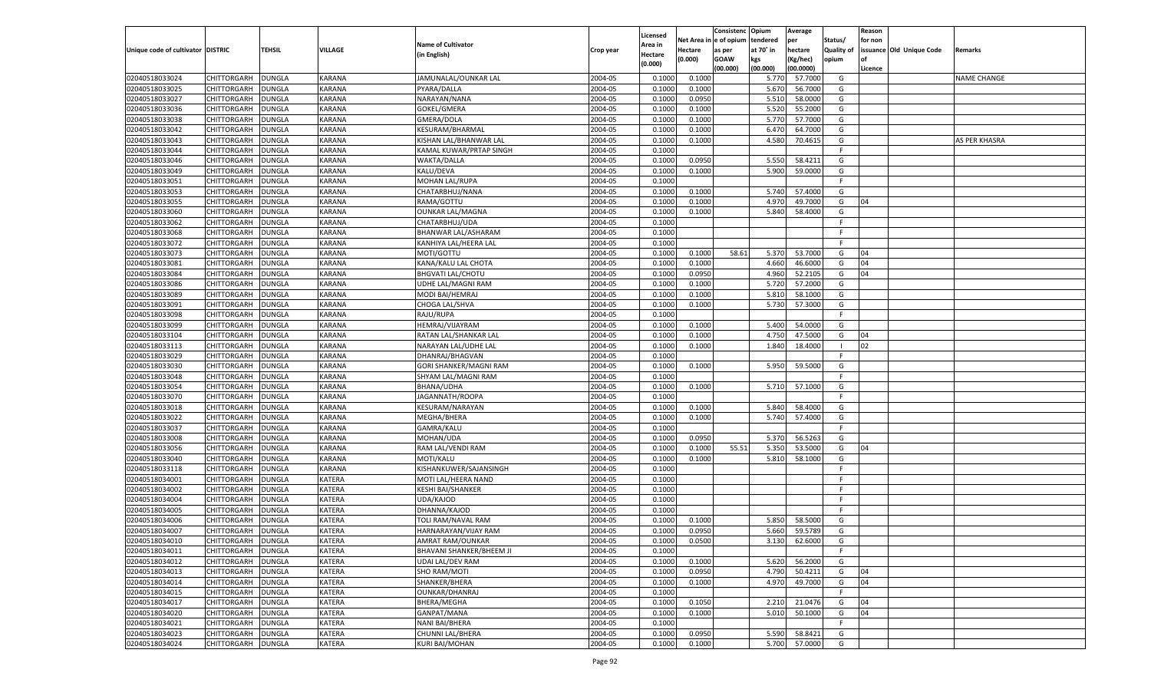|                                   |                      |               |               |                           |           |                           |          | Consistenc  | Opium     | Average   |                   | Reason  |                          |                    |
|-----------------------------------|----------------------|---------------|---------------|---------------------------|-----------|---------------------------|----------|-------------|-----------|-----------|-------------------|---------|--------------------------|--------------------|
|                                   |                      |               |               | <b>Name of Cultivator</b> |           | Licensed                  | Net Area | e of opium  | tendered  | per       | Status/           | for non |                          |                    |
| Unique code of cultivator DISTRIC |                      | <b>TEHSIL</b> | VILLAGE       | (in English)              | Crop year | <b>Area in</b><br>Hectare | Hectare  | as per      | at 70° in | hectare   | <b>Quality of</b> |         | issuance Old Unique Code | Remarks            |
|                                   |                      |               |               |                           |           | (0.000)                   | (0.000)  | <b>GOAW</b> | kgs       | (Kg/hec)  | opium             |         |                          |                    |
|                                   |                      |               |               |                           |           |                           |          | (00.000)    | (00.000)  | (00.0000) |                   | Licence |                          |                    |
| 02040518033024                    | CHITTORGARH          | <b>DUNGLA</b> | KARANA        | JAMUNALAL/OUNKAR LAL      | 2004-05   | 0.1000                    | 0.1000   |             | 5.770     | 57.7000   | G                 |         |                          | <b>NAME CHANGE</b> |
| 02040518033025                    | CHITTORGARH          | DUNGLA        | KARANA        | PYARA/DALLA               | 2004-05   | 0.1000                    | 0.1000   |             | 5.670     | 56.7000   | G                 |         |                          |                    |
| 02040518033027                    | CHITTORGARH          | DUNGLA        | KARANA        | NARAYAN/NANA              | 2004-05   | 0.1000                    | 0.0950   |             | 5.510     | 58.0000   | G                 |         |                          |                    |
| 02040518033036                    | CHITTORGARH          | DUNGLA        | KARANA        | GOKEL/GMERA               | 2004-05   | 0.1000                    | 0.1000   |             | 5.520     | 55.2000   | G                 |         |                          |                    |
| 02040518033038                    | CHITTORGARH          | DUNGLA        | KARANA        | GMERA/DOLA                | 2004-05   | 0.1000                    | 0.1000   |             | 5.770     | 57.7000   | G                 |         |                          |                    |
| 02040518033042                    | CHITTORGARH          | DUNGLA        | KARANA        | KESURAM/BHARMAL           | 2004-05   | 0.1000                    | 0.1000   |             | 6.470     | 64.7000   | G                 |         |                          |                    |
| 02040518033043                    | CHITTORGARH          | DUNGLA        | KARANA        | KISHAN LAL/BHANWAR LAL    | 2004-05   | 0.1000                    | 0.1000   |             | 4.580     | 70.4615   | G                 |         |                          | AS PER KHASRA      |
| 02040518033044                    | CHITTORGARH          | DUNGLA        | KARANA        | KAMAL KUWAR/PRTAP SINGH   | 2004-05   | 0.1000                    |          |             |           |           | F.                |         |                          |                    |
| 02040518033046                    | CHITTORGARH          | DUNGLA        | KARANA        | WAKTA/DALLA               | 2004-05   | 0.1000                    | 0.0950   |             | 5.550     | 58.4211   | G                 |         |                          |                    |
| 02040518033049                    | CHITTORGARH          | DUNGLA        | KARANA        | KALU/DEVA                 | 2004-05   | 0.1000                    | 0.1000   |             | 5.900     | 59.0000   | G                 |         |                          |                    |
| 02040518033051                    | CHITTORGARH          | DUNGLA        | KARANA        | MOHAN LAL/RUPA            | 2004-05   | 0.1000                    |          |             |           |           | F.                |         |                          |                    |
| 02040518033053                    | CHITTORGARH          | DUNGLA        | KARANA        | CHATARBHUJ/NANA           | 2004-05   | 0.1000                    | 0.1000   |             | 5.740     | 57.4000   | G                 |         |                          |                    |
| 02040518033055                    | CHITTORGARH          | DUNGLA        | KARANA        | RAMA/GOTTU                | 2004-05   | 0.1000                    | 0.1000   |             | 4.97      | 49.7000   | G                 | 04      |                          |                    |
| 02040518033060                    | CHITTORGARH          | DUNGLA        | KARANA        | <b>OUNKAR LAL/MAGNA</b>   | 2004-05   | 0.1000                    | 0.1000   |             | 5.840     | 58.4000   | G                 |         |                          |                    |
| 02040518033062                    | CHITTORGARH          | DUNGLA        | KARANA        | CHATARBHUJ/UDA            | 2004-05   | 0.1000                    |          |             |           |           | F.                |         |                          |                    |
| 02040518033068                    | CHITTORGARH          | DUNGLA        | KARANA        | BHANWAR LAL/ASHARAM       | 2004-05   | 0.1000                    |          |             |           |           | F.                |         |                          |                    |
| 02040518033072                    | CHITTORGARH          | <b>DUNGLA</b> | KARANA        | KANHIYA LAL/HEERA LAL     | 2004-05   | 0.1000                    |          |             |           |           | F.                |         |                          |                    |
| 02040518033073                    | CHITTORGARH          | DUNGLA        | KARANA        | MOTI/GOTTU                | 2004-05   | 0.1000                    | 0.1000   | 58.61       | 5.370     | 53.7000   | G                 | 04      |                          |                    |
| 02040518033081                    | CHITTORGARH          | <b>DUNGLA</b> | KARANA        | KANA/KALU LAL CHOTA       | 2004-05   | 0.1000                    | 0.1000   |             | 4.660     | 46.6000   | G                 | 04      |                          |                    |
| 02040518033084                    | CHITTORGARH          | DUNGLA        | KARANA        | <b>BHGVATI LAL/CHOTU</b>  | 2004-05   | 0.1000                    | 0.0950   |             | 4.960     | 52.2105   | G                 | 04      |                          |                    |
| 02040518033086                    | CHITTORGARH          | DUNGLA        | KARANA        | UDHE LAL/MAGNI RAM        | 2004-05   | 0.1000                    | 0.1000   |             | 5.720     | 57.2000   | G                 |         |                          |                    |
| 02040518033089                    | CHITTORGARH          | DUNGLA        | KARANA        | MODI BAI/HEMRAJ           | 2004-05   | 0.1000                    | 0.1000   |             | 5.810     | 58.1000   | G                 |         |                          |                    |
| 02040518033091                    | CHITTORGARH          | <b>DUNGLA</b> | KARANA        | CHOGA LAL/SHVA            | 2004-05   | 0.1000                    | 0.1000   |             | 5.730     | 57.3000   | G                 |         |                          |                    |
| 02040518033098                    | CHITTORGARH          | DUNGLA        | KARANA        | RAJU/RUPA                 | 2004-05   | 0.1000                    |          |             |           |           | F.                |         |                          |                    |
| 02040518033099                    | CHITTORGARH          | DUNGLA        | KARANA        | HEMRAJ/VIJAYRAM           | 2004-05   | 0.1000                    | 0.1000   |             | 5.400     | 54.0000   | G                 |         |                          |                    |
| 02040518033104                    | CHITTORGARH          | DUNGLA        | KARANA        | RATAN LAL/SHANKAR LAL     | 2004-05   | 0.1000                    | 0.1000   |             | 4.750     | 47.5000   | G                 | 04      |                          |                    |
| 02040518033113                    | CHITTORGARH          | <b>DUNGLA</b> | KARANA        | NARAYAN LAL/UDHE LAL      | 2004-05   | 0.1000                    | 0.1000   |             | 1.840     | 18.4000   | - 1               | 02      |                          |                    |
| 02040518033029                    | CHITTORGARH          | DUNGLA        | KARANA        | DHANRAJ/BHAGVAN           | 2004-05   | 0.1000                    |          |             |           |           | F.                |         |                          |                    |
| 02040518033030                    | CHITTORGARH          | DUNGLA        | KARANA        | GORI SHANKER/MAGNI RAM    | 2004-05   | 0.1000                    | 0.1000   |             | 5.950     | 59.5000   | G                 |         |                          |                    |
| 02040518033048                    | CHITTORGARH          | <b>DUNGLA</b> | KARANA        | SHYAM LAL/MAGNI RAM       | 2004-05   | 0.1000                    |          |             |           |           | F.                |         |                          |                    |
| 02040518033054                    | CHITTORGARH          | <b>DUNGLA</b> | KARANA        | BHANA/UDHA                | 2004-05   | 0.1000                    | 0.1000   |             | 5.710     | 57.1000   | G                 |         |                          |                    |
| 02040518033070                    | CHITTORGARH          | <b>DUNGLA</b> | KARANA        | JAGANNATH/ROOPA           | 2004-05   | 0.1000                    |          |             |           |           | F.                |         |                          |                    |
| 02040518033018                    | CHITTORGARH          | <b>DUNGLA</b> | KARANA        | KESURAM/NARAYAN           | 2004-05   | 0.1000                    | 0.1000   |             | 5.840     | 58.4000   | G                 |         |                          |                    |
| 02040518033022                    | CHITTORGARH          | DUNGLA        | KARANA        | MEGHA/BHERA               | 2004-05   | 0.1000                    | 0.1000   |             | 5.740     | 57.4000   | G                 |         |                          |                    |
| 02040518033037                    |                      | <b>DUNGLA</b> | KARANA        |                           | 2004-05   | 0.1000                    |          |             |           |           | F.                |         |                          |                    |
| 02040518033008                    | CHITTORGARH          |               | KARANA        | GAMRA/KALU                | 2004-05   |                           | 0.0950   |             | 5.370     | 56.5263   | G                 |         |                          |                    |
|                                   | CHITTORGARH          | <b>DUNGLA</b> | KARANA        | MOHAN/UDA                 |           | 0.1000<br>0.1000          |          |             |           |           |                   |         |                          |                    |
| 02040518033056                    | <b>CHITTORGARH</b>   | <b>DUNGLA</b> |               | RAM LAL/VENDI RAM         | 2004-05   |                           | 0.1000   | 55.51       | 5.350     | 53.5000   | G                 | 04      |                          |                    |
| 02040518033040                    | CHITTORGARH          | DUNGLA        | KARANA        | MOTI/KALU                 | 2004-05   | 0.1000                    | 0.1000   |             | 5.810     | 58.1000   | G                 |         |                          |                    |
| 02040518033118                    | <b>CHITTORGARH</b>   | <b>DUNGLA</b> | KARANA        | KISHANKUWER/SAJANSINGH    | 2004-05   | 0.1000                    |          |             |           |           | F.                |         |                          |                    |
| 02040518034001                    | CHITTORGARH          | <b>DUNGLA</b> | KATERA        | MOTI LAL/HEERA NAND       | 2004-05   | 0.1000                    |          |             |           |           | F                 |         |                          |                    |
| 02040518034002                    | CHITTORGARH          | <b>DUNGLA</b> | KATERA        | <b>KESHI BAI/SHANKER</b>  | 2004-05   | 0.1000                    |          |             |           |           | F                 |         |                          |                    |
| 02040518034004                    | CHITTORGARH          | DUNGLA        | KATERA        | UDA/KAJOD                 | 2004-05   | 0.1000                    |          |             |           |           | F                 |         |                          |                    |
| 02040518034005                    | CHITTORGARH          | <b>DUNGLA</b> | KATERA        | DHANNA/KAJOD              | 2004-05   | 0.1000                    |          |             |           |           | F.                |         |                          |                    |
| 02040518034006                    | CHITTORGARH          | DUNGLA        | KATERA        | TOLI RAM/NAVAL RAM        | 2004-05   | 0.1000                    | 0.1000   |             | 5.850     | 58.5000   | G                 |         |                          |                    |
| 02040518034007                    | CHITTORGARH          | <b>DUNGLA</b> | KATERA        | HARNARAYAN/VIJAY RAM      | 2004-05   | 0.1000                    | 0.0950   |             | 5.660     | 59.5789   | G                 |         |                          |                    |
| 02040518034010                    | CHITTORGARH   DUNGLA |               | <b>KATERA</b> | AMRAT RAM/OUNKAR          | 2004-05   | 0.1000                    | 0.0500   |             | 3.130     | 62.6000   | G                 |         |                          |                    |
| 02040518034011                    | <b>CHITTORGARH</b>   | <b>DUNGLA</b> | <b>KATERA</b> | BHAVANI SHANKER/BHEEM JI  | 2004-05   | 0.1000                    |          |             |           |           | F                 |         |                          |                    |
| 02040518034012                    | <b>CHITTORGARH</b>   | <b>DUNGLA</b> | KATERA        | <b>UDAI LAL/DEV RAM</b>   | 2004-05   | 0.1000                    | 0.1000   |             | 5.620     | 56.2000   | G                 |         |                          |                    |
| 02040518034013                    | <b>CHITTORGARH</b>   | <b>DUNGLA</b> | <b>KATERA</b> | SHO RAM/MOTI              | 2004-05   | 0.1000                    | 0.0950   |             | 4.790     | 50.4211   | G                 | 04      |                          |                    |
| 02040518034014                    | <b>CHITTORGARH</b>   | <b>DUNGLA</b> | <b>KATERA</b> | SHANKER/BHERA             | 2004-05   | 0.1000                    | 0.1000   |             | 4.970     | 49.7000   | G                 | 04      |                          |                    |
| 02040518034015                    | <b>CHITTORGARH</b>   | <b>DUNGLA</b> | <b>KATERA</b> | OUNKAR/DHANRAJ            | 2004-05   | 0.1000                    |          |             |           |           | F                 |         |                          |                    |
| 02040518034017                    | <b>CHITTORGARH</b>   | <b>DUNGLA</b> | KATERA        | BHERA/MEGHA               | 2004-05   | 0.1000                    | 0.1050   |             | 2.210     | 21.0476   | G                 | 04      |                          |                    |
| 02040518034020                    | <b>CHITTORGARH</b>   | <b>DUNGLA</b> | <b>KATERA</b> | GANPAT/MANA               | 2004-05   | 0.1000                    | 0.1000   |             | 5.010     | 50.1000   | G                 | 04      |                          |                    |
| 02040518034021                    | <b>CHITTORGARH</b>   | <b>DUNGLA</b> | <b>KATERA</b> | <b>NANI BAI/BHERA</b>     | 2004-05   | 0.1000                    |          |             |           |           | F.                |         |                          |                    |
| 02040518034023                    | <b>CHITTORGARH</b>   | <b>DUNGLA</b> | KATERA        | CHUNNI LAL/BHERA          | 2004-05   | 0.1000                    | 0.0950   |             | 5.590     | 58.8421   | G                 |         |                          |                    |
| 02040518034024                    | <b>CHITTORGARH</b>   | <b>DUNGLA</b> | KATERA        | <b>KURI BAI/MOHAN</b>     | 2004-05   | 0.1000                    | 0.1000   |             | 5.700     | 57.0000   | G                 |         |                          |                    |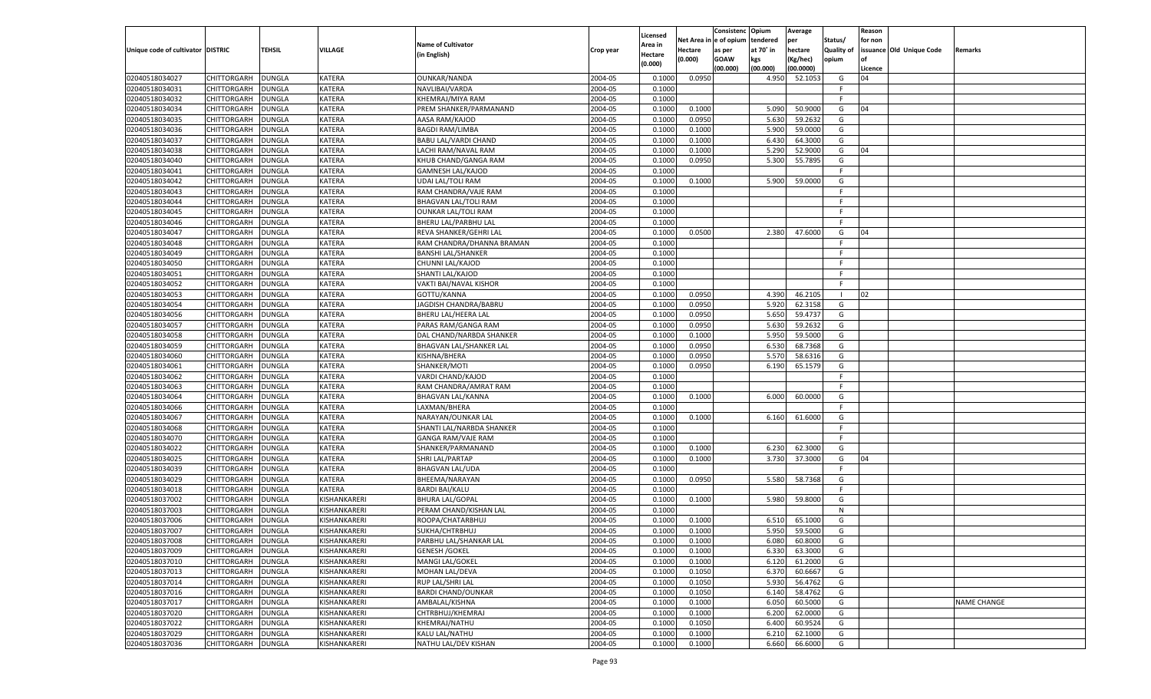|                                   |                    |               |               |                             |           |                    |         | Consistenc Opium       |           | Average   |                   | Reason  |                          |                    |
|-----------------------------------|--------------------|---------------|---------------|-----------------------------|-----------|--------------------|---------|------------------------|-----------|-----------|-------------------|---------|--------------------------|--------------------|
|                                   |                    |               |               | <b>Name of Cultivator</b>   |           | Licensed           |         | Net Area in e of opium | tendered  | per       | Status/           | for non |                          |                    |
| Unique code of cultivator DISTRIC |                    | TEHSIL        | VILLAGE       |                             | Crop year | Area in            | Hectare | as per                 | at 70° in | hectare   | <b>Quality of</b> |         | issuance Old Unique Code | <b>Remarks</b>     |
|                                   |                    |               |               | (in English)                |           | Hectare<br>(0.000) | (0.000) | <b>GOAW</b>            | kgs       | (Kg/hec)  | opium             |         |                          |                    |
|                                   |                    |               |               |                             |           |                    |         | (00.000)               | (00.000)  | (00.0000) |                   | Licence |                          |                    |
| 02040518034027                    | CHITTORGARH        | <b>DUNGLA</b> | KATERA        | <b>OUNKAR/NANDA</b>         | 2004-05   | 0.1000             | 0.0950  |                        | 4.950     | 52.1053   | G                 | 04      |                          |                    |
| 02040518034031                    | CHITTORGARH        | DUNGLA        | KATERA        | NAVLIBAI/VARDA              | 2004-05   | 0.1000             |         |                        |           |           | F.                |         |                          |                    |
| 02040518034032                    | CHITTORGARH        | <b>DUNGLA</b> | <b>KATERA</b> | KHEMRAJ/MIYA RAM            | 2004-05   | 0.1000             |         |                        |           |           | F.                |         |                          |                    |
| 02040518034034                    | CHITTORGARH        | DUNGLA        | KATERA        | PREM SHANKER/PARMANAND      | 2004-05   | 0.1000             | 0.1000  |                        | 5.090     | 50.9000   | G                 | 04      |                          |                    |
| 02040518034035                    | CHITTORGARH        | <b>DUNGLA</b> | <b>KATERA</b> | AASA RAM/KAJOD              | 2004-05   | 0.1000             | 0.0950  |                        | 5.630     | 59.2632   | G                 |         |                          |                    |
| 02040518034036                    | CHITTORGARH        | DUNGLA        | <b>KATERA</b> | <b>BAGDI RAM/LIMBA</b>      | 2004-05   | 0.1000             | 0.1000  |                        | 5.900     | 59.0000   | G                 |         |                          |                    |
| 02040518034037                    | CHITTORGARH        | <b>DUNGLA</b> | <b>KATERA</b> | <b>BABU LAL/VARDI CHAND</b> | 2004-05   | 0.1000             | 0.1000  |                        | 6.430     | 64.3000   | G                 |         |                          |                    |
| 02040518034038                    | CHITTORGARH        | DUNGLA        | KATERA        | LACHI RAM/NAVAL RAM         | 2004-05   | 0.1000             | 0.1000  |                        | 5.290     | 52.9000   | G                 | 04      |                          |                    |
| 02040518034040                    | CHITTORGARH        | <b>DUNGLA</b> | <b>KATERA</b> | KHUB CHAND/GANGA RAM        | 2004-05   | 0.1000             | 0.0950  |                        | 5.300     | 55.7895   | G                 |         |                          |                    |
| 02040518034041                    | CHITTORGARH        | DUNGLA        | KATERA        | <b>GAMNESH LAL/KAJOD</b>    | 2004-05   | 0.1000             |         |                        |           |           | F.                |         |                          |                    |
| 02040518034042                    | CHITTORGARH        | <b>DUNGLA</b> | <b>KATERA</b> | <b>UDAI LAL/TOLI RAM</b>    | 2004-05   | 0.1000             | 0.1000  |                        | 5.900     | 59.0000   | G                 |         |                          |                    |
| 02040518034043                    | CHITTORGARH        | DUNGLA        | KATERA        | RAM CHANDRA/VAJE RAM        | 2004-05   | 0.1000             |         |                        |           |           | F.                |         |                          |                    |
| 02040518034044                    | CHITTORGARH        | DUNGLA        | <b>KATERA</b> | <b>BHAGVAN LAL/TOLI RAM</b> | 2004-05   | 0.1000             |         |                        |           |           | F.                |         |                          |                    |
| 02040518034045                    | CHITTORGARH        | DUNGLA        | KATERA        | <b>OUNKAR LAL/TOLI RAM</b>  | 2004-05   | 0.1000             |         |                        |           |           | E                 |         |                          |                    |
| 02040518034046                    | CHITTORGARH        | DUNGLA        | KATERA        | BHERU LAL/PARBHU LAL        | 2004-05   | 0.1000             |         |                        |           |           | F.                |         |                          |                    |
| 02040518034047                    | CHITTORGARH        | DUNGLA        | KATERA        | REVA SHANKER/GEHRI LAL      | 2004-05   | 0.1000             | 0.0500  |                        | 2.380     | 47.6000   | G                 | 04      |                          |                    |
|                                   |                    |               |               |                             | 2004-05   | 0.1000             |         |                        |           |           | F.                |         |                          |                    |
| 02040518034048                    | CHITTORGARH        | DUNGLA        | KATERA        | RAM CHANDRA/DHANNA BRAMAN   |           |                    |         |                        |           |           | E                 |         |                          |                    |
| 02040518034049                    | CHITTORGARH        | DUNGLA        | KATERA        | <b>BANSHI LAL/SHANKER</b>   | 2004-05   | 0.1000             |         |                        |           |           |                   |         |                          |                    |
| 02040518034050                    | CHITTORGARH        | DUNGLA        | KATERA        | CHUNNI LAL/KAJOD            | 2004-05   | 0.1000             |         |                        |           |           | F.                |         |                          |                    |
| 02040518034051                    | CHITTORGARH        | DUNGLA        | KATERA        | SHANTI LAL/KAJOD            | 2004-05   | 0.1000             |         |                        |           |           | -F                |         |                          |                    |
| 02040518034052                    | CHITTORGARH        | DUNGLA        | KATERA        | VAKTI BAI/NAVAL KISHOR      | 2004-05   | 0.1000             |         |                        |           |           | F.                |         |                          |                    |
| 02040518034053                    | CHITTORGARH        | DUNGLA        | KATERA        | GOTTU/KANNA                 | 2004-05   | 0.1000             | 0.0950  |                        | 4.390     | 46.2105   | - 1               | 02      |                          |                    |
| 02040518034054                    | CHITTORGARH        | DUNGLA        | KATERA        | JAGDISH CHANDRA/BABRU       | 2004-05   | 0.1000             | 0.0950  |                        | 5.920     | 62.3158   | G                 |         |                          |                    |
| 02040518034056                    | CHITTORGARH        | DUNGLA        | KATERA        | BHERU LAL/HEERA LAI         | 2004-05   | 0.1000             | 0.0950  |                        | 5.650     | 59.4737   | G                 |         |                          |                    |
| 02040518034057                    | CHITTORGARH        | DUNGLA        | KATERA        | PARAS RAM/GANGA RAM         | 2004-05   | 0.1000             | 0.0950  |                        | 5.630     | 59.2632   | G                 |         |                          |                    |
| 02040518034058                    | CHITTORGARH        | DUNGLA        | KATERA        | DAL CHAND/NARBDA SHANKER    | 2004-05   | 0.1000             | 0.1000  |                        | 5.950     | 59.5000   | G                 |         |                          |                    |
| 02040518034059                    | CHITTORGARH        | DUNGLA        | KATERA        | BHAGVAN LAL/SHANKER LAI     | 2004-05   | 0.1000             | 0.0950  |                        | 6.530     | 68.7368   | G                 |         |                          |                    |
| 02040518034060                    | CHITTORGARH        | DUNGLA        | KATERA        | KISHNA/BHERA                | 2004-05   | 0.1000             | 0.0950  |                        | 5.570     | 58.6316   | G                 |         |                          |                    |
| 02040518034061                    | CHITTORGARH        | DUNGLA        | KATERA        | SHANKER/MOTI                | 2004-05   | 0.1000             | 0.0950  |                        | 6.190     | 65.1579   | G                 |         |                          |                    |
| 02040518034062                    | CHITTORGARH        | DUNGLA        | KATERA        | VARDI CHAND/KAJOD           | 2004-05   | 0.1000             |         |                        |           |           | E                 |         |                          |                    |
| 02040518034063                    | CHITTORGARH        | DUNGLA        | KATERA        | RAM CHANDRA/AMRAT RAM       | 2004-05   | 0.1000             |         |                        |           |           | F.                |         |                          |                    |
| 02040518034064                    | CHITTORGARH        | DUNGLA        | KATERA        | <b>BHAGVAN LAL/KANNA</b>    | 2004-05   | 0.1000             | 0.1000  |                        | 6.000     | 60.0000   | G                 |         |                          |                    |
| 02040518034066                    | CHITTORGARH        | DUNGLA        | <b>KATERA</b> | LAXMAN/BHERA                | 2004-05   | 0.1000             |         |                        |           |           | F.                |         |                          |                    |
| 02040518034067                    | CHITTORGARH        | DUNGLA        | KATERA        | NARAYAN/OUNKAR LAL          | 2004-05   | 0.1000             | 0.1000  |                        | 6.160     | 61.6000   | G                 |         |                          |                    |
| 02040518034068                    | CHITTORGARH        | DUNGLA        | KATERA        | SHANTI LAL/NARBDA SHANKER   | 2004-05   | 0.1000             |         |                        |           |           | F.                |         |                          |                    |
| 02040518034070                    | CHITTORGARH        | DUNGLA        | KATERA        | GANGA RAM/VAJE RAM          | 2004-05   | 0.1000             |         |                        |           |           | -F                |         |                          |                    |
| 02040518034022                    | CHITTORGARH        | DUNGLA        | <b>KATERA</b> | SHANKER/PARMANAND           | 2004-05   | 0.1000             | 0.1000  |                        | 6.230     | 62.3000   | G                 |         |                          |                    |
| 02040518034025                    | CHITTORGARH        | DUNGLA        | KATERA        | SHRI LAL/PARTAP             | 2004-05   | 0.1000             | 0.1000  |                        | 3.730     | 37.3000   | G                 | 04      |                          |                    |
| 02040518034039                    | CHITTORGARH        | DUNGLA        | KATERA        | <b>BHAGVAN LAL/UDA</b>      | 2004-05   | 0.1000             |         |                        |           |           | F.                |         |                          |                    |
| 02040518034029                    | CHITTORGARH        | DUNGLA        | KATERA        | BHEEMA/NARAYAN              | 2004-05   | 0.1000             | 0.0950  |                        | 5.580     | 58.7368   | G                 |         |                          |                    |
| 02040518034018                    | CHITTORGARH        | DUNGLA        | KATERA        | <b>BARDI BAI/KALU</b>       | 2004-05   | 0.1000             |         |                        |           |           | F.                |         |                          |                    |
| 02040518037002                    | CHITTORGARH        | DUNGLA        | KISHANKARERI  | <b>BHURA LAL/GOPAL</b>      | 2004-05   | 0.1000             | 0.1000  |                        | 5.980     | 59.8000   | G                 |         |                          |                    |
|                                   |                    |               |               | PERAM CHAND/KISHAN LAL      | 2004-05   | 0.1000             |         |                        |           |           | N                 |         |                          |                    |
| 02040518037003<br>02040518037006  | CHITTORGARH        | DUNGLA        | KISHANKARERI  |                             |           |                    |         |                        |           |           |                   |         |                          |                    |
|                                   | CHITTORGARH        | DUNGLA        | KISHANKARERI  | ROOPA/CHATARBHUJ            | 2004-05   | 0.1000             | 0.1000  |                        | 6.510     | 65.1000   | G                 |         |                          |                    |
| 02040518037007                    | CHITTORGARH        | DUNGLA        | KISHANKARERI  | SUKHA/CHTRBHUJ              | 2004-05   | 0.1000             | 0.1000  |                        | 5.950     | 59.5000   | G                 |         |                          |                    |
| 02040518037008                    | CHITTORGARH        | <b>DUNGLA</b> | KISHANKARERI  | PARBHU LAL/SHANKAR LAL      | 2004-05   | 0.1000             | 0.1000  |                        | 6.080     | 60.8000   | G                 |         |                          |                    |
| 02040518037009                    | <b>CHITTORGARH</b> | <b>DUNGLA</b> | KISHANKARERI  | <b>GENESH / GOKEL</b>       | 2004-05   | 0.1000             | 0.1000  |                        | 6.330     | 63.3000   | G                 |         |                          |                    |
| 02040518037010                    | <b>CHITTORGARH</b> | <b>DUNGLA</b> | KISHANKARERI  | MANGI LAL/GOKEL             | 2004-05   | 0.1000             | 0.1000  |                        | 6.120     | 61.2000   | G                 |         |                          |                    |
| 02040518037013                    | CHITTORGARH        | <b>DUNGLA</b> | KISHANKARERI  | MOHAN LAL/DEVA              | 2004-05   | 0.1000             | 0.1050  |                        | 6.370     | 60.6667   | G                 |         |                          |                    |
| 02040518037014                    | <b>CHITTORGARH</b> | <b>DUNGLA</b> | KISHANKARERI  | RUP LAL/SHRI LAL            | 2004-05   | 0.1000             | 0.1050  |                        | 5.930     | 56.4762   | G                 |         |                          |                    |
| 02040518037016                    | CHITTORGARH        | <b>DUNGLA</b> | KISHANKARERI  | <b>BARDI CHAND/OUNKAR</b>   | 2004-05   | 0.1000             | 0.1050  |                        | 6.140     | 58.4762   | G                 |         |                          |                    |
| 02040518037017                    | <b>CHITTORGARH</b> | DUNGLA        | KISHANKARERI  | AMBALAL/KISHNA              | 2004-05   | 0.1000             | 0.1000  |                        | 6.050     | 60.5000   | G                 |         |                          | <b>NAME CHANGE</b> |
| 02040518037020                    | CHITTORGARH        | <b>DUNGLA</b> | KISHANKARERI  | CHTRBHUJ/KHEMRAJ            | 2004-05   | 0.1000             | 0.1000  |                        | 6.200     | 62.0000   | G                 |         |                          |                    |
| 02040518037022                    | CHITTORGARH        | <b>DUNGLA</b> | KISHANKARERI  | KHEMRAJ/NATHU               | 2004-05   | 0.1000             | 0.1050  |                        | 6.400     | 60.9524   | G                 |         |                          |                    |
| 02040518037029                    | <b>CHITTORGARH</b> | <b>DUNGLA</b> | KISHANKARERI  | KALU LAL/NATHU              | 2004-05   | 0.1000             | 0.1000  |                        | 6.210     | 62.1000   | G                 |         |                          |                    |
| 02040518037036                    | <b>CHITTORGARH</b> | <b>DUNGLA</b> | KISHANKARERI  | NATHU LAL/DEV KISHAN        | 2004-05   | 0.1000             | 0.1000  |                        | 6.660     | 66.6000   | G                 |         |                          |                    |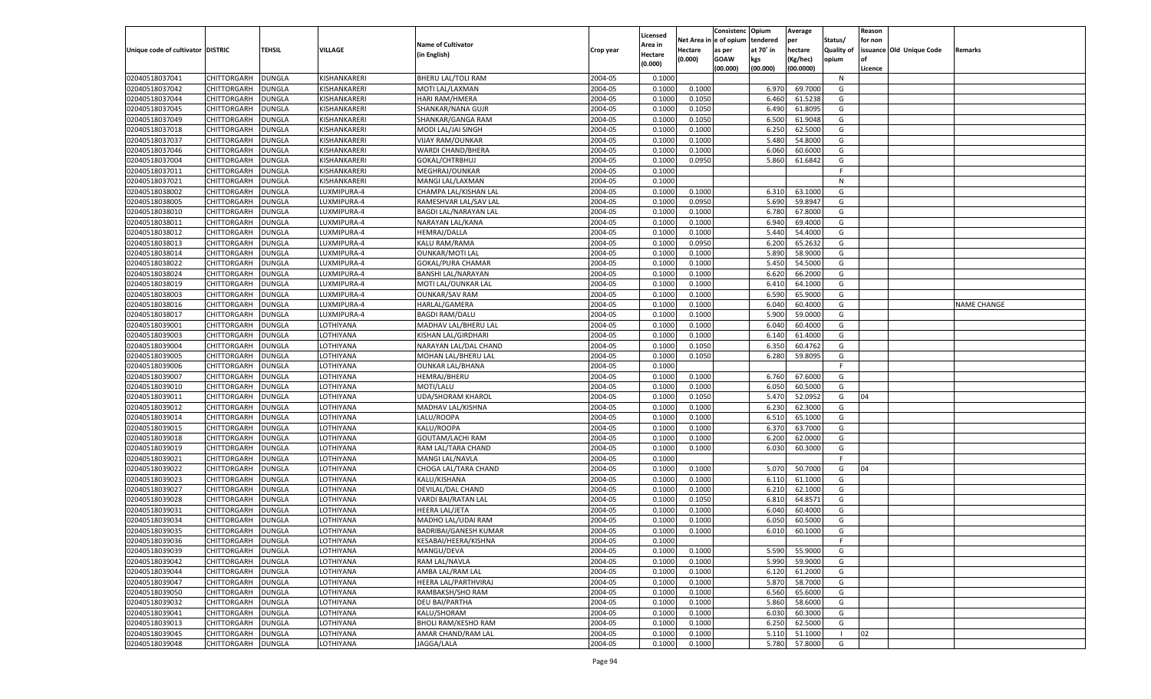|                                   |                    |               |                |                              |           |                    |            | Consistenc    | Opium     | Average   |                   | Reason  |                          |                    |
|-----------------------------------|--------------------|---------------|----------------|------------------------------|-----------|--------------------|------------|---------------|-----------|-----------|-------------------|---------|--------------------------|--------------------|
|                                   |                    |               |                |                              |           | Licensed           | Net Area i | n  e of opium | tendered  | per       | Status/           | for non |                          |                    |
| Unique code of cultivator DISTRIC |                    | TEHSIL        | <b>VILLAGE</b> | <b>Name of Cultivator</b>    | Crop year | Area in            | Hectare    | as per        | at 70° in | hectare   | <b>Quality of</b> |         | issuance Old Unique Code | Remarks            |
|                                   |                    |               |                | (in English)                 |           | Hectare<br>(0.000) | (0.000)    | <b>GOAW</b>   | kgs       | (Kg/hec)  | opium             |         |                          |                    |
|                                   |                    |               |                |                              |           |                    |            | (00.000)      | (00.000)  | (00.0000) |                   | Licence |                          |                    |
| 02040518037041                    | CHITTORGARH        | DUNGLA        | KISHANKARERI   | BHERU LAL/TOLI RAM           | 2004-05   | 0.1000             |            |               |           |           | N                 |         |                          |                    |
| 02040518037042                    | CHITTORGARH        | DUNGLA        | KISHANKARERI   | MOTI LAL/LAXMAN              | 2004-05   | 0.1000             | 0.1000     |               | 6.970     | 69.7000   | G                 |         |                          |                    |
| 02040518037044                    | CHITTORGARH        | DUNGLA        | KISHANKARERI   | HARI RAM/HMERA               | 2004-05   | 0.1000             | 0.1050     |               | 6.460     | 61.5238   | G                 |         |                          |                    |
| 02040518037045                    | CHITTORGARH        | DUNGLA        | KISHANKARERI   | SHANKAR/NANA GUJR            | 2004-05   | 0.1000             | 0.1050     |               | 6.490     | 61.8095   | G                 |         |                          |                    |
| 02040518037049                    | CHITTORGARH        | DUNGLA        | KISHANKARERI   | SHANKAR/GANGA RAM            | 2004-05   | 0.1000             | 0.1050     |               | 6.500     | 61.9048   | G                 |         |                          |                    |
| 02040518037018                    | CHITTORGARH        | DUNGLA        | KISHANKARERI   | MODI LAL/JAI SINGH           | 2004-05   | 0.1000             | 0.1000     |               | 6.250     | 62.5000   | G                 |         |                          |                    |
| 02040518037037                    | CHITTORGARH        | DUNGLA        | KISHANKARERI   | <b>VIJAY RAM/OUNKAR</b>      | 2004-05   | 0.1000             | 0.1000     |               | 5.480     | 54.8000   | G                 |         |                          |                    |
| 02040518037046                    | CHITTORGARH        | DUNGLA        | KISHANKARERI   | WARDI CHAND/BHERA            | 2004-05   | 0.1000             | 0.1000     |               | 6.060     | 60.6000   | G                 |         |                          |                    |
| 02040518037004                    | CHITTORGARH        | DUNGLA        | KISHANKARERI   | GOKAL/CHTRBHUJ               | 2004-05   | 0.1000             | 0.0950     |               | 5.860     | 61.6842   | G                 |         |                          |                    |
| 02040518037011                    | CHITTORGARH        | DUNGLA        | KISHANKARERI   | MEGHRAJ/OUNKAR               | 2004-05   | 0.1000             |            |               |           |           | F.                |         |                          |                    |
| 02040518037021                    | CHITTORGARH        | DUNGLA        | KISHANKARERI   | MANGI LAL/LAXMAN             | 2004-05   | 0.1000             |            |               |           |           | N                 |         |                          |                    |
| 02040518038002                    | CHITTORGARH        | DUNGLA        | LUXMIPURA-4    | CHAMPA LAL/KISHAN LAL        | 2004-05   | 0.1000             | 0.1000     |               | 6.310     | 63.1000   | G                 |         |                          |                    |
| 02040518038005                    | CHITTORGARH        | DUNGLA        | LUXMIPURA-4    | RAMESHVAR LAL/SAV LAL        | 2004-05   | 0.1000             | 0.0950     |               | 5.690     | 59.8947   | G                 |         |                          |                    |
| 02040518038010                    | CHITTORGARH        | DUNGLA        | LUXMIPURA-4    | BAGDI LAL/NARAYAN LAL        | 2004-05   | 0.1000             | 0.1000     |               | 6.780     | 67.8000   | G                 |         |                          |                    |
| 02040518038011                    | CHITTORGARH        | DUNGLA        | LUXMIPURA-4    | NARAYAN LAL/KANA             | 2004-05   | 0.1000             | 0.1000     |               | 6.940     | 69.4000   | G                 |         |                          |                    |
| 02040518038012                    | CHITTORGARH        | DUNGLA        | LUXMIPURA-4    | HEMRAJ/DALLA                 | 2004-05   | 0.1000             | 0.1000     |               | 5.440     | 54.4000   | G                 |         |                          |                    |
| 02040518038013                    | CHITTORGARH        | DUNGLA        | LUXMIPURA-4    | KALU RAM/RAMA                | 2004-05   | 0.1000             | 0.0950     |               | 6.200     | 65.2632   | G                 |         |                          |                    |
| 02040518038014                    | CHITTORGARH        | DUNGLA        | LUXMIPURA-4    | <b>OUNKAR/MOTI LAL</b>       | 2004-05   | 0.1000             | 0.1000     |               | 5.890     | 58.9000   | G                 |         |                          |                    |
| 02040518038022                    | CHITTORGARH        | DUNGLA        | LUXMIPURA-4    | <b>GOKAL/PURA CHAMAR</b>     | 2004-05   | 0.1000             | 0.1000     |               | 5.450     | 54.5000   | G                 |         |                          |                    |
| 02040518038024                    | CHITTORGARH        | DUNGLA        | LUXMIPURA-4    | <b>BANSHI LAL/NARAYAN</b>    | 2004-05   | 0.1000             | 0.1000     |               | 6.620     | 66.2000   | G                 |         |                          |                    |
| 02040518038019                    | CHITTORGARH        | DUNGLA        | LUXMIPURA-4    | MOTI LAL/OUNKAR LAL          | 2004-05   | 0.1000             | 0.1000     |               | 6.410     | 64.1000   | G                 |         |                          |                    |
| 02040518038003                    | CHITTORGARH        | DUNGLA        | LUXMIPURA-4    | <b>OUNKAR/SAV RAM</b>        | 2004-05   | 0.1000             | 0.1000     |               | 6.590     | 65.9000   | G                 |         |                          |                    |
| 02040518038016                    | CHITTORGARH        | DUNGLA        | LUXMIPURA-4    | HARLAL/GAMERA                | 2004-05   | 0.1000             | 0.1000     |               | 6.040     | 60.4000   | G                 |         |                          | <b>NAME CHANGE</b> |
| 02040518038017                    | CHITTORGARH        | DUNGLA        | LUXMIPURA-4    | <b>BAGDI RAM/DALU</b>        | 2004-05   | 0.1000             | 0.1000     |               | 5.900     | 59.0000   | G                 |         |                          |                    |
| 02040518039001                    | CHITTORGARH        | DUNGLA        | LOTHIYANA      | MADHAV LAL/BHERU LAL         | 2004-05   | 0.1000             | 0.1000     |               | 6.040     | 60.4000   | G                 |         |                          |                    |
| 02040518039003                    | CHITTORGARH        | DUNGLA        | LOTHIYANA      | <b>KISHAN LAL/GIRDHARI</b>   | 2004-05   | 0.1000             | 0.1000     |               | 6.140     | 61.4000   | G                 |         |                          |                    |
| 02040518039004                    | CHITTORGARH        | DUNGLA        | LOTHIYANA      | NARAYAN LAL/DAL CHAND        | 2004-05   | 0.1000             | 0.1050     |               | 6.350     | 60.4762   | G                 |         |                          |                    |
| 02040518039005                    | CHITTORGARH        | DUNGLA        | LOTHIYANA      | MOHAN LAL/BHERU LAL          | 2004-05   | 0.1000             | 0.1050     |               | 6.280     | 59.8095   | G                 |         |                          |                    |
| 02040518039006                    | CHITTORGARH        | DUNGLA        | LOTHIYANA      | <b>OUNKAR LAL/BHANA</b>      | 2004-05   | 0.1000             |            |               |           |           | F                 |         |                          |                    |
| 02040518039007                    | CHITTORGARH        | DUNGLA        | LOTHIYANA      | <b>HEMRAJ/BHERU</b>          | 2004-05   | 0.1000             | 0.1000     |               | 6.760     | 67.6000   | G                 |         |                          |                    |
| 02040518039010                    | CHITTORGARH        | DUNGLA        | LOTHIYANA      | MOTI/LALU                    | 2004-05   | 0.1000             | 0.1000     |               | 6.050     | 60.5000   | G                 |         |                          |                    |
| 02040518039011                    | CHITTORGARH        | DUNGLA        | LOTHIYANA      | <b>UDA/SHORAM KHAROL</b>     | 2004-05   | 0.1000             | 0.1050     |               | 5.470     | 52.0952   | G                 | 04      |                          |                    |
| 02040518039012                    | CHITTORGARH        | DUNGLA        | LOTHIYANA      | MADHAV LAL/KISHNA            | 2004-05   | 0.1000             | 0.1000     |               | 6.230     | 62.3000   | G                 |         |                          |                    |
| 02040518039014                    | CHITTORGARH        | DUNGLA        | LOTHIYANA      | LALU/ROOPA                   | 2004-05   | 0.1000             | 0.1000     |               | 6.510     | 65.1000   | G                 |         |                          |                    |
| 02040518039015                    | CHITTORGARH        | DUNGLA        | LOTHIYANA      | KALU/ROOPA                   | 2004-05   | 0.1000             | 0.1000     |               | 6.370     | 63.7000   | G                 |         |                          |                    |
| 02040518039018                    | CHITTORGARH        | DUNGLA        | LOTHIYANA      | GOUTAM/LACHI RAM             | 2004-05   | 0.1000             | 0.1000     |               | 6.200     | 62.0000   | G                 |         |                          |                    |
| 02040518039019                    | CHITTORGARH        | DUNGLA        | LOTHIYANA      | RAM LAL/TARA CHAND           | 2004-05   | 0.1000             | 0.1000     |               | 6.030     | 60.3000   | G                 |         |                          |                    |
| 02040518039021                    | CHITTORGARH        | DUNGLA        | LOTHIYANA      | MANGI LAL/NAVLA              | 2004-05   | 0.1000             |            |               |           |           | F                 |         |                          |                    |
| 02040518039022                    | CHITTORGARH        | DUNGLA        | LOTHIYANA      | CHOGA LAL/TARA CHAND         | 2004-05   | 0.1000             | 0.1000     |               | 5.070     | 50.7000   | G                 | 04      |                          |                    |
| 02040518039023                    | CHITTORGARH        | DUNGLA        | LOTHIYANA      | KALU/KISHANA                 | 2004-05   | 0.1000             | 0.1000     |               | 6.110     | 61.1000   | G                 |         |                          |                    |
| 02040518039027                    | CHITTORGARH        | DUNGLA        | LOTHIYANA      | DEVILAL/DAL CHAND            | 2004-05   | 0.1000             | 0.1000     |               | 6.210     | 62.1000   | G                 |         |                          |                    |
| 02040518039028                    | CHITTORGARH        | DUNGLA        | LOTHIYANA      | VARDI BAI/RATAN LAL          | 2004-05   | 0.1000             | 0.1050     |               | 6.810     | 64.8571   | G                 |         |                          |                    |
| 02040518039031                    | CHITTORGARH        | DUNGLA        | LOTHIYANA      | <b>HEERA LAL/JETA</b>        | 2004-05   | 0.1000             | 0.1000     |               | 6.040     | 60.4000   | G                 |         |                          |                    |
| 02040518039034                    | CHITTORGARH        | DUNGLA        | LOTHIYANA      | MADHO LAL/UDAI RAM           | 2004-05   | 0.1000             | 0.1000     |               | 6.050     | 60.5000   | G                 |         |                          |                    |
| 02040518039035                    | CHITTORGARH        | <b>DUNGLA</b> | LOTHIYANA      | <b>BADRIBAI/GANESH KUMAR</b> | 2004-05   | 0.1000             | 0.1000     |               | 6.010     | 60.1000   | G                 |         |                          |                    |
| 02040518039036                    | CHITTORGARH        | <b>DUNGLA</b> | LOTHIYANA      | KESABAI/HEERA/KISHNA         | 2004-05   | 0.1000             |            |               |           |           |                   |         |                          |                    |
| 02040518039039                    | <b>CHITTORGARH</b> | <b>DUNGLA</b> | LOTHIYANA      | MANGU/DEVA                   | 2004-05   | 0.1000             | 0.1000     |               | 5.590     | 55.9000   | G                 |         |                          |                    |
| 02040518039042                    | <b>CHITTORGARH</b> | <b>DUNGLA</b> | LOTHIYANA      | RAM LAL/NAVLA                | 2004-05   | 0.1000             | 0.1000     |               | 5.990     | 59.9000   | G                 |         |                          |                    |
| 02040518039044                    | CHITTORGARH        | <b>DUNGLA</b> | LOTHIYANA      | AMBA LAL/RAM LAL             | 2004-05   | 0.1000             | 0.1000     |               | 6.120     | 61.2000   | G                 |         |                          |                    |
| 02040518039047                    | CHITTORGARH        | <b>DUNGLA</b> | LOTHIYANA      | HEERA LAL/PARTHVIRAJ         | 2004-05   | 0.1000             | 0.1000     |               | 5.870     | 58.7000   | G                 |         |                          |                    |
| 02040518039050                    | CHITTORGARH        | <b>DUNGLA</b> | LOTHIYANA      | RAMBAKSH/SHO RAM             | 2004-05   | 0.1000             | 0.1000     |               | 6.560     | 65.6000   | G                 |         |                          |                    |
| 02040518039032                    | CHITTORGARH        | <b>DUNGLA</b> | LOTHIYANA      | <b>DEU BAI/PARTHA</b>        | 2004-05   | 0.1000             | 0.1000     |               | 5.860     | 58.6000   | G                 |         |                          |                    |
| 02040518039041                    | CHITTORGARH        | <b>DUNGLA</b> | LOTHIYANA      | KALU/SHORAM                  | 2004-05   | 0.1000             | 0.1000     |               | 6.030     | 60.3000   | G                 |         |                          |                    |
| 02040518039013                    | CHITTORGARH        | <b>DUNGLA</b> | LOTHIYANA      | <b>BHOLI RAM/KESHO RAM</b>   | 2004-05   | 0.1000             | 0.1000     |               | 6.250     | 62.5000   | G                 |         |                          |                    |
|                                   | CHITTORGARH        | <b>DUNGLA</b> |                |                              |           |                    |            |               |           |           | $\blacksquare$    | 02      |                          |                    |
| 02040518039045                    |                    |               | LOTHIYANA      | AMAR CHAND/RAM LAL           | 2004-05   | 0.1000             | 0.1000     |               | 5.110     | 51.1000   |                   |         |                          |                    |
| 02040518039048                    | <b>CHITTORGARH</b> | <b>DUNGLA</b> | LOTHIYANA      | JAGGA/LALA                   | 2004-05   | 0.1000             | 0.1000     |               | 5.780     | 57.8000   | G                 |         |                          |                    |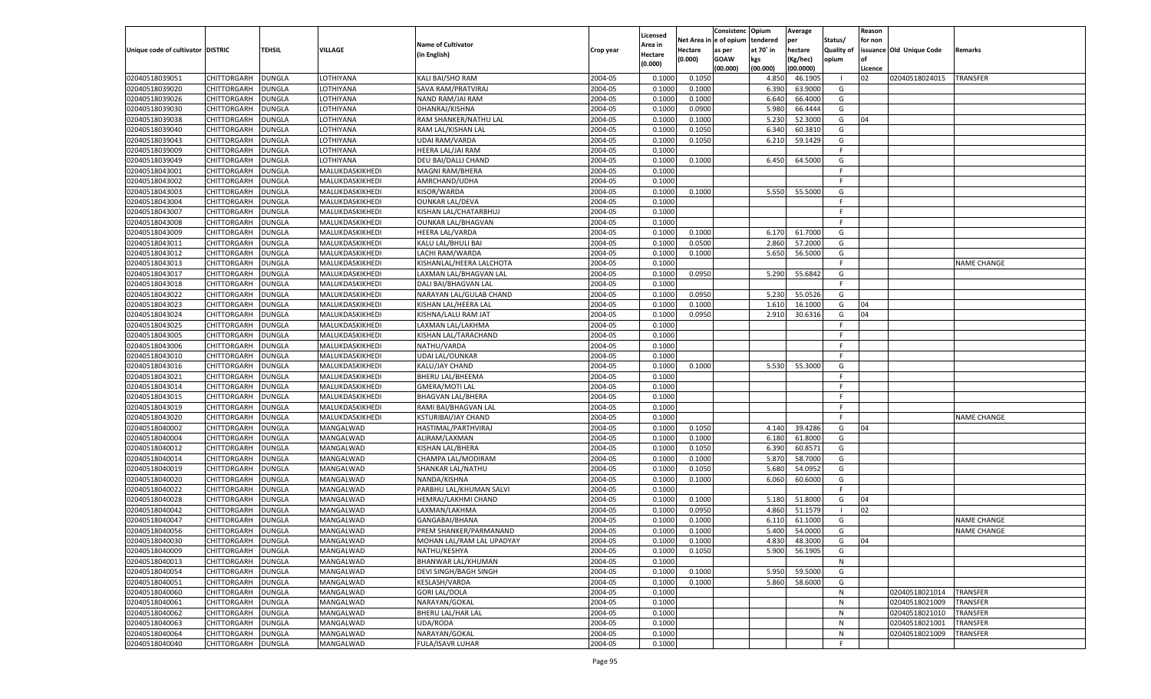|                                   |                    |               |                 |                            |           |          |             | Consistenc    | Opium     | Average   |                   | Reason  |                          |                    |
|-----------------------------------|--------------------|---------------|-----------------|----------------------------|-----------|----------|-------------|---------------|-----------|-----------|-------------------|---------|--------------------------|--------------------|
|                                   |                    |               |                 |                            |           | Licensed | Net Area iı | n le of opium | tendered  | per       | Status/           | for non |                          |                    |
| Unique code of cultivator DISTRIC |                    | TEHSIL        | <b>VILLAGE</b>  | <b>Name of Cultivator</b>  | Crop year | Area in  | Hectare     | as per        | at 70° in | hectare   | <b>Quality of</b> |         | issuance Old Unique Code | Remarks            |
|                                   |                    |               |                 | (in English)               |           | Hectare  | (0.000)     | <b>GOAW</b>   | kgs       | (Kg/hec)  | opium             |         |                          |                    |
|                                   |                    |               |                 |                            |           | (0.000)  |             | (00.000)      | (00.000)  | (00.0000) |                   | Licence |                          |                    |
| 02040518039051                    | CHITTORGARH        | DUNGLA        | LOTHIYANA       | KALI BAI/SHO RAM           | 2004-05   | 0.1000   | 0.1050      |               | 4.850     | 46.1905   | - 1               | 02      | 02040518024015           | <b>TRANSFER</b>    |
| 02040518039020                    | CHITTORGARH        | DUNGLA        | LOTHIYANA       | SAVA RAM/PRATVIRAJ         | 2004-05   | 0.1000   | 0.1000      |               | 6.390     | 63.9000   | G                 |         |                          |                    |
| 02040518039026                    | CHITTORGARH        | DUNGLA        | LOTHIYANA       | NAND RAM/JAI RAM           | 2004-05   | 0.1000   | 0.1000      |               | 6.640     | 66.4000   | G                 |         |                          |                    |
| 02040518039030                    | CHITTORGARH        | DUNGLA        | LOTHIYANA       | DHANRAJ/KISHNA             | 2004-05   | 0.1000   | 0.0900      |               | 5.980     | 66.4444   | G                 |         |                          |                    |
| 02040518039038                    | CHITTORGARH        | DUNGLA        | LOTHIYANA       | RAM SHANKER/NATHU LAL      | 2004-05   | 0.1000   | 0.1000      |               | 5.23      | 52.3000   | G                 | 04      |                          |                    |
| 02040518039040                    | CHITTORGARH        | DUNGLA        | LOTHIYANA       | RAM LAL/KISHAN LAL         | 2004-05   | 0.1000   | 0.1050      |               | 6.340     | 60.3810   | G                 |         |                          |                    |
| 02040518039043                    | CHITTORGARH        | DUNGLA        | LOTHIYANA       | <b>UDAI RAM/VARDA</b>      | 2004-05   | 0.1000   | 0.1050      |               | 6.210     | 59.1429   | G                 |         |                          |                    |
| 02040518039009                    | CHITTORGARH        | DUNGLA        | LOTHIYANA       | HEERA LAL/JAI RAM          | 2004-05   | 0.1000   |             |               |           |           | E                 |         |                          |                    |
| 02040518039049                    | CHITTORGARH        | DUNGLA        | LOTHIYANA       | DEU BAI/DALLI CHAND        | 2004-05   | 0.1000   | 0.1000      |               | 6.450     | 64.5000   | G                 |         |                          |                    |
| 02040518043001                    |                    |               |                 |                            | 2004-05   | 0.1000   |             |               |           |           | -F                |         |                          |                    |
|                                   | CHITTORGARH        | DUNGLA        | MALUKDASKIKHEDI | MAGNI RAM/BHERA            |           |          |             |               |           |           | F.                |         |                          |                    |
| 02040518043002                    | CHITTORGARH        | DUNGLA        | MALUKDASKIKHEDI | AMRCHAND/UDHA              | 2004-05   | 0.1000   |             |               |           |           |                   |         |                          |                    |
| 02040518043003                    | CHITTORGARH        | DUNGLA        | MALUKDASKIKHEDI | KISOR/WARDA                | 2004-05   | 0.1000   | 0.1000      |               | 5.550     | 55.5000   | G                 |         |                          |                    |
| 02040518043004                    | CHITTORGARH        | DUNGLA        | MALUKDASKIKHEDI | <b>OUNKAR LAL/DEVA</b>     | 2004-05   | 0.1000   |             |               |           |           | F.                |         |                          |                    |
| 02040518043007                    | CHITTORGARH        | DUNGLA        | MALUKDASKIKHEDI | KISHAN LAL/CHATARBHUJ      | 2004-05   | 0.1000   |             |               |           |           | F.                |         |                          |                    |
| 02040518043008                    | CHITTORGARH        | DUNGLA        | MALUKDASKIKHEDI | <b>OUNKAR LAL/BHAGVAN</b>  | 2004-05   | 0.1000   |             |               |           |           | F.                |         |                          |                    |
| 02040518043009                    | CHITTORGARH        | DUNGLA        | MALUKDASKIKHEDI | <b>HEERA LAL/VARDA</b>     | 2004-05   | 0.1000   | 0.1000      |               | 6.170     | 61.7000   | G                 |         |                          |                    |
| 02040518043011                    | CHITTORGARH        | DUNGLA        | MALUKDASKIKHEDI | KALU LAL/BHULI BAI         | 2004-05   | 0.1000   | 0.0500      |               | 2.860     | 57.2000   | G                 |         |                          |                    |
| 02040518043012                    | CHITTORGARH        | DUNGLA        | MALUKDASKIKHEDI | LACHI RAM/WARDA            | 2004-05   | 0.1000   | 0.1000      |               | 5.650     | 56.5000   | G                 |         |                          |                    |
| 02040518043013                    | CHITTORGARH        | DUNGLA        | MALUKDASKIKHEDI | KISHANLAL/HEERA LALCHOTA   | 2004-05   | 0.1000   |             |               |           |           | F.                |         |                          | <b>NAME CHANGE</b> |
| 02040518043017                    | CHITTORGARH        | DUNGLA        | MALUKDASKIKHEDI | LAXMAN LAL/BHAGVAN LAL     | 2004-05   | 0.1000   | 0.0950      |               | 5.290     | 55.6842   | G                 |         |                          |                    |
| 02040518043018                    | CHITTORGARH        | DUNGLA        | MALUKDASKIKHEDI | DALI BAI/BHAGVAN LAL       | 2004-05   | 0.1000   |             |               |           |           | F.                |         |                          |                    |
| 02040518043022                    | CHITTORGARH        | DUNGLA        | MALUKDASKIKHEDI | NARAYAN LAL/GULAB CHAND    | 2004-05   | 0.1000   | 0.0950      |               | 5.230     | 55.0526   | G                 |         |                          |                    |
| 02040518043023                    | CHITTORGARH        | DUNGLA        | MALUKDASKIKHEDI | KISHAN LAL/HEERA LAL       | 2004-05   | 0.1000   | 0.1000      |               | 1.610     | 16.1000   | G                 | 04      |                          |                    |
| 02040518043024                    | CHITTORGARH        | DUNGLA        | MALUKDASKIKHEDI | KISHNA/LALU RAM JAT        | 2004-05   | 0.1000   | 0.0950      |               | 2.910     | 30.6316   | G                 | 04      |                          |                    |
| 02040518043025                    | CHITTORGARH        | DUNGLA        | MALUKDASKIKHEDI | LAXMAN LAL/LAKHMA          | 2004-05   | 0.1000   |             |               |           |           | F.                |         |                          |                    |
| 02040518043005                    | CHITTORGARH        | DUNGLA        | MALUKDASKIKHEDI | KISHAN LAL/TARACHAND       | 2004-05   | 0.1000   |             |               |           |           | F.                |         |                          |                    |
| 02040518043006                    | CHITTORGARH        | DUNGLA        | MALUKDASKIKHEDI | NATHU/VARDA                | 2004-05   | 0.1000   |             |               |           |           | F.                |         |                          |                    |
| 02040518043010                    | CHITTORGARH        | DUNGLA        | MALUKDASKIKHEDI | UDAI LAL/OUNKAR            | 2004-05   | 0.1000   |             |               |           |           | E                 |         |                          |                    |
| 02040518043016                    | CHITTORGARH        | DUNGLA        | MALUKDASKIKHEDI | KALU/JAY CHAND             | 2004-05   | 0.1000   | 0.1000      |               | 5.530     | 55.3000   | G                 |         |                          |                    |
| 02040518043021                    | CHITTORGARH        | DUNGLA        | MALUKDASKIKHEDI | <b>BHERU LAL/BHEEMA</b>    | 2004-05   | 0.1000   |             |               |           |           | F.                |         |                          |                    |
| 02040518043014                    | CHITTORGARH        | DUNGLA        | MALUKDASKIKHEDI | <b>GMERA/MOTI LAL</b>      | 2004-05   | 0.1000   |             |               |           |           | E                 |         |                          |                    |
| 02040518043015                    |                    |               |                 |                            | 2004-05   | 0.1000   |             |               |           |           | F                 |         |                          |                    |
|                                   | CHITTORGARH        | DUNGLA        | MALUKDASKIKHEDI | <b>BHAGVAN LAL/BHERA</b>   | 2004-05   |          |             |               |           |           | E                 |         |                          |                    |
| 02040518043019                    | CHITTORGARH        | DUNGLA        | MALUKDASKIKHEDI | RAMI BAI/BHAGVAN LAL       |           | 0.1000   |             |               |           |           | E                 |         |                          |                    |
| 02040518043020                    | CHITTORGARH        | DUNGLA        | MALUKDASKIKHEDI | <b>KSTURIBAI/JAY CHAND</b> | 2004-05   | 0.1000   |             |               |           |           |                   |         |                          | <b>NAME CHANGE</b> |
| 02040518040002                    | CHITTORGARH        | <b>DUNGLA</b> | MANGALWAD       | HASTIMAL/PARTHVIRAJ        | 2004-05   | 0.1000   | 0.1050      |               | 4.140     | 39.4286   | G                 | 04      |                          |                    |
| 02040518040004                    | CHITTORGARH        | DUNGLA        | MANGALWAD       | ALIRAM/LAXMAN              | 2004-05   | 0.1000   | 0.1000      |               | 6.180     | 61.8000   | G                 |         |                          |                    |
| 02040518040012                    | CHITTORGARH        | <b>DUNGLA</b> | MANGALWAD       | KISHAN LAL/BHERA           | 2004-05   | 0.1000   | 0.1050      |               | 6.390     | 60.8571   | G                 |         |                          |                    |
| 02040518040014                    | CHITTORGARH        | DUNGLA        | MANGALWAD       | CHAMPA LAL/MODIRAM         | 2004-05   | 0.1000   | 0.1000      |               | 5.870     | 58.7000   | G                 |         |                          |                    |
| 02040518040019                    | CHITTORGARH        | DUNGLA        | MANGALWAD       | SHANKAR LAL/NATHU          | 2004-05   | 0.1000   | 0.1050      |               | 5.680     | 54.0952   | G                 |         |                          |                    |
| 02040518040020                    | CHITTORGARH        | DUNGLA        | MANGALWAD       | NANDA/KISHNA               | 2004-05   | 0.1000   | 0.1000      |               | 6.060     | 60.6000   | G                 |         |                          |                    |
| 02040518040022                    | CHITTORGARH        | <b>DUNGLA</b> | MANGALWAD       | PARBHU LAL/KHUMAN SALVI    | 2004-05   | 0.1000   |             |               |           |           | F.                |         |                          |                    |
| 02040518040028                    | CHITTORGARH        | DUNGLA        | MANGALWAD       | HEMRAJ/LAKHMI CHAND        | 2004-05   | 0.1000   | 0.1000      |               | 5.180     | 51.8000   | G                 | 04      |                          |                    |
| 02040518040042                    | CHITTORGARH        | DUNGLA        | MANGALWAD       | LAXMAN/LAKHMA              | 2004-05   | 0.1000   | 0.0950      |               | 4.860     | 51.1579   | - 1               | 02      |                          |                    |
| 02040518040047                    | CHITTORGARH        | DUNGLA        | MANGALWAD       | GANGABAI/BHANA             | 2004-05   | 0.1000   | 0.1000      |               | 6.11      | 61.1000   | G                 |         |                          | <b>NAME CHANGE</b> |
| 02040518040056                    | CHITTORGARH        | <b>DUNGLA</b> | MANGALWAD       | PREM SHANKER/PARMANAND     | 2004-05   | 0.1000   | 0.1000      |               | 5.400     | 54.0000   | G                 |         |                          | <b>NAME CHANGE</b> |
| 02040518040030                    | CHITTORGARH        | <b>DUNGLA</b> | MANGALWAD       | MOHAN LAL/RAM LAL UPADYAY  | 2004-05   | 0.1000   | 0.1000      |               | 4.830     | 48.3000   | G                 | 04      |                          |                    |
| 02040518040009                    | <b>CHITTORGARH</b> | <b>DUNGLA</b> | MANGALWAD       | NATHU/KESHYA               | 2004-05   | 0.1000   | 0.1050      |               | 5.900     | 56.1905   | G                 |         |                          |                    |
| 02040518040013                    | CHITTORGARH        | <b>DUNGLA</b> | MANGALWAD       | BHANWAR LAL/KHUMAN         | 2004-05   | 0.1000   |             |               |           |           | N                 |         |                          |                    |
| 02040518040054                    | CHITTORGARH        | <b>DUNGLA</b> | MANGALWAD       | DEVI SINGH/BAGH SINGH      | 2004-05   | 0.1000   | 0.1000      |               | 5.950     | 59.5000   | G                 |         |                          |                    |
| 02040518040051                    | <b>CHITTORGARH</b> | <b>DUNGLA</b> | MANGALWAD       | KESLASH/VARDA              | 2004-05   | 0.1000   | 0.1000      |               | 5.860     | 58.6000   | G                 |         |                          |                    |
| 02040518040060                    | CHITTORGARH        | <b>DUNGLA</b> | MANGALWAD       | <b>GORI LAL/DOLA</b>       | 2004-05   | 0.1000   |             |               |           |           | N                 |         | 02040518021014           | <b>TRANSFER</b>    |
| 02040518040061                    | CHITTORGARH        | <b>DUNGLA</b> | MANGALWAD       | NARAYAN/GOKAL              | 2004-05   | 0.1000   |             |               |           |           | N                 |         | 02040518021009           | TRANSFER           |
| 02040518040062                    | <b>CHITTORGARH</b> | <b>DUNGLA</b> | MANGALWAD       | BHERU LAL/HAR LAL          | 2004-05   | 0.1000   |             |               |           |           | N                 |         | 02040518021010           | <b>TRANSFER</b>    |
| 02040518040063                    | CHITTORGARH        | <b>DUNGLA</b> | MANGALWAD       | UDA/RODA                   | 2004-05   | 0.1000   |             |               |           |           | N                 |         | 02040518021001           | TRANSFER           |
| 02040518040064                    | CHITTORGARH        | <b>DUNGLA</b> | MANGALWAD       | NARAYAN/GOKAL              | 2004-05   | 0.1000   |             |               |           |           | N                 |         | 02040518021009           | TRANSFER           |
|                                   |                    |               | MANGALWAD       |                            |           |          |             |               |           |           | F.                |         |                          |                    |
| 02040518040040                    | CHITTORGARH        | <b>DUNGLA</b> |                 | FULA/ISAVR LUHAR           | 2004-05   | 0.1000   |             |               |           |           |                   |         |                          |                    |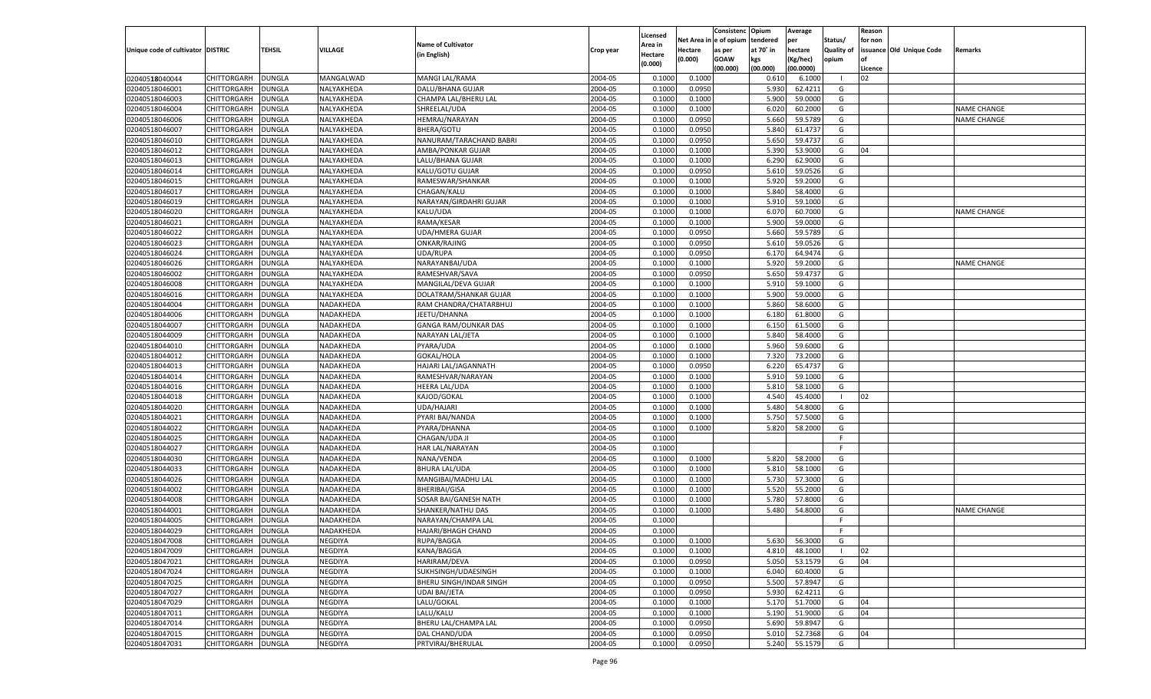|                                   |                    |               |                |                             |           |                    |             | Consistenc   | Opium     | Average   |                   | Reason  |                          |                    |
|-----------------------------------|--------------------|---------------|----------------|-----------------------------|-----------|--------------------|-------------|--------------|-----------|-----------|-------------------|---------|--------------------------|--------------------|
|                                   |                    |               |                |                             |           | Licensed           | Net Area iı | n e of opium | tendered  | per       | Status/           | for non |                          |                    |
| Unique code of cultivator DISTRIC |                    | TEHSIL        | <b>VILLAGE</b> | <b>Name of Cultivator</b>   | Crop year | Area in            | Hectare     | as per       | at 70° in | hectare   | <b>Quality of</b> |         | issuance Old Unique Code | Remarks            |
|                                   |                    |               |                | (in English)                |           | Hectare<br>(0.000) | (0.000)     | <b>GOAW</b>  | kgs       | (Kg/hec)  | opium             |         |                          |                    |
|                                   |                    |               |                |                             |           |                    |             | (00.000)     | (00.000)  | (00.0000) |                   | Licence |                          |                    |
| 02040518040044                    | CHITTORGARH        | <b>DUNGLA</b> | MANGALWAD      | MANGI LAL/RAMA              | 2004-05   | 0.1000             | 0.1000      |              | 0.610     | 6.1000    | - 1               | 02      |                          |                    |
| 02040518046001                    | CHITTORGARH        | DUNGLA        | NALYAKHEDA     | DALU/BHANA GUJAR            | 2004-05   | 0.1000             | 0.0950      |              | 5.930     | 62.4211   | G                 |         |                          |                    |
| 02040518046003                    | CHITTORGARH        | DUNGLA        | NALYAKHEDA     | CHAMPA LAL/BHERU LAL        | 2004-05   | 0.1000             | 0.1000      |              | 5.900     | 59.0000   | G                 |         |                          |                    |
| 02040518046004                    | CHITTORGARH        | DUNGLA        | NALYAKHEDA     | SHREELAL/UDA                | 2004-05   | 0.1000             | 0.1000      |              | 6.020     | 60.2000   | G                 |         |                          | <b>NAME CHANGE</b> |
| 02040518046006                    | CHITTORGARH        | DUNGLA        | NALYAKHEDA     | <b>HEMRAJ/NARAYAN</b>       | 2004-05   | 0.1000             | 0.0950      |              | 5.660     | 59.5789   | G                 |         |                          | NAME CHANGE        |
| 02040518046007                    | CHITTORGARH        | DUNGLA        | NALYAKHEDA     | BHERA/GOTU                  | 2004-05   | 0.1000             | 0.0950      |              | 5.840     | 61.4737   | G                 |         |                          |                    |
| 02040518046010                    | CHITTORGARH        | DUNGLA        | NALYAKHEDA     | NANURAM/TARACHAND BABRI     | 2004-05   | 0.1000             | 0.0950      |              | 5.650     | 59.4737   | G                 |         |                          |                    |
| 02040518046012                    | CHITTORGARH        | DUNGLA        | NALYAKHEDA     | AMBA/PONKAR GUJAR           | 2004-05   | 0.1000             | 0.1000      |              | 5.390     | 53.9000   | G                 | 04      |                          |                    |
| 02040518046013                    | CHITTORGARH        | DUNGLA        | NALYAKHEDA     | LALU/BHANA GUJAR            | 2004-05   | 0.1000             | 0.1000      |              | 6.290     | 62.9000   | G                 |         |                          |                    |
| 02040518046014                    | CHITTORGARH        | DUNGLA        | NALYAKHEDA     | KALU/GOTU GUJAR             | 2004-05   | 0.1000             | 0.0950      |              | 5.610     | 59.0526   | G                 |         |                          |                    |
| 02040518046015                    | CHITTORGARH        | DUNGLA        | NALYAKHEDA     | RAMESWAR/SHANKAR            | 2004-05   | 0.1000             | 0.1000      |              | 5.920     | 59.2000   | G                 |         |                          |                    |
| 02040518046017                    | CHITTORGARH        | DUNGLA        | NALYAKHEDA     | CHAGAN/KALU                 | 2004-05   | 0.1000             | 0.1000      |              | 5.840     | 58.4000   | G                 |         |                          |                    |
| 02040518046019                    | CHITTORGARH        | DUNGLA        | NALYAKHEDA     | NARAYAN/GIRDAHRI GUJAR      | 2004-05   | 0.1000             | 0.1000      |              | 5.910     | 59.1000   | G                 |         |                          |                    |
| 02040518046020                    | CHITTORGARH        | DUNGLA        | NALYAKHEDA     | KALU/UDA                    | 2004-05   | 0.1000             | 0.1000      |              | 6.070     | 60.7000   | G                 |         |                          | NAME CHANGE        |
| 02040518046021                    | CHITTORGARH        | DUNGLA        | NALYAKHEDA     | RAMA/KESAR                  | 2004-05   | 0.1000             | 0.1000      |              | 5.900     | 59.0000   | G                 |         |                          |                    |
| 02040518046022                    | CHITTORGARH        | DUNGLA        | NALYAKHEDA     | <b>UDA/HMERA GUJAR</b>      | 2004-05   | 0.1000             | 0.0950      |              | 5.660     | 59.5789   | G                 |         |                          |                    |
| 02040518046023                    | CHITTORGARH        | <b>DUNGLA</b> | NALYAKHEDA     | ONKAR/RAJING                | 2004-05   | 0.1000             | 0.0950      |              | 5.610     | 59.0526   | G                 |         |                          |                    |
| 02040518046024                    | CHITTORGARH        | DUNGLA        | NALYAKHEDA     | UDA/RUPA                    | 2004-05   | 0.1000             | 0.0950      |              | 6.170     | 64.9474   | G                 |         |                          |                    |
| 02040518046026                    | CHITTORGARH        | DUNGLA        | NALYAKHEDA     | NARAYANBAI/UDA              | 2004-05   | 0.1000             | 0.1000      |              | 5.920     | 59.2000   | G                 |         |                          | <b>NAME CHANGE</b> |
| 02040518046002                    | CHITTORGARH        | DUNGLA        | NALYAKHEDA     | RAMESHVAR/SAVA              | 2004-05   | 0.1000             | 0.0950      |              | 5.650     | 59.4737   | G                 |         |                          |                    |
| 02040518046008                    | CHITTORGARH        | <b>DUNGLA</b> | NALYAKHEDA     | MANGILAL/DEVA GUJAR         | 2004-05   | 0.1000             | 0.1000      |              | 5.910     | 59.1000   | G                 |         |                          |                    |
| 02040518046016                    | CHITTORGARH        | DUNGLA        | NALYAKHEDA     | DOLATRAM/SHANKAR GUJAR      | 2004-05   | 0.1000             | 0.1000      |              | 5.900     | 59.0000   | G                 |         |                          |                    |
| 02040518044004                    | CHITTORGARH        | DUNGLA        | NADAKHEDA      | RAM CHANDRA/CHATARBHUJ      | 2004-05   | 0.1000             | 0.1000      |              | 5.860     | 58.6000   | G                 |         |                          |                    |
| 02040518044006                    | CHITTORGARH        | DUNGLA        | NADAKHEDA      | JEETU/DHANNA                | 2004-05   | 0.1000             | 0.1000      |              | 6.180     | 61.8000   | G                 |         |                          |                    |
| 02040518044007                    | CHITTORGARH        | <b>DUNGLA</b> | NADAKHEDA      | <b>GANGA RAM/OUNKAR DAS</b> | 2004-05   | 0.1000             | 0.1000      |              | 6.150     | 61.5000   | G                 |         |                          |                    |
| 02040518044009                    | CHITTORGARH        | DUNGLA        | NADAKHEDA      | NARAYAN LAL/JETA            | 2004-05   | 0.1000             | 0.1000      |              | 5.840     | 58.4000   | G                 |         |                          |                    |
| 02040518044010                    | CHITTORGARH        | DUNGLA        | NADAKHEDA      | PYARA/UDA                   | 2004-05   | 0.1000             | 0.1000      |              | 5.960     | 59.6000   | G                 |         |                          |                    |
| 02040518044012                    | CHITTORGARH        | DUNGLA        | NADAKHEDA      | GOKAL/HOLA                  | 2004-05   | 0.1000             | 0.1000      |              | 7.320     | 73.2000   | G                 |         |                          |                    |
| 02040518044013                    | CHITTORGARH        | <b>DUNGLA</b> | NADAKHEDA      | HAJARI LAL/JAGANNATH        | 2004-05   | 0.1000             | 0.0950      |              | 6.220     | 65.4737   | G                 |         |                          |                    |
|                                   |                    |               |                |                             |           |                    |             |              | 5.910     |           |                   |         |                          |                    |
| 02040518044014                    | CHITTORGARH        | DUNGLA        | NADAKHEDA      | RAMESHVAR/NARAYAN           | 2004-05   | 0.1000             | 0.1000      |              |           | 59.1000   | G                 |         |                          |                    |
| 02040518044016                    | CHITTORGARH        | DUNGLA        | NADAKHEDA      | <b>HEERA LAL/UDA</b>        | 2004-05   | 0.1000             | 0.1000      |              | 5.810     | 58.1000   | G                 |         |                          |                    |
| 02040518044018                    | CHITTORGARH        | DUNGLA        | NADAKHEDA      | KAJOD/GOKAL                 | 2004-05   | 0.1000             | 0.1000      |              | 4.540     | 45.4000   | - 1               | 02      |                          |                    |
| 02040518044020                    | CHITTORGARH        | <b>DUNGLA</b> | NADAKHEDA      | UDA/HAJARI                  | 2004-05   | 0.1000             | 0.1000      |              | 5.480     | 54.8000   | G                 |         |                          |                    |
| 02040518044021                    | CHITTORGARH        | DUNGLA        | NADAKHEDA      | PYARI BAI/NANDA             | 2004-05   | 0.1000             | 0.1000      |              | 5.750     | 57.5000   | G                 |         |                          |                    |
| 02040518044022                    | CHITTORGARH        | DUNGLA        | NADAKHEDA      | PYARA/DHANNA                | 2004-05   | 0.1000             | 0.1000      |              | 5.820     | 58.2000   | G                 |         |                          |                    |
| 02040518044025                    | CHITTORGARH        | DUNGLA        | NADAKHEDA      | CHAGAN/UDA JI               | 2004-05   | 0.1000             |             |              |           |           | F                 |         |                          |                    |
| 02040518044027                    | CHITTORGARH        | <b>DUNGLA</b> | NADAKHEDA      | HAR LAL/NARAYAN             | 2004-05   | 0.1000             |             |              |           |           | E                 |         |                          |                    |
| 02040518044030                    | CHITTORGARH        | DUNGLA        | NADAKHEDA      | NANA/VENDA                  | 2004-05   | 0.1000             | 0.1000      |              | 5.820     | 58.2000   | G                 |         |                          |                    |
| 02040518044033                    | CHITTORGARH        | <b>DUNGLA</b> | NADAKHEDA      | <b>BHURA LAL/UDA</b>        | 2004-05   | 0.1000             | 0.1000      |              | 5.810     | 58.1000   | G                 |         |                          |                    |
| 02040518044026                    | CHITTORGARH        | DUNGLA        | NADAKHEDA      | MANGIBAI/MADHU LAL          | 2004-05   | 0.1000             | 0.1000      |              | 5.730     | 57.3000   | G                 |         |                          |                    |
| 02040518044002                    | CHITTORGARH        | <b>DUNGLA</b> | NADAKHEDA      | <b>BHERIBAI/GISA</b>        | 2004-05   | 0.1000             | 0.1000      |              | 5.520     | 55.2000   | G                 |         |                          |                    |
| 02040518044008                    | CHITTORGARH        | DUNGLA        | NADAKHEDA      | SOSAR BAI/GANESH NATH       | 2004-05   | 0.1000             | 0.1000      |              | 5.780     | 57.8000   | G                 |         |                          |                    |
| 02040518044001                    | CHITTORGARH        | DUNGLA        | NADAKHEDA      | SHANKER/NATHU DAS           | 2004-05   | 0.1000             | 0.1000      |              | 5.480     | 54.8000   | G                 |         |                          | <b>NAME CHANGE</b> |
| 02040518044005                    | CHITTORGARH        | DUNGLA        | NADAKHEDA      | NARAYAN/CHAMPA LAL          | 2004-05   | 0.1000             |             |              |           |           | F                 |         |                          |                    |
| 02040518044029                    | CHITTORGARH        | <b>DUNGLA</b> | NADAKHEDA      | HAJARI/BHAGH CHAND          | 2004-05   | 0.1000             |             |              |           |           | F                 |         |                          |                    |
| 02040518047008                    | CHITTORGARH        | <b>DUNGLA</b> | <b>NEGDIYA</b> | RUPA/BAGGA                  | 2004-05   | 0.1000             | 0.1000      |              | 5.630     | 56.3000   | G                 |         |                          |                    |
| 02040518047009                    | <b>CHITTORGARH</b> | <b>DUNGLA</b> | NEGDIYA        | KANA/BAGGA                  | 2004-05   | 0.1000             | 0.1000      |              | 4.810     | 48.1000   | $\blacksquare$    | 02      |                          |                    |
| 02040518047021                    | CHITTORGARH        | <b>DUNGLA</b> | NEGDIYA        | HARIRAM/DEVA                | 2004-05   | 0.1000             | 0.0950      |              | 5.050     | 53.1579   | G                 | 04      |                          |                    |
| 02040518047024                    | CHITTORGARH        | <b>DUNGLA</b> | NEGDIYA        | SUKHSINGH/UDAESINGH         | 2004-05   | 0.1000             | 0.1000      |              | 6.040     | 60.4000   | G                 |         |                          |                    |
| 02040518047025                    | <b>CHITTORGARH</b> | <b>DUNGLA</b> | NEGDIYA        | BHERU SINGH/INDAR SINGH     | 2004-05   | 0.1000             | 0.0950      |              | 5.500     | 57.8947   | G                 |         |                          |                    |
| 02040518047027                    | CHITTORGARH        | <b>DUNGLA</b> | NEGDIYA        | UDAI BAI/JETA               | 2004-05   | 0.1000             | 0.0950      |              | 5.930     | 62.4211   | G                 |         |                          |                    |
| 02040518047029                    | <b>CHITTORGARH</b> | <b>DUNGLA</b> | NEGDIYA        | LALU/GOKAL                  | 2004-05   | 0.1000             | 0.1000      |              | 5.170     | 51.7000   | G                 | 04      |                          |                    |
| 02040518047011                    | CHITTORGARH        | <b>DUNGLA</b> | NEGDIYA        | LALU/KALU                   | 2004-05   | 0.1000             | 0.1000      |              | 5.190     | 51.9000   | G                 | 04      |                          |                    |
| 02040518047014                    | <b>CHITTORGARH</b> | <b>DUNGLA</b> | NEGDIYA        | BHERU LAL/CHAMPA LAL        | 2004-05   | 0.1000             | 0.0950      |              | 5.690     | 59.8947   | G                 |         |                          |                    |
| 02040518047015                    | <b>CHITTORGARH</b> | <b>DUNGLA</b> | NEGDIYA        | DAL CHAND/UDA               | 2004-05   | 0.1000             | 0.0950      |              | 5.010     | 52.7368   | G                 | 04      |                          |                    |
| 02040518047031                    | <b>CHITTORGARH</b> | <b>DUNGLA</b> | NEGDIYA        | PRTVIRAJ/BHERULAL           | 2004-05   | 0.1000             | 0.0950      |              | 5.240     | 55.1579   | G                 |         |                          |                    |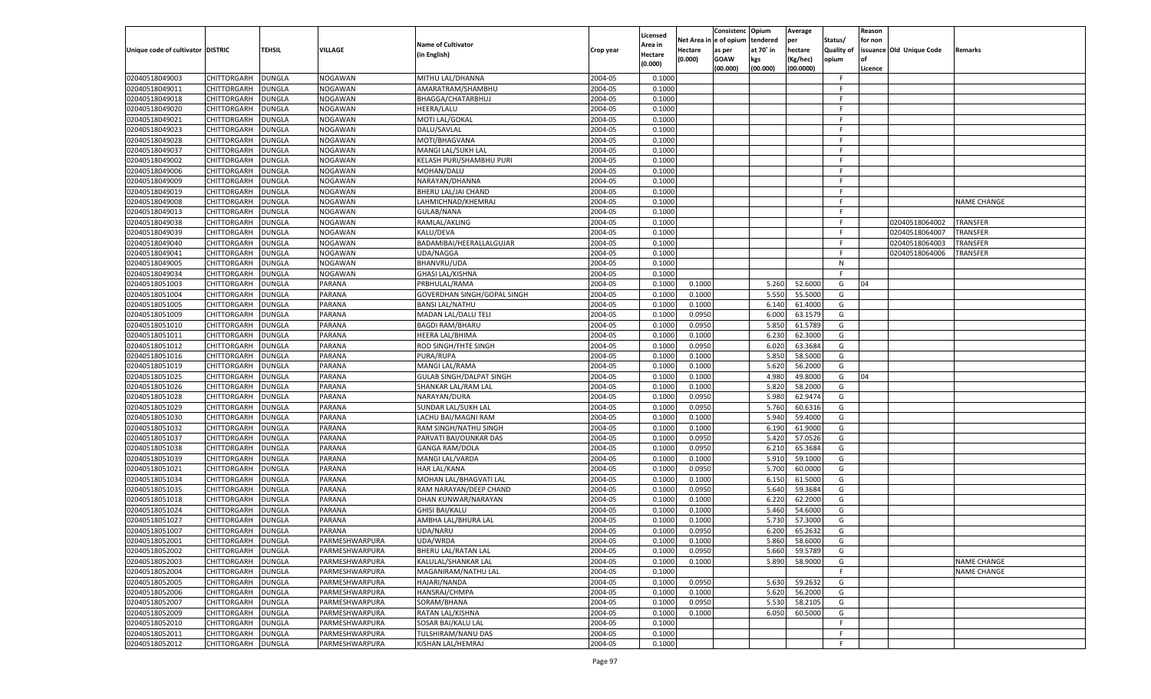|                                   |                    |                         |                  |                                 |           |                    |            | Consistenc   | Opium     | Average       |                   | Reason  |                          |                    |
|-----------------------------------|--------------------|-------------------------|------------------|---------------------------------|-----------|--------------------|------------|--------------|-----------|---------------|-------------------|---------|--------------------------|--------------------|
|                                   |                    |                         |                  |                                 |           | Licensed           | Net Area i | n e of opium | tendered  | per           | Status/           | for non |                          |                    |
| Unique code of cultivator DISTRIC |                    | TEHSIL                  | VILLAGE          | <b>Name of Cultivator</b>       | Crop year | Area in            | Hectare    | as per       | at 70° in | hectare       | <b>Quality of</b> |         | issuance Old Unique Code | Remarks            |
|                                   |                    |                         |                  | (in English)                    |           | Hectare<br>(0.000) | (0.000)    | <b>GOAW</b>  | kgs       | (Kg/hec)      | opium             |         |                          |                    |
|                                   |                    |                         |                  |                                 |           |                    |            | (00.000)     | (00.000)  | (00.0000)     |                   | Licence |                          |                    |
| 02040518049003                    | CHITTORGARH        | DUNGLA                  | NOGAWAN          | MITHU LAL/DHANNA                | 2004-05   | 0.1000             |            |              |           |               | F.                |         |                          |                    |
| 02040518049011                    | CHITTORGARH        | DUNGLA                  | NOGAWAN          | AMARATRAM/SHAMBHU               | 2004-05   | 0.1000             |            |              |           |               | E                 |         |                          |                    |
| 02040518049018                    | CHITTORGARH        | DUNGLA                  | NOGAWAN          | BHAGGA/CHATARBHUJ               | 2004-05   | 0.1000             |            |              |           |               | F.                |         |                          |                    |
| 02040518049020                    | CHITTORGARH        | DUNGLA                  | NOGAWAN          | <b>HEERA/LALU</b>               | 2004-05   | 0.1000             |            |              |           |               | E                 |         |                          |                    |
| 02040518049021                    | CHITTORGARH        | DUNGLA                  | NOGAWAN          | MOTI LAL/GOKAL                  | 2004-05   | 0.1000             |            |              |           |               | F.                |         |                          |                    |
| 02040518049023                    | CHITTORGARH        | DUNGLA                  | NOGAWAN          | DALU/SAVLAL                     | 2004-05   | 0.1000             |            |              |           |               | -F                |         |                          |                    |
| 02040518049028                    | CHITTORGARH        | DUNGLA                  | NOGAWAN          | MOTI/BHAGVANA                   | 2004-05   | 0.1000             |            |              |           |               | F.                |         |                          |                    |
| 02040518049037                    | CHITTORGARH        | DUNGLA                  | NOGAWAN          | MANGI LAL/SUKH LAL              | 2004-05   | 0.1000             |            |              |           |               | E                 |         |                          |                    |
| 02040518049002                    | CHITTORGARH        | DUNGLA                  | NOGAWAN          | KELASH PURI/SHAMBHU PURI        | 2004-05   | 0.1000             |            |              |           |               | F.                |         |                          |                    |
| 02040518049006                    | CHITTORGARH        | DUNGLA                  | NOGAWAN          | MOHAN/DALU                      | 2004-05   | 0.1000             |            |              |           |               | -F                |         |                          |                    |
| 02040518049009                    | CHITTORGARH        | DUNGLA                  | NOGAWAN          | NARAYAN/DHANNA                  | 2004-05   | 0.1000             |            |              |           |               | F.                |         |                          |                    |
| 02040518049019                    | CHITTORGARH        | DUNGLA                  | NOGAWAN          | BHERU LAL/JAI CHAND             | 2004-05   | 0.1000             |            |              |           |               | E                 |         |                          |                    |
| 02040518049008                    | CHITTORGARH        | DUNGLA                  | NOGAWAN          | LAHMICHNAD/KHEMRAJ              | 2004-05   | 0.1000             |            |              |           |               | F.                |         |                          | <b>NAME CHANGE</b> |
| 02040518049013                    | CHITTORGARH        | DUNGLA                  | NOGAWAN          | <b>GULAB/NANA</b>               | 2004-05   | 0.1000             |            |              |           |               | E                 |         |                          |                    |
| 02040518049038                    | CHITTORGARH        | DUNGLA                  | NOGAWAN          | RAMLAL/AKLING                   | 2004-05   | 0.1000             |            |              |           |               | E                 |         | 02040518064002           | TRANSFER           |
| 02040518049039                    | CHITTORGARH        | DUNGLA                  | NOGAWAN          | KALU/DEVA                       | 2004-05   | 0.1000             |            |              |           |               | E                 |         | 02040518064007           | TRANSFER           |
| 02040518049040                    | CHITTORGARH        | DUNGLA                  | NOGAWAN          | BADAMIBAI/HEERALLALGUJAR        | 2004-05   | 0.1000             |            |              |           |               | F.                |         | 02040518064003           | TRANSFER           |
| 02040518049041                    | CHITTORGARH        | DUNGLA                  | NOGAWAN          | UDA/NAGGA                       | 2004-05   | 0.1000             |            |              |           |               | E                 |         | 02040518064006           | TRANSFER           |
| 02040518049005                    | CHITTORGARH        | DUNGLA                  | NOGAWAN          | BHANVRU/UDA                     | 2004-05   | 0.1000             |            |              |           |               | N                 |         |                          |                    |
| 02040518049034                    | CHITTORGARH        | DUNGLA                  | NOGAWAN          | <b>GHASI LAL/KISHNA</b>         | 2004-05   | 0.1000             |            |              |           |               | F.                |         |                          |                    |
| 02040518051003                    | CHITTORGARH        | <b>DUNGLA</b>           | PARANA           | PRBHULAL/RAMA                   | 2004-05   | 0.1000             | 0.1000     |              | 5.260     | 52.6000       | G                 | 04      |                          |                    |
| 02040518051004                    | CHITTORGARH        | DUNGLA                  | PARANA           | GOVERDHAN SINGH/GOPAL SINGH     | 2004-05   | 0.1000             | 0.1000     |              | 5.550     | 55.5000       | G                 |         |                          |                    |
| 02040518051005                    | CHITTORGARH        | DUNGLA                  | PARANA           | <b>BANSI LAL/NATHU</b>          | 2004-05   | 0.1000             | 0.1000     |              | 6.140     | 61.4000       | G                 |         |                          |                    |
| 02040518051009                    | CHITTORGARH        | DUNGLA                  | PARANA           | MADAN LAL/DALU TELI             | 2004-05   | 0.1000             | 0.0950     |              | 6.000     | 63.1579       | G                 |         |                          |                    |
| 02040518051010                    | CHITTORGARH        | DUNGLA                  | PARANA           | <b>BAGDI RAM/BHARU</b>          | 2004-05   | 0.1000             | 0.0950     |              | 5.850     | 61.5789       | G                 |         |                          |                    |
| 02040518051011                    | CHITTORGARH        | DUNGLA                  | PARANA           | HEERA LAL/BHIMA                 | 2004-05   | 0.1000             | 0.1000     |              | 6.23      | 62.3000       | G                 |         |                          |                    |
| 02040518051012                    | CHITTORGARH        | DUNGLA                  | PARANA           | ROD SINGH/FHTE SINGH            | 2004-05   | 0.1000             | 0.0950     |              | 6.020     | 63.3684       | G                 |         |                          |                    |
| 02040518051016                    | CHITTORGARH        | DUNGLA                  | PARANA           | PURA/RUPA                       | 2004-05   | 0.1000             | 0.1000     |              | 5.850     | 58.5000       | G                 |         |                          |                    |
| 02040518051019                    | CHITTORGARH        | <b>DUNGLA</b>           | PARANA           | MANGI LAL/RAMA                  | 2004-05   | 0.1000             | 0.1000     |              | 5.620     | 56.2000       | G                 |         |                          |                    |
| 02040518051025                    | CHITTORGARH        | DUNGLA                  | PARANA           | <b>GULAB SINGH/DALPAT SINGH</b> | 2004-05   | 0.1000             | 0.1000     |              | 4.980     | 49.8000       | G                 | 04      |                          |                    |
| 02040518051026                    | CHITTORGARH        | DUNGLA                  | PARANA           | SHANKAR LAL/RAM LAL             | 2004-05   | 0.1000             | 0.1000     |              | 5.820     | 58.2000       | G                 |         |                          |                    |
| 02040518051028                    |                    |                         |                  | NARAYAN/DURA                    | 2004-05   | 0.1000             |            |              | 5.980     | 62.9474       | G                 |         |                          |                    |
|                                   | CHITTORGARH        | DUNGLA<br><b>DUNGLA</b> | PARANA<br>PARANA |                                 | 2004-05   | 0.1000             | 0.0950     |              |           | 60.6316       |                   |         |                          |                    |
| 02040518051029                    | CHITTORGARH        |                         |                  | SUNDAR LAL/SUKH LAL             |           |                    | 0.0950     |              | 5.760     |               | G                 |         |                          |                    |
| 02040518051030                    | CHITTORGARH        | DUNGLA                  | PARANA           | LACHU BAI/MAGNI RAM             | 2004-05   | 0.1000             | 0.1000     |              | 5.940     | 59.4000       | G                 |         |                          |                    |
| 02040518051032                    | CHITTORGARH        | DUNGLA                  | PARANA           | RAM SINGH/NATHU SINGH           | 2004-05   | 0.1000             | 0.1000     |              | 6.190     | 61.9000       | G                 |         |                          |                    |
| 02040518051037                    | CHITTORGARH        | DUNGLA                  | PARANA           | PARVATI BAI/OUNKAR DAS          | 2004-05   | 0.1000             | 0.0950     |              | 5.420     | 57.0526       | G                 |         |                          |                    |
| 02040518051038                    | CHITTORGARH        | <b>DUNGLA</b>           | PARANA           | <b>GANGA RAM/DOLA</b>           | 2004-05   | 0.1000             | 0.0950     |              | 6.210     | 65.3684       | G                 |         |                          |                    |
| 02040518051039                    | CHITTORGARH        | DUNGLA                  | PARANA           | MANGI LAL/VARDA                 | 2004-05   | 0.1000             | 0.1000     |              | 5.910     | 59.1000       | G                 |         |                          |                    |
| 02040518051021                    | CHITTORGARH        | DUNGLA                  | PARANA           | <b>HAR LAL/KANA</b>             | 2004-05   | 0.1000             | 0.0950     |              | 5.700     | 60.0000       | G                 |         |                          |                    |
| 02040518051034                    | CHITTORGARH        | DUNGLA                  | PARANA           | MOHAN LAL/BHAGVATI LAL          | 2004-05   | 0.1000             | 0.1000     |              | 6.15      | 61.5000       | G                 |         |                          |                    |
| 02040518051035                    | CHITTORGARH        | <b>DUNGLA</b>           | PARANA           | RAM NARAYAN/DEEP CHAND          | 2004-05   | 0.1000             | 0.0950     |              | 5.640     | 59.3684       | G                 |         |                          |                    |
| 02040518051018                    | CHITTORGARH        | DUNGLA                  | PARANA           | DHAN KUNWAR/NARAYAN             | 2004-05   | 0.1000             | 0.1000     |              | 6.220     | 62.2000       | G                 |         |                          |                    |
| 02040518051024                    | CHITTORGARH        | DUNGLA                  | PARANA           | <b>GHISI BAI/KALU</b>           | 2004-05   | 0.1000             | 0.1000     |              | 5.460     | 54.6000       | G                 |         |                          |                    |
| 02040518051027                    | CHITTORGARH        | DUNGLA                  | PARANA           | AMBHA LAL/BHURA LAL             | 2004-05   | 0.1000             | 0.1000     |              | 5.730     | 57.3000       | G                 |         |                          |                    |
| 02040518051007                    | CHITTORGARH        | <b>DUNGLA</b>           | PARANA           | UDA/NARU                        | 2004-05   | 0.1000             | 0.0950     |              | 6.200     | 65.2632       | G                 |         |                          |                    |
| 02040518052001                    | CHITTORGARH        | <b>DUNGLA</b>           | PARMESHWARPURA   | UDA/WRDA                        | 2004-05   | 0.1000             | 0.1000     |              |           | 5.860 58.6000 | G                 |         |                          |                    |
| 02040518052002                    | <b>CHITTORGARH</b> | <b>DUNGLA</b>           | PARMESHWARPURA   | BHERU LAL/RATAN LAL             | 2004-05   | 0.1000             | 0.0950     |              | 5.660     | 59.5789       | G                 |         |                          |                    |
| 02040518052003                    | <b>CHITTORGARH</b> | <b>DUNGLA</b>           | PARMESHWARPURA   | KALULAL/SHANKAR LAL             | 2004-05   | 0.1000             | 0.1000     |              | 5.890     | 58.9000       | G                 |         |                          | NAME CHANGE        |
| 02040518052004                    | CHITTORGARH        | <b>DUNGLA</b>           | PARMESHWARPURA   | MAGANIRAM/NATHU LAL             | 2004-05   | 0.1000             |            |              |           |               | F                 |         |                          | NAME CHANGE        |
| 02040518052005                    | CHITTORGARH        | <b>DUNGLA</b>           | PARMESHWARPURA   | HAJARI/NANDA                    | 2004-05   | 0.1000             | 0.0950     |              | 5.630     | 59.2632       | G                 |         |                          |                    |
| 02040518052006                    | <b>CHITTORGARH</b> | <b>DUNGLA</b>           | PARMESHWARPURA   | HANSRAJ/CHMPA                   | 2004-05   | 0.1000             | 0.1000     |              | 5.620     | 56.2000       | G                 |         |                          |                    |
| 02040518052007                    | CHITTORGARH        | <b>DUNGLA</b>           | PARMESHWARPURA   | SORAM/BHANA                     | 2004-05   | 0.1000             | 0.0950     |              | 5.530     | 58.2105       | G                 |         |                          |                    |
| 02040518052009                    | CHITTORGARH        | <b>DUNGLA</b>           | PARMESHWARPURA   | RATAN LAL/KISHNA                | 2004-05   | 0.1000             | 0.1000     |              | 6.050     | 60.5000       | G                 |         |                          |                    |
| 02040518052010                    | CHITTORGARH        | <b>DUNGLA</b>           | PARMESHWARPURA   | SOSAR BAI/KALU LAL              | 2004-05   | 0.1000             |            |              |           |               | F.                |         |                          |                    |
| 02040518052011                    | <b>CHITTORGARH</b> | <b>DUNGLA</b>           | PARMESHWARPURA   | TULSHIRAM/NANU DAS              | 2004-05   | 0.1000             |            |              |           |               | F.                |         |                          |                    |
| 02040518052012                    | <b>CHITTORGARH</b> | <b>DUNGLA</b>           | PARMESHWARPURA   | KISHAN LAL/HEMRAJ               | 2004-05   | 0.1000             |            |              |           |               | F.                |         |                          |                    |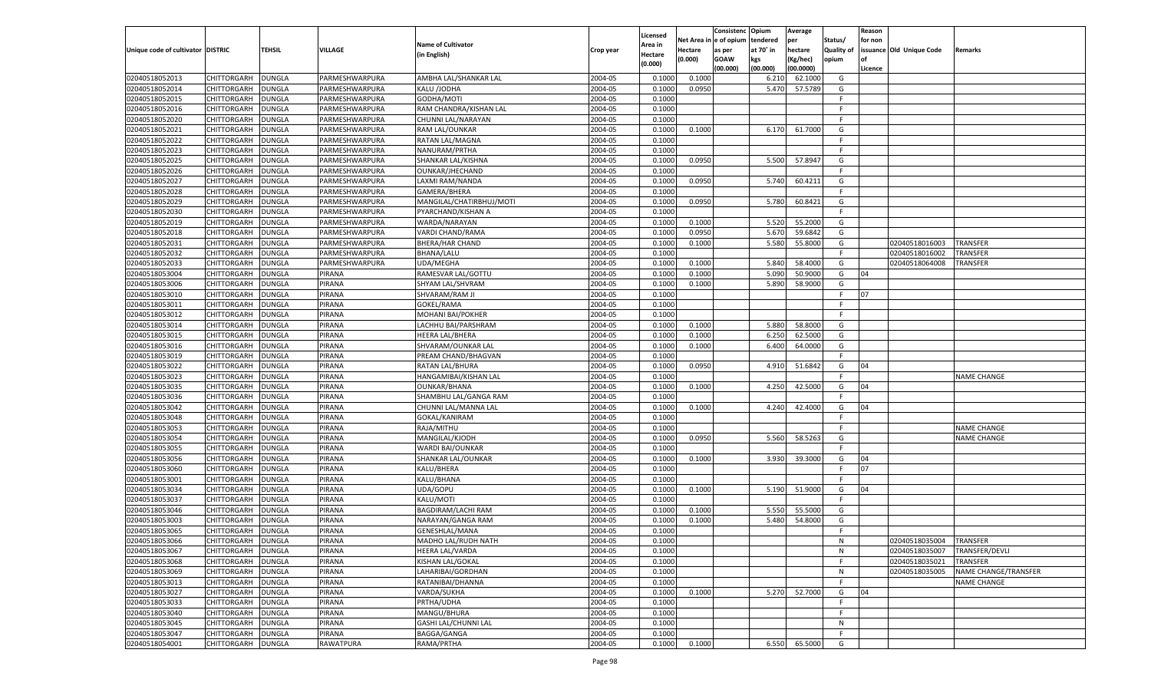|                                   |                    |               |                |                           |           |                    |             | Consistenc    | Opium     | Average   |            | Reason  |                          |                      |
|-----------------------------------|--------------------|---------------|----------------|---------------------------|-----------|--------------------|-------------|---------------|-----------|-----------|------------|---------|--------------------------|----------------------|
|                                   |                    |               |                |                           |           | Licensed           | Net Area iı | n  e of opium | tendered  | per       | Status/    | for non |                          |                      |
| Unique code of cultivator DISTRIC |                    | TEHSIL        | <b>VILLAGE</b> | <b>Name of Cultivator</b> | Crop year | Area in            | Hectare     | as per        | at 70° in | hectare   | Quality of |         | issuance Old Unique Code | Remarks              |
|                                   |                    |               |                | (in English)              |           | Hectare<br>(0.000) | (0.000)     | <b>GOAW</b>   | kgs       | (Kg/hec)  | opium      |         |                          |                      |
|                                   |                    |               |                |                           |           |                    |             | (00.000)      | (00.000)  | (00.0000) |            | Licence |                          |                      |
| 02040518052013                    | CHITTORGARH        | <b>DUNGLA</b> | PARMESHWARPURA | AMBHA LAL/SHANKAR LAL     | 2004-05   | 0.100              | 0.1000      |               | 6.21      | 62.1000   | G          |         |                          |                      |
| 02040518052014                    | CHITTORGARH        | DUNGLA        | PARMESHWARPURA | KALU /JODHA               | 2004-05   | 0.100              | 0.0950      |               | 5.470     | 57.5789   | G          |         |                          |                      |
| 02040518052015                    | CHITTORGARH        | DUNGLA        | PARMESHWARPURA | GODHA/MOTI                | 2004-05   | 0.1000             |             |               |           |           | F.         |         |                          |                      |
| 02040518052016                    | CHITTORGARH        | DUNGLA        | PARMESHWARPURA | RAM CHANDRA/KISHAN LAL    | 2004-05   | 0.1000             |             |               |           |           | E          |         |                          |                      |
| 02040518052020                    | CHITTORGARH        | DUNGLA        | PARMESHWARPURA | CHUNNI LAL/NARAYAN        | 2004-05   | 0.1000             |             |               |           |           | F.         |         |                          |                      |
| 02040518052021                    | CHITTORGARH        | DUNGLA        | PARMESHWARPURA | RAM LAL/OUNKAR            | 2004-05   | 0.1000             | 0.1000      |               | 6.170     | 61.7000   | G          |         |                          |                      |
| 02040518052022                    | CHITTORGARH        | DUNGLA        | PARMESHWARPURA | RATAN LAL/MAGNA           | 2004-05   | 0.1000             |             |               |           |           | F.         |         |                          |                      |
| 02040518052023                    | CHITTORGARH        | DUNGLA        | PARMESHWARPURA | NANURAM/PRTHA             | 2004-05   | 0.1000             |             |               |           |           | F.         |         |                          |                      |
| 02040518052025                    | CHITTORGARH        | DUNGLA        | PARMESHWARPURA | SHANKAR LAL/KISHNA        | 2004-05   | 0.1000             | 0.0950      |               | 5.500     | 57.8947   | G          |         |                          |                      |
| 02040518052026                    | CHITTORGARH        | DUNGLA        | PARMESHWARPURA | OUNKAR/JHECHAND           | 2004-05   | 0.1000             |             |               |           |           | F.         |         |                          |                      |
| 02040518052027                    | CHITTORGARH        | DUNGLA        | PARMESHWARPURA | LAXMI RAM/NANDA           | 2004-05   | 0.1000             | 0.0950      |               | 5.740     | 60.4211   | G          |         |                          |                      |
| 02040518052028                    | CHITTORGARH        | DUNGLA        | PARMESHWARPURA | GAMERA/BHERA              | 2004-05   | 0.1000             |             |               |           |           | F.         |         |                          |                      |
| 02040518052029                    | CHITTORGARH        | DUNGLA        | PARMESHWARPURA | MANGILAL/CHATIRBHUJ/MOTI  | 2004-05   | 0.1000             | 0.0950      |               | 5.780     | 60.8421   | G          |         |                          |                      |
| 02040518052030                    | CHITTORGARH        | DUNGLA        | PARMESHWARPURA | PYARCHAND/KISHAN A        | 2004-05   | 0.1000             |             |               |           |           | F.         |         |                          |                      |
| 02040518052019                    | CHITTORGARH        | DUNGLA        | PARMESHWARPURA | WARDA/NARAYAN             | 2004-05   | 0.1000             | 0.1000      |               | 5.520     | 55.2000   | G          |         |                          |                      |
| 02040518052018                    | CHITTORGARH        | DUNGLA        | PARMESHWARPURA | VARDI CHAND/RAMA          | 2004-05   | 0.1000             | 0.0950      |               | 5.670     | 59.6842   | G          |         |                          |                      |
| 02040518052031                    | CHITTORGARH        | DUNGLA        | PARMESHWARPURA | <b>BHERA/HAR CHAND</b>    | 2004-05   | 0.1000             | 0.1000      |               | 5.580     | 55.8000   | G          |         | 02040518016003           | <b>TRANSFER</b>      |
| 02040518052032                    | CHITTORGARH        | DUNGLA        | PARMESHWARPURA | <b>BHANA/LALU</b>         | 2004-05   | 0.1000             |             |               |           |           | F.         |         | 02040518016002           | TRANSFER             |
| 02040518052033                    | CHITTORGARH        | DUNGLA        | PARMESHWARPURA | UDA/MEGHA                 | 2004-05   | 0.1000             | 0.1000      |               | 5.840     | 58.4000   | G          |         | 02040518064008           | TRANSFER             |
| 02040518053004                    |                    |               | PIRANA         |                           | 2004-05   | 0.1000             | 0.1000      |               | 5.090     | 50.9000   | G          | 04      |                          |                      |
|                                   | CHITTORGARH        | DUNGLA        |                | RAMESVAR LAL/GOTTU        |           |                    |             |               |           |           |            |         |                          |                      |
| 02040518053006                    | CHITTORGARH        | DUNGLA        | PIRANA         | SHYAM LAL/SHVRAM          | 2004-05   | 0.1000             | 0.1000      |               | 5.890     | 58.9000   | G          |         |                          |                      |
| 02040518053010                    | CHITTORGARH        | DUNGLA        | PIRANA         | SHVARAM/RAM JI            | 2004-05   | 0.1000             |             |               |           |           | F.         | 07      |                          |                      |
| 02040518053011                    | CHITTORGARH        | DUNGLA        | PIRANA         | GOKEL/RAMA                | 2004-05   | 0.1000             |             |               |           |           | F.         |         |                          |                      |
| 02040518053012                    | CHITTORGARH        | DUNGLA        | PIRANA         | <b>MOHANI BAI/POKHER</b>  | 2004-05   | 0.1000             |             |               |           |           | F.         |         |                          |                      |
| 02040518053014                    | CHITTORGARH        | DUNGLA        | PIRANA         | LACHHU BAI/PARSHRAM       | 2004-05   | 0.1000             | 0.1000      |               | 5.880     | 58.8000   | G          |         |                          |                      |
| 02040518053015                    | CHITTORGARH        | DUNGLA        | PIRANA         | <b>HEERA LAL/BHERA</b>    | 2004-05   | 0.1000             | 0.1000      |               | 6.250     | 62.5000   | G          |         |                          |                      |
| 02040518053016                    | CHITTORGARH        | DUNGLA        | PIRANA         | SHVARAM/OUNKAR LAL        | 2004-05   | 0.1000             | 0.1000      |               | 6.400     | 64.0000   | G          |         |                          |                      |
| 02040518053019                    | CHITTORGARH        | DUNGLA        | PIRANA         | PREAM CHAND/BHAGVAN       | 2004-05   | 0.1000             |             |               |           |           | F.         |         |                          |                      |
| 02040518053022                    | CHITTORGARH        | DUNGLA        | PIRANA         | RATAN LAL/BHURA           | 2004-05   | 0.1000             | 0.0950      |               | 4.910     | 51.6842   | G          | 04      |                          |                      |
| 02040518053023                    | CHITTORGARH        | DUNGLA        | PIRANA         | HANGAMIBAI/KISHAN LAL     | 2004-05   | 0.1000             |             |               |           |           | E          |         |                          | <b>NAME CHANGE</b>   |
| 02040518053035                    | CHITTORGARH        | DUNGLA        | PIRANA         | <b>OUNKAR/BHANA</b>       | 2004-05   | 0.1000             | 0.1000      |               | 4.250     | 42.5000   | G          | 04      |                          |                      |
| 02040518053036                    | CHITTORGARH        | DUNGLA        | PIRANA         | SHAMBHU LAL/GANGA RAM     | 2004-05   | 0.1000             |             |               |           |           | F          |         |                          |                      |
| 02040518053042                    | CHITTORGARH        | <b>DUNGLA</b> | PIRANA         | CHUNNI LAL/MANNA LAL      | 2004-05   | 0.1000             | 0.1000      |               | 4.240     | 42.4000   | G          | 04      |                          |                      |
| 02040518053048                    | CHITTORGARH        | DUNGLA        | PIRANA         | GOKAL/KANIRAM             | 2004-05   | 0.1000             |             |               |           |           | F          |         |                          |                      |
| 02040518053053                    | CHITTORGARH        | DUNGLA        | PIRANA         | RAJA/MITHU                | 2004-05   | 0.1000             |             |               |           |           | E          |         |                          | <b>NAME CHANGE</b>   |
| 02040518053054                    | CHITTORGARH        | DUNGLA        | PIRANA         | MANGILAL/KJODH            | 2004-05   | 0.1000             | 0.0950      |               | 5.560     | 58.5263   | G          |         |                          | <b>NAME CHANGE</b>   |
| 02040518053055                    | CHITTORGARH        | <b>DUNGLA</b> | PIRANA         | WARDI BAI/OUNKAR          | 2004-05   | 0.1000             |             |               |           |           | F.         |         |                          |                      |
| 02040518053056                    | CHITTORGARH        | DUNGLA        | PIRANA         | SHANKAR LAL/OUNKAR        | 2004-05   | 0.1000             | 0.1000      |               | 3.930     | 39.3000   | G          | 04      |                          |                      |
| 02040518053060                    | CHITTORGARH        | DUNGLA        | PIRANA         | KALU/BHERA                | 2004-05   | 0.1000             |             |               |           |           | F.         | 07      |                          |                      |
| 02040518053001                    | CHITTORGARH        | DUNGLA        | PIRANA         | KALU/BHANA                | 2004-05   | 0.1000             |             |               |           |           | F          |         |                          |                      |
| 02040518053034                    | CHITTORGARH        | <b>DUNGLA</b> | PIRANA         | UDA/GOPU                  | 2004-05   | 0.1000             | 0.1000      |               | 5.190     | 51.9000   | G          | 04      |                          |                      |
| 02040518053037                    | CHITTORGARH        | DUNGLA        | PIRANA         | KALU/MOTI                 | 2004-05   | 0.1000             |             |               |           |           | F          |         |                          |                      |
| 02040518053046                    | CHITTORGARH        | DUNGLA        | PIRANA         | BAGDIRAM/LACHI RAM        | 2004-05   | 0.1000             | 0.1000      |               | 5.550     | 55.5000   | G          |         |                          |                      |
| 02040518053003                    | CHITTORGARH        | DUNGLA        | PIRANA         | NARAYAN/GANGA RAM         | 2004-05   | 0.1000             | 0.1000      |               | 5.480     | 54.8000   | G          |         |                          |                      |
| 02040518053065                    | CHITTORGARH        | <b>DUNGLA</b> | PIRANA         | <b>GENESHLAL/MANA</b>     | 2004-05   | 0.1000             |             |               |           |           | F.         |         |                          |                      |
| 02040518053066                    | CHITTORGARH        | <b>DUNGLA</b> | PIRANA         | MADHO LAL/RUDH NATH       | 2004-05   | 0.1000             |             |               |           |           | N          |         | 02040518035004           | TRANSFER             |
| 02040518053067                    | <b>CHITTORGARH</b> | <b>DUNGLA</b> | PIRANA         | HEERA LAL/VARDA           | 2004-05   | 0.1000             |             |               |           |           | N          |         | 02040518035007           | TRANSFER/DEVLI       |
| 02040518053068                    | CHITTORGARH        | <b>DUNGLA</b> | PIRANA         | KISHAN LAL/GOKAL          | 2004-05   | 0.1000             |             |               |           |           | F.         |         | 02040518035021           | TRANSFER             |
| 02040518053069                    | CHITTORGARH        | <b>DUNGLA</b> | PIRANA         | LAHARIBAI/GORDHAN         | 2004-05   | 0.1000             |             |               |           |           | N          |         | 02040518035005           | NAME CHANGE/TRANSFER |
| 02040518053013                    | <b>CHITTORGARH</b> | <b>DUNGLA</b> | PIRANA         | RATANIBAI/DHANNA          | 2004-05   | 0.1000             |             |               |           |           | F.         |         |                          | <b>NAME CHANGE</b>   |
| 02040518053027                    | <b>CHITTORGARH</b> | <b>DUNGLA</b> | PIRANA         | VARDA/SUKHA               | 2004-05   | 0.1000             | 0.1000      |               | 5.270     | 52.7000   | G          | 04      |                          |                      |
| 02040518053033                    | CHITTORGARH        | <b>DUNGLA</b> | PIRANA         | PRTHA/UDHA                | 2004-05   | 0.1000             |             |               |           |           | F          |         |                          |                      |
| 02040518053040                    | CHITTORGARH        | <b>DUNGLA</b> | PIRANA         | MANGU/BHURA               | 2004-05   | 0.1000             |             |               |           |           | F.         |         |                          |                      |
| 02040518053045                    | <b>CHITTORGARH</b> | <b>DUNGLA</b> | PIRANA         | GASHI LAL/CHUNNI LAL      | 2004-05   | 0.1000             |             |               |           |           | N          |         |                          |                      |
| 02040518053047                    | <b>CHITTORGARH</b> | <b>DUNGLA</b> | PIRANA         | BAGGA/GANGA               | 2004-05   | 0.1000             |             |               |           |           | F.         |         |                          |                      |
| 02040518054001                    | <b>CHITTORGARH</b> |               |                | RAMA/PRTHA                | 2004-05   |                    | 0.1000      |               | 6.550     | 65.5000   | G          |         |                          |                      |
|                                   |                    | <b>DUNGLA</b> | RAWATPURA      |                           |           | 0.1000             |             |               |           |           |            |         |                          |                      |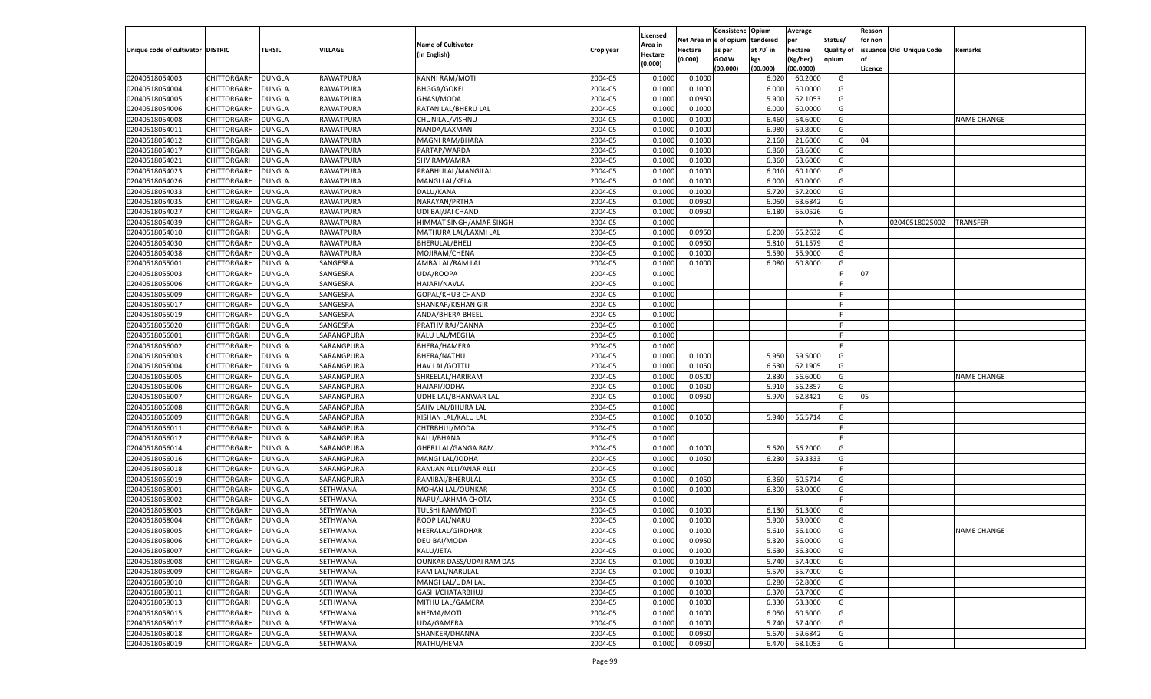|                                   |                    |               |                |                                            |           |                    |             | Consistenc   | Opium     | Average   |            | Reason  |                          |                    |
|-----------------------------------|--------------------|---------------|----------------|--------------------------------------------|-----------|--------------------|-------------|--------------|-----------|-----------|------------|---------|--------------------------|--------------------|
|                                   |                    |               |                | <b>Name of Cultivator</b>                  |           | Licensed           | Net Area iı | n e of opium | tendered  | per       | Status/    | for non |                          |                    |
| Unique code of cultivator DISTRIC |                    | TEHSIL        | <b>VILLAGE</b> |                                            | Crop year | Area in            | Hectare     | as per       | at 70° in | hectare   | Quality of |         | issuance Old Unique Code | Remarks            |
|                                   |                    |               |                | (in English)                               |           | Hectare<br>(0.000) | (0.000)     | <b>GOAW</b>  | kgs       | (Kg/hec)  | opium      |         |                          |                    |
|                                   |                    |               |                |                                            |           |                    |             | (00.000)     | (00.000)  | (00.0000) |            | Licence |                          |                    |
| 02040518054003                    | CHITTORGARH        | DUNGLA        | RAWATPURA      | <b>KANNI RAM/MOTI</b>                      | 2004-05   | 0.1000             | 0.1000      |              | 6.020     | 60.2000   | G          |         |                          |                    |
| 02040518054004                    | CHITTORGARH        | DUNGLA        | RAWATPURA      | <b>BHGGA/GOKEL</b>                         | 2004-05   | 0.1000             | 0.1000      |              | 6.000     | 60.0000   | G          |         |                          |                    |
| 02040518054005                    | CHITTORGARH        | DUNGLA        | RAWATPURA      | GHASI/MODA                                 | 2004-05   | 0.1000             | 0.0950      |              | 5.900     | 62.1053   | G          |         |                          |                    |
| 02040518054006                    | CHITTORGARH        | DUNGLA        | RAWATPURA      | RATAN LAL/BHERU LAL                        | 2004-05   | 0.1000             | 0.1000      |              | 6.000     | 60.0000   | G          |         |                          |                    |
| 02040518054008                    | CHITTORGARH        | DUNGLA        | RAWATPURA      | CHUNILAL/VISHNU                            | 2004-05   | 0.1000             | 0.1000      |              | 6.460     | 64.6000   | G          |         |                          | <b>NAME CHANGE</b> |
| 02040518054011                    | CHITTORGARH        | DUNGLA        | RAWATPURA      | NANDA/LAXMAN                               | 2004-05   | 0.1000             | 0.1000      |              | 6.980     | 69.8000   | G          |         |                          |                    |
| 02040518054012                    | CHITTORGARH        | DUNGLA        | RAWATPURA      | MAGNI RAM/BHARA                            | 2004-05   | 0.1000             | 0.1000      |              | 2.160     | 21.6000   | G          | 04      |                          |                    |
| 02040518054017                    | CHITTORGARH        | DUNGLA        | RAWATPURA      | PARTAP/WARDA                               | 2004-05   | 0.1000             | 0.1000      |              | 6.860     | 68.6000   | G          |         |                          |                    |
| 02040518054021                    | CHITTORGARH        | DUNGLA        | RAWATPURA      | <b>SHV RAM/AMRA</b>                        | 2004-05   | 0.1000             | 0.1000      |              | 6.360     | 63.6000   | G          |         |                          |                    |
| 02040518054023                    | CHITTORGARH        | DUNGLA        | RAWATPURA      | PRABHULAL/MANGILAL                         | 2004-05   | 0.1000             | 0.1000      |              | 6.010     | 60.1000   | G          |         |                          |                    |
| 02040518054026                    | CHITTORGARH        | DUNGLA        | RAWATPURA      | MANGI LAL/KELA                             | 2004-05   | 0.1000             | 0.1000      |              | 6.000     | 60.0000   | G          |         |                          |                    |
| 02040518054033                    | CHITTORGARH        | DUNGLA        | RAWATPURA      | DALU/KANA                                  | 2004-05   | 0.1000             | 0.1000      |              | 5.720     | 57.2000   | G          |         |                          |                    |
| 02040518054035                    | CHITTORGARH        | DUNGLA        | RAWATPURA      | NARAYAN/PRTHA                              | 2004-05   | 0.1000             | 0.0950      |              | 6.050     | 63.6842   | G          |         |                          |                    |
| 02040518054027                    | CHITTORGARH        | DUNGLA        | RAWATPURA      | UDI BAI/JAI CHAND                          | 2004-05   | 0.1000             | 0.0950      |              | 6.180     | 65.0526   | G          |         |                          |                    |
| 02040518054039                    | CHITTORGARH        | DUNGLA        | RAWATPURA      | HIMMAT SINGH/AMAR SINGH                    | 2004-05   | 0.1000             |             |              |           |           | N          |         | 02040518025002           | TRANSFER           |
| 02040518054010                    | CHITTORGARH        | DUNGLA        | RAWATPURA      | MATHURA LAL/LAXMI LAL                      | 2004-05   | 0.1000             | 0.0950      |              | 6.200     | 65.2632   | G          |         |                          |                    |
| 02040518054030                    | CHITTORGARH        | DUNGLA        | RAWATPURA      | BHERULAL/BHELI                             | 2004-05   | 0.1000             | 0.0950      |              | 5.810     | 61.1579   | G          |         |                          |                    |
| 02040518054038                    | CHITTORGARH        | DUNGLA        | RAWATPURA      | MOJIRAM/CHENA                              | 2004-05   | 0.1000             | 0.1000      |              | 5.590     | 55.9000   | G          |         |                          |                    |
| 02040518055001                    | CHITTORGARH        | DUNGLA        | SANGESRA       | AMBA LAL/RAM LAL                           | 2004-05   | 0.1000             | 0.1000      |              | 6.080     | 60.8000   | G          |         |                          |                    |
| 02040518055003                    | CHITTORGARH        | DUNGLA        | SANGESRA       | UDA/ROOPA                                  | 2004-05   | 0.1000             |             |              |           |           | F.         | 07      |                          |                    |
| 02040518055006                    | CHITTORGARH        | DUNGLA        | SANGESRA       | HAJARI/NAVLA                               | 2004-05   | 0.1000             |             |              |           |           | F.         |         |                          |                    |
| 02040518055009                    | CHITTORGARH        | DUNGLA        | SANGESRA       | GOPAL/KHUB CHAND                           | 2004-05   | 0.1000             |             |              |           |           | F.         |         |                          |                    |
| 02040518055017                    | CHITTORGARH        | DUNGLA        | SANGESRA       | SHANKAR/KISHAN GIR                         | 2004-05   | 0.1000             |             |              |           |           | F.         |         |                          |                    |
| 02040518055019                    | CHITTORGARH        | DUNGLA        | SANGESRA       | ANDA/BHERA BHEEL                           | 2004-05   | 0.1000             |             |              |           |           | F.         |         |                          |                    |
| 02040518055020                    | CHITTORGARH        | DUNGLA        | SANGESRA       | PRATHVIRAJ/DANNA                           | 2004-05   | 0.1000             |             |              |           |           | F.         |         |                          |                    |
| 02040518056001                    | CHITTORGARH        | DUNGLA        | SARANGPURA     | KALU LAL/MEGHA                             | 2004-05   | 0.1000             |             |              |           |           | F.         |         |                          |                    |
| 02040518056002                    | CHITTORGARH        | DUNGLA        | SARANGPURA     | BHERA/HAMERA                               | 2004-05   | 0.1000             |             |              |           |           | F.         |         |                          |                    |
| 02040518056003                    | CHITTORGARH        | DUNGLA        | SARANGPURA     | BHERA/NATHU                                | 2004-05   | 0.1000             | 0.1000      |              | 5.950     | 59.5000   | G          |         |                          |                    |
| 02040518056004                    | CHITTORGARH        | DUNGLA        | SARANGPURA     | HAV LAL/GOTTU                              | 2004-05   | 0.1000             | 0.1050      |              | 6.530     | 62.1905   | G          |         |                          |                    |
| 02040518056005                    | CHITTORGARH        | DUNGLA        | SARANGPURA     | SHREELAL/HARIRAM                           | 2004-05   | 0.1000             | 0.0500      |              | 2.830     | 56.6000   | G          |         |                          | <b>NAME CHANGE</b> |
| 02040518056006                    |                    | DUNGLA        | SARANGPURA     | HAJARI/JODHA                               | 2004-05   | 0.1000             | 0.1050      |              | 5.910     | 56.285    | G          |         |                          |                    |
| 02040518056007                    | CHITTORGARH        |               | SARANGPURA     |                                            | 2004-05   | 0.1000             |             |              | 5.970     | 62.8421   | G          | 05      |                          |                    |
|                                   | CHITTORGARH        | DUNGLA        |                | UDHE LAL/BHANWAR LAL<br>SAHV LAL/BHURA LAL | 2004-05   | 0.1000             | 0.0950      |              |           |           | F.         |         |                          |                    |
| 02040518056008                    | CHITTORGARH        | DUNGLA        | SARANGPURA     |                                            |           |                    |             |              |           |           |            |         |                          |                    |
| 02040518056009                    | CHITTORGARH        | DUNGLA        | SARANGPURA     | KISHAN LAL/KALU LAL                        | 2004-05   | 0.1000             | 0.1050      |              | 5.940     | 56.5714   | G          |         |                          |                    |
| 02040518056011                    | CHITTORGARH        | DUNGLA        | SARANGPURA     | CHTRBHUJ/MODA                              | 2004-05   | 0.1000             |             |              |           |           | F.         |         |                          |                    |
| 02040518056012                    | CHITTORGARH        | DUNGLA        | SARANGPURA     | KALU/BHANA                                 | 2004-05   | 0.1000             |             |              |           |           | F          |         |                          |                    |
| 02040518056014                    | CHITTORGARH        | <b>DUNGLA</b> | SARANGPURA     | GHERI LAL/GANGA RAM                        | 2004-05   | 0.1000             | 0.1000      |              | 5.620     | 56.2000   | G          |         |                          |                    |
| 02040518056016                    | CHITTORGARH        | DUNGLA        | SARANGPURA     | MANGI LAL/JODHA                            | 2004-05   | 0.1000             | 0.1050      |              | 6.230     | 59.3333   | G          |         |                          |                    |
| 02040518056018                    | CHITTORGARH        | DUNGLA        | SARANGPURA     | RAMJAN ALLI/ANAR ALLI                      | 2004-05   | 0.1000             |             |              |           |           | F.         |         |                          |                    |
| 02040518056019                    | CHITTORGARH        | DUNGLA        | SARANGPURA     | RAMIBAI/BHERULAL                           | 2004-05   | 0.1000             | 0.1050      |              | 6.360     | 60.5714   | G          |         |                          |                    |
| 02040518058001                    | CHITTORGARH        | <b>DUNGLA</b> | SETHWANA       | MOHAN LAL/OUNKAR                           | 2004-05   | 0.1000             | 0.1000      |              | 6.300     | 63.0000   | G          |         |                          |                    |
| 02040518058002                    | CHITTORGARH        | DUNGLA        | SETHWANA       | NARU/LAKHMA CHOTA                          | 2004-05   | 0.1000             |             |              |           |           | F          |         |                          |                    |
| 02040518058003                    | CHITTORGARH        | DUNGLA        | SETHWANA       | <b>TULSHI RAM/MOTI</b>                     | 2004-05   | 0.1000             | 0.1000      |              | 6.130     | 61.3000   | G          |         |                          |                    |
| 02040518058004                    | CHITTORGARH        | DUNGLA        | SETHWANA       | ROOP LAL/NARU                              | 2004-05   | 0.1000             | 0.1000      |              | 5.900     | 59.0000   | G          |         |                          |                    |
| 02040518058005                    | CHITTORGARH        | <b>DUNGLA</b> | SETHWANA       | HEERALAL/GIRDHARI                          | 2004-05   | 0.1000             | 0.1000      |              | 5.610     | 56.1000   | G          |         |                          | <b>NAME CHANGE</b> |
| 02040518058006                    | CHITTORGARH        | <b>DUNGLA</b> | SETHWANA       | DEU BAI/MODA                               | 2004-05   | 0.1000             | 0.0950      |              | 5.320     | 56.0000   | G          |         |                          |                    |
| 02040518058007                    | <b>CHITTORGARH</b> | <b>DUNGLA</b> | SETHWANA       | KALU/JETA                                  | 2004-05   | 0.1000             | 0.1000      |              | 5.630     | 56.3000   | G          |         |                          |                    |
| 02040518058008                    | CHITTORGARH        | <b>DUNGLA</b> | SETHWANA       | OUNKAR DASS/UDAI RAM DAS                   | 2004-05   | 0.1000             | 0.1000      |              | 5.740     | 57.4000   | G          |         |                          |                    |
| 02040518058009                    | CHITTORGARH        | <b>DUNGLA</b> | SETHWANA       | RAM LAL/NARULAL                            | 2004-05   | 0.1000             | 0.1000      |              | 5.570     | 55.7000   | G          |         |                          |                    |
| 02040518058010                    | CHITTORGARH        | <b>DUNGLA</b> | SETHWANA       | MANGI LAL/UDAI LAL                         | 2004-05   | 0.1000             | 0.1000      |              | 6.280     | 62.8000   | G          |         |                          |                    |
| 02040518058011                    | CHITTORGARH        | <b>DUNGLA</b> | SETHWANA       | GASHI/CHATARBHUJ                           | 2004-05   | 0.1000             | 0.1000      |              | 6.370     | 63.7000   | G          |         |                          |                    |
| 02040518058013                    | CHITTORGARH        | <b>DUNGLA</b> | SETHWANA       | MITHU LAL/GAMERA                           | 2004-05   | 0.1000             | 0.1000      |              | 6.330     | 63.3000   | G          |         |                          |                    |
| 02040518058015                    | CHITTORGARH        | <b>DUNGLA</b> | SETHWANA       | KHEMA/MOTI                                 | 2004-05   | 0.1000             | 0.1000      |              | 6.050     | 60.5000   | G          |         |                          |                    |
| 02040518058017                    | <b>CHITTORGARH</b> | <b>DUNGLA</b> | SETHWANA       | UDA/GAMERA                                 | 2004-05   | 0.1000             | 0.1000      |              | 5.740     | 57.4000   | G          |         |                          |                    |
| 02040518058018                    | <b>CHITTORGARH</b> | <b>DUNGLA</b> | SETHWANA       | SHANKER/DHANNA                             | 2004-05   | 0.1000             | 0.0950      |              | 5.670     | 59.6842   | G          |         |                          |                    |
| 02040518058019                    | <b>CHITTORGARH</b> | <b>DUNGLA</b> | SETHWANA       | NATHU/HEMA                                 | 2004-05   | 0.1000             | 0.0950      |              | 6.470     | 68.1053   | G          |         |                          |                    |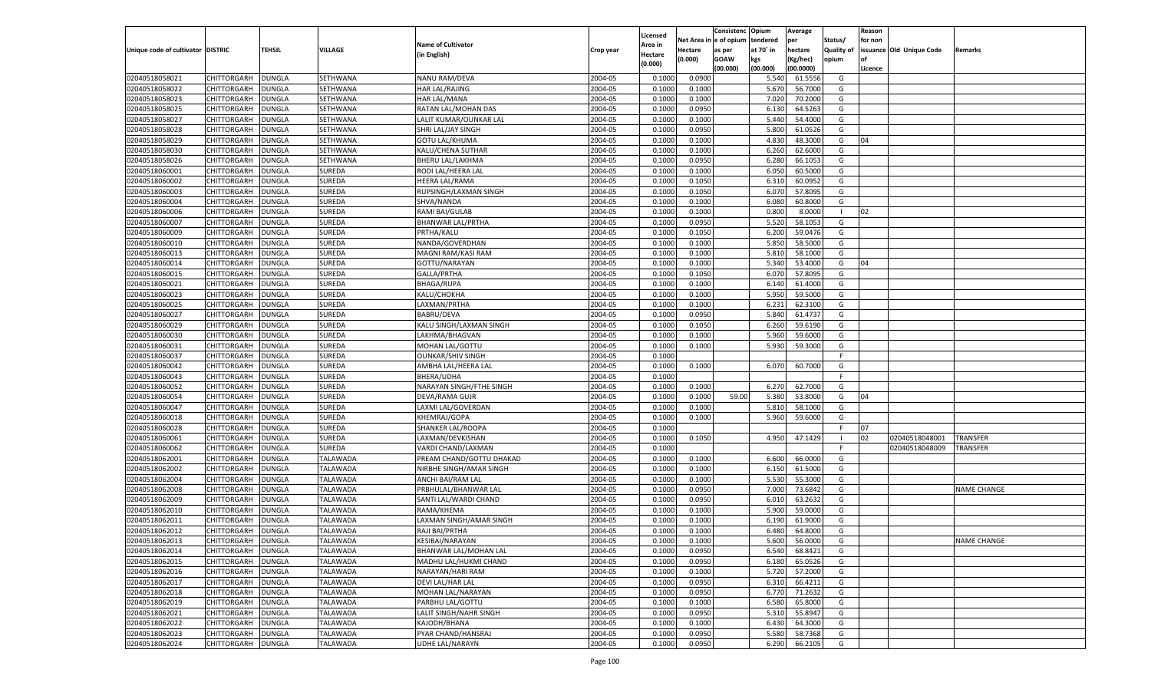|                                   |                    |                         |                                |                           |           |                     |             | Consistenc    | Opium     | Average   |                | Reason  |                          |                    |
|-----------------------------------|--------------------|-------------------------|--------------------------------|---------------------------|-----------|---------------------|-------------|---------------|-----------|-----------|----------------|---------|--------------------------|--------------------|
|                                   |                    |                         |                                | <b>Name of Cultivator</b> |           | Licensed<br>Area in | Net Area iı | n  e of opium | tendered  | per       | Status/        | for non |                          |                    |
| Unique code of cultivator DISTRIC |                    | TEHSIL                  | <b>VILLAGE</b>                 | (in English)              | Crop year | Hectare             | Hectare     | as per        | at 70° in | hectare   | Quality of     |         | issuance Old Unique Code | Remarks            |
|                                   |                    |                         |                                |                           |           | (0.000)             | (0.000)     | <b>GOAW</b>   | kgs       | (Kg/hec)  | opium          |         |                          |                    |
|                                   |                    |                         |                                |                           |           |                     |             | (00.000)      | (00.000)  | (00.0000) |                | Licence |                          |                    |
| 02040518058021                    | CHITTORGARH        | DUNGLA                  | SETHWANA                       | NANU RAM/DEVA             | 2004-05   | 0.1000              | 0.0900      |               | 5.540     | 61.5556   | G              |         |                          |                    |
| 02040518058022                    | CHITTORGARH        | DUNGLA                  | SETHWANA                       | <b>HAR LAL/RAJING</b>     | 2004-05   | 0.1000              | 0.1000      |               | 5.670     | 56.7000   | G              |         |                          |                    |
| 02040518058023                    | CHITTORGARH        | DUNGLA                  | SETHWANA                       | <b>HAR LAL/MANA</b>       | 2004-05   | 0.1000              | 0.1000      |               | 7.020     | 70.2000   | G              |         |                          |                    |
| 02040518058025                    | CHITTORGARH        | DUNGLA                  | SETHWANA                       | RATAN LAL/MOHAN DAS       | 2004-05   | 0.1000              | 0.0950      |               | 6.130     | 64.5263   | G              |         |                          |                    |
| 02040518058027                    | CHITTORGARH        | DUNGLA                  | SETHWANA                       | LALIT KUMAR/OUNKAR LAL    | 2004-05   | 0.1000              | 0.1000      |               | 5.440     | 54.4000   | G              |         |                          |                    |
| 02040518058028                    | CHITTORGARH        | DUNGLA                  | SETHWANA                       | SHRI LAL/JAY SINGH        | 2004-05   | 0.1000              | 0.0950      |               | 5.800     | 61.0526   | G              |         |                          |                    |
| 02040518058029                    | CHITTORGARH        | DUNGLA                  | SETHWANA                       | <b>GOTU LAL/KHUMA</b>     | 2004-05   | 0.1000              | 0.1000      |               | 4.830     | 48.3000   | G              | 04      |                          |                    |
| 02040518058030                    | CHITTORGARH        | DUNGLA                  | SETHWANA                       | KALU/CHENA SUTHAR         | 2004-05   | 0.1000              | 0.1000      |               | 6.260     | 62.6000   | G              |         |                          |                    |
| 02040518058026                    | CHITTORGARH        | DUNGLA                  | SETHWANA                       | <b>BHERU LAL/LAKHMA</b>   | 2004-05   | 0.1000              | 0.0950      |               | 6.280     | 66.1053   | G              |         |                          |                    |
| 02040518060001                    | CHITTORGARH        | DUNGLA                  | SUREDA                         | RODI LAL/HEERA LAL        | 2004-05   | 0.1000              | 0.1000      |               | 6.050     | 60.5000   | G              |         |                          |                    |
| 02040518060002                    | CHITTORGARH        | DUNGLA                  | SUREDA                         | <b>HEERA LAL/RAMA</b>     | 2004-05   | 0.1000              | 0.1050      |               | 6.310     | 60.0952   | G              |         |                          |                    |
| 02040518060003                    | CHITTORGARH        | DUNGLA                  | SUREDA                         | RUPSINGH/LAXMAN SINGH     | 2004-05   | 0.1000              | 0.1050      |               | 6.070     | 57.8095   | G              |         |                          |                    |
| 02040518060004                    | CHITTORGARH        | DUNGLA                  | SUREDA                         | SHVA/NANDA                | 2004-05   | 0.1000              | 0.1000      |               | 6.080     | 60.8000   | G              |         |                          |                    |
| 02040518060006                    | CHITTORGARH        | DUNGLA                  | SUREDA                         | RAMI BAI/GULAB            | 2004-05   | 0.1000              | 0.1000      |               | 0.800     | 8.0000    | $\blacksquare$ | 02      |                          |                    |
| 02040518060007                    | CHITTORGARH        | DUNGLA                  | SUREDA                         | <b>BHANWAR LAL/PRTHA</b>  | 2004-05   | 0.1000              | 0.0950      |               | 5.520     | 58.1053   | G              |         |                          |                    |
| 02040518060009                    | CHITTORGARH        | DUNGLA                  | SUREDA                         | PRTHA/KALU                | 2004-05   | 0.1000              | 0.1050      |               | 6.200     | 59.0476   | G              |         |                          |                    |
| 02040518060010                    | CHITTORGARH        | <b>DUNGLA</b>           | SUREDA                         | NANDA/GOVERDHAN           | 2004-05   | 0.1000              | 0.1000      |               | 5.850     | 58.5000   | G              |         |                          |                    |
| 02040518060013                    | CHITTORGARH        | DUNGLA                  | SUREDA                         | MAGNI RAM/KASI RAM        | 2004-05   | 0.1000              | 0.1000      |               | 5.810     | 58.1000   | G              |         |                          |                    |
| 02040518060014                    | CHITTORGARH        | DUNGLA                  | SUREDA                         | GOTTU/NARAYAN             | 2004-05   | 0.1000              | 0.1000      |               | 5.340     | 53.4000   | G              | 04      |                          |                    |
| 02040518060015                    | CHITTORGARH        | DUNGLA                  | SUREDA                         | GALLA/PRTHA               | 2004-05   | 0.1000              | 0.1050      |               | 6.070     | 57.8095   | G              |         |                          |                    |
| 02040518060021                    | CHITTORGARH        | DUNGLA                  | SUREDA                         | <b>BHAGA/RUPA</b>         | 2004-05   | 0.1000              | 0.1000      |               | 6.140     | 61.4000   | G              |         |                          |                    |
| 02040518060023                    | CHITTORGARH        | DUNGLA                  | SUREDA                         | KALU/CHOKHA               | 2004-05   | 0.1000              | 0.1000      |               | 5.950     | 59.5000   | G              |         |                          |                    |
| 02040518060025                    | CHITTORGARH        | DUNGLA                  | SUREDA                         | LAXMAN/PRTHA              | 2004-05   | 0.1000              | 0.1000      |               | 6.231     | 62.3100   | G              |         |                          |                    |
| 02040518060027                    | CHITTORGARH        | DUNGLA                  | SUREDA                         | <b>BABRU/DEVA</b>         | 2004-05   | 0.1000              | 0.0950      |               | 5.840     | 61.4737   | G              |         |                          |                    |
| 02040518060029                    | CHITTORGARH        | DUNGLA                  | SUREDA                         | KALU SINGH/LAXMAN SINGH   | 2004-05   | 0.1000              | 0.1050      |               | 6.260     | 59.6190   | G              |         |                          |                    |
| 02040518060030                    | CHITTORGARH        | DUNGLA                  | SUREDA                         | LAKHMA/BHAGVAN            | 2004-05   | 0.1000              | 0.1000      |               | 5.960     | 59.6000   | G              |         |                          |                    |
| 02040518060031                    | CHITTORGARH        | DUNGLA                  | SUREDA                         | MOHAN LAL/GOTTU           | 2004-05   | 0.1000              | 0.1000      |               | 5.930     | 59.3000   | G              |         |                          |                    |
| 02040518060037                    | CHITTORGARH        | DUNGLA                  | SUREDA                         | <b>OUNKAR/SHIV SINGH</b>  | 2004-05   | 0.1000              |             |               |           |           | F.             |         |                          |                    |
| 02040518060042                    | CHITTORGARH        | DUNGLA                  | SUREDA                         | AMBHA LAL/HEERA LAL       | 2004-05   | 0.1000              | 0.1000      |               | 6.070     | 60.7000   | G              |         |                          |                    |
| 02040518060043                    | CHITTORGARH        | DUNGLA                  | <b>SUREDA</b>                  | BHERA/UDHA                | 2004-05   | 0.1000              |             |               |           |           | F.             |         |                          |                    |
| 02040518060052                    | CHITTORGARH        | DUNGLA                  | <b>SUREDA</b>                  | NARAYAN SINGH/FTHE SINGH  | 2004-05   | 0.1000              | 0.1000      |               | 6.270     | 62.7000   | G              |         |                          |                    |
| 02040518060054                    | CHITTORGARH        | DUNGLA                  | <b>SUREDA</b>                  | DEVA/RAMA GUJR            | 2004-05   | 0.1000              | 0.1000      | 59.00         | 5.380     | 53.8000   | G              | 04      |                          |                    |
| 02040518060047                    | CHITTORGARH        | <b>DUNGLA</b>           | SUREDA                         | LAXMI LAL/GOVERDAN        | 2004-05   | 0.1000              | 0.1000      |               | 5.810     | 58.1000   | G              |         |                          |                    |
| 02040518060018                    | CHITTORGARH        | DUNGLA                  | SUREDA                         | <b>KHEMRAJ/GOPA</b>       | 2004-05   | 0.1000              | 0.1000      |               | 5.960     | 59.6000   | G              |         |                          |                    |
| 02040518060028                    |                    |                         | <b>SUREDA</b>                  |                           | 2004-05   | 0.1000              |             |               |           |           | F              | 07      |                          |                    |
| 02040518060061                    | CHITTORGARH        | DUNGLA                  |                                | <b>SHANKER LAL/ROOPA</b>  | 2004-05   | 0.1000              |             |               | 4.950     | 47.1429   | - 1            | 02      |                          | TRANSFER           |
|                                   | CHITTORGARH        | DUNGLA<br><b>DUNGLA</b> | <b>SUREDA</b><br><b>SUREDA</b> | LAXMAN/DEVKISHAN          | 2004-05   |                     | 0.1050      |               |           |           | F.             |         | 02040518048001           |                    |
| 02040518060062                    | CHITTORGARH        |                         |                                | VARDI CHAND/LAXMAN        |           | 0.1000              |             |               |           |           |                |         | 02040518048009           | TRANSFER           |
| 02040518062001                    | CHITTORGARH        | DUNGLA                  | <b>TALAWADA</b>                | PREAM CHAND/GOTTU DHAKAD  | 2004-05   | 0.1000              | 0.1000      |               | 6.600     | 66.0000   | G              |         |                          |                    |
| 02040518062002                    | CHITTORGARH        | DUNGLA                  | <b>TALAWADA</b>                | NIRBHE SINGH/AMAR SINGH   | 2004-05   | 0.1000              | 0.1000      |               | 6.150     | 61.5000   | G              |         |                          |                    |
| 02040518062004                    | CHITTORGARH        | DUNGLA                  | TALAWADA                       | ANCHI BAI/RAM LAL         | 2004-05   | 0.1000              | 0.1000      |               | 5.530     | 55.3000   | G              |         |                          |                    |
| 02040518062008                    | CHITTORGARH        | DUNGLA                  | <b>TALAWADA</b>                | PRBHULAL/BHANWAR LAL      | 2004-05   | 0.1000              | 0.0950      |               | 7.000     | 73.6842   | G              |         |                          | <b>NAME CHANGE</b> |
| 02040518062009                    | CHITTORGARH        | DUNGLA                  | TALAWADA                       | SANTI LAL/WARDI CHAND     | 2004-05   | 0.1000              | 0.0950      |               | 6.010     | 63.2632   | G              |         |                          |                    |
| 02040518062010                    | CHITTORGARH        | DUNGLA                  | <b>TALAWADA</b>                | RAMA/KHEMA                | 2004-05   | 0.1000              | 0.1000      |               | 5.900     | 59.0000   | G              |         |                          |                    |
| 02040518062011                    | CHITTORGARH        | DUNGLA                  | TALAWADA                       | LAXMAN SINGH/AMAR SINGH   | 2004-05   | 0.1000              | 0.1000      |               | 6.190     | 61.9000   | G              |         |                          |                    |
| 02040518062012                    | CHITTORGARH        | <b>DUNGLA</b>           | TALAWADA                       | RAJI BAI/PRTHA            | 2004-05   | 0.1000              | 0.1000      |               | 6.480     | 64.8000   | G              |         |                          |                    |
| 02040518062013                    | CHITTORGARH DUNGLA |                         | <b>TALAWADA</b>                | KESIBAI/NARAYAN           | 2004-05   | 0.1000              | 0.1000      |               | 5.600     | 56.0000   | G              |         |                          | <b>NAME CHANGE</b> |
| 02040518062014                    | <b>CHITTORGARH</b> | <b>DUNGLA</b>           | <b>TALAWADA</b>                | BHANWAR LAL/MOHAN LAL     | 2004-05   | 0.1000              | 0.0950      |               | 6.540     | 68.8421   | G              |         |                          |                    |
| 02040518062015                    | <b>CHITTORGARH</b> | <b>DUNGLA</b>           | <b>TALAWADA</b>                | MADHU LAL/HUKMI CHAND     | 2004-05   | 0.1000              | 0.0950      |               | 6.180     | 65.0526   | G              |         |                          |                    |
| 02040518062016                    | CHITTORGARH        | <b>DUNGLA</b>           | <b>TALAWADA</b>                | NARAYAN/HARI RAM          | 2004-05   | 0.1000              | 0.1000      |               | 5.720     | 57.2000   | G              |         |                          |                    |
| 02040518062017                    | CHITTORGARH        | <b>DUNGLA</b>           | <b>TALAWADA</b>                | <b>DEVI LAL/HAR LAL</b>   | 2004-05   | 0.1000              | 0.0950      |               | 6.310     | 66.4211   | G              |         |                          |                    |
| 02040518062018                    | CHITTORGARH        | <b>DUNGLA</b>           | <b>TALAWADA</b>                | MOHAN LAL/NARAYAN         | 2004-05   | 0.1000              | 0.0950      |               | 6.770     | 71.2632   | G              |         |                          |                    |
| 02040518062019                    | CHITTORGARH        | <b>DUNGLA</b>           | <b>TALAWADA</b>                | PARBHU LAL/GOTTU          | 2004-05   | 0.1000              | 0.1000      |               | 6.580     | 65.8000   | G              |         |                          |                    |
| 02040518062021                    | CHITTORGARH        | <b>DUNGLA</b>           | <b>TALAWADA</b>                | LALIT SINGH/NAHR SINGH    | 2004-05   | 0.1000              | 0.0950      |               | 5.310     | 55.8947   | G              |         |                          |                    |
| 02040518062022                    | CHITTORGARH        | <b>DUNGLA</b>           | <b>TALAWADA</b>                | KAJODH/BHANA              | 2004-05   | 0.1000              | 0.1000      |               | 6.430     | 64.3000   | G              |         |                          |                    |
| 02040518062023                    | CHITTORGARH        | <b>DUNGLA</b>           | <b>TALAWADA</b>                | PYAR CHAND/HANSRAJ        | 2004-05   | 0.1000              | 0.0950      |               | 5.580     | 58.7368   | G              |         |                          |                    |
| 02040518062024                    | <b>CHITTORGARH</b> | <b>DUNGLA</b>           | <b>TALAWADA</b>                | UDHE LAL/NARAYN           | 2004-05   | 0.1000              | 0.0950      |               | 6.290     | 66.2105   | G              |         |                          |                    |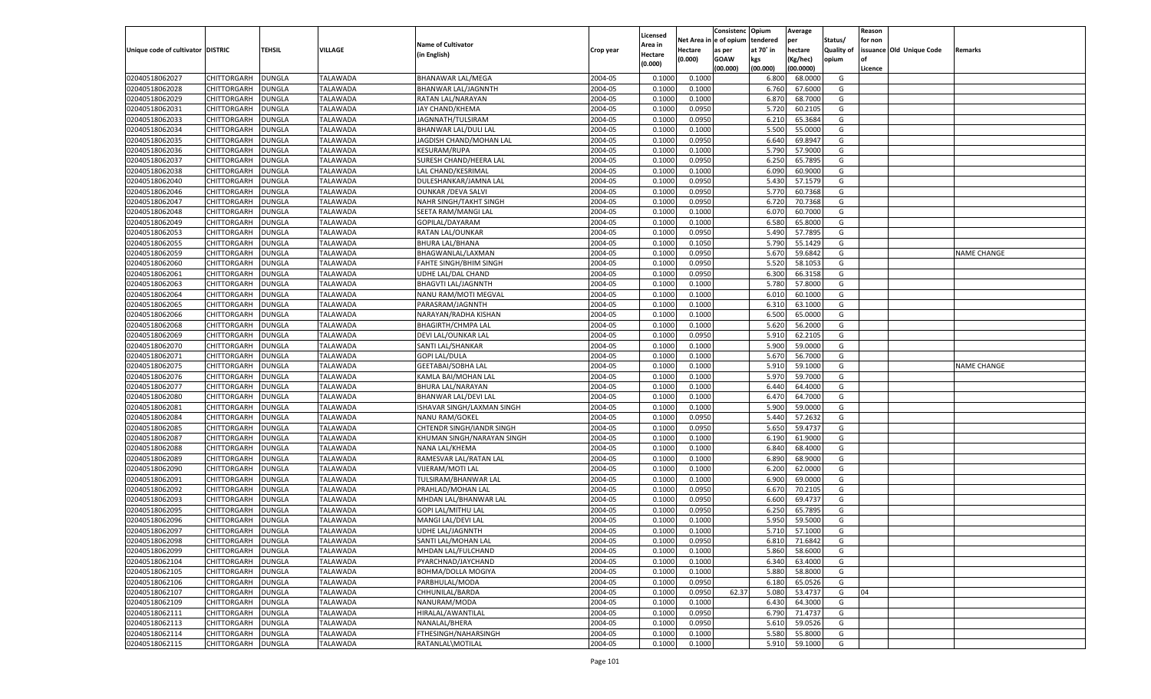|                                   |                    |               |                 |                            |           |                    |            | Consistenc    | Opium     | Average   |            | Reason  |                          |                    |
|-----------------------------------|--------------------|---------------|-----------------|----------------------------|-----------|--------------------|------------|---------------|-----------|-----------|------------|---------|--------------------------|--------------------|
|                                   |                    |               |                 | <b>Name of Cultivator</b>  |           | Licensed           | Net Area i | n  e of opium | tendered  | per       | Status/    | for non |                          |                    |
| Unique code of cultivator DISTRIC |                    | TEHSIL        | VILLAGE         |                            | Crop year | Area in            | Hectare    | as per        | at 70° in | hectare   | Quality of |         | issuance Old Unique Code | Remarks            |
|                                   |                    |               |                 | (in English)               |           | Hectare<br>(0.000) | (0.000)    | <b>GOAW</b>   | kgs       | (Kg/hec)  | opium      |         |                          |                    |
|                                   |                    |               |                 |                            |           |                    |            | (00.000)      | (00.000)  | (00.0000) |            | Licence |                          |                    |
| 02040518062027                    | CHITTORGARH        | DUNGLA        | <b>TALAWADA</b> | <b>BHANAWAR LAL/MEGA</b>   | 2004-05   | 0.1000             | 0.1000     |               | 6.800     | 68.0000   | G          |         |                          |                    |
| 02040518062028                    | CHITTORGARH        | DUNGLA        | TALAWADA        | BHANWAR LAL/JAGNNTH        | 2004-05   | 0.1000             | 0.1000     |               | 6.760     | 67.6000   | G          |         |                          |                    |
| 02040518062029                    | CHITTORGARH        | DUNGLA        | TALAWADA        | RATAN LAL/NARAYAN          | 2004-05   | 0.1000             | 0.1000     |               | 6.870     | 68.7000   | G          |         |                          |                    |
| 02040518062031                    | CHITTORGARH        | DUNGLA        | TALAWADA        | JAY CHAND/KHEMA            | 2004-05   | 0.1000             | 0.0950     |               | 5.720     | 60.2105   | G          |         |                          |                    |
| 02040518062033                    | CHITTORGARH        | DUNGLA        | <b>TALAWADA</b> | JAGNNATH/TULSIRAM          | 2004-05   | 0.1000             | 0.0950     |               | 6.21      | 65.3684   | G          |         |                          |                    |
| 02040518062034                    | CHITTORGARH        | DUNGLA        | TALAWADA        | BHANWAR LAL/DULI LAL       | 2004-05   | 0.1000             | 0.1000     |               | 5.500     | 55.0000   | G          |         |                          |                    |
| 02040518062035                    | CHITTORGARH        | DUNGLA        | TALAWADA        | JAGDISH CHAND/MOHAN LAL    | 2004-05   | 0.1000             | 0.0950     |               | 6.640     | 69.8947   | G          |         |                          |                    |
| 02040518062036                    | CHITTORGARH        | DUNGLA        | TALAWADA        | <b>KESURAM/RUPA</b>        | 2004-05   | 0.1000             | 0.1000     |               | 5.790     | 57.9000   | G          |         |                          |                    |
| 02040518062037                    | CHITTORGARH        | DUNGLA        | <b>TALAWADA</b> | SURESH CHAND/HEERA LAL     | 2004-05   | 0.1000             | 0.0950     |               | 6.250     | 65.7895   | G          |         |                          |                    |
| 02040518062038                    | CHITTORGARH        | DUNGLA        | TALAWADA        | LAL CHAND/KESRIMAL         | 2004-05   | 0.1000             | 0.1000     |               | 6.090     | 60.9000   | G          |         |                          |                    |
| 02040518062040                    | CHITTORGARH        | DUNGLA        | TALAWADA        | DULESHANKAR/JAMNA LAL      | 2004-05   | 0.1000             | 0.0950     |               | 5.430     | 57.1579   | G          |         |                          |                    |
| 02040518062046                    | CHITTORGARH        | DUNGLA        | TALAWADA        | <b>OUNKAR / DEVA SALVI</b> | 2004-05   | 0.1000             | 0.0950     |               | 5.770     | 60.7368   | G          |         |                          |                    |
| 02040518062047                    | CHITTORGARH        | DUNGLA        | <b>TALAWADA</b> | NAHR SINGH/TAKHT SINGH     | 2004-05   | 0.1000             | 0.0950     |               | 6.720     | 70.7368   | G          |         |                          |                    |
| 02040518062048                    | CHITTORGARH        | DUNGLA        | TALAWADA        | SEETA RAM/MANGI LAL        | 2004-05   | 0.1000             | 0.1000     |               | 6.070     | 60.7000   | G          |         |                          |                    |
| 02040518062049                    | CHITTORGARH        | DUNGLA        | <b>TALAWADA</b> | GOPILAL/DAYARAM            | 2004-05   | 0.1000             | 0.1000     |               | 6.580     | 65.8000   | G          |         |                          |                    |
| 02040518062053                    | CHITTORGARH        | DUNGLA        | TALAWADA        | RATAN LAL/OUNKAR           | 2004-05   | 0.1000             | 0.0950     |               | 5.490     | 57.7895   | G          |         |                          |                    |
| 02040518062055                    | CHITTORGARH        | DUNGLA        | <b>TALAWADA</b> | <b>BHURA LAL/BHANA</b>     | 2004-05   | 0.1000             | 0.1050     |               | 5.790     | 55.1429   | G          |         |                          |                    |
| 02040518062059                    |                    |               |                 |                            | 2004-05   | 0.1000             |            |               | 5.670     | 59.6842   | G          |         |                          | NAME CHANGE        |
|                                   | CHITTORGARH        | DUNGLA        | TALAWADA        | BHAGWANLAL/LAXMAN          |           |                    | 0.0950     |               |           |           |            |         |                          |                    |
| 02040518062060                    | CHITTORGARH        | DUNGLA        | <b>TALAWADA</b> | FAHTE SINGH/BHIM SINGH     | 2004-05   | 0.1000             | 0.0950     |               | 5.520     | 58.1053   | G          |         |                          |                    |
| 02040518062061                    | CHITTORGARH        | DUNGLA        | TALAWADA        | UDHE LAL/DAL CHAND         | 2004-05   | 0.1000             | 0.0950     |               | 6.300     | 66.3158   | G          |         |                          |                    |
| 02040518062063                    | CHITTORGARH        | DUNGLA        | <b>TALAWADA</b> | <b>BHAGVTI LAL/JAGNNTH</b> | 2004-05   | 0.1000             | 0.1000     |               | 5.780     | 57.8000   | G          |         |                          |                    |
| 02040518062064                    | CHITTORGARH        | DUNGLA        | TALAWADA        | NANU RAM/MOTI MEGVAL       | 2004-05   | 0.1000             | 0.1000     |               | 6.010     | 60.1000   | G          |         |                          |                    |
| 02040518062065                    | CHITTORGARH        | DUNGLA        | <b>TALAWADA</b> | PARASRAM/JAGNNTH           | 2004-05   | 0.1000             | 0.1000     |               | 6.310     | 63.1000   | G          |         |                          |                    |
| 02040518062066                    | CHITTORGARH        | DUNGLA        | TALAWADA        | NARAYAN/RADHA KISHAN       | 2004-05   | 0.1000             | 0.1000     |               | 6.500     | 65.0000   | G          |         |                          |                    |
| 02040518062068                    | CHITTORGARH        | DUNGLA        | <b>TALAWADA</b> | <b>BHAGIRTH/CHMPA LAL</b>  | 2004-05   | 0.1000             | 0.1000     |               | 5.620     | 56.2000   | G          |         |                          |                    |
| 02040518062069                    | CHITTORGARH        | DUNGLA        | TALAWADA        | DEVI LAL/OUNKAR LAL        | 2004-05   | 0.1000             | 0.0950     |               | 5.910     | 62.2105   | G          |         |                          |                    |
| 02040518062070                    | CHITTORGARH        | DUNGLA        | <b>TALAWADA</b> | SANTI LAL/SHANKAR          | 2004-05   | 0.1000             | 0.1000     |               | 5.900     | 59.0000   | G          |         |                          |                    |
| 02040518062071                    | CHITTORGARH        | DUNGLA        | TALAWADA        | <b>GOPI LAL/DULA</b>       | 2004-05   | 0.1000             | 0.1000     |               | 5.670     | 56.7000   | G          |         |                          |                    |
| 02040518062075                    | CHITTORGARH        | DUNGLA        | <b>TALAWADA</b> | <b>GEETABAI/SOBHA LAL</b>  | 2004-05   | 0.1000             | 0.1000     |               | 5.910     | 59.1000   | G          |         |                          | <b>NAME CHANGE</b> |
| 02040518062076                    | CHITTORGARH        | DUNGLA        | <b>TALAWADA</b> | KAMLA BAI/MOHAN LAL        | 2004-05   | 0.1000             | 0.1000     |               | 5.970     | 59.7000   | G          |         |                          |                    |
| 02040518062077                    | CHITTORGARH        | DUNGLA        | <b>TALAWADA</b> | BHURA LAL/NARAYAN          | 2004-05   | 0.1000             | 0.1000     |               | 6.440     | 64.4000   | G          |         |                          |                    |
| 02040518062080                    | CHITTORGARH        | DUNGLA        | TALAWADA        | BHANWAR LAL/DEVI LAL       | 2004-05   | 0.1000             | 0.1000     |               | 6.470     | 64.7000   | G          |         |                          |                    |
| 02040518062081                    | CHITTORGARH        | DUNGLA        | <b>TALAWADA</b> | ISHAVAR SINGH/LAXMAN SINGH | 2004-05   | 0.1000             | 0.1000     |               | 5.900     | 59.0000   | G          |         |                          |                    |
| 02040518062084                    | CHITTORGARH        | DUNGLA        | TALAWADA        | <b>NANU RAM/GOKEL</b>      | 2004-05   | 0.1000             | 0.0950     |               | 5.440     | 57.2632   | G          |         |                          |                    |
| 02040518062085                    | CHITTORGARH        | DUNGLA        | <b>TALAWADA</b> | CHTENDR SINGH/IANDR SINGH  | 2004-05   | 0.1000             | 0.0950     |               | 5.650     | 59.4737   | G          |         |                          |                    |
| 02040518062087                    | CHITTORGARH        | DUNGLA        | TALAWADA        | KHUMAN SINGH/NARAYAN SINGH | 2004-05   | 0.1000             | 0.1000     |               | 6.190     | 61.9000   | G          |         |                          |                    |
| 02040518062088                    | CHITTORGARH        | <b>DUNGLA</b> | <b>TALAWADA</b> | NANA LAL/KHEMA             | 2004-05   | 0.1000             | 0.1000     |               | 6.840     | 68.4000   | G          |         |                          |                    |
| 02040518062089                    | CHITTORGARH        | DUNGLA        | TALAWADA        | RAMESVAR LAL/RATAN LAL     | 2004-05   | 0.1000             | 0.1000     |               | 6.890     | 68.9000   | G          |         |                          |                    |
| 02040518062090                    | CHITTORGARH        | DUNGLA        | <b>TALAWADA</b> | VIJERAM/MOTI LAL           | 2004-05   | 0.1000             | 0.1000     |               | 6.200     | 62.0000   | G          |         |                          |                    |
| 02040518062091                    | CHITTORGARH        | DUNGLA        | TALAWADA        | TULSIRAM/BHANWAR LAL       | 2004-05   | 0.1000             | 0.1000     |               | 6.900     | 69.0000   | G          |         |                          |                    |
| 02040518062092                    | CHITTORGARH        | DUNGLA        | <b>TALAWADA</b> | PRAHLAD/MOHAN LAL          | 2004-05   | 0.1000             | 0.0950     |               | 6.670     | 70.2105   | G          |         |                          |                    |
| 02040518062093                    | CHITTORGARH        | DUNGLA        | TALAWADA        | MHDAN LAL/BHANWAR LAL      | 2004-05   | 0.1000             | 0.0950     |               | 6.600     | 69.4737   | G          |         |                          |                    |
| 02040518062095                    | CHITTORGARH        | DUNGLA        | <b>TALAWADA</b> | GOPI LAL/MITHU LAL         | 2004-05   | 0.1000             | 0.0950     |               | 6.250     | 65.7895   | G          |         |                          |                    |
| 02040518062096                    | CHITTORGARH        | DUNGLA        | TALAWADA        | MANGI LAL/DEVI LAL         | 2004-05   | 0.1000             | 0.1000     |               | 5.950     | 59.5000   | G          |         |                          |                    |
| 02040518062097                    | CHITTORGARH        | <b>DUNGLA</b> | TALAWADA        | <b>UDHE LAL/JAGNNTH</b>    | 2004-05   | 0.1000             | 0.1000     |               | 5.710     | 57.1000   | G          |         |                          |                    |
| 02040518062098                    | CHITTORGARH        | <b>DUNGLA</b> | <b>TALAWADA</b> | SANTI LAL/MOHAN LAL        | 2004-05   | 0.1000             | 0.0950     |               | 6.810     | 71.6842   | G          |         |                          |                    |
| 02040518062099                    | <b>CHITTORGARH</b> | <b>DUNGLA</b> | <b>TALAWADA</b> | MHDAN LAL/FULCHAND         | 2004-05   | 0.1000             | 0.1000     |               | 5.860     | 58.6000   | G          |         |                          |                    |
| 02040518062104                    | <b>CHITTORGARH</b> | <b>DUNGLA</b> | <b>TALAWADA</b> | PYARCHNAD/JAYCHAND         | 2004-05   | 0.1000             | 0.1000     |               | 6.340     | 63.4000   | G          |         |                          |                    |
| 02040518062105                    | CHITTORGARH        | <b>DUNGLA</b> | <b>TALAWADA</b> | <b>BOHMA/DOLLA MOGIYA</b>  | 2004-05   | 0.1000             | 0.1000     |               | 5.880     | 58.8000   | G          |         |                          |                    |
| 02040518062106                    | <b>CHITTORGARH</b> | <b>DUNGLA</b> | <b>TALAWADA</b> | PARBHULAL/MODA             | 2004-05   | 0.1000             | 0.0950     |               | 6.180     | 65.0526   | G          |         |                          |                    |
| 02040518062107                    | CHITTORGARH        | <b>DUNGLA</b> | <b>TALAWADA</b> | CHHUNILAL/BARDA            | 2004-05   | 0.1000             | 0.0950     | 62.37         | 5.080     | 53.4737   | G          | 04      |                          |                    |
| 02040518062109                    | <b>CHITTORGARH</b> | <b>DUNGLA</b> | <b>TALAWADA</b> | NANURAM/MODA               | 2004-05   | 0.1000             | 0.1000     |               | 6.430     | 64.3000   | G          |         |                          |                    |
| 02040518062111                    | CHITTORGARH        | <b>DUNGLA</b> | <b>TALAWADA</b> | HIRALAL/AWANTILAL          | 2004-05   | 0.1000             | 0.0950     |               | 6.790     | 71.4737   | G          |         |                          |                    |
|                                   | <b>CHITTORGARH</b> |               |                 |                            |           |                    |            |               |           |           |            |         |                          |                    |
| 02040518062113                    |                    | <b>DUNGLA</b> | <b>TALAWADA</b> | NANALAL/BHERA              | 2004-05   | 0.1000             | 0.0950     |               | 5.610     | 59.0526   | G          |         |                          |                    |
| 02040518062114                    | <b>CHITTORGARH</b> | <b>DUNGLA</b> | <b>TALAWADA</b> | FTHESINGH/NAHARSINGH       | 2004-05   | 0.1000             | 0.1000     |               | 5.580     | 55.8000   | G          |         |                          |                    |
| 02040518062115                    | <b>CHITTORGARH</b> | <b>DUNGLA</b> | <b>TALAWADA</b> | RATANLAL\MOTILAL           | 2004-05   | 0.1000             | 0.1000     |               | 5.910     | 59.1000   | G          |         |                          |                    |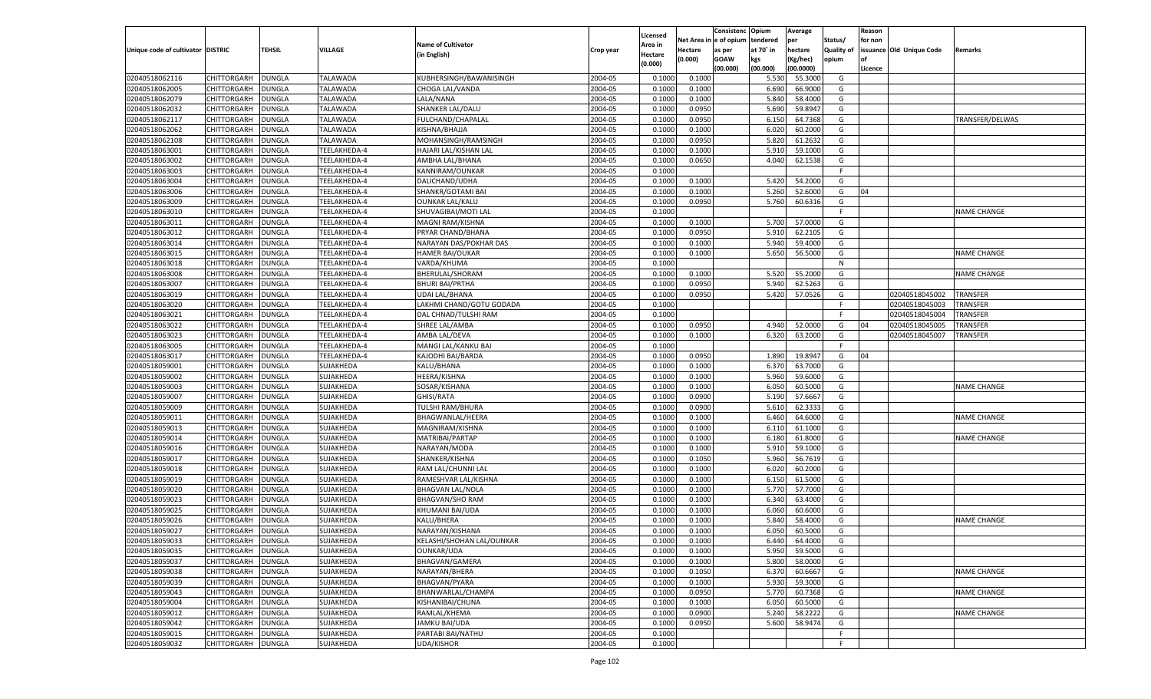|                                   |                    |               |                 |                           |           | Licensed |                        | Consistenc  | Opium     | Average   |                   | Reason  |                          |                    |
|-----------------------------------|--------------------|---------------|-----------------|---------------------------|-----------|----------|------------------------|-------------|-----------|-----------|-------------------|---------|--------------------------|--------------------|
|                                   |                    |               |                 | <b>Name of Cultivator</b> |           | Area in  | Net Area in e of opium |             | tendered  | per       | Status/           | for non |                          |                    |
| Unique code of cultivator DISTRIC |                    | <b>TEHSIL</b> | <b>VILLAGE</b>  | (in English)              | Crop year | Hectare  | <b>Hectare</b>         | as per      | at 70° in | hectare   | <b>Quality of</b> |         | issuance Old Unique Code | Remarks            |
|                                   |                    |               |                 |                           |           | (0.000)  | (0.000)                | <b>GOAW</b> | kgs       | (Kg/hec)  | opium             |         |                          |                    |
|                                   |                    |               |                 |                           |           |          |                        | (00.000)    | (00.000)  | (00.0000) |                   | Licence |                          |                    |
| 02040518062116                    | CHITTORGARH        | <b>DUNGLA</b> | <b>TALAWADA</b> | KUBHERSINGH/BAWANISINGH   | 2004-05   | 0.1000   | 0.1000                 |             | 5.530     | 55.3000   | G                 |         |                          |                    |
| 02040518062005                    | CHITTORGARH        | <b>DUNGLA</b> | <b>TALAWADA</b> | CHOGA LAL/VANDA           | 2004-05   | 0.1000   | 0.1000                 |             | 6.690     | 66.9000   | G                 |         |                          |                    |
| 02040518062079                    | <b>CHITTORGARH</b> | <b>DUNGLA</b> | <b>TALAWADA</b> | LALA/NANA                 | 2004-05   | 0.1000   | 0.1000                 |             | 5.840     | 58.4000   | G                 |         |                          |                    |
| 02040518062032                    | CHITTORGARH        | <b>DUNGLA</b> | <b>TALAWADA</b> | SHANKER LAL/DALU          | 2004-05   | 0.1000   | 0.0950                 |             | 5.690     | 59.8947   | G                 |         |                          |                    |
| 02040518062117                    | CHITTORGARH        | <b>DUNGLA</b> | <b>TALAWADA</b> | FULCHAND/CHAPALAL         | 2004-05   | 0.1000   | 0.0950                 |             | 6.150     | 64.7368   | G                 |         |                          | TRANSFER/DELWAS    |
| 02040518062062                    | CHITTORGARH        | <b>DUNGLA</b> | <b>TALAWADA</b> | KISHNA/BHAJJA             | 2004-05   | 0.1000   | 0.1000                 |             | 6.020     | 60.2000   | G                 |         |                          |                    |
| 02040518062108                    | <b>CHITTORGARH</b> | <b>DUNGLA</b> | <b>TALAWADA</b> | MOHANSINGH/RAMSINGH       | 2004-05   | 0.1000   | 0.0950                 |             | 5.820     | 61.2632   | G                 |         |                          |                    |
| 02040518063001                    | CHITTORGARH        | <b>DUNGLA</b> | TEELAKHEDA-4    | HAJARI LAL/KISHAN LAL     | 2004-05   | 0.1000   | 0.1000                 |             | 5.910     | 59.1000   | G                 |         |                          |                    |
| 02040518063002                    | CHITTORGARH        | <b>DUNGLA</b> | TEELAKHEDA-4    | AMBHA LAL/BHANA           | 2004-05   | 0.1000   | 0.0650                 |             | 4.040     | 62.1538   | G                 |         |                          |                    |
| 02040518063003                    | CHITTORGARH        | <b>DUNGLA</b> | TEELAKHEDA-4    | KANNIRAM/OUNKAR           | 2004-05   | 0.1000   |                        |             |           |           | F.                |         |                          |                    |
| 02040518063004                    | <b>CHITTORGARH</b> | <b>DUNGLA</b> | TEELAKHEDA-4    | DALICHAND/UDHA            | 2004-05   | 0.1000   | 0.1000                 |             | 5.420     | 54.2000   | G                 |         |                          |                    |
| 02040518063006                    | CHITTORGARH        | <b>DUNGLA</b> | TEELAKHEDA-4    | SHANKR/GOTAMI BAI         | 2004-05   | 0.1000   | 0.1000                 |             | 5.260     | 52.6000   | G                 | 04      |                          |                    |
| 02040518063009                    | CHITTORGARH        | <b>DUNGLA</b> | TEELAKHEDA-4    | <b>OUNKAR LAL/KALU</b>    | 2004-05   | 0.1000   | 0.0950                 |             | 5.760     | 60.6316   | G                 |         |                          |                    |
| 02040518063010                    | CHITTORGARH        | <b>DUNGLA</b> | TEELAKHEDA-4    | SHUVAGIBAI/MOTI LAL       | 2004-05   | 0.1000   |                        |             |           |           | F.                |         |                          | <b>NAME CHANGE</b> |
| 02040518063011                    | <b>CHITTORGARH</b> | <b>DUNGLA</b> | TEELAKHEDA-4    | MAGNI RAM/KISHNA          | 2004-05   | 0.1000   | 0.1000                 |             | 5.700     | 57.0000   | G                 |         |                          |                    |
| 02040518063012                    | CHITTORGARH        | <b>DUNGLA</b> | TEELAKHEDA-4    | PRYAR CHAND/BHANA         | 2004-05   | 0.1000   | 0.0950                 |             | 5.910     | 62.2105   | G                 |         |                          |                    |
| 02040518063014                    | CHITTORGARH        | <b>DUNGLA</b> | TEELAKHEDA-4    | NARAYAN DAS/POKHAR DAS    | 2004-05   | 0.1000   | 0.1000                 |             | 5.940     | 59.4000   | G                 |         |                          |                    |
| 02040518063015                    | CHITTORGARH        | <b>DUNGLA</b> | TEELAKHEDA-4    | HAMER BAI/OUKAR           | 2004-05   | 0.1000   | 0.1000                 |             | 5.650     | 56.5000   | G                 |         |                          | NAME CHANGE        |
| 02040518063018                    | <b>CHITTORGARH</b> | <b>DUNGLA</b> | TEELAKHEDA-4    | VARDA/KHUMA               | 2004-05   | 0.1000   |                        |             |           |           | N                 |         |                          |                    |
| 02040518063008                    | CHITTORGARH        | <b>DUNGLA</b> | TEELAKHEDA-4    | BHERULAL/SHORAM           | 2004-05   | 0.1000   | 0.1000                 |             | 5.520     | 55.2000   | G                 |         |                          | <b>NAME CHANGE</b> |
| 02040518063007                    | CHITTORGARH        | <b>DUNGLA</b> | TEELAKHEDA-4    | <b>BHURI BAI/PRTHA</b>    | 2004-05   | 0.1000   | 0.0950                 |             | 5.940     | 62.5263   | G                 |         |                          |                    |
| 02040518063019                    | CHITTORGARH        | <b>DUNGLA</b> | TEELAKHEDA-4    | <b>UDAI LAL/BHANA</b>     | 2004-05   | 0.1000   | 0.0950                 |             | 5.420     | 57.0526   | G                 |         | 02040518045002           | <b>TRANSFER</b>    |
| 02040518063020                    | <b>CHITTORGARH</b> | <b>DUNGLA</b> | TEELAKHEDA-4    | LAKHMI CHAND/GOTU GODADA  | 2004-05   | 0.1000   |                        |             |           |           | F.                |         | 02040518045003           | TRANSFER           |
| 02040518063021                    | CHITTORGARH        | <b>DUNGLA</b> | TEELAKHEDA-4    | DAL CHNAD/TULSHI RAM      | 2004-05   | 0.1000   |                        |             |           |           | E.                |         | 02040518045004           | TRANSFER           |
| 02040518063022                    | CHITTORGARH        | <b>DUNGLA</b> | TEELAKHEDA-4    | SHREE LAL/AMBA            | 2004-05   | 0.1000   | 0.0950                 |             | 4.940     | 52.0000   | G                 | 04      | 02040518045005           | TRANSFER           |
| 02040518063023                    | CHITTORGARH        | <b>DUNGLA</b> | TEELAKHEDA-4    | AMBA LAL/DEVA             | 2004-05   | 0.1000   | 0.1000                 |             | 6.320     | 63.2000   | G                 |         | 02040518045007           | TRANSFER           |
| 02040518063005                    | <b>CHITTORGARH</b> | <b>DUNGLA</b> | TEELAKHEDA-4    | MANGI LAL/KANKU BAI       | 2004-05   | 0.1000   |                        |             |           |           | F.                |         |                          |                    |
| 02040518063017                    | CHITTORGARH        | <b>DUNGLA</b> | TEELAKHEDA-4    | KAJODHI BAI/BARDA         | 2004-05   | 0.1000   | 0.0950                 |             | 1.890     | 19.8947   | G                 | 04      |                          |                    |
| 02040518059001                    | CHITTORGARH        | <b>DUNGLA</b> | SUJAKHEDA       | KALU/BHANA                | 2004-05   | 0.1000   | 0.1000                 |             | 6.370     | 63.7000   | G                 |         |                          |                    |
| 02040518059002                    | CHITTORGARH        | <b>DUNGLA</b> | SUJAKHEDA       | <b>HEERA/KISHNA</b>       | 2004-05   | 0.1000   | 0.1000                 |             | 5.960     | 59.6000   | G                 |         |                          |                    |
| 02040518059003                    | <b>CHITTORGARH</b> | <b>DUNGLA</b> | SUJAKHEDA       | SOSAR/KISHANA             | 2004-05   | 0.1000   | 0.1000                 |             | 6.050     | 60.5000   | G                 |         |                          | <b>NAME CHANGE</b> |
| 02040518059007                    | CHITTORGARH        | <b>DUNGLA</b> | SUJAKHEDA       | <b>GHISI/RATA</b>         | 2004-05   | 0.1000   | 0.0900                 |             | 5.190     | 57.6667   | G                 |         |                          |                    |
| 02040518059009                    | <b>CHITTORGARH</b> | <b>DUNGLA</b> | SUJAKHEDA       | TULSHI RAM/BHURA          | 2004-05   | 0.1000   | 0.0900                 |             | 5.610     | 62.3333   | G                 |         |                          |                    |
| 02040518059011                    | CHITTORGARH        | <b>DUNGLA</b> | SUJAKHEDA       | BHAGWANLAL/HEERA          | 2004-05   | 0.1000   | 0.1000                 |             | 6.460     | 64.6000   | G                 |         |                          | <b>NAME CHANGE</b> |
| 02040518059013                    | <b>CHITTORGARH</b> | <b>DUNGLA</b> | SUJAKHEDA       | MAGNIRAM/KISHNA           | 2004-05   | 0.1000   | 0.1000                 |             | 6.110     | 61.1000   | G                 |         |                          |                    |
| 02040518059014                    | CHITTORGARH        | <b>DUNGLA</b> | SUJAKHEDA       | MATRIBAI/PARTAP           | 2004-05   | 0.1000   | 0.1000                 |             | 6.180     | 61.8000   | G                 |         |                          | <b>NAME CHANGE</b> |
| 02040518059016                    | <b>CHITTORGARH</b> | <b>DUNGLA</b> | SUJAKHEDA       | NARAYAN/MODA              | 2004-05   | 0.1000   | 0.1000                 |             | 5.910     | 59.1000   | G                 |         |                          |                    |
| 02040518059017                    | CHITTORGARH        | <b>DUNGLA</b> | SUJAKHEDA       | SHANKER/KISHNA            | 2004-05   | 0.1000   | 0.1050                 |             | 5.960     | 56.7619   | G                 |         |                          |                    |
| 02040518059018                    | <b>CHITTORGARH</b> | <b>DUNGLA</b> | SUJAKHEDA       | RAM LAL/CHUNNI LAL        | 2004-05   | 0.1000   | 0.1000                 |             | 6.020     | 60.2000   | G                 |         |                          |                    |
| 02040518059019                    | CHITTORGARH        | <b>DUNGLA</b> | SUJAKHEDA       | RAMESHVAR LAL/KISHNA      | 2004-05   | 0.1000   | 0.1000                 |             | 6.150     | 61.5000   | G                 |         |                          |                    |
| 02040518059020                    | <b>CHITTORGARH</b> | <b>DUNGLA</b> | SUJAKHEDA       | <b>BHAGVAN LAL/NOLA</b>   | 2004-05   | 0.1000   | 0.1000                 |             | 5.770     | 57.7000   | G                 |         |                          |                    |
| 02040518059023                    | CHITTORGARH        | <b>DUNGLA</b> | SUJAKHEDA       | <b>BHAGVAN/SHO RAM</b>    | 2004-05   | 0.1000   | 0.1000                 |             | 6.340     | 63.4000   | G                 |         |                          |                    |
| 02040518059025                    | <b>CHITTORGARH</b> | <b>DUNGLA</b> | SUJAKHEDA       | KHUMANI BAI/UDA           | 2004-05   | 0.1000   | 0.1000                 |             | 6.060     | 60.6000   | G                 |         |                          |                    |
| 02040518059026                    | CHITTORGARH        | <b>DUNGLA</b> | SUJAKHEDA       | KALU/BHERA                | 2004-05   | 0.1000   | 0.1000                 |             | 5.840     | 58.4000   | G                 |         |                          | NAME CHANGE        |
| 02040518059027                    | CHITTORGARH        | <b>DUNGLA</b> | SUJAKHEDA       | NARAYAN/KISHANA           | 2004-05   | 0.1000   | 0.1000                 |             | 6.050     | 60.5000   | G                 |         |                          |                    |
| 02040518059033                    | CHITTORGARH DUNGLA |               | SUJAKHEDA       | KELASHI/SHOHAN LAL/OUNKAR | 2004-05   | 0.1000   | 0.1000                 |             | 6.440     | 64.4000   | G                 |         |                          |                    |
| 02040518059035                    | <b>CHITTORGARH</b> | <b>DUNGLA</b> | SUJAKHEDA       | <b>OUNKAR/UDA</b>         | 2004-05   | 0.1000   | 0.1000                 |             | 5.950     | 59.5000   | G                 |         |                          |                    |
| 02040518059037                    | <b>CHITTORGARH</b> | <b>DUNGLA</b> | SUJAKHEDA       | BHAGVAN/GAMERA            | 2004-05   | 0.1000   | 0.1000                 |             | 5.800     | 58.0000   | G                 |         |                          |                    |
| 02040518059038                    | <b>CHITTORGARH</b> | <b>DUNGLA</b> | SUJAKHEDA       | NARAYAN/BHERA             | 2004-05   | 0.1000   | 0.1050                 |             | 6.370     | 60.6667   | G                 |         |                          | <b>NAME CHANGE</b> |
| 02040518059039                    | <b>CHITTORGARH</b> | <b>DUNGLA</b> | SUJAKHEDA       | BHAGVAN/PYARA             | 2004-05   | 0.1000   | 0.1000                 |             | 5.930     | 59.3000   | G                 |         |                          |                    |
| 02040518059043                    | <b>CHITTORGARH</b> | <b>DUNGLA</b> | SUJAKHEDA       | BHANWARLAL/CHAMPA         | 2004-05   | 0.1000   | 0.0950                 |             | 5.770     | 60.7368   | G                 |         |                          | <b>NAME CHANGE</b> |
| 02040518059004                    | <b>CHITTORGARH</b> | <b>DUNGLA</b> | SUJAKHEDA       | KISHANIBAI/CHUNA          | 2004-05   | 0.1000   | 0.1000                 |             | 6.050     | 60.5000   | G                 |         |                          |                    |
| 02040518059012                    | CHITTORGARH        | <b>DUNGLA</b> | SUJAKHEDA       | RAMLAL/KHEMA              | 2004-05   | 0.1000   | 0.0900                 |             | 5.240     | 58.2222   | G                 |         |                          | NAME CHANGE        |
| 02040518059042                    |                    | <b>DUNGLA</b> | SUJAKHEDA       | <b>JAMKU BAI/UDA</b>      | 2004-05   | 0.1000   | 0.0950                 |             | 5.600     | 58.9474   |                   |         |                          |                    |
|                                   | <b>CHITTORGARH</b> |               | SUJAKHEDA       |                           |           |          |                        |             |           |           | G                 |         |                          |                    |
| 02040518059015                    | <b>CHITTORGARH</b> | <b>DUNGLA</b> |                 | PARTABI BAI/NATHU         | 2004-05   | 0.1000   |                        |             |           |           | F                 |         |                          |                    |
| 02040518059032                    | <b>CHITTORGARH</b> | <b>DUNGLA</b> | SUJAKHEDA       | <b>UDA/KISHOR</b>         | 2004-05   | 0.1000   |                        |             |           |           | F.                |         |                          |                    |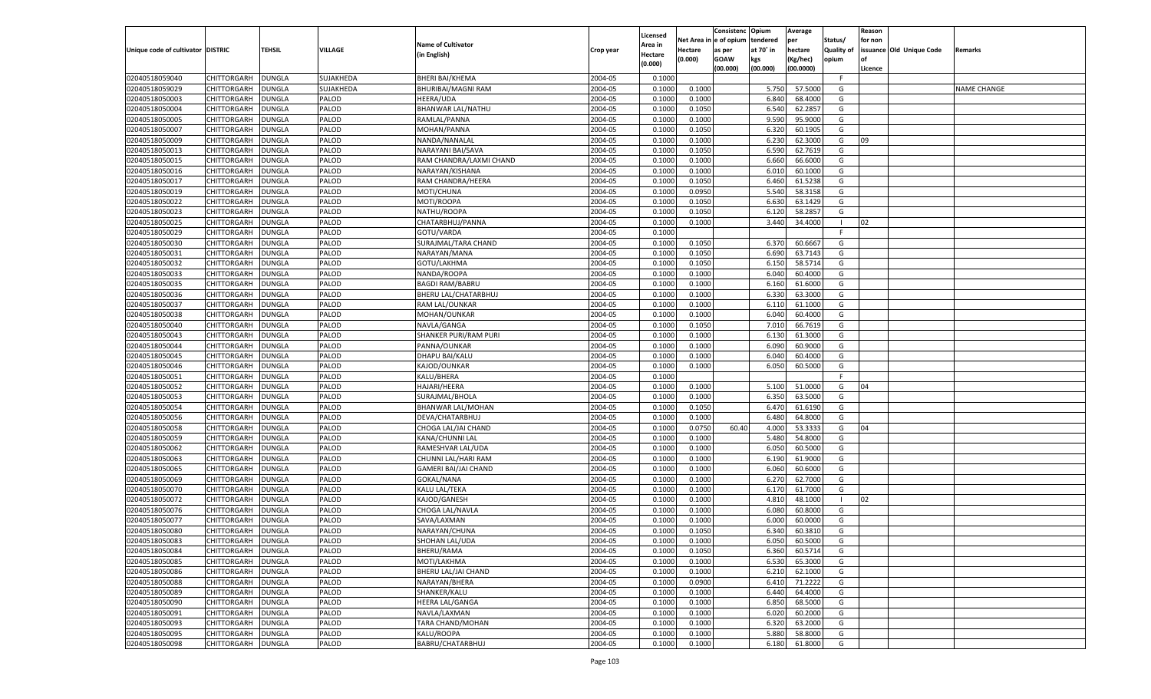|                                   |                    |               |              |                           |           | Licensed       |            | Consistenc Opium |           | Average   |                   | Reason  |                          |                    |
|-----------------------------------|--------------------|---------------|--------------|---------------------------|-----------|----------------|------------|------------------|-----------|-----------|-------------------|---------|--------------------------|--------------------|
|                                   |                    |               |              | <b>Name of Cultivator</b> |           | <b>Area in</b> | Net Area i | n  e of opium    | tendered  | per       | Status/           | for non |                          |                    |
| Unique code of cultivator DISTRIC |                    | <b>TEHSIL</b> | VILLAGE      | (in English)              | Crop year | Hectare        | Hectare    | as per           | at 70° in | hectare   | <b>Quality of</b> |         | issuance Old Unique Code | <b>Remarks</b>     |
|                                   |                    |               |              |                           |           | (0.000)        | (0.000)    | <b>GOAW</b>      | kgs       | (Kg/hec)  | opium             |         |                          |                    |
|                                   |                    |               |              |                           |           |                |            | (00.000)         | (00.000)  | (00.0000) |                   | Licence |                          |                    |
| 02040518059040                    | CHITTORGARH        | <b>DUNGLA</b> | SUJAKHEDA    | <b>BHERI BAI/KHEMA</b>    | 2004-05   | 0.1000         |            |                  |           |           | -F.               |         |                          |                    |
| 02040518059029                    | CHITTORGARH        | DUNGLA        | SUJAKHEDA    | BHURIBAI/MAGNI RAM        | 2004-05   | 0.1000         | 0.1000     |                  | 5.750     | 57.5000   | G                 |         |                          | <b>NAME CHANGE</b> |
| 02040518050003                    | CHITTORGARH        | DUNGLA        | PALOD        | HEERA/UDA                 | 2004-05   | 0.1000         | 0.1000     |                  | 6.840     | 68.4000   | G                 |         |                          |                    |
| 02040518050004                    | CHITTORGARH        | DUNGLA        | PALOD        | BHANWAR LAL/NATHU         | 2004-05   | 0.1000         | 0.1050     |                  | 6.540     | 62.2857   | G                 |         |                          |                    |
| 02040518050005                    | CHITTORGARH        | <b>DUNGLA</b> | PALOD        | RAMLAL/PANNA              | 2004-05   | 0.1000         | 0.1000     |                  | 9.590     | 95.9000   | G                 |         |                          |                    |
| 02040518050007                    | CHITTORGARH        | DUNGLA        | PALOD        | MOHAN/PANNA               | 2004-05   | 0.1000         | 0.1050     |                  | 6.320     | 60.1905   | G                 |         |                          |                    |
| 02040518050009                    | CHITTORGARH        | DUNGLA        | PALOD        | NANDA/NANALAL             | 2004-05   | 0.1000         | 0.1000     |                  | 6.230     | 62.3000   | G                 | 09      |                          |                    |
| 02040518050013                    | CHITTORGARH        | DUNGLA        | PALOD        | NARAYANI BAI/SAVA         | 2004-05   | 0.1000         | 0.1050     |                  | 6.590     | 62.7619   | G                 |         |                          |                    |
| 02040518050015                    | CHITTORGARH        | DUNGLA        | PALOD        | RAM CHANDRA/LAXMI CHAND   | 2004-05   | 0.1000         | 0.1000     |                  | 6.660     | 66.6000   | G                 |         |                          |                    |
| 02040518050016                    | CHITTORGARH        | DUNGLA        | PALOD        | NARAYAN/KISHANA           | 2004-05   | 0.1000         | 0.1000     |                  | 6.010     | 60.1000   | G                 |         |                          |                    |
| 02040518050017                    | CHITTORGARH        | DUNGLA        | PALOD        | RAM CHANDRA/HEERA         | 2004-05   | 0.1000         | 0.1050     |                  | 6.460     | 61.5238   | G                 |         |                          |                    |
| 02040518050019                    | CHITTORGARH        | DUNGLA        | PALOD        | MOTI/CHUNA                | 2004-05   | 0.1000         | 0.0950     |                  | 5.540     | 58.3158   | G                 |         |                          |                    |
| 02040518050022                    | CHITTORGARH        | DUNGLA        | PALOD        | MOTI/ROOPA                | 2004-05   | 0.1000         | 0.1050     |                  | 6.630     | 63.1429   | G                 |         |                          |                    |
| 02040518050023                    | CHITTORGARH        | DUNGLA        | PALOD        | NATHU/ROOPA               | 2004-05   | 0.1000         | 0.1050     |                  | 6.120     | 58.2857   | G                 |         |                          |                    |
| 02040518050025                    | CHITTORGARH        | DUNGLA        | PALOD        | CHATARBHUJ/PANNA          | 2004-05   | 0.1000         | 0.1000     |                  | 3.440     | 34.4000   | -1                | 02      |                          |                    |
| 02040518050029                    | CHITTORGARH        | DUNGLA        | PALOD        | GOTU/VARDA                | 2004-05   | 0.1000         |            |                  |           |           | -F                |         |                          |                    |
| 02040518050030                    | CHITTORGARH        | DUNGLA        | PALOD        | SURAJMAL/TARA CHAND       | 2004-05   | 0.1000         | 0.1050     |                  | 6.370     | 60.6667   | G                 |         |                          |                    |
| 02040518050031                    | CHITTORGARH        | DUNGLA        | PALOD        | NARAYAN/MANA              | 2004-05   | 0.1000         | 0.1050     |                  | 6.690     | 63.7143   | G                 |         |                          |                    |
| 02040518050032                    | CHITTORGARH        | DUNGLA        | PALOD        | GOTU/LAKHMA               | 2004-05   | 0.1000         | 0.1050     |                  | 6.150     | 58.5714   | G                 |         |                          |                    |
| 02040518050033                    | CHITTORGARH        | DUNGLA        | PALOD        | NANDA/ROOPA               | 2004-05   | 0.1000         | 0.1000     |                  | 6.040     | 60.4000   | G                 |         |                          |                    |
| 02040518050035                    | CHITTORGARH        | DUNGLA        | PALOD        | <b>BAGDI RAM/BABRU</b>    | 2004-05   | 0.1000         | 0.1000     |                  | 6.160     | 61.6000   | G                 |         |                          |                    |
| 02040518050036                    | CHITTORGARH        | DUNGLA        | PALOD        | BHERU LAL/CHATARBHUJ      | 2004-05   | 0.1000         | 0.1000     |                  | 6.330     | 63.3000   | G                 |         |                          |                    |
| 02040518050037                    | CHITTORGARH        | DUNGLA        | PALOD        | RAM LAL/OUNKAR            | 2004-05   | 0.1000         | 0.1000     |                  | 6.110     | 61.1000   | G                 |         |                          |                    |
| 02040518050038                    | CHITTORGARH        | DUNGLA        | PALOD        | MOHAN/OUNKAR              | 2004-05   | 0.1000         | 0.1000     |                  | 6.040     | 60.4000   | G                 |         |                          |                    |
| 02040518050040                    | CHITTORGARH        | DUNGLA        | PALOD        | NAVLA/GANGA               | 2004-05   | 0.1000         | 0.1050     |                  | 7.010     | 66.7619   | G                 |         |                          |                    |
| 02040518050043                    | CHITTORGARH        | DUNGLA        | PALOD        | SHANKER PURI/RAM PURI     | 2004-05   | 0.1000         | 0.1000     |                  | 6.130     | 61.3000   | G                 |         |                          |                    |
| 02040518050044                    | CHITTORGARH        | DUNGLA        | PALOD        | PANNA/OUNKAR              | 2004-05   | 0.1000         | 0.1000     |                  | 6.090     | 60.9000   | G                 |         |                          |                    |
| 02040518050045                    | CHITTORGARH        | DUNGLA        | PALOD        | DHAPU BAI/KALU            | 2004-05   | 0.1000         | 0.1000     |                  | 6.040     | 60.4000   | G                 |         |                          |                    |
| 02040518050046                    | CHITTORGARH        | DUNGLA        | PALOD        | KAJOD/OUNKAR              | 2004-05   | 0.1000         | 0.1000     |                  | 6.050     | 60.5000   | G                 |         |                          |                    |
| 02040518050051                    | CHITTORGARH        | DUNGLA        | PALOD        | KALU/BHERA                | 2004-05   | 0.1000         |            |                  |           |           | F.                |         |                          |                    |
| 02040518050052                    | CHITTORGARH        | DUNGLA        | PALOD        | <b>HAJARI/HEERA</b>       | 2004-05   | 0.1000         | 0.1000     |                  | 5.100     | 51.0000   | G                 | 04      |                          |                    |
| 02040518050053                    | CHITTORGARH        | DUNGLA        | PALOD        | SURAJMAL/BHOLA            | 2004-05   | 0.1000         | 0.1000     |                  | 6.350     | 63.5000   | G                 |         |                          |                    |
|                                   |                    |               | PALOD        |                           | 2004-05   |                |            |                  |           |           | G                 |         |                          |                    |
| 02040518050054                    | CHITTORGARH        | DUNGLA        |              | BHANWAR LAL/MOHAN         |           | 0.1000         | 0.1050     |                  | 6.470     | 61.6190   |                   |         |                          |                    |
| 02040518050056                    | CHITTORGARH        | DUNGLA        | PALOD        | DEVA/CHATARBHUJ           | 2004-05   | 0.1000         | 0.1000     |                  | 6.480     | 64.8000   | G                 |         |                          |                    |
| 02040518050058                    | CHITTORGARH        | DUNGLA        | PALOD        | CHOGA LAL/JAI CHAND       | 2004-05   | 0.1000         | 0.0750     | 60.40            | 4.000     | 53.3333   | G                 | 04      |                          |                    |
| 02040518050059                    | CHITTORGARH        | DUNGLA        | PALOD        | KANA/CHUNNI LAL           | 2004-05   | 0.1000         | 0.1000     |                  | 5.480     | 54.8000   | G                 |         |                          |                    |
| 02040518050062                    | CHITTORGARH        | DUNGLA        | PALOD        | RAMESHVAR LAL/UDA         | 2004-05   | 0.1000         | 0.1000     |                  | 6.050     | 60.5000   | G                 |         |                          |                    |
| 02040518050063                    | CHITTORGARH        | DUNGLA        | PALOD        | CHUNNI LAL/HARI RAM       | 2004-05   | 0.1000         | 0.1000     |                  | 6.190     | 61.9000   | G                 |         |                          |                    |
| 02040518050065                    | CHITTORGARH        | DUNGLA        | PALOD        | GAMERI BAI/JAI CHAND      | 2004-05   | 0.1000         | 0.1000     |                  | 6.060     | 60.6000   | G                 |         |                          |                    |
| 02040518050069                    | CHITTORGARH        | DUNGLA        | PALOD        | GOKAL/NANA                | 2004-05   | 0.1000         | 0.1000     |                  | 6.27      | 62.7000   | G                 |         |                          |                    |
| 02040518050070                    | CHITTORGARH        | DUNGLA        | PALOD        | KALU LAL/TEKA             | 2004-05   | 0.1000         | 0.1000     |                  | 6.170     | 61.7000   | G                 |         |                          |                    |
| 02040518050072                    | CHITTORGARH        | DUNGLA        | PALOD        | KAJOD/GANESH              | 2004-05   | 0.1000         | 0.1000     |                  | 4.810     | 48.1000   | - 1               | 02      |                          |                    |
| 02040518050076                    | CHITTORGARH        | DUNGLA        | PALOD        | CHOGA LAL/NAVLA           | 2004-05   | 0.1000         | 0.1000     |                  | 6.080     | 60.8000   | G                 |         |                          |                    |
| 02040518050077                    | CHITTORGARH        | DUNGLA        | PALOD        | SAVA/LAXMAN               | 2004-05   | 0.1000         | 0.1000     |                  | 6.00      | 60.0000   | G                 |         |                          |                    |
| 02040518050080                    | CHITTORGARH        | DUNGLA        | PALOD        | NARAYAN/CHUNA             | 2004-05   | 0.1000         | 0.1050     |                  | 6.340     | 60.3810   | G                 |         |                          |                    |
| 02040518050083                    | CHITTORGARH        | <b>DUNGLA</b> | <b>PALOD</b> | SHOHAN LAL/UDA            | 2004-05   | 0.1000         | 0.1000     |                  | 6.050     | 60.5000   | G                 |         |                          |                    |
| 02040518050084                    | CHITTORGARH        | <b>DUNGLA</b> | PALOD        | <b>BHERU/RAMA</b>         | 2004-05   | 0.1000         | 0.1050     |                  | 6.360     | 60.5714   | G                 |         |                          |                    |
| 02040518050085                    | CHITTORGARH        | <b>DUNGLA</b> | PALOD        | MOTI/LAKHMA               | 2004-05   | 0.1000         | 0.1000     |                  | 6.530     | 65.3000   | G                 |         |                          |                    |
| 02040518050086                    | <b>CHITTORGARH</b> | <b>DUNGLA</b> | PALOD        | BHERU LAL/JAI CHAND       | 2004-05   | 0.1000         | 0.1000     |                  | 6.210     | 62.1000   | G                 |         |                          |                    |
| 02040518050088                    | <b>CHITTORGARH</b> | <b>DUNGLA</b> | PALOD        | NARAYAN/BHERA             | 2004-05   | 0.1000         | 0.0900     |                  | 6.410     | 71.2222   | G                 |         |                          |                    |
| 02040518050089                    | CHITTORGARH        | <b>DUNGLA</b> | PALOD        | SHANKER/KALU              | 2004-05   | 0.1000         | 0.1000     |                  | 6.440     | 64.4000   | G                 |         |                          |                    |
| 02040518050090                    | CHITTORGARH        | <b>DUNGLA</b> | PALOD        | <b>HEERA LAL/GANGA</b>    | 2004-05   | 0.1000         | 0.1000     |                  | 6.850     | 68.5000   | G                 |         |                          |                    |
| 02040518050091                    | <b>CHITTORGARH</b> | <b>DUNGLA</b> | PALOD        | NAVLA/LAXMAN              | 2004-05   | 0.1000         | 0.1000     |                  | 6.020     | 60.2000   | G                 |         |                          |                    |
| 02040518050093                    | <b>CHITTORGARH</b> | <b>DUNGLA</b> | PALOD        | TARA CHAND/MOHAN          | 2004-05   | 0.1000         | 0.1000     |                  | 6.320     | 63.2000   | G                 |         |                          |                    |
| 02040518050095                    | CHITTORGARH        | <b>DUNGLA</b> | PALOD        | KALU/ROOPA                | 2004-05   | 0.1000         | 0.1000     |                  | 5.880     | 58.8000   | G                 |         |                          |                    |
| 02040518050098                    | CHITTORGARH        | <b>DUNGLA</b> | PALOD        | BABRU/CHATARBHUJ          | 2004-05   | 0.1000         | 0.1000     |                  | 6.180     | 61.8000   | G                 |         |                          |                    |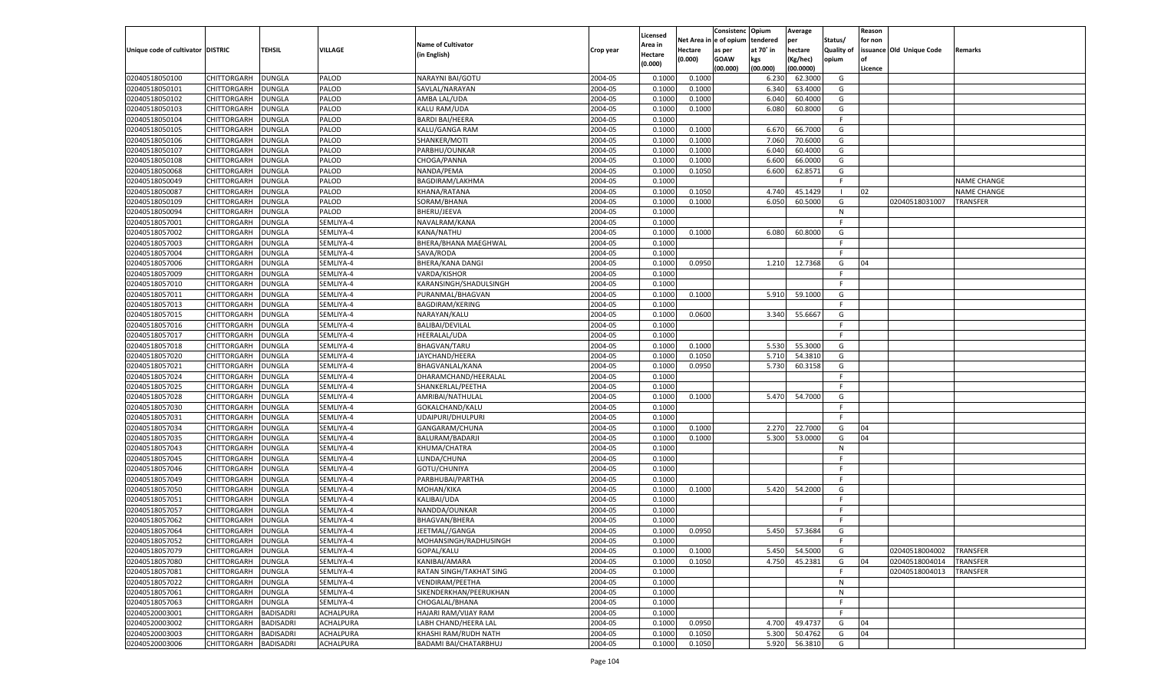|                                   |                    |                  |                |                             |                    | Licensed |         | Consistenc Opium       |           | Average   |            | Reason  |                          |                    |
|-----------------------------------|--------------------|------------------|----------------|-----------------------------|--------------------|----------|---------|------------------------|-----------|-----------|------------|---------|--------------------------|--------------------|
|                                   |                    |                  |                | <b>Name of Cultivator</b>   |                    | Area in  |         | Net Area in e of opium | tendered  | per       | Status/    | for non |                          |                    |
| Unique code of cultivator DISTRIC |                    | <b>TEHSIL</b>    | <b>VILLAGE</b> | (in English)                | Crop year          | Hectare  | Hectare | as per                 | at 70° in | hectare   | Quality of |         | issuance Old Unique Code | <b>Remarks</b>     |
|                                   |                    |                  |                |                             |                    | (0.000)  | (0.000) | <b>GOAW</b>            | kgs       | (Kg/hec)  | opium      |         |                          |                    |
|                                   |                    |                  |                |                             |                    |          |         | (00.000)               | (00.000)  | (00.0000) |            | Licence |                          |                    |
| 02040518050100                    | CHITTORGARH        | <b>DUNGLA</b>    | PALOD          | NARAYNI BAI/GOTU            | 2004-05            | 0.1000   | 0.1000  |                        | 6.230     | 62.3000   | G          |         |                          |                    |
| 02040518050101                    | CHITTORGARH        | DUNGLA           | PALOD          | SAVLAL/NARAYAN              | 2004-05            | 0.1000   | 0.1000  |                        | 6.340     | 63.4000   | G          |         |                          |                    |
| 02040518050102                    | CHITTORGARH        | <b>DUNGLA</b>    | PALOD          | AMBA LAL/UDA                | 2004-05            | 0.1000   | 0.1000  |                        | 6.040     | 60.4000   | G          |         |                          |                    |
| 02040518050103                    | CHITTORGARH        | DUNGLA           | PALOD          | KALU RAM/UDA                | 2004-05            | 0.1000   | 0.1000  |                        | 6.080     | 60.8000   | G          |         |                          |                    |
| 02040518050104                    | CHITTORGARH        | <b>DUNGLA</b>    | PALOD          | <b>BARDI BAI/HEERA</b>      | 2004-05            | 0.1000   |         |                        |           |           | F.         |         |                          |                    |
| 02040518050105                    | CHITTORGARH        | DUNGLA           | PALOD          | KALU/GANGA RAM              | 2004-05            | 0.1000   | 0.1000  |                        | 6.670     | 66.7000   | G          |         |                          |                    |
| 02040518050106                    | CHITTORGARH        | <b>DUNGLA</b>    | PALOD          | SHANKER/MOTI                | 2004-05            | 0.1000   | 0.1000  |                        | 7.060     | 70.6000   | G          |         |                          |                    |
| 02040518050107                    | CHITTORGARH        | DUNGLA           | PALOD          | PARBHU/OUNKAR               | 2004-05            | 0.1000   | 0.1000  |                        | 6.040     | 60.4000   | G          |         |                          |                    |
| 02040518050108                    | CHITTORGARH        | <b>DUNGLA</b>    | PALOD          | CHOGA/PANNA                 | 2004-05            | 0.1000   | 0.1000  |                        | 6.600     | 66.0000   | G          |         |                          |                    |
| 02040518050068                    | CHITTORGARH        | DUNGLA           | PALOD          | NANDA/PEMA                  | 2004-05            | 0.1000   | 0.1050  |                        | 6.600     | 62.8571   | G          |         |                          |                    |
| 02040518050049                    | CHITTORGARH        | <b>DUNGLA</b>    | PALOD          | <b>BAGDIRAM/LAKHMA</b>      | 2004-05            | 0.1000   |         |                        |           |           | F.         |         |                          | <b>NAME CHANGE</b> |
| 02040518050087                    | CHITTORGARH        | DUNGLA           | PALOD          | KHANA/RATANA                | 2004-05            | 0.1000   | 0.1050  |                        | 4.740     | 45.1429   | - 1        | 02      |                          | <b>NAME CHANGE</b> |
| 02040518050109                    | CHITTORGARH        | DUNGLA           | PALOD          | SORAM/BHANA                 | 2004-05            | 0.1000   | 0.1000  |                        | 6.050     | 60.5000   | G          |         | 02040518031007           | <b>TRANSFER</b>    |
| 02040518050094                    | CHITTORGARH        | DUNGLA           | PALOD          | BHERU/JEEVA                 | 2004-05            | 0.1000   |         |                        |           |           | N          |         |                          |                    |
| 02040518057001                    | CHITTORGARH        | DUNGLA           | SEMLIYA-4      | NAVALRAM/KANA               | 2004-05            | 0.1000   |         |                        |           |           | F.         |         |                          |                    |
| 02040518057002                    | CHITTORGARH        | DUNGLA           | SEMLIYA-4      | KANA/NATHU                  | 2004-05            | 0.1000   | 0.1000  |                        | 6.080     | 60.8000   | G          |         |                          |                    |
| 02040518057003                    | CHITTORGARH        | DUNGLA           | SEMLIYA-4      | BHERA/BHANA MAEGHWAL        | 2004-05            | 0.1000   |         |                        |           |           | F.         |         |                          |                    |
| 02040518057004                    | CHITTORGARH        | DUNGLA           | SEMLIYA-4      | SAVA/RODA                   | 2004-05            | 0.1000   |         |                        |           |           | E          |         |                          |                    |
| 02040518057006                    | CHITTORGARH        | DUNGLA           | SEMLIYA-4      | <b>BHERA/KANA DANGI</b>     | 2004-05            | 0.1000   | 0.0950  |                        | 1.210     | 12.7368   | G          | 04      |                          |                    |
| 02040518057009                    | CHITTORGARH        | DUNGLA           | SEMLIYA-4      | VARDA/KISHOR                | 2004-05            | 0.1000   |         |                        |           |           | -F         |         |                          |                    |
| 02040518057010                    | CHITTORGARH        | DUNGLA           | SEMLIYA-4      | KARANSINGH/SHADULSINGH      | 2004-05            | 0.1000   |         |                        |           |           | F.         |         |                          |                    |
| 02040518057011                    | CHITTORGARH        | DUNGLA           | SEMLIYA-4      | PURANMAL/BHAGVAN            | 2004-05            | 0.1000   | 0.1000  |                        | 5.910     | 59.1000   | G          |         |                          |                    |
| 02040518057013                    | CHITTORGARH        | DUNGLA           | SEMLIYA-4      | <b>BAGDIRAM/KERING</b>      | 2004-05            | 0.1000   |         |                        |           |           | F.         |         |                          |                    |
| 02040518057015                    | CHITTORGARH        | DUNGLA           | SEMLIYA-4      | NARAYAN/KALU                | 2004-05            | 0.1000   | 0.0600  |                        | 3.340     | 55.6667   | G          |         |                          |                    |
| 02040518057016                    | CHITTORGARH        | DUNGLA           | SEMLIYA-4      | <b>BALIBAI/DEVILAL</b>      | 2004-05            | 0.1000   |         |                        |           |           | F.         |         |                          |                    |
| 02040518057017                    | CHITTORGARH        | DUNGLA           | SEMLIYA-4      | <b>HEERALAL/UDA</b>         | 2004-05            | 0.1000   |         |                        |           |           | E          |         |                          |                    |
| 02040518057018                    | CHITTORGARH        | DUNGLA           | SEMLIYA-4      | <b>BHAGVAN/TARU</b>         | 2004-05            | 0.1000   | 0.1000  |                        | 5.530     | 55.3000   | G          |         |                          |                    |
| 02040518057020                    | CHITTORGARH        | DUNGLA           | SEMLIYA-4      | JAYCHAND/HEERA              | 2004-05            | 0.1000   | 0.1050  |                        | 5.710     | 54.3810   | G          |         |                          |                    |
| 02040518057021                    | CHITTORGARH        | DUNGLA           | SEMLIYA-4      | BHAGVANLAL/KANA             | 2004-05            | 0.1000   | 0.0950  |                        | 5.730     | 60.3158   | G          |         |                          |                    |
| 02040518057024                    | CHITTORGARH        | DUNGLA           | SEMLIYA-4      | DHARAMCHAND/HEERALAL        | 2004-05            | 0.1000   |         |                        |           |           | F.         |         |                          |                    |
| 02040518057025                    | CHITTORGARH        | DUNGLA           | SEMLIYA-4      | SHANKERLAL/PEETHA           | 2004-05            | 0.1000   |         |                        |           |           | F.         |         |                          |                    |
| 02040518057028                    | CHITTORGARH        | DUNGLA           | SEMLIYA-4      | AMRIBAI/NATHULAL            | 2004-05            | 0.1000   | 0.1000  |                        | 5.470     | 54.7000   | G          |         |                          |                    |
| 02040518057030                    | CHITTORGARH        | DUNGLA           | SEMLIYA-4      | GOKALCHAND/KALU             | 2004-05            | 0.1000   |         |                        |           |           | F.         |         |                          |                    |
| 02040518057031                    | CHITTORGARH        | DUNGLA           | SEMLIYA-4      | UDAIPURI/DHULPURI           | 2004-05            | 0.1000   |         |                        |           |           | F.         |         |                          |                    |
| 02040518057034                    | CHITTORGARH        | DUNGLA           | SEMLIYA-4      | GANGARAM/CHUNA              | 2004-05            | 0.1000   | 0.1000  |                        | 2.270     | 22.7000   | G          | 04      |                          |                    |
| 02040518057035                    | CHITTORGARH        | DUNGLA           | SEMLIYA-4      | BALURAM/BADARJI             | 2004-05            | 0.1000   | 0.1000  |                        | 5.300     | 53.0000   | G          | 04      |                          |                    |
| 02040518057043                    | CHITTORGARH        | DUNGLA           | SEMLIYA-4      | KHUMA/CHATRA                | 2004-05            | 0.1000   |         |                        |           |           | N          |         |                          |                    |
| 02040518057045                    | CHITTORGARH        | DUNGLA           | SEMLIYA-4      | LUNDA/CHUNA                 | 2004-05            | 0.1000   |         |                        |           |           | E          |         |                          |                    |
| 02040518057046                    | CHITTORGARH        | DUNGLA           | SEMLIYA-4      | GOTU/CHUNIYA                | 2004-05            | 0.1000   |         |                        |           |           | F.         |         |                          |                    |
| 02040518057049                    | CHITTORGARH        | DUNGLA           | SEMLIYA-4      | PARBHUBAI/PARTHA            | 2004-05            | 0.1000   |         |                        |           |           | -F.        |         |                          |                    |
| 02040518057050                    | CHITTORGARH        | DUNGLA           | SEMLIYA-4      | MOHAN/KIKA                  | 2004-05            | 0.1000   | 0.1000  |                        | 5.420     | 54.2000   | G          |         |                          |                    |
| 02040518057051                    | CHITTORGARH        | DUNGLA           | SEMLIYA-4      | KALIBAI/UDA                 | 2004-05            | 0.1000   |         |                        |           |           | E          |         |                          |                    |
| 02040518057057                    | CHITTORGARH        | DUNGLA           | SEMLIYA-4      | NANDDA/OUNKAR               | 2004-05            | 0.1000   |         |                        |           |           | F.         |         |                          |                    |
| 02040518057062                    | CHITTORGARH        | DUNGLA           | SEMLIYA-4      | <b>BHAGVAN/BHERA</b>        | 2004-05            | 0.1000   |         |                        |           |           | F.         |         |                          |                    |
| 02040518057064                    | CHITTORGARH        | DUNGLA           | SEMLIYA-4      | JEETMAL//GANGA              | 2004-05            | 0.1000   | 0.0950  |                        | 5.450     | 57.3684   | G          |         |                          |                    |
|                                   |                    |                  |                |                             |                    |          |         |                        |           |           | -F         |         |                          |                    |
| 02040518057052                    | CHITTORGARH        | <b>DUNGLA</b>    | SEMLIYA-4      | MOHANSINGH/RADHUSINGH       | 2004-05<br>2004-05 | 0.1000   |         |                        | 5.450     | 54.5000   |            |         |                          | TRANSFER           |
| 02040518057079                    | <b>CHITTORGARH</b> | <b>DUNGLA</b>    | SEMLIYA-4      | GOPAL/KALU<br>KANIBAI/AMARA |                    | 0.1000   | 0.1000  |                        |           |           | G          |         | 02040518004002           |                    |
| 02040518057080                    | CHITTORGARH        | <b>DUNGLA</b>    | SEMLIYA-4      |                             | 2004-05            | 0.1000   | 0.1050  |                        | 4.750     | 45.2381   | G<br>F.    | 04      | 02040518004014           | TRANSFER           |
| 02040518057081                    | <b>CHITTORGARH</b> | <b>DUNGLA</b>    | SEMLIYA-4      | RATAN SINGH/TAKHAT SING     | 2004-05            | 0.1000   |         |                        |           |           |            |         | 02040518004013           | TRANSFER           |
| 02040518057022                    | <b>CHITTORGARH</b> | <b>DUNGLA</b>    | SEMLIYA-4      | VENDIRAM/PEETHA             | 2004-05            | 0.1000   |         |                        |           |           | N          |         |                          |                    |
| 02040518057061                    | <b>CHITTORGARH</b> | <b>DUNGLA</b>    | SEMLIYA-4      | SIKENDERKHAN/PEERUKHAN      | 2004-05            | 0.1000   |         |                        |           |           | N          |         |                          |                    |
| 02040518057063                    | CHITTORGARH        | <b>DUNGLA</b>    | SEMLIYA-4      | CHOGALAL/BHANA              | 2004-05            | 0.1000   |         |                        |           |           | F.         |         |                          |                    |
| 02040520003001                    | <b>CHITTORGARH</b> | <b>BADISADRI</b> | ACHALPURA      | HAJARI RAM/VIJAY RAM        | 2004-05            | 0.1000   |         |                        |           |           | F.         |         |                          |                    |
| 02040520003002                    | <b>CHITTORGARH</b> | <b>BADISADRI</b> | ACHALPURA      | LABH CHAND/HEERA LAL        | 2004-05            | 0.1000   | 0.0950  |                        | 4.700     | 49.4737   | G          | 04      |                          |                    |
| 02040520003003                    | <b>CHITTORGARH</b> | <b>BADISADRI</b> | ACHALPURA      | KHASHI RAM/RUDH NATH        | 2004-05            | 0.1000   | 0.1050  |                        | 5.300     | 50.4762   | G          | 04      |                          |                    |
| 02040520003006                    | <b>CHITTORGARH</b> | <b>BADISADRI</b> | ACHALPURA      | BADAMI BAI/CHATARBHUJ       | 2004-05            | 0.1000   | 0.1050  |                        | 5.920     | 56.3810   | G          |         |                          |                    |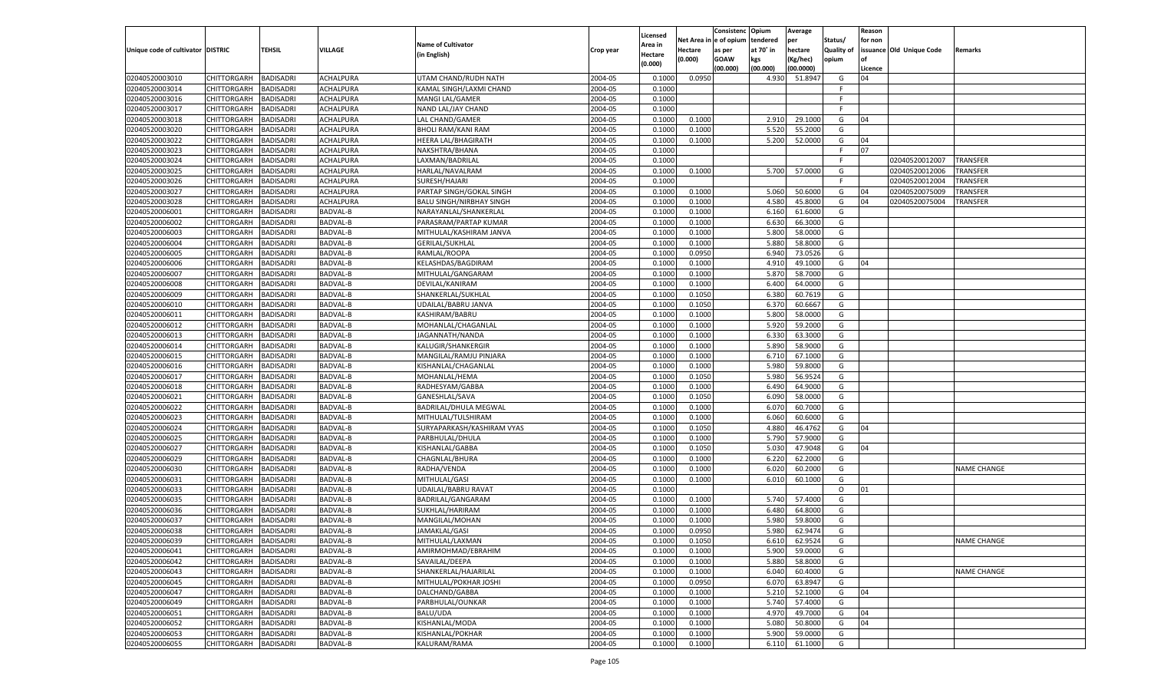|                                   |                       |                  |                 |                                 |           |                     |            | Consistenc    | Opium     | Average   |            | Reason  |                          |                    |
|-----------------------------------|-----------------------|------------------|-----------------|---------------------------------|-----------|---------------------|------------|---------------|-----------|-----------|------------|---------|--------------------------|--------------------|
|                                   |                       |                  |                 | <b>Name of Cultivator</b>       |           | Licensed<br>Area in | Net Area i | n  e of opium | tendered  | per       | Status/    | for non |                          |                    |
| Unique code of cultivator DISTRIC |                       | TEHSIL           | <b>VILLAGE</b>  | (in English)                    | Crop year | Hectare             | Hectare    | as per        | at 70° in | hectare   | Quality of |         | issuance Old Unique Code | Remarks            |
|                                   |                       |                  |                 |                                 |           | (0.000)             | (0.000)    | <b>GOAW</b>   | kgs       | (Kg/hec)  | opium      |         |                          |                    |
|                                   |                       |                  |                 |                                 |           |                     |            | (00.000)      | (00.000)  | (00.0000) |            | Licence |                          |                    |
| 02040520003010                    | CHITTORGARH           | <b>BADISADRI</b> | ACHALPURA       | UTAM CHAND/RUDH NATH            | 2004-05   | 0.1000              | 0.0950     |               | 4.930     | 51.8947   | G          | 04      |                          |                    |
| 02040520003014                    | CHITTORGARH           | BADISADRI        | ACHALPURA       | KAMAL SINGH/LAXMI CHAND         | 2004-05   | 0.1000              |            |               |           |           | E          |         |                          |                    |
| 02040520003016                    | CHITTORGARH           | BADISADRI        | ACHALPURA       | MANGI LAL/GAMER                 | 2004-05   | 0.1000              |            |               |           |           | F.         |         |                          |                    |
| 02040520003017                    | CHITTORGARH           | BADISADRI        | ACHALPURA       | NAND LAL/JAY CHAND              | 2004-05   | 0.1000              |            |               |           |           | E          |         |                          |                    |
| 02040520003018                    | CHITTORGARH           | BADISADRI        | ACHALPURA       | LAL CHAND/GAMER                 | 2004-05   | 0.1000              | 0.1000     |               | 2.910     | 29.1000   | G          | 04      |                          |                    |
| 02040520003020                    | CHITTORGARH           | BADISADRI        | ACHALPURA       | <b>BHOLI RAM/KANI RAM</b>       | 2004-05   | 0.1000              | 0.1000     |               | 5.520     | 55.2000   | G          |         |                          |                    |
| 02040520003022                    | CHITTORGARH           | BADISADRI        | ACHALPURA       | <b>HEERA LAL/BHAGIRATH</b>      | 2004-05   | 0.1000              | 0.1000     |               | 5.200     | 52.0000   | G          | 04      |                          |                    |
| 02040520003023                    | CHITTORGARH           | BADISADRI        | ACHALPURA       | NAKSHTRA/BHANA                  | 2004-05   | 0.1000              |            |               |           |           | E          | 07      |                          |                    |
| 02040520003024                    | CHITTORGARH           | BADISADRI        | ACHALPURA       | LAXMAN/BADRILAL                 | 2004-05   | 0.1000              |            |               |           |           | F.         |         | 02040520012007           | TRANSFER           |
| 02040520003025                    | CHITTORGARH           | BADISADRI        | ACHALPURA       | HARLAL/NAVALRAM                 | 2004-05   | 0.1000              | 0.1000     |               | 5.700     | 57.0000   | G          |         | 02040520012006           | TRANSFER           |
| 02040520003026                    | CHITTORGARH           | BADISADRI        | ACHALPURA       | SURESH/HAJARI                   | 2004-05   | 0.1000              |            |               |           |           | F.         |         | 02040520012004           | TRANSFER           |
| 02040520003027                    | CHITTORGARH           | BADISADRI        | ACHALPURA       | PARTAP SINGH/GOKAL SINGH        | 2004-05   | 0.1000              | 0.1000     |               | 5.060     | 50.6000   | G          | 04      | 02040520075009           | TRANSFER           |
| 02040520003028                    | CHITTORGARH           | BADISADRI        | ACHALPURA       | <b>BALU SINGH/NIRBHAY SINGH</b> | 2004-05   | 0.1000              | 0.1000     |               | 4.580     | 45.8000   | G          | 04      | 02040520075004           | TRANSFER           |
| 02040520006001                    | CHITTORGARH           | BADISADRI        | <b>BADVAL-B</b> | NARAYANLAL/SHANKERLAL           | 2004-05   | 0.1000              | 0.1000     |               | 6.160     | 61.6000   | G          |         |                          |                    |
| 02040520006002                    | CHITTORGARH           | <b>BADISADRI</b> | <b>BADVAL-B</b> | PARASRAM/PARTAP KUMAR           | 2004-05   | 0.1000              | 0.1000     |               | 6.630     | 66.3000   | G          |         |                          |                    |
| 02040520006003                    | CHITTORGARH           | BADISADRI        | BADVAL-B        | MITHULAL/KASHIRAM JANVA         | 2004-05   | 0.1000              | 0.1000     |               | 5.800     | 58.0000   | G          |         |                          |                    |
| 02040520006004                    | CHITTORGARH           | <b>BADISADRI</b> | <b>BADVAL-B</b> | <b>GERILAL/SUKHLAL</b>          | 2004-05   | 0.1000              | 0.1000     |               | 5.880     | 58.8000   | G          |         |                          |                    |
| 02040520006005                    | CHITTORGARH           | BADISADRI        | BADVAL-B        | RAMLAL/ROOPA                    | 2004-05   | 0.1000              | 0.0950     |               | 6.940     | 73.0526   | G          |         |                          |                    |
| 02040520006006                    | CHITTORGARH           | BADISADRI        | <b>BADVAL-B</b> | KELASHDAS/BAGDIRAM              | 2004-05   | 0.1000              | 0.1000     |               | 4.910     | 49.1000   | G          | 04      |                          |                    |
| 02040520006007                    | CHITTORGARH           | BADISADRI        | BADVAL-B        | MITHULAL/GANGARAM               | 2004-05   | 0.1000              | 0.1000     |               | 5.870     | 58.7000   | G          |         |                          |                    |
| 02040520006008                    | CHITTORGARH           | <b>BADISADRI</b> | <b>BADVAL-B</b> | DEVILAL/KANIRAM                 | 2004-05   | 0.1000              | 0.1000     |               | 6.400     | 64.0000   | G          |         |                          |                    |
| 02040520006009                    | CHITTORGARH           | BADISADRI        | BADVAL-B        | SHANKERLAL/SUKHLAL              | 2004-05   | 0.1000              | 0.1050     |               | 6.380     | 60.7619   | G          |         |                          |                    |
| 02040520006010                    | CHITTORGARH           | BADISADRI        | <b>BADVAL-B</b> | UDAILAL/BABRU JANVA             | 2004-05   | 0.1000              | 0.1050     |               | 6.370     | 60.6667   | G          |         |                          |                    |
| 02040520006011                    | CHITTORGARH           | BADISADRI        | BADVAL-B        | KASHIRAM/BABRU                  | 2004-05   | 0.1000              | 0.1000     |               | 5.800     | 58.0000   | G          |         |                          |                    |
| 02040520006012                    | CHITTORGARH           | <b>BADISADRI</b> | <b>BADVAL-B</b> | MOHANLAL/CHAGANLAI              | 2004-05   | 0.1000              | 0.1000     |               | 5.920     | 59.2000   | G          |         |                          |                    |
| 02040520006013                    | CHITTORGARH           | BADISADRI        | BADVAL-B        | JAGANNATH/NANDA                 | 2004-05   | 0.1000              | 0.1000     |               | 6.330     | 63.3000   | G          |         |                          |                    |
| 02040520006014                    | CHITTORGARH           | <b>BADISADRI</b> | <b>BADVAL-B</b> | KALUGIR/SHANKERGIR              | 2004-05   | 0.1000              | 0.1000     |               | 5.890     | 58.9000   | G          |         |                          |                    |
| 02040520006015                    | CHITTORGARH           | BADISADRI        | BADVAL-B        | MANGILAL/RAMJU PINJARA          | 2004-05   | 0.1000              | 0.1000     |               | 6.710     | 67.1000   | G          |         |                          |                    |
| 02040520006016                    | CHITTORGARH           | <b>BADISADRI</b> | <b>BADVAL-B</b> | KISHANLAL/CHAGANLAL             | 2004-05   | 0.1000              | 0.1000     |               | 5.980     | 59.8000   | G          |         |                          |                    |
| 02040520006017                    | CHITTORGARH           | BADISADRI        | BADVAL-B        | MOHANLAL/HEMA                   | 2004-05   | 0.1000              | 0.1050     |               | 5.980     | 56.9524   | G          |         |                          |                    |
| 02040520006018                    | CHITTORGARH           | <b>BADISADRI</b> | <b>BADVAL-B</b> | RADHESYAM/GABBA                 | 2004-05   | 0.1000              | 0.1000     |               | 6.490     | 64.9000   | G          |         |                          |                    |
| 02040520006021                    | CHITTORGARH           | <b>BADISADRI</b> | <b>BADVAL-B</b> | GANESHLAL/SAVA                  | 2004-05   | 0.1000              | 0.1050     |               | 6.090     | 58.0000   | G          |         |                          |                    |
| 02040520006022                    | CHITTORGARH           | <b>BADISADRI</b> | <b>BADVAL-B</b> | BADRILAL/DHULA MEGWAL           | 2004-05   | 0.1000              | 0.1000     |               | 6.070     | 60.7000   | G          |         |                          |                    |
| 02040520006023                    | CHITTORGARH           | BADISADRI        | <b>BADVAL-B</b> | MITHULAL/TULSHIRAM              | 2004-05   | 0.1000              | 0.1000     |               | 6.060     | 60.6000   | G          |         |                          |                    |
| 02040520006024                    | CHITTORGARH           | <b>BADISADRI</b> | <b>BADVAL-B</b> | SURYAPARKASH/KASHIRAM VYAS      | 2004-05   | 0.1000              | 0.1050     |               | 4.880     | 46.4762   | G          | 04      |                          |                    |
| 02040520006025                    | CHITTORGARH           | <b>BADISADRI</b> | <b>BADVAL-B</b> | PARBHULAL/DHULA                 | 2004-05   | 0.1000              | 0.1000     |               | 5.790     | 57.9000   | G          |         |                          |                    |
| 02040520006027                    | CHITTORGARH           | <b>BADISADRI</b> | <b>BADVAL-B</b> | KISHANLAL/GABBA                 | 2004-05   | 0.1000              | 0.1050     |               | 5.030     | 47.9048   | G          | 04      |                          |                    |
| 02040520006029                    | CHITTORGARH           | BADISADRI        | <b>BADVAL-B</b> | CHAGNLAL/BHURA                  | 2004-05   | 0.1000              | 0.1000     |               | 6.220     | 62.2000   | G          |         |                          |                    |
| 02040520006030                    | CHITTORGARH           | <b>BADISADRI</b> | <b>BADVAL-B</b> | RADHA/VENDA                     | 2004-05   | 0.1000              | 0.1000     |               | 6.020     | 60.2000   | G          |         |                          | <b>NAME CHANGE</b> |
| 02040520006031                    | CHITTORGARH           | <b>BADISADRI</b> | <b>BADVAL-B</b> | MITHULAL/GASI                   | 2004-05   | 0.1000              | 0.1000     |               | 6.010     | 60.1000   | G          |         |                          |                    |
| 02040520006033                    | CHITTORGARH           | <b>BADISADRI</b> | <b>BADVAL-B</b> | UDAILAL/BABRU RAVAT             | 2004-05   | 0.1000              |            |               |           |           | $\circ$    | 01      |                          |                    |
| 02040520006035                    | CHITTORGARH           | BADISADRI        | <b>BADVAL-B</b> | BADRILAL/GANGARAM               | 2004-05   | 0.1000              | 0.1000     |               | 5.740     | 57.4000   | G          |         |                          |                    |
| 02040520006036                    | CHITTORGARH           | BADISADRI        | <b>BADVAL-B</b> | SUKHLAL/HARIRAM                 | 2004-05   | 0.1000              | 0.1000     |               | 6.480     | 64.8000   | G          |         |                          |                    |
| 02040520006037                    | CHITTORGARH           | BADISADRI        | <b>BADVAL-B</b> | MANGILAL/MOHAN                  | 2004-05   | 0.1000              | 0.1000     |               | 5.980     | 59.8000   | G          |         |                          |                    |
| 02040520006038                    | CHITTORGARH           | <b>BADISADRI</b> | <b>BADVAL-B</b> | JAMAKLAL/GASI                   | 2004-05   | 0.1000              | 0.0950     |               | 5.980     | 62.9474   | G          |         |                          |                    |
| 02040520006039                    | CHITTORGARH BADISADRI |                  | <b>BADVAL-B</b> | MITHULAL/LAXMAN                 | 2004-05   | 0.1000              | 0.1050     |               | 6.610     | 62.9524   | G          |         |                          | <b>NAME CHANGE</b> |
| 02040520006041                    | <b>CHITTORGARH</b>    | <b>BADISADRI</b> | <b>BADVAL-B</b> | AMIRMOHMAD/EBRAHIM              | 2004-05   | 0.1000              | 0.1000     |               | 5.900     | 59.0000   | G          |         |                          |                    |
| 02040520006042                    | CHITTORGARH           | <b>BADISADRI</b> | <b>BADVAL-B</b> | SAVAILAL/DEEPA                  | 2004-05   | 0.1000              | 0.1000     |               | 5.880     | 58.8000   | G          |         |                          |                    |
| 02040520006043                    | CHITTORGARH           | <b>BADISADRI</b> | <b>BADVAL-B</b> | SHANKERLAL/HAJARILAL            | 2004-05   | 0.1000              | 0.1000     |               | 6.040     | 60.4000   | G          |         |                          | <b>NAME CHANGE</b> |
| 02040520006045                    | CHITTORGARH           | <b>BADISADRI</b> | <b>BADVAL-B</b> | MITHULAL/POKHAR JOSHI           | 2004-05   |                     | 0.0950     |               | 6.070     | 63.8947   | G          |         |                          |                    |
| 02040520006047                    | CHITTORGARH           | <b>BADISADRI</b> | <b>BADVAL-B</b> | DALCHAND/GABBA                  | 2004-05   | 0.1000<br>0.1000    | 0.1000     |               | 5.210     | 52.1000   | G          | 04      |                          |                    |
| 02040520006049                    | CHITTORGARH           | <b>BADISADRI</b> | <b>BADVAL-B</b> | PARBHULAL/OUNKAR                | 2004-05   |                     | 0.1000     |               | 5.740     | 57.4000   | G          |         |                          |                    |
|                                   |                       | <b>BADISADRI</b> | <b>BADVAL-B</b> |                                 | 2004-05   | 0.1000              | 0.1000     |               |           |           |            |         |                          |                    |
| 02040520006051                    | CHITTORGARH           |                  |                 | BALU/UDA                        |           | 0.1000              |            |               | 4.970     | 49.7000   | G          | 04      |                          |                    |
| 02040520006052                    | CHITTORGARH           | <b>BADISADRI</b> | <b>BADVAL-B</b> | KISHANLAL/MODA                  | 2004-05   | 0.1000              | 0.1000     |               | 5.080     | 50.8000   | G          | 04      |                          |                    |
| 02040520006053                    | CHITTORGARH           | <b>BADISADRI</b> | <b>BADVAL-B</b> | KISHANLAL/POKHAR                | 2004-05   | 0.1000              | 0.1000     |               | 5.900     | 59.0000   | G          |         |                          |                    |
| 02040520006055                    | <b>CHITTORGARH</b>    | <b>BADISADRI</b> | <b>BADVAL-B</b> | KALURAM/RAMA                    | 2004-05   | 0.1000              | 0.1000     |               | 6.110     | 61.1000   | G          |         |                          |                    |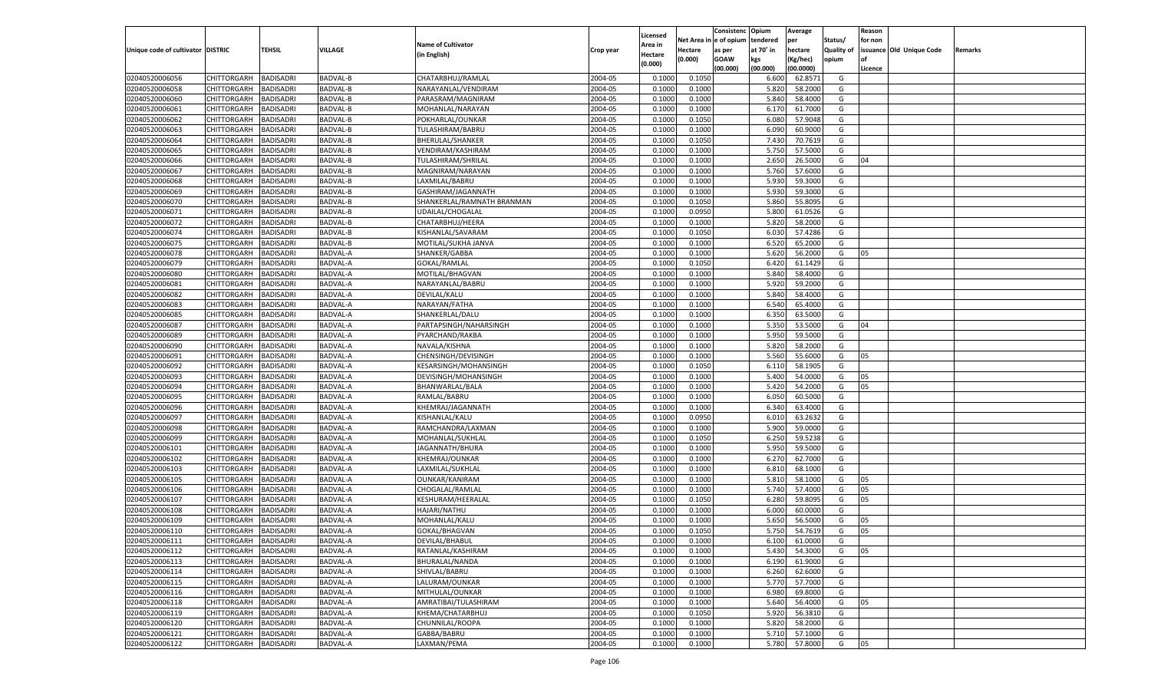|                                   |                       |                  |                 |                            |           |          |            | Consistenc   | Opium     | Average   |                   | Reason  |                          |         |
|-----------------------------------|-----------------------|------------------|-----------------|----------------------------|-----------|----------|------------|--------------|-----------|-----------|-------------------|---------|--------------------------|---------|
|                                   |                       |                  |                 |                            |           | Licensed | Net Area i | n e of opium | tendered  | per       | Status/           | for non |                          |         |
| Unique code of cultivator DISTRIC |                       | TEHSIL           | VILLAGE         | <b>Name of Cultivator</b>  | Crop year | Area in  | Hectare    | as per       | at 70° in | hectare   | <b>Quality of</b> |         | issuance Old Unique Code | Remarks |
|                                   |                       |                  |                 | (in English)               |           | Hectare  | (0.000)    | <b>GOAW</b>  | kgs       | (Kg/hec)  | opium             |         |                          |         |
|                                   |                       |                  |                 |                            |           | (0.000)  |            | (00.000)     | (00.000)  | (00.0000) |                   | Licence |                          |         |
| 02040520006056                    | CHITTORGARH           | BADISADRI        | BADVAL-B        | CHATARBHUJ/RAMLAL          | 2004-05   | 0.1000   | 0.1050     |              | 6.600     | 62.8571   | G                 |         |                          |         |
| 02040520006058                    | CHITTORGARH           | BADISADRI        | BADVAL-B        | NARAYANLAL/VENDIRAM        | 2004-05   | 0.1000   | 0.1000     |              | 5.820     | 58.2000   | G                 |         |                          |         |
| 02040520006060                    | CHITTORGARH           | BADISADRI        | BADVAL-B        | PARASRAM/MAGNIRAM          | 2004-05   | 0.1000   | 0.1000     |              | 5.840     | 58.4000   | G                 |         |                          |         |
| 02040520006061                    | CHITTORGARH           | BADISADRI        | BADVAL-B        | MOHANLAL/NARAYAN           | 2004-05   | 0.1000   | 0.1000     |              | 6.170     | 61.7000   | G                 |         |                          |         |
| 02040520006062                    | CHITTORGARH           | BADISADRI        | BADVAL-B        | POKHARLAL/OUNKAR           | 2004-05   | 0.1000   | 0.1050     |              | 6.080     | 57.9048   | G                 |         |                          |         |
| 02040520006063                    | CHITTORGARH           | BADISADRI        | BADVAL-B        | TULASHIRAM/BABRU           | 2004-05   | 0.1000   | 0.1000     |              | 6.090     | 60.9000   | G                 |         |                          |         |
| 02040520006064                    | CHITTORGARH           | BADISADRI        | BADVAL-B        | <b>BHERULAL/SHANKER</b>    | 2004-05   | 0.1000   | 0.1050     |              | 7.430     | 70.7619   | G                 |         |                          |         |
| 02040520006065                    | CHITTORGARH           | BADISADRI        | BADVAL-B        | VENDIRAM/KASHIRAM          | 2004-05   | 0.1000   | 0.1000     |              | 5.750     | 57.5000   | G                 |         |                          |         |
| 02040520006066                    | CHITTORGARH           | BADISADRI        | <b>BADVAL-B</b> | TULASHIRAM/SHRILAL         | 2004-05   | 0.1000   | 0.1000     |              | 2.650     | 26.5000   | G                 | 04      |                          |         |
| 02040520006067                    |                       |                  |                 |                            | 2004-05   |          |            |              |           |           | G                 |         |                          |         |
|                                   | CHITTORGARH           | BADISADRI        | BADVAL-B        | MAGNIRAM/NARAYAN           |           | 0.1000   | 0.1000     |              | 5.760     | 57.6000   |                   |         |                          |         |
| 02040520006068                    | CHITTORGARH           | BADISADRI        | BADVAL-B        | LAXMILAL/BABRU             | 2004-05   | 0.1000   | 0.1000     |              | 5.930     | 59.3000   | G                 |         |                          |         |
| 02040520006069                    | CHITTORGARH           | BADISADRI        | BADVAL-B        | GASHIRAM/JAGANNATH         | 2004-05   | 0.1000   | 0.1000     |              | 5.930     | 59.3000   | G                 |         |                          |         |
| 02040520006070                    | CHITTORGARH           | BADISADRI        | <b>BADVAL-B</b> | SHANKERLAL/RAMNATH BRANMAN | 2004-05   | 0.1000   | 0.1050     |              | 5.860     | 55.8095   | G                 |         |                          |         |
| 02040520006071                    | CHITTORGARH           | BADISADRI        | BADVAL-B        | UDAILAL/CHOGALAL           | 2004-05   | 0.1000   | 0.0950     |              | 5.800     | 61.0526   | G                 |         |                          |         |
| 02040520006072                    | CHITTORGARH           | BADISADRI        | <b>BADVAL-B</b> | CHATARBHUJ/HEERA           | 2004-05   | 0.1000   | 0.1000     |              | 5.820     | 58.2000   | G                 |         |                          |         |
| 02040520006074                    | CHITTORGARH           | BADISADRI        | BADVAL-B        | KISHANLAL/SAVARAM          | 2004-05   | 0.1000   | 0.1050     |              | 6.030     | 57.4286   | G                 |         |                          |         |
| 02040520006075                    | CHITTORGARH           | <b>BADISADRI</b> | <b>BADVAL-B</b> | MOTILAL/SUKHA JANVA        | 2004-05   | 0.1000   | 0.1000     |              | 6.520     | 65.2000   | G                 |         |                          |         |
| 02040520006078                    | CHITTORGARH           | BADISADRI        | BADVAL-A        | SHANKER/GABBA              | 2004-05   | 0.1000   | 0.1000     |              | 5.620     | 56.2000   | G                 | 05      |                          |         |
| 02040520006079                    | CHITTORGARH           | BADISADRI        | <b>BADVAL-A</b> | GOKAL/RAMLAL               | 2004-05   | 0.1000   | 0.1050     |              | 6.420     | 61.1429   | G                 |         |                          |         |
| 02040520006080                    | CHITTORGARH           | BADISADRI        | BADVAL-A        | MOTILAL/BHAGVAN            | 2004-05   | 0.1000   | 0.1000     |              | 5.840     | 58.4000   | G                 |         |                          |         |
| 02040520006081                    | CHITTORGARH           | <b>BADISADRI</b> | BADVAL-A        | NARAYANLAL/BABRU           | 2004-05   | 0.1000   | 0.1000     |              | 5.920     | 59.2000   | G                 |         |                          |         |
| 02040520006082                    | CHITTORGARH           | BADISADRI        | BADVAL-A        | DEVILAL/KALU               | 2004-05   | 0.1000   | 0.1000     |              | 5.840     | 58.4000   | G                 |         |                          |         |
| 02040520006083                    | CHITTORGARH           | BADISADRI        | <b>BADVAL-A</b> | NARAYAN/FATHA              | 2004-05   | 0.1000   | 0.1000     |              | 6.540     | 65.4000   | G                 |         |                          |         |
| 02040520006085                    | CHITTORGARH           | BADISADRI        | BADVAL-A        | SHANKERLAL/DALU            | 2004-05   | 0.1000   | 0.1000     |              | 6.350     | 63.5000   | G                 |         |                          |         |
| 02040520006087                    | CHITTORGARH           | <b>BADISADRI</b> | BADVAL-A        | PARTAPSINGH/NAHARSINGH     | 2004-05   | 0.1000   | 0.1000     |              | 5.350     | 53.5000   | G                 | 04      |                          |         |
| 02040520006089                    | CHITTORGARH           | BADISADRI        | BADVAL-A        | PYARCHAND/RAKBA            | 2004-05   | 0.1000   | 0.1000     |              | 5.950     | 59.5000   | G                 |         |                          |         |
| 02040520006090                    | CHITTORGARH           | BADISADRI        | <b>BADVAL-A</b> | NAVALA/KISHNA              | 2004-05   | 0.1000   | 0.1000     |              | 5.820     | 58.2000   | G                 |         |                          |         |
| 02040520006091                    | CHITTORGARH           | BADISADRI        | BADVAL-A        | CHENSINGH/DEVISINGH        | 2004-05   | 0.1000   | 0.1000     |              | 5.560     | 55.6000   | G                 | 05      |                          |         |
| 02040520006092                    | CHITTORGARH           | BADISADRI        | BADVAL-A        | KESARSINGH/MOHANSINGH      | 2004-05   | 0.1000   | 0.1050     |              | 6.110     | 58.1905   | G                 |         |                          |         |
| 02040520006093                    | CHITTORGARH           | BADISADRI        | BADVAL-A        | DEVISINGH/MOHANSINGH       | 2004-05   | 0.1000   | 0.1000     |              | 5.400     | 54.0000   | G                 | 05      |                          |         |
| 02040520006094                    | CHITTORGARH           | <b>BADISADRI</b> | <b>BADVAL-A</b> | BHANWARLAL/BALA            | 2004-05   | 0.1000   | 0.1000     |              | 5.420     | 54.2000   | G                 | 05      |                          |         |
| 02040520006095                    | CHITTORGARH           | <b>BADISADRI</b> | BADVAL-A        | RAMLAL/BABRU               | 2004-05   | 0.1000   | 0.1000     |              | 6.050     | 60.5000   | G                 |         |                          |         |
|                                   |                       | <b>BADISADRI</b> | <b>BADVAL-A</b> |                            | 2004-05   |          |            |              |           | 63.4000   |                   |         |                          |         |
| 02040520006096                    | CHITTORGARH           |                  |                 | KHEMRAJ/JAGANNATH          |           | 0.1000   | 0.1000     |              | 6.340     |           | G                 |         |                          |         |
| 02040520006097                    | CHITTORGARH           | BADISADRI        | BADVAL-A        | KISHANLAL/KALU             | 2004-05   | 0.1000   | 0.0950     |              | 6.010     | 63.2632   | G                 |         |                          |         |
| 02040520006098                    | CHITTORGARH           | BADISADRI        | <b>BADVAL-A</b> | RAMCHANDRA/LAXMAN          | 2004-05   | 0.1000   | 0.1000     |              | 5.900     | 59.0000   | G                 |         |                          |         |
| 02040520006099                    | CHITTORGARH           | <b>BADISADRI</b> | BADVAL-A        | MOHANLAL/SUKHLAL           | 2004-05   | 0.1000   | 0.1050     |              | 6.250     | 59.5238   | G                 |         |                          |         |
| 02040520006101                    | CHITTORGARH           | <b>BADISADRI</b> | <b>BADVAL-A</b> | JAGANNATH/BHURA            | 2004-05   | 0.1000   | 0.1000     |              | 5.950     | 59.5000   | G                 |         |                          |         |
| 02040520006102                    | CHITTORGARH           | BADISADRI        | BADVAL-A        | <b>KHEMRAJ/OUNKAR</b>      | 2004-05   | 0.1000   | 0.1000     |              | 6.270     | 62.7000   | G                 |         |                          |         |
| 02040520006103                    | CHITTORGARH           | BADISADRI        | <b>BADVAL-A</b> | LAXMILAL/SUKHLAL           | 2004-05   | 0.1000   | 0.1000     |              | 6.810     | 68.1000   | G                 |         |                          |         |
| 02040520006105                    | CHITTORGARH           | <b>BADISADRI</b> | BADVAL-A        | <b>OUNKAR/KANIRAM</b>      | 2004-05   | 0.1000   | 0.1000     |              | 5.810     | 58.1000   | G                 | 05      |                          |         |
| 02040520006106                    | CHITTORGARH           | <b>BADISADRI</b> | <b>BADVAL-A</b> | CHOGALAL/RAMLAL            | 2004-05   | 0.1000   | 0.1000     |              | 5.740     | 57.4000   | G                 | 05      |                          |         |
| 02040520006107                    | CHITTORGARH           | BADISADRI        | BADVAL-A        | KESHURAM/HEERALAI          | 2004-05   | 0.1000   | 0.1050     |              | 6.280     | 59.8095   | G                 | 05      |                          |         |
| 02040520006108                    | CHITTORGARH           | BADISADRI        | <b>BADVAL-A</b> | <b>HAJARI/NATHU</b>        | 2004-05   | 0.1000   | 0.1000     |              | 6.000     | 60.0000   | G                 |         |                          |         |
| 02040520006109                    | CHITTORGARH           | BADISADRI        | BADVAL-A        | MOHANLAL/KALU              | 2004-05   | 0.1000   | 0.1000     |              | 5.650     | 56.5000   | G                 | 05      |                          |         |
| 02040520006110                    | CHITTORGARH           | <b>BADISADRI</b> | BADVAL-A        | GOKAL/BHAGVAN              | 2004-05   | 0.1000   | 0.1050     |              | 5.750     | 54.7619   | G                 | 05      |                          |         |
| 02040520006111                    | CHITTORGARH BADISADRI |                  | <b>BADVAL-A</b> | DEVILAL/BHABUL             | 2004-05   | 0.1000   | 0.1000     |              | 6.100     | 61.0000   | G                 |         |                          |         |
| 02040520006112                    | <b>CHITTORGARH</b>    | <b>BADISADRI</b> | <b>BADVAL-A</b> | RATANLAL/KASHIRAM          | 2004-05   | 0.1000   | 0.1000     |              | 5.430     | 54.3000   | G                 | 05      |                          |         |
| 02040520006113                    | CHITTORGARH           | <b>BADISADRI</b> | BADVAL-A        | BHURALAL/NANDA             | 2004-05   | 0.1000   | 0.1000     |              | 6.190     | 61.9000   | G                 |         |                          |         |
| 02040520006114                    | <b>CHITTORGARH</b>    | <b>BADISADRI</b> | <b>BADVAL-A</b> | SHIVLAL/BABRU              | 2004-05   | 0.1000   | 0.1000     |              | 6.260     | 62.6000   | G                 |         |                          |         |
| 02040520006115                    | <b>CHITTORGARH</b>    | <b>BADISADRI</b> | <b>BADVAL-A</b> | LALURAM/OUNKAR             | 2004-05   | 0.1000   | 0.1000     |              | 5.770     | 57.7000   | G                 |         |                          |         |
| 02040520006116                    | <b>CHITTORGARH</b>    | <b>BADISADRI</b> | <b>BADVAL-A</b> | MITHULAL/OUNKAR            | 2004-05   | 0.1000   | 0.1000     |              | 6.980     | 69.8000   | G                 |         |                          |         |
| 02040520006118                    | CHITTORGARH           | <b>BADISADRI</b> | <b>BADVAL-A</b> | AMRATIBAI/TULASHIRAM       | 2004-05   | 0.1000   | 0.1000     |              | 5.640     | 56.4000   | G                 | 05      |                          |         |
| 02040520006119                    | CHITTORGARH           | <b>BADISADRI</b> | <b>BADVAL-A</b> | KHEMA/CHATARBHUJ           | 2004-05   | 0.1000   | 0.1050     |              | 5.920     | 56.3810   | G                 |         |                          |         |
| 02040520006120                    | CHITTORGARH           | <b>BADISADRI</b> | <b>BADVAL-A</b> | CHUNNILAL/ROOPA            | 2004-05   | 0.1000   | 0.1000     |              | 5.820     | 58.2000   | G                 |         |                          |         |
|                                   |                       |                  |                 |                            |           |          |            |              |           |           |                   |         |                          |         |
| 02040520006121                    | CHITTORGARH           | <b>BADISADRI</b> | <b>BADVAL-A</b> | GABBA/BABRU                | 2004-05   | 0.1000   | 0.1000     |              | 5.710     | 57.1000   | G                 |         |                          |         |
| 02040520006122                    | <b>CHITTORGARH</b>    | <b>BADISADRI</b> | <b>BADVAL-A</b> | LAXMAN/PEMA                | 2004-05   | 0.1000   | 0.1000     |              | 5.780     | 57.8000   | G                 | 05      |                          |         |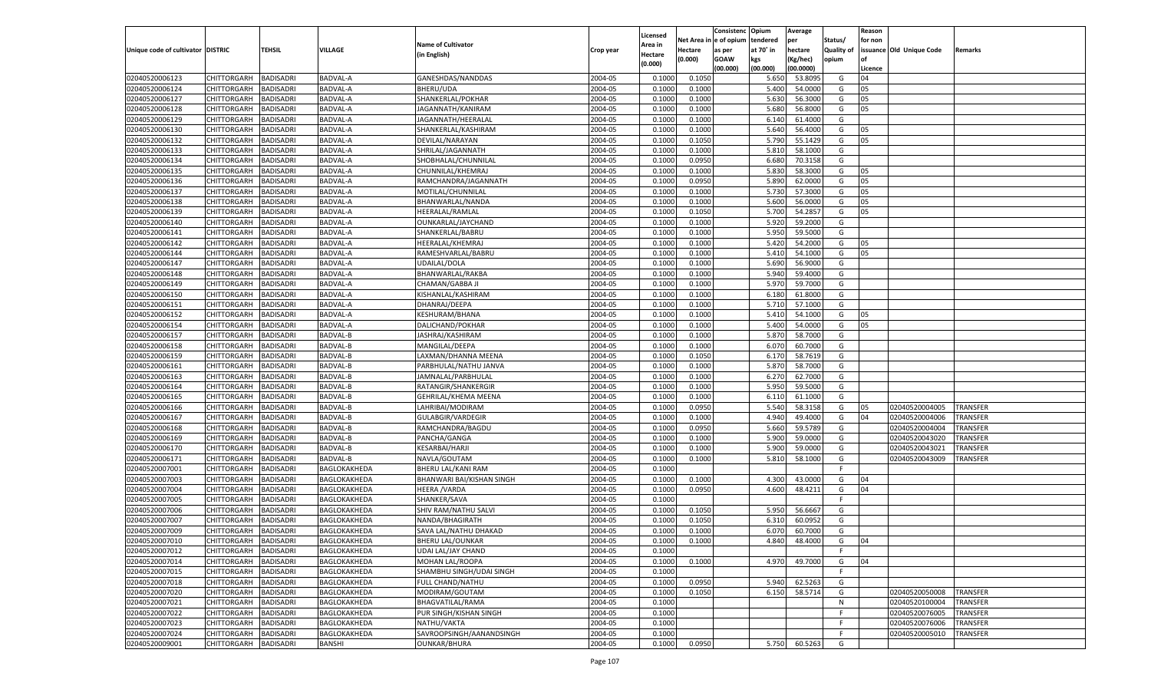|                                   |                                   |                                      |                 |                           |           |                     |            | Consistenc    | Opium     | Average   |                   | Reason  |                                  |                      |
|-----------------------------------|-----------------------------------|--------------------------------------|-----------------|---------------------------|-----------|---------------------|------------|---------------|-----------|-----------|-------------------|---------|----------------------------------|----------------------|
|                                   |                                   |                                      |                 | <b>Name of Cultivator</b> |           | Licensed<br>Area in | Net Area i | n  e of opium | tendered  | per       | Status/           | for non |                                  |                      |
| Unique code of cultivator DISTRIC |                                   | TEHSIL                               | VILLAGE         | (in English)              | Crop year | Hectare             | Hectare    | as per        | at 70° in | hectare   | <b>Quality of</b> |         | issuance Old Unique Code         | Remarks              |
|                                   |                                   |                                      |                 |                           |           | (0.000)             | (0.000)    | <b>GOAW</b>   | kgs       | (Kg/hec)  | opium             |         |                                  |                      |
|                                   |                                   |                                      |                 |                           |           |                     |            | (00.000)      | (00.000)  | (00.0000) |                   | Licence |                                  |                      |
| 02040520006123                    | CHITTORGARH                       | BADISADRI                            | <b>BADVAL-A</b> | GANESHDAS/NANDDAS         | 2004-05   | 0.1000              | 0.1050     |               | 5.650     | 53.8095   | G                 | 04      |                                  |                      |
| 02040520006124                    | CHITTORGARH                       | BADISADRI                            | BADVAL-A        | <b>BHERU/UDA</b>          | 2004-05   | 0.100               | 0.1000     |               | 5.400     | 54.0000   | G                 | 05      |                                  |                      |
| 02040520006127                    | CHITTORGARH                       | BADISADRI                            | BADVAL-A        | SHANKERLAL/POKHAR         | 2004-05   | 0.1000              | 0.1000     |               | 5.630     | 56.3000   | G                 | 05      |                                  |                      |
| 02040520006128                    | CHITTORGARH                       | BADISADRI                            | BADVAL-A        | JAGANNATH/KANIRAM         | 2004-05   | 0.1000              | 0.1000     |               | 5.680     | 56.8000   | G                 | 05      |                                  |                      |
| 02040520006129                    | CHITTORGARH                       | BADISADRI                            | BADVAL-A        | JAGANNATH/HEERALAL        | 2004-05   | 0.1000              | 0.1000     |               | 6.140     | 61.4000   | G                 |         |                                  |                      |
| 02040520006130                    | CHITTORGARH                       | BADISADRI                            | BADVAL-A        | SHANKERLAL/KASHIRAM       | 2004-05   | 0.1000              | 0.1000     |               | 5.640     | 56.4000   | G                 | 05      |                                  |                      |
| 02040520006132                    | CHITTORGARH                       | BADISADRI                            | BADVAL-A        | DEVILAL/NARAYAN           | 2004-05   | 0.1000              | 0.1050     |               | 5.790     | 55.1429   | G                 | 05      |                                  |                      |
| 02040520006133                    | CHITTORGARH                       | BADISADRI                            | BADVAL-A        | SHRILAL/JAGANNATH         | 2004-05   | 0.1000              | 0.1000     |               | 5.810     | 58.1000   | G                 |         |                                  |                      |
| 02040520006134                    | CHITTORGARH                       | BADISADRI                            | BADVAL-A        | SHOBHALAL/CHUNNILAI       | 2004-05   | 0.1000              | 0.0950     |               | 6.680     | 70.3158   | G                 |         |                                  |                      |
| 02040520006135                    | CHITTORGARH                       | BADISADRI                            | BADVAL-A        | CHUNNILAL/KHEMRAJ         | 2004-05   | 0.1000              | 0.1000     |               | 5.830     | 58.3000   | G                 | 05      |                                  |                      |
| 02040520006136                    | CHITTORGARH                       | BADISADRI                            | BADVAL-A        | RAMCHANDRA/JAGANNATH      | 2004-05   | 0.1000              | 0.0950     |               | 5.890     | 62.0000   | G                 | 05      |                                  |                      |
| 02040520006137                    | CHITTORGARH                       | BADISADRI                            | BADVAL-A        | MOTILAL/CHUNNILAL         | 2004-05   | 0.1000              | 0.1000     |               | 5.730     | 57.3000   | G                 | 05      |                                  |                      |
| 02040520006138                    | CHITTORGARH                       | BADISADRI                            | BADVAL-A        | BHANWARLAL/NANDA          | 2004-05   | 0.1000              | 0.1000     |               | 5.600     | 56.0000   | G                 | 05      |                                  |                      |
| 02040520006139                    | CHITTORGARH                       | BADISADRI                            | BADVAL-A        | HEERALAL/RAMLAL           | 2004-05   | 0.1000              | 0.1050     |               | 5.700     | 54.2857   | G                 | 05      |                                  |                      |
| 02040520006140                    | CHITTORGARH                       | BADISADRI                            | BADVAL-A        | OUNKARLAL/JAYCHAND        | 2004-05   | 0.1000              | 0.1000     |               | 5.920     | 59.2000   | G                 |         |                                  |                      |
| 02040520006141                    | CHITTORGARH                       | BADISADRI                            | BADVAL-A        | SHANKERLAL/BABRU          | 2004-05   | 0.1000              | 0.1000     |               | 5.950     | 59.5000   | G                 |         |                                  |                      |
| 02040520006142                    | CHITTORGARH                       | <b>BADISADRI</b>                     | BADVAL-A        | HEERALAL/KHEMRAJ          | 2004-05   | 0.1000              | 0.1000     |               | 5.420     | 54.2000   | G                 | 05      |                                  |                      |
| 02040520006144                    | CHITTORGARH                       | BADISADRI                            | BADVAL-A        | RAMESHVARLAL/BABRU        | 2004-05   | 0.1000              | 0.1000     |               | 5.410     | 54.1000   | G                 | 05      |                                  |                      |
| 02040520006147                    | CHITTORGARH                       | BADISADRI                            | BADVAL-A        | UDAILAL/DOLA              | 2004-05   | 0.1000              | 0.1000     |               | 5.690     | 56.9000   | G                 |         |                                  |                      |
| 02040520006148                    | CHITTORGARH                       | BADISADRI                            | BADVAL-A        | BHANWARLAL/RAKBA          | 2004-05   | 0.1000              | 0.1000     |               | 5.940     | 59.4000   | G                 |         |                                  |                      |
| 02040520006149                    | CHITTORGARH                       | <b>BADISADRI</b>                     | BADVAL-A        | CHAMAN/GABBA JI           | 2004-05   | 0.1000              | 0.1000     |               | 5.970     | 59.7000   | G                 |         |                                  |                      |
| 02040520006150                    | CHITTORGARH                       | BADISADRI                            | BADVAL-A        | KISHANLAL/KASHIRAM        | 2004-05   | 0.1000              | 0.1000     |               | 6.180     | 61.8000   | G                 |         |                                  |                      |
| 02040520006151                    | CHITTORGARH                       | BADISADRI                            | BADVAL-A        | DHANRAJ/DEEPA             | 2004-05   | 0.1000              | 0.1000     |               | 5.710     | 57.1000   | G                 |         |                                  |                      |
| 02040520006152                    | CHITTORGARH                       | BADISADRI                            | BADVAL-A        | KESHURAM/BHANA            | 2004-05   | 0.1000              | 0.1000     |               | 5.410     | 54.1000   | G                 | 05      |                                  |                      |
| 02040520006154                    | CHITTORGARH                       | <b>BADISADRI</b>                     | BADVAL-A        | DALICHAND/POKHAR          | 2004-05   | 0.1000              | 0.1000     |               | 5.400     | 54.0000   | G                 | 05      |                                  |                      |
| 02040520006157                    | CHITTORGARH                       | BADISADRI                            | BADVAL-B        | JASHRAJ/KASHIRAM          | 2004-05   | 0.1000              | 0.1000     |               | 5.870     | 58.7000   | G                 |         |                                  |                      |
| 02040520006158                    | CHITTORGARH                       | BADISADRI                            | <b>BADVAL-B</b> | MANGILAL/DEEPA            | 2004-05   | 0.1000              | 0.1000     |               | 6.070     | 60.7000   | G                 |         |                                  |                      |
| 02040520006159                    | CHITTORGARH                       | BADISADRI                            | BADVAL-B        | LAXMAN/DHANNA MEENA       | 2004-05   | 0.1000              | 0.1050     |               | 6.170     | 58.7619   | G                 |         |                                  |                      |
| 02040520006161                    | CHITTORGARH                       | BADISADRI                            | <b>BADVAL-B</b> | PARBHULAL/NATHU JANVA     | 2004-05   | 0.1000              | 0.1000     |               | 5.870     | 58.7000   | G                 |         |                                  |                      |
| 02040520006163                    | CHITTORGARH                       | BADISADRI                            | <b>BADVAL-B</b> | JAMNALAL/PARBHULAL        | 2004-05   | 0.1000              | 0.1000     |               | 6.270     | 62.7000   | G                 |         |                                  |                      |
| 02040520006164                    | CHITTORGARH                       | <b>BADISADRI</b>                     | <b>BADVAL-B</b> | RATANGIR/SHANKERGIR       | 2004-05   | 0.1000              | 0.1000     |               | 5.950     | 59.5000   | G                 |         |                                  |                      |
| 02040520006165                    | CHITTORGARH                       | <b>BADISADRI</b>                     | <b>BADVAL-B</b> | GEHRILAL/KHEMA MEENA      | 2004-05   | 0.1000              | 0.1000     |               | 6.110     | 61.1000   | G                 |         |                                  |                      |
| 02040520006166                    | CHITTORGARH                       | <b>BADISADRI</b>                     | <b>BADVAL-B</b> | LAHRIBAI/MODIRAM          | 2004-05   | 0.1000              | 0.0950     |               | 5.540     | 58.3158   | G                 | 05      | 02040520004005                   | TRANSFER             |
| 02040520006167                    | CHITTORGARH                       | BADISADRI                            | <b>BADVAL-B</b> | <b>GULABGIR/VARDEGIR</b>  | 2004-05   | 0.1000              | 0.1000     |               | 4.940     | 49.4000   | G                 | 04      | 02040520004006                   | TRANSFER             |
| 02040520006168                    | CHITTORGARH                       | <b>BADISADRI</b>                     | <b>BADVAL-B</b> | RAMCHANDRA/BAGDU          | 2004-05   | 0.1000              | 0.0950     |               | 5.660     | 59.5789   | G                 |         | 02040520004004                   | TRANSFER             |
| 02040520006169                    | CHITTORGARH                       | <b>BADISADRI</b>                     | <b>BADVAL-B</b> | PANCHA/GANGA              | 2004-05   | 0.1000              | 0.1000     |               | 5.900     | 59.0000   | G                 |         | 02040520043020                   | TRANSFER             |
| 02040520006170                    | CHITTORGARH                       | <b>BADISADRI</b>                     | <b>BADVAL-B</b> | <b>KESARBAI/HARJI</b>     | 2004-05   | 0.1000              | 0.1000     |               | 5.900     | 59.0000   | G                 |         | 02040520043021                   | TRANSFER             |
| 02040520006171                    | CHITTORGARH                       | BADISADRI                            | BADVAL-B        | NAVLA/GOUTAM              | 2004-05   | 0.1000              | 0.1000     |               | 5.810     | 58.1000   | G                 |         | 02040520043009                   | TRANSFER             |
| 02040520007001                    | CHITTORGARH                       | <b>BADISADRI</b>                     | BAGLOKAKHEDA    | BHERU LAL/KANI RAM        | 2004-05   | 0.1000              |            |               |           |           | F.                |         |                                  |                      |
| 02040520007003                    | CHITTORGARH                       | <b>BADISADRI</b>                     | BAGLOKAKHEDA    | BHANWARI BAI/KISHAN SINGH | 2004-05   | 0.1000              | 0.1000     |               | 4.300     | 43.0000   | G                 | 04      |                                  |                      |
| 02040520007004                    | CHITTORGARH                       | <b>BADISADRI</b>                     | BAGLOKAKHEDA    | <b>HEERA / VARDA</b>      | 2004-05   | 0.1000              | 0.0950     |               | 4.600     | 48.4211   | G                 | 04      |                                  |                      |
| 02040520007005                    | CHITTORGARH                       | BADISADRI                            | BAGLOKAKHEDA    | SHANKER/SAVA              | 2004-05   | 0.1000              |            |               |           |           | F                 |         |                                  |                      |
| 02040520007006                    | CHITTORGARH                       | BADISADRI                            | BAGLOKAKHEDA    | SHIV RAM/NATHU SALVI      | 2004-05   | 0.1000              | 0.1050     |               | 5.950     | 56.6667   | G                 |         |                                  |                      |
| 02040520007007                    | CHITTORGARH                       | BADISADRI                            | BAGLOKAKHEDA    | NANDA/BHAGIRATH           | 2004-05   | 0.1000              | 0.1050     |               | 6.310     | 60.0952   | G                 |         |                                  |                      |
| 02040520007009                    | CHITTORGARH                       | <b>BADISADRI</b>                     | BAGLOKAKHEDA    | SAVA LAL/NATHU DHAKAD     | 2004-05   | 0.1000              | 0.1000     |               | 6.070     | 60.7000   | G                 |         |                                  |                      |
| 02040520007010                    | CHITTORGARH BADISADRI             |                                      | BAGLOKAKHEDA    | <b>BHERU LAL/OUNKAR</b>   | 2004-05   | 0.1000              | 0.1000     |               | 4.840     | 48.4000   | G                 | 04      |                                  |                      |
| 02040520007012                    | <b>CHITTORGARH</b>                | <b>BADISADRI</b>                     | BAGLOKAKHEDA    | <b>UDAI LAL/JAY CHAND</b> | 2004-05   | 0.1000              |            |               |           |           | F.                |         |                                  |                      |
| 02040520007014                    | <b>CHITTORGARH</b>                | <b>BADISADRI</b>                     | BAGLOKAKHEDA    | MOHAN LAL/ROOPA           | 2004-05   | 0.1000              | 0.1000     |               | 4.970     | 49.7000   | G                 | 04      |                                  |                      |
| 02040520007015                    | CHITTORGARH                       | <b>BADISADRI</b>                     | BAGLOKAKHEDA    | SHAMBHU SINGH/UDAI SINGH  | 2004-05   | 0.1000              |            |               |           |           | F                 |         |                                  |                      |
| 02040520007018                    | <b>CHITTORGARH</b>                | <b>BADISADRI</b>                     | BAGLOKAKHEDA    | FULL CHAND/NATHU          | 2004-05   | 0.1000              | 0.0950     |               | 5.940     | 62.5263   | G                 |         |                                  |                      |
| 02040520007020                    | CHITTORGARH                       | <b>BADISADRI</b>                     | BAGLOKAKHEDA    | MODIRAM/GOUTAM            | 2004-05   | 0.1000              | 0.1050     |               | 6.150     | 58.5714   | G                 |         | 02040520050008                   | <b>TRANSFER</b>      |
| 02040520007021                    | <b>CHITTORGARH</b>                | <b>BADISADRI</b>                     | BAGLOKAKHEDA    | <b>BHAGVATILAL/RAMA</b>   | 2004-05   | 0.1000              |            |               |           |           | N                 |         | 02040520100004                   |                      |
|                                   |                                   |                                      |                 |                           | 2004-05   |                     |            |               |           |           | F.                |         |                                  | TRANSFER<br>TRANSFER |
| 02040520007022                    | CHITTORGARH                       | <b>BADISADRI</b>                     | BAGLOKAKHEDA    | PUR SINGH/KISHAN SINGH    |           | 0.1000              |            |               |           |           | F.                |         | 02040520076005                   |                      |
| 02040520007023                    | CHITTORGARH<br><b>CHITTORGARH</b> | <b>BADISADRI</b><br><b>BADISADRI</b> | BAGLOKAKHEDA    | NATHU/VAKTA               | 2004-05   | 0.1000<br>0.1000    |            |               |           |           | F.                |         | 02040520076006<br>02040520005010 | TRANSFER<br>TRANSFER |
| 02040520007024                    |                                   |                                      | BAGLOKAKHEDA    | SAVROOPSINGH/AANANDSINGH  | 2004-05   |                     |            |               |           |           |                   |         |                                  |                      |
| 02040520009001                    | <b>CHITTORGARH</b>                | <b>BADISADRI</b>                     | <b>BANSHI</b>   | <b>OUNKAR/BHURA</b>       | 2004-05   | 0.1000              | 0.0950     |               | 5.750     | 60.5263   | G                 |         |                                  |                      |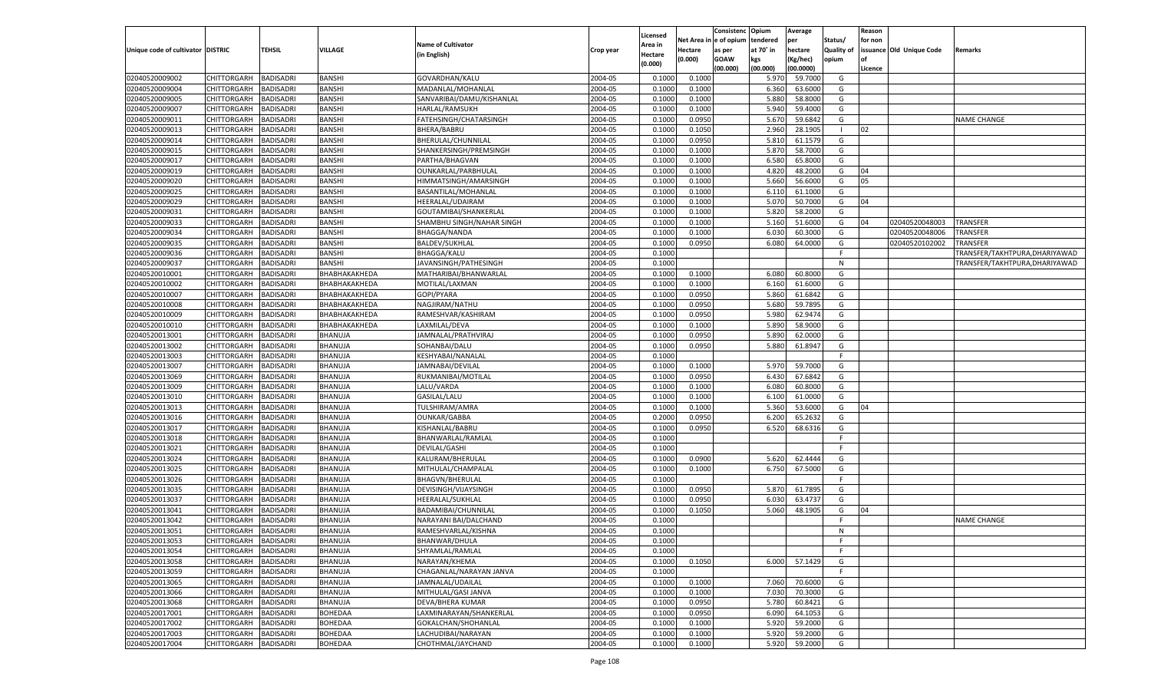|                                   |             |                  |               |                           |           | Licensed |                        | Consistenc  | Opium     | Average   |                   | Reason  |                          |                                |
|-----------------------------------|-------------|------------------|---------------|---------------------------|-----------|----------|------------------------|-------------|-----------|-----------|-------------------|---------|--------------------------|--------------------------------|
|                                   |             |                  |               | <b>Name of Cultivator</b> |           | Area in  | Net Area in e of opium |             | tendered  | per       | Status/           | for non |                          |                                |
| Unique code of cultivator DISTRIC |             | <b>TEHSIL</b>    | VILLAGE       | (in English)              | Crop year | Hectare  | Hectare                | as per      | at 70° in | hectare   | <b>Quality of</b> |         | issuance Old Unique Code | <b>Remarks</b>                 |
|                                   |             |                  |               |                           |           | (0.000)  | (0.000)                | <b>GOAW</b> | kgs       | Kg/hec)   | opium             |         |                          |                                |
|                                   |             |                  |               |                           |           |          |                        | (00.000)    | (00.000)  | (00.0000) |                   | Licence |                          |                                |
| 02040520009002                    | CHITTORGARH | <b>BADISADRI</b> | <b>BANSHI</b> | GOVARDHAN/KALU            | 2004-05   | 0.1000   | 0.100                  |             | 5.970     | 59.700    | G                 |         |                          |                                |
| 02040520009004                    | CHITTORGARH | BADISADRI        | <b>BANSHI</b> | MADANLAL/MOHANLAL         | 2004-05   | 0.1000   | 0.1000                 |             | 6.360     | 63.600    | G                 |         |                          |                                |
| 02040520009005                    | CHITTORGARH | BADISADRI        | <b>BANSHI</b> | SANVARIBAI/DAMU/KISHANLAL | 2004-05   | 0.1000   | 0.1000                 |             | 5.880     | 58.800    | G                 |         |                          |                                |
| 02040520009007                    | CHITTORGARH | BADISADRI        | BANSHI        | HARLAL/RAMSUKH            | 2004-05   | 0.1000   | 0.1000                 |             | 5.940     | 59.400    | G                 |         |                          |                                |
| 02040520009011                    | CHITTORGARH | BADISADRI        | <b>BANSHI</b> | FATEHSINGH/CHATARSINGH    | 2004-05   | 0.1000   | 0.0950                 |             | 5.670     | 59.684    | G                 |         |                          | <b>NAME CHANGE</b>             |
| 02040520009013                    | CHITTORGARH | BADISADRI        | BANSHI        | BHERA/BABRU               | 2004-05   | 0.1000   | 0.1050                 |             | 2.960     | 28.190    | - 1               | 02      |                          |                                |
| 02040520009014                    | CHITTORGARH | BADISADRI        | <b>BANSHI</b> | BHERULAL/CHUNNILAL        | 2004-05   | 0.1000   | 0.0950                 |             | 5.810     | 61.157    | G                 |         |                          |                                |
| 02040520009015                    | CHITTORGARH | BADISADRI        | BANSHI        | SHANKERSINGH/PREMSINGH    | 2004-05   | 0.1000   | 0.1000                 |             | 5.870     | 58.7000   | G                 |         |                          |                                |
| 02040520009017                    | CHITTORGARH | BADISADRI        | <b>BANSHI</b> | PARTHA/BHAGVAN            | 2004-05   | 0.1000   | 0.1000                 |             | 6.580     | 65.800    | G                 |         |                          |                                |
| 02040520009019                    | CHITTORGARH | BADISADRI        | BANSHI        | OUNKARLAL/PARBHULAL       | 2004-05   | 0.1000   | 0.1000                 |             | 4.820     | 48.200    | G                 | 04      |                          |                                |
| 02040520009020                    | CHITTORGARH | BADISADRI        | <b>BANSHI</b> | HIMMATSINGH/AMARSINGH     | 2004-05   | 0.1000   | 0.1000                 |             | 5.660     | 56.600    | G                 | 05      |                          |                                |
| 02040520009025                    | CHITTORGARH | BADISADRI        | BANSHI        | BASANTILAL/MOHANLAL       | 2004-05   | 0.1000   | 0.1000                 |             | 6.110     | 61.100    | G                 |         |                          |                                |
| 02040520009029                    | CHITTORGARH | BADISADRI        | <b>BANSHI</b> | HEERALAL/UDAIRAM          | 2004-05   | 0.1000   | 0.1000                 |             | 5.070     | 50.700    | G                 | 04      |                          |                                |
| 02040520009031                    | CHITTORGARH | BADISADRI        | BANSHI        | GOUTAMIBAI/SHANKERLAL     | 2004-05   | 0.1000   | 0.1000                 |             | 5.820     | 58.200    | G                 |         |                          |                                |
| 02040520009033                    | CHITTORGARH | BADISADRI        | BANSHI        | SHAMBHU SINGH/NAHAR SINGH | 2004-05   | 0.1000   | 0.1000                 |             | 5.160     | 51.600    | G                 | 04      | 02040520048003           | <b>TRANSFER</b>                |
| 02040520009034                    | CHITTORGARH | BADISADRI        | BANSHI        | <b>BHAGGA/NANDA</b>       | 2004-05   | 0.1000   | 0.1000                 |             | 6.030     | 60.3000   | G                 |         | 02040520048006           | TRANSFER                       |
| 02040520009035                    | CHITTORGARH | BADISADRI        | <b>BANSHI</b> | <b>BALDEV/SUKHLAL</b>     | 2004-05   | 0.1000   | 0.0950                 |             | 6.080     | 64.000    | G                 |         | 02040520102002           | <b>TRANSFER</b>                |
| 02040520009036                    | CHITTORGARH | BADISADRI        | BANSHI        | <b>BHAGGA/KALU</b>        | 2004-05   | 0.1000   |                        |             |           |           | F.                |         |                          | TRANSFER/TAKHTPURA,DHARIYAWAD  |
| 02040520009037                    | CHITTORGARH | BADISADRI        | BANSHI        | JAVANSINGH/PATHESINGH     | 2004-05   | 0.1000   |                        |             |           |           | N                 |         |                          | TRANSFER/TAKHTPURA, DHARIYAWAD |
| 02040520010001                    | CHITTORGARH | BADISADRI        | ВНАВНАКАКНЕDА | MATHARIBAI/BHANWARLAL     | 2004-05   | 0.1000   | 0.1000                 |             | 6.080     | 60.800    | G                 |         |                          |                                |
| 02040520010002                    | CHITTORGARH | BADISADRI        | ВНАВНАКАКНЕDА | MOTILAL/LAXMAN            | 2004-05   | 0.1000   | 0.1000                 |             | 6.160     | 61.600    | G                 |         |                          |                                |
| 02040520010007                    | CHITTORGARH | BADISADRI        | ВНАВНАКАКНЕDА | GOPI/PYARA                | 2004-05   | 0.1000   | 0.0950                 |             | 5.860     | 61.6842   | G                 |         |                          |                                |
| 02040520010008                    | CHITTORGARH | BADISADRI        | ВНАВНАКАКНЕDА | NAGJIRAM/NATHU            | 2004-05   | 0.1000   | 0.0950                 |             | 5.680     | 59.789    | G                 |         |                          |                                |
| 02040520010009                    | CHITTORGARH | <b>BADISADRI</b> | ВНАВНАКАКНЕDА | RAMESHVAR/KASHIRAM        | 2004-05   | 0.1000   | 0.0950                 |             | 5.980     | 62.9474   | G                 |         |                          |                                |
| 02040520010010                    | CHITTORGARH | BADISADRI        | ВНАВНАКАКНЕDА | LAXMILAL/DEVA             | 2004-05   | 0.1000   | 0.1000                 |             | 5.890     | 58.900    | G                 |         |                          |                                |
| 02040520013001                    | CHITTORGARH | BADISADRI        | BHANUJA       | JAMNALAL/PRATHVIRAJ       | 2004-05   | 0.1000   | 0.0950                 |             | 5.890     | 62.000    | G                 |         |                          |                                |
| 02040520013002                    | CHITTORGARH | BADISADRI        | BHANUJA       | SOHANBAI/DALU             | 2004-05   | 0.1000   | 0.0950                 |             | 5.880     | 61.8947   | G                 |         |                          |                                |
| 02040520013003                    | CHITTORGARH | BADISADRI        | BHANUJA       | KESHYABAI/NANALAL         | 2004-05   | 0.1000   |                        |             |           |           | -F                |         |                          |                                |
| 02040520013007                    | CHITTORGARH | BADISADRI        | BHANUJA       | JAMNABAI/DEVILAL          | 2004-05   | 0.1000   | 0.1000                 |             | 5.970     | 59.700    | G                 |         |                          |                                |
| 02040520013069                    | CHITTORGARH | BADISADRI        | BHANUJA       | RUKMANIBAI/MOTILAL        | 2004-05   | 0.1000   | 0.0950                 |             | 6.430     | 67.6842   | G                 |         |                          |                                |
| 02040520013009                    | CHITTORGARH | BADISADRI        | BHANUJA       | LALU/VARDA                | 2004-05   | 0.1000   | 0.1000                 |             | 6.080     | 60.800    | G                 |         |                          |                                |
| 02040520013010                    | CHITTORGARH | BADISADRI        | BHANUJA       | GASILAL/LALU              | 2004-05   | 0.1000   | 0.1000                 |             | 6.100     | 61.000    | G                 |         |                          |                                |
| 02040520013013                    | CHITTORGARH | BADISADRI        | BHANUJA       | TULSHIRAM/AMRA            | 2004-05   | 0.1000   | 0.1000                 |             | 5.360     | 53.600    | G                 | 04      |                          |                                |
| 02040520013016                    | CHITTORGARH | BADISADRI        | BHANUJA       | <b>OUNKAR/GABBA</b>       | 2004-05   | 0.2000   | 0.0950                 |             | 6.200     | 65.263    | G                 |         |                          |                                |
| 02040520013017                    | CHITTORGARH | BADISADRI        | BHANUJA       | KISHANLAL/BABRU           | 2004-05   | 0.1000   | 0.0950                 |             | 6.520     | 68.6316   | G                 |         |                          |                                |
| 02040520013018                    |             |                  |               |                           |           |          |                        |             |           |           | F.                |         |                          |                                |
|                                   | CHITTORGARH | BADISADRI        | BHANUJA       | BHANWARLAL/RAMLAL         | 2004-05   | 0.1000   |                        |             |           |           | -F                |         |                          |                                |
| 02040520013021                    | CHITTORGARH | BADISADRI        | BHANUJA       | <b>DEVILAL/GASHI</b>      | 2004-05   | 0.1000   |                        |             |           |           |                   |         |                          |                                |
| 02040520013024                    | CHITTORGARH | BADISADRI        | BHANUJA       | KALURAM/BHERULAL          | 2004-05   | 0.1000   | 0.0900                 |             | 5.620     | 62.4444   | G                 |         |                          |                                |
| 02040520013025                    | CHITTORGARH | BADISADRI        | BHANUJA       | MITHULAL/CHAMPALAL        | 2004-05   | 0.1000   | 0.1000                 |             | 6.750     | 67.5000   | G                 |         |                          |                                |
| 02040520013026                    | CHITTORGARH | BADISADRI        | BHANUJA       | BHAGVN/BHERULAL           | 2004-05   | 0.1000   |                        |             |           |           | -F                |         |                          |                                |
| 02040520013035                    | CHITTORGARH | BADISADRI        | BHANUJA       | DEVISINGH/VIJAYSINGH      | 2004-05   | 0.1000   | 0.0950                 |             | 5.870     | 61.789    | G                 |         |                          |                                |
| 02040520013037                    | CHITTORGARH | BADISADRI        | BHANUJA       | HEERALAL/SUKHLAL          | 2004-05   | 0.1000   | 0.0950                 |             | 6.03      | 63.473    | G                 |         |                          |                                |
| 02040520013041                    | CHITTORGARH | BADISADRI        | BHANUJA       | BADAMIBAI/CHUNNILAL       | 2004-05   | 0.1000   | 0.1050                 |             | 5.060     | 48.190    | G                 | 04      |                          |                                |
| 02040520013042                    | CHITTORGARH | BADISADRI        | BHANUJA       | NARAYANI BAI/DALCHAND     | 2004-05   | 0.1000   |                        |             |           |           | - F               |         |                          | <b>NAME CHANGE</b>             |
| 02040520013051                    | CHITTORGARH | BADISADRI        | BHANUJA       | RAMESHVARLAL/KISHNA       | 2004-05   | 0.1000   |                        |             |           |           | $\mathsf{N}$      |         |                          |                                |
| 02040520013053                    | CHITTORGARH | <b>BADISADRI</b> | BHANUJA       | BHANWAR/DHULA             | 2004-05   | 0.1000   |                        |             |           |           | - F               |         |                          |                                |
| 02040520013054                    | CHITTORGARH | BADISADRI        | BHANUJA       | SHYAMLAL/RAMLAL           | 2004-05   | 0.1000   |                        |             |           |           | F.                |         |                          |                                |
| 02040520013058                    | CHITTORGARH | BADISADRI        | BHANUJA       | NARAYAN/KHEMA             | 2004-05   | 0.1000   | 0.1050                 |             | 6.000     | 57.1429   | G                 |         |                          |                                |
| 02040520013059                    | CHITTORGARH | BADISADRI        | BHANUJA       | CHAGANLAL/NARAYAN JANVA   | 2004-05   | 0.1000   |                        |             |           |           | F                 |         |                          |                                |
| 02040520013065                    | CHITTORGARH | BADISADRI        | BHANUJA       | JAMNALAL/UDAILAL          | 2004-05   | 0.1000   | 0.1000                 |             | 7.060     | 70.6000   | G                 |         |                          |                                |
| 02040520013066                    | CHITTORGARH | BADISADRI        | BHANUJA       | MITHULAL/GASI JANVA       | 2004-05   | 0.1000   | 0.1000                 |             | 7.030     | 70.3000   | G                 |         |                          |                                |
| 02040520013068                    | CHITTORGARH | BADISADRI        | BHANUJA       | DEVA/BHERA KUMAR          | 2004-05   | 0.1000   | 0.0950                 |             | 5.780     | 60.8421   | G                 |         |                          |                                |
| 02040520017001                    | CHITTORGARH | BADISADRI        | BOHEDAA       | LAXMINARAYAN/SHANKERLAL   | 2004-05   | 0.1000   | 0.0950                 |             | 6.090     | 64.1053   | G                 |         |                          |                                |
| 02040520017002                    | CHITTORGARH | BADISADRI        | BOHEDAA       | GOKALCHAN/SHOHANLAL       | 2004-05   | 0.1000   | 0.1000                 |             | 5.920     | 59.2000   | G                 |         |                          |                                |
| 02040520017003                    | CHITTORGARH | BADISADRI        | BOHEDAA       | LACHUDIBAI/NARAYAN        | 2004-05   | 0.1000   | 0.1000                 |             | 5.920     | 59.2000   | G                 |         |                          |                                |
| 02040520017004                    | CHITTORGARH | BADISADRI        | BOHEDAA       | CHOTHMAL/JAYCHAND         | 2004-05   | 0.1000   | 0.1000                 |             | 5.920     | 59.2000   | G                 |         |                          |                                |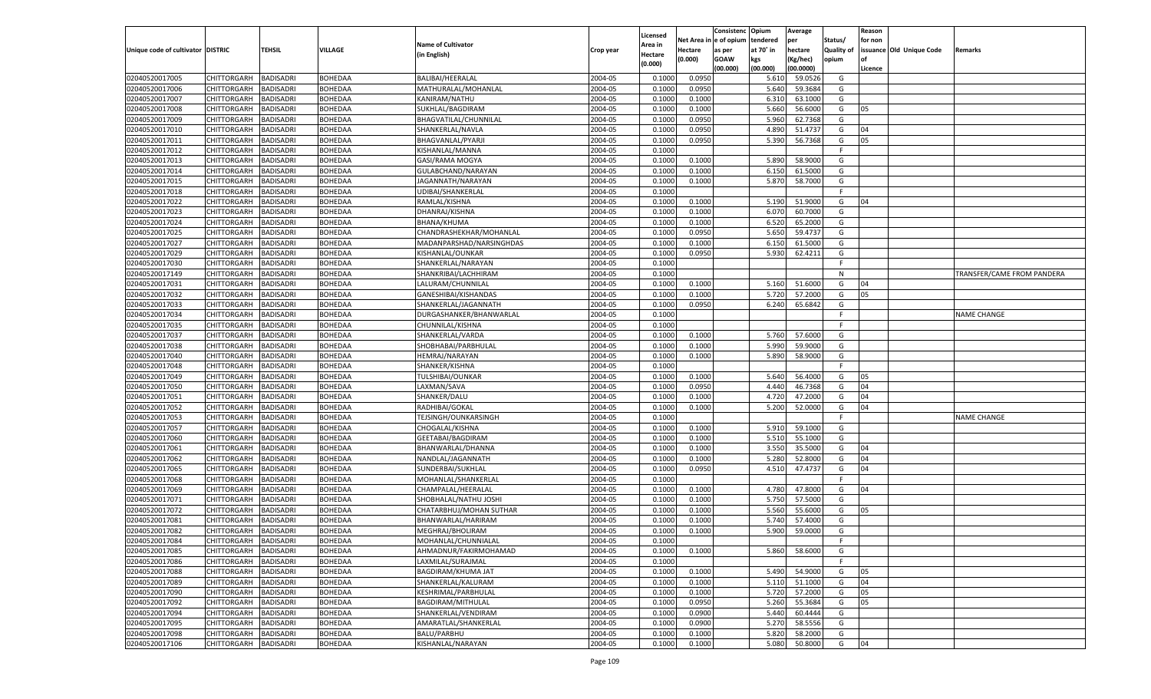|                                   |                            |                                      |                                  |                           |           |                     |            | Consistenc    | Opium     | Average   |            | Reason  |                          |                            |
|-----------------------------------|----------------------------|--------------------------------------|----------------------------------|---------------------------|-----------|---------------------|------------|---------------|-----------|-----------|------------|---------|--------------------------|----------------------------|
|                                   |                            |                                      |                                  | <b>Name of Cultivator</b> |           | Licensed<br>Area in | Net Area i | n le of opium | tendered  | per       | Status/    | for non |                          |                            |
| Unique code of cultivator DISTRIC |                            | TEHSIL                               | <b>VILLAGE</b>                   | (in English)              | Crop year | Hectare             | Hectare    | as per        | at 70° in | hectare   | Quality of |         | issuance Old Unique Code | Remarks                    |
|                                   |                            |                                      |                                  |                           |           | (0.000)             | (0.000)    | <b>GOAW</b>   | kgs       | (Kg/hec)  | opium      |         |                          |                            |
|                                   |                            |                                      |                                  |                           |           |                     |            | (00.000)      | (00.000)  | (00.0000) |            | Licence |                          |                            |
| 02040520017005                    | CHITTORGARH                | BADISADRI                            | BOHEDAA                          | BALIBAI/HEERALAL          | 2004-05   | 0.1000              | 0.0950     |               | 5.610     | 59.0526   | G          |         |                          |                            |
| 02040520017006                    | CHITTORGARH                | BADISADRI                            | <b>BOHEDAA</b>                   | MATHURALAL/MOHANLAL       | 2004-05   | 0.1000              | 0.0950     |               | 5.640     | 59.3684   | G          |         |                          |                            |
| 02040520017007                    | CHITTORGARH                | BADISADRI                            | <b>BOHEDAA</b>                   | KANIRAM/NATHU             | 2004-05   | 0.1000              | 0.1000     |               | 6.310     | 63.1000   | G          |         |                          |                            |
| 02040520017008                    | CHITTORGARH                | BADISADRI                            | <b>BOHEDAA</b>                   | SUKHLAL/BAGDIRAM          | 2004-05   | 0.1000              | 0.1000     |               | 5.660     | 56.6000   | G          | 05      |                          |                            |
| 02040520017009                    | CHITTORGARH                | BADISADRI                            | BOHEDAA                          | BHAGVATILAL/CHUNNILAL     | 2004-05   | 0.1000              | 0.0950     |               | 5.960     | 62.7368   | G          |         |                          |                            |
| 02040520017010                    | CHITTORGARH                | BADISADRI                            | BOHEDAA                          | SHANKERLAL/NAVLA          | 2004-05   | 0.1000              | 0.0950     |               | 4.890     | 51.4737   | G          | 04      |                          |                            |
| 02040520017011                    | CHITTORGARH                | BADISADRI                            | <b>BOHEDAA</b>                   | BHAGVANLAL/PYARJ          | 2004-05   | 0.1000              | 0.0950     |               | 5.390     | 56.7368   | G          | 05      |                          |                            |
| 02040520017012                    | CHITTORGARH                | BADISADRI                            | <b>BOHEDAA</b>                   | KISHANLAL/MANNA           | 2004-05   | 0.1000              |            |               |           |           | E          |         |                          |                            |
| 02040520017013                    | CHITTORGARH                | BADISADRI                            | BOHEDAA                          | GASI/RAMA MOGYA           | 2004-05   | 0.1000              | 0.1000     |               | 5.890     | 58.9000   | G          |         |                          |                            |
| 02040520017014                    | CHITTORGARH                | BADISADRI                            | BOHEDAA                          | GULABCHAND/NARAYAN        | 2004-05   | 0.1000              | 0.1000     |               | 6.150     | 61.5000   | G          |         |                          |                            |
| 02040520017015                    | CHITTORGARH                | BADISADRI                            | BOHEDAA                          | JAGANNATH/NARAYAN         | 2004-05   | 0.1000              | 0.1000     |               | 5.870     | 58.7000   | G          |         |                          |                            |
| 02040520017018                    | CHITTORGARH                | BADISADRI                            | <b>BOHEDAA</b>                   | UDIBAI/SHANKERLAL         | 2004-05   | 0.1000              |            |               |           |           | E          |         |                          |                            |
| 02040520017022                    | CHITTORGARH                | BADISADRI                            | BOHEDAA                          | RAMLAL/KISHNA             | 2004-05   | 0.1000              | 0.1000     |               | 5.190     | 51.9000   | G          | 04      |                          |                            |
| 02040520017023                    | CHITTORGARH                | <b>BADISADRI</b>                     | BOHEDAA                          | DHANRAJ/KISHNA            | 2004-05   | 0.1000              | 0.1000     |               | 6.070     | 60.7000   | G          |         |                          |                            |
| 02040520017024                    | CHITTORGARH                | <b>BADISADRI</b>                     | BOHEDAA                          | <b>BHANA/KHUMA</b>        | 2004-05   | 0.1000              | 0.1000     |               | 6.520     | 65.2000   | G          |         |                          |                            |
| 02040520017025                    | CHITTORGARH                | BADISADRI                            | BOHEDAA                          | CHANDRASHEKHAR/MOHANLAL   | 2004-05   | 0.1000              | 0.0950     |               | 5.650     | 59.4737   | G          |         |                          |                            |
| 02040520017027                    | CHITTORGARH                | <b>BADISADRI</b>                     | <b>BOHEDAA</b>                   | MADANPARSHAD/NARSINGHDAS  | 2004-05   | 0.1000              | 0.1000     |               | 6.150     | 61.5000   | G          |         |                          |                            |
| 02040520017029                    | CHITTORGARH                | BADISADRI                            | BOHEDAA                          | KISHANLAL/OUNKAR          | 2004-05   | 0.1000              | 0.0950     |               | 5.930     | 62.4211   | G          |         |                          |                            |
| 02040520017030                    | CHITTORGARH                | <b>BADISADRI</b>                     | BOHEDAA                          | SHANKERLAL/NARAYAN        | 2004-05   | 0.1000              |            |               |           |           | F.         |         |                          |                            |
| 02040520017149                    | CHITTORGARH                | BADISADRI                            | BOHEDAA                          | SHANKRIBAI/LACHHIRAM      | 2004-05   | 0.1000              |            |               |           |           | N          |         |                          | TRANSFER/CAME FROM PANDERA |
| 02040520017031                    | CHITTORGARH                | <b>BADISADRI</b>                     | <b>BOHEDAA</b>                   | LALURAM/CHUNNILAL         | 2004-05   | 0.1000              | 0.1000     |               | 5.160     | 51.6000   | G          | 04      |                          |                            |
| 02040520017032                    | CHITTORGARH                | BADISADRI                            | BOHEDAA                          | GANESHIBAI/KISHANDAS      | 2004-05   | 0.1000              | 0.1000     |               | 5.720     | 57.2000   | G          | 05      |                          |                            |
| 02040520017033                    | CHITTORGARH                | <b>BADISADRI</b>                     | BOHEDAA                          | SHANKERLAL/JAGANNATH      | 2004-05   | 0.1000              | 0.0950     |               | 6.240     | 65.6842   | G          |         |                          |                            |
| 02040520017034                    | CHITTORGARH                | BADISADRI                            | BOHEDAA                          | DURGASHANKER/BHANWARLAL   | 2004-05   | 0.1000              |            |               |           |           | F.         |         |                          | <b>NAME CHANGE</b>         |
| 02040520017035                    | CHITTORGARH                | <b>BADISADRI</b>                     | <b>BOHEDAA</b>                   | CHUNNILAL/KISHNA          | 2004-05   | 0.1000              |            |               |           |           | F.         |         |                          |                            |
| 02040520017037                    | CHITTORGARH                | BADISADRI                            | BOHEDAA                          | SHANKERLAL/VARDA          | 2004-05   | 0.1000              | 0.1000     |               | 5.760     | 57.6000   | G          |         |                          |                            |
| 02040520017038                    | CHITTORGARH                | <b>BADISADRI</b>                     | BOHEDAA                          | SHOBHABAI/PARBHULAL       | 2004-05   | 0.1000              | 0.1000     |               | 5.990     | 59.9000   | G          |         |                          |                            |
| 02040520017040                    | CHITTORGARH                | BADISADRI                            | <b>BOHEDAA</b>                   | <b>HEMRAJ/NARAYAN</b>     | 2004-05   | 0.1000              | 0.1000     |               | 5.890     | 58.9000   | G          |         |                          |                            |
| 02040520017048                    | CHITTORGARH                | <b>BADISADRI</b>                     | BOHEDAA                          | SHANKER/KISHNA            | 2004-05   | 0.1000              |            |               |           |           | F.         |         |                          |                            |
| 02040520017049                    | CHITTORGARH                | BADISADRI                            | BOHEDAA                          | TULSHIBAI/OUNKAR          | 2004-05   | 0.1000              | 0.1000     |               | 5.640     | 56.4000   | G          | 05      |                          |                            |
| 02040520017050                    | CHITTORGARH                | <b>BADISADRI</b>                     | <b>BOHEDAA</b>                   | LAXMAN/SAVA               | 2004-05   | 0.1000              | 0.0950     |               | 4.440     | 46.7368   | G          | 04      |                          |                            |
| 02040520017051                    | CHITTORGARH                | <b>BADISADRI</b>                     | <b>BOHEDAA</b>                   | SHANKER/DALU              | 2004-05   | 0.1000              | 0.1000     |               | 4.720     | 47.2000   | G          | 04      |                          |                            |
| 02040520017052                    | CHITTORGARH                | <b>BADISADRI</b>                     | <b>BOHEDAA</b>                   | RADHIBAI/GOKAL            | 2004-05   | 0.1000              | 0.1000     |               | 5.200     | 52.0000   | G          | 04      |                          |                            |
| 02040520017053                    | CHITTORGARH                | BADISADRI                            | BOHEDAA                          | TEJSINGH/OUNKARSINGH      | 2004-05   | 0.1000              |            |               |           |           | F          |         |                          | <b>NAME CHANGE</b>         |
| 02040520017057                    | CHITTORGARH                | <b>BADISADRI</b>                     | <b>BOHEDAA</b>                   | CHOGALAL/KISHNA           | 2004-05   | 0.1000              | 0.1000     |               | 5.910     | 59.1000   | G          |         |                          |                            |
| 02040520017060                    | CHITTORGARH                | <b>BADISADRI</b>                     | <b>BOHEDAA</b>                   | GEETABAI/BAGDIRAM         | 2004-05   | 0.1000              | 0.1000     |               | 5.510     | 55.1000   | G          |         |                          |                            |
| 02040520017061                    | CHITTORGARH                | <b>BADISADRI</b>                     | <b>BOHEDAA</b>                   | BHANWARLAL/DHANNA         | 2004-05   | 0.1000              | 0.1000     |               | 3.550     | 35.5000   | G          | 04      |                          |                            |
| 02040520017062                    | CHITTORGARH                | BADISADRI                            | BOHEDAA                          | NANDLAL/JAGANNATH         | 2004-05   | 0.1000              | 0.1000     |               | 5.280     | 52.8000   | G          | 04      |                          |                            |
| 02040520017065                    | CHITTORGARH                | <b>BADISADRI</b>                     | <b>BOHEDAA</b>                   | SUNDERBAI/SUKHLAL         | 2004-05   | 0.1000              | 0.0950     |               | 4.510     | 47.4737   | G          | 04      |                          |                            |
| 02040520017068                    |                            |                                      |                                  | MOHANLAL/SHANKERLAL       | 2004-05   | 0.1000              |            |               |           |           | F          |         |                          |                            |
| 02040520017069                    | CHITTORGARH                | <b>BADISADRI</b><br><b>BADISADRI</b> | <b>BOHEDAA</b><br><b>BOHEDAA</b> | CHAMPALAL/HEERALAL        | 2004-05   | 0.1000              | 0.1000     |               | 4.780     | 47.8000   | G          | 04      |                          |                            |
| 02040520017071                    | CHITTORGARH                |                                      |                                  | SHOBHALAL/NATHU JOSHI     | 2004-05   | 0.1000              |            |               | 5.750     | 57.5000   | G          |         |                          |                            |
| 02040520017072                    | CHITTORGARH<br>CHITTORGARH | BADISADRI                            | BOHEDAA<br><b>BOHEDAA</b>        | CHATARBHUJ/MOHAN SUTHAR   |           |                     | 0.1000     |               |           |           |            |         |                          |                            |
|                                   |                            | BADISADRI                            |                                  |                           | 2004-05   | 0.1000              | 0.1000     |               | 5.560     | 55.6000   | G          | 05      |                          |                            |
| 02040520017081                    | CHITTORGARH                | BADISADRI                            | BOHEDAA                          | BHANWARLAL/HARIRAM        | 2004-05   | 0.1000              | 0.1000     |               | 5.740     | 57.4000   | G          |         |                          |                            |
| 02040520017082                    | CHITTORGARH                | <b>BADISADRI</b>                     | BOHEDAA                          | MEGHRAJ/BHOLIRAM          | 2004-05   | 0.1000              | 0.1000     |               | 5.900     | 59.0000   | G          |         |                          |                            |
| 02040520017084                    | CHITTORGARH BADISADRI      |                                      | <b>BOHEDAA</b>                   | MOHANLAL/CHUNNIALAL       | 2004-05   | 0.1000              |            |               |           |           |            |         |                          |                            |
| 02040520017085                    | <b>CHITTORGARH</b>         | <b>BADISADRI</b>                     | <b>BOHEDAA</b>                   | AHMADNUR/FAKIRMOHAMAD     | 2004-05   | 0.1000              | 0.1000     |               | 5.860     | 58.6000   | G          |         |                          |                            |
| 02040520017086                    | <b>CHITTORGARH</b>         | <b>BADISADRI</b>                     | <b>BOHEDAA</b>                   | LAXMILAL/SURAJMAL         | 2004-05   | 0.1000              |            |               |           |           | F          |         |                          |                            |
| 02040520017088                    | CHITTORGARH                | <b>BADISADRI</b>                     | <b>BOHEDAA</b>                   | <b>BAGDIRAM/KHUMA JAT</b> | 2004-05   | 0.1000              | 0.1000     |               | 5.490     | 54.9000   | G          | 05      |                          |                            |
| 02040520017089                    | <b>CHITTORGARH</b>         | <b>BADISADRI</b>                     | <b>BOHEDAA</b>                   | SHANKERLAL/KALURAM        | 2004-05   | 0.1000              | 0.1000     |               | 5.110     | 51.1000   | G          | 04      |                          |                            |
| 02040520017090                    | <b>CHITTORGARH</b>         | <b>BADISADRI</b>                     | <b>BOHEDAA</b>                   | KESHRIMAL/PARBHULAL       | 2004-05   | 0.1000              | 0.1000     |               | 5.720     | 57.2000   | G          | 05      |                          |                            |
| 02040520017092                    | CHITTORGARH                | <b>BADISADRI</b>                     | <b>BOHEDAA</b>                   | BAGDIRAM/MITHULAL         | 2004-05   | 0.1000              | 0.0950     |               | 5.260     | 55.3684   | G          | 05      |                          |                            |
| 02040520017094                    | CHITTORGARH                | <b>BADISADRI</b>                     | <b>BOHEDAA</b>                   | SHANKERLAL/VENDIRAM       | 2004-05   | 0.1000              | 0.0900     |               | 5.440     | 60.4444   | G          |         |                          |                            |
| 02040520017095                    | CHITTORGARH                | <b>BADISADRI</b>                     | <b>BOHEDAA</b>                   | AMARATLAL/SHANKERLAL      | 2004-05   | 0.1000              | 0.0900     |               | 5.270     | 58.5556   | G          |         |                          |                            |
| 02040520017098                    | <b>CHITTORGARH</b>         | <b>BADISADRI</b>                     | <b>BOHEDAA</b>                   | <b>BALU/PARBHU</b>        | 2004-05   | 0.1000              | 0.1000     |               | 5.820     | 58.2000   | G          |         |                          |                            |
| 02040520017106                    | <b>CHITTORGARH</b>         | <b>BADISADRI</b>                     | <b>BOHEDAA</b>                   | KISHANLAL/NARAYAN         | 2004-05   | 0.1000              | 0.1000     |               | 5.080     | 50.8000   | G          | 04      |                          |                            |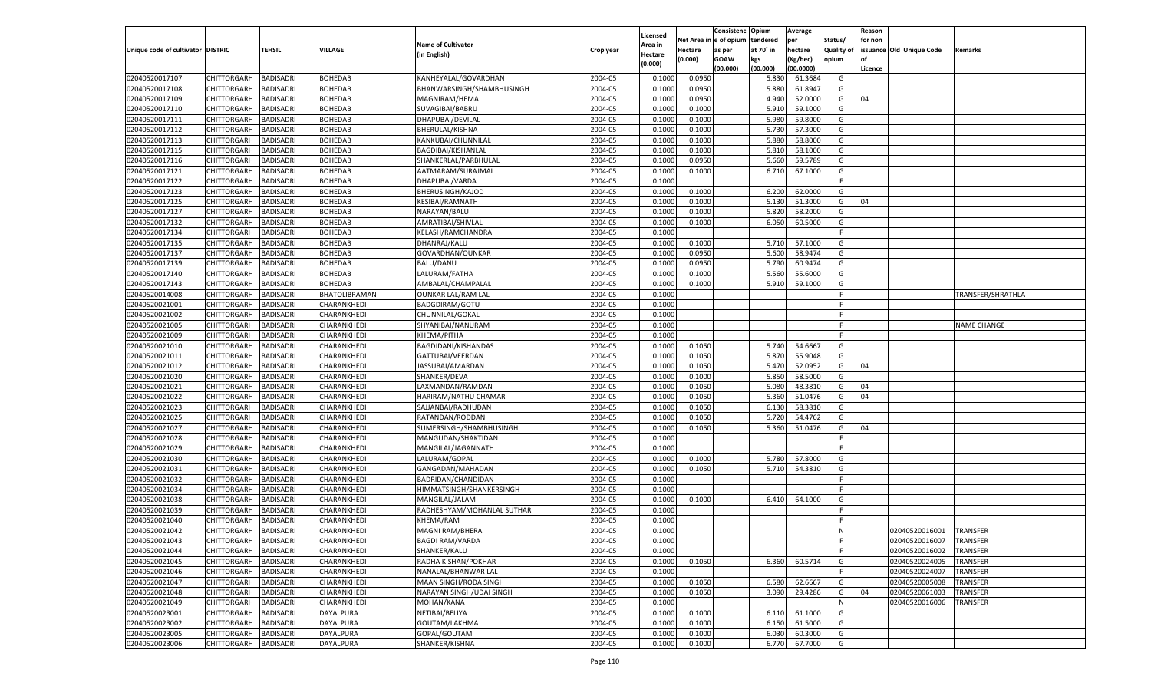|                                   |                       |                  |                      |                            |           | Licensed |                        | Consistenc  | Opium          | Average   |                   | Reason  |                          |                   |
|-----------------------------------|-----------------------|------------------|----------------------|----------------------------|-----------|----------|------------------------|-------------|----------------|-----------|-------------------|---------|--------------------------|-------------------|
|                                   |                       |                  |                      | <b>Name of Cultivator</b>  |           | Area in  | Net Area in e of opium |             | tendered       | per       | Status/           | for non |                          |                   |
| Unique code of cultivator DISTRIC |                       | <b>TEHSIL</b>    | <b>VILLAGE</b>       | (in English)               | Crop year | Hectare  | Hectare                | as per      | at 70° in      | hectare   | <b>Quality of</b> |         | issuance Old Unique Code | Remarks           |
|                                   |                       |                  |                      |                            |           | (0.000)  | (0.000)                | <b>GOAW</b> | kgs            | (Kg/hec)  | opium             |         |                          |                   |
| 02040520017107                    | CHITTORGARH           | <b>BADISADRI</b> | <b>BOHEDAB</b>       | KANHEYALAL/GOVARDHAN       | 2004-05   | 0.1000   | 0.0950                 | (00.000)    | (00.000)       | (00.0000) | G                 | Licence |                          |                   |
| 02040520017108                    |                       | <b>BADISADRI</b> | <b>BOHEDAB</b>       |                            | 2004-05   | 0.1000   |                        |             | 5.830          | 61.3684   | G                 |         |                          |                   |
| 02040520017109                    | CHITTORGARH           |                  | <b>BOHEDAB</b>       | BHANWARSINGH/SHAMBHUSINGH  | 2004-05   | 0.1000   | 0.0950<br>0.0950       |             | 5.880<br>4.940 | 61.8947   | G                 | 04      |                          |                   |
| 02040520017110                    | <b>CHITTORGARH</b>    | <b>BADISADRI</b> |                      | MAGNIRAM/HEMA              |           |          |                        |             |                | 52.0000   |                   |         |                          |                   |
|                                   | CHITTORGARH           | <b>BADISADRI</b> | <b>BOHEDAB</b>       | SUVAGIBAI/BABRU            | 2004-05   | 0.1000   | 0.1000                 |             | 5.910          | 59.1000   | G                 |         |                          |                   |
| 02040520017111                    | CHITTORGARH           | <b>BADISADRI</b> | <b>BOHEDAB</b>       | DHAPUBAI/DEVILAL           | 2004-05   | 0.1000   | 0.1000                 |             | 5.980          | 59.8000   | G                 |         |                          |                   |
| 02040520017112                    | CHITTORGARH           | <b>BADISADRI</b> | <b>BOHEDAB</b>       | BHERULAL/KISHNA            | 2004-05   | 0.1000   | 0.1000                 |             | 5.730          | 57.3000   | G                 |         |                          |                   |
| 02040520017113                    | <b>CHITTORGARH</b>    | <b>BADISADRI</b> | <b>BOHEDAB</b>       | KANKUBAI/CHUNNILAL         | 2004-05   | 0.1000   | 0.1000                 |             | 5.880          | 58.8000   | G                 |         |                          |                   |
| 02040520017115                    | CHITTORGARH           | <b>BADISADRI</b> | <b>BOHEDAB</b>       | BAGDIBAI/KISHANLAL         | 2004-05   | 0.1000   | 0.1000                 |             | 5.810          | 58.1000   | G                 |         |                          |                   |
| 02040520017116                    | CHITTORGARH           | <b>BADISADRI</b> | <b>BOHEDAB</b>       | SHANKERLAL/PARBHULAL       | 2004-05   | 0.1000   | 0.0950                 |             | 5.660          | 59.5789   | G                 |         |                          |                   |
| 02040520017121                    | CHITTORGARH           | <b>BADISADRI</b> | <b>BOHEDAB</b>       | AATMARAM/SURAJMAL          | 2004-05   | 0.1000   | 0.1000                 |             | 6.710          | 67.1000   | G                 |         |                          |                   |
| 02040520017122                    | <b>CHITTORGARH</b>    | <b>BADISADRI</b> | <b>BOHEDAB</b>       | DHAPUBAI/VARDA             | 2004-05   | 0.1000   |                        |             |                |           | F.                |         |                          |                   |
| 02040520017123                    | CHITTORGARH           | <b>BADISADRI</b> | <b>BOHEDAB</b>       | <b>BHERUSINGH/KAJOD</b>    | 2004-05   | 0.1000   | 0.1000                 |             | 6.200          | 62.0000   | G                 |         |                          |                   |
| 02040520017125                    | CHITTORGARH           | <b>BADISADRI</b> | <b>BOHEDAB</b>       | KESIBAI/RAMNATH            | 2004-05   | 0.1000   | 0.1000                 |             | 5.130          | 51.3000   | G                 | 04      |                          |                   |
| 02040520017127                    | CHITTORGARH           | <b>BADISADRI</b> | <b>BOHEDAB</b>       | NARAYAN/BALU               | 2004-05   | 0.1000   | 0.1000                 |             | 5.820          | 58.2000   | G                 |         |                          |                   |
| 02040520017132                    | CHITTORGARH           | <b>BADISADRI</b> | <b>BOHEDAB</b>       | AMRATIBAI/SHIVLAL          | 2004-05   | 0.1000   | 0.1000                 |             | 6.050          | 60.5000   | G                 |         |                          |                   |
| 02040520017134                    | CHITTORGARH           | <b>BADISADRI</b> | <b>BOHEDAB</b>       | KELASH/RAMCHANDRA          | 2004-05   | 0.1000   |                        |             |                |           | F.                |         |                          |                   |
| 02040520017135                    | CHITTORGARH           | <b>BADISADRI</b> | <b>BOHEDAB</b>       | DHANRAJ/KALU               | 2004-05   | 0.1000   | 0.1000                 |             | 5.710          | 57.1000   | G                 |         |                          |                   |
| 02040520017137                    | CHITTORGARH           | <b>BADISADRI</b> | <b>BOHEDAB</b>       | GOVARDHAN/OUNKAR           | 2004-05   | 0.1000   | 0.0950                 |             | 5.600          | 58.9474   | G                 |         |                          |                   |
| 02040520017139                    | CHITTORGARH           | <b>BADISADRI</b> | <b>BOHEDAB</b>       | <b>BALU/DANU</b>           | 2004-05   | 0.1000   | 0.0950                 |             | 5.790          | 60.9474   | G                 |         |                          |                   |
| 02040520017140                    | CHITTORGARH           | <b>BADISADRI</b> | <b>BOHEDAB</b>       | LALURAM/FATHA              | 2004-05   | 0.1000   | 0.1000                 |             | 5.560          | 55.6000   | G                 |         |                          |                   |
| 02040520017143                    | CHITTORGARH           | <b>BADISADRI</b> | <b>BOHEDAB</b>       | AMBALAL/CHAMPALAL          | 2004-05   | 0.1000   | 0.1000                 |             | 5.910          | 59.1000   | G                 |         |                          |                   |
| 02040520014008                    | CHITTORGARH           | <b>BADISADRI</b> | <b>BHATOLIBRAMAN</b> | <b>OUNKAR LAL/RAM LAL</b>  | 2004-05   | 0.1000   |                        |             |                |           | F.                |         |                          | TRANSFER/SHRATHLA |
| 02040520021001                    | CHITTORGARH           | <b>BADISADRI</b> | CHARANKHEDI          | <b>BADGDIRAM/GOTU</b>      | 2004-05   | 0.1000   |                        |             |                |           | F.                |         |                          |                   |
| 02040520021002                    | CHITTORGARH           | <b>BADISADRI</b> | CHARANKHEDI          | CHUNNILAL/GOKAL            | 2004-05   | 0.1000   |                        |             |                |           | F.                |         |                          |                   |
| 02040520021005                    | CHITTORGARH           | <b>BADISADRI</b> | CHARANKHEDI          | SHYANIBAI/NANURAM          | 2004-05   | 0.1000   |                        |             |                |           | F.                |         |                          | NAME CHANGE       |
| 02040520021009                    | CHITTORGARH           | <b>BADISADRI</b> | CHARANKHEDI          | KHEMA/PITHA                | 2004-05   | 0.1000   |                        |             |                |           | F.                |         |                          |                   |
| 02040520021010                    | CHITTORGARH           | <b>BADISADRI</b> | CHARANKHEDI          | BAGDIDANI/KISHANDAS        | 2004-05   | 0.1000   | 0.1050                 |             | 5.740          | 54.6667   | G                 |         |                          |                   |
| 02040520021011                    | CHITTORGARH           | <b>BADISADRI</b> | CHARANKHEDI          | GATTUBAI/VEERDAN           | 2004-05   | 0.1000   | 0.1050                 |             | 5.870          | 55.9048   | G                 |         |                          |                   |
| 02040520021012                    | CHITTORGARH           | <b>BADISADRI</b> | CHARANKHEDI          | JASSUBAI/AMARDAN           | 2004-05   | 0.1000   | 0.1050                 |             | 5.470          | 52.0952   | G                 | 04      |                          |                   |
| 02040520021020                    | CHITTORGARH           | <b>BADISADRI</b> | CHARANKHEDI          | SHANKER/DEVA               | 2004-05   | 0.1000   | 0.1000                 |             | 5.850          | 58.5000   | G                 |         |                          |                   |
| 02040520021021                    | CHITTORGARH           | <b>BADISADRI</b> | CHARANKHEDI          | LAXMANDAN/RAMDAN           | 2004-05   | 0.1000   | 0.1050                 |             | 5.080          | 48.3810   | G                 | 04      |                          |                   |
| 02040520021022                    | CHITTORGARH           | <b>BADISADRI</b> | CHARANKHEDI          | HARIRAM/NATHU CHAMAR       | 2004-05   | 0.1000   | 0.1050                 |             | 5.360          | 51.0476   | G                 | 04      |                          |                   |
| 02040520021023                    | CHITTORGARH           | <b>BADISADRI</b> | CHARANKHEDI          | SAJJANBAI/RADHUDAN         | 2004-05   | 0.1000   | 0.1050                 |             | 6.130          | 58.3810   | G                 |         |                          |                   |
| 02040520021025                    | CHITTORGARH           | <b>BADISADRI</b> | CHARANKHED           | RATANDAN/RODDAN            | 2004-05   | 0.1000   | 0.1050                 |             | 5.720          | 54.4762   | G                 |         |                          |                   |
| 02040520021027                    | <b>CHITTORGARH</b>    | <b>BADISADRI</b> | CHARANKHEDI          | SUMERSINGH/SHAMBHUSINGH    | 2004-05   | 0.1000   | 0.1050                 |             | 5.360          | 51.0476   | G                 | 04      |                          |                   |
| 02040520021028                    | CHITTORGARH           | <b>BADISADRI</b> | CHARANKHEDI          | MANGUDAN/SHAKTIDAN         | 2004-05   | 0.1000   |                        |             |                |           | F.                |         |                          |                   |
| 02040520021029                    | CHITTORGARH           | <b>BADISADRI</b> | CHARANKHEDI          | MANGILAL/JAGANNATH         | 2004-05   | 0.1000   |                        |             |                |           | F.                |         |                          |                   |
| 02040520021030                    | CHITTORGARH           | <b>BADISADRI</b> | CHARANKHEDI          | LALURAM/GOPAL              | 2004-05   | 0.1000   | 0.1000                 |             | 5.780          | 57.8000   | G                 |         |                          |                   |
| 02040520021031                    | <b>CHITTORGARH</b>    | <b>BADISADRI</b> | CHARANKHEDI          | GANGADAN/MAHADAN           | 2004-05   | 0.1000   | 0.1050                 |             | 5.710          | 54.3810   | G                 |         |                          |                   |
| 02040520021032                    | CHITTORGARH           | <b>BADISADRI</b> | CHARANKHEDI          | BADRIDAN/CHANDIDAN         | 2004-05   | 0.1000   |                        |             |                |           | F.                |         |                          |                   |
| 02040520021034                    | CHITTORGARH           | <b>BADISADRI</b> | CHARANKHEDI          | HIMMATSINGH/SHANKERSINGH   | 2004-05   | 0.1000   |                        |             |                |           | F.                |         |                          |                   |
| 02040520021038                    | CHITTORGARH           | <b>BADISADRI</b> | CHARANKHEDI          | MANGILAL/JALAM             | 2004-05   | 0.1000   | 0.1000                 |             | 6.410          | 64.1000   | G                 |         |                          |                   |
| 02040520021039                    | <b>CHITTORGARH</b>    | <b>BADISADRI</b> | CHARANKHED           | RADHESHYAM/MOHANLAL SUTHAR | 2004-05   | 0.1000   |                        |             |                |           | F.                |         |                          |                   |
| 02040520021040                    | CHITTORGARH           | <b>BADISADRI</b> | CHARANKHED           | KHEMA/RAM                  | 2004-05   | 0.1000   |                        |             |                |           | F                 |         |                          |                   |
| 02040520021042                    | CHITTORGARH           | <b>BADISADRI</b> | CHARANKHEDI          | MAGNI RAM/BHERA            | 2004-05   | 0.1000   |                        |             |                |           | N                 |         | 02040520016001           | <b>TRANSFER</b>   |
| 02040520021043                    | CHITTORGARH BADISADRI |                  | CHARANKHEDI          | <b>BAGDI RAM/VARDA</b>     | 2004-05   | 0.1000   |                        |             |                |           |                   |         | 02040520016007           | <b>TRANSFER</b>   |
| 02040520021044                    | <b>CHITTORGARH</b>    | <b>BADISADRI</b> | CHARANKHEDI          | SHANKER/KALU               | 2004-05   | 0.1000   |                        |             |                |           | F.                |         | 02040520016002           | <b>TRANSFER</b>   |
| 02040520021045                    | <b>CHITTORGARH</b>    | <b>BADISADRI</b> | CHARANKHEDI          | RADHA KISHAN/POKHAR        | 2004-05   | 0.1000   | 0.1050                 |             | 6.360          | 60.5714   | G                 |         | 02040520024005           | TRANSFER          |
| 02040520021046                    | CHITTORGARH           | <b>BADISADRI</b> | CHARANKHEDI          | NANALAL/BHANWAR LAL        | 2004-05   | 0.1000   |                        |             |                |           | F.                |         | 02040520024007           | TRANSFER          |
| 02040520021047                    | <b>CHITTORGARH</b>    | <b>BADISADRI</b> | CHARANKHEDI          | MAAN SINGH/RODA SINGH      | 2004-05   | 0.1000   | 0.1050                 |             | 6.580          | 62.6667   | G                 |         | 02040520005008           | TRANSFER          |
| 02040520021048                    | <b>CHITTORGARH</b>    | <b>BADISADRI</b> | CHARANKHEDI          | NARAYAN SINGH/UDAI SINGH   | 2004-05   | 0.1000   | 0.1050                 |             | 3.090          | 29.4286   | G                 | 04      | 02040520061003           | TRANSFER          |
| 02040520021049                    | <b>CHITTORGARH</b>    | <b>BADISADRI</b> | CHARANKHEDI          | MOHAN/KANA                 | 2004-05   | 0.1000   |                        |             |                |           | N                 |         | 02040520016006           | TRANSFER          |
| 02040520023001                    | CHITTORGARH           | <b>BADISADRI</b> | <b>DAYALPURA</b>     | NETIBAI/BELIYA             | 2004-05   | 0.1000   | 0.1000                 |             | 6.110          | 61.1000   | G                 |         |                          |                   |
| 02040520023002                    | <b>CHITTORGARH</b>    | <b>BADISADRI</b> | DAYALPURA            | GOUTAM/LAKHMA              | 2004-05   | 0.1000   | 0.1000                 |             | 6.150          | 61.5000   | G                 |         |                          |                   |
| 02040520023005                    | <b>CHITTORGARH</b>    | <b>BADISADRI</b> | <b>DAYALPURA</b>     | GOPAL/GOUTAM               | 2004-05   | 0.1000   | 0.1000                 |             | 6.030          | 60.3000   | G                 |         |                          |                   |
| 02040520023006                    |                       | <b>BADISADRI</b> | <b>DAYALPURA</b>     | SHANKER/KISHNA             | 2004-05   |          |                        |             | 6.770          | 67.7000   | G                 |         |                          |                   |
|                                   | <b>CHITTORGARH</b>    |                  |                      |                            |           | 0.1000   | 0.1000                 |             |                |           |                   |         |                          |                   |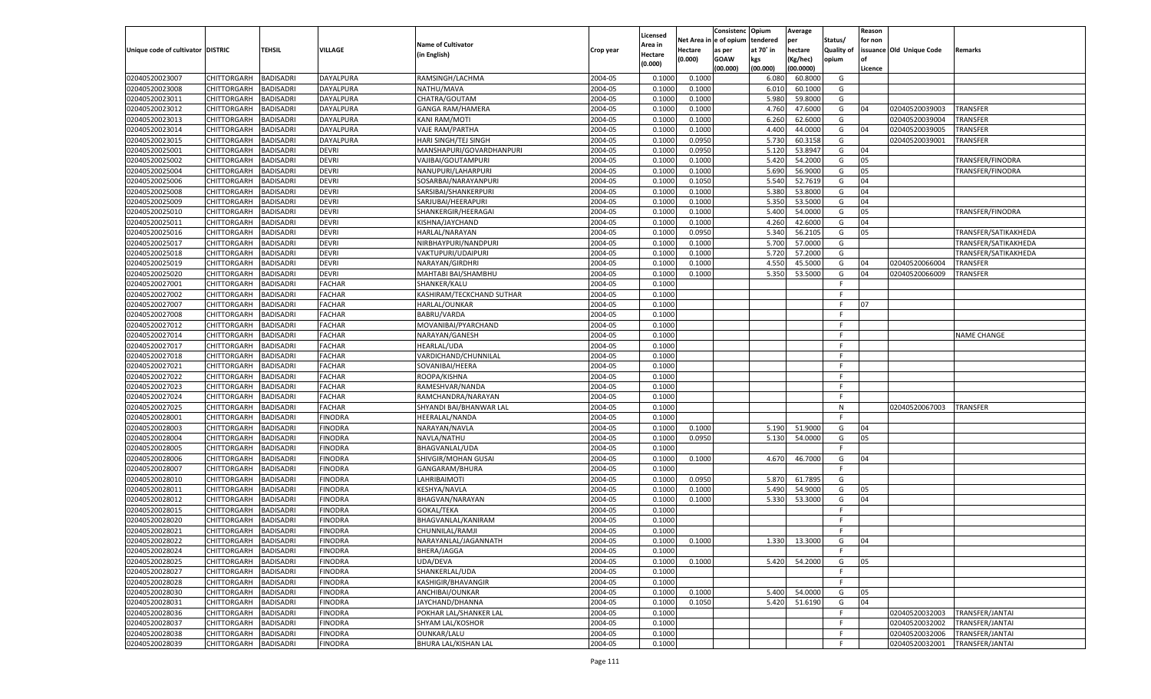|                                   |                       |                  |                |                           |           | Licensed |                        | Consistenc  | Opium     | Average       |                   | Reason  |                          |                      |
|-----------------------------------|-----------------------|------------------|----------------|---------------------------|-----------|----------|------------------------|-------------|-----------|---------------|-------------------|---------|--------------------------|----------------------|
|                                   |                       |                  |                | <b>Name of Cultivator</b> |           | Area in  | Net Area in e of opium |             | tendered  | per           | Status/           | for non |                          |                      |
| Unique code of cultivator DISTRIC |                       | <b>TEHSIL</b>    | <b>VILLAGE</b> | (in English)              | Crop year | Hectare  | <b>Hectare</b>         | as per      | at 70° in | hectare       | <b>Quality of</b> |         | issuance Old Unique Code | Remarks              |
|                                   |                       |                  |                |                           |           | (0.000)  | (0.000)                | <b>GOAW</b> | kgs       | (Kg/hec)      | opium             |         |                          |                      |
|                                   |                       |                  |                |                           |           |          |                        | (00.000)    | (00.000)  | (00.0000)     |                   | Licence |                          |                      |
| 02040520023007                    | CHITTORGARH           | <b>BADISADRI</b> | DAYALPURA      | RAMSINGH/LACHMA           | 2004-05   | 0.1000   | 0.1000                 |             | 6.080     | 60.8000       | G                 |         |                          |                      |
| 02040520023008                    | CHITTORGARH           | <b>BADISADRI</b> | DAYALPURA      | NATHU/MAVA                | 2004-05   | 0.1000   | 0.1000                 |             | 6.010     | 60.1000       | G                 |         |                          |                      |
| 02040520023011                    | <b>CHITTORGARH</b>    | <b>BADISADRI</b> | DAYALPURA      | CHATRA/GOUTAM             | 2004-05   | 0.1000   | 0.1000                 |             | 5.980     | 59.8000       | G                 |         |                          |                      |
| 02040520023012                    | CHITTORGARH           | <b>BADISADRI</b> | DAYALPURA      | <b>GANGA RAM/HAMERA</b>   | 2004-05   | 0.1000   | 0.1000                 |             | 4.760     | 47.6000       | G                 | 04      | 02040520039003           | TRANSFER             |
| 02040520023013                    | <b>CHITTORGARH</b>    | <b>BADISADRI</b> | DAYALPURA      | <b>KANI RAM/MOTI</b>      | 2004-05   | 0.1000   | 0.1000                 |             | 6.260     | 62.6000       | G                 |         | 02040520039004           | TRANSFER             |
| 02040520023014                    | CHITTORGARH           | <b>BADISADRI</b> | DAYALPURA      | VAJE RAM/PARTHA           | 2004-05   | 0.1000   | 0.1000                 |             | 4.400     | 44.0000       | G                 | 04      | 02040520039005           | TRANSFER             |
| 02040520023015                    | <b>CHITTORGARH</b>    | <b>BADISADRI</b> | DAYALPURA      | HARI SINGH/TEJ SINGH      | 2004-05   | 0.1000   | 0.0950                 |             | 5.730     | 60.3158       | G                 |         | 02040520039001           | TRANSFER             |
| 02040520025001                    | CHITTORGARH           | <b>BADISADRI</b> | <b>DEVRI</b>   | MANSHAPURI/GOVARDHANPURI  | 2004-05   | 0.1000   | 0.0950                 |             | 5.120     | 53.8947       | G                 | 04      |                          |                      |
| 02040520025002                    | <b>CHITTORGARH</b>    | <b>BADISADRI</b> | <b>DEVRI</b>   | VAJIBAI/GOUTAMPURI        | 2004-05   | 0.1000   | 0.1000                 |             | 5.420     | 54.2000       | G                 | 05      |                          | TRANSFER/FINODRA     |
| 02040520025004                    | CHITTORGARH           | <b>BADISADRI</b> | <b>DEVRI</b>   | NANUPURI/LAHARPURI        | 2004-05   | 0.1000   | 0.1000                 |             | 5.690     | 56.9000       | G                 | 05      |                          | TRANSFER/FINODRA     |
| 02040520025006                    | <b>CHITTORGARH</b>    | <b>BADISADRI</b> | <b>DEVRI</b>   | SOSARBAI/NARAYANPURI      | 2004-05   | 0.1000   | 0.1050                 |             | 5.540     | 52.7619       | G                 | 04      |                          |                      |
| 02040520025008                    | CHITTORGARH           | <b>BADISADRI</b> | <b>DEVRI</b>   | SARSIBAI/SHANKERPURI      | 2004-05   | 0.1000   | 0.1000                 |             | 5.380     | 53.8000       | G                 | 04      |                          |                      |
| 02040520025009                    | <b>CHITTORGARH</b>    | <b>BADISADRI</b> | <b>DEVRI</b>   | SARJUBAI/HEERAPURI        | 2004-05   | 0.1000   | 0.1000                 |             | 5.350     | 53.5000       | G                 | 04      |                          |                      |
| 02040520025010                    | CHITTORGARH           | <b>BADISADRI</b> | <b>DEVRI</b>   | SHANKERGIR/HEERAGAI       | 2004-05   | 0.1000   | 0.1000                 |             | 5.400     | 54.0000       | G                 | 05      |                          | TRANSFER/FINODRA     |
| 02040520025011                    | <b>CHITTORGARH</b>    | <b>BADISADRI</b> | <b>DEVRI</b>   | KISHNA/JAYCHAND           | 2004-05   | 0.1000   | 0.1000                 |             | 4.260     | 42.6000       | G                 | 04      |                          |                      |
| 02040520025016                    | CHITTORGARH           | <b>BADISADRI</b> | <b>DEVRI</b>   | HARLAL/NARAYAN            | 2004-05   | 0.1000   | 0.0950                 |             | 5.340     | 56.2105       | G                 | 05      |                          | TRANSFER/SATIKAKHEDA |
| 02040520025017                    | CHITTORGARH           | <b>BADISADRI</b> | <b>DEVRI</b>   | NIRBHAYPURI/NANDPURI      | 2004-05   | 0.1000   | 0.1000                 |             | 5.700     | 57.0000       | G                 |         |                          | TRANSFER/SATIKAKHEDA |
| 02040520025018                    | CHITTORGARH           | <b>BADISADRI</b> | <b>DEVRI</b>   | VAKTUPURI/UDAIPURI        | 2004-05   | 0.1000   | 0.1000                 |             | 5.720     | 57.2000       | G                 |         |                          | TRANSFER/SATIKAKHEDA |
| 02040520025019                    | <b>CHITTORGARH</b>    | <b>BADISADRI</b> | <b>DEVRI</b>   | NARAYAN/GIRDHRI           | 2004-05   | 0.1000   | 0.1000                 |             | 4.550     | 45.5000       | G                 | 04      | 02040520066004           | TRANSFER             |
| 02040520025020                    | CHITTORGARH           | <b>BADISADRI</b> | <b>DEVRI</b>   | MAHTABI BAI/SHAMBHU       | 2004-05   | 0.1000   | 0.1000                 |             | 5.350     | 53.5000       | G                 | 04      | 02040520066009           | TRANSFER             |
| 02040520027001                    | CHITTORGARH           | <b>BADISADRI</b> | <b>FACHAR</b>  | SHANKER/KALU              | 2004-05   | 0.1000   |                        |             |           |               | F.                |         |                          |                      |
| 02040520027002                    | CHITTORGARH           | <b>BADISADRI</b> | <b>FACHAR</b>  | KASHIRAM/TECKCHAND SUTHAR | 2004-05   | 0.1000   |                        |             |           |               | F.                |         |                          |                      |
| 02040520027007                    | <b>CHITTORGARH</b>    | <b>BADISADRI</b> | <b>FACHAR</b>  | HARLAL/OUNKAR             | 2004-05   | 0.1000   |                        |             |           |               | F.                | 07      |                          |                      |
| 02040520027008                    | CHITTORGARH           | <b>BADISADRI</b> | <b>FACHAR</b>  | BABRU/VARDA               | 2004-05   | 0.1000   |                        |             |           |               | F.                |         |                          |                      |
| 02040520027012                    | CHITTORGARH           | <b>BADISADRI</b> | <b>FACHAR</b>  | MOVANIBAI/PYARCHAND       | 2004-05   | 0.1000   |                        |             |           |               | F.                |         |                          |                      |
| 02040520027014                    | CHITTORGARH           | <b>BADISADRI</b> | <b>FACHAR</b>  | NARAYAN/GANESH            | 2004-05   | 0.1000   |                        |             |           |               | F.                |         |                          | <b>VAME CHANGE</b>   |
| 02040520027017                    | <b>CHITTORGARH</b>    | <b>BADISADRI</b> | <b>FACHAR</b>  | <b>HEARLAL/UDA</b>        | 2004-05   | 0.1000   |                        |             |           |               | F.                |         |                          |                      |
| 02040520027018                    | CHITTORGARH           | <b>BADISADRI</b> | <b>FACHAR</b>  | VARDICHAND/CHUNNILAL      | 2004-05   | 0.1000   |                        |             |           |               | F.                |         |                          |                      |
| 02040520027021                    | CHITTORGARH           | <b>BADISADRI</b> | <b>FACHAR</b>  | SOVANIBAI/HEERA           | 2004-05   | 0.1000   |                        |             |           |               | F.                |         |                          |                      |
| 02040520027022                    | <b>CHITTORGARH</b>    | <b>BADISADRI</b> | <b>FACHAR</b>  | ROOPA/KISHNA              | 2004-05   | 0.1000   |                        |             |           |               | F.                |         |                          |                      |
| 02040520027023                    | <b>CHITTORGARH</b>    | <b>BADISADRI</b> | <b>FACHAR</b>  | RAMESHVAR/NANDA           | 2004-05   | 0.1000   |                        |             |           |               | E                 |         |                          |                      |
| 02040520027024                    | CHITTORGARH           | <b>BADISADRI</b> | <b>FACHAR</b>  | RAMCHANDRA/NARAYAN        | 2004-05   | 0.1000   |                        |             |           |               | F                 |         |                          |                      |
| 02040520027025                    | <b>CHITTORGARH</b>    | <b>BADISADRI</b> | <b>FACHAR</b>  | SHYANDI BAI/BHANWAR LAL   | 2004-05   | 0.1000   |                        |             |           |               | N                 |         | 02040520067003           | <b>TRANSFER</b>      |
| 02040520028001                    | <b>CHITTORGARH</b>    | <b>BADISADRI</b> | <b>FINODRA</b> | <b>HEERALAL/NANDA</b>     | 2004-05   | 0.1000   |                        |             |           |               | F.                |         |                          |                      |
| 02040520028003                    | <b>CHITTORGARH</b>    | <b>BADISADRI</b> | <b>FINODRA</b> | NARAYAN/NAVLA             | 2004-05   | 0.1000   | 0.1000                 |             | 5.190     | 51.9000       | G                 | 04      |                          |                      |
| 02040520028004                    | CHITTORGARH           | <b>BADISADRI</b> | <b>FINODRA</b> | NAVLA/NATHU               | 2004-05   | 0.1000   | 0.0950                 |             | 5.130     | 54.0000       | G                 | 05      |                          |                      |
| 02040520028005                    | <b>CHITTORGARH</b>    | <b>BADISADRI</b> | <b>FINODRA</b> | BHAGVANLAL/UDA            | 2004-05   | 0.1000   |                        |             |           |               | F.                |         |                          |                      |
| 02040520028006                    | CHITTORGARH           | <b>BADISADRI</b> | <b>FINODRA</b> | SHIVGIR/MOHAN GUSAI       | 2004-05   | 0.1000   | 0.1000                 |             | 4.670     | 46.7000       | G                 | 04      |                          |                      |
| 02040520028007                    | <b>CHITTORGARH</b>    | <b>BADISADRI</b> | <b>FINODRA</b> | GANGARAM/BHURA            | 2004-05   | 0.1000   |                        |             |           |               | F.                |         |                          |                      |
| 02040520028010                    | CHITTORGARH           | <b>BADISADRI</b> | <b>FINODRA</b> | LAHRIBAIMOTI              | 2004-05   | 0.1000   | 0.0950                 |             | 5.870     | 61.7895       | G                 |         |                          |                      |
| 02040520028011                    | <b>CHITTORGARH</b>    | <b>BADISADRI</b> | <b>FINODRA</b> | <b>KESHYA/NAVLA</b>       | 2004-05   | 0.1000   | 0.1000                 |             | 5.490     | 54.9000       | G                 | 05      |                          |                      |
| 02040520028012                    | CHITTORGARH           | <b>BADISADRI</b> | <b>FINODRA</b> | BHAGVAN/NARAYAN           | 2004-05   | 0.1000   | 0.1000                 |             | 5.330     | 53.3000       | G                 | 04      |                          |                      |
| 02040520028015                    | <b>CHITTORGARH</b>    | <b>BADISADRI</b> | <b>FINODRA</b> | <b>GOKAL/TEKA</b>         | 2004-05   | 0.1000   |                        |             |           |               | F.                |         |                          |                      |
| 02040520028020                    | CHITTORGARH           | <b>BADISADRI</b> | <b>FINODRA</b> | BHAGVANLAL/KANIRAM        | 2004-05   | 0.1000   |                        |             |           |               | F.                |         |                          |                      |
| 02040520028021                    | CHITTORGARH           | <b>BADISADRI</b> | <b>FINODRA</b> | CHUNNILAL/RAMJI           | 2004-05   | 0.1000   |                        |             |           |               | F.                |         |                          |                      |
| 02040520028022                    | CHITTORGARH BADISADRI |                  | <b>FINODRA</b> | NARAYANLAL/JAGANNATH      | 2004-05   | 0.1000   | 0.1000                 |             |           | 1.330 13.3000 | G                 | 04      |                          |                      |
| 02040520028024                    | <b>CHITTORGARH</b>    | <b>BADISADRI</b> | <b>FINODRA</b> | BHERA/JAGGA               | 2004-05   | 0.1000   |                        |             |           |               | F.                |         |                          |                      |
| 02040520028025                    | <b>CHITTORGARH</b>    | <b>BADISADRI</b> | <b>FINODRA</b> | UDA/DEVA                  | 2004-05   | 0.1000   | 0.1000                 |             | 5.420     | 54.2000       | G                 | 05      |                          |                      |
| 02040520028027                    | CHITTORGARH           | <b>BADISADRI</b> | <b>FINODRA</b> | SHANKERLAL/UDA            | 2004-05   | 0.1000   |                        |             |           |               | F.                |         |                          |                      |
| 02040520028028                    | <b>CHITTORGARH</b>    | <b>BADISADRI</b> | <b>FINODRA</b> | KASHIGIR/BHAVANGIR        | 2004-05   | 0.1000   |                        |             |           |               | F.                |         |                          |                      |
| 02040520028030                    | <b>CHITTORGARH</b>    | <b>BADISADRI</b> | <b>FINODRA</b> | ANCHIBAI/OUNKAR           | 2004-05   | 0.1000   | 0.1000                 |             | 5.400     | 54.0000       | G                 | 05      |                          |                      |
| 02040520028031                    | <b>CHITTORGARH</b>    | <b>BADISADRI</b> | <b>FINODRA</b> | JAYCHAND/DHANNA           | 2004-05   | 0.1000   | 0.1050                 |             | 5.420     | 51.6190       | G                 | 04      |                          |                      |
| 02040520028036                    | CHITTORGARH           | <b>BADISADRI</b> | <b>FINODRA</b> | POKHAR LAL/SHANKER LAL    | 2004-05   | 0.1000   |                        |             |           |               | F.                |         | 02040520032003           | TRANSFER/JANTAI      |
| 02040520028037                    | <b>CHITTORGARH</b>    | <b>BADISADRI</b> | <b>FINODRA</b> | SHYAM LAL/KOSHOR          | 2004-05   | 0.1000   |                        |             |           |               | F.                |         | 02040520032002           | TRANSFER/JANTAI      |
| 02040520028038                    | <b>CHITTORGARH</b>    | <b>BADISADRI</b> | <b>FINODRA</b> | OUNKAR/LALU               | 2004-05   | 0.1000   |                        |             |           |               | F.                |         | 02040520032006           | TRANSFER/JANTAI      |
| 02040520028039                    | <b>CHITTORGARH</b>    | <b>BADISADRI</b> | <b>FINODRA</b> | BHURA LAL/KISHAN LAL      | 2004-05   | 0.1000   |                        |             |           |               | F.                |         | 02040520032001           | TRANSFER/JANTAI      |
|                                   |                       |                  |                |                           |           |          |                        |             |           |               |                   |         |                          |                      |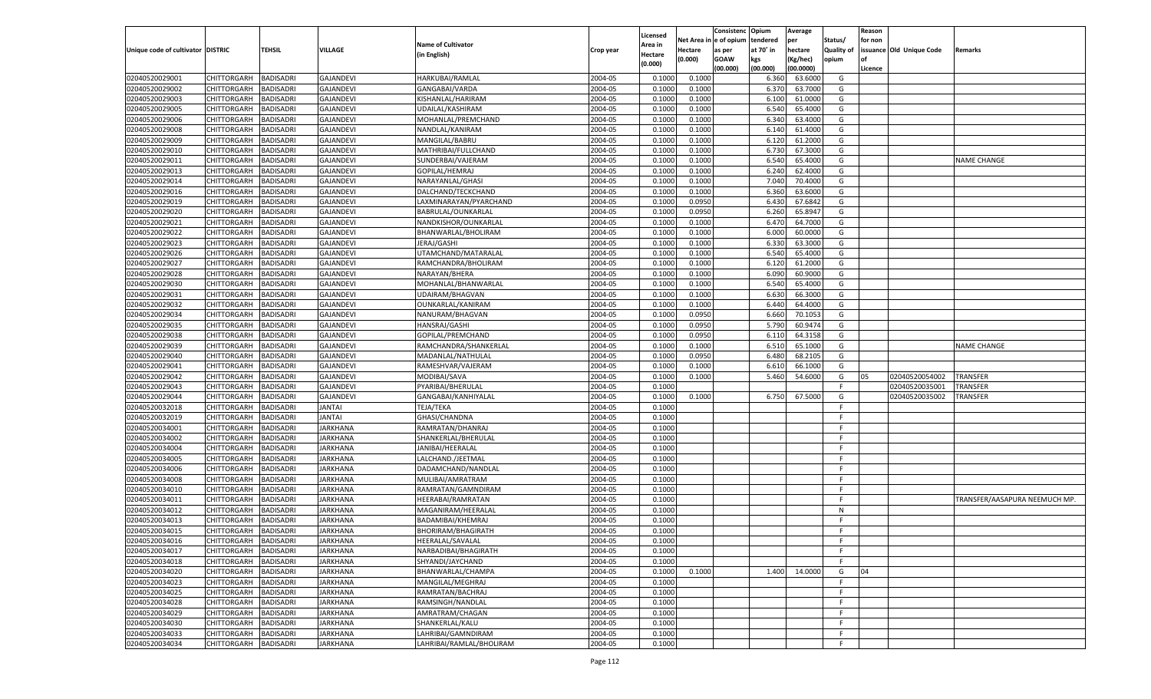|                                   |                       |                  |                  |                           |           |                    |            | Consistenc    | Opium     | Average   |                   | Reason  |                          |                              |
|-----------------------------------|-----------------------|------------------|------------------|---------------------------|-----------|--------------------|------------|---------------|-----------|-----------|-------------------|---------|--------------------------|------------------------------|
|                                   |                       |                  |                  |                           |           | Licensed           | Net Area i | n  e of opium | tendered  | per       | Status/           | for non |                          |                              |
| Unique code of cultivator DISTRIC |                       | TEHSIL           | <b>VILLAGE</b>   | <b>Name of Cultivator</b> | Crop year | Area in            | Hectare    | as per        | at 70° in | hectare   | <b>Quality of</b> |         | issuance Old Unique Code | Remarks                      |
|                                   |                       |                  |                  | (in English)              |           | Hectare<br>(0.000) | (0.000)    | <b>GOAW</b>   | kgs       | (Kg/hec)  | opium             |         |                          |                              |
|                                   |                       |                  |                  |                           |           |                    |            | (00.000)      | (00.000)  | (00.0000) |                   | Licence |                          |                              |
| 02040520029001                    | CHITTORGARH           | <b>BADISADRI</b> | <b>GAJANDEVI</b> | HARKUBAI/RAMLAL           | 2004-05   | 0.1000             | 0.1000     |               | 6.360     | 63.6000   | G                 |         |                          |                              |
| 02040520029002                    | CHITTORGARH           | BADISADRI        | <b>GAJANDEVI</b> | GANGABAI/VARDA            | 2004-05   | 0.100              | 0.1000     |               | 6.370     | 63.7000   | G                 |         |                          |                              |
| 02040520029003                    | CHITTORGARH           | BADISADRI        | <b>GAJANDEVI</b> | KISHANLAL/HARIRAM         | 2004-05   | 0.1000             | 0.1000     |               | 6.100     | 61.0000   | G                 |         |                          |                              |
| 02040520029005                    | CHITTORGARH           | BADISADRI        | <b>GAJANDEVI</b> | UDAILAL/KASHIRAM          | 2004-05   | 0.1000             | 0.1000     |               | 6.540     | 65.4000   | G                 |         |                          |                              |
| 02040520029006                    | CHITTORGARH           | BADISADRI        | <b>GAJANDEVI</b> | MOHANLAL/PREMCHAND        | 2004-05   | 0.1000             | 0.1000     |               | 6.340     | 63.4000   | G                 |         |                          |                              |
| 02040520029008                    | CHITTORGARH           | BADISADRI        | <b>GAJANDEVI</b> | NANDLAL/KANIRAM           | 2004-05   | 0.1000             | 0.1000     |               | 6.140     | 61.4000   | G                 |         |                          |                              |
| 02040520029009                    | CHITTORGARH           | BADISADRI        | <b>GAJANDEVI</b> | MANGILAL/BABRU            | 2004-05   | 0.1000             | 0.1000     |               | 6.120     | 61.2000   | G                 |         |                          |                              |
| 02040520029010                    | CHITTORGARH           | BADISADRI        | <b>GAJANDEVI</b> | MATHRIBAI/FULLCHAND       | 2004-05   | 0.1000             | 0.1000     |               | 6.730     | 67.3000   | G                 |         |                          |                              |
| 02040520029011                    | CHITTORGARH           | BADISADRI        | <b>GAJANDEVI</b> | SUNDERBAI/VAJERAM         | 2004-05   | 0.1000             | 0.1000     |               | 6.540     | 65.4000   | G                 |         |                          | <b>NAME CHANGE</b>           |
| 02040520029013                    | CHITTORGARH           | BADISADRI        | <b>GAJANDEVI</b> | GOPILAL/HEMRAJ            | 2004-05   | 0.1000             | 0.1000     |               | 6.240     | 62.4000   | G                 |         |                          |                              |
| 02040520029014                    | CHITTORGARH           | BADISADRI        | <b>GAJANDEVI</b> | NARAYANLAL/GHASI          | 2004-05   | 0.1000             | 0.1000     |               | 7.040     | 70.4000   | G                 |         |                          |                              |
| 02040520029016                    | CHITTORGARH           | BADISADRI        | <b>GAJANDEVI</b> | DALCHAND/TECKCHAND        | 2004-05   | 0.1000             | 0.1000     |               | 6.360     | 63.6000   | G                 |         |                          |                              |
| 02040520029019                    | CHITTORGARH           | BADISADRI        | <b>GAJANDEVI</b> | LAXMINARAYAN/PYARCHAND    | 2004-05   | 0.1000             | 0.0950     |               | 6.430     | 67.6842   | G                 |         |                          |                              |
| 02040520029020                    | CHITTORGARH           | BADISADRI        | <b>GAJANDEVI</b> | BABRULAL/OUNKARLAL        | 2004-05   | 0.1000             | 0.0950     |               | 6.260     | 65.8947   | G                 |         |                          |                              |
| 02040520029021                    | CHITTORGARH           | <b>BADISADRI</b> | <b>GAJANDEVI</b> | NANDKISHOR/OUNKARLAL      | 2004-05   | 0.1000             | 0.1000     |               | 6.470     | 64.7000   | G                 |         |                          |                              |
| 02040520029022                    | CHITTORGARH           | BADISADRI        | <b>GAJANDEVI</b> | BHANWARLAL/BHOLIRAM       | 2004-05   | 0.1000             | 0.1000     |               | 6.000     | 60.0000   | G                 |         |                          |                              |
| 02040520029023                    | CHITTORGARH           | <b>BADISADRI</b> | <b>GAJANDEVI</b> | JERAJ/GASHI               | 2004-05   | 0.1000             | 0.1000     |               | 6.330     | 63.3000   | G                 |         |                          |                              |
| 02040520029026                    | CHITTORGARH           | BADISADRI        | <b>GAJANDEVI</b> | UTAMCHAND/MATARALAL       | 2004-05   | 0.1000             | 0.1000     |               | 6.540     | 65.4000   | G                 |         |                          |                              |
|                                   | CHITTORGARH           | <b>BADISADRI</b> |                  |                           | 2004-05   |                    | 0.1000     |               |           | 61.2000   |                   |         |                          |                              |
| 02040520029027                    |                       |                  | <b>GAJANDEVI</b> | RAMCHANDRA/BHOLIRAM       |           | 0.1000             |            |               | 6.120     |           | G                 |         |                          |                              |
| 02040520029028                    | CHITTORGARH           | BADISADRI        | <b>GAJANDEVI</b> | NARAYAN/BHERA             | 2004-05   | 0.1000             | 0.1000     |               | 6.090     | 60.9000   | G                 |         |                          |                              |
| 02040520029030                    | CHITTORGARH           | <b>BADISADRI</b> | <b>GAJANDEVI</b> | MOHANLAL/BHANWARLAL       | 2004-05   | 0.1000             | 0.1000     |               | 6.540     | 65.4000   | G                 |         |                          |                              |
| 02040520029031                    | CHITTORGARH           | BADISADRI        | <b>GAJANDEVI</b> | UDAIRAM/BHAGVAN           | 2004-05   | 0.1000             | 0.1000     |               | 6.630     | 66.3000   | G                 |         |                          |                              |
| 02040520029032                    | CHITTORGARH           | <b>BADISADRI</b> | <b>GAJANDEVI</b> | OUNKARLAL/KANIRAM         | 2004-05   | 0.1000             | 0.1000     |               | 6.440     | 64.4000   | G                 |         |                          |                              |
| 02040520029034                    | CHITTORGARH           | BADISADRI        | <b>GAJANDEVI</b> | NANURAM/BHAGVAN           | 2004-05   | 0.1000             | 0.0950     |               | 6.660     | 70.1053   | G                 |         |                          |                              |
| 02040520029035                    | CHITTORGARH           | <b>BADISADRI</b> | <b>GAJANDEVI</b> | HANSRAJ/GASHI             | 2004-05   | 0.1000             | 0.0950     |               | 5.790     | 60.9474   | G                 |         |                          |                              |
| 02040520029038                    | CHITTORGARH           | BADISADRI        | <b>GAJANDEVI</b> | GOPILAL/PREMCHAND         | 2004-05   | 0.1000             | 0.0950     |               | 6.110     | 64.3158   | G                 |         |                          |                              |
| 02040520029039                    | CHITTORGARH           | <b>BADISADRI</b> | <b>GAJANDEVI</b> | RAMCHANDRA/SHANKERLAL     | 2004-05   | 0.1000             | 0.1000     |               | 6.510     | 65.1000   | G                 |         |                          | <b>NAME CHANGE</b>           |
| 02040520029040                    | CHITTORGARH           | BADISADRI        | <b>GAJANDEVI</b> | MADANLAL/NATHULAL         | 2004-05   | 0.1000             | 0.0950     |               | 6.480     | 68.2105   | G                 |         |                          |                              |
| 02040520029041                    | CHITTORGARH           | <b>BADISADRI</b> | <b>GAJANDEVI</b> | RAMESHVAR/VAJERAM         | 2004-05   | 0.1000             | 0.1000     |               | 6.610     | 66.1000   | G                 |         |                          |                              |
| 02040520029042                    | CHITTORGARH           | BADISADRI        | <b>GAJANDEVI</b> | MODIBAI/SAVA              | 2004-05   | 0.1000             | 0.1000     |               | 5.460     | 54.6000   | G                 | 05      | 02040520054002           | TRANSFER                     |
| 02040520029043                    | CHITTORGARH           | <b>BADISADRI</b> | <b>GAJANDEVI</b> | PYARIBAI/BHERULAL         | 2004-05   | 0.1000             |            |               |           |           | F.                |         | 02040520035001           | TRANSFER                     |
| 02040520029044                    | CHITTORGARH           | <b>BADISADRI</b> | <b>GAJANDEVI</b> | GANGABAI/KANHIYALAL       | 2004-05   | 0.1000             | 0.1000     |               | 6.750     | 67.5000   | G                 |         | 02040520035002           | TRANSFER                     |
| 02040520032018                    | CHITTORGARH           | <b>BADISADRI</b> | <b>JANTAI</b>    | <b>TEJA/TEKA</b>          | 2004-05   | 0.1000             |            |               |           |           | F.                |         |                          |                              |
| 02040520032019                    | CHITTORGARH           | BADISADRI        | <b>JANTAI</b>    | GHASI/CHANDNA             | 2004-05   | 0.1000             |            |               |           |           | F                 |         |                          |                              |
| 02040520034001                    | CHITTORGARH           | <b>BADISADRI</b> | <b>JARKHANA</b>  | RAMRATAN/DHANRAJ          | 2004-05   | 0.1000             |            |               |           |           | E                 |         |                          |                              |
| 02040520034002                    | CHITTORGARH           | <b>BADISADRI</b> | <b>JARKHANA</b>  | SHANKERLAL/BHERULAL       | 2004-05   | 0.1000             |            |               |           |           | F                 |         |                          |                              |
| 02040520034004                    | CHITTORGARH           | <b>BADISADRI</b> | <b>JARKHANA</b>  | JANIBAI/HEERALAL          | 2004-05   | 0.1000             |            |               |           |           | E                 |         |                          |                              |
| 02040520034005                    | CHITTORGARH           | BADISADRI        | JARKHANA         | LALCHAND./JEETMAL         | 2004-05   | 0.1000             |            |               |           |           | F                 |         |                          |                              |
| 02040520034006                    | CHITTORGARH           | <b>BADISADRI</b> | <b>JARKHANA</b>  | DADAMCHAND/NANDLAL        | 2004-05   | 0.1000             |            |               |           |           | E                 |         |                          |                              |
| 02040520034008                    | CHITTORGARH           | <b>BADISADRI</b> | <b>JARKHANA</b>  | MULIBAI/AMRATRAM          | 2004-05   | 0.1000             |            |               |           |           | F                 |         |                          |                              |
| 02040520034010                    | CHITTORGARH           | <b>BADISADRI</b> | <b>JARKHANA</b>  | RAMRATAN/GAMNDIRAM        | 2004-05   | 0.1000             |            |               |           |           | F                 |         |                          |                              |
| 02040520034011                    | CHITTORGARH           | BADISADRI        | JARKHANA         | HEERABAI/RAMRATAN         | 2004-05   | 0.1000             |            |               |           |           | F                 |         |                          | TRANSFER/AASAPURA NEEMUCH MP |
| 02040520034012                    | CHITTORGARH           | BADISADRI        | <b>JARKHANA</b>  | MAGANIRAM/HEERALAL        | 2004-05   | 0.1000             |            |               |           |           | N                 |         |                          |                              |
| 02040520034013                    | CHITTORGARH           | BADISADRI        | JARKHANA         | BADAMIBAI/KHEMRAJ         | 2004-05   | 0.1000             |            |               |           |           | F                 |         |                          |                              |
| 02040520034015                    | CHITTORGARH           | <b>BADISADRI</b> | <b>JARKHANA</b>  | <b>BHORIRAM/BHAGIRATH</b> | 2004-05   | 0.1000             |            |               |           |           | F.                |         |                          |                              |
| 02040520034016                    | CHITTORGARH BADISADRI |                  | JARKHANA         | HEERALAL/SAVALAL          | 2004-05   | 0.1000             |            |               |           |           | F                 |         |                          |                              |
| 02040520034017                    | <b>CHITTORGARH</b>    | <b>BADISADRI</b> | <b>JARKHANA</b>  | NARBADIBAI/BHAGIRATH      | 2004-05   | 0.1000             |            |               |           |           | F.                |         |                          |                              |
| 02040520034018                    | <b>CHITTORGARH</b>    | <b>BADISADRI</b> | <b>JARKHANA</b>  | SHYANDI/JAYCHAND          | 2004-05   | 0.1000             |            |               |           |           | F.                |         |                          |                              |
| 02040520034020                    |                       | <b>BADISADRI</b> | <b>JARKHANA</b>  |                           | 2004-05   |                    | 0.1000     |               | 1.400     |           |                   | 04      |                          |                              |
|                                   | CHITTORGARH           |                  |                  | BHANWARLAL/CHAMPA         |           | 0.1000             |            |               |           | 14.0000   | G                 |         |                          |                              |
| 02040520034023                    | CHITTORGARH           | <b>BADISADRI</b> | <b>JARKHANA</b>  | MANGILAL/MEGHRAJ          | 2004-05   | 0.1000             |            |               |           |           | F.                |         |                          |                              |
| 02040520034025                    | CHITTORGARH           | <b>BADISADRI</b> | <b>JARKHANA</b>  | RAMRATAN/BACHRAJ          | 2004-05   | 0.1000             |            |               |           |           | F.                |         |                          |                              |
| 02040520034028                    | CHITTORGARH           | <b>BADISADRI</b> | <b>JARKHANA</b>  | RAMSINGH/NANDLAL          | 2004-05   | 0.1000             |            |               |           |           | F.                |         |                          |                              |
| 02040520034029                    | <b>CHITTORGARH</b>    | <b>BADISADRI</b> | <b>JARKHANA</b>  | AMRATRAM/CHAGAN           | 2004-05   | 0.1000             |            |               |           |           | F.                |         |                          |                              |
| 02040520034030                    | CHITTORGARH           | <b>BADISADRI</b> | <b>JARKHANA</b>  | SHANKERLAL/KALU           | 2004-05   | 0.1000             |            |               |           |           | F.                |         |                          |                              |
| 02040520034033                    | <b>CHITTORGARH</b>    | <b>BADISADRI</b> | <b>JARKHANA</b>  | LAHRIBAI/GAMNDIRAM        | 2004-05   | 0.1000             |            |               |           |           | F.                |         |                          |                              |
| 02040520034034                    | <b>CHITTORGARH</b>    | <b>BADISADRI</b> | <b>JARKHANA</b>  | LAHRIBAI/RAMLAL/BHOLIRAM  | 2004-05   | 0.1000             |            |               |           |           | F.                |         |                          |                              |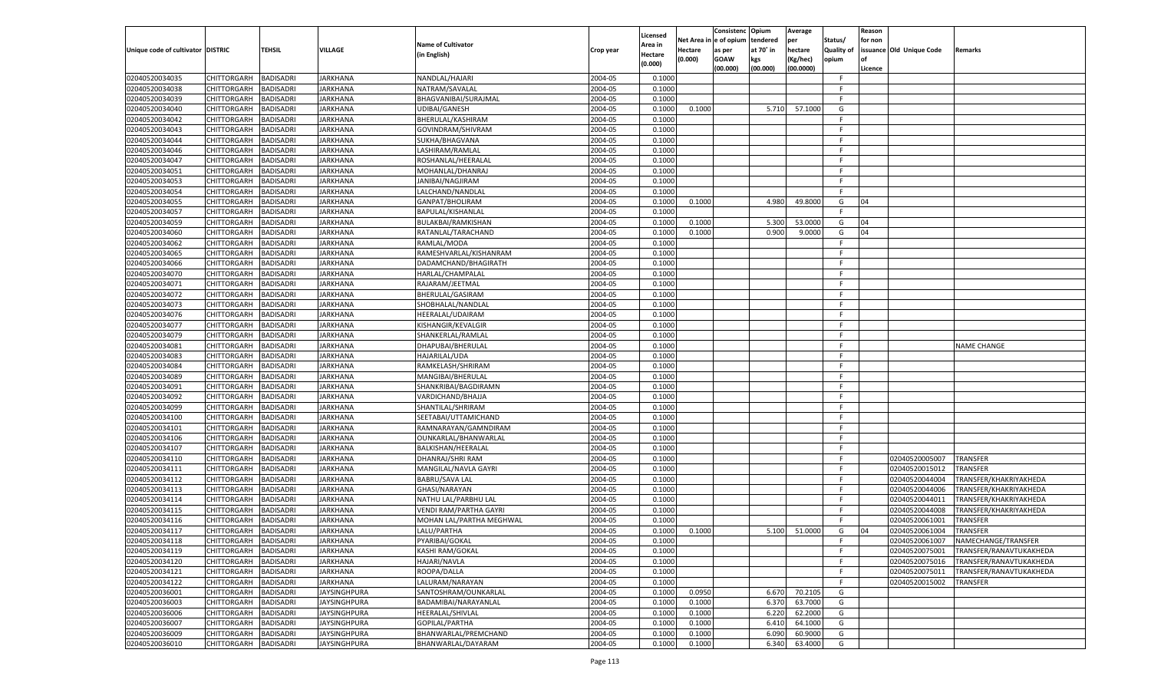|                                   |                    |                  |                     |                           |           |                    |         | Consistenc Opium       |           | Average   |                   | Reason  |                          |                         |
|-----------------------------------|--------------------|------------------|---------------------|---------------------------|-----------|--------------------|---------|------------------------|-----------|-----------|-------------------|---------|--------------------------|-------------------------|
|                                   |                    |                  |                     | <b>Name of Cultivator</b> |           | Licensed           |         | Net Area in e of opium | tendered  | per       | Status/           | for non |                          |                         |
| Unique code of cultivator DISTRIC |                    | TEHSIL           | VILLAGE             |                           | Crop year | Area in            | Hectare | as per                 | at 70° in | hectare   | <b>Quality of</b> |         | issuance Old Unique Code | <b>Remarks</b>          |
|                                   |                    |                  |                     | (in English)              |           | Hectare<br>(0.000) | (0.000) | <b>GOAW</b>            | kgs       | (Kg/hec)  | opium             |         |                          |                         |
|                                   |                    |                  |                     |                           |           |                    |         | (00.000)               | (00.000)  | (00.0000) |                   | Licence |                          |                         |
| 02040520034035                    | CHITTORGARH        | <b>BADISADRI</b> | <b>JARKHANA</b>     | NANDLAL/HAJARI            | 2004-05   | 0.1000             |         |                        |           |           | -F.               |         |                          |                         |
| 02040520034038                    | CHITTORGARH        | <b>BADISADRI</b> | <b>JARKHANA</b>     | NATRAM/SAVALAL            | 2004-05   | 0.1000             |         |                        |           |           | F                 |         |                          |                         |
| 02040520034039                    | CHITTORGARH        | <b>BADISADRI</b> | <b>JARKHANA</b>     | BHAGVANIBAI/SURAJMAL      | 2004-05   | 0.1000             |         |                        |           |           | F.                |         |                          |                         |
| 02040520034040                    | CHITTORGARH        | <b>BADISADRI</b> | <b>JARKHANA</b>     | UDIBAI/GANESH             | 2004-05   | 0.1000             | 0.1000  |                        | 5.710     | 57.1000   | G                 |         |                          |                         |
| 02040520034042                    | CHITTORGARH        | <b>BADISADRI</b> | JARKHANA            | BHERULAL/KASHIRAM         | 2004-05   | 0.1000             |         |                        |           |           | F.                |         |                          |                         |
| 02040520034043                    | CHITTORGARH        | <b>BADISADRI</b> | JARKHANA            | GOVINDRAM/SHIVRAM         | 2004-05   | 0.1000             |         |                        |           |           | -F                |         |                          |                         |
| 02040520034044                    | CHITTORGARH        | <b>BADISADRI</b> | <b>JARKHANA</b>     | SUKHA/BHAGVANA            | 2004-05   | 0.1000             |         |                        |           |           | F.                |         |                          |                         |
| 02040520034046                    | CHITTORGARH        | <b>BADISADRI</b> | <b>JARKHANA</b>     | LASHIRAM/RAMLAL           | 2004-05   | 0.1000             |         |                        |           |           | F.                |         |                          |                         |
| 02040520034047                    | CHITTORGARH        | <b>BADISADRI</b> | JARKHANA            | ROSHANLAL/HEERALAL        | 2004-05   | 0.1000             |         |                        |           |           | F.                |         |                          |                         |
| 02040520034051                    | CHITTORGARH        | <b>BADISADRI</b> | JARKHANA            | MOHANLAL/DHANRAJ          | 2004-05   | 0.1000             |         |                        |           |           | -F                |         |                          |                         |
| 02040520034053                    | CHITTORGARH        | <b>BADISADRI</b> | <b>JARKHANA</b>     | <b>JANIBAI/NAGJIRAM</b>   | 2004-05   | 0.1000             |         |                        |           |           | F.                |         |                          |                         |
| 02040520034054                    | CHITTORGARH        | <b>BADISADRI</b> | <b>JARKHANA</b>     | LALCHAND/NANDLAL          | 2004-05   | 0.1000             |         |                        |           |           | -F.               |         |                          |                         |
| 02040520034055                    | CHITTORGARH        | BADISADRI        | JARKHANA            | GANPAT/BHOLIRAM           | 2004-05   | 0.1000             | 0.1000  |                        | 4.980     | 49.8000   | G                 | 04      |                          |                         |
| 02040520034057                    | CHITTORGARH        | BADISADRI        | JARKHANA            | BAPULAL/KISHANLAL         | 2004-05   | 0.100              |         |                        |           |           | E                 |         |                          |                         |
| 02040520034059                    | CHITTORGARH        | BADISADRI        | JARKHANA            | BULAKBAI/RAMKISHAN        | 2004-05   | 0.1000             | 0.1000  |                        | 5.300     | 53.0000   | G                 | 04      |                          |                         |
| 02040520034060                    | CHITTORGARH        | BADISADRI        | JARKHANA            | RATANLAL/TARACHAND        | 2004-05   | 0.1000             | 0.1000  |                        | 0.900     | 9.0000    | G                 | 04      |                          |                         |
| 02040520034062                    | CHITTORGARH        | BADISADRI        | JARKHANA            | RAMLAL/MODA               | 2004-05   | 0.1000             |         |                        |           |           | F.                |         |                          |                         |
| 02040520034065                    | CHITTORGARH        | BADISADRI        | JARKHANA            | RAMESHVARLAL/KISHANRAM    | 2004-05   | 0.1000             |         |                        |           |           | E                 |         |                          |                         |
| 02040520034066                    | CHITTORGARH        | BADISADRI        | JARKHANA            | DADAMCHAND/BHAGIRATH      | 2004-05   | 0.1000             |         |                        |           |           | F.                |         |                          |                         |
| 02040520034070                    | CHITTORGARH        | BADISADRI        | JARKHANA            | HARLAL/CHAMPALAL          | 2004-05   | 0.1000             |         |                        |           |           | -F                |         |                          |                         |
| 02040520034071                    | CHITTORGARH        | BADISADRI        | JARKHANA            | RAJARAM/JEETMAL           | 2004-05   | 0.1000             |         |                        |           |           | F.                |         |                          |                         |
| 02040520034072                    | CHITTORGARH        | BADISADRI        | JARKHANA            | BHERULAL/GASIRAM          | 2004-05   | 0.1000             |         |                        |           |           | -F                |         |                          |                         |
| 02040520034073                    | CHITTORGARH        | BADISADRI        | JARKHANA            | SHOBHALAL/NANDLAL         | 2004-05   | 0.1000             |         |                        |           |           | F.                |         |                          |                         |
| 02040520034076                    | CHITTORGARH        | BADISADRI        | JARKHANA            | HEERALAL/UDAIRAM          | 2004-05   | 0.1000             |         |                        |           |           | -F                |         |                          |                         |
| 02040520034077                    | CHITTORGARH        | BADISADRI        | JARKHANA            | KISHANGIR/KEVALGIR        | 2004-05   | 0.1000             |         |                        |           |           | F.                |         |                          |                         |
| 02040520034079                    | CHITTORGARH        | BADISADRI        | JARKHANA            | SHANKERLAL/RAMLAL         | 2004-05   | 0.1000             |         |                        |           |           | -F                |         |                          |                         |
| 02040520034081                    | CHITTORGARH        | BADISADRI        | JARKHANA            | DHAPUBAI/BHERULAL         | 2004-05   | 0.1000             |         |                        |           |           | F.                |         |                          | <b>NAME CHANGE</b>      |
| 02040520034083                    | CHITTORGARH        | BADISADRI        | JARKHANA            | HAJARILAL/UDA             | 2004-05   | 0.1000             |         |                        |           |           | -F                |         |                          |                         |
| 02040520034084                    | CHITTORGARH        | <b>BADISADRI</b> | JARKHANA            | RAMKELASH/SHRIRAM         | 2004-05   | 0.1000             |         |                        |           |           | F.                |         |                          |                         |
| 02040520034089                    | CHITTORGARH        | BADISADRI        | JARKHANA            | MANGIBAI/BHERULAL         | 2004-05   | 0.1000             |         |                        |           |           | -F                |         |                          |                         |
|                                   |                    |                  |                     |                           | 2004-05   | 0.1000             |         |                        |           |           | F.                |         |                          |                         |
| 02040520034091                    | CHITTORGARH        | BADISADRI        | JARKHANA            | SHANKRIBAI/BAGDIRAMN      | 2004-05   | 0.1000             |         |                        |           |           | -F                |         |                          |                         |
| 02040520034092                    | CHITTORGARH        | BADISADRI        | JARKHANA            | VARDICHAND/BHAJJA         |           |                    |         |                        |           |           | F.                |         |                          |                         |
| 02040520034099                    | CHITTORGARH        | BADISADRI        | JARKHANA            | SHANTILAL/SHRIRAM         | 2004-05   | 0.1000             |         |                        |           |           | -F                |         |                          |                         |
| 02040520034100                    | CHITTORGARH        | BADISADRI        | JARKHANA            | SEETABAI/UTTAMICHAND      | 2004-05   | 0.1000             |         |                        |           |           |                   |         |                          |                         |
| 02040520034101                    | CHITTORGARH        | BADISADRI        | JARKHANA            | RAMNARAYAN/GAMNDIRAM      | 2004-05   | 0.1000             |         |                        |           |           | F.                |         |                          |                         |
| 02040520034106                    | CHITTORGARH        | BADISADRI        | JARKHANA            | OUNKARLAL/BHANWARLAL      | 2004-05   | 0.1000             |         |                        |           |           | -F                |         |                          |                         |
| 02040520034107                    | CHITTORGARH        | BADISADRI        | JARKHANA            | BALKISHAN/HEERALAL        | 2004-05   | 0.1000             |         |                        |           |           | F.                |         |                          |                         |
| 02040520034110                    | CHITTORGARH        | BADISADRI        | JARKHANA            | DHANRAJ/SHRI RAM          | 2004-05   | 0.1000             |         |                        |           |           | E                 |         | 02040520005007           | TRANSFER                |
| 02040520034111                    | CHITTORGARH        | BADISADRI        | JARKHANA            | MANGILAL/NAVLA GAYRI      | 2004-05   | 0.1000             |         |                        |           |           | E                 |         | 02040520015012           | TRANSFER                |
| 02040520034112                    | CHITTORGARH        | BADISADRI        | JARKHANA            | <b>BABRU/SAVA LAL</b>     | 2004-05   | 0.1000             |         |                        |           |           | -F                |         | 02040520044004           | TRANSFER/KHAKRIYAKHEDA  |
| 02040520034113                    | CHITTORGARH        | BADISADRI        | JARKHANA            | GHASI/NARAYAN             | 2004-05   | 0.1000             |         |                        |           |           | F.                |         | 02040520044006           | TRANSFER/KHAKRIYAKHEDA  |
| 02040520034114                    | CHITTORGARH        | BADISADRI        | JARKHANA            | NATHU LAL/PARBHU LAL      | 2004-05   | 0.1000             |         |                        |           |           | -F                |         | 02040520044011           | TRANSFER/KHAKRIYAKHEDA  |
| 02040520034115                    | CHITTORGARH        | BADISADRI        | JARKHANA            | VENDI RAM/PARTHA GAYRI    | 2004-05   | 0.1000             |         |                        |           |           | F.                |         | 02040520044008           | TRANSFER/KHAKRIYAKHEDA  |
| 02040520034116                    | CHITTORGARH        | BADISADRI        | JARKHANA            | MOHAN LAL/PARTHA MEGHWAL  | 2004-05   | 0.1000             |         |                        |           |           | -F                |         | 02040520061001           | TRANSFER                |
| 02040520034117                    | CHITTORGARH        | BADISADRI        | JARKHANA            | LALU/PARTHA               | 2004-05   | 0.1000             | 0.1000  |                        | 5.100     | 51.0000   | G                 | 04      | 02040520061004           | TRANSFER                |
| 02040520034118                    | CHITTORGARH        | <b>BADISADRI</b> | <b>JARKHANA</b>     | PYARIBAI/GOKAL            | 2004-05   | 0.1000             |         |                        |           |           |                   |         | 02040520061007           | NAMECHANGE/TRANSFER     |
| 02040520034119                    | <b>CHITTORGARH</b> | <b>BADISADRI</b> | <b>JARKHANA</b>     | KASHI RAM/GOKAL           | 2004-05   | 0.1000             |         |                        |           |           | F.                |         | 02040520075001           | TRANSFER/RANAVTUKAKHEDA |
| 02040520034120                    | CHITTORGARH        | <b>BADISADRI</b> | <b>JARKHANA</b>     | HAJARI/NAVLA              | 2004-05   | 0.1000             |         |                        |           |           | F.                |         | 02040520075016           | TRANSFER/RANAVTUKAKHEDA |
| 02040520034121                    | <b>CHITTORGARH</b> | <b>BADISADRI</b> | <b>JARKHANA</b>     | ROOPA/DALLA               | 2004-05   | 0.1000             |         |                        |           |           | F.                |         | 02040520075011           | TRANSFER/RANAVTUKAKHEDA |
| 02040520034122                    | <b>CHITTORGARH</b> | <b>BADISADRI</b> | <b>JARKHANA</b>     | LALURAM/NARAYAN           | 2004-05   | 0.1000             |         |                        |           |           | E                 |         | 02040520015002           | TRANSFER                |
| 02040520036001                    | CHITTORGARH        | <b>BADISADRI</b> | <b>JAYSINGHPURA</b> | SANTOSHRAM/OUNKARLAL      | 2004-05   | 0.1000             | 0.0950  |                        | 6.670     | 70.2105   | G                 |         |                          |                         |
| 02040520036003                    | CHITTORGARH        | <b>BADISADRI</b> | JAYSINGHPURA        | BADAMIBAI/NARAYANLAL      | 2004-05   | 0.1000             | 0.1000  |                        | 6.370     | 63.7000   | G                 |         |                          |                         |
| 02040520036006                    | <b>CHITTORGARH</b> | BADISADRI        | <b>JAYSINGHPURA</b> | HEERALAL/SHIVLAL          | 2004-05   | 0.1000             | 0.1000  |                        | 6.220     | 62.2000   | G                 |         |                          |                         |
| 02040520036007                    | CHITTORGARH        | <b>BADISADRI</b> | JAYSINGHPURA        | GOPILAL/PARTHA            | 2004-05   | 0.1000             | 0.1000  |                        | 6.410     | 64.1000   | G                 |         |                          |                         |
| 02040520036009                    | <b>CHITTORGARH</b> | <b>BADISADRI</b> | <b>JAYSINGHPURA</b> | BHANWARLAL/PREMCHAND      | 2004-05   | 0.1000             | 0.1000  |                        | 6.090     | 60.9000   | G                 |         |                          |                         |
| 02040520036010                    | <b>CHITTORGARH</b> | <b>BADISADRI</b> | <b>JAYSINGHPURA</b> | BHANWARLAL/DAYARAM        | 2004-05   | 0.1000             | 0.1000  |                        | 6.340     | 63.4000   | G                 |         |                          |                         |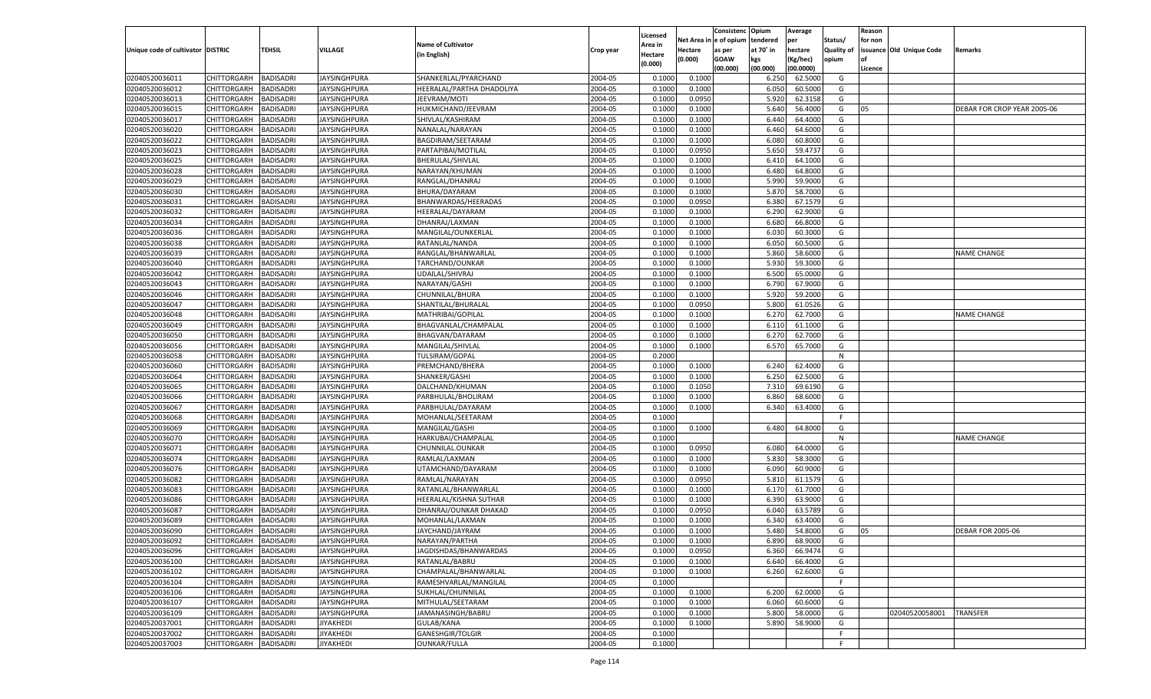|                                   |                                   |                  |                     |                           |           | Licensed |                        | Consistenc  | Opium          | Average              |                   | Reason  |                          |                             |
|-----------------------------------|-----------------------------------|------------------|---------------------|---------------------------|-----------|----------|------------------------|-------------|----------------|----------------------|-------------------|---------|--------------------------|-----------------------------|
|                                   |                                   |                  |                     | <b>Name of Cultivator</b> |           | Area in  | Net Area in e of opium |             | tendered       | per                  | Status/           | for non |                          |                             |
| Unique code of cultivator DISTRIC |                                   | <b>TEHSIL</b>    | <b>VILLAGE</b>      | (in English)              | Crop year | Hectare  | <b>Hectare</b>         | as per      | at 70° in      | hectare              | <b>Quality of</b> |         | issuance Old Unique Code | Remarks                     |
|                                   |                                   |                  |                     |                           |           | (0.000)  | (0.000)                | <b>GOAW</b> | kgs            | (Kg/hec)             | opium             |         |                          |                             |
| 02040520036011                    | CHITTORGARH                       | <b>BADISADRI</b> | <b>JAYSINGHPURA</b> | SHANKERLAL/PYARCHAND      | 2004-05   | 0.1000   | 0.1000                 | (00.000)    | (00.000)       | (00.0000)<br>62.5000 | G                 | Licence |                          |                             |
| 02040520036012                    |                                   | <b>BADISADRI</b> | <b>JAYSINGHPURA</b> | HEERALAL/PARTHA DHADOLIYA | 2004-05   | 0.1000   |                        |             | 6.250          |                      | G                 |         |                          |                             |
| 02040520036013                    | CHITTORGARH<br><b>CHITTORGARH</b> | <b>BADISADRI</b> | <b>JAYSINGHPURA</b> | JEEVRAM/MOTI              | 2004-05   | 0.1000   | 0.1000<br>0.0950       |             | 6.050<br>5.920 | 60.5000<br>62.3158   | G                 |         |                          |                             |
| 02040520036015                    |                                   |                  |                     |                           | 2004-05   | 0.1000   | 0.1000                 |             | 5.640          | 56.4000              | G                 | 05      |                          | DEBAR FOR CROP YEAR 2005-06 |
|                                   | CHITTORGARH                       | <b>BADISADRI</b> | <b>JAYSINGHPURA</b> | HUKMICHAND/JEEVRAM        | 2004-05   |          |                        |             |                |                      |                   |         |                          |                             |
| 02040520036017                    | CHITTORGARH                       | <b>BADISADRI</b> | <b>JAYSINGHPURA</b> | SHIVLAL/KASHIRAM          |           | 0.1000   | 0.1000                 |             | 6.440          | 64.4000              | G                 |         |                          |                             |
| 02040520036020                    | CHITTORGARH                       | <b>BADISADRI</b> | <b>JAYSINGHPURA</b> | NANALAL/NARAYAN           | 2004-05   | 0.1000   | 0.1000                 |             | 6.460          | 64.6000              | G                 |         |                          |                             |
| 02040520036022                    | CHITTORGARH                       | <b>BADISADRI</b> | <b>JAYSINGHPURA</b> | BAGDIRAM/SEETARAM         | 2004-05   | 0.1000   | 0.1000                 |             | 6.080          | 60.8000              | G                 |         |                          |                             |
| 02040520036023                    | CHITTORGARH                       | <b>BADISADRI</b> | <b>JAYSINGHPURA</b> | PARTAPIBAI/MOTILAL        | 2004-05   | 0.1000   | 0.0950                 |             | 5.650          | 59.4737              | G                 |         |                          |                             |
| 02040520036025                    | CHITTORGARH                       | <b>BADISADRI</b> | <b>JAYSINGHPURA</b> | BHERULAL/SHIVLAL          | 2004-05   | 0.1000   | 0.1000                 |             | 6.410          | 64.1000              | G                 |         |                          |                             |
| 02040520036028                    | CHITTORGARH                       | <b>BADISADRI</b> | <b>JAYSINGHPURA</b> | NARAYAN/KHUMAN            | 2004-05   | 0.1000   | 0.1000                 |             | 6.480          | 64.8000              | G                 |         |                          |                             |
| 02040520036029                    | CHITTORGARH                       | <b>BADISADRI</b> | <b>JAYSINGHPURA</b> | RANGLAL/DHANRAJ           | 2004-05   | 0.1000   | 0.1000                 |             | 5.990          | 59.9000              | G                 |         |                          |                             |
| 02040520036030                    | CHITTORGARH                       | <b>BADISADRI</b> | <b>JAYSINGHPURA</b> | BHURA/DAYARAM             | 2004-05   | 0.1000   | 0.1000                 |             | 5.870          | 58.7000              | G                 |         |                          |                             |
| 02040520036031                    | CHITTORGARH                       | <b>BADISADRI</b> | <b>JAYSINGHPURA</b> | BHANWARDAS/HEERADAS       | 2004-05   | 0.1000   | 0.0950                 |             | 6.380          | 67.1579              | G                 |         |                          |                             |
| 02040520036032                    | CHITTORGARH                       | <b>BADISADRI</b> | <b>JAYSINGHPURA</b> | HEERALAL/DAYARAM          | 2004-05   | 0.1000   | 0.1000                 |             | 6.290          | 62.9000              | G                 |         |                          |                             |
| 02040520036034                    | <b>CHITTORGARH</b>                | <b>BADISADRI</b> | <b>JAYSINGHPURA</b> | DHANRAJ/LAXMAN            | 2004-05   | 0.1000   | 0.1000                 |             | 6.680          | 66.8000              | G                 |         |                          |                             |
| 02040520036036                    | CHITTORGARH                       | <b>BADISADRI</b> | <b>JAYSINGHPURA</b> | MANGILAL/OUNKERLAL        | 2004-05   | 0.1000   | 0.1000                 |             | 6.030          | 60.3000              | G                 |         |                          |                             |
| 02040520036038                    | CHITTORGARH                       | <b>BADISADRI</b> | <b>JAYSINGHPURA</b> | RATANLAL/NANDA            | 2004-05   | 0.1000   | 0.1000                 |             | 6.050          | 60.5000              | G                 |         |                          |                             |
| 02040520036039                    | CHITTORGARH                       | <b>BADISADRI</b> | <b>JAYSINGHPURA</b> | RANGLAL/BHANWARLAI        | 2004-05   | 0.1000   | 0.1000                 |             | 5.860          | 58.6000              | G                 |         |                          | <b>VAME CHANGE</b>          |
| 02040520036040                    | <b>CHITTORGARH</b>                | <b>BADISADRI</b> | <b>JAYSINGHPURA</b> | TARCHAND/OUNKAR           | 2004-05   | 0.1000   | 0.1000                 |             | 5.930          | 59.3000              | G                 |         |                          |                             |
| 02040520036042                    | CHITTORGARH                       | <b>BADISADRI</b> | <b>JAYSINGHPURA</b> | UDAILAL/SHIVRAJ           | 2004-05   | 0.1000   | 0.1000                 |             | 6.500          | 65.0000              | G                 |         |                          |                             |
| 02040520036043                    | CHITTORGARH                       | <b>BADISADRI</b> | <b>JAYSINGHPURA</b> | NARAYAN/GASHI             | 2004-05   | 0.1000   | 0.1000                 |             | 6.790          | 67.9000              | G                 |         |                          |                             |
| 02040520036046                    | CHITTORGARH                       | <b>BADISADRI</b> | <b>JAYSINGHPURA</b> | CHUNNILAL/BHURA           | 2004-05   | 0.1000   | 0.1000                 |             | 5.920          | 59.2000              | G                 |         |                          |                             |
| 02040520036047                    | <b>CHITTORGARH</b>                | <b>BADISADRI</b> | <b>JAYSINGHPURA</b> | SHANTILAL/BHURALAI        | 2004-05   | 0.1000   | 0.0950                 |             | 5.800          | 61.0526              | G                 |         |                          |                             |
| 02040520036048                    | CHITTORGARH                       | <b>BADISADRI</b> | <b>JAYSINGHPURA</b> | MATHRIBAI/GOPILAL         | 2004-05   | 0.1000   | 0.1000                 |             | 6.270          | 62.7000              | G                 |         |                          | NAME CHANGE                 |
| 02040520036049                    | CHITTORGARH                       | <b>BADISADRI</b> | <b>JAYSINGHPURA</b> | BHAGVANLAL/CHAMPALAL      | 2004-05   | 0.1000   | 0.1000                 |             | 6.110          | 61.1000              | G                 |         |                          |                             |
| 02040520036050                    | CHITTORGARH                       | <b>BADISADRI</b> | <b>JAYSINGHPURA</b> | BHAGVAN/DAYARAM           | 2004-05   | 0.1000   | 0.1000                 |             | 6.270          | 62.7000              | G                 |         |                          |                             |
| 02040520036056                    | <b>CHITTORGARH</b>                | <b>BADISADRI</b> | <b>JAYSINGHPURA</b> | MANGILAL/SHIVLAL          | 2004-05   | 0.1000   | 0.1000                 |             | 6.570          | 65.7000              | G                 |         |                          |                             |
| 02040520036058                    | CHITTORGARH                       | <b>BADISADRI</b> | <b>JAYSINGHPURA</b> | TULSIRAM/GOPAL            | 2004-05   | 0.2000   |                        |             |                |                      | N                 |         |                          |                             |
| 02040520036060                    | CHITTORGARH                       | <b>BADISADRI</b> | <b>JAYSINGHPURA</b> | PREMCHAND/BHERA           | 2004-05   | 0.1000   | 0.1000                 |             | 6.240          | 62.4000              | G                 |         |                          |                             |
| 02040520036064                    | CHITTORGARH                       | <b>BADISADRI</b> | <b>JAYSINGHPURA</b> | SHANKER/GASHI             | 2004-05   | 0.1000   | 0.1000                 |             | 6.250          | 62.5000              | G                 |         |                          |                             |
| 02040520036065                    | <b>CHITTORGARH</b>                | <b>BADISADRI</b> | <b>JAYSINGHPURA</b> | DALCHAND/KHUMAN           | 2004-05   | 0.1000   | 0.1050                 |             | 7.310          | 69.6190              | G                 |         |                          |                             |
| 02040520036066                    | CHITTORGARH                       | <b>BADISADRI</b> | <b>JAYSINGHPURA</b> | PARBHULAL/BHOLIRAM        | 2004-05   | 0.1000   | 0.1000                 |             | 6.860          | 68.6000              | G                 |         |                          |                             |
| 02040520036067                    | <b>CHITTORGARH</b>                | <b>BADISADRI</b> | <b>JAYSINGHPURA</b> | PARBHULAL/DAYARAM         | 2004-05   | 0.1000   | 0.1000                 |             | 6.340          | 63.4000              | G                 |         |                          |                             |
| 02040520036068                    | CHITTORGARH                       | <b>BADISADRI</b> | <b>JAYSINGHPURA</b> | MOHANLAL/SEETARAM         | 2004-05   | 0.1000   |                        |             |                |                      | F.                |         |                          |                             |
| 02040520036069                    | <b>CHITTORGARH</b>                | <b>BADISADRI</b> | <b>JAYSINGHPURA</b> | MANGILAL/GASHI            | 2004-05   | 0.1000   | 0.1000                 |             | 6.480          | 64.8000              | G                 |         |                          |                             |
| 02040520036070                    | CHITTORGARH                       | <b>BADISADRI</b> | <b>JAYSINGHPURA</b> | HARKUBAI/CHAMPALAL        | 2004-05   | 0.1000   |                        |             |                |                      | N                 |         |                          | <b>NAME CHANGE</b>          |
| 02040520036071                    | <b>CHITTORGARH</b>                | <b>BADISADRI</b> | <b>JAYSINGHPURA</b> | CHUNNILAL.OUNKAR          | 2004-05   | 0.1000   | 0.0950                 |             | 6.080          | 64.0000              | G                 |         |                          |                             |
| 02040520036074                    | CHITTORGARH                       | <b>BADISADRI</b> | <b>JAYSINGHPURA</b> | RAMLAL/LAXMAN             | 2004-05   | 0.1000   | 0.1000                 |             | 5.830          | 58.3000              | G                 |         |                          |                             |
| 02040520036076                    | <b>CHITTORGARH</b>                | <b>BADISADRI</b> | <b>JAYSINGHPURA</b> | UTAMCHAND/DAYARAM         | 2004-05   | 0.1000   | 0.1000                 |             | 6.090          | 60.9000              | G                 |         |                          |                             |
| 02040520036082                    | CHITTORGARH                       | <b>BADISADRI</b> | <b>JAYSINGHPURA</b> | RAMLAL/NARAYAN            | 2004-05   | 0.1000   | 0.0950                 |             | 5.810          | 61.1579              | G                 |         |                          |                             |
| 02040520036083                    | <b>CHITTORGARH</b>                | <b>BADISADRI</b> | <b>JAYSINGHPURA</b> | RATANLAL/BHANWARLAL       | 2004-05   | 0.1000   | 0.1000                 |             | 6.170          | 61.7000              | G                 |         |                          |                             |
| 02040520036086                    | CHITTORGARH                       | <b>BADISADRI</b> | <b>JAYSINGHPURA</b> | HEERALAL/KISHNA SUTHAR    | 2004-05   | 0.1000   | 0.1000                 |             | 6.390          | 63.9000              | G                 |         |                          |                             |
| 02040520036087                    | <b>CHITTORGARH</b>                | <b>BADISADRI</b> | <b>JAYSINGHPURA</b> | DHANRAJ/OUNKAR DHAKAD     | 2004-05   | 0.1000   | 0.0950                 |             | 6.040          | 63.5789              | G                 |         |                          |                             |
| 02040520036089                    | CHITTORGARH                       | <b>BADISADRI</b> | <b>JAYSINGHPURA</b> | MOHANLAL/LAXMAN           | 2004-05   | 0.1000   | 0.1000                 |             | 6.340          | 63.4000              | G                 |         |                          |                             |
| 02040520036090                    | CHITTORGARH                       | <b>BADISADRI</b> | <b>JAYSINGHPURA</b> | JAYCHAND/JAYRAM           | 2004-05   | 0.1000   | 0.1000                 |             | 5.480          | 54.8000              | G                 | 05      |                          | <b>DEBAR FOR 2005-06</b>    |
| 02040520036092                    | CHITTORGARH BADISADRI             |                  | <b>JAYSINGHPURA</b> | NARAYAN/PARTHA            | 2004-05   | 0.1000   | 0.1000                 |             | 6.890          | 68.9000              | G                 |         |                          |                             |
| 02040520036096                    | <b>CHITTORGARH</b>                | <b>BADISADRI</b> | <b>JAYSINGHPURA</b> | JAGDISHDAS/BHANWARDAS     | 2004-05   | 0.1000   | 0.0950                 |             | 6.360          | 66.9474              | G                 |         |                          |                             |
| 02040520036100                    | <b>CHITTORGARH</b>                | <b>BADISADRI</b> | <b>JAYSINGHPURA</b> | RATANLAL/BABRU            | 2004-05   | 0.1000   | 0.1000                 |             | 6.640          | 66.4000              | G                 |         |                          |                             |
| 02040520036102                    | <b>CHITTORGARH</b>                | <b>BADISADRI</b> | <b>JAYSINGHPURA</b> | CHAMPALAL/BHANWARLAL      | 2004-05   | 0.1000   | 0.1000                 |             | 6.260          | 62.6000              | G                 |         |                          |                             |
| 02040520036104                    | <b>CHITTORGARH</b>                | <b>BADISADRI</b> | <b>JAYSINGHPURA</b> | RAMESHVARLAL/MANGILAL     | 2004-05   | 0.1000   |                        |             |                |                      | F.                |         |                          |                             |
| 02040520036106                    | <b>CHITTORGARH</b>                | <b>BADISADRI</b> | <b>JAYSINGHPURA</b> | SUKHLAL/CHUNNILAL         | 2004-05   | 0.1000   | 0.1000                 |             | 6.200          | 62.0000              | G                 |         |                          |                             |
| 02040520036107                    | <b>CHITTORGARH</b>                | <b>BADISADRI</b> | <b>JAYSINGHPURA</b> | MITHULAL/SEETARAM         | 2004-05   | 0.1000   | 0.1000                 |             | 6.060          | 60.6000              | G                 |         |                          |                             |
| 02040520036109                    | <b>CHITTORGARH</b>                | <b>BADISADRI</b> | <b>JAYSINGHPURA</b> | JAMANASINGH/BABRU         | 2004-05   | 0.1000   | 0.1000                 |             | 5.800          | 58.0000              | G                 |         | 02040520058001           | <b>TRANSFER</b>             |
| 02040520037001                    |                                   |                  |                     |                           |           |          |                        |             |                |                      |                   |         |                          |                             |
|                                   | <b>CHITTORGARH</b>                | <b>BADISADRI</b> | <b>JIYAKHEDI</b>    | GULAB/KANA                | 2004-05   | 0.1000   | 0.1000                 |             | 5.890          | 58.9000              | G                 |         |                          |                             |
| 02040520037002                    | <b>CHITTORGARH</b>                | <b>BADISADRI</b> | <b>JIYAKHEDI</b>    | GANESHGIR/TOLGIR          | 2004-05   | 0.1000   |                        |             |                |                      | F                 |         |                          |                             |
| 02040520037003                    | <b>CHITTORGARH</b>                | <b>BADISADRI</b> | <b>JIYAKHEDI</b>    | <b>OUNKAR/FULLA</b>       | 2004-05   | 0.1000   |                        |             |                |                      | F.                |         |                          |                             |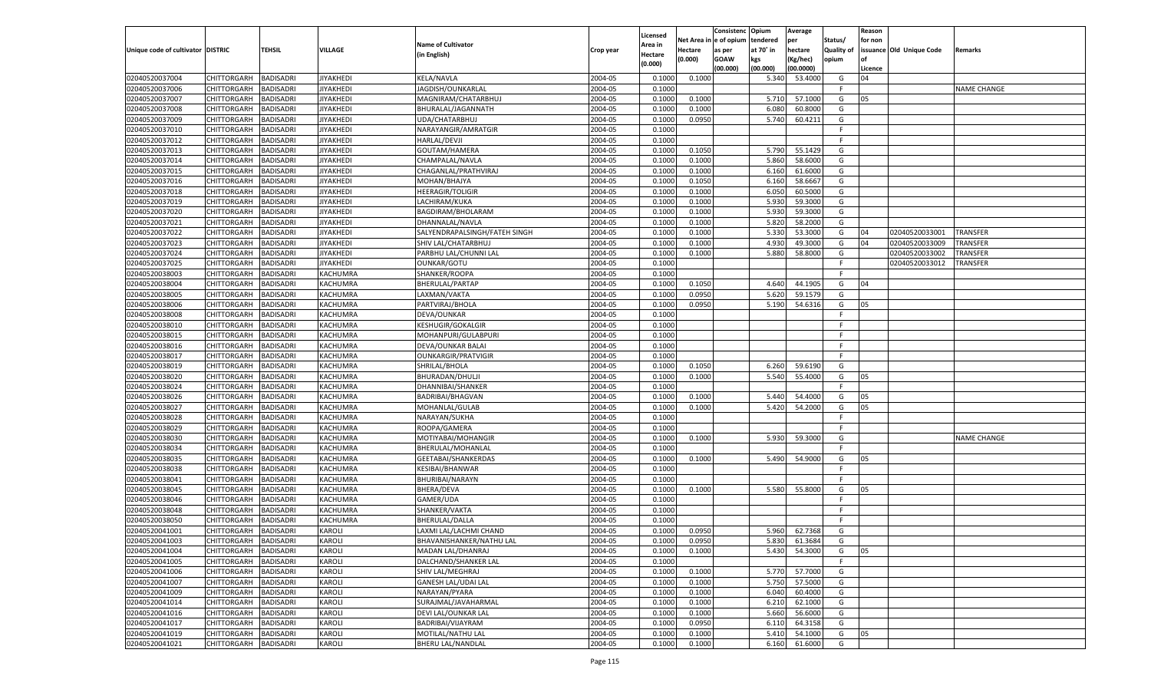|                                   |                       |                  |                  |                               |                    | Licensed |                        | Consistenc  | Opium          | Average       |                   | Reason        |                          |                    |
|-----------------------------------|-----------------------|------------------|------------------|-------------------------------|--------------------|----------|------------------------|-------------|----------------|---------------|-------------------|---------------|--------------------------|--------------------|
|                                   |                       |                  |                  | <b>Name of Cultivator</b>     |                    | Area in  | Net Area in e of opium |             | tendered       | per           | Status/           | for non       |                          |                    |
| Unique code of cultivator DISTRIC |                       | <b>TEHSIL</b>    | <b>VILLAGE</b>   | (in English)                  | Crop year          | Hectare  | Hectare                | as per      | at 70° in      | hectare       | <b>Quality of</b> |               | issuance Old Unique Code | Remarks            |
|                                   |                       |                  |                  |                               |                    | (0.000)  | (0.000)                | <b>GOAW</b> | kgs            | (Kg/hec)      | opium             |               |                          |                    |
| 02040520037004                    | CHITTORGARH           | <b>BADISADRI</b> | <b>JIYAKHEDI</b> | <b>KELA/NAVLA</b>             | 2004-05            |          | 0.1000                 | (00.000)    | (00.000)       | (00.0000)     | G                 | Licence<br>04 |                          |                    |
|                                   | <b>CHITTORGARH</b>    |                  |                  |                               |                    | 0.1000   |                        |             | 5.340          | 53.4000       | -F                |               |                          |                    |
| 02040520037006                    |                       | <b>BADISADRI</b> | <b>JIYAKHEDI</b> | JAGDISH/OUNKARLAL             | 2004-05            | 0.1000   |                        |             |                |               |                   |               |                          | <b>VAME CHANGE</b> |
| 02040520037007                    | CHITTORGARH           | <b>BADISADRI</b> | <b>JIYAKHEDI</b> | MAGNIRAM/CHATARBHUJ           | 2004-05            | 0.1000   | 0.1000                 |             | 5.710<br>6.080 | 57.1000       | G                 | 05            |                          |                    |
| 02040520037008                    | CHITTORGARH           | <b>BADISADRI</b> | <b>JIYAKHEDI</b> | BHURALAL/JAGANNATH            | 2004-05<br>2004-05 | 0.1000   | 0.1000                 |             |                | 60.8000       | G                 |               |                          |                    |
| 02040520037009                    | CHITTORGARH           | <b>BADISADRI</b> | <b>JIYAKHEDI</b> | UDA/CHATARBHUJ                |                    | 0.1000   | 0.0950                 |             | 5.740          | 60.4211       | G                 |               |                          |                    |
| 02040520037010                    | CHITTORGARH           | <b>BADISADRI</b> | <b>JIYAKHEDI</b> | NARAYANGIR/AMRATGIR           | 2004-05            | 0.1000   |                        |             |                |               | F.<br>F.          |               |                          |                    |
| 02040520037012<br>02040520037013  | CHITTORGARH           | <b>BADISADRI</b> | <b>JIYAKHEDI</b> | <b>HARLAL/DEVJI</b>           | 2004-05            | 0.1000   |                        |             |                |               |                   |               |                          |                    |
|                                   | CHITTORGARH           | <b>BADISADRI</b> | <b>JIYAKHEDI</b> | GOUTAM/HAMERA                 | 2004-05            | 0.1000   | 0.1050                 |             | 5.790          | 55.1429       | G                 |               |                          |                    |
| 02040520037014                    | CHITTORGARH           | <b>BADISADRI</b> | <b>JIYAKHEDI</b> | CHAMPALAL/NAVLA               | 2004-05            | 0.1000   | 0.1000                 |             | 5.860          | 58.6000       | G                 |               |                          |                    |
| 02040520037015                    | CHITTORGARH           | <b>BADISADRI</b> | <b>JIYAKHEDI</b> | CHAGANLAL/PRATHVIRAJ          | 2004-05            | 0.1000   | 0.1000                 |             | 6.160          | 61.6000       | G                 |               |                          |                    |
| 02040520037016                    | <b>CHITTORGARH</b>    | <b>BADISADRI</b> | <b>JIYAKHEDI</b> | MOHAN/BHAJYA                  | 2004-05            | 0.1000   | 0.1050                 |             | 6.160          | 58.6667       | G                 |               |                          |                    |
| 02040520037018                    | CHITTORGARH           | <b>BADISADRI</b> | <b>JIYAKHEDI</b> | <b>HEERAGIR/TOLIGIR</b>       | 2004-05            | 0.1000   | 0.1000                 |             | 6.050          | 60.5000       | G                 |               |                          |                    |
| 02040520037019                    | CHITTORGARH           | <b>BADISADRI</b> | <b>JIYAKHEDI</b> | LACHIRAM/KUKA                 | 2004-05            | 0.1000   | 0.1000                 |             | 5.930          | 59.3000       | G                 |               |                          |                    |
| 02040520037020                    | CHITTORGARH           | <b>BADISADRI</b> | <b>JIYAKHEDI</b> | BAGDIRAM/BHOLARAM             | 2004-05            | 0.1000   | 0.1000                 |             | 5.930          | 59.3000       | G                 |               |                          |                    |
| 02040520037021                    | CHITTORGARH           | <b>BADISADRI</b> | <b>JIYAKHEDI</b> | DHANNALAL/NAVLA               | 2004-05            | 0.1000   | 0.1000                 |             | 5.820          | 58.2000       | G                 |               |                          |                    |
| 02040520037022                    | CHITTORGARH           | <b>BADISADRI</b> | <b>JIYAKHEDI</b> | SALYENDRAPALSINGH/FATEH SINGH | 2004-05            | 0.1000   | 0.1000                 |             | 5.330          | 53.3000       | G                 | 04            | 02040520033001           | <b>TRANSFER</b>    |
| 02040520037023                    | CHITTORGARH           | <b>BADISADRI</b> | <b>JIYAKHEDI</b> | SHIV LAL/CHATARBHUJ           | 2004-05            | 0.1000   | 0.1000                 |             | 4.930          | 49.3000       | G                 | 04            | 02040520033009           | <b>TRANSFER</b>    |
| 02040520037024                    | CHITTORGARH           | <b>BADISADRI</b> | <b>JIYAKHEDI</b> | PARBHU LAL/CHUNNI LAL         | 2004-05            | 0.1000   | 0.1000                 |             | 5.880          | 58.8000       | G                 |               | 02040520033002           | TRANSFER           |
| 02040520037025                    | <b>CHITTORGARH</b>    | <b>BADISADRI</b> | <b>JIYAKHEDI</b> | <b>OUNKAR/GOTU</b>            | 2004-05            | 0.1000   |                        |             |                |               | F.                |               | 02040520033012           | TRANSFER           |
| 02040520038003                    | CHITTORGARH           | <b>BADISADRI</b> | KACHUMRA         | SHANKER/ROOPA                 | 2004-05            | 0.1000   |                        |             |                |               | F.                |               |                          |                    |
| 02040520038004                    | CHITTORGARH           | <b>BADISADRI</b> | <b>KACHUMRA</b>  | <b>BHERULAL/PARTAP</b>        | 2004-05            | 0.1000   | 0.1050                 |             | 4.640          | 44.1905       | G                 | 04            |                          |                    |
| 02040520038005                    | CHITTORGARH           | <b>BADISADRI</b> | KACHUMRA         | LAXMAN/VAKTA                  | 2004-05            | 0.1000   | 0.0950                 |             | 5.620          | 59.1579       | G                 |               |                          |                    |
| 02040520038006                    | <b>CHITTORGARH</b>    | <b>BADISADRI</b> | KACHUMRA         | PARTVIRAJ/BHOLA               | 2004-05            | 0.1000   | 0.0950                 |             | 5.190          | 54.6316       | G                 | 05            |                          |                    |
| 02040520038008                    | CHITTORGARH           | <b>BADISADRI</b> | KACHUMRA         | DEVA/OUNKAR                   | 2004-05            | 0.1000   |                        |             |                |               | F.                |               |                          |                    |
| 02040520038010                    | CHITTORGARH           | <b>BADISADRI</b> | KACHUMRA         | KESHUGIR/GOKALGIR             | 2004-05            | 0.1000   |                        |             |                |               | F.                |               |                          |                    |
| 02040520038015                    | CHITTORGARH           | <b>BADISADRI</b> | KACHUMRA         | MOHANPURI/GULABPURI           | 2004-05            | 0.1000   |                        |             |                |               | F.                |               |                          |                    |
| 02040520038016                    | <b>CHITTORGARH</b>    | <b>BADISADRI</b> | KACHUMRA         | DEVA/OUNKAR BALAI             | 2004-05            | 0.1000   |                        |             |                |               | F.                |               |                          |                    |
| 02040520038017                    | CHITTORGARH           | <b>BADISADRI</b> | KACHUMRA         | <b>OUNKARGIR/PRATVIGIR</b>    | 2004-05            | 0.1000   |                        |             |                |               | F.                |               |                          |                    |
| 02040520038019                    | CHITTORGARH           | <b>BADISADRI</b> | KACHUMRA         | SHRILAL/BHOLA                 | 2004-05            | 0.1000   | 0.1050                 |             | 6.260          | 59.6190       | G                 |               |                          |                    |
| 02040520038020                    | CHITTORGARH           | <b>BADISADRI</b> | KACHUMRA         | BHURADAN/DHULJI               | 2004-05            | 0.1000   | 0.1000                 |             | 5.540          | 55.4000       | G                 | 05            |                          |                    |
| 02040520038024                    | <b>CHITTORGARH</b>    | <b>BADISADRI</b> | KACHUMRA         | DHANNIBAI/SHANKER             | 2004-05            | 0.1000   |                        |             |                |               | F.                |               |                          |                    |
| 02040520038026                    | CHITTORGARH           | <b>BADISADRI</b> | KACHUMRA         | <b>BADRIBAI/BHAGVAN</b>       | 2004-05            | 0.1000   | 0.1000                 |             | 5.440          | 54.4000       | G                 | 05            |                          |                    |
| 02040520038027                    | <b>CHITTORGARH</b>    | <b>BADISADRI</b> | <b>KACHUMRA</b>  | MOHANLAL/GULAB                | 2004-05            | 0.1000   | 0.1000                 |             | 5.420          | 54.2000       | G                 | 05            |                          |                    |
| 02040520038028                    | <b>CHITTORGARH</b>    | <b>BADISADRI</b> | KACHUMRA         | NARAYAN/SUKHA                 | 2004-05            | 0.1000   |                        |             |                |               | F.                |               |                          |                    |
| 02040520038029                    | <b>CHITTORGARH</b>    | <b>BADISADRI</b> | KACHUMRA         | ROOPA/GAMERA                  | 2004-05            | 0.1000   |                        |             |                |               | F.                |               |                          |                    |
| 02040520038030                    | CHITTORGARH           | <b>BADISADRI</b> | KACHUMRA         | MOTIYABAI/MOHANGIR            | 2004-05            | 0.1000   | 0.1000                 |             | 5.930          | 59.3000       | G                 |               |                          | <b>NAME CHANGE</b> |
| 02040520038034                    | <b>CHITTORGARH</b>    | <b>BADISADRI</b> | <b>KACHUMRA</b>  | BHERULAL/MOHANLAL             | 2004-05            | 0.1000   |                        |             |                |               | F.                |               |                          |                    |
| 02040520038035                    | <b>CHITTORGARH</b>    | <b>BADISADRI</b> | KACHUMRA         | GEETABAI/SHANKERDAS           | 2004-05            | 0.1000   | 0.1000                 |             | 5.490          | 54.9000       | G                 | 05            |                          |                    |
| 02040520038038                    | <b>CHITTORGARH</b>    | <b>BADISADRI</b> | <b>KACHUMRA</b>  | <b>KESIBAI/BHANWAR</b>        | 2004-05            | 0.1000   |                        |             |                |               | F.                |               |                          |                    |
| 02040520038041                    | CHITTORGARH           | <b>BADISADRI</b> | <b>KACHUMRA</b>  | BHURIBAI/NARAYN               | 2004-05            | 0.1000   |                        |             |                |               | E                 |               |                          |                    |
| 02040520038045                    | <b>CHITTORGARH</b>    | <b>BADISADRI</b> | <b>KACHUMRA</b>  | <b>BHERA/DEVA</b>             | 2004-05            | 0.1000   | 0.1000                 |             | 5.580          | 55.8000       | G                 | 05            |                          |                    |
| 02040520038046                    | <b>CHITTORGARH</b>    | <b>BADISADRI</b> | KACHUMRA         | GAMER/UDA                     | 2004-05            | 0.1000   |                        |             |                |               | F                 |               |                          |                    |
| 02040520038048                    | <b>CHITTORGARH</b>    | <b>BADISADRI</b> | <b>KACHUMRA</b>  | SHANKER/VAKTA                 | 2004-05            | 0.1000   |                        |             |                |               | F.                |               |                          |                    |
| 02040520038050                    | CHITTORGARH           | <b>BADISADRI</b> | KACHUMRA         | <b>BHERULAL/DALLA</b>         | 2004-05            | 0.1000   |                        |             |                |               | F.                |               |                          |                    |
| 02040520041001                    | CHITTORGARH           | <b>BADISADRI</b> | <b>KAROLI</b>    | LAXMI LAL/LACHMI CHAND        | 2004-05            | 0.1000   | 0.0950                 |             | 5.960          | 62.7368       | G                 |               |                          |                    |
| 02040520041003                    | CHITTORGARH BADISADRI |                  | <b>KAROLI</b>    | BHAVANISHANKER/NATHU LAL      | 2004-05            | 0.1000   | 0.0950                 |             |                | 5.830 61.3684 | G                 |               |                          |                    |
| 02040520041004                    | <b>CHITTORGARH</b>    | <b>BADISADRI</b> | <b>KAROLI</b>    | MADAN LAL/DHANRAJ             | 2004-05            | 0.1000   | 0.1000                 |             | 5.430          | 54.3000       | G                 | 05            |                          |                    |
| 02040520041005                    | <b>CHITTORGARH</b>    | <b>BADISADRI</b> | KAROLI           | DALCHAND/SHANKER LAL          | 2004-05            | 0.1000   |                        |             |                |               | F                 |               |                          |                    |
| 02040520041006                    | <b>CHITTORGARH</b>    | <b>BADISADRI</b> | <b>KAROLI</b>    | SHIV LAL/MEGHRAJ              | 2004-05            | 0.1000   | 0.1000                 |             | 5.770          | 57.7000       | G                 |               |                          |                    |
| 02040520041007                    | <b>CHITTORGARH</b>    | <b>BADISADRI</b> | <b>KAROLI</b>    | <b>GANESH LAL/UDAI LAL</b>    | 2004-05            | 0.1000   | 0.1000                 |             | 5.750          | 57.5000       | G                 |               |                          |                    |
| 02040520041009                    | <b>CHITTORGARH</b>    | <b>BADISADRI</b> | <b>KAROLI</b>    | NARAYAN/PYARA                 | 2004-05            | 0.1000   | 0.1000                 |             | 6.040          | 60.4000       | G                 |               |                          |                    |
| 02040520041014                    | <b>CHITTORGARH</b>    | <b>BADISADRI</b> | <b>KAROLI</b>    | SURAJMAL/JAVAHARMAL           | 2004-05            | 0.1000   | 0.1000                 |             | 6.210          | 62.1000       | G                 |               |                          |                    |
| 02040520041016                    | <b>CHITTORGARH</b>    | <b>BADISADRI</b> | <b>KAROLI</b>    | DEVI LAL/OUNKAR LAL           | 2004-05            | 0.1000   | 0.1000                 |             | 5.660          | 56.6000       | G                 |               |                          |                    |
| 02040520041017                    | <b>CHITTORGARH</b>    | <b>BADISADRI</b> | <b>KAROLI</b>    | BADRIBAI/VIJAYRAM             | 2004-05            | 0.1000   | 0.0950                 |             | 6.110          | 64.3158       | G                 |               |                          |                    |
| 02040520041019                    | <b>CHITTORGARH</b>    | <b>BADISADRI</b> | <b>KAROLI</b>    | MOTILAL/NATHU LAL             | 2004-05            | 0.1000   | 0.1000                 |             | 5.410          | 54.1000       | G                 | 05            |                          |                    |
| 02040520041021                    | <b>CHITTORGARH</b>    | <b>BADISADRI</b> | <b>KAROLI</b>    | <b>BHERU LAL/NANDLAL</b>      | 2004-05            | 0.1000   | 0.1000                 |             | 6.160          | 61.6000       | G                 |               |                          |                    |
|                                   |                       |                  |                  |                               |                    |          |                        |             |                |               |                   |               |                          |                    |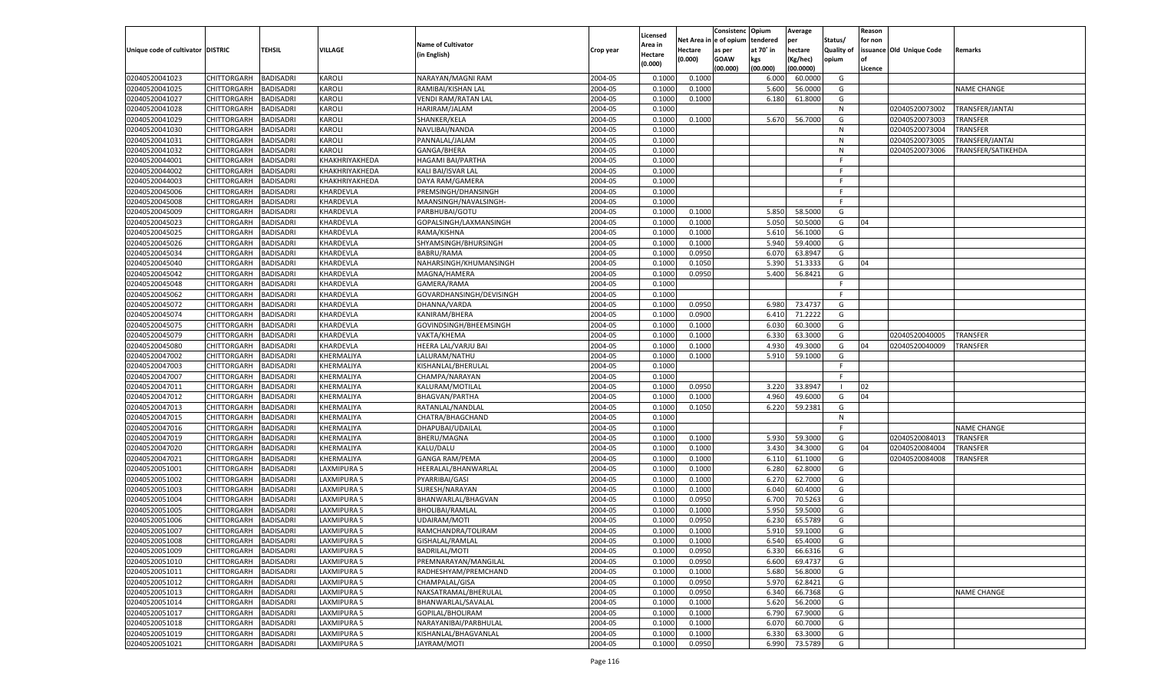|                                   |                       |                  |                |                           |                    | Licensed |         | Consistenc Opium       |           | Average   |                   | Reason  |                          |                        |
|-----------------------------------|-----------------------|------------------|----------------|---------------------------|--------------------|----------|---------|------------------------|-----------|-----------|-------------------|---------|--------------------------|------------------------|
|                                   |                       |                  |                | <b>Name of Cultivator</b> |                    | Area in  |         | Net Area in e of opium | tendered  | per       | Status/           | for non |                          |                        |
| Unique code of cultivator DISTRIC |                       | TEHSIL           | VILLAGE        | (in English)              | Crop year          | Hectare  | Hectare | as per                 | at 70° in | hectare   | <b>Quality of</b> |         | issuance Old Unique Code | <b>Remarks</b>         |
|                                   |                       |                  |                |                           |                    | (0.000)  | (0.000) | <b>GOAW</b>            | kgs       | (Kg/hec)  | opium             |         |                          |                        |
|                                   |                       |                  |                |                           |                    |          |         | (00.000)               | (00.000)  | (00.0000) |                   | Licence |                          |                        |
| 02040520041023                    | CHITTORGARH           | <b>BADISADRI</b> | KAROLI         | NARAYAN/MAGNI RAM         | 2004-05            | 0.1000   | 0.1000  |                        | 6.000     | 60.0000   | G                 |         |                          |                        |
| 02040520041025                    | CHITTORGARH           | <b>BADISADRI</b> | <b>KAROLI</b>  | RAMIBAI/KISHAN LAL        | 2004-05            | 0.1000   | 0.1000  |                        | 5.600     | 56.0000   | G                 |         |                          | <b>NAME CHANGE</b>     |
| 02040520041027                    | CHITTORGARH           | <b>BADISADRI</b> | <b>KAROLI</b>  | VENDI RAM/RATAN LAL       | 2004-05            | 0.1000   | 0.1000  |                        | 6.180     | 61.8000   | G                 |         |                          |                        |
| 02040520041028                    | CHITTORGARH           | <b>BADISADRI</b> | KAROLI         | HARIRAM/JALAM             | 2004-05            | 0.1000   |         |                        |           |           | N                 |         | 02040520073002           | TRANSFER/JANTAI        |
| 02040520041029                    | CHITTORGARH           | <b>BADISADRI</b> | <b>KAROLI</b>  | SHANKER/KELA              | 2004-05            | 0.1000   | 0.1000  |                        | 5.670     | 56.7000   | G                 |         | 02040520073003           | TRANSFER               |
| 02040520041030                    | CHITTORGARH           | <b>BADISADRI</b> | <b>KAROLI</b>  | NAVLIBAI/NANDA            | 2004-05            | 0.1000   |         |                        |           |           | N                 |         | 02040520073004           | TRANSFER               |
| 02040520041031                    | CHITTORGARH           | <b>BADISADRI</b> | <b>KAROLI</b>  | PANNALAL/JALAM            | 2004-05            | 0.1000   |         |                        |           |           | N                 |         | 02040520073005           | TRANSFER/JANTAI        |
| 02040520041032                    | CHITTORGARH           | <b>BADISADRI</b> | KAROLI         | GANGA/BHERA               | 2004-05            | 0.1000   |         |                        |           |           | N                 |         | 02040520073006           | TRANSFER/SATIKEHDA     |
| 02040520044001                    | CHITTORGARH           | <b>BADISADRI</b> | KHAKHRIYAKHEDA | <b>HAGAMI BAI/PARTHA</b>  | 2004-05            | 0.1000   |         |                        |           |           | F.                |         |                          |                        |
| 02040520044002                    | CHITTORGARH           | <b>BADISADRI</b> | KHAKHRIYAKHEDA | KALI BAI/ISVAR LAL        | 2004-05            | 0.1000   |         |                        |           |           | -F                |         |                          |                        |
| 02040520044003                    | CHITTORGARH           | <b>BADISADRI</b> | KHAKHRIYAKHEDA | DAYA RAM/GAMERA           | 2004-05            | 0.1000   |         |                        |           |           | F.                |         |                          |                        |
| 02040520045006                    | CHITTORGARH           | <b>BADISADRI</b> | KHARDEVLA      | PREMSINGH/DHANSINGH       | 2004-05            | 0.1000   |         |                        |           |           | -F.               |         |                          |                        |
| 02040520045008                    | CHITTORGARH           | BADISADRI        | KHARDEVLA      | MAANSINGH/NAVALSINGH-     | 2004-05            | 0.1000   |         |                        |           |           | F.                |         |                          |                        |
| 02040520045009                    | CHITTORGARH           | BADISADRI        | KHARDEVLA      | PARBHUBAI/GOTU            | 2004-05            | 0.1000   | 0.1000  |                        | 5.850     | 58.5000   | G                 |         |                          |                        |
| 02040520045023                    | CHITTORGARH           | BADISADRI        | KHARDEVLA      | GOPALSINGH/LAXMANSINGH    | 2004-05            | 0.1000   | 0.1000  |                        | 5.050     | 50.5000   | G                 | 04      |                          |                        |
| 02040520045025                    | CHITTORGARH           | BADISADRI        | KHARDEVLA      | RAMA/KISHNA               | 2004-05            | 0.1000   | 0.1000  |                        | 5.610     | 56.1000   | G                 |         |                          |                        |
| 02040520045026                    | CHITTORGARH           | BADISADRI        | KHARDEVLA      | SHYAMSINGH/BHURSINGH      | 2004-05            | 0.1000   | 0.1000  |                        | 5.940     | 59.4000   | G                 |         |                          |                        |
| 02040520045034                    | CHITTORGARH           | BADISADRI        | KHARDEVLA      | <b>BABRU/RAMA</b>         | 2004-05            | 0.100    | 0.0950  |                        | 6.070     | 63.8947   | G                 |         |                          |                        |
| 02040520045040                    | CHITTORGARH           | BADISADRI        | KHARDEVLA      | NAHARSINGH/KHUMANSINGH    | 2004-05            | 0.1000   | 0.1050  |                        | 5.390     | 51.3333   | G                 | 04      |                          |                        |
| 02040520045042                    | CHITTORGARH           | BADISADRI        | KHARDEVLA      | MAGNA/HAMERA              | 2004-05            | 0.1000   | 0.0950  |                        | 5.400     | 56.8421   | G                 |         |                          |                        |
| 02040520045048                    | CHITTORGARH           | BADISADRI        | KHARDEVLA      | GAMERA/RAMA               | 2004-05            | 0.1000   |         |                        |           |           | F.                |         |                          |                        |
| 02040520045062                    | CHITTORGARH           | BADISADRI        | KHARDEVLA      | GOVARDHANSINGH/DEVISINGH  | 2004-05            | 0.1000   |         |                        |           |           | E                 |         |                          |                        |
| 02040520045072                    | CHITTORGARH           | BADISADRI        | KHARDEVLA      | DHANNA/VARDA              | 2004-05            | 0.1000   | 0.0950  |                        | 6.980     | 73.4737   | G                 |         |                          |                        |
| 02040520045074                    | CHITTORGARH           | BADISADRI        | KHARDEVLA      | KANIRAM/BHERA             | 2004-05            | 0.1000   | 0.0900  |                        | 6.410     | 71.2222   | G                 |         |                          |                        |
| 02040520045075                    | CHITTORGARH           | BADISADRI        | KHARDEVLA      | GOVINDSINGH/BHEEMSINGH    | 2004-05            | 0.1000   | 0.1000  |                        | 6.030     | 60.3000   | G                 |         |                          |                        |
| 02040520045079                    | CHITTORGARH           | BADISADRI        | KHARDEVLA      | VAKTA/KHEMA               | 2004-05            | 0.100    | 0.1000  |                        | 6.330     | 63.3000   | G                 |         | 02040520040005           | TRANSFER               |
| 02040520045080                    | CHITTORGARH           | BADISADRI        | KHARDEVLA      | HEERA LAL/VARJU BAI       | 2004-05            | 0.1000   | 0.1000  |                        | 4.930     | 49.3000   | G                 | 04      | 02040520040009           | TRANSFER               |
| 02040520047002                    | CHITTORGARH           | BADISADRI        | KHERMALIYA     | LALURAM/NATHU             | 2004-05            | 0.1000   | 0.1000  |                        | 5.910     | 59.1000   | G                 |         |                          |                        |
| 02040520047003                    | CHITTORGARH           | <b>BADISADRI</b> | KHERMALIYA     | KISHANLAL/BHERULAL        | 2004-05            | 0.1000   |         |                        |           |           | F.                |         |                          |                        |
| 02040520047007                    | CHITTORGARH           | BADISADRI        | KHERMALIYA     | CHAMPA/NARAYAN            | 2004-05            | 0.1000   |         |                        |           |           | E                 |         |                          |                        |
| 02040520047011                    | CHITTORGARH           | BADISADRI        | KHERMALIYA     | KALURAM/MOTILAL           | 2004-05            | 0.1000   | 0.0950  |                        | 3.220     | 33.8947   |                   | 02      |                          |                        |
| 02040520047012                    | CHITTORGARH           | BADISADRI        | KHERMALIYA     | <b>BHAGVAN/PARTHA</b>     | 2004-05            | 0.1000   | 0.1000  |                        | 4.960     | 49.6000   | G                 | 04      |                          |                        |
| 02040520047013                    | CHITTORGARH           | BADISADRI        | KHERMALIYA     | RATANLAL/NANDLAI          | 2004-05            | 0.1000   | 0.1050  |                        | 6.220     | 59.2381   | G                 |         |                          |                        |
| 02040520047015                    | CHITTORGARH           | BADISADRI        | KHERMALIYA     | CHATRA/BHAGCHAND          | 2004-05            | 0.1000   |         |                        |           |           | N                 |         |                          |                        |
| 02040520047016                    | CHITTORGARH           | BADISADRI        | KHERMALIYA     | DHAPUBAI/UDAILAL          | 2004-05            | 0.1000   |         |                        |           |           | F.                |         |                          | <b>NAME CHANGE</b>     |
| 02040520047019                    | CHITTORGARH           | BADISADRI        | KHERMALIYA     | BHERU/MAGNA               | 2004-05            | 0.1000   | 0.1000  |                        | 5.930     | 59.3000   | G                 |         | 02040520084013           | TRANSFER               |
| 02040520047020                    | CHITTORGARH           | BADISADRI        | KHERMALIYA     | KALU/DALU                 | 2004-05            | 0.1000   | 0.1000  |                        | 3.430     | 34.3000   | G                 | 04      | 02040520084004           | TRANSFER               |
| 02040520047021                    | CHITTORGARH           | BADISADRI        | KHERMALIYA     | <b>GANGA RAM/PEMA</b>     | 2004-05            | 0.1000   | 0.1000  |                        | 6.11      | 61.1000   | G                 |         | 02040520084008           | <b><i>FRANSFER</i></b> |
| 02040520051001                    | CHITTORGARH           | BADISADRI        | LAXMIPURA 5    | HEERALAL/BHANWARLAL       | 2004-05            | 0.1000   | 0.1000  |                        | 6.280     | 62.8000   | G                 |         |                          |                        |
| 02040520051002                    | CHITTORGARH           | BADISADRI        | LAXMIPURA 5    | PYARRIBAI/GASI            | 2004-05            | 0.1000   | 0.1000  |                        | 6.27      | 62.7000   | G                 |         |                          |                        |
| 02040520051003                    | CHITTORGARH           | BADISADRI        | LAXMIPURA 5    | SURESH/NARAYAN            | 2004-05            | 0.1000   | 0.1000  |                        | 6.040     | 60.4000   | G                 |         |                          |                        |
| 02040520051004                    | CHITTORGARH           | BADISADRI        | LAXMIPURA 5    | BHANWARLAL/BHAGVAN        | 2004-05            | 0.1000   | 0.0950  |                        | 6.700     | 70.5263   | G                 |         |                          |                        |
| 02040520051005                    | CHITTORGARH           | BADISADRI        | AXMIPURA 5     | BHOLIBAI/RAMLAL           | 2004-05            | 0.1000   | 0.1000  |                        | 5.950     | 59.5000   | G                 |         |                          |                        |
|                                   | CHITTORGARH           |                  |                |                           |                    | 0.100    |         |                        |           |           |                   |         |                          |                        |
| 02040520051006<br>02040520051007  |                       | BADISADRI        | LAXMIPURA 5    | UDAIRAM/MOTI              | 2004-05<br>2004-05 |          | 0.0950  |                        | 6.23      | 65.5789   | G<br>G            |         |                          |                        |
|                                   | CHITTORGARH           | BADISADRI        | LAXMIPURA 5    | RAMCHANDRA/TOLIRAM        |                    | 0.1000   | 0.1000  |                        | 5.910     | 59.1000   |                   |         |                          |                        |
| 02040520051008                    | CHITTORGARH BADISADRI |                  | LAXMIPURA 5    | GISHALAL/RAMLAL           | 2004-05            | 0.1000   | 0.1000  |                        | 6.540     | 65.4000   | G                 |         |                          |                        |
| 02040520051009                    | CHITTORGARH           | <b>BADISADRI</b> | LAXMIPURA 5    | <b>BADRILAL/MOTI</b>      | 2004-05            | 0.1000   | 0.0950  |                        | 6.330     | 66.6316   | G                 |         |                          |                        |
| 02040520051010                    | <b>CHITTORGARH</b>    | <b>BADISADRI</b> | LAXMIPURA 5    | PREMNARAYAN/MANGILAL      | 2004-05            | 0.1000   | 0.0950  |                        | 6.600     | 69.4737   | G                 |         |                          |                        |
| 02040520051011                    | CHITTORGARH           | <b>BADISADRI</b> | LAXMIPURA 5    | RADHESHYAM/PREMCHAND      | 2004-05            | 0.1000   | 0.1000  |                        | 5.680     | 56.8000   | G                 |         |                          |                        |
| 02040520051012                    | <b>CHITTORGARH</b>    | <b>BADISADRI</b> | LAXMIPURA 5    | CHAMPALAL/GISA            | 2004-05            | 0.1000   | 0.0950  |                        | 5.970     | 62.8421   | G                 |         |                          |                        |
| 02040520051013                    | CHITTORGARH           | <b>BADISADRI</b> | LAXMIPURA 5    | NAKSATRAMAL/BHERULAL      | 2004-05            | 0.1000   | 0.0950  |                        | 6.340     | 66.7368   | G                 |         |                          | NAME CHANGE            |
| 02040520051014                    | <b>CHITTORGARH</b>    | <b>BADISADRI</b> | LAXMIPURA 5    | BHANWARLAL/SAVALAL        | 2004-05            | 0.1000   | 0.1000  |                        | 5.620     | 56.2000   | G                 |         |                          |                        |
| 02040520051017                    | <b>CHITTORGARH</b>    | <b>BADISADRI</b> | LAXMIPURA 5    | GOPILAL/BHOLIRAM          | 2004-05            | 0.1000   | 0.1000  |                        | 6.790     | 67.9000   | G                 |         |                          |                        |
| 02040520051018                    | <b>CHITTORGARH</b>    | <b>BADISADRI</b> | LAXMIPURA 5    | NARAYANIBAI/PARBHULAL     | 2004-05            | 0.1000   | 0.1000  |                        | 6.070     | 60.7000   | G                 |         |                          |                        |
| 02040520051019                    | CHITTORGARH           | <b>BADISADRI</b> | LAXMIPURA 5    | KISHANLAL/BHAGVANLAL      | 2004-05            | 0.1000   | 0.1000  |                        | 6.330     | 63.3000   | G                 |         |                          |                        |
| 02040520051021                    | <b>CHITTORGARH</b>    | <b>BADISADRI</b> | LAXMIPURA 5    | JAYRAM/MOTI               | 2004-05            | 0.1000   | 0.0950  |                        | 6.990     | 73.5789   | G                 |         |                          |                        |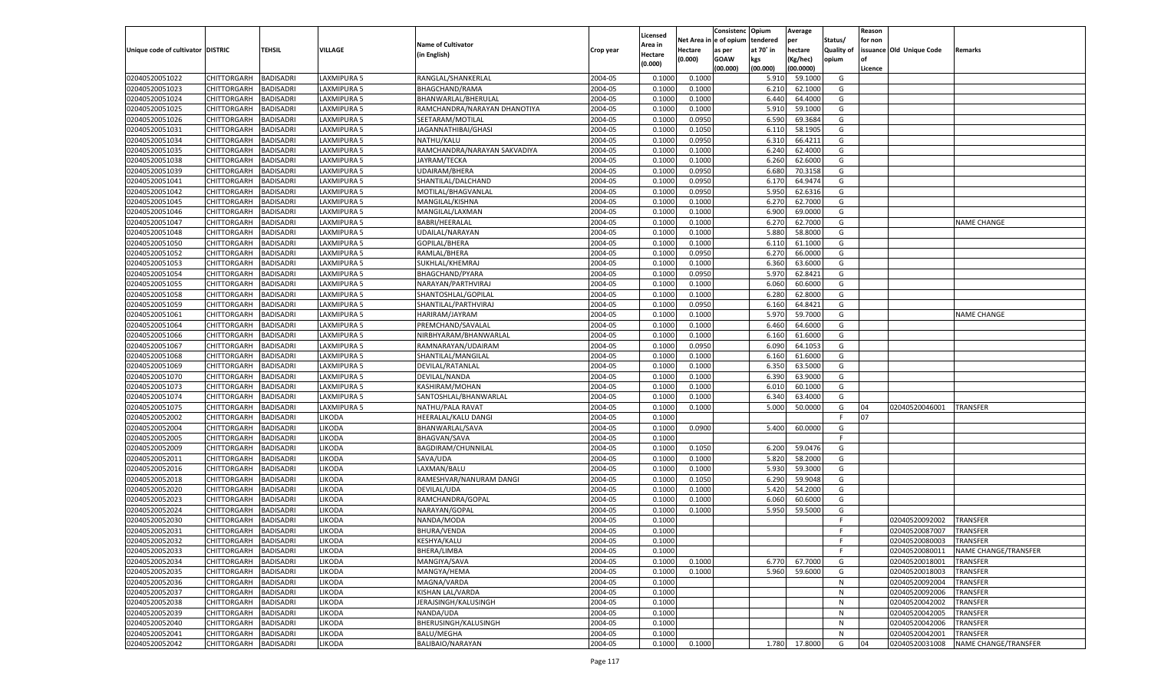|                                   |                       |                  |                    |                              |           |          |             | Consistenc   | Opium     | Average       |                   | Reason  |                          |                      |
|-----------------------------------|-----------------------|------------------|--------------------|------------------------------|-----------|----------|-------------|--------------|-----------|---------------|-------------------|---------|--------------------------|----------------------|
|                                   |                       |                  |                    |                              |           | Licensed | Net Area iı | n e of opium | tendered  | per           | Status/           | for non |                          |                      |
| Unique code of cultivator DISTRIC |                       | TEHSIL           | <b>VILLAGE</b>     | <b>Name of Cultivator</b>    | Crop year | Area in  | Hectare     | as per       | at 70° in | hectare       | <b>Quality of</b> |         | issuance Old Unique Code | Remarks              |
|                                   |                       |                  |                    | (in English)                 |           | Hectare  | (0.000)     | <b>GOAW</b>  | kgs       | (Kg/hec)      | opium             |         |                          |                      |
|                                   |                       |                  |                    |                              |           | (0.000)  |             | (00.000)     | (00.000)  | (00.0000)     |                   | Licence |                          |                      |
| 02040520051022                    | CHITTORGARH           | <b>BADISADRI</b> | LAXMIPURA 5        | RANGLAL/SHANKERLAL           | 2004-05   | 0.1000   | 0.1000      |              | 5.910     | 59.1000       | G                 |         |                          |                      |
| 02040520051023                    | CHITTORGARH           | BADISADRI        | LAXMIPURA 5        | BHAGCHAND/RAMA               | 2004-05   | 0.1000   | 0.1000      |              | 6.21      | 62.1000       | G                 |         |                          |                      |
| 02040520051024                    | CHITTORGARH           | BADISADRI        | LAXMIPURA 5        | BHANWARLAL/BHERULAL          | 2004-05   | 0.1000   | 0.1000      |              | 6.440     | 64.4000       | G                 |         |                          |                      |
| 02040520051025                    | CHITTORGARH           | BADISADRI        | LAXMIPURA 5        | RAMCHANDRA/NARAYAN DHANOTIYA | 2004-05   | 0.1000   | 0.1000      |              | 5.910     | 59.1000       | G                 |         |                          |                      |
| 02040520051026                    | CHITTORGARH           | BADISADRI        | AXMIPURA 5         | SEETARAM/MOTILAL             | 2004-05   | 0.1000   | 0.0950      |              | 6.590     | 69.3684       | G                 |         |                          |                      |
| 02040520051031                    | CHITTORGARH           | BADISADRI        | LAXMIPURA 5        | JAGANNATHIBAI/GHASI          | 2004-05   | 0.1000   | 0.1050      |              | 6.11      | 58.1905       | G                 |         |                          |                      |
| 02040520051034                    | CHITTORGARH           | BADISADRI        | LAXMIPURA 5        | NATHU/KALU                   | 2004-05   | 0.1000   | 0.0950      |              | 6.310     | 66.4211       | G                 |         |                          |                      |
| 02040520051035                    | CHITTORGARH           | BADISADRI        | LAXMIPURA 5        | RAMCHANDRA/NARAYAN SAKVADIYA | 2004-05   | 0.1000   | 0.1000      |              | 6.240     | 62.4000       | G                 |         |                          |                      |
|                                   |                       |                  |                    |                              | 2004-05   |          |             |              |           | 62.6000       | G                 |         |                          |                      |
| 02040520051038                    | CHITTORGARH           | BADISADRI        | AXMIPURA 5         | JAYRAM/TECKA                 |           | 0.1000   | 0.1000      |              | 6.260     |               |                   |         |                          |                      |
| 02040520051039                    | CHITTORGARH           | BADISADRI        | LAXMIPURA 5        | UDAIRAM/BHERA                | 2004-05   | 0.1000   | 0.0950      |              | 6.680     | 70.3158       | G                 |         |                          |                      |
| 02040520051041                    | CHITTORGARH           | BADISADRI        | LAXMIPURA 5        | SHANTILAL/DALCHAND           | 2004-05   | 0.1000   | 0.0950      |              | 6.170     | 64.9474       | G                 |         |                          |                      |
| 02040520051042                    | CHITTORGARH           | BADISADRI        | LAXMIPURA 5        | MOTILAL/BHAGVANLAL           | 2004-05   | 0.1000   | 0.0950      |              | 5.950     | 62.6316       | G                 |         |                          |                      |
| 02040520051045                    | CHITTORGARH           | BADISADRI        | AXMIPURA 5         | MANGILAL/KISHNA              | 2004-05   | 0.1000   | 0.1000      |              | 6.27      | 62.7000       | G                 |         |                          |                      |
| 02040520051046                    | CHITTORGARH           | <b>BADISADRI</b> | <b>LAXMIPURA 5</b> | MANGILAL/LAXMAN              | 2004-05   | 0.1000   | 0.1000      |              | 6.900     | 69.0000       | G                 |         |                          |                      |
| 02040520051047                    | CHITTORGARH           | <b>BADISADRI</b> | <b>LAXMIPURA 5</b> | <b>BABRI/HEERALAL</b>        | 2004-05   | 0.1000   | 0.1000      |              | 6.270     | 62.7000       | G                 |         |                          | <b>NAME CHANGE</b>   |
| 02040520051048                    | CHITTORGARH           | BADISADRI        | LAXMIPURA 5        | UDAILAL/NARAYAN              | 2004-05   | 0.1000   | 0.1000      |              | 5.880     | 58.8000       | G                 |         |                          |                      |
| 02040520051050                    | CHITTORGARH           | <b>BADISADRI</b> | AXMIPURA 5         | <b>GOPILAL/BHERA</b>         | 2004-05   | 0.1000   | 0.1000      |              | 6.110     | 61.1000       | G                 |         |                          |                      |
| 02040520051052                    | CHITTORGARH           | BADISADRI        | LAXMIPURA 5        | RAMLAL/BHERA                 | 2004-05   | 0.1000   | 0.0950      |              | 6.270     | 66.0000       | G                 |         |                          |                      |
| 02040520051053                    | CHITTORGARH           | <b>BADISADRI</b> | LAXMIPURA 5        | SUKHLAL/KHEMRAJ              | 2004-05   | 0.1000   | 0.1000      |              | 6.360     | 63.6000       | G                 |         |                          |                      |
| 02040520051054                    | CHITTORGARH           | BADISADRI        | LAXMIPURA 5        | BHAGCHAND/PYARA              | 2004-05   | 0.1000   | 0.0950      |              | 5.970     | 62.8421       | G                 |         |                          |                      |
| 02040520051055                    | CHITTORGARH           | <b>BADISADRI</b> | AXMIPURA 5         | NARAYAN/PARTHVIRAJ           | 2004-05   | 0.1000   | 0.1000      |              | 6.060     | 60.6000       | G                 |         |                          |                      |
| 02040520051058                    | CHITTORGARH           | BADISADRI        | LAXMIPURA 5        | SHANTOSHLAL/GOPILAL          | 2004-05   | 0.1000   | 0.1000      |              | 6.280     | 62.8000       | G                 |         |                          |                      |
| 02040520051059                    | CHITTORGARH           | <b>BADISADRI</b> | LAXMIPURA 5        | SHANTILAL/PARTHVIRAJ         | 2004-05   | 0.1000   | 0.0950      |              | 6.160     | 64.8421       | G                 |         |                          |                      |
| 02040520051061                    | CHITTORGARH           | BADISADRI        | LAXMIPURA 5        | HARIRAM/JAYRAM               | 2004-05   | 0.1000   | 0.1000      |              | 5.970     | 59.7000       | G                 |         |                          | <b>NAME CHANGE</b>   |
| 02040520051064                    | CHITTORGARH           | <b>BADISADRI</b> | AXMIPURA 5         | PREMCHAND/SAVALAL            | 2004-05   | 0.1000   | 0.1000      |              | 6.460     | 64.6000       | G                 |         |                          |                      |
| 02040520051066                    | CHITTORGARH           | BADISADRI        | LAXMIPURA 5        | NIRBHYARAM/BHANWARLAI        | 2004-05   | 0.1000   | 0.1000      |              | 6.160     | 61.6000       | G                 |         |                          |                      |
| 02040520051067                    | CHITTORGARH           | <b>BADISADRI</b> | LAXMIPURA 5        | RAMNARAYAN/UDAIRAM           | 2004-05   | 0.1000   | 0.0950      |              | 6.090     | 64.1053       | G                 |         |                          |                      |
| 02040520051068                    | CHITTORGARH           | BADISADRI        | LAXMIPURA 5        | SHANTILAL/MANGILAL           | 2004-05   | 0.1000   | 0.1000      |              | 6.160     | 61.6000       | G                 |         |                          |                      |
| 02040520051069                    | CHITTORGARH           | <b>BADISADRI</b> | <b>LAXMIPURA 5</b> | DEVILAL/RATANLAL             | 2004-05   | 0.1000   | 0.1000      |              | 6.350     | 63.5000       | G                 |         |                          |                      |
| 02040520051070                    |                       | BADISADRI        | LAXMIPURA 5        |                              | 2004-05   | 0.1000   |             |              | 6.390     | 63.9000       | G                 |         |                          |                      |
|                                   | CHITTORGARH           |                  |                    | DEVILAL/NANDA                |           |          | 0.1000      |              |           |               |                   |         |                          |                      |
| 02040520051073                    | CHITTORGARH           | <b>BADISADRI</b> | LAXMIPURA 5        | KASHIRAM/MOHAN               | 2004-05   | 0.1000   | 0.1000      |              | 6.010     | 60.1000       | G                 |         |                          |                      |
| 02040520051074                    | CHITTORGARH           | <b>BADISADRI</b> | LAXMIPURA 5        | SANTOSHLAL/BHANWARLAL        | 2004-05   | 0.1000   | 0.1000      |              | 6.340     | 63.4000       | G                 |         |                          |                      |
| 02040520051075                    | CHITTORGARH           | <b>BADISADRI</b> | LAXMIPURA 5        | NATHU/PALA RAVAT             | 2004-05   | 0.1000   | 0.1000      |              | 5.000     | 50.0000       | G                 | 04      | 02040520046001           | <b>TRANSFER</b>      |
| 02040520052002                    | CHITTORGARH           | BADISADRI        | <b>IKODA</b>       | HEERALAL/KALU DANGI          | 2004-05   | 0.1000   |             |              |           |               | F                 | 07      |                          |                      |
| 02040520052004                    | CHITTORGARH           | <b>BADISADRI</b> | <b>IKODA</b>       | BHANWARLAL/SAVA              | 2004-05   | 0.1000   | 0.0900      |              | 5.400     | 60.0000       | G                 |         |                          |                      |
| 02040520052005                    | CHITTORGARH           | <b>BADISADRI</b> | <b>IKODA</b>       | <b>BHAGVAN/SAVA</b>          | 2004-05   | 0.1000   |             |              |           |               | F                 |         |                          |                      |
| 02040520052009                    | CHITTORGARH           | <b>BADISADRI</b> | <b>IKODA</b>       | BAGDIRAM/CHUNNILAL           | 2004-05   | 0.1000   | 0.1050      |              | 6.200     | 59.0476       | G                 |         |                          |                      |
| 02040520052011                    | CHITTORGARH           | BADISADRI        | <b>IKODA</b>       | SAVA/UDA                     | 2004-05   | 0.1000   | 0.1000      |              | 5.820     | 58.2000       | G                 |         |                          |                      |
| 02040520052016                    | CHITTORGARH           | <b>BADISADRI</b> | <b>IKODA</b>       | LAXMAN/BALU                  | 2004-05   | 0.1000   | 0.1000      |              | 5.930     | 59.3000       | G                 |         |                          |                      |
| 02040520052018                    | CHITTORGARH           | <b>BADISADRI</b> | <b>IKODA</b>       | RAMESHVAR/NANURAM DANGI      | 2004-05   | 0.1000   | 0.1050      |              | 6.290     | 59.9048       | G                 |         |                          |                      |
| 02040520052020                    | CHITTORGARH           | <b>BADISADRI</b> | <b>IKODA</b>       | DEVILAL/UDA                  | 2004-05   | 0.1000   | 0.1000      |              | 5.420     | 54.2000       | G                 |         |                          |                      |
| 02040520052023                    | CHITTORGARH           | BADISADRI        | <b>IKODA</b>       | RAMCHANDRA/GOPAL             | 2004-05   | 0.1000   | 0.1000      |              | 6.060     | 60.6000       | G                 |         |                          |                      |
| 02040520052024                    | CHITTORGARH           | BADISADRI        | <b>IKODA</b>       | NARAYAN/GOPAL                | 2004-05   | 0.1000   | 0.1000      |              | 5.950     | 59.5000       | G                 |         |                          |                      |
| 02040520052030                    | CHITTORGARH           | BADISADRI        | <b>IKODA</b>       | NANDA/MODA                   | 2004-05   | 0.1000   |             |              |           |               | F                 |         | 02040520092002           | TRANSFER             |
| 02040520052031                    | CHITTORGARH           | <b>BADISADRI</b> | <b>IKODA</b>       | <b>BHURA/VENDA</b>           | 2004-05   | 0.1000   |             |              |           |               | F                 |         | 02040520087007           | <b>TRANSFER</b>      |
| 02040520052032                    | CHITTORGARH BADISADRI |                  | <b>LIKODA</b>      | KESHYA/KALU                  | 2004-05   | 0.1000   |             |              |           |               | F                 |         | 02040520080003           | TRANSFER             |
| 02040520052033                    | <b>CHITTORGARH</b>    | <b>BADISADRI</b> | LIKODA             | BHERA/LIMBA                  | 2004-05   | 0.1000   |             |              |           |               | F.                |         | 02040520080011           | NAME CHANGE/TRANSFER |
| 02040520052034                    | <b>CHITTORGARH</b>    | <b>BADISADRI</b> | LIKODA             | MANGIYA/SAVA                 | 2004-05   | 0.1000   | 0.1000      |              | 6.770     | 67.7000       | G                 |         | 02040520018001           | <b>TRANSFER</b>      |
| 02040520052035                    | CHITTORGARH           | <b>BADISADRI</b> | LIKODA             | MANGYA/HEMA                  | 2004-05   | 0.1000   | 0.1000      |              | 5.960     | 59.6000       | G                 |         | 02040520018003           | <b>TRANSFER</b>      |
| 02040520052036                    | <b>CHITTORGARH</b>    | <b>BADISADRI</b> | LIKODA             | MAGNA/VARDA                  | 2004-05   | 0.1000   |             |              |           |               | N                 |         | 02040520092004           | TRANSFER             |
| 02040520052037                    | <b>CHITTORGARH</b>    | <b>BADISADRI</b> | LIKODA             | KISHAN LAL/VARDA             | 2004-05   | 0.1000   |             |              |           |               | ${\sf N}$         |         | 02040520092006           | TRANSFER             |
| 02040520052038                    | CHITTORGARH           | <b>BADISADRI</b> | LIKODA             | JERAJSINGH/KALUSINGH         | 2004-05   | 0.1000   |             |              |           |               | N                 |         | 02040520042002           | TRANSFER             |
| 02040520052039                    | CHITTORGARH           | <b>BADISADRI</b> | LIKODA             | NANDA/UDA                    | 2004-05   | 0.1000   |             |              |           |               | N                 |         | 02040520042005           | <b>TRANSFER</b>      |
|                                   | CHITTORGARH           |                  |                    |                              |           |          |             |              |           |               |                   |         |                          |                      |
| 02040520052040                    |                       | <b>BADISADRI</b> | LIKODA             | BHERUSINGH/KALUSINGH         | 2004-05   | 0.1000   |             |              |           |               | N                 |         | 02040520042006           | TRANSFER             |
| 02040520052041                    | <b>CHITTORGARH</b>    | <b>BADISADRI</b> | LIKODA             | <b>BALU/MEGHA</b>            | 2004-05   | 0.1000   |             |              |           |               | N                 |         | 02040520042001           | TRANSFER             |
| 02040520052042                    | <b>CHITTORGARH</b>    | <b>BADISADRI</b> | LIKODA             | BALIBAIO/NARAYAN             | 2004-05   | 0.1000   | 0.1000      |              |           | 1.780 17.8000 | G                 | 04      | 02040520031008           | NAME CHANGE/TRANSFER |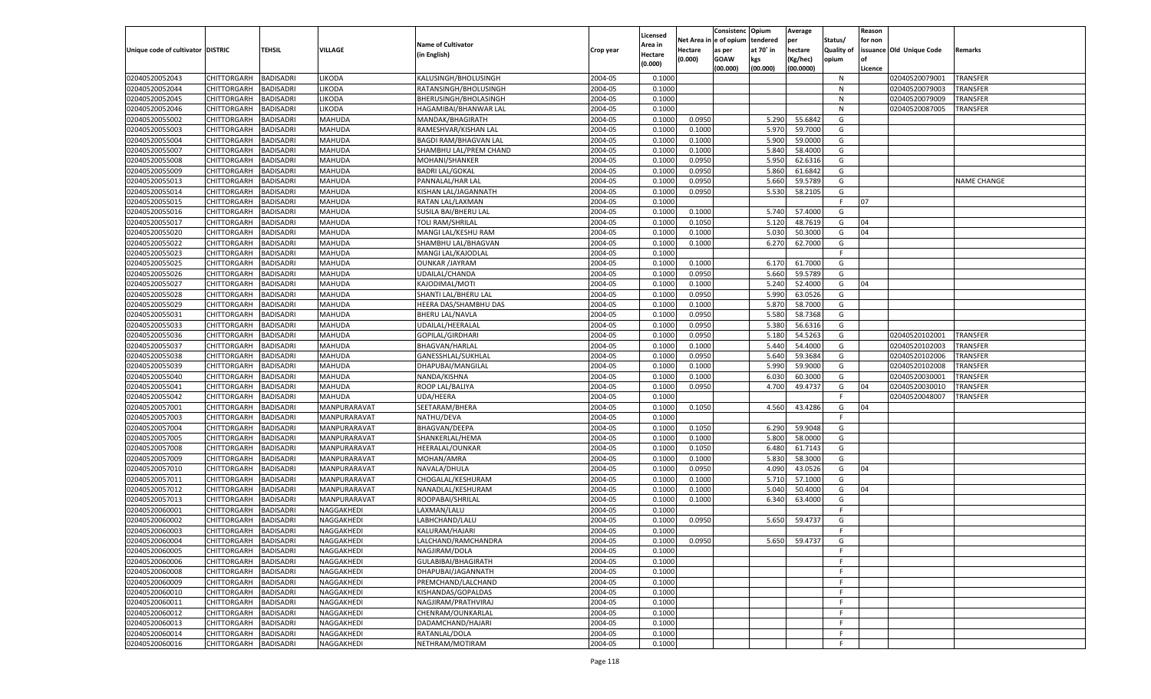|                                   |                       |                  |                |                              |           |                     |            | Consistenc   | Opium     | Average       |                   | Reason  |                          |                 |
|-----------------------------------|-----------------------|------------------|----------------|------------------------------|-----------|---------------------|------------|--------------|-----------|---------------|-------------------|---------|--------------------------|-----------------|
|                                   |                       |                  |                | <b>Name of Cultivator</b>    |           | Licensed<br>Area in | Net Area i | n e of opium | tendered  | per           | Status/           | for non |                          |                 |
| Unique code of cultivator DISTRIC |                       | TEHSIL           | <b>VILLAGE</b> | (in English)                 | Crop year | Hectare             | Hectare    | as per       | at 70° in | hectare       | <b>Quality of</b> |         | issuance Old Unique Code | Remarks         |
|                                   |                       |                  |                |                              |           | (0.000)             | (0.000)    | <b>GOAW</b>  | kgs       | (Kg/hec)      | opium             |         |                          |                 |
|                                   |                       |                  |                |                              |           |                     |            | (00.000)     | (00.000)  | (00.0000)     |                   | Licence |                          |                 |
| 02040520052043                    | CHITTORGARH           | <b>BADISADRI</b> | LIKODA         | KALUSINGH/BHOLUSINGH         | 2004-05   | 0.1000              |            |              |           |               | N                 |         | 02040520079001           | TRANSFER        |
| 02040520052044                    | CHITTORGARH           | BADISADRI        | <b>IKODA</b>   | RATANSINGH/BHOLUSINGH        | 2004-05   | 0.1000              |            |              |           |               | N                 |         | 02040520079003           | TRANSFER        |
| 02040520052045                    | CHITTORGARH           | BADISADRI        | <b>LIKODA</b>  | BHERUSINGH/BHOLASINGH        | 2004-05   | 0.1000              |            |              |           |               | N                 |         | 02040520079009           | TRANSFER        |
| 02040520052046                    | CHITTORGARH           | BADISADRI        | LIKODA         | HAGAMIBAI/BHANWAR LAL        | 2004-05   | 0.1000              |            |              |           |               | N                 |         | 02040520087005           | TRANSFER        |
| 02040520055002                    | CHITTORGARH           | BADISADRI        | MAHUDA         | MANDAK/BHAGIRATH             | 2004-05   | 0.1000              | 0.0950     |              | 5.290     | 55.6842       | G                 |         |                          |                 |
| 02040520055003                    | CHITTORGARH           | BADISADRI        | MAHUDA         | RAMESHVAR/KISHAN LAL         | 2004-05   | 0.1000              | 0.1000     |              | 5.970     | 59.7000       | G                 |         |                          |                 |
| 02040520055004                    | CHITTORGARH           | BADISADRI        | MAHUDA         | <b>BAGDI RAM/BHAGVAN LAL</b> | 2004-05   | 0.1000              | 0.1000     |              | 5.900     | 59.0000       | G                 |         |                          |                 |
| 02040520055007                    | CHITTORGARH           | BADISADRI        | MAHUDA         | SHAMBHU LAL/PREM CHAND       | 2004-05   | 0.1000              | 0.1000     |              | 5.840     | 58.4000       | G                 |         |                          |                 |
| 02040520055008                    | CHITTORGARH           | BADISADRI        | MAHUDA         | MOHANI/SHANKER               | 2004-05   | 0.1000              | 0.0950     |              | 5.950     | 62.6316       | G                 |         |                          |                 |
| 02040520055009                    | CHITTORGARH           | BADISADRI        | MAHUDA         | <b>BADRI LAL/GOKAL</b>       | 2004-05   | 0.1000              | 0.0950     |              | 5.860     | 61.6842       | G                 |         |                          |                 |
| 02040520055013                    | CHITTORGARH           | BADISADRI        | MAHUDA         | PANNALAL/HAR LAL             | 2004-05   | 0.1000              | 0.0950     |              | 5.660     | 59.5789       | G                 |         |                          | NAME CHANGE     |
| 02040520055014                    | CHITTORGARH           | BADISADRI        | MAHUDA         | KISHAN LAL/JAGANNATH         | 2004-05   | 0.1000              | 0.0950     |              | 5.530     | 58.2105       | G                 |         |                          |                 |
| 02040520055015                    | CHITTORGARH           | BADISADRI        | MAHUDA         | RATAN LAL/LAXMAN             | 2004-05   | 0.1000              |            |              |           |               | F.                | 07      |                          |                 |
| 02040520055016                    | CHITTORGARH           | BADISADRI        | MAHUDA         | SUSILA BAI/BHERU LAL         | 2004-05   | 0.1000              | 0.1000     |              | 5.740     | 57.4000       | G                 |         |                          |                 |
| 02040520055017                    | CHITTORGARH           | <b>BADISADRI</b> | MAHUDA         | <b>TOLI RAM/SHRILAL</b>      | 2004-05   | 0.1000              | 0.1050     |              | 5.120     | 48.7619       | G                 | 04      |                          |                 |
| 02040520055020                    | CHITTORGARH           | BADISADRI        | MAHUDA         | MANGI LAL/KESHU RAM          | 2004-05   | 0.1000              | 0.1000     |              | 5.030     | 50.3000       | G                 | 04      |                          |                 |
| 02040520055022                    | CHITTORGARH           | <b>BADISADRI</b> | MAHUDA         | SHAMBHU LAL/BHAGVAN          | 2004-05   | 0.1000              | 0.1000     |              | 6.270     | 62.7000       | G                 |         |                          |                 |
| 02040520055023                    | CHITTORGARH           | BADISADRI        | MAHUDA         | MANGI LAL/KAJODLAL           | 2004-05   | 0.1000              |            |              |           |               | F.                |         |                          |                 |
| 02040520055025                    | CHITTORGARH           | <b>BADISADRI</b> | MAHUDA         | <b>OUNKAR /JAYRAM</b>        | 2004-05   | 0.1000              | 0.1000     |              | 6.170     | 61.7000       | G                 |         |                          |                 |
| 02040520055026                    | CHITTORGARH           | BADISADRI        | MAHUDA         | UDAILAL/CHANDA               | 2004-05   | 0.1000              | 0.0950     |              | 5.660     | 59.5789       | G                 |         |                          |                 |
| 02040520055027                    | CHITTORGARH           | <b>BADISADRI</b> | MAHUDA         | KAJODIMAL/MOTI               | 2004-05   | 0.1000              | 0.1000     |              | 5.240     | 52.4000       | G                 | 04      |                          |                 |
| 02040520055028                    | CHITTORGARH           | BADISADRI        | MAHUDA         | SHANTI LAL/BHERU LAL         | 2004-05   | 0.1000              | 0.0950     |              | 5.990     | 63.0526       | G                 |         |                          |                 |
| 02040520055029                    | CHITTORGARH           | <b>BADISADRI</b> | MAHUDA         | HEERA DAS/SHAMBHU DAS        | 2004-05   | 0.1000              | 0.1000     |              | 5.870     | 58.7000       | G                 |         |                          |                 |
| 02040520055031                    | CHITTORGARH           | BADISADRI        | MAHUDA         | <b>BHERU LAL/NAVLA</b>       | 2004-05   | 0.1000              | 0.0950     |              | 5.580     | 58.7368       | G                 |         |                          |                 |
| 02040520055033                    | CHITTORGARH           | <b>BADISADRI</b> | MAHUDA         | UDAILAL/HEERALAL             | 2004-05   | 0.1000              | 0.0950     |              | 5.380     | 56.6316       | G                 |         |                          |                 |
| 02040520055036                    | CHITTORGARH           | BADISADRI        | MAHUDA         | GOPILAL/GIRDHARI             | 2004-05   | 0.1000              | 0.0950     |              | 5.180     | 54.5263       | G                 |         | 02040520102001           | <b>TRANSFER</b> |
| 02040520055037                    | CHITTORGARH           | <b>BADISADRI</b> | MAHUDA         | <b>BHAGVAN/HARLAL</b>        | 2004-05   | 0.1000              | 0.1000     |              | 5.440     | 54.4000       | G                 |         | 02040520102003           | TRANSFER        |
| 02040520055038                    | CHITTORGARH           | BADISADRI        | MAHUDA         | GANESSHLAL/SUKHLAL           | 2004-05   | 0.1000              | 0.0950     |              | 5.640     | 59.3684       | G                 |         | 02040520102006           | TRANSFER        |
| 02040520055039                    | CHITTORGARH           | <b>BADISADRI</b> | MAHUDA         | DHAPUBAI/MANGILAL            | 2004-05   | 0.1000              | 0.1000     |              | 5.990     | 59.9000       | G                 |         | 02040520102008           | TRANSFER        |
| 02040520055040                    | CHITTORGARH           | BADISADRI        | MAHUDA         | NANDA/KISHNA                 | 2004-05   | 0.1000              | 0.1000     |              | 6.030     | 60.3000       | G                 |         | 02040520030001           | TRANSFER        |
| 02040520055041                    | CHITTORGARH           | <b>BADISADRI</b> | MAHUDA         | ROOP LAL/BALIYA              | 2004-05   | 0.1000              | 0.0950     |              | 4.700     | 49.4737       | G                 | 04      | 02040520030010           | TRANSFER        |
| 02040520055042                    | CHITTORGARH           | <b>BADISADRI</b> | MAHUDA         | UDA/HEERA                    | 2004-05   | 0.1000              |            |              |           |               | F                 |         | 02040520048007           | TRANSFER        |
| 02040520057001                    | CHITTORGARH           | <b>BADISADRI</b> | MANPURARAVAT   | SEETARAM/BHERA               | 2004-05   | 0.1000              | 0.1050     |              | 4.560     | 43.4286       | G                 | 04      |                          |                 |
| 02040520057003                    | CHITTORGARH           | BADISADRI        | MANPURARAVAT   | NATHU/DEVA                   | 2004-05   | 0.1000              |            |              |           |               | F                 |         |                          |                 |
| 02040520057004                    | CHITTORGARH           | <b>BADISADRI</b> | MANPURARAVAT   | <b>BHAGVAN/DEEPA</b>         | 2004-05   | 0.1000              | 0.1050     |              | 6.290     | 59.9048       | G                 |         |                          |                 |
| 02040520057005                    | CHITTORGARH           | <b>BADISADRI</b> | MANPURARAVAT   | SHANKERLAL/HEMA              | 2004-05   | 0.1000              | 0.1000     |              | 5.800     | 58.0000       | G                 |         |                          |                 |
| 02040520057008                    | CHITTORGARH           | <b>BADISADRI</b> | MANPURARAVAT   | HEERALAL/OUNKAR              | 2004-05   | 0.1000              | 0.1050     |              | 6.480     | 61.7143       | G                 |         |                          |                 |
| 02040520057009                    | CHITTORGARH           | BADISADRI        | MANPURARAVAT   | MOHAN/AMRA                   | 2004-05   | 0.1000              | 0.1000     |              | 5.830     | 58.3000       | G                 |         |                          |                 |
| 02040520057010                    | CHITTORGARH           | <b>BADISADRI</b> | MANPURARAVAT   | NAVALA/DHULA                 | 2004-05   | 0.1000              | 0.0950     |              | 4.090     | 43.0526       | G                 | 04      |                          |                 |
| 02040520057011                    | CHITTORGARH           | <b>BADISADRI</b> | MANPURARAVAT   | CHOGALAL/KESHURAM            | 2004-05   | 0.1000              | 0.1000     |              | 5.710     | 57.1000       | G                 |         |                          |                 |
| 02040520057012                    | CHITTORGARH           | <b>BADISADRI</b> | MANPURARAVAT   | NANADLAL/KESHURAM            | 2004-05   | 0.1000              | 0.1000     |              | 5.040     | 50.4000       | G                 | 04      |                          |                 |
| 02040520057013                    | CHITTORGARH           | BADISADRI        | MANPURARAVAT   | ROOPABAI/SHRILAL             | 2004-05   | 0.1000              | 0.1000     |              | 6.340     | 63.4000       | G                 |         |                          |                 |
| 02040520060001                    | CHITTORGARH           | BADISADRI        | NAGGAKHEDI     | LAXMAN/LALU                  | 2004-05   | 0.1000              |            |              |           |               | F.                |         |                          |                 |
| 02040520060002                    | CHITTORGARH           | BADISADRI        | NAGGAKHEDI     | LABHCHAND/LALU               | 2004-05   | 0.1000              | 0.0950     |              | 5.650     | 59.4737       | G                 |         |                          |                 |
| 02040520060003                    | CHITTORGARH           | <b>BADISADRI</b> | NAGGAKHEDI     | KALURAM/HAJARI               | 2004-05   | 0.1000              |            |              |           |               | F.                |         |                          |                 |
| 02040520060004                    | CHITTORGARH BADISADRI |                  | NAGGAKHEDI     | LALCHAND/RAMCHANDRA          | 2004-05   | 0.1000              | 0.0950     |              |           | 5.650 59.4737 | G                 |         |                          |                 |
| 02040520060005                    | <b>CHITTORGARH</b>    | <b>BADISADRI</b> | NAGGAKHEDI     | NAGJIRAM/DOLA                | 2004-05   | 0.1000              |            |              |           |               | F.                |         |                          |                 |
| 02040520060006                    | <b>CHITTORGARH</b>    | <b>BADISADRI</b> | NAGGAKHEDI     | GULABIBAI/BHAGIRATH          | 2004-05   | 0.1000              |            |              |           |               | F.                |         |                          |                 |
| 02040520060008                    | <b>CHITTORGARH</b>    | <b>BADISADRI</b> | NAGGAKHEDI     | DHAPUBAI/JAGANNATH           | 2004-05   | 0.1000              |            |              |           |               | F.                |         |                          |                 |
| 02040520060009                    | <b>CHITTORGARH</b>    | <b>BADISADRI</b> | NAGGAKHEDI     | PREMCHAND/LALCHAND           | 2004-05   | 0.1000              |            |              |           |               | F.                |         |                          |                 |
| 02040520060010                    | <b>CHITTORGARH</b>    | <b>BADISADRI</b> | NAGGAKHEDI     | KISHANDAS/GOPALDAS           | 2004-05   | 0.1000              |            |              |           |               | F.                |         |                          |                 |
| 02040520060011                    | CHITTORGARH           | <b>BADISADRI</b> | NAGGAKHEDI     | NAGJIRAM/PRATHVIRAJ          | 2004-05   | 0.1000              |            |              |           |               | F.                |         |                          |                 |
|                                   |                       | <b>BADISADRI</b> | NAGGAKHEDI     |                              | 2004-05   | 0.1000              |            |              |           |               | F.                |         |                          |                 |
| 02040520060012<br>02040520060013  | CHITTORGARH           |                  |                | CHENRAM/OUNKARLAL            |           |                     |            |              |           |               |                   |         |                          |                 |
|                                   | CHITTORGARH           | <b>BADISADRI</b> | NAGGAKHEDI     | DADAMCHAND/HAJARI            | 2004-05   | 0.1000              |            |              |           |               | F.                |         |                          |                 |
| 02040520060014                    | CHITTORGARH           | <b>BADISADRI</b> | NAGGAKHEDI     | RATANLAL/DOLA                | 2004-05   | 0.1000              |            |              |           |               | F.                |         |                          |                 |
| 02040520060016                    | <b>CHITTORGARH</b>    | <b>BADISADRI</b> | NAGGAKHEDI     | NETHRAM/MOTIRAM              | 2004-05   | 0.1000              |            |              |           |               | F.                |         |                          |                 |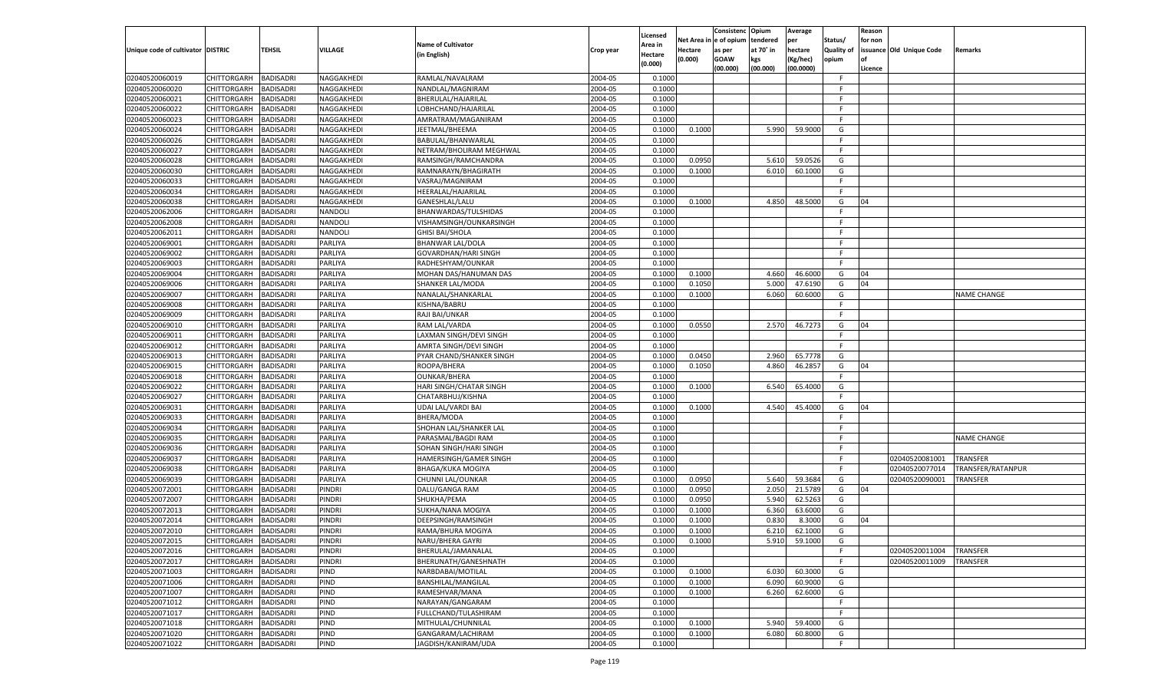|                                   |                       |                  |                |                               |                    | Licensed |                        | Consistenc  | Opium     | Average       |                   | Reason  |                          |                    |
|-----------------------------------|-----------------------|------------------|----------------|-------------------------------|--------------------|----------|------------------------|-------------|-----------|---------------|-------------------|---------|--------------------------|--------------------|
|                                   |                       |                  |                | <b>Name of Cultivator</b>     |                    | Area in  | Net Area in e of opium |             | tendered  | per           | Status/           | for non |                          |                    |
| Unique code of cultivator DISTRIC |                       | <b>TEHSIL</b>    | <b>VILLAGE</b> | (in English)                  | Crop year          | Hectare  | <b>Hectare</b>         | as per      | at 70° in | hectare       | <b>Quality of</b> |         | issuance Old Unique Code | Remarks            |
|                                   |                       |                  |                |                               |                    | (0.000)  | (0.000)                | <b>GOAW</b> | kgs       | (Kg/hec)      | opium             |         |                          |                    |
|                                   |                       |                  |                |                               |                    |          |                        | (00.000)    | (00.000)  | (00.0000)     |                   | Licence |                          |                    |
| 02040520060019                    | CHITTORGARH           | <b>BADISADRI</b> | NAGGAKHEDI     | RAMLAL/NAVALRAM               | 2004-05            | 0.1000   |                        |             |           |               | F.                |         |                          |                    |
| 02040520060020                    | CHITTORGARH           | <b>BADISADRI</b> | NAGGAKHEDI     | NANDLAL/MAGNIRAM              | 2004-05            | 0.1000   |                        |             |           |               | F.                |         |                          |                    |
| 02040520060021                    | <b>CHITTORGARH</b>    | <b>BADISADRI</b> | NAGGAKHEDI     | BHERULAL/HAJARILAL            | 2004-05            | 0.1000   |                        |             |           |               | F.                |         |                          |                    |
| 02040520060022                    | CHITTORGARH           | <b>BADISADRI</b> | NAGGAKHEDI     | LOBHCHAND/HAJARILAL           | 2004-05            | 0.1000   |                        |             |           |               | F.                |         |                          |                    |
| 02040520060023                    | CHITTORGARH           | <b>BADISADRI</b> | NAGGAKHEDI     | AMRATRAM/MAGANIRAM            | 2004-05            | 0.1000   |                        |             |           |               | F.                |         |                          |                    |
| 02040520060024                    | CHITTORGARH           | <b>BADISADRI</b> | NAGGAKHEDI     | JEETMAL/BHEEMA                | 2004-05            | 0.1000   | 0.1000                 |             | 5.990     | 59.9000       | G                 |         |                          |                    |
| 02040520060026                    | <b>CHITTORGARH</b>    | <b>BADISADRI</b> | NAGGAKHEDI     | BABULAL/BHANWARLAL            | 2004-05            | 0.1000   |                        |             |           |               | F.                |         |                          |                    |
| 02040520060027                    | CHITTORGARH           | <b>BADISADRI</b> | NAGGAKHEDI     | NETRAM/BHOLIRAM MEGHWAL       | 2004-05            | 0.1000   |                        |             |           |               | F.                |         |                          |                    |
| 02040520060028                    | CHITTORGARH           | <b>BADISADRI</b> | NAGGAKHEDI     | RAMSINGH/RAMCHANDRA           | 2004-05            | 0.1000   | 0.0950                 |             | 5.610     | 59.0526       | G                 |         |                          |                    |
| 02040520060030                    | CHITTORGARH           | <b>BADISADRI</b> | NAGGAKHEDI     | RAMNARAYN/BHAGIRATH           | 2004-05            | 0.1000   | 0.1000                 |             | 6.010     | 60.1000       | G                 |         |                          |                    |
| 02040520060033                    | <b>CHITTORGARH</b>    | <b>BADISADRI</b> | NAGGAKHEDI     | VASRAJ/MAGNIRAM               | 2004-05            | 0.1000   |                        |             |           |               | F.                |         |                          |                    |
| 02040520060034                    | CHITTORGARH           | <b>BADISADRI</b> | NAGGAKHEDI     | HEERALAL/HAJARILAL            | 2004-05            | 0.1000   |                        |             |           |               | F.                |         |                          |                    |
| 02040520060038                    | CHITTORGARH           | <b>BADISADRI</b> | NAGGAKHEDI     | GANESHLAL/LALU                | 2004-05            | 0.1000   | 0.1000                 |             | 4.850     | 48.5000       | G                 | 04      |                          |                    |
| 02040520062006                    | CHITTORGARH           | <b>BADISADRI</b> | NANDOLI        | BHANWARDAS/TULSHIDAS          | 2004-05            | 0.1000   |                        |             |           |               | F.                |         |                          |                    |
| 02040520062008                    | CHITTORGARH           | <b>BADISADRI</b> | NANDOLI        | VISHAMSINGH/OUNKARSINGH       | 2004-05            | 0.1000   |                        |             |           |               | F.                |         |                          |                    |
| 02040520062011                    | CHITTORGARH           | <b>BADISADRI</b> | NANDOLI        | <b>GHISI BAI/SHOLA</b>        | 2004-05            | 0.1000   |                        |             |           |               | F.                |         |                          |                    |
| 02040520069001                    | CHITTORGARH           | <b>BADISADRI</b> | PARLIYA        | <b>BHANWAR LAL/DOLA</b>       | 2004-05            | 0.1000   |                        |             |           |               | F.                |         |                          |                    |
| 02040520069002                    | CHITTORGARH           | <b>BADISADRI</b> | PARLIYA        | GOVARDHAN/HARI SINGH          | 2004-05            | 0.1000   |                        |             |           |               | F.                |         |                          |                    |
| 02040520069003                    | CHITTORGARH           | <b>BADISADRI</b> | PARLIYA        | RADHESHYAM/OUNKAR             | 2004-05            | 0.1000   |                        |             |           |               | F.                |         |                          |                    |
| 02040520069004                    | CHITTORGARH           | <b>BADISADRI</b> | PARLIYA        | MOHAN DAS/HANUMAN DAS         | 2004-05            | 0.1000   | 0.1000                 |             | 4.660     | 46.6000       | G                 | 04      |                          |                    |
| 02040520069006                    | CHITTORGARH           | <b>BADISADRI</b> | PARLIYA        | SHANKER LAL/MODA              | 2004-05            | 0.1000   | 0.1050                 |             | 5.000     | 47.6190       | G                 | 04      |                          |                    |
| 02040520069007                    | CHITTORGARH           | <b>BADISADRI</b> | PARLIYA        | NANALAL/SHANKARLAL            | 2004-05            | 0.1000   | 0.1000                 |             | 6.060     | 60.6000       | G                 |         |                          | <b>NAME CHANGE</b> |
| 02040520069008                    | <b>CHITTORGARH</b>    | <b>BADISADRI</b> | <b>PARLIYA</b> | KISHNA/BABRU                  | 2004-05            | 0.1000   |                        |             |           |               | F.                |         |                          |                    |
| 02040520069009                    | CHITTORGARH           | <b>BADISADRI</b> | PARLIYA        | RAJI BAI/UNKAR                | 2004-05            | 0.1000   |                        |             |           |               | E.                |         |                          |                    |
|                                   |                       | <b>BADISADRI</b> | PARLIYA        |                               | 2004-05            | 0.1000   | 0.0550                 |             | 2.570     |               | G                 | 04      |                          |                    |
| 02040520069010                    | CHITTORGARH           |                  |                | RAM LAL/VARDA                 |                    | 0.1000   |                        |             |           | 46.7273       | F.                |         |                          |                    |
| 02040520069011<br>02040520069012  | CHITTORGARH           | <b>BADISADRI</b> | PARLIYA        | LAXMAN SINGH/DEVI SINGH       | 2004-05<br>2004-05 |          |                        |             |           |               | F.                |         |                          |                    |
|                                   | <b>CHITTORGARH</b>    | <b>BADISADRI</b> | PARLIYA        | AMRTA SINGH/DEVI SINGH        |                    | 0.1000   |                        |             |           |               |                   |         |                          |                    |
| 02040520069013                    | CHITTORGARH           | <b>BADISADRI</b> | PARLIYA        | PYAR CHAND/SHANKER SINGH      | 2004-05            | 0.1000   | 0.0450                 |             | 2.960     | 65.7778       | G                 |         |                          |                    |
| 02040520069015                    | CHITTORGARH           | <b>BADISADRI</b> | PARLIYA        | ROOPA/BHERA                   | 2004-05            | 0.1000   | 0.1050                 |             | 4.860     | 46.2857       | G                 | 04      |                          |                    |
| 02040520069018                    | CHITTORGARH           | <b>BADISADRI</b> | <b>PARLIYA</b> | <b>OUNKAR/BHERA</b>           | 2004-05            | 0.1000   |                        |             |           |               | F.                |         |                          |                    |
| 02040520069022                    | <b>CHITTORGARH</b>    | <b>BADISADRI</b> | <b>PARLIYA</b> | HARI SINGH/CHATAR SINGH       | 2004-05            | 0.1000   | 0.1000                 |             | 6.540     | 65.4000       | G                 |         |                          |                    |
| 02040520069027                    | CHITTORGARH           | <b>BADISADRI</b> | PARLIYA        | CHATARBHUJ/KISHNA             | 2004-05            | 0.1000   |                        |             |           |               | F.                |         |                          |                    |
| 02040520069031                    | <b>CHITTORGARH</b>    | <b>BADISADRI</b> | <b>PARLIYA</b> | UDAI LAL/VARDI BAI            | 2004-05            | 0.1000   | 0.1000                 |             | 4.540     | 45.4000       | G                 | 04      |                          |                    |
| 02040520069033                    | <b>CHITTORGARH</b>    | <b>BADISADRI</b> | PARLIYA        | BHERA/MODA                    | 2004-05            | 0.1000   |                        |             |           |               | F.                |         |                          |                    |
| 02040520069034                    | <b>CHITTORGARH</b>    | <b>BADISADRI</b> | <b>PARLIYA</b> | SHOHAN LAL/SHANKER LAL        | 2004-05            | 0.1000   |                        |             |           |               | F.                |         |                          |                    |
| 02040520069035                    | CHITTORGARH           | <b>BADISADRI</b> | PARLIYA        | PARASMAL/BAGDI RAM            | 2004-05            | 0.1000   |                        |             |           |               | F.                |         |                          | <b>NAME CHANGE</b> |
| 02040520069036                    | <b>CHITTORGARH</b>    | <b>BADISADRI</b> | <b>PARLIYA</b> | SOHAN SINGH/HARI SINGH        | 2004-05            | 0.1000   |                        |             |           |               | E                 |         |                          |                    |
| 02040520069037                    | <b>CHITTORGARH</b>    | <b>BADISADRI</b> | PARLIYA        | <b>HAMERSINGH/GAMER SINGH</b> | 2004-05            | 0.1000   |                        |             |           |               | F.                |         | 02040520081001           | <b>TRANSFER</b>    |
| 02040520069038                    | <b>CHITTORGARH</b>    | <b>BADISADRI</b> | <b>PARLIYA</b> | <b>BHAGA/KUKA MOGIYA</b>      | 2004-05            | 0.1000   |                        |             |           |               | F.                |         | 02040520077014           | TRANSFER/RATANPUR  |
| 02040520069039                    | CHITTORGARH           | <b>BADISADRI</b> | <b>PARLIYA</b> | CHUNNI LAL/OUNKAR             | 2004-05            | 0.1000   | 0.0950                 |             | 5.640     | 59.3684       | G                 |         | 02040520090001           | TRANSFER           |
| 02040520072001                    | <b>CHITTORGARH</b>    | <b>BADISADRI</b> | <b>PINDRI</b>  | DALU/GANGA RAM                | 2004-05            | 0.1000   | 0.0950                 |             | 2.050     | 21.5789       | G                 | 04      |                          |                    |
| 02040520072007                    | <b>CHITTORGARH</b>    | <b>BADISADRI</b> | PINDRI         | SHUKHA/PEMA                   | 2004-05            | 0.1000   | 0.0950                 |             | 5.940     | 62.5263       | G                 |         |                          |                    |
| 02040520072013                    | <b>CHITTORGARH</b>    | <b>BADISADRI</b> | PINDRI         | SUKHA/NANA MOGIYA             | 2004-05            | 0.1000   | 0.1000                 |             | 6.360     | 63.6000       | G                 |         |                          |                    |
| 02040520072014                    | CHITTORGARH           | <b>BADISADRI</b> | PINDRI         | DEEPSINGH/RAMSINGH            | 2004-05            | 0.1000   | 0.1000                 |             | 0.830     | 8.3000        | G                 | 04      |                          |                    |
| 02040520072010                    | CHITTORGARH           | <b>BADISADRI</b> | PINDRI         | RAMA/BHURA MOGIYA             | 2004-05            | 0.1000   | 0.1000                 |             | 6.210     | 62.1000       | G                 |         |                          |                    |
| 02040520072015                    | CHITTORGARH BADISADRI |                  | <b>PINDRI</b>  | NARU/BHERA GAYRI              | 2004-05            | 0.1000   | 0.1000                 |             |           | 5.910 59.1000 | G                 |         |                          |                    |
| 02040520072016                    | CHITTORGARH           | <b>BADISADRI</b> | <b>PINDRI</b>  | BHERULAL/JAMANALAL            | 2004-05            | 0.1000   |                        |             |           |               | F.                |         | 02040520011004           | <b>TRANSFER</b>    |
| 02040520072017                    | <b>CHITTORGARH</b>    | <b>BADISADRI</b> | <b>PINDRI</b>  | BHERUNATH/GANESHNATH          | 2004-05            | 0.1000   |                        |             |           |               | F.                |         | 02040520011009           | TRANSFER           |
| 02040520071003                    | CHITTORGARH           | <b>BADISADRI</b> | PIND           | NARBDABAI/MOTILAL             | 2004-05            | 0.1000   | 0.1000                 |             | 6.030     | 60.3000       | G                 |         |                          |                    |
| 02040520071006                    | <b>CHITTORGARH</b>    | <b>BADISADRI</b> | PIND           | BANSHILAL/MANGILAL            | 2004-05            | 0.1000   | 0.1000                 |             | 6.090     | 60.9000       | G                 |         |                          |                    |
| 02040520071007                    | <b>CHITTORGARH</b>    | <b>BADISADRI</b> | PIND           | RAMESHVAR/MANA                | 2004-05            | 0.1000   | 0.1000                 |             | 6.260     | 62.6000       | G                 |         |                          |                    |
| 02040520071012                    | <b>CHITTORGARH</b>    | <b>BADISADRI</b> | PIND           | NARAYAN/GANGARAM              | 2004-05            | 0.1000   |                        |             |           |               | F.                |         |                          |                    |
| 02040520071017                    | CHITTORGARH           | <b>BADISADRI</b> | PIND           | FULLCHAND/TULASHIRAM          | 2004-05            | 0.1000   |                        |             |           |               | F.                |         |                          |                    |
| 02040520071018                    | <b>CHITTORGARH</b>    | <b>BADISADRI</b> | PIND           | MITHULAL/CHUNNILAL            | 2004-05            | 0.1000   | 0.1000                 |             | 5.940     | 59.4000       | G                 |         |                          |                    |
| 02040520071020                    | <b>CHITTORGARH</b>    | <b>BADISADRI</b> | PIND           | GANGARAM/LACHIRAM             | 2004-05            | 0.1000   | 0.1000                 |             | 6.080     | 60.8000       | G                 |         |                          |                    |
| 02040520071022                    | CHITTORGARH           | <b>BADISADRI</b> | PIND           | JAGDISH/KANIRAM/UDA           | 2004-05            | 0.1000   |                        |             |           |               | F.                |         |                          |                    |
|                                   |                       |                  |                |                               |                    |          |                        |             |           |               |                   |         |                          |                    |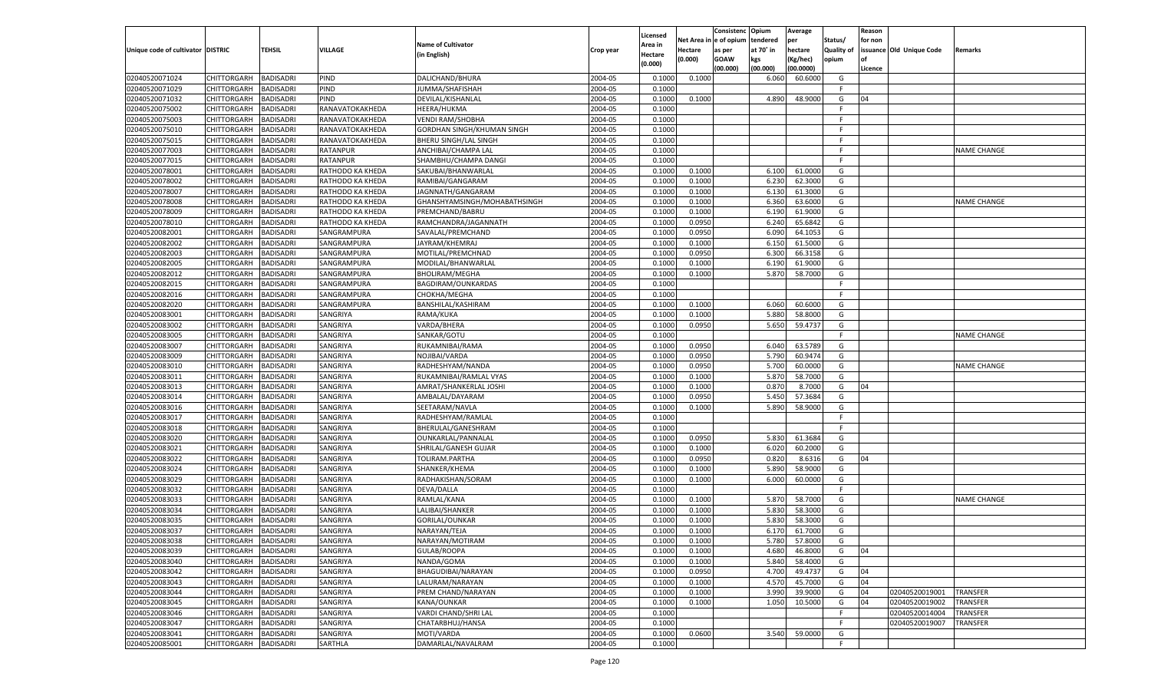|                                   |                       |                               |                  |                              |           |                    |            | Consistenc Opium |           | Average   |                   | Reason  |                          |                    |
|-----------------------------------|-----------------------|-------------------------------|------------------|------------------------------|-----------|--------------------|------------|------------------|-----------|-----------|-------------------|---------|--------------------------|--------------------|
|                                   |                       |                               |                  | <b>Name of Cultivator</b>    |           | Licensed           | Net Area i | n  e of opium    | tendered  | per       | Status/           | for non |                          |                    |
| Unique code of cultivator DISTRIC |                       | <b>TEHSIL</b>                 | VILLAGE          |                              | Crop year | <b>Area in</b>     | Hectare    | as per           | at 70° in | hectare   | <b>Quality of</b> |         | issuance Old Unique Code | <b>Remarks</b>     |
|                                   |                       |                               |                  | (in English)                 |           | Hectare<br>(0.000) | (0.000)    | <b>GOAW</b>      | kgs       | (Kg/hec)  | opium             |         |                          |                    |
|                                   |                       |                               |                  |                              |           |                    |            | (00.000)         | (00.000)  | (00.0000) |                   | Licence |                          |                    |
| 02040520071024                    | CHITTORGARH           | <b>BADISADRI</b>              | PIND             | DALICHAND/BHURA              | 2004-05   | 0.1000             | 0.1000     |                  | 6.060     | 60.6000   | G                 |         |                          |                    |
| 02040520071029                    | CHITTORGARH           | <b>BADISADRI</b>              | PIND             | JUMMA/SHAFISHAH              | 2004-05   | 0.1000             |            |                  |           |           | F.                |         |                          |                    |
| 02040520071032                    | CHITTORGARH           | <b>BADISADRI</b>              | PIND             | DEVILAL/KISHANLAL            | 2004-05   | 0.1000             | 0.1000     |                  | 4.890     | 48.9000   | G                 | 04      |                          |                    |
| 02040520075002                    | CHITTORGARH           | <b>BADISADRI</b>              | RANAVATOKAKHEDA  | HEERA/HUKMA                  | 2004-05   | 0.1000             |            |                  |           |           | F.                |         |                          |                    |
| 02040520075003                    | CHITTORGARH           | <b>BADISADRI</b>              | RANAVATOKAKHEDA  | <b>VENDI RAM/SHOBHA</b>      | 2004-05   | 0.1000             |            |                  |           |           | F                 |         |                          |                    |
| 02040520075010                    | CHITTORGARH           | BADISADRI                     | RANAVATOKAKHEDA  | GORDHAN SINGH/KHUMAN SINGH   | 2004-05   | 0.1000             |            |                  |           |           | F.                |         |                          |                    |
| 02040520075015                    | CHITTORGARH           | <b>BADISADRI</b>              | RANAVATOKAKHEDA  | <b>BHERU SINGH/LAL SINGH</b> | 2004-05   | 0.1000             |            |                  |           |           | F.                |         |                          |                    |
| 02040520077003                    | CHITTORGARH           | <b>BADISADRI</b>              | <b>RATANPUR</b>  | ANCHIBAI/CHAMPA LAL          | 2004-05   | 0.1000             |            |                  |           |           | F.                |         |                          | <b>NAME CHANGE</b> |
| 02040520077015                    | CHITTORGARH           | <b>BADISADRI</b>              | RATANPUR         | SHAMBHU/CHAMPA DANGI         | 2004-05   | 0.1000             |            |                  |           |           | F.                |         |                          |                    |
| 02040520078001                    | CHITTORGARH           | BADISADRI                     | RATHODO KA KHEDA | SAKUBAI/BHANWARLAL           | 2004-05   | 0.1000             | 0.1000     |                  | 6.100     | 61.0000   | G                 |         |                          |                    |
| 02040520078002                    | CHITTORGARH           | <b>BADISADRI</b>              | RATHODO KA KHEDA | RAMIBAI/GANGARAM             | 2004-05   | 0.1000             | 0.1000     |                  | 6.230     | 62.3000   | G                 |         |                          |                    |
| 02040520078007                    | CHITTORGARH           | <b>BADISADRI</b>              | RATHODO KA KHEDA | JAGNNATH/GANGARAM            | 2004-05   | 0.1000             | 0.1000     |                  | 6.130     | 61.3000   | G                 |         |                          |                    |
| 02040520078008                    | CHITTORGARH           | <b>BADISADRI</b>              | RATHODO KA KHEDA | GHANSHYAMSINGH/MOHABATHSINGH | 2004-05   | 0.1000             | 0.1000     |                  | 6.360     | 63.6000   | G                 |         |                          | <b>NAME CHANGE</b> |
| 02040520078009                    | CHITTORGARH           | BADISADRI                     | RATHODO KA KHEDA | PREMCHAND/BABRU              | 2004-05   | 0.1000             | 0.1000     |                  | 6.190     | 61.9000   | G                 |         |                          |                    |
| 02040520078010                    | CHITTORGARH           | <b>BADISADRI</b>              | RATHODO KA KHEDA | RAMCHANDRA/JAGANNATH         | 2004-05   | 0.1000             | 0.0950     |                  | 6.240     | 65.6842   | G                 |         |                          |                    |
| 02040520082001                    | CHITTORGARH           | <b>BADISADRI</b>              | SANGRAMPURA      | SAVALAL/PREMCHAND            | 2004-05   | 0.1000             | 0.0950     |                  | 6.090     | 64.1053   | G                 |         |                          |                    |
| 02040520082002                    | CHITTORGARH           | <b>BADISADRI</b>              | SANGRAMPURA      | JAYRAM/KHEMRAJ               | 2004-05   | 0.1000             | 0.1000     |                  | 6.150     | 61.5000   | G                 |         |                          |                    |
| 02040520082003                    | CHITTORGARH           | BADISADRI                     | SANGRAMPURA      | MOTILAL/PREMCHNAD            | 2004-05   | 0.1000             | 0.0950     |                  | 6.300     | 66.3158   | G                 |         |                          |                    |
| 02040520082005                    | CHITTORGARH           | BADISADRI                     | SANGRAMPURA      | MODILAL/BHANWARLAL           | 2004-05   | 0.1000             | 0.1000     |                  | 6.190     | 61.9000   | G                 |         |                          |                    |
| 02040520082012                    | CHITTORGARH           | <b>BADISADRI</b>              | SANGRAMPURA      | <b>BHOLIRAM/MEGHA</b>        | 2004-05   | 0.1000             | 0.1000     |                  | 5.870     | 58.7000   | G                 |         |                          |                    |
| 02040520082015                    | CHITTORGARH           | <b>BADISADRI</b>              | SANGRAMPURA      | BAGDIRAM/OUNKARDAS           | 2004-05   | 0.1000             |            |                  |           |           | F.                |         |                          |                    |
| 02040520082016                    | CHITTORGARH           | BADISADRI                     | SANGRAMPURA      | CHOKHA/MEGHA                 | 2004-05   | 0.1000             |            |                  |           |           | F.                |         |                          |                    |
| 02040520082020                    | CHITTORGARH           | BADISADRI                     | SANGRAMPURA      | BANSHILAL/KASHIRAM           | 2004-05   | 0.1000             | 0.1000     |                  | 6.060     | 60.6000   | G                 |         |                          |                    |
| 02040520083001                    | CHITTORGARH           | BADISADRI                     | SANGRIYA         | RAMA/KUKA                    | 2004-05   | 0.1000             | 0.1000     |                  | 5.880     | 58.8000   | G                 |         |                          |                    |
| 02040520083002                    | CHITTORGARH           | <b>BADISADRI</b>              | SANGRIYA         | VARDA/BHERA                  | 2004-05   | 0.1000             | 0.0950     |                  | 5.650     | 59.4737   | G                 |         |                          |                    |
| 02040520083005                    | CHITTORGARH           | BADISADRI                     | SANGRIYA         | SANKAR/GOTU                  | 2004-05   | 0.1000             |            |                  |           |           | F.                |         |                          | <b>NAME CHANGE</b> |
| 02040520083007                    | CHITTORGARH           | <b>BADISADRI</b>              | SANGRIYA         | RUKAMNIBAI/RAMA              | 2004-05   | 0.1000             | 0.0950     |                  | 6.040     | 63.5789   | G                 |         |                          |                    |
| 02040520083009                    | CHITTORGARH           | BADISADRI                     | SANGRIYA         | NOJIBAI/VARDA                | 2004-05   | 0.1000             | 0.0950     |                  | 5.790     | 60.9474   | G                 |         |                          |                    |
| 02040520083010                    | CHITTORGARH           | <b>BADISADRI</b>              | SANGRIYA         | RADHESHYAM/NANDA             | 2004-05   | 0.1000             | 0.0950     |                  | 5.700     | 60.0000   | G                 |         |                          | <b>NAME CHANGE</b> |
| 02040520083011                    | CHITTORGARH           | BADISADRI                     | SANGRIYA         | RUKAMNIBAI/RAMLAL VYAS       | 2004-05   | 0.1000             | 0.1000     |                  | 5.870     | 58.7000   | G                 |         |                          |                    |
|                                   |                       |                               |                  |                              | 2004-05   |                    |            |                  |           | 8.7000    | G                 | 04      |                          |                    |
| 02040520083013                    | CHITTORGARH           | <b>BADISADRI</b><br>BADISADRI | SANGRIYA         | AMRAT/SHANKERLAL JOSHI       |           | 0.1000<br>0.1000   | 0.1000     |                  | 0.870     |           | G                 |         |                          |                    |
| 02040520083014                    | CHITTORGARH           |                               | SANGRIYA         | AMBALAL/DAYARAM              | 2004-05   |                    | 0.0950     |                  | 5.450     | 57.3684   | G                 |         |                          |                    |
| 02040520083016                    | CHITTORGARH           | <b>BADISADRI</b>              | SANGRIYA         | SEETARAM/NAVLA               | 2004-05   | 0.1000             | 0.1000     |                  | 5.890     | 58.9000   | F.                |         |                          |                    |
| 02040520083017                    | CHITTORGARH           | BADISADRI                     | SANGRIYA         | RADHESHYAM/RAMLAL            | 2004-05   | 0.1000             |            |                  |           |           |                   |         |                          |                    |
| 02040520083018                    | CHITTORGARH           | BADISADRI                     | SANGRIYA         | BHERULAL/GANESHRAM           | 2004-05   | 0.1000             |            |                  |           |           | F.                |         |                          |                    |
| 02040520083020                    | CHITTORGARH           | BADISADRI                     | SANGRIYA         | OUNKARLAL/PANNALAL           | 2004-05   | 0.1000             | 0.0950     |                  | 5.830     | 61.3684   | G                 |         |                          |                    |
| 02040520083021                    | CHITTORGARH           | <b>BADISADRI</b>              | SANGRIYA         | SHRILAL/GANESH GUJAR         | 2004-05   | 0.1000             | 0.1000     |                  | 6.020     | 60.2000   | G                 |         |                          |                    |
| 02040520083022                    | CHITTORGARH           | BADISADRI                     | SANGRIYA         | TOLIRAM.PARTHA               | 2004-05   | 0.1000             | 0.0950     |                  | 0.820     | 8.6316    | G                 | 04      |                          |                    |
| 02040520083024                    | CHITTORGARH           | <b>BADISADRI</b>              | SANGRIYA         | SHANKER/KHEMA                | 2004-05   | 0.1000             | 0.1000     |                  | 5.890     | 58.9000   | G                 |         |                          |                    |
| 02040520083029                    | CHITTORGARH           | BADISADRI                     | SANGRIYA         | RADHAKISHAN/SORAM            | 2004-05   | 0.1000             | 0.1000     |                  | 6.000     | 60.0000   | G                 |         |                          |                    |
| 02040520083032                    | CHITTORGARH           | <b>BADISADRI</b>              | SANGRIYA         | DEVA/DALLA                   | 2004-05   | 0.1000             |            |                  |           |           | F.                |         |                          |                    |
| 02040520083033                    | CHITTORGARH           | BADISADRI                     | SANGRIYA         | RAMLAL/KANA                  | 2004-05   | 0.1000             | 0.1000     |                  | 5.870     | 58.7000   | G                 |         |                          | <b>NAME CHANGE</b> |
| 02040520083034                    | CHITTORGARH           | BADISADRI                     | SANGRIYA         | LALIBAI/SHANKER              | 2004-05   | 0.1000             | 0.1000     |                  | 5.830     | 58.3000   | G                 |         |                          |                    |
| 02040520083035                    | CHITTORGARH           | BADISADRI                     | SANGRIYA         | GORILAL/OUNKAR               | 2004-05   | 0.1000             | 0.1000     |                  | 5.830     | 58.3000   | G                 |         |                          |                    |
| 02040520083037                    | CHITTORGARH           | BADISADRI                     | SANGRIYA         | NARAYAN/TEJA                 | 2004-05   | 0.1000             | 0.1000     |                  | 6.17      | 61.7000   | G                 |         |                          |                    |
| 02040520083038                    | CHITTORGARH BADISADRI |                               | SANGRIYA         | NARAYAN/MOTIRAM              | 2004-05   | 0.1000             | 0.1000     |                  | 5.780     | 57.8000   | G                 |         |                          |                    |
| 02040520083039                    | CHITTORGARH           | <b>BADISADRI</b>              | SANGRIYA         | GULAB/ROOPA                  | 2004-05   | 0.1000             | 0.1000     |                  | 4.680     | 46.8000   | G                 | 04      |                          |                    |
| 02040520083040                    | CHITTORGARH           | <b>BADISADRI</b>              | SANGRIYA         | NANDA/GOMA                   | 2004-05   | 0.1000             | 0.1000     |                  | 5.840     | 58.4000   | G                 |         |                          |                    |
| 02040520083042                    | <b>CHITTORGARH</b>    | <b>BADISADRI</b>              | SANGRIYA         | BHAGUDIBAI/NARAYAN           | 2004-05   | 0.1000             | 0.0950     |                  | 4.700     | 49.4737   | G                 | 04      |                          |                    |
| 02040520083043                    | <b>CHITTORGARH</b>    | <b>BADISADRI</b>              | SANGRIYA         | LALURAM/NARAYAN              | 2004-05   | 0.1000             | 0.1000     |                  | 4.570     | 45.7000   | G                 | 04      |                          |                    |
| 02040520083044                    | CHITTORGARH           | <b>BADISADRI</b>              | SANGRIYA         | PREM CHAND/NARAYAN           | 2004-05   | 0.1000             | 0.1000     |                  | 3.990     | 39.9000   | G                 | 04      | 02040520019001           | <b>TRANSFER</b>    |
| 02040520083045                    | CHITTORGARH           | <b>BADISADRI</b>              | SANGRIYA         | KANA/OUNKAR                  | 2004-05   | 0.1000             | 0.1000     |                  | 1.050     | 10.5000   | G                 | 04      | 02040520019002           | TRANSFER           |
| 02040520083046                    | <b>CHITTORGARH</b>    | <b>BADISADRI</b>              | SANGRIYA         | VARDI CHAND/SHRI LAL         | 2004-05   | 0.1000             |            |                  |           |           | F.                |         | 02040520014004           | TRANSFER           |
| 02040520083047                    | <b>CHITTORGARH</b>    | <b>BADISADRI</b>              | SANGRIYA         | CHATARBHUJ/HANSA             | 2004-05   | 0.1000             |            |                  |           |           | F.                |         | 02040520019007           | TRANSFER           |
| 02040520083041                    | CHITTORGARH           | <b>BADISADRI</b>              | SANGRIYA         | MOTI/VARDA                   | 2004-05   | 0.1000             | 0.0600     |                  | 3.540     | 59.0000   | G                 |         |                          |                    |
| 02040520085001                    | CHITTORGARH           | <b>BADISADRI</b>              | SARTHLA          | DAMARLAL/NAVALRAM            | 2004-05   | 0.1000             |            |                  |           |           | F.                |         |                          |                    |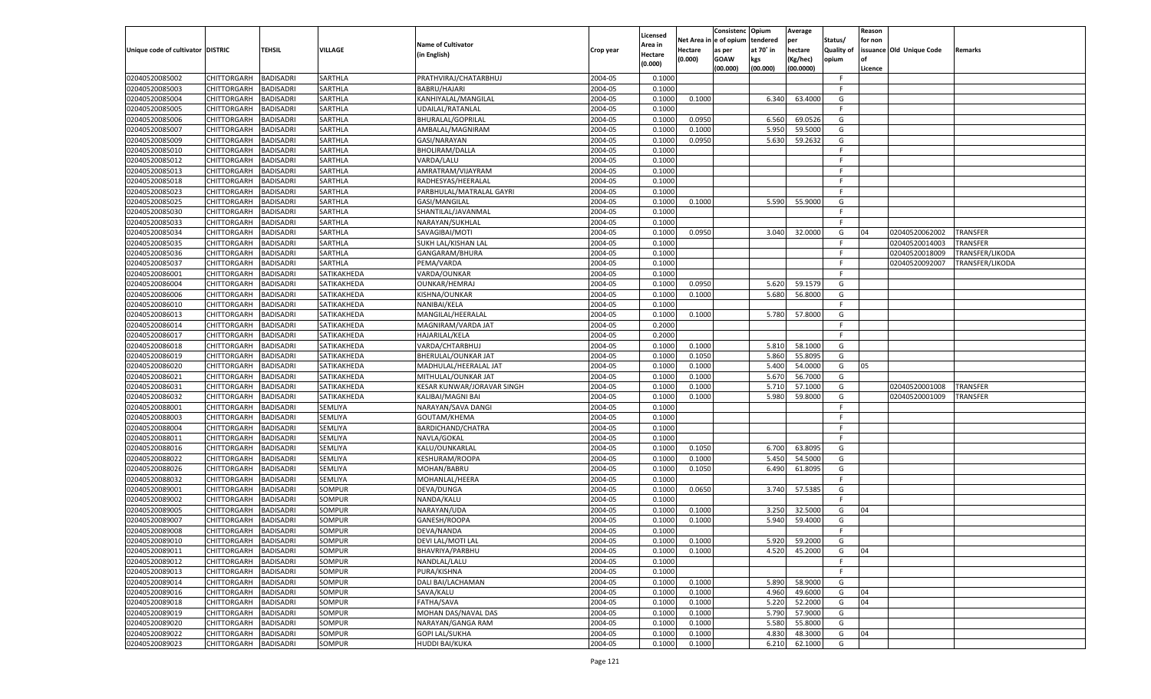|                                   |                    |                  |                |                            |           |                    |         | Consistenc Opium       |           | Average   |            | Reason  |                          |                 |
|-----------------------------------|--------------------|------------------|----------------|----------------------------|-----------|--------------------|---------|------------------------|-----------|-----------|------------|---------|--------------------------|-----------------|
|                                   |                    |                  |                | <b>Name of Cultivator</b>  |           | Licensed           |         | Net Area in e of opium | tendered  | per       | Status/    | for non |                          |                 |
| Unique code of cultivator DISTRIC |                    | TEHSIL           | <b>VILLAGE</b> |                            | Crop year | Area in            | Hectare | as per                 | at 70° in | hectare   | Quality of |         | issuance Old Unique Code | <b>Remarks</b>  |
|                                   |                    |                  |                | (in English)               |           | Hectare<br>(0.000) | (0.000) | <b>GOAW</b>            | kgs       | (Kg/hec)  | opium      |         |                          |                 |
|                                   |                    |                  |                |                            |           |                    |         | (00.000)               | (00.000)  | (00.0000) |            | Licence |                          |                 |
| 02040520085002                    | CHITTORGARH        | <b>BADISADRI</b> | SARTHLA        | PRATHVIRAJ/CHATARBHUJ      | 2004-05   | 0.1000             |         |                        |           |           | -F.        |         |                          |                 |
| 02040520085003                    | CHITTORGARH        | <b>BADISADRI</b> | SARTHLA        | <b>BABRU/HAJARI</b>        | 2004-05   | 0.1000             |         |                        |           |           | F.         |         |                          |                 |
| 02040520085004                    | CHITTORGARH        | <b>BADISADRI</b> | SARTHLA        | KANHIYALAL/MANGILAL        | 2004-05   | 0.1000             | 0.1000  |                        | 6.340     | 63.4000   | G          |         |                          |                 |
| 02040520085005                    | CHITTORGARH        | <b>BADISADRI</b> | SARTHLA        | UDAILAL/RATANLAL           | 2004-05   | 0.1000             |         |                        |           |           | F.         |         |                          |                 |
| 02040520085006                    | CHITTORGARH        | <b>BADISADRI</b> | SARTHLA        | <b>BHURALAL/GOPRILAL</b>   | 2004-05   | 0.1000             | 0.0950  |                        | 6.560     | 69.0526   | G          |         |                          |                 |
| 02040520085007                    | CHITTORGARH        | <b>BADISADRI</b> | SARTHLA        | AMBALAL/MAGNIRAM           | 2004-05   | 0.1000             | 0.1000  |                        | 5.950     | 59.5000   | G          |         |                          |                 |
| 02040520085009                    | CHITTORGARH        | <b>BADISADRI</b> | SARTHLA        | GASI/NARAYAN               | 2004-05   | 0.1000             | 0.0950  |                        | 5.630     | 59.2632   | G          |         |                          |                 |
| 02040520085010                    | CHITTORGARH        | <b>BADISADRI</b> | SARTHLA        | <b>BHOLIRAM/DALLA</b>      | 2004-05   | 0.1000             |         |                        |           |           | F.         |         |                          |                 |
| 02040520085012                    | CHITTORGARH        | <b>BADISADRI</b> | SARTHLA        | VARDA/LALU                 | 2004-05   | 0.1000             |         |                        |           |           | F.         |         |                          |                 |
| 02040520085013                    | CHITTORGARH        | <b>BADISADRI</b> | SARTHLA        | AMRATRAM/VIJAYRAM          | 2004-05   | 0.1000             |         |                        |           |           | -F         |         |                          |                 |
| 02040520085018                    | CHITTORGARH        | <b>BADISADRI</b> | SARTHLA        | RADHESYAS/HEERALAL         | 2004-05   | 0.1000             |         |                        |           |           | F.         |         |                          |                 |
| 02040520085023                    | CHITTORGARH        | <b>BADISADRI</b> | SARTHLA        | PARBHULAL/MATRALAL GAYRI   | 2004-05   | 0.1000             |         |                        |           |           | -F.        |         |                          |                 |
| 02040520085025                    | CHITTORGARH        | BADISADRI        | SARTHLA        | GASI/MANGILAL              | 2004-05   | 0.1000             | 0.1000  |                        | 5.590     | 55.9000   | G          |         |                          |                 |
| 02040520085030                    | CHITTORGARH        | BADISADRI        | SARTHLA        | SHANTILAL/JAVANMAL         | 2004-05   | 0.1000             |         |                        |           |           | F.         |         |                          |                 |
| 02040520085033                    | CHITTORGARH        | BADISADRI        | SARTHLA        | NARAYAN/SUKHLAL            | 2004-05   | 0.1000             |         |                        |           |           | F.         |         |                          |                 |
| 02040520085034                    | CHITTORGARH        | BADISADRI        | SARTHLA        | SAVAGIBAI/MOTI             | 2004-05   | 0.1000             | 0.0950  |                        | 3.040     | 32.0000   | G          | 04      | 02040520062002           | <b>TRANSFER</b> |
| 02040520085035                    | CHITTORGARH        | BADISADRI        | SARTHLA        | SUKH LAL/KISHAN LAL        | 2004-05   | 0.1000             |         |                        |           |           | F.         |         | 02040520014003           | TRANSFER        |
| 02040520085036                    | CHITTORGARH        | BADISADRI        | SARTHLA        | GANGARAM/BHURA             | 2004-05   | 0.1000             |         |                        |           |           | E          |         | 02040520018009           | TRANSFER/LIKODA |
| 02040520085037                    | CHITTORGARH        | BADISADRI        | SARTHLA        | PEMA/VARDA                 | 2004-05   | 0.1000             |         |                        |           |           | F.         |         | 02040520092007           | TRANSFER/LIKODA |
| 02040520086001                    | CHITTORGARH        | BADISADRI        | SATIKAKHEDA    | VARDA/OUNKAR               | 2004-05   | 0.1000             |         |                        |           |           | -F         |         |                          |                 |
| 02040520086004                    | CHITTORGARH        | BADISADRI        | SATIKAKHEDA    | OUNKAR/HEMRAJ              | 2004-05   | 0.1000             | 0.0950  |                        | 5.620     | 59.1579   | G          |         |                          |                 |
| 02040520086006                    | CHITTORGARH        | BADISADRI        | SATIKAKHEDA    | KISHNA/OUNKAR              | 2004-05   | 0.1000             | 0.1000  |                        | 5.680     | 56.8000   | G          |         |                          |                 |
| 02040520086010                    | CHITTORGARH        | BADISADRI        | SATIKAKHEDA    | NANIBAI/KELA               | 2004-05   | 0.1000             |         |                        |           |           | F.         |         |                          |                 |
| 02040520086013                    | CHITTORGARH        | BADISADRI        | SATIKAKHEDA    | MANGILAL/HEERALAL          | 2004-05   | 0.1000             | 0.1000  |                        | 5.780     | 57.8000   | G          |         |                          |                 |
| 02040520086014                    | CHITTORGARH        | BADISADRI        | SATIKAKHEDA    | MAGNIRAM/VARDA JAT         | 2004-05   | 0.2000             |         |                        |           |           | F.         |         |                          |                 |
| 02040520086017                    | CHITTORGARH        | BADISADRI        | SATIKAKHEDA    | <b>HAJARILAL/KELA</b>      | 2004-05   | 0.2000             |         |                        |           |           | E          |         |                          |                 |
| 02040520086018                    | CHITTORGARH        | BADISADRI        | SATIKAKHEDA    | VARDA/CHTARBHUJ            | 2004-05   | 0.1000             | 0.1000  |                        | 5.810     | 58.1000   | G          |         |                          |                 |
|                                   |                    |                  |                |                            | 2004-05   | 0.1000             | 0.1050  |                        | 5.860     | 55.8095   | G          |         |                          |                 |
| 02040520086019                    | CHITTORGARH        | BADISADRI        | SATIKAKHEDA    | BHERULAL/OUNKAR JAT        | 2004-05   |                    |         |                        |           |           |            |         |                          |                 |
| 02040520086020                    | CHITTORGARH        | <b>BADISADRI</b> | SATIKAKHEDA    | MADHULAL/HEERALAL JAT      |           | 0.1000             | 0.1000  |                        | 5.400     | 54.0000   | G          | 05      |                          |                 |
| 02040520086021                    | CHITTORGARH        | BADISADRI        | SATIKAKHEDA    | MITHULAL/OUNKAR JAT        | 2004-05   | 0.1000             | 0.1000  |                        | 5.670     | 56.7000   | G          |         |                          |                 |
| 02040520086031                    | CHITTORGARH        | BADISADRI        | SATIKAKHEDA    | KESAR KUNWAR/JORAVAR SINGH | 2004-05   | 0.1000             | 0.1000  |                        | 5.710     | 57.1000   | G          |         | 02040520001008           | TRANSFER        |
| 02040520086032                    | CHITTORGARH        | BADISADRI        | SATIKAKHEDA    | KALIBAI/MAGNI BAI          | 2004-05   | 0.1000             | 0.1000  |                        | 5.980     | 59.8000   | G<br>F.    |         | 02040520001009           | TRANSFER        |
| 02040520088001                    | CHITTORGARH        | BADISADRI        | SEMLIYA        | NARAYAN/SAVA DANGI         | 2004-05   | 0.1000             |         |                        |           |           |            |         |                          |                 |
| 02040520088003                    | CHITTORGARH        | BADISADRI        | SEMLIYA        | GOUTAM/KHEMA               | 2004-05   | 0.1000             |         |                        |           |           | E          |         |                          |                 |
| 02040520088004                    | CHITTORGARH        | BADISADRI        | SEMLIYA        | BARDICHAND/CHATRA          | 2004-05   | 0.1000             |         |                        |           |           | F.         |         |                          |                 |
| 02040520088011                    | CHITTORGARH        | BADISADRI        | SEMLIYA        | NAVLA/GOKAL                | 2004-05   | 0.1000             |         |                        |           |           | -F         |         |                          |                 |
| 02040520088016                    | CHITTORGARH        | BADISADRI        | SEMLIYA        | KALU/OUNKARLAL             | 2004-05   | 0.1000             | 0.1050  |                        | 6.700     | 63.8095   | G          |         |                          |                 |
| 02040520088022                    | CHITTORGARH        | BADISADRI        | SEMLIYA        | KESHURAM/ROOPA             | 2004-05   | 0.1000             | 0.1000  |                        | 5.450     | 54.5000   | G          |         |                          |                 |
| 02040520088026                    | CHITTORGARH        | BADISADRI        | SEMLIYA        | MOHAN/BABRU                | 2004-05   | 0.1000             | 0.1050  |                        | 6.490     | 61.8095   | G          |         |                          |                 |
| 02040520088032                    | CHITTORGARH        | BADISADRI        | SEMLIYA        | MOHANLAL/HEERA             | 2004-05   | 0.1000             |         |                        |           |           | F.         |         |                          |                 |
| 02040520089001                    | CHITTORGARH        | BADISADRI        | SOMPUR         | DEVA/DUNGA                 | 2004-05   | 0.1000             | 0.0650  |                        | 3.740     | 57.5385   | G          |         |                          |                 |
| 02040520089002                    | CHITTORGARH        | BADISADRI        | SOMPUR         | NANDA/KALU                 | 2004-05   | 0.1000             |         |                        |           |           | E          |         |                          |                 |
| 02040520089005                    | CHITTORGARH        | BADISADRI        | SOMPUR         | NARAYAN/UDA                | 2004-05   | 0.1000             | 0.1000  |                        | 3.250     | 32.5000   | G          | 04      |                          |                 |
| 02040520089007                    | CHITTORGARH        | BADISADRI        | SOMPUR         | GANESH/ROOPA               | 2004-05   | 0.1000             | 0.1000  |                        | 5.940     | 59.4000   | G          |         |                          |                 |
| 02040520089008                    | CHITTORGARH        | BADISADRI        | SOMPUR         | DEVA/NANDA                 | 2004-05   | 0.1000             |         |                        |           |           | F.         |         |                          |                 |
| 02040520089010                    | CHITTORGARH        | <b>BADISADRI</b> | SOMPUR         | DEVI LAL/MOTI LAL          | 2004-05   | 0.1000             | 0.1000  |                        | 5.920     | 59.2000   | G          |         |                          |                 |
| 02040520089011                    | CHITTORGARH        | <b>BADISADRI</b> | <b>SOMPUR</b>  | BHAVRIYA/PARBHU            | 2004-05   | 0.1000             | 0.1000  |                        | 4.520     | 45.2000   | G          | 04      |                          |                 |
| 02040520089012                    | <b>CHITTORGARH</b> | <b>BADISADRI</b> | SOMPUR         | NANDLAL/LALU               | 2004-05   | 0.1000             |         |                        |           |           | F.         |         |                          |                 |
| 02040520089013                    | CHITTORGARH        | <b>BADISADRI</b> | SOMPUR         | PURA/KISHNA                | 2004-05   | 0.1000             |         |                        |           |           | F.         |         |                          |                 |
| 02040520089014                    | <b>CHITTORGARH</b> | <b>BADISADRI</b> | SOMPUR         | DALI BAI/LACHAMAN          | 2004-05   | 0.1000             | 0.1000  |                        | 5.890     | 58.9000   | G          |         |                          |                 |
| 02040520089016                    | CHITTORGARH        | <b>BADISADRI</b> | SOMPUR         | SAVA/KALU                  | 2004-05   | 0.1000             | 0.1000  |                        | 4.960     | 49.6000   | G          | 04      |                          |                 |
| 02040520089018                    | <b>CHITTORGARH</b> | <b>BADISADRI</b> | SOMPUR         | <b>FATHA/SAVA</b>          | 2004-05   | 0.1000             | 0.1000  |                        | 5.220     | 52.2000   | G          | 04      |                          |                 |
| 02040520089019                    | <b>CHITTORGARH</b> | <b>BADISADRI</b> | <b>SOMPUR</b>  | MOHAN DAS/NAVAL DAS        | 2004-05   | 0.1000             | 0.1000  |                        | 5.790     | 57.9000   | G          |         |                          |                 |
| 02040520089020                    | CHITTORGARH        | <b>BADISADRI</b> | SOMPUR         | NARAYAN/GANGA RAM          | 2004-05   | 0.1000             | 0.1000  |                        | 5.580     | 55.8000   | G          |         |                          |                 |
| 02040520089022                    | <b>CHITTORGARH</b> | <b>BADISADRI</b> | SOMPUR         | <b>GOPI LAL/SUKHA</b>      | 2004-05   | 0.1000             | 0.1000  |                        | 4.830     | 48.3000   | G          | 04      |                          |                 |
| 02040520089023                    | <b>CHITTORGARH</b> | <b>BADISADRI</b> | <b>SOMPUR</b>  | HUDDI BAI/KUKA             | 2004-05   | 0.1000             | 0.1000  |                        | 6.210     | 62.1000   | G          |         |                          |                 |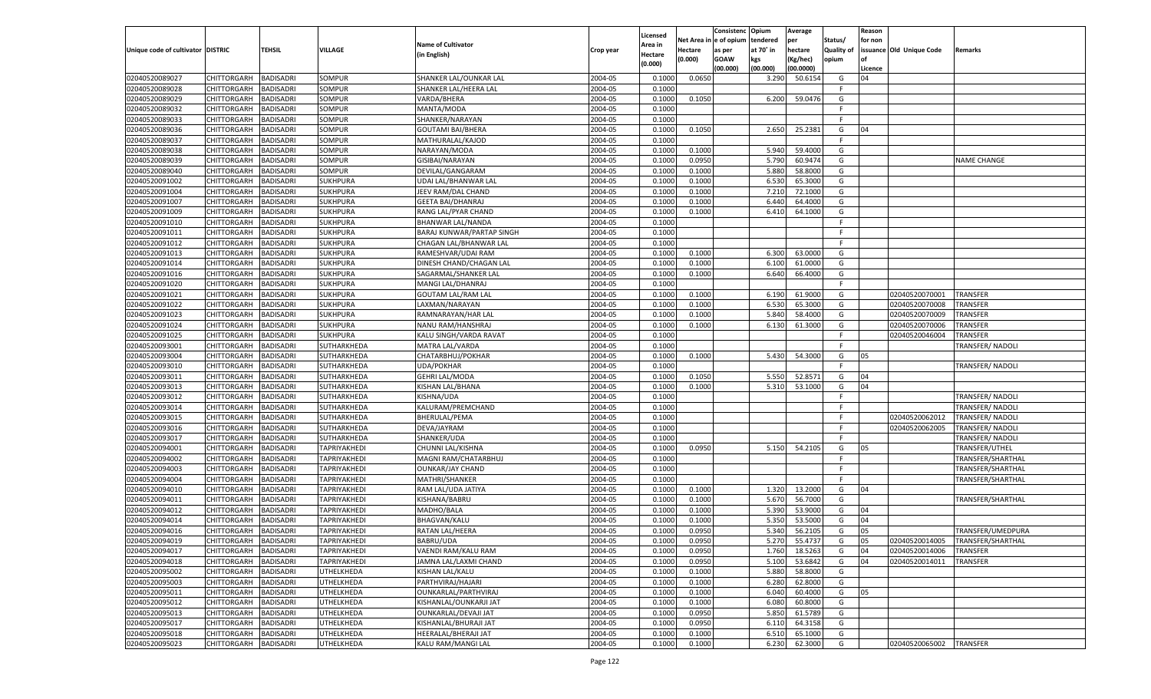|                                   |                                   |                                      |                            |                                              |                    | Licensed         |                        | Consistenc              | Opium           | Average              |                   | Reason        |                          |                         |
|-----------------------------------|-----------------------------------|--------------------------------------|----------------------------|----------------------------------------------|--------------------|------------------|------------------------|-------------------------|-----------------|----------------------|-------------------|---------------|--------------------------|-------------------------|
|                                   |                                   |                                      |                            | Name of Cultivator                           |                    | Area in          | Net Area in e of opium |                         | tendered        | per                  | Status/           | for non       |                          |                         |
| Unique code of cultivator DISTRIC |                                   | <b>TEHSIL</b>                        | VILLAGE                    | (in English)                                 | Crop year          | Hectare          | Hectare                | as per                  | at 70° in       | hectare              | <b>Quality of</b> |               | issuance Old Unique Code | <b>Remarks</b>          |
|                                   |                                   |                                      |                            |                                              |                    | (0.000)          | (0.000)                | <b>GOAW</b><br>(00.000) | kgs<br>(00.000) | (Kg/hec)             | opium             |               |                          |                         |
| 02040520089027                    | CHITTORGARH                       | <b>BADISADRI</b>                     | SOMPUR                     | SHANKER LAL/OUNKAR LAL                       | 2004-05            | 0.1000           | 0.0650                 |                         | 3.290           | (00.0000)<br>50.6154 | G                 | Licence<br>04 |                          |                         |
| 02040520089028                    | CHITTORGARH                       | <b>BADISADRI</b>                     | SOMPUR                     | SHANKER LAL/HEERA LAL                        | 2004-05            | 0.1000           |                        |                         |                 |                      | F.                |               |                          |                         |
| 02040520089029                    | <b>CHITTORGARH</b>                | <b>BADISADRI</b>                     | SOMPUR                     | VARDA/BHERA                                  | 2004-05            | 0.1000           | 0.1050                 |                         | 6.200           | 59.0476              | G                 |               |                          |                         |
| 02040520089032                    | <b>CHITTORGARH</b>                | <b>BADISADRI</b>                     | SOMPUR                     | MANTA/MODA                                   | 2004-05            | 0.1000           |                        |                         |                 |                      | F.                |               |                          |                         |
| 02040520089033                    | <b>CHITTORGARH</b>                | <b>BADISADRI</b>                     | SOMPUR                     | SHANKER/NARAYAN                              | 2004-05            | 0.1000           |                        |                         |                 |                      | F.                |               |                          |                         |
| 02040520089036                    | CHITTORGARH                       | <b>BADISADRI</b>                     | SOMPUR                     | <b>GOUTAMI BAI/BHERA</b>                     | 2004-05            | 0.1000           | 0.1050                 |                         | 2.650           | 25.2381              | G                 | 04            |                          |                         |
| 02040520089037                    | CHITTORGARH                       | <b>BADISADRI</b>                     | SOMPUR                     | MATHURALAL/KAJOD                             | 2004-05            | 0.1000           |                        |                         |                 |                      | F.                |               |                          |                         |
| 02040520089038                    | <b>CHITTORGARH</b>                | <b>BADISADRI</b>                     | SOMPUR                     | NARAYAN/MODA                                 | 2004-05            | 0.1000           | 0.1000                 |                         | 5.940           | 59.4000              | G                 |               |                          |                         |
| 02040520089039                    | <b>CHITTORGARH</b>                | <b>BADISADRI</b>                     | SOMPUR                     | GISIBAI/NARAYAN                              | 2004-05            | 0.1000           | 0.0950                 |                         | 5.790           | 60.9474              | G                 |               |                          | NAME CHANGE             |
| 02040520089040                    | CHITTORGARH                       | <b>BADISADRI</b>                     | SOMPUR                     | DEVILAL/GANGARAM                             | 2004-05            | 0.1000           | 0.1000                 |                         | 5.880           | 58.8000              | G                 |               |                          |                         |
| 02040520091002                    | CHITTORGARH                       | <b>BADISADRI</b>                     | <b>SUKHPURA</b>            | UDAI LAL/BHANWAR LAL                         | 2004-05            | 0.1000           | 0.1000                 |                         | 6.530           | 65.3000              | G                 |               |                          |                         |
| 02040520091004                    | <b>CHITTORGARH</b>                | <b>BADISADRI</b>                     | <b>SUKHPURA</b>            | JEEV RAM/DAL CHAND                           | 2004-05            | 0.1000           | 0.1000                 |                         | 7.210           | 72.1000              | G                 |               |                          |                         |
| 02040520091007                    | <b>CHITTORGARH</b>                | <b>BADISADRI</b>                     | <b>SUKHPURA</b>            | <b>GEETA BAI/DHANRAJ</b>                     | 2004-05            | 0.1000           | 0.1000                 |                         | 6.440           | 64.4000              | G                 |               |                          |                         |
| 02040520091009                    | CHITTORGARH                       | <b>BADISADRI</b>                     | <b>SUKHPURA</b>            | RANG LAL/PYAR CHAND                          | 2004-05            | 0.1000           | 0.1000                 |                         | 6.410           | 64.1000              | G                 |               |                          |                         |
| 02040520091010                    | CHITTORGARH                       | <b>BADISADRI</b>                     | <b>SUKHPURA</b>            | <b>BHANWAR LAL/NANDA</b>                     | 2004-05            | 0.1000           |                        |                         |                 |                      | F.                |               |                          |                         |
| 02040520091011                    | CHITTORGARH                       | <b>BADISADRI</b>                     | <b>SUKHPURA</b>            | BARAJ KUNWAR/PARTAP SINGH                    | 2004-05            | 0.1000           |                        |                         |                 |                      | F.                |               |                          |                         |
| 02040520091012                    |                                   |                                      |                            |                                              | 2004-05            | 0.1000           |                        |                         |                 |                      | F.                |               |                          |                         |
| 02040520091013                    | <b>CHITTORGARH</b>                | <b>BADISADRI</b>                     | <b>SUKHPURA</b>            | CHAGAN LAL/BHANWAR LAL<br>RAMESHVAR/UDAI RAM | 2004-05            | 0.1000           | 0.1000                 |                         | 6.300           | 63.0000              | G                 |               |                          |                         |
|                                   | CHITTORGARH                       | <b>BADISADRI</b>                     | <b>SUKHPURA</b>            |                                              | 2004-05            |                  |                        |                         |                 |                      | G                 |               |                          |                         |
| 02040520091014                    | CHITTORGARH                       | <b>BADISADRI</b>                     | <b>SUKHPURA</b>            | DINESH CHAND/CHAGAN LAL                      |                    | 0.1000           | 0.1000                 |                         | 6.100           | 61.0000              |                   |               |                          |                         |
| 02040520091016                    | CHITTORGARH                       | <b>BADISADRI</b>                     | <b>SUKHPURA</b>            | SAGARMAL/SHANKER LAL                         | 2004-05<br>2004-05 | 0.1000           | 0.1000                 |                         | 6.640           | 66.4000              | G<br>F.           |               |                          |                         |
| 02040520091020                    | <b>CHITTORGARH</b>                | <b>BADISADRI</b>                     | <b>SUKHPURA</b>            | MANGI LAL/DHANRAJ                            |                    | 0.1000           |                        |                         |                 |                      |                   |               |                          |                         |
| 02040520091021                    | CHITTORGARH                       | <b>BADISADRI</b>                     | <b>SUKHPURA</b>            | <b>GOUTAM LAL/RAM LAL</b>                    | 2004-05            | 0.1000           | 0.1000                 |                         | 6.190           | 61.9000              | G                 |               | 02040520070001           | <b>TRANSFER</b>         |
| 02040520091022                    | CHITTORGARH                       | <b>BADISADRI</b>                     | <b>SUKHPURA</b>            | LAXMAN/NARAYAN                               | 2004-05            | 0.1000           | 0.1000                 |                         | 6.530           | 65.3000              | G                 |               | 02040520070008           | TRANSFER                |
| 02040520091023                    | CHITTORGARH                       | <b>BADISADRI</b>                     | <b>SUKHPURA</b>            | RAMNARAYAN/HAR LAL                           | 2004-05            | 0.1000           | 0.1000                 |                         | 5.840           | 58.4000              | G                 |               | 02040520070009           | TRANSFER                |
| 02040520091024                    | <b>CHITTORGARH</b>                | <b>BADISADRI</b>                     | <b>SUKHPURA</b>            | NANU RAM/HANSHRAJ<br>KALU SINGH/VARDA RAVAT  | 2004-05            | 0.1000           | 0.1000                 |                         | 6.130           | 61.3000              | G<br>F.           |               | 02040520070006           | TRANSFER                |
| 02040520091025                    | CHITTORGARH                       | <b>BADISADRI</b>                     | <b>SUKHPURA</b>            |                                              | 2004-05<br>2004-05 | 0.1000           |                        |                         |                 |                      | F.                |               | 02040520046004           | TRANSFER                |
| 02040520093001                    | CHITTORGARH                       | <b>BADISADRI</b>                     | SUTHARKHEDA                | MATRA LAL/VARDA                              | 2004-05            | 0.1000<br>0.1000 | 0.1000                 |                         | 5.430           | 54.3000              | G                 | 05            |                          | TRANSFER/NADOLI         |
| 02040520093004<br>02040520093010  | CHITTORGARH                       | <b>BADISADRI</b>                     | SUTHARKHEDA                | CHATARBHUJ/POKHAR                            | 2004-05            | 0.1000           |                        |                         |                 |                      | F.                |               |                          |                         |
| 02040520093011                    | <b>CHITTORGARH</b><br>CHITTORGARH | <b>BADISADRI</b><br><b>BADISADRI</b> | SUTHARKHEDA<br>SUTHARKHEDA | UDA/POKHAR<br><b>GEHRI LAL/MODA</b>          | 2004-05            | 0.1000           | 0.1050                 |                         | 5.550           | 52.8571              | G                 | 04            |                          | TRANSFER/NADOLI         |
| 02040520093013                    | <b>CHITTORGARH</b>                | <b>BADISADRI</b>                     | SUTHARKHEDA                | KISHAN LAL/BHANA                             | 2004-05            | 0.1000           | 0.1000                 |                         | 5.310           | 53.1000              | G                 | 04            |                          |                         |
| 02040520093012                    | CHITTORGARH                       | <b>BADISADRI</b>                     | SUTHARKHEDA                | KISHNA/UDA                                   | 2004-05            | 0.1000           |                        |                         |                 |                      | F.                |               |                          | TRANSFER/NADOLI         |
| 02040520093014                    | CHITTORGARH                       | <b>BADISADRI</b>                     | SUTHARKHEDA                | KALURAM/PREMCHAND                            | 2004-05            | 0.1000           |                        |                         |                 |                      | F.                |               |                          | TRANSFER/NADOLI         |
| 02040520093015                    | CHITTORGARH                       | <b>BADISADRI</b>                     | SUTHARKHEDA                | <b>BHERULAL/PEMA</b>                         | 2004-05            | 0.1000           |                        |                         |                 |                      | -F                |               | 02040520062012           | <b>TRANSFER/ NADOLI</b> |
| 02040520093016                    | <b>CHITTORGARH</b>                | <b>BADISADRI</b>                     | SUTHARKHEDA                | DEVA/JAYRAM                                  | 2004-05            | 0.1000           |                        |                         |                 |                      | F.                |               | 02040520062005           | TRANSFER/NADOLI         |
| 02040520093017                    | CHITTORGARH                       | <b>BADISADRI</b>                     | SUTHARKHEDA                | SHANKER/UDA                                  | 2004-05            | 0.1000           |                        |                         |                 |                      | F.                |               |                          | TRANSFER/NADOLI         |
| 02040520094001                    | <b>CHITTORGARH</b>                | <b>BADISADRI</b>                     | TAPRIYAKHEDI               | CHUNNI LAL/KISHNA                            | 2004-05            | 0.1000           | 0.0950                 |                         | 5.150           | 54.2105              | G                 | 05            |                          | TRANSFER/UTHEL          |
| 02040520094002                    | CHITTORGARH                       | <b>BADISADRI</b>                     | TAPRIYAKHEDI               | MAGNI RAM/CHATARBHUJ                         | 2004-05            | 0.1000           |                        |                         |                 |                      | F.                |               |                          | TRANSFER/SHARTHAL       |
| 02040520094003                    | CHITTORGARH                       | <b>BADISADRI</b>                     | TAPRIYAKHEDI               | <b>OUNKAR/JAY CHAND</b>                      | 2004-05            | 0.1000           |                        |                         |                 |                      | F.                |               |                          | TRANSFER/SHARTHAI       |
| 02040520094004                    | CHITTORGARH                       | <b>BADISADRI</b>                     | TAPRIYAKHEDI               | MATHRI/SHANKER                               | 2004-05            | 0.1000           |                        |                         |                 |                      | F.                |               |                          | TRANSFER/SHARTHAI       |
| 02040520094010                    | <b>CHITTORGARH</b>                | <b>BADISADRI</b>                     | TAPRIYAKHEDI               | RAM LAL/UDA JATIYA                           | 2004-05            | 0.1000           | 0.1000                 |                         | 1.320           | 13.2000              | G                 | 04            |                          |                         |
| 02040520094011                    | CHITTORGARH                       | <b>BADISADRI</b>                     | TAPRIYAKHEDI               | KISHANA/BABRU                                | 2004-05            | 0.1000           | 0.1000                 |                         | 5.670           | 56.7000              | G                 |               |                          | TRANSFER/SHARTHAI       |
| 02040520094012                    | CHITTORGARH                       | <b>BADISADRI</b>                     | TAPRIYAKHEDI               | MADHO/BALA                                   | 2004-05            | 0.1000           | 0.1000                 |                         | 5.390           | 53.9000              | G                 | 04            |                          |                         |
| 02040520094014                    | CHITTORGARH                       | <b>BADISADRI</b>                     | TAPRIYAKHEDI               | <b>BHAGVAN/KALU</b>                          | 2004-05            | 0.1000           | 0.1000                 |                         | 5.350           | 53.5000              | G                 | 04            |                          |                         |
| 02040520094016                    | CHITTORGARH                       | <b>BADISADRI</b>                     | TAPRIYAKHEDI               | RATAN LAL/HEERA                              | 2004-05            | 0.1000           | 0.0950                 |                         | 5.340           | 56.2105              | G                 | 05            |                          | TRANSFER/UMEDPURA       |
| 02040520094019                    | CHITTORGARH BADISADRI             |                                      | <b>TAPRIYAKHEDI</b>        | BABRU/UDA                                    | 2004-05            | 0.1000           | 0.0950                 |                         | 5.270           | 55.4737              | G                 | 05            | 02040520014005           | TRANSFER/SHARTHAL       |
| 02040520094017                    | CHITTORGARH                       | <b>BADISADRI</b>                     | <b>TAPRIYAKHEDI</b>        | VAENDI RAM/KALU RAM                          | 2004-05            | 0.1000           | 0.0950                 |                         | 1.760           | 18.5263              | G                 | 04            | 02040520014006           | <b>TRANSFER</b>         |
| 02040520094018                    | <b>CHITTORGARH</b>                | <b>BADISADRI</b>                     | TAPRIYAKHEDI               | JAMNA LAL/LAXMI CHAND                        | 2004-05            | 0.1000           | 0.0950                 |                         | 5.100           | 53.6842              | G                 | 04            | 02040520014011           | TRANSFER                |
| 02040520095002                    | <b>CHITTORGARH</b>                | <b>BADISADRI</b>                     | <b>UTHELKHEDA</b>          | KISHAN LAL/KALU                              | 2004-05            | 0.1000           | 0.1000                 |                         | 5.880           | 58.8000              | G                 |               |                          |                         |
| 02040520095003                    | <b>CHITTORGARH</b>                | <b>BADISADRI</b>                     | UTHELKHEDA                 | PARTHVIRAJ/HAJARI                            | 2004-05            | 0.1000           | 0.1000                 |                         | 6.280           | 62.8000              | G                 |               |                          |                         |
| 02040520095011                    | <b>CHITTORGARH</b>                | <b>BADISADRI</b>                     | UTHELKHEDA                 | OUNKARLAL/PARTHVIRAJ                         | 2004-05            | 0.1000           | 0.1000                 |                         | 6.040           | 60.4000              | G                 | 05            |                          |                         |
| 02040520095012                    | <b>CHITTORGARH</b>                | <b>BADISADRI</b>                     | UTHELKHEDA                 | KISHANLAL/OUNKARJI JAT                       | 2004-05            | 0.1000           | 0.1000                 |                         | 6.080           | 60.8000              | G                 |               |                          |                         |
| 02040520095013                    | <b>CHITTORGARH</b>                | <b>BADISADRI</b>                     | UTHELKHEDA                 | OUNKARLAL/DEVAJI JAT                         | 2004-05            | 0.1000           | 0.0950                 |                         | 5.850           | 61.5789              | G                 |               |                          |                         |
| 02040520095017                    | <b>CHITTORGARH</b>                | <b>BADISADRI</b>                     | UTHELKHEDA                 | KISHANLAL/BHURAJI JAT                        | 2004-05            | 0.1000           | 0.0950                 |                         | 6.110           | 64.3158              | G                 |               |                          |                         |
| 02040520095018                    | <b>CHITTORGARH</b>                | <b>BADISADRI</b>                     | <b>UTHELKHEDA</b>          | HEERALAL/BHERAJI JAT                         | 2004-05            | 0.1000           | 0.1000                 |                         | 6.510           | 65.1000              | G                 |               |                          |                         |
| 02040520095023                    | <b>CHITTORGARH</b>                | <b>BADISADRI</b>                     | UTHELKHEDA                 | KALU RAM/MANGI LAL                           | 2004-05            | 0.1000           | 0.1000                 |                         | 6.230           | 62.3000              | G                 |               | 02040520065002           | <b>TRANSFER</b>         |
|                                   |                                   |                                      |                            |                                              |                    |                  |                        |                         |                 |                      |                   |               |                          |                         |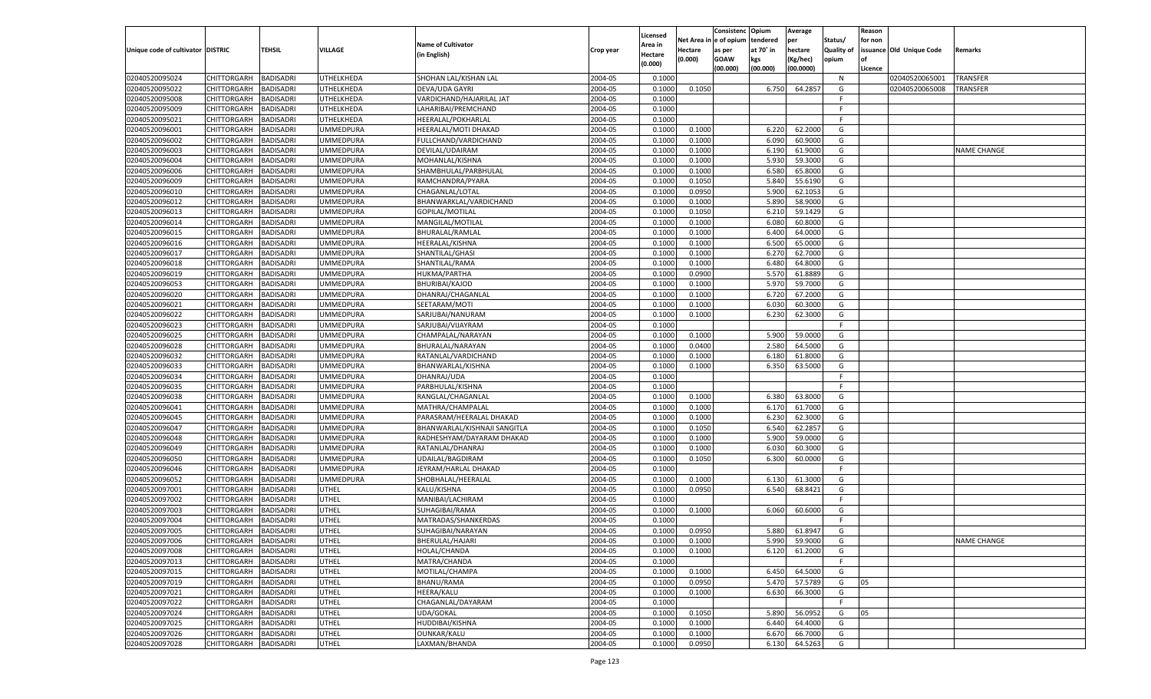| Licensed<br>Net Area i<br>n e of opium<br>tendered<br>per<br>Status/<br>for non<br><b>Name of Cultivator</b><br>Area in<br>Unique code of cultivator DISTRIC<br>TEHSIL<br><b>VILLAGE</b><br>at 70° in<br>hectare<br><b>Quality of</b><br>issuance Old Unique Code<br>Hectare<br>Remarks<br>Crop year<br>as per<br>(in English)<br>Hectare<br>(0.000)<br><b>GOAW</b><br>kgs<br>(Kg/hec)<br>opium<br>(0.000)<br>(00.000)<br>(00.000)<br>(00.0000)<br>Licence<br>02040520095024<br>CHITTORGARH<br>UTHELKHEDA<br>SHOHAN LAL/KISHAN LAL<br>2004-05<br><b>TRANSFER</b><br><b>BADISADRI</b><br>0.1000<br>N<br>02040520065001<br>02040520095022<br>2004-05<br>CHITTORGARH<br>BADISADRI<br>UTHELKHEDA<br>DEVA/UDA GAYRI<br>0.1000<br>0.1050<br>6.750<br>64.2857<br>G<br>02040520065008<br>TRANSFER<br>2004-05<br>02040520095008<br>CHITTORGARH<br>BADISADRI<br>UTHELKHEDA<br>VARDICHAND/HAJARILAL JAT<br>0.1000<br>F.<br>02040520095009<br>2004-05<br>CHITTORGARH<br>BADISADRI<br>UTHELKHEDA<br>LAHARIBAI/PREMCHAND<br>0.1000<br>E<br>02040520095021<br>2004-05<br>CHITTORGARH<br>BADISADRI<br>UTHELKHEDA<br><b>HEERALAL/POKHARLAL</b><br>0.1000<br>F.<br>02040520096001<br>2004-05<br>CHITTORGARH<br>BADISADRI<br>UMMEDPURA<br>HEERALAL/MOTI DHAKAD<br>0.1000<br>0.1000<br>6.220<br>62.2000<br>G<br>2004-05<br>02040520096002<br>CHITTORGARH<br>BADISADRI<br>UMMEDPURA<br>FULLCHAND/VARDICHAND<br>0.1000<br>0.1000<br>6.090<br>60.9000<br>G<br>02040520096003<br>2004-05<br>CHITTORGARH<br>BADISADRI<br>UMMEDPURA<br>DEVILAL/UDAIRAM<br>0.1000<br>0.1000<br>6.190<br>61.9000<br>G<br>NAME CHANGE<br>02040520096004<br>2004-05<br>5.930<br>59.3000<br>G<br>CHITTORGARH<br>BADISADRI<br>UMMEDPURA<br>MOHANLAL/KISHNA<br>0.1000<br>0.1000<br>02040520096006<br>2004-05<br>CHITTORGARH<br>BADISADRI<br>UMMEDPURA<br>SHAMBHULAL/PARBHULAL<br>0.1000<br>0.1000<br>6.580<br>65.8000<br>G<br>2004-05<br>5.840<br>02040520096009<br>CHITTORGARH<br>BADISADRI<br>UMMEDPURA<br>RAMCHANDRA/PYARA<br>0.1000<br>0.1050<br>55.6190<br>G<br>02040520096010<br>2004-05<br>0.0950<br>5.900<br>CHITTORGARH<br>BADISADRI<br>UMMEDPURA<br>CHAGANLAL/LOTAL<br>0.1000<br>62.1053<br>G<br>02040520096012<br><b>BADISADRI</b><br>2004-05<br>0.1000<br>5.890<br>58.9000<br>G<br>CHITTORGARH<br>UMMEDPURA<br>BHANWARKLAL/VARDICHAND<br>0.1000<br>02040520096013<br>2004-05<br>6.210<br>59.1429<br>CHITTORGARH<br>BADISADRI<br>UMMEDPURA<br>GOPILAL/MOTILAL<br>0.1000<br>0.1050<br>G<br>02040520096014<br>CHITTORGARH<br><b>BADISADRI</b><br>2004-05<br>0.1000<br>6.080<br>60.8000<br>JMMEDPURA<br>MANGILAL/MOTILAI<br>0.1000<br>G<br>02040520096015<br>CHITTORGARH<br>2004-05<br>6.400<br>64.0000<br>BADISADRI<br>JMMEDPURA<br>BHURALAL/RAMLAL<br>0.1000<br>0.1000<br>G<br>02040520096016<br>CHITTORGARH<br><b>BADISADRI</b><br>HEERALAL/KISHNA<br>2004-05<br>0.1000<br>6.500<br>65.0000<br>G<br>JMMEDPURA<br>0.1000<br>02040520096017<br>2004-05<br>6.270<br>62.7000<br>CHITTORGARH<br>BADISADRI<br>JMMEDPURA<br>SHANTILAL/GHASI<br>0.1000<br>0.1000<br>G<br>02040520096018<br>CHITTORGARH<br><b>BADISADRI</b><br>2004-05<br>0.1000<br>6.480<br>64.8000<br>JMMEDPURA<br>SHANTILAL/RAMA<br>0.1000<br>G<br>02040520096019<br>CHITTORGARH<br>2004-05<br>5.570<br>61.8889<br>BADISADRI<br>JMMEDPURA<br>HUKMA/PARTHA<br>0.1000<br>0.0900<br>G<br>02040520096053<br>CHITTORGARH<br><b>BADISADRI</b><br><b>JMMEDPURA</b><br><b>BHURIBAI/KAJOD</b><br>2004-05<br>0.1000<br>5.970<br>59.7000<br>G<br>0.1000<br>02040520096020<br>2004-05<br>6.720<br>67.2000<br>CHITTORGARH<br>BADISADRI<br>JMMEDPURA<br>DHANRAJ/CHAGANLAL<br>0.1000<br>0.1000<br>G<br>02040520096021<br>CHITTORGARH<br><b>BADISADRI</b><br>SEETARAM/MOTI<br>2004-05<br>0.1000<br>6.030<br>60.3000<br>JMMEDPURA<br>0.1000<br>G |  |
|-----------------------------------------------------------------------------------------------------------------------------------------------------------------------------------------------------------------------------------------------------------------------------------------------------------------------------------------------------------------------------------------------------------------------------------------------------------------------------------------------------------------------------------------------------------------------------------------------------------------------------------------------------------------------------------------------------------------------------------------------------------------------------------------------------------------------------------------------------------------------------------------------------------------------------------------------------------------------------------------------------------------------------------------------------------------------------------------------------------------------------------------------------------------------------------------------------------------------------------------------------------------------------------------------------------------------------------------------------------------------------------------------------------------------------------------------------------------------------------------------------------------------------------------------------------------------------------------------------------------------------------------------------------------------------------------------------------------------------------------------------------------------------------------------------------------------------------------------------------------------------------------------------------------------------------------------------------------------------------------------------------------------------------------------------------------------------------------------------------------------------------------------------------------------------------------------------------------------------------------------------------------------------------------------------------------------------------------------------------------------------------------------------------------------------------------------------------------------------------------------------------------------------------------------------------------------------------------------------------------------------------------------------------------------------------------------------------------------------------------------------------------------------------------------------------------------------------------------------------------------------------------------------------------------------------------------------------------------------------------------------------------------------------------------------------------------------------------------------------------------------------------------------------------------------------------------------------------------------------------------------------------------------------------------------------------------------------------------------------------------------------------------------------------------------------------------------------------------------------------------------------------------------------------------------------------------------------------------------------------------------------------------------------------------------------------------------------------------------------------------------|--|
|                                                                                                                                                                                                                                                                                                                                                                                                                                                                                                                                                                                                                                                                                                                                                                                                                                                                                                                                                                                                                                                                                                                                                                                                                                                                                                                                                                                                                                                                                                                                                                                                                                                                                                                                                                                                                                                                                                                                                                                                                                                                                                                                                                                                                                                                                                                                                                                                                                                                                                                                                                                                                                                                                                                                                                                                                                                                                                                                                                                                                                                                                                                                                                                                                                                                                                                                                                                                                                                                                                                                                                                                                                                                                                                                                     |  |
|                                                                                                                                                                                                                                                                                                                                                                                                                                                                                                                                                                                                                                                                                                                                                                                                                                                                                                                                                                                                                                                                                                                                                                                                                                                                                                                                                                                                                                                                                                                                                                                                                                                                                                                                                                                                                                                                                                                                                                                                                                                                                                                                                                                                                                                                                                                                                                                                                                                                                                                                                                                                                                                                                                                                                                                                                                                                                                                                                                                                                                                                                                                                                                                                                                                                                                                                                                                                                                                                                                                                                                                                                                                                                                                                                     |  |
|                                                                                                                                                                                                                                                                                                                                                                                                                                                                                                                                                                                                                                                                                                                                                                                                                                                                                                                                                                                                                                                                                                                                                                                                                                                                                                                                                                                                                                                                                                                                                                                                                                                                                                                                                                                                                                                                                                                                                                                                                                                                                                                                                                                                                                                                                                                                                                                                                                                                                                                                                                                                                                                                                                                                                                                                                                                                                                                                                                                                                                                                                                                                                                                                                                                                                                                                                                                                                                                                                                                                                                                                                                                                                                                                                     |  |
|                                                                                                                                                                                                                                                                                                                                                                                                                                                                                                                                                                                                                                                                                                                                                                                                                                                                                                                                                                                                                                                                                                                                                                                                                                                                                                                                                                                                                                                                                                                                                                                                                                                                                                                                                                                                                                                                                                                                                                                                                                                                                                                                                                                                                                                                                                                                                                                                                                                                                                                                                                                                                                                                                                                                                                                                                                                                                                                                                                                                                                                                                                                                                                                                                                                                                                                                                                                                                                                                                                                                                                                                                                                                                                                                                     |  |
|                                                                                                                                                                                                                                                                                                                                                                                                                                                                                                                                                                                                                                                                                                                                                                                                                                                                                                                                                                                                                                                                                                                                                                                                                                                                                                                                                                                                                                                                                                                                                                                                                                                                                                                                                                                                                                                                                                                                                                                                                                                                                                                                                                                                                                                                                                                                                                                                                                                                                                                                                                                                                                                                                                                                                                                                                                                                                                                                                                                                                                                                                                                                                                                                                                                                                                                                                                                                                                                                                                                                                                                                                                                                                                                                                     |  |
|                                                                                                                                                                                                                                                                                                                                                                                                                                                                                                                                                                                                                                                                                                                                                                                                                                                                                                                                                                                                                                                                                                                                                                                                                                                                                                                                                                                                                                                                                                                                                                                                                                                                                                                                                                                                                                                                                                                                                                                                                                                                                                                                                                                                                                                                                                                                                                                                                                                                                                                                                                                                                                                                                                                                                                                                                                                                                                                                                                                                                                                                                                                                                                                                                                                                                                                                                                                                                                                                                                                                                                                                                                                                                                                                                     |  |
|                                                                                                                                                                                                                                                                                                                                                                                                                                                                                                                                                                                                                                                                                                                                                                                                                                                                                                                                                                                                                                                                                                                                                                                                                                                                                                                                                                                                                                                                                                                                                                                                                                                                                                                                                                                                                                                                                                                                                                                                                                                                                                                                                                                                                                                                                                                                                                                                                                                                                                                                                                                                                                                                                                                                                                                                                                                                                                                                                                                                                                                                                                                                                                                                                                                                                                                                                                                                                                                                                                                                                                                                                                                                                                                                                     |  |
|                                                                                                                                                                                                                                                                                                                                                                                                                                                                                                                                                                                                                                                                                                                                                                                                                                                                                                                                                                                                                                                                                                                                                                                                                                                                                                                                                                                                                                                                                                                                                                                                                                                                                                                                                                                                                                                                                                                                                                                                                                                                                                                                                                                                                                                                                                                                                                                                                                                                                                                                                                                                                                                                                                                                                                                                                                                                                                                                                                                                                                                                                                                                                                                                                                                                                                                                                                                                                                                                                                                                                                                                                                                                                                                                                     |  |
|                                                                                                                                                                                                                                                                                                                                                                                                                                                                                                                                                                                                                                                                                                                                                                                                                                                                                                                                                                                                                                                                                                                                                                                                                                                                                                                                                                                                                                                                                                                                                                                                                                                                                                                                                                                                                                                                                                                                                                                                                                                                                                                                                                                                                                                                                                                                                                                                                                                                                                                                                                                                                                                                                                                                                                                                                                                                                                                                                                                                                                                                                                                                                                                                                                                                                                                                                                                                                                                                                                                                                                                                                                                                                                                                                     |  |
|                                                                                                                                                                                                                                                                                                                                                                                                                                                                                                                                                                                                                                                                                                                                                                                                                                                                                                                                                                                                                                                                                                                                                                                                                                                                                                                                                                                                                                                                                                                                                                                                                                                                                                                                                                                                                                                                                                                                                                                                                                                                                                                                                                                                                                                                                                                                                                                                                                                                                                                                                                                                                                                                                                                                                                                                                                                                                                                                                                                                                                                                                                                                                                                                                                                                                                                                                                                                                                                                                                                                                                                                                                                                                                                                                     |  |
|                                                                                                                                                                                                                                                                                                                                                                                                                                                                                                                                                                                                                                                                                                                                                                                                                                                                                                                                                                                                                                                                                                                                                                                                                                                                                                                                                                                                                                                                                                                                                                                                                                                                                                                                                                                                                                                                                                                                                                                                                                                                                                                                                                                                                                                                                                                                                                                                                                                                                                                                                                                                                                                                                                                                                                                                                                                                                                                                                                                                                                                                                                                                                                                                                                                                                                                                                                                                                                                                                                                                                                                                                                                                                                                                                     |  |
|                                                                                                                                                                                                                                                                                                                                                                                                                                                                                                                                                                                                                                                                                                                                                                                                                                                                                                                                                                                                                                                                                                                                                                                                                                                                                                                                                                                                                                                                                                                                                                                                                                                                                                                                                                                                                                                                                                                                                                                                                                                                                                                                                                                                                                                                                                                                                                                                                                                                                                                                                                                                                                                                                                                                                                                                                                                                                                                                                                                                                                                                                                                                                                                                                                                                                                                                                                                                                                                                                                                                                                                                                                                                                                                                                     |  |
|                                                                                                                                                                                                                                                                                                                                                                                                                                                                                                                                                                                                                                                                                                                                                                                                                                                                                                                                                                                                                                                                                                                                                                                                                                                                                                                                                                                                                                                                                                                                                                                                                                                                                                                                                                                                                                                                                                                                                                                                                                                                                                                                                                                                                                                                                                                                                                                                                                                                                                                                                                                                                                                                                                                                                                                                                                                                                                                                                                                                                                                                                                                                                                                                                                                                                                                                                                                                                                                                                                                                                                                                                                                                                                                                                     |  |
|                                                                                                                                                                                                                                                                                                                                                                                                                                                                                                                                                                                                                                                                                                                                                                                                                                                                                                                                                                                                                                                                                                                                                                                                                                                                                                                                                                                                                                                                                                                                                                                                                                                                                                                                                                                                                                                                                                                                                                                                                                                                                                                                                                                                                                                                                                                                                                                                                                                                                                                                                                                                                                                                                                                                                                                                                                                                                                                                                                                                                                                                                                                                                                                                                                                                                                                                                                                                                                                                                                                                                                                                                                                                                                                                                     |  |
|                                                                                                                                                                                                                                                                                                                                                                                                                                                                                                                                                                                                                                                                                                                                                                                                                                                                                                                                                                                                                                                                                                                                                                                                                                                                                                                                                                                                                                                                                                                                                                                                                                                                                                                                                                                                                                                                                                                                                                                                                                                                                                                                                                                                                                                                                                                                                                                                                                                                                                                                                                                                                                                                                                                                                                                                                                                                                                                                                                                                                                                                                                                                                                                                                                                                                                                                                                                                                                                                                                                                                                                                                                                                                                                                                     |  |
|                                                                                                                                                                                                                                                                                                                                                                                                                                                                                                                                                                                                                                                                                                                                                                                                                                                                                                                                                                                                                                                                                                                                                                                                                                                                                                                                                                                                                                                                                                                                                                                                                                                                                                                                                                                                                                                                                                                                                                                                                                                                                                                                                                                                                                                                                                                                                                                                                                                                                                                                                                                                                                                                                                                                                                                                                                                                                                                                                                                                                                                                                                                                                                                                                                                                                                                                                                                                                                                                                                                                                                                                                                                                                                                                                     |  |
|                                                                                                                                                                                                                                                                                                                                                                                                                                                                                                                                                                                                                                                                                                                                                                                                                                                                                                                                                                                                                                                                                                                                                                                                                                                                                                                                                                                                                                                                                                                                                                                                                                                                                                                                                                                                                                                                                                                                                                                                                                                                                                                                                                                                                                                                                                                                                                                                                                                                                                                                                                                                                                                                                                                                                                                                                                                                                                                                                                                                                                                                                                                                                                                                                                                                                                                                                                                                                                                                                                                                                                                                                                                                                                                                                     |  |
|                                                                                                                                                                                                                                                                                                                                                                                                                                                                                                                                                                                                                                                                                                                                                                                                                                                                                                                                                                                                                                                                                                                                                                                                                                                                                                                                                                                                                                                                                                                                                                                                                                                                                                                                                                                                                                                                                                                                                                                                                                                                                                                                                                                                                                                                                                                                                                                                                                                                                                                                                                                                                                                                                                                                                                                                                                                                                                                                                                                                                                                                                                                                                                                                                                                                                                                                                                                                                                                                                                                                                                                                                                                                                                                                                     |  |
|                                                                                                                                                                                                                                                                                                                                                                                                                                                                                                                                                                                                                                                                                                                                                                                                                                                                                                                                                                                                                                                                                                                                                                                                                                                                                                                                                                                                                                                                                                                                                                                                                                                                                                                                                                                                                                                                                                                                                                                                                                                                                                                                                                                                                                                                                                                                                                                                                                                                                                                                                                                                                                                                                                                                                                                                                                                                                                                                                                                                                                                                                                                                                                                                                                                                                                                                                                                                                                                                                                                                                                                                                                                                                                                                                     |  |
|                                                                                                                                                                                                                                                                                                                                                                                                                                                                                                                                                                                                                                                                                                                                                                                                                                                                                                                                                                                                                                                                                                                                                                                                                                                                                                                                                                                                                                                                                                                                                                                                                                                                                                                                                                                                                                                                                                                                                                                                                                                                                                                                                                                                                                                                                                                                                                                                                                                                                                                                                                                                                                                                                                                                                                                                                                                                                                                                                                                                                                                                                                                                                                                                                                                                                                                                                                                                                                                                                                                                                                                                                                                                                                                                                     |  |
|                                                                                                                                                                                                                                                                                                                                                                                                                                                                                                                                                                                                                                                                                                                                                                                                                                                                                                                                                                                                                                                                                                                                                                                                                                                                                                                                                                                                                                                                                                                                                                                                                                                                                                                                                                                                                                                                                                                                                                                                                                                                                                                                                                                                                                                                                                                                                                                                                                                                                                                                                                                                                                                                                                                                                                                                                                                                                                                                                                                                                                                                                                                                                                                                                                                                                                                                                                                                                                                                                                                                                                                                                                                                                                                                                     |  |
|                                                                                                                                                                                                                                                                                                                                                                                                                                                                                                                                                                                                                                                                                                                                                                                                                                                                                                                                                                                                                                                                                                                                                                                                                                                                                                                                                                                                                                                                                                                                                                                                                                                                                                                                                                                                                                                                                                                                                                                                                                                                                                                                                                                                                                                                                                                                                                                                                                                                                                                                                                                                                                                                                                                                                                                                                                                                                                                                                                                                                                                                                                                                                                                                                                                                                                                                                                                                                                                                                                                                                                                                                                                                                                                                                     |  |
|                                                                                                                                                                                                                                                                                                                                                                                                                                                                                                                                                                                                                                                                                                                                                                                                                                                                                                                                                                                                                                                                                                                                                                                                                                                                                                                                                                                                                                                                                                                                                                                                                                                                                                                                                                                                                                                                                                                                                                                                                                                                                                                                                                                                                                                                                                                                                                                                                                                                                                                                                                                                                                                                                                                                                                                                                                                                                                                                                                                                                                                                                                                                                                                                                                                                                                                                                                                                                                                                                                                                                                                                                                                                                                                                                     |  |
|                                                                                                                                                                                                                                                                                                                                                                                                                                                                                                                                                                                                                                                                                                                                                                                                                                                                                                                                                                                                                                                                                                                                                                                                                                                                                                                                                                                                                                                                                                                                                                                                                                                                                                                                                                                                                                                                                                                                                                                                                                                                                                                                                                                                                                                                                                                                                                                                                                                                                                                                                                                                                                                                                                                                                                                                                                                                                                                                                                                                                                                                                                                                                                                                                                                                                                                                                                                                                                                                                                                                                                                                                                                                                                                                                     |  |
|                                                                                                                                                                                                                                                                                                                                                                                                                                                                                                                                                                                                                                                                                                                                                                                                                                                                                                                                                                                                                                                                                                                                                                                                                                                                                                                                                                                                                                                                                                                                                                                                                                                                                                                                                                                                                                                                                                                                                                                                                                                                                                                                                                                                                                                                                                                                                                                                                                                                                                                                                                                                                                                                                                                                                                                                                                                                                                                                                                                                                                                                                                                                                                                                                                                                                                                                                                                                                                                                                                                                                                                                                                                                                                                                                     |  |
|                                                                                                                                                                                                                                                                                                                                                                                                                                                                                                                                                                                                                                                                                                                                                                                                                                                                                                                                                                                                                                                                                                                                                                                                                                                                                                                                                                                                                                                                                                                                                                                                                                                                                                                                                                                                                                                                                                                                                                                                                                                                                                                                                                                                                                                                                                                                                                                                                                                                                                                                                                                                                                                                                                                                                                                                                                                                                                                                                                                                                                                                                                                                                                                                                                                                                                                                                                                                                                                                                                                                                                                                                                                                                                                                                     |  |
|                                                                                                                                                                                                                                                                                                                                                                                                                                                                                                                                                                                                                                                                                                                                                                                                                                                                                                                                                                                                                                                                                                                                                                                                                                                                                                                                                                                                                                                                                                                                                                                                                                                                                                                                                                                                                                                                                                                                                                                                                                                                                                                                                                                                                                                                                                                                                                                                                                                                                                                                                                                                                                                                                                                                                                                                                                                                                                                                                                                                                                                                                                                                                                                                                                                                                                                                                                                                                                                                                                                                                                                                                                                                                                                                                     |  |
| 02040520096022<br>CHITTORGARH<br>2004-05<br>6.230<br>62.3000<br>BADISADRI<br>JMMEDPURA<br>SARJUBAI/NANURAM<br>0.1000<br>0.1000<br>G                                                                                                                                                                                                                                                                                                                                                                                                                                                                                                                                                                                                                                                                                                                                                                                                                                                                                                                                                                                                                                                                                                                                                                                                                                                                                                                                                                                                                                                                                                                                                                                                                                                                                                                                                                                                                                                                                                                                                                                                                                                                                                                                                                                                                                                                                                                                                                                                                                                                                                                                                                                                                                                                                                                                                                                                                                                                                                                                                                                                                                                                                                                                                                                                                                                                                                                                                                                                                                                                                                                                                                                                                 |  |
| 02040520096023<br>CHITTORGARH<br><b>BADISADRI</b><br><b>JMMEDPURA</b><br>SARJUBAI/VIJAYRAM<br>2004-05<br>0.1000<br>F.                                                                                                                                                                                                                                                                                                                                                                                                                                                                                                                                                                                                                                                                                                                                                                                                                                                                                                                                                                                                                                                                                                                                                                                                                                                                                                                                                                                                                                                                                                                                                                                                                                                                                                                                                                                                                                                                                                                                                                                                                                                                                                                                                                                                                                                                                                                                                                                                                                                                                                                                                                                                                                                                                                                                                                                                                                                                                                                                                                                                                                                                                                                                                                                                                                                                                                                                                                                                                                                                                                                                                                                                                               |  |
| 02040520096025<br>2004-05<br>0.1000<br>5.900<br>59.0000<br>0.1000<br>G                                                                                                                                                                                                                                                                                                                                                                                                                                                                                                                                                                                                                                                                                                                                                                                                                                                                                                                                                                                                                                                                                                                                                                                                                                                                                                                                                                                                                                                                                                                                                                                                                                                                                                                                                                                                                                                                                                                                                                                                                                                                                                                                                                                                                                                                                                                                                                                                                                                                                                                                                                                                                                                                                                                                                                                                                                                                                                                                                                                                                                                                                                                                                                                                                                                                                                                                                                                                                                                                                                                                                                                                                                                                              |  |
| CHITTORGARH<br>BADISADRI<br>JMMEDPURA<br>CHAMPALAL/NARAYAN<br>CHITTORGARH<br><b>BADISADRI</b><br>2004-05<br>0.0400<br>2.580<br>64.5000                                                                                                                                                                                                                                                                                                                                                                                                                                                                                                                                                                                                                                                                                                                                                                                                                                                                                                                                                                                                                                                                                                                                                                                                                                                                                                                                                                                                                                                                                                                                                                                                                                                                                                                                                                                                                                                                                                                                                                                                                                                                                                                                                                                                                                                                                                                                                                                                                                                                                                                                                                                                                                                                                                                                                                                                                                                                                                                                                                                                                                                                                                                                                                                                                                                                                                                                                                                                                                                                                                                                                                                                              |  |
| 02040520096028<br>JMMEDPURA<br>BHURALAL/NARAYAN<br>0.1000<br>G                                                                                                                                                                                                                                                                                                                                                                                                                                                                                                                                                                                                                                                                                                                                                                                                                                                                                                                                                                                                                                                                                                                                                                                                                                                                                                                                                                                                                                                                                                                                                                                                                                                                                                                                                                                                                                                                                                                                                                                                                                                                                                                                                                                                                                                                                                                                                                                                                                                                                                                                                                                                                                                                                                                                                                                                                                                                                                                                                                                                                                                                                                                                                                                                                                                                                                                                                                                                                                                                                                                                                                                                                                                                                      |  |
| 02040520096032<br>CHITTORGARH<br>2004-05<br>BADISADRI<br>JMMEDPURA<br>RATANLAL/VARDICHAND<br>0.1000<br>0.1000<br>6.180<br>61.8000<br>G                                                                                                                                                                                                                                                                                                                                                                                                                                                                                                                                                                                                                                                                                                                                                                                                                                                                                                                                                                                                                                                                                                                                                                                                                                                                                                                                                                                                                                                                                                                                                                                                                                                                                                                                                                                                                                                                                                                                                                                                                                                                                                                                                                                                                                                                                                                                                                                                                                                                                                                                                                                                                                                                                                                                                                                                                                                                                                                                                                                                                                                                                                                                                                                                                                                                                                                                                                                                                                                                                                                                                                                                              |  |
| 02040520096033<br>CHITTORGARH<br><b>BADISADRI</b><br><b>JMMEDPURA</b><br>BHANWARLAL/KISHNA<br>2004-05<br>0.1000<br>63.5000<br>G<br>0.1000<br>6.350                                                                                                                                                                                                                                                                                                                                                                                                                                                                                                                                                                                                                                                                                                                                                                                                                                                                                                                                                                                                                                                                                                                                                                                                                                                                                                                                                                                                                                                                                                                                                                                                                                                                                                                                                                                                                                                                                                                                                                                                                                                                                                                                                                                                                                                                                                                                                                                                                                                                                                                                                                                                                                                                                                                                                                                                                                                                                                                                                                                                                                                                                                                                                                                                                                                                                                                                                                                                                                                                                                                                                                                                  |  |
| 02040520096034<br>2004-05<br>CHITTORGARH<br><b>BADISADRI</b><br>UMMEDPURA<br>DHANRAJ/UDA<br>0.1000<br>F.                                                                                                                                                                                                                                                                                                                                                                                                                                                                                                                                                                                                                                                                                                                                                                                                                                                                                                                                                                                                                                                                                                                                                                                                                                                                                                                                                                                                                                                                                                                                                                                                                                                                                                                                                                                                                                                                                                                                                                                                                                                                                                                                                                                                                                                                                                                                                                                                                                                                                                                                                                                                                                                                                                                                                                                                                                                                                                                                                                                                                                                                                                                                                                                                                                                                                                                                                                                                                                                                                                                                                                                                                                            |  |
| 02040520096035<br><b>BADISADRI</b><br>UMMEDPURA<br>2004-05<br>CHITTORGARH<br>PARBHULAL/KISHNA<br>0.1000<br>E                                                                                                                                                                                                                                                                                                                                                                                                                                                                                                                                                                                                                                                                                                                                                                                                                                                                                                                                                                                                                                                                                                                                                                                                                                                                                                                                                                                                                                                                                                                                                                                                                                                                                                                                                                                                                                                                                                                                                                                                                                                                                                                                                                                                                                                                                                                                                                                                                                                                                                                                                                                                                                                                                                                                                                                                                                                                                                                                                                                                                                                                                                                                                                                                                                                                                                                                                                                                                                                                                                                                                                                                                                        |  |
| 02040520096038<br>2004-05<br>6.380<br>63.8000<br>CHITTORGARH<br><b>BADISADRI</b><br><b>UMMEDPURA</b><br>RANGLAL/CHAGANLAL<br>0.1000<br>0.1000<br>G                                                                                                                                                                                                                                                                                                                                                                                                                                                                                                                                                                                                                                                                                                                                                                                                                                                                                                                                                                                                                                                                                                                                                                                                                                                                                                                                                                                                                                                                                                                                                                                                                                                                                                                                                                                                                                                                                                                                                                                                                                                                                                                                                                                                                                                                                                                                                                                                                                                                                                                                                                                                                                                                                                                                                                                                                                                                                                                                                                                                                                                                                                                                                                                                                                                                                                                                                                                                                                                                                                                                                                                                  |  |
| 02040520096041<br><b>BADISADRI</b><br>UMMEDPURA<br>MATHRA/CHAMPALAL<br>2004-05<br>0.1000<br>CHITTORGARH<br>0.1000<br>6.170<br>61.7000<br>G                                                                                                                                                                                                                                                                                                                                                                                                                                                                                                                                                                                                                                                                                                                                                                                                                                                                                                                                                                                                                                                                                                                                                                                                                                                                                                                                                                                                                                                                                                                                                                                                                                                                                                                                                                                                                                                                                                                                                                                                                                                                                                                                                                                                                                                                                                                                                                                                                                                                                                                                                                                                                                                                                                                                                                                                                                                                                                                                                                                                                                                                                                                                                                                                                                                                                                                                                                                                                                                                                                                                                                                                          |  |
| 02040520096045<br>2004-05<br>6.23<br>62.3000<br>CHITTORGARH<br><b>BADISADRI</b><br><b>UMMEDPURA</b><br>PARASRAM/HEERALAL DHAKAD<br>0.1000<br>0.1000<br>G                                                                                                                                                                                                                                                                                                                                                                                                                                                                                                                                                                                                                                                                                                                                                                                                                                                                                                                                                                                                                                                                                                                                                                                                                                                                                                                                                                                                                                                                                                                                                                                                                                                                                                                                                                                                                                                                                                                                                                                                                                                                                                                                                                                                                                                                                                                                                                                                                                                                                                                                                                                                                                                                                                                                                                                                                                                                                                                                                                                                                                                                                                                                                                                                                                                                                                                                                                                                                                                                                                                                                                                            |  |
| 02040520096047<br><b>BADISADRI</b><br><b>UMMEDPURA</b><br>2004-05<br>0.1050<br>6.540<br>62.285<br>CHITTORGARH<br>BHANWARLAL/KISHNAJI SANGITLA<br>0.1000<br>G                                                                                                                                                                                                                                                                                                                                                                                                                                                                                                                                                                                                                                                                                                                                                                                                                                                                                                                                                                                                                                                                                                                                                                                                                                                                                                                                                                                                                                                                                                                                                                                                                                                                                                                                                                                                                                                                                                                                                                                                                                                                                                                                                                                                                                                                                                                                                                                                                                                                                                                                                                                                                                                                                                                                                                                                                                                                                                                                                                                                                                                                                                                                                                                                                                                                                                                                                                                                                                                                                                                                                                                        |  |
| 02040520096048<br>2004-05<br>5.900<br>59.0000<br>CHITTORGARH<br><b>BADISADRI</b><br><b>UMMEDPURA</b><br>RADHESHYAM/DAYARAM DHAKAD<br>0.1000<br>0.1000<br>G                                                                                                                                                                                                                                                                                                                                                                                                                                                                                                                                                                                                                                                                                                                                                                                                                                                                                                                                                                                                                                                                                                                                                                                                                                                                                                                                                                                                                                                                                                                                                                                                                                                                                                                                                                                                                                                                                                                                                                                                                                                                                                                                                                                                                                                                                                                                                                                                                                                                                                                                                                                                                                                                                                                                                                                                                                                                                                                                                                                                                                                                                                                                                                                                                                                                                                                                                                                                                                                                                                                                                                                          |  |
| 02040520096049<br><b>BADISADRI</b><br><b>UMMEDPURA</b><br>RATANLAL/DHANRAJ<br>2004-05<br>60.3000<br>CHITTORGARH<br>0.1000<br>0.1000<br>6.030<br>G                                                                                                                                                                                                                                                                                                                                                                                                                                                                                                                                                                                                                                                                                                                                                                                                                                                                                                                                                                                                                                                                                                                                                                                                                                                                                                                                                                                                                                                                                                                                                                                                                                                                                                                                                                                                                                                                                                                                                                                                                                                                                                                                                                                                                                                                                                                                                                                                                                                                                                                                                                                                                                                                                                                                                                                                                                                                                                                                                                                                                                                                                                                                                                                                                                                                                                                                                                                                                                                                                                                                                                                                   |  |
| 02040520096050<br>2004-05<br>6.300<br>CHITTORGARH<br><b>BADISADRI</b><br><b>UMMEDPURA</b><br>UDAILAL/BAGDIRAM<br>0.1000<br>0.1050<br>60.0000<br>G                                                                                                                                                                                                                                                                                                                                                                                                                                                                                                                                                                                                                                                                                                                                                                                                                                                                                                                                                                                                                                                                                                                                                                                                                                                                                                                                                                                                                                                                                                                                                                                                                                                                                                                                                                                                                                                                                                                                                                                                                                                                                                                                                                                                                                                                                                                                                                                                                                                                                                                                                                                                                                                                                                                                                                                                                                                                                                                                                                                                                                                                                                                                                                                                                                                                                                                                                                                                                                                                                                                                                                                                   |  |
| 02040520096046<br><b>BADISADRI</b><br>2004-05<br>CHITTORGARH<br><b>UMMEDPURA</b><br>JEYRAM/HARLAL DHAKAD<br>0.1000<br>F.                                                                                                                                                                                                                                                                                                                                                                                                                                                                                                                                                                                                                                                                                                                                                                                                                                                                                                                                                                                                                                                                                                                                                                                                                                                                                                                                                                                                                                                                                                                                                                                                                                                                                                                                                                                                                                                                                                                                                                                                                                                                                                                                                                                                                                                                                                                                                                                                                                                                                                                                                                                                                                                                                                                                                                                                                                                                                                                                                                                                                                                                                                                                                                                                                                                                                                                                                                                                                                                                                                                                                                                                                            |  |
| 02040520096052<br>2004-05<br>61.3000<br>CHITTORGARH<br><b>BADISADRI</b><br>UMMEDPURA<br>SHOBHALAL/HEERALAL<br>0.1000<br>0.1000<br>6.130<br>G                                                                                                                                                                                                                                                                                                                                                                                                                                                                                                                                                                                                                                                                                                                                                                                                                                                                                                                                                                                                                                                                                                                                                                                                                                                                                                                                                                                                                                                                                                                                                                                                                                                                                                                                                                                                                                                                                                                                                                                                                                                                                                                                                                                                                                                                                                                                                                                                                                                                                                                                                                                                                                                                                                                                                                                                                                                                                                                                                                                                                                                                                                                                                                                                                                                                                                                                                                                                                                                                                                                                                                                                        |  |
| 02040520097001<br><b>BADISADRI</b><br>KALU/KISHNA<br>2004-05<br>0.0950<br>68.8421<br>CHITTORGARH<br>UTHEL<br>0.1000<br>6.540<br>G                                                                                                                                                                                                                                                                                                                                                                                                                                                                                                                                                                                                                                                                                                                                                                                                                                                                                                                                                                                                                                                                                                                                                                                                                                                                                                                                                                                                                                                                                                                                                                                                                                                                                                                                                                                                                                                                                                                                                                                                                                                                                                                                                                                                                                                                                                                                                                                                                                                                                                                                                                                                                                                                                                                                                                                                                                                                                                                                                                                                                                                                                                                                                                                                                                                                                                                                                                                                                                                                                                                                                                                                                   |  |
| 02040520097002<br>2004-05<br>CHITTORGARH<br><b>BADISADRI</b><br>UTHEL<br>MANIBAI/LACHIRAM<br>0.1000<br>F.                                                                                                                                                                                                                                                                                                                                                                                                                                                                                                                                                                                                                                                                                                                                                                                                                                                                                                                                                                                                                                                                                                                                                                                                                                                                                                                                                                                                                                                                                                                                                                                                                                                                                                                                                                                                                                                                                                                                                                                                                                                                                                                                                                                                                                                                                                                                                                                                                                                                                                                                                                                                                                                                                                                                                                                                                                                                                                                                                                                                                                                                                                                                                                                                                                                                                                                                                                                                                                                                                                                                                                                                                                           |  |
| 02040520097003<br>2004-05<br>CHITTORGARH<br>BADISADRI<br>UTHEL<br>SUHAGIBAI/RAMA<br>0.1000<br>0.1000<br>6.060<br>60.6000<br>G                                                                                                                                                                                                                                                                                                                                                                                                                                                                                                                                                                                                                                                                                                                                                                                                                                                                                                                                                                                                                                                                                                                                                                                                                                                                                                                                                                                                                                                                                                                                                                                                                                                                                                                                                                                                                                                                                                                                                                                                                                                                                                                                                                                                                                                                                                                                                                                                                                                                                                                                                                                                                                                                                                                                                                                                                                                                                                                                                                                                                                                                                                                                                                                                                                                                                                                                                                                                                                                                                                                                                                                                                       |  |
| 02040520097004<br>2004-05<br>CHITTORGARH<br>BADISADRI<br>UTHEL<br>MATRADAS/SHANKERDAS<br>0.1000<br>F                                                                                                                                                                                                                                                                                                                                                                                                                                                                                                                                                                                                                                                                                                                                                                                                                                                                                                                                                                                                                                                                                                                                                                                                                                                                                                                                                                                                                                                                                                                                                                                                                                                                                                                                                                                                                                                                                                                                                                                                                                                                                                                                                                                                                                                                                                                                                                                                                                                                                                                                                                                                                                                                                                                                                                                                                                                                                                                                                                                                                                                                                                                                                                                                                                                                                                                                                                                                                                                                                                                                                                                                                                                |  |
| 02040520097005<br><b>BADISADRI</b><br>2004-05<br>0.0950<br>61.8947<br>CHITTORGARH<br>UTHEL<br>SUHAGIBAI/NARAYAN<br>0.1000<br>5.880<br>G                                                                                                                                                                                                                                                                                                                                                                                                                                                                                                                                                                                                                                                                                                                                                                                                                                                                                                                                                                                                                                                                                                                                                                                                                                                                                                                                                                                                                                                                                                                                                                                                                                                                                                                                                                                                                                                                                                                                                                                                                                                                                                                                                                                                                                                                                                                                                                                                                                                                                                                                                                                                                                                                                                                                                                                                                                                                                                                                                                                                                                                                                                                                                                                                                                                                                                                                                                                                                                                                                                                                                                                                             |  |
| 02040520097006<br>CHITTORGARH BADISADRI<br>UTHEL<br>BHERULAL/HAJARI<br>2004-05<br>0.1000<br>0.1000<br>5.990<br>59.9000<br>G<br><b>NAME CHANGE</b>                                                                                                                                                                                                                                                                                                                                                                                                                                                                                                                                                                                                                                                                                                                                                                                                                                                                                                                                                                                                                                                                                                                                                                                                                                                                                                                                                                                                                                                                                                                                                                                                                                                                                                                                                                                                                                                                                                                                                                                                                                                                                                                                                                                                                                                                                                                                                                                                                                                                                                                                                                                                                                                                                                                                                                                                                                                                                                                                                                                                                                                                                                                                                                                                                                                                                                                                                                                                                                                                                                                                                                                                   |  |
| 2004-05<br>02040520097008<br><b>CHITTORGARH</b><br><b>BADISADRI</b><br>UTHEL<br>HOLAL/CHANDA<br>0.1000<br>0.1000<br>6.120<br>61.2000<br>G                                                                                                                                                                                                                                                                                                                                                                                                                                                                                                                                                                                                                                                                                                                                                                                                                                                                                                                                                                                                                                                                                                                                                                                                                                                                                                                                                                                                                                                                                                                                                                                                                                                                                                                                                                                                                                                                                                                                                                                                                                                                                                                                                                                                                                                                                                                                                                                                                                                                                                                                                                                                                                                                                                                                                                                                                                                                                                                                                                                                                                                                                                                                                                                                                                                                                                                                                                                                                                                                                                                                                                                                           |  |
| 02040520097013<br><b>CHITTORGARH</b><br><b>BADISADRI</b><br>UTHEL<br>MATRA/CHANDA<br>2004-05<br>0.1000<br>F.                                                                                                                                                                                                                                                                                                                                                                                                                                                                                                                                                                                                                                                                                                                                                                                                                                                                                                                                                                                                                                                                                                                                                                                                                                                                                                                                                                                                                                                                                                                                                                                                                                                                                                                                                                                                                                                                                                                                                                                                                                                                                                                                                                                                                                                                                                                                                                                                                                                                                                                                                                                                                                                                                                                                                                                                                                                                                                                                                                                                                                                                                                                                                                                                                                                                                                                                                                                                                                                                                                                                                                                                                                        |  |
| 2004-05<br>02040520097015<br>CHITTORGARH<br><b>BADISADRI</b><br>UTHEL<br>MOTILAL/CHAMPA<br>0.1000<br>0.1000<br>6.450<br>64.5000<br>G                                                                                                                                                                                                                                                                                                                                                                                                                                                                                                                                                                                                                                                                                                                                                                                                                                                                                                                                                                                                                                                                                                                                                                                                                                                                                                                                                                                                                                                                                                                                                                                                                                                                                                                                                                                                                                                                                                                                                                                                                                                                                                                                                                                                                                                                                                                                                                                                                                                                                                                                                                                                                                                                                                                                                                                                                                                                                                                                                                                                                                                                                                                                                                                                                                                                                                                                                                                                                                                                                                                                                                                                                |  |
| 02040520097019<br><b>CHITTORGARH</b><br><b>BADISADRI</b><br>UTHEL<br>BHANU/RAMA<br>2004-05<br>0.1000<br>0.0950<br>5.470<br>57.5789<br>G<br>05                                                                                                                                                                                                                                                                                                                                                                                                                                                                                                                                                                                                                                                                                                                                                                                                                                                                                                                                                                                                                                                                                                                                                                                                                                                                                                                                                                                                                                                                                                                                                                                                                                                                                                                                                                                                                                                                                                                                                                                                                                                                                                                                                                                                                                                                                                                                                                                                                                                                                                                                                                                                                                                                                                                                                                                                                                                                                                                                                                                                                                                                                                                                                                                                                                                                                                                                                                                                                                                                                                                                                                                                       |  |
| 2004-05<br>02040520097021<br>CHITTORGARH<br><b>BADISADRI</b><br>UTHEL<br><b>HEERA/KALU</b><br>0.1000<br>0.1000<br>66.3000<br>G<br>6.630                                                                                                                                                                                                                                                                                                                                                                                                                                                                                                                                                                                                                                                                                                                                                                                                                                                                                                                                                                                                                                                                                                                                                                                                                                                                                                                                                                                                                                                                                                                                                                                                                                                                                                                                                                                                                                                                                                                                                                                                                                                                                                                                                                                                                                                                                                                                                                                                                                                                                                                                                                                                                                                                                                                                                                                                                                                                                                                                                                                                                                                                                                                                                                                                                                                                                                                                                                                                                                                                                                                                                                                                             |  |
| 02040520097022<br><b>CHITTORGARH</b><br><b>BADISADRI</b><br>UTHEL<br>CHAGANLAL/DAYARAM<br>2004-05<br>0.1000<br>F                                                                                                                                                                                                                                                                                                                                                                                                                                                                                                                                                                                                                                                                                                                                                                                                                                                                                                                                                                                                                                                                                                                                                                                                                                                                                                                                                                                                                                                                                                                                                                                                                                                                                                                                                                                                                                                                                                                                                                                                                                                                                                                                                                                                                                                                                                                                                                                                                                                                                                                                                                                                                                                                                                                                                                                                                                                                                                                                                                                                                                                                                                                                                                                                                                                                                                                                                                                                                                                                                                                                                                                                                                    |  |
| 2004-05<br>02040520097024<br>CHITTORGARH<br><b>BADISADRI</b><br>UTHEL<br>UDA/GOKAL<br>0.1000<br>0.1050<br>5.890<br>56.0952<br>G<br>05                                                                                                                                                                                                                                                                                                                                                                                                                                                                                                                                                                                                                                                                                                                                                                                                                                                                                                                                                                                                                                                                                                                                                                                                                                                                                                                                                                                                                                                                                                                                                                                                                                                                                                                                                                                                                                                                                                                                                                                                                                                                                                                                                                                                                                                                                                                                                                                                                                                                                                                                                                                                                                                                                                                                                                                                                                                                                                                                                                                                                                                                                                                                                                                                                                                                                                                                                                                                                                                                                                                                                                                                               |  |
| 02040520097025<br>CHITTORGARH<br><b>BADISADRI</b><br>UTHEL<br>HUDDIBAI/KISHNA<br>2004-05<br>0.1000<br>6.440<br>64.4000<br>0.1000<br>G                                                                                                                                                                                                                                                                                                                                                                                                                                                                                                                                                                                                                                                                                                                                                                                                                                                                                                                                                                                                                                                                                                                                                                                                                                                                                                                                                                                                                                                                                                                                                                                                                                                                                                                                                                                                                                                                                                                                                                                                                                                                                                                                                                                                                                                                                                                                                                                                                                                                                                                                                                                                                                                                                                                                                                                                                                                                                                                                                                                                                                                                                                                                                                                                                                                                                                                                                                                                                                                                                                                                                                                                               |  |
| 02040520097026<br>CHITTORGARH<br><b>BADISADRI</b><br>UTHEL<br>OUNKAR/KALU<br>2004-05<br>0.1000<br>0.1000<br>6.670<br>66.7000<br>G                                                                                                                                                                                                                                                                                                                                                                                                                                                                                                                                                                                                                                                                                                                                                                                                                                                                                                                                                                                                                                                                                                                                                                                                                                                                                                                                                                                                                                                                                                                                                                                                                                                                                                                                                                                                                                                                                                                                                                                                                                                                                                                                                                                                                                                                                                                                                                                                                                                                                                                                                                                                                                                                                                                                                                                                                                                                                                                                                                                                                                                                                                                                                                                                                                                                                                                                                                                                                                                                                                                                                                                                                   |  |
| 02040520097028<br><b>CHITTORGARH</b><br><b>BADISADRI</b><br><b>UTHEL</b><br>LAXMAN/BHANDA<br>2004-05<br>0.0950<br>6.130<br>64.5263<br>G<br>0.1000                                                                                                                                                                                                                                                                                                                                                                                                                                                                                                                                                                                                                                                                                                                                                                                                                                                                                                                                                                                                                                                                                                                                                                                                                                                                                                                                                                                                                                                                                                                                                                                                                                                                                                                                                                                                                                                                                                                                                                                                                                                                                                                                                                                                                                                                                                                                                                                                                                                                                                                                                                                                                                                                                                                                                                                                                                                                                                                                                                                                                                                                                                                                                                                                                                                                                                                                                                                                                                                                                                                                                                                                   |  |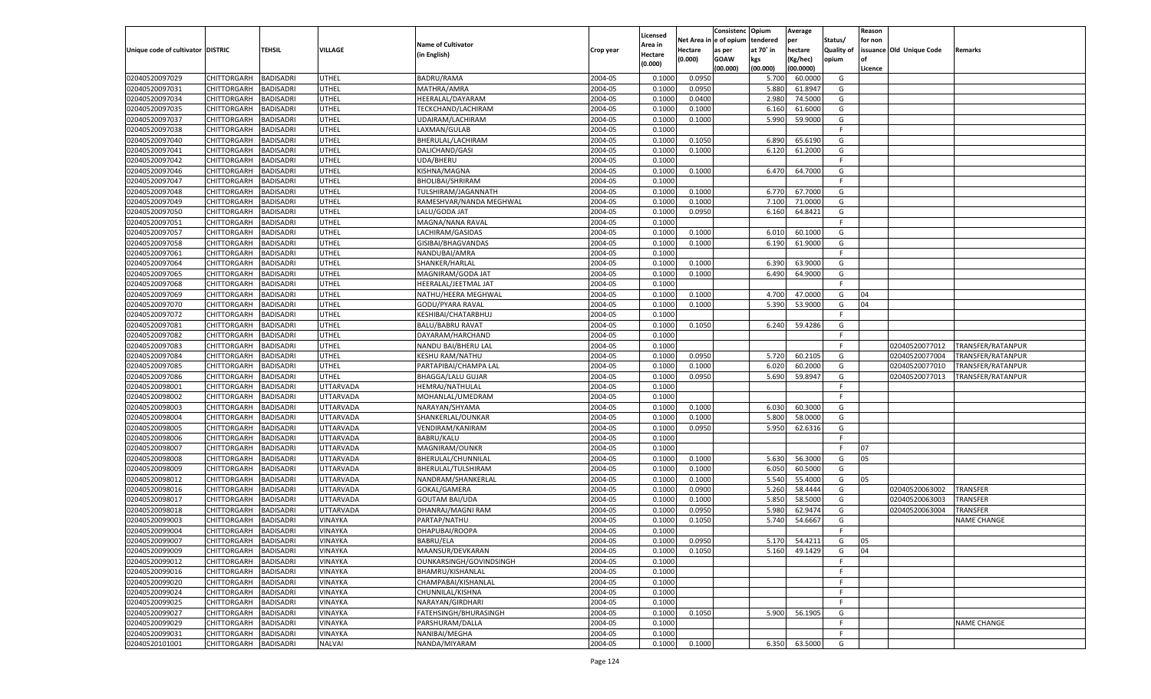|                                   |                    |                  |                |                           |           | Licensed           |         | Consistenc Opium       |           | Average   |                   | Reason  |                          |                    |
|-----------------------------------|--------------------|------------------|----------------|---------------------------|-----------|--------------------|---------|------------------------|-----------|-----------|-------------------|---------|--------------------------|--------------------|
|                                   |                    |                  |                | <b>Name of Cultivator</b> |           |                    |         | Net Area in e of opium | tendered  | per       | Status/           | for non |                          |                    |
| Unique code of cultivator DISTRIC |                    | <b>TEHSIL</b>    | <b>VILLAGE</b> | (in English)              | Crop year | Area in            | Hectare | as per                 | at 70° in | hectare   | <b>Quality of</b> |         | issuance Old Unique Code | <b>Remarks</b>     |
|                                   |                    |                  |                |                           |           | Hectare<br>(0.000) | (0.000) | <b>GOAW</b>            | kgs       | (Kg/hec)  | opium             |         |                          |                    |
|                                   |                    |                  |                |                           |           |                    |         | (00.000)               | (00.000)  | (00.0000) |                   | Licence |                          |                    |
| 02040520097029                    | CHITTORGARH        | <b>BADISADRI</b> | UTHEL          | <b>BADRU/RAMA</b>         | 2004-05   | 0.1000             | 0.0950  |                        | 5.700     | 60.0000   | G                 |         |                          |                    |
| 02040520097031                    | CHITTORGARH        | <b>BADISADRI</b> | UTHEL          | MATHRA/AMRA               | 2004-05   | 0.1000             | 0.0950  |                        | 5.880     | 61.8947   | G                 |         |                          |                    |
| 02040520097034                    | CHITTORGARH        | <b>BADISADRI</b> | UTHEL          | HEERALAL/DAYARAM          | 2004-05   | 0.1000             | 0.0400  |                        | 2.980     | 74.5000   | G                 |         |                          |                    |
| 02040520097035                    | CHITTORGARH        | <b>BADISADRI</b> | UTHEL          | TECKCHAND/LACHIRAM        | 2004-05   | 0.1000             | 0.1000  |                        | 6.160     | 61.6000   | G                 |         |                          |                    |
| 02040520097037                    | CHITTORGARH        | <b>BADISADRI</b> | UTHEL          | UDAIRAM/LACHIRAM          | 2004-05   | 0.1000             | 0.1000  |                        | 5.990     | 59.9000   | G                 |         |                          |                    |
| 02040520097038                    | CHITTORGARH        | <b>BADISADRI</b> | UTHEL          | LAXMAN/GULAB              | 2004-05   | 0.1000             |         |                        |           |           | F.                |         |                          |                    |
| 02040520097040                    | CHITTORGARH        | <b>BADISADRI</b> | UTHEL          | BHERULAL/LACHIRAM         | 2004-05   | 0.1000             | 0.1050  |                        | 6.890     | 65.6190   | G                 |         |                          |                    |
| 02040520097041                    | CHITTORGARH        | <b>BADISADRI</b> | UTHEL          | DALICHAND/GASI            | 2004-05   | 0.1000             | 0.1000  |                        | 6.120     | 61.2000   | G                 |         |                          |                    |
| 02040520097042                    | CHITTORGARH        | <b>BADISADRI</b> | UTHEL          | UDA/BHERU                 | 2004-05   | 0.1000             |         |                        |           |           | F.                |         |                          |                    |
| 02040520097046                    | CHITTORGARH        | <b>BADISADRI</b> | UTHEL          | KISHNA/MAGNA              | 2004-05   | 0.1000             | 0.1000  |                        | 6.470     | 64.7000   | G                 |         |                          |                    |
| 02040520097047                    | CHITTORGARH        | <b>BADISADRI</b> | UTHEL          | BHOLIBAI/SHRIRAM          | 2004-05   | 0.1000             |         |                        |           |           | F.                |         |                          |                    |
| 02040520097048                    | CHITTORGARH        | <b>BADISADRI</b> | UTHEL          | TULSHIRAM/JAGANNATH       | 2004-05   | 0.1000             | 0.1000  |                        | 6.770     | 67.7000   | G                 |         |                          |                    |
| 02040520097049                    | CHITTORGARH        | BADISADRI        | UTHEL          | RAMESHVAR/NANDA MEGHWAL   | 2004-05   | 0.1000             | 0.1000  |                        | 7.100     | 71.0000   | G                 |         |                          |                    |
| 02040520097050                    | CHITTORGARH        | BADISADRI        | UTHEL          | LALU/GODA JAT             | 2004-05   | 0.1000             | 0.0950  |                        | 6.160     | 64.8421   | G                 |         |                          |                    |
| 02040520097051                    | CHITTORGARH        | BADISADRI        | UTHEL          | MAGNA/NANA RAVAL          | 2004-05   | 0.1000             |         |                        |           |           | F.                |         |                          |                    |
| 02040520097057                    | CHITTORGARH        | BADISADRI        | UTHEL          | LACHIRAM/GASIDAS          | 2004-05   | 0.1000             | 0.1000  |                        | 6.010     | 60.1000   | G                 |         |                          |                    |
| 02040520097058                    | CHITTORGARH        | BADISADRI        | UTHEL          | GISIBAI/BHAGVANDAS        | 2004-05   | 0.1000             | 0.1000  |                        | 6.190     | 61.9000   | G                 |         |                          |                    |
| 02040520097061                    | CHITTORGARH        | BADISADRI        | UTHEL          | NANDUBAI/AMRA             | 2004-05   | 0.1000             |         |                        |           |           | F.                |         |                          |                    |
| 02040520097064                    | CHITTORGARH        | BADISADRI        | UTHEL          | SHANKER/HARLAL            | 2004-05   | 0.1000             | 0.1000  |                        | 6.390     | 63.9000   | G                 |         |                          |                    |
| 02040520097065                    | CHITTORGARH        | BADISADRI        | UTHEL          | MAGNIRAM/GODA JAT         | 2004-05   | 0.1000             | 0.1000  |                        | 6.490     | 64.9000   | G                 |         |                          |                    |
| 02040520097068                    | CHITTORGARH        | BADISADRI        | UTHEL          | HEERALAL/JEETMAL JAT      | 2004-05   | 0.1000             |         |                        |           |           | F.                |         |                          |                    |
| 02040520097069                    | CHITTORGARH        | BADISADRI        | UTHEL          | NATHU/HEERA MEGHWAL       | 2004-05   | 0.1000             | 0.1000  |                        | 4.700     | 47.0000   | G                 | 04      |                          |                    |
| 02040520097070                    | CHITTORGARH        | BADISADRI        | UTHEL          | <b>GODU/PYARA RAVAL</b>   | 2004-05   | 0.1000             | 0.1000  |                        | 5.390     | 53.9000   | G                 | 04      |                          |                    |
| 02040520097072                    | CHITTORGARH        | BADISADRI        | UTHEL          | KESHIBAI/CHATARBHUJ       | 2004-05   | 0.1000             |         |                        |           |           | -F                |         |                          |                    |
| 02040520097081                    | CHITTORGARH        | BADISADRI        | UTHEL          | <b>BALU/BABRU RAVAT</b>   | 2004-05   | 0.1000             | 0.1050  |                        | 6.240     | 59.4286   | G                 |         |                          |                    |
| 02040520097082                    | CHITTORGARH        | BADISADRI        | UTHEL          | DAYARAM/HARCHAND          | 2004-05   | 0.1000             |         |                        |           |           | E                 |         |                          |                    |
| 02040520097083                    | CHITTORGARH        | BADISADRI        | UTHEL          | NANDU BAI/BHERU LAL       | 2004-05   | 0.1000             |         |                        |           |           | F.                |         | 02040520077012           | TRANSFER/RATANPUR  |
| 02040520097084                    | CHITTORGARH        | BADISADRI        | UTHEL          | <b>KESHU RAM/NATHU</b>    | 2004-05   | 0.1000             | 0.0950  |                        | 5.720     | 60.2105   | G                 |         | 02040520077004           | TRANSFER/RATANPUR  |
| 02040520097085                    | CHITTORGARH        | <b>BADISADRI</b> | UTHEL          | PARTAPIBAI/CHAMPA LAL     | 2004-05   | 0.1000             | 0.1000  |                        | 6.020     | 60.2000   | G                 |         | 02040520077010           | TRANSFER/RATANPUR  |
| 02040520097086                    | CHITTORGARH        | BADISADRI        | UTHEL          | <b>BHAGGA/LALU GUJAR</b>  | 2004-05   | 0.1000             | 0.0950  |                        | 5.690     | 59.8947   | G                 |         | 02040520077013           | TRANSFER/RATANPUR  |
| 02040520098001                    | CHITTORGARH        | BADISADRI        | UTTARVADA      | HEMRAJ/NATHULAL           | 2004-05   | 0.1000             |         |                        |           |           | F.                |         |                          |                    |
| 02040520098002                    | CHITTORGARH        | BADISADRI        | UTTARVADA      | MOHANLAL/UMEDRAM          | 2004-05   | 0.1000             |         |                        |           |           | -F                |         |                          |                    |
| 02040520098003                    |                    |                  |                |                           | 2004-05   | 0.1000             | 0.1000  |                        | 6.030     | 60.3000   | G                 |         |                          |                    |
|                                   | CHITTORGARH        | BADISADRI        | UTTARVADA      | NARAYAN/SHYAMA            |           |                    |         |                        |           |           |                   |         |                          |                    |
| 02040520098004                    | CHITTORGARH        | BADISADRI        | UTTARVADA      | SHANKERLAL/OUNKAR         | 2004-05   | 0.1000             | 0.1000  |                        | 5.800     | 58.0000   | G                 |         |                          |                    |
| 02040520098005                    | CHITTORGARH        | BADISADRI        | UTTARVADA      | VENDIRAM/KANIRAM          | 2004-05   | 0.1000             | 0.0950  |                        | 5.950     | 62.6316   | G                 |         |                          |                    |
| 02040520098006                    | CHITTORGARH        | BADISADRI        | UTTARVADA      | <b>BABRU/KALU</b>         | 2004-05   | 0.1000             |         |                        |           |           | F.                |         |                          |                    |
| 02040520098007                    | CHITTORGARH        | BADISADRI        | UTTARVADA      | MAGNIRAM/OUNKR            | 2004-05   | 0.1000             |         |                        |           |           | E                 | 07      |                          |                    |
| 02040520098008                    | CHITTORGARH        | BADISADRI        | UTTARVADA      | BHERULAL/CHUNNILAL        | 2004-05   | 0.1000             | 0.1000  |                        | 5.630     | 56.3000   | G                 | 05      |                          |                    |
| 02040520098009                    | CHITTORGARH        | BADISADRI        | UTTARVADA      | BHERULAL/TULSHIRAM        | 2004-05   | 0.1000             | 0.1000  |                        | 6.050     | 60.5000   | G                 |         |                          |                    |
| 02040520098012                    | CHITTORGARH        | BADISADRI        | UTTARVADA      | NANDRAM/SHANKERLAL        | 2004-05   | 0.1000             | 0.1000  |                        | 5.540     | 55.4000   | G                 | 05      |                          |                    |
| 02040520098016                    | CHITTORGARH        | BADISADRI        | UTTARVADA      | GOKAL/GAMERA              | 2004-05   | 0.1000             | 0.0900  |                        | 5.260     | 58.4444   | G                 |         | 02040520063002           | TRANSFER           |
| 02040520098017                    | CHITTORGARH        | BADISADRI        | UTTARVADA      | <b>GOUTAM BAI/UDA</b>     | 2004-05   | 0.1000             | 0.1000  |                        | 5.850     | 58.5000   | G                 |         | 02040520063003           | TRANSFER           |
| 02040520098018                    | CHITTORGARH        | BADISADRI        | UTTARVADA      | DHANRAJ/MAGNI RAM         | 2004-05   | 0.1000             | 0.0950  |                        | 5.980     | 62.9474   | G                 |         | 02040520063004           | TRANSFER           |
| 02040520099003                    | CHITTORGARH        | BADISADRI        | VINAYKA        | PARTAP/NATHU              | 2004-05   | 0.1000             | 0.1050  |                        | 5.740     | 54.6667   | G                 |         |                          | NAME CHANGE        |
| 02040520099004                    | CHITTORGARH        | BADISADRI        | VINAYKA        | DHAPUBAI/ROOPA            | 2004-05   | 0.1000             |         |                        |           |           | F.                |         |                          |                    |
| 02040520099007                    | CHITTORGARH        | <b>BADISADRI</b> | <b>VINAYKA</b> | BABRU/ELA                 | 2004-05   | 0.1000             | 0.0950  |                        | 5.170     | 54.4211   | G                 | 05      |                          |                    |
| 02040520099009                    | CHITTORGARH        | <b>BADISADRI</b> | VINAYKA        | MAANSUR/DEVKARAN          | 2004-05   | 0.1000             | 0.1050  |                        | 5.160     | 49.1429   | G                 | 04      |                          |                    |
| 02040520099012                    | <b>CHITTORGARH</b> | <b>BADISADRI</b> | VINAYKA        | OUNKARSINGH/GOVINDSINGH   | 2004-05   | 0.1000             |         |                        |           |           | F.                |         |                          |                    |
| 02040520099016                    | CHITTORGARH        | <b>BADISADRI</b> | VINAYKA        | BHAMRU/KISHANLAL          | 2004-05   | 0.1000             |         |                        |           |           | F.                |         |                          |                    |
| 02040520099020                    | CHITTORGARH        | <b>BADISADRI</b> | VINAYKA        | CHAMPABAI/KISHANLAL       | 2004-05   | 0.1000             |         |                        |           |           | F.                |         |                          |                    |
| 02040520099024                    | CHITTORGARH        | <b>BADISADRI</b> | VINAYKA        | CHUNNILAL/KISHNA          | 2004-05   | 0.1000             |         |                        |           |           | F                 |         |                          |                    |
| 02040520099025                    | <b>CHITTORGARH</b> | <b>BADISADRI</b> | VINAYKA        | NARAYAN/GIRDHARI          | 2004-05   | 0.1000             |         |                        |           |           | F.                |         |                          |                    |
| 02040520099027                    | <b>CHITTORGARH</b> | <b>BADISADRI</b> | VINAYKA        | FATEHSINGH/BHURASINGH     | 2004-05   | 0.1000             | 0.1050  |                        | 5.900     | 56.1905   | G                 |         |                          |                    |
| 02040520099029                    | CHITTORGARH        | <b>BADISADRI</b> | VINAYKA        | PARSHURAM/DALLA           | 2004-05   | 0.1000             |         |                        |           |           | F.                |         |                          | <b>NAME CHANGE</b> |
| 02040520099031                    | <b>CHITTORGARH</b> | <b>BADISADRI</b> | VINAYKA        | NANIBAI/MEGHA             | 2004-05   | 0.1000             |         |                        |           |           | F                 |         |                          |                    |
| 02040520101001                    | <b>CHITTORGARH</b> | <b>BADISADRI</b> | <b>NALVAI</b>  | NANDA/MIYARAM             | 2004-05   | 0.1000             | 0.1000  |                        | 6.350     | 63.5000   | G                 |         |                          |                    |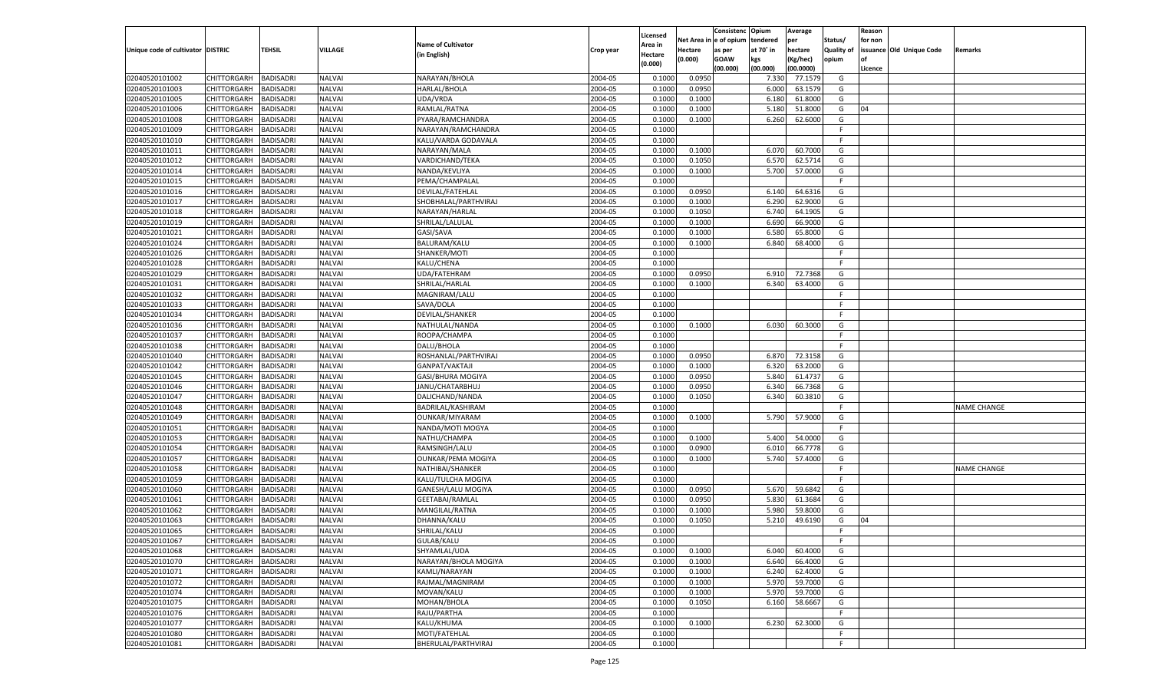|                                   |                       |                  |                |                           |           |                     |            | Consistenc   | Opium     | Average   |                   | Reason  |                          |                    |
|-----------------------------------|-----------------------|------------------|----------------|---------------------------|-----------|---------------------|------------|--------------|-----------|-----------|-------------------|---------|--------------------------|--------------------|
|                                   |                       |                  |                | <b>Name of Cultivator</b> |           | Licensed<br>Area in | Net Area i | n e of opium | tendered  | per       | Status/           | for non |                          |                    |
| Unique code of cultivator DISTRIC |                       | TEHSIL           | <b>VILLAGE</b> | (in English)              | Crop year | Hectare             | Hectare    | as per       | at 70° in | hectare   | <b>Quality of</b> |         | issuance Old Unique Code | Remarks            |
|                                   |                       |                  |                |                           |           | (0.000)             | (0.000)    | <b>GOAW</b>  | kgs       | (Kg/hec)  | opium             |         |                          |                    |
|                                   |                       |                  |                |                           |           |                     |            | (00.000)     | (00.000)  | (00.0000) |                   | Licence |                          |                    |
| 02040520101002                    | CHITTORGARH           | BADISADRI        | <b>NALVAI</b>  | NARAYAN/BHOLA             | 2004-05   | 0.1000              | 0.0950     |              | 7.330     | 77.1579   | G                 |         |                          |                    |
| 02040520101003                    | CHITTORGARH           | BADISADRI        | <b>NALVAI</b>  | HARLAL/BHOLA              | 2004-05   | 0.1000              | 0.0950     |              | 6.000     | 63.1579   | G                 |         |                          |                    |
| 02040520101005                    | CHITTORGARH           | BADISADRI        | <b>NALVAI</b>  | UDA/VRDA                  | 2004-05   | 0.1000              | 0.1000     |              | 6.180     | 61.8000   | G                 |         |                          |                    |
| 02040520101006                    | CHITTORGARH           | BADISADRI        | <b>NALVAI</b>  | RAMLAL/RATNA              | 2004-05   | 0.1000              | 0.1000     |              | 5.180     | 51.8000   | G                 | 04      |                          |                    |
| 02040520101008                    | CHITTORGARH           | BADISADRI        | <b>NALVAI</b>  | PYARA/RAMCHANDRA          | 2004-05   | 0.1000              | 0.1000     |              | 6.260     | 62.6000   | G                 |         |                          |                    |
| 02040520101009                    | CHITTORGARH           | BADISADRI        | <b>NALVAI</b>  | NARAYAN/RAMCHANDRA        | 2004-05   | 0.1000              |            |              |           |           | F.                |         |                          |                    |
| 02040520101010                    | CHITTORGARH           | BADISADRI        | <b>NALVAI</b>  | KALU/VARDA GODAVALA       | 2004-05   | 0.1000              |            |              |           |           | F.                |         |                          |                    |
| 02040520101011                    | CHITTORGARH           | BADISADRI        | <b>NALVAI</b>  | NARAYAN/MALA              | 2004-05   | 0.1000              | 0.1000     |              | 6.070     | 60.7000   | G                 |         |                          |                    |
| 02040520101012                    | CHITTORGARH           | BADISADRI        | <b>NALVAI</b>  | VARDICHAND/TEKA           | 2004-05   | 0.1000              | 0.1050     |              | 6.570     | 62.5714   | G                 |         |                          |                    |
| 02040520101014                    | CHITTORGARH           | BADISADRI        | <b>NALVAI</b>  | NANDA/KEVLIYA             | 2004-05   | 0.1000              | 0.1000     |              | 5.700     | 57.0000   | G                 |         |                          |                    |
| 02040520101015                    | CHITTORGARH           | BADISADRI        | <b>NALVAI</b>  | PEMA/CHAMPALAL            | 2004-05   | 0.1000              |            |              |           |           | F.                |         |                          |                    |
| 02040520101016                    | CHITTORGARH           | BADISADRI        | <b>NALVAI</b>  | DEVILAL/FATEHLAL          | 2004-05   | 0.1000              | 0.0950     |              | 6.140     | 64.6316   | G                 |         |                          |                    |
| 02040520101017                    | CHITTORGARH           | BADISADRI        | <b>NALVAI</b>  | SHOBHALAL/PARTHVIRAJ      | 2004-05   | 0.1000              | 0.1000     |              | 6.290     | 62.9000   | G                 |         |                          |                    |
| 02040520101018                    | CHITTORGARH           | <b>BADISADRI</b> | <b>NALVAI</b>  | NARAYAN/HARLAL            | 2004-05   | 0.1000              | 0.1050     |              | 6.740     | 64.1905   | G                 |         |                          |                    |
| 02040520101019                    | CHITTORGARH           | <b>BADISADRI</b> | <b>NALVAI</b>  | SHRILAL/LALULAL           | 2004-05   | 0.1000              | 0.1000     |              | 6.690     | 66.9000   | G                 |         |                          |                    |
| 02040520101021                    | CHITTORGARH           | BADISADRI        | NALVAI         | GASI/SAVA                 | 2004-05   | 0.1000              | 0.1000     |              | 6.580     | 65.8000   | G                 |         |                          |                    |
| 02040520101024                    | CHITTORGARH           | <b>BADISADRI</b> | NALVAI         | <b>BALURAM/KALU</b>       | 2004-05   | 0.1000              | 0.1000     |              | 6.840     | 68.4000   | G                 |         |                          |                    |
| 02040520101026                    | CHITTORGARH           | BADISADRI        | NALVAI         | SHANKER/MOTI              | 2004-05   | 0.1000              |            |              |           |           | F.                |         |                          |                    |
| 02040520101028                    | CHITTORGARH           | <b>BADISADRI</b> | <b>NALVAI</b>  | KALU/CHENA                | 2004-05   | 0.1000              |            |              |           |           | F.                |         |                          |                    |
| 02040520101029                    | CHITTORGARH           | BADISADRI        | NALVAI         | UDA/FATEHRAM              | 2004-05   | 0.1000              | 0.0950     |              | 6.910     | 72.7368   | G                 |         |                          |                    |
| 02040520101031                    | CHITTORGARH           | <b>BADISADRI</b> | NALVAI         | SHRILAL/HARLAL            | 2004-05   | 0.1000              | 0.1000     |              | 6.340     | 63.4000   | G                 |         |                          |                    |
| 02040520101032                    | CHITTORGARH           | BADISADRI        | NALVAI         | MAGNIRAM/LALU             | 2004-05   | 0.1000              |            |              |           |           | F.                |         |                          |                    |
| 02040520101033                    | CHITTORGARH           | <b>BADISADRI</b> | <b>NALVAI</b>  | SAVA/DOLA                 | 2004-05   | 0.1000              |            |              |           |           | F.                |         |                          |                    |
| 02040520101034                    | CHITTORGARH           | BADISADRI        | <b>NALVAI</b>  | DEVILAL/SHANKER           | 2004-05   | 0.1000              |            |              |           |           | F.                |         |                          |                    |
| 02040520101036                    | CHITTORGARH           | <b>BADISADRI</b> | NALVAI         | NATHULAL/NANDA            | 2004-05   | 0.1000              | 0.1000     |              | 6.030     | 60.3000   | G                 |         |                          |                    |
| 02040520101037                    | CHITTORGARH           | BADISADRI        | NALVAI         | ROOPA/CHAMPA              | 2004-05   | 0.1000              |            |              |           |           | F.                |         |                          |                    |
| 02040520101038                    | CHITTORGARH           | <b>BADISADRI</b> | <b>NALVAI</b>  | DALU/BHOLA                | 2004-05   | 0.1000              |            |              |           |           | F.                |         |                          |                    |
| 02040520101040                    | CHITTORGARH           | BADISADRI        | <b>NALVAI</b>  | ROSHANLAL/PARTHVIRAJ      | 2004-05   | 0.1000              | 0.0950     |              | 6.870     | 72.3158   | G                 |         |                          |                    |
| 02040520101042                    | CHITTORGARH           | <b>BADISADRI</b> | NALVAI         | GANPAT/VAKTAJI            | 2004-05   | 0.1000              | 0.1000     |              | 6.320     | 63.2000   | G                 |         |                          |                    |
| 02040520101045                    | CHITTORGARH           | BADISADRI        | <b>NALVAI</b>  | GASI/BHURA MOGIYA         | 2004-05   | 0.1000              | 0.0950     |              | 5.840     | 61.4737   | G                 |         |                          |                    |
| 02040520101046                    | CHITTORGARH           | <b>BADISADRI</b> | <b>NALVAI</b>  | JANU/CHATARBHUJ           | 2004-05   | 0.1000              | 0.0950     |              | 6.340     | 66.7368   | G                 |         |                          |                    |
| 02040520101047                    | CHITTORGARH           | <b>BADISADRI</b> | <b>NALVAI</b>  | DALICHAND/NANDA           | 2004-05   | 0.1000              | 0.1050     |              | 6.340     | 60.3810   | G                 |         |                          |                    |
| 02040520101048                    | CHITTORGARH           | <b>BADISADRI</b> | <b>NALVAI</b>  | BADRILAL/KASHIRAM         | 2004-05   | 0.1000              |            |              |           |           | F.                |         |                          | <b>NAME CHANGE</b> |
| 02040520101049                    | CHITTORGARH           | BADISADRI        | <b>NALVAI</b>  | OUNKAR/MIYARAM            | 2004-05   | 0.1000              | 0.1000     |              | 5.790     | 57.9000   | G                 |         |                          |                    |
| 02040520101051                    | CHITTORGARH           | <b>BADISADRI</b> | <b>NALVAI</b>  | NANDA/MOTI MOGYA          | 2004-05   | 0.1000              |            |              |           |           | F.                |         |                          |                    |
| 02040520101053                    | CHITTORGARH           | BADISADRI        | <b>NALVAI</b>  | NATHU/CHAMPA              | 2004-05   | 0.1000              | 0.1000     |              | 5.400     | 54.0000   | G                 |         |                          |                    |
| 02040520101054                    |                       | <b>BADISADRI</b> | <b>NALVAI</b>  |                           | 2004-05   | 0.1000              | 0.0900     |              | 6.010     |           | G                 |         |                          |                    |
|                                   | CHITTORGARH           |                  |                | RAMSINGH/LALU             |           |                     |            |              | 5.740     | 66.7778   |                   |         |                          |                    |
| 02040520101057                    | CHITTORGARH           | BADISADRI        | <b>NALVAI</b>  | <b>OUNKAR/PEMA MOGIYA</b> | 2004-05   | 0.1000              | 0.1000     |              |           | 57.4000   | G                 |         |                          |                    |
| 02040520101058                    | CHITTORGARH           | <b>BADISADRI</b> | <b>NALVAI</b>  | NATHIBAI/SHANKER          | 2004-05   | 0.1000              |            |              |           |           | F.<br>F           |         |                          | <b>NAME CHANGE</b> |
| 02040520101059<br>02040520101060  | CHITTORGARH           | BADISADRI        | <b>NALVAI</b>  | KALU/TULCHA MOGIYA        | 2004-05   | 0.1000              |            |              |           |           |                   |         |                          |                    |
|                                   | CHITTORGARH           | <b>BADISADRI</b> | <b>NALVAI</b>  | GANESH/LALU MOGIYA        | 2004-05   | 0.1000              | 0.0950     |              | 5.670     | 59.6842   | G                 |         |                          |                    |
| 02040520101061                    | CHITTORGARH           | BADISADRI        | <b>NALVAI</b>  | <b>GEETABAI/RAMLAL</b>    | 2004-05   | 0.1000              | 0.0950     |              | 5.830     | 61.3684   | G                 |         |                          |                    |
| 02040520101062                    | CHITTORGARH           | BADISADRI        | <b>NALVAI</b>  | MANGILAL/RATNA            | 2004-05   | 0.1000              | 0.1000     |              | 5.980     | 59.8000   | G                 |         |                          |                    |
| 02040520101063                    | CHITTORGARH           | BADISADRI        | <b>NALVAI</b>  | DHANNA/KALU               | 2004-05   | 0.1000              | 0.1050     |              | 5.210     | 49.6190   | G                 | 04      |                          |                    |
| 02040520101065                    | CHITTORGARH           | <b>BADISADRI</b> | <b>NALVAI</b>  | SHRILAL/KALU              | 2004-05   | 0.1000              |            |              |           |           | F.                |         |                          |                    |
| 02040520101067                    | CHITTORGARH BADISADRI |                  | <b>NALVAI</b>  | <b>GULAB/KALU</b>         | 2004-05   | 0.1000              |            |              |           |           |                   |         |                          |                    |
| 02040520101068                    | <b>CHITTORGARH</b>    | <b>BADISADRI</b> | <b>NALVAI</b>  | SHYAMLAL/UDA              | 2004-05   | 0.1000              | 0.1000     |              | 6.040     | 60.4000   | G                 |         |                          |                    |
| 02040520101070                    | CHITTORGARH           | <b>BADISADRI</b> | <b>NALVAI</b>  | NARAYAN/BHOLA MOGIYA      | 2004-05   | 0.1000              | 0.1000     |              | 6.640     | 66.4000   | G                 |         |                          |                    |
| 02040520101071                    | CHITTORGARH           | <b>BADISADRI</b> | <b>NALVAI</b>  | KAMLI/NARAYAN             | 2004-05   | 0.1000              | 0.1000     |              | 6.240     | 62.4000   | G                 |         |                          |                    |
| 02040520101072                    | CHITTORGARH           | <b>BADISADRI</b> | <b>NALVAI</b>  | RAJMAL/MAGNIRAM           | 2004-05   | 0.1000              | 0.1000     |              | 5.970     | 59.7000   | G                 |         |                          |                    |
| 02040520101074                    | CHITTORGARH           | <b>BADISADRI</b> | <b>NALVAI</b>  | MOVAN/KALU                | 2004-05   | 0.1000              | 0.1000     |              | 5.970     | 59.7000   | G                 |         |                          |                    |
| 02040520101075                    | CHITTORGARH           | <b>BADISADRI</b> | <b>NALVAI</b>  | MOHAN/BHOLA               | 2004-05   | 0.1000              | 0.1050     |              | 6.160     | 58.6667   | G                 |         |                          |                    |
| 02040520101076                    | CHITTORGARH           | <b>BADISADRI</b> | <b>NALVAI</b>  | RAJU/PARTHA               | 2004-05   | 0.1000              |            |              |           |           | F                 |         |                          |                    |
| 02040520101077                    | CHITTORGARH           | <b>BADISADRI</b> | <b>NALVAI</b>  | KALU/KHUMA                | 2004-05   | 0.1000              | 0.1000     |              | 6.230     | 62.3000   | G                 |         |                          |                    |
| 02040520101080                    | CHITTORGARH           | <b>BADISADRI</b> | <b>NALVAI</b>  | MOTI/FATEHLAL             | 2004-05   | 0.1000              |            |              |           |           | F.                |         |                          |                    |
| 02040520101081                    | CHITTORGARH           | <b>BADISADRI</b> | <b>NALVAI</b>  | BHERULAL/PARTHVIRAJ       | 2004-05   | 0.1000              |            |              |           |           | F.                |         |                          |                    |